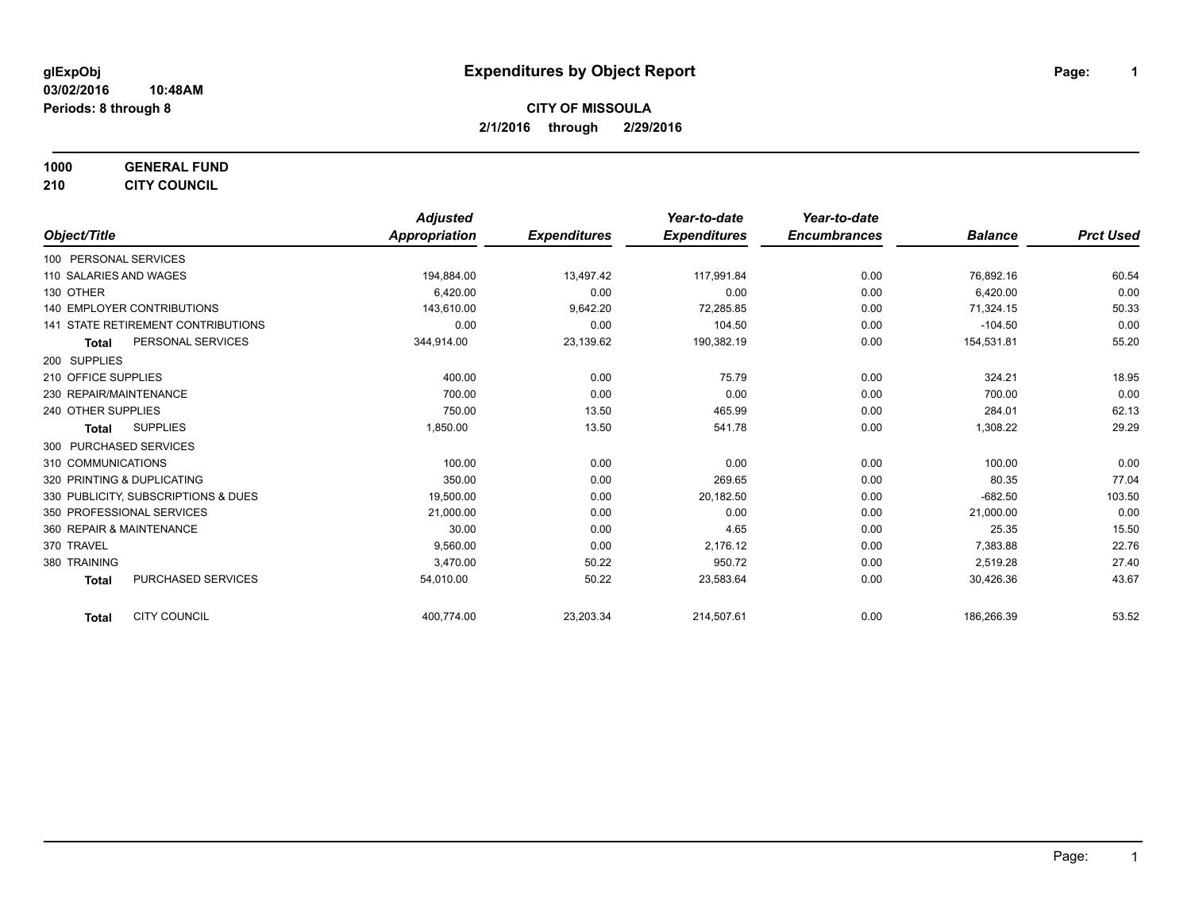**1000 GENERAL FUND**

**210 CITY COUNCIL**

|                                           | <b>Adjusted</b> |                     | Year-to-date        | Year-to-date        |                |                  |
|-------------------------------------------|-----------------|---------------------|---------------------|---------------------|----------------|------------------|
| Object/Title                              | Appropriation   | <b>Expenditures</b> | <b>Expenditures</b> | <b>Encumbrances</b> | <b>Balance</b> | <b>Prct Used</b> |
| 100 PERSONAL SERVICES                     |                 |                     |                     |                     |                |                  |
| 110 SALARIES AND WAGES                    | 194,884.00      | 13,497.42           | 117,991.84          | 0.00                | 76,892.16      | 60.54            |
| 130 OTHER                                 | 6.420.00        | 0.00                | 0.00                | 0.00                | 6,420.00       | 0.00             |
| <b>140 EMPLOYER CONTRIBUTIONS</b>         | 143,610.00      | 9,642.20            | 72,285.85           | 0.00                | 71.324.15      | 50.33            |
| <b>141 STATE RETIREMENT CONTRIBUTIONS</b> | 0.00            | 0.00                | 104.50              | 0.00                | $-104.50$      | 0.00             |
| PERSONAL SERVICES<br><b>Total</b>         | 344,914.00      | 23,139.62           | 190,382.19          | 0.00                | 154,531.81     | 55.20            |
| 200 SUPPLIES                              |                 |                     |                     |                     |                |                  |
| 210 OFFICE SUPPLIES                       | 400.00          | 0.00                | 75.79               | 0.00                | 324.21         | 18.95            |
| 230 REPAIR/MAINTENANCE                    | 700.00          | 0.00                | 0.00                | 0.00                | 700.00         | 0.00             |
| 240 OTHER SUPPLIES                        | 750.00          | 13.50               | 465.99              | 0.00                | 284.01         | 62.13            |
| <b>SUPPLIES</b><br><b>Total</b>           | 1,850.00        | 13.50               | 541.78              | 0.00                | 1,308.22       | 29.29            |
| 300 PURCHASED SERVICES                    |                 |                     |                     |                     |                |                  |
| 310 COMMUNICATIONS                        | 100.00          | 0.00                | 0.00                | 0.00                | 100.00         | 0.00             |
| 320 PRINTING & DUPLICATING                | 350.00          | 0.00                | 269.65              | 0.00                | 80.35          | 77.04            |
| 330 PUBLICITY, SUBSCRIPTIONS & DUES       | 19,500.00       | 0.00                | 20,182.50           | 0.00                | $-682.50$      | 103.50           |
| 350 PROFESSIONAL SERVICES                 | 21,000.00       | 0.00                | 0.00                | 0.00                | 21,000.00      | 0.00             |
| 360 REPAIR & MAINTENANCE                  | 30.00           | 0.00                | 4.65                | 0.00                | 25.35          | 15.50            |
| 370 TRAVEL                                | 9.560.00        | 0.00                | 2,176.12            | 0.00                | 7,383.88       | 22.76            |
| 380 TRAINING                              | 3,470.00        | 50.22               | 950.72              | 0.00                | 2,519.28       | 27.40            |
| PURCHASED SERVICES<br><b>Total</b>        | 54,010.00       | 50.22               | 23,583.64           | 0.00                | 30,426.36      | 43.67            |
| <b>CITY COUNCIL</b><br><b>Total</b>       | 400,774.00      | 23,203.34           | 214,507.61          | 0.00                | 186,266.39     | 53.52            |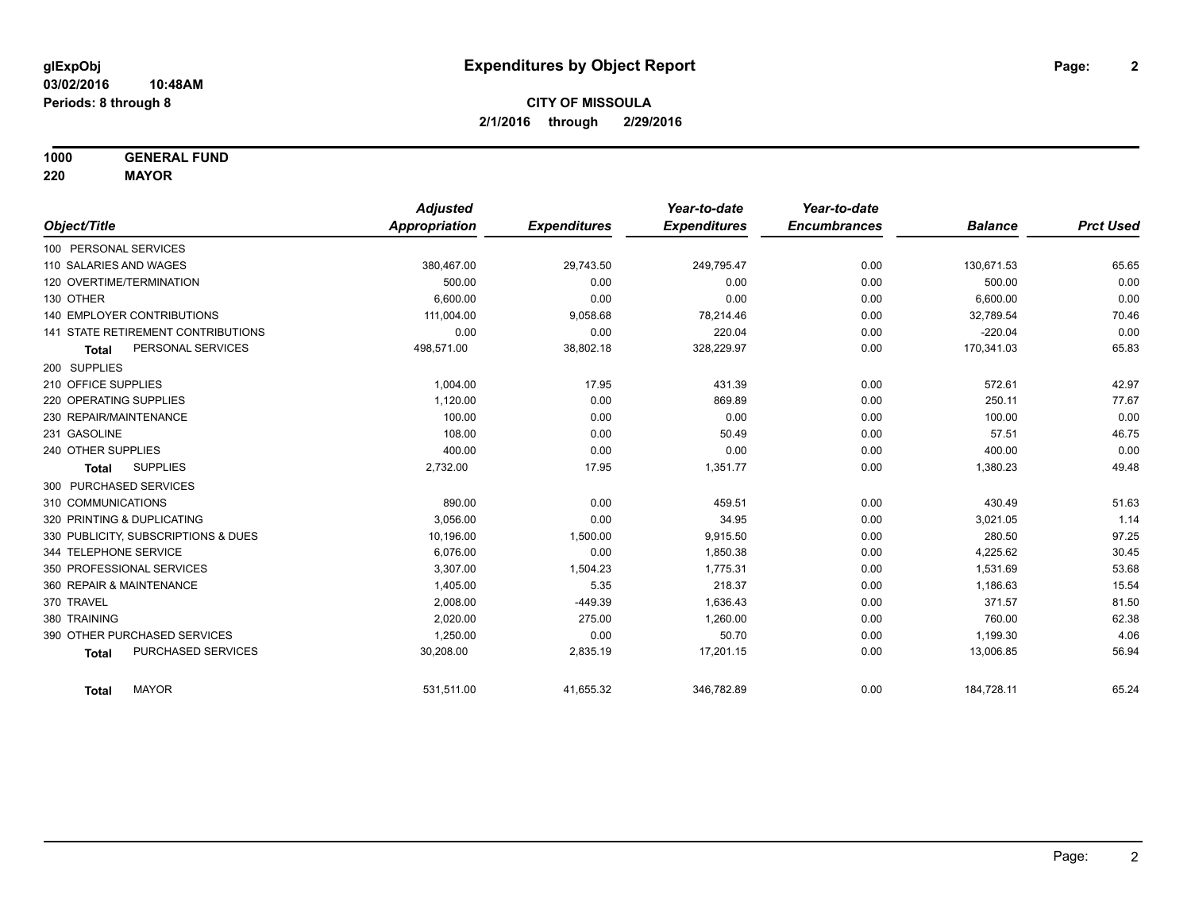**1000 GENERAL FUND**

**220 MAYOR**

|                                     | <b>Adjusted</b> |                     | Year-to-date        | Year-to-date        |                |                  |
|-------------------------------------|-----------------|---------------------|---------------------|---------------------|----------------|------------------|
| Object/Title                        | Appropriation   | <b>Expenditures</b> | <b>Expenditures</b> | <b>Encumbrances</b> | <b>Balance</b> | <b>Prct Used</b> |
| 100 PERSONAL SERVICES               |                 |                     |                     |                     |                |                  |
| 110 SALARIES AND WAGES              | 380,467.00      | 29,743.50           | 249,795.47          | 0.00                | 130,671.53     | 65.65            |
| 120 OVERTIME/TERMINATION            | 500.00          | 0.00                | 0.00                | 0.00                | 500.00         | 0.00             |
| 130 OTHER                           | 6.600.00        | 0.00                | 0.00                | 0.00                | 6,600.00       | 0.00             |
| <b>140 EMPLOYER CONTRIBUTIONS</b>   | 111,004.00      | 9,058.68            | 78,214.46           | 0.00                | 32,789.54      | 70.46            |
| 141 STATE RETIREMENT CONTRIBUTIONS  | 0.00            | 0.00                | 220.04              | 0.00                | $-220.04$      | 0.00             |
| PERSONAL SERVICES<br><b>Total</b>   | 498,571.00      | 38,802.18           | 328,229.97          | 0.00                | 170,341.03     | 65.83            |
| 200 SUPPLIES                        |                 |                     |                     |                     |                |                  |
| 210 OFFICE SUPPLIES                 | 1,004.00        | 17.95               | 431.39              | 0.00                | 572.61         | 42.97            |
| 220 OPERATING SUPPLIES              | 1,120.00        | 0.00                | 869.89              | 0.00                | 250.11         | 77.67            |
| 230 REPAIR/MAINTENANCE              | 100.00          | 0.00                | 0.00                | 0.00                | 100.00         | 0.00             |
| 231 GASOLINE                        | 108.00          | 0.00                | 50.49               | 0.00                | 57.51          | 46.75            |
| 240 OTHER SUPPLIES                  | 400.00          | 0.00                | 0.00                | 0.00                | 400.00         | 0.00             |
| <b>SUPPLIES</b><br><b>Total</b>     | 2,732.00        | 17.95               | 1,351.77            | 0.00                | 1,380.23       | 49.48            |
| 300 PURCHASED SERVICES              |                 |                     |                     |                     |                |                  |
| 310 COMMUNICATIONS                  | 890.00          | 0.00                | 459.51              | 0.00                | 430.49         | 51.63            |
| 320 PRINTING & DUPLICATING          | 3.056.00        | 0.00                | 34.95               | 0.00                | 3,021.05       | 1.14             |
| 330 PUBLICITY, SUBSCRIPTIONS & DUES | 10,196.00       | 1,500.00            | 9,915.50            | 0.00                | 280.50         | 97.25            |
| 344 TELEPHONE SERVICE               | 6.076.00        | 0.00                | 1,850.38            | 0.00                | 4,225.62       | 30.45            |
| 350 PROFESSIONAL SERVICES           | 3,307.00        | 1,504.23            | 1,775.31            | 0.00                | 1,531.69       | 53.68            |
| 360 REPAIR & MAINTENANCE            | 1,405.00        | 5.35                | 218.37              | 0.00                | 1,186.63       | 15.54            |
| 370 TRAVEL                          | 2,008.00        | $-449.39$           | 1,636.43            | 0.00                | 371.57         | 81.50            |
| 380 TRAINING                        | 2,020.00        | 275.00              | 1,260.00            | 0.00                | 760.00         | 62.38            |
| 390 OTHER PURCHASED SERVICES        | 1,250.00        | 0.00                | 50.70               | 0.00                | 1,199.30       | 4.06             |
| PURCHASED SERVICES<br><b>Total</b>  | 30,208.00       | 2,835.19            | 17,201.15           | 0.00                | 13,006.85      | 56.94            |
| <b>MAYOR</b><br><b>Total</b>        | 531,511.00      | 41,655.32           | 346,782.89          | 0.00                | 184,728.11     | 65.24            |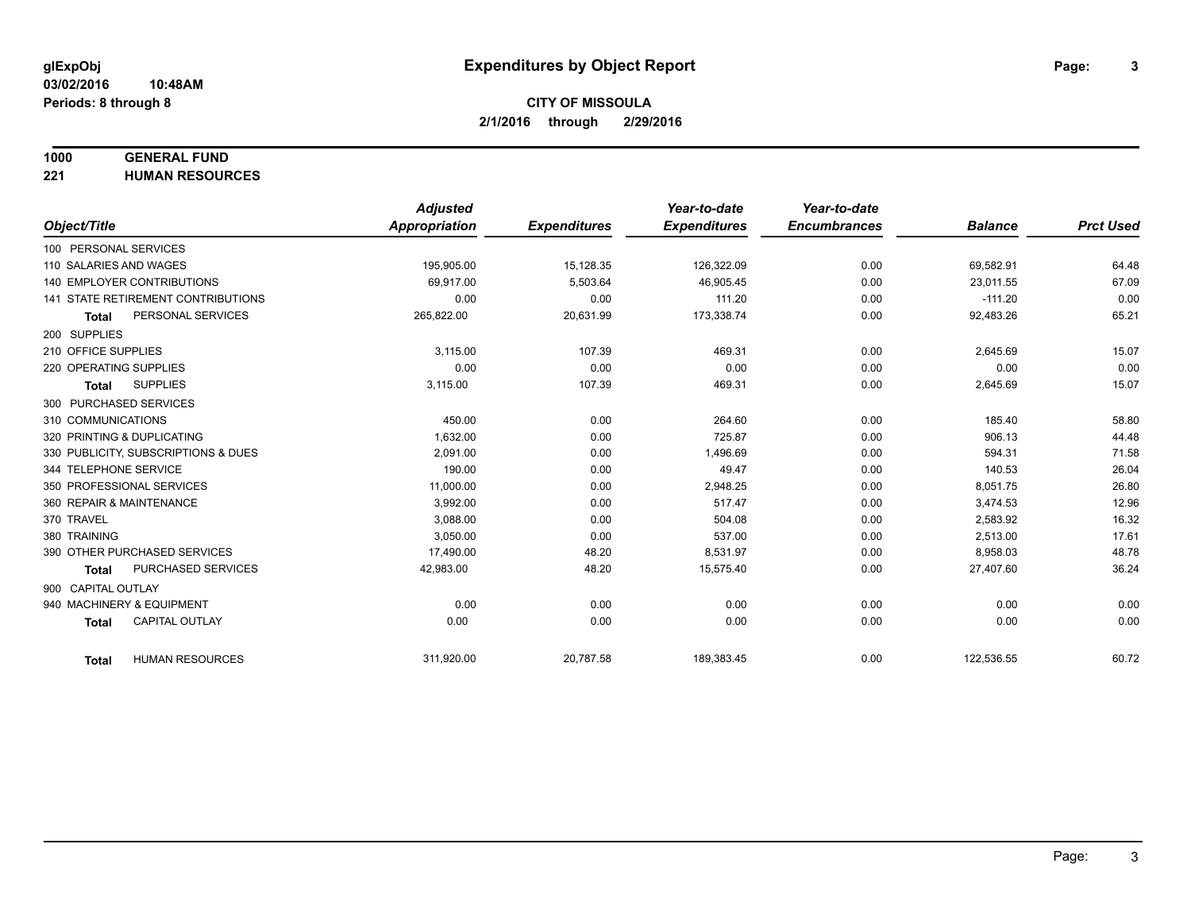#### **1000 GENERAL FUND**

**221 HUMAN RESOURCES**

|                                           | <b>Adjusted</b>      |                     | Year-to-date        | Year-to-date        |                |                  |
|-------------------------------------------|----------------------|---------------------|---------------------|---------------------|----------------|------------------|
| Object/Title                              | <b>Appropriation</b> | <b>Expenditures</b> | <b>Expenditures</b> | <b>Encumbrances</b> | <b>Balance</b> | <b>Prct Used</b> |
| 100 PERSONAL SERVICES                     |                      |                     |                     |                     |                |                  |
| 110 SALARIES AND WAGES                    | 195,905.00           | 15,128.35           | 126,322.09          | 0.00                | 69,582.91      | 64.48            |
| 140 EMPLOYER CONTRIBUTIONS                | 69.917.00            | 5,503.64            | 46.905.45           | 0.00                | 23,011.55      | 67.09            |
| 141 STATE RETIREMENT CONTRIBUTIONS        | 0.00                 | 0.00                | 111.20              | 0.00                | $-111.20$      | 0.00             |
| PERSONAL SERVICES<br><b>Total</b>         | 265,822.00           | 20,631.99           | 173,338.74          | 0.00                | 92,483.26      | 65.21            |
| 200 SUPPLIES                              |                      |                     |                     |                     |                |                  |
| 210 OFFICE SUPPLIES                       | 3.115.00             | 107.39              | 469.31              | 0.00                | 2,645.69       | 15.07            |
| 220 OPERATING SUPPLIES                    | 0.00                 | 0.00                | 0.00                | 0.00                | 0.00           | 0.00             |
| <b>SUPPLIES</b><br><b>Total</b>           | 3,115.00             | 107.39              | 469.31              | 0.00                | 2,645.69       | 15.07            |
| 300 PURCHASED SERVICES                    |                      |                     |                     |                     |                |                  |
| 310 COMMUNICATIONS                        | 450.00               | 0.00                | 264.60              | 0.00                | 185.40         | 58.80            |
| 320 PRINTING & DUPLICATING                | 1.632.00             | 0.00                | 725.87              | 0.00                | 906.13         | 44.48            |
| 330 PUBLICITY, SUBSCRIPTIONS & DUES       | 2,091.00             | 0.00                | 1,496.69            | 0.00                | 594.31         | 71.58            |
| 344 TELEPHONE SERVICE                     | 190.00               | 0.00                | 49.47               | 0.00                | 140.53         | 26.04            |
| 350 PROFESSIONAL SERVICES                 | 11,000.00            | 0.00                | 2,948.25            | 0.00                | 8,051.75       | 26.80            |
| 360 REPAIR & MAINTENANCE                  | 3,992.00             | 0.00                | 517.47              | 0.00                | 3,474.53       | 12.96            |
| 370 TRAVEL                                | 3.088.00             | 0.00                | 504.08              | 0.00                | 2,583.92       | 16.32            |
| 380 TRAINING                              | 3,050.00             | 0.00                | 537.00              | 0.00                | 2,513.00       | 17.61            |
| 390 OTHER PURCHASED SERVICES              | 17,490.00            | 48.20               | 8,531.97            | 0.00                | 8,958.03       | 48.78            |
| <b>PURCHASED SERVICES</b><br><b>Total</b> | 42,983.00            | 48.20               | 15,575.40           | 0.00                | 27,407.60      | 36.24            |
| 900 CAPITAL OUTLAY                        |                      |                     |                     |                     |                |                  |
| 940 MACHINERY & EQUIPMENT                 | 0.00                 | 0.00                | 0.00                | 0.00                | 0.00           | 0.00             |
| <b>CAPITAL OUTLAY</b><br><b>Total</b>     | 0.00                 | 0.00                | 0.00                | 0.00                | 0.00           | 0.00             |
|                                           |                      |                     |                     |                     |                |                  |
| <b>HUMAN RESOURCES</b><br><b>Total</b>    | 311,920.00           | 20,787.58           | 189,383.45          | 0.00                | 122,536.55     | 60.72            |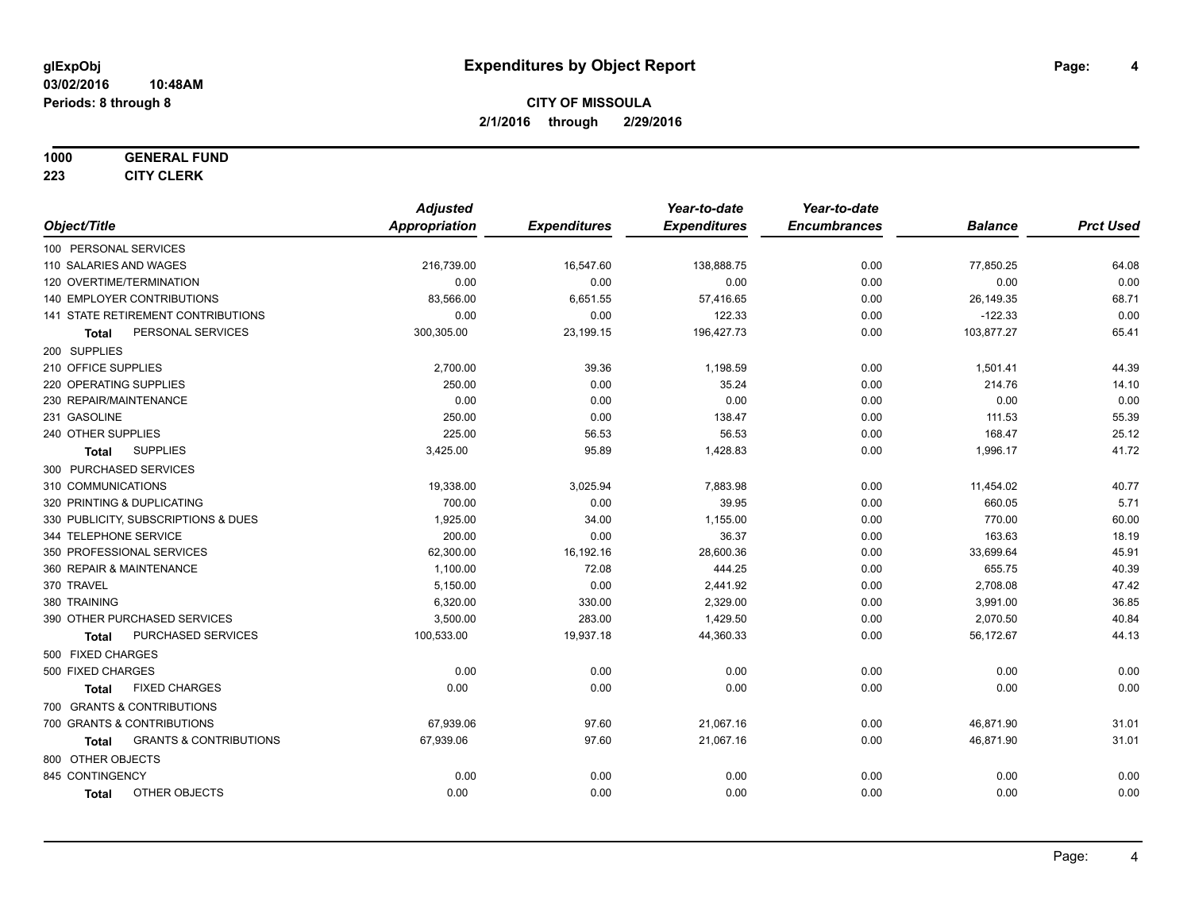#### **1000 GENERAL FUND**

**223 CITY CLERK**

|                                                   | <b>Adjusted</b> |                     | Year-to-date        | Year-to-date        |                |                  |
|---------------------------------------------------|-----------------|---------------------|---------------------|---------------------|----------------|------------------|
| Object/Title                                      | Appropriation   | <b>Expenditures</b> | <b>Expenditures</b> | <b>Encumbrances</b> | <b>Balance</b> | <b>Prct Used</b> |
| 100 PERSONAL SERVICES                             |                 |                     |                     |                     |                |                  |
| 110 SALARIES AND WAGES                            | 216,739.00      | 16,547.60           | 138,888.75          | 0.00                | 77,850.25      | 64.08            |
| 120 OVERTIME/TERMINATION                          | 0.00            | 0.00                | 0.00                | 0.00                | 0.00           | 0.00             |
| 140 EMPLOYER CONTRIBUTIONS                        | 83,566.00       | 6,651.55            | 57,416.65           | 0.00                | 26,149.35      | 68.71            |
| 141 STATE RETIREMENT CONTRIBUTIONS                | 0.00            | 0.00                | 122.33              | 0.00                | $-122.33$      | 0.00             |
| PERSONAL SERVICES<br>Total                        | 300,305.00      | 23,199.15           | 196,427.73          | 0.00                | 103,877.27     | 65.41            |
| 200 SUPPLIES                                      |                 |                     |                     |                     |                |                  |
| 210 OFFICE SUPPLIES                               | 2,700.00        | 39.36               | 1,198.59            | 0.00                | 1,501.41       | 44.39            |
| 220 OPERATING SUPPLIES                            | 250.00          | 0.00                | 35.24               | 0.00                | 214.76         | 14.10            |
| 230 REPAIR/MAINTENANCE                            | 0.00            | 0.00                | 0.00                | 0.00                | 0.00           | 0.00             |
| 231 GASOLINE                                      | 250.00          | 0.00                | 138.47              | 0.00                | 111.53         | 55.39            |
| 240 OTHER SUPPLIES                                | 225.00          | 56.53               | 56.53               | 0.00                | 168.47         | 25.12            |
| <b>SUPPLIES</b><br><b>Total</b>                   | 3,425.00        | 95.89               | 1,428.83            | 0.00                | 1,996.17       | 41.72            |
| 300 PURCHASED SERVICES                            |                 |                     |                     |                     |                |                  |
| 310 COMMUNICATIONS                                | 19,338.00       | 3,025.94            | 7,883.98            | 0.00                | 11,454.02      | 40.77            |
| 320 PRINTING & DUPLICATING                        | 700.00          | 0.00                | 39.95               | 0.00                | 660.05         | 5.71             |
| 330 PUBLICITY, SUBSCRIPTIONS & DUES               | 1,925.00        | 34.00               | 1,155.00            | 0.00                | 770.00         | 60.00            |
| 344 TELEPHONE SERVICE                             | 200.00          | 0.00                | 36.37               | 0.00                | 163.63         | 18.19            |
| 350 PROFESSIONAL SERVICES                         | 62,300.00       | 16,192.16           | 28,600.36           | 0.00                | 33,699.64      | 45.91            |
| 360 REPAIR & MAINTENANCE                          | 1,100.00        | 72.08               | 444.25              | 0.00                | 655.75         | 40.39            |
| 370 TRAVEL                                        | 5,150.00        | 0.00                | 2,441.92            | 0.00                | 2,708.08       | 47.42            |
| 380 TRAINING                                      | 6,320.00        | 330.00              | 2,329.00            | 0.00                | 3,991.00       | 36.85            |
| 390 OTHER PURCHASED SERVICES                      | 3,500.00        | 283.00              | 1,429.50            | 0.00                | 2,070.50       | 40.84            |
| PURCHASED SERVICES<br><b>Total</b>                | 100,533.00      | 19,937.18           | 44,360.33           | 0.00                | 56,172.67      | 44.13            |
| 500 FIXED CHARGES                                 |                 |                     |                     |                     |                |                  |
| 500 FIXED CHARGES                                 | 0.00            | 0.00                | 0.00                | 0.00                | 0.00           | 0.00             |
| <b>FIXED CHARGES</b><br><b>Total</b>              | 0.00            | 0.00                | 0.00                | 0.00                | 0.00           | 0.00             |
| 700 GRANTS & CONTRIBUTIONS                        |                 |                     |                     |                     |                |                  |
| 700 GRANTS & CONTRIBUTIONS                        | 67,939.06       | 97.60               | 21,067.16           | 0.00                | 46,871.90      | 31.01            |
| <b>GRANTS &amp; CONTRIBUTIONS</b><br><b>Total</b> | 67,939.06       | 97.60               | 21,067.16           | 0.00                | 46,871.90      | 31.01            |
| 800 OTHER OBJECTS                                 |                 |                     |                     |                     |                |                  |
| 845 CONTINGENCY                                   | 0.00            | 0.00                | 0.00                | 0.00                | 0.00           | 0.00             |
| OTHER OBJECTS<br><b>Total</b>                     | 0.00            | 0.00                | 0.00                | 0.00                | 0.00           | 0.00             |
|                                                   |                 |                     |                     |                     |                |                  |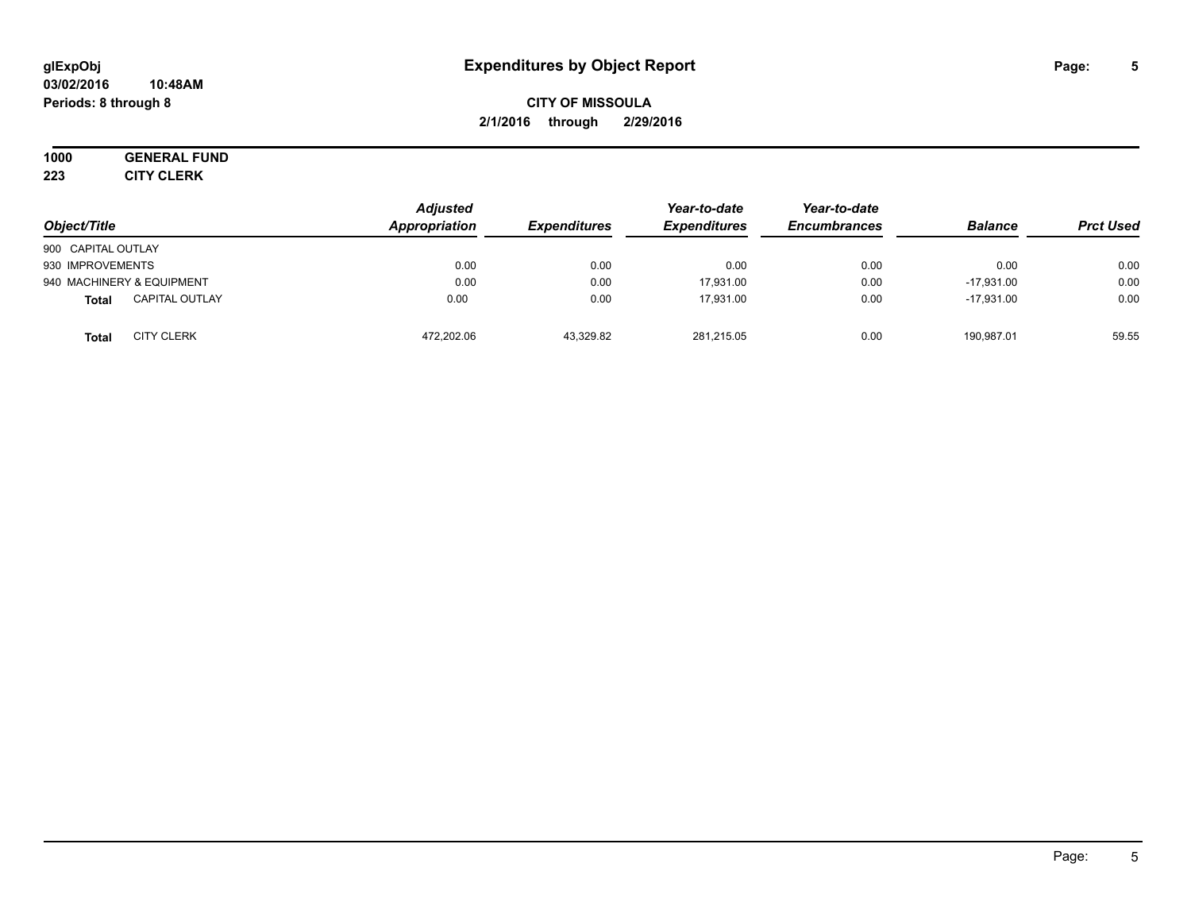#### **03/02/2016 10:48AM Periods: 8 through 8**

## **CITY OF MISSOULA 2/1/2016 through 2/29/2016**

# **1000 GENERAL FUND**

**223 CITY CLERK**

| Object/Title                          | <b>Adjusted</b><br>Appropriation | <b>Expenditures</b> | Year-to-date<br><b>Expenditures</b> | Year-to-date<br><b>Encumbrances</b> | <b>Balance</b> | <b>Prct Used</b> |
|---------------------------------------|----------------------------------|---------------------|-------------------------------------|-------------------------------------|----------------|------------------|
| 900 CAPITAL OUTLAY                    |                                  |                     |                                     |                                     |                |                  |
| 930 IMPROVEMENTS                      | 0.00                             | 0.00                | 0.00                                | 0.00                                | 0.00           | 0.00             |
| 940 MACHINERY & EQUIPMENT             | 0.00                             | 0.00                | 17.931.00                           | 0.00                                | $-17.931.00$   | 0.00             |
| <b>CAPITAL OUTLAY</b><br><b>Total</b> | 0.00                             | 0.00                | 17.931.00                           | 0.00                                | $-17.931.00$   | 0.00             |
| <b>CITY CLERK</b><br><b>Total</b>     | 472.202.06                       | 43,329.82           | 281,215.05                          | 0.00                                | 190.987.01     | 59.55            |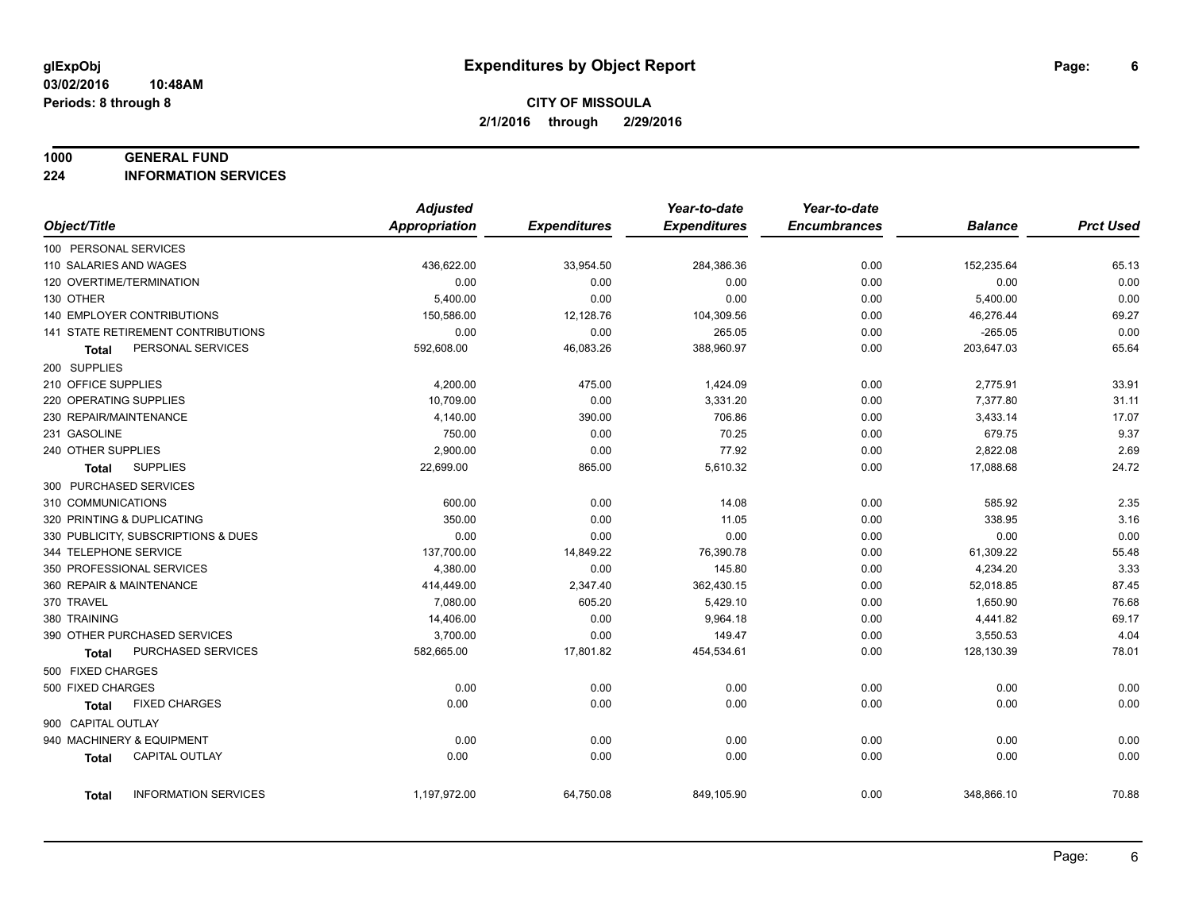#### **1000 GENERAL FUND**

**224 INFORMATION SERVICES**

|                                             | <b>Adjusted</b>      |                     | Year-to-date        | Year-to-date        |                |                  |
|---------------------------------------------|----------------------|---------------------|---------------------|---------------------|----------------|------------------|
| Object/Title                                | <b>Appropriation</b> | <b>Expenditures</b> | <b>Expenditures</b> | <b>Encumbrances</b> | <b>Balance</b> | <b>Prct Used</b> |
| 100 PERSONAL SERVICES                       |                      |                     |                     |                     |                |                  |
| 110 SALARIES AND WAGES                      | 436,622.00           | 33,954.50           | 284,386.36          | 0.00                | 152,235.64     | 65.13            |
| 120 OVERTIME/TERMINATION                    | 0.00                 | 0.00                | 0.00                | 0.00                | 0.00           | 0.00             |
| 130 OTHER                                   | 5,400.00             | 0.00                | 0.00                | 0.00                | 5,400.00       | 0.00             |
| 140 EMPLOYER CONTRIBUTIONS                  | 150,586.00           | 12,128.76           | 104,309.56          | 0.00                | 46,276.44      | 69.27            |
| 141 STATE RETIREMENT CONTRIBUTIONS          | 0.00                 | 0.00                | 265.05              | 0.00                | $-265.05$      | 0.00             |
| PERSONAL SERVICES<br>Total                  | 592,608.00           | 46,083.26           | 388,960.97          | 0.00                | 203,647.03     | 65.64            |
| 200 SUPPLIES                                |                      |                     |                     |                     |                |                  |
| 210 OFFICE SUPPLIES                         | 4,200.00             | 475.00              | 1,424.09            | 0.00                | 2,775.91       | 33.91            |
| 220 OPERATING SUPPLIES                      | 10,709.00            | 0.00                | 3,331.20            | 0.00                | 7,377.80       | 31.11            |
| 230 REPAIR/MAINTENANCE                      | 4,140.00             | 390.00              | 706.86              | 0.00                | 3,433.14       | 17.07            |
| 231 GASOLINE                                | 750.00               | 0.00                | 70.25               | 0.00                | 679.75         | 9.37             |
| 240 OTHER SUPPLIES                          | 2,900.00             | 0.00                | 77.92               | 0.00                | 2,822.08       | 2.69             |
| <b>SUPPLIES</b><br>Total                    | 22,699.00            | 865.00              | 5,610.32            | 0.00                | 17,088.68      | 24.72            |
| 300 PURCHASED SERVICES                      |                      |                     |                     |                     |                |                  |
| 310 COMMUNICATIONS                          | 600.00               | 0.00                | 14.08               | 0.00                | 585.92         | 2.35             |
| 320 PRINTING & DUPLICATING                  | 350.00               | 0.00                | 11.05               | 0.00                | 338.95         | 3.16             |
| 330 PUBLICITY, SUBSCRIPTIONS & DUES         | 0.00                 | 0.00                | 0.00                | 0.00                | 0.00           | 0.00             |
| 344 TELEPHONE SERVICE                       | 137,700.00           | 14,849.22           | 76,390.78           | 0.00                | 61,309.22      | 55.48            |
| 350 PROFESSIONAL SERVICES                   | 4,380.00             | 0.00                | 145.80              | 0.00                | 4,234.20       | 3.33             |
| 360 REPAIR & MAINTENANCE                    | 414,449.00           | 2,347.40            | 362,430.15          | 0.00                | 52,018.85      | 87.45            |
| 370 TRAVEL                                  | 7,080.00             | 605.20              | 5,429.10            | 0.00                | 1,650.90       | 76.68            |
| 380 TRAINING                                | 14,406.00            | 0.00                | 9,964.18            | 0.00                | 4,441.82       | 69.17            |
| 390 OTHER PURCHASED SERVICES                | 3,700.00             | 0.00                | 149.47              | 0.00                | 3,550.53       | 4.04             |
| PURCHASED SERVICES<br><b>Total</b>          | 582,665.00           | 17,801.82           | 454,534.61          | 0.00                | 128,130.39     | 78.01            |
| 500 FIXED CHARGES                           |                      |                     |                     |                     |                |                  |
| 500 FIXED CHARGES                           | 0.00                 | 0.00                | 0.00                | 0.00                | 0.00           | 0.00             |
| <b>FIXED CHARGES</b><br><b>Total</b>        | 0.00                 | 0.00                | 0.00                | 0.00                | 0.00           | 0.00             |
| 900 CAPITAL OUTLAY                          |                      |                     |                     |                     |                |                  |
| 940 MACHINERY & EQUIPMENT                   | 0.00                 | 0.00                | 0.00                | 0.00                | 0.00           | 0.00             |
| CAPITAL OUTLAY<br><b>Total</b>              | 0.00                 | 0.00                | 0.00                | 0.00                | 0.00           | 0.00             |
|                                             |                      |                     |                     |                     |                |                  |
| <b>INFORMATION SERVICES</b><br><b>Total</b> | 1,197,972.00         | 64,750.08           | 849,105.90          | 0.00                | 348,866.10     | 70.88            |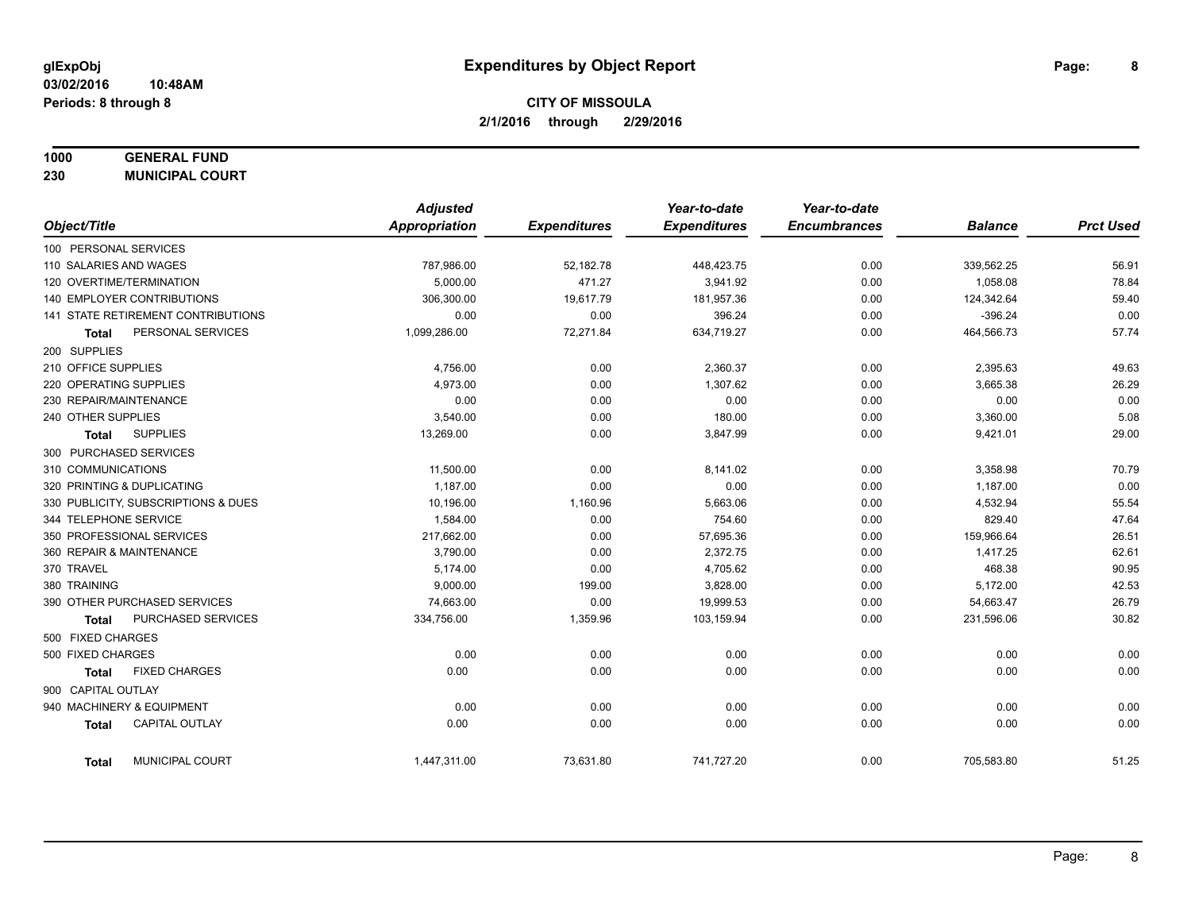## **1000 GENERAL FUND**

**230 MUNICIPAL COURT**

|                                       | <b>Adjusted</b> |                     | Year-to-date        | Year-to-date        |                |                  |
|---------------------------------------|-----------------|---------------------|---------------------|---------------------|----------------|------------------|
| Object/Title                          | Appropriation   | <b>Expenditures</b> | <b>Expenditures</b> | <b>Encumbrances</b> | <b>Balance</b> | <b>Prct Used</b> |
| 100 PERSONAL SERVICES                 |                 |                     |                     |                     |                |                  |
| 110 SALARIES AND WAGES                | 787,986.00      | 52,182.78           | 448,423.75          | 0.00                | 339,562.25     | 56.91            |
| 120 OVERTIME/TERMINATION              | 5.000.00        | 471.27              | 3,941.92            | 0.00                | 1,058.08       | 78.84            |
| 140 EMPLOYER CONTRIBUTIONS            | 306,300.00      | 19,617.79           | 181,957.36          | 0.00                | 124,342.64     | 59.40            |
| 141 STATE RETIREMENT CONTRIBUTIONS    | 0.00            | 0.00                | 396.24              | 0.00                | $-396.24$      | 0.00             |
| PERSONAL SERVICES<br><b>Total</b>     | 1,099,286.00    | 72,271.84           | 634,719.27          | 0.00                | 464,566.73     | 57.74            |
| 200 SUPPLIES                          |                 |                     |                     |                     |                |                  |
| 210 OFFICE SUPPLIES                   | 4,756.00        | 0.00                | 2,360.37            | 0.00                | 2,395.63       | 49.63            |
| 220 OPERATING SUPPLIES                | 4,973.00        | 0.00                | 1,307.62            | 0.00                | 3,665.38       | 26.29            |
| 230 REPAIR/MAINTENANCE                | 0.00            | 0.00                | 0.00                | 0.00                | 0.00           | 0.00             |
| 240 OTHER SUPPLIES                    | 3,540.00        | 0.00                | 180.00              | 0.00                | 3,360.00       | 5.08             |
| <b>SUPPLIES</b><br><b>Total</b>       | 13,269.00       | 0.00                | 3,847.99            | 0.00                | 9,421.01       | 29.00            |
| 300 PURCHASED SERVICES                |                 |                     |                     |                     |                |                  |
| 310 COMMUNICATIONS                    | 11,500.00       | 0.00                | 8,141.02            | 0.00                | 3,358.98       | 70.79            |
| 320 PRINTING & DUPLICATING            | 1,187.00        | 0.00                | 0.00                | 0.00                | 1,187.00       | 0.00             |
| 330 PUBLICITY, SUBSCRIPTIONS & DUES   | 10,196.00       | 1,160.96            | 5,663.06            | 0.00                | 4,532.94       | 55.54            |
| 344 TELEPHONE SERVICE                 | 1.584.00        | 0.00                | 754.60              | 0.00                | 829.40         | 47.64            |
| 350 PROFESSIONAL SERVICES             | 217,662.00      | 0.00                | 57,695.36           | 0.00                | 159,966.64     | 26.51            |
| 360 REPAIR & MAINTENANCE              | 3,790.00        | 0.00                | 2,372.75            | 0.00                | 1,417.25       | 62.61            |
| 370 TRAVEL                            | 5,174.00        | 0.00                | 4,705.62            | 0.00                | 468.38         | 90.95            |
| 380 TRAINING                          | 9,000.00        | 199.00              | 3,828.00            | 0.00                | 5,172.00       | 42.53            |
| 390 OTHER PURCHASED SERVICES          | 74,663.00       | 0.00                | 19,999.53           | 0.00                | 54,663.47      | 26.79            |
| PURCHASED SERVICES<br><b>Total</b>    | 334,756.00      | 1,359.96            | 103,159.94          | 0.00                | 231,596.06     | 30.82            |
| 500 FIXED CHARGES                     |                 |                     |                     |                     |                |                  |
| 500 FIXED CHARGES                     | 0.00            | 0.00                | 0.00                | 0.00                | 0.00           | 0.00             |
| <b>FIXED CHARGES</b><br><b>Total</b>  | 0.00            | 0.00                | 0.00                | 0.00                | 0.00           | 0.00             |
| 900 CAPITAL OUTLAY                    |                 |                     |                     |                     |                |                  |
| 940 MACHINERY & EQUIPMENT             | 0.00            | 0.00                | 0.00                | 0.00                | 0.00           | 0.00             |
| <b>CAPITAL OUTLAY</b><br><b>Total</b> | 0.00            | 0.00                | 0.00                | 0.00                | 0.00           | 0.00             |
| MUNICIPAL COURT<br><b>Total</b>       | 1,447,311.00    | 73,631.80           | 741,727.20          | 0.00                | 705,583.80     | 51.25            |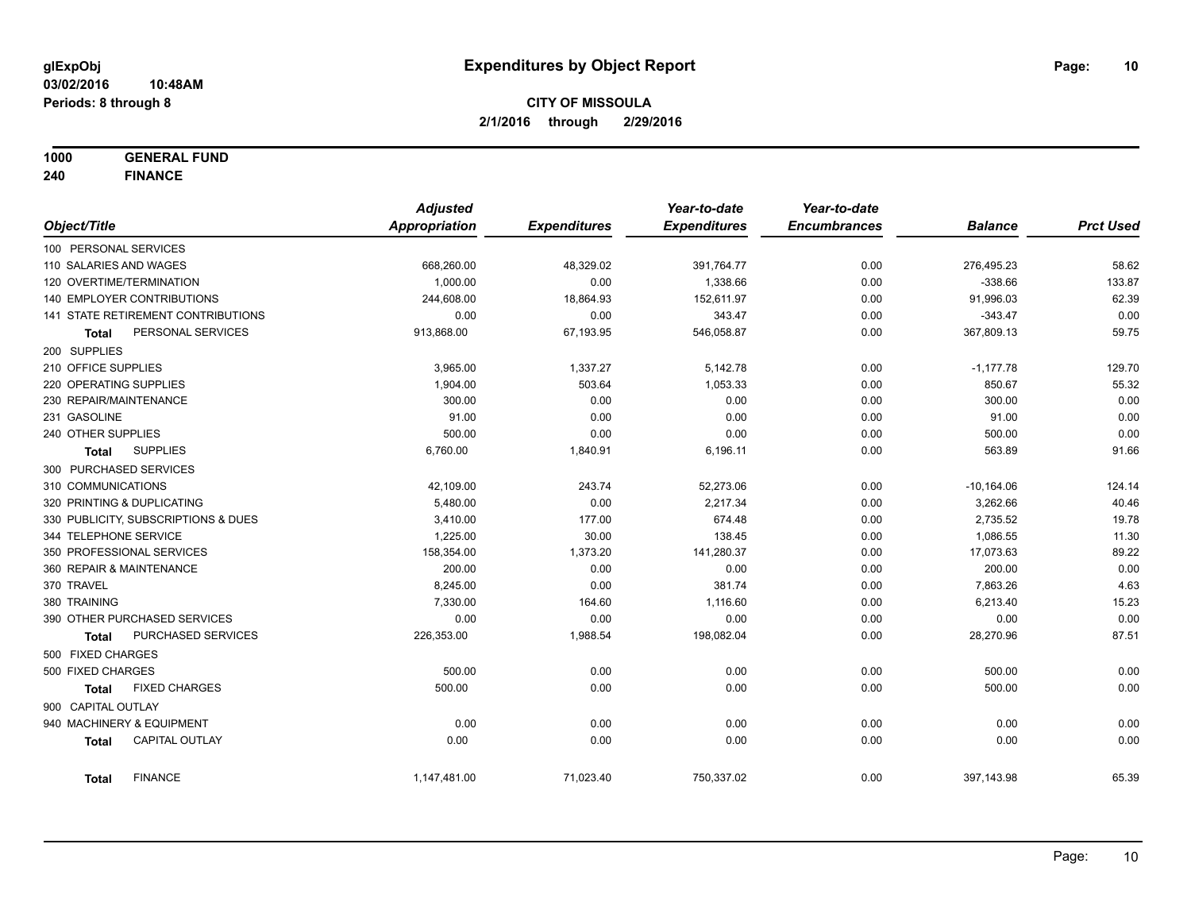**1000 GENERAL FUND**

**240 FINANCE**

|                                      | <b>Adjusted</b>      |                     | Year-to-date        | Year-to-date        |                |                  |
|--------------------------------------|----------------------|---------------------|---------------------|---------------------|----------------|------------------|
| Object/Title                         | <b>Appropriation</b> | <b>Expenditures</b> | <b>Expenditures</b> | <b>Encumbrances</b> | <b>Balance</b> | <b>Prct Used</b> |
| 100 PERSONAL SERVICES                |                      |                     |                     |                     |                |                  |
| 110 SALARIES AND WAGES               | 668,260.00           | 48,329.02           | 391,764.77          | 0.00                | 276,495.23     | 58.62            |
| 120 OVERTIME/TERMINATION             | 1,000.00             | 0.00                | 1,338.66            | 0.00                | $-338.66$      | 133.87           |
| <b>140 EMPLOYER CONTRIBUTIONS</b>    | 244,608.00           | 18,864.93           | 152,611.97          | 0.00                | 91,996.03      | 62.39            |
| 141 STATE RETIREMENT CONTRIBUTIONS   | 0.00                 | 0.00                | 343.47              | 0.00                | $-343.47$      | 0.00             |
| PERSONAL SERVICES<br>Total           | 913,868.00           | 67,193.95           | 546,058.87          | 0.00                | 367,809.13     | 59.75            |
| 200 SUPPLIES                         |                      |                     |                     |                     |                |                  |
| 210 OFFICE SUPPLIES                  | 3,965.00             | 1,337.27            | 5,142.78            | 0.00                | $-1,177.78$    | 129.70           |
| 220 OPERATING SUPPLIES               | 1,904.00             | 503.64              | 1,053.33            | 0.00                | 850.67         | 55.32            |
| 230 REPAIR/MAINTENANCE               | 300.00               | 0.00                | 0.00                | 0.00                | 300.00         | 0.00             |
| 231 GASOLINE                         | 91.00                | 0.00                | 0.00                | 0.00                | 91.00          | 0.00             |
| 240 OTHER SUPPLIES                   | 500.00               | 0.00                | 0.00                | 0.00                | 500.00         | 0.00             |
| <b>SUPPLIES</b><br>Total             | 6,760.00             | 1,840.91            | 6,196.11            | 0.00                | 563.89         | 91.66            |
| 300 PURCHASED SERVICES               |                      |                     |                     |                     |                |                  |
| 310 COMMUNICATIONS                   | 42,109.00            | 243.74              | 52,273.06           | 0.00                | $-10,164.06$   | 124.14           |
| 320 PRINTING & DUPLICATING           | 5,480.00             | 0.00                | 2,217.34            | 0.00                | 3,262.66       | 40.46            |
| 330 PUBLICITY, SUBSCRIPTIONS & DUES  | 3,410.00             | 177.00              | 674.48              | 0.00                | 2,735.52       | 19.78            |
| 344 TELEPHONE SERVICE                | 1,225.00             | 30.00               | 138.45              | 0.00                | 1,086.55       | 11.30            |
| 350 PROFESSIONAL SERVICES            | 158,354.00           | 1,373.20            | 141,280.37          | 0.00                | 17,073.63      | 89.22            |
| 360 REPAIR & MAINTENANCE             | 200.00               | 0.00                | 0.00                | 0.00                | 200.00         | 0.00             |
| 370 TRAVEL                           | 8.245.00             | 0.00                | 381.74              | 0.00                | 7,863.26       | 4.63             |
| 380 TRAINING                         | 7,330.00             | 164.60              | 1,116.60            | 0.00                | 6,213.40       | 15.23            |
| 390 OTHER PURCHASED SERVICES         | 0.00                 | 0.00                | 0.00                | 0.00                | 0.00           | 0.00             |
| PURCHASED SERVICES<br><b>Total</b>   | 226,353.00           | 1,988.54            | 198,082.04          | 0.00                | 28,270.96      | 87.51            |
| 500 FIXED CHARGES                    |                      |                     |                     |                     |                |                  |
| 500 FIXED CHARGES                    | 500.00               | 0.00                | 0.00                | 0.00                | 500.00         | 0.00             |
| <b>FIXED CHARGES</b><br><b>Total</b> | 500.00               | 0.00                | 0.00                | 0.00                | 500.00         | 0.00             |
| 900 CAPITAL OUTLAY                   |                      |                     |                     |                     |                |                  |
| 940 MACHINERY & EQUIPMENT            | 0.00                 | 0.00                | 0.00                | 0.00                | 0.00           | 0.00             |
| CAPITAL OUTLAY<br><b>Total</b>       | 0.00                 | 0.00                | 0.00                | 0.00                | 0.00           | 0.00             |
| <b>FINANCE</b><br><b>Total</b>       | 1,147,481.00         | 71,023.40           | 750,337.02          | 0.00                | 397,143.98     | 65.39            |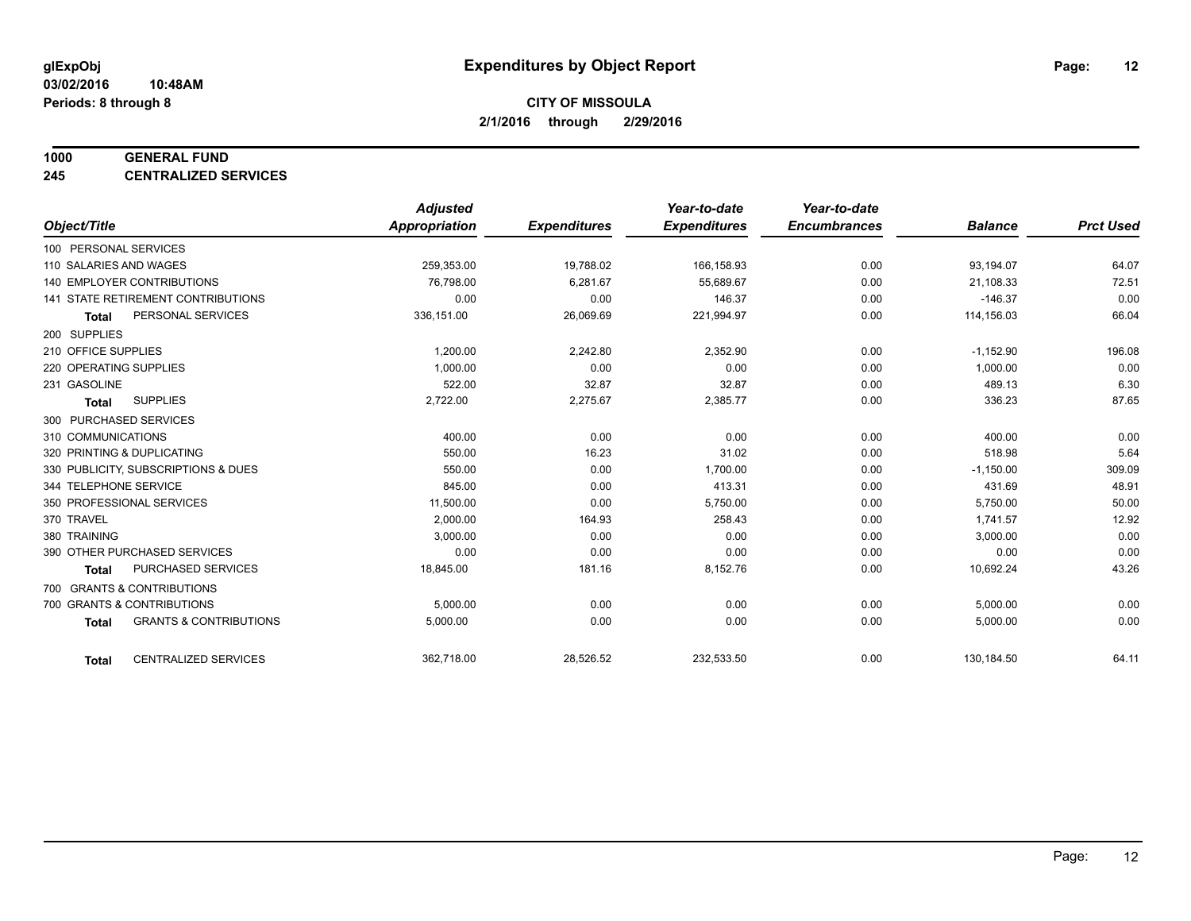#### **1000 GENERAL FUND**

**245 CENTRALIZED SERVICES**

|                                                   | <b>Adjusted</b> |                     | Year-to-date        | Year-to-date        |                |                  |
|---------------------------------------------------|-----------------|---------------------|---------------------|---------------------|----------------|------------------|
| Object/Title                                      | Appropriation   | <b>Expenditures</b> | <b>Expenditures</b> | <b>Encumbrances</b> | <b>Balance</b> | <b>Prct Used</b> |
| 100 PERSONAL SERVICES                             |                 |                     |                     |                     |                |                  |
| 110 SALARIES AND WAGES                            | 259,353.00      | 19,788.02           | 166,158.93          | 0.00                | 93,194.07      | 64.07            |
| 140 EMPLOYER CONTRIBUTIONS                        | 76,798.00       | 6,281.67            | 55.689.67           | 0.00                | 21,108.33      | 72.51            |
| 141 STATE RETIREMENT CONTRIBUTIONS                | 0.00            | 0.00                | 146.37              | 0.00                | $-146.37$      | 0.00             |
| PERSONAL SERVICES<br><b>Total</b>                 | 336,151.00      | 26,069.69           | 221,994.97          | 0.00                | 114,156.03     | 66.04            |
| 200 SUPPLIES                                      |                 |                     |                     |                     |                |                  |
| 210 OFFICE SUPPLIES                               | 1,200.00        | 2,242.80            | 2,352.90            | 0.00                | $-1,152.90$    | 196.08           |
| 220 OPERATING SUPPLIES                            | 1.000.00        | 0.00                | 0.00                | 0.00                | 1,000.00       | 0.00             |
| 231 GASOLINE                                      | 522.00          | 32.87               | 32.87               | 0.00                | 489.13         | 6.30             |
| <b>SUPPLIES</b><br><b>Total</b>                   | 2,722.00        | 2,275.67            | 2,385.77            | 0.00                | 336.23         | 87.65            |
| 300 PURCHASED SERVICES                            |                 |                     |                     |                     |                |                  |
| 310 COMMUNICATIONS                                | 400.00          | 0.00                | 0.00                | 0.00                | 400.00         | 0.00             |
| 320 PRINTING & DUPLICATING                        | 550.00          | 16.23               | 31.02               | 0.00                | 518.98         | 5.64             |
| 330 PUBLICITY, SUBSCRIPTIONS & DUES               | 550.00          | 0.00                | 1,700.00            | 0.00                | $-1,150.00$    | 309.09           |
| 344 TELEPHONE SERVICE                             | 845.00          | 0.00                | 413.31              | 0.00                | 431.69         | 48.91            |
| 350 PROFESSIONAL SERVICES                         | 11,500.00       | 0.00                | 5,750.00            | 0.00                | 5,750.00       | 50.00            |
| 370 TRAVEL                                        | 2,000.00        | 164.93              | 258.43              | 0.00                | 1,741.57       | 12.92            |
| 380 TRAINING                                      | 3,000.00        | 0.00                | 0.00                | 0.00                | 3,000.00       | 0.00             |
| 390 OTHER PURCHASED SERVICES                      | 0.00            | 0.00                | 0.00                | 0.00                | 0.00           | 0.00             |
| <b>PURCHASED SERVICES</b><br><b>Total</b>         | 18,845.00       | 181.16              | 8,152.76            | 0.00                | 10,692.24      | 43.26            |
| 700 GRANTS & CONTRIBUTIONS                        |                 |                     |                     |                     |                |                  |
| 700 GRANTS & CONTRIBUTIONS                        | 5,000.00        | 0.00                | 0.00                | 0.00                | 5,000.00       | 0.00             |
| <b>GRANTS &amp; CONTRIBUTIONS</b><br><b>Total</b> | 5,000.00        | 0.00                | 0.00                | 0.00                | 5,000.00       | 0.00             |
|                                                   |                 |                     |                     |                     |                |                  |
| <b>CENTRALIZED SERVICES</b><br><b>Total</b>       | 362,718.00      | 28,526.52           | 232,533.50          | 0.00                | 130,184.50     | 64.11            |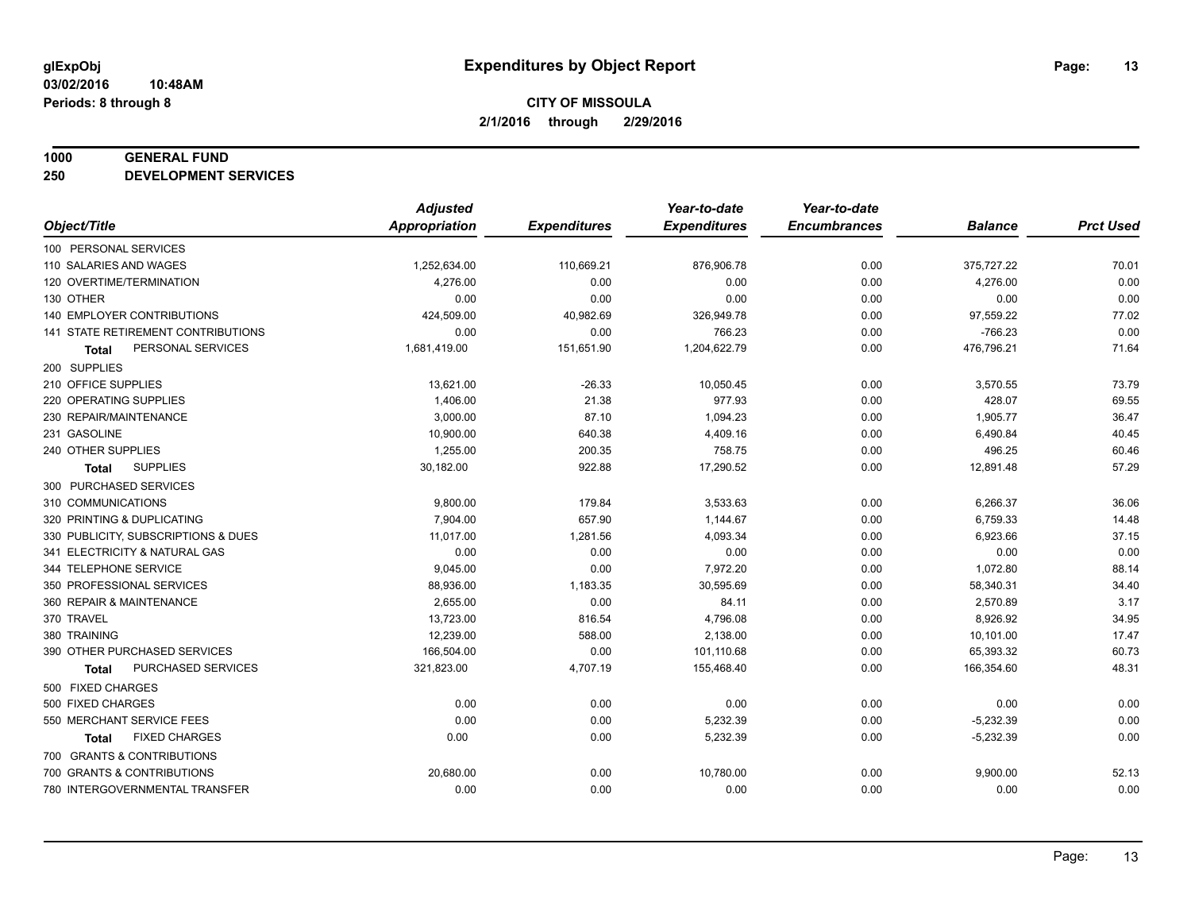#### **1000 GENERAL FUND**

**250 DEVELOPMENT SERVICES**

|                                     | <b>Adjusted</b> |                     | Year-to-date        | Year-to-date        |                |                  |
|-------------------------------------|-----------------|---------------------|---------------------|---------------------|----------------|------------------|
| Object/Title                        | Appropriation   | <b>Expenditures</b> | <b>Expenditures</b> | <b>Encumbrances</b> | <b>Balance</b> | <b>Prct Used</b> |
| 100 PERSONAL SERVICES               |                 |                     |                     |                     |                |                  |
| 110 SALARIES AND WAGES              | 1,252,634.00    | 110,669.21          | 876,906.78          | 0.00                | 375,727.22     | 70.01            |
| 120 OVERTIME/TERMINATION            | 4,276.00        | 0.00                | 0.00                | 0.00                | 4,276.00       | 0.00             |
| 130 OTHER                           | 0.00            | 0.00                | 0.00                | 0.00                | 0.00           | 0.00             |
| 140 EMPLOYER CONTRIBUTIONS          | 424,509.00      | 40,982.69           | 326,949.78          | 0.00                | 97,559.22      | 77.02            |
| 141 STATE RETIREMENT CONTRIBUTIONS  | 0.00            | 0.00                | 766.23              | 0.00                | $-766.23$      | 0.00             |
| PERSONAL SERVICES<br>Total          | 1,681,419.00    | 151,651.90          | 1,204,622.79        | 0.00                | 476,796.21     | 71.64            |
| 200 SUPPLIES                        |                 |                     |                     |                     |                |                  |
| 210 OFFICE SUPPLIES                 | 13,621.00       | $-26.33$            | 10,050.45           | 0.00                | 3,570.55       | 73.79            |
| 220 OPERATING SUPPLIES              | 1,406.00        | 21.38               | 977.93              | 0.00                | 428.07         | 69.55            |
| 230 REPAIR/MAINTENANCE              | 3,000.00        | 87.10               | 1,094.23            | 0.00                | 1,905.77       | 36.47            |
| 231 GASOLINE                        | 10,900.00       | 640.38              | 4,409.16            | 0.00                | 6,490.84       | 40.45            |
| 240 OTHER SUPPLIES                  | 1,255.00        | 200.35              | 758.75              | 0.00                | 496.25         | 60.46            |
| <b>SUPPLIES</b><br><b>Total</b>     | 30,182.00       | 922.88              | 17,290.52           | 0.00                | 12,891.48      | 57.29            |
| 300 PURCHASED SERVICES              |                 |                     |                     |                     |                |                  |
| 310 COMMUNICATIONS                  | 9,800.00        | 179.84              | 3,533.63            | 0.00                | 6,266.37       | 36.06            |
| 320 PRINTING & DUPLICATING          | 7,904.00        | 657.90              | 1,144.67            | 0.00                | 6,759.33       | 14.48            |
| 330 PUBLICITY, SUBSCRIPTIONS & DUES | 11,017.00       | 1,281.56            | 4,093.34            | 0.00                | 6,923.66       | 37.15            |
| 341 ELECTRICITY & NATURAL GAS       | 0.00            | 0.00                | 0.00                | 0.00                | 0.00           | 0.00             |
| 344 TELEPHONE SERVICE               | 9,045.00        | 0.00                | 7,972.20            | 0.00                | 1,072.80       | 88.14            |
| 350 PROFESSIONAL SERVICES           | 88,936.00       | 1,183.35            | 30,595.69           | 0.00                | 58,340.31      | 34.40            |
| 360 REPAIR & MAINTENANCE            | 2,655.00        | 0.00                | 84.11               | 0.00                | 2,570.89       | 3.17             |
| 370 TRAVEL                          | 13,723.00       | 816.54              | 4,796.08            | 0.00                | 8,926.92       | 34.95            |
| 380 TRAINING                        | 12,239.00       | 588.00              | 2,138.00            | 0.00                | 10,101.00      | 17.47            |
| 390 OTHER PURCHASED SERVICES        | 166,504.00      | 0.00                | 101,110.68          | 0.00                | 65,393.32      | 60.73            |
| PURCHASED SERVICES<br><b>Total</b>  | 321,823.00      | 4,707.19            | 155,468.40          | 0.00                | 166,354.60     | 48.31            |
| 500 FIXED CHARGES                   |                 |                     |                     |                     |                |                  |
| 500 FIXED CHARGES                   | 0.00            | 0.00                | 0.00                | 0.00                | 0.00           | 0.00             |
| 550 MERCHANT SERVICE FEES           | 0.00            | 0.00                | 5,232.39            | 0.00                | $-5,232.39$    | 0.00             |
| <b>FIXED CHARGES</b><br>Total       | 0.00            | 0.00                | 5,232.39            | 0.00                | $-5,232.39$    | 0.00             |
| 700 GRANTS & CONTRIBUTIONS          |                 |                     |                     |                     |                |                  |
| 700 GRANTS & CONTRIBUTIONS          | 20,680.00       | 0.00                | 10,780.00           | 0.00                | 9,900.00       | 52.13            |
| 780 INTERGOVERNMENTAL TRANSFER      | 0.00            | 0.00                | 0.00                | 0.00                | 0.00           | 0.00             |
|                                     |                 |                     |                     |                     |                |                  |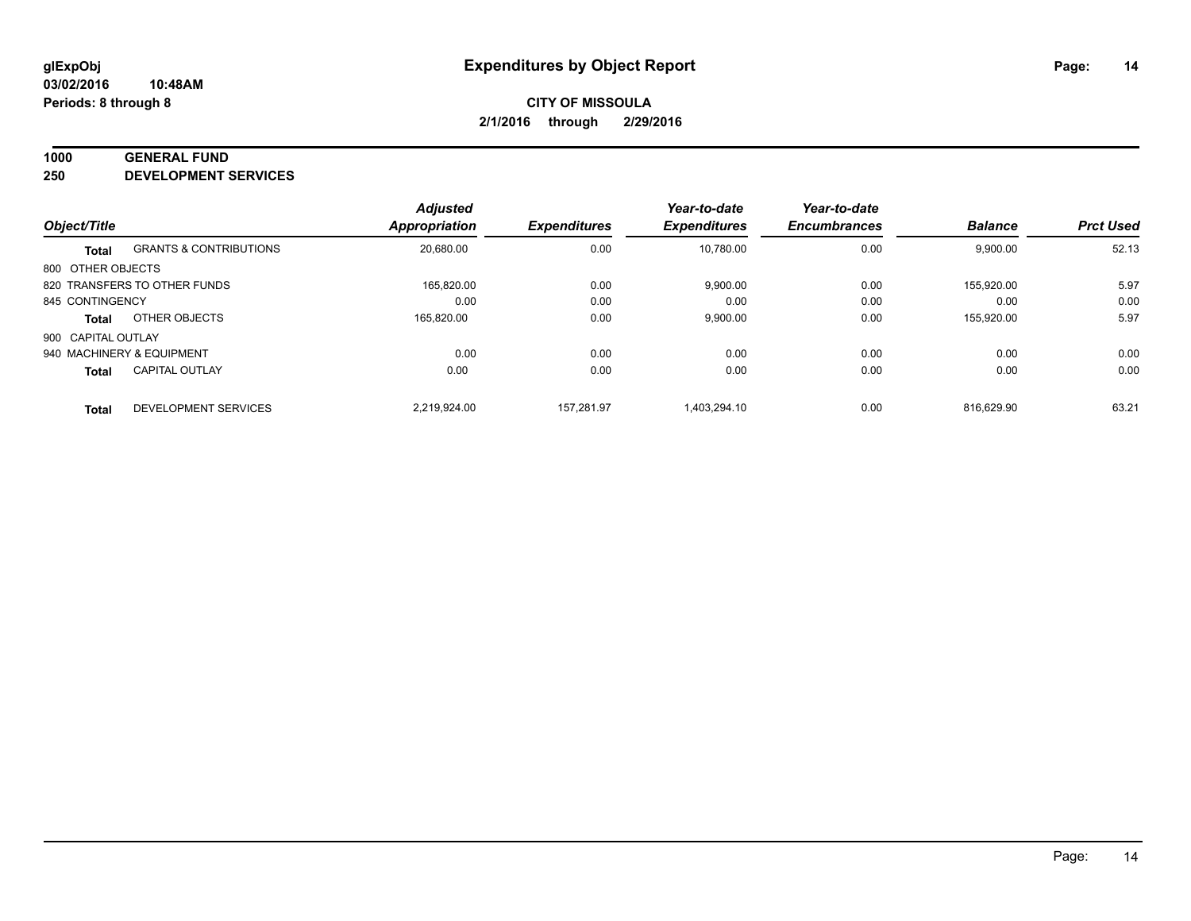#### **1000 GENERAL FUND**

**250 DEVELOPMENT SERVICES**

|                    |                                   | <b>Adjusted</b>      | <b>Expenditures</b> | Year-to-date        | Year-to-date<br><b>Encumbrances</b> | <b>Balance</b> | <b>Prct Used</b> |
|--------------------|-----------------------------------|----------------------|---------------------|---------------------|-------------------------------------|----------------|------------------|
| Object/Title       |                                   | <b>Appropriation</b> |                     | <b>Expenditures</b> |                                     |                |                  |
| <b>Total</b>       | <b>GRANTS &amp; CONTRIBUTIONS</b> | 20,680.00            | 0.00                | 10.780.00           | 0.00                                | 9,900.00       | 52.13            |
| 800 OTHER OBJECTS  |                                   |                      |                     |                     |                                     |                |                  |
|                    | 820 TRANSFERS TO OTHER FUNDS      | 165.820.00           | 0.00                | 9,900.00            | 0.00                                | 155.920.00     | 5.97             |
| 845 CONTINGENCY    |                                   | 0.00                 | 0.00                | 0.00                | 0.00                                | 0.00           | 0.00             |
| <b>Total</b>       | OTHER OBJECTS                     | 165,820.00           | 0.00                | 9,900.00            | 0.00                                | 155,920.00     | 5.97             |
| 900 CAPITAL OUTLAY |                                   |                      |                     |                     |                                     |                |                  |
|                    | 940 MACHINERY & EQUIPMENT         | 0.00                 | 0.00                | 0.00                | 0.00                                | 0.00           | 0.00             |
| <b>Total</b>       | <b>CAPITAL OUTLAY</b>             | 0.00                 | 0.00                | 0.00                | 0.00                                | 0.00           | 0.00             |
| <b>Total</b>       | DEVELOPMENT SERVICES              | 2.219.924.00         | 157.281.97          | 1.403.294.10        | 0.00                                | 816.629.90     | 63.21            |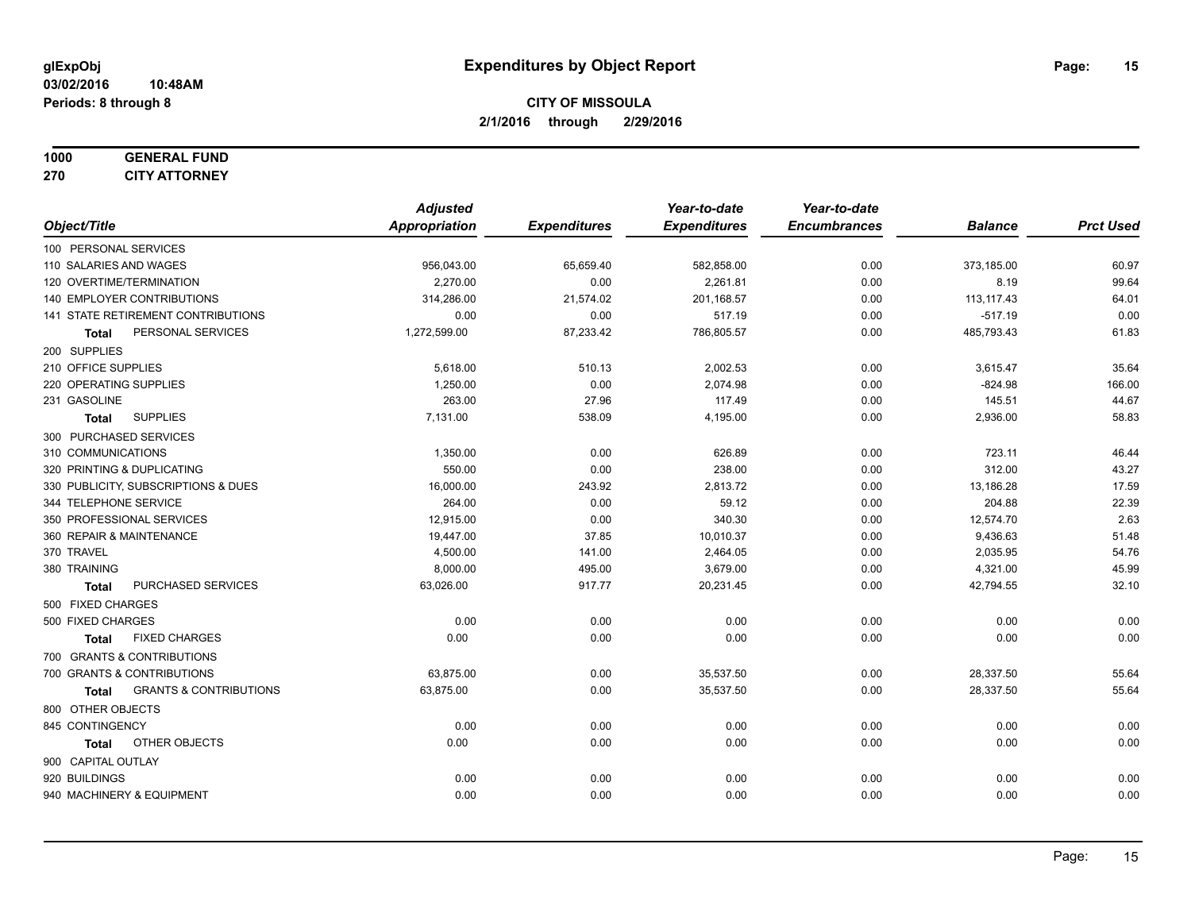## **1000 GENERAL FUND**

**270 CITY ATTORNEY**

|                                            | <b>Adjusted</b> |                     | Year-to-date        | Year-to-date        |                |                  |
|--------------------------------------------|-----------------|---------------------|---------------------|---------------------|----------------|------------------|
| Object/Title                               | Appropriation   | <b>Expenditures</b> | <b>Expenditures</b> | <b>Encumbrances</b> | <b>Balance</b> | <b>Prct Used</b> |
| 100 PERSONAL SERVICES                      |                 |                     |                     |                     |                |                  |
| 110 SALARIES AND WAGES                     | 956,043.00      | 65,659.40           | 582,858.00          | 0.00                | 373,185.00     | 60.97            |
| 120 OVERTIME/TERMINATION                   | 2,270.00        | 0.00                | 2,261.81            | 0.00                | 8.19           | 99.64            |
| <b>140 EMPLOYER CONTRIBUTIONS</b>          | 314,286.00      | 21,574.02           | 201,168.57          | 0.00                | 113, 117.43    | 64.01            |
| 141 STATE RETIREMENT CONTRIBUTIONS         | 0.00            | 0.00                | 517.19              | 0.00                | $-517.19$      | 0.00             |
| PERSONAL SERVICES<br>Total                 | 1,272,599.00    | 87,233.42           | 786,805.57          | 0.00                | 485,793.43     | 61.83            |
| 200 SUPPLIES                               |                 |                     |                     |                     |                |                  |
| 210 OFFICE SUPPLIES                        | 5,618.00        | 510.13              | 2,002.53            | 0.00                | 3,615.47       | 35.64            |
| 220 OPERATING SUPPLIES                     | 1.250.00        | 0.00                | 2.074.98            | 0.00                | $-824.98$      | 166.00           |
| 231 GASOLINE                               | 263.00          | 27.96               | 117.49              | 0.00                | 145.51         | 44.67            |
| <b>SUPPLIES</b><br><b>Total</b>            | 7,131.00        | 538.09              | 4,195.00            | 0.00                | 2,936.00       | 58.83            |
| 300 PURCHASED SERVICES                     |                 |                     |                     |                     |                |                  |
| 310 COMMUNICATIONS                         | 1,350.00        | 0.00                | 626.89              | 0.00                | 723.11         | 46.44            |
| 320 PRINTING & DUPLICATING                 | 550.00          | 0.00                | 238.00              | 0.00                | 312.00         | 43.27            |
| 330 PUBLICITY, SUBSCRIPTIONS & DUES        | 16,000.00       | 243.92              | 2,813.72            | 0.00                | 13,186.28      | 17.59            |
| 344 TELEPHONE SERVICE                      | 264.00          | 0.00                | 59.12               | 0.00                | 204.88         | 22.39            |
| 350 PROFESSIONAL SERVICES                  | 12,915.00       | 0.00                | 340.30              | 0.00                | 12,574.70      | 2.63             |
| 360 REPAIR & MAINTENANCE                   | 19,447.00       | 37.85               | 10,010.37           | 0.00                | 9,436.63       | 51.48            |
| 370 TRAVEL                                 | 4,500.00        | 141.00              | 2,464.05            | 0.00                | 2,035.95       | 54.76            |
| 380 TRAINING                               | 8,000.00        | 495.00              | 3,679.00            | 0.00                | 4,321.00       | 45.99            |
| PURCHASED SERVICES<br><b>Total</b>         | 63,026.00       | 917.77              | 20,231.45           | 0.00                | 42,794.55      | 32.10            |
| 500 FIXED CHARGES                          |                 |                     |                     |                     |                |                  |
| 500 FIXED CHARGES                          | 0.00            | 0.00                | 0.00                | 0.00                | 0.00           | 0.00             |
| <b>FIXED CHARGES</b><br><b>Total</b>       | 0.00            | 0.00                | 0.00                | 0.00                | 0.00           | 0.00             |
| 700 GRANTS & CONTRIBUTIONS                 |                 |                     |                     |                     |                |                  |
| 700 GRANTS & CONTRIBUTIONS                 | 63,875.00       | 0.00                | 35,537.50           | 0.00                | 28,337.50      | 55.64            |
| <b>GRANTS &amp; CONTRIBUTIONS</b><br>Total | 63,875.00       | 0.00                | 35,537.50           | 0.00                | 28,337.50      | 55.64            |
| 800 OTHER OBJECTS                          |                 |                     |                     |                     |                |                  |
| 845 CONTINGENCY                            | 0.00            | 0.00                | 0.00                | 0.00                | 0.00           | 0.00             |
| OTHER OBJECTS<br>Total                     | 0.00            | 0.00                | 0.00                | 0.00                | 0.00           | 0.00             |
| 900 CAPITAL OUTLAY                         |                 |                     |                     |                     |                |                  |
| 920 BUILDINGS                              | 0.00            | 0.00                | 0.00                | 0.00                | 0.00           | 0.00             |
| 940 MACHINERY & EQUIPMENT                  | 0.00            | 0.00                | 0.00                | 0.00                | 0.00           | 0.00             |
|                                            |                 |                     |                     |                     |                |                  |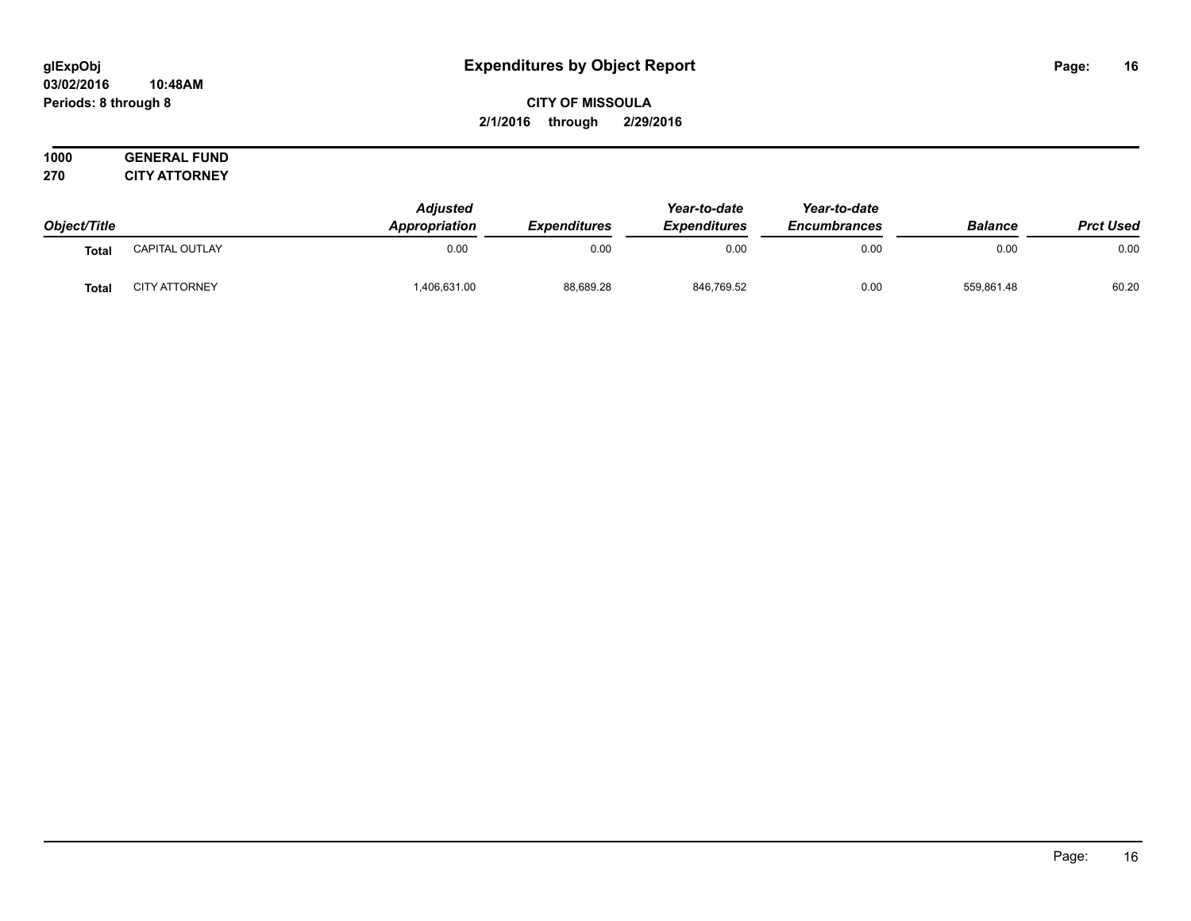#### **03/02/2016 10:48AM Periods: 8 through 8**

## **CITY OF MISSOULA 2/1/2016 through 2/29/2016**

## **1000 GENERAL FUND 270 CITY ATTORNEY**

|              |                      | <b>Adjusted</b> |                     | Year-to-date        | Year-to-date        |                |                  |
|--------------|----------------------|-----------------|---------------------|---------------------|---------------------|----------------|------------------|
| Object/Title |                      | Appropriation   | <b>Expenditures</b> | <b>Expenditures</b> | <b>Encumbrances</b> | <b>Balance</b> | <b>Prct Used</b> |
| Tota         | CAPITAL OUTLAY       | 0.00            | 0.00                | 0.00                | 0.00                | 0.00           | 0.00             |
| Tota         | <b>CITY ATTORNEY</b> | 1,406,631.00    | 88,689.28           | 846,769.52          | 0.00                | 559,861.48     | 60.20            |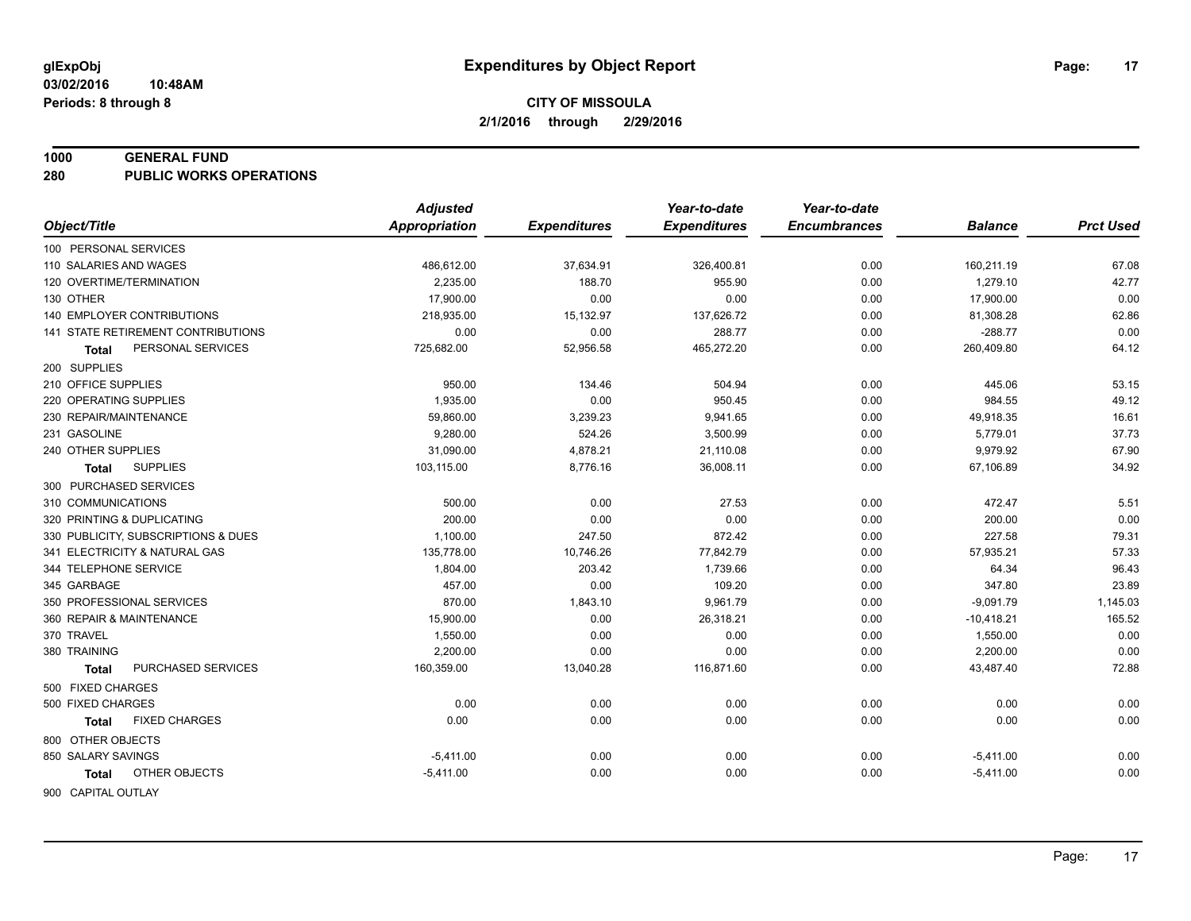#### **1000 GENERAL FUND**

**280 PUBLIC WORKS OPERATIONS**

| <b>Expenditures</b><br>Object/Title<br><b>Appropriation</b><br><b>Expenditures</b><br><b>Encumbrances</b><br><b>Balance</b><br>100 PERSONAL SERVICES<br>110 SALARIES AND WAGES<br>486,612.00<br>37,634.91<br>326,400.81<br>0.00<br>160,211.19<br>120 OVERTIME/TERMINATION<br>2.235.00<br>188.70<br>1,279.10<br>955.90<br>0.00<br>130 OTHER<br>17,900.00<br>0.00<br>0.00<br>0.00<br>17,900.00<br><b>140 EMPLOYER CONTRIBUTIONS</b><br>218,935.00<br>15,132.97<br>137,626.72<br>0.00<br>81,308.28<br>141 STATE RETIREMENT CONTRIBUTIONS<br>$-288.77$<br>0.00<br>0.00<br>288.77<br>0.00<br>465,272.20<br>PERSONAL SERVICES<br>725,682.00<br>52,956.58<br>0.00<br>260,409.80<br>Total<br>200 SUPPLIES<br>210 OFFICE SUPPLIES<br>950.00<br>504.94<br>445.06<br>134.46<br>0.00<br>220 OPERATING SUPPLIES<br>1,935.00<br>0.00<br>950.45<br>984.55<br>0.00<br>59,860.00<br>3,239.23<br>9,941.65<br>0.00<br>49,918.35<br>230 REPAIR/MAINTENANCE<br>524.26<br>231 GASOLINE<br>9,280.00<br>3,500.99<br>5,779.01<br>0.00 |                    | <b>Adjusted</b> |          | Year-to-date | Year-to-date |          |                  |
|--------------------------------------------------------------------------------------------------------------------------------------------------------------------------------------------------------------------------------------------------------------------------------------------------------------------------------------------------------------------------------------------------------------------------------------------------------------------------------------------------------------------------------------------------------------------------------------------------------------------------------------------------------------------------------------------------------------------------------------------------------------------------------------------------------------------------------------------------------------------------------------------------------------------------------------------------------------------------------------------------------------|--------------------|-----------------|----------|--------------|--------------|----------|------------------|
|                                                                                                                                                                                                                                                                                                                                                                                                                                                                                                                                                                                                                                                                                                                                                                                                                                                                                                                                                                                                              |                    |                 |          |              |              |          | <b>Prct Used</b> |
|                                                                                                                                                                                                                                                                                                                                                                                                                                                                                                                                                                                                                                                                                                                                                                                                                                                                                                                                                                                                              |                    |                 |          |              |              |          |                  |
|                                                                                                                                                                                                                                                                                                                                                                                                                                                                                                                                                                                                                                                                                                                                                                                                                                                                                                                                                                                                              |                    |                 |          |              |              |          | 67.08            |
|                                                                                                                                                                                                                                                                                                                                                                                                                                                                                                                                                                                                                                                                                                                                                                                                                                                                                                                                                                                                              |                    |                 |          |              |              |          | 42.77            |
|                                                                                                                                                                                                                                                                                                                                                                                                                                                                                                                                                                                                                                                                                                                                                                                                                                                                                                                                                                                                              |                    |                 |          |              |              |          | 0.00             |
|                                                                                                                                                                                                                                                                                                                                                                                                                                                                                                                                                                                                                                                                                                                                                                                                                                                                                                                                                                                                              |                    |                 |          |              |              |          | 62.86            |
|                                                                                                                                                                                                                                                                                                                                                                                                                                                                                                                                                                                                                                                                                                                                                                                                                                                                                                                                                                                                              |                    |                 |          |              |              |          | 0.00             |
|                                                                                                                                                                                                                                                                                                                                                                                                                                                                                                                                                                                                                                                                                                                                                                                                                                                                                                                                                                                                              |                    |                 |          |              |              |          | 64.12            |
|                                                                                                                                                                                                                                                                                                                                                                                                                                                                                                                                                                                                                                                                                                                                                                                                                                                                                                                                                                                                              |                    |                 |          |              |              |          |                  |
|                                                                                                                                                                                                                                                                                                                                                                                                                                                                                                                                                                                                                                                                                                                                                                                                                                                                                                                                                                                                              |                    |                 |          |              |              |          | 53.15            |
|                                                                                                                                                                                                                                                                                                                                                                                                                                                                                                                                                                                                                                                                                                                                                                                                                                                                                                                                                                                                              |                    |                 |          |              |              |          | 49.12            |
|                                                                                                                                                                                                                                                                                                                                                                                                                                                                                                                                                                                                                                                                                                                                                                                                                                                                                                                                                                                                              |                    |                 |          |              |              |          | 16.61            |
|                                                                                                                                                                                                                                                                                                                                                                                                                                                                                                                                                                                                                                                                                                                                                                                                                                                                                                                                                                                                              |                    |                 |          |              |              |          | 37.73            |
|                                                                                                                                                                                                                                                                                                                                                                                                                                                                                                                                                                                                                                                                                                                                                                                                                                                                                                                                                                                                              | 240 OTHER SUPPLIES | 31,090.00       | 4,878.21 | 21,110.08    | 0.00         | 9,979.92 | 67.90            |
| <b>SUPPLIES</b><br>103,115.00<br>8,776.16<br>36,008.11<br>0.00<br>67,106.89<br>Total                                                                                                                                                                                                                                                                                                                                                                                                                                                                                                                                                                                                                                                                                                                                                                                                                                                                                                                         |                    |                 |          |              |              |          | 34.92            |
| 300 PURCHASED SERVICES                                                                                                                                                                                                                                                                                                                                                                                                                                                                                                                                                                                                                                                                                                                                                                                                                                                                                                                                                                                       |                    |                 |          |              |              |          |                  |
| 310 COMMUNICATIONS<br>500.00<br>0.00<br>27.53<br>472.47<br>0.00                                                                                                                                                                                                                                                                                                                                                                                                                                                                                                                                                                                                                                                                                                                                                                                                                                                                                                                                              |                    |                 |          |              |              |          | 5.51             |
| 200.00<br>0.00<br>320 PRINTING & DUPLICATING<br>0.00<br>0.00<br>200.00                                                                                                                                                                                                                                                                                                                                                                                                                                                                                                                                                                                                                                                                                                                                                                                                                                                                                                                                       |                    |                 |          |              |              |          | 0.00             |
| 247.50<br>227.58<br>330 PUBLICITY, SUBSCRIPTIONS & DUES<br>1,100.00<br>872.42<br>0.00                                                                                                                                                                                                                                                                                                                                                                                                                                                                                                                                                                                                                                                                                                                                                                                                                                                                                                                        |                    |                 |          |              |              |          | 79.31            |
| 341 ELECTRICITY & NATURAL GAS<br>135,778.00<br>10,746.26<br>77,842.79<br>0.00<br>57,935.21                                                                                                                                                                                                                                                                                                                                                                                                                                                                                                                                                                                                                                                                                                                                                                                                                                                                                                                   |                    |                 |          |              |              |          | 57.33            |
| 344 TELEPHONE SERVICE<br>1,804.00<br>203.42<br>1,739.66<br>64.34<br>0.00                                                                                                                                                                                                                                                                                                                                                                                                                                                                                                                                                                                                                                                                                                                                                                                                                                                                                                                                     |                    |                 |          |              |              |          | 96.43            |
| 457.00<br>0.00<br>109.20<br>345 GARBAGE<br>0.00<br>347.80                                                                                                                                                                                                                                                                                                                                                                                                                                                                                                                                                                                                                                                                                                                                                                                                                                                                                                                                                    |                    |                 |          |              |              |          | 23.89            |
| 350 PROFESSIONAL SERVICES<br>870.00<br>1,843.10<br>9,961.79<br>0.00<br>$-9,091.79$                                                                                                                                                                                                                                                                                                                                                                                                                                                                                                                                                                                                                                                                                                                                                                                                                                                                                                                           |                    |                 |          |              |              |          | 1,145.03         |
| 15,900.00<br>360 REPAIR & MAINTENANCE<br>0.00<br>26,318.21<br>0.00<br>$-10,418.21$                                                                                                                                                                                                                                                                                                                                                                                                                                                                                                                                                                                                                                                                                                                                                                                                                                                                                                                           |                    |                 |          |              |              |          | 165.52           |
| 370 TRAVEL<br>1,550.00<br>0.00<br>1,550.00<br>0.00<br>0.00                                                                                                                                                                                                                                                                                                                                                                                                                                                                                                                                                                                                                                                                                                                                                                                                                                                                                                                                                   |                    |                 |          |              |              |          | 0.00             |
| 2,200.00<br>0.00<br>2,200.00<br>380 TRAINING<br>0.00<br>0.00                                                                                                                                                                                                                                                                                                                                                                                                                                                                                                                                                                                                                                                                                                                                                                                                                                                                                                                                                 |                    |                 |          |              |              |          | 0.00             |
| PURCHASED SERVICES<br>160,359.00<br>13,040.28<br>116,871.60<br>43,487.40<br>0.00<br><b>Total</b>                                                                                                                                                                                                                                                                                                                                                                                                                                                                                                                                                                                                                                                                                                                                                                                                                                                                                                             |                    |                 |          |              |              |          | 72.88            |
| 500 FIXED CHARGES                                                                                                                                                                                                                                                                                                                                                                                                                                                                                                                                                                                                                                                                                                                                                                                                                                                                                                                                                                                            |                    |                 |          |              |              |          |                  |
| 0.00<br>0.00<br>500 FIXED CHARGES<br>0.00<br>0.00<br>0.00                                                                                                                                                                                                                                                                                                                                                                                                                                                                                                                                                                                                                                                                                                                                                                                                                                                                                                                                                    |                    |                 |          |              |              |          | 0.00             |
| 0.00<br>0.00<br><b>FIXED CHARGES</b><br>0.00<br>0.00<br>0.00<br>Total                                                                                                                                                                                                                                                                                                                                                                                                                                                                                                                                                                                                                                                                                                                                                                                                                                                                                                                                        |                    |                 |          |              |              |          | 0.00             |
| 800 OTHER OBJECTS                                                                                                                                                                                                                                                                                                                                                                                                                                                                                                                                                                                                                                                                                                                                                                                                                                                                                                                                                                                            |                    |                 |          |              |              |          |                  |
| 850 SALARY SAVINGS<br>$-5,411.00$<br>0.00<br>0.00<br>0.00<br>$-5,411.00$                                                                                                                                                                                                                                                                                                                                                                                                                                                                                                                                                                                                                                                                                                                                                                                                                                                                                                                                     |                    |                 |          |              |              |          | 0.00             |
| OTHER OBJECTS<br>0.00<br>0.00<br>0.00<br>$-5,411.00$<br>$-5,411.00$<br>Total                                                                                                                                                                                                                                                                                                                                                                                                                                                                                                                                                                                                                                                                                                                                                                                                                                                                                                                                 |                    |                 |          |              |              |          | 0.00             |
| 900 CAPITAL OUTLAY                                                                                                                                                                                                                                                                                                                                                                                                                                                                                                                                                                                                                                                                                                                                                                                                                                                                                                                                                                                           |                    |                 |          |              |              |          |                  |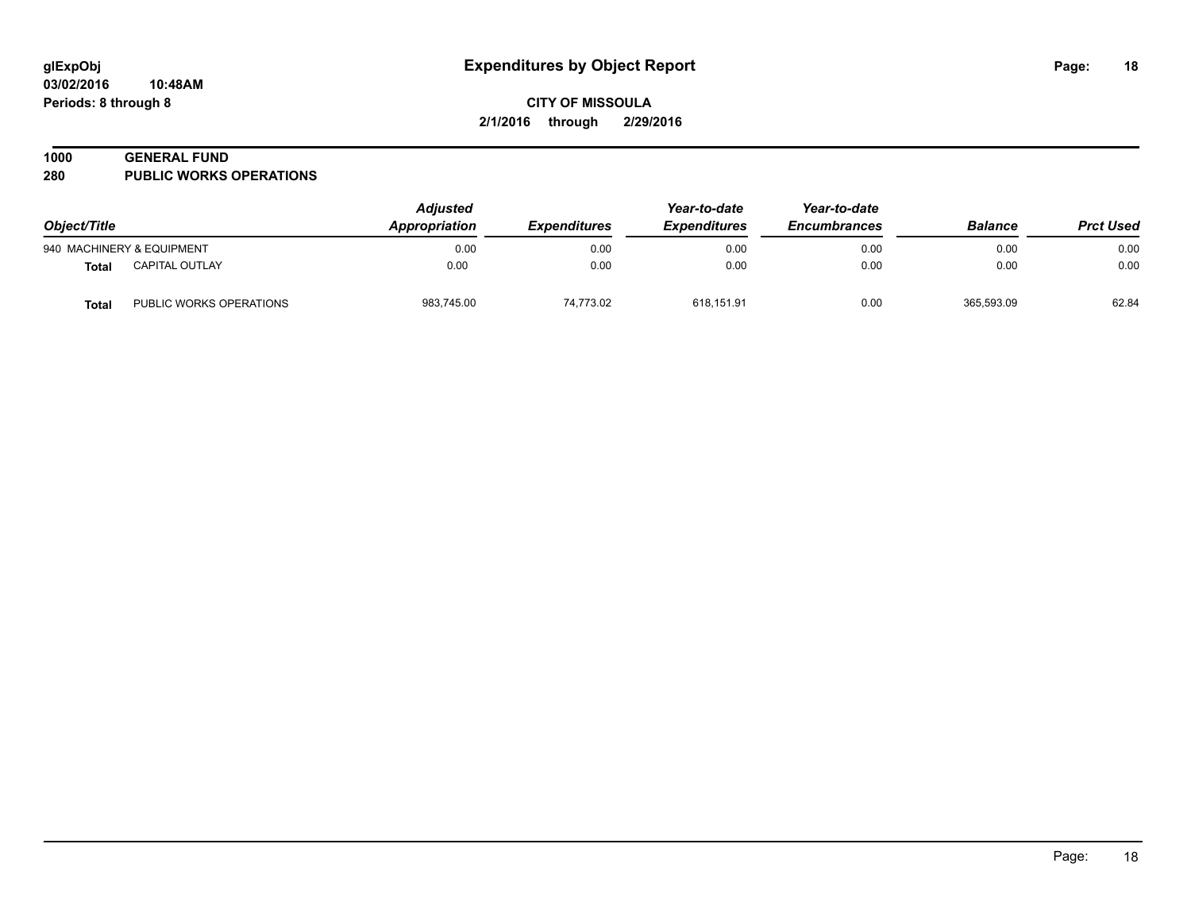#### **1000 GENERAL FUND**

**280 PUBLIC WORKS OPERATIONS**

| Object/Title |                           | <b>Adjusted</b><br>Appropriation | <i><b>Expenditures</b></i> | Year-to-date<br><b>Expenditures</b> | Year-to-date<br><b>Encumbrances</b> | <b>Balance</b> | <b>Prct Used</b> |
|--------------|---------------------------|----------------------------------|----------------------------|-------------------------------------|-------------------------------------|----------------|------------------|
|              | 940 MACHINERY & EQUIPMENT | 0.00                             | 0.00                       | 0.00                                | 0.00                                | 0.00           | 0.00             |
| <b>Total</b> | <b>CAPITAL OUTLAY</b>     | 0.00                             | 0.00                       | 0.00                                | 0.00                                | 0.00           | 0.00             |
| <b>Total</b> | PUBLIC WORKS OPERATIONS   | 983,745.00                       | 74,773.02                  | 618,151.91                          | 0.00                                | 365,593.09     | 62.84            |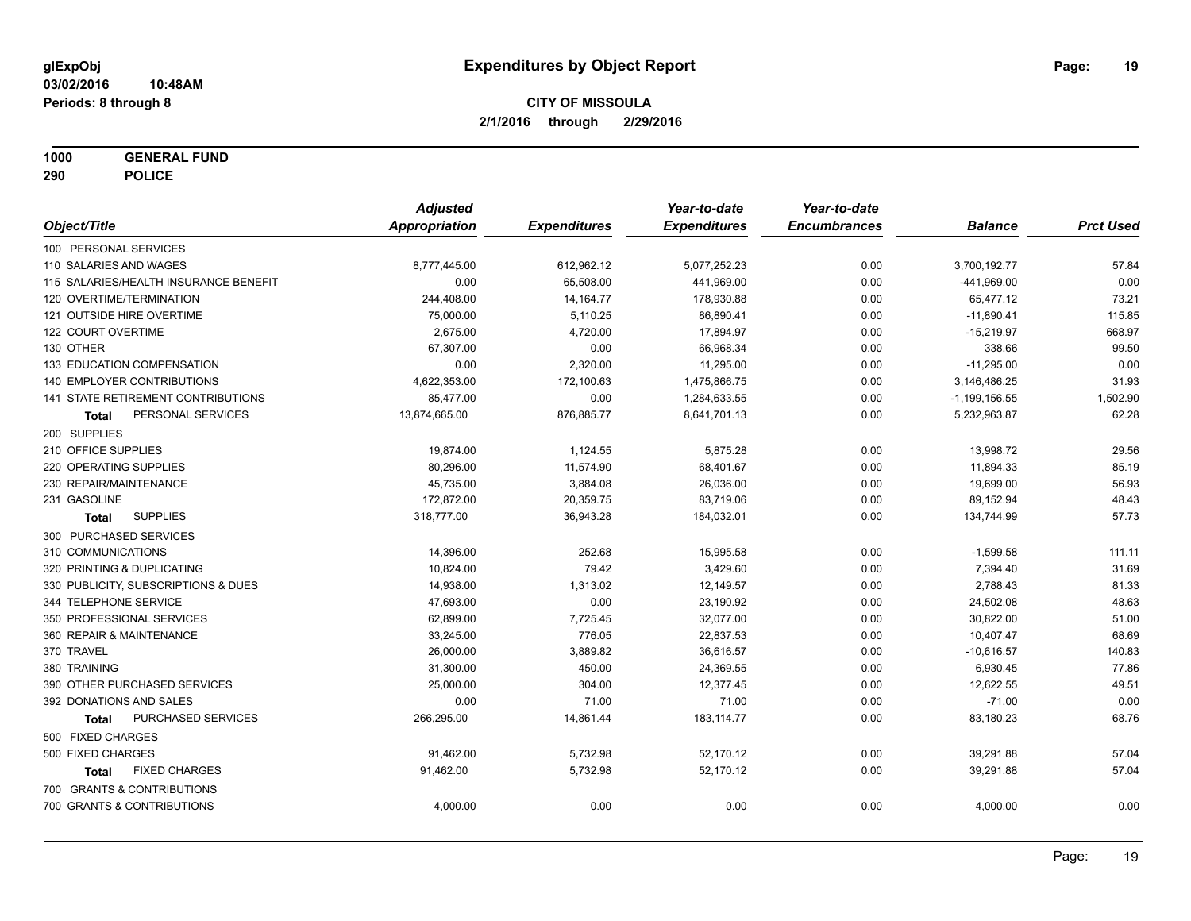**1000 GENERAL FUND**

**290 POLICE**

|                                           | <b>Adjusted</b> |                     | Year-to-date        | Year-to-date        |                 |                  |
|-------------------------------------------|-----------------|---------------------|---------------------|---------------------|-----------------|------------------|
| Object/Title                              | Appropriation   | <b>Expenditures</b> | <b>Expenditures</b> | <b>Encumbrances</b> | <b>Balance</b>  | <b>Prct Used</b> |
| 100 PERSONAL SERVICES                     |                 |                     |                     |                     |                 |                  |
| 110 SALARIES AND WAGES                    | 8,777,445.00    | 612,962.12          | 5,077,252.23        | 0.00                | 3,700,192.77    | 57.84            |
| 115 SALARIES/HEALTH INSURANCE BENEFIT     | 0.00            | 65,508.00           | 441,969.00          | 0.00                | -441,969.00     | 0.00             |
| 120 OVERTIME/TERMINATION                  | 244,408.00      | 14, 164. 77         | 178,930.88          | 0.00                | 65,477.12       | 73.21            |
| 121 OUTSIDE HIRE OVERTIME                 | 75,000.00       | 5,110.25            | 86,890.41           | 0.00                | $-11,890.41$    | 115.85           |
| 122 COURT OVERTIME                        | 2,675.00        | 4,720.00            | 17,894.97           | 0.00                | $-15,219.97$    | 668.97           |
| 130 OTHER                                 | 67,307.00       | 0.00                | 66,968.34           | 0.00                | 338.66          | 99.50            |
| 133 EDUCATION COMPENSATION                | 0.00            | 2,320.00            | 11,295.00           | 0.00                | $-11,295.00$    | 0.00             |
| 140 EMPLOYER CONTRIBUTIONS                | 4,622,353.00    | 172,100.63          | 1,475,866.75        | 0.00                | 3,146,486.25    | 31.93            |
| <b>141 STATE RETIREMENT CONTRIBUTIONS</b> | 85,477.00       | 0.00                | 1,284,633.55        | 0.00                | $-1,199,156.55$ | 1,502.90         |
| PERSONAL SERVICES<br><b>Total</b>         | 13,874,665.00   | 876,885.77          | 8,641,701.13        | 0.00                | 5,232,963.87    | 62.28            |
| 200 SUPPLIES                              |                 |                     |                     |                     |                 |                  |
| 210 OFFICE SUPPLIES                       | 19,874.00       | 1,124.55            | 5,875.28            | 0.00                | 13,998.72       | 29.56            |
| 220 OPERATING SUPPLIES                    | 80,296.00       | 11,574.90           | 68,401.67           | 0.00                | 11,894.33       | 85.19            |
| 230 REPAIR/MAINTENANCE                    | 45,735.00       | 3,884.08            | 26,036.00           | 0.00                | 19,699.00       | 56.93            |
| 231 GASOLINE                              | 172,872.00      | 20,359.75           | 83,719.06           | 0.00                | 89,152.94       | 48.43            |
| <b>SUPPLIES</b><br>Total                  | 318,777.00      | 36,943.28           | 184,032.01          | 0.00                | 134,744.99      | 57.73            |
| 300 PURCHASED SERVICES                    |                 |                     |                     |                     |                 |                  |
| 310 COMMUNICATIONS                        | 14,396.00       | 252.68              | 15,995.58           | 0.00                | $-1,599.58$     | 111.11           |
| 320 PRINTING & DUPLICATING                | 10,824.00       | 79.42               | 3,429.60            | 0.00                | 7,394.40        | 31.69            |
| 330 PUBLICITY, SUBSCRIPTIONS & DUES       | 14,938.00       | 1,313.02            | 12,149.57           | 0.00                | 2,788.43        | 81.33            |
| 344 TELEPHONE SERVICE                     | 47,693.00       | 0.00                | 23,190.92           | 0.00                | 24,502.08       | 48.63            |
| 350 PROFESSIONAL SERVICES                 | 62,899.00       | 7,725.45            | 32,077.00           | 0.00                | 30,822.00       | 51.00            |
| 360 REPAIR & MAINTENANCE                  | 33,245.00       | 776.05              | 22,837.53           | 0.00                | 10,407.47       | 68.69            |
| 370 TRAVEL                                | 26,000.00       | 3,889.82            | 36,616.57           | 0.00                | $-10,616.57$    | 140.83           |
| 380 TRAINING                              | 31,300.00       | 450.00              | 24,369.55           | 0.00                | 6,930.45        | 77.86            |
| 390 OTHER PURCHASED SERVICES              | 25,000.00       | 304.00              | 12,377.45           | 0.00                | 12,622.55       | 49.51            |
| 392 DONATIONS AND SALES                   | 0.00            | 71.00               | 71.00               | 0.00                | $-71.00$        | 0.00             |
| PURCHASED SERVICES<br><b>Total</b>        | 266,295.00      | 14,861.44           | 183,114.77          | 0.00                | 83,180.23       | 68.76            |
| 500 FIXED CHARGES                         |                 |                     |                     |                     |                 |                  |
| 500 FIXED CHARGES                         | 91,462.00       | 5,732.98            | 52,170.12           | 0.00                | 39,291.88       | 57.04            |
| <b>FIXED CHARGES</b><br>Total             | 91,462.00       | 5,732.98            | 52,170.12           | 0.00                | 39,291.88       | 57.04            |
| 700 GRANTS & CONTRIBUTIONS                |                 |                     |                     |                     |                 |                  |
| 700 GRANTS & CONTRIBUTIONS                | 4,000.00        | 0.00                | 0.00                | 0.00                | 4,000.00        | 0.00             |
|                                           |                 |                     |                     |                     |                 |                  |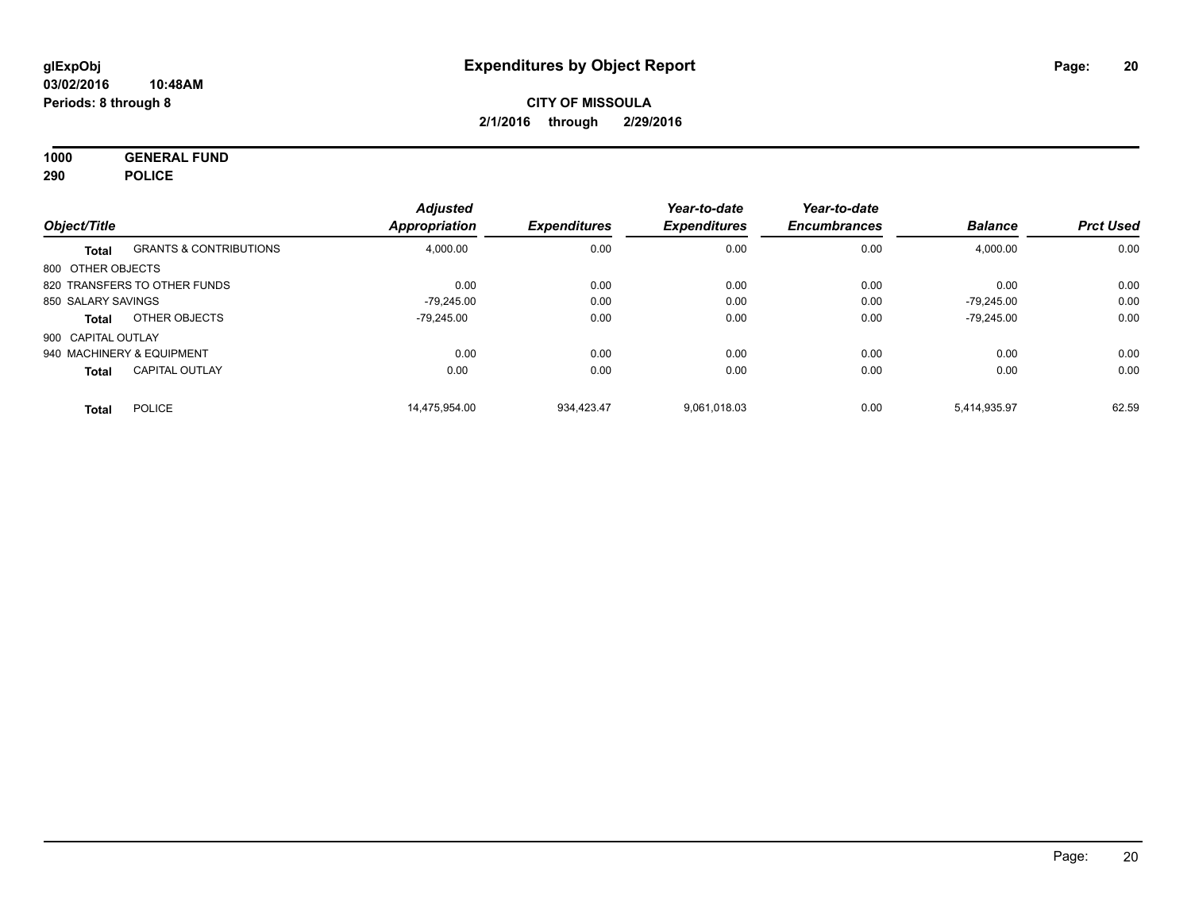**1000 GENERAL FUND 290 POLICE**

| Object/Title       |                                   | <b>Adjusted</b><br><b>Appropriation</b> | <b>Expenditures</b> | Year-to-date<br><b>Expenditures</b> | Year-to-date<br><b>Encumbrances</b> | <b>Balance</b> | <b>Prct Used</b> |
|--------------------|-----------------------------------|-----------------------------------------|---------------------|-------------------------------------|-------------------------------------|----------------|------------------|
| <b>Total</b>       | <b>GRANTS &amp; CONTRIBUTIONS</b> | 4,000.00                                | 0.00                | 0.00                                | 0.00                                | 4,000.00       | 0.00             |
| 800 OTHER OBJECTS  |                                   |                                         |                     |                                     |                                     |                |                  |
|                    | 820 TRANSFERS TO OTHER FUNDS      | 0.00                                    | 0.00                | 0.00                                | 0.00                                | 0.00           | 0.00             |
| 850 SALARY SAVINGS |                                   | -79.245.00                              | 0.00                | 0.00                                | 0.00                                | $-79.245.00$   | 0.00             |
| Total              | OTHER OBJECTS                     | -79.245.00                              | 0.00                | 0.00                                | 0.00                                | $-79.245.00$   | 0.00             |
| 900 CAPITAL OUTLAY |                                   |                                         |                     |                                     |                                     |                |                  |
|                    | 940 MACHINERY & EQUIPMENT         | 0.00                                    | 0.00                | 0.00                                | 0.00                                | 0.00           | 0.00             |
| <b>Total</b>       | <b>CAPITAL OUTLAY</b>             | 0.00                                    | 0.00                | 0.00                                | 0.00                                | 0.00           | 0.00             |
| <b>Total</b>       | <b>POLICE</b>                     | 14.475.954.00                           | 934.423.47          | 9.061.018.03                        | 0.00                                | 5.414.935.97   | 62.59            |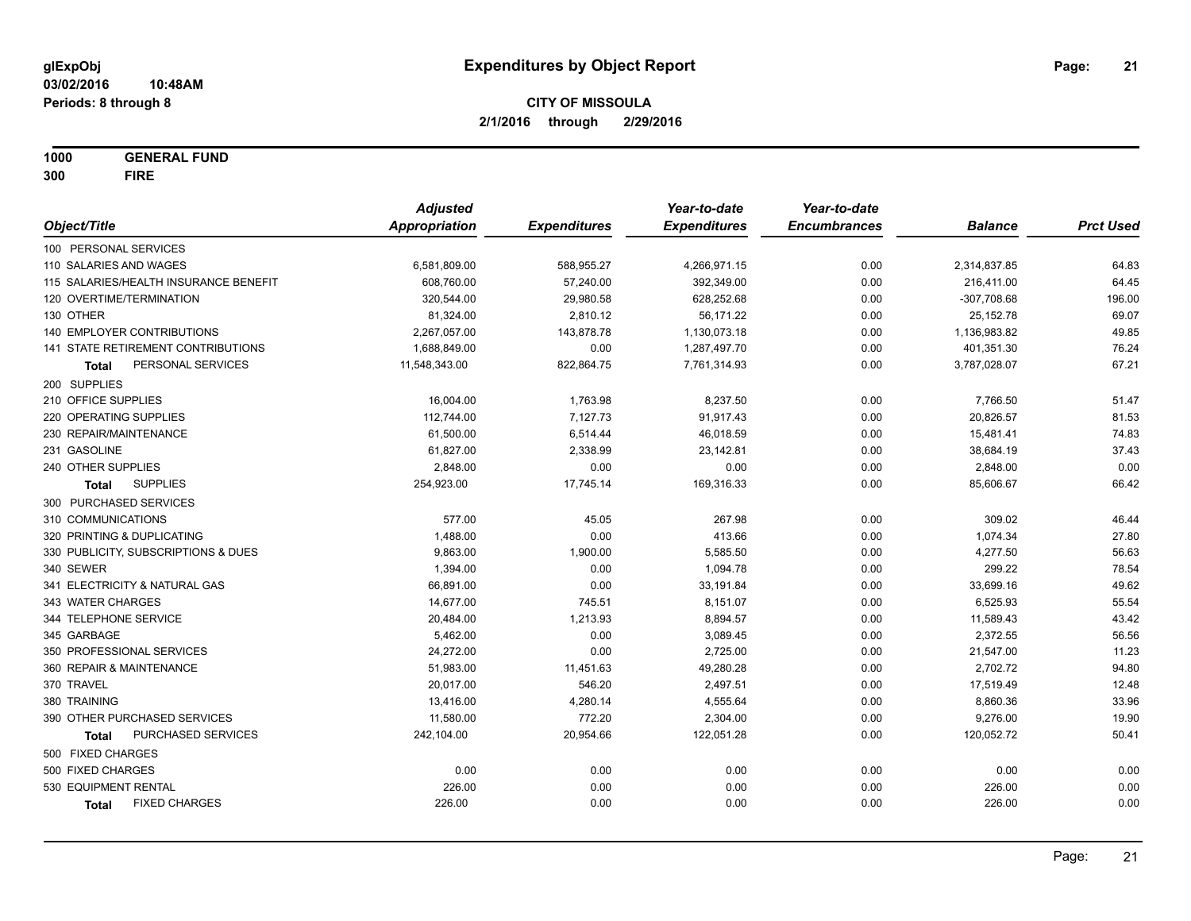**1000 GENERAL FUND 300 FIRE**

|                                       | <b>Adjusted</b> |                     | Year-to-date        | Year-to-date        |                |                  |
|---------------------------------------|-----------------|---------------------|---------------------|---------------------|----------------|------------------|
| Object/Title                          | Appropriation   | <b>Expenditures</b> | <b>Expenditures</b> | <b>Encumbrances</b> | <b>Balance</b> | <b>Prct Used</b> |
| 100 PERSONAL SERVICES                 |                 |                     |                     |                     |                |                  |
| 110 SALARIES AND WAGES                | 6,581,809.00    | 588,955.27          | 4,266,971.15        | 0.00                | 2,314,837.85   | 64.83            |
| 115 SALARIES/HEALTH INSURANCE BENEFIT | 608,760.00      | 57,240.00           | 392,349.00          | 0.00                | 216,411.00     | 64.45            |
| 120 OVERTIME/TERMINATION              | 320,544.00      | 29,980.58           | 628,252.68          | 0.00                | -307,708.68    | 196.00           |
| 130 OTHER                             | 81,324.00       | 2,810.12            | 56,171.22           | 0.00                | 25,152.78      | 69.07            |
| 140 EMPLOYER CONTRIBUTIONS            | 2,267,057.00    | 143,878.78          | 1,130,073.18        | 0.00                | 1,136,983.82   | 49.85            |
| 141 STATE RETIREMENT CONTRIBUTIONS    | 1,688,849.00    | 0.00                | 1,287,497.70        | 0.00                | 401,351.30     | 76.24            |
| PERSONAL SERVICES<br>Total            | 11,548,343.00   | 822,864.75          | 7,761,314.93        | 0.00                | 3,787,028.07   | 67.21            |
| 200 SUPPLIES                          |                 |                     |                     |                     |                |                  |
| 210 OFFICE SUPPLIES                   | 16,004.00       | 1,763.98            | 8,237.50            | 0.00                | 7,766.50       | 51.47            |
| 220 OPERATING SUPPLIES                | 112,744.00      | 7,127.73            | 91,917.43           | 0.00                | 20,826.57      | 81.53            |
| 230 REPAIR/MAINTENANCE                | 61,500.00       | 6,514.44            | 46,018.59           | 0.00                | 15,481.41      | 74.83            |
| 231 GASOLINE                          | 61,827.00       | 2,338.99            | 23,142.81           | 0.00                | 38,684.19      | 37.43            |
| 240 OTHER SUPPLIES                    | 2,848.00        | 0.00                | 0.00                | 0.00                | 2,848.00       | 0.00             |
| <b>SUPPLIES</b><br>Total              | 254,923.00      | 17,745.14           | 169,316.33          | 0.00                | 85,606.67      | 66.42            |
| 300 PURCHASED SERVICES                |                 |                     |                     |                     |                |                  |
| 310 COMMUNICATIONS                    | 577.00          | 45.05               | 267.98              | 0.00                | 309.02         | 46.44            |
| 320 PRINTING & DUPLICATING            | 1,488.00        | 0.00                | 413.66              | 0.00                | 1,074.34       | 27.80            |
| 330 PUBLICITY, SUBSCRIPTIONS & DUES   | 9,863.00        | 1,900.00            | 5,585.50            | 0.00                | 4,277.50       | 56.63            |
| 340 SEWER                             | 1,394.00        | 0.00                | 1,094.78            | 0.00                | 299.22         | 78.54            |
| 341 ELECTRICITY & NATURAL GAS         | 66,891.00       | 0.00                | 33,191.84           | 0.00                | 33,699.16      | 49.62            |
| 343 WATER CHARGES                     | 14,677.00       | 745.51              | 8,151.07            | 0.00                | 6,525.93       | 55.54            |
| 344 TELEPHONE SERVICE                 | 20,484.00       | 1,213.93            | 8,894.57            | 0.00                | 11,589.43      | 43.42            |
| 345 GARBAGE                           | 5,462.00        | 0.00                | 3,089.45            | 0.00                | 2,372.55       | 56.56            |
| 350 PROFESSIONAL SERVICES             | 24,272.00       | 0.00                | 2,725.00            | 0.00                | 21,547.00      | 11.23            |
| 360 REPAIR & MAINTENANCE              | 51,983.00       | 11,451.63           | 49,280.28           | 0.00                | 2,702.72       | 94.80            |
| 370 TRAVEL                            | 20,017.00       | 546.20              | 2,497.51            | 0.00                | 17,519.49      | 12.48            |
| 380 TRAINING                          | 13,416.00       | 4,280.14            | 4,555.64            | 0.00                | 8,860.36       | 33.96            |
| 390 OTHER PURCHASED SERVICES          | 11,580.00       | 772.20              | 2,304.00            | 0.00                | 9,276.00       | 19.90            |
| PURCHASED SERVICES<br><b>Total</b>    | 242,104.00      | 20,954.66           | 122,051.28          | 0.00                | 120,052.72     | 50.41            |
| 500 FIXED CHARGES                     |                 |                     |                     |                     |                |                  |
| 500 FIXED CHARGES                     | 0.00            | 0.00                | 0.00                | 0.00                | 0.00           | 0.00             |
| 530 EQUIPMENT RENTAL                  | 226.00          | 0.00                | 0.00                | 0.00                | 226.00         | 0.00             |
| <b>FIXED CHARGES</b><br>Total         | 226.00          | 0.00                | 0.00                | 0.00                | 226.00         | 0.00             |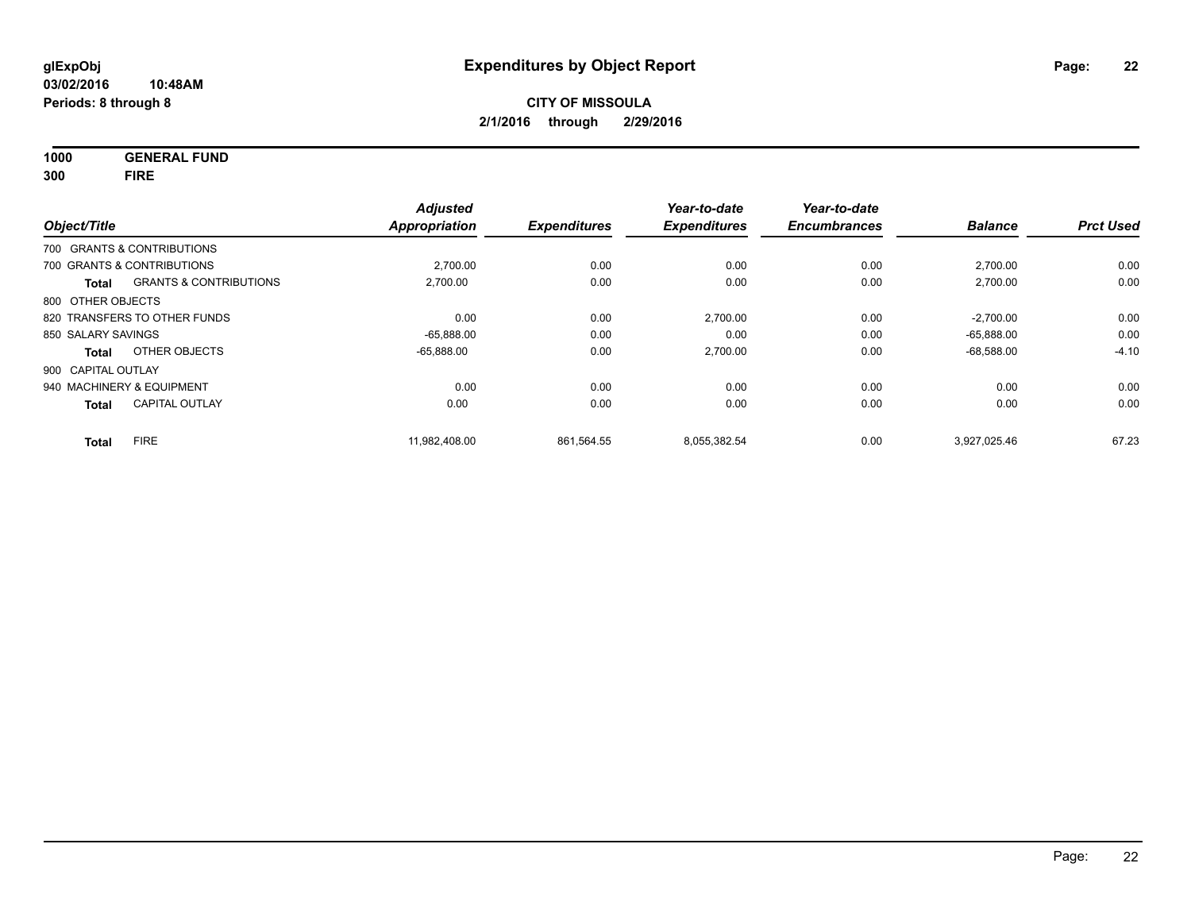**1000 GENERAL FUND**

**300 FIRE**

| Object/Title       |                                   | <b>Adjusted</b><br><b>Appropriation</b> | <b>Expenditures</b> | Year-to-date<br><b>Expenditures</b> | Year-to-date<br><b>Encumbrances</b> | <b>Balance</b> | <b>Prct Used</b> |
|--------------------|-----------------------------------|-----------------------------------------|---------------------|-------------------------------------|-------------------------------------|----------------|------------------|
|                    | 700 GRANTS & CONTRIBUTIONS        |                                         |                     |                                     |                                     |                |                  |
|                    | 700 GRANTS & CONTRIBUTIONS        | 2,700.00                                | 0.00                | 0.00                                | 0.00                                | 2,700.00       | 0.00             |
| Total              | <b>GRANTS &amp; CONTRIBUTIONS</b> | 2,700.00                                | 0.00                | 0.00                                | 0.00                                | 2,700.00       | 0.00             |
| 800 OTHER OBJECTS  |                                   |                                         |                     |                                     |                                     |                |                  |
|                    | 820 TRANSFERS TO OTHER FUNDS      | 0.00                                    | 0.00                | 2,700.00                            | 0.00                                | $-2,700.00$    | 0.00             |
| 850 SALARY SAVINGS |                                   | $-65.888.00$                            | 0.00                | 0.00                                | 0.00                                | $-65.888.00$   | 0.00             |
| Total              | OTHER OBJECTS                     | $-65,888.00$                            | 0.00                | 2,700.00                            | 0.00                                | $-68,588.00$   | $-4.10$          |
| 900 CAPITAL OUTLAY |                                   |                                         |                     |                                     |                                     |                |                  |
|                    | 940 MACHINERY & EQUIPMENT         | 0.00                                    | 0.00                | 0.00                                | 0.00                                | 0.00           | 0.00             |
| <b>Total</b>       | <b>CAPITAL OUTLAY</b>             | 0.00                                    | 0.00                | 0.00                                | 0.00                                | 0.00           | 0.00             |
| Total              | <b>FIRE</b>                       | 11.982.408.00                           | 861,564.55          | 8,055,382.54                        | 0.00                                | 3.927.025.46   | 67.23            |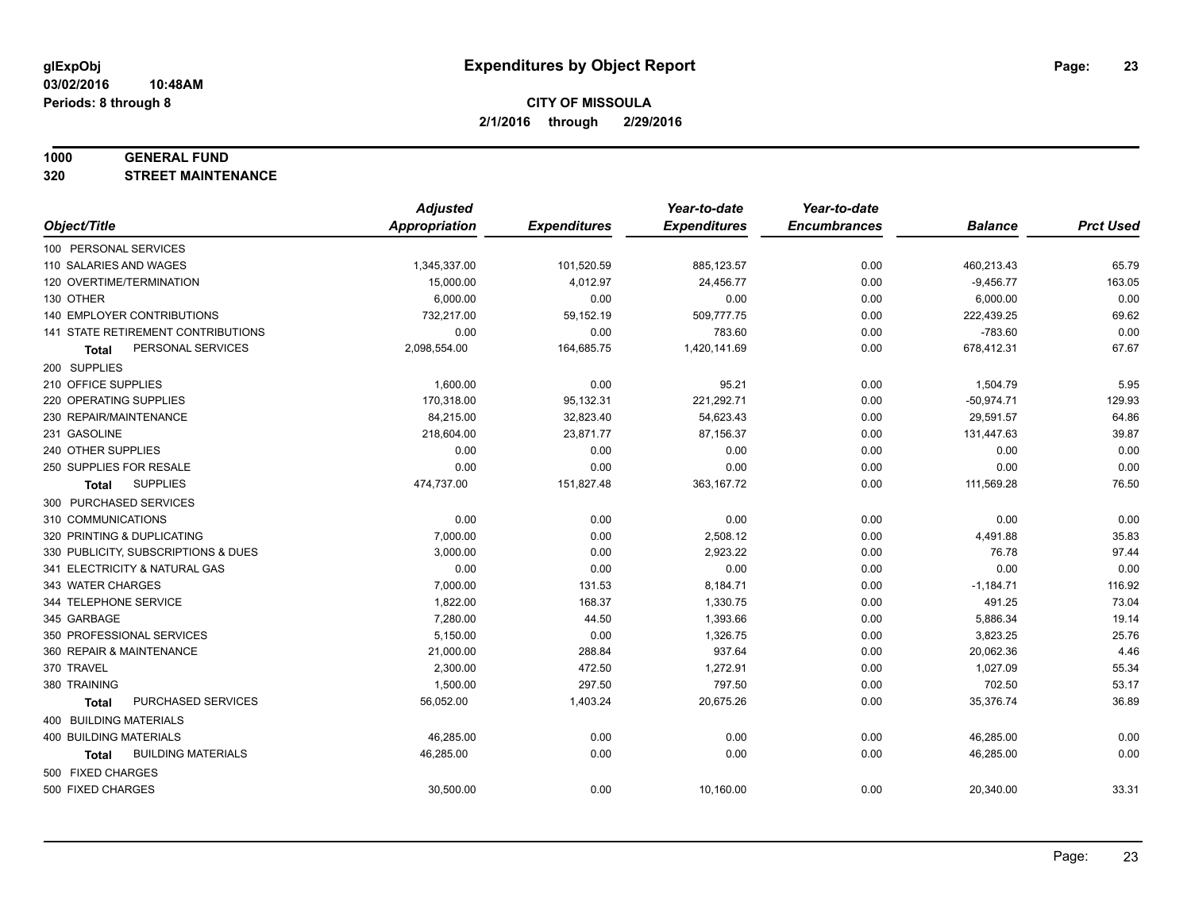#### **1000 GENERAL FUND**

**320 STREET MAINTENANCE**

|                                           | <b>Adjusted</b>      |                     | Year-to-date        | Year-to-date        |                |                  |
|-------------------------------------------|----------------------|---------------------|---------------------|---------------------|----------------|------------------|
| Object/Title                              | <b>Appropriation</b> | <b>Expenditures</b> | <b>Expenditures</b> | <b>Encumbrances</b> | <b>Balance</b> | <b>Prct Used</b> |
| 100 PERSONAL SERVICES                     |                      |                     |                     |                     |                |                  |
| 110 SALARIES AND WAGES                    | 1,345,337.00         | 101,520.59          | 885,123.57          | 0.00                | 460,213.43     | 65.79            |
| 120 OVERTIME/TERMINATION                  | 15,000.00            | 4,012.97            | 24,456.77           | 0.00                | $-9,456.77$    | 163.05           |
| 130 OTHER                                 | 6,000.00             | 0.00                | 0.00                | 0.00                | 6,000.00       | 0.00             |
| <b>140 EMPLOYER CONTRIBUTIONS</b>         | 732,217.00           | 59,152.19           | 509,777.75          | 0.00                | 222,439.25     | 69.62            |
| 141 STATE RETIREMENT CONTRIBUTIONS        | 0.00                 | 0.00                | 783.60              | 0.00                | $-783.60$      | 0.00             |
| PERSONAL SERVICES<br>Total                | 2,098,554.00         | 164,685.75          | 1,420,141.69        | 0.00                | 678,412.31     | 67.67            |
| 200 SUPPLIES                              |                      |                     |                     |                     |                |                  |
| 210 OFFICE SUPPLIES                       | 1,600.00             | 0.00                | 95.21               | 0.00                | 1,504.79       | 5.95             |
| 220 OPERATING SUPPLIES                    | 170,318.00           | 95,132.31           | 221,292.71          | 0.00                | $-50,974.71$   | 129.93           |
| 230 REPAIR/MAINTENANCE                    | 84,215.00            | 32,823.40           | 54,623.43           | 0.00                | 29,591.57      | 64.86            |
| 231 GASOLINE                              | 218,604.00           | 23,871.77           | 87,156.37           | 0.00                | 131,447.63     | 39.87            |
| 240 OTHER SUPPLIES                        | 0.00                 | 0.00                | 0.00                | 0.00                | 0.00           | 0.00             |
| 250 SUPPLIES FOR RESALE                   | 0.00                 | 0.00                | 0.00                | 0.00                | 0.00           | 0.00             |
| <b>SUPPLIES</b><br>Total                  | 474,737.00           | 151,827.48          | 363,167.72          | 0.00                | 111,569.28     | 76.50            |
| 300 PURCHASED SERVICES                    |                      |                     |                     |                     |                |                  |
| 310 COMMUNICATIONS                        | 0.00                 | 0.00                | 0.00                | 0.00                | 0.00           | 0.00             |
| 320 PRINTING & DUPLICATING                | 7,000.00             | 0.00                | 2,508.12            | 0.00                | 4,491.88       | 35.83            |
| 330 PUBLICITY, SUBSCRIPTIONS & DUES       | 3,000.00             | 0.00                | 2,923.22            | 0.00                | 76.78          | 97.44            |
| 341 ELECTRICITY & NATURAL GAS             | 0.00                 | 0.00                | 0.00                | 0.00                | 0.00           | 0.00             |
| 343 WATER CHARGES                         | 7,000.00             | 131.53              | 8,184.71            | 0.00                | $-1,184.71$    | 116.92           |
| 344 TELEPHONE SERVICE                     | 1,822.00             | 168.37              | 1,330.75            | 0.00                | 491.25         | 73.04            |
| 345 GARBAGE                               | 7,280.00             | 44.50               | 1,393.66            | 0.00                | 5,886.34       | 19.14            |
| 350 PROFESSIONAL SERVICES                 | 5,150.00             | 0.00                | 1,326.75            | 0.00                | 3,823.25       | 25.76            |
| 360 REPAIR & MAINTENANCE                  | 21,000.00            | 288.84              | 937.64              | 0.00                | 20,062.36      | 4.46             |
| 370 TRAVEL                                | 2,300.00             | 472.50              | 1,272.91            | 0.00                | 1,027.09       | 55.34            |
| 380 TRAINING                              | 1,500.00             | 297.50              | 797.50              | 0.00                | 702.50         | 53.17            |
| PURCHASED SERVICES<br><b>Total</b>        | 56,052.00            | 1,403.24            | 20,675.26           | 0.00                | 35,376.74      | 36.89            |
| 400 BUILDING MATERIALS                    |                      |                     |                     |                     |                |                  |
| 400 BUILDING MATERIALS                    | 46,285.00            | 0.00                | 0.00                | 0.00                | 46,285.00      | 0.00             |
| <b>BUILDING MATERIALS</b><br><b>Total</b> | 46,285.00            | 0.00                | 0.00                | 0.00                | 46,285.00      | 0.00             |
| 500 FIXED CHARGES                         |                      |                     |                     |                     |                |                  |
| 500 FIXED CHARGES                         | 30,500.00            | 0.00                | 10,160.00           | 0.00                | 20,340.00      | 33.31            |
|                                           |                      |                     |                     |                     |                |                  |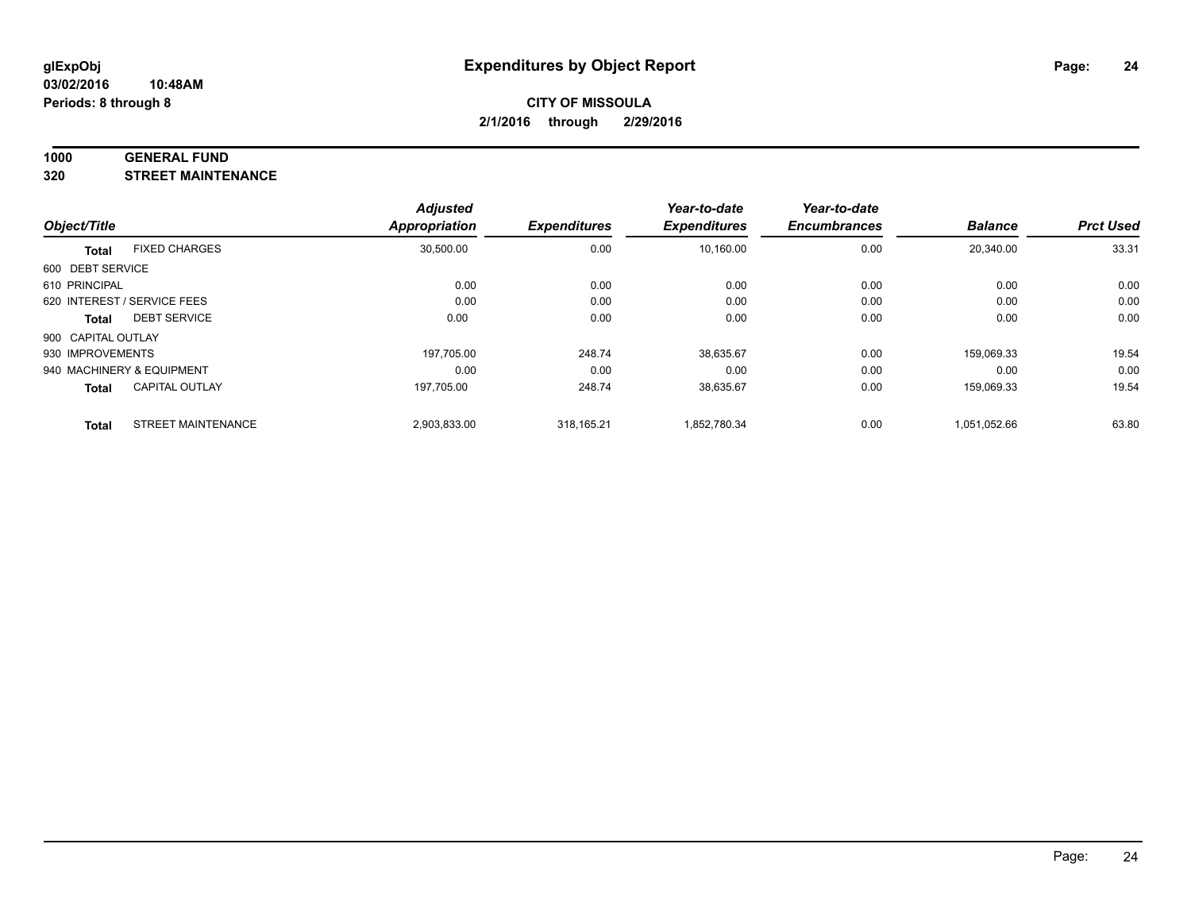#### **1000 GENERAL FUND**

**320 STREET MAINTENANCE**

|                    |                             | <b>Adjusted</b> |                     | Year-to-date        | Year-to-date        |                |                  |
|--------------------|-----------------------------|-----------------|---------------------|---------------------|---------------------|----------------|------------------|
| Object/Title       |                             | Appropriation   | <b>Expenditures</b> | <b>Expenditures</b> | <b>Encumbrances</b> | <b>Balance</b> | <b>Prct Used</b> |
| <b>Total</b>       | <b>FIXED CHARGES</b>        | 30,500.00       | 0.00                | 10,160.00           | 0.00                | 20,340.00      | 33.31            |
| 600 DEBT SERVICE   |                             |                 |                     |                     |                     |                |                  |
| 610 PRINCIPAL      |                             | 0.00            | 0.00                | 0.00                | 0.00                | 0.00           | 0.00             |
|                    | 620 INTEREST / SERVICE FEES | 0.00            | 0.00                | 0.00                | 0.00                | 0.00           | 0.00             |
| Total              | <b>DEBT SERVICE</b>         | 0.00            | 0.00                | 0.00                | 0.00                | 0.00           | 0.00             |
| 900 CAPITAL OUTLAY |                             |                 |                     |                     |                     |                |                  |
| 930 IMPROVEMENTS   |                             | 197.705.00      | 248.74              | 38,635.67           | 0.00                | 159,069.33     | 19.54            |
|                    | 940 MACHINERY & EQUIPMENT   | 0.00            | 0.00                | 0.00                | 0.00                | 0.00           | 0.00             |
| <b>Total</b>       | <b>CAPITAL OUTLAY</b>       | 197,705.00      | 248.74              | 38,635.67           | 0.00                | 159,069.33     | 19.54            |
| <b>Total</b>       | <b>STREET MAINTENANCE</b>   | 2,903,833.00    | 318.165.21          | 1.852.780.34        | 0.00                | 1.051.052.66   | 63.80            |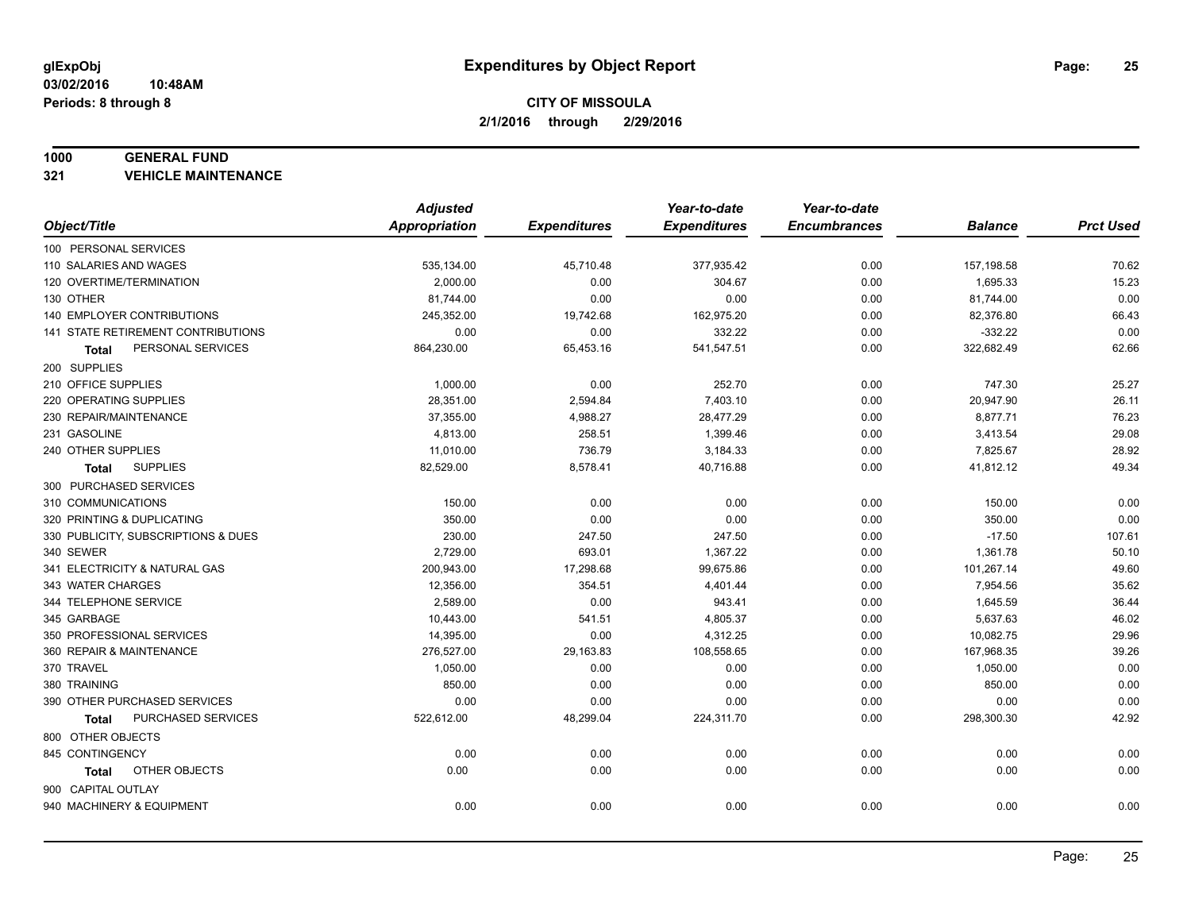#### **1000 GENERAL FUND**

**321 VEHICLE MAINTENANCE**

|                                     | <b>Adjusted</b>      |                     | Year-to-date        | Year-to-date        |                |                  |
|-------------------------------------|----------------------|---------------------|---------------------|---------------------|----------------|------------------|
| Object/Title                        | <b>Appropriation</b> | <b>Expenditures</b> | <b>Expenditures</b> | <b>Encumbrances</b> | <b>Balance</b> | <b>Prct Used</b> |
| 100 PERSONAL SERVICES               |                      |                     |                     |                     |                |                  |
| 110 SALARIES AND WAGES              | 535,134.00           | 45,710.48           | 377,935.42          | 0.00                | 157,198.58     | 70.62            |
| 120 OVERTIME/TERMINATION            | 2,000.00             | 0.00                | 304.67              | 0.00                | 1,695.33       | 15.23            |
| 130 OTHER                           | 81,744.00            | 0.00                | 0.00                | 0.00                | 81,744.00      | 0.00             |
| <b>140 EMPLOYER CONTRIBUTIONS</b>   | 245,352.00           | 19,742.68           | 162,975.20          | 0.00                | 82,376.80      | 66.43            |
| 141 STATE RETIREMENT CONTRIBUTIONS  | 0.00                 | 0.00                | 332.22              | 0.00                | $-332.22$      | 0.00             |
| PERSONAL SERVICES<br>Total          | 864,230.00           | 65,453.16           | 541,547.51          | 0.00                | 322,682.49     | 62.66            |
| 200 SUPPLIES                        |                      |                     |                     |                     |                |                  |
| 210 OFFICE SUPPLIES                 | 1,000.00             | 0.00                | 252.70              | 0.00                | 747.30         | 25.27            |
| 220 OPERATING SUPPLIES              | 28,351.00            | 2,594.84            | 7,403.10            | 0.00                | 20,947.90      | 26.11            |
| 230 REPAIR/MAINTENANCE              | 37,355.00            | 4,988.27            | 28,477.29           | 0.00                | 8,877.71       | 76.23            |
| 231 GASOLINE                        | 4,813.00             | 258.51              | 1,399.46            | 0.00                | 3,413.54       | 29.08            |
| 240 OTHER SUPPLIES                  | 11,010.00            | 736.79              | 3,184.33            | 0.00                | 7,825.67       | 28.92            |
| <b>SUPPLIES</b><br>Total            | 82,529.00            | 8,578.41            | 40,716.88           | 0.00                | 41,812.12      | 49.34            |
| 300 PURCHASED SERVICES              |                      |                     |                     |                     |                |                  |
| 310 COMMUNICATIONS                  | 150.00               | 0.00                | 0.00                | 0.00                | 150.00         | 0.00             |
| 320 PRINTING & DUPLICATING          | 350.00               | 0.00                | 0.00                | 0.00                | 350.00         | 0.00             |
| 330 PUBLICITY, SUBSCRIPTIONS & DUES | 230.00               | 247.50              | 247.50              | 0.00                | $-17.50$       | 107.61           |
| 340 SEWER                           | 2,729.00             | 693.01              | 1,367.22            | 0.00                | 1,361.78       | 50.10            |
| 341 ELECTRICITY & NATURAL GAS       | 200,943.00           | 17,298.68           | 99,675.86           | 0.00                | 101,267.14     | 49.60            |
| 343 WATER CHARGES                   | 12,356.00            | 354.51              | 4,401.44            | 0.00                | 7,954.56       | 35.62            |
| 344 TELEPHONE SERVICE               | 2,589.00             | 0.00                | 943.41              | 0.00                | 1,645.59       | 36.44            |
| 345 GARBAGE                         | 10,443.00            | 541.51              | 4,805.37            | 0.00                | 5,637.63       | 46.02            |
| 350 PROFESSIONAL SERVICES           | 14,395.00            | 0.00                | 4,312.25            | 0.00                | 10,082.75      | 29.96            |
| 360 REPAIR & MAINTENANCE            | 276,527.00           | 29,163.83           | 108,558.65          | 0.00                | 167,968.35     | 39.26            |
| 370 TRAVEL                          | 1,050.00             | 0.00                | 0.00                | 0.00                | 1,050.00       | 0.00             |
| 380 TRAINING                        | 850.00               | 0.00                | 0.00                | 0.00                | 850.00         | 0.00             |
| 390 OTHER PURCHASED SERVICES        | 0.00                 | 0.00                | 0.00                | 0.00                | 0.00           | 0.00             |
| PURCHASED SERVICES<br><b>Total</b>  | 522,612.00           | 48,299.04           | 224,311.70          | 0.00                | 298,300.30     | 42.92            |
| 800 OTHER OBJECTS                   |                      |                     |                     |                     |                |                  |
| 845 CONTINGENCY                     | 0.00                 | 0.00                | 0.00                | 0.00                | 0.00           | 0.00             |
| OTHER OBJECTS<br><b>Total</b>       | 0.00                 | 0.00                | 0.00                | 0.00                | 0.00           | 0.00             |
| 900 CAPITAL OUTLAY                  |                      |                     |                     |                     |                |                  |
| 940 MACHINERY & EQUIPMENT           | 0.00                 | 0.00                | 0.00                | 0.00                | 0.00           | 0.00             |
|                                     |                      |                     |                     |                     |                |                  |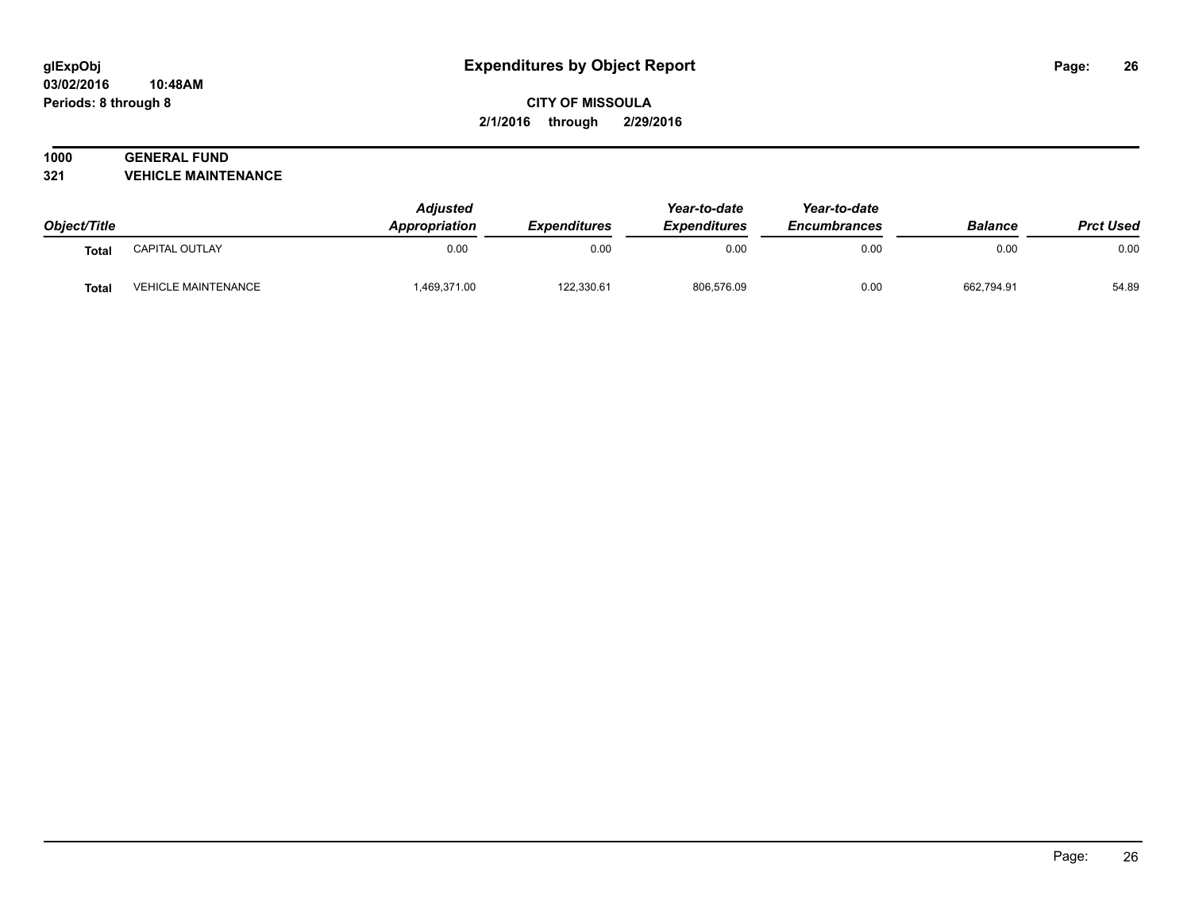#### **03/02/2016 10:48AM Periods: 8 through 8**

## **CITY OF MISSOULA 2/1/2016 through 2/29/2016**

## **1000 GENERAL FUND**

**321 VEHICLE MAINTENANCE**

| Object/Title |                            | <b>Adjusted</b><br>Appropriation | <b>Expenditures</b> | Year-to-date<br><b>Expenditures</b> | Year-to-date<br><b>Encumbrances</b> | <b>Balance</b> | <b>Prct Used</b> |
|--------------|----------------------------|----------------------------------|---------------------|-------------------------------------|-------------------------------------|----------------|------------------|
| Total        | <b>CAPITAL OUTLAY</b>      | 0.00                             | 0.00                | 0.00                                | 0.00                                | 0.00           | 0.00             |
| <b>Total</b> | <b>VEHICLE MAINTENANCE</b> | 1,469,371.00                     | 122,330.61          | 806,576.09                          | 0.00                                | 662.794.91     | 54.89            |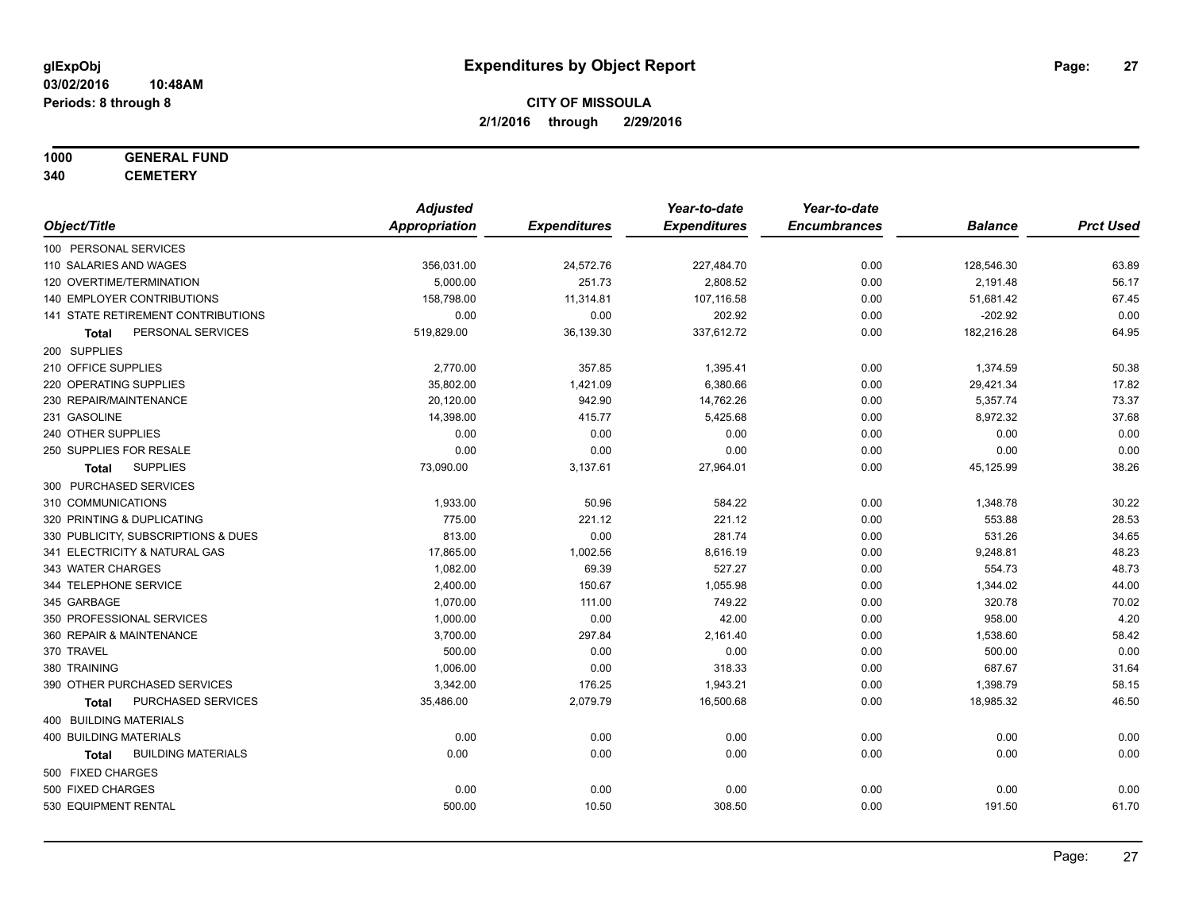#### **1000 GENERAL FUND**

**340 CEMETERY**

|                                           | <b>Adjusted</b>      |                     | Year-to-date        | Year-to-date        |                |                  |
|-------------------------------------------|----------------------|---------------------|---------------------|---------------------|----------------|------------------|
| Object/Title                              | <b>Appropriation</b> | <b>Expenditures</b> | <b>Expenditures</b> | <b>Encumbrances</b> | <b>Balance</b> | <b>Prct Used</b> |
| 100 PERSONAL SERVICES                     |                      |                     |                     |                     |                |                  |
| 110 SALARIES AND WAGES                    | 356,031.00           | 24,572.76           | 227,484.70          | 0.00                | 128,546.30     | 63.89            |
| 120 OVERTIME/TERMINATION                  | 5,000.00             | 251.73              | 2,808.52            | 0.00                | 2,191.48       | 56.17            |
| 140 EMPLOYER CONTRIBUTIONS                | 158,798.00           | 11,314.81           | 107,116.58          | 0.00                | 51,681.42      | 67.45            |
| 141 STATE RETIREMENT CONTRIBUTIONS        | 0.00                 | 0.00                | 202.92              | 0.00                | $-202.92$      | 0.00             |
| PERSONAL SERVICES<br>Total                | 519,829.00           | 36,139.30           | 337,612.72          | 0.00                | 182,216.28     | 64.95            |
| 200 SUPPLIES                              |                      |                     |                     |                     |                |                  |
| 210 OFFICE SUPPLIES                       | 2,770.00             | 357.85              | 1,395.41            | 0.00                | 1,374.59       | 50.38            |
| 220 OPERATING SUPPLIES                    | 35,802.00            | 1,421.09            | 6,380.66            | 0.00                | 29,421.34      | 17.82            |
| 230 REPAIR/MAINTENANCE                    | 20,120.00            | 942.90              | 14,762.26           | 0.00                | 5,357.74       | 73.37            |
| 231 GASOLINE                              | 14,398.00            | 415.77              | 5,425.68            | 0.00                | 8,972.32       | 37.68            |
| 240 OTHER SUPPLIES                        | 0.00                 | 0.00                | 0.00                | 0.00                | 0.00           | 0.00             |
| 250 SUPPLIES FOR RESALE                   | 0.00                 | 0.00                | 0.00                | 0.00                | 0.00           | 0.00             |
| <b>SUPPLIES</b><br>Total                  | 73,090.00            | 3,137.61            | 27,964.01           | 0.00                | 45,125.99      | 38.26            |
| 300 PURCHASED SERVICES                    |                      |                     |                     |                     |                |                  |
| 310 COMMUNICATIONS                        | 1,933.00             | 50.96               | 584.22              | 0.00                | 1,348.78       | 30.22            |
| 320 PRINTING & DUPLICATING                | 775.00               | 221.12              | 221.12              | 0.00                | 553.88         | 28.53            |
| 330 PUBLICITY, SUBSCRIPTIONS & DUES       | 813.00               | 0.00                | 281.74              | 0.00                | 531.26         | 34.65            |
| 341 ELECTRICITY & NATURAL GAS             | 17,865.00            | 1,002.56            | 8,616.19            | 0.00                | 9,248.81       | 48.23            |
| 343 WATER CHARGES                         | 1,082.00             | 69.39               | 527.27              | 0.00                | 554.73         | 48.73            |
| 344 TELEPHONE SERVICE                     | 2,400.00             | 150.67              | 1,055.98            | 0.00                | 1,344.02       | 44.00            |
| 345 GARBAGE                               | 1,070.00             | 111.00              | 749.22              | 0.00                | 320.78         | 70.02            |
| 350 PROFESSIONAL SERVICES                 | 1,000.00             | 0.00                | 42.00               | 0.00                | 958.00         | 4.20             |
| 360 REPAIR & MAINTENANCE                  | 3,700.00             | 297.84              | 2,161.40            | 0.00                | 1,538.60       | 58.42            |
| 370 TRAVEL                                | 500.00               | 0.00                | 0.00                | 0.00                | 500.00         | 0.00             |
| 380 TRAINING                              | 1,006.00             | 0.00                | 318.33              | 0.00                | 687.67         | 31.64            |
| 390 OTHER PURCHASED SERVICES              | 3,342.00             | 176.25              | 1,943.21            | 0.00                | 1,398.79       | 58.15            |
| PURCHASED SERVICES<br><b>Total</b>        | 35,486.00            | 2,079.79            | 16,500.68           | 0.00                | 18,985.32      | 46.50            |
| 400 BUILDING MATERIALS                    |                      |                     |                     |                     |                |                  |
| 400 BUILDING MATERIALS                    | 0.00                 | 0.00                | 0.00                | 0.00                | 0.00           | 0.00             |
| <b>BUILDING MATERIALS</b><br><b>Total</b> | 0.00                 | 0.00                | 0.00                | 0.00                | 0.00           | 0.00             |
| 500 FIXED CHARGES                         |                      |                     |                     |                     |                |                  |
| 500 FIXED CHARGES                         | 0.00                 | 0.00                | 0.00                | 0.00                | 0.00           | 0.00             |
| 530 EQUIPMENT RENTAL                      | 500.00               | 10.50               | 308.50              | 0.00                | 191.50         | 61.70            |
|                                           |                      |                     |                     |                     |                |                  |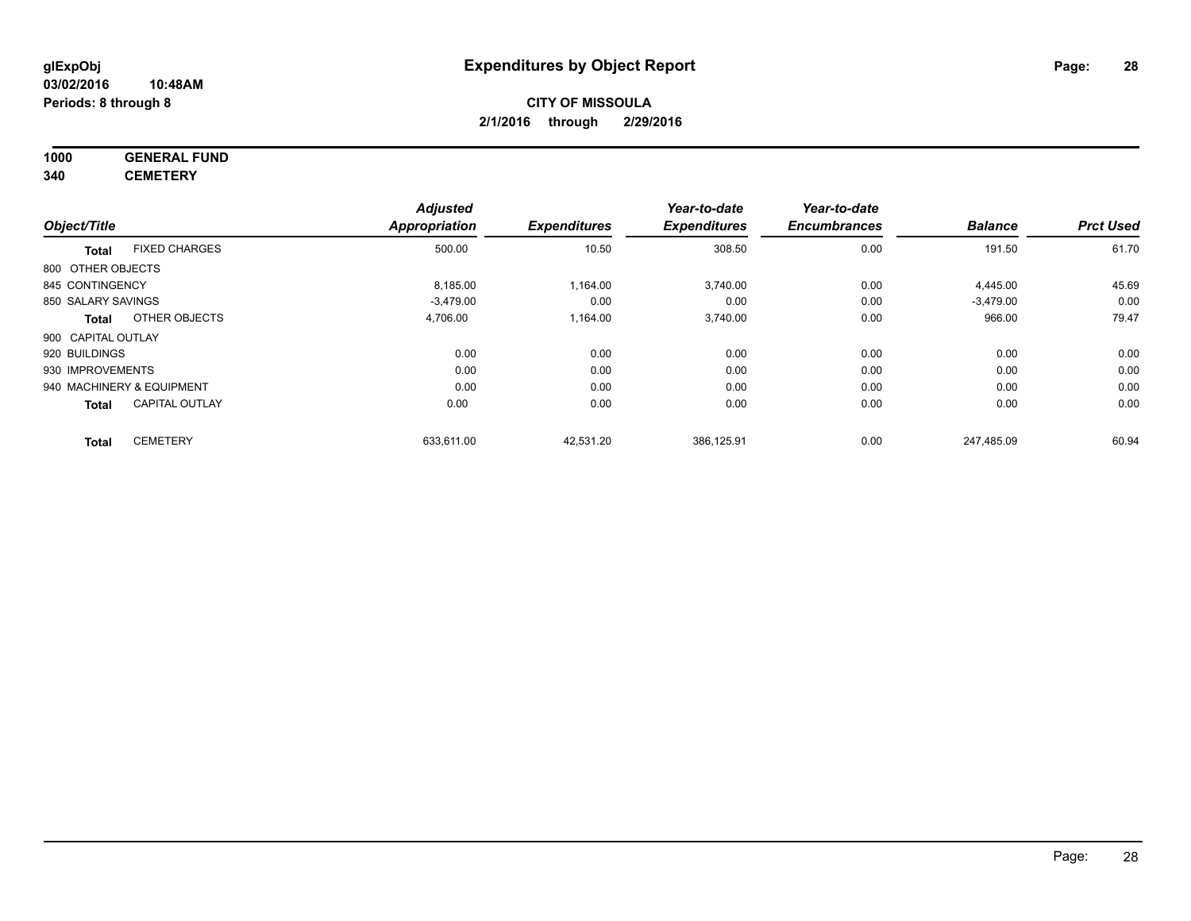# **1000 GENERAL FUND**

**340 CEMETERY**

|                           |                       | <b>Adjusted</b>      |                     | Year-to-date        | Year-to-date        |                |                  |
|---------------------------|-----------------------|----------------------|---------------------|---------------------|---------------------|----------------|------------------|
| Object/Title              |                       | <b>Appropriation</b> | <b>Expenditures</b> | <b>Expenditures</b> | <b>Encumbrances</b> | <b>Balance</b> | <b>Prct Used</b> |
| <b>Total</b>              | <b>FIXED CHARGES</b>  | 500.00               | 10.50               | 308.50              | 0.00                | 191.50         | 61.70            |
| 800 OTHER OBJECTS         |                       |                      |                     |                     |                     |                |                  |
| 845 CONTINGENCY           |                       | 8,185.00             | 1.164.00            | 3,740.00            | 0.00                | 4,445.00       | 45.69            |
| 850 SALARY SAVINGS        |                       | $-3,479.00$          | 0.00                | 0.00                | 0.00                | $-3,479.00$    | 0.00             |
| <b>Total</b>              | OTHER OBJECTS         | 4,706.00             | 1,164.00            | 3,740.00            | 0.00                | 966.00         | 79.47            |
| 900 CAPITAL OUTLAY        |                       |                      |                     |                     |                     |                |                  |
| 920 BUILDINGS             |                       | 0.00                 | 0.00                | 0.00                | 0.00                | 0.00           | 0.00             |
| 930 IMPROVEMENTS          |                       | 0.00                 | 0.00                | 0.00                | 0.00                | 0.00           | 0.00             |
| 940 MACHINERY & EQUIPMENT |                       | 0.00                 | 0.00                | 0.00                | 0.00                | 0.00           | 0.00             |
| <b>Total</b>              | <b>CAPITAL OUTLAY</b> | 0.00                 | 0.00                | 0.00                | 0.00                | 0.00           | 0.00             |
| <b>Total</b>              | <b>CEMETERY</b>       | 633,611.00           | 42,531.20           | 386,125.91          | 0.00                | 247,485.09     | 60.94            |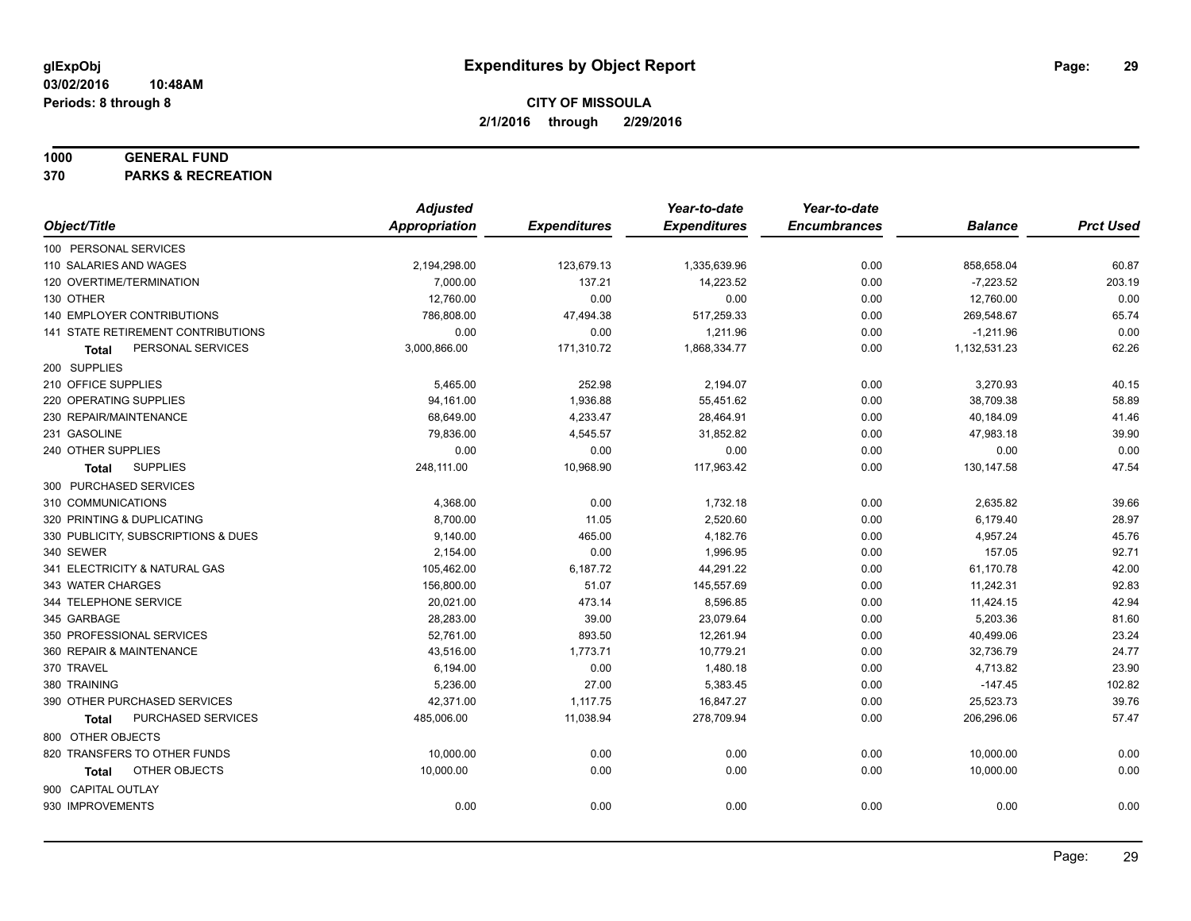#### **1000 GENERAL FUND**

**370 PARKS & RECREATION**

|                                     | <b>Adjusted</b>      |                     | Year-to-date        | Year-to-date        |                |                  |
|-------------------------------------|----------------------|---------------------|---------------------|---------------------|----------------|------------------|
| Object/Title                        | <b>Appropriation</b> | <b>Expenditures</b> | <b>Expenditures</b> | <b>Encumbrances</b> | <b>Balance</b> | <b>Prct Used</b> |
| 100 PERSONAL SERVICES               |                      |                     |                     |                     |                |                  |
| 110 SALARIES AND WAGES              | 2,194,298.00         | 123,679.13          | 1,335,639.96        | 0.00                | 858,658.04     | 60.87            |
| 120 OVERTIME/TERMINATION            | 7,000.00             | 137.21              | 14,223.52           | 0.00                | $-7,223.52$    | 203.19           |
| 130 OTHER                           | 12,760.00            | 0.00                | 0.00                | 0.00                | 12,760.00      | 0.00             |
| 140 EMPLOYER CONTRIBUTIONS          | 786,808.00           | 47,494.38           | 517,259.33          | 0.00                | 269,548.67     | 65.74            |
| 141 STATE RETIREMENT CONTRIBUTIONS  | 0.00                 | 0.00                | 1,211.96            | 0.00                | $-1,211.96$    | 0.00             |
| PERSONAL SERVICES<br>Total          | 3,000,866.00         | 171,310.72          | 1,868,334.77        | 0.00                | 1,132,531.23   | 62.26            |
| 200 SUPPLIES                        |                      |                     |                     |                     |                |                  |
| 210 OFFICE SUPPLIES                 | 5,465.00             | 252.98              | 2,194.07            | 0.00                | 3,270.93       | 40.15            |
| 220 OPERATING SUPPLIES              | 94,161.00            | 1,936.88            | 55,451.62           | 0.00                | 38,709.38      | 58.89            |
| 230 REPAIR/MAINTENANCE              | 68,649.00            | 4,233.47            | 28,464.91           | 0.00                | 40,184.09      | 41.46            |
| 231 GASOLINE                        | 79,836.00            | 4,545.57            | 31,852.82           | 0.00                | 47,983.18      | 39.90            |
| 240 OTHER SUPPLIES                  | 0.00                 | 0.00                | 0.00                | 0.00                | 0.00           | 0.00             |
| <b>SUPPLIES</b><br>Total            | 248,111.00           | 10,968.90           | 117,963.42          | 0.00                | 130, 147.58    | 47.54            |
| 300 PURCHASED SERVICES              |                      |                     |                     |                     |                |                  |
| 310 COMMUNICATIONS                  | 4,368.00             | 0.00                | 1,732.18            | 0.00                | 2,635.82       | 39.66            |
| 320 PRINTING & DUPLICATING          | 8.700.00             | 11.05               | 2,520.60            | 0.00                | 6,179.40       | 28.97            |
| 330 PUBLICITY, SUBSCRIPTIONS & DUES | 9,140.00             | 465.00              | 4,182.76            | 0.00                | 4,957.24       | 45.76            |
| 340 SEWER                           | 2,154.00             | 0.00                | 1,996.95            | 0.00                | 157.05         | 92.71            |
| 341 ELECTRICITY & NATURAL GAS       | 105,462.00           | 6,187.72            | 44,291.22           | 0.00                | 61,170.78      | 42.00            |
| 343 WATER CHARGES                   | 156,800.00           | 51.07               | 145,557.69          | 0.00                | 11,242.31      | 92.83            |
| 344 TELEPHONE SERVICE               | 20,021.00            | 473.14              | 8,596.85            | 0.00                | 11,424.15      | 42.94            |
| 345 GARBAGE                         | 28,283.00            | 39.00               | 23,079.64           | 0.00                | 5,203.36       | 81.60            |
| 350 PROFESSIONAL SERVICES           | 52,761.00            | 893.50              | 12,261.94           | 0.00                | 40,499.06      | 23.24            |
| 360 REPAIR & MAINTENANCE            | 43,516.00            | 1,773.71            | 10,779.21           | 0.00                | 32,736.79      | 24.77            |
| 370 TRAVEL                          | 6,194.00             | 0.00                | 1,480.18            | 0.00                | 4,713.82       | 23.90            |
| 380 TRAINING                        | 5,236.00             | 27.00               | 5,383.45            | 0.00                | $-147.45$      | 102.82           |
| 390 OTHER PURCHASED SERVICES        | 42,371.00            | 1,117.75            | 16,847.27           | 0.00                | 25,523.73      | 39.76            |
| PURCHASED SERVICES<br><b>Total</b>  | 485,006.00           | 11,038.94           | 278,709.94          | 0.00                | 206,296.06     | 57.47            |
| 800 OTHER OBJECTS                   |                      |                     |                     |                     |                |                  |
| 820 TRANSFERS TO OTHER FUNDS        | 10,000.00            | 0.00                | 0.00                | 0.00                | 10,000.00      | 0.00             |
| OTHER OBJECTS<br>Total              | 10,000.00            | 0.00                | 0.00                | 0.00                | 10,000.00      | 0.00             |
| 900 CAPITAL OUTLAY                  |                      |                     |                     |                     |                |                  |
| 930 IMPROVEMENTS                    | 0.00                 | 0.00                | 0.00                | 0.00                | 0.00           | 0.00             |
|                                     |                      |                     |                     |                     |                |                  |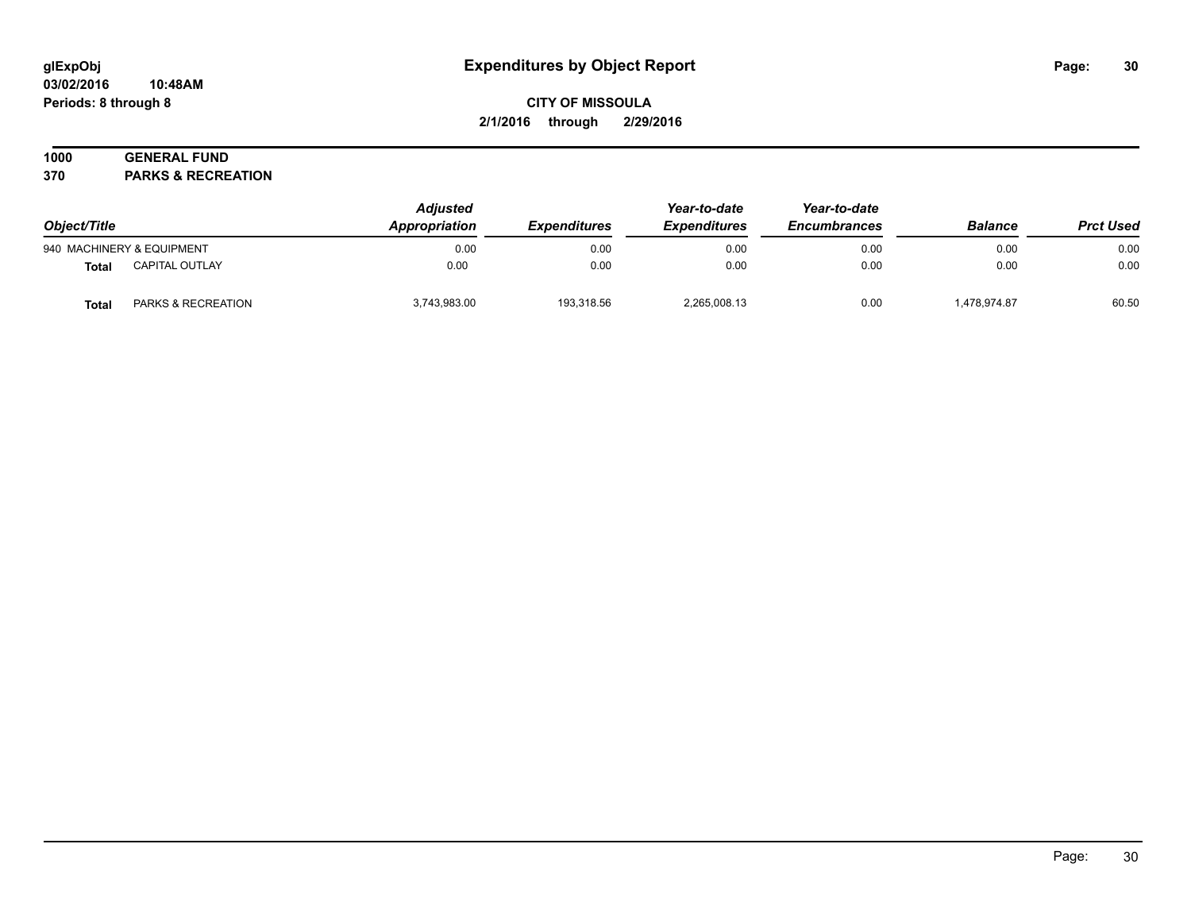#### **03/02/2016 10:48AM Periods: 8 through 8**

## **CITY OF MISSOULA 2/1/2016 through 2/29/2016**

## **1000 GENERAL FUND**

**370 PARKS & RECREATION**

| Object/Title |                           | <b>Adjusted</b><br>Appropriation | <i><b>Expenditures</b></i> | Year-to-date<br><b>Expenditures</b> | Year-to-date<br><b>Encumbrances</b> | <b>Balance</b> | <b>Prct Used</b> |
|--------------|---------------------------|----------------------------------|----------------------------|-------------------------------------|-------------------------------------|----------------|------------------|
|              | 940 MACHINERY & EQUIPMENT | 0.00                             | 0.00                       | 0.00                                | 0.00                                | 0.00           | 0.00             |
| Total        | <b>CAPITAL OUTLAY</b>     | 0.00                             | 0.00                       | 0.00                                | 0.00                                | 0.00           | 0.00             |
| Total        | PARKS & RECREATION        | 3,743,983.00                     | 193,318.56                 | 2,265,008.13                        | 0.00                                | 1,478,974.87   | 60.50            |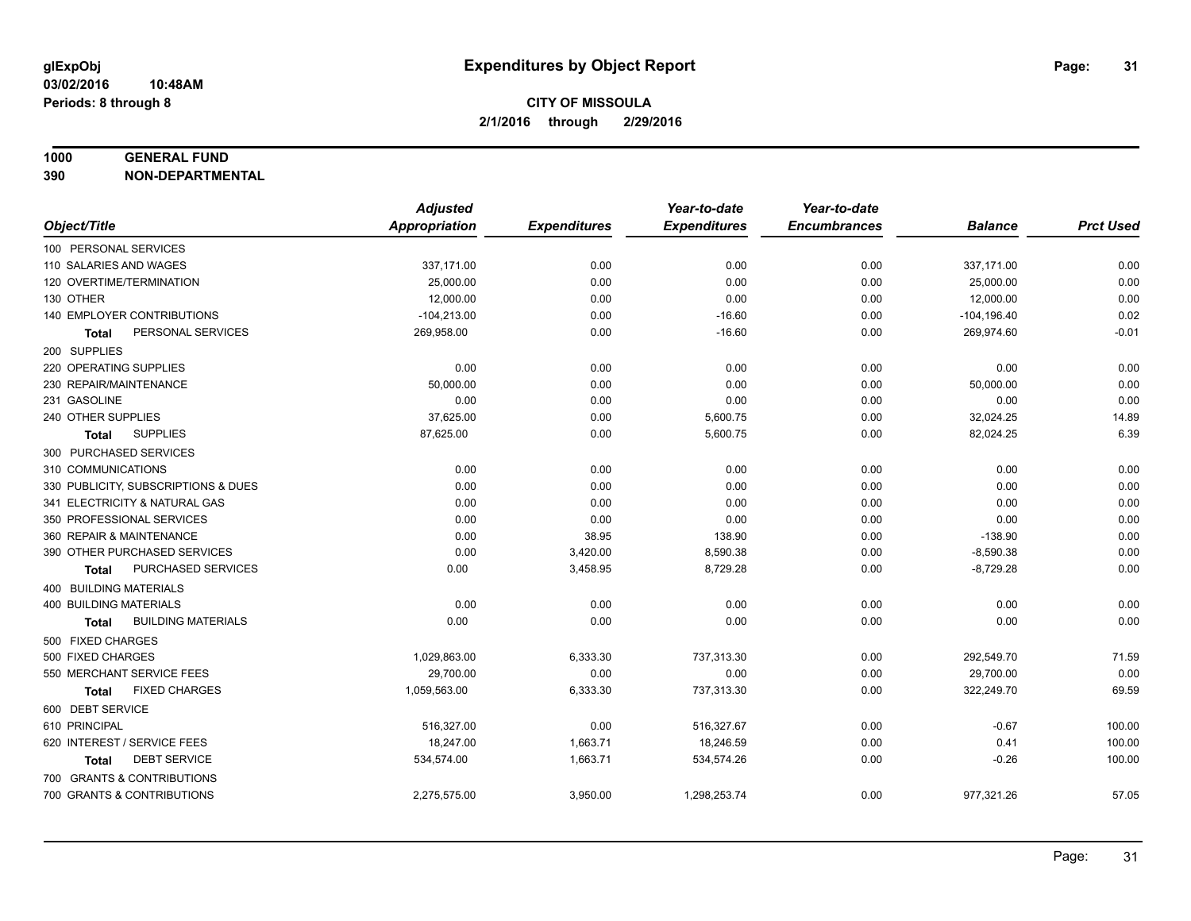#### **1000 GENERAL FUND**

**390 NON-DEPARTMENTAL**

|                                      | <b>Adjusted</b> |                     | Year-to-date        | Year-to-date        |                |                  |
|--------------------------------------|-----------------|---------------------|---------------------|---------------------|----------------|------------------|
| Object/Title                         | Appropriation   | <b>Expenditures</b> | <b>Expenditures</b> | <b>Encumbrances</b> | <b>Balance</b> | <b>Prct Used</b> |
| 100 PERSONAL SERVICES                |                 |                     |                     |                     |                |                  |
| 110 SALARIES AND WAGES               | 337,171.00      | 0.00                | 0.00                | 0.00                | 337,171.00     | 0.00             |
| 120 OVERTIME/TERMINATION             | 25,000.00       | 0.00                | 0.00                | 0.00                | 25,000.00      | 0.00             |
| 130 OTHER                            | 12,000.00       | 0.00                | 0.00                | 0.00                | 12,000.00      | 0.00             |
| 140 EMPLOYER CONTRIBUTIONS           | $-104,213.00$   | 0.00                | $-16.60$            | 0.00                | $-104, 196.40$ | 0.02             |
| PERSONAL SERVICES<br><b>Total</b>    | 269,958.00      | 0.00                | $-16.60$            | 0.00                | 269,974.60     | $-0.01$          |
| 200 SUPPLIES                         |                 |                     |                     |                     |                |                  |
| 220 OPERATING SUPPLIES               | 0.00            | 0.00                | 0.00                | 0.00                | 0.00           | 0.00             |
| 230 REPAIR/MAINTENANCE               | 50,000.00       | 0.00                | 0.00                | 0.00                | 50,000.00      | 0.00             |
| 231 GASOLINE                         | 0.00            | 0.00                | 0.00                | 0.00                | 0.00           | 0.00             |
| 240 OTHER SUPPLIES                   | 37,625.00       | 0.00                | 5,600.75            | 0.00                | 32,024.25      | 14.89            |
| <b>SUPPLIES</b><br>Total             | 87,625.00       | 0.00                | 5,600.75            | 0.00                | 82,024.25      | 6.39             |
| 300 PURCHASED SERVICES               |                 |                     |                     |                     |                |                  |
| 310 COMMUNICATIONS                   | 0.00            | 0.00                | 0.00                | 0.00                | 0.00           | 0.00             |
| 330 PUBLICITY, SUBSCRIPTIONS & DUES  | 0.00            | 0.00                | 0.00                | 0.00                | 0.00           | 0.00             |
| 341 ELECTRICITY & NATURAL GAS        | 0.00            | 0.00                | 0.00                | 0.00                | 0.00           | 0.00             |
| 350 PROFESSIONAL SERVICES            | 0.00            | 0.00                | 0.00                | 0.00                | 0.00           | 0.00             |
| 360 REPAIR & MAINTENANCE             | 0.00            | 38.95               | 138.90              | 0.00                | $-138.90$      | 0.00             |
| 390 OTHER PURCHASED SERVICES         | 0.00            | 3,420.00            | 8,590.38            | 0.00                | $-8,590.38$    | 0.00             |
| PURCHASED SERVICES<br><b>Total</b>   | 0.00            | 3,458.95            | 8,729.28            | 0.00                | $-8,729.28$    | 0.00             |
| 400 BUILDING MATERIALS               |                 |                     |                     |                     |                |                  |
| 400 BUILDING MATERIALS               | 0.00            | 0.00                | 0.00                | 0.00                | 0.00           | 0.00             |
| <b>BUILDING MATERIALS</b><br>Total   | 0.00            | 0.00                | 0.00                | 0.00                | 0.00           | 0.00             |
| 500 FIXED CHARGES                    |                 |                     |                     |                     |                |                  |
| 500 FIXED CHARGES                    | 1,029,863.00    | 6,333.30            | 737,313.30          | 0.00                | 292,549.70     | 71.59            |
| 550 MERCHANT SERVICE FEES            | 29,700.00       | 0.00                | 0.00                | 0.00                | 29,700.00      | 0.00             |
| <b>FIXED CHARGES</b><br><b>Total</b> | 1,059,563.00    | 6,333.30            | 737,313.30          | 0.00                | 322,249.70     | 69.59            |
| 600 DEBT SERVICE                     |                 |                     |                     |                     |                |                  |
| 610 PRINCIPAL                        | 516,327.00      | 0.00                | 516,327.67          | 0.00                | $-0.67$        | 100.00           |
| 620 INTEREST / SERVICE FEES          | 18,247.00       | 1,663.71            | 18,246.59           | 0.00                | 0.41           | 100.00           |
| <b>DEBT SERVICE</b><br>Total         | 534,574.00      | 1,663.71            | 534,574.26          | 0.00                | $-0.26$        | 100.00           |
| 700 GRANTS & CONTRIBUTIONS           |                 |                     |                     |                     |                |                  |
| 700 GRANTS & CONTRIBUTIONS           | 2,275,575.00    | 3,950.00            | 1,298,253.74        | 0.00                | 977,321.26     | 57.05            |
|                                      |                 |                     |                     |                     |                |                  |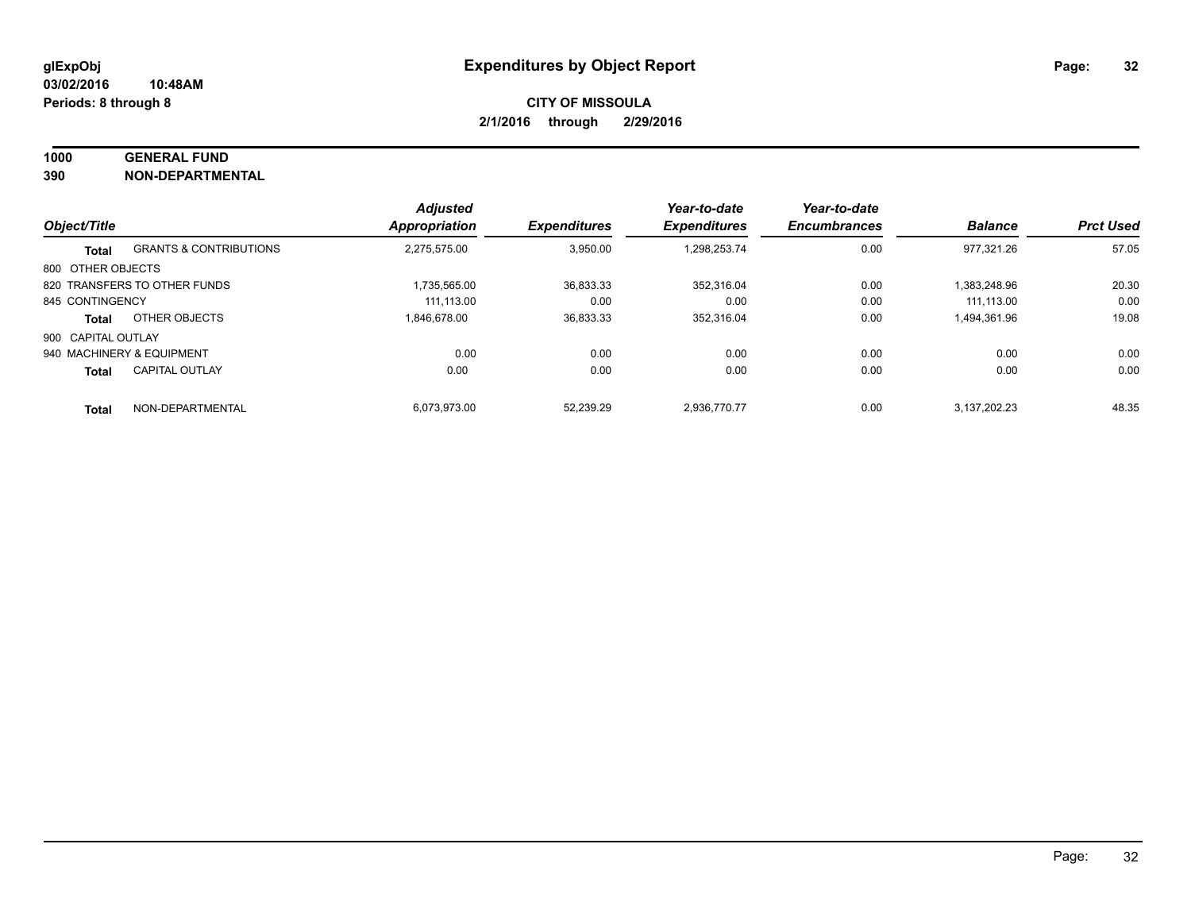#### **1000 GENERAL FUND**

**390 NON-DEPARTMENTAL**

|                    |                                   | <b>Adjusted</b>      |                     | Year-to-date        | Year-to-date        |                |                  |
|--------------------|-----------------------------------|----------------------|---------------------|---------------------|---------------------|----------------|------------------|
| Object/Title       |                                   | <b>Appropriation</b> | <b>Expenditures</b> | <b>Expenditures</b> | <b>Encumbrances</b> | <b>Balance</b> | <b>Prct Used</b> |
| Total              | <b>GRANTS &amp; CONTRIBUTIONS</b> | 2.275.575.00         | 3.950.00            | 1,298,253.74        | 0.00                | 977.321.26     | 57.05            |
| 800 OTHER OBJECTS  |                                   |                      |                     |                     |                     |                |                  |
|                    | 820 TRANSFERS TO OTHER FUNDS      | 1.735.565.00         | 36,833.33           | 352.316.04          | 0.00                | 1.383.248.96   | 20.30            |
| 845 CONTINGENCY    |                                   | 111.113.00           | 0.00                | 0.00                | 0.00                | 111.113.00     | 0.00             |
| <b>Total</b>       | OTHER OBJECTS                     | 1.846.678.00         | 36,833.33           | 352,316.04          | 0.00                | 1,494,361.96   | 19.08            |
| 900 CAPITAL OUTLAY |                                   |                      |                     |                     |                     |                |                  |
|                    | 940 MACHINERY & EQUIPMENT         | 0.00                 | 0.00                | 0.00                | 0.00                | 0.00           | 0.00             |
| <b>Total</b>       | <b>CAPITAL OUTLAY</b>             | 0.00                 | 0.00                | 0.00                | 0.00                | 0.00           | 0.00             |
| <b>Total</b>       | NON-DEPARTMENTAL                  | 6.073.973.00         | 52.239.29           | 2.936.770.77        | 0.00                | 3.137.202.23   | 48.35            |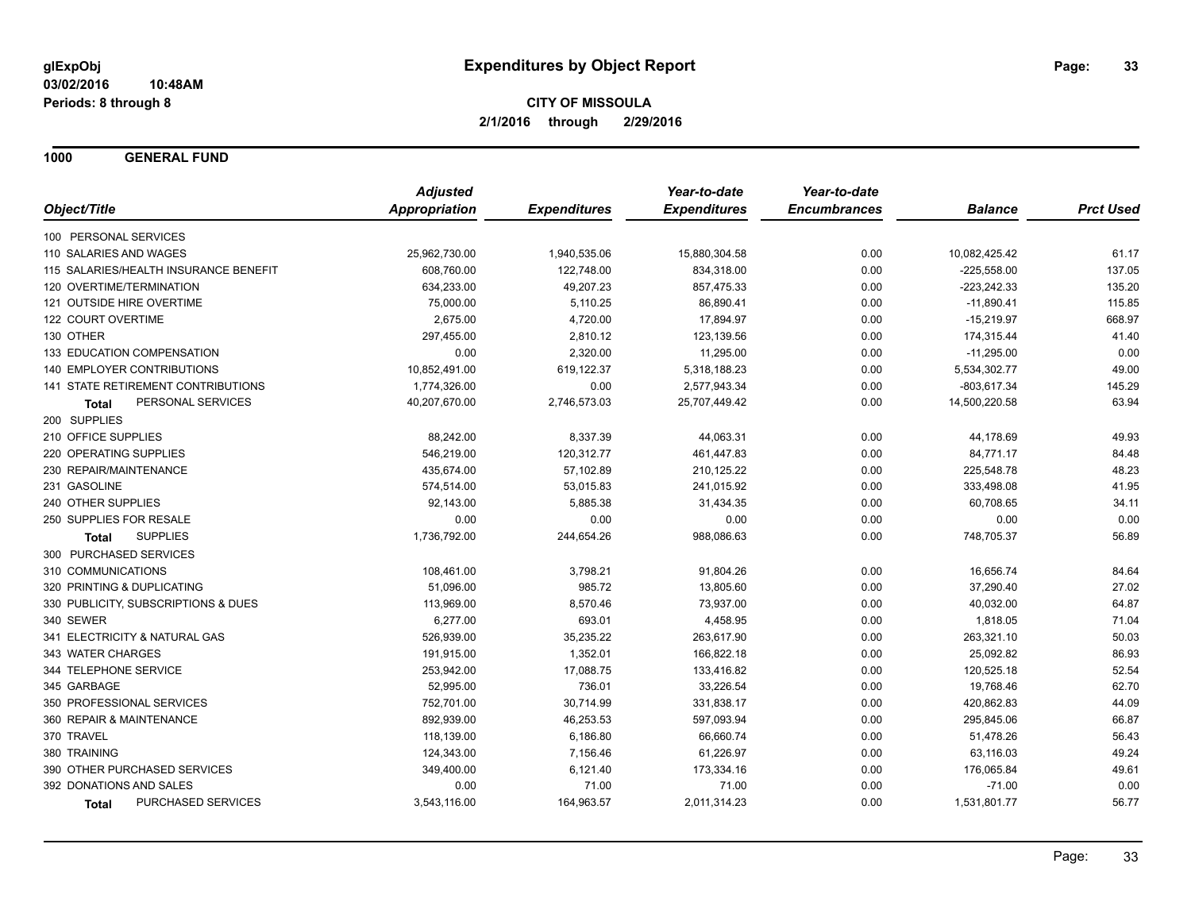**1000 GENERAL FUND**

|                                       | <b>Adjusted</b>      |                     | Year-to-date        | Year-to-date        |                |                  |
|---------------------------------------|----------------------|---------------------|---------------------|---------------------|----------------|------------------|
| Object/Title                          | <b>Appropriation</b> | <b>Expenditures</b> | <b>Expenditures</b> | <b>Encumbrances</b> | <b>Balance</b> | <b>Prct Used</b> |
| 100 PERSONAL SERVICES                 |                      |                     |                     |                     |                |                  |
| 110 SALARIES AND WAGES                | 25,962,730.00        | 1,940,535.06        | 15,880,304.58       | 0.00                | 10,082,425.42  | 61.17            |
| 115 SALARIES/HEALTH INSURANCE BENEFIT | 608,760.00           | 122,748.00          | 834,318.00          | 0.00                | $-225,558.00$  | 137.05           |
| 120 OVERTIME/TERMINATION              | 634,233.00           | 49,207.23           | 857,475.33          | 0.00                | -223,242.33    | 135.20           |
| 121 OUTSIDE HIRE OVERTIME             | 75,000.00            | 5,110.25            | 86,890.41           | 0.00                | $-11,890.41$   | 115.85           |
| 122 COURT OVERTIME                    | 2,675.00             | 4,720.00            | 17,894.97           | 0.00                | $-15,219.97$   | 668.97           |
| 130 OTHER                             | 297,455.00           | 2,810.12            | 123,139.56          | 0.00                | 174,315.44     | 41.40            |
| 133 EDUCATION COMPENSATION            | 0.00                 | 2,320.00            | 11,295.00           | 0.00                | $-11,295.00$   | 0.00             |
| 140 EMPLOYER CONTRIBUTIONS            | 10,852,491.00        | 619,122.37          | 5,318,188.23        | 0.00                | 5,534,302.77   | 49.00            |
| 141 STATE RETIREMENT CONTRIBUTIONS    | 1,774,326.00         | 0.00                | 2,577,943.34        | 0.00                | $-803,617.34$  | 145.29           |
| PERSONAL SERVICES<br><b>Total</b>     | 40,207,670.00        | 2,746,573.03        | 25,707,449.42       | 0.00                | 14,500,220.58  | 63.94            |
| 200 SUPPLIES                          |                      |                     |                     |                     |                |                  |
| 210 OFFICE SUPPLIES                   | 88,242.00            | 8,337.39            | 44,063.31           | 0.00                | 44,178.69      | 49.93            |
| 220 OPERATING SUPPLIES                | 546,219.00           | 120,312.77          | 461,447.83          | 0.00                | 84,771.17      | 84.48            |
| 230 REPAIR/MAINTENANCE                | 435,674.00           | 57,102.89           | 210,125.22          | 0.00                | 225,548.78     | 48.23            |
| 231 GASOLINE                          | 574,514.00           | 53,015.83           | 241,015.92          | 0.00                | 333,498.08     | 41.95            |
| 240 OTHER SUPPLIES                    | 92,143.00            | 5,885.38            | 31,434.35           | 0.00                | 60,708.65      | 34.11            |
| 250 SUPPLIES FOR RESALE               | 0.00                 | 0.00                | 0.00                | 0.00                | 0.00           | 0.00             |
| <b>SUPPLIES</b><br>Total              | 1,736,792.00         | 244,654.26          | 988,086.63          | 0.00                | 748,705.37     | 56.89            |
| 300 PURCHASED SERVICES                |                      |                     |                     |                     |                |                  |
| 310 COMMUNICATIONS                    | 108,461.00           | 3,798.21            | 91,804.26           | 0.00                | 16,656.74      | 84.64            |
| 320 PRINTING & DUPLICATING            | 51,096.00            | 985.72              | 13,805.60           | 0.00                | 37,290.40      | 27.02            |
| 330 PUBLICITY, SUBSCRIPTIONS & DUES   | 113,969.00           | 8,570.46            | 73,937.00           | 0.00                | 40,032.00      | 64.87            |
| 340 SEWER                             | 6,277.00             | 693.01              | 4,458.95            | 0.00                | 1,818.05       | 71.04            |
| 341 ELECTRICITY & NATURAL GAS         | 526,939.00           | 35,235.22           | 263,617.90          | 0.00                | 263,321.10     | 50.03            |
| 343 WATER CHARGES                     | 191,915.00           | 1,352.01            | 166,822.18          | 0.00                | 25,092.82      | 86.93            |
| 344 TELEPHONE SERVICE                 | 253,942.00           | 17,088.75           | 133,416.82          | 0.00                | 120,525.18     | 52.54            |
| 345 GARBAGE                           | 52,995.00            | 736.01              | 33,226.54           | 0.00                | 19,768.46      | 62.70            |
| 350 PROFESSIONAL SERVICES             | 752,701.00           | 30,714.99           | 331,838.17          | 0.00                | 420,862.83     | 44.09            |
| 360 REPAIR & MAINTENANCE              | 892,939.00           | 46,253.53           | 597,093.94          | 0.00                | 295,845.06     | 66.87            |
| 370 TRAVEL                            | 118,139.00           | 6,186.80            | 66,660.74           | 0.00                | 51,478.26      | 56.43            |
| 380 TRAINING                          | 124,343.00           | 7,156.46            | 61,226.97           | 0.00                | 63,116.03      | 49.24            |
| 390 OTHER PURCHASED SERVICES          | 349,400.00           | 6,121.40            | 173,334.16          | 0.00                | 176,065.84     | 49.61            |
| 392 DONATIONS AND SALES               | 0.00                 | 71.00               | 71.00               | 0.00                | $-71.00$       | 0.00             |
| PURCHASED SERVICES<br>Total           | 3,543,116.00         | 164,963.57          | 2,011,314.23        | 0.00                | 1,531,801.77   | 56.77            |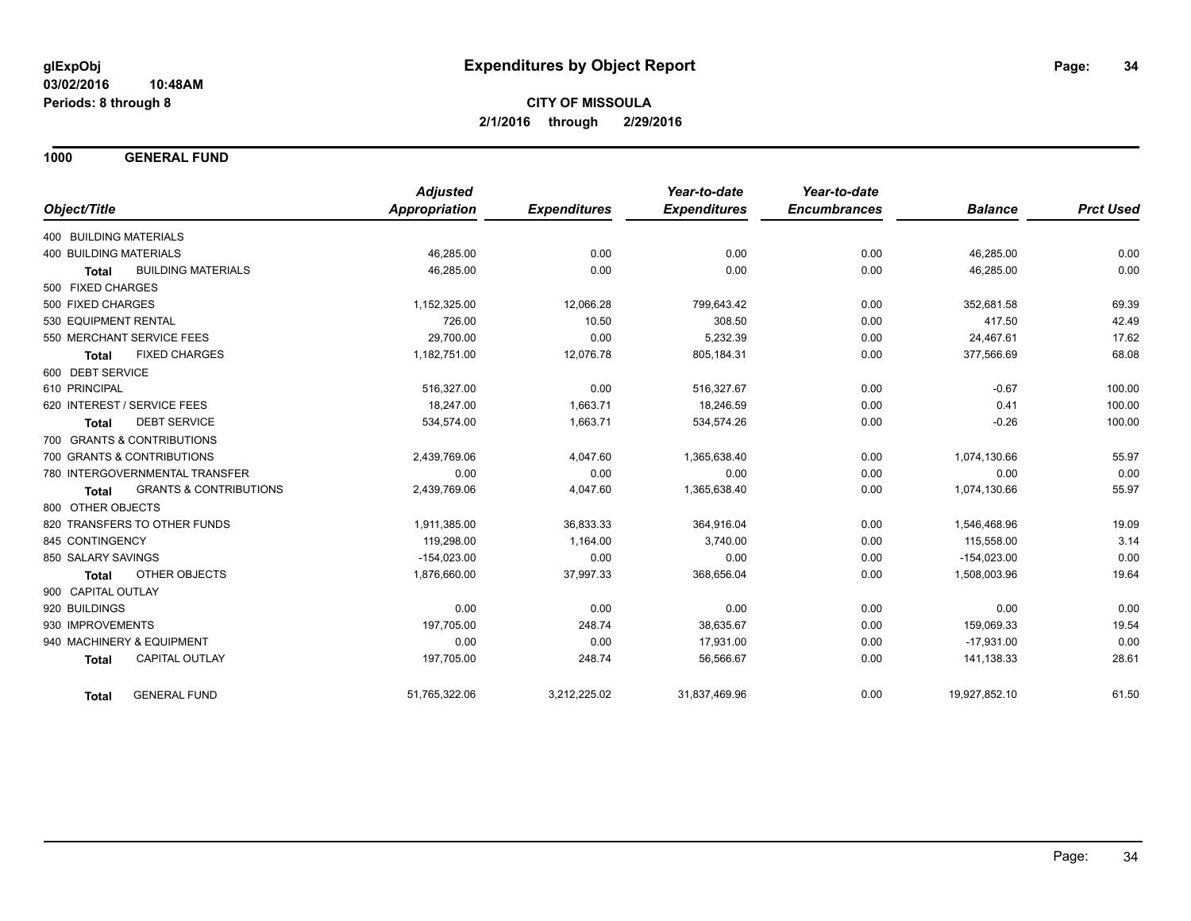**1000 GENERAL FUND**

|                                                   | <b>Adjusted</b> |                     | Year-to-date        | Year-to-date        |                |                  |
|---------------------------------------------------|-----------------|---------------------|---------------------|---------------------|----------------|------------------|
| Object/Title                                      | Appropriation   | <b>Expenditures</b> | <b>Expenditures</b> | <b>Encumbrances</b> | <b>Balance</b> | <b>Prct Used</b> |
| 400 BUILDING MATERIALS                            |                 |                     |                     |                     |                |                  |
| <b>400 BUILDING MATERIALS</b>                     | 46,285.00       | 0.00                | 0.00                | 0.00                | 46,285.00      | 0.00             |
| <b>BUILDING MATERIALS</b><br><b>Total</b>         | 46.285.00       | 0.00                | 0.00                | 0.00                | 46,285.00      | 0.00             |
| 500 FIXED CHARGES                                 |                 |                     |                     |                     |                |                  |
| 500 FIXED CHARGES                                 | 1,152,325.00    | 12,066.28           | 799,643.42          | 0.00                | 352,681.58     | 69.39            |
| 530 EQUIPMENT RENTAL                              | 726.00          | 10.50               | 308.50              | 0.00                | 417.50         | 42.49            |
| 550 MERCHANT SERVICE FEES                         | 29,700.00       | 0.00                | 5,232.39            | 0.00                | 24,467.61      | 17.62            |
| <b>FIXED CHARGES</b><br><b>Total</b>              | 1,182,751.00    | 12,076.78           | 805,184.31          | 0.00                | 377,566.69     | 68.08            |
| 600 DEBT SERVICE                                  |                 |                     |                     |                     |                |                  |
| 610 PRINCIPAL                                     | 516,327.00      | 0.00                | 516,327.67          | 0.00                | $-0.67$        | 100.00           |
| 620 INTEREST / SERVICE FEES                       | 18.247.00       | 1,663.71            | 18,246.59           | 0.00                | 0.41           | 100.00           |
| <b>DEBT SERVICE</b><br><b>Total</b>               | 534,574.00      | 1,663.71            | 534,574.26          | 0.00                | $-0.26$        | 100.00           |
| 700 GRANTS & CONTRIBUTIONS                        |                 |                     |                     |                     |                |                  |
| 700 GRANTS & CONTRIBUTIONS                        | 2.439.769.06    | 4.047.60            | 1.365.638.40        | 0.00                | 1.074.130.66   | 55.97            |
| 780 INTERGOVERNMENTAL TRANSFER                    | 0.00            | 0.00                | 0.00                | 0.00                | 0.00           | 0.00             |
| <b>GRANTS &amp; CONTRIBUTIONS</b><br><b>Total</b> | 2,439,769.06    | 4,047.60            | 1,365,638.40        | 0.00                | 1,074,130.66   | 55.97            |
| 800 OTHER OBJECTS                                 |                 |                     |                     |                     |                |                  |
| 820 TRANSFERS TO OTHER FUNDS                      | 1,911,385.00    | 36,833.33           | 364,916.04          | 0.00                | 1,546,468.96   | 19.09            |
| 845 CONTINGENCY                                   | 119,298.00      | 1,164.00            | 3.740.00            | 0.00                | 115.558.00     | 3.14             |
| 850 SALARY SAVINGS                                | $-154,023.00$   | 0.00                | 0.00                | 0.00                | $-154,023.00$  | 0.00             |
| OTHER OBJECTS<br><b>Total</b>                     | 1,876,660.00    | 37,997.33           | 368,656.04          | 0.00                | 1,508,003.96   | 19.64            |
| 900 CAPITAL OUTLAY                                |                 |                     |                     |                     |                |                  |
| 920 BUILDINGS                                     | 0.00            | 0.00                | 0.00                | 0.00                | 0.00           | 0.00             |
| 930 IMPROVEMENTS                                  | 197,705.00      | 248.74              | 38,635.67           | 0.00                | 159,069.33     | 19.54            |
| 940 MACHINERY & EQUIPMENT                         | 0.00            | 0.00                | 17.931.00           | 0.00                | $-17.931.00$   | 0.00             |
| <b>CAPITAL OUTLAY</b><br><b>Total</b>             | 197,705.00      | 248.74              | 56,566.67           | 0.00                | 141,138.33     | 28.61            |
| <b>GENERAL FUND</b><br>Total                      | 51,765,322.06   | 3,212,225.02        | 31,837,469.96       | 0.00                | 19,927,852.10  | 61.50            |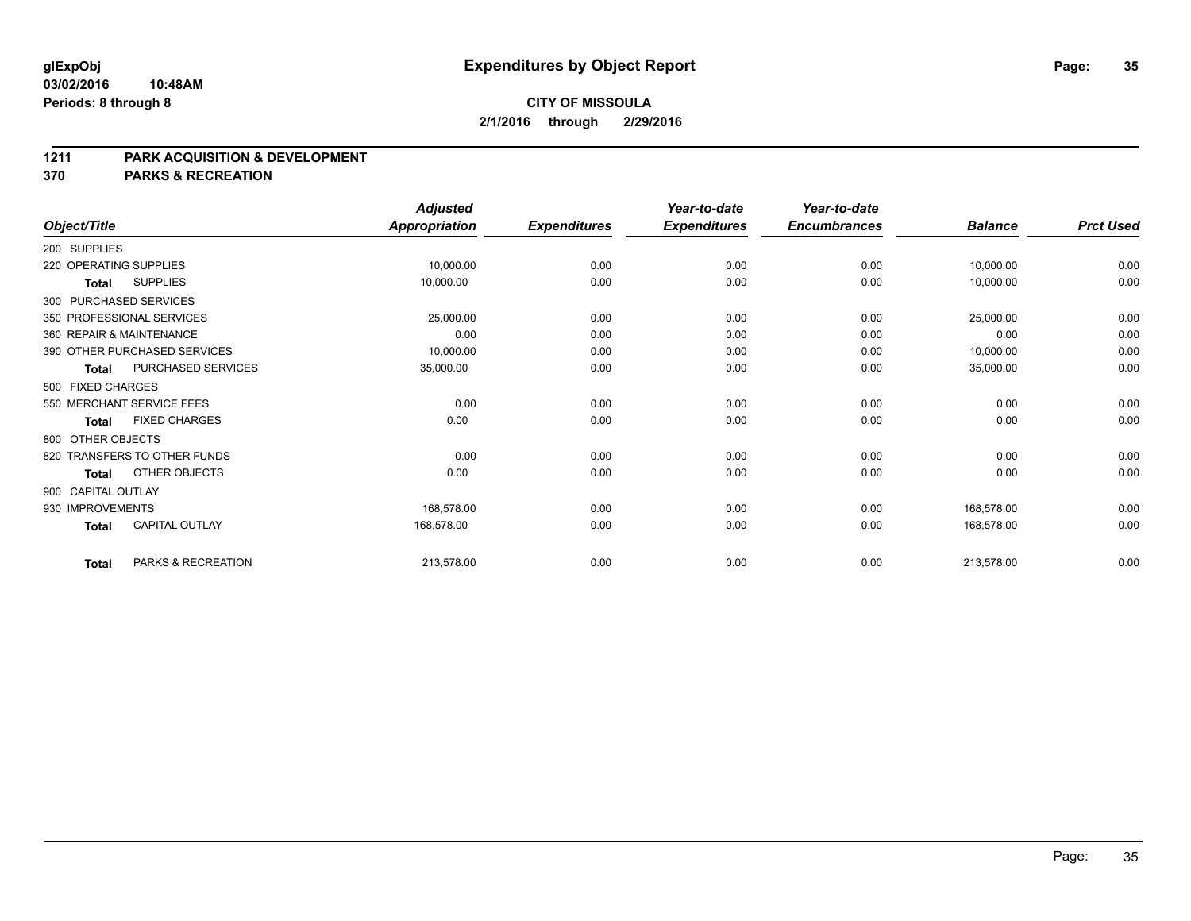#### **1211 PARK ACQUISITION & DEVELOPMENT**

**370 PARKS & RECREATION**

|                    |                              | <b>Adjusted</b>      |                     | Year-to-date        | Year-to-date        |                |                  |
|--------------------|------------------------------|----------------------|---------------------|---------------------|---------------------|----------------|------------------|
| Object/Title       |                              | <b>Appropriation</b> | <b>Expenditures</b> | <b>Expenditures</b> | <b>Encumbrances</b> | <b>Balance</b> | <b>Prct Used</b> |
| 200 SUPPLIES       |                              |                      |                     |                     |                     |                |                  |
|                    | 220 OPERATING SUPPLIES       | 10,000.00            | 0.00                | 0.00                | 0.00                | 10,000.00      | 0.00             |
| <b>Total</b>       | <b>SUPPLIES</b>              | 10,000.00            | 0.00                | 0.00                | 0.00                | 10,000.00      | 0.00             |
|                    | 300 PURCHASED SERVICES       |                      |                     |                     |                     |                |                  |
|                    | 350 PROFESSIONAL SERVICES    | 25,000.00            | 0.00                | 0.00                | 0.00                | 25,000.00      | 0.00             |
|                    | 360 REPAIR & MAINTENANCE     | 0.00                 | 0.00                | 0.00                | 0.00                | 0.00           | 0.00             |
|                    | 390 OTHER PURCHASED SERVICES | 10,000.00            | 0.00                | 0.00                | 0.00                | 10,000.00      | 0.00             |
| <b>Total</b>       | PURCHASED SERVICES           | 35,000.00            | 0.00                | 0.00                | 0.00                | 35,000.00      | 0.00             |
| 500 FIXED CHARGES  |                              |                      |                     |                     |                     |                |                  |
|                    | 550 MERCHANT SERVICE FEES    | 0.00                 | 0.00                | 0.00                | 0.00                | 0.00           | 0.00             |
| <b>Total</b>       | <b>FIXED CHARGES</b>         | 0.00                 | 0.00                | 0.00                | 0.00                | 0.00           | 0.00             |
| 800 OTHER OBJECTS  |                              |                      |                     |                     |                     |                |                  |
|                    | 820 TRANSFERS TO OTHER FUNDS | 0.00                 | 0.00                | 0.00                | 0.00                | 0.00           | 0.00             |
| Total              | OTHER OBJECTS                | 0.00                 | 0.00                | 0.00                | 0.00                | 0.00           | 0.00             |
| 900 CAPITAL OUTLAY |                              |                      |                     |                     |                     |                |                  |
| 930 IMPROVEMENTS   |                              | 168.578.00           | 0.00                | 0.00                | 0.00                | 168,578.00     | 0.00             |
| <b>Total</b>       | <b>CAPITAL OUTLAY</b>        | 168,578.00           | 0.00                | 0.00                | 0.00                | 168,578.00     | 0.00             |
| <b>Total</b>       | PARKS & RECREATION           | 213,578.00           | 0.00                | 0.00                | 0.00                | 213,578.00     | 0.00             |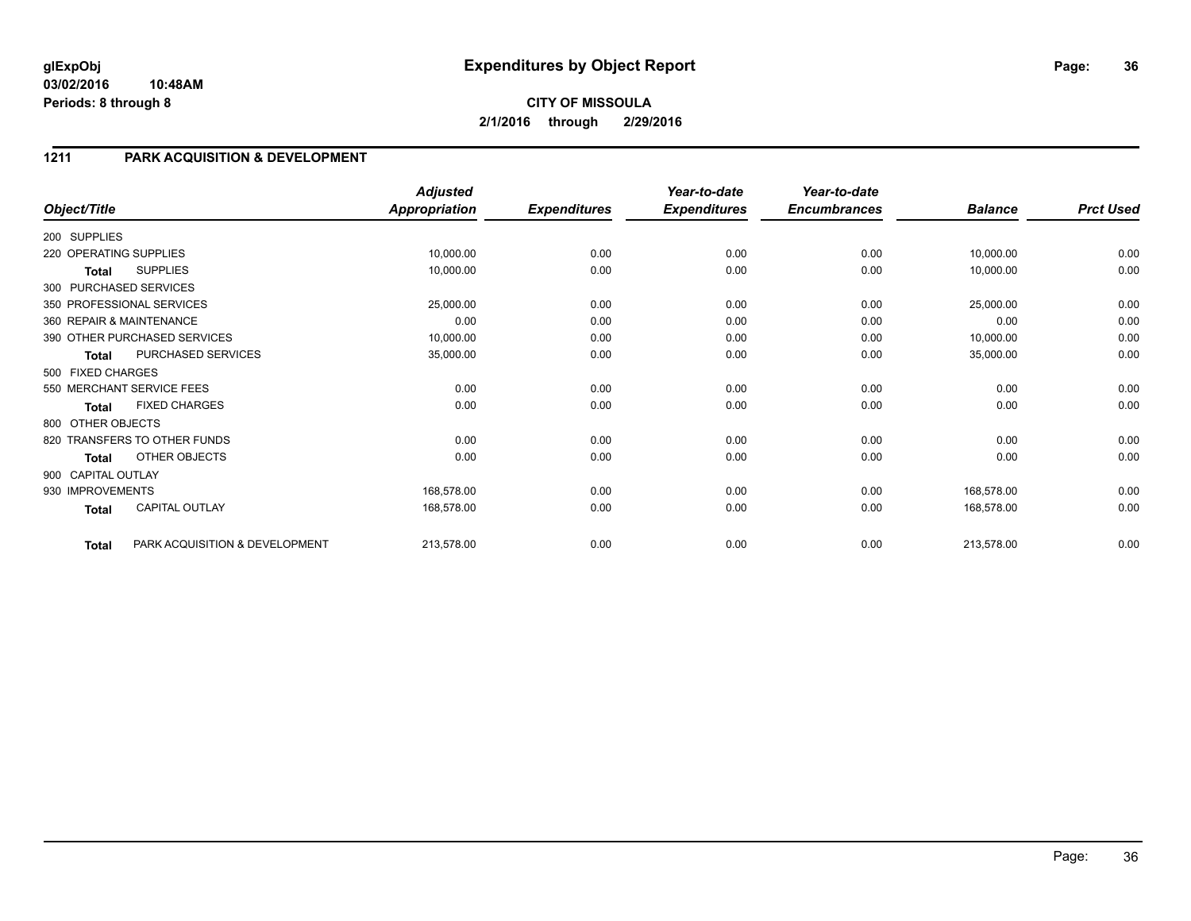#### **03/02/2016 10:48AM Periods: 8 through 8**

## **1211 PARK ACQUISITION & DEVELOPMENT**

| Object/Title           |                                | <b>Adjusted</b><br><b>Appropriation</b> | <b>Expenditures</b> | Year-to-date<br><b>Expenditures</b> | Year-to-date<br><b>Encumbrances</b> | <b>Balance</b> | <b>Prct Used</b> |
|------------------------|--------------------------------|-----------------------------------------|---------------------|-------------------------------------|-------------------------------------|----------------|------------------|
|                        |                                |                                         |                     |                                     |                                     |                |                  |
| 200 SUPPLIES           |                                |                                         |                     |                                     |                                     |                |                  |
| 220 OPERATING SUPPLIES |                                | 10,000.00                               | 0.00                | 0.00                                | 0.00                                | 10,000.00      | 0.00             |
| Total                  | <b>SUPPLIES</b>                | 10,000.00                               | 0.00                | 0.00                                | 0.00                                | 10,000.00      | 0.00             |
|                        | 300 PURCHASED SERVICES         |                                         |                     |                                     |                                     |                |                  |
|                        | 350 PROFESSIONAL SERVICES      | 25,000.00                               | 0.00                | 0.00                                | 0.00                                | 25,000.00      | 0.00             |
|                        | 360 REPAIR & MAINTENANCE       | 0.00                                    | 0.00                | 0.00                                | 0.00                                | 0.00           | 0.00             |
|                        | 390 OTHER PURCHASED SERVICES   | 10,000.00                               | 0.00                | 0.00                                | 0.00                                | 10,000.00      | 0.00             |
| <b>Total</b>           | PURCHASED SERVICES             | 35,000.00                               | 0.00                | 0.00                                | 0.00                                | 35,000.00      | 0.00             |
| 500 FIXED CHARGES      |                                |                                         |                     |                                     |                                     |                |                  |
|                        | 550 MERCHANT SERVICE FEES      | 0.00                                    | 0.00                | 0.00                                | 0.00                                | 0.00           | 0.00             |
| <b>Total</b>           | <b>FIXED CHARGES</b>           | 0.00                                    | 0.00                | 0.00                                | 0.00                                | 0.00           | 0.00             |
| 800 OTHER OBJECTS      |                                |                                         |                     |                                     |                                     |                |                  |
|                        | 820 TRANSFERS TO OTHER FUNDS   | 0.00                                    | 0.00                | 0.00                                | 0.00                                | 0.00           | 0.00             |
| <b>Total</b>           | OTHER OBJECTS                  | 0.00                                    | 0.00                | 0.00                                | 0.00                                | 0.00           | 0.00             |
| 900 CAPITAL OUTLAY     |                                |                                         |                     |                                     |                                     |                |                  |
| 930 IMPROVEMENTS       |                                | 168,578.00                              | 0.00                | 0.00                                | 0.00                                | 168,578.00     | 0.00             |
| <b>Total</b>           | <b>CAPITAL OUTLAY</b>          | 168,578.00                              | 0.00                | 0.00                                | 0.00                                | 168,578.00     | 0.00             |
| <b>Total</b>           | PARK ACQUISITION & DEVELOPMENT | 213,578.00                              | 0.00                | 0.00                                | 0.00                                | 213,578.00     | 0.00             |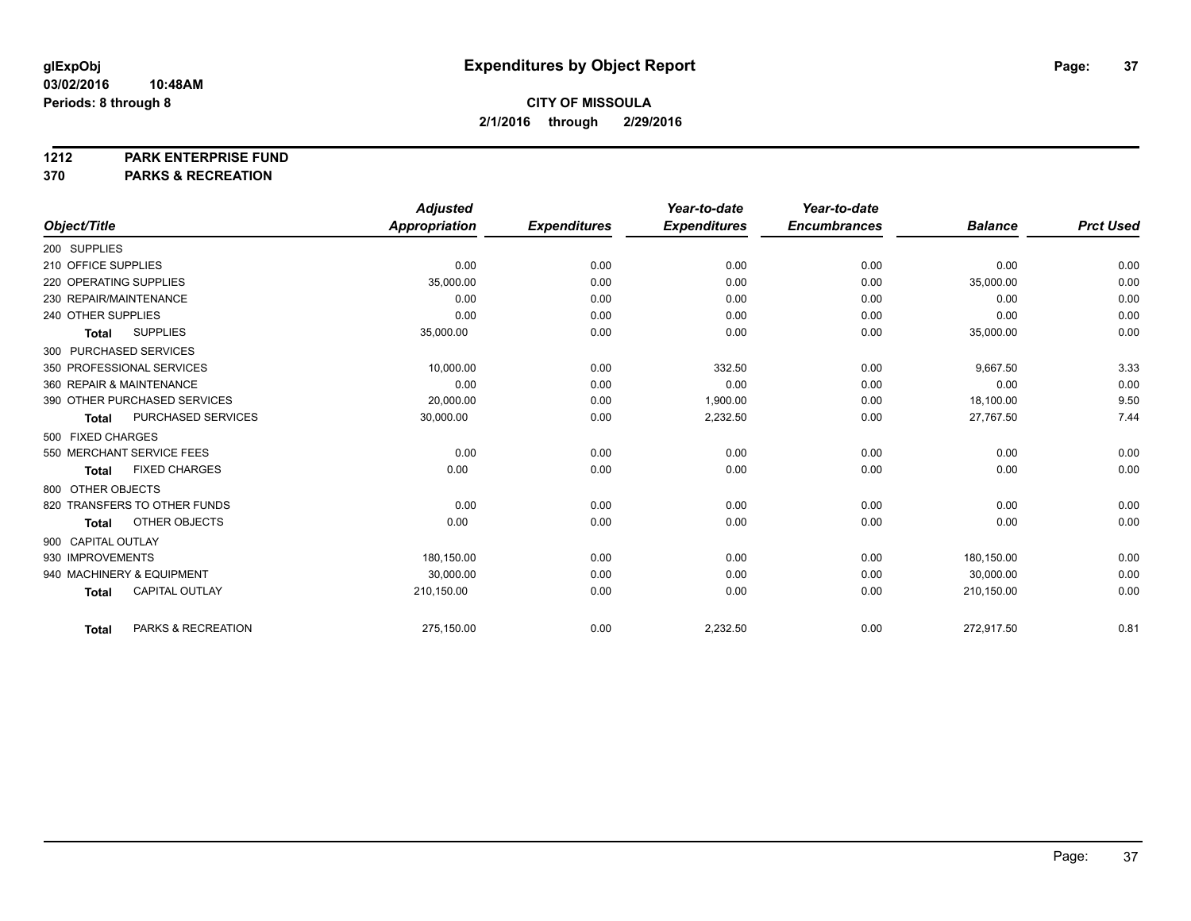#### **1212 PARK ENTERPRISE FUND**

**370 PARKS & RECREATION**

|                                       | <b>Adjusted</b> |                     | Year-to-date        | Year-to-date        |                |                  |
|---------------------------------------|-----------------|---------------------|---------------------|---------------------|----------------|------------------|
| Object/Title                          | Appropriation   | <b>Expenditures</b> | <b>Expenditures</b> | <b>Encumbrances</b> | <b>Balance</b> | <b>Prct Used</b> |
| 200 SUPPLIES                          |                 |                     |                     |                     |                |                  |
| 210 OFFICE SUPPLIES                   | 0.00            | 0.00                | 0.00                | 0.00                | 0.00           | 0.00             |
| 220 OPERATING SUPPLIES                | 35,000.00       | 0.00                | 0.00                | 0.00                | 35,000.00      | 0.00             |
| 230 REPAIR/MAINTENANCE                | 0.00            | 0.00                | 0.00                | 0.00                | 0.00           | 0.00             |
| 240 OTHER SUPPLIES                    | 0.00            | 0.00                | 0.00                | 0.00                | 0.00           | 0.00             |
| <b>SUPPLIES</b><br><b>Total</b>       | 35,000.00       | 0.00                | 0.00                | 0.00                | 35,000.00      | 0.00             |
| 300 PURCHASED SERVICES                |                 |                     |                     |                     |                |                  |
| 350 PROFESSIONAL SERVICES             | 10,000.00       | 0.00                | 332.50              | 0.00                | 9,667.50       | 3.33             |
| 360 REPAIR & MAINTENANCE              | 0.00            | 0.00                | 0.00                | 0.00                | 0.00           | 0.00             |
| 390 OTHER PURCHASED SERVICES          | 20,000.00       | 0.00                | 1,900.00            | 0.00                | 18,100.00      | 9.50             |
| PURCHASED SERVICES<br><b>Total</b>    | 30,000.00       | 0.00                | 2,232.50            | 0.00                | 27,767.50      | 7.44             |
| 500 FIXED CHARGES                     |                 |                     |                     |                     |                |                  |
| 550 MERCHANT SERVICE FEES             | 0.00            | 0.00                | 0.00                | 0.00                | 0.00           | 0.00             |
| <b>FIXED CHARGES</b><br><b>Total</b>  | 0.00            | 0.00                | 0.00                | 0.00                | 0.00           | 0.00             |
| 800 OTHER OBJECTS                     |                 |                     |                     |                     |                |                  |
| 820 TRANSFERS TO OTHER FUNDS          | 0.00            | 0.00                | 0.00                | 0.00                | 0.00           | 0.00             |
| <b>OTHER OBJECTS</b><br><b>Total</b>  | 0.00            | 0.00                | 0.00                | 0.00                | 0.00           | 0.00             |
| 900 CAPITAL OUTLAY                    |                 |                     |                     |                     |                |                  |
| 930 IMPROVEMENTS                      | 180.150.00      | 0.00                | 0.00                | 0.00                | 180.150.00     | 0.00             |
| 940 MACHINERY & EQUIPMENT             | 30,000.00       | 0.00                | 0.00                | 0.00                | 30,000.00      | 0.00             |
| <b>CAPITAL OUTLAY</b><br><b>Total</b> | 210,150.00      | 0.00                | 0.00                | 0.00                | 210,150.00     | 0.00             |
| PARKS & RECREATION<br><b>Total</b>    | 275,150.00      | 0.00                | 2,232.50            | 0.00                | 272,917.50     | 0.81             |
|                                       |                 |                     |                     |                     |                |                  |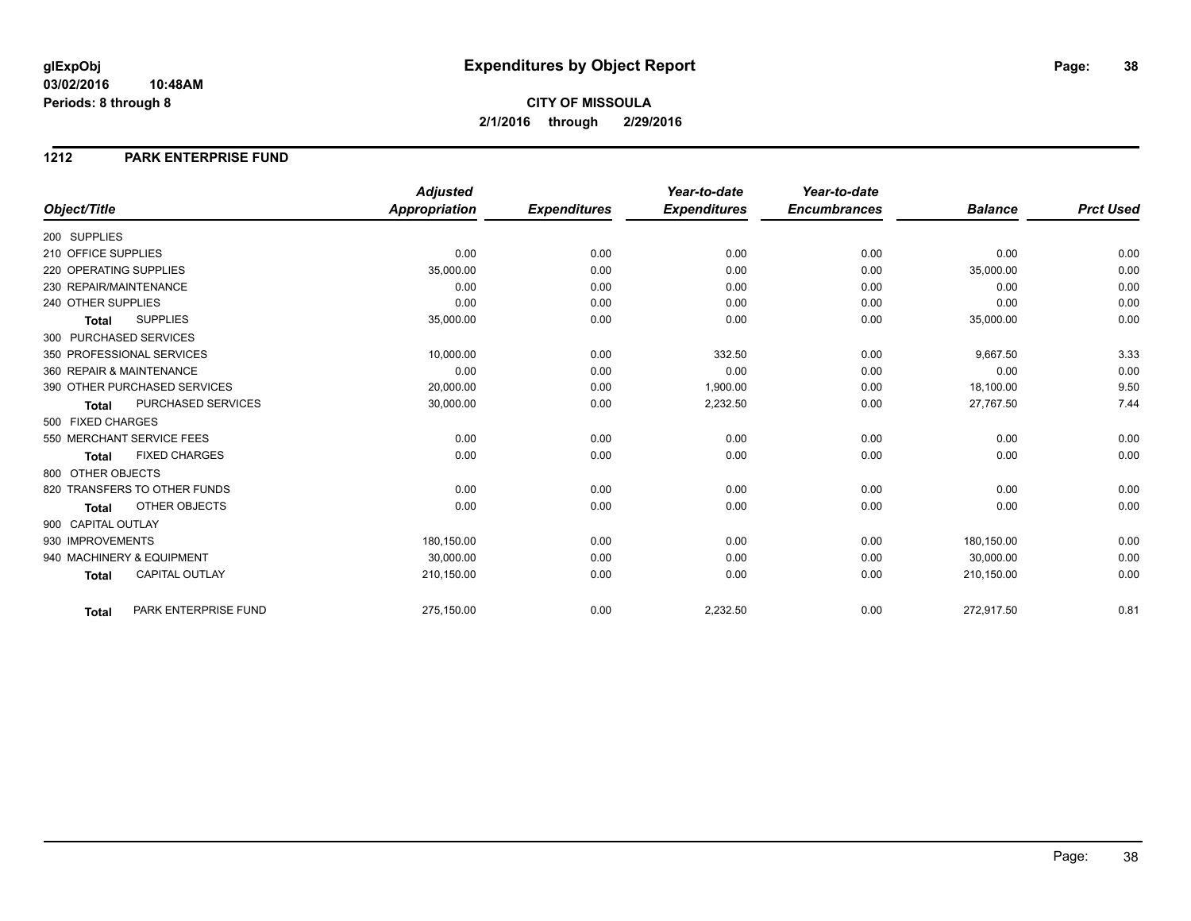#### **1212 PARK ENTERPRISE FUND**

|                                       |                           | <b>Adjusted</b>      |                     | Year-to-date        | Year-to-date        |                |                  |
|---------------------------------------|---------------------------|----------------------|---------------------|---------------------|---------------------|----------------|------------------|
| Object/Title                          |                           | <b>Appropriation</b> | <b>Expenditures</b> | <b>Expenditures</b> | <b>Encumbrances</b> | <b>Balance</b> | <b>Prct Used</b> |
| 200 SUPPLIES                          |                           |                      |                     |                     |                     |                |                  |
| 210 OFFICE SUPPLIES                   |                           | 0.00                 | 0.00                | 0.00                | 0.00                | 0.00           | 0.00             |
| 220 OPERATING SUPPLIES                |                           | 35,000.00            | 0.00                | 0.00                | 0.00                | 35,000.00      | 0.00             |
| 230 REPAIR/MAINTENANCE                |                           | 0.00                 | 0.00                | 0.00                | 0.00                | 0.00           | 0.00             |
| 240 OTHER SUPPLIES                    |                           | 0.00                 | 0.00                | 0.00                | 0.00                | 0.00           | 0.00             |
| <b>SUPPLIES</b><br><b>Total</b>       |                           | 35,000.00            | 0.00                | 0.00                | 0.00                | 35,000.00      | 0.00             |
| 300 PURCHASED SERVICES                |                           |                      |                     |                     |                     |                |                  |
| 350 PROFESSIONAL SERVICES             |                           | 10,000.00            | 0.00                | 332.50              | 0.00                | 9,667.50       | 3.33             |
| 360 REPAIR & MAINTENANCE              |                           | 0.00                 | 0.00                | 0.00                | 0.00                | 0.00           | 0.00             |
| 390 OTHER PURCHASED SERVICES          |                           | 20,000.00            | 0.00                | 1,900.00            | 0.00                | 18,100.00      | 9.50             |
| <b>Total</b>                          | <b>PURCHASED SERVICES</b> | 30,000.00            | 0.00                | 2,232.50            | 0.00                | 27,767.50      | 7.44             |
| 500 FIXED CHARGES                     |                           |                      |                     |                     |                     |                |                  |
| 550 MERCHANT SERVICE FEES             |                           | 0.00                 | 0.00                | 0.00                | 0.00                | 0.00           | 0.00             |
| <b>FIXED CHARGES</b><br><b>Total</b>  |                           | 0.00                 | 0.00                | 0.00                | 0.00                | 0.00           | 0.00             |
| 800 OTHER OBJECTS                     |                           |                      |                     |                     |                     |                |                  |
| 820 TRANSFERS TO OTHER FUNDS          |                           | 0.00                 | 0.00                | 0.00                | 0.00                | 0.00           | 0.00             |
| <b>OTHER OBJECTS</b><br><b>Total</b>  |                           | 0.00                 | 0.00                | 0.00                | 0.00                | 0.00           | 0.00             |
| 900 CAPITAL OUTLAY                    |                           |                      |                     |                     |                     |                |                  |
| 930 IMPROVEMENTS                      |                           | 180,150.00           | 0.00                | 0.00                | 0.00                | 180,150.00     | 0.00             |
| 940 MACHINERY & EQUIPMENT             |                           | 30.000.00            | 0.00                | 0.00                | 0.00                | 30,000.00      | 0.00             |
| <b>CAPITAL OUTLAY</b><br><b>Total</b> |                           | 210,150.00           | 0.00                | 0.00                | 0.00                | 210,150.00     | 0.00             |
| <b>Total</b>                          | PARK ENTERPRISE FUND      | 275,150.00           | 0.00                | 2,232.50            | 0.00                | 272,917.50     | 0.81             |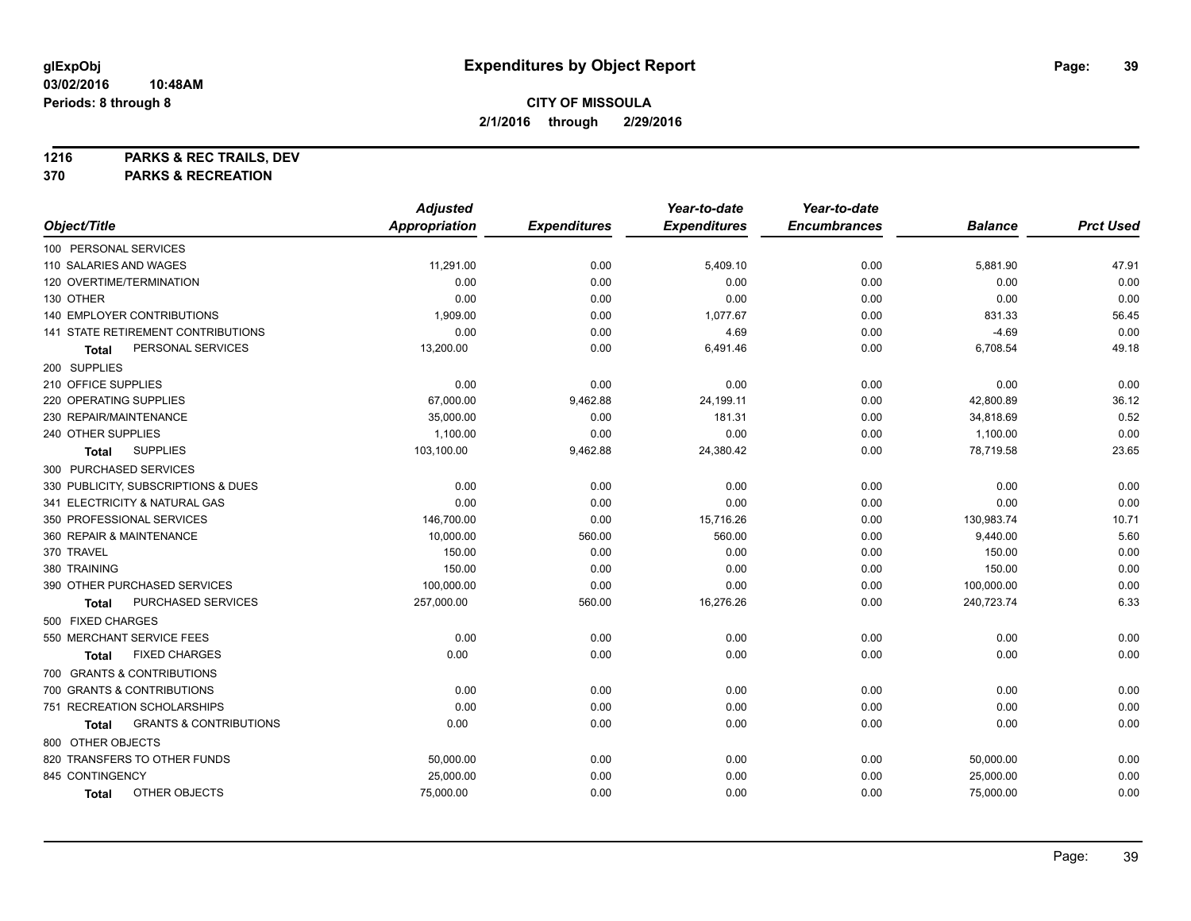**1216 PARKS & REC TRAILS, DEV**

**370 PARKS & RECREATION**

|                                            | <b>Adjusted</b>      |                     | Year-to-date        | Year-to-date        |                |                  |
|--------------------------------------------|----------------------|---------------------|---------------------|---------------------|----------------|------------------|
| Object/Title                               | <b>Appropriation</b> | <b>Expenditures</b> | <b>Expenditures</b> | <b>Encumbrances</b> | <b>Balance</b> | <b>Prct Used</b> |
| 100 PERSONAL SERVICES                      |                      |                     |                     |                     |                |                  |
| 110 SALARIES AND WAGES                     | 11,291.00            | 0.00                | 5,409.10            | 0.00                | 5,881.90       | 47.91            |
| 120 OVERTIME/TERMINATION                   | 0.00                 | 0.00                | 0.00                | 0.00                | 0.00           | 0.00             |
| 130 OTHER                                  | 0.00                 | 0.00                | 0.00                | 0.00                | 0.00           | 0.00             |
| 140 EMPLOYER CONTRIBUTIONS                 | 1,909.00             | 0.00                | 1,077.67            | 0.00                | 831.33         | 56.45            |
| 141 STATE RETIREMENT CONTRIBUTIONS         | 0.00                 | 0.00                | 4.69                | 0.00                | $-4.69$        | 0.00             |
| PERSONAL SERVICES<br>Total                 | 13,200.00            | 0.00                | 6,491.46            | 0.00                | 6,708.54       | 49.18            |
| 200 SUPPLIES                               |                      |                     |                     |                     |                |                  |
| 210 OFFICE SUPPLIES                        | 0.00                 | 0.00                | 0.00                | 0.00                | 0.00           | 0.00             |
| 220 OPERATING SUPPLIES                     | 67,000.00            | 9,462.88            | 24,199.11           | 0.00                | 42,800.89      | 36.12            |
| 230 REPAIR/MAINTENANCE                     | 35,000.00            | 0.00                | 181.31              | 0.00                | 34,818.69      | 0.52             |
| 240 OTHER SUPPLIES                         | 1,100.00             | 0.00                | 0.00                | 0.00                | 1,100.00       | 0.00             |
| <b>SUPPLIES</b><br><b>Total</b>            | 103,100.00           | 9,462.88            | 24,380.42           | 0.00                | 78,719.58      | 23.65            |
| 300 PURCHASED SERVICES                     |                      |                     |                     |                     |                |                  |
| 330 PUBLICITY, SUBSCRIPTIONS & DUES        | 0.00                 | 0.00                | 0.00                | 0.00                | 0.00           | 0.00             |
| 341 ELECTRICITY & NATURAL GAS              | 0.00                 | 0.00                | 0.00                | 0.00                | 0.00           | 0.00             |
| 350 PROFESSIONAL SERVICES                  | 146,700.00           | 0.00                | 15,716.26           | 0.00                | 130,983.74     | 10.71            |
| 360 REPAIR & MAINTENANCE                   | 10,000.00            | 560.00              | 560.00              | 0.00                | 9,440.00       | 5.60             |
| 370 TRAVEL                                 | 150.00               | 0.00                | 0.00                | 0.00                | 150.00         | 0.00             |
| 380 TRAINING                               | 150.00               | 0.00                | 0.00                | 0.00                | 150.00         | 0.00             |
| 390 OTHER PURCHASED SERVICES               | 100,000.00           | 0.00                | 0.00                | 0.00                | 100,000.00     | 0.00             |
| PURCHASED SERVICES<br>Total                | 257,000.00           | 560.00              | 16,276.26           | 0.00                | 240,723.74     | 6.33             |
| 500 FIXED CHARGES                          |                      |                     |                     |                     |                |                  |
| 550 MERCHANT SERVICE FEES                  | 0.00                 | 0.00                | 0.00                | 0.00                | 0.00           | 0.00             |
| <b>FIXED CHARGES</b><br>Total              | 0.00                 | 0.00                | 0.00                | 0.00                | 0.00           | 0.00             |
| 700 GRANTS & CONTRIBUTIONS                 |                      |                     |                     |                     |                |                  |
| 700 GRANTS & CONTRIBUTIONS                 | 0.00                 | 0.00                | 0.00                | 0.00                | 0.00           | 0.00             |
| 751 RECREATION SCHOLARSHIPS                | 0.00                 | 0.00                | 0.00                | 0.00                | 0.00           | 0.00             |
| <b>GRANTS &amp; CONTRIBUTIONS</b><br>Total | 0.00                 | 0.00                | 0.00                | 0.00                | 0.00           | 0.00             |
| 800 OTHER OBJECTS                          |                      |                     |                     |                     |                |                  |
| 820 TRANSFERS TO OTHER FUNDS               | 50,000.00            | 0.00                | 0.00                | 0.00                | 50,000.00      | 0.00             |
| 845 CONTINGENCY                            | 25,000.00            | 0.00                | 0.00                | 0.00                | 25,000.00      | 0.00             |
| OTHER OBJECTS<br><b>Total</b>              | 75,000.00            | 0.00                | 0.00                | 0.00                | 75,000.00      | 0.00             |
|                                            |                      |                     |                     |                     |                |                  |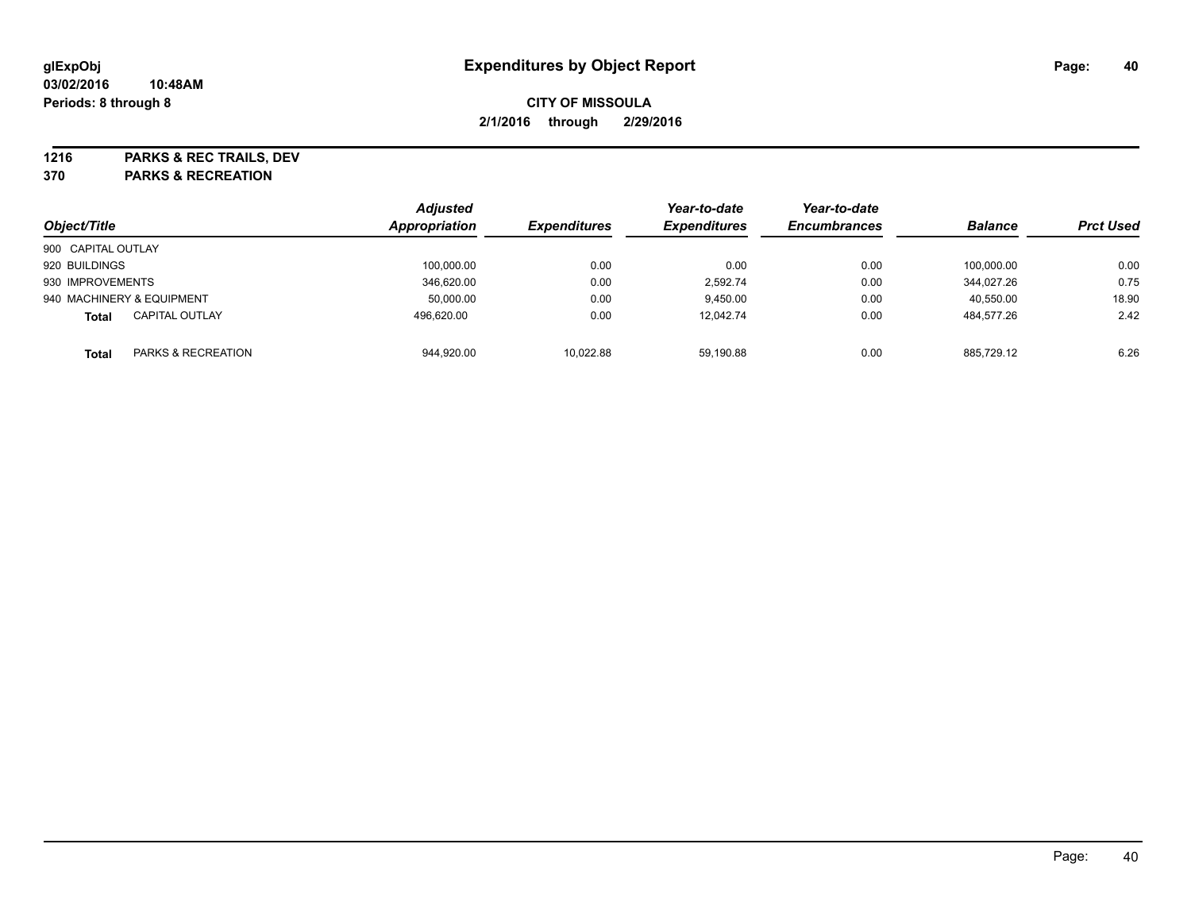**1216 PARKS & REC TRAILS, DEV**

**370 PARKS & RECREATION**

| Object/Title                          | <b>Adjusted</b><br>Appropriation | <b>Expenditures</b> | Year-to-date<br><b>Expenditures</b> | Year-to-date<br><b>Encumbrances</b> | <b>Balance</b> | <b>Prct Used</b> |
|---------------------------------------|----------------------------------|---------------------|-------------------------------------|-------------------------------------|----------------|------------------|
| 900 CAPITAL OUTLAY                    |                                  |                     |                                     |                                     |                |                  |
| 920 BUILDINGS                         | 100,000.00                       | 0.00                | 0.00                                | 0.00                                | 100.000.00     | 0.00             |
| 930 IMPROVEMENTS                      | 346.620.00                       | 0.00                | 2.592.74                            | 0.00                                | 344.027.26     | 0.75             |
| 940 MACHINERY & EQUIPMENT             | 50.000.00                        | 0.00                | 9.450.00                            | 0.00                                | 40,550.00      | 18.90            |
| <b>CAPITAL OUTLAY</b><br><b>Total</b> | 496.620.00                       | 0.00                | 12,042.74                           | 0.00                                | 484.577.26     | 2.42             |
| PARKS & RECREATION<br><b>Total</b>    | 944,920.00                       | 10.022.88           | 59.190.88                           | 0.00                                | 885.729.12     | 6.26             |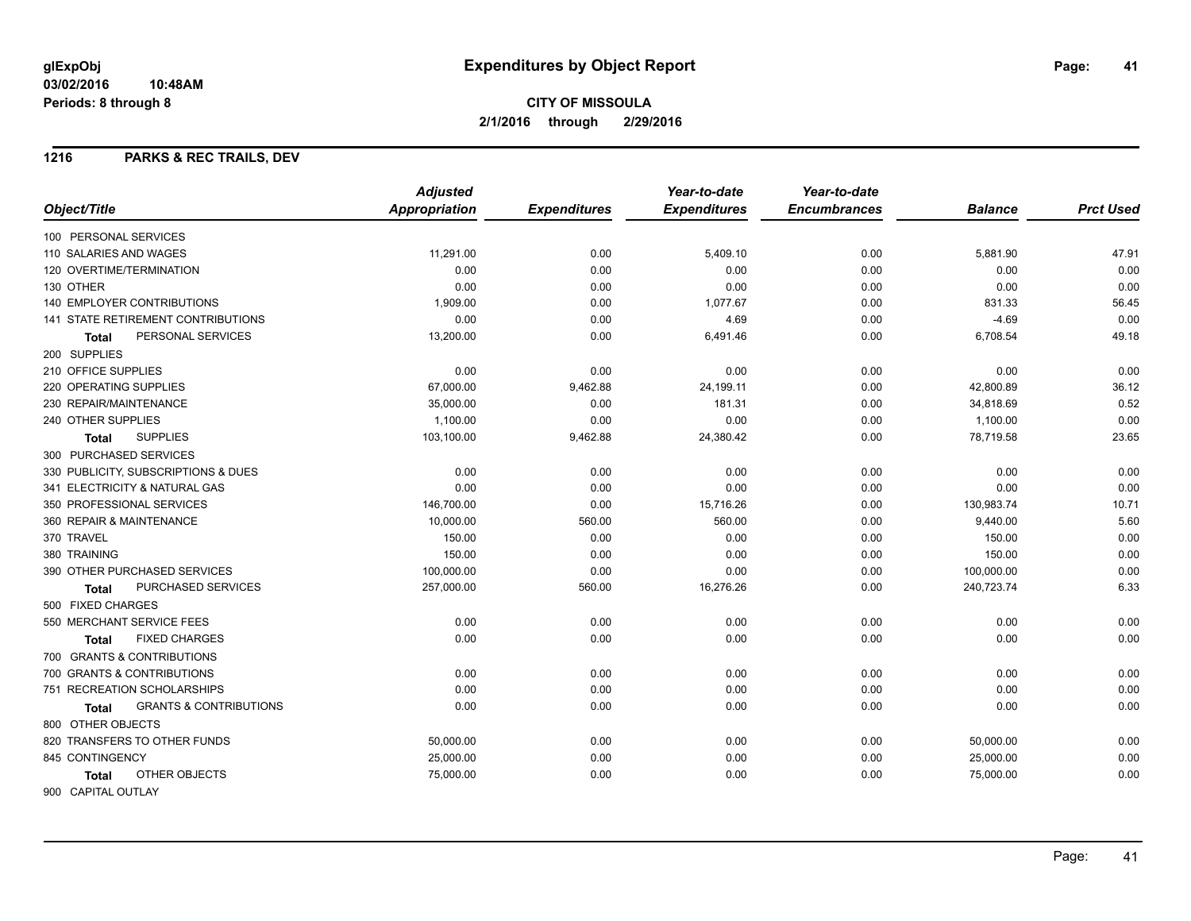**CITY OF MISSOULA 2/1/2016 through 2/29/2016**

#### **1216 PARKS & REC TRAILS, DEV**

|                                            | <b>Adjusted</b> |                     | Year-to-date        | Year-to-date        |                |                  |
|--------------------------------------------|-----------------|---------------------|---------------------|---------------------|----------------|------------------|
| Object/Title                               | Appropriation   | <b>Expenditures</b> | <b>Expenditures</b> | <b>Encumbrances</b> | <b>Balance</b> | <b>Prct Used</b> |
| 100 PERSONAL SERVICES                      |                 |                     |                     |                     |                |                  |
| 110 SALARIES AND WAGES                     | 11,291.00       | 0.00                | 5,409.10            | 0.00                | 5,881.90       | 47.91            |
| 120 OVERTIME/TERMINATION                   | 0.00            | 0.00                | 0.00                | 0.00                | 0.00           | 0.00             |
| 130 OTHER                                  | 0.00            | 0.00                | 0.00                | 0.00                | 0.00           | 0.00             |
| <b>140 EMPLOYER CONTRIBUTIONS</b>          | 1,909.00        | 0.00                | 1,077.67            | 0.00                | 831.33         | 56.45            |
| 141 STATE RETIREMENT CONTRIBUTIONS         | 0.00            | 0.00                | 4.69                | 0.00                | $-4.69$        | 0.00             |
| PERSONAL SERVICES<br><b>Total</b>          | 13,200.00       | 0.00                | 6,491.46            | 0.00                | 6,708.54       | 49.18            |
| 200 SUPPLIES                               |                 |                     |                     |                     |                |                  |
| 210 OFFICE SUPPLIES                        | 0.00            | 0.00                | 0.00                | 0.00                | 0.00           | 0.00             |
| 220 OPERATING SUPPLIES                     | 67,000.00       | 9,462.88            | 24,199.11           | 0.00                | 42,800.89      | 36.12            |
| 230 REPAIR/MAINTENANCE                     | 35,000.00       | 0.00                | 181.31              | 0.00                | 34,818.69      | 0.52             |
| 240 OTHER SUPPLIES                         | 1,100.00        | 0.00                | 0.00                | 0.00                | 1,100.00       | 0.00             |
| <b>SUPPLIES</b><br><b>Total</b>            | 103,100.00      | 9,462.88            | 24,380.42           | 0.00                | 78,719.58      | 23.65            |
| 300 PURCHASED SERVICES                     |                 |                     |                     |                     |                |                  |
| 330 PUBLICITY, SUBSCRIPTIONS & DUES        | 0.00            | 0.00                | 0.00                | 0.00                | 0.00           | 0.00             |
| 341 ELECTRICITY & NATURAL GAS              | 0.00            | 0.00                | 0.00                | 0.00                | 0.00           | 0.00             |
| 350 PROFESSIONAL SERVICES                  | 146,700.00      | 0.00                | 15,716.26           | 0.00                | 130,983.74     | 10.71            |
| 360 REPAIR & MAINTENANCE                   | 10,000.00       | 560.00              | 560.00              | 0.00                | 9,440.00       | 5.60             |
| 370 TRAVEL                                 | 150.00          | 0.00                | 0.00                | 0.00                | 150.00         | 0.00             |
| 380 TRAINING                               | 150.00          | 0.00                | 0.00                | 0.00                | 150.00         | 0.00             |
| 390 OTHER PURCHASED SERVICES               | 100,000.00      | 0.00                | 0.00                | 0.00                | 100,000.00     | 0.00             |
| PURCHASED SERVICES<br>Total                | 257,000.00      | 560.00              | 16,276.26           | 0.00                | 240,723.74     | 6.33             |
| 500 FIXED CHARGES                          |                 |                     |                     |                     |                |                  |
| 550 MERCHANT SERVICE FEES                  | 0.00            | 0.00                | 0.00                | 0.00                | 0.00           | 0.00             |
| <b>FIXED CHARGES</b><br>Total              | 0.00            | 0.00                | 0.00                | 0.00                | 0.00           | 0.00             |
| 700 GRANTS & CONTRIBUTIONS                 |                 |                     |                     |                     |                |                  |
| 700 GRANTS & CONTRIBUTIONS                 | 0.00            | 0.00                | 0.00                | 0.00                | 0.00           | 0.00             |
| 751 RECREATION SCHOLARSHIPS                | 0.00            | 0.00                | 0.00                | 0.00                | 0.00           | 0.00             |
| <b>GRANTS &amp; CONTRIBUTIONS</b><br>Total | 0.00            | 0.00                | 0.00                | 0.00                | 0.00           | 0.00             |
| 800 OTHER OBJECTS                          |                 |                     |                     |                     |                |                  |
| 820 TRANSFERS TO OTHER FUNDS               | 50,000.00       | 0.00                | 0.00                | 0.00                | 50,000.00      | 0.00             |
| 845 CONTINGENCY                            | 25,000.00       | 0.00                | 0.00                | 0.00                | 25,000.00      | 0.00             |
| OTHER OBJECTS<br><b>Total</b>              | 75,000.00       | 0.00                | 0.00                | 0.00                | 75,000.00      | 0.00             |
| 900 CAPITAL OLITI AV                       |                 |                     |                     |                     |                |                  |

900 CAPITAL OUTLAY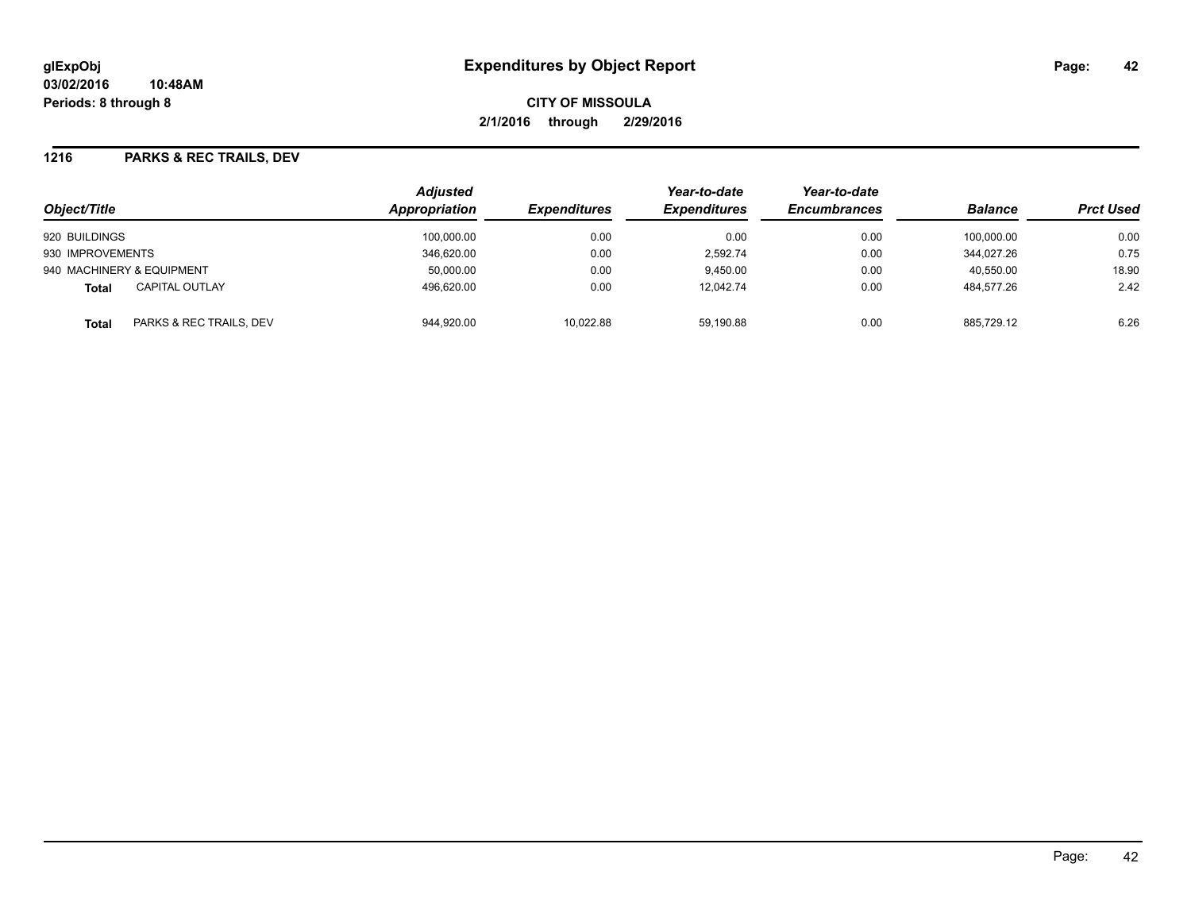#### **1216 PARKS & REC TRAILS, DEV**

| Object/Title                          | <b>Adjusted</b><br><b>Appropriation</b> | <i><b>Expenditures</b></i> | Year-to-date<br><b>Expenditures</b> | Year-to-date<br><b>Encumbrances</b> | <b>Balance</b> | <b>Prct Used</b> |
|---------------------------------------|-----------------------------------------|----------------------------|-------------------------------------|-------------------------------------|----------------|------------------|
| 920 BUILDINGS                         | 100,000.00                              | 0.00                       | 0.00                                | 0.00                                | 100,000.00     | 0.00             |
| 930 IMPROVEMENTS                      | 346,620.00                              | 0.00                       | 2.592.74                            | 0.00                                | 344.027.26     | 0.75             |
| 940 MACHINERY & EQUIPMENT             | 50,000.00                               | 0.00                       | 9,450.00                            | 0.00                                | 40,550.00      | 18.90            |
| <b>CAPITAL OUTLAY</b><br><b>Total</b> | 496.620.00                              | 0.00                       | 12.042.74                           | 0.00                                | 484.577.26     | 2.42             |
| PARKS & REC TRAILS, DEV<br>Total      | 944,920.00                              | 10.022.88                  | 59.190.88                           | 0.00                                | 885.729.12     | 6.26             |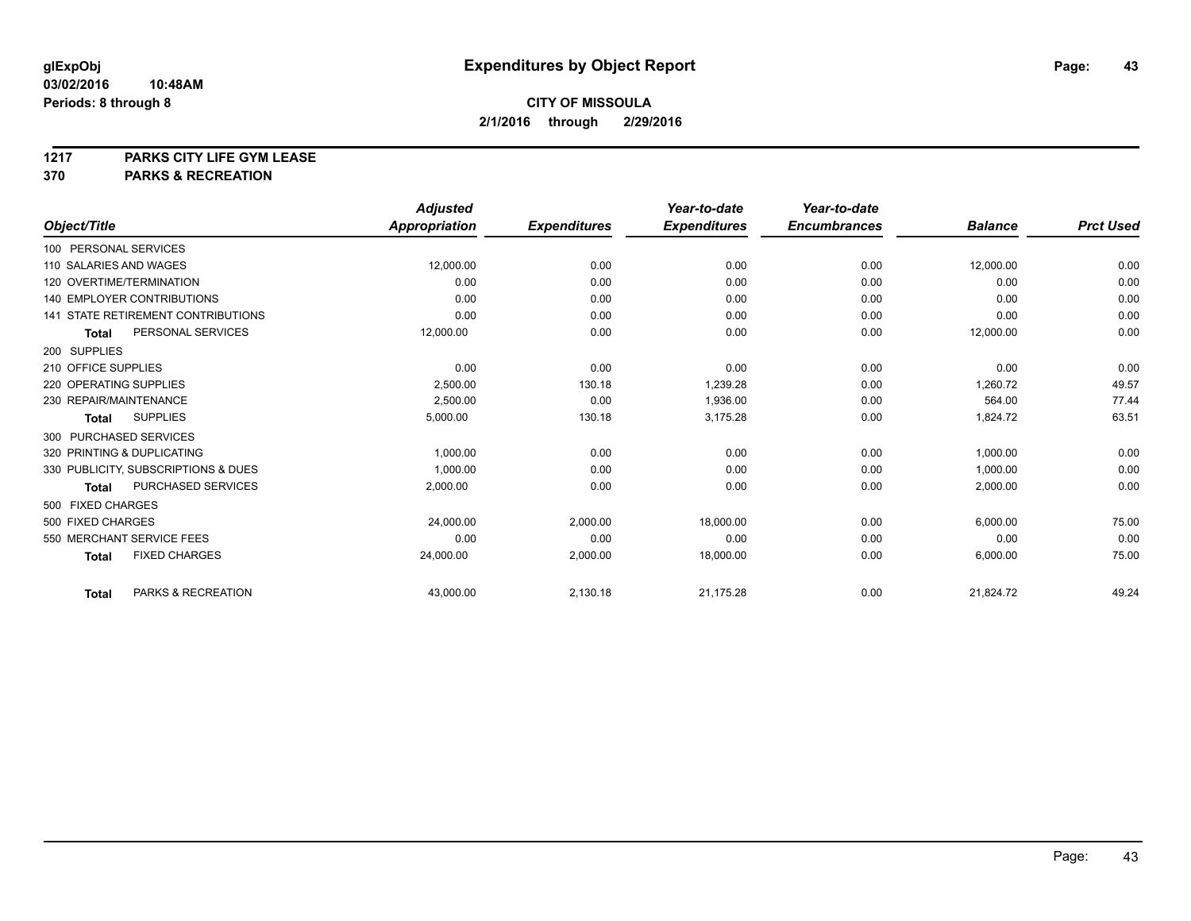# **1217 PARKS CITY LIFE GYM LEASE**

# **370 PARKS & RECREATION**

|                                           | <b>Adjusted</b>      |                     | Year-to-date        | Year-to-date        |                |                  |
|-------------------------------------------|----------------------|---------------------|---------------------|---------------------|----------------|------------------|
| Object/Title                              | <b>Appropriation</b> | <b>Expenditures</b> | <b>Expenditures</b> | <b>Encumbrances</b> | <b>Balance</b> | <b>Prct Used</b> |
| 100 PERSONAL SERVICES                     |                      |                     |                     |                     |                |                  |
| 110 SALARIES AND WAGES                    | 12,000.00            | 0.00                | 0.00                | 0.00                | 12,000.00      | 0.00             |
| 120 OVERTIME/TERMINATION                  | 0.00                 | 0.00                | 0.00                | 0.00                | 0.00           | 0.00             |
| <b>140 EMPLOYER CONTRIBUTIONS</b>         | 0.00                 | 0.00                | 0.00                | 0.00                | 0.00           | 0.00             |
| <b>141 STATE RETIREMENT CONTRIBUTIONS</b> | 0.00                 | 0.00                | 0.00                | 0.00                | 0.00           | 0.00             |
| PERSONAL SERVICES<br><b>Total</b>         | 12,000.00            | 0.00                | 0.00                | 0.00                | 12,000.00      | 0.00             |
| 200 SUPPLIES                              |                      |                     |                     |                     |                |                  |
| 210 OFFICE SUPPLIES                       | 0.00                 | 0.00                | 0.00                | 0.00                | 0.00           | 0.00             |
| 220 OPERATING SUPPLIES                    | 2,500.00             | 130.18              | 1.239.28            | 0.00                | 1,260.72       | 49.57            |
| 230 REPAIR/MAINTENANCE                    | 2,500.00             | 0.00                | 1,936.00            | 0.00                | 564.00         | 77.44            |
| <b>SUPPLIES</b><br><b>Total</b>           | 5,000.00             | 130.18              | 3,175.28            | 0.00                | 1,824.72       | 63.51            |
| 300 PURCHASED SERVICES                    |                      |                     |                     |                     |                |                  |
| 320 PRINTING & DUPLICATING                | 1,000.00             | 0.00                | 0.00                | 0.00                | 1,000.00       | 0.00             |
| 330 PUBLICITY, SUBSCRIPTIONS & DUES       | 1,000.00             | 0.00                | 0.00                | 0.00                | 1,000.00       | 0.00             |
| <b>PURCHASED SERVICES</b><br><b>Total</b> | 2,000.00             | 0.00                | 0.00                | 0.00                | 2,000.00       | 0.00             |
| 500 FIXED CHARGES                         |                      |                     |                     |                     |                |                  |
| 500 FIXED CHARGES                         | 24.000.00            | 2,000.00            | 18,000.00           | 0.00                | 6,000.00       | 75.00            |
| 550 MERCHANT SERVICE FEES                 | 0.00                 | 0.00                | 0.00                | 0.00                | 0.00           | 0.00             |
| <b>FIXED CHARGES</b><br><b>Total</b>      | 24,000.00            | 2,000.00            | 18,000.00           | 0.00                | 6,000.00       | 75.00            |
| PARKS & RECREATION<br><b>Total</b>        | 43,000.00            | 2,130.18            | 21,175.28           | 0.00                | 21,824.72      | 49.24            |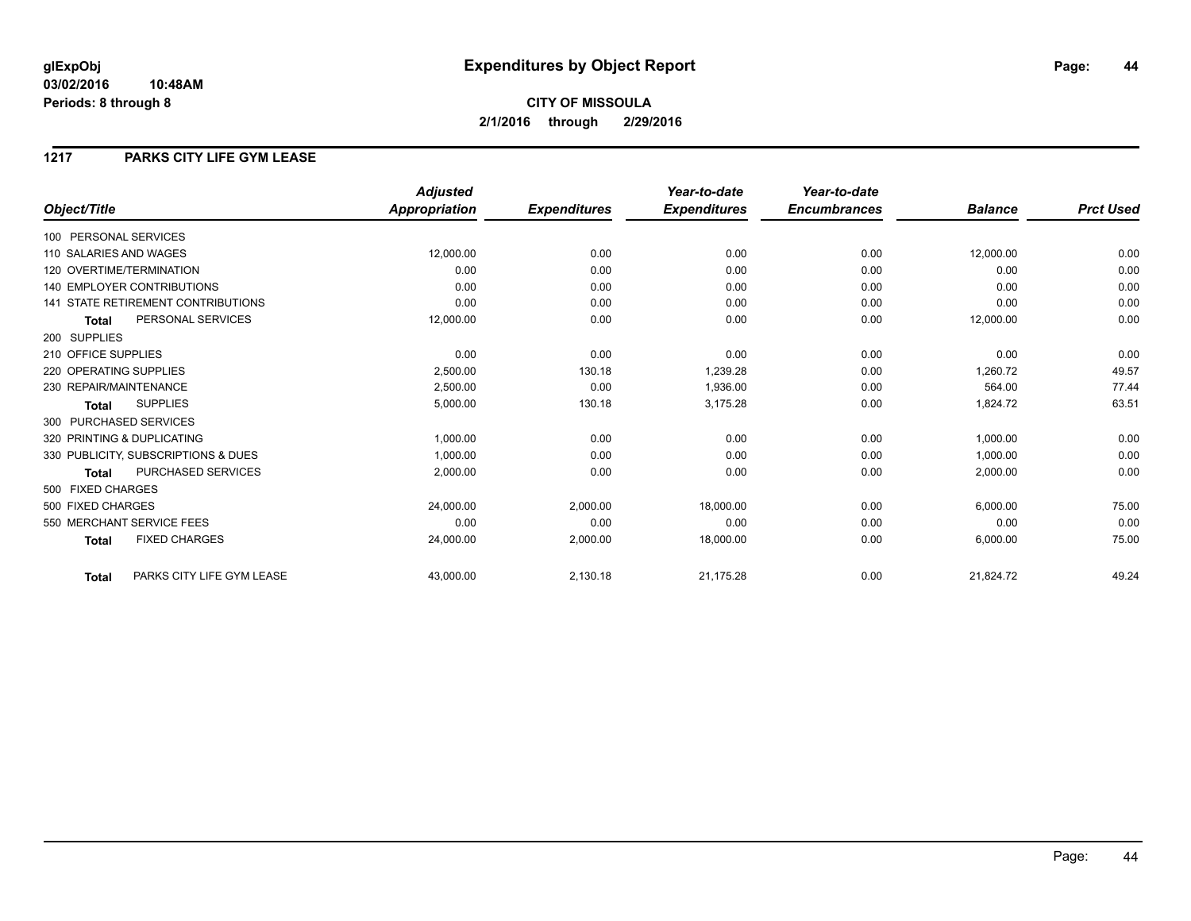# **CITY OF MISSOULA 2/1/2016 through 2/29/2016**

#### **1217 PARKS CITY LIFE GYM LEASE**

|                                           | <b>Adjusted</b>      |                     | Year-to-date        | Year-to-date        |                |                  |
|-------------------------------------------|----------------------|---------------------|---------------------|---------------------|----------------|------------------|
| Object/Title                              | <b>Appropriation</b> | <b>Expenditures</b> | <b>Expenditures</b> | <b>Encumbrances</b> | <b>Balance</b> | <b>Prct Used</b> |
| 100 PERSONAL SERVICES                     |                      |                     |                     |                     |                |                  |
| 110 SALARIES AND WAGES                    | 12,000.00            | 0.00                | 0.00                | 0.00                | 12,000.00      | 0.00             |
| 120 OVERTIME/TERMINATION                  | 0.00                 | 0.00                | 0.00                | 0.00                | 0.00           | 0.00             |
| 140 EMPLOYER CONTRIBUTIONS                | 0.00                 | 0.00                | 0.00                | 0.00                | 0.00           | 0.00             |
| <b>141 STATE RETIREMENT CONTRIBUTIONS</b> | 0.00                 | 0.00                | 0.00                | 0.00                | 0.00           | 0.00             |
| PERSONAL SERVICES<br><b>Total</b>         | 12,000.00            | 0.00                | 0.00                | 0.00                | 12,000.00      | 0.00             |
| 200 SUPPLIES                              |                      |                     |                     |                     |                |                  |
| 210 OFFICE SUPPLIES                       | 0.00                 | 0.00                | 0.00                | 0.00                | 0.00           | 0.00             |
| 220 OPERATING SUPPLIES                    | 2,500.00             | 130.18              | 1.239.28            | 0.00                | 1.260.72       | 49.57            |
| 230 REPAIR/MAINTENANCE                    | 2.500.00             | 0.00                | 1,936.00            | 0.00                | 564.00         | 77.44            |
| <b>SUPPLIES</b><br><b>Total</b>           | 5,000.00             | 130.18              | 3,175.28            | 0.00                | 1,824.72       | 63.51            |
| 300 PURCHASED SERVICES                    |                      |                     |                     |                     |                |                  |
| 320 PRINTING & DUPLICATING                | 1,000.00             | 0.00                | 0.00                | 0.00                | 1,000.00       | 0.00             |
| 330 PUBLICITY, SUBSCRIPTIONS & DUES       | 1.000.00             | 0.00                | 0.00                | 0.00                | 1,000.00       | 0.00             |
| <b>PURCHASED SERVICES</b><br><b>Total</b> | 2,000.00             | 0.00                | 0.00                | 0.00                | 2,000.00       | 0.00             |
| 500 FIXED CHARGES                         |                      |                     |                     |                     |                |                  |
| 500 FIXED CHARGES                         | 24,000.00            | 2,000.00            | 18.000.00           | 0.00                | 6,000.00       | 75.00            |
| 550 MERCHANT SERVICE FEES                 | 0.00                 | 0.00                | 0.00                | 0.00                | 0.00           | 0.00             |
| <b>FIXED CHARGES</b><br><b>Total</b>      | 24,000.00            | 2,000.00            | 18,000.00           | 0.00                | 6,000.00       | 75.00            |
| PARKS CITY LIFE GYM LEASE<br><b>Total</b> | 43,000.00            | 2,130.18            | 21,175.28           | 0.00                | 21,824.72      | 49.24            |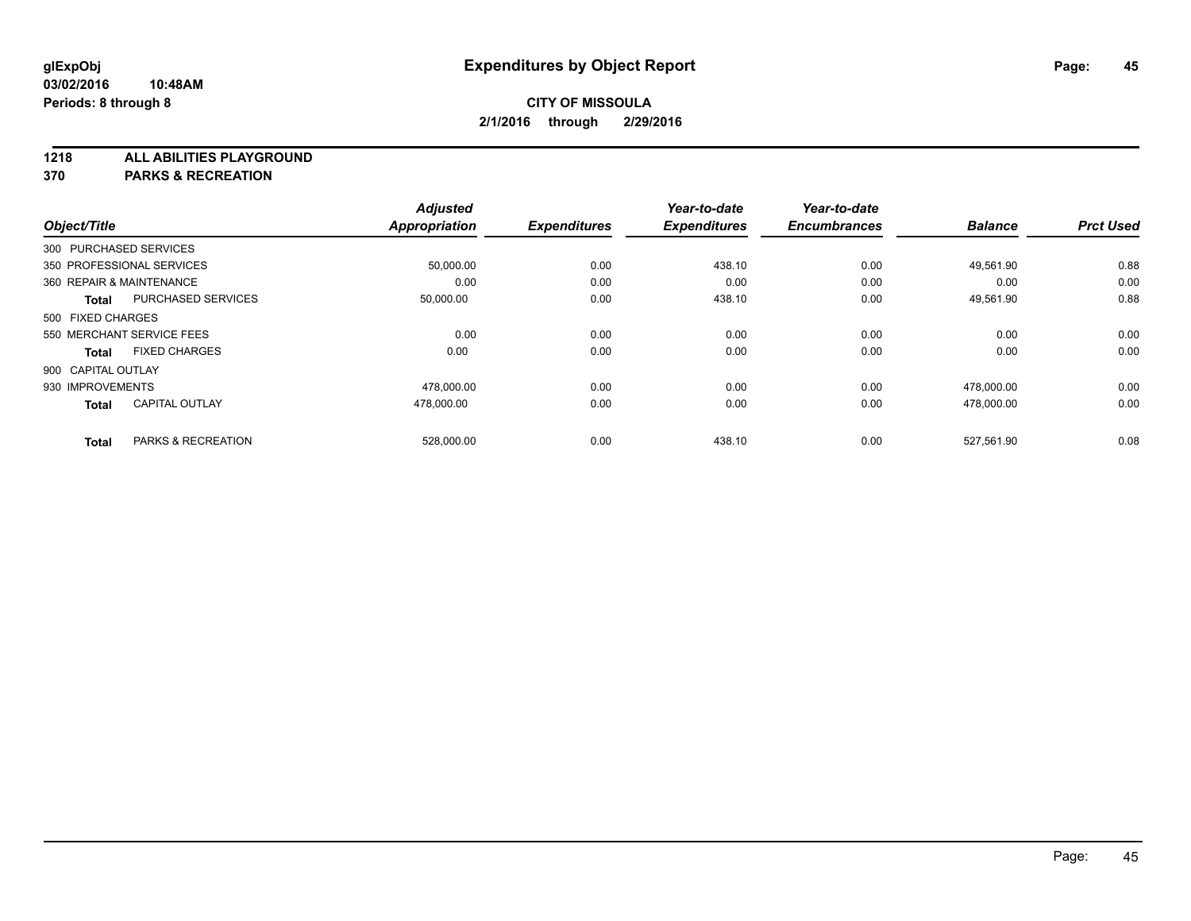**1218 ALL ABILITIES PLAYGROUND**

**370 PARKS & RECREATION**

|                          |                           | <b>Adjusted</b> |                     | Year-to-date        | Year-to-date        |                |                  |
|--------------------------|---------------------------|-----------------|---------------------|---------------------|---------------------|----------------|------------------|
| Object/Title             |                           | Appropriation   | <b>Expenditures</b> | <b>Expenditures</b> | <b>Encumbrances</b> | <b>Balance</b> | <b>Prct Used</b> |
| 300 PURCHASED SERVICES   |                           |                 |                     |                     |                     |                |                  |
|                          | 350 PROFESSIONAL SERVICES | 50,000.00       | 0.00                | 438.10              | 0.00                | 49,561.90      | 0.88             |
| 360 REPAIR & MAINTENANCE |                           | 0.00            | 0.00                | 0.00                | 0.00                | 0.00           | 0.00             |
| <b>Total</b>             | <b>PURCHASED SERVICES</b> | 50,000.00       | 0.00                | 438.10              | 0.00                | 49,561.90      | 0.88             |
| 500 FIXED CHARGES        |                           |                 |                     |                     |                     |                |                  |
|                          | 550 MERCHANT SERVICE FEES | 0.00            | 0.00                | 0.00                | 0.00                | 0.00           | 0.00             |
| <b>Total</b>             | <b>FIXED CHARGES</b>      | 0.00            | 0.00                | 0.00                | 0.00                | 0.00           | 0.00             |
| 900 CAPITAL OUTLAY       |                           |                 |                     |                     |                     |                |                  |
| 930 IMPROVEMENTS         |                           | 478,000.00      | 0.00                | 0.00                | 0.00                | 478,000.00     | 0.00             |
| <b>Total</b>             | <b>CAPITAL OUTLAY</b>     | 478,000.00      | 0.00                | 0.00                | 0.00                | 478.000.00     | 0.00             |
|                          |                           |                 |                     |                     |                     |                |                  |
| <b>Total</b>             | PARKS & RECREATION        | 528,000.00      | 0.00                | 438.10              | 0.00                | 527.561.90     | 0.08             |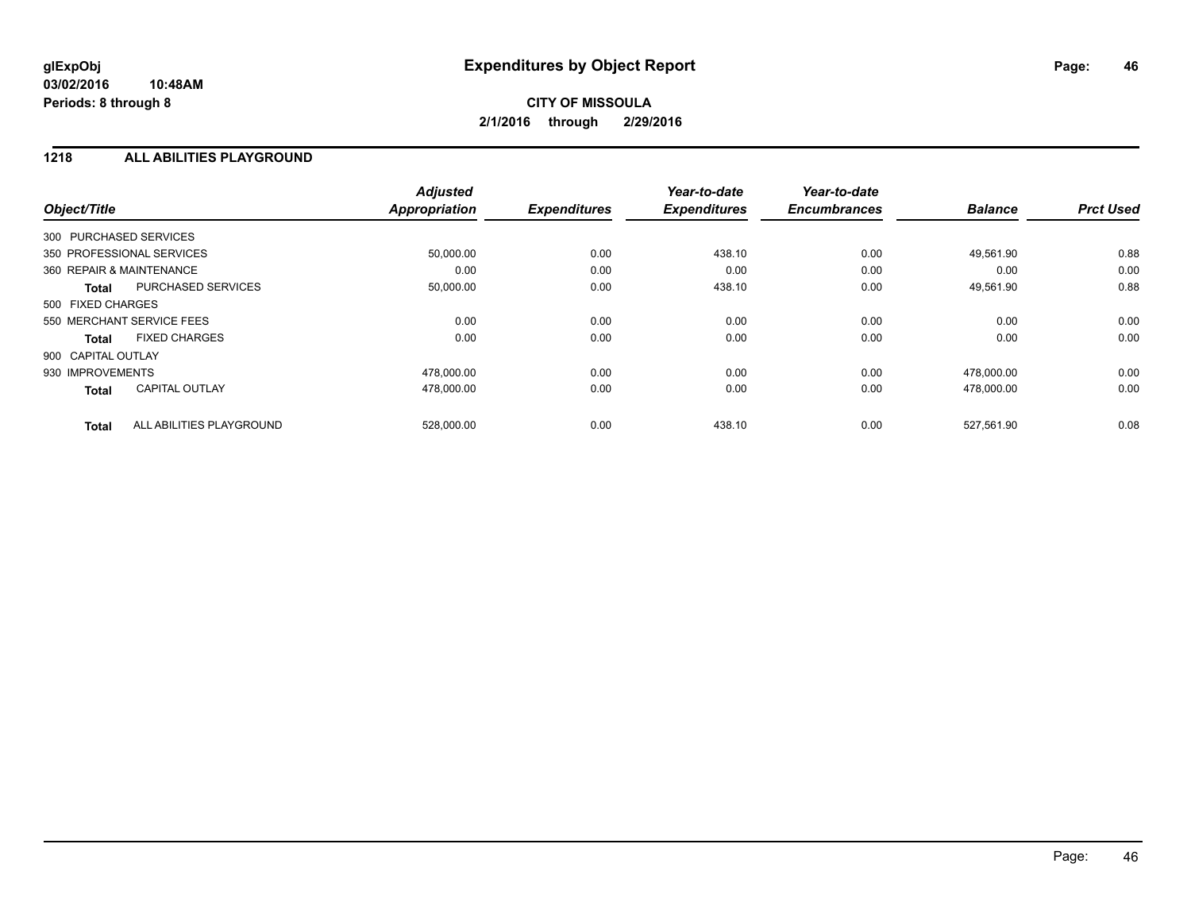# **CITY OF MISSOULA 2/1/2016 through 2/29/2016**

#### **1218 ALL ABILITIES PLAYGROUND**

| Object/Title             |                           | <b>Adjusted</b><br><b>Appropriation</b> | <b>Expenditures</b> | Year-to-date<br><b>Expenditures</b> | Year-to-date<br><b>Encumbrances</b> | <b>Balance</b> | <b>Prct Used</b> |
|--------------------------|---------------------------|-----------------------------------------|---------------------|-------------------------------------|-------------------------------------|----------------|------------------|
| 300 PURCHASED SERVICES   |                           |                                         |                     |                                     |                                     |                |                  |
|                          | 350 PROFESSIONAL SERVICES | 50,000.00                               | 0.00                | 438.10                              | 0.00                                | 49,561.90      | 0.88             |
| 360 REPAIR & MAINTENANCE |                           | 0.00                                    | 0.00                | 0.00                                | 0.00                                | 0.00           | 0.00             |
| <b>Total</b>             | <b>PURCHASED SERVICES</b> | 50,000.00                               | 0.00                | 438.10                              | 0.00                                | 49,561.90      | 0.88             |
| 500 FIXED CHARGES        |                           |                                         |                     |                                     |                                     |                |                  |
|                          | 550 MERCHANT SERVICE FEES | 0.00                                    | 0.00                | 0.00                                | 0.00                                | 0.00           | 0.00             |
| Total                    | <b>FIXED CHARGES</b>      | 0.00                                    | 0.00                | 0.00                                | 0.00                                | 0.00           | 0.00             |
| 900 CAPITAL OUTLAY       |                           |                                         |                     |                                     |                                     |                |                  |
| 930 IMPROVEMENTS         |                           | 478,000.00                              | 0.00                | 0.00                                | 0.00                                | 478,000.00     | 0.00             |
| <b>Total</b>             | <b>CAPITAL OUTLAY</b>     | 478,000.00                              | 0.00                | 0.00                                | 0.00                                | 478,000.00     | 0.00             |
| <b>Total</b>             | ALL ABILITIES PLAYGROUND  | 528,000.00                              | 0.00                | 438.10                              | 0.00                                | 527,561.90     | 0.08             |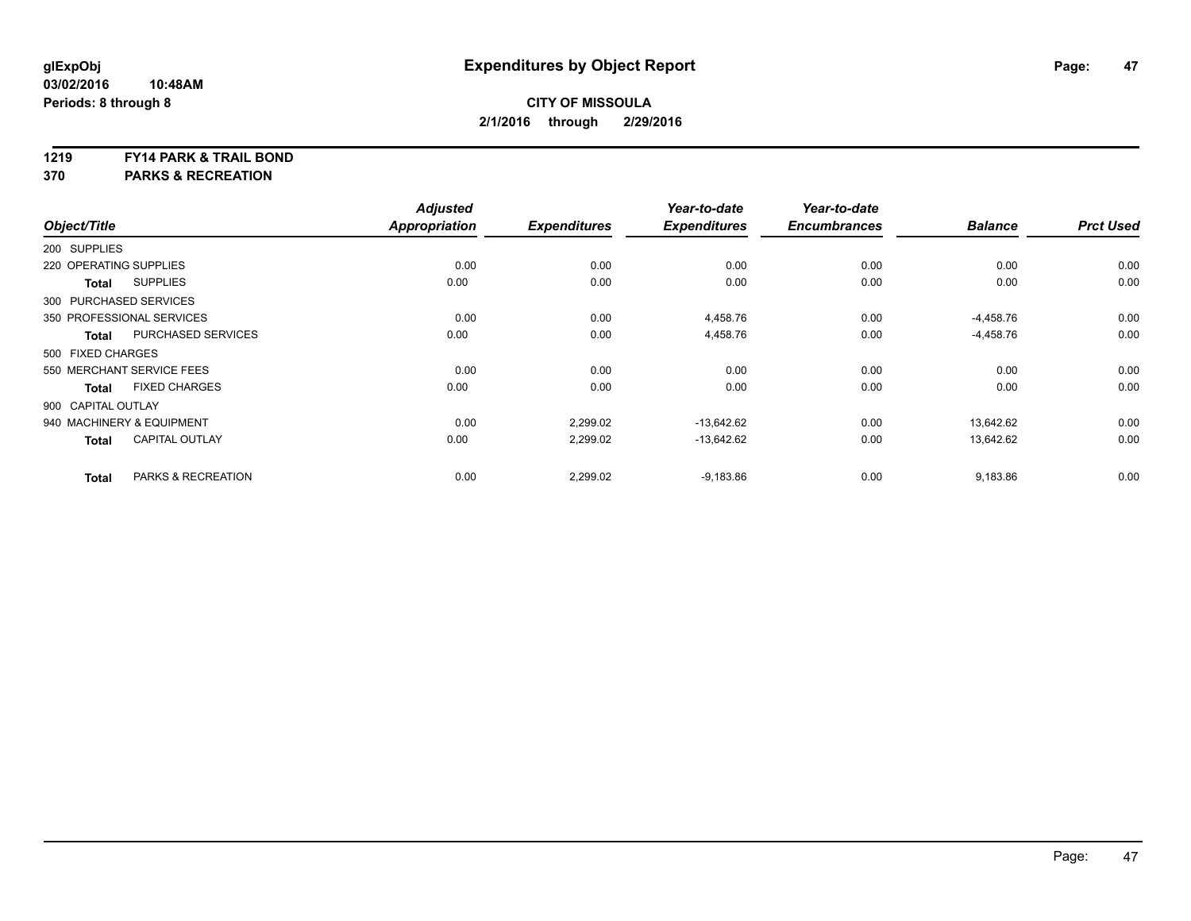#### **1219 FY14 PARK & TRAIL BOND**

**370 PARKS & RECREATION**

|                        |                           | <b>Adjusted</b>      |                     | Year-to-date        | Year-to-date        |                |                  |
|------------------------|---------------------------|----------------------|---------------------|---------------------|---------------------|----------------|------------------|
| Object/Title           |                           | <b>Appropriation</b> | <b>Expenditures</b> | <b>Expenditures</b> | <b>Encumbrances</b> | <b>Balance</b> | <b>Prct Used</b> |
| 200 SUPPLIES           |                           |                      |                     |                     |                     |                |                  |
| 220 OPERATING SUPPLIES |                           | 0.00                 | 0.00                | 0.00                | 0.00                | 0.00           | 0.00             |
| <b>Total</b>           | <b>SUPPLIES</b>           | 0.00                 | 0.00                | 0.00                | 0.00                | 0.00           | 0.00             |
| 300 PURCHASED SERVICES |                           |                      |                     |                     |                     |                |                  |
|                        | 350 PROFESSIONAL SERVICES | 0.00                 | 0.00                | 4,458.76            | 0.00                | $-4,458.76$    | 0.00             |
| <b>Total</b>           | <b>PURCHASED SERVICES</b> | 0.00                 | 0.00                | 4,458.76            | 0.00                | $-4,458.76$    | 0.00             |
| 500 FIXED CHARGES      |                           |                      |                     |                     |                     |                |                  |
|                        | 550 MERCHANT SERVICE FEES | 0.00                 | 0.00                | 0.00                | 0.00                | 0.00           | 0.00             |
| <b>Total</b>           | <b>FIXED CHARGES</b>      | 0.00                 | 0.00                | 0.00                | 0.00                | 0.00           | 0.00             |
| 900 CAPITAL OUTLAY     |                           |                      |                     |                     |                     |                |                  |
|                        | 940 MACHINERY & EQUIPMENT | 0.00                 | 2,299.02            | $-13,642.62$        | 0.00                | 13,642.62      | 0.00             |
| <b>Total</b>           | <b>CAPITAL OUTLAY</b>     | 0.00                 | 2,299.02            | $-13,642.62$        | 0.00                | 13,642.62      | 0.00             |
| <b>Total</b>           | PARKS & RECREATION        | 0.00                 | 2,299.02            | $-9,183.86$         | 0.00                | 9,183.86       | 0.00             |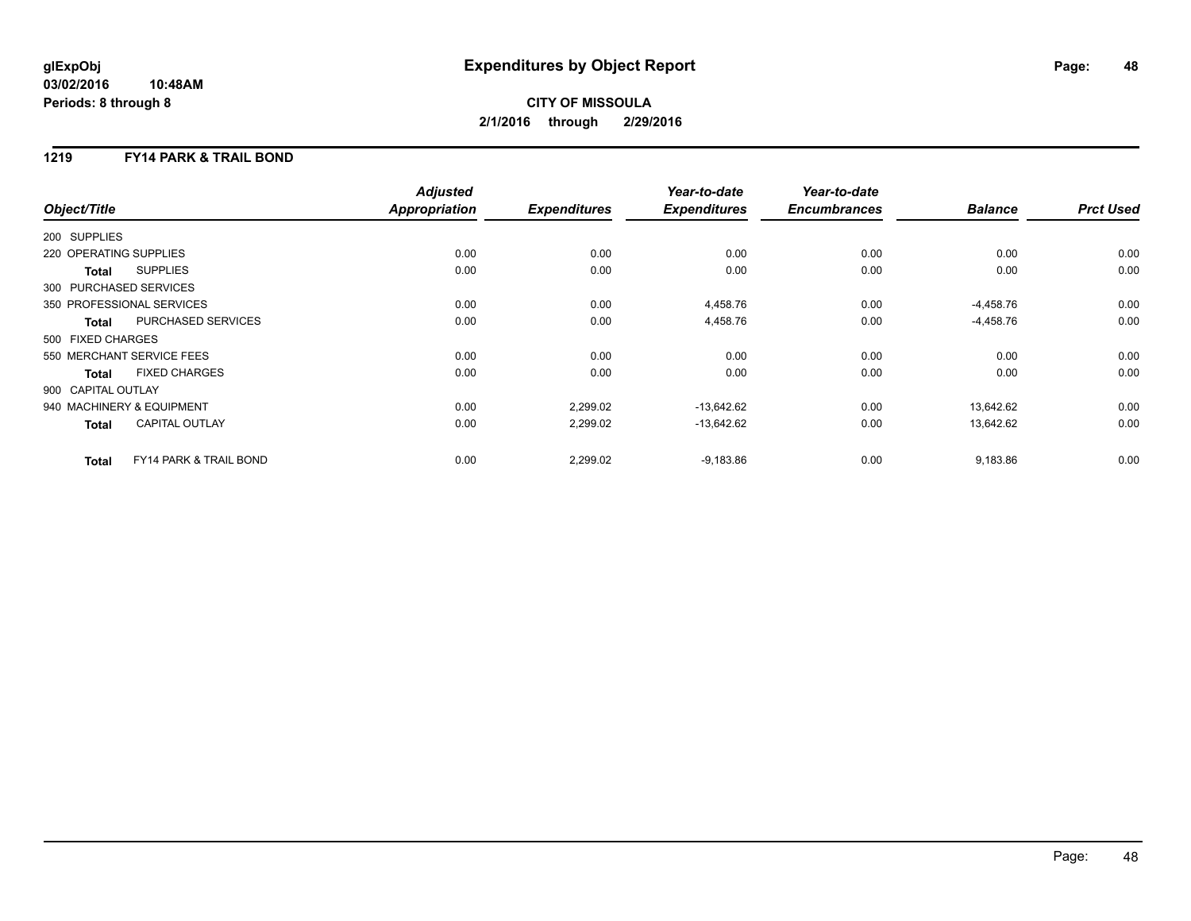# **CITY OF MISSOULA 2/1/2016 through 2/29/2016**

#### **1219 FY14 PARK & TRAIL BOND**

|                        |                                   | <b>Adjusted</b> |                     | Year-to-date        | Year-to-date        |                |                  |
|------------------------|-----------------------------------|-----------------|---------------------|---------------------|---------------------|----------------|------------------|
| Object/Title           |                                   | Appropriation   | <b>Expenditures</b> | <b>Expenditures</b> | <b>Encumbrances</b> | <b>Balance</b> | <b>Prct Used</b> |
| 200 SUPPLIES           |                                   |                 |                     |                     |                     |                |                  |
| 220 OPERATING SUPPLIES |                                   | 0.00            | 0.00                | 0.00                | 0.00                | 0.00           | 0.00             |
| Total                  | <b>SUPPLIES</b>                   | 0.00            | 0.00                | 0.00                | 0.00                | 0.00           | 0.00             |
| 300 PURCHASED SERVICES |                                   |                 |                     |                     |                     |                |                  |
|                        | 350 PROFESSIONAL SERVICES         | 0.00            | 0.00                | 4,458.76            | 0.00                | $-4,458.76$    | 0.00             |
| <b>Total</b>           | PURCHASED SERVICES                | 0.00            | 0.00                | 4,458.76            | 0.00                | $-4,458.76$    | 0.00             |
| 500 FIXED CHARGES      |                                   |                 |                     |                     |                     |                |                  |
|                        | 550 MERCHANT SERVICE FEES         | 0.00            | 0.00                | 0.00                | 0.00                | 0.00           | 0.00             |
| Total                  | <b>FIXED CHARGES</b>              | 0.00            | 0.00                | 0.00                | 0.00                | 0.00           | 0.00             |
| 900 CAPITAL OUTLAY     |                                   |                 |                     |                     |                     |                |                  |
|                        | 940 MACHINERY & EQUIPMENT         | 0.00            | 2,299.02            | $-13,642.62$        | 0.00                | 13,642.62      | 0.00             |
| <b>Total</b>           | <b>CAPITAL OUTLAY</b>             | 0.00            | 2,299.02            | $-13,642.62$        | 0.00                | 13,642.62      | 0.00             |
| <b>Total</b>           | <b>FY14 PARK &amp; TRAIL BOND</b> | 0.00            | 2,299.02            | $-9,183.86$         | 0.00                | 9,183.86       | 0.00             |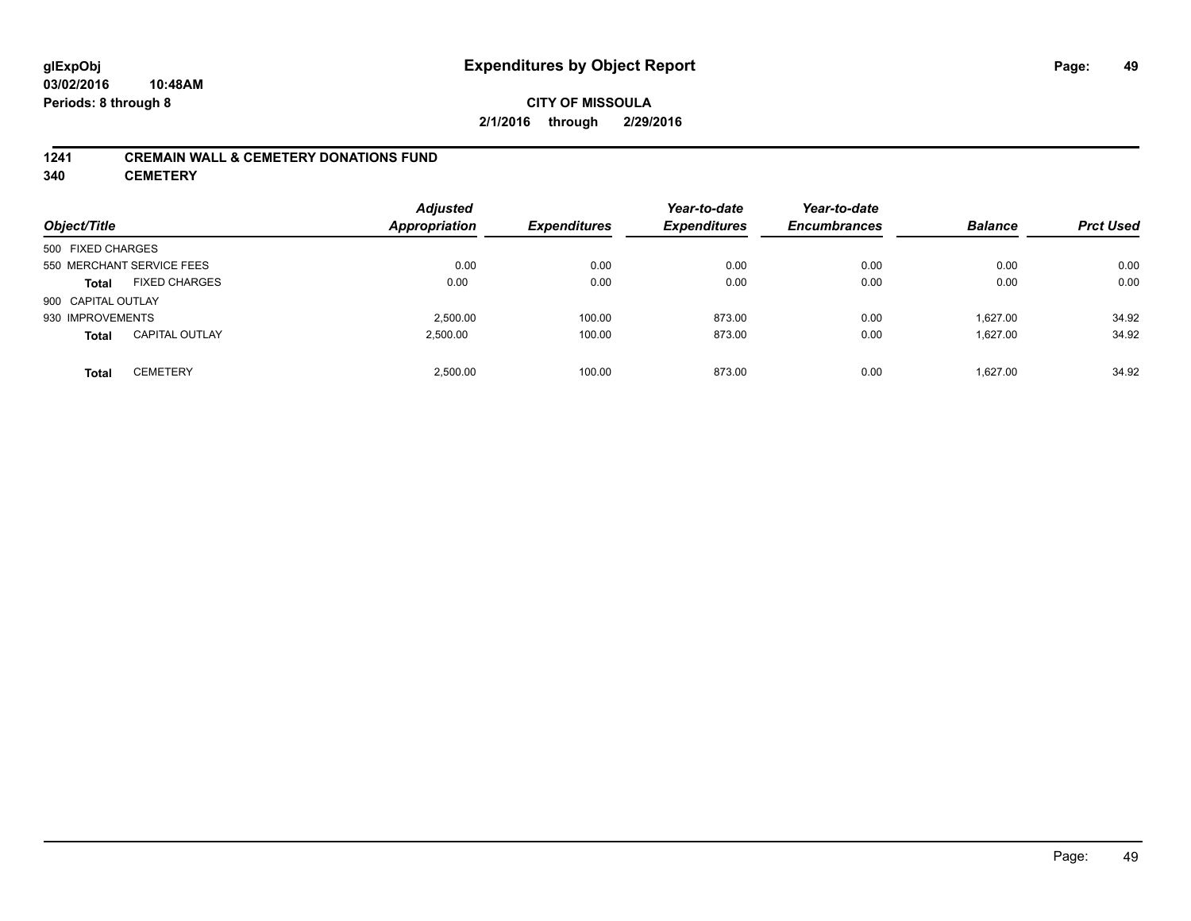### **CITY OF MISSOULA 2/1/2016 through 2/29/2016**

#### **1241 CREMAIN WALL & CEMETERY DONATIONS FUND**

**340 CEMETERY**

| Object/Title              |                       | <b>Adjusted</b><br><b>Appropriation</b> | <b>Expenditures</b> | Year-to-date<br><b>Expenditures</b> | Year-to-date<br><b>Encumbrances</b> | <b>Balance</b> | <b>Prct Used</b> |
|---------------------------|-----------------------|-----------------------------------------|---------------------|-------------------------------------|-------------------------------------|----------------|------------------|
| 500 FIXED CHARGES         |                       |                                         |                     |                                     |                                     |                |                  |
| 550 MERCHANT SERVICE FEES |                       | 0.00                                    | 0.00                | 0.00                                | 0.00                                | 0.00           | 0.00             |
| <b>Total</b>              | <b>FIXED CHARGES</b>  | 0.00                                    | 0.00                | 0.00                                | 0.00                                | 0.00           | 0.00             |
| 900 CAPITAL OUTLAY        |                       |                                         |                     |                                     |                                     |                |                  |
| 930 IMPROVEMENTS          |                       | 2.500.00                                | 100.00              | 873.00                              | 0.00                                | 1.627.00       | 34.92            |
| <b>Total</b>              | <b>CAPITAL OUTLAY</b> | 2,500.00                                | 100.00              | 873.00                              | 0.00                                | 1.627.00       | 34.92            |
| <b>Total</b>              | <b>CEMETERY</b>       | 2.500.00                                | 100.00              | 873.00                              | 0.00                                | 1.627.00       | 34.92            |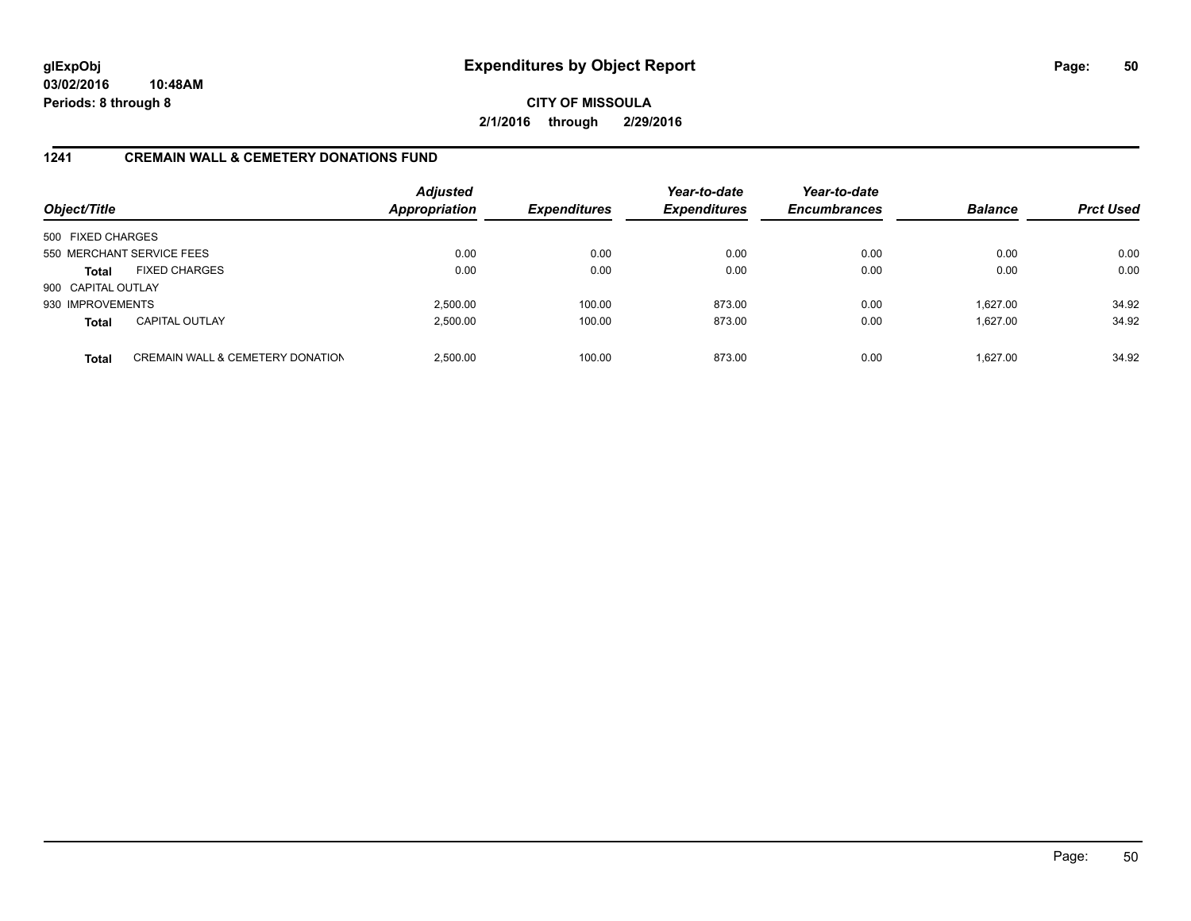# **CITY OF MISSOULA 2/1/2016 through 2/29/2016**

### **1241 CREMAIN WALL & CEMETERY DONATIONS FUND**

| Object/Title       |                                             | <b>Adjusted</b><br><b>Appropriation</b> | <b>Expenditures</b> | Year-to-date<br><b>Expenditures</b> | Year-to-date<br><b>Encumbrances</b> | <b>Balance</b> | <b>Prct Used</b> |
|--------------------|---------------------------------------------|-----------------------------------------|---------------------|-------------------------------------|-------------------------------------|----------------|------------------|
| 500 FIXED CHARGES  |                                             |                                         |                     |                                     |                                     |                |                  |
|                    | 550 MERCHANT SERVICE FEES                   | 0.00                                    | 0.00                | 0.00                                | 0.00                                | 0.00           | 0.00             |
| <b>Total</b>       | <b>FIXED CHARGES</b>                        | 0.00                                    | 0.00                | 0.00                                | 0.00                                | 0.00           | 0.00             |
| 900 CAPITAL OUTLAY |                                             |                                         |                     |                                     |                                     |                |                  |
| 930 IMPROVEMENTS   |                                             | 2,500.00                                | 100.00              | 873.00                              | 0.00                                | 1.627.00       | 34.92            |
| <b>Total</b>       | <b>CAPITAL OUTLAY</b>                       | 2,500.00                                | 100.00              | 873.00                              | 0.00                                | 1.627.00       | 34.92            |
| <b>Total</b>       | <b>CREMAIN WALL &amp; CEMETERY DONATION</b> | 2.500.00                                | 100.00              | 873.00                              | 0.00                                | 1.627.00       | 34.92            |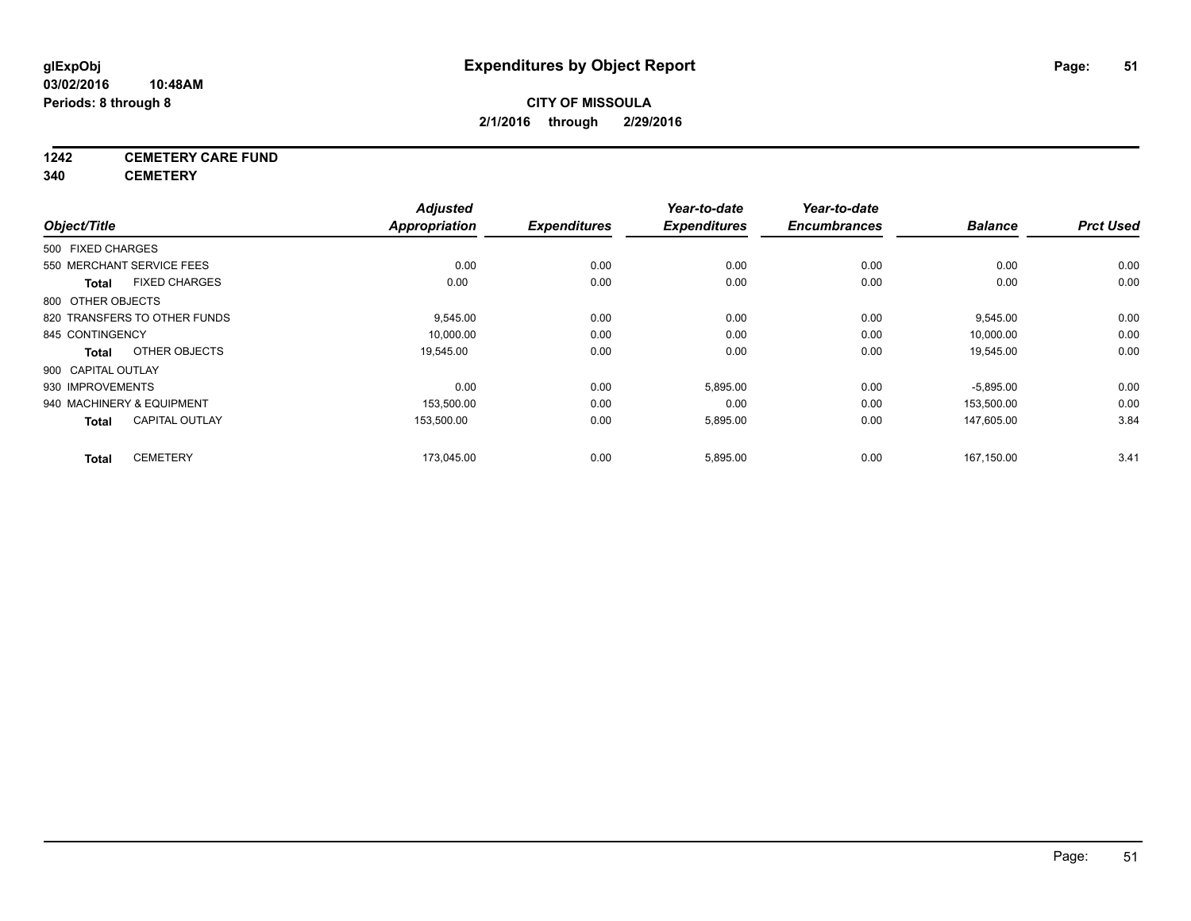# **1242 CEMETERY CARE FUND**

**340 CEMETERY**

|                    |                              | <b>Adjusted</b>      |                     | Year-to-date        | Year-to-date        |                |                  |
|--------------------|------------------------------|----------------------|---------------------|---------------------|---------------------|----------------|------------------|
| Object/Title       |                              | <b>Appropriation</b> | <b>Expenditures</b> | <b>Expenditures</b> | <b>Encumbrances</b> | <b>Balance</b> | <b>Prct Used</b> |
| 500 FIXED CHARGES  |                              |                      |                     |                     |                     |                |                  |
|                    | 550 MERCHANT SERVICE FEES    | 0.00                 | 0.00                | 0.00                | 0.00                | 0.00           | 0.00             |
| <b>Total</b>       | <b>FIXED CHARGES</b>         | 0.00                 | 0.00                | 0.00                | 0.00                | 0.00           | 0.00             |
| 800 OTHER OBJECTS  |                              |                      |                     |                     |                     |                |                  |
|                    | 820 TRANSFERS TO OTHER FUNDS | 9,545.00             | 0.00                | 0.00                | 0.00                | 9,545.00       | 0.00             |
| 845 CONTINGENCY    |                              | 10,000.00            | 0.00                | 0.00                | 0.00                | 10,000.00      | 0.00             |
| <b>Total</b>       | OTHER OBJECTS                | 19,545.00            | 0.00                | 0.00                | 0.00                | 19,545.00      | 0.00             |
| 900 CAPITAL OUTLAY |                              |                      |                     |                     |                     |                |                  |
| 930 IMPROVEMENTS   |                              | 0.00                 | 0.00                | 5,895.00            | 0.00                | $-5,895.00$    | 0.00             |
|                    | 940 MACHINERY & EQUIPMENT    | 153,500.00           | 0.00                | 0.00                | 0.00                | 153.500.00     | 0.00             |
| <b>Total</b>       | <b>CAPITAL OUTLAY</b>        | 153,500.00           | 0.00                | 5,895.00            | 0.00                | 147,605.00     | 3.84             |
| <b>Total</b>       | <b>CEMETERY</b>              | 173,045.00           | 0.00                | 5,895.00            | 0.00                | 167.150.00     | 3.41             |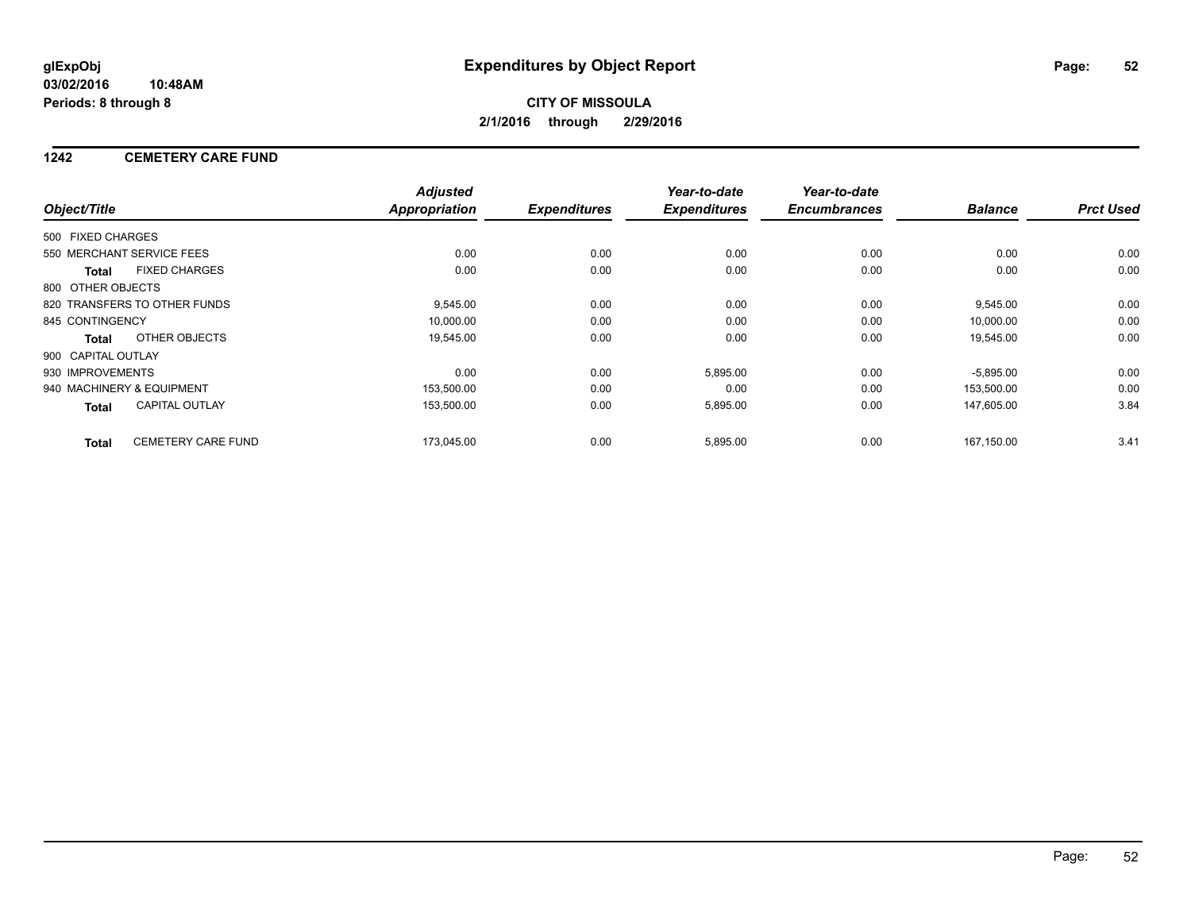#### **1242 CEMETERY CARE FUND**

|                           |                              | <b>Adjusted</b> |                     | Year-to-date        | Year-to-date        |                |                  |
|---------------------------|------------------------------|-----------------|---------------------|---------------------|---------------------|----------------|------------------|
| Object/Title              |                              | Appropriation   | <b>Expenditures</b> | <b>Expenditures</b> | <b>Encumbrances</b> | <b>Balance</b> | <b>Prct Used</b> |
| 500 FIXED CHARGES         |                              |                 |                     |                     |                     |                |                  |
|                           | 550 MERCHANT SERVICE FEES    | 0.00            | 0.00                | 0.00                | 0.00                | 0.00           | 0.00             |
| <b>Total</b>              | <b>FIXED CHARGES</b>         | 0.00            | 0.00                | 0.00                | 0.00                | 0.00           | 0.00             |
| 800 OTHER OBJECTS         |                              |                 |                     |                     |                     |                |                  |
|                           | 820 TRANSFERS TO OTHER FUNDS | 9,545.00        | 0.00                | 0.00                | 0.00                | 9,545.00       | 0.00             |
| 845 CONTINGENCY           |                              | 10,000.00       | 0.00                | 0.00                | 0.00                | 10.000.00      | 0.00             |
| Total                     | OTHER OBJECTS                | 19,545.00       | 0.00                | 0.00                | 0.00                | 19,545.00      | 0.00             |
| 900 CAPITAL OUTLAY        |                              |                 |                     |                     |                     |                |                  |
| 930 IMPROVEMENTS          |                              | 0.00            | 0.00                | 5,895.00            | 0.00                | $-5,895.00$    | 0.00             |
| 940 MACHINERY & EQUIPMENT |                              | 153,500.00      | 0.00                | 0.00                | 0.00                | 153,500.00     | 0.00             |
| <b>Total</b>              | <b>CAPITAL OUTLAY</b>        | 153,500.00      | 0.00                | 5,895.00            | 0.00                | 147,605.00     | 3.84             |
| <b>Total</b>              | <b>CEMETERY CARE FUND</b>    | 173.045.00      | 0.00                | 5,895.00            | 0.00                | 167.150.00     | 3.41             |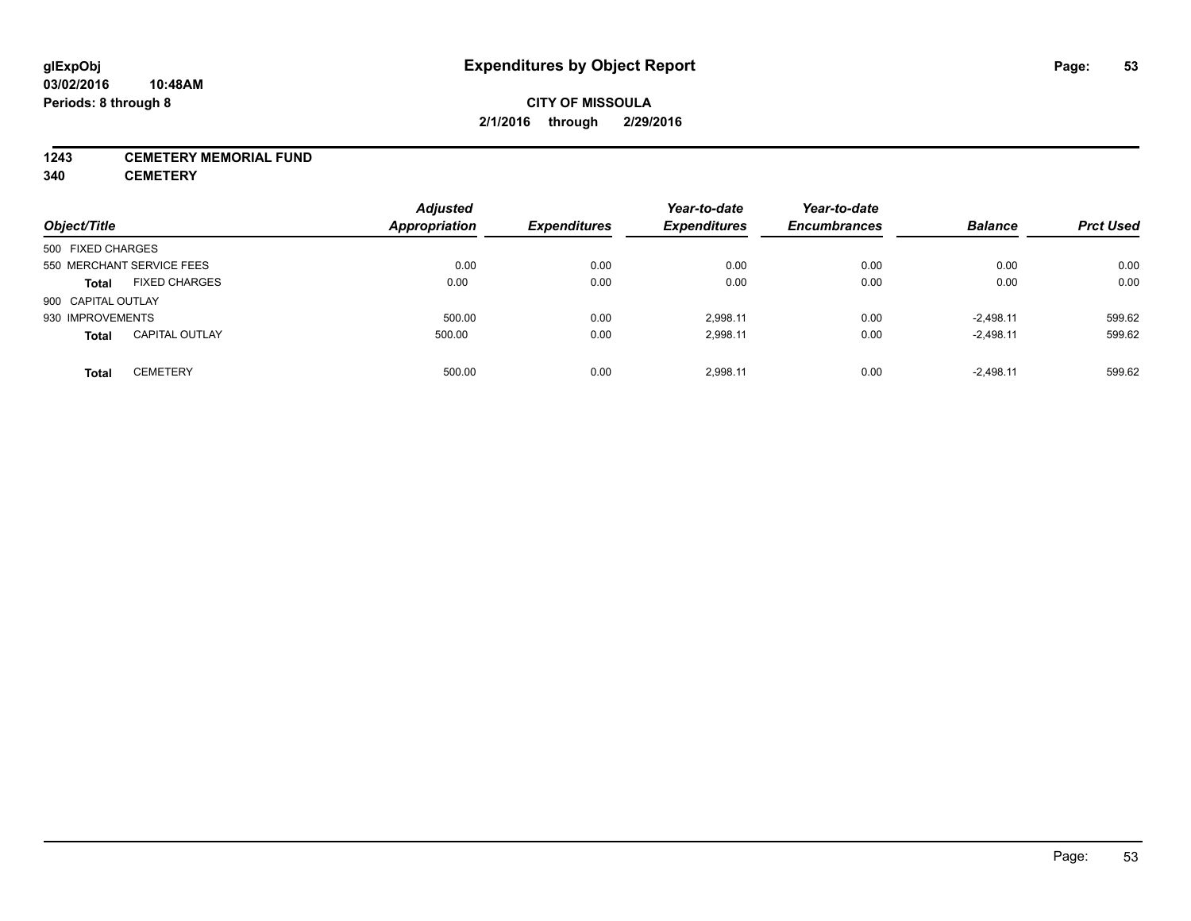#### **1243 CEMETERY MEMORIAL FUND**

**340 CEMETERY**

| Object/Title       |                           | <b>Adjusted</b><br>Appropriation | <b>Expenditures</b> | Year-to-date<br><b>Expenditures</b> | Year-to-date<br><b>Encumbrances</b> | <b>Balance</b> | <b>Prct Used</b> |
|--------------------|---------------------------|----------------------------------|---------------------|-------------------------------------|-------------------------------------|----------------|------------------|
|                    |                           |                                  |                     |                                     |                                     |                |                  |
| 500 FIXED CHARGES  |                           |                                  |                     |                                     |                                     |                |                  |
|                    | 550 MERCHANT SERVICE FEES | 0.00                             | 0.00                | 0.00                                | 0.00                                | 0.00           | 0.00             |
| <b>Total</b>       | <b>FIXED CHARGES</b>      | 0.00                             | 0.00                | 0.00                                | 0.00                                | 0.00           | 0.00             |
| 900 CAPITAL OUTLAY |                           |                                  |                     |                                     |                                     |                |                  |
| 930 IMPROVEMENTS   |                           | 500.00                           | 0.00                | 2.998.11                            | 0.00                                | $-2.498.11$    | 599.62           |
| <b>Total</b>       | <b>CAPITAL OUTLAY</b>     | 500.00                           | 0.00                | 2,998.11                            | 0.00                                | $-2,498.11$    | 599.62           |
| <b>Total</b>       | <b>CEMETERY</b>           | 500.00                           | 0.00                | 2.998.11                            | 0.00                                | $-2.498.11$    | 599.62           |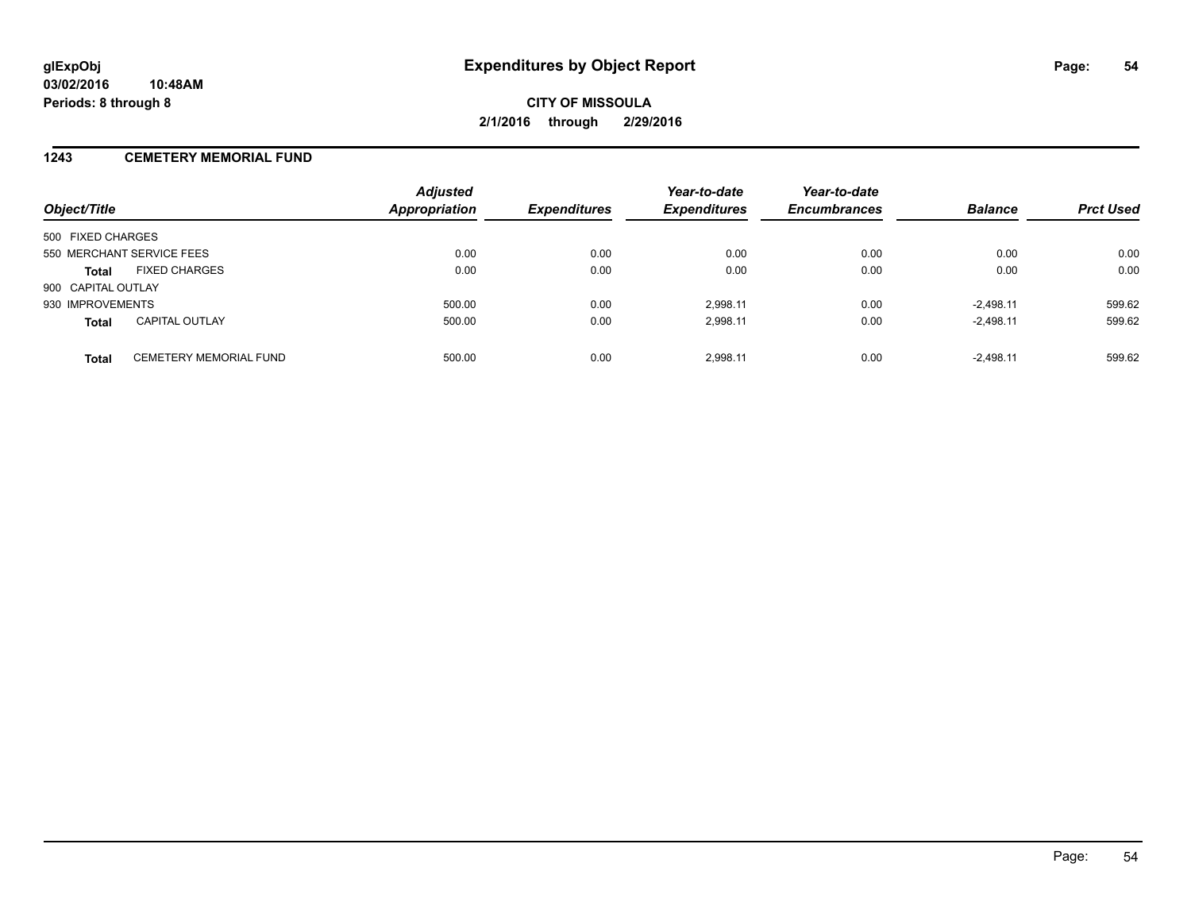#### **1243 CEMETERY MEMORIAL FUND**

| Object/Title                                  | <b>Adjusted</b><br><b>Appropriation</b> | <b>Expenditures</b> | Year-to-date<br><b>Expenditures</b> | Year-to-date<br><b>Encumbrances</b> | <b>Balance</b> | <b>Prct Used</b> |
|-----------------------------------------------|-----------------------------------------|---------------------|-------------------------------------|-------------------------------------|----------------|------------------|
| 500 FIXED CHARGES                             |                                         |                     |                                     |                                     |                |                  |
| 550 MERCHANT SERVICE FEES                     | 0.00                                    | 0.00                | 0.00                                | 0.00                                | 0.00           | 0.00             |
| <b>FIXED CHARGES</b><br><b>Total</b>          | 0.00                                    | 0.00                | 0.00                                | 0.00                                | 0.00           | 0.00             |
| 900 CAPITAL OUTLAY                            |                                         |                     |                                     |                                     |                |                  |
| 930 IMPROVEMENTS                              | 500.00                                  | 0.00                | 2.998.11                            | 0.00                                | $-2.498.11$    | 599.62           |
| <b>CAPITAL OUTLAY</b><br><b>Total</b>         | 500.00                                  | 0.00                | 2,998.11                            | 0.00                                | $-2,498.11$    | 599.62           |
| <b>CEMETERY MEMORIAL FUND</b><br><b>Total</b> | 500.00                                  | 0.00                | 2.998.11                            | 0.00                                | $-2.498.11$    | 599.62           |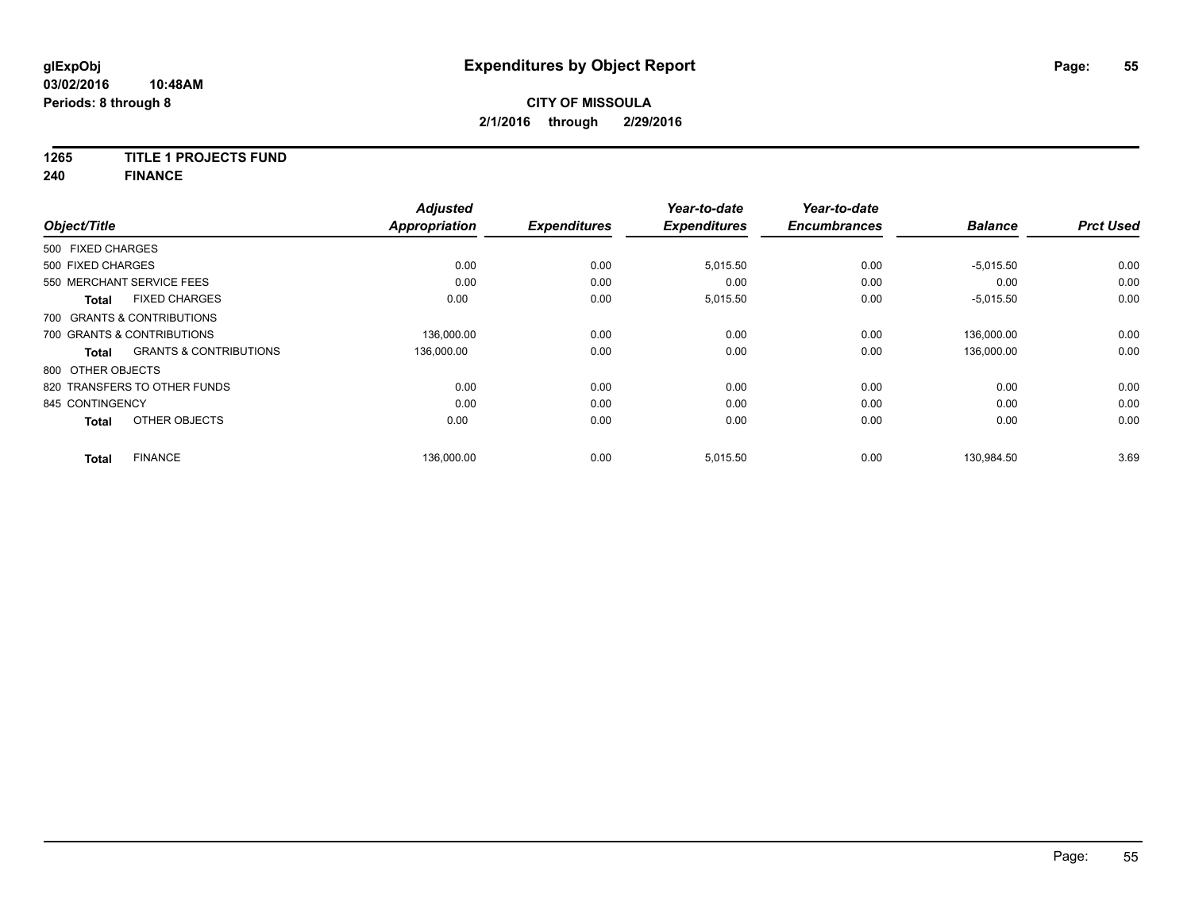### **1265 TITLE 1 PROJECTS FUND**

**240 FINANCE**

|                              |                                   | <b>Adjusted</b>      |                     | Year-to-date        | Year-to-date        |                |                  |
|------------------------------|-----------------------------------|----------------------|---------------------|---------------------|---------------------|----------------|------------------|
| Object/Title                 |                                   | <b>Appropriation</b> | <b>Expenditures</b> | <b>Expenditures</b> | <b>Encumbrances</b> | <b>Balance</b> | <b>Prct Used</b> |
| 500 FIXED CHARGES            |                                   |                      |                     |                     |                     |                |                  |
| 500 FIXED CHARGES            |                                   | 0.00                 | 0.00                | 5,015.50            | 0.00                | $-5,015.50$    | 0.00             |
| 550 MERCHANT SERVICE FEES    |                                   | 0.00                 | 0.00                | 0.00                | 0.00                | 0.00           | 0.00             |
| <b>Total</b>                 | <b>FIXED CHARGES</b>              | 0.00                 | 0.00                | 5,015.50            | 0.00                | $-5,015.50$    | 0.00             |
| 700 GRANTS & CONTRIBUTIONS   |                                   |                      |                     |                     |                     |                |                  |
| 700 GRANTS & CONTRIBUTIONS   |                                   | 136.000.00           | 0.00                | 0.00                | 0.00                | 136.000.00     | 0.00             |
| <b>Total</b>                 | <b>GRANTS &amp; CONTRIBUTIONS</b> | 136,000.00           | 0.00                | 0.00                | 0.00                | 136,000.00     | 0.00             |
| 800 OTHER OBJECTS            |                                   |                      |                     |                     |                     |                |                  |
| 820 TRANSFERS TO OTHER FUNDS |                                   | 0.00                 | 0.00                | 0.00                | 0.00                | 0.00           | 0.00             |
| 845 CONTINGENCY              |                                   | 0.00                 | 0.00                | 0.00                | 0.00                | 0.00           | 0.00             |
| <b>Total</b>                 | OTHER OBJECTS                     | 0.00                 | 0.00                | 0.00                | 0.00                | 0.00           | 0.00             |
| <b>Total</b>                 | <b>FINANCE</b>                    | 136.000.00           | 0.00                | 5.015.50            | 0.00                | 130.984.50     | 3.69             |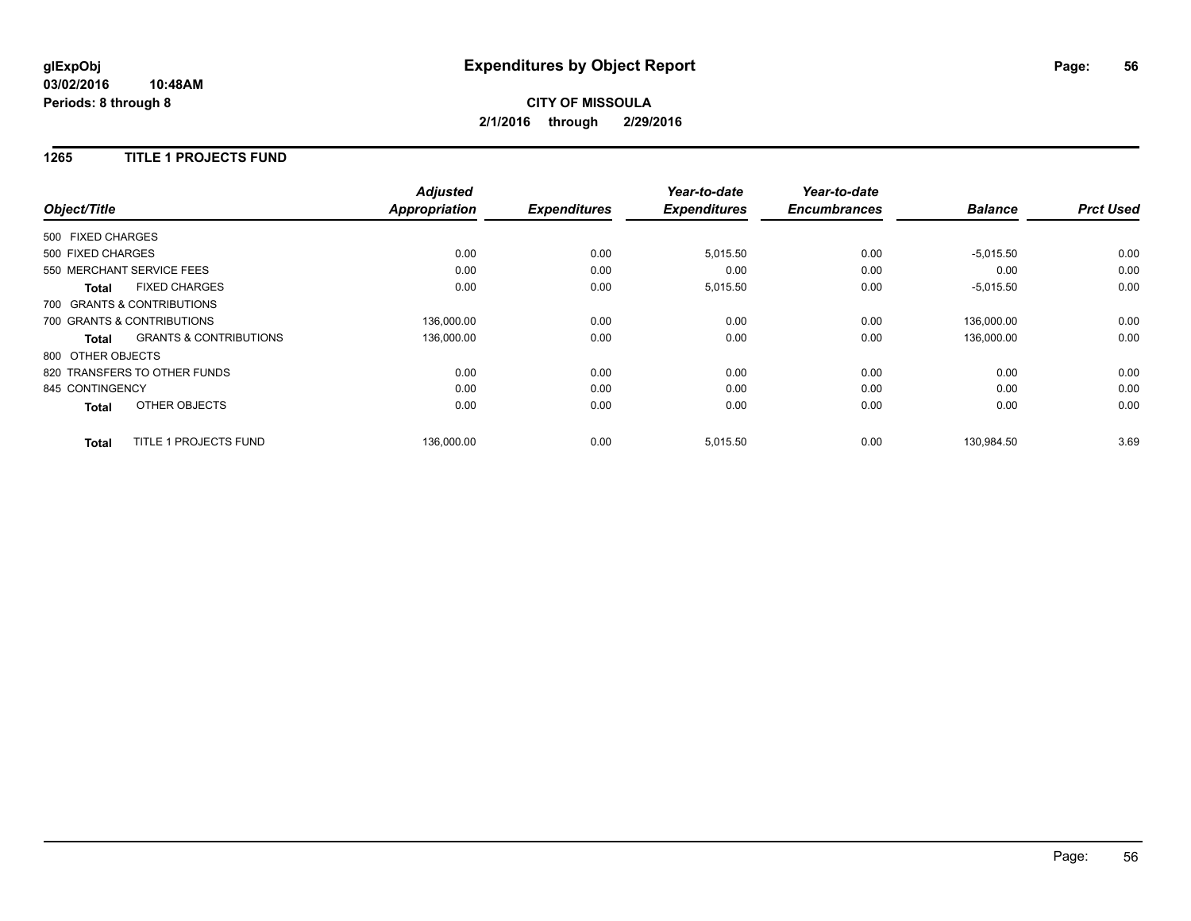# **CITY OF MISSOULA 2/1/2016 through 2/29/2016**

#### **1265 TITLE 1 PROJECTS FUND**

|                   |                                   | <b>Adjusted</b> |                     | Year-to-date        | Year-to-date        |                |                  |
|-------------------|-----------------------------------|-----------------|---------------------|---------------------|---------------------|----------------|------------------|
| Object/Title      |                                   | Appropriation   | <b>Expenditures</b> | <b>Expenditures</b> | <b>Encumbrances</b> | <b>Balance</b> | <b>Prct Used</b> |
| 500 FIXED CHARGES |                                   |                 |                     |                     |                     |                |                  |
| 500 FIXED CHARGES |                                   | 0.00            | 0.00                | 5,015.50            | 0.00                | $-5,015.50$    | 0.00             |
|                   | 550 MERCHANT SERVICE FEES         | 0.00            | 0.00                | 0.00                | 0.00                | 0.00           | 0.00             |
| <b>Total</b>      | <b>FIXED CHARGES</b>              | 0.00            | 0.00                | 5,015.50            | 0.00                | $-5,015.50$    | 0.00             |
|                   | 700 GRANTS & CONTRIBUTIONS        |                 |                     |                     |                     |                |                  |
|                   | 700 GRANTS & CONTRIBUTIONS        | 136,000.00      | 0.00                | 0.00                | 0.00                | 136,000.00     | 0.00             |
| Total             | <b>GRANTS &amp; CONTRIBUTIONS</b> | 136,000.00      | 0.00                | 0.00                | 0.00                | 136,000.00     | 0.00             |
| 800 OTHER OBJECTS |                                   |                 |                     |                     |                     |                |                  |
|                   | 820 TRANSFERS TO OTHER FUNDS      | 0.00            | 0.00                | 0.00                | 0.00                | 0.00           | 0.00             |
| 845 CONTINGENCY   |                                   | 0.00            | 0.00                | 0.00                | 0.00                | 0.00           | 0.00             |
| <b>Total</b>      | OTHER OBJECTS                     | 0.00            | 0.00                | 0.00                | 0.00                | 0.00           | 0.00             |
| <b>Total</b>      | TITLE 1 PROJECTS FUND             | 136,000.00      | 0.00                | 5,015.50            | 0.00                | 130,984.50     | 3.69             |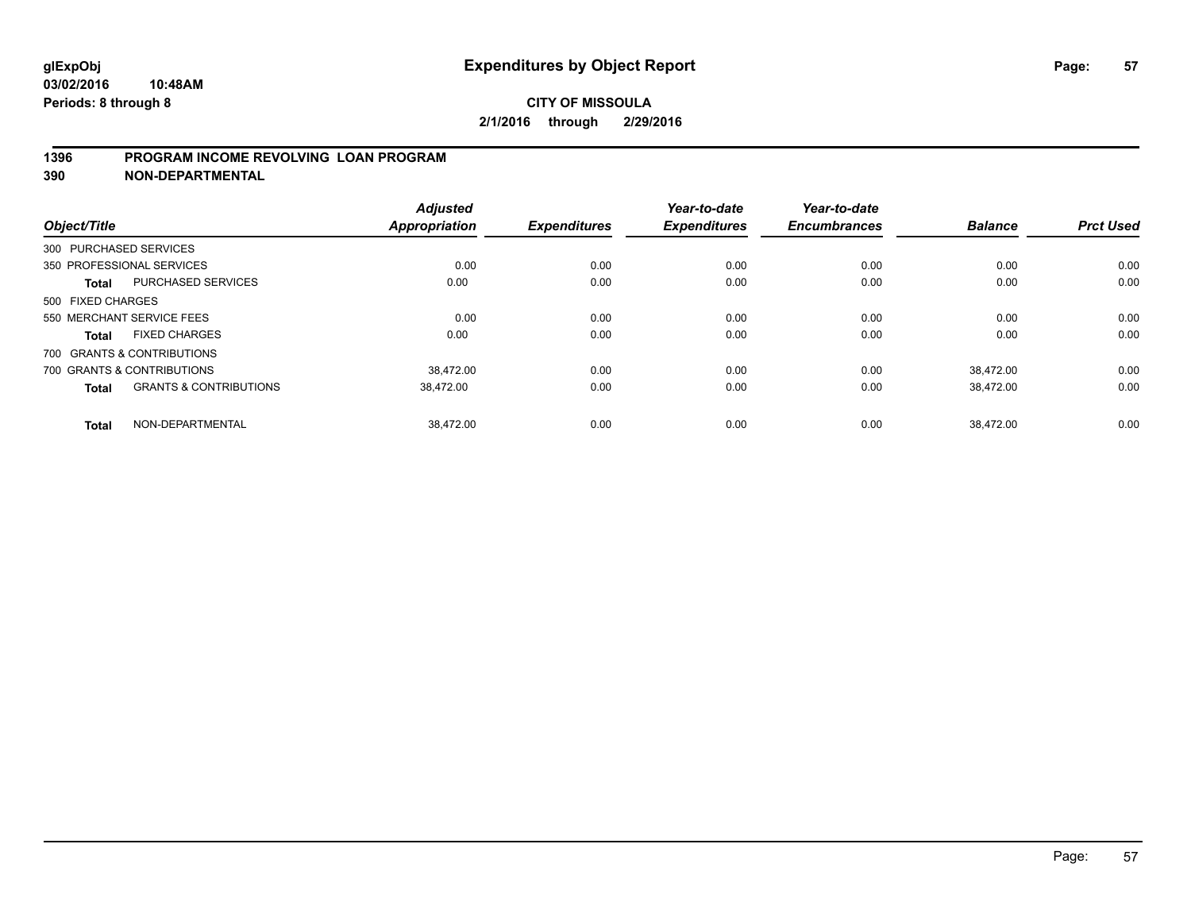#### **1396 PROGRAM INCOME REVOLVING LOAN PROGRAM**

**390 NON-DEPARTMENTAL**

| Object/Title      |                                   | <b>Adjusted</b><br><b>Appropriation</b> | <b>Expenditures</b> | Year-to-date<br><b>Expenditures</b> | Year-to-date<br><b>Encumbrances</b> | <b>Balance</b> | <b>Prct Used</b> |
|-------------------|-----------------------------------|-----------------------------------------|---------------------|-------------------------------------|-------------------------------------|----------------|------------------|
|                   | 300 PURCHASED SERVICES            |                                         |                     |                                     |                                     |                |                  |
|                   | 350 PROFESSIONAL SERVICES         | 0.00                                    | 0.00                | 0.00                                | 0.00                                | 0.00           | 0.00             |
| <b>Total</b>      | <b>PURCHASED SERVICES</b>         | 0.00                                    | 0.00                | 0.00                                | 0.00                                | 0.00           | 0.00             |
| 500 FIXED CHARGES |                                   |                                         |                     |                                     |                                     |                |                  |
|                   | 550 MERCHANT SERVICE FEES         | 0.00                                    | 0.00                | 0.00                                | 0.00                                | 0.00           | 0.00             |
| Total             | <b>FIXED CHARGES</b>              | 0.00                                    | 0.00                | 0.00                                | 0.00                                | 0.00           | 0.00             |
|                   | 700 GRANTS & CONTRIBUTIONS        |                                         |                     |                                     |                                     |                |                  |
|                   | 700 GRANTS & CONTRIBUTIONS        | 38.472.00                               | 0.00                | 0.00                                | 0.00                                | 38.472.00      | 0.00             |
| <b>Total</b>      | <b>GRANTS &amp; CONTRIBUTIONS</b> | 38.472.00                               | 0.00                | 0.00                                | 0.00                                | 38.472.00      | 0.00             |
| <b>Total</b>      | NON-DEPARTMENTAL                  | 38.472.00                               | 0.00                | 0.00                                | 0.00                                | 38.472.00      | 0.00             |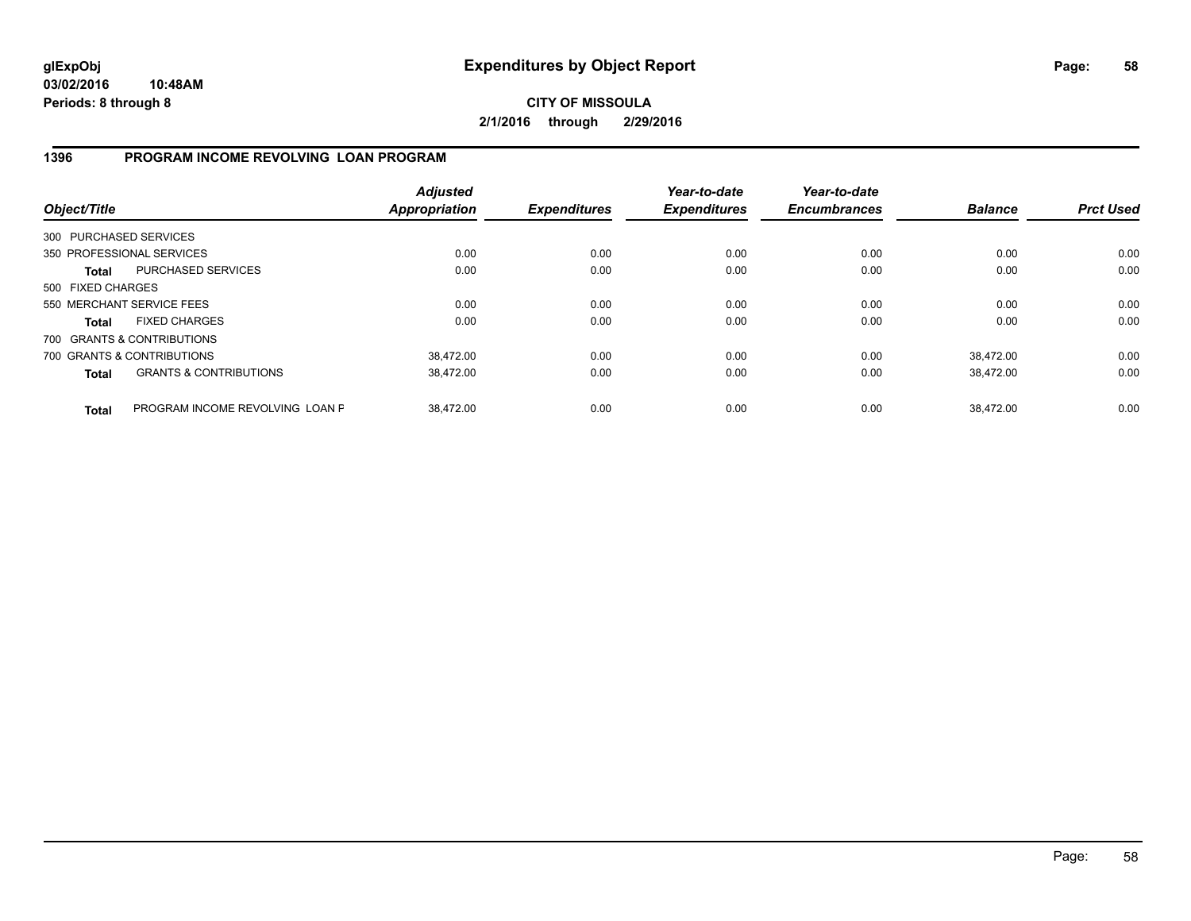**CITY OF MISSOULA 2/1/2016 through 2/29/2016**

#### **1396 PROGRAM INCOME REVOLVING LOAN PROGRAM**

| Object/Title           |                                   | <b>Adjusted</b><br><b>Appropriation</b> | <b>Expenditures</b> | Year-to-date<br><b>Expenditures</b> | Year-to-date<br><b>Encumbrances</b> | <b>Balance</b> | <b>Prct Used</b> |
|------------------------|-----------------------------------|-----------------------------------------|---------------------|-------------------------------------|-------------------------------------|----------------|------------------|
| 300 PURCHASED SERVICES |                                   |                                         |                     |                                     |                                     |                |                  |
|                        | 350 PROFESSIONAL SERVICES         | 0.00                                    | 0.00                | 0.00                                | 0.00                                | 0.00           | 0.00             |
| Total                  | PURCHASED SERVICES                | 0.00                                    | 0.00                | 0.00                                | 0.00                                | 0.00           | 0.00             |
| 500 FIXED CHARGES      |                                   |                                         |                     |                                     |                                     |                |                  |
|                        | 550 MERCHANT SERVICE FEES         | 0.00                                    | 0.00                | 0.00                                | 0.00                                | 0.00           | 0.00             |
| Total                  | <b>FIXED CHARGES</b>              | 0.00                                    | 0.00                | 0.00                                | 0.00                                | 0.00           | 0.00             |
|                        | 700 GRANTS & CONTRIBUTIONS        |                                         |                     |                                     |                                     |                |                  |
|                        | 700 GRANTS & CONTRIBUTIONS        | 38.472.00                               | 0.00                | 0.00                                | 0.00                                | 38.472.00      | 0.00             |
| <b>Total</b>           | <b>GRANTS &amp; CONTRIBUTIONS</b> | 38.472.00                               | 0.00                | 0.00                                | 0.00                                | 38.472.00      | 0.00             |
| <b>Total</b>           | PROGRAM INCOME REVOLVING LOAN P   | 38.472.00                               | 0.00                | 0.00                                | 0.00                                | 38.472.00      | 0.00             |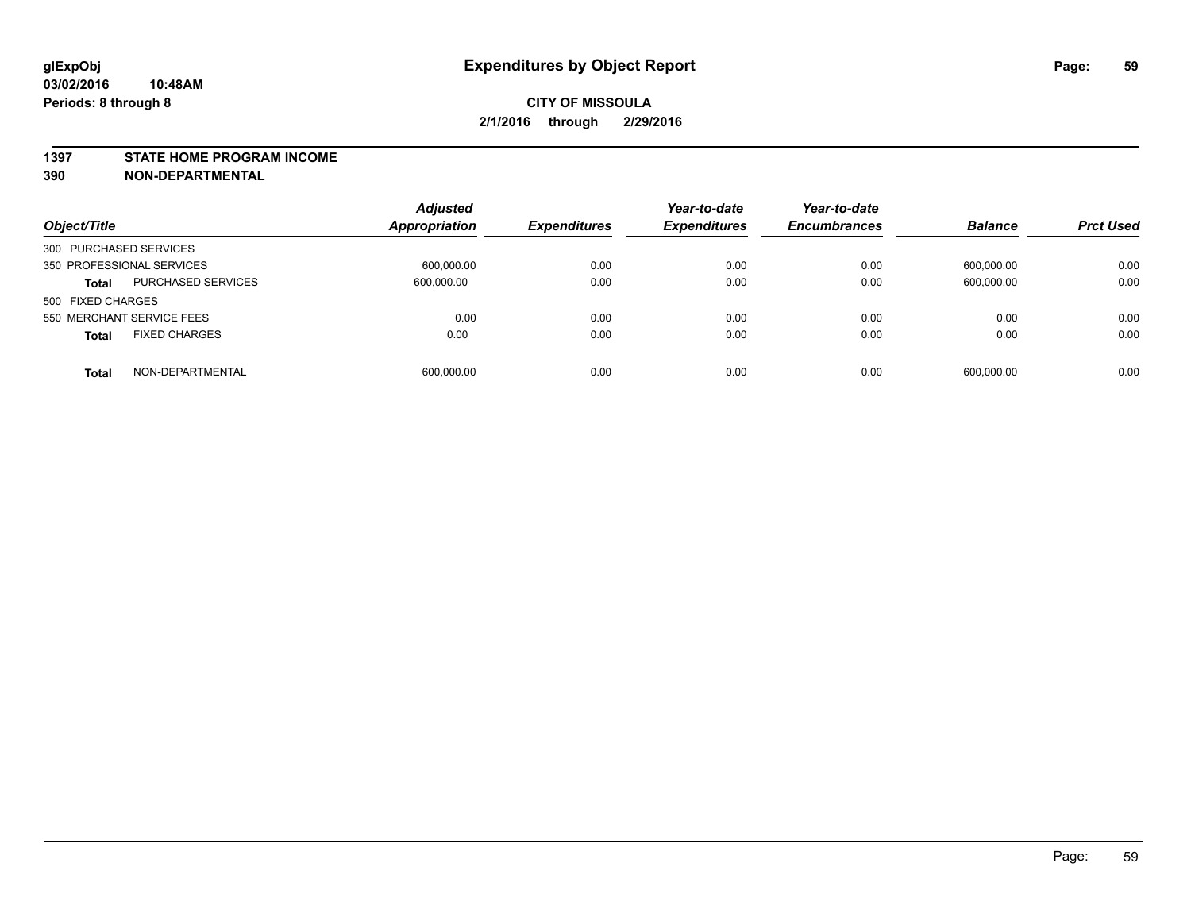#### **1397 STATE HOME PROGRAM INCOME**

**390 NON-DEPARTMENTAL**

| Object/Title                              | <b>Adjusted</b><br><b>Appropriation</b> | <b>Expenditures</b> | Year-to-date<br><b>Expenditures</b> | Year-to-date<br><b>Encumbrances</b> | <b>Balance</b> | <b>Prct Used</b> |
|-------------------------------------------|-----------------------------------------|---------------------|-------------------------------------|-------------------------------------|----------------|------------------|
| 300 PURCHASED SERVICES                    |                                         |                     |                                     |                                     |                |                  |
| 350 PROFESSIONAL SERVICES                 | 600,000.00                              | 0.00                | 0.00                                | 0.00                                | 600,000.00     | 0.00             |
| <b>PURCHASED SERVICES</b><br><b>Total</b> | 600,000.00                              | 0.00                | 0.00                                | 0.00                                | 600,000.00     | 0.00             |
| 500 FIXED CHARGES                         |                                         |                     |                                     |                                     |                |                  |
| 550 MERCHANT SERVICE FEES                 | 0.00                                    | 0.00                | 0.00                                | 0.00                                | 0.00           | 0.00             |
| <b>FIXED CHARGES</b><br><b>Total</b>      | 0.00                                    | 0.00                | 0.00                                | 0.00                                | 0.00           | 0.00             |
| NON-DEPARTMENTAL<br><b>Total</b>          | 600,000.00                              | 0.00                | 0.00                                | 0.00                                | 600.000.00     | 0.00             |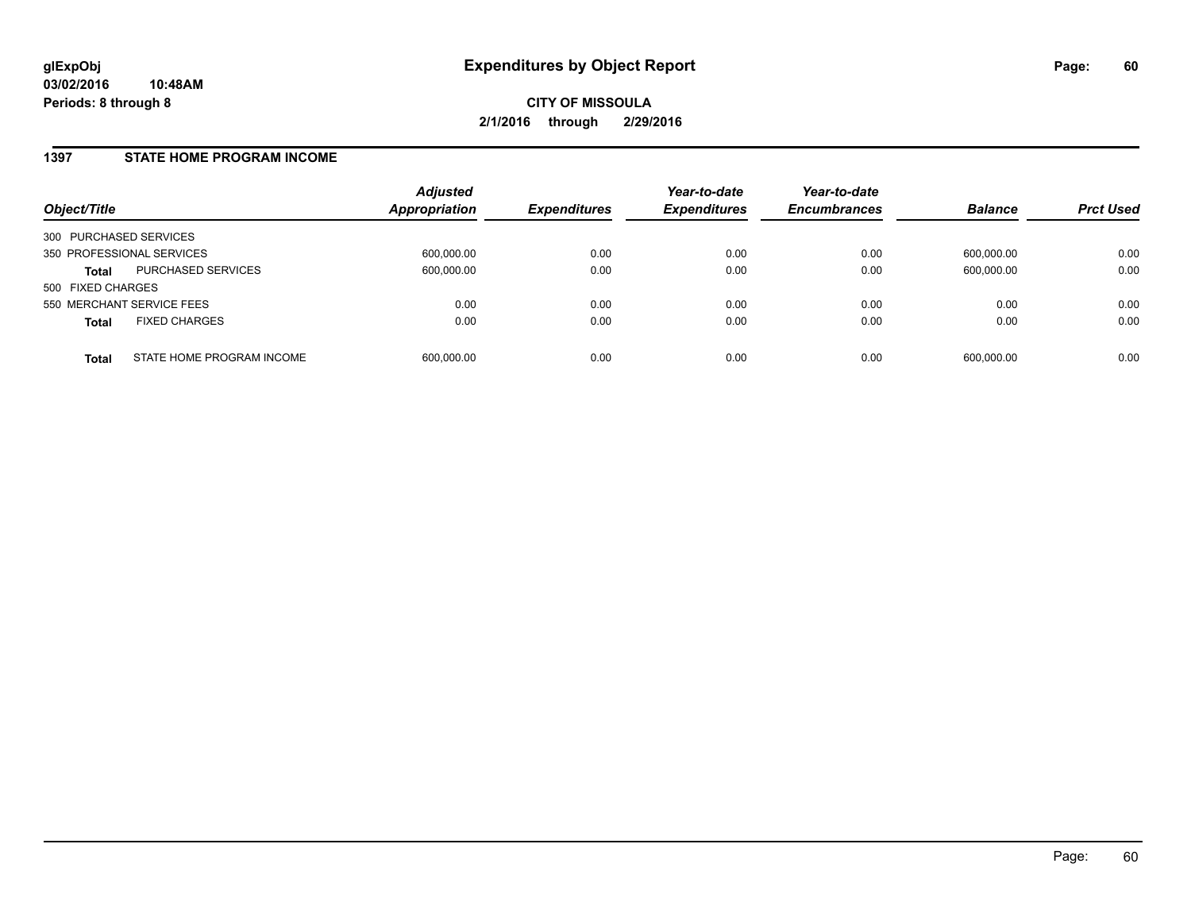#### **1397 STATE HOME PROGRAM INCOME**

| Object/Title                              | <b>Adjusted</b><br>Appropriation | <b>Expenditures</b> | Year-to-date<br><b>Expenditures</b> | Year-to-date<br><b>Encumbrances</b> | <b>Balance</b> | <b>Prct Used</b> |
|-------------------------------------------|----------------------------------|---------------------|-------------------------------------|-------------------------------------|----------------|------------------|
| 300 PURCHASED SERVICES                    |                                  |                     |                                     |                                     |                |                  |
| 350 PROFESSIONAL SERVICES                 | 600,000.00                       | 0.00                | 0.00                                | 0.00                                | 600.000.00     | 0.00             |
| <b>PURCHASED SERVICES</b><br><b>Total</b> | 600,000.00                       | 0.00                | 0.00                                | 0.00                                | 600,000.00     | 0.00             |
| 500 FIXED CHARGES                         |                                  |                     |                                     |                                     |                |                  |
| 550 MERCHANT SERVICE FEES                 | 0.00                             | 0.00                | 0.00                                | 0.00                                | 0.00           | 0.00             |
| <b>FIXED CHARGES</b><br><b>Total</b>      | 0.00                             | 0.00                | 0.00                                | 0.00                                | 0.00           | 0.00             |
| STATE HOME PROGRAM INCOME<br><b>Total</b> | 600,000.00                       | 0.00                | 0.00                                | 0.00                                | 600.000.00     | 0.00             |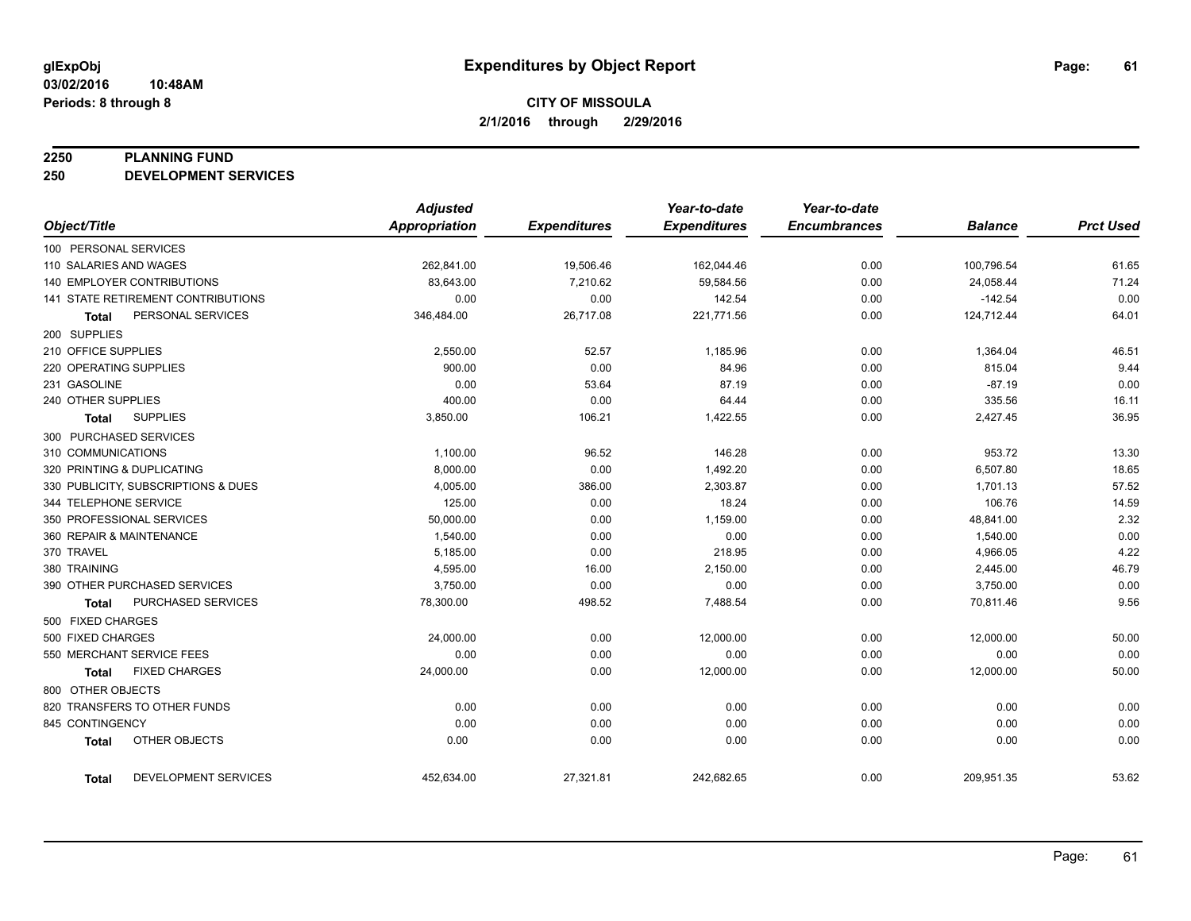#### **2250 PLANNING FUND**

**250 DEVELOPMENT SERVICES**

|                                           | <b>Adjusted</b>      |                     | Year-to-date        | Year-to-date        |                |                  |
|-------------------------------------------|----------------------|---------------------|---------------------|---------------------|----------------|------------------|
| Object/Title                              | <b>Appropriation</b> | <b>Expenditures</b> | <b>Expenditures</b> | <b>Encumbrances</b> | <b>Balance</b> | <b>Prct Used</b> |
| 100 PERSONAL SERVICES                     |                      |                     |                     |                     |                |                  |
| 110 SALARIES AND WAGES                    | 262,841.00           | 19,506.46           | 162,044.46          | 0.00                | 100,796.54     | 61.65            |
| <b>140 EMPLOYER CONTRIBUTIONS</b>         | 83,643.00            | 7,210.62            | 59,584.56           | 0.00                | 24,058.44      | 71.24            |
| <b>141 STATE RETIREMENT CONTRIBUTIONS</b> | 0.00                 | 0.00                | 142.54              | 0.00                | $-142.54$      | 0.00             |
| PERSONAL SERVICES<br><b>Total</b>         | 346,484.00           | 26,717.08           | 221,771.56          | 0.00                | 124,712.44     | 64.01            |
| 200 SUPPLIES                              |                      |                     |                     |                     |                |                  |
| 210 OFFICE SUPPLIES                       | 2,550.00             | 52.57               | 1,185.96            | 0.00                | 1,364.04       | 46.51            |
| 220 OPERATING SUPPLIES                    | 900.00               | 0.00                | 84.96               | 0.00                | 815.04         | 9.44             |
| 231 GASOLINE                              | 0.00                 | 53.64               | 87.19               | 0.00                | $-87.19$       | 0.00             |
| 240 OTHER SUPPLIES                        | 400.00               | 0.00                | 64.44               | 0.00                | 335.56         | 16.11            |
| <b>SUPPLIES</b><br>Total                  | 3,850.00             | 106.21              | 1,422.55            | 0.00                | 2,427.45       | 36.95            |
| 300 PURCHASED SERVICES                    |                      |                     |                     |                     |                |                  |
| 310 COMMUNICATIONS                        | 1,100.00             | 96.52               | 146.28              | 0.00                | 953.72         | 13.30            |
| 320 PRINTING & DUPLICATING                | 8,000.00             | 0.00                | 1,492.20            | 0.00                | 6,507.80       | 18.65            |
| 330 PUBLICITY, SUBSCRIPTIONS & DUES       | 4,005.00             | 386.00              | 2,303.87            | 0.00                | 1,701.13       | 57.52            |
| 344 TELEPHONE SERVICE                     | 125.00               | 0.00                | 18.24               | 0.00                | 106.76         | 14.59            |
| 350 PROFESSIONAL SERVICES                 | 50,000.00            | 0.00                | 1,159.00            | 0.00                | 48,841.00      | 2.32             |
| 360 REPAIR & MAINTENANCE                  | 1,540.00             | 0.00                | 0.00                | 0.00                | 1,540.00       | 0.00             |
| 370 TRAVEL                                | 5,185.00             | 0.00                | 218.95              | 0.00                | 4,966.05       | 4.22             |
| 380 TRAINING                              | 4,595.00             | 16.00               | 2,150.00            | 0.00                | 2,445.00       | 46.79            |
| 390 OTHER PURCHASED SERVICES              | 3,750.00             | 0.00                | 0.00                | 0.00                | 3,750.00       | 0.00             |
| <b>PURCHASED SERVICES</b><br><b>Total</b> | 78,300.00            | 498.52              | 7,488.54            | 0.00                | 70,811.46      | 9.56             |
| 500 FIXED CHARGES                         |                      |                     |                     |                     |                |                  |
| 500 FIXED CHARGES                         | 24,000.00            | 0.00                | 12,000.00           | 0.00                | 12,000.00      | 50.00            |
| 550 MERCHANT SERVICE FEES                 | 0.00                 | 0.00                | 0.00                | 0.00                | 0.00           | 0.00             |
| <b>FIXED CHARGES</b><br><b>Total</b>      | 24,000.00            | 0.00                | 12,000.00           | 0.00                | 12,000.00      | 50.00            |
| 800 OTHER OBJECTS                         |                      |                     |                     |                     |                |                  |
| 820 TRANSFERS TO OTHER FUNDS              | 0.00                 | 0.00                | 0.00                | 0.00                | 0.00           | 0.00             |
| 845 CONTINGENCY                           | 0.00                 | 0.00                | 0.00                | 0.00                | 0.00           | 0.00             |
| OTHER OBJECTS<br><b>Total</b>             | 0.00                 | 0.00                | 0.00                | 0.00                | 0.00           | 0.00             |
| DEVELOPMENT SERVICES<br><b>Total</b>      | 452,634.00           | 27,321.81           | 242,682.65          | 0.00                | 209,951.35     | 53.62            |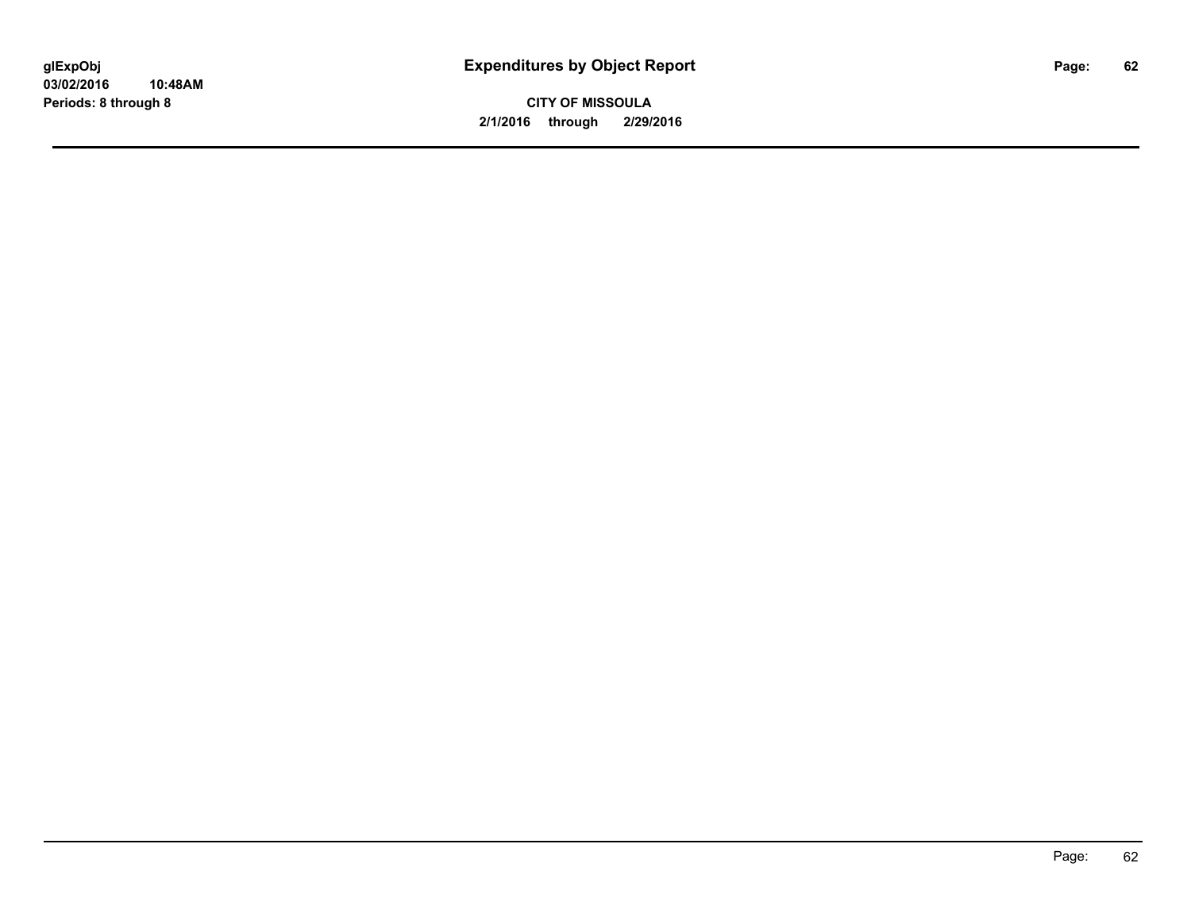**CITY OF MISSOULA**

**2/1/2016 through 2/29/2016**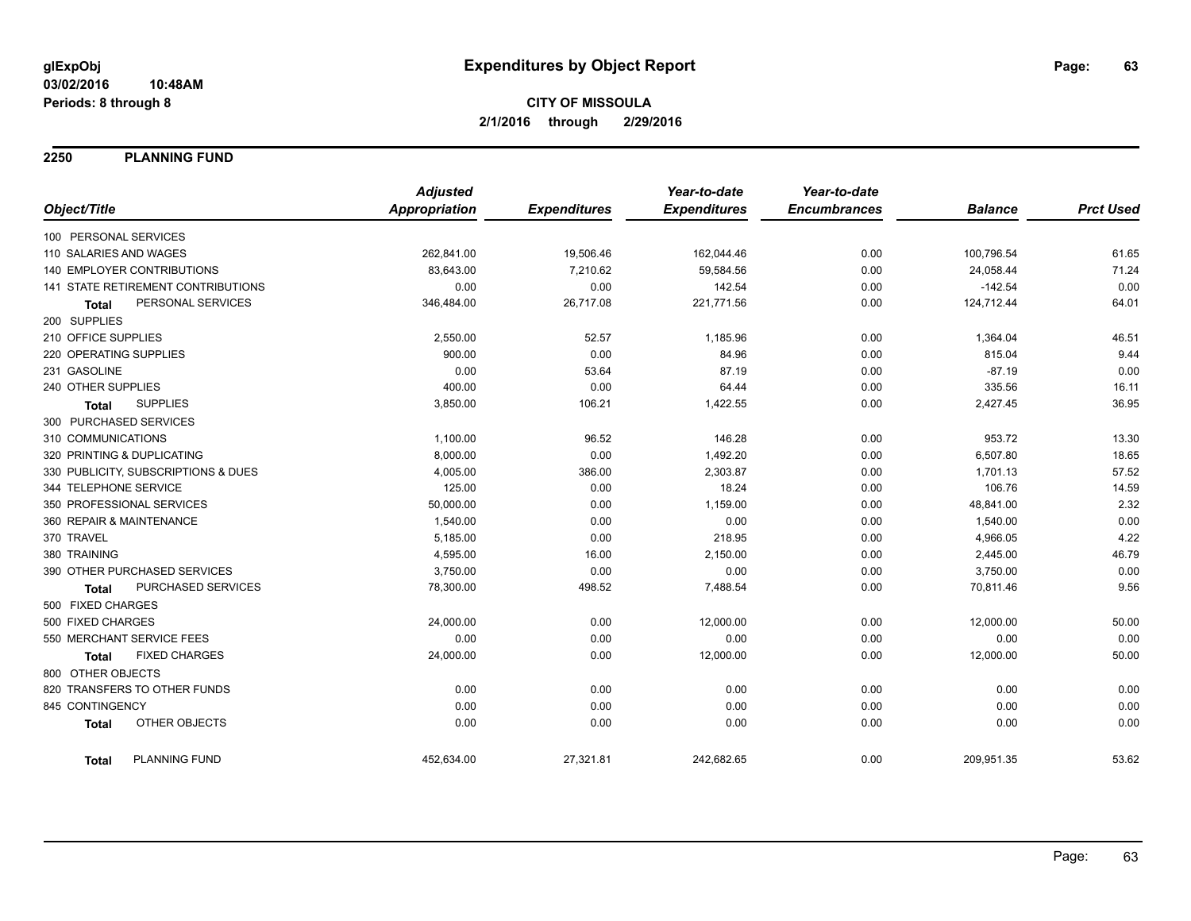**2250 PLANNING FUND**

|                                           | <b>Adjusted</b> |                     | Year-to-date        | Year-to-date        |                |                  |
|-------------------------------------------|-----------------|---------------------|---------------------|---------------------|----------------|------------------|
| Object/Title                              | Appropriation   | <b>Expenditures</b> | <b>Expenditures</b> | <b>Encumbrances</b> | <b>Balance</b> | <b>Prct Used</b> |
| 100 PERSONAL SERVICES                     |                 |                     |                     |                     |                |                  |
| 110 SALARIES AND WAGES                    | 262,841.00      | 19,506.46           | 162,044.46          | 0.00                | 100,796.54     | 61.65            |
| 140 EMPLOYER CONTRIBUTIONS                | 83,643.00       | 7,210.62            | 59,584.56           | 0.00                | 24,058.44      | 71.24            |
| <b>141 STATE RETIREMENT CONTRIBUTIONS</b> | 0.00            | 0.00                | 142.54              | 0.00                | $-142.54$      | 0.00             |
| PERSONAL SERVICES<br><b>Total</b>         | 346,484.00      | 26,717.08           | 221,771.56          | 0.00                | 124,712.44     | 64.01            |
| 200 SUPPLIES                              |                 |                     |                     |                     |                |                  |
| 210 OFFICE SUPPLIES                       | 2,550.00        | 52.57               | 1,185.96            | 0.00                | 1,364.04       | 46.51            |
| 220 OPERATING SUPPLIES                    | 900.00          | 0.00                | 84.96               | 0.00                | 815.04         | 9.44             |
| 231 GASOLINE                              | 0.00            | 53.64               | 87.19               | 0.00                | $-87.19$       | 0.00             |
| 240 OTHER SUPPLIES                        | 400.00          | 0.00                | 64.44               | 0.00                | 335.56         | 16.11            |
| <b>SUPPLIES</b><br>Total                  | 3,850.00        | 106.21              | 1,422.55            | 0.00                | 2,427.45       | 36.95            |
| 300 PURCHASED SERVICES                    |                 |                     |                     |                     |                |                  |
| 310 COMMUNICATIONS                        | 1,100.00        | 96.52               | 146.28              | 0.00                | 953.72         | 13.30            |
| 320 PRINTING & DUPLICATING                | 8,000.00        | 0.00                | 1,492.20            | 0.00                | 6,507.80       | 18.65            |
| 330 PUBLICITY, SUBSCRIPTIONS & DUES       | 4,005.00        | 386.00              | 2,303.87            | 0.00                | 1,701.13       | 57.52            |
| 344 TELEPHONE SERVICE                     | 125.00          | 0.00                | 18.24               | 0.00                | 106.76         | 14.59            |
| 350 PROFESSIONAL SERVICES                 | 50,000.00       | 0.00                | 1,159.00            | 0.00                | 48,841.00      | 2.32             |
| 360 REPAIR & MAINTENANCE                  | 1,540.00        | 0.00                | 0.00                | 0.00                | 1,540.00       | 0.00             |
| 370 TRAVEL                                | 5,185.00        | 0.00                | 218.95              | 0.00                | 4,966.05       | 4.22             |
| 380 TRAINING                              | 4,595.00        | 16.00               | 2,150.00            | 0.00                | 2,445.00       | 46.79            |
| 390 OTHER PURCHASED SERVICES              | 3,750.00        | 0.00                | 0.00                | 0.00                | 3,750.00       | 0.00             |
| PURCHASED SERVICES<br>Total               | 78,300.00       | 498.52              | 7,488.54            | 0.00                | 70,811.46      | 9.56             |
| 500 FIXED CHARGES                         |                 |                     |                     |                     |                |                  |
| 500 FIXED CHARGES                         | 24,000.00       | 0.00                | 12,000.00           | 0.00                | 12,000.00      | 50.00            |
| 550 MERCHANT SERVICE FEES                 | 0.00            | 0.00                | 0.00                | 0.00                | 0.00           | 0.00             |
| <b>FIXED CHARGES</b><br><b>Total</b>      | 24,000.00       | 0.00                | 12,000.00           | 0.00                | 12,000.00      | 50.00            |
| 800 OTHER OBJECTS                         |                 |                     |                     |                     |                |                  |
| 820 TRANSFERS TO OTHER FUNDS              | 0.00            | 0.00                | 0.00                | 0.00                | 0.00           | 0.00             |
| 845 CONTINGENCY                           | 0.00            | 0.00                | 0.00                | 0.00                | 0.00           | 0.00             |
| OTHER OBJECTS<br><b>Total</b>             | 0.00            | 0.00                | 0.00                | 0.00                | 0.00           | 0.00             |
| <b>PLANNING FUND</b><br><b>Total</b>      | 452,634.00      | 27,321.81           | 242,682.65          | 0.00                | 209,951.35     | 53.62            |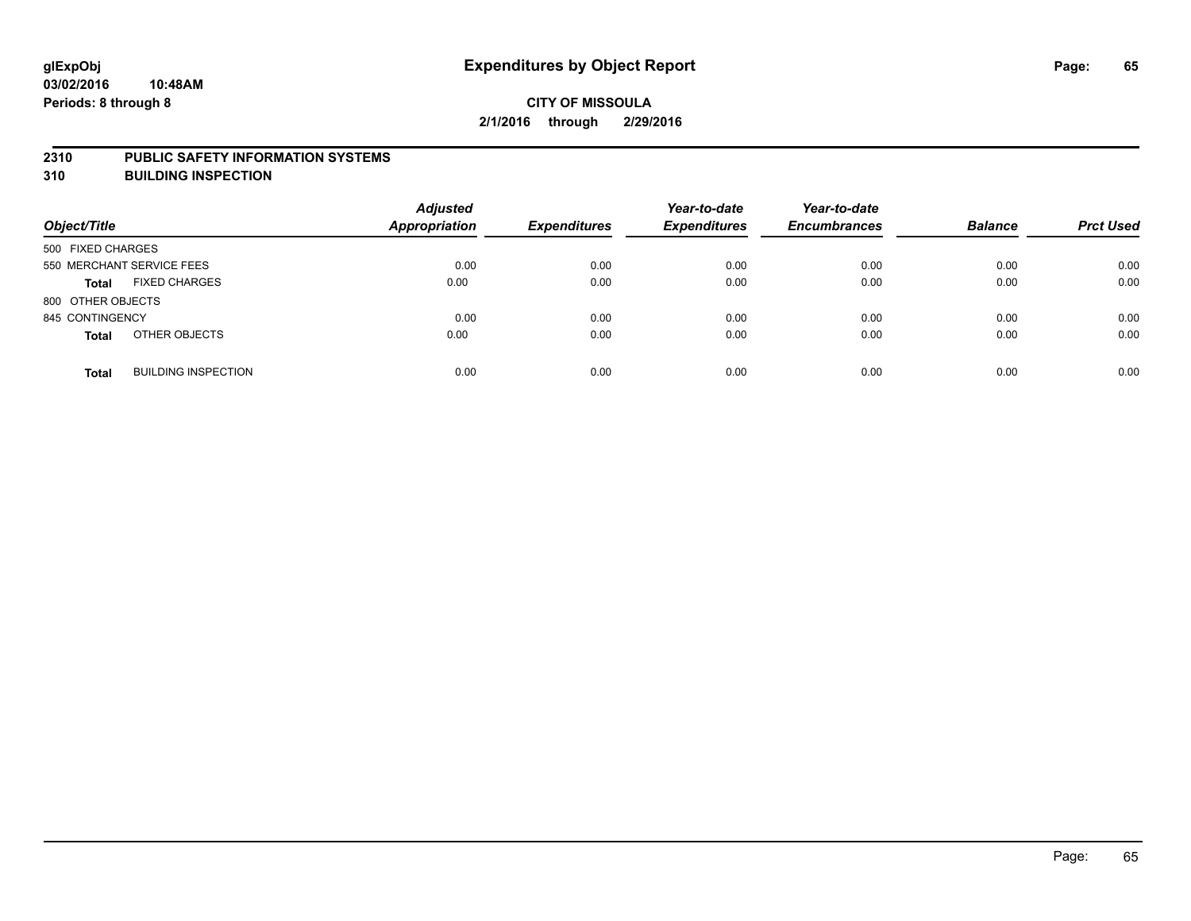#### **2310 PUBLIC SAFETY INFORMATION SYSTEMS**

**310 BUILDING INSPECTION**

| Object/Title              |                            | <b>Adjusted</b><br><b>Appropriation</b> | <b>Expenditures</b> | Year-to-date<br><b>Expenditures</b> | Year-to-date<br><b>Encumbrances</b> | <b>Balance</b> | <b>Prct Used</b> |
|---------------------------|----------------------------|-----------------------------------------|---------------------|-------------------------------------|-------------------------------------|----------------|------------------|
| 500 FIXED CHARGES         |                            |                                         |                     |                                     |                                     |                |                  |
| 550 MERCHANT SERVICE FEES |                            | 0.00                                    | 0.00                | 0.00                                | 0.00                                | 0.00           | 0.00             |
| <b>Total</b>              | <b>FIXED CHARGES</b>       | 0.00                                    | 0.00                | 0.00                                | 0.00                                | 0.00           | 0.00             |
| 800 OTHER OBJECTS         |                            |                                         |                     |                                     |                                     |                |                  |
| 845 CONTINGENCY           |                            | 0.00                                    | 0.00                | 0.00                                | 0.00                                | 0.00           | 0.00             |
| <b>Total</b>              | OTHER OBJECTS              | 0.00                                    | 0.00                | 0.00                                | 0.00                                | 0.00           | 0.00             |
| <b>Total</b>              | <b>BUILDING INSPECTION</b> | 0.00                                    | 0.00                | 0.00                                | 0.00                                | 0.00           | 0.00             |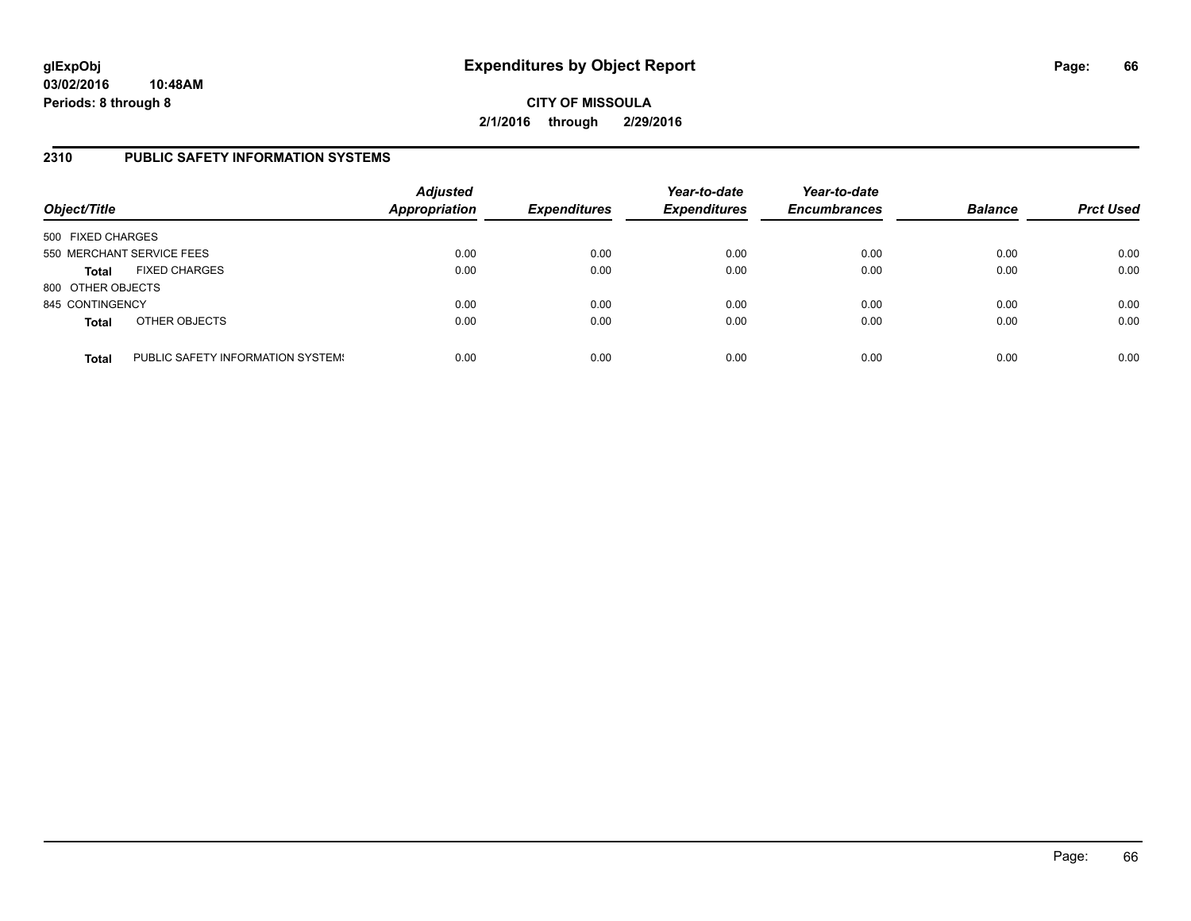### **2310 PUBLIC SAFETY INFORMATION SYSTEMS**

| Object/Title      |                                   | <b>Adjusted</b><br><b>Appropriation</b> | <b>Expenditures</b> | Year-to-date<br><b>Expenditures</b> | Year-to-date<br><b>Encumbrances</b> | <b>Balance</b> | <b>Prct Used</b> |
|-------------------|-----------------------------------|-----------------------------------------|---------------------|-------------------------------------|-------------------------------------|----------------|------------------|
| 500 FIXED CHARGES |                                   |                                         |                     |                                     |                                     |                |                  |
|                   | 550 MERCHANT SERVICE FEES         | 0.00                                    | 0.00                | 0.00                                | 0.00                                | 0.00           | 0.00             |
| <b>Total</b>      | <b>FIXED CHARGES</b>              | 0.00                                    | 0.00                | 0.00                                | 0.00                                | 0.00           | 0.00             |
| 800 OTHER OBJECTS |                                   |                                         |                     |                                     |                                     |                |                  |
| 845 CONTINGENCY   |                                   | 0.00                                    | 0.00                | 0.00                                | 0.00                                | 0.00           | 0.00             |
| <b>Total</b>      | OTHER OBJECTS                     | 0.00                                    | 0.00                | 0.00                                | 0.00                                | 0.00           | 0.00             |
| <b>Total</b>      | PUBLIC SAFETY INFORMATION SYSTEM! | 0.00                                    | 0.00                | 0.00                                | 0.00                                | 0.00           | 0.00             |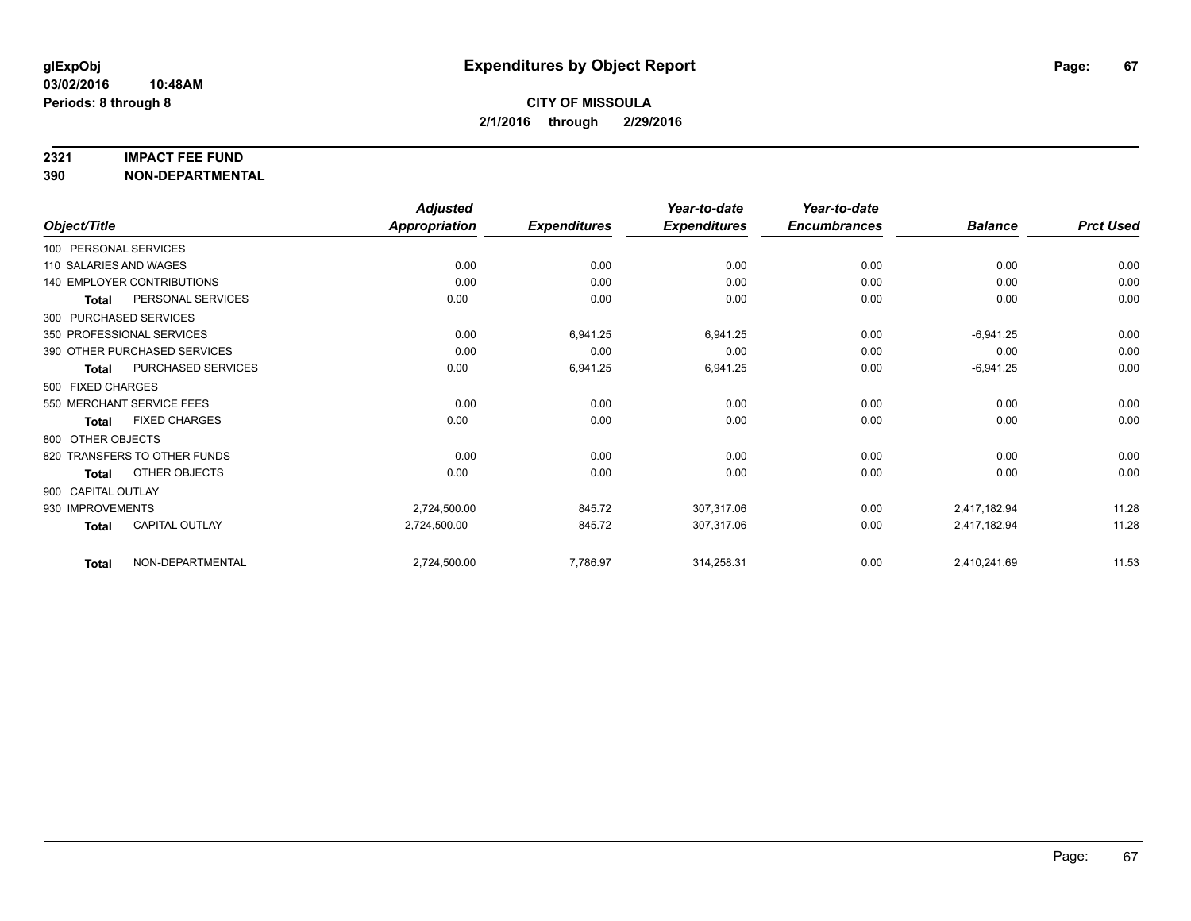#### **2321 IMPACT FEE FUND**

**390 NON-DEPARTMENTAL**

|                        |                              | <b>Adjusted</b>      |                     | Year-to-date        | Year-to-date        |                |                  |
|------------------------|------------------------------|----------------------|---------------------|---------------------|---------------------|----------------|------------------|
| Object/Title           |                              | <b>Appropriation</b> | <b>Expenditures</b> | <b>Expenditures</b> | <b>Encumbrances</b> | <b>Balance</b> | <b>Prct Used</b> |
| 100 PERSONAL SERVICES  |                              |                      |                     |                     |                     |                |                  |
| 110 SALARIES AND WAGES |                              | 0.00                 | 0.00                | 0.00                | 0.00                | 0.00           | 0.00             |
|                        | 140 EMPLOYER CONTRIBUTIONS   | 0.00                 | 0.00                | 0.00                | 0.00                | 0.00           | 0.00             |
| Total                  | PERSONAL SERVICES            | 0.00                 | 0.00                | 0.00                | 0.00                | 0.00           | 0.00             |
|                        | 300 PURCHASED SERVICES       |                      |                     |                     |                     |                |                  |
|                        | 350 PROFESSIONAL SERVICES    | 0.00                 | 6,941.25            | 6,941.25            | 0.00                | $-6,941.25$    | 0.00             |
|                        | 390 OTHER PURCHASED SERVICES | 0.00                 | 0.00                | 0.00                | 0.00                | 0.00           | 0.00             |
| <b>Total</b>           | PURCHASED SERVICES           | 0.00                 | 6,941.25            | 6,941.25            | 0.00                | $-6,941.25$    | 0.00             |
| 500 FIXED CHARGES      |                              |                      |                     |                     |                     |                |                  |
|                        | 550 MERCHANT SERVICE FEES    | 0.00                 | 0.00                | 0.00                | 0.00                | 0.00           | 0.00             |
| <b>Total</b>           | <b>FIXED CHARGES</b>         | 0.00                 | 0.00                | 0.00                | 0.00                | 0.00           | 0.00             |
| 800 OTHER OBJECTS      |                              |                      |                     |                     |                     |                |                  |
|                        | 820 TRANSFERS TO OTHER FUNDS | 0.00                 | 0.00                | 0.00                | 0.00                | 0.00           | 0.00             |
| <b>Total</b>           | OTHER OBJECTS                | 0.00                 | 0.00                | 0.00                | 0.00                | 0.00           | 0.00             |
| 900 CAPITAL OUTLAY     |                              |                      |                     |                     |                     |                |                  |
| 930 IMPROVEMENTS       |                              | 2,724,500.00         | 845.72              | 307,317.06          | 0.00                | 2,417,182.94   | 11.28            |
| <b>Total</b>           | <b>CAPITAL OUTLAY</b>        | 2,724,500.00         | 845.72              | 307,317.06          | 0.00                | 2,417,182.94   | 11.28            |
| Total                  | NON-DEPARTMENTAL             | 2,724,500.00         | 7,786.97            | 314,258.31          | 0.00                | 2,410,241.69   | 11.53            |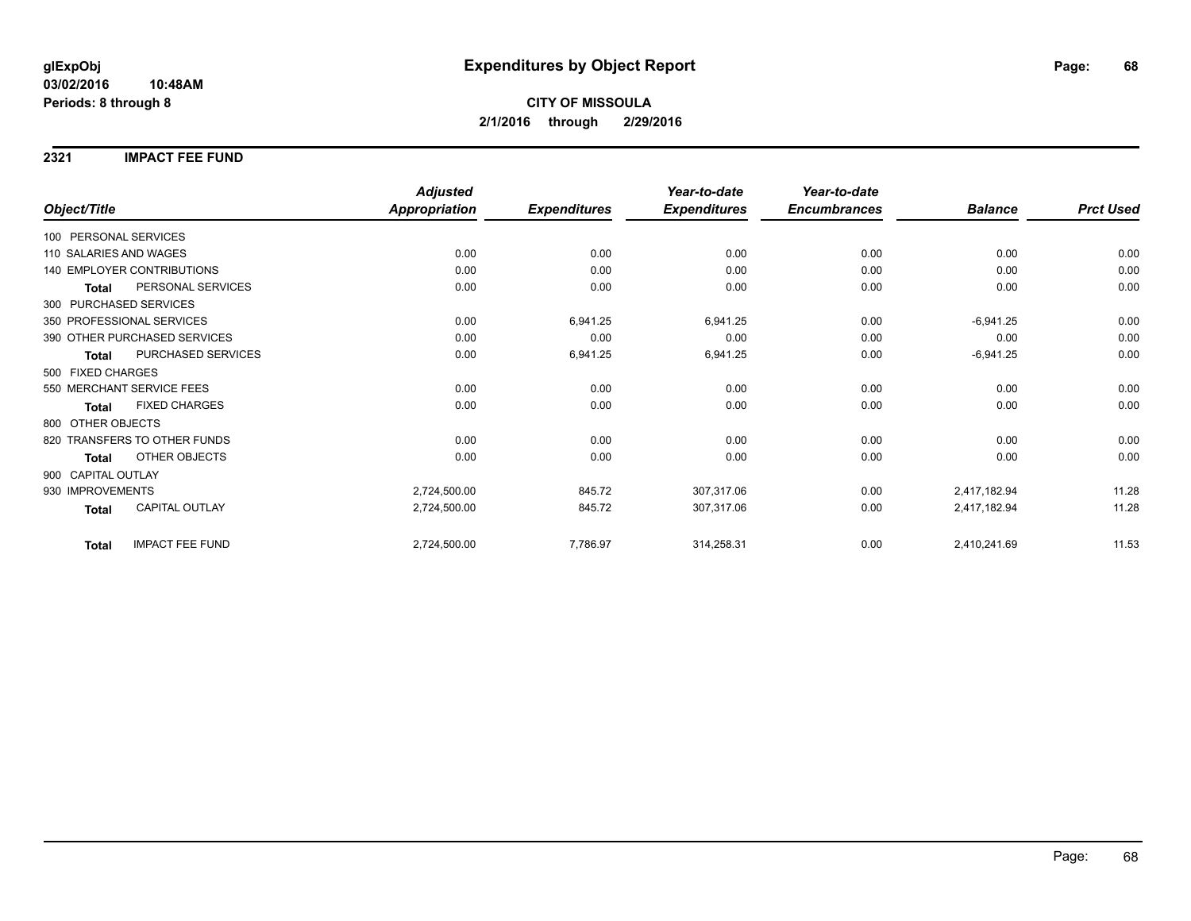**2321 IMPACT FEE FUND**

|                                        | <b>Adjusted</b>      |                     | Year-to-date        | Year-to-date        |                |                  |
|----------------------------------------|----------------------|---------------------|---------------------|---------------------|----------------|------------------|
| Object/Title                           | <b>Appropriation</b> | <b>Expenditures</b> | <b>Expenditures</b> | <b>Encumbrances</b> | <b>Balance</b> | <b>Prct Used</b> |
| 100 PERSONAL SERVICES                  |                      |                     |                     |                     |                |                  |
| 110 SALARIES AND WAGES                 | 0.00                 | 0.00                | 0.00                | 0.00                | 0.00           | 0.00             |
| 140 EMPLOYER CONTRIBUTIONS             | 0.00                 | 0.00                | 0.00                | 0.00                | 0.00           | 0.00             |
| PERSONAL SERVICES<br><b>Total</b>      | 0.00                 | 0.00                | 0.00                | 0.00                | 0.00           | 0.00             |
| 300 PURCHASED SERVICES                 |                      |                     |                     |                     |                |                  |
| 350 PROFESSIONAL SERVICES              | 0.00                 | 6,941.25            | 6,941.25            | 0.00                | $-6,941.25$    | 0.00             |
| 390 OTHER PURCHASED SERVICES           | 0.00                 | 0.00                | 0.00                | 0.00                | 0.00           | 0.00             |
| PURCHASED SERVICES<br><b>Total</b>     | 0.00                 | 6,941.25            | 6,941.25            | 0.00                | $-6,941.25$    | 0.00             |
| 500 FIXED CHARGES                      |                      |                     |                     |                     |                |                  |
| 550 MERCHANT SERVICE FEES              | 0.00                 | 0.00                | 0.00                | 0.00                | 0.00           | 0.00             |
| <b>FIXED CHARGES</b><br>Total          | 0.00                 | 0.00                | 0.00                | 0.00                | 0.00           | 0.00             |
| 800 OTHER OBJECTS                      |                      |                     |                     |                     |                |                  |
| 820 TRANSFERS TO OTHER FUNDS           | 0.00                 | 0.00                | 0.00                | 0.00                | 0.00           | 0.00             |
| OTHER OBJECTS<br><b>Total</b>          | 0.00                 | 0.00                | 0.00                | 0.00                | 0.00           | 0.00             |
| 900 CAPITAL OUTLAY                     |                      |                     |                     |                     |                |                  |
| 930 IMPROVEMENTS                       | 2,724,500.00         | 845.72              | 307,317.06          | 0.00                | 2,417,182.94   | 11.28            |
| CAPITAL OUTLAY<br><b>Total</b>         | 2,724,500.00         | 845.72              | 307,317.06          | 0.00                | 2,417,182.94   | 11.28            |
| <b>IMPACT FEE FUND</b><br><b>Total</b> | 2,724,500.00         | 7,786.97            | 314,258.31          | 0.00                | 2,410,241.69   | 11.53            |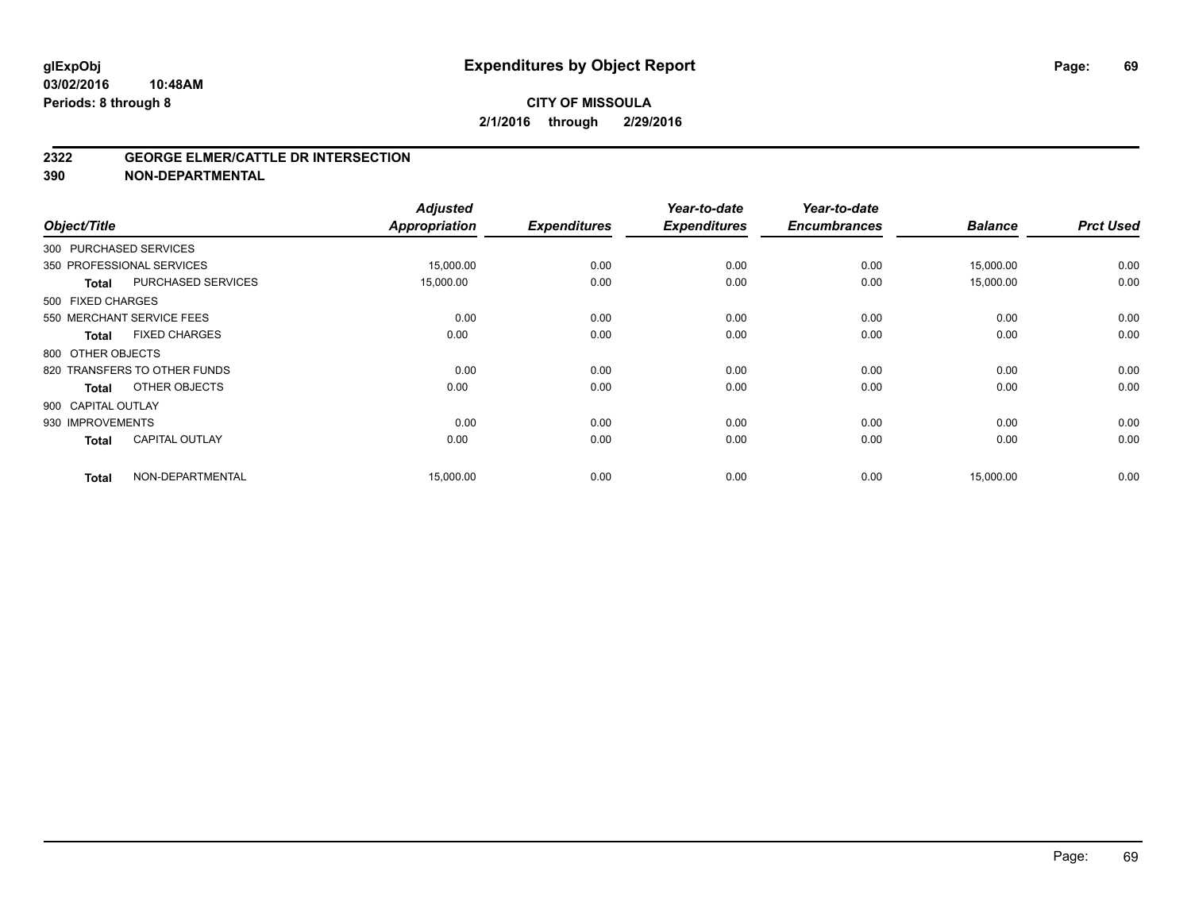#### **2322 GEORGE ELMER/CATTLE DR INTERSECTION**

**390 NON-DEPARTMENTAL**

| Object/Title       |                              | <b>Adjusted</b><br><b>Appropriation</b> | <b>Expenditures</b> | Year-to-date<br><b>Expenditures</b> | Year-to-date<br><b>Encumbrances</b> | <b>Balance</b> | <b>Prct Used</b> |
|--------------------|------------------------------|-----------------------------------------|---------------------|-------------------------------------|-------------------------------------|----------------|------------------|
|                    | 300 PURCHASED SERVICES       |                                         |                     |                                     |                                     |                |                  |
|                    | 350 PROFESSIONAL SERVICES    | 15,000.00                               | 0.00                | 0.00                                | 0.00                                | 15,000.00      | 0.00             |
| <b>Total</b>       | <b>PURCHASED SERVICES</b>    | 15,000.00                               | 0.00                | 0.00                                | 0.00                                | 15,000.00      | 0.00             |
| 500 FIXED CHARGES  |                              |                                         |                     |                                     |                                     |                |                  |
|                    | 550 MERCHANT SERVICE FEES    | 0.00                                    | 0.00                | 0.00                                | 0.00                                | 0.00           | 0.00             |
| Total              | <b>FIXED CHARGES</b>         | 0.00                                    | 0.00                | 0.00                                | 0.00                                | 0.00           | 0.00             |
| 800 OTHER OBJECTS  |                              |                                         |                     |                                     |                                     |                |                  |
|                    | 820 TRANSFERS TO OTHER FUNDS | 0.00                                    | 0.00                | 0.00                                | 0.00                                | 0.00           | 0.00             |
| <b>Total</b>       | OTHER OBJECTS                | 0.00                                    | 0.00                | 0.00                                | 0.00                                | 0.00           | 0.00             |
| 900 CAPITAL OUTLAY |                              |                                         |                     |                                     |                                     |                |                  |
| 930 IMPROVEMENTS   |                              | 0.00                                    | 0.00                | 0.00                                | 0.00                                | 0.00           | 0.00             |
| <b>Total</b>       | <b>CAPITAL OUTLAY</b>        | 0.00                                    | 0.00                | 0.00                                | 0.00                                | 0.00           | 0.00             |
| <b>Total</b>       | NON-DEPARTMENTAL             | 15,000.00                               | 0.00                | 0.00                                | 0.00                                | 15,000.00      | 0.00             |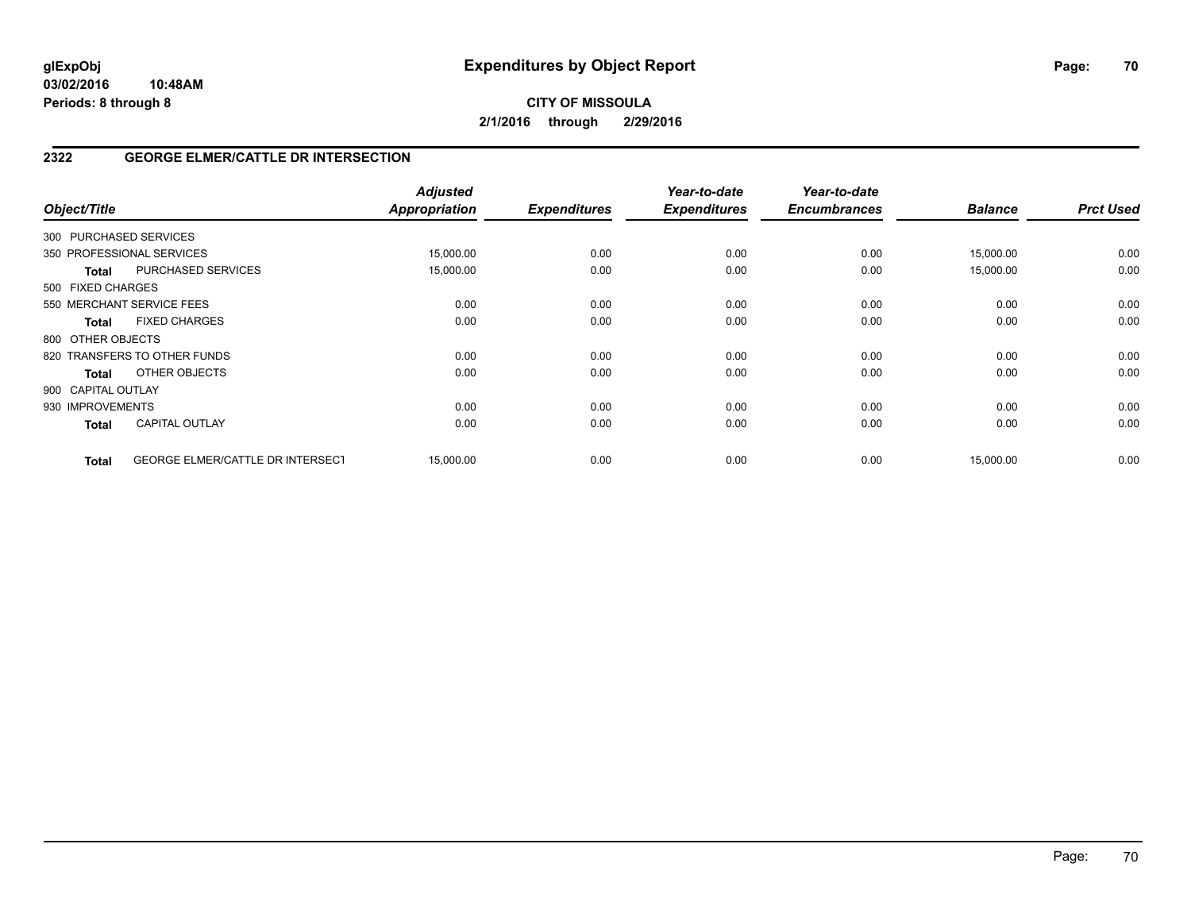# **2322 GEORGE ELMER/CATTLE DR INTERSECTION**

| Object/Title           |                                         | <b>Adjusted</b><br><b>Appropriation</b> | <b>Expenditures</b> | Year-to-date<br><b>Expenditures</b> | Year-to-date<br><b>Encumbrances</b> | <b>Balance</b> | <b>Prct Used</b> |
|------------------------|-----------------------------------------|-----------------------------------------|---------------------|-------------------------------------|-------------------------------------|----------------|------------------|
| 300 PURCHASED SERVICES |                                         |                                         |                     |                                     |                                     |                |                  |
|                        | 350 PROFESSIONAL SERVICES               | 15,000.00                               | 0.00                | 0.00                                | 0.00                                | 15,000.00      | 0.00             |
| Total                  | <b>PURCHASED SERVICES</b>               | 15,000.00                               | 0.00                | 0.00                                | 0.00                                | 15,000.00      | 0.00             |
| 500 FIXED CHARGES      |                                         |                                         |                     |                                     |                                     |                |                  |
|                        | 550 MERCHANT SERVICE FEES               | 0.00                                    | 0.00                | 0.00                                | 0.00                                | 0.00           | 0.00             |
| <b>Total</b>           | <b>FIXED CHARGES</b>                    | 0.00                                    | 0.00                | 0.00                                | 0.00                                | 0.00           | 0.00             |
| 800 OTHER OBJECTS      |                                         |                                         |                     |                                     |                                     |                |                  |
|                        | 820 TRANSFERS TO OTHER FUNDS            | 0.00                                    | 0.00                | 0.00                                | 0.00                                | 0.00           | 0.00             |
| <b>Total</b>           | OTHER OBJECTS                           | 0.00                                    | 0.00                | 0.00                                | 0.00                                | 0.00           | 0.00             |
| 900 CAPITAL OUTLAY     |                                         |                                         |                     |                                     |                                     |                |                  |
| 930 IMPROVEMENTS       |                                         | 0.00                                    | 0.00                | 0.00                                | 0.00                                | 0.00           | 0.00             |
| <b>Total</b>           | <b>CAPITAL OUTLAY</b>                   | 0.00                                    | 0.00                | 0.00                                | 0.00                                | 0.00           | 0.00             |
| <b>Total</b>           | <b>GEORGE ELMER/CATTLE DR INTERSECT</b> | 15,000.00                               | 0.00                | 0.00                                | 0.00                                | 15,000.00      | 0.00             |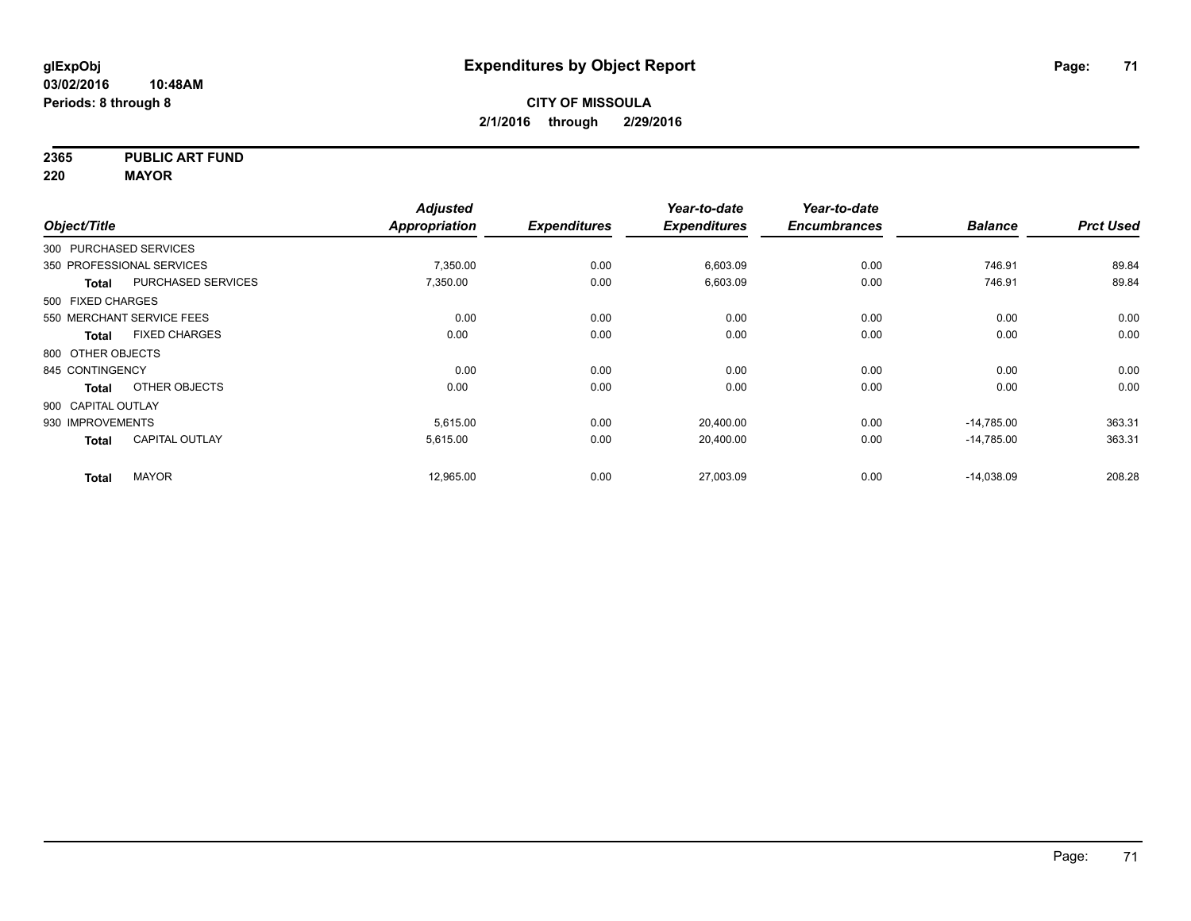**2365 PUBLIC ART FUND**

**220 MAYOR**

|                        |                           | <b>Adjusted</b>      |                     | Year-to-date        | Year-to-date        |                |                  |
|------------------------|---------------------------|----------------------|---------------------|---------------------|---------------------|----------------|------------------|
| Object/Title           |                           | <b>Appropriation</b> | <b>Expenditures</b> | <b>Expenditures</b> | <b>Encumbrances</b> | <b>Balance</b> | <b>Prct Used</b> |
| 300 PURCHASED SERVICES |                           |                      |                     |                     |                     |                |                  |
|                        | 350 PROFESSIONAL SERVICES | 7,350.00             | 0.00                | 6,603.09            | 0.00                | 746.91         | 89.84            |
| <b>Total</b>           | PURCHASED SERVICES        | 7,350.00             | 0.00                | 6,603.09            | 0.00                | 746.91         | 89.84            |
| 500 FIXED CHARGES      |                           |                      |                     |                     |                     |                |                  |
|                        | 550 MERCHANT SERVICE FEES | 0.00                 | 0.00                | 0.00                | 0.00                | 0.00           | 0.00             |
| <b>Total</b>           | <b>FIXED CHARGES</b>      | 0.00                 | 0.00                | 0.00                | 0.00                | 0.00           | 0.00             |
| 800 OTHER OBJECTS      |                           |                      |                     |                     |                     |                |                  |
| 845 CONTINGENCY        |                           | 0.00                 | 0.00                | 0.00                | 0.00                | 0.00           | 0.00             |
| <b>Total</b>           | OTHER OBJECTS             | 0.00                 | 0.00                | 0.00                | 0.00                | 0.00           | 0.00             |
| 900 CAPITAL OUTLAY     |                           |                      |                     |                     |                     |                |                  |
| 930 IMPROVEMENTS       |                           | 5,615.00             | 0.00                | 20,400.00           | 0.00                | $-14,785.00$   | 363.31           |
| <b>Total</b>           | <b>CAPITAL OUTLAY</b>     | 5,615.00             | 0.00                | 20,400.00           | 0.00                | $-14,785.00$   | 363.31           |
| <b>Total</b>           | <b>MAYOR</b>              | 12,965.00            | 0.00                | 27,003.09           | 0.00                | $-14,038.09$   | 208.28           |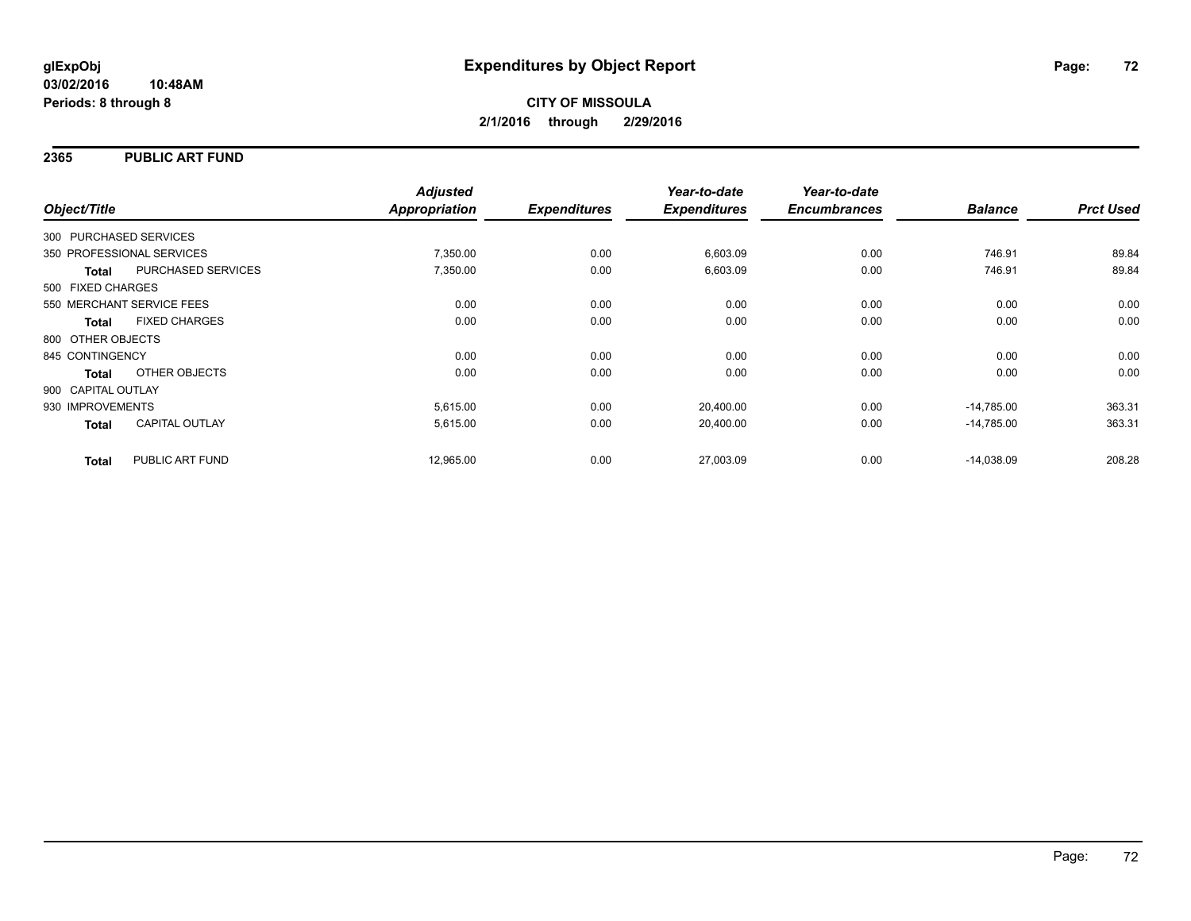#### **2365 PUBLIC ART FUND**

| Object/Title              |                      | <b>Adjusted</b><br>Appropriation | <b>Expenditures</b> | Year-to-date<br><b>Expenditures</b> | Year-to-date<br><b>Encumbrances</b> | <b>Balance</b> | <b>Prct Used</b> |
|---------------------------|----------------------|----------------------------------|---------------------|-------------------------------------|-------------------------------------|----------------|------------------|
| 300 PURCHASED SERVICES    |                      |                                  |                     |                                     |                                     |                |                  |
|                           |                      |                                  |                     |                                     |                                     |                |                  |
| 350 PROFESSIONAL SERVICES |                      | 7,350.00                         | 0.00                | 6,603.09                            | 0.00                                | 746.91         | 89.84            |
| <b>Total</b>              | PURCHASED SERVICES   | 7,350.00                         | 0.00                | 6,603.09                            | 0.00                                | 746.91         | 89.84            |
| 500 FIXED CHARGES         |                      |                                  |                     |                                     |                                     |                |                  |
| 550 MERCHANT SERVICE FEES |                      | 0.00                             | 0.00                | 0.00                                | 0.00                                | 0.00           | 0.00             |
| <b>Total</b>              | <b>FIXED CHARGES</b> | 0.00                             | 0.00                | 0.00                                | 0.00                                | 0.00           | 0.00             |
| 800 OTHER OBJECTS         |                      |                                  |                     |                                     |                                     |                |                  |
| 845 CONTINGENCY           |                      | 0.00                             | 0.00                | 0.00                                | 0.00                                | 0.00           | 0.00             |
| Total                     | OTHER OBJECTS        | 0.00                             | 0.00                | 0.00                                | 0.00                                | 0.00           | 0.00             |
| 900 CAPITAL OUTLAY        |                      |                                  |                     |                                     |                                     |                |                  |
| 930 IMPROVEMENTS          |                      | 5,615.00                         | 0.00                | 20,400.00                           | 0.00                                | $-14,785.00$   | 363.31           |
| <b>Total</b>              | CAPITAL OUTLAY       | 5,615.00                         | 0.00                | 20,400.00                           | 0.00                                | $-14,785.00$   | 363.31           |
| <b>Total</b>              | PUBLIC ART FUND      | 12,965.00                        | 0.00                | 27,003.09                           | 0.00                                | $-14,038.09$   | 208.28           |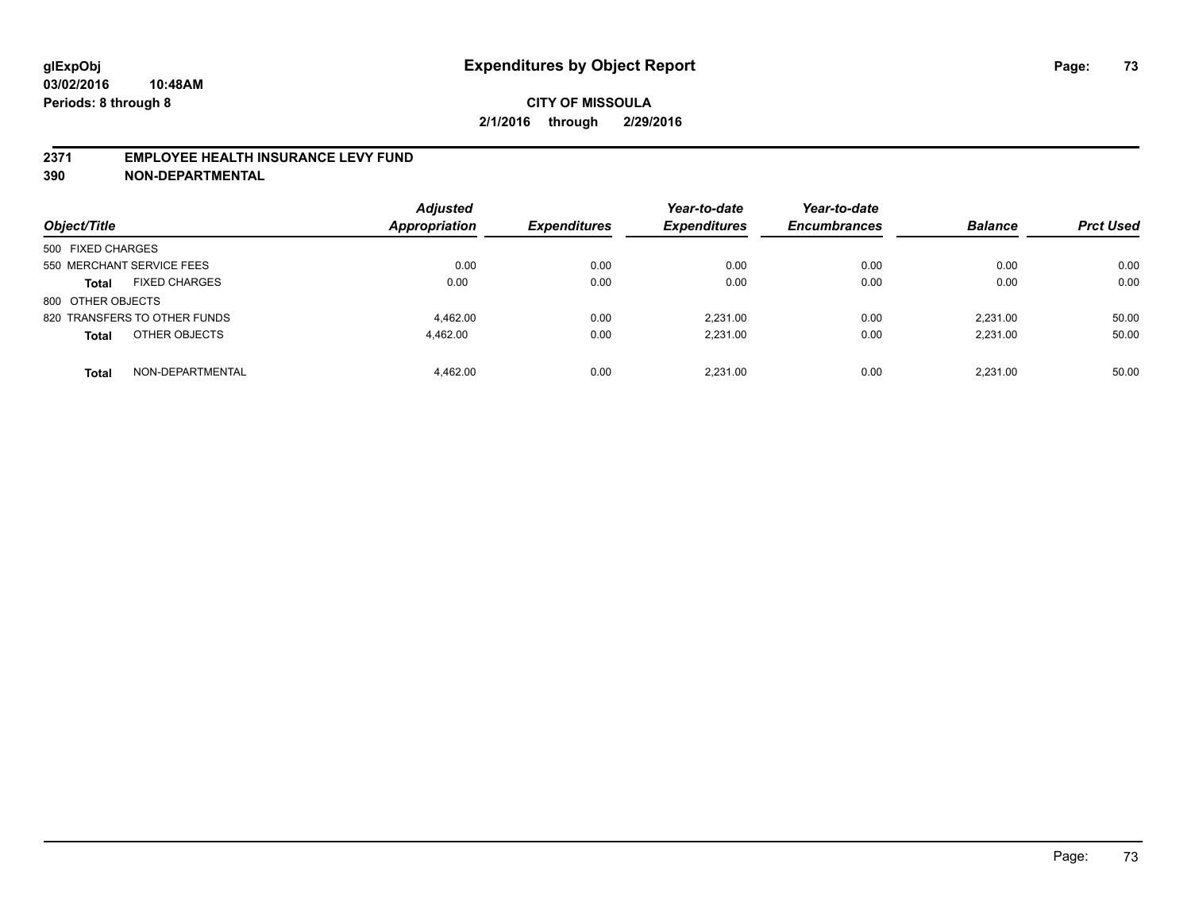### **2371 EMPLOYEE HEALTH INSURANCE LEVY FUND**

**390 NON-DEPARTMENTAL**

| Object/Title                         | <b>Adjusted</b><br><b>Appropriation</b> | <b>Expenditures</b> | Year-to-date<br><b>Expenditures</b> | Year-to-date<br><b>Encumbrances</b> | <b>Balance</b> | <b>Prct Used</b> |
|--------------------------------------|-----------------------------------------|---------------------|-------------------------------------|-------------------------------------|----------------|------------------|
| 500 FIXED CHARGES                    |                                         |                     |                                     |                                     |                |                  |
| 550 MERCHANT SERVICE FEES            | 0.00                                    | 0.00                | 0.00                                | 0.00                                | 0.00           | 0.00             |
| <b>FIXED CHARGES</b><br><b>Total</b> | 0.00                                    | 0.00                | 0.00                                | 0.00                                | 0.00           | 0.00             |
| 800 OTHER OBJECTS                    |                                         |                     |                                     |                                     |                |                  |
| 820 TRANSFERS TO OTHER FUNDS         | 4.462.00                                | 0.00                | 2.231.00                            | 0.00                                | 2.231.00       | 50.00            |
| OTHER OBJECTS<br><b>Total</b>        | 4.462.00                                | 0.00                | 2.231.00                            | 0.00                                | 2.231.00       | 50.00            |
| NON-DEPARTMENTAL<br><b>Total</b>     | 4.462.00                                | 0.00                | 2.231.00                            | 0.00                                | 2.231.00       | 50.00            |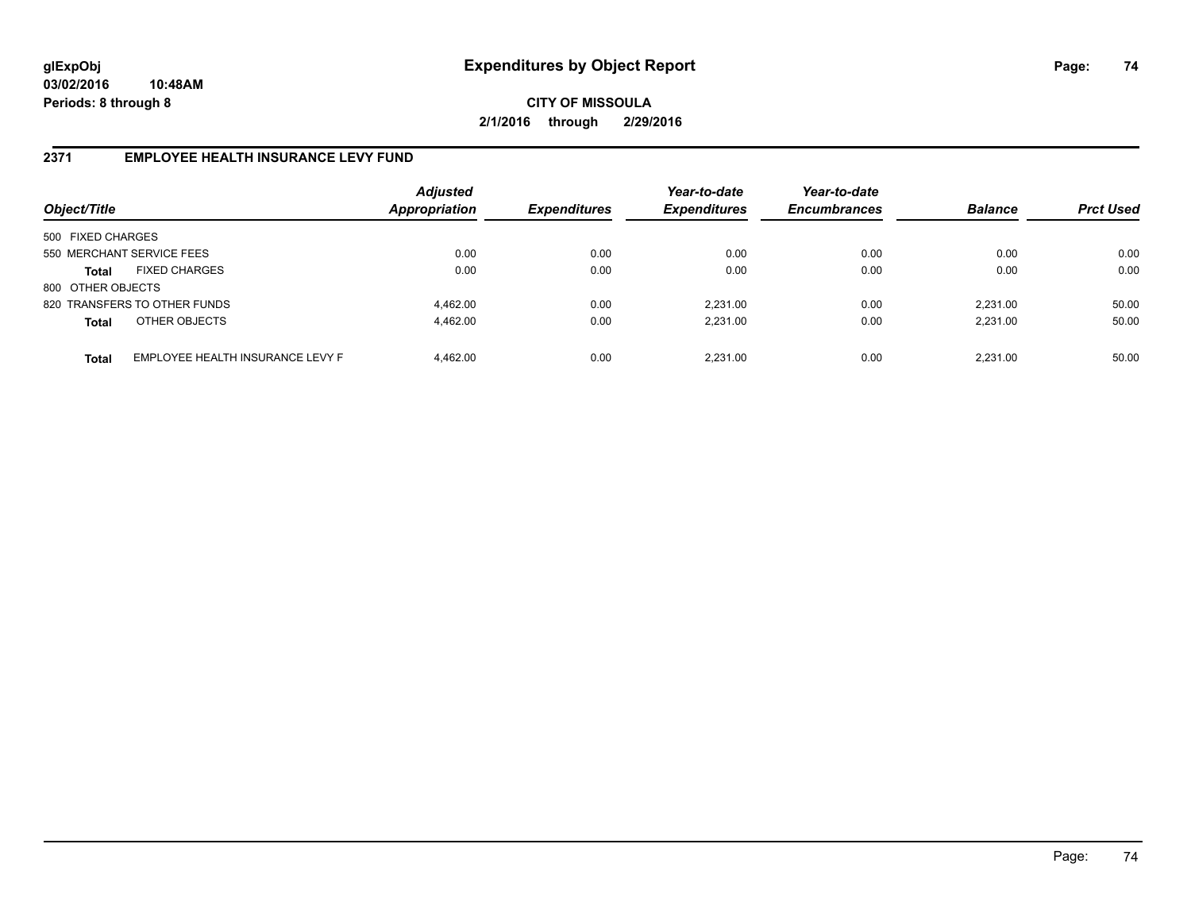**CITY OF MISSOULA 2/1/2016 through 2/29/2016**

### **2371 EMPLOYEE HEALTH INSURANCE LEVY FUND**

| Object/Title              |                                  | <b>Adjusted</b><br>Appropriation | <b>Expenditures</b> | Year-to-date<br><b>Expenditures</b> | Year-to-date<br><b>Encumbrances</b> | <b>Balance</b> | <b>Prct Used</b> |
|---------------------------|----------------------------------|----------------------------------|---------------------|-------------------------------------|-------------------------------------|----------------|------------------|
| 500 FIXED CHARGES         |                                  |                                  |                     |                                     |                                     |                |                  |
| 550 MERCHANT SERVICE FEES |                                  | 0.00                             | 0.00                | 0.00                                | 0.00                                | 0.00           | 0.00             |
| <b>Total</b>              | <b>FIXED CHARGES</b>             | 0.00                             | 0.00                | 0.00                                | 0.00                                | 0.00           | 0.00             |
| 800 OTHER OBJECTS         |                                  |                                  |                     |                                     |                                     |                |                  |
|                           | 820 TRANSFERS TO OTHER FUNDS     | 4.462.00                         | 0.00                | 2.231.00                            | 0.00                                | 2.231.00       | 50.00            |
| <b>Total</b>              | OTHER OBJECTS                    | 4.462.00                         | 0.00                | 2.231.00                            | 0.00                                | 2.231.00       | 50.00            |
| <b>Total</b>              | EMPLOYEE HEALTH INSURANCE LEVY F | 4.462.00                         | 0.00                | 2.231.00                            | 0.00                                | 2.231.00       | 50.00            |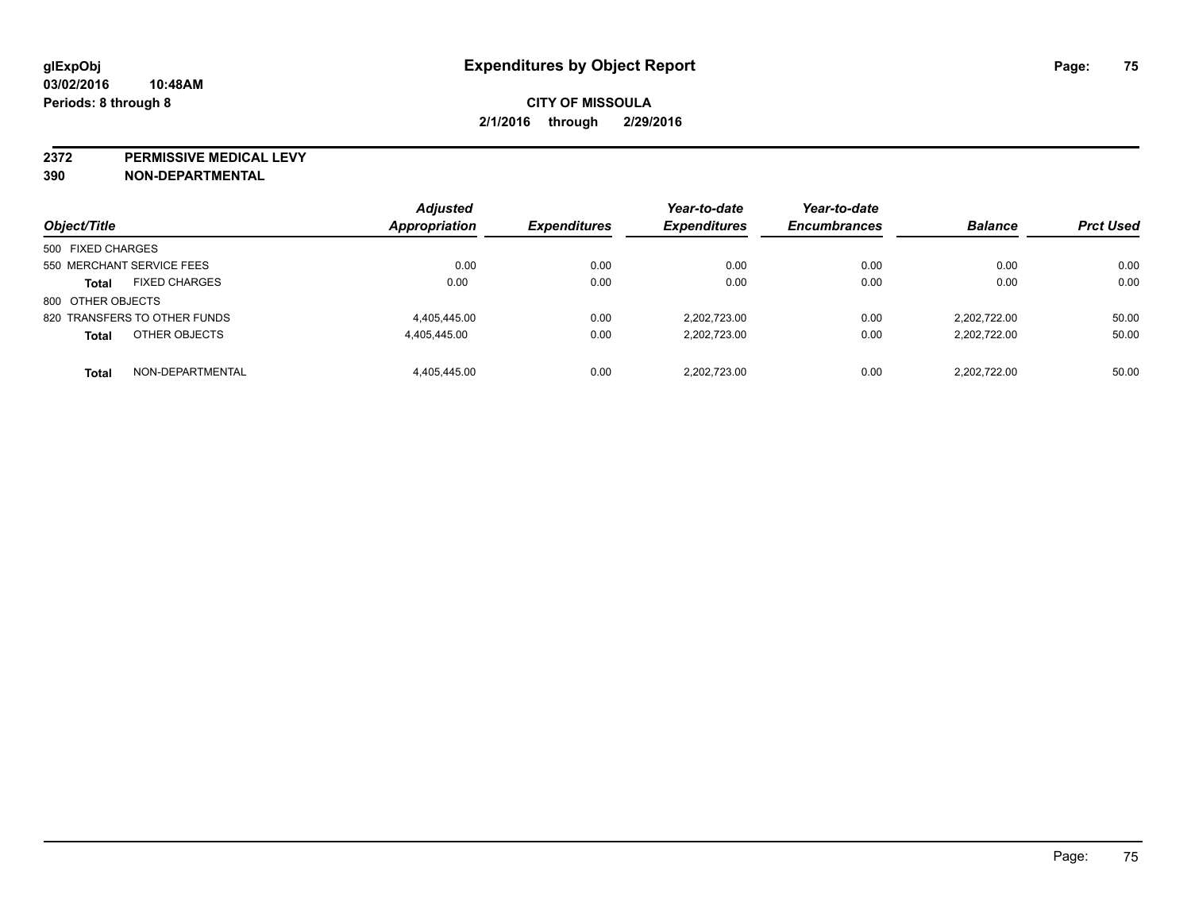**2372 PERMISSIVE MEDICAL LEVY**

**390 NON-DEPARTMENTAL**

| Object/Title                         | <b>Adjusted</b><br>Appropriation | <b>Expenditures</b> | Year-to-date<br><b>Expenditures</b> | Year-to-date<br><b>Encumbrances</b> | <b>Balance</b> | <b>Prct Used</b> |
|--------------------------------------|----------------------------------|---------------------|-------------------------------------|-------------------------------------|----------------|------------------|
| 500 FIXED CHARGES                    |                                  |                     |                                     |                                     |                |                  |
| 550 MERCHANT SERVICE FEES            | 0.00                             | 0.00                | 0.00                                | 0.00                                | 0.00           | 0.00             |
| <b>FIXED CHARGES</b><br><b>Total</b> | 0.00                             | 0.00                | 0.00                                | 0.00                                | 0.00           | 0.00             |
| 800 OTHER OBJECTS                    |                                  |                     |                                     |                                     |                |                  |
| 820 TRANSFERS TO OTHER FUNDS         | 4.405.445.00                     | 0.00                | 2.202.723.00                        | 0.00                                | 2.202.722.00   | 50.00            |
| OTHER OBJECTS<br><b>Total</b>        | 4,405,445.00                     | 0.00                | 2.202.723.00                        | 0.00                                | 2,202,722.00   | 50.00            |
| NON-DEPARTMENTAL<br><b>Total</b>     | 4.405.445.00                     | 0.00                | 2.202.723.00                        | 0.00                                | 2.202.722.00   | 50.00            |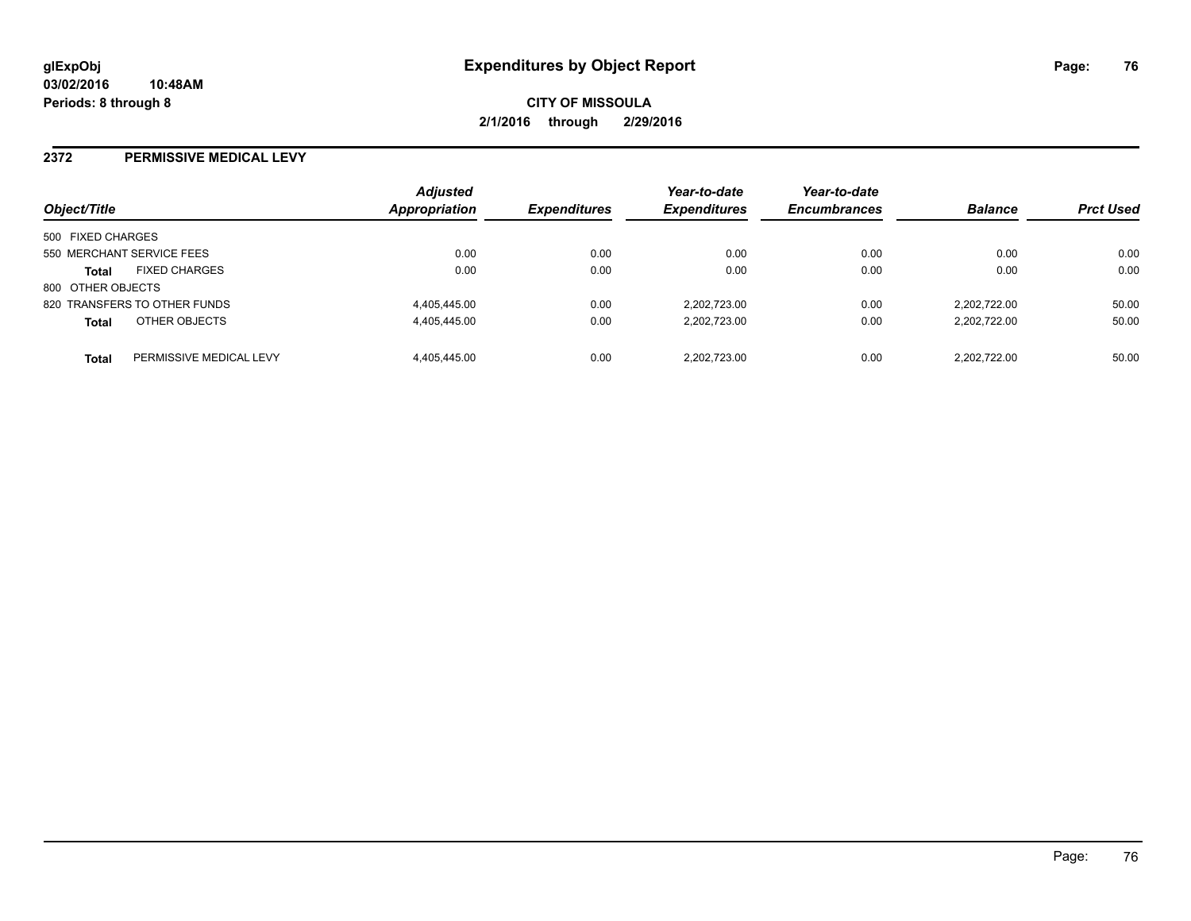### **2372 PERMISSIVE MEDICAL LEVY**

| Object/Title                            | <b>Adjusted</b><br>Appropriation | <b>Expenditures</b> | Year-to-date<br><b>Expenditures</b> | Year-to-date<br><b>Encumbrances</b> | <b>Balance</b> | <b>Prct Used</b> |
|-----------------------------------------|----------------------------------|---------------------|-------------------------------------|-------------------------------------|----------------|------------------|
| 500 FIXED CHARGES                       |                                  |                     |                                     |                                     |                |                  |
| 550 MERCHANT SERVICE FEES               | 0.00                             | 0.00                | 0.00                                | 0.00                                | 0.00           | 0.00             |
| <b>FIXED CHARGES</b><br><b>Total</b>    | 0.00                             | 0.00                | 0.00                                | 0.00                                | 0.00           | 0.00             |
| 800 OTHER OBJECTS                       |                                  |                     |                                     |                                     |                |                  |
| 820 TRANSFERS TO OTHER FUNDS            | 4.405.445.00                     | 0.00                | 2.202.723.00                        | 0.00                                | 2.202.722.00   | 50.00            |
| OTHER OBJECTS<br><b>Total</b>           | 4,405,445.00                     | 0.00                | 2,202,723.00                        | 0.00                                | 2.202.722.00   | 50.00            |
| PERMISSIVE MEDICAL LEVY<br><b>Total</b> | 4.405.445.00                     | 0.00                | 2.202.723.00                        | 0.00                                | 2.202.722.00   | 50.00            |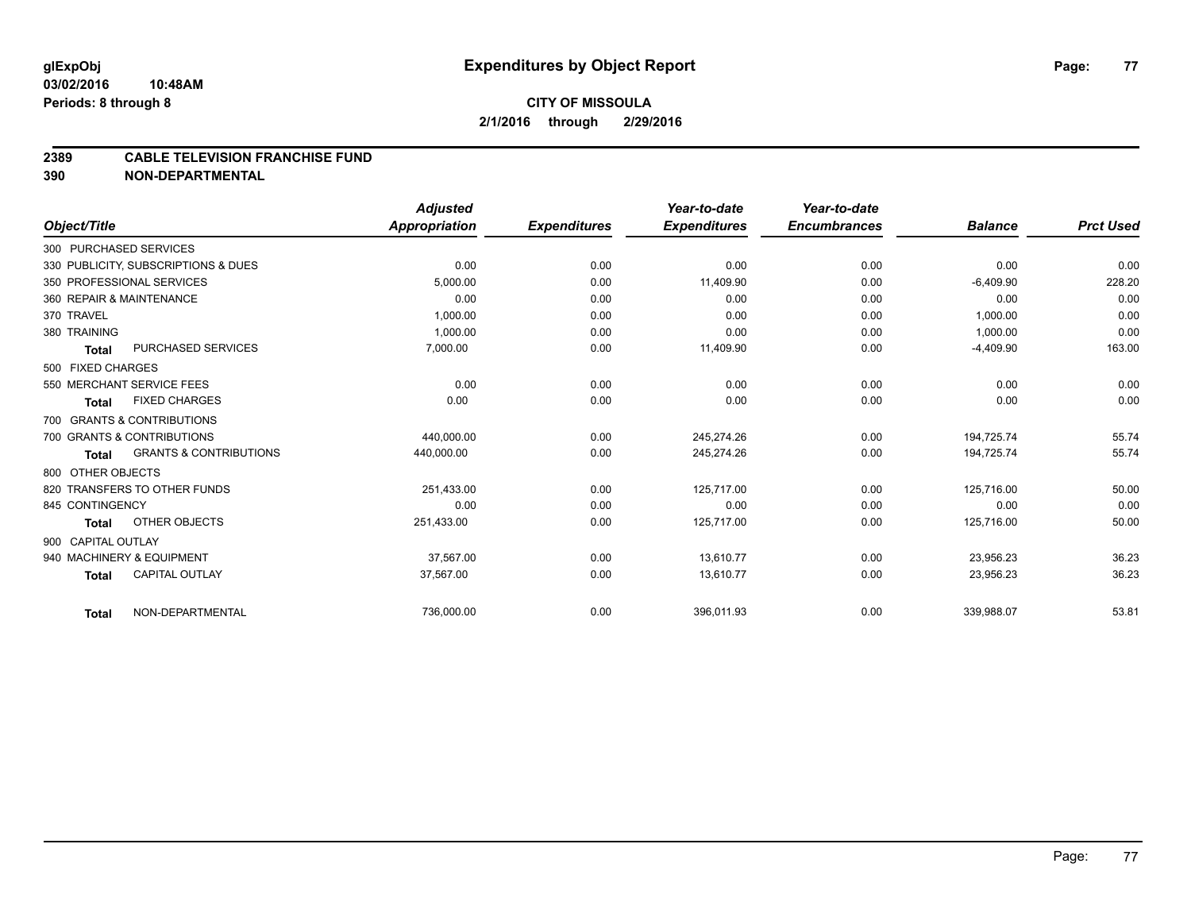## **CITY OF MISSOULA 2/1/2016 through 2/29/2016**

#### **2389 CABLE TELEVISION FRANCHISE FUND**

**390 NON-DEPARTMENTAL**

|                    |                                     | <b>Adjusted</b>      |                     | Year-to-date        | Year-to-date        |                |                  |
|--------------------|-------------------------------------|----------------------|---------------------|---------------------|---------------------|----------------|------------------|
| Object/Title       |                                     | <b>Appropriation</b> | <b>Expenditures</b> | <b>Expenditures</b> | <b>Encumbrances</b> | <b>Balance</b> | <b>Prct Used</b> |
|                    | 300 PURCHASED SERVICES              |                      |                     |                     |                     |                |                  |
|                    | 330 PUBLICITY, SUBSCRIPTIONS & DUES | 0.00                 | 0.00                | 0.00                | 0.00                | 0.00           | 0.00             |
|                    | 350 PROFESSIONAL SERVICES           | 5,000.00             | 0.00                | 11,409.90           | 0.00                | $-6,409.90$    | 228.20           |
|                    | 360 REPAIR & MAINTENANCE            | 0.00                 | 0.00                | 0.00                | 0.00                | 0.00           | 0.00             |
| 370 TRAVEL         |                                     | 1,000.00             | 0.00                | 0.00                | 0.00                | 1,000.00       | 0.00             |
| 380 TRAINING       |                                     | 1.000.00             | 0.00                | 0.00                | 0.00                | 1,000.00       | 0.00             |
| <b>Total</b>       | PURCHASED SERVICES                  | 7,000.00             | 0.00                | 11,409.90           | 0.00                | $-4,409.90$    | 163.00           |
| 500 FIXED CHARGES  |                                     |                      |                     |                     |                     |                |                  |
|                    | 550 MERCHANT SERVICE FEES           | 0.00                 | 0.00                | 0.00                | 0.00                | 0.00           | 0.00             |
| Total              | <b>FIXED CHARGES</b>                | 0.00                 | 0.00                | 0.00                | 0.00                | 0.00           | 0.00             |
|                    | 700 GRANTS & CONTRIBUTIONS          |                      |                     |                     |                     |                |                  |
|                    | 700 GRANTS & CONTRIBUTIONS          | 440.000.00           | 0.00                | 245.274.26          | 0.00                | 194.725.74     | 55.74            |
| <b>Total</b>       | <b>GRANTS &amp; CONTRIBUTIONS</b>   | 440,000.00           | 0.00                | 245,274.26          | 0.00                | 194,725.74     | 55.74            |
| 800 OTHER OBJECTS  |                                     |                      |                     |                     |                     |                |                  |
|                    | 820 TRANSFERS TO OTHER FUNDS        | 251,433.00           | 0.00                | 125,717.00          | 0.00                | 125,716.00     | 50.00            |
| 845 CONTINGENCY    |                                     | 0.00                 | 0.00                | 0.00                | 0.00                | 0.00           | 0.00             |
| Total              | <b>OTHER OBJECTS</b>                | 251,433.00           | 0.00                | 125,717.00          | 0.00                | 125,716.00     | 50.00            |
| 900 CAPITAL OUTLAY |                                     |                      |                     |                     |                     |                |                  |
|                    | 940 MACHINERY & EQUIPMENT           | 37.567.00            | 0.00                | 13.610.77           | 0.00                | 23.956.23      | 36.23            |
| <b>Total</b>       | <b>CAPITAL OUTLAY</b>               | 37,567.00            | 0.00                | 13,610.77           | 0.00                | 23,956.23      | 36.23            |
| Total              | NON-DEPARTMENTAL                    | 736,000.00           | 0.00                | 396,011.93          | 0.00                | 339,988.07     | 53.81            |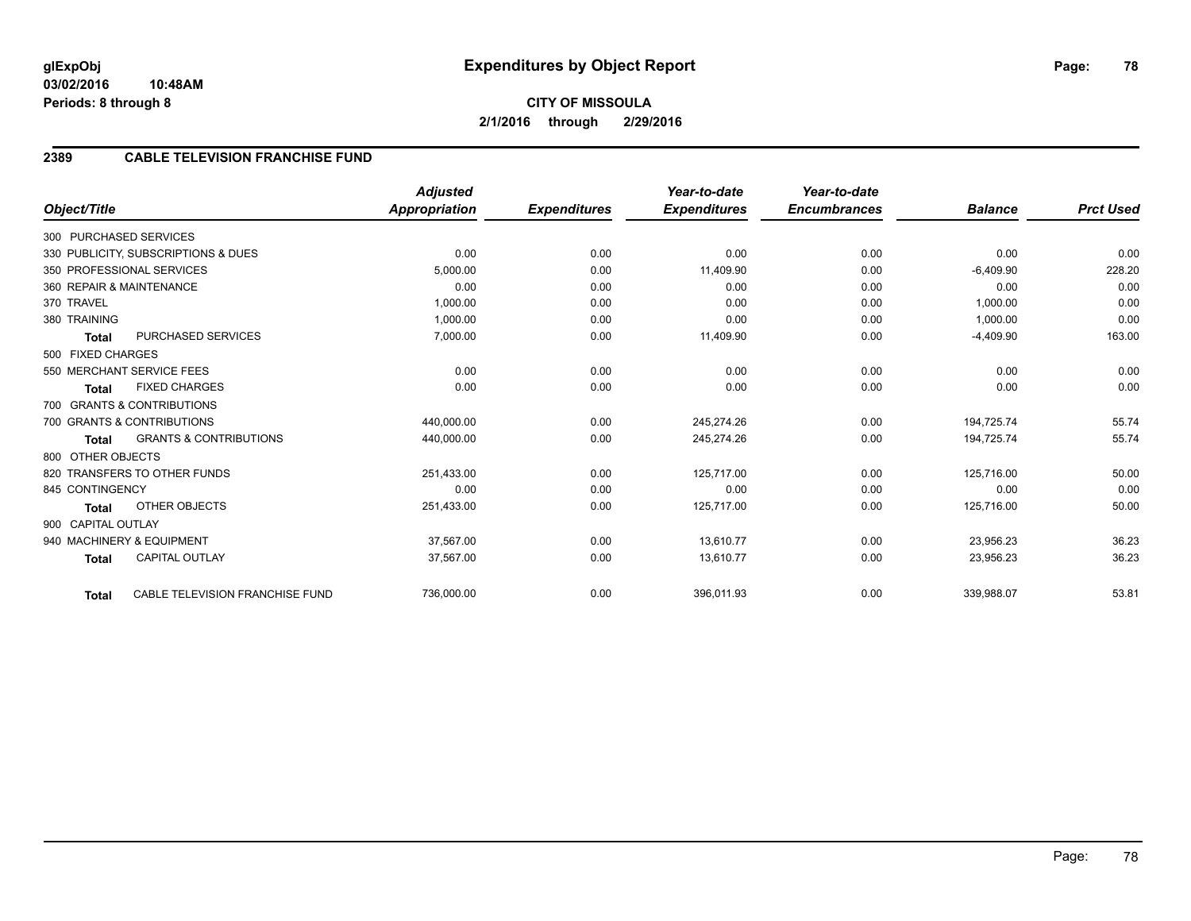### **2389 CABLE TELEVISION FRANCHISE FUND**

|                    |                                     | <b>Adjusted</b>      |                     | Year-to-date        | Year-to-date        |                |                  |
|--------------------|-------------------------------------|----------------------|---------------------|---------------------|---------------------|----------------|------------------|
| Object/Title       |                                     | <b>Appropriation</b> | <b>Expenditures</b> | <b>Expenditures</b> | <b>Encumbrances</b> | <b>Balance</b> | <b>Prct Used</b> |
|                    | 300 PURCHASED SERVICES              |                      |                     |                     |                     |                |                  |
|                    | 330 PUBLICITY, SUBSCRIPTIONS & DUES | 0.00                 | 0.00                | 0.00                | 0.00                | 0.00           | 0.00             |
|                    | 350 PROFESSIONAL SERVICES           | 5,000.00             | 0.00                | 11,409.90           | 0.00                | $-6,409.90$    | 228.20           |
|                    | 360 REPAIR & MAINTENANCE            | 0.00                 | 0.00                | 0.00                | 0.00                | 0.00           | 0.00             |
| 370 TRAVEL         |                                     | 1,000.00             | 0.00                | 0.00                | 0.00                | 1,000.00       | 0.00             |
| 380 TRAINING       |                                     | 1,000.00             | 0.00                | 0.00                | 0.00                | 1,000.00       | 0.00             |
| <b>Total</b>       | PURCHASED SERVICES                  | 7,000.00             | 0.00                | 11,409.90           | 0.00                | $-4,409.90$    | 163.00           |
| 500 FIXED CHARGES  |                                     |                      |                     |                     |                     |                |                  |
|                    | 550 MERCHANT SERVICE FEES           | 0.00                 | 0.00                | 0.00                | 0.00                | 0.00           | 0.00             |
| <b>Total</b>       | <b>FIXED CHARGES</b>                | 0.00                 | 0.00                | 0.00                | 0.00                | 0.00           | 0.00             |
|                    | 700 GRANTS & CONTRIBUTIONS          |                      |                     |                     |                     |                |                  |
|                    | 700 GRANTS & CONTRIBUTIONS          | 440,000.00           | 0.00                | 245,274.26          | 0.00                | 194,725.74     | 55.74            |
| <b>Total</b>       | <b>GRANTS &amp; CONTRIBUTIONS</b>   | 440,000.00           | 0.00                | 245,274.26          | 0.00                | 194,725.74     | 55.74            |
| 800 OTHER OBJECTS  |                                     |                      |                     |                     |                     |                |                  |
|                    | 820 TRANSFERS TO OTHER FUNDS        | 251,433.00           | 0.00                | 125,717.00          | 0.00                | 125,716.00     | 50.00            |
| 845 CONTINGENCY    |                                     | 0.00                 | 0.00                | 0.00                | 0.00                | 0.00           | 0.00             |
| <b>Total</b>       | <b>OTHER OBJECTS</b>                | 251,433.00           | 0.00                | 125,717.00          | 0.00                | 125,716.00     | 50.00            |
| 900 CAPITAL OUTLAY |                                     |                      |                     |                     |                     |                |                  |
|                    | 940 MACHINERY & EQUIPMENT           | 37.567.00            | 0.00                | 13.610.77           | 0.00                | 23,956.23      | 36.23            |
| <b>Total</b>       | <b>CAPITAL OUTLAY</b>               | 37,567.00            | 0.00                | 13,610.77           | 0.00                | 23,956.23      | 36.23            |
| <b>Total</b>       | CABLE TELEVISION FRANCHISE FUND     | 736,000.00           | 0.00                | 396,011.93          | 0.00                | 339,988.07     | 53.81            |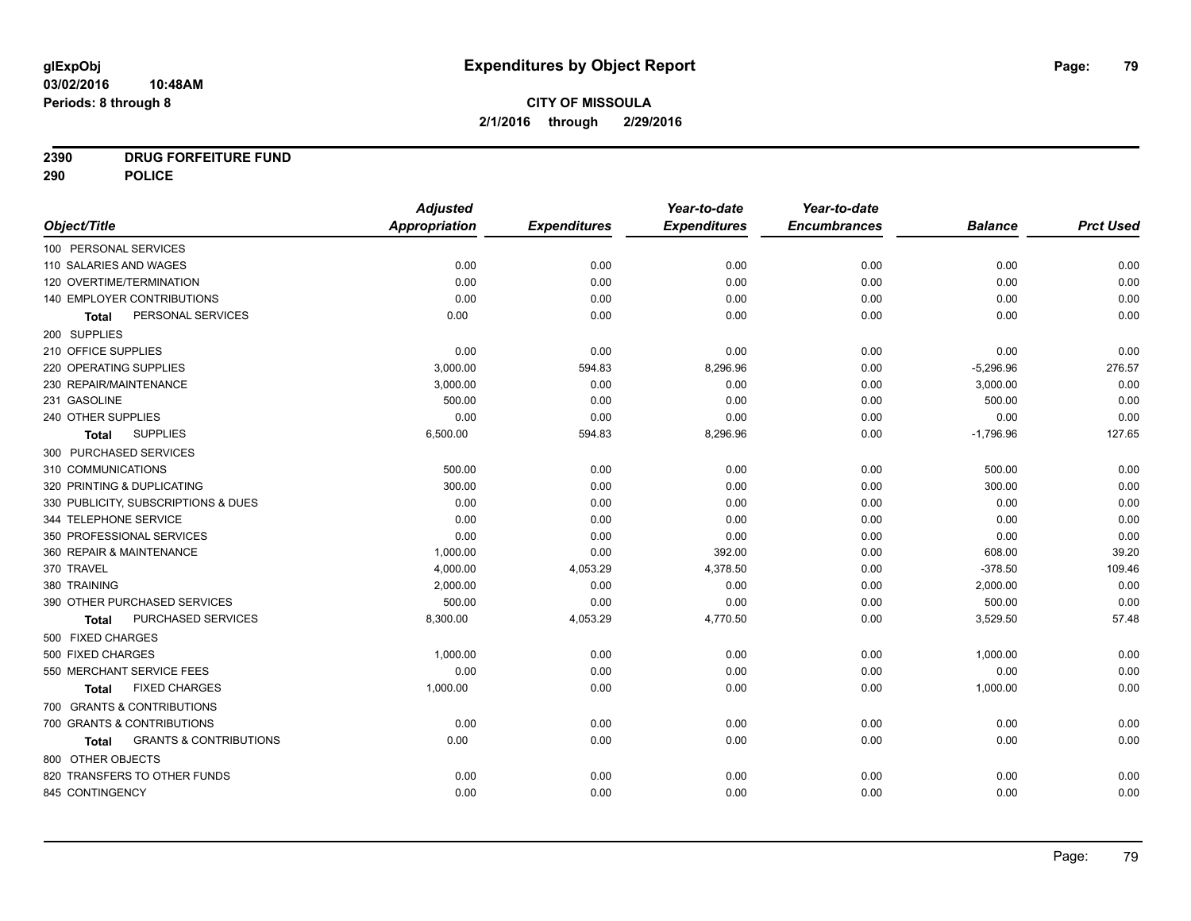## **2390 DRUG FORFEITURE FUND**

**290 POLICE**

|                                            | <b>Adjusted</b> |                     | Year-to-date        | Year-to-date        |                |                  |
|--------------------------------------------|-----------------|---------------------|---------------------|---------------------|----------------|------------------|
| Object/Title                               | Appropriation   | <b>Expenditures</b> | <b>Expenditures</b> | <b>Encumbrances</b> | <b>Balance</b> | <b>Prct Used</b> |
| 100 PERSONAL SERVICES                      |                 |                     |                     |                     |                |                  |
| 110 SALARIES AND WAGES                     | 0.00            | 0.00                | 0.00                | 0.00                | 0.00           | 0.00             |
| 120 OVERTIME/TERMINATION                   | 0.00            | 0.00                | 0.00                | 0.00                | 0.00           | 0.00             |
| 140 EMPLOYER CONTRIBUTIONS                 | 0.00            | 0.00                | 0.00                | 0.00                | 0.00           | 0.00             |
| PERSONAL SERVICES<br>Total                 | 0.00            | 0.00                | 0.00                | 0.00                | 0.00           | 0.00             |
| 200 SUPPLIES                               |                 |                     |                     |                     |                |                  |
| 210 OFFICE SUPPLIES                        | 0.00            | 0.00                | 0.00                | 0.00                | 0.00           | 0.00             |
| 220 OPERATING SUPPLIES                     | 3,000.00        | 594.83              | 8,296.96            | 0.00                | $-5,296.96$    | 276.57           |
| 230 REPAIR/MAINTENANCE                     | 3,000.00        | 0.00                | 0.00                | 0.00                | 3,000.00       | 0.00             |
| 231 GASOLINE                               | 500.00          | 0.00                | 0.00                | 0.00                | 500.00         | 0.00             |
| 240 OTHER SUPPLIES                         | 0.00            | 0.00                | 0.00                | 0.00                | 0.00           | 0.00             |
| <b>SUPPLIES</b><br>Total                   | 6,500.00        | 594.83              | 8,296.96            | 0.00                | $-1,796.96$    | 127.65           |
| 300 PURCHASED SERVICES                     |                 |                     |                     |                     |                |                  |
| 310 COMMUNICATIONS                         | 500.00          | 0.00                | 0.00                | 0.00                | 500.00         | 0.00             |
| 320 PRINTING & DUPLICATING                 | 300.00          | 0.00                | 0.00                | 0.00                | 300.00         | 0.00             |
| 330 PUBLICITY, SUBSCRIPTIONS & DUES        | 0.00            | 0.00                | 0.00                | 0.00                | 0.00           | 0.00             |
| 344 TELEPHONE SERVICE                      | 0.00            | 0.00                | 0.00                | 0.00                | 0.00           | 0.00             |
| 350 PROFESSIONAL SERVICES                  | 0.00            | 0.00                | 0.00                | 0.00                | 0.00           | 0.00             |
| 360 REPAIR & MAINTENANCE                   | 1,000.00        | 0.00                | 392.00              | 0.00                | 608.00         | 39.20            |
| 370 TRAVEL                                 | 4,000.00        | 4,053.29            | 4,378.50            | 0.00                | $-378.50$      | 109.46           |
| 380 TRAINING                               | 2.000.00        | 0.00                | 0.00                | 0.00                | 2,000.00       | 0.00             |
| 390 OTHER PURCHASED SERVICES               | 500.00          | 0.00                | 0.00                | 0.00                | 500.00         | 0.00             |
| PURCHASED SERVICES<br><b>Total</b>         | 8,300.00        | 4,053.29            | 4,770.50            | 0.00                | 3,529.50       | 57.48            |
| 500 FIXED CHARGES                          |                 |                     |                     |                     |                |                  |
| 500 FIXED CHARGES                          | 1,000.00        | 0.00                | 0.00                | 0.00                | 1,000.00       | 0.00             |
| 550 MERCHANT SERVICE FEES                  | 0.00            | 0.00                | 0.00                | 0.00                | 0.00           | 0.00             |
| <b>FIXED CHARGES</b><br>Total              | 1,000.00        | 0.00                | 0.00                | 0.00                | 1,000.00       | 0.00             |
| 700 GRANTS & CONTRIBUTIONS                 |                 |                     |                     |                     |                |                  |
| 700 GRANTS & CONTRIBUTIONS                 | 0.00            | 0.00                | 0.00                | 0.00                | 0.00           | 0.00             |
| <b>GRANTS &amp; CONTRIBUTIONS</b><br>Total | 0.00            | 0.00                | 0.00                | 0.00                | 0.00           | 0.00             |
| 800 OTHER OBJECTS                          |                 |                     |                     |                     |                |                  |
| 820 TRANSFERS TO OTHER FUNDS               | 0.00            | 0.00                | 0.00                | 0.00                | 0.00           | 0.00             |
| 845 CONTINGENCY                            | 0.00            | 0.00                | 0.00                | 0.00                | 0.00           | 0.00             |
|                                            |                 |                     |                     |                     |                |                  |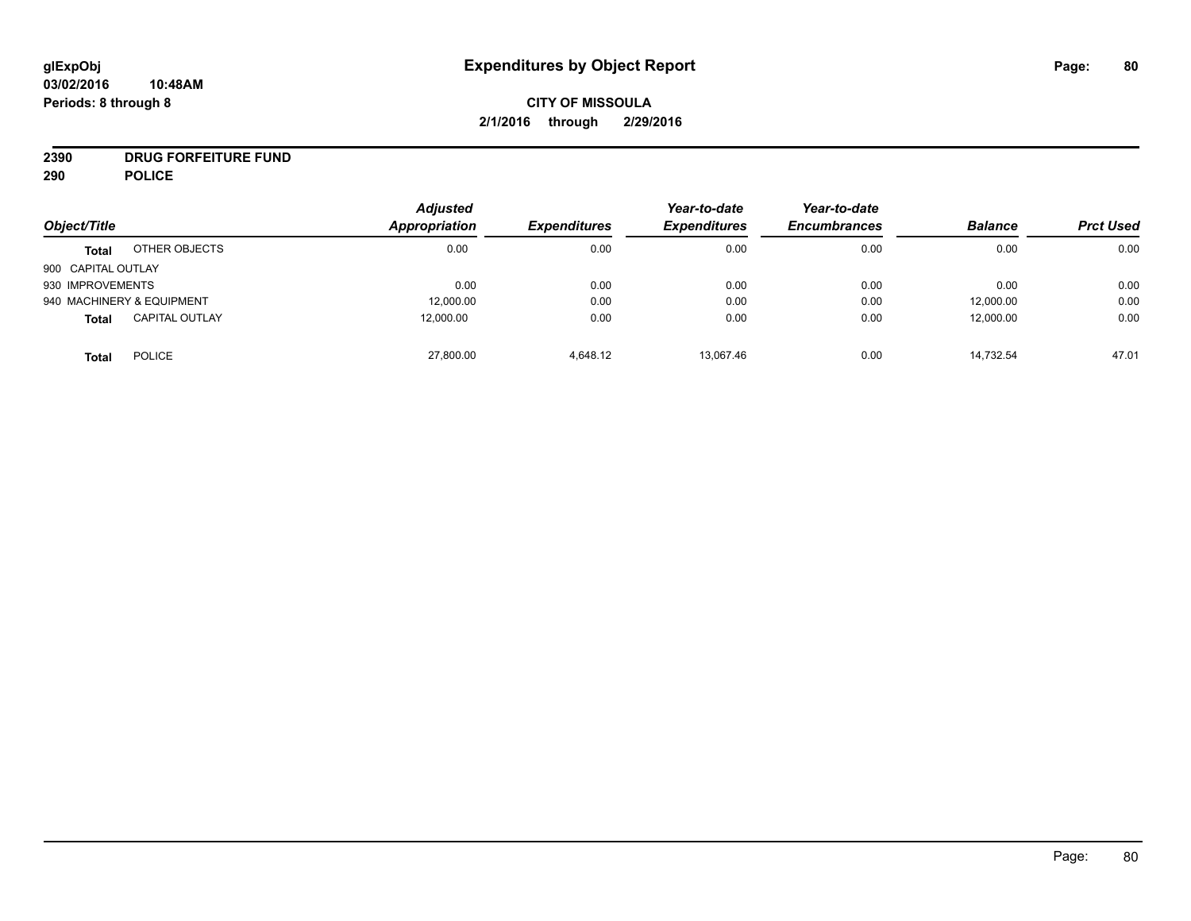# **2390 DRUG FORFEITURE FUND**

**290 POLICE**

| Object/Title       |                           | <b>Adjusted</b><br>Appropriation |                     | Year-to-date        | Year-to-date        | <b>Balance</b> | <b>Prct Used</b> |
|--------------------|---------------------------|----------------------------------|---------------------|---------------------|---------------------|----------------|------------------|
|                    |                           |                                  | <b>Expenditures</b> | <b>Expenditures</b> | <b>Encumbrances</b> |                |                  |
| <b>Total</b>       | OTHER OBJECTS             | 0.00                             | 0.00                | 0.00                | 0.00                | 0.00           | 0.00             |
| 900 CAPITAL OUTLAY |                           |                                  |                     |                     |                     |                |                  |
| 930 IMPROVEMENTS   |                           | 0.00                             | 0.00                | 0.00                | 0.00                | 0.00           | 0.00             |
|                    | 940 MACHINERY & EQUIPMENT | 12,000.00                        | 0.00                | 0.00                | 0.00                | 12,000.00      | 0.00             |
| <b>Total</b>       | <b>CAPITAL OUTLAY</b>     | 12,000.00                        | 0.00                | 0.00                | 0.00                | 12,000.00      | 0.00             |
| <b>Total</b>       | <b>POLICE</b>             | 27,800.00                        | 4,648.12            | 13,067.46           | 0.00                | 14,732.54      | 47.01            |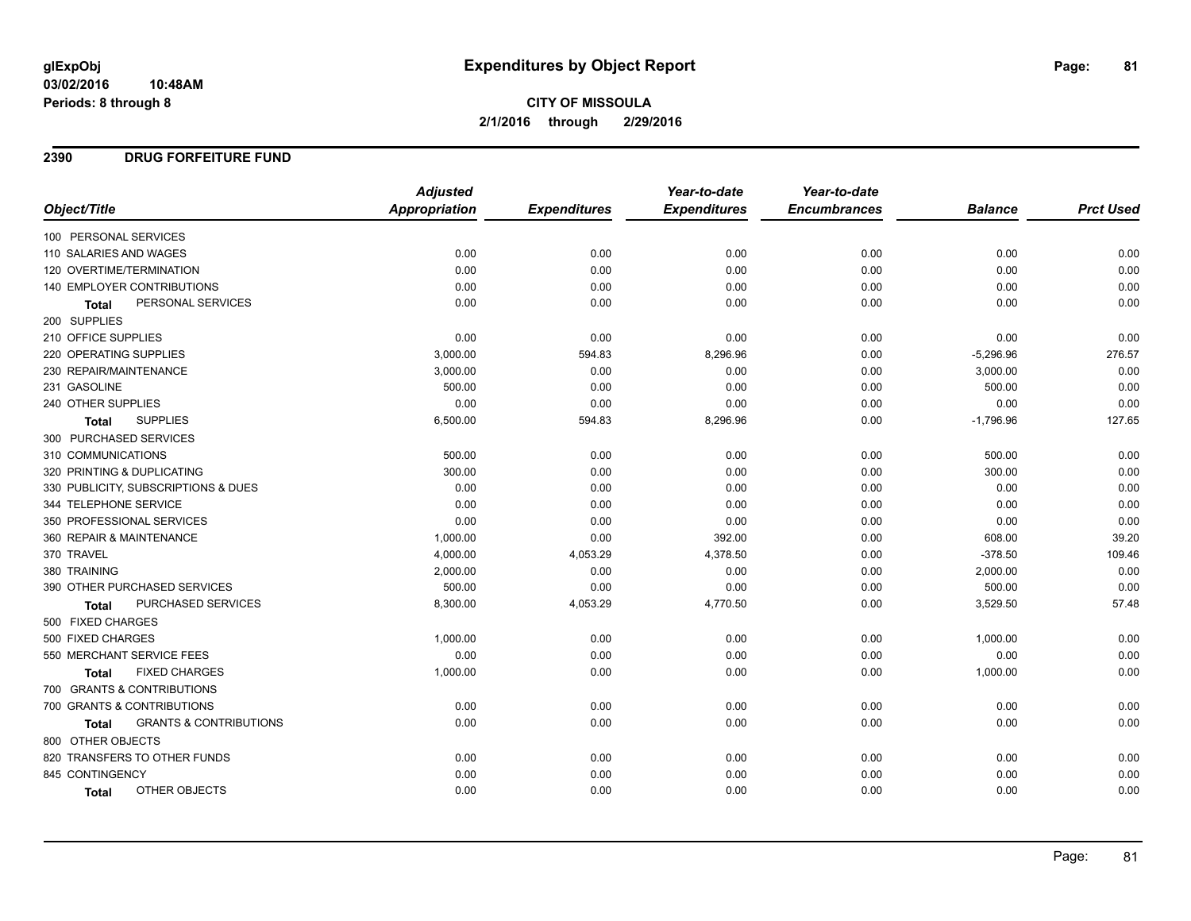### **2390 DRUG FORFEITURE FUND**

|                                            | <b>Adjusted</b> |                     | Year-to-date        | Year-to-date        |                |                  |
|--------------------------------------------|-----------------|---------------------|---------------------|---------------------|----------------|------------------|
| Object/Title                               | Appropriation   | <b>Expenditures</b> | <b>Expenditures</b> | <b>Encumbrances</b> | <b>Balance</b> | <b>Prct Used</b> |
| 100 PERSONAL SERVICES                      |                 |                     |                     |                     |                |                  |
| 110 SALARIES AND WAGES                     | 0.00            | 0.00                | 0.00                | 0.00                | 0.00           | 0.00             |
| 120 OVERTIME/TERMINATION                   | 0.00            | 0.00                | 0.00                | 0.00                | 0.00           | 0.00             |
| 140 EMPLOYER CONTRIBUTIONS                 | 0.00            | 0.00                | 0.00                | 0.00                | 0.00           | 0.00             |
| PERSONAL SERVICES<br><b>Total</b>          | 0.00            | 0.00                | 0.00                | 0.00                | 0.00           | 0.00             |
| 200 SUPPLIES                               |                 |                     |                     |                     |                |                  |
| 210 OFFICE SUPPLIES                        | 0.00            | 0.00                | 0.00                | 0.00                | 0.00           | 0.00             |
| 220 OPERATING SUPPLIES                     | 3,000.00        | 594.83              | 8,296.96            | 0.00                | $-5,296.96$    | 276.57           |
| 230 REPAIR/MAINTENANCE                     | 3,000.00        | 0.00                | 0.00                | 0.00                | 3,000.00       | 0.00             |
| 231 GASOLINE                               | 500.00          | 0.00                | 0.00                | 0.00                | 500.00         | 0.00             |
| 240 OTHER SUPPLIES                         | 0.00            | 0.00                | 0.00                | 0.00                | 0.00           | 0.00             |
| <b>SUPPLIES</b><br><b>Total</b>            | 6,500.00        | 594.83              | 8,296.96            | 0.00                | $-1,796.96$    | 127.65           |
| 300 PURCHASED SERVICES                     |                 |                     |                     |                     |                |                  |
| 310 COMMUNICATIONS                         | 500.00          | 0.00                | 0.00                | 0.00                | 500.00         | 0.00             |
| 320 PRINTING & DUPLICATING                 | 300.00          | 0.00                | 0.00                | 0.00                | 300.00         | 0.00             |
| 330 PUBLICITY, SUBSCRIPTIONS & DUES        | 0.00            | 0.00                | 0.00                | 0.00                | 0.00           | 0.00             |
| 344 TELEPHONE SERVICE                      | 0.00            | 0.00                | 0.00                | 0.00                | 0.00           | 0.00             |
| 350 PROFESSIONAL SERVICES                  | 0.00            | 0.00                | 0.00                | 0.00                | 0.00           | 0.00             |
| 360 REPAIR & MAINTENANCE                   | 1,000.00        | 0.00                | 392.00              | 0.00                | 608.00         | 39.20            |
| 370 TRAVEL                                 | 4,000.00        | 4,053.29            | 4,378.50            | 0.00                | $-378.50$      | 109.46           |
| 380 TRAINING                               | 2,000.00        | 0.00                | 0.00                | 0.00                | 2,000.00       | 0.00             |
| 390 OTHER PURCHASED SERVICES               | 500.00          | 0.00                | 0.00                | 0.00                | 500.00         | 0.00             |
| PURCHASED SERVICES<br><b>Total</b>         | 8,300.00        | 4,053.29            | 4,770.50            | 0.00                | 3,529.50       | 57.48            |
| 500 FIXED CHARGES                          |                 |                     |                     |                     |                |                  |
| 500 FIXED CHARGES                          | 1,000.00        | 0.00                | 0.00                | 0.00                | 1,000.00       | 0.00             |
| 550 MERCHANT SERVICE FEES                  | 0.00            | 0.00                | 0.00                | 0.00                | 0.00           | 0.00             |
| <b>FIXED CHARGES</b><br><b>Total</b>       | 1,000.00        | 0.00                | 0.00                | 0.00                | 1,000.00       | 0.00             |
| 700 GRANTS & CONTRIBUTIONS                 |                 |                     |                     |                     |                |                  |
| 700 GRANTS & CONTRIBUTIONS                 | 0.00            | 0.00                | 0.00                | 0.00                | 0.00           | 0.00             |
| <b>GRANTS &amp; CONTRIBUTIONS</b><br>Total | 0.00            | 0.00                | 0.00                | 0.00                | 0.00           | 0.00             |
| 800 OTHER OBJECTS                          |                 |                     |                     |                     |                |                  |
| 820 TRANSFERS TO OTHER FUNDS               | 0.00            | 0.00                | 0.00                | 0.00                | 0.00           | 0.00             |
| 845 CONTINGENCY                            | 0.00            | 0.00                | 0.00                | 0.00                | 0.00           | 0.00             |
| OTHER OBJECTS<br><b>Total</b>              | 0.00            | 0.00                | 0.00                | 0.00                | 0.00           | 0.00             |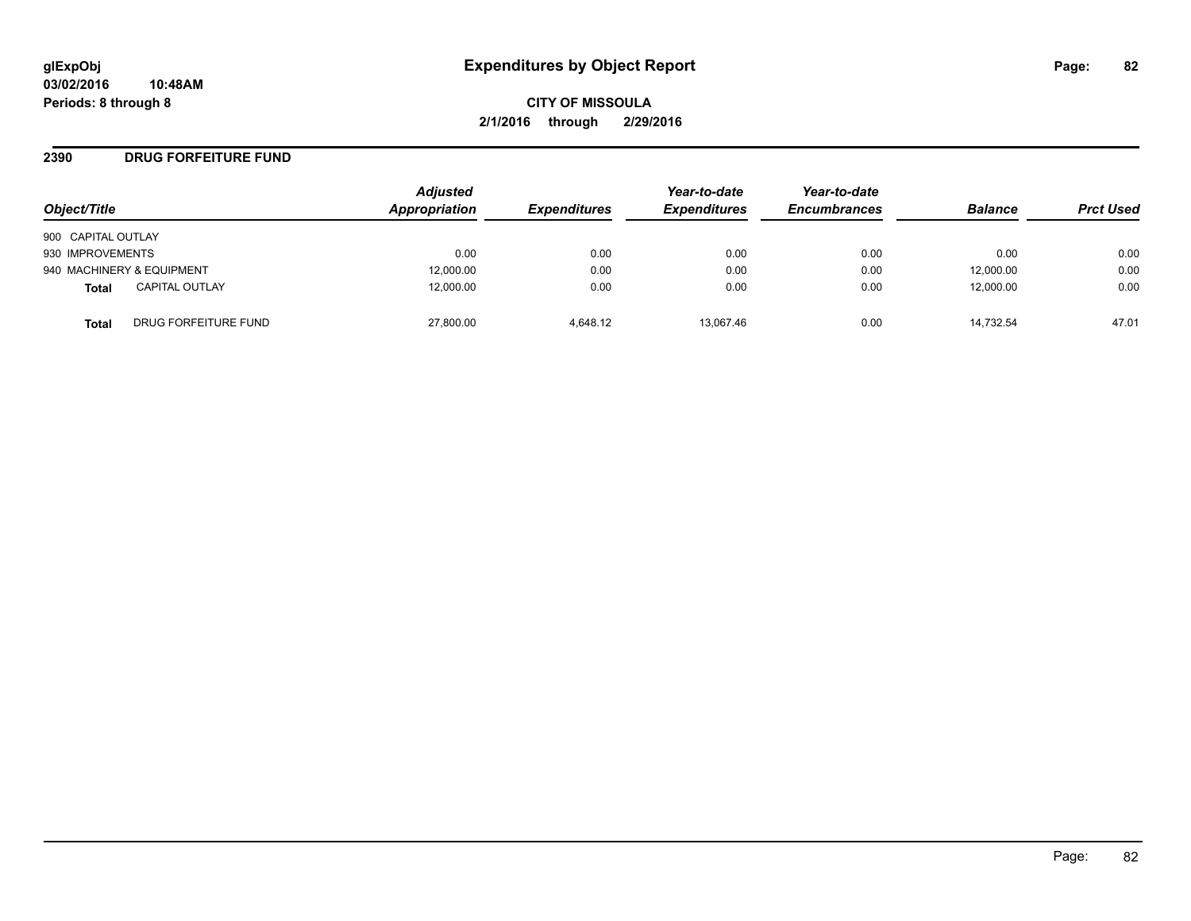### **2390 DRUG FORFEITURE FUND**

| Object/Title              |                       | <b>Adjusted</b><br>Appropriation | <b>Expenditures</b> | Year-to-date<br><b>Expenditures</b> | Year-to-date<br><b>Encumbrances</b> | <b>Balance</b> | <b>Prct Used</b> |
|---------------------------|-----------------------|----------------------------------|---------------------|-------------------------------------|-------------------------------------|----------------|------------------|
| 900 CAPITAL OUTLAY        |                       |                                  |                     |                                     |                                     |                |                  |
| 930 IMPROVEMENTS          |                       | 0.00                             | 0.00                | 0.00                                | 0.00                                | 0.00           | 0.00             |
| 940 MACHINERY & EQUIPMENT |                       | 12,000.00                        | 0.00                | 0.00                                | 0.00                                | 12,000.00      | 0.00             |
| Total                     | <b>CAPITAL OUTLAY</b> | 12,000.00                        | 0.00                | 0.00                                | 0.00                                | 12,000.00      | 0.00             |
| Total                     | DRUG FORFEITURE FUND  | 27,800.00                        | 4.648.12            | 13.067.46                           | 0.00                                | 14.732.54      | 47.01            |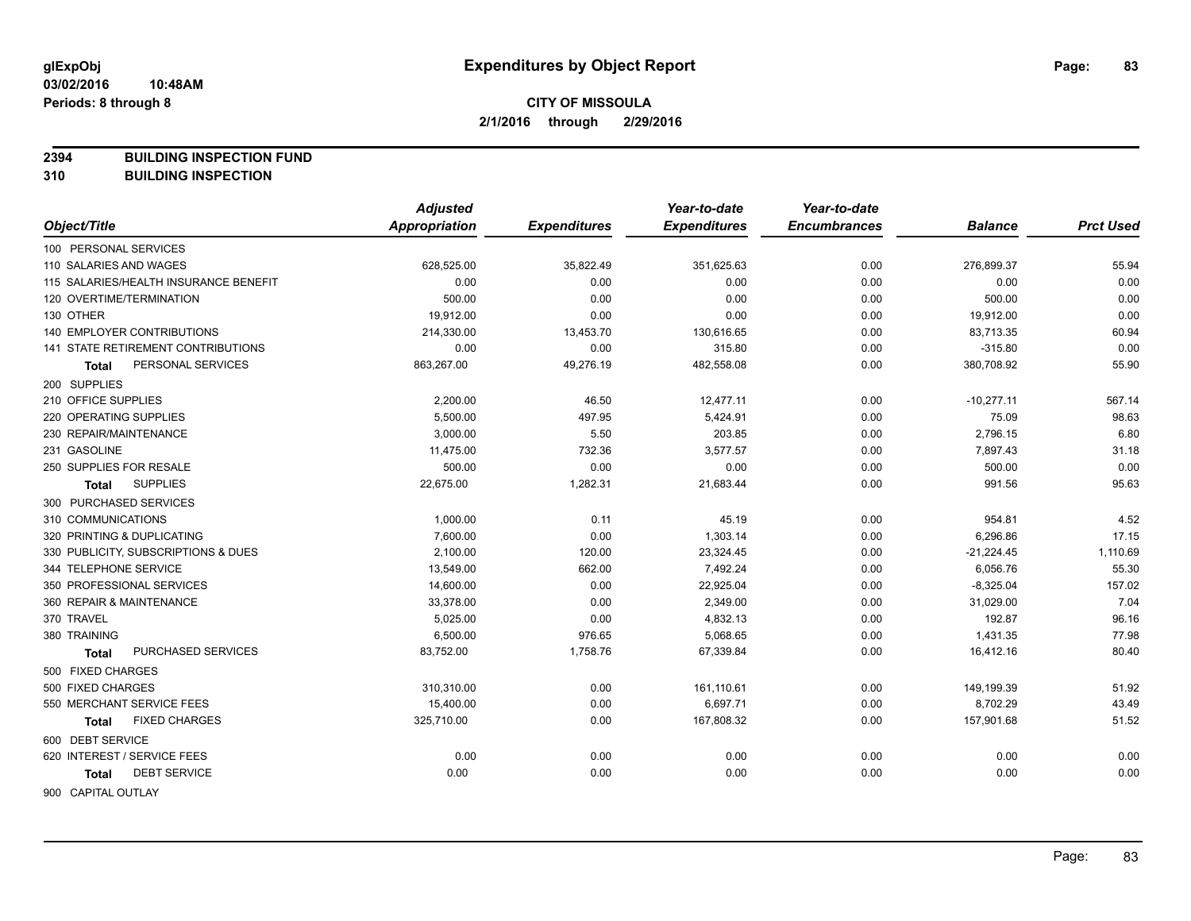**2394 BUILDING INSPECTION FUND**

**310 BUILDING INSPECTION**

|                                       | <b>Adjusted</b> |                     | Year-to-date        | Year-to-date        |                |                  |
|---------------------------------------|-----------------|---------------------|---------------------|---------------------|----------------|------------------|
| Object/Title                          | Appropriation   | <b>Expenditures</b> | <b>Expenditures</b> | <b>Encumbrances</b> | <b>Balance</b> | <b>Prct Used</b> |
| 100 PERSONAL SERVICES                 |                 |                     |                     |                     |                |                  |
| 110 SALARIES AND WAGES                | 628,525.00      | 35,822.49           | 351,625.63          | 0.00                | 276,899.37     | 55.94            |
| 115 SALARIES/HEALTH INSURANCE BENEFIT | 0.00            | 0.00                | 0.00                | 0.00                | 0.00           | 0.00             |
| 120 OVERTIME/TERMINATION              | 500.00          | 0.00                | 0.00                | 0.00                | 500.00         | 0.00             |
| 130 OTHER                             | 19,912.00       | 0.00                | 0.00                | 0.00                | 19,912.00      | 0.00             |
| 140 EMPLOYER CONTRIBUTIONS            | 214,330.00      | 13,453.70           | 130,616.65          | 0.00                | 83,713.35      | 60.94            |
| 141 STATE RETIREMENT CONTRIBUTIONS    | 0.00            | 0.00                | 315.80              | 0.00                | $-315.80$      | 0.00             |
| PERSONAL SERVICES<br><b>Total</b>     | 863,267.00      | 49,276.19           | 482,558.08          | 0.00                | 380,708.92     | 55.90            |
| 200 SUPPLIES                          |                 |                     |                     |                     |                |                  |
| 210 OFFICE SUPPLIES                   | 2,200.00        | 46.50               | 12,477.11           | 0.00                | $-10,277.11$   | 567.14           |
| 220 OPERATING SUPPLIES                | 5,500.00        | 497.95              | 5,424.91            | 0.00                | 75.09          | 98.63            |
| 230 REPAIR/MAINTENANCE                | 3,000.00        | 5.50                | 203.85              | 0.00                | 2,796.15       | 6.80             |
| 231 GASOLINE                          | 11,475.00       | 732.36              | 3,577.57            | 0.00                | 7,897.43       | 31.18            |
| 250 SUPPLIES FOR RESALE               | 500.00          | 0.00                | 0.00                | 0.00                | 500.00         | 0.00             |
| <b>SUPPLIES</b><br>Total              | 22,675.00       | 1,282.31            | 21,683.44           | 0.00                | 991.56         | 95.63            |
| 300 PURCHASED SERVICES                |                 |                     |                     |                     |                |                  |
| 310 COMMUNICATIONS                    | 1,000.00        | 0.11                | 45.19               | 0.00                | 954.81         | 4.52             |
| 320 PRINTING & DUPLICATING            | 7,600.00        | 0.00                | 1,303.14            | 0.00                | 6,296.86       | 17.15            |
| 330 PUBLICITY, SUBSCRIPTIONS & DUES   | 2,100.00        | 120.00              | 23,324.45           | 0.00                | $-21,224.45$   | 1,110.69         |
| 344 TELEPHONE SERVICE                 | 13,549.00       | 662.00              | 7,492.24            | 0.00                | 6,056.76       | 55.30            |
| 350 PROFESSIONAL SERVICES             | 14,600.00       | 0.00                | 22,925.04           | 0.00                | $-8,325.04$    | 157.02           |
| 360 REPAIR & MAINTENANCE              | 33,378.00       | 0.00                | 2,349.00            | 0.00                | 31,029.00      | 7.04             |
| 370 TRAVEL                            | 5,025.00        | 0.00                | 4,832.13            | 0.00                | 192.87         | 96.16            |
| 380 TRAINING                          | 6,500.00        | 976.65              | 5,068.65            | 0.00                | 1,431.35       | 77.98            |
| PURCHASED SERVICES<br>Total           | 83,752.00       | 1,758.76            | 67,339.84           | 0.00                | 16,412.16      | 80.40            |
| 500 FIXED CHARGES                     |                 |                     |                     |                     |                |                  |
| 500 FIXED CHARGES                     | 310,310.00      | 0.00                | 161,110.61          | 0.00                | 149,199.39     | 51.92            |
| 550 MERCHANT SERVICE FEES             | 15,400.00       | 0.00                | 6,697.71            | 0.00                | 8,702.29       | 43.49            |
| <b>FIXED CHARGES</b><br><b>Total</b>  | 325,710.00      | 0.00                | 167,808.32          | 0.00                | 157,901.68     | 51.52            |
| 600 DEBT SERVICE                      |                 |                     |                     |                     |                |                  |
| 620 INTEREST / SERVICE FEES           | 0.00            | 0.00                | 0.00                | 0.00                | 0.00           | 0.00             |
| <b>DEBT SERVICE</b><br><b>Total</b>   | 0.00            | 0.00                | 0.00                | 0.00                | 0.00           | 0.00             |
| <b>GOO CADITAL OUTLAV</b>             |                 |                     |                     |                     |                |                  |

900 CAPITAL OUTLAY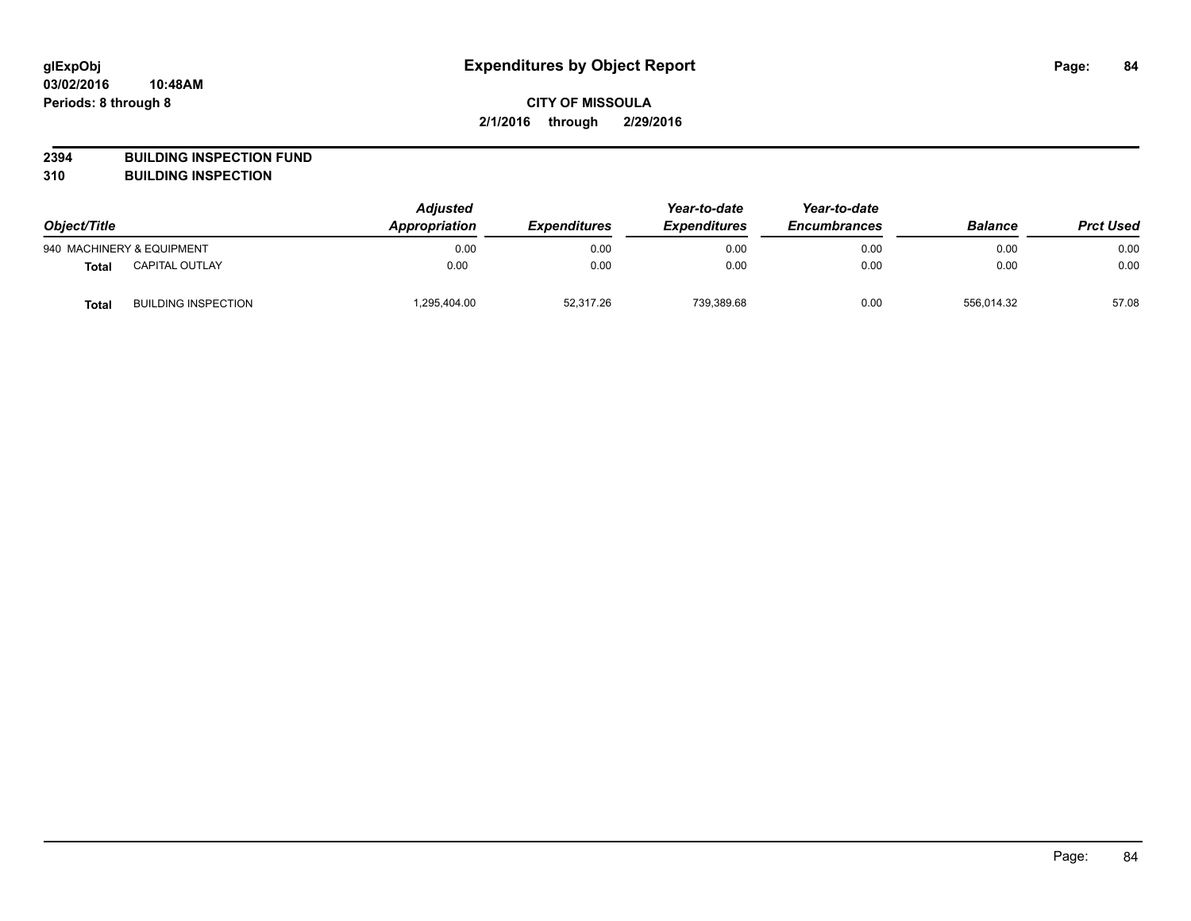**2394 BUILDING INSPECTION FUND**

**310 BUILDING INSPECTION**

| Object/Title |                            | <b>Adjusted</b><br><b>Appropriation</b> | <b>Expenditures</b> | Year-to-date<br><b>Expenditures</b> | Year-to-date<br><b>Encumbrances</b> | <b>Balance</b> | <b>Prct Used</b> |
|--------------|----------------------------|-----------------------------------------|---------------------|-------------------------------------|-------------------------------------|----------------|------------------|
|              | 940 MACHINERY & EQUIPMENT  | 0.00                                    | 0.00                | 0.00                                | 0.00                                | 0.00           | 0.00             |
| <b>Total</b> | <b>CAPITAL OUTLAY</b>      | 0.00                                    | 0.00                | 0.00                                | 0.00                                | 0.00           | 0.00             |
| <b>Total</b> | <b>BUILDING INSPECTION</b> | ,295,404.00                             | 52,317.26           | 739,389.68                          | 0.00                                | 556.014.32     | 57.08            |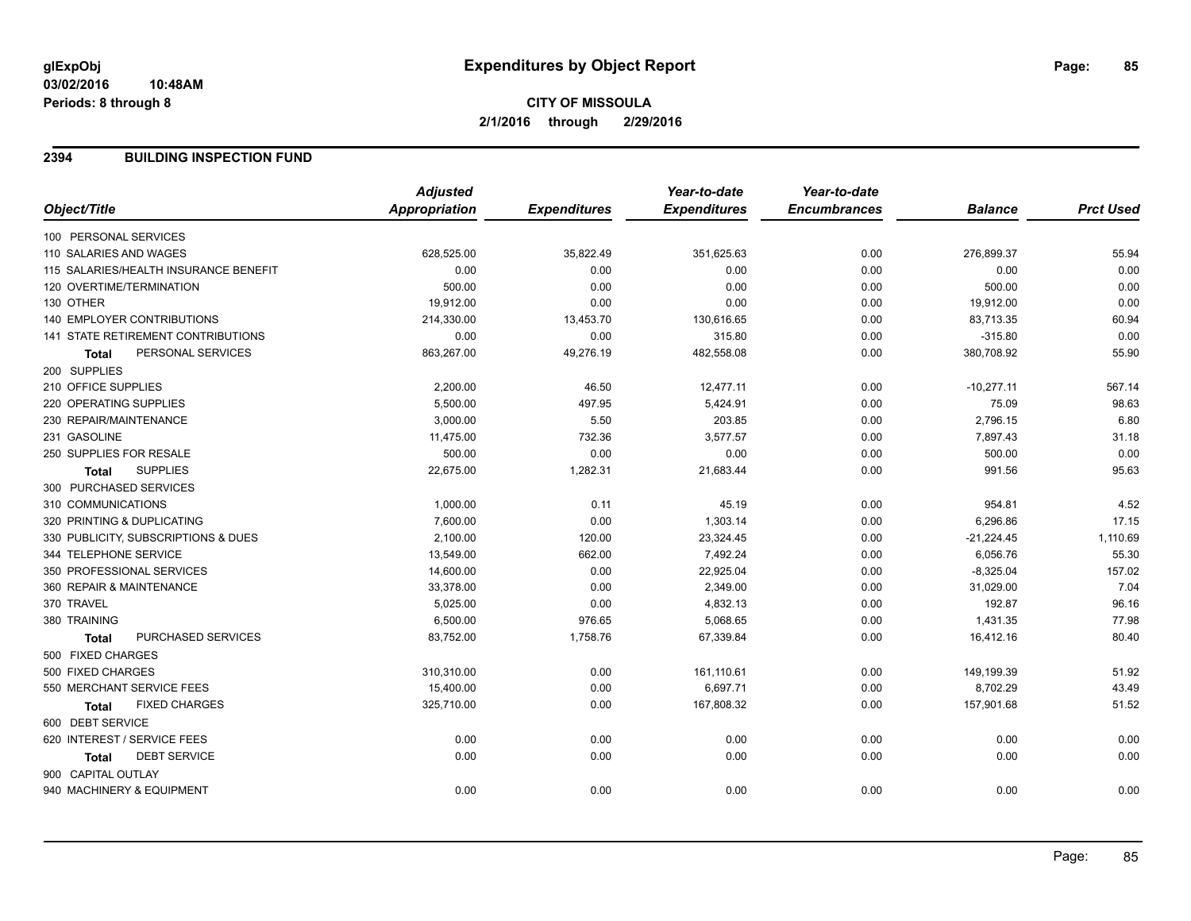## **CITY OF MISSOULA 2/1/2016 through 2/29/2016**

### **2394 BUILDING INSPECTION FUND**

|                                           | <b>Adjusted</b>      |                     | Year-to-date        | Year-to-date        |                |                  |
|-------------------------------------------|----------------------|---------------------|---------------------|---------------------|----------------|------------------|
| Object/Title                              | <b>Appropriation</b> | <b>Expenditures</b> | <b>Expenditures</b> | <b>Encumbrances</b> | <b>Balance</b> | <b>Prct Used</b> |
| 100 PERSONAL SERVICES                     |                      |                     |                     |                     |                |                  |
| 110 SALARIES AND WAGES                    | 628,525.00           | 35,822.49           | 351,625.63          | 0.00                | 276,899.37     | 55.94            |
| 115 SALARIES/HEALTH INSURANCE BENEFIT     | 0.00                 | 0.00                | 0.00                | 0.00                | 0.00           | 0.00             |
| 120 OVERTIME/TERMINATION                  | 500.00               | 0.00                | 0.00                | 0.00                | 500.00         | 0.00             |
| 130 OTHER                                 | 19,912.00            | 0.00                | 0.00                | 0.00                | 19,912.00      | 0.00             |
| <b>140 EMPLOYER CONTRIBUTIONS</b>         | 214,330.00           | 13,453.70           | 130,616.65          | 0.00                | 83,713.35      | 60.94            |
| <b>141 STATE RETIREMENT CONTRIBUTIONS</b> | 0.00                 | 0.00                | 315.80              | 0.00                | $-315.80$      | 0.00             |
| PERSONAL SERVICES<br>Total                | 863,267.00           | 49,276.19           | 482,558.08          | 0.00                | 380,708.92     | 55.90            |
| 200 SUPPLIES                              |                      |                     |                     |                     |                |                  |
| 210 OFFICE SUPPLIES                       | 2,200.00             | 46.50               | 12,477.11           | 0.00                | $-10,277.11$   | 567.14           |
| 220 OPERATING SUPPLIES                    | 5,500.00             | 497.95              | 5,424.91            | 0.00                | 75.09          | 98.63            |
| 230 REPAIR/MAINTENANCE                    | 3,000.00             | 5.50                | 203.85              | 0.00                | 2,796.15       | 6.80             |
| 231 GASOLINE                              | 11,475.00            | 732.36              | 3,577.57            | 0.00                | 7,897.43       | 31.18            |
| 250 SUPPLIES FOR RESALE                   | 500.00               | 0.00                | 0.00                | 0.00                | 500.00         | 0.00             |
| <b>SUPPLIES</b><br><b>Total</b>           | 22,675.00            | 1,282.31            | 21,683.44           | 0.00                | 991.56         | 95.63            |
| 300 PURCHASED SERVICES                    |                      |                     |                     |                     |                |                  |
| 310 COMMUNICATIONS                        | 1,000.00             | 0.11                | 45.19               | 0.00                | 954.81         | 4.52             |
| 320 PRINTING & DUPLICATING                | 7,600.00             | 0.00                | 1,303.14            | 0.00                | 6,296.86       | 17.15            |
| 330 PUBLICITY, SUBSCRIPTIONS & DUES       | 2,100.00             | 120.00              | 23,324.45           | 0.00                | $-21,224.45$   | 1,110.69         |
| 344 TELEPHONE SERVICE                     | 13,549.00            | 662.00              | 7,492.24            | 0.00                | 6,056.76       | 55.30            |
| 350 PROFESSIONAL SERVICES                 | 14,600.00            | 0.00                | 22,925.04           | 0.00                | $-8,325.04$    | 157.02           |
| 360 REPAIR & MAINTENANCE                  | 33,378.00            | 0.00                | 2,349.00            | 0.00                | 31,029.00      | 7.04             |
| 370 TRAVEL                                | 5,025.00             | 0.00                | 4,832.13            | 0.00                | 192.87         | 96.16            |
| 380 TRAINING                              | 6,500.00             | 976.65              | 5,068.65            | 0.00                | 1,431.35       | 77.98            |
| PURCHASED SERVICES<br><b>Total</b>        | 83,752.00            | 1,758.76            | 67,339.84           | 0.00                | 16,412.16      | 80.40            |
| 500 FIXED CHARGES                         |                      |                     |                     |                     |                |                  |
| 500 FIXED CHARGES                         | 310,310.00           | 0.00                | 161,110.61          | 0.00                | 149,199.39     | 51.92            |
| 550 MERCHANT SERVICE FEES                 | 15,400.00            | 0.00                | 6,697.71            | 0.00                | 8,702.29       | 43.49            |
| <b>FIXED CHARGES</b><br><b>Total</b>      | 325,710.00           | 0.00                | 167,808.32          | 0.00                | 157,901.68     | 51.52            |
| 600 DEBT SERVICE                          |                      |                     |                     |                     |                |                  |
| 620 INTEREST / SERVICE FEES               | 0.00                 | 0.00                | 0.00                | 0.00                | 0.00           | 0.00             |
| <b>DEBT SERVICE</b><br><b>Total</b>       | 0.00                 | 0.00                | 0.00                | 0.00                | 0.00           | 0.00             |
| 900 CAPITAL OUTLAY                        |                      |                     |                     |                     |                |                  |
| 940 MACHINERY & EQUIPMENT                 | 0.00                 | 0.00                | 0.00                | 0.00                | 0.00           | 0.00             |
|                                           |                      |                     |                     |                     |                |                  |

Page: 85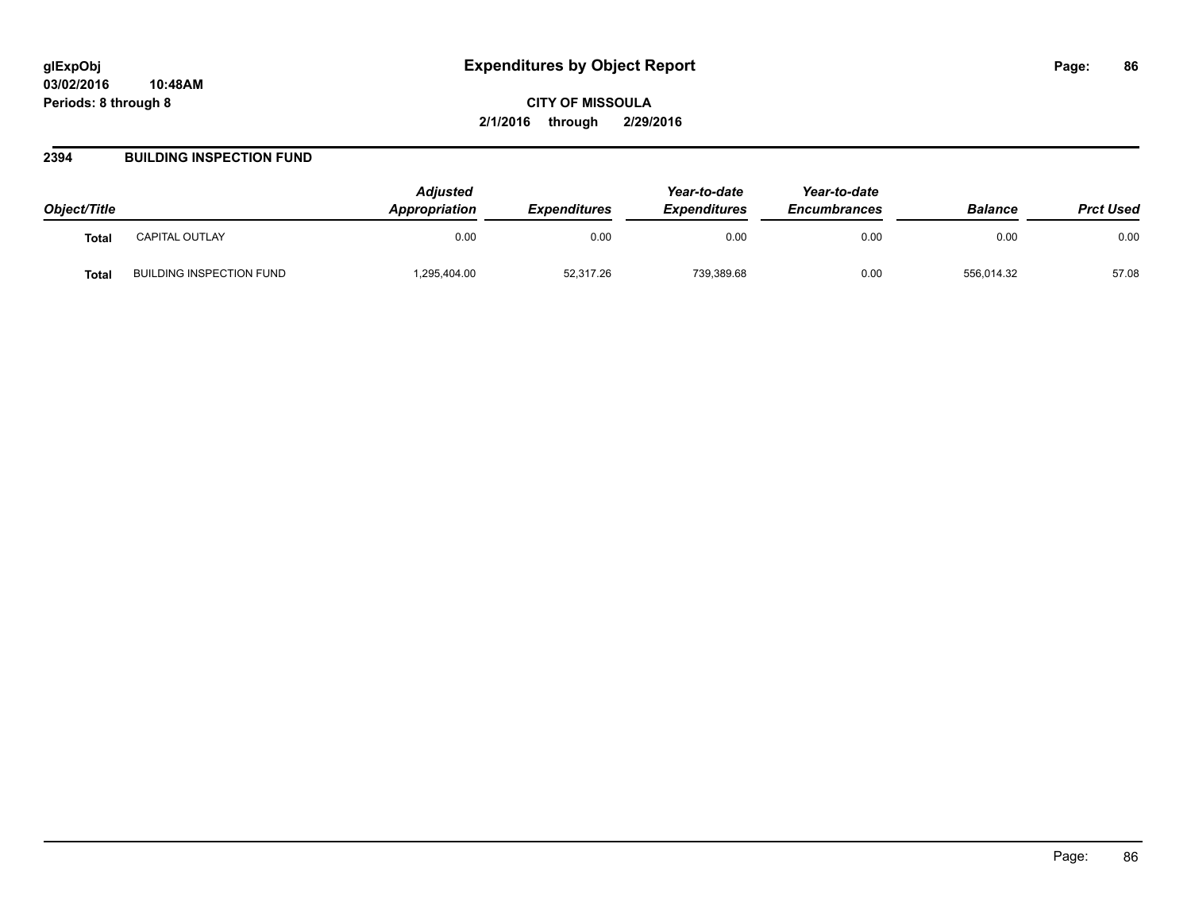### **2394 BUILDING INSPECTION FUND**

| Object/Title |                          | <b>Adjusted</b><br>Appropriation | <b>Expenditures</b> | Year-to-date<br><b>Expenditures</b> | Year-to-date<br><b>Encumbrances</b> | <b>Balance</b> | <b>Prct Used</b> |
|--------------|--------------------------|----------------------------------|---------------------|-------------------------------------|-------------------------------------|----------------|------------------|
| <b>Total</b> | <b>CAPITAL OUTLAY</b>    | 0.00                             | 0.00                | 0.00                                | 0.00                                | 0.00           | 0.00             |
| Total        | BUILDING INSPECTION FUND | .295,404.00                      | 52,317.26           | 739,389.68                          | 0.00                                | 556,014.32     | 57.08            |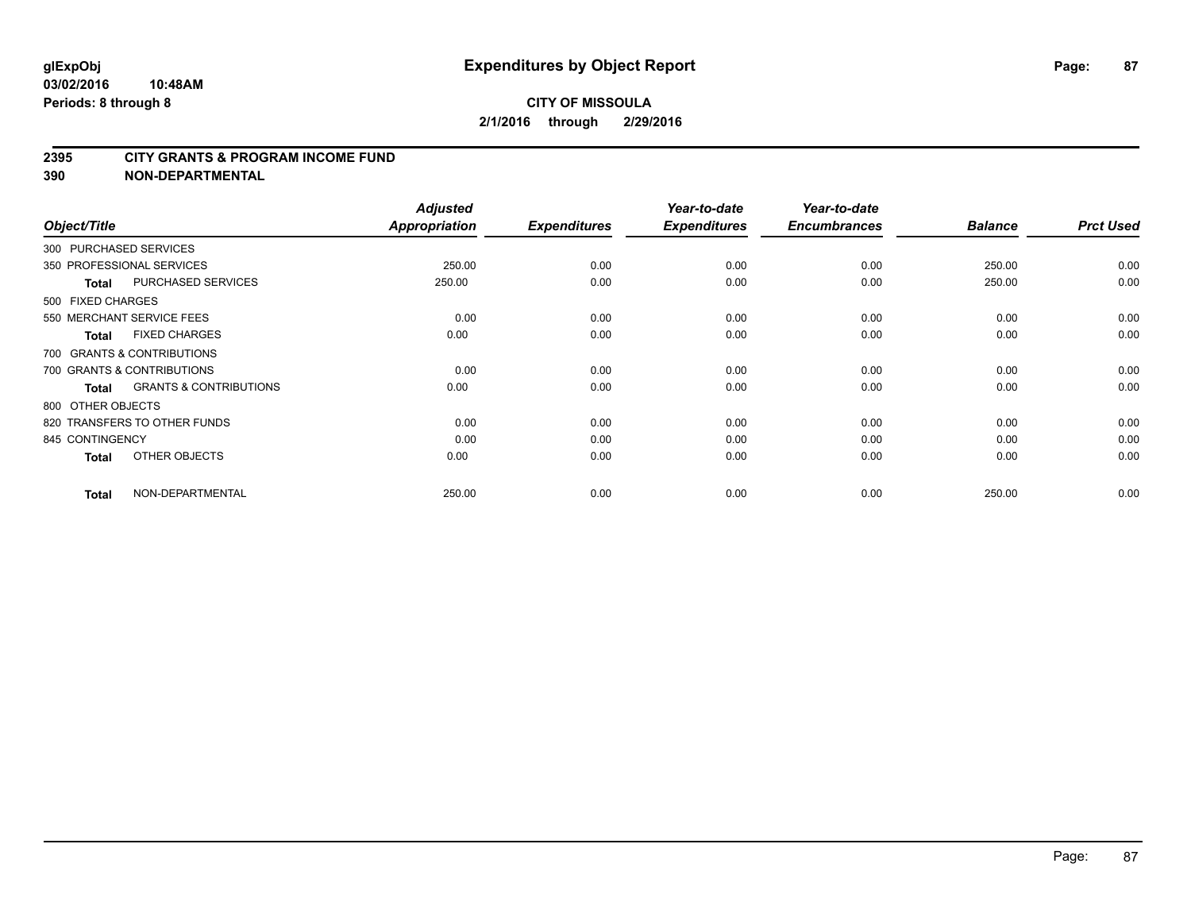### **CITY OF MISSOULA 2/1/2016 through 2/29/2016**

#### **2395 CITY GRANTS & PROGRAM INCOME FUND**

**390 NON-DEPARTMENTAL**

| Object/Title           |                                   | <b>Adjusted</b><br>Appropriation | <b>Expenditures</b> | Year-to-date<br><b>Expenditures</b> | Year-to-date<br><b>Encumbrances</b> | <b>Balance</b> | <b>Prct Used</b> |
|------------------------|-----------------------------------|----------------------------------|---------------------|-------------------------------------|-------------------------------------|----------------|------------------|
| 300 PURCHASED SERVICES |                                   |                                  |                     |                                     |                                     |                |                  |
|                        | 350 PROFESSIONAL SERVICES         | 250.00                           | 0.00                | 0.00                                | 0.00                                | 250.00         | 0.00             |
| <b>Total</b>           | PURCHASED SERVICES                | 250.00                           | 0.00                | 0.00                                | 0.00                                | 250.00         | 0.00             |
| 500 FIXED CHARGES      |                                   |                                  |                     |                                     |                                     |                |                  |
|                        | 550 MERCHANT SERVICE FEES         | 0.00                             | 0.00                | 0.00                                | 0.00                                | 0.00           | 0.00             |
| <b>Total</b>           | <b>FIXED CHARGES</b>              | 0.00                             | 0.00                | 0.00                                | 0.00                                | 0.00           | 0.00             |
|                        | 700 GRANTS & CONTRIBUTIONS        |                                  |                     |                                     |                                     |                |                  |
|                        | 700 GRANTS & CONTRIBUTIONS        | 0.00                             | 0.00                | 0.00                                | 0.00                                | 0.00           | 0.00             |
| <b>Total</b>           | <b>GRANTS &amp; CONTRIBUTIONS</b> | 0.00                             | 0.00                | 0.00                                | 0.00                                | 0.00           | 0.00             |
| 800 OTHER OBJECTS      |                                   |                                  |                     |                                     |                                     |                |                  |
|                        | 820 TRANSFERS TO OTHER FUNDS      | 0.00                             | 0.00                | 0.00                                | 0.00                                | 0.00           | 0.00             |
| 845 CONTINGENCY        |                                   | 0.00                             | 0.00                | 0.00                                | 0.00                                | 0.00           | 0.00             |
| <b>Total</b>           | OTHER OBJECTS                     | 0.00                             | 0.00                | 0.00                                | 0.00                                | 0.00           | 0.00             |
| <b>Total</b>           | NON-DEPARTMENTAL                  | 250.00                           | 0.00                | 0.00                                | 0.00                                | 250.00         | 0.00             |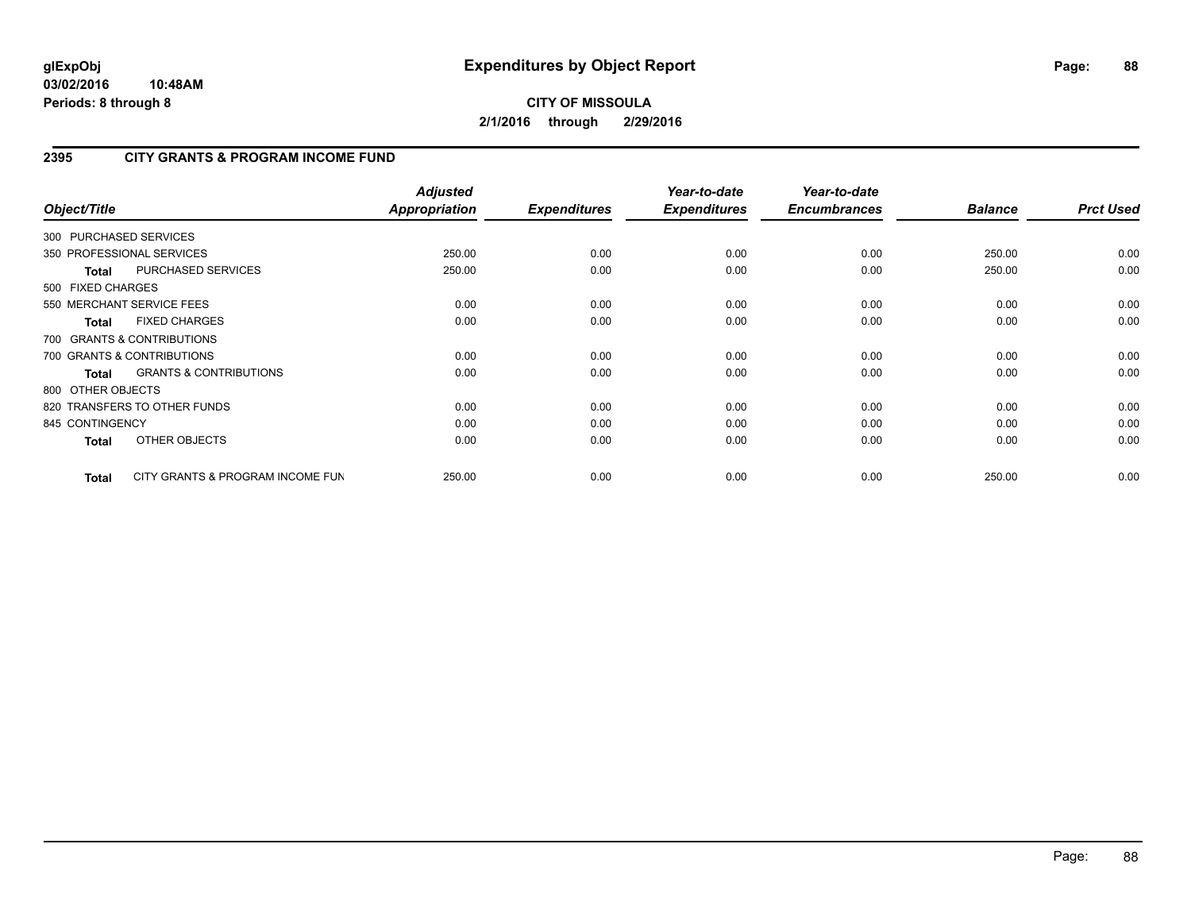## **2395 CITY GRANTS & PROGRAM INCOME FUND**

| Object/Title           |                                   | <b>Adjusted</b><br>Appropriation | <b>Expenditures</b> | Year-to-date<br><b>Expenditures</b> | Year-to-date<br><b>Encumbrances</b> | <b>Balance</b> | <b>Prct Used</b> |
|------------------------|-----------------------------------|----------------------------------|---------------------|-------------------------------------|-------------------------------------|----------------|------------------|
| 300 PURCHASED SERVICES |                                   |                                  |                     |                                     |                                     |                |                  |
|                        | 350 PROFESSIONAL SERVICES         | 250.00                           | 0.00                | 0.00                                | 0.00                                | 250.00         | 0.00             |
| <b>Total</b>           | PURCHASED SERVICES                | 250.00                           | 0.00                | 0.00                                | 0.00                                | 250.00         | 0.00             |
| 500 FIXED CHARGES      |                                   |                                  |                     |                                     |                                     |                |                  |
|                        | 550 MERCHANT SERVICE FEES         | 0.00                             | 0.00                | 0.00                                | 0.00                                | 0.00           | 0.00             |
| <b>Total</b>           | <b>FIXED CHARGES</b>              | 0.00                             | 0.00                | 0.00                                | 0.00                                | 0.00           | 0.00             |
|                        | 700 GRANTS & CONTRIBUTIONS        |                                  |                     |                                     |                                     |                |                  |
|                        | 700 GRANTS & CONTRIBUTIONS        | 0.00                             | 0.00                | 0.00                                | 0.00                                | 0.00           | 0.00             |
| <b>Total</b>           | <b>GRANTS &amp; CONTRIBUTIONS</b> | 0.00                             | 0.00                | 0.00                                | 0.00                                | 0.00           | 0.00             |
| 800 OTHER OBJECTS      |                                   |                                  |                     |                                     |                                     |                |                  |
|                        | 820 TRANSFERS TO OTHER FUNDS      | 0.00                             | 0.00                | 0.00                                | 0.00                                | 0.00           | 0.00             |
| 845 CONTINGENCY        |                                   | 0.00                             | 0.00                | 0.00                                | 0.00                                | 0.00           | 0.00             |
| <b>Total</b>           | OTHER OBJECTS                     | 0.00                             | 0.00                | 0.00                                | 0.00                                | 0.00           | 0.00             |
| <b>Total</b>           | CITY GRANTS & PROGRAM INCOME FUN  | 250.00                           | 0.00                | 0.00                                | 0.00                                | 250.00         | 0.00             |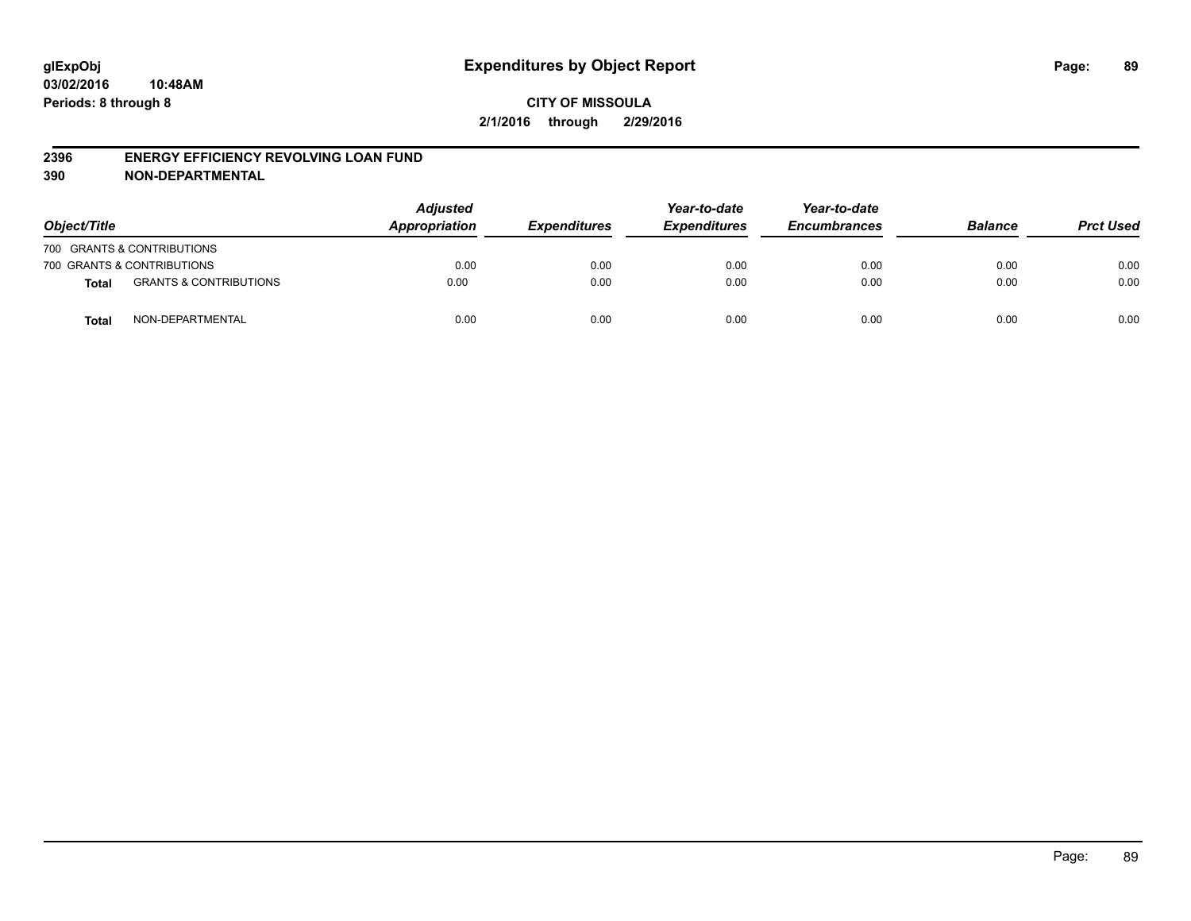#### **2396 ENERGY EFFICIENCY REVOLVING LOAN FUND**

**390 NON-DEPARTMENTAL**

| Object/Title |                                   | <b>Adjusted</b><br>Appropriation | <b>Expenditures</b> | Year-to-date<br><b>Expenditures</b> | Year-to-date<br><b>Encumbrances</b> | <b>Balance</b> | <b>Prct Used</b> |
|--------------|-----------------------------------|----------------------------------|---------------------|-------------------------------------|-------------------------------------|----------------|------------------|
|              | 700 GRANTS & CONTRIBUTIONS        |                                  |                     |                                     |                                     |                |                  |
|              | 700 GRANTS & CONTRIBUTIONS        | 0.00                             | 0.00                | 0.00                                | 0.00                                | 0.00           | 0.00             |
| <b>Total</b> | <b>GRANTS &amp; CONTRIBUTIONS</b> | 0.00                             | 0.00                | 0.00                                | 0.00                                | 0.00           | 0.00             |
| <b>Total</b> | NON-DEPARTMENTAL                  | 0.00                             | 0.00                | 0.00                                | 0.00                                | 0.00           | 0.00             |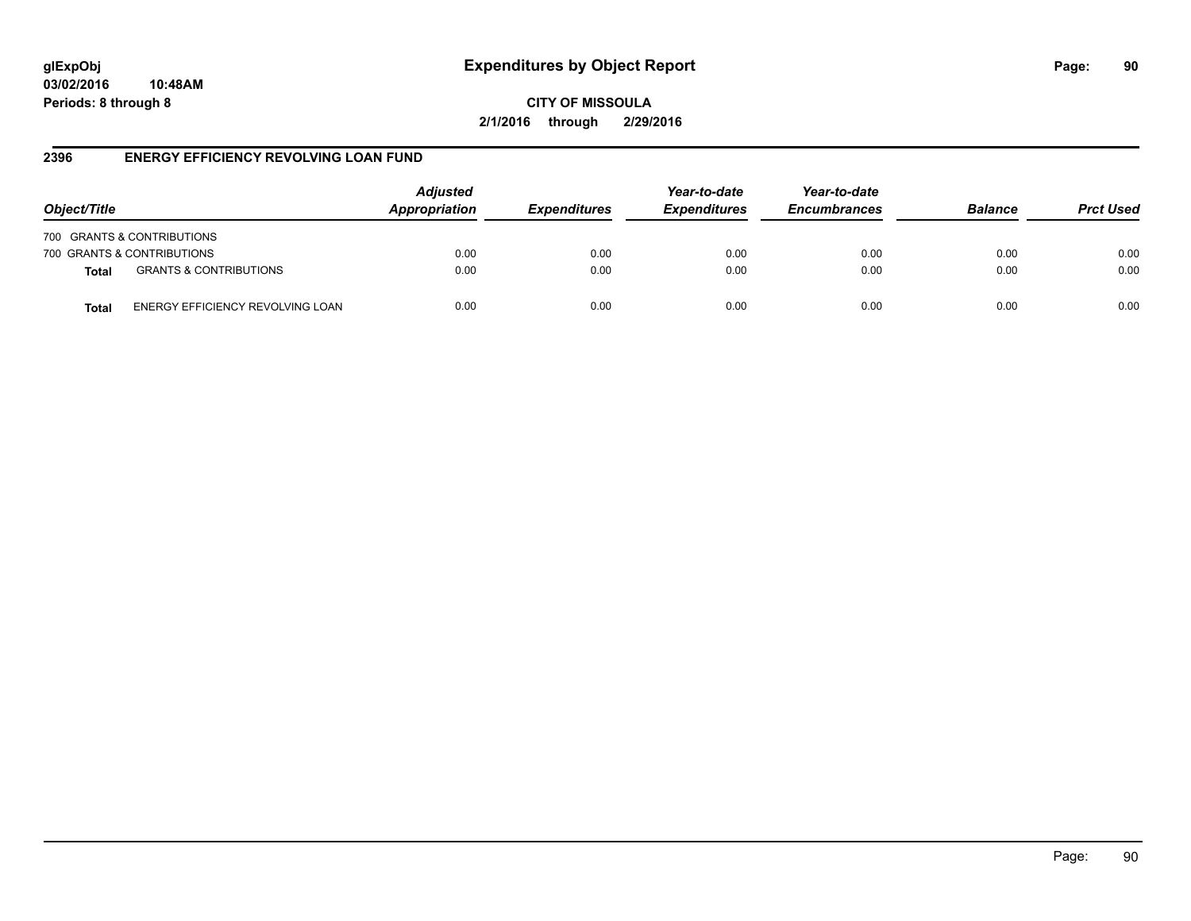# **glExpObj Expenditures by Object Report Page: 90**

**03/02/2016 10:48AM Periods: 8 through 8**

**CITY OF MISSOULA 2/1/2016 through 2/29/2016**

### **2396 ENERGY EFFICIENCY REVOLVING LOAN FUND**

| Object/Title               |                                   | <b>Adjusted</b><br>Appropriation | <b>Expenditures</b> | Year-to-date<br><b>Expenditures</b> | Year-to-date<br><b>Encumbrances</b> | <b>Balance</b> | <b>Prct Used</b> |
|----------------------------|-----------------------------------|----------------------------------|---------------------|-------------------------------------|-------------------------------------|----------------|------------------|
| 700 GRANTS & CONTRIBUTIONS |                                   |                                  |                     |                                     |                                     |                |                  |
| 700 GRANTS & CONTRIBUTIONS |                                   | 0.00                             | 0.00                | 0.00                                | 0.00                                | 0.00           | 0.00             |
| <b>Total</b>               | <b>GRANTS &amp; CONTRIBUTIONS</b> | 0.00                             | 0.00                | 0.00                                | 0.00                                | 0.00           | 0.00             |
| Total                      | ENERGY EFFICIENCY REVOLVING LOAN  | 0.00                             | 0.00                | 0.00                                | 0.00                                | 0.00           | 0.00             |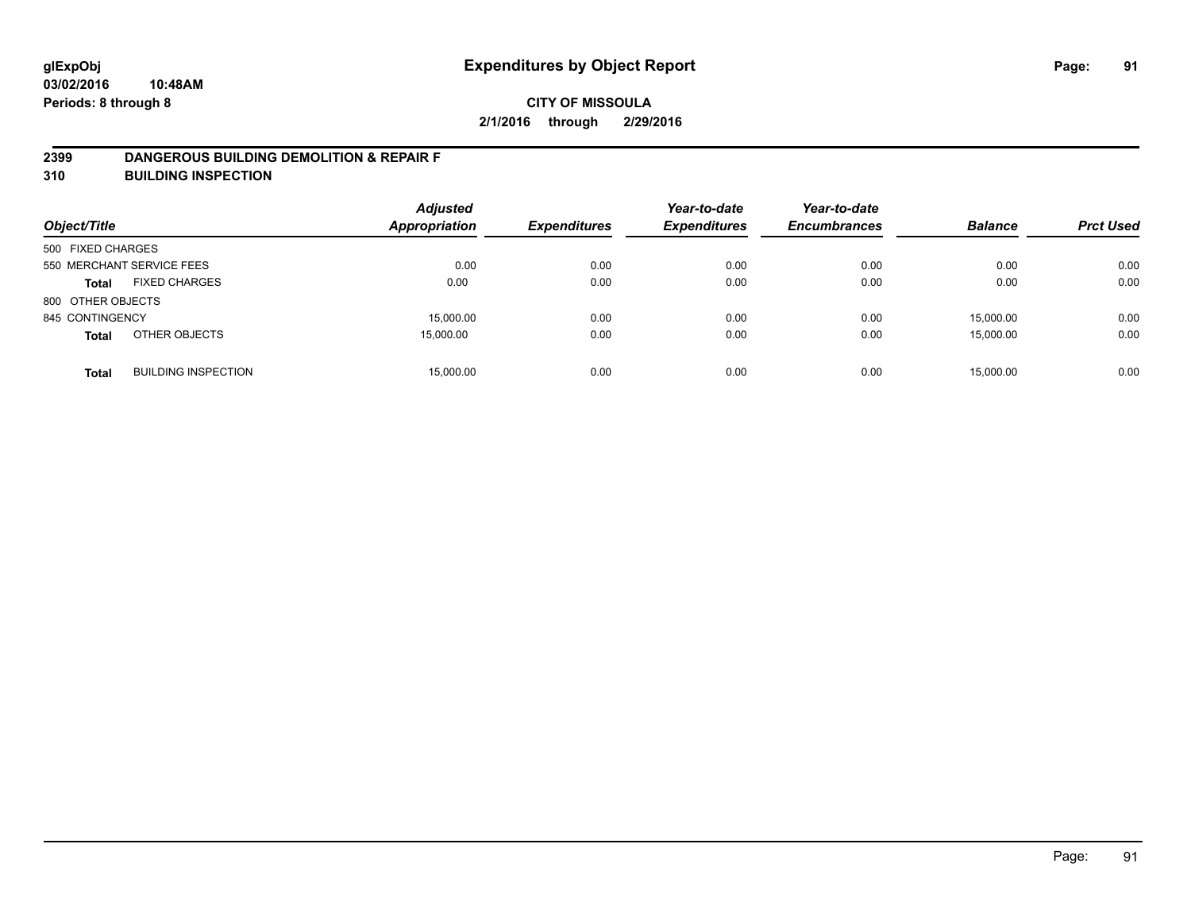### **2399 DANGEROUS BUILDING DEMOLITION & REPAIR F**

**310 BUILDING INSPECTION**

| Object/Title              |                            | <b>Adjusted</b><br><b>Appropriation</b> | <b>Expenditures</b> | Year-to-date<br><b>Expenditures</b> | Year-to-date<br><b>Encumbrances</b> | <b>Balance</b> | <b>Prct Used</b> |
|---------------------------|----------------------------|-----------------------------------------|---------------------|-------------------------------------|-------------------------------------|----------------|------------------|
| 500 FIXED CHARGES         |                            |                                         |                     |                                     |                                     |                |                  |
| 550 MERCHANT SERVICE FEES |                            | 0.00                                    | 0.00                | 0.00                                | 0.00                                | 0.00           | 0.00             |
| <b>Total</b>              | <b>FIXED CHARGES</b>       | 0.00                                    | 0.00                | 0.00                                | 0.00                                | 0.00           | 0.00             |
| 800 OTHER OBJECTS         |                            |                                         |                     |                                     |                                     |                |                  |
| 845 CONTINGENCY           |                            | 15,000.00                               | 0.00                | 0.00                                | 0.00                                | 15,000.00      | 0.00             |
| <b>Total</b>              | OTHER OBJECTS              | 15,000.00                               | 0.00                | 0.00                                | 0.00                                | 15,000.00      | 0.00             |
| <b>Total</b>              | <b>BUILDING INSPECTION</b> | 15,000.00                               | 0.00                | 0.00                                | 0.00                                | 15,000.00      | 0.00             |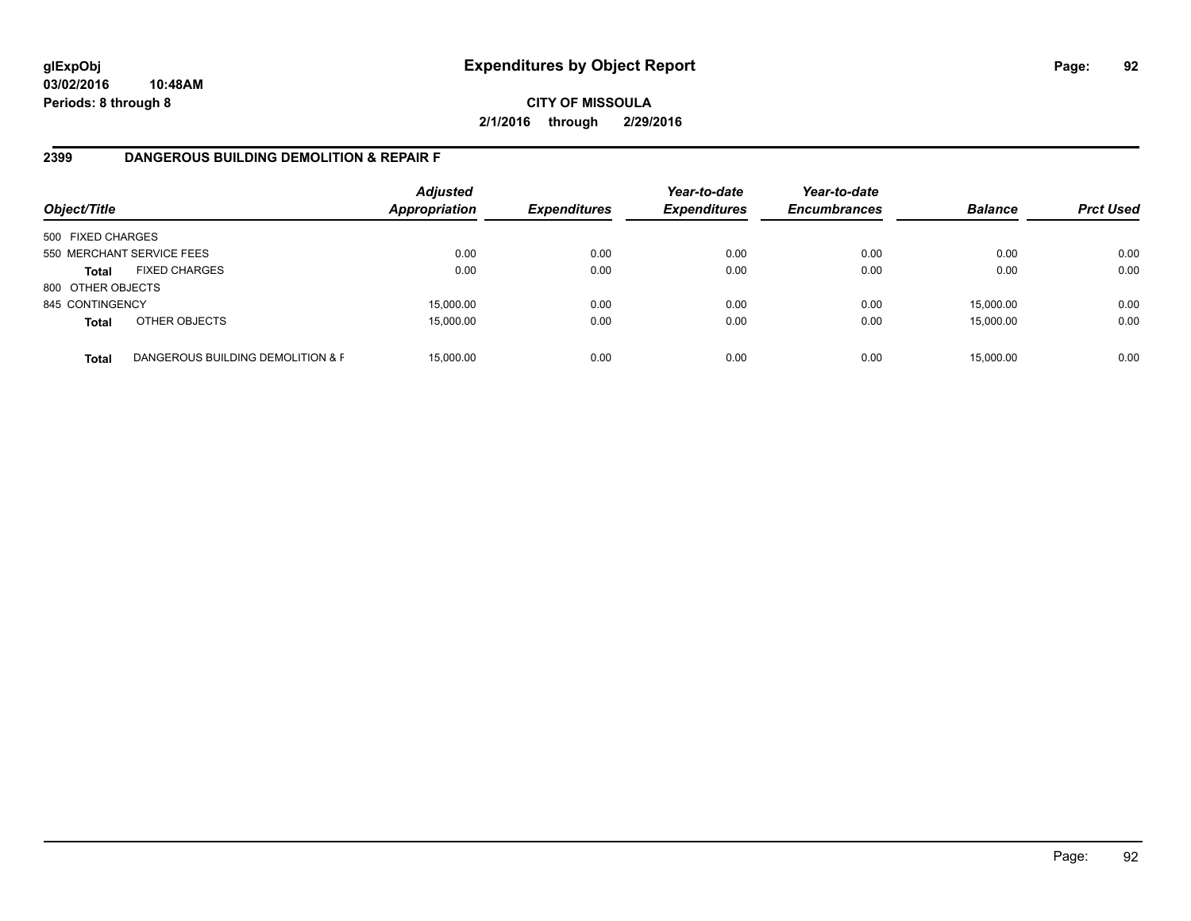## **CITY OF MISSOULA 2/1/2016 through 2/29/2016**

### **2399 DANGEROUS BUILDING DEMOLITION & REPAIR F**

| Object/Title      |                                   | <b>Adjusted</b><br>Appropriation | <b>Expenditures</b> | Year-to-date<br><b>Expenditures</b> | Year-to-date<br><b>Encumbrances</b> | <b>Balance</b> | <b>Prct Used</b> |
|-------------------|-----------------------------------|----------------------------------|---------------------|-------------------------------------|-------------------------------------|----------------|------------------|
| 500 FIXED CHARGES |                                   |                                  |                     |                                     |                                     |                |                  |
|                   | 550 MERCHANT SERVICE FEES         | 0.00                             | 0.00                | 0.00                                | 0.00                                | 0.00           | 0.00             |
| <b>Total</b>      | <b>FIXED CHARGES</b>              | 0.00                             | 0.00                | 0.00                                | 0.00                                | 0.00           | 0.00             |
| 800 OTHER OBJECTS |                                   |                                  |                     |                                     |                                     |                |                  |
| 845 CONTINGENCY   |                                   | 15,000.00                        | 0.00                | 0.00                                | 0.00                                | 15,000.00      | 0.00             |
| <b>Total</b>      | OTHER OBJECTS                     | 15,000.00                        | 0.00                | 0.00                                | 0.00                                | 15,000.00      | 0.00             |
| <b>Total</b>      | DANGEROUS BUILDING DEMOLITION & F | 15.000.00                        | 0.00                | 0.00                                | 0.00                                | 15,000.00      | 0.00             |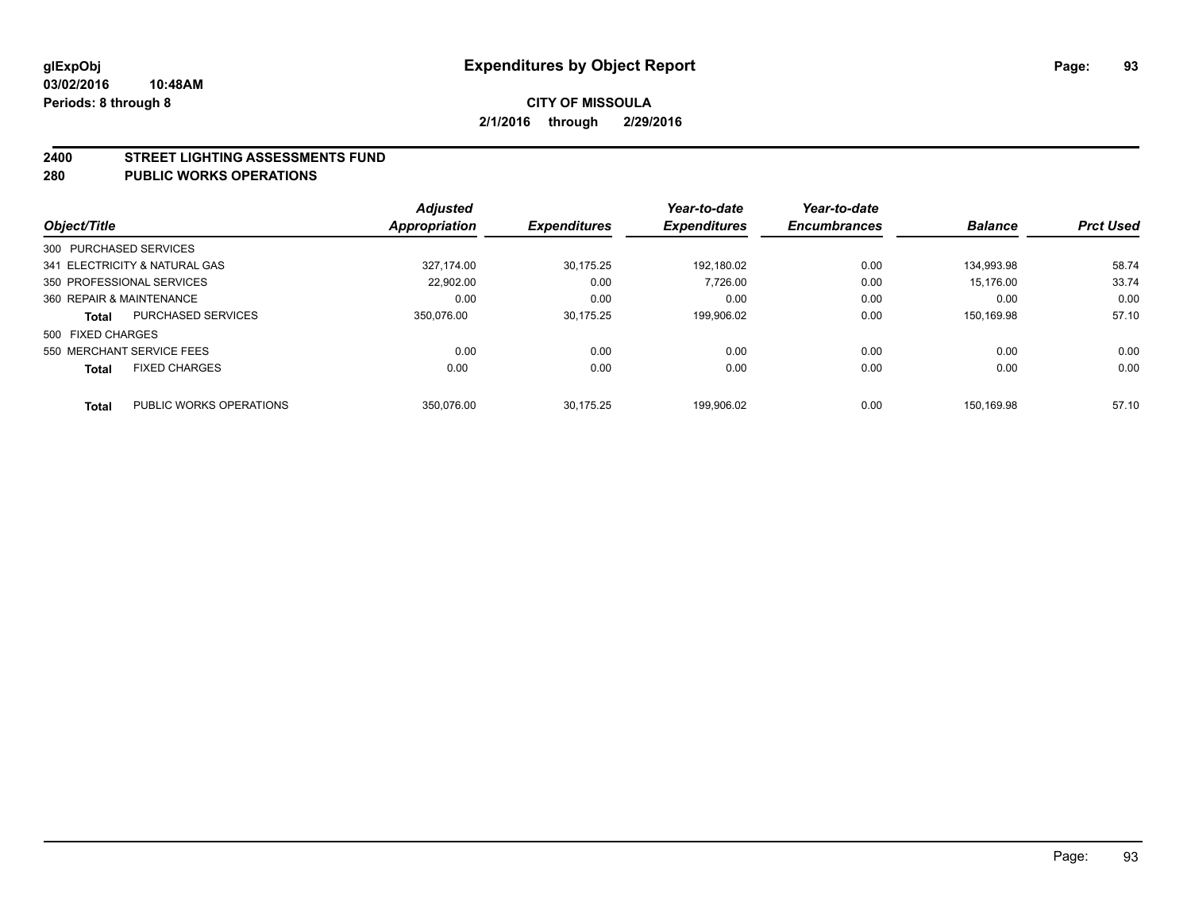### **CITY OF MISSOULA 2/1/2016 through 2/29/2016**

#### **2400 STREET LIGHTING ASSESSMENTS FUND**

#### **280 PUBLIC WORKS OPERATIONS**

|                          |                               | <b>Adjusted</b>      |                     | Year-to-date        | Year-to-date        | <b>Balance</b> |                  |
|--------------------------|-------------------------------|----------------------|---------------------|---------------------|---------------------|----------------|------------------|
| Object/Title             |                               | <b>Appropriation</b> | <b>Expenditures</b> | <b>Expenditures</b> | <b>Encumbrances</b> |                | <b>Prct Used</b> |
| 300 PURCHASED SERVICES   |                               |                      |                     |                     |                     |                |                  |
|                          | 341 ELECTRICITY & NATURAL GAS | 327.174.00           | 30.175.25           | 192.180.02          | 0.00                | 134.993.98     | 58.74            |
|                          | 350 PROFESSIONAL SERVICES     | 22.902.00            | 0.00                | 7.726.00            | 0.00                | 15.176.00      | 33.74            |
| 360 REPAIR & MAINTENANCE |                               | 0.00                 | 0.00                | 0.00                | 0.00                | 0.00           | 0.00             |
| <b>Total</b>             | <b>PURCHASED SERVICES</b>     | 350.076.00           | 30.175.25           | 199,906.02          | 0.00                | 150.169.98     | 57.10            |
| 500 FIXED CHARGES        |                               |                      |                     |                     |                     |                |                  |
|                          | 550 MERCHANT SERVICE FEES     | 0.00                 | 0.00                | 0.00                | 0.00                | 0.00           | 0.00             |
| <b>Total</b>             | <b>FIXED CHARGES</b>          | 0.00                 | 0.00                | 0.00                | 0.00                | 0.00           | 0.00             |
| <b>Total</b>             | PUBLIC WORKS OPERATIONS       | 350.076.00           | 30.175.25           | 199.906.02          | 0.00                | 150.169.98     | 57.10            |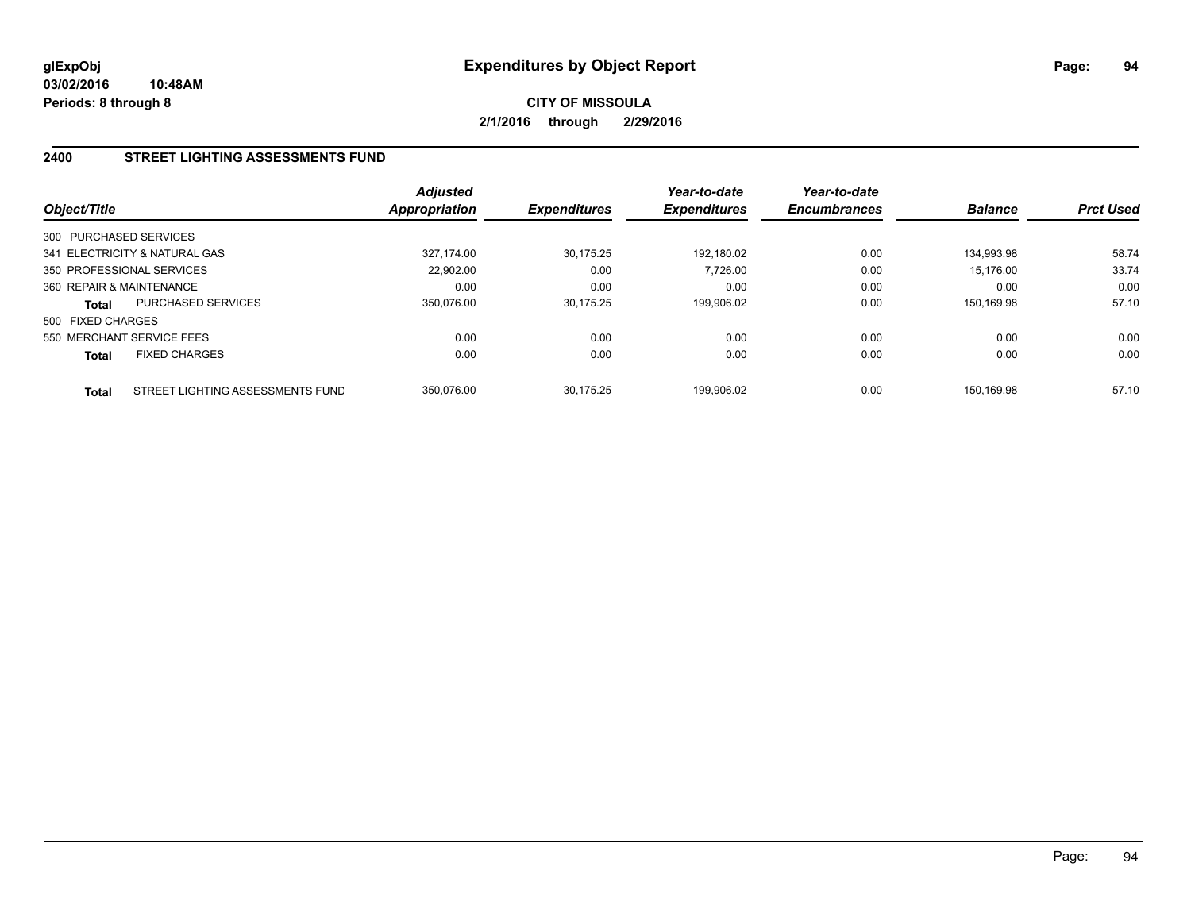### **2400 STREET LIGHTING ASSESSMENTS FUND**

| Object/Title              |                                  | Adjusted<br><b>Appropriation</b> | <b>Expenditures</b> | Year-to-date<br><b>Expenditures</b> | Year-to-date<br><b>Encumbrances</b> | <b>Balance</b> | <b>Prct Used</b> |
|---------------------------|----------------------------------|----------------------------------|---------------------|-------------------------------------|-------------------------------------|----------------|------------------|
| 300 PURCHASED SERVICES    |                                  |                                  |                     |                                     |                                     |                |                  |
|                           | 341 ELECTRICITY & NATURAL GAS    | 327.174.00                       | 30.175.25           | 192.180.02                          | 0.00                                | 134.993.98     | 58.74            |
| 350 PROFESSIONAL SERVICES |                                  | 22.902.00                        | 0.00                | 7.726.00                            | 0.00                                | 15,176.00      | 33.74            |
| 360 REPAIR & MAINTENANCE  |                                  | 0.00                             | 0.00                | 0.00                                | 0.00                                | 0.00           | 0.00             |
| Total                     | <b>PURCHASED SERVICES</b>        | 350.076.00                       | 30.175.25           | 199,906.02                          | 0.00                                | 150.169.98     | 57.10            |
| 500 FIXED CHARGES         |                                  |                                  |                     |                                     |                                     |                |                  |
|                           | 550 MERCHANT SERVICE FEES        | 0.00                             | 0.00                | 0.00                                | 0.00                                | 0.00           | 0.00             |
| <b>Total</b>              | <b>FIXED CHARGES</b>             | 0.00                             | 0.00                | 0.00                                | 0.00                                | 0.00           | 0.00             |
| <b>Total</b>              | STREET LIGHTING ASSESSMENTS FUND | 350.076.00                       | 30.175.25           | 199.906.02                          | 0.00                                | 150.169.98     | 57.10            |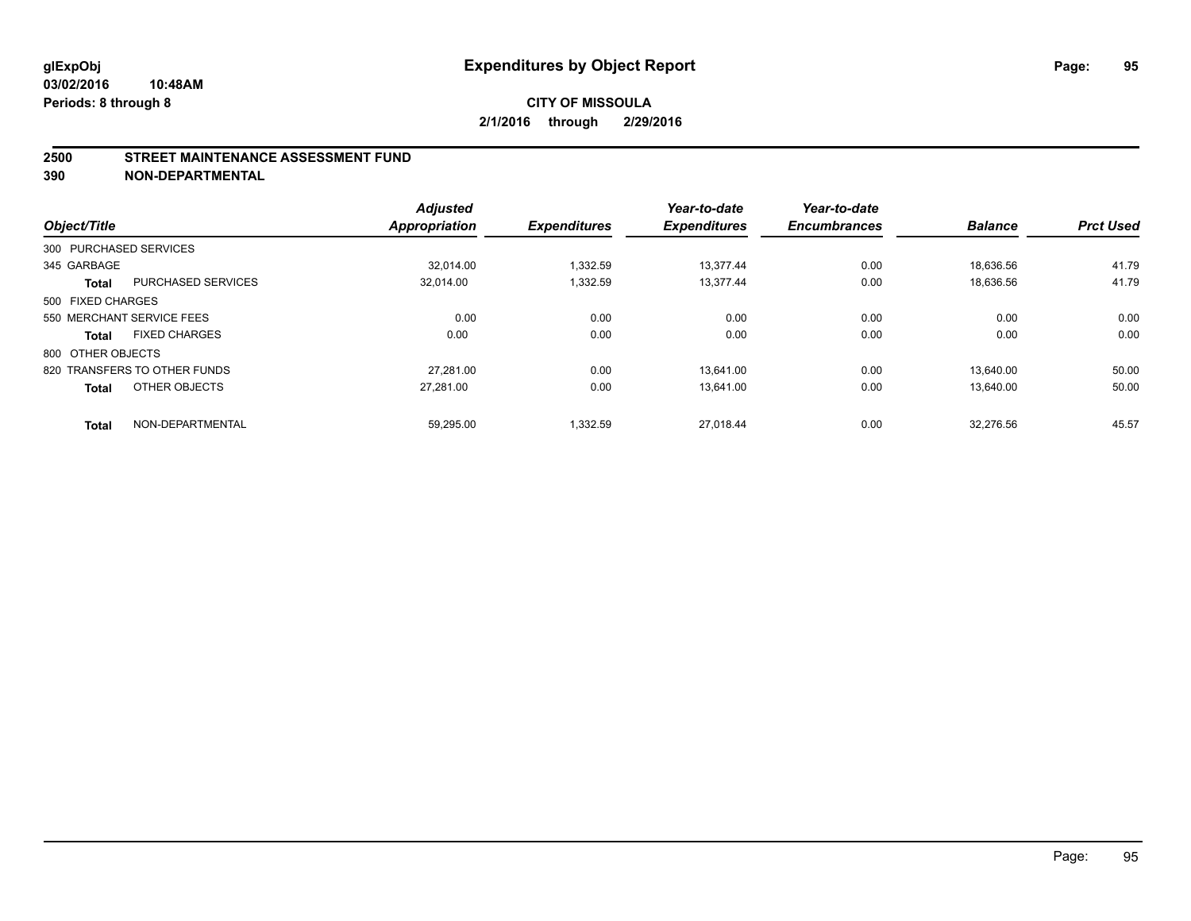#### **2500 STREET MAINTENANCE ASSESSMENT FUND**

**390 NON-DEPARTMENTAL**

| Object/Title           |                              | <b>Adjusted</b><br><b>Appropriation</b> | <b>Expenditures</b> | Year-to-date<br><b>Expenditures</b> | Year-to-date<br><b>Encumbrances</b> | <b>Balance</b> | <b>Prct Used</b> |
|------------------------|------------------------------|-----------------------------------------|---------------------|-------------------------------------|-------------------------------------|----------------|------------------|
|                        |                              |                                         |                     |                                     |                                     |                |                  |
| 300 PURCHASED SERVICES |                              |                                         |                     |                                     |                                     |                |                  |
| 345 GARBAGE            |                              | 32.014.00                               | 1,332.59            | 13,377.44                           | 0.00                                | 18,636.56      | 41.79            |
| <b>Total</b>           | <b>PURCHASED SERVICES</b>    | 32.014.00                               | 1,332.59            | 13.377.44                           | 0.00                                | 18.636.56      | 41.79            |
| 500 FIXED CHARGES      |                              |                                         |                     |                                     |                                     |                |                  |
|                        | 550 MERCHANT SERVICE FEES    | 0.00                                    | 0.00                | 0.00                                | 0.00                                | 0.00           | 0.00             |
| <b>Total</b>           | <b>FIXED CHARGES</b>         | 0.00                                    | 0.00                | 0.00                                | 0.00                                | 0.00           | 0.00             |
| 800 OTHER OBJECTS      |                              |                                         |                     |                                     |                                     |                |                  |
|                        | 820 TRANSFERS TO OTHER FUNDS | 27.281.00                               | 0.00                | 13.641.00                           | 0.00                                | 13.640.00      | 50.00            |
| <b>Total</b>           | OTHER OBJECTS                | 27,281.00                               | 0.00                | 13,641.00                           | 0.00                                | 13,640.00      | 50.00            |
|                        |                              |                                         |                     |                                     |                                     |                |                  |
| <b>Total</b>           | NON-DEPARTMENTAL             | 59,295.00                               | 1,332.59            | 27,018.44                           | 0.00                                | 32,276.56      | 45.57            |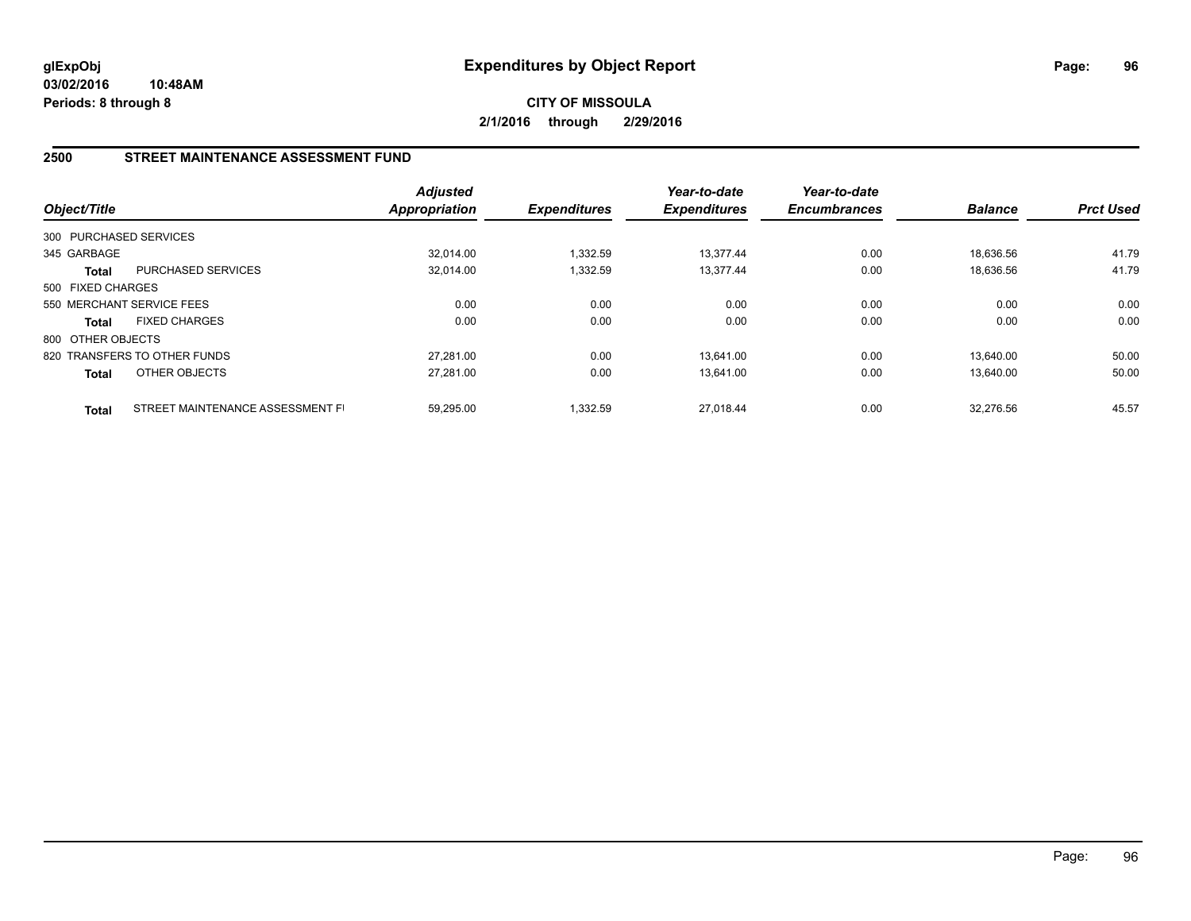### **2500 STREET MAINTENANCE ASSESSMENT FUND**

| Object/Title           |                                  | <b>Adjusted</b><br><b>Appropriation</b> | <b>Expenditures</b> | Year-to-date<br><b>Expenditures</b> | Year-to-date<br><b>Encumbrances</b> | <b>Balance</b> | <b>Prct Used</b> |
|------------------------|----------------------------------|-----------------------------------------|---------------------|-------------------------------------|-------------------------------------|----------------|------------------|
| 300 PURCHASED SERVICES |                                  |                                         |                     |                                     |                                     |                |                  |
| 345 GARBAGE            |                                  | 32.014.00                               | 1.332.59            | 13.377.44                           | 0.00                                | 18.636.56      | 41.79            |
| Total                  | <b>PURCHASED SERVICES</b>        | 32,014.00                               | 1,332.59            | 13,377.44                           | 0.00                                | 18,636.56      | 41.79            |
| 500 FIXED CHARGES      |                                  |                                         |                     |                                     |                                     |                |                  |
|                        | 550 MERCHANT SERVICE FEES        | 0.00                                    | 0.00                | 0.00                                | 0.00                                | 0.00           | 0.00             |
| <b>Total</b>           | <b>FIXED CHARGES</b>             | 0.00                                    | 0.00                | 0.00                                | 0.00                                | 0.00           | 0.00             |
| 800 OTHER OBJECTS      |                                  |                                         |                     |                                     |                                     |                |                  |
|                        | 820 TRANSFERS TO OTHER FUNDS     | 27.281.00                               | 0.00                | 13.641.00                           | 0.00                                | 13.640.00      | 50.00            |
| <b>Total</b>           | OTHER OBJECTS                    | 27,281.00                               | 0.00                | 13,641.00                           | 0.00                                | 13,640.00      | 50.00            |
| <b>Total</b>           | STREET MAINTENANCE ASSESSMENT FI | 59.295.00                               | 1.332.59            | 27.018.44                           | 0.00                                | 32.276.56      | 45.57            |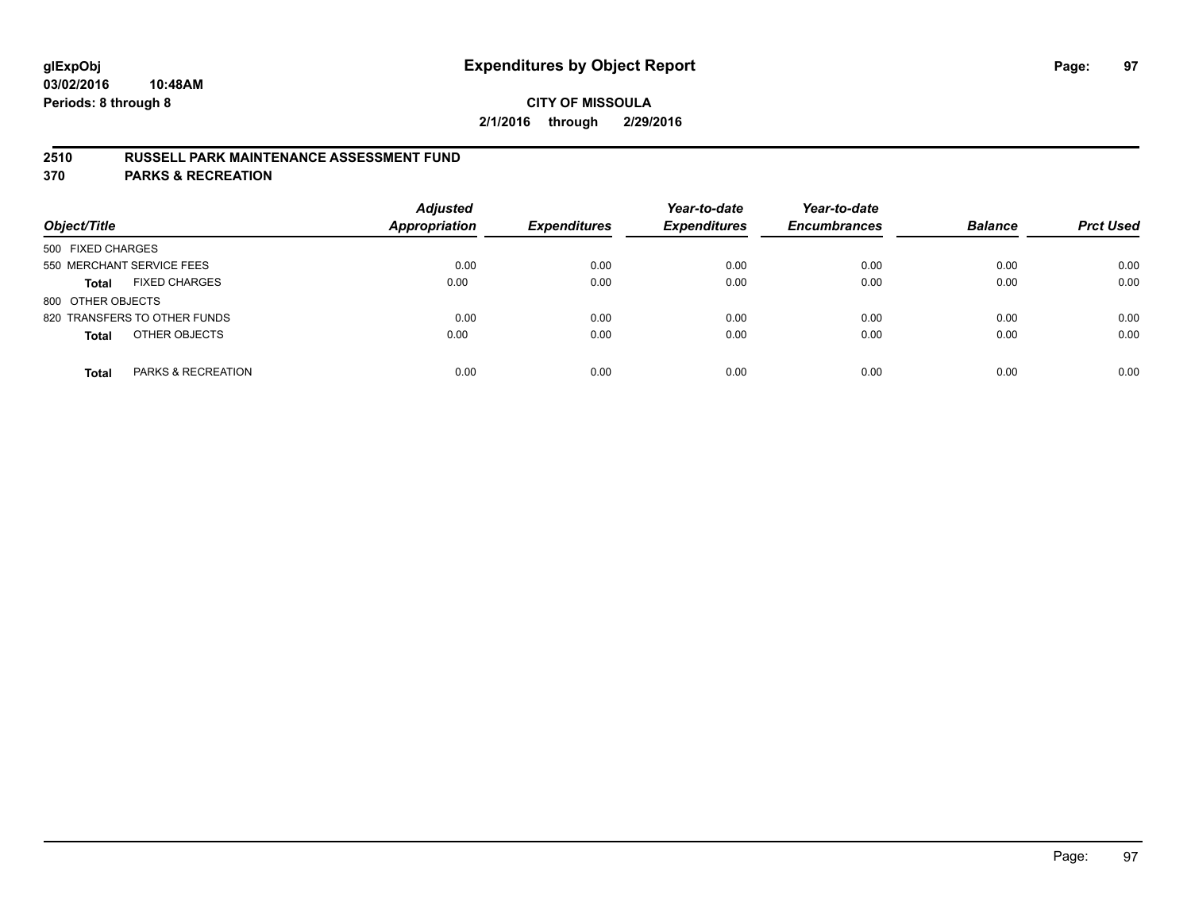### **2510 RUSSELL PARK MAINTENANCE ASSESSMENT FUND**

**370 PARKS & RECREATION**

| Object/Title                         | <b>Adjusted</b><br>Appropriation | <b>Expenditures</b> | Year-to-date<br><b>Expenditures</b> | Year-to-date<br><b>Encumbrances</b> | <b>Balance</b> | <b>Prct Used</b> |
|--------------------------------------|----------------------------------|---------------------|-------------------------------------|-------------------------------------|----------------|------------------|
| 500 FIXED CHARGES                    |                                  |                     |                                     |                                     |                |                  |
| 550 MERCHANT SERVICE FEES            | 0.00                             | 0.00                | 0.00                                | 0.00                                | 0.00           | 0.00             |
| <b>FIXED CHARGES</b><br><b>Total</b> | 0.00                             | 0.00                | 0.00                                | 0.00                                | 0.00           | 0.00             |
| 800 OTHER OBJECTS                    |                                  |                     |                                     |                                     |                |                  |
| 820 TRANSFERS TO OTHER FUNDS         | 0.00                             | 0.00                | 0.00                                | 0.00                                | 0.00           | 0.00             |
| OTHER OBJECTS<br><b>Total</b>        | 0.00                             | 0.00                | 0.00                                | 0.00                                | 0.00           | 0.00             |
| PARKS & RECREATION<br><b>Total</b>   | 0.00                             | 0.00                | 0.00                                | 0.00                                | 0.00           | 0.00             |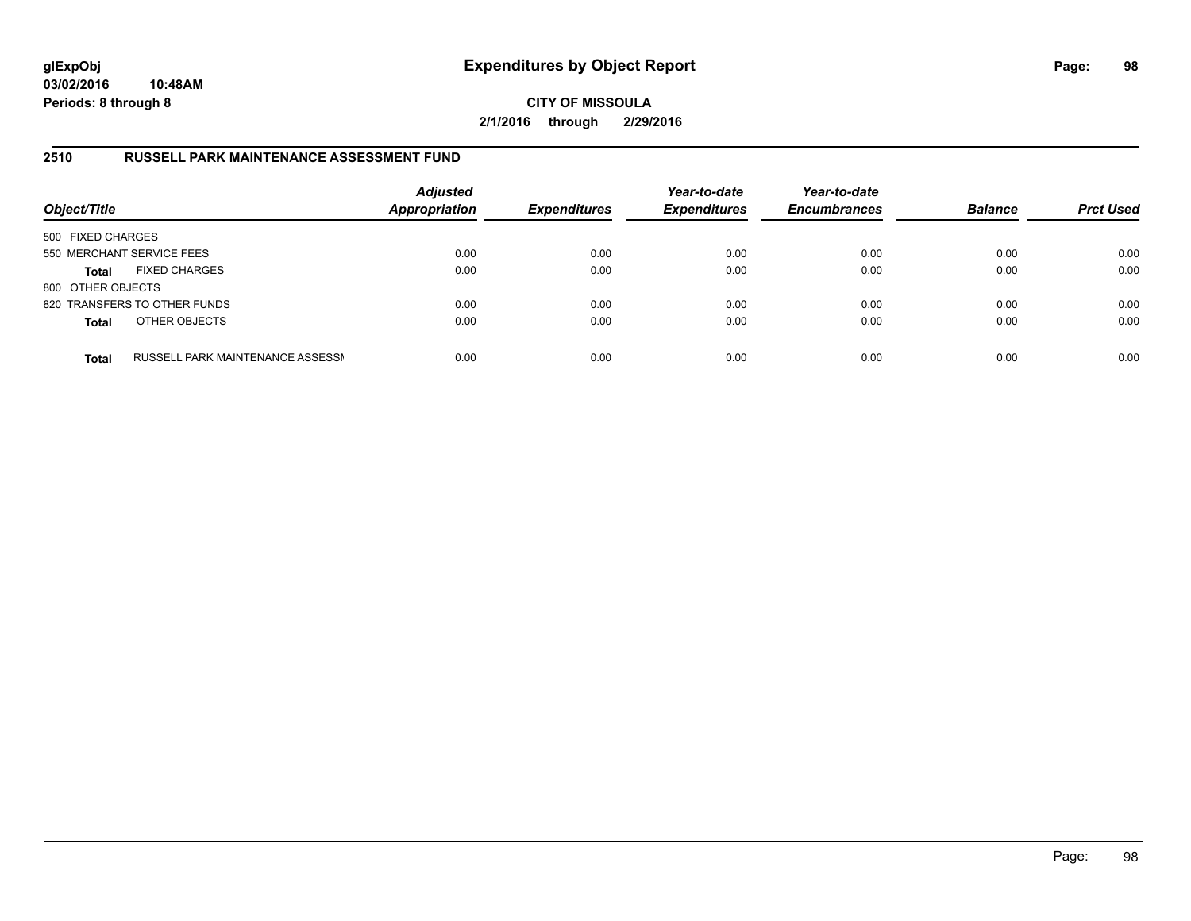## **CITY OF MISSOULA 2/1/2016 through 2/29/2016**

### **2510 RUSSELL PARK MAINTENANCE ASSESSMENT FUND**

| Object/Title              |                                  | <b>Adjusted</b><br><b>Appropriation</b> | <b>Expenditures</b> | Year-to-date<br><b>Expenditures</b> | Year-to-date<br><b>Encumbrances</b> | <b>Balance</b> | <b>Prct Used</b> |
|---------------------------|----------------------------------|-----------------------------------------|---------------------|-------------------------------------|-------------------------------------|----------------|------------------|
| 500 FIXED CHARGES         |                                  |                                         |                     |                                     |                                     |                |                  |
| 550 MERCHANT SERVICE FEES |                                  | 0.00                                    | 0.00                | 0.00                                | 0.00                                | 0.00           | 0.00             |
| <b>Total</b>              | <b>FIXED CHARGES</b>             | 0.00                                    | 0.00                | 0.00                                | 0.00                                | 0.00           | 0.00             |
| 800 OTHER OBJECTS         |                                  |                                         |                     |                                     |                                     |                |                  |
|                           | 820 TRANSFERS TO OTHER FUNDS     | 0.00                                    | 0.00                | 0.00                                | 0.00                                | 0.00           | 0.00             |
| <b>Total</b>              | OTHER OBJECTS                    | 0.00                                    | 0.00                | 0.00                                | 0.00                                | 0.00           | 0.00             |
| <b>Total</b>              | RUSSELL PARK MAINTENANCE ASSESSN | 0.00                                    | 0.00                | 0.00                                | 0.00                                | 0.00           | 0.00             |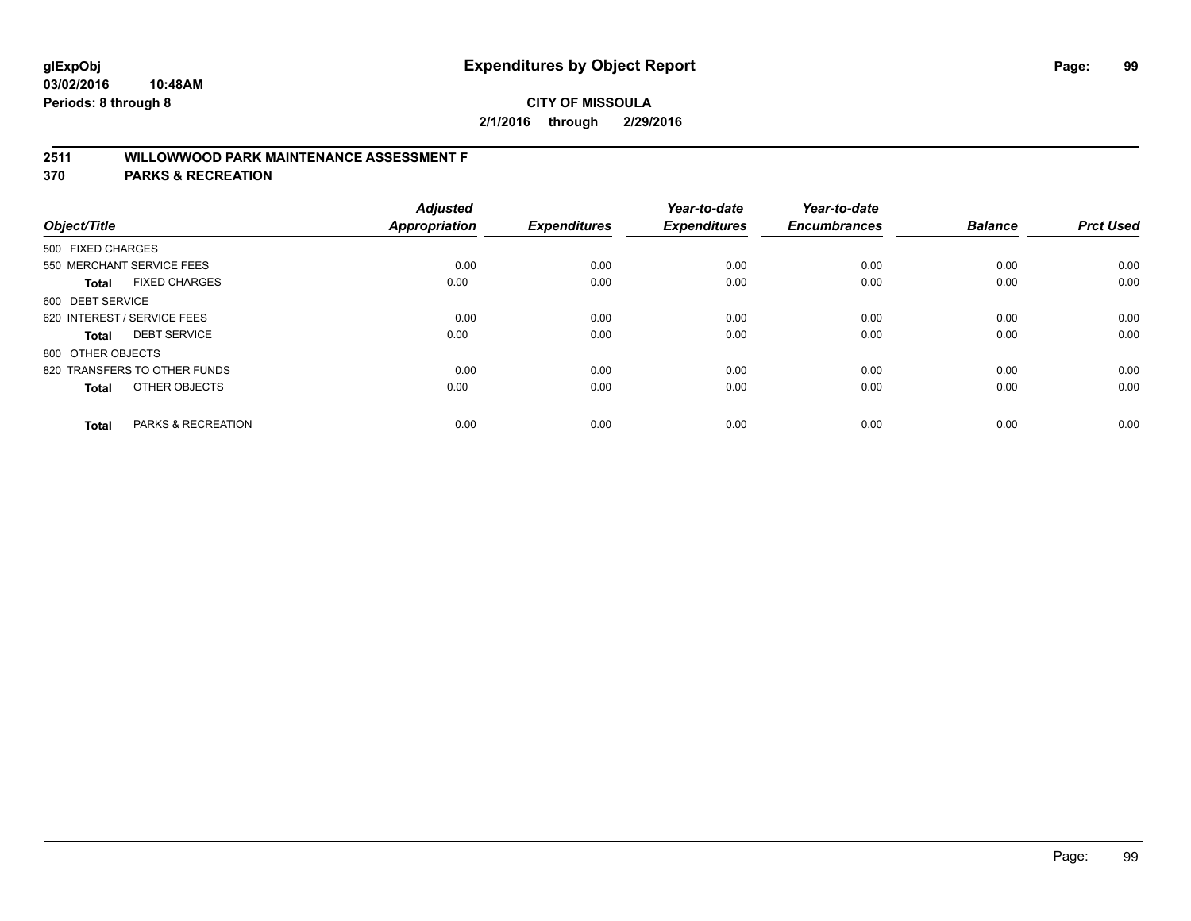## **2511 WILLOWWOOD PARK MAINTENANCE ASSESSMENT F**

**370 PARKS & RECREATION**

| Object/Title                |                               | <b>Adjusted</b><br><b>Appropriation</b> | <b>Expenditures</b> | Year-to-date<br><b>Expenditures</b> | Year-to-date<br><b>Encumbrances</b> | <b>Balance</b> | <b>Prct Used</b> |
|-----------------------------|-------------------------------|-----------------------------------------|---------------------|-------------------------------------|-------------------------------------|----------------|------------------|
| 500 FIXED CHARGES           |                               |                                         |                     |                                     |                                     |                |                  |
|                             | 550 MERCHANT SERVICE FEES     | 0.00                                    | 0.00                | 0.00                                | 0.00                                | 0.00           | 0.00             |
| <b>Total</b>                | <b>FIXED CHARGES</b>          | 0.00                                    | 0.00                | 0.00                                | 0.00                                | 0.00           | 0.00             |
| 600 DEBT SERVICE            |                               |                                         |                     |                                     |                                     |                |                  |
| 620 INTEREST / SERVICE FEES |                               | 0.00                                    | 0.00                | 0.00                                | 0.00                                | 0.00           | 0.00             |
| Total                       | <b>DEBT SERVICE</b>           | 0.00                                    | 0.00                | 0.00                                | 0.00                                | 0.00           | 0.00             |
| 800 OTHER OBJECTS           |                               |                                         |                     |                                     |                                     |                |                  |
|                             | 820 TRANSFERS TO OTHER FUNDS  | 0.00                                    | 0.00                | 0.00                                | 0.00                                | 0.00           | 0.00             |
| Total                       | OTHER OBJECTS                 | 0.00                                    | 0.00                | 0.00                                | 0.00                                | 0.00           | 0.00             |
|                             |                               |                                         |                     |                                     |                                     |                |                  |
| <b>Total</b>                | <b>PARKS &amp; RECREATION</b> | 0.00                                    | 0.00                | 0.00                                | 0.00                                | 0.00           | 0.00             |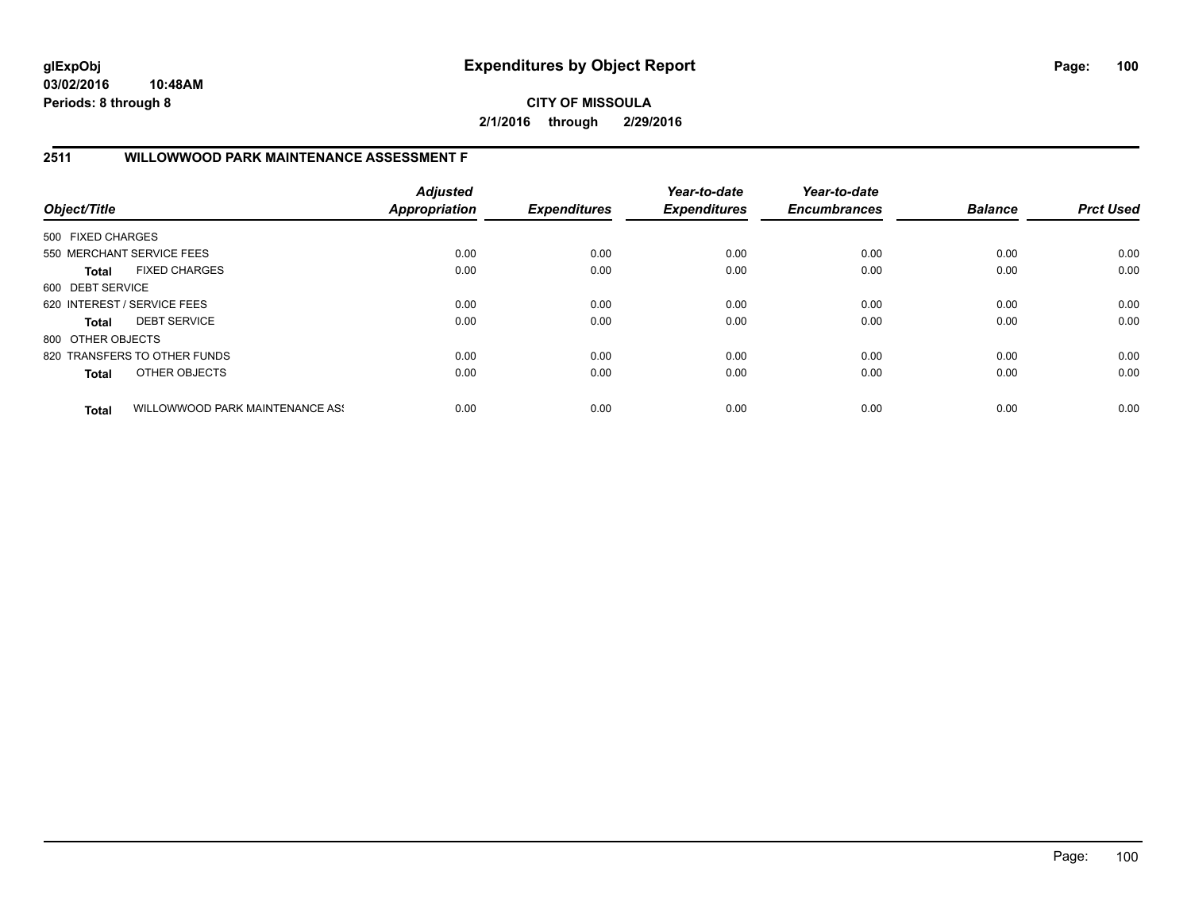## **2511 WILLOWWOOD PARK MAINTENANCE ASSESSMENT F**

| Object/Title      |                                 | <b>Adjusted</b><br>Appropriation | <b>Expenditures</b> | Year-to-date<br><b>Expenditures</b> | Year-to-date<br><b>Encumbrances</b> | <b>Balance</b> | <b>Prct Used</b> |
|-------------------|---------------------------------|----------------------------------|---------------------|-------------------------------------|-------------------------------------|----------------|------------------|
| 500 FIXED CHARGES |                                 |                                  |                     |                                     |                                     |                |                  |
|                   | 550 MERCHANT SERVICE FEES       | 0.00                             | 0.00                | 0.00                                | 0.00                                | 0.00           | 0.00             |
| <b>Total</b>      | <b>FIXED CHARGES</b>            | 0.00                             | 0.00                | 0.00                                | 0.00                                | 0.00           | 0.00             |
| 600 DEBT SERVICE  |                                 |                                  |                     |                                     |                                     |                |                  |
|                   | 620 INTEREST / SERVICE FEES     | 0.00                             | 0.00                | 0.00                                | 0.00                                | 0.00           | 0.00             |
| <b>Total</b>      | <b>DEBT SERVICE</b>             | 0.00                             | 0.00                | 0.00                                | 0.00                                | 0.00           | 0.00             |
| 800 OTHER OBJECTS |                                 |                                  |                     |                                     |                                     |                |                  |
|                   | 820 TRANSFERS TO OTHER FUNDS    | 0.00                             | 0.00                | 0.00                                | 0.00                                | 0.00           | 0.00             |
| <b>Total</b>      | OTHER OBJECTS                   | 0.00                             | 0.00                | 0.00                                | 0.00                                | 0.00           | 0.00             |
| <b>Total</b>      | WILLOWWOOD PARK MAINTENANCE ASS | 0.00                             | 0.00                | 0.00                                | 0.00                                | 0.00           | 0.00             |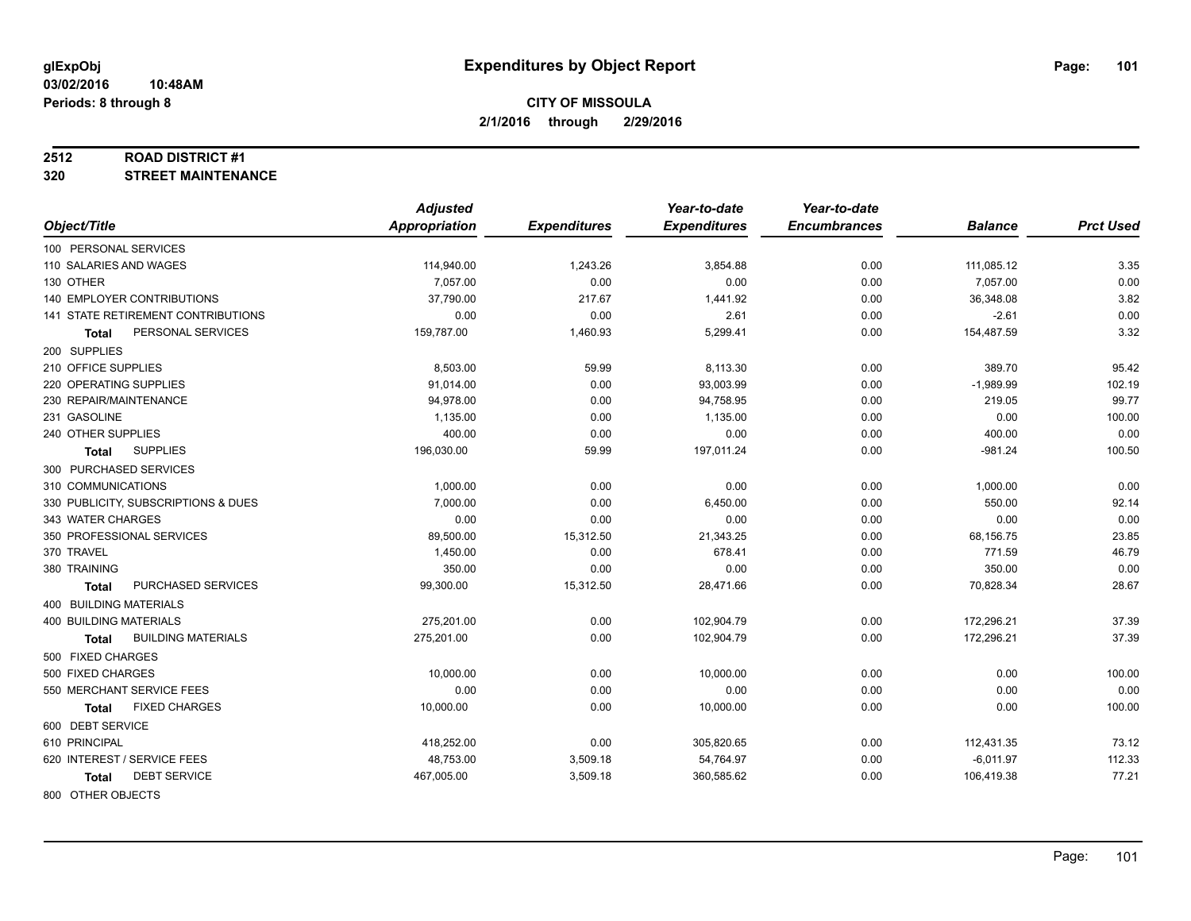#### **2512 ROAD DISTRICT #1**

**320 STREET MAINTENANCE**

|                                      | <b>Adjusted</b> |                     | Year-to-date        | Year-to-date        |                |                  |
|--------------------------------------|-----------------|---------------------|---------------------|---------------------|----------------|------------------|
| Object/Title                         | Appropriation   | <b>Expenditures</b> | <b>Expenditures</b> | <b>Encumbrances</b> | <b>Balance</b> | <b>Prct Used</b> |
| 100 PERSONAL SERVICES                |                 |                     |                     |                     |                |                  |
| 110 SALARIES AND WAGES               | 114,940.00      | 1,243.26            | 3,854.88            | 0.00                | 111,085.12     | 3.35             |
| 130 OTHER                            | 7.057.00        | 0.00                | 0.00                | 0.00                | 7,057.00       | 0.00             |
| <b>140 EMPLOYER CONTRIBUTIONS</b>    | 37,790.00       | 217.67              | 1,441.92            | 0.00                | 36,348.08      | 3.82             |
| 141 STATE RETIREMENT CONTRIBUTIONS   | 0.00            | 0.00                | 2.61                | 0.00                | $-2.61$        | 0.00             |
| PERSONAL SERVICES<br>Total           | 159,787.00      | 1,460.93            | 5,299.41            | 0.00                | 154,487.59     | 3.32             |
| 200 SUPPLIES                         |                 |                     |                     |                     |                |                  |
| 210 OFFICE SUPPLIES                  | 8,503.00        | 59.99               | 8,113.30            | 0.00                | 389.70         | 95.42            |
| 220 OPERATING SUPPLIES               | 91,014.00       | 0.00                | 93,003.99           | 0.00                | $-1,989.99$    | 102.19           |
| 230 REPAIR/MAINTENANCE               | 94,978.00       | 0.00                | 94,758.95           | 0.00                | 219.05         | 99.77            |
| 231 GASOLINE                         | 1,135.00        | 0.00                | 1,135.00            | 0.00                | 0.00           | 100.00           |
| 240 OTHER SUPPLIES                   | 400.00          | 0.00                | 0.00                | 0.00                | 400.00         | 0.00             |
| <b>SUPPLIES</b><br>Total             | 196,030.00      | 59.99               | 197,011.24          | 0.00                | $-981.24$      | 100.50           |
| 300 PURCHASED SERVICES               |                 |                     |                     |                     |                |                  |
| 310 COMMUNICATIONS                   | 1,000.00        | 0.00                | 0.00                | 0.00                | 1,000.00       | 0.00             |
| 330 PUBLICITY, SUBSCRIPTIONS & DUES  | 7,000.00        | 0.00                | 6,450.00            | 0.00                | 550.00         | 92.14            |
| 343 WATER CHARGES                    | 0.00            | 0.00                | 0.00                | 0.00                | 0.00           | 0.00             |
| 350 PROFESSIONAL SERVICES            | 89,500.00       | 15,312.50           | 21,343.25           | 0.00                | 68,156.75      | 23.85            |
| 370 TRAVEL                           | 1,450.00        | 0.00                | 678.41              | 0.00                | 771.59         | 46.79            |
| 380 TRAINING                         | 350.00          | 0.00                | 0.00                | 0.00                | 350.00         | 0.00             |
| PURCHASED SERVICES<br><b>Total</b>   | 99,300.00       | 15,312.50           | 28,471.66           | 0.00                | 70,828.34      | 28.67            |
| 400 BUILDING MATERIALS               |                 |                     |                     |                     |                |                  |
| 400 BUILDING MATERIALS               | 275,201.00      | 0.00                | 102,904.79          | 0.00                | 172,296.21     | 37.39            |
| <b>BUILDING MATERIALS</b><br>Total   | 275,201.00      | 0.00                | 102,904.79          | 0.00                | 172,296.21     | 37.39            |
| 500 FIXED CHARGES                    |                 |                     |                     |                     |                |                  |
| 500 FIXED CHARGES                    | 10,000.00       | 0.00                | 10,000.00           | 0.00                | 0.00           | 100.00           |
| 550 MERCHANT SERVICE FEES            | 0.00            | 0.00                | 0.00                | 0.00                | 0.00           | 0.00             |
| <b>FIXED CHARGES</b><br><b>Total</b> | 10,000.00       | 0.00                | 10,000.00           | 0.00                | 0.00           | 100.00           |
| 600 DEBT SERVICE                     |                 |                     |                     |                     |                |                  |
| 610 PRINCIPAL                        | 418,252.00      | 0.00                | 305,820.65          | 0.00                | 112,431.35     | 73.12            |
| 620 INTEREST / SERVICE FEES          | 48,753.00       | 3,509.18            | 54,764.97           | 0.00                | $-6,011.97$    | 112.33           |
| <b>DEBT SERVICE</b><br>Total         | 467,005.00      | 3,509.18            | 360,585.62          | 0.00                | 106,419.38     | 77.21            |
|                                      |                 |                     |                     |                     |                |                  |

800 OTHER OBJECTS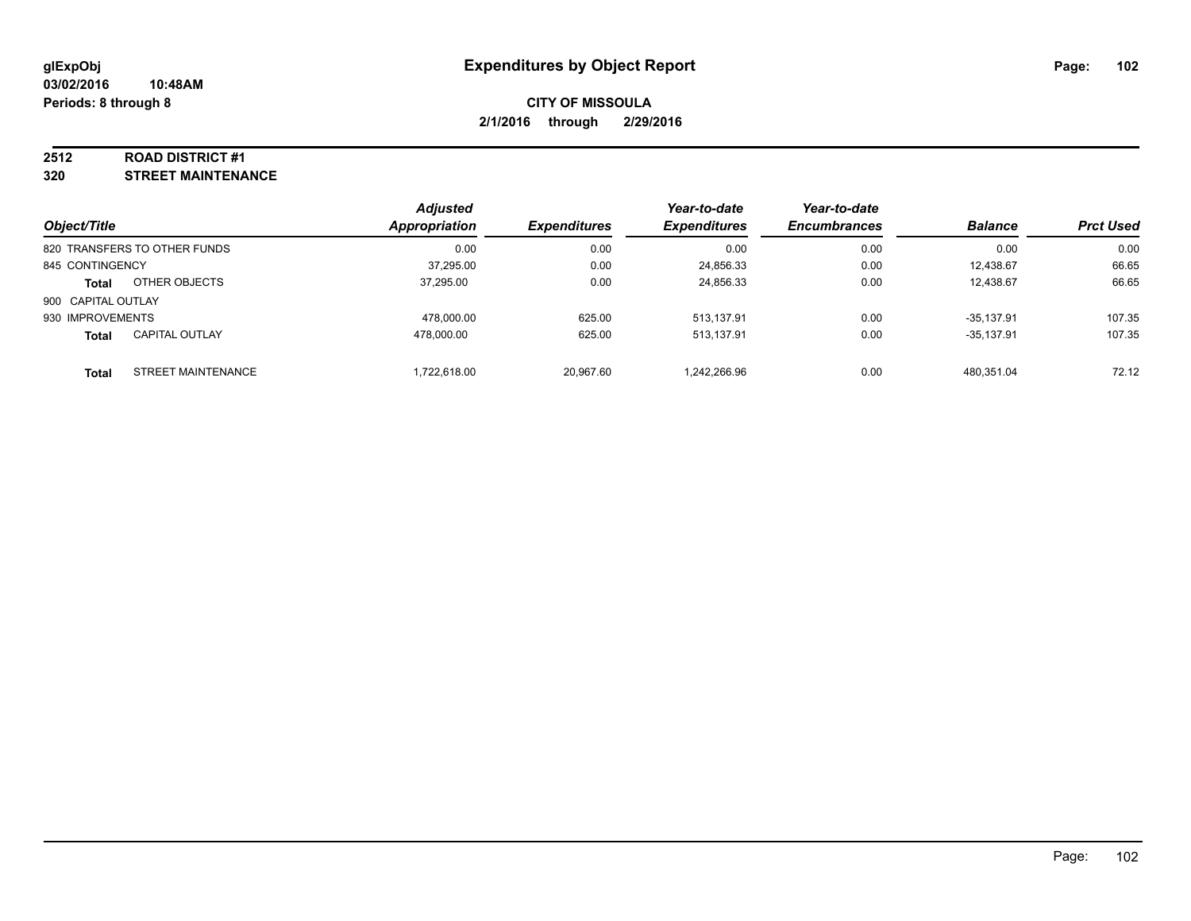#### **2512 ROAD DISTRICT #1**

**320 STREET MAINTENANCE**

| Object/Title       |                              | <b>Adjusted</b><br><b>Appropriation</b> | <b>Expenditures</b> | Year-to-date<br><b>Expenditures</b> | Year-to-date<br><b>Encumbrances</b> | <b>Balance</b> | <b>Prct Used</b> |
|--------------------|------------------------------|-----------------------------------------|---------------------|-------------------------------------|-------------------------------------|----------------|------------------|
|                    | 820 TRANSFERS TO OTHER FUNDS | 0.00                                    | 0.00                | 0.00                                | 0.00                                | 0.00           | 0.00             |
| 845 CONTINGENCY    |                              | 37.295.00                               | 0.00                | 24,856.33                           | 0.00                                | 12.438.67      | 66.65            |
| <b>Total</b>       | OTHER OBJECTS                | 37.295.00                               | 0.00                | 24,856.33                           | 0.00                                | 12.438.67      | 66.65            |
| 900 CAPITAL OUTLAY |                              |                                         |                     |                                     |                                     |                |                  |
| 930 IMPROVEMENTS   |                              | 478.000.00                              | 625.00              | 513.137.91                          | 0.00                                | $-35.137.91$   | 107.35           |
| <b>Total</b>       | <b>CAPITAL OUTLAY</b>        | 478.000.00                              | 625.00              | 513.137.91                          | 0.00                                | $-35.137.91$   | 107.35           |
| <b>Total</b>       | STREET MAINTENANCE           | 1,722,618.00                            | 20,967.60           | 1,242,266.96                        | 0.00                                | 480,351.04     | 72.12            |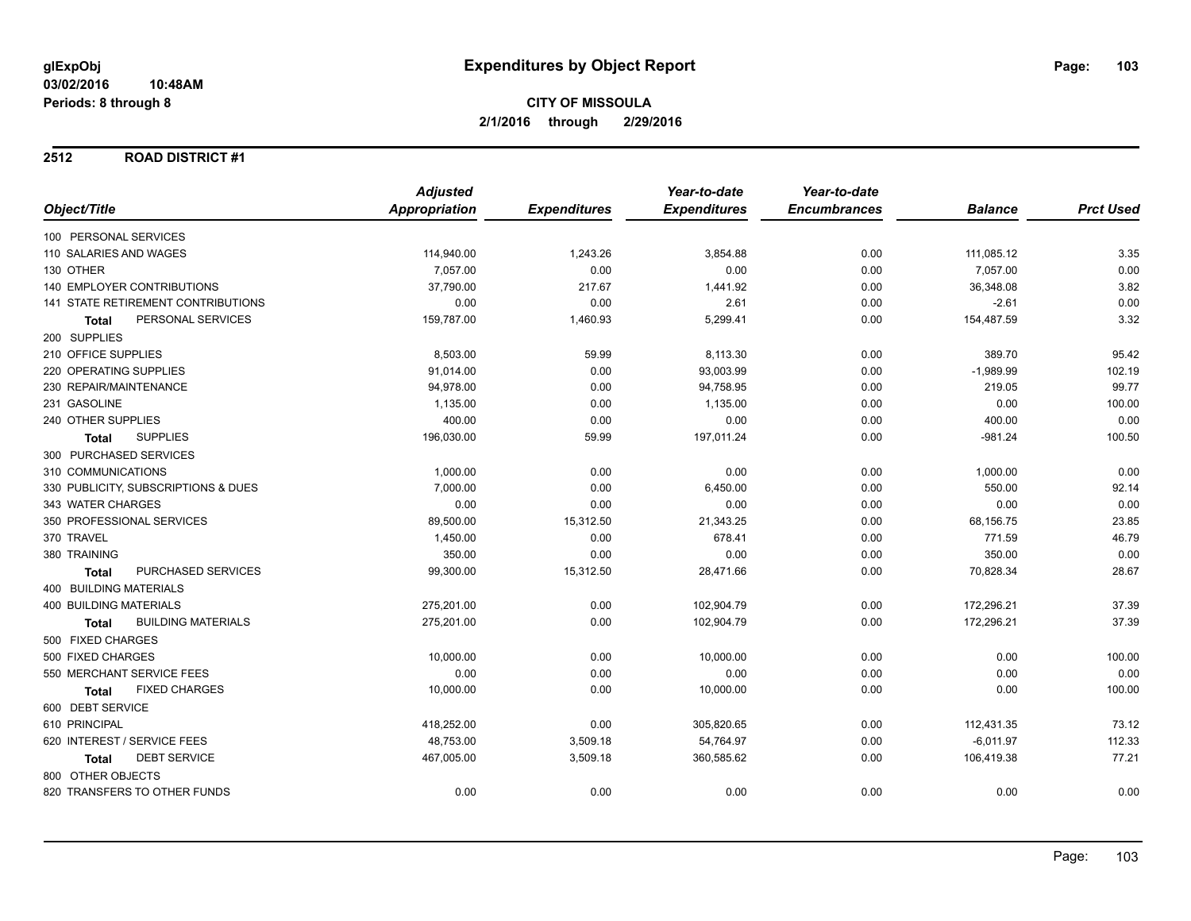### **2512 ROAD DISTRICT #1**

|                                           | <b>Adjusted</b> |                     | Year-to-date        | Year-to-date        |                |                  |  |
|-------------------------------------------|-----------------|---------------------|---------------------|---------------------|----------------|------------------|--|
| Object/Title                              | Appropriation   | <b>Expenditures</b> | <b>Expenditures</b> | <b>Encumbrances</b> | <b>Balance</b> | <b>Prct Used</b> |  |
| 100 PERSONAL SERVICES                     |                 |                     |                     |                     |                |                  |  |
| 110 SALARIES AND WAGES                    | 114,940.00      | 1,243.26            | 3,854.88            | 0.00                | 111,085.12     | 3.35             |  |
| 130 OTHER                                 | 7,057.00        | 0.00                | 0.00                | 0.00                | 7,057.00       | 0.00             |  |
| <b>140 EMPLOYER CONTRIBUTIONS</b>         | 37,790.00       | 217.67              | 1,441.92            | 0.00                | 36,348.08      | 3.82             |  |
| 141 STATE RETIREMENT CONTRIBUTIONS        | 0.00            | 0.00                | 2.61                | 0.00                | $-2.61$        | 0.00             |  |
| PERSONAL SERVICES<br><b>Total</b>         | 159,787.00      | 1,460.93            | 5,299.41            | 0.00                | 154,487.59     | 3.32             |  |
| 200 SUPPLIES                              |                 |                     |                     |                     |                |                  |  |
| 210 OFFICE SUPPLIES                       | 8,503.00        | 59.99               | 8,113.30            | 0.00                | 389.70         | 95.42            |  |
| 220 OPERATING SUPPLIES                    | 91,014.00       | 0.00                | 93,003.99           | 0.00                | $-1,989.99$    | 102.19           |  |
| 230 REPAIR/MAINTENANCE                    | 94,978.00       | 0.00                | 94,758.95           | 0.00                | 219.05         | 99.77            |  |
| 231 GASOLINE                              | 1,135.00        | 0.00                | 1,135.00            | 0.00                | 0.00           | 100.00           |  |
| 240 OTHER SUPPLIES                        | 400.00          | 0.00                | 0.00                | 0.00                | 400.00         | 0.00             |  |
| <b>SUPPLIES</b><br><b>Total</b>           | 196,030.00      | 59.99               | 197,011.24          | 0.00                | $-981.24$      | 100.50           |  |
| 300 PURCHASED SERVICES                    |                 |                     |                     |                     |                |                  |  |
| 310 COMMUNICATIONS                        | 1,000.00        | 0.00                | 0.00                | 0.00                | 1,000.00       | 0.00             |  |
| 330 PUBLICITY, SUBSCRIPTIONS & DUES       | 7,000.00        | 0.00                | 6,450.00            | 0.00                | 550.00         | 92.14            |  |
| 343 WATER CHARGES                         | 0.00            | 0.00                | 0.00                | 0.00                | 0.00           | 0.00             |  |
| 350 PROFESSIONAL SERVICES                 | 89,500.00       | 15,312.50           | 21,343.25           | 0.00                | 68,156.75      | 23.85            |  |
| 370 TRAVEL                                | 1,450.00        | 0.00                | 678.41              | 0.00                | 771.59         | 46.79            |  |
| 380 TRAINING                              | 350.00          | 0.00                | 0.00                | 0.00                | 350.00         | 0.00             |  |
| <b>PURCHASED SERVICES</b><br><b>Total</b> | 99,300.00       | 15,312.50           | 28,471.66           | 0.00                | 70,828.34      | 28.67            |  |
| <b>400 BUILDING MATERIALS</b>             |                 |                     |                     |                     |                |                  |  |
| <b>400 BUILDING MATERIALS</b>             | 275,201.00      | 0.00                | 102,904.79          | 0.00                | 172,296.21     | 37.39            |  |
| <b>BUILDING MATERIALS</b><br><b>Total</b> | 275,201.00      | 0.00                | 102,904.79          | 0.00                | 172,296.21     | 37.39            |  |
| 500 FIXED CHARGES                         |                 |                     |                     |                     |                |                  |  |
| 500 FIXED CHARGES                         | 10,000.00       | 0.00                | 10,000.00           | 0.00                | 0.00           | 100.00           |  |
| 550 MERCHANT SERVICE FEES                 | 0.00            | 0.00                | 0.00                | 0.00                | 0.00           | 0.00             |  |
| <b>FIXED CHARGES</b><br><b>Total</b>      | 10,000.00       | 0.00                | 10,000.00           | 0.00                | 0.00           | 100.00           |  |
| 600 DEBT SERVICE                          |                 |                     |                     |                     |                |                  |  |
| 610 PRINCIPAL                             | 418,252.00      | 0.00                | 305,820.65          | 0.00                | 112,431.35     | 73.12            |  |
| 620 INTEREST / SERVICE FEES               | 48,753.00       | 3,509.18            | 54,764.97           | 0.00                | $-6,011.97$    | 112.33           |  |
| <b>DEBT SERVICE</b><br><b>Total</b>       | 467,005.00      | 3,509.18            | 360,585.62          | 0.00                | 106,419.38     | 77.21            |  |
| 800 OTHER OBJECTS                         |                 |                     |                     |                     |                |                  |  |
| 820 TRANSFERS TO OTHER FUNDS              | 0.00            | 0.00                | 0.00                | 0.00                | 0.00           | 0.00             |  |
|                                           |                 |                     |                     |                     |                |                  |  |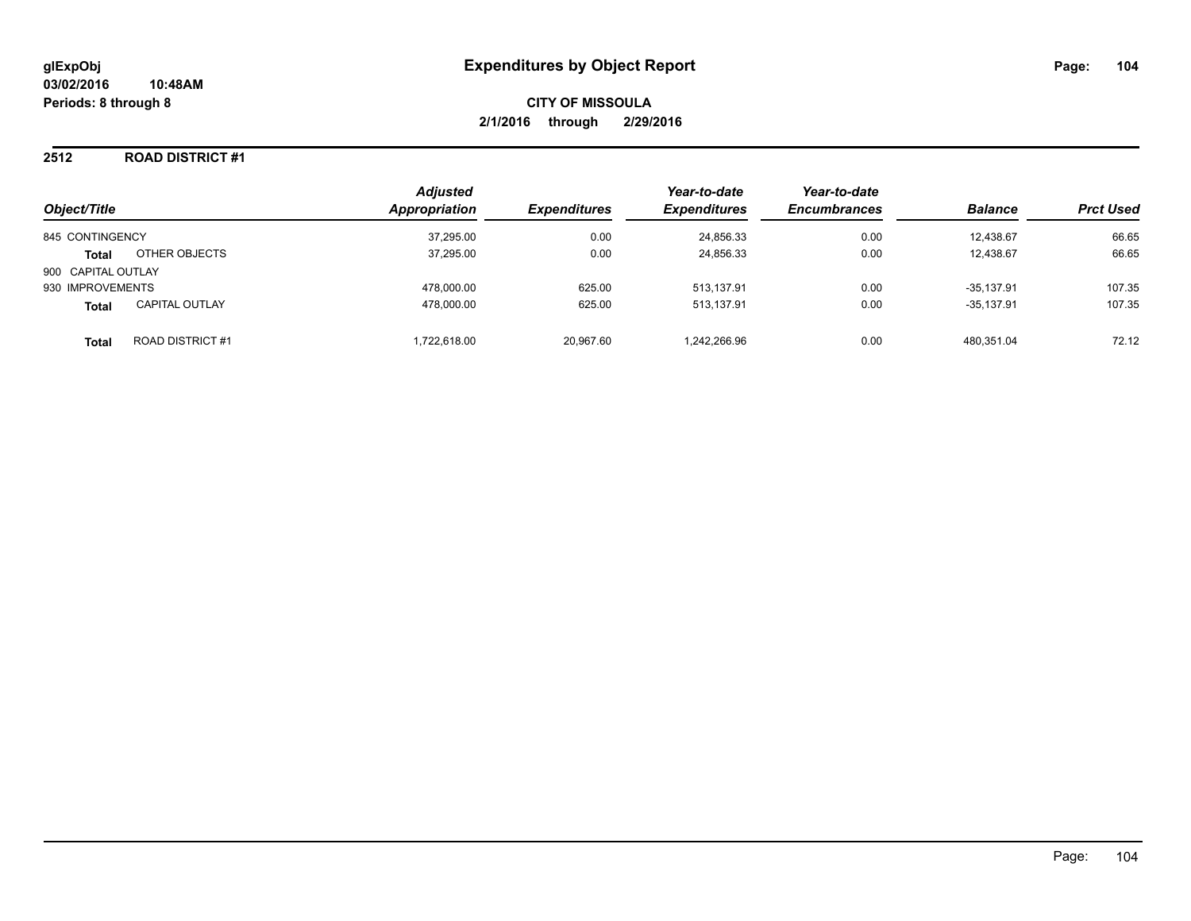### **2512 ROAD DISTRICT #1**

| Object/Title       |                        | <b>Adjusted</b><br>Appropriation<br><b>Expenditures</b> | Year-to-date<br><b>Expenditures</b> | Year-to-date<br><b>Encumbrances</b> | <b>Balance</b> | <b>Prct Used</b> |        |
|--------------------|------------------------|---------------------------------------------------------|-------------------------------------|-------------------------------------|----------------|------------------|--------|
| 845 CONTINGENCY    |                        | 37,295.00                                               | 0.00                                | 24,856.33                           | 0.00           | 12.438.67        | 66.65  |
| <b>Total</b>       | OTHER OBJECTS          | 37,295.00                                               | 0.00                                | 24,856.33                           | 0.00           | 12,438.67        | 66.65  |
| 900 CAPITAL OUTLAY |                        |                                                         |                                     |                                     |                |                  |        |
| 930 IMPROVEMENTS   |                        | 478.000.00                                              | 625.00                              | 513.137.91                          | 0.00           | $-35.137.91$     | 107.35 |
| <b>Total</b>       | <b>CAPITAL OUTLAY</b>  | 478.000.00                                              | 625.00                              | 513.137.91                          | 0.00           | $-35.137.91$     | 107.35 |
| <b>Total</b>       | <b>ROAD DISTRICT#1</b> | 1.722.618.00                                            | 20,967.60                           | 1.242.266.96                        | 0.00           | 480.351.04       | 72.12  |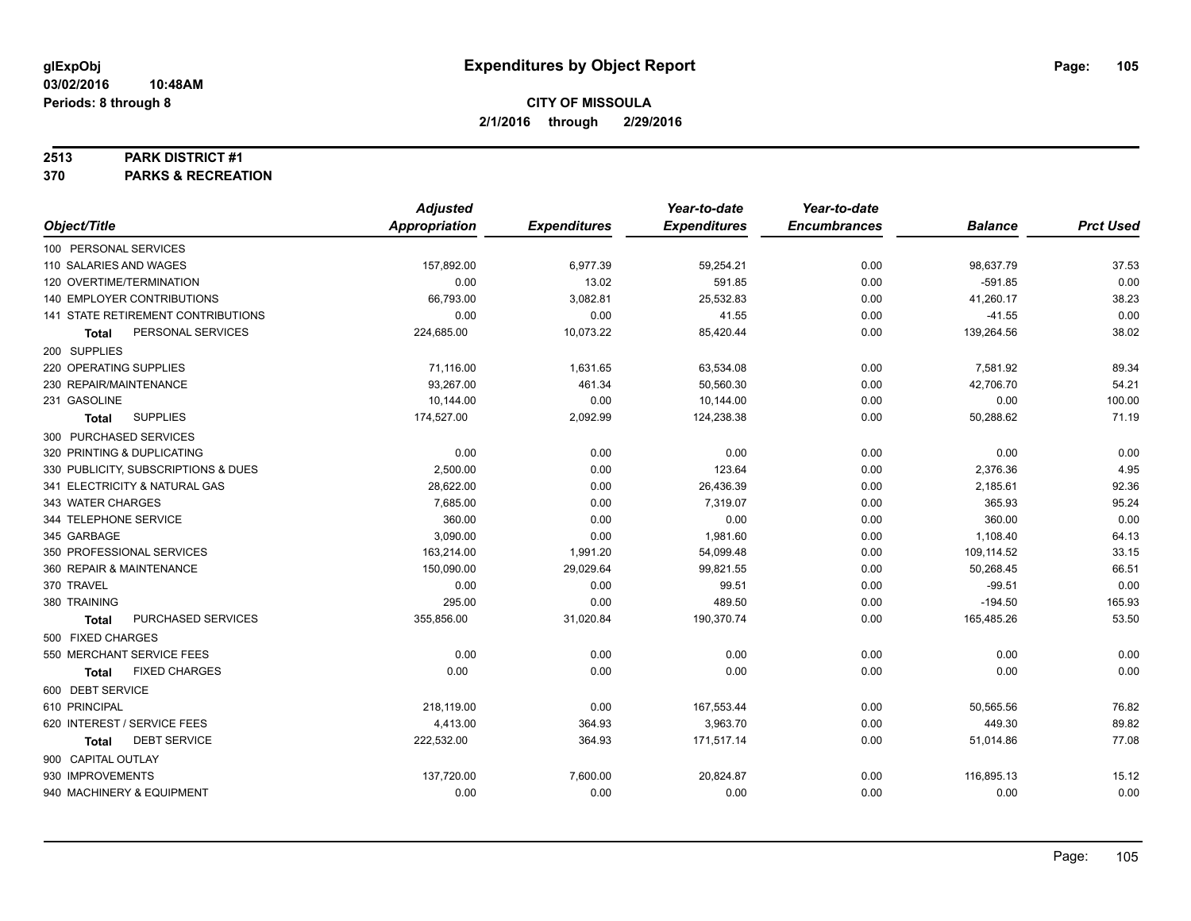#### **2513 PARK DISTRICT #1**

**370 PARKS & RECREATION**

|                                     | <b>Adjusted</b>      |                     | Year-to-date        | Year-to-date        |                |                  |
|-------------------------------------|----------------------|---------------------|---------------------|---------------------|----------------|------------------|
| Object/Title                        | <b>Appropriation</b> | <b>Expenditures</b> | <b>Expenditures</b> | <b>Encumbrances</b> | <b>Balance</b> | <b>Prct Used</b> |
| 100 PERSONAL SERVICES               |                      |                     |                     |                     |                |                  |
| 110 SALARIES AND WAGES              | 157,892.00           | 6,977.39            | 59,254.21           | 0.00                | 98,637.79      | 37.53            |
| 120 OVERTIME/TERMINATION            | 0.00                 | 13.02               | 591.85              | 0.00                | $-591.85$      | 0.00             |
| 140 EMPLOYER CONTRIBUTIONS          | 66,793.00            | 3,082.81            | 25,532.83           | 0.00                | 41,260.17      | 38.23            |
| 141 STATE RETIREMENT CONTRIBUTIONS  | 0.00                 | 0.00                | 41.55               | 0.00                | $-41.55$       | 0.00             |
| PERSONAL SERVICES<br>Total          | 224,685.00           | 10,073.22           | 85,420.44           | 0.00                | 139,264.56     | 38.02            |
| 200 SUPPLIES                        |                      |                     |                     |                     |                |                  |
| 220 OPERATING SUPPLIES              | 71,116.00            | 1,631.65            | 63,534.08           | 0.00                | 7,581.92       | 89.34            |
| 230 REPAIR/MAINTENANCE              | 93,267.00            | 461.34              | 50,560.30           | 0.00                | 42,706.70      | 54.21            |
| 231 GASOLINE                        | 10,144.00            | 0.00                | 10,144.00           | 0.00                | 0.00           | 100.00           |
| <b>SUPPLIES</b><br>Total            | 174,527.00           | 2,092.99            | 124,238.38          | 0.00                | 50,288.62      | 71.19            |
| 300 PURCHASED SERVICES              |                      |                     |                     |                     |                |                  |
| 320 PRINTING & DUPLICATING          | 0.00                 | 0.00                | 0.00                | 0.00                | 0.00           | 0.00             |
| 330 PUBLICITY, SUBSCRIPTIONS & DUES | 2,500.00             | 0.00                | 123.64              | 0.00                | 2,376.36       | 4.95             |
| 341 ELECTRICITY & NATURAL GAS       | 28,622.00            | 0.00                | 26,436.39           | 0.00                | 2,185.61       | 92.36            |
| 343 WATER CHARGES                   | 7,685.00             | 0.00                | 7,319.07            | 0.00                | 365.93         | 95.24            |
| 344 TELEPHONE SERVICE               | 360.00               | 0.00                | 0.00                | 0.00                | 360.00         | 0.00             |
| 345 GARBAGE                         | 3,090.00             | 0.00                | 1,981.60            | 0.00                | 1,108.40       | 64.13            |
| 350 PROFESSIONAL SERVICES           | 163,214.00           | 1,991.20            | 54,099.48           | 0.00                | 109,114.52     | 33.15            |
| 360 REPAIR & MAINTENANCE            | 150,090.00           | 29,029.64           | 99,821.55           | 0.00                | 50,268.45      | 66.51            |
| 370 TRAVEL                          | 0.00                 | 0.00                | 99.51               | 0.00                | $-99.51$       | 0.00             |
| 380 TRAINING                        | 295.00               | 0.00                | 489.50              | 0.00                | $-194.50$      | 165.93           |
| PURCHASED SERVICES<br><b>Total</b>  | 355,856.00           | 31,020.84           | 190,370.74          | 0.00                | 165,485.26     | 53.50            |
| 500 FIXED CHARGES                   |                      |                     |                     |                     |                |                  |
| 550 MERCHANT SERVICE FEES           | 0.00                 | 0.00                | 0.00                | 0.00                | 0.00           | 0.00             |
| <b>FIXED CHARGES</b><br>Total       | 0.00                 | 0.00                | 0.00                | 0.00                | 0.00           | 0.00             |
| 600 DEBT SERVICE                    |                      |                     |                     |                     |                |                  |
| 610 PRINCIPAL                       | 218,119.00           | 0.00                | 167,553.44          | 0.00                | 50,565.56      | 76.82            |
| 620 INTEREST / SERVICE FEES         | 4,413.00             | 364.93              | 3,963.70            | 0.00                | 449.30         | 89.82            |
| <b>DEBT SERVICE</b><br><b>Total</b> | 222,532.00           | 364.93              | 171,517.14          | 0.00                | 51,014.86      | 77.08            |
| 900 CAPITAL OUTLAY                  |                      |                     |                     |                     |                |                  |
| 930 IMPROVEMENTS                    | 137,720.00           | 7,600.00            | 20,824.87           | 0.00                | 116,895.13     | 15.12            |
| 940 MACHINERY & EQUIPMENT           | 0.00                 | 0.00                | 0.00                | 0.00                | 0.00           | 0.00             |
|                                     |                      |                     |                     |                     |                |                  |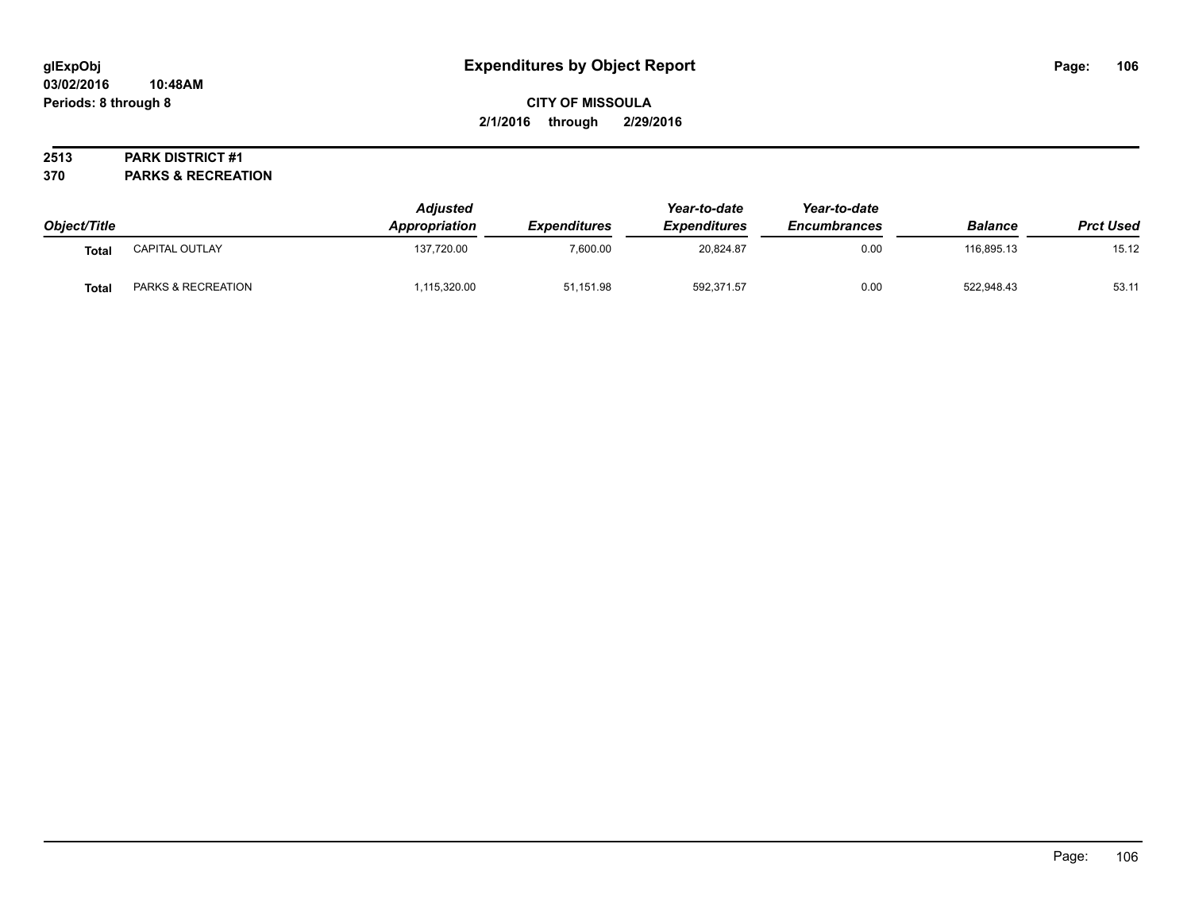## **CITY OF MISSOULA 2/1/2016 through 2/29/2016**

### **2513 PARK DISTRICT #1**

**370 PARKS & RECREATION**

| Object/Title |                    | <b>Adjusted</b><br><b>Appropriation</b> | <i><b>Expenditures</b></i> | Year-to-date<br><b>Expenditures</b> | Year-to-date<br><b>Encumbrances</b> | <b>Balance</b> | <b>Prct Used</b> |
|--------------|--------------------|-----------------------------------------|----------------------------|-------------------------------------|-------------------------------------|----------------|------------------|
| <b>Total</b> | CAPITAL OUTLAY     | 137,720.00                              | 7,600.00                   | 20,824.87                           | 0.00                                | 116.895.13     | 15.12            |
| <b>Total</b> | PARKS & RECREATION | .115.320.00                             | 51,151.98                  | 592,371.57                          | 0.00                                | 522.948.43     | 53.11            |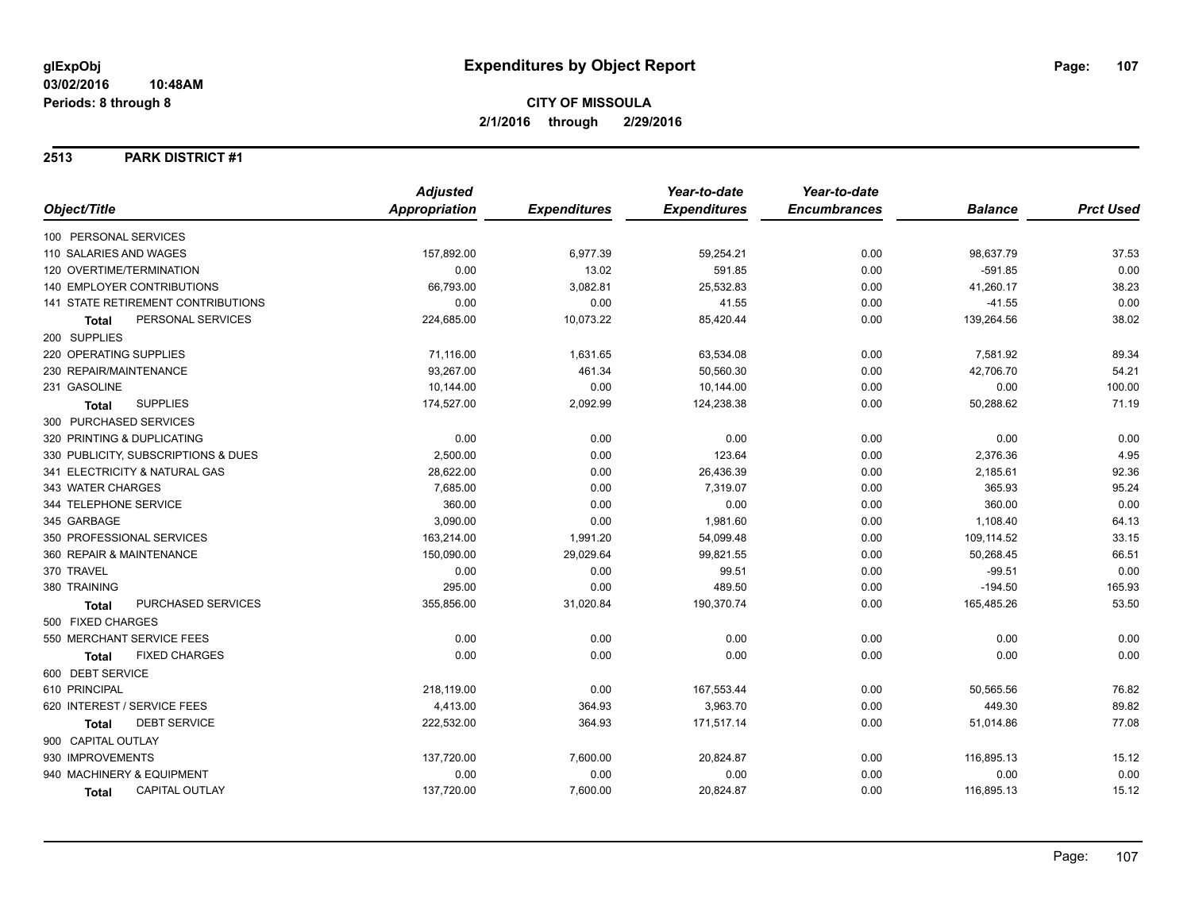### **2513 PARK DISTRICT #1**

|                                       | <b>Adjusted</b> |                     | Year-to-date        | Year-to-date        |                |                  |
|---------------------------------------|-----------------|---------------------|---------------------|---------------------|----------------|------------------|
| Object/Title                          | Appropriation   | <b>Expenditures</b> | <b>Expenditures</b> | <b>Encumbrances</b> | <b>Balance</b> | <b>Prct Used</b> |
| 100 PERSONAL SERVICES                 |                 |                     |                     |                     |                |                  |
| 110 SALARIES AND WAGES                | 157,892.00      | 6,977.39            | 59,254.21           | 0.00                | 98,637.79      | 37.53            |
| 120 OVERTIME/TERMINATION              | 0.00            | 13.02               | 591.85              | 0.00                | $-591.85$      | 0.00             |
| 140 EMPLOYER CONTRIBUTIONS            | 66,793.00       | 3,082.81            | 25,532.83           | 0.00                | 41,260.17      | 38.23            |
| 141 STATE RETIREMENT CONTRIBUTIONS    | 0.00            | 0.00                | 41.55               | 0.00                | $-41.55$       | 0.00             |
| PERSONAL SERVICES<br><b>Total</b>     | 224,685.00      | 10,073.22           | 85,420.44           | 0.00                | 139,264.56     | 38.02            |
| 200 SUPPLIES                          |                 |                     |                     |                     |                |                  |
| 220 OPERATING SUPPLIES                | 71,116.00       | 1,631.65            | 63,534.08           | 0.00                | 7,581.92       | 89.34            |
| 230 REPAIR/MAINTENANCE                | 93.267.00       | 461.34              | 50,560.30           | 0.00                | 42,706.70      | 54.21            |
| 231 GASOLINE                          | 10,144.00       | 0.00                | 10,144.00           | 0.00                | 0.00           | 100.00           |
| <b>SUPPLIES</b><br><b>Total</b>       | 174,527.00      | 2,092.99            | 124,238.38          | 0.00                | 50,288.62      | 71.19            |
| 300 PURCHASED SERVICES                |                 |                     |                     |                     |                |                  |
| 320 PRINTING & DUPLICATING            | 0.00            | 0.00                | 0.00                | 0.00                | 0.00           | 0.00             |
| 330 PUBLICITY, SUBSCRIPTIONS & DUES   | 2,500.00        | 0.00                | 123.64              | 0.00                | 2,376.36       | 4.95             |
| 341 ELECTRICITY & NATURAL GAS         | 28,622.00       | 0.00                | 26,436.39           | 0.00                | 2,185.61       | 92.36            |
| 343 WATER CHARGES                     | 7,685.00        | 0.00                | 7,319.07            | 0.00                | 365.93         | 95.24            |
| 344 TELEPHONE SERVICE                 | 360.00          | 0.00                | 0.00                | 0.00                | 360.00         | 0.00             |
| 345 GARBAGE                           | 3,090.00        | 0.00                | 1,981.60            | 0.00                | 1,108.40       | 64.13            |
| 350 PROFESSIONAL SERVICES             | 163,214.00      | 1,991.20            | 54,099.48           | 0.00                | 109,114.52     | 33.15            |
| 360 REPAIR & MAINTENANCE              | 150,090.00      | 29,029.64           | 99,821.55           | 0.00                | 50,268.45      | 66.51            |
| 370 TRAVEL                            | 0.00            | 0.00                | 99.51               | 0.00                | $-99.51$       | 0.00             |
| 380 TRAINING                          | 295.00          | 0.00                | 489.50              | 0.00                | $-194.50$      | 165.93           |
| PURCHASED SERVICES<br><b>Total</b>    | 355,856.00      | 31,020.84           | 190,370.74          | 0.00                | 165,485.26     | 53.50            |
| 500 FIXED CHARGES                     |                 |                     |                     |                     |                |                  |
| 550 MERCHANT SERVICE FEES             | 0.00            | 0.00                | 0.00                | 0.00                | 0.00           | 0.00             |
| <b>FIXED CHARGES</b><br><b>Total</b>  | 0.00            | 0.00                | 0.00                | 0.00                | 0.00           | 0.00             |
| 600 DEBT SERVICE                      |                 |                     |                     |                     |                |                  |
| 610 PRINCIPAL                         | 218,119.00      | 0.00                | 167,553.44          | 0.00                | 50,565.56      | 76.82            |
| 620 INTEREST / SERVICE FEES           | 4,413.00        | 364.93              | 3,963.70            | 0.00                | 449.30         | 89.82            |
| <b>DEBT SERVICE</b><br>Total          | 222,532.00      | 364.93              | 171,517.14          | 0.00                | 51,014.86      | 77.08            |
| 900 CAPITAL OUTLAY                    |                 |                     |                     |                     |                |                  |
| 930 IMPROVEMENTS                      | 137,720.00      | 7,600.00            | 20,824.87           | 0.00                | 116,895.13     | 15.12            |
| 940 MACHINERY & EQUIPMENT             | 0.00            | 0.00                | 0.00                | 0.00                | 0.00           | 0.00             |
| <b>CAPITAL OUTLAY</b><br><b>Total</b> | 137,720.00      | 7,600.00            | 20,824.87           | 0.00                | 116,895.13     | 15.12            |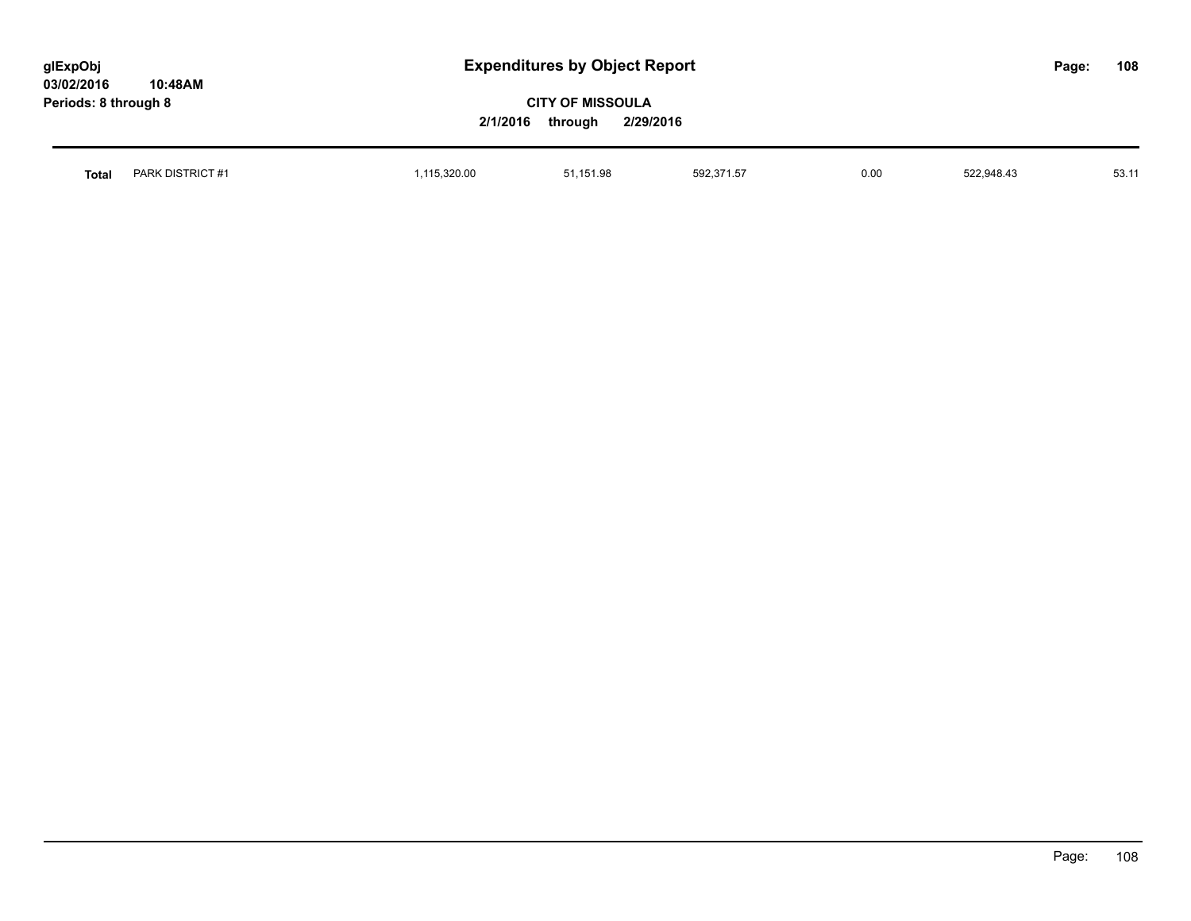| glExpObj<br>03/02/2016<br>10:48AM | <b>Expenditures by Object Report</b> |                                    |            |      |            | Page: | 108   |
|-----------------------------------|--------------------------------------|------------------------------------|------------|------|------------|-------|-------|
| Periods: 8 through 8              | 2/1/2016                             | <b>CITY OF MISSOULA</b><br>through | 2/29/2016  |      |            |       |       |
| PARK DISTRICT #1<br><b>Total</b>  | 1,115,320.00                         | 51,151.98                          | 592,371.57 | 0.00 | 522,948.43 |       | 53.11 |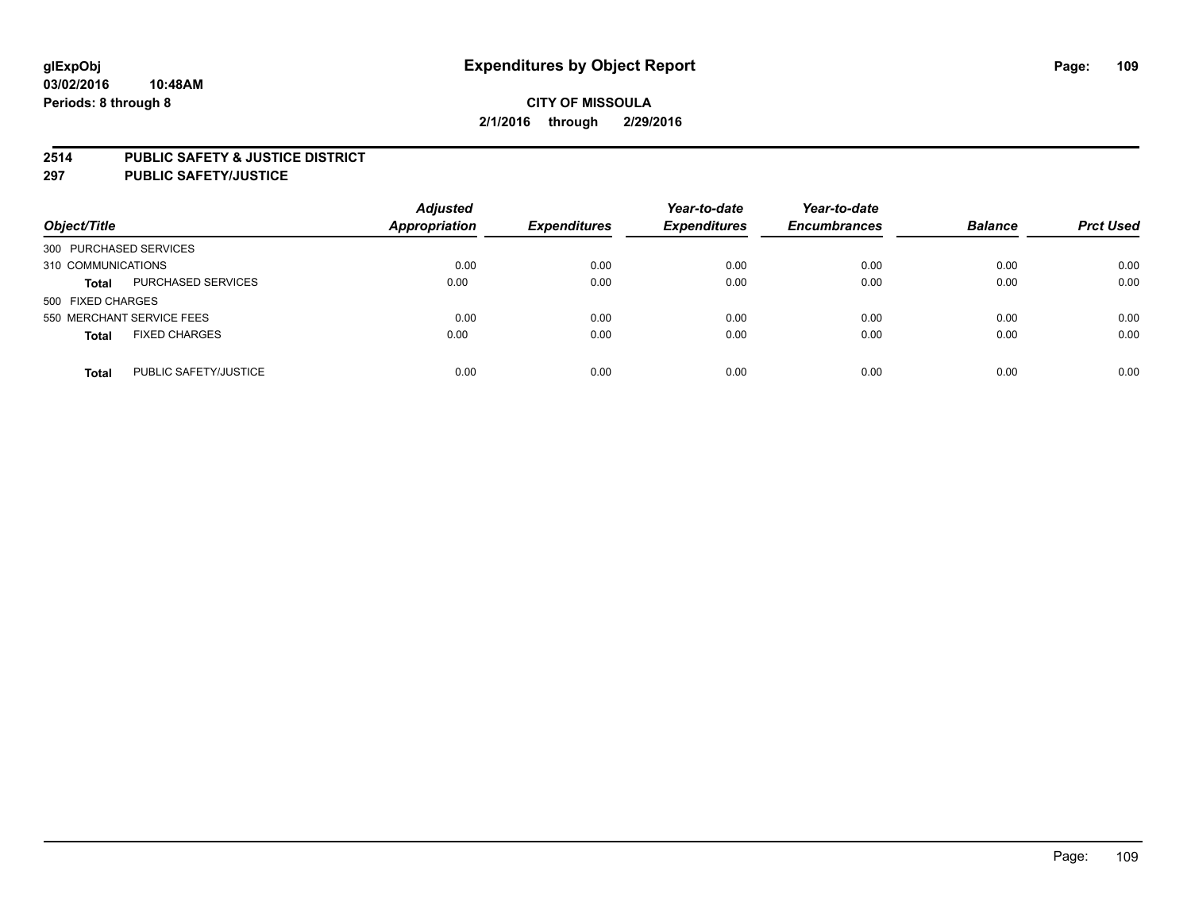#### **2514 PUBLIC SAFETY & JUSTICE DISTRICT**

**297 PUBLIC SAFETY/JUSTICE**

| Object/Title           |                           | <b>Adjusted</b><br><b>Appropriation</b> | <b>Expenditures</b> | Year-to-date<br><b>Expenditures</b> | Year-to-date<br><b>Encumbrances</b> | <b>Balance</b> | <b>Prct Used</b> |
|------------------------|---------------------------|-----------------------------------------|---------------------|-------------------------------------|-------------------------------------|----------------|------------------|
| 300 PURCHASED SERVICES |                           |                                         |                     |                                     |                                     |                |                  |
| 310 COMMUNICATIONS     |                           | 0.00                                    | 0.00                | 0.00                                | 0.00                                | 0.00           | 0.00             |
| <b>Total</b>           | <b>PURCHASED SERVICES</b> | 0.00                                    | 0.00                | 0.00                                | 0.00                                | 0.00           | 0.00             |
| 500 FIXED CHARGES      |                           |                                         |                     |                                     |                                     |                |                  |
|                        | 550 MERCHANT SERVICE FEES | 0.00                                    | 0.00                | 0.00                                | 0.00                                | 0.00           | 0.00             |
| <b>Total</b>           | <b>FIXED CHARGES</b>      | 0.00                                    | 0.00                | 0.00                                | 0.00                                | 0.00           | 0.00             |
| <b>Total</b>           | PUBLIC SAFETY/JUSTICE     | 0.00                                    | 0.00                | 0.00                                | 0.00                                | 0.00           | 0.00             |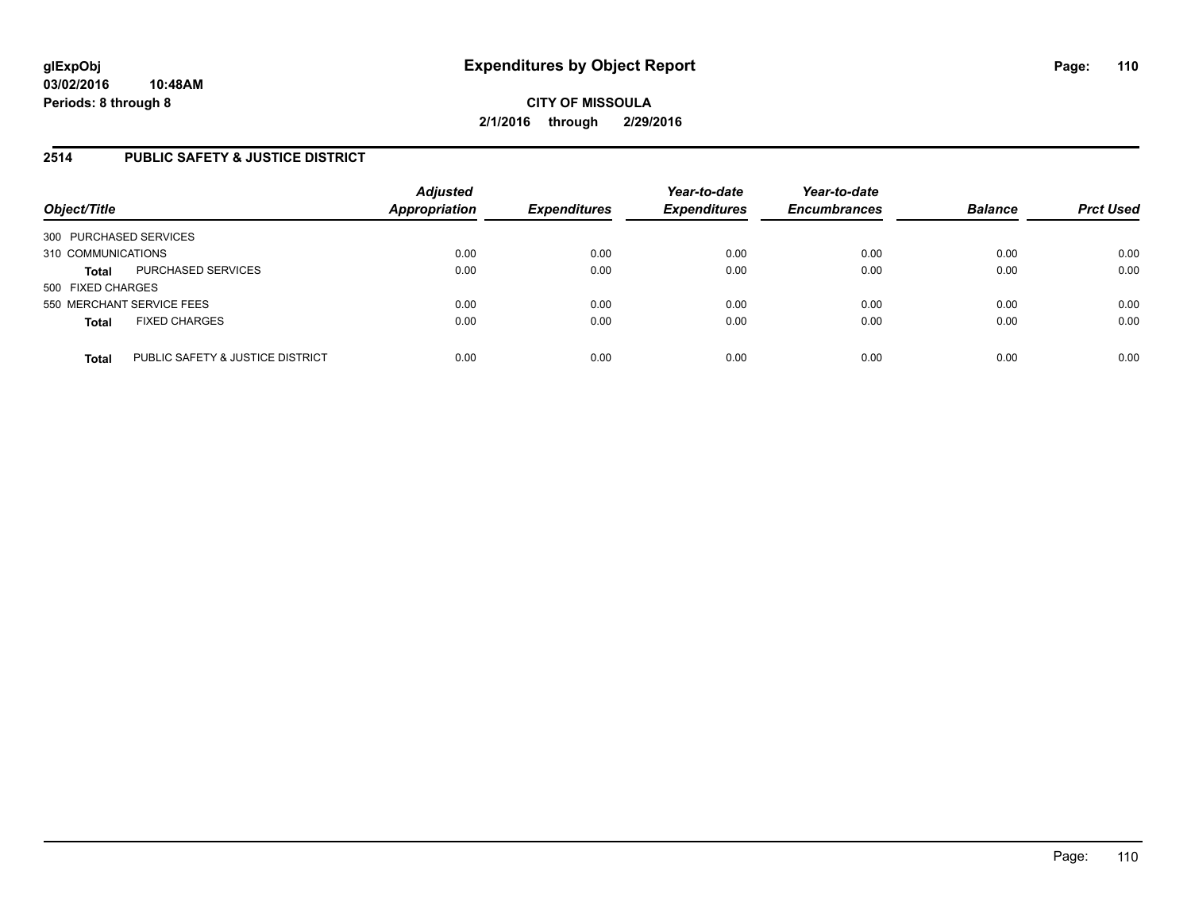## **2514 PUBLIC SAFETY & JUSTICE DISTRICT**

| Object/Title                                     | <b>Adjusted</b><br>Appropriation | <b>Expenditures</b> | Year-to-date<br><b>Expenditures</b> | Year-to-date<br><b>Encumbrances</b> | <b>Balance</b> | <b>Prct Used</b> |
|--------------------------------------------------|----------------------------------|---------------------|-------------------------------------|-------------------------------------|----------------|------------------|
| 300 PURCHASED SERVICES                           |                                  |                     |                                     |                                     |                |                  |
| 310 COMMUNICATIONS                               | 0.00                             | 0.00                | 0.00                                | 0.00                                | 0.00           | 0.00             |
| PURCHASED SERVICES<br><b>Total</b>               | 0.00                             | 0.00                | 0.00                                | 0.00                                | 0.00           | 0.00             |
| 500 FIXED CHARGES                                |                                  |                     |                                     |                                     |                |                  |
| 550 MERCHANT SERVICE FEES                        | 0.00                             | 0.00                | 0.00                                | 0.00                                | 0.00           | 0.00             |
| <b>FIXED CHARGES</b><br><b>Total</b>             | 0.00                             | 0.00                | 0.00                                | 0.00                                | 0.00           | 0.00             |
| PUBLIC SAFETY & JUSTICE DISTRICT<br><b>Total</b> | 0.00                             | 0.00                | 0.00                                | 0.00                                | 0.00           | 0.00             |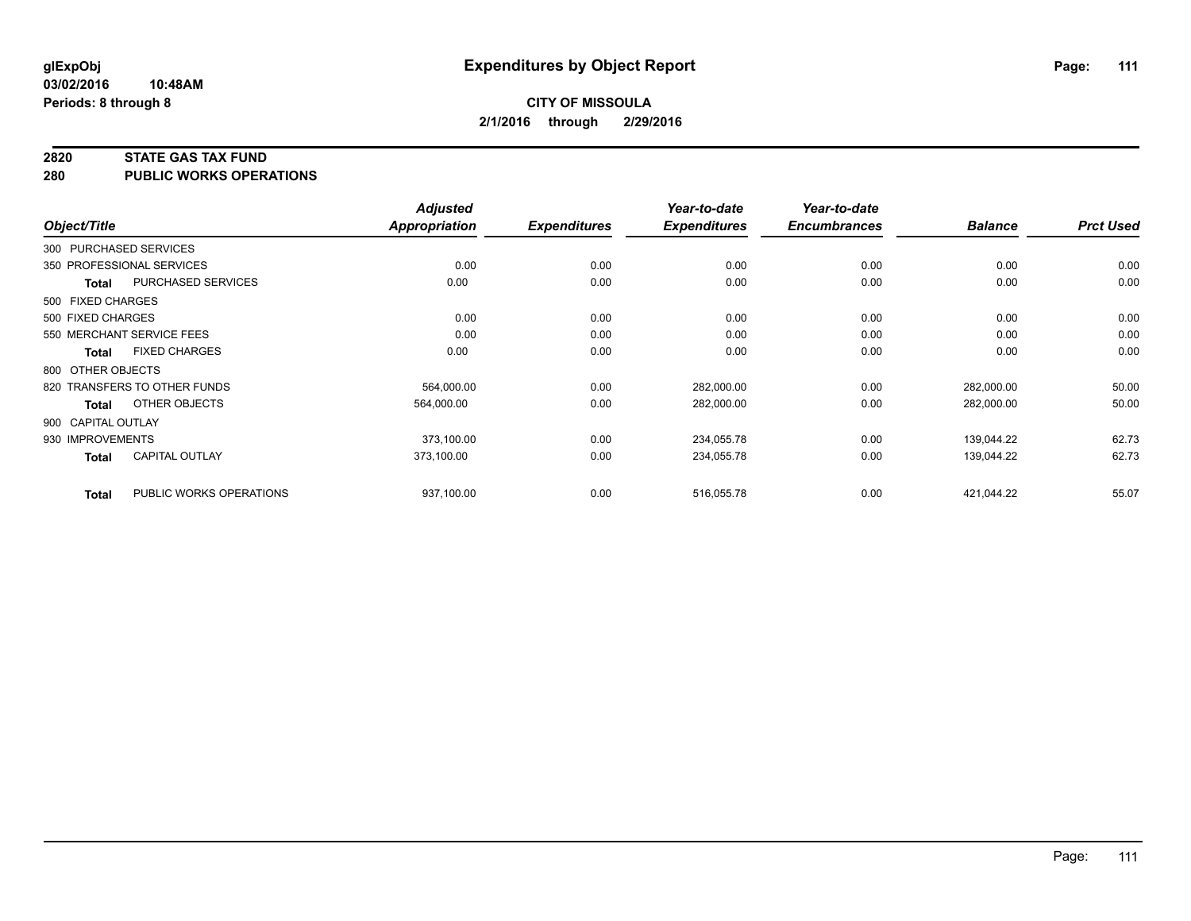#### **2820 STATE GAS TAX FUND**

**280 PUBLIC WORKS OPERATIONS**

|              |                                         | <b>Adjusted</b> |                     | Year-to-date        | Year-to-date        |                |                  |
|--------------|-----------------------------------------|-----------------|---------------------|---------------------|---------------------|----------------|------------------|
| Object/Title |                                         | Appropriation   | <b>Expenditures</b> | <b>Expenditures</b> | <b>Encumbrances</b> | <b>Balance</b> | <b>Prct Used</b> |
|              | 300 PURCHASED SERVICES                  |                 |                     |                     |                     |                |                  |
|              | 350 PROFESSIONAL SERVICES               | 0.00            | 0.00                | 0.00                | 0.00                | 0.00           | 0.00             |
|              | PURCHASED SERVICES<br><b>Total</b>      | 0.00            | 0.00                | 0.00                | 0.00                | 0.00           | 0.00             |
|              | 500 FIXED CHARGES                       |                 |                     |                     |                     |                |                  |
|              | 500 FIXED CHARGES                       | 0.00            | 0.00                | 0.00                | 0.00                | 0.00           | 0.00             |
|              | 550 MERCHANT SERVICE FEES               | 0.00            | 0.00                | 0.00                | 0.00                | 0.00           | 0.00             |
|              | <b>FIXED CHARGES</b><br><b>Total</b>    | 0.00            | 0.00                | 0.00                | 0.00                | 0.00           | 0.00             |
|              | 800 OTHER OBJECTS                       |                 |                     |                     |                     |                |                  |
|              | 820 TRANSFERS TO OTHER FUNDS            | 564,000.00      | 0.00                | 282,000.00          | 0.00                | 282,000.00     | 50.00            |
|              | OTHER OBJECTS<br><b>Total</b>           | 564,000.00      | 0.00                | 282,000.00          | 0.00                | 282,000.00     | 50.00            |
|              | 900 CAPITAL OUTLAY                      |                 |                     |                     |                     |                |                  |
|              | 930 IMPROVEMENTS                        | 373,100.00      | 0.00                | 234,055.78          | 0.00                | 139,044.22     | 62.73            |
|              | <b>CAPITAL OUTLAY</b><br><b>Total</b>   | 373.100.00      | 0.00                | 234,055.78          | 0.00                | 139.044.22     | 62.73            |
|              | PUBLIC WORKS OPERATIONS<br><b>Total</b> | 937,100.00      | 0.00                | 516,055.78          | 0.00                | 421,044.22     | 55.07            |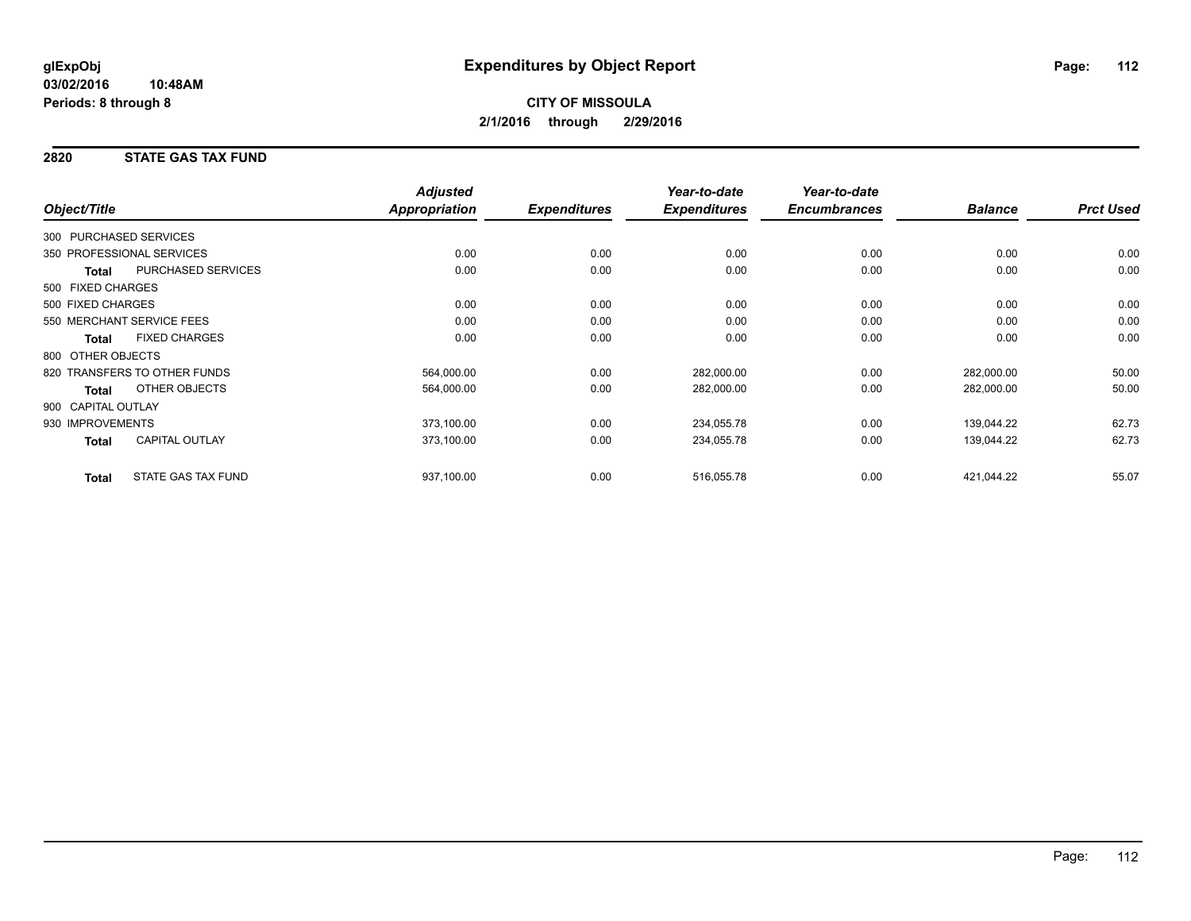## **2820 STATE GAS TAX FUND**

|                        |                              | <b>Adjusted</b>      |                     | Year-to-date        | Year-to-date        |                |                  |
|------------------------|------------------------------|----------------------|---------------------|---------------------|---------------------|----------------|------------------|
| Object/Title           |                              | <b>Appropriation</b> | <b>Expenditures</b> | <b>Expenditures</b> | <b>Encumbrances</b> | <b>Balance</b> | <b>Prct Used</b> |
| 300 PURCHASED SERVICES |                              |                      |                     |                     |                     |                |                  |
|                        | 350 PROFESSIONAL SERVICES    | 0.00                 | 0.00                | 0.00                | 0.00                | 0.00           | 0.00             |
| <b>Total</b>           | PURCHASED SERVICES           | 0.00                 | 0.00                | 0.00                | 0.00                | 0.00           | 0.00             |
| 500 FIXED CHARGES      |                              |                      |                     |                     |                     |                |                  |
| 500 FIXED CHARGES      |                              | 0.00                 | 0.00                | 0.00                | 0.00                | 0.00           | 0.00             |
|                        | 550 MERCHANT SERVICE FEES    | 0.00                 | 0.00                | 0.00                | 0.00                | 0.00           | 0.00             |
| Total                  | <b>FIXED CHARGES</b>         | 0.00                 | 0.00                | 0.00                | 0.00                | 0.00           | 0.00             |
| 800 OTHER OBJECTS      |                              |                      |                     |                     |                     |                |                  |
|                        | 820 TRANSFERS TO OTHER FUNDS | 564,000.00           | 0.00                | 282,000.00          | 0.00                | 282,000.00     | 50.00            |
| Total                  | OTHER OBJECTS                | 564,000.00           | 0.00                | 282,000.00          | 0.00                | 282,000.00     | 50.00            |
| 900 CAPITAL OUTLAY     |                              |                      |                     |                     |                     |                |                  |
| 930 IMPROVEMENTS       |                              | 373,100.00           | 0.00                | 234,055.78          | 0.00                | 139,044.22     | 62.73            |
| <b>Total</b>           | <b>CAPITAL OUTLAY</b>        | 373,100.00           | 0.00                | 234,055.78          | 0.00                | 139,044.22     | 62.73            |
| <b>Total</b>           | <b>STATE GAS TAX FUND</b>    | 937,100.00           | 0.00                | 516,055.78          | 0.00                | 421,044.22     | 55.07            |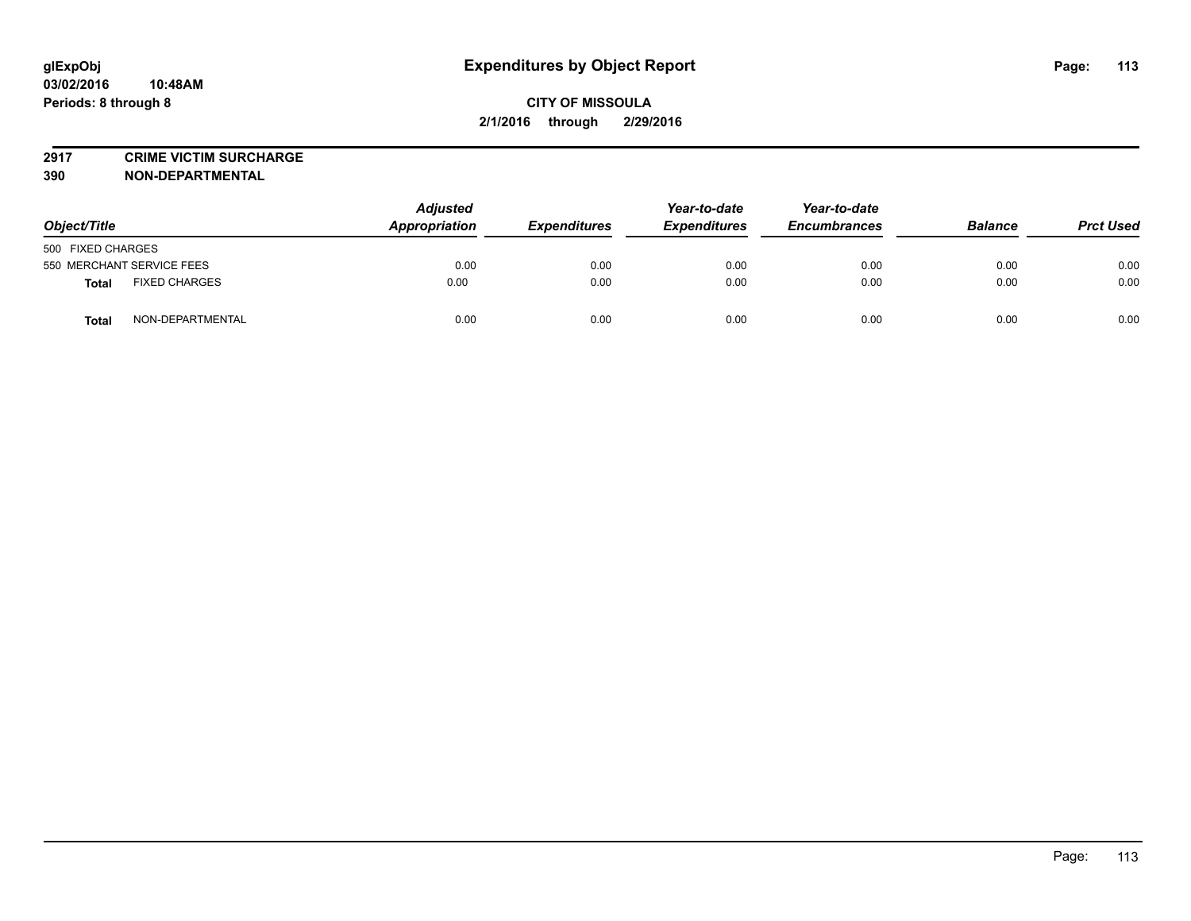**2917 CRIME VICTIM SURCHARGE**

**390 NON-DEPARTMENTAL**

| Object/Title                         | <b>Adjusted</b><br>Appropriation | <b>Expenditures</b> | Year-to-date<br><b>Expenditures</b> | Year-to-date<br><b>Encumbrances</b> | <b>Balance</b> | <b>Prct Used</b> |
|--------------------------------------|----------------------------------|---------------------|-------------------------------------|-------------------------------------|----------------|------------------|
| 500 FIXED CHARGES                    |                                  |                     |                                     |                                     |                |                  |
| 550 MERCHANT SERVICE FEES            | 0.00                             | 0.00                | 0.00                                | 0.00                                | 0.00           | 0.00             |
| <b>FIXED CHARGES</b><br><b>Total</b> | 0.00                             | 0.00                | 0.00                                | 0.00                                | 0.00           | 0.00             |
| NON-DEPARTMENTAL<br><b>Total</b>     | 0.00                             | 0.00                | 0.00                                | 0.00                                | 0.00           | 0.00             |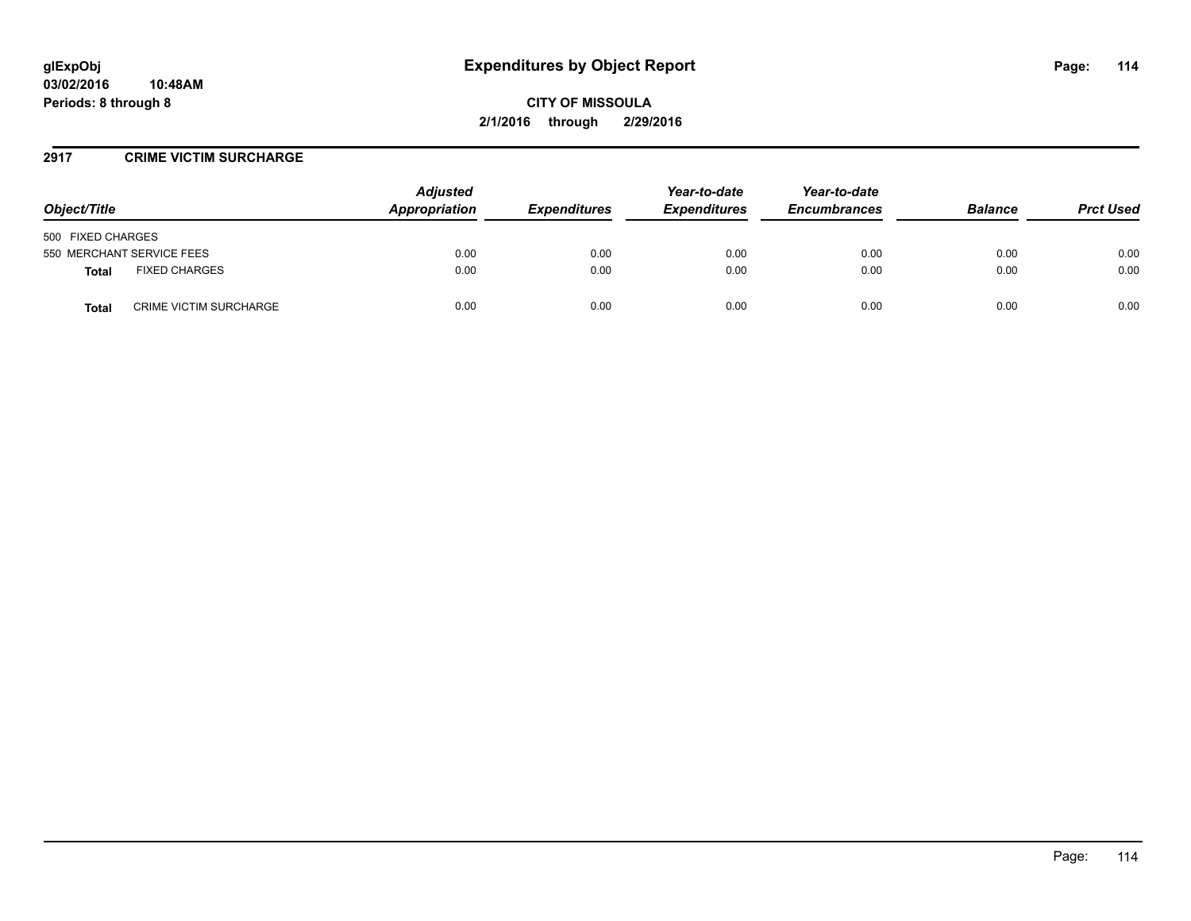### **2917 CRIME VICTIM SURCHARGE**

| Object/Title                                  | <b>Adjusted</b><br>Appropriation | <i><b>Expenditures</b></i> | Year-to-date<br><b>Expenditures</b> | Year-to-date<br><b>Encumbrances</b> | <b>Balance</b> | <b>Prct Used</b> |
|-----------------------------------------------|----------------------------------|----------------------------|-------------------------------------|-------------------------------------|----------------|------------------|
| 500 FIXED CHARGES                             |                                  |                            |                                     |                                     |                |                  |
| 550 MERCHANT SERVICE FEES                     | 0.00                             | 0.00                       | 0.00                                | 0.00                                | 0.00           | 0.00             |
| <b>FIXED CHARGES</b><br>Total                 | 0.00                             | 0.00                       | 0.00                                | 0.00                                | 0.00           | 0.00             |
| <b>CRIME VICTIM SURCHARGE</b><br><b>Total</b> | 0.00                             | 0.00                       | 0.00                                | 0.00                                | 0.00           | 0.00             |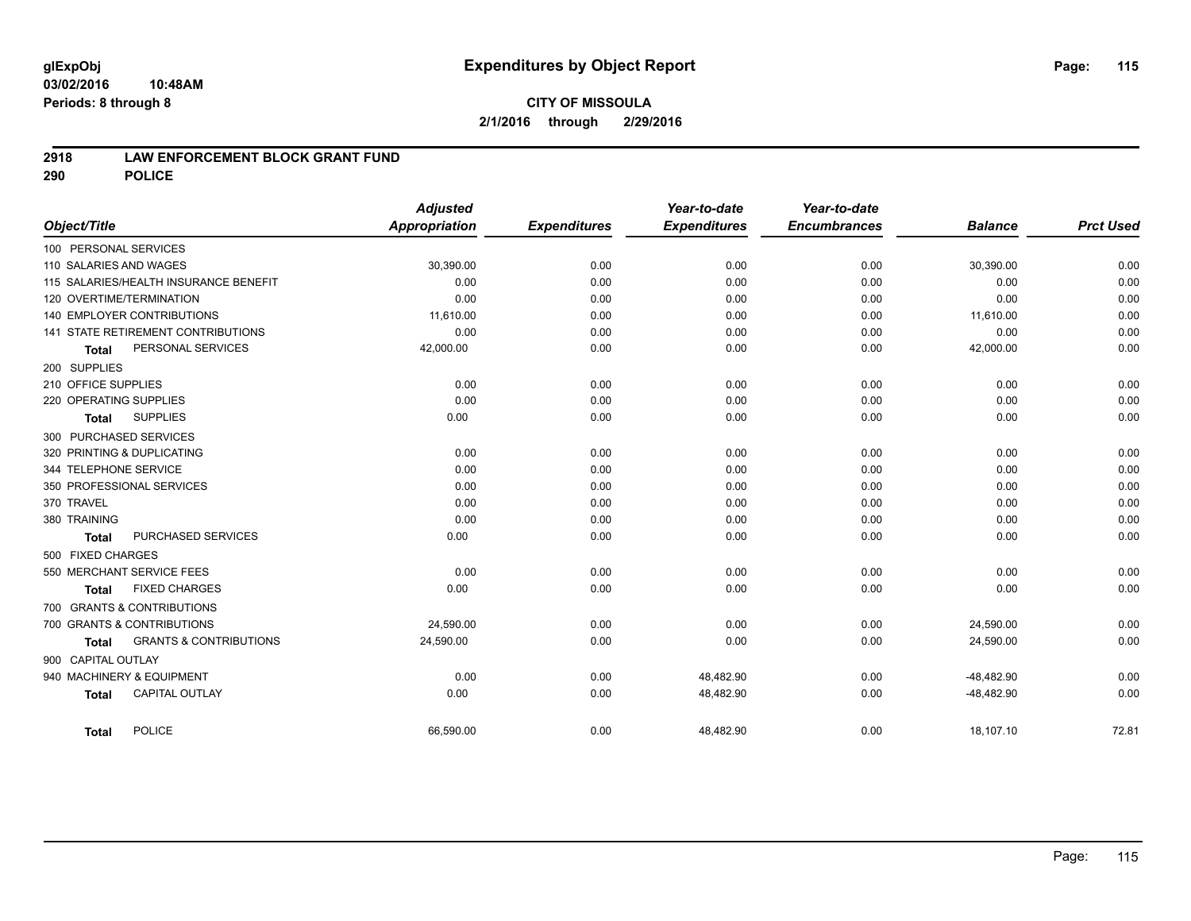## **2918 LAW ENFORCEMENT BLOCK GRANT FUND**

**290 POLICE**

|                                                   | <b>Adjusted</b> |                     | Year-to-date        | Year-to-date        |                |                  |
|---------------------------------------------------|-----------------|---------------------|---------------------|---------------------|----------------|------------------|
| Object/Title                                      | Appropriation   | <b>Expenditures</b> | <b>Expenditures</b> | <b>Encumbrances</b> | <b>Balance</b> | <b>Prct Used</b> |
| 100 PERSONAL SERVICES                             |                 |                     |                     |                     |                |                  |
| 110 SALARIES AND WAGES                            | 30,390.00       | 0.00                | 0.00                | 0.00                | 30,390.00      | 0.00             |
| 115 SALARIES/HEALTH INSURANCE BENEFIT             | 0.00            | 0.00                | 0.00                | 0.00                | 0.00           | 0.00             |
| 120 OVERTIME/TERMINATION                          | 0.00            | 0.00                | 0.00                | 0.00                | 0.00           | 0.00             |
| 140 EMPLOYER CONTRIBUTIONS                        | 11,610.00       | 0.00                | 0.00                | 0.00                | 11,610.00      | 0.00             |
| <b>141 STATE RETIREMENT CONTRIBUTIONS</b>         | 0.00            | 0.00                | 0.00                | 0.00                | 0.00           | 0.00             |
| PERSONAL SERVICES<br><b>Total</b>                 | 42,000.00       | 0.00                | 0.00                | 0.00                | 42,000.00      | 0.00             |
| 200 SUPPLIES                                      |                 |                     |                     |                     |                |                  |
| 210 OFFICE SUPPLIES                               | 0.00            | 0.00                | 0.00                | 0.00                | 0.00           | 0.00             |
| 220 OPERATING SUPPLIES                            | 0.00            | 0.00                | 0.00                | 0.00                | 0.00           | 0.00             |
| <b>SUPPLIES</b><br><b>Total</b>                   | 0.00            | 0.00                | 0.00                | 0.00                | 0.00           | 0.00             |
| 300 PURCHASED SERVICES                            |                 |                     |                     |                     |                |                  |
| 320 PRINTING & DUPLICATING                        | 0.00            | 0.00                | 0.00                | 0.00                | 0.00           | 0.00             |
| 344 TELEPHONE SERVICE                             | 0.00            | 0.00                | 0.00                | 0.00                | 0.00           | 0.00             |
| 350 PROFESSIONAL SERVICES                         | 0.00            | 0.00                | 0.00                | 0.00                | 0.00           | 0.00             |
| 370 TRAVEL                                        | 0.00            | 0.00                | 0.00                | 0.00                | 0.00           | 0.00             |
| 380 TRAINING                                      | 0.00            | 0.00                | 0.00                | 0.00                | 0.00           | 0.00             |
| PURCHASED SERVICES<br><b>Total</b>                | 0.00            | 0.00                | 0.00                | 0.00                | 0.00           | 0.00             |
| 500 FIXED CHARGES                                 |                 |                     |                     |                     |                |                  |
| 550 MERCHANT SERVICE FEES                         | 0.00            | 0.00                | 0.00                | 0.00                | 0.00           | 0.00             |
| <b>FIXED CHARGES</b><br><b>Total</b>              | 0.00            | 0.00                | 0.00                | 0.00                | 0.00           | 0.00             |
| 700 GRANTS & CONTRIBUTIONS                        |                 |                     |                     |                     |                |                  |
| 700 GRANTS & CONTRIBUTIONS                        | 24,590.00       | 0.00                | 0.00                | 0.00                | 24,590.00      | 0.00             |
| <b>GRANTS &amp; CONTRIBUTIONS</b><br><b>Total</b> | 24,590.00       | 0.00                | 0.00                | 0.00                | 24,590.00      | 0.00             |
| 900 CAPITAL OUTLAY                                |                 |                     |                     |                     |                |                  |
| 940 MACHINERY & EQUIPMENT                         | 0.00            | 0.00                | 48,482.90           | 0.00                | $-48,482.90$   | 0.00             |
| <b>CAPITAL OUTLAY</b><br><b>Total</b>             | 0.00            | 0.00                | 48,482.90           | 0.00                | $-48,482.90$   | 0.00             |
| <b>POLICE</b><br><b>Total</b>                     | 66,590.00       | 0.00                | 48,482.90           | 0.00                | 18,107.10      | 72.81            |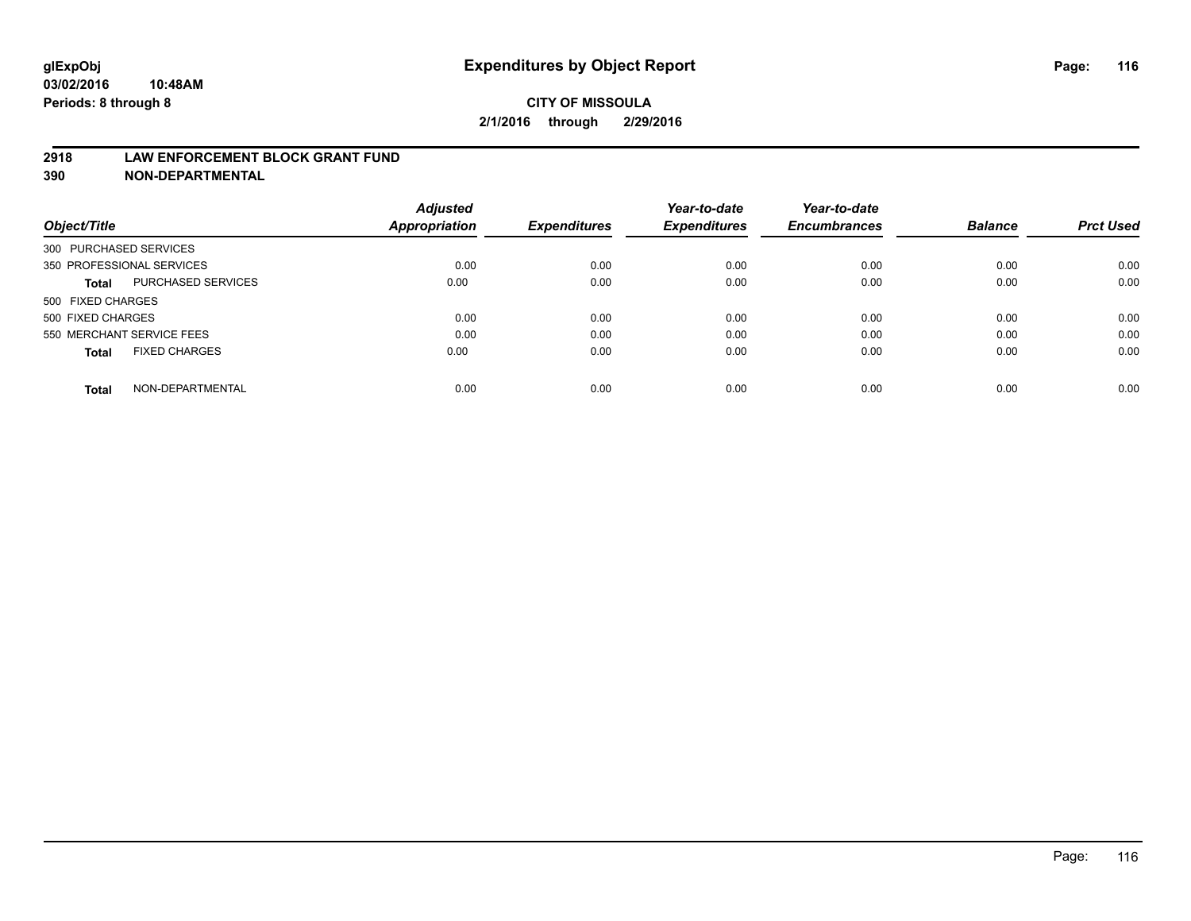#### **2918 LAW ENFORCEMENT BLOCK GRANT FUND**

**390 NON-DEPARTMENTAL**

|                                      | <b>Adjusted</b> |                     | Year-to-date        | Year-to-date        |                |                  |
|--------------------------------------|-----------------|---------------------|---------------------|---------------------|----------------|------------------|
| Object/Title                         | Appropriation   | <b>Expenditures</b> | <b>Expenditures</b> | <b>Encumbrances</b> | <b>Balance</b> | <b>Prct Used</b> |
| 300 PURCHASED SERVICES               |                 |                     |                     |                     |                |                  |
| 350 PROFESSIONAL SERVICES            | 0.00            | 0.00                | 0.00                | 0.00                | 0.00           | 0.00             |
| <b>PURCHASED SERVICES</b><br>Total   | 0.00            | 0.00                | 0.00                | 0.00                | 0.00           | 0.00             |
| 500 FIXED CHARGES                    |                 |                     |                     |                     |                |                  |
| 500 FIXED CHARGES                    | 0.00            | 0.00                | 0.00                | 0.00                | 0.00           | 0.00             |
| 550 MERCHANT SERVICE FEES            | 0.00            | 0.00                | 0.00                | 0.00                | 0.00           | 0.00             |
| <b>FIXED CHARGES</b><br><b>Total</b> | 0.00            | 0.00                | 0.00                | 0.00                | 0.00           | 0.00             |
| NON-DEPARTMENTAL<br><b>Total</b>     | 0.00            | 0.00                | 0.00                | 0.00                | 0.00           | 0.00             |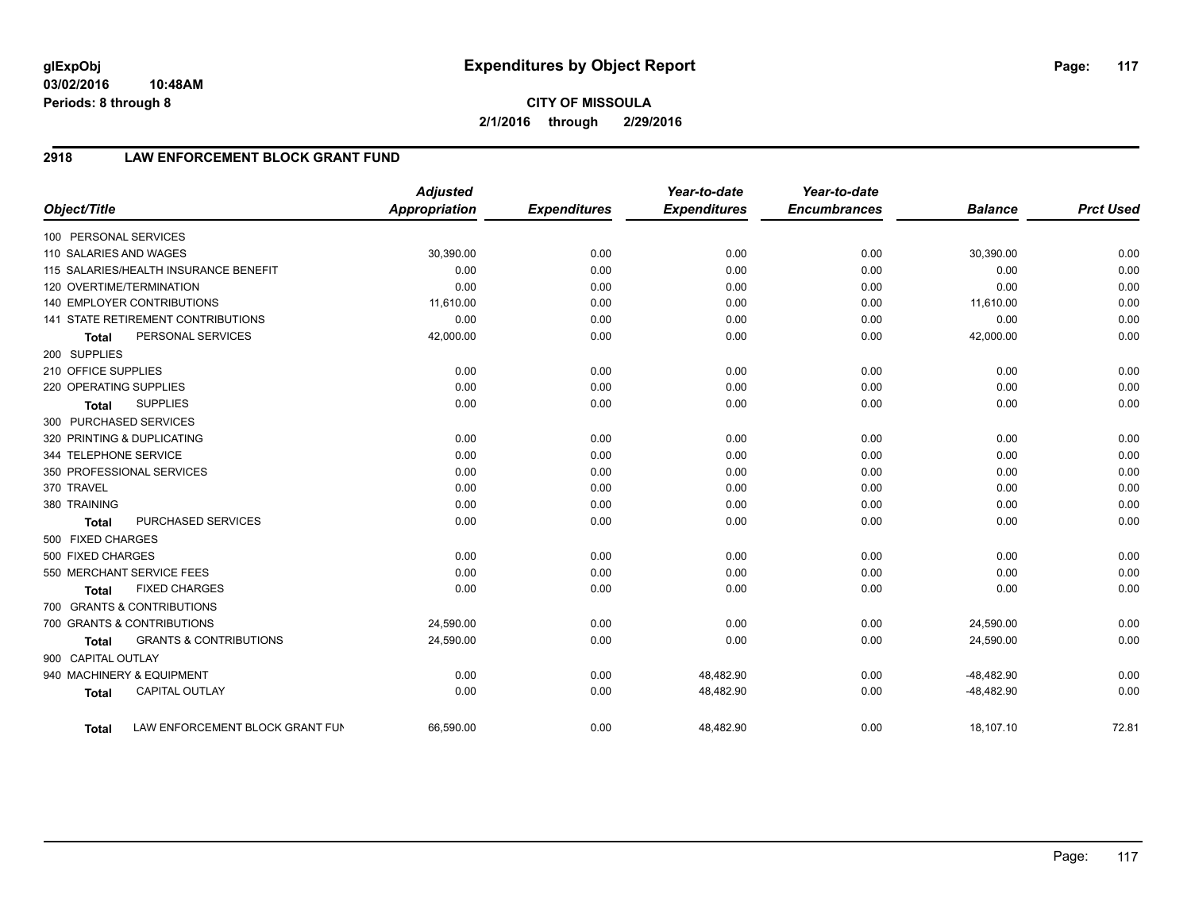# **2918 LAW ENFORCEMENT BLOCK GRANT FUND**

| Object/Title           |                                       | <b>Adjusted</b><br><b>Appropriation</b> | <b>Expenditures</b> | Year-to-date<br><b>Expenditures</b> | Year-to-date<br><b>Encumbrances</b> | <b>Balance</b> | <b>Prct Used</b> |
|------------------------|---------------------------------------|-----------------------------------------|---------------------|-------------------------------------|-------------------------------------|----------------|------------------|
| 100 PERSONAL SERVICES  |                                       |                                         |                     |                                     |                                     |                |                  |
| 110 SALARIES AND WAGES |                                       | 30,390.00                               | 0.00                | 0.00                                | 0.00                                | 30,390.00      | 0.00             |
|                        | 115 SALARIES/HEALTH INSURANCE BENEFIT | 0.00                                    | 0.00                | 0.00                                | 0.00                                | 0.00           | 0.00             |
|                        | 120 OVERTIME/TERMINATION              | 0.00                                    | 0.00                | 0.00                                | 0.00                                | 0.00           | 0.00             |
|                        | <b>140 EMPLOYER CONTRIBUTIONS</b>     | 11,610.00                               | 0.00                | 0.00                                | 0.00                                | 11,610.00      | 0.00             |
|                        | 141 STATE RETIREMENT CONTRIBUTIONS    | 0.00                                    | 0.00                | 0.00                                | 0.00                                | 0.00           | 0.00             |
| <b>Total</b>           | PERSONAL SERVICES                     | 42,000.00                               | 0.00                | 0.00                                | 0.00                                | 42,000.00      | 0.00             |
| 200 SUPPLIES           |                                       |                                         |                     |                                     |                                     |                |                  |
| 210 OFFICE SUPPLIES    |                                       | 0.00                                    | 0.00                | 0.00                                | 0.00                                | 0.00           | 0.00             |
| 220 OPERATING SUPPLIES |                                       | 0.00                                    | 0.00                | 0.00                                | 0.00                                | 0.00           | 0.00             |
| <b>Total</b>           | <b>SUPPLIES</b>                       | 0.00                                    | 0.00                | 0.00                                | 0.00                                | 0.00           | 0.00             |
| 300 PURCHASED SERVICES |                                       |                                         |                     |                                     |                                     |                |                  |
|                        | 320 PRINTING & DUPLICATING            | 0.00                                    | 0.00                | 0.00                                | 0.00                                | 0.00           | 0.00             |
| 344 TELEPHONE SERVICE  |                                       | 0.00                                    | 0.00                | 0.00                                | 0.00                                | 0.00           | 0.00             |
|                        | 350 PROFESSIONAL SERVICES             | 0.00                                    | 0.00                | 0.00                                | 0.00                                | 0.00           | 0.00             |
| 370 TRAVEL             |                                       | 0.00                                    | 0.00                | 0.00                                | 0.00                                | 0.00           | 0.00             |
| 380 TRAINING           |                                       | 0.00                                    | 0.00                | 0.00                                | 0.00                                | 0.00           | 0.00             |
| <b>Total</b>           | PURCHASED SERVICES                    | 0.00                                    | 0.00                | 0.00                                | 0.00                                | 0.00           | 0.00             |
| 500 FIXED CHARGES      |                                       |                                         |                     |                                     |                                     |                |                  |
| 500 FIXED CHARGES      |                                       | 0.00                                    | 0.00                | 0.00                                | 0.00                                | 0.00           | 0.00             |
|                        | 550 MERCHANT SERVICE FEES             | 0.00                                    | 0.00                | 0.00                                | 0.00                                | 0.00           | 0.00             |
| <b>Total</b>           | <b>FIXED CHARGES</b>                  | 0.00                                    | 0.00                | 0.00                                | 0.00                                | 0.00           | 0.00             |
|                        | 700 GRANTS & CONTRIBUTIONS            |                                         |                     |                                     |                                     |                |                  |
|                        | 700 GRANTS & CONTRIBUTIONS            | 24,590.00                               | 0.00                | 0.00                                | 0.00                                | 24,590.00      | 0.00             |
| <b>Total</b>           | <b>GRANTS &amp; CONTRIBUTIONS</b>     | 24,590.00                               | 0.00                | 0.00                                | 0.00                                | 24,590.00      | 0.00             |
| 900 CAPITAL OUTLAY     |                                       |                                         |                     |                                     |                                     |                |                  |
|                        | 940 MACHINERY & EQUIPMENT             | 0.00                                    | 0.00                | 48.482.90                           | 0.00                                | $-48,482.90$   | 0.00             |
| <b>Total</b>           | <b>CAPITAL OUTLAY</b>                 | 0.00                                    | 0.00                | 48,482.90                           | 0.00                                | $-48,482.90$   | 0.00             |
| <b>Total</b>           | LAW ENFORCEMENT BLOCK GRANT FUN       | 66,590.00                               | 0.00                | 48,482.90                           | 0.00                                | 18,107.10      | 72.81            |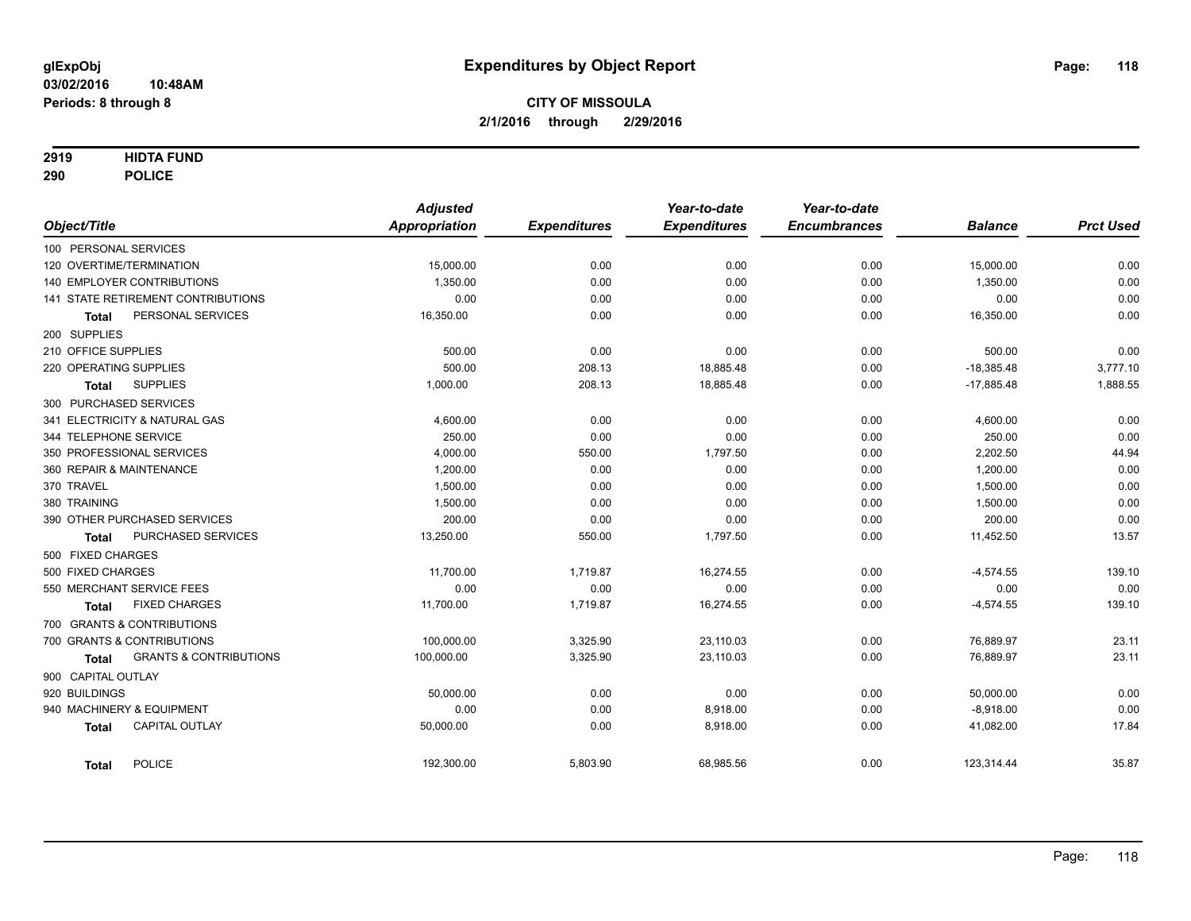## **2919 HIDTA FUND**

**290 POLICE**

|                                                   | <b>Adjusted</b> |                     | Year-to-date        | Year-to-date        |                |                  |
|---------------------------------------------------|-----------------|---------------------|---------------------|---------------------|----------------|------------------|
| Object/Title                                      | Appropriation   | <b>Expenditures</b> | <b>Expenditures</b> | <b>Encumbrances</b> | <b>Balance</b> | <b>Prct Used</b> |
| 100 PERSONAL SERVICES                             |                 |                     |                     |                     |                |                  |
| 120 OVERTIME/TERMINATION                          | 15,000.00       | 0.00                | 0.00                | 0.00                | 15,000.00      | 0.00             |
| 140 EMPLOYER CONTRIBUTIONS                        | 1,350.00        | 0.00                | 0.00                | 0.00                | 1,350.00       | 0.00             |
| 141 STATE RETIREMENT CONTRIBUTIONS                | 0.00            | 0.00                | 0.00                | 0.00                | 0.00           | 0.00             |
| PERSONAL SERVICES<br><b>Total</b>                 | 16,350.00       | 0.00                | 0.00                | 0.00                | 16,350.00      | 0.00             |
| 200 SUPPLIES                                      |                 |                     |                     |                     |                |                  |
| 210 OFFICE SUPPLIES                               | 500.00          | 0.00                | 0.00                | 0.00                | 500.00         | 0.00             |
| 220 OPERATING SUPPLIES                            | 500.00          | 208.13              | 18,885.48           | 0.00                | $-18,385.48$   | 3,777.10         |
| <b>SUPPLIES</b><br><b>Total</b>                   | 1,000.00        | 208.13              | 18,885.48           | 0.00                | $-17,885.48$   | 1,888.55         |
| 300 PURCHASED SERVICES                            |                 |                     |                     |                     |                |                  |
| 341 ELECTRICITY & NATURAL GAS                     | 4,600.00        | 0.00                | 0.00                | 0.00                | 4,600.00       | 0.00             |
| 344 TELEPHONE SERVICE                             | 250.00          | 0.00                | 0.00                | 0.00                | 250.00         | 0.00             |
| 350 PROFESSIONAL SERVICES                         | 4,000.00        | 550.00              | 1,797.50            | 0.00                | 2,202.50       | 44.94            |
| 360 REPAIR & MAINTENANCE                          | 1,200.00        | 0.00                | 0.00                | 0.00                | 1,200.00       | 0.00             |
| 370 TRAVEL                                        | 1.500.00        | 0.00                | 0.00                | 0.00                | 1,500.00       | 0.00             |
| 380 TRAINING                                      | 1,500.00        | 0.00                | 0.00                | 0.00                | 1,500.00       | 0.00             |
| 390 OTHER PURCHASED SERVICES                      | 200.00          | 0.00                | 0.00                | 0.00                | 200.00         | 0.00             |
| <b>PURCHASED SERVICES</b><br><b>Total</b>         | 13,250.00       | 550.00              | 1,797.50            | 0.00                | 11,452.50      | 13.57            |
| 500 FIXED CHARGES                                 |                 |                     |                     |                     |                |                  |
| 500 FIXED CHARGES                                 | 11,700.00       | 1,719.87            | 16,274.55           | 0.00                | $-4,574.55$    | 139.10           |
| 550 MERCHANT SERVICE FEES                         | 0.00            | 0.00                | 0.00                | 0.00                | 0.00           | 0.00             |
| <b>FIXED CHARGES</b><br>Total                     | 11,700.00       | 1,719.87            | 16,274.55           | 0.00                | $-4,574.55$    | 139.10           |
| 700 GRANTS & CONTRIBUTIONS                        |                 |                     |                     |                     |                |                  |
| 700 GRANTS & CONTRIBUTIONS                        | 100,000.00      | 3,325.90            | 23,110.03           | 0.00                | 76,889.97      | 23.11            |
| <b>GRANTS &amp; CONTRIBUTIONS</b><br><b>Total</b> | 100,000.00      | 3,325.90            | 23,110.03           | 0.00                | 76,889.97      | 23.11            |
| 900 CAPITAL OUTLAY                                |                 |                     |                     |                     |                |                  |
| 920 BUILDINGS                                     | 50,000.00       | 0.00                | 0.00                | 0.00                | 50,000.00      | 0.00             |
| 940 MACHINERY & EQUIPMENT                         | 0.00            | 0.00                | 8,918.00            | 0.00                | $-8,918.00$    | 0.00             |
| <b>CAPITAL OUTLAY</b><br><b>Total</b>             | 50,000.00       | 0.00                | 8,918.00            | 0.00                | 41,082.00      | 17.84            |
| <b>POLICE</b><br><b>Total</b>                     | 192,300.00      | 5,803.90            | 68,985.56           | 0.00                | 123,314.44     | 35.87            |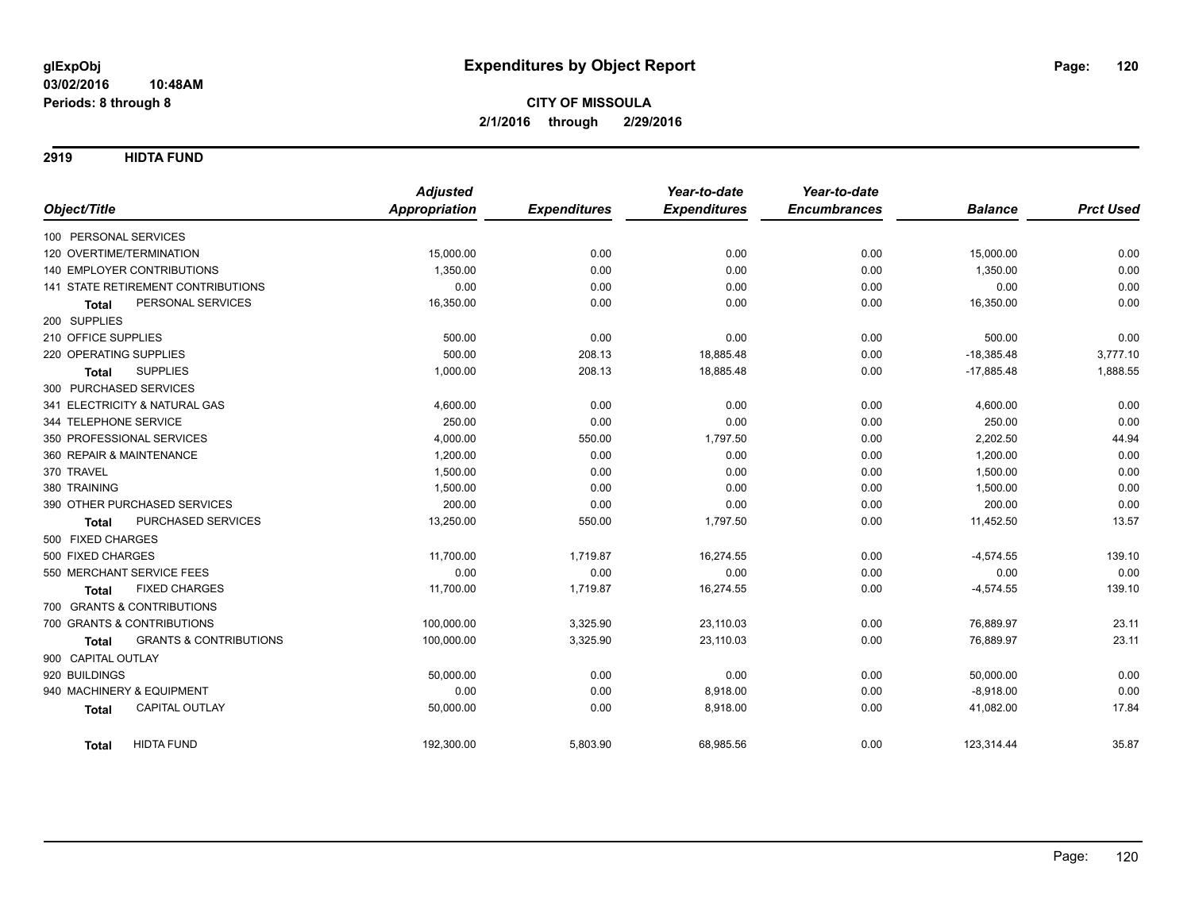**2919 HIDTA FUND**

|                                                   | <b>Adjusted</b>      |                     | Year-to-date        | Year-to-date        |                |                  |
|---------------------------------------------------|----------------------|---------------------|---------------------|---------------------|----------------|------------------|
| Object/Title                                      | <b>Appropriation</b> | <b>Expenditures</b> | <b>Expenditures</b> | <b>Encumbrances</b> | <b>Balance</b> | <b>Prct Used</b> |
| 100 PERSONAL SERVICES                             |                      |                     |                     |                     |                |                  |
| 120 OVERTIME/TERMINATION                          | 15,000.00            | 0.00                | 0.00                | 0.00                | 15,000.00      | 0.00             |
| <b>140 EMPLOYER CONTRIBUTIONS</b>                 | 1,350.00             | 0.00                | 0.00                | 0.00                | 1,350.00       | 0.00             |
| <b>141 STATE RETIREMENT CONTRIBUTIONS</b>         | 0.00                 | 0.00                | 0.00                | 0.00                | 0.00           | 0.00             |
| PERSONAL SERVICES<br>Total                        | 16,350.00            | 0.00                | 0.00                | 0.00                | 16,350.00      | 0.00             |
| 200 SUPPLIES                                      |                      |                     |                     |                     |                |                  |
| 210 OFFICE SUPPLIES                               | 500.00               | 0.00                | 0.00                | 0.00                | 500.00         | 0.00             |
| 220 OPERATING SUPPLIES                            | 500.00               | 208.13              | 18,885.48           | 0.00                | $-18,385.48$   | 3,777.10         |
| <b>SUPPLIES</b><br><b>Total</b>                   | 1,000.00             | 208.13              | 18,885.48           | 0.00                | $-17,885.48$   | 1,888.55         |
| 300 PURCHASED SERVICES                            |                      |                     |                     |                     |                |                  |
| 341 ELECTRICITY & NATURAL GAS                     | 4,600.00             | 0.00                | 0.00                | 0.00                | 4,600.00       | 0.00             |
| 344 TELEPHONE SERVICE                             | 250.00               | 0.00                | 0.00                | 0.00                | 250.00         | 0.00             |
| 350 PROFESSIONAL SERVICES                         | 4,000.00             | 550.00              | 1,797.50            | 0.00                | 2,202.50       | 44.94            |
| 360 REPAIR & MAINTENANCE                          | 1,200.00             | 0.00                | 0.00                | 0.00                | 1,200.00       | 0.00             |
| 370 TRAVEL                                        | 1,500.00             | 0.00                | 0.00                | 0.00                | 1,500.00       | 0.00             |
| 380 TRAINING                                      | 1,500.00             | 0.00                | 0.00                | 0.00                | 1,500.00       | 0.00             |
| 390 OTHER PURCHASED SERVICES                      | 200.00               | 0.00                | 0.00                | 0.00                | 200.00         | 0.00             |
| PURCHASED SERVICES<br><b>Total</b>                | 13,250.00            | 550.00              | 1,797.50            | 0.00                | 11,452.50      | 13.57            |
| 500 FIXED CHARGES                                 |                      |                     |                     |                     |                |                  |
| 500 FIXED CHARGES                                 | 11,700.00            | 1,719.87            | 16,274.55           | 0.00                | $-4,574.55$    | 139.10           |
| 550 MERCHANT SERVICE FEES                         | 0.00                 | 0.00                | 0.00                | 0.00                | 0.00           | 0.00             |
| <b>FIXED CHARGES</b><br><b>Total</b>              | 11,700.00            | 1,719.87            | 16,274.55           | 0.00                | $-4,574.55$    | 139.10           |
| 700 GRANTS & CONTRIBUTIONS                        |                      |                     |                     |                     |                |                  |
| 700 GRANTS & CONTRIBUTIONS                        | 100,000.00           | 3,325.90            | 23,110.03           | 0.00                | 76,889.97      | 23.11            |
| <b>GRANTS &amp; CONTRIBUTIONS</b><br><b>Total</b> | 100,000.00           | 3,325.90            | 23,110.03           | 0.00                | 76,889.97      | 23.11            |
| 900 CAPITAL OUTLAY                                |                      |                     |                     |                     |                |                  |
| 920 BUILDINGS                                     | 50,000.00            | 0.00                | 0.00                | 0.00                | 50,000.00      | 0.00             |
| 940 MACHINERY & EQUIPMENT                         | 0.00                 | 0.00                | 8,918.00            | 0.00                | $-8,918.00$    | 0.00             |
| <b>CAPITAL OUTLAY</b><br><b>Total</b>             | 50,000.00            | 0.00                | 8,918.00            | 0.00                | 41,082.00      | 17.84            |
| <b>HIDTA FUND</b><br><b>Total</b>                 | 192,300.00           | 5,803.90            | 68,985.56           | 0.00                | 123,314.44     | 35.87            |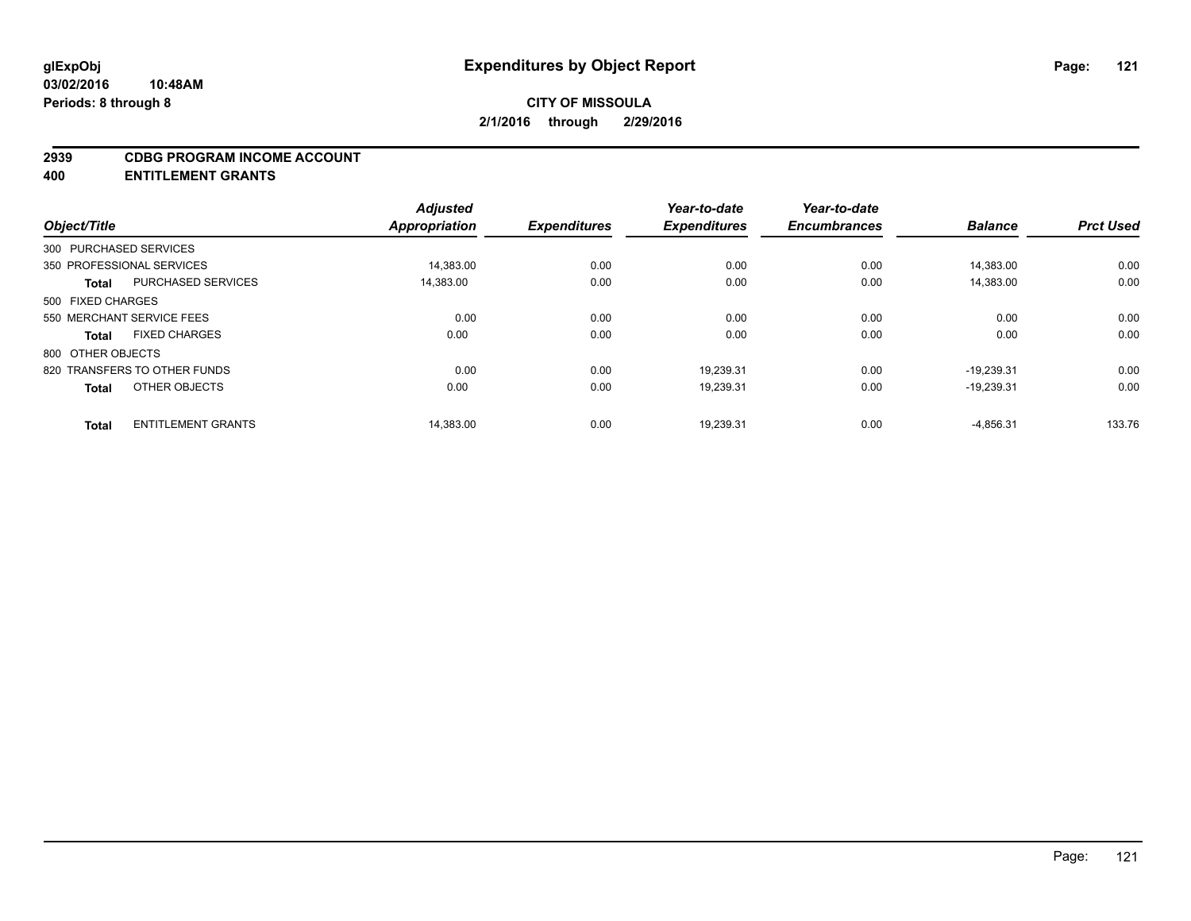#### **2939 CDBG PROGRAM INCOME ACCOUNT**

**400 ENTITLEMENT GRANTS**

| Object/Title           |                              | <b>Adjusted</b><br>Appropriation | <b>Expenditures</b> | Year-to-date<br><b>Expenditures</b> | Year-to-date<br><b>Encumbrances</b> | <b>Balance</b> | <b>Prct Used</b> |
|------------------------|------------------------------|----------------------------------|---------------------|-------------------------------------|-------------------------------------|----------------|------------------|
|                        |                              |                                  |                     |                                     |                                     |                |                  |
| 300 PURCHASED SERVICES |                              |                                  |                     |                                     |                                     |                |                  |
|                        | 350 PROFESSIONAL SERVICES    | 14,383.00                        | 0.00                | 0.00                                | 0.00                                | 14,383.00      | 0.00             |
| <b>Total</b>           | <b>PURCHASED SERVICES</b>    | 14.383.00                        | 0.00                | 0.00                                | 0.00                                | 14,383.00      | 0.00             |
| 500 FIXED CHARGES      |                              |                                  |                     |                                     |                                     |                |                  |
|                        | 550 MERCHANT SERVICE FEES    | 0.00                             | 0.00                | 0.00                                | 0.00                                | 0.00           | 0.00             |
| <b>Total</b>           | <b>FIXED CHARGES</b>         | 0.00                             | 0.00                | 0.00                                | 0.00                                | 0.00           | 0.00             |
| 800 OTHER OBJECTS      |                              |                                  |                     |                                     |                                     |                |                  |
|                        | 820 TRANSFERS TO OTHER FUNDS | 0.00                             | 0.00                | 19.239.31                           | 0.00                                | $-19.239.31$   | 0.00             |
| <b>Total</b>           | OTHER OBJECTS                | 0.00                             | 0.00                | 19,239.31                           | 0.00                                | $-19,239.31$   | 0.00             |
|                        | <b>ENTITLEMENT GRANTS</b>    | 14,383.00                        | 0.00                | 19,239.31                           | 0.00                                | $-4,856.31$    | 133.76           |
| <b>Total</b>           |                              |                                  |                     |                                     |                                     |                |                  |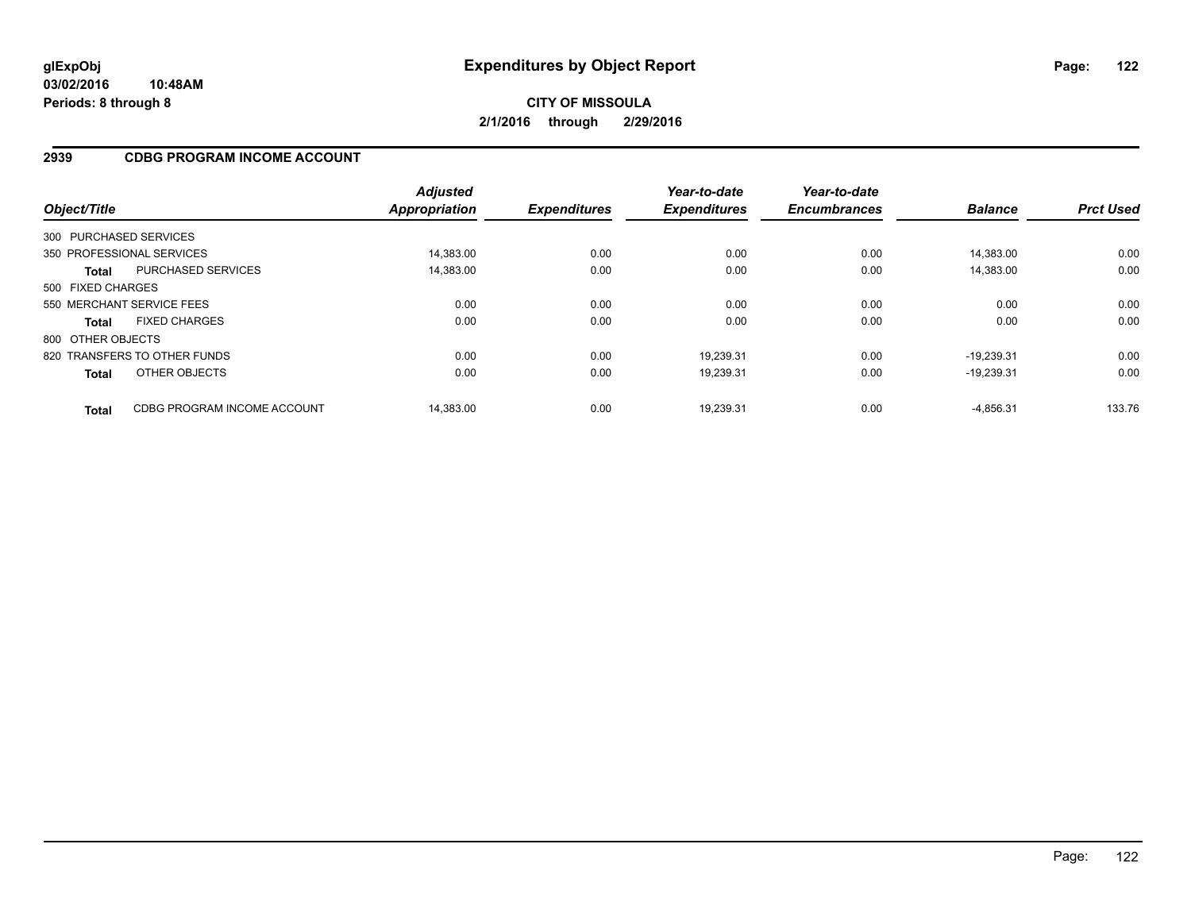## **2939 CDBG PROGRAM INCOME ACCOUNT**

| Object/Title      |                              | <b>Adjusted</b><br><b>Appropriation</b> | <b>Expenditures</b> | Year-to-date<br><b>Expenditures</b> | Year-to-date<br><b>Encumbrances</b> | <b>Balance</b> | <b>Prct Used</b> |
|-------------------|------------------------------|-----------------------------------------|---------------------|-------------------------------------|-------------------------------------|----------------|------------------|
|                   | 300 PURCHASED SERVICES       |                                         |                     |                                     |                                     |                |                  |
|                   | 350 PROFESSIONAL SERVICES    | 14.383.00                               | 0.00                | 0.00                                | 0.00                                | 14.383.00      | 0.00             |
| <b>Total</b>      | <b>PURCHASED SERVICES</b>    | 14,383.00                               | 0.00                | 0.00                                | 0.00                                | 14.383.00      | 0.00             |
| 500 FIXED CHARGES |                              |                                         |                     |                                     |                                     |                |                  |
|                   | 550 MERCHANT SERVICE FEES    | 0.00                                    | 0.00                | 0.00                                | 0.00                                | 0.00           | 0.00             |
| <b>Total</b>      | <b>FIXED CHARGES</b>         | 0.00                                    | 0.00                | 0.00                                | 0.00                                | 0.00           | 0.00             |
| 800 OTHER OBJECTS |                              |                                         |                     |                                     |                                     |                |                  |
|                   | 820 TRANSFERS TO OTHER FUNDS | 0.00                                    | 0.00                | 19,239.31                           | 0.00                                | $-19.239.31$   | 0.00             |
| <b>Total</b>      | OTHER OBJECTS                | 0.00                                    | 0.00                | 19,239.31                           | 0.00                                | $-19.239.31$   | 0.00             |
| <b>Total</b>      | CDBG PROGRAM INCOME ACCOUNT  | 14.383.00                               | 0.00                | 19.239.31                           | 0.00                                | $-4.856.31$    | 133.76           |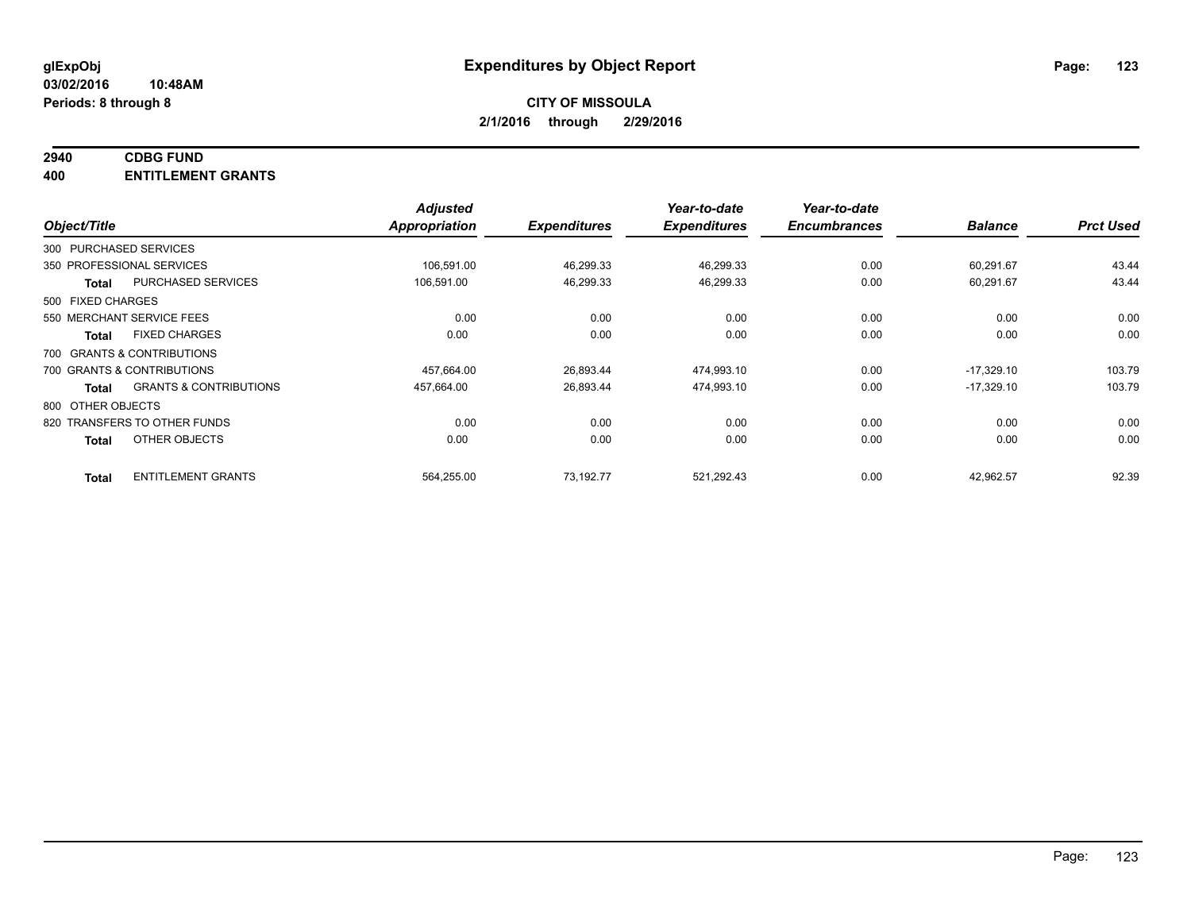#### **2940 CDBG FUND**

**400 ENTITLEMENT GRANTS**

|                   |                                   | <b>Adjusted</b>      |                     | Year-to-date        | Year-to-date        |                |                  |
|-------------------|-----------------------------------|----------------------|---------------------|---------------------|---------------------|----------------|------------------|
| Object/Title      |                                   | <b>Appropriation</b> | <b>Expenditures</b> | <b>Expenditures</b> | <b>Encumbrances</b> | <b>Balance</b> | <b>Prct Used</b> |
|                   | 300 PURCHASED SERVICES            |                      |                     |                     |                     |                |                  |
|                   | 350 PROFESSIONAL SERVICES         | 106,591.00           | 46,299.33           | 46,299.33           | 0.00                | 60,291.67      | 43.44            |
| <b>Total</b>      | PURCHASED SERVICES                | 106,591.00           | 46,299.33           | 46,299.33           | 0.00                | 60,291.67      | 43.44            |
| 500 FIXED CHARGES |                                   |                      |                     |                     |                     |                |                  |
|                   | 550 MERCHANT SERVICE FEES         | 0.00                 | 0.00                | 0.00                | 0.00                | 0.00           | 0.00             |
| <b>Total</b>      | <b>FIXED CHARGES</b>              | 0.00                 | 0.00                | 0.00                | 0.00                | 0.00           | 0.00             |
|                   | 700 GRANTS & CONTRIBUTIONS        |                      |                     |                     |                     |                |                  |
|                   | 700 GRANTS & CONTRIBUTIONS        | 457,664.00           | 26,893.44           | 474,993.10          | 0.00                | $-17.329.10$   | 103.79           |
| Total             | <b>GRANTS &amp; CONTRIBUTIONS</b> | 457,664.00           | 26,893.44           | 474,993.10          | 0.00                | $-17,329.10$   | 103.79           |
| 800 OTHER OBJECTS |                                   |                      |                     |                     |                     |                |                  |
|                   | 820 TRANSFERS TO OTHER FUNDS      | 0.00                 | 0.00                | 0.00                | 0.00                | 0.00           | 0.00             |
| <b>Total</b>      | OTHER OBJECTS                     | 0.00                 | 0.00                | 0.00                | 0.00                | 0.00           | 0.00             |
| <b>Total</b>      | <b>ENTITLEMENT GRANTS</b>         | 564,255.00           | 73,192.77           | 521,292.43          | 0.00                | 42,962.57      | 92.39            |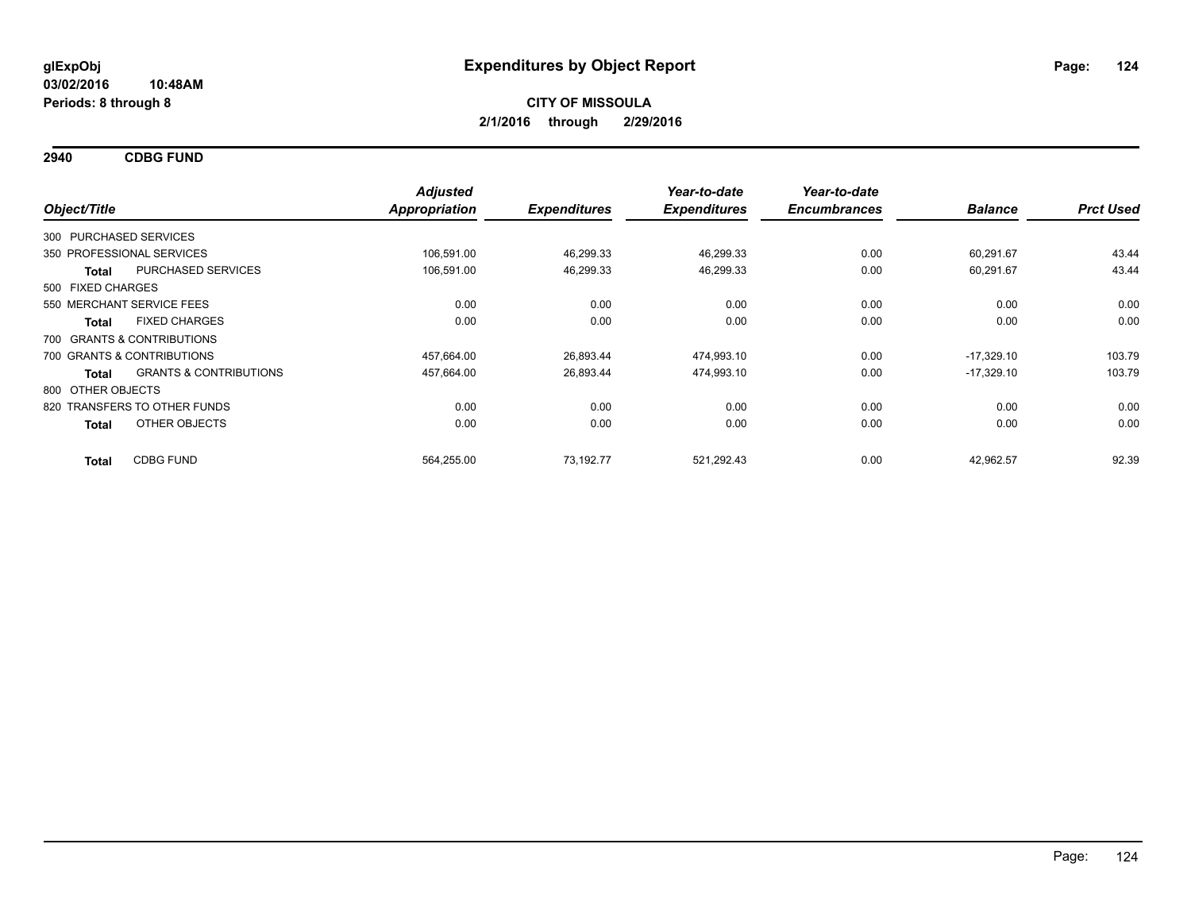**2940 CDBG FUND**

|                        |                                   | <b>Adjusted</b> |                     | Year-to-date        | Year-to-date        |                |                  |
|------------------------|-----------------------------------|-----------------|---------------------|---------------------|---------------------|----------------|------------------|
| Object/Title           |                                   | Appropriation   | <b>Expenditures</b> | <b>Expenditures</b> | <b>Encumbrances</b> | <b>Balance</b> | <b>Prct Used</b> |
| 300 PURCHASED SERVICES |                                   |                 |                     |                     |                     |                |                  |
|                        | 350 PROFESSIONAL SERVICES         | 106,591.00      | 46,299.33           | 46,299.33           | 0.00                | 60,291.67      | 43.44            |
| <b>Total</b>           | <b>PURCHASED SERVICES</b>         | 106,591.00      | 46,299.33           | 46,299.33           | 0.00                | 60,291.67      | 43.44            |
| 500 FIXED CHARGES      |                                   |                 |                     |                     |                     |                |                  |
|                        | 550 MERCHANT SERVICE FEES         | 0.00            | 0.00                | 0.00                | 0.00                | 0.00           | 0.00             |
| <b>Total</b>           | <b>FIXED CHARGES</b>              | 0.00            | 0.00                | 0.00                | 0.00                | 0.00           | 0.00             |
|                        | 700 GRANTS & CONTRIBUTIONS        |                 |                     |                     |                     |                |                  |
|                        | 700 GRANTS & CONTRIBUTIONS        | 457,664.00      | 26,893.44           | 474,993.10          | 0.00                | $-17,329.10$   | 103.79           |
| <b>Total</b>           | <b>GRANTS &amp; CONTRIBUTIONS</b> | 457,664.00      | 26,893.44           | 474,993.10          | 0.00                | $-17,329.10$   | 103.79           |
| 800 OTHER OBJECTS      |                                   |                 |                     |                     |                     |                |                  |
|                        | 820 TRANSFERS TO OTHER FUNDS      | 0.00            | 0.00                | 0.00                | 0.00                | 0.00           | 0.00             |
| <b>Total</b>           | OTHER OBJECTS                     | 0.00            | 0.00                | 0.00                | 0.00                | 0.00           | 0.00             |
| <b>Total</b>           | <b>CDBG FUND</b>                  | 564,255.00      | 73,192.77           | 521,292.43          | 0.00                | 42,962.57      | 92.39            |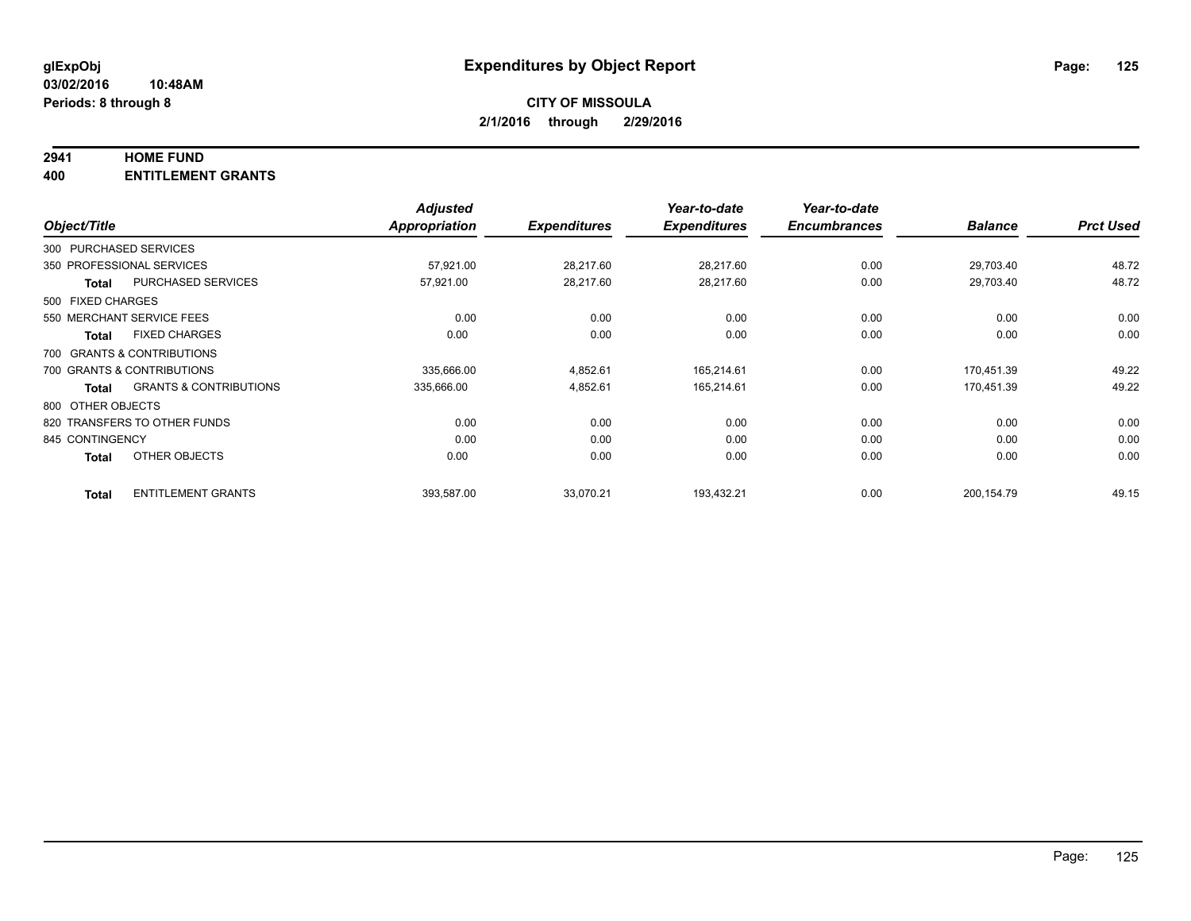#### **2941 HOME FUND**

**400 ENTITLEMENT GRANTS**

| Object/Title      |                                   | <b>Adjusted</b><br><b>Appropriation</b> | <b>Expenditures</b> | Year-to-date<br><b>Expenditures</b> | Year-to-date<br><b>Encumbrances</b> | <b>Balance</b> | <b>Prct Used</b> |
|-------------------|-----------------------------------|-----------------------------------------|---------------------|-------------------------------------|-------------------------------------|----------------|------------------|
|                   |                                   |                                         |                     |                                     |                                     |                |                  |
|                   | 300 PURCHASED SERVICES            |                                         |                     |                                     |                                     |                |                  |
|                   | 350 PROFESSIONAL SERVICES         | 57,921.00                               | 28.217.60           | 28,217.60                           | 0.00                                | 29,703.40      | 48.72            |
| <b>Total</b>      | PURCHASED SERVICES                | 57,921.00                               | 28,217.60           | 28,217.60                           | 0.00                                | 29,703.40      | 48.72            |
| 500 FIXED CHARGES |                                   |                                         |                     |                                     |                                     |                |                  |
|                   | 550 MERCHANT SERVICE FEES         | 0.00                                    | 0.00                | 0.00                                | 0.00                                | 0.00           | 0.00             |
| <b>Total</b>      | <b>FIXED CHARGES</b>              | 0.00                                    | 0.00                | 0.00                                | 0.00                                | 0.00           | 0.00             |
|                   | 700 GRANTS & CONTRIBUTIONS        |                                         |                     |                                     |                                     |                |                  |
|                   | 700 GRANTS & CONTRIBUTIONS        | 335,666.00                              | 4,852.61            | 165,214.61                          | 0.00                                | 170,451.39     | 49.22            |
| Total             | <b>GRANTS &amp; CONTRIBUTIONS</b> | 335,666.00                              | 4,852.61            | 165,214.61                          | 0.00                                | 170,451.39     | 49.22            |
| 800 OTHER OBJECTS |                                   |                                         |                     |                                     |                                     |                |                  |
|                   | 820 TRANSFERS TO OTHER FUNDS      | 0.00                                    | 0.00                | 0.00                                | 0.00                                | 0.00           | 0.00             |
| 845 CONTINGENCY   |                                   | 0.00                                    | 0.00                | 0.00                                | 0.00                                | 0.00           | 0.00             |
| <b>Total</b>      | OTHER OBJECTS                     | 0.00                                    | 0.00                | 0.00                                | 0.00                                | 0.00           | 0.00             |
| <b>Total</b>      | <b>ENTITLEMENT GRANTS</b>         | 393,587.00                              | 33,070.21           | 193,432.21                          | 0.00                                | 200,154.79     | 49.15            |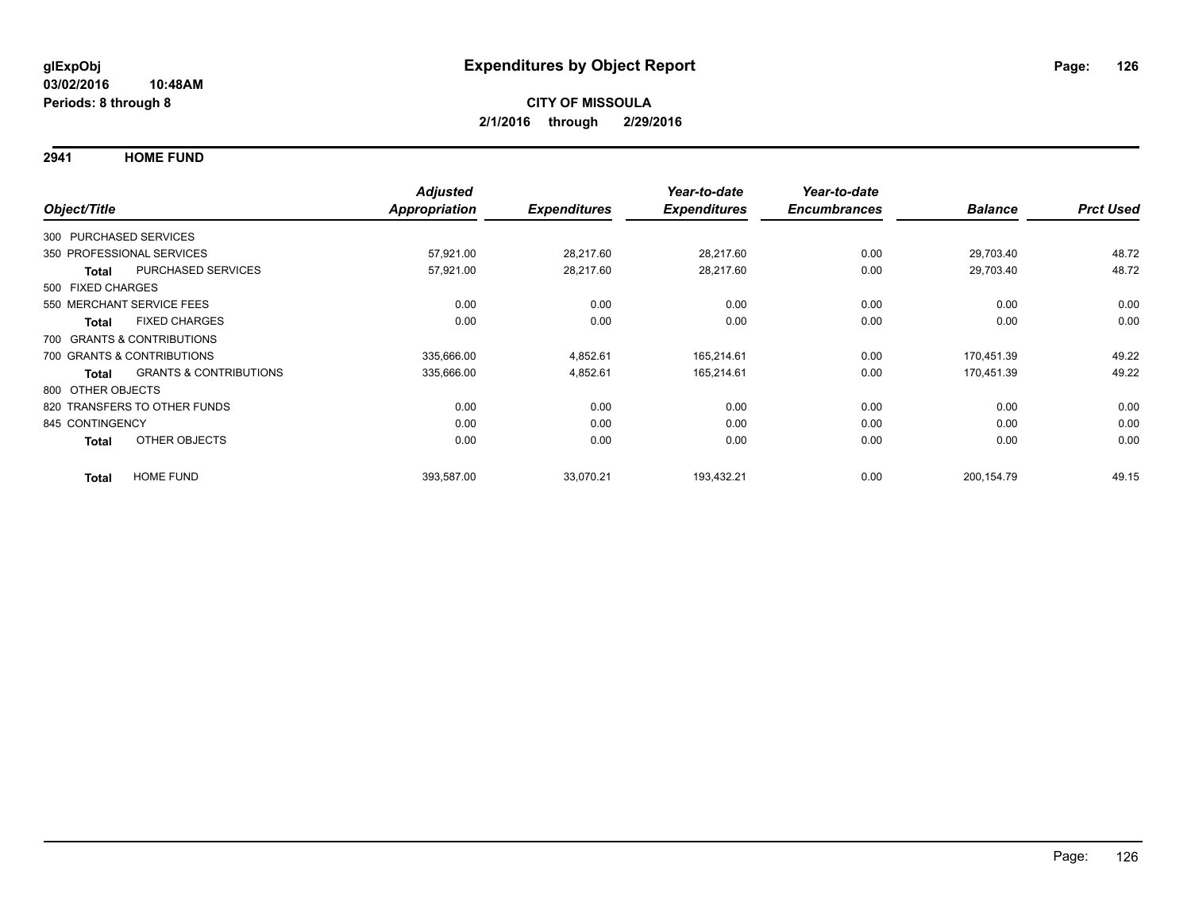**2941 HOME FUND**

|                        |                                   | <b>Adjusted</b>      |                     | Year-to-date        | Year-to-date        |                |                  |
|------------------------|-----------------------------------|----------------------|---------------------|---------------------|---------------------|----------------|------------------|
| Object/Title           |                                   | <b>Appropriation</b> | <b>Expenditures</b> | <b>Expenditures</b> | <b>Encumbrances</b> | <b>Balance</b> | <b>Prct Used</b> |
| 300 PURCHASED SERVICES |                                   |                      |                     |                     |                     |                |                  |
|                        | 350 PROFESSIONAL SERVICES         | 57,921.00            | 28.217.60           | 28,217.60           | 0.00                | 29,703.40      | 48.72            |
| Total                  | <b>PURCHASED SERVICES</b>         | 57,921.00            | 28,217.60           | 28,217.60           | 0.00                | 29,703.40      | 48.72            |
| 500 FIXED CHARGES      |                                   |                      |                     |                     |                     |                |                  |
|                        | 550 MERCHANT SERVICE FEES         | 0.00                 | 0.00                | 0.00                | 0.00                | 0.00           | 0.00             |
| <b>Total</b>           | <b>FIXED CHARGES</b>              | 0.00                 | 0.00                | 0.00                | 0.00                | 0.00           | 0.00             |
|                        | 700 GRANTS & CONTRIBUTIONS        |                      |                     |                     |                     |                |                  |
|                        | 700 GRANTS & CONTRIBUTIONS        | 335,666.00           | 4,852.61            | 165,214.61          | 0.00                | 170,451.39     | 49.22            |
| <b>Total</b>           | <b>GRANTS &amp; CONTRIBUTIONS</b> | 335,666.00           | 4,852.61            | 165,214.61          | 0.00                | 170,451.39     | 49.22            |
| 800 OTHER OBJECTS      |                                   |                      |                     |                     |                     |                |                  |
|                        | 820 TRANSFERS TO OTHER FUNDS      | 0.00                 | 0.00                | 0.00                | 0.00                | 0.00           | 0.00             |
| 845 CONTINGENCY        |                                   | 0.00                 | 0.00                | 0.00                | 0.00                | 0.00           | 0.00             |
| <b>Total</b>           | OTHER OBJECTS                     | 0.00                 | 0.00                | 0.00                | 0.00                | 0.00           | 0.00             |
| <b>Total</b>           | <b>HOME FUND</b>                  | 393,587.00           | 33,070.21           | 193,432.21          | 0.00                | 200,154.79     | 49.15            |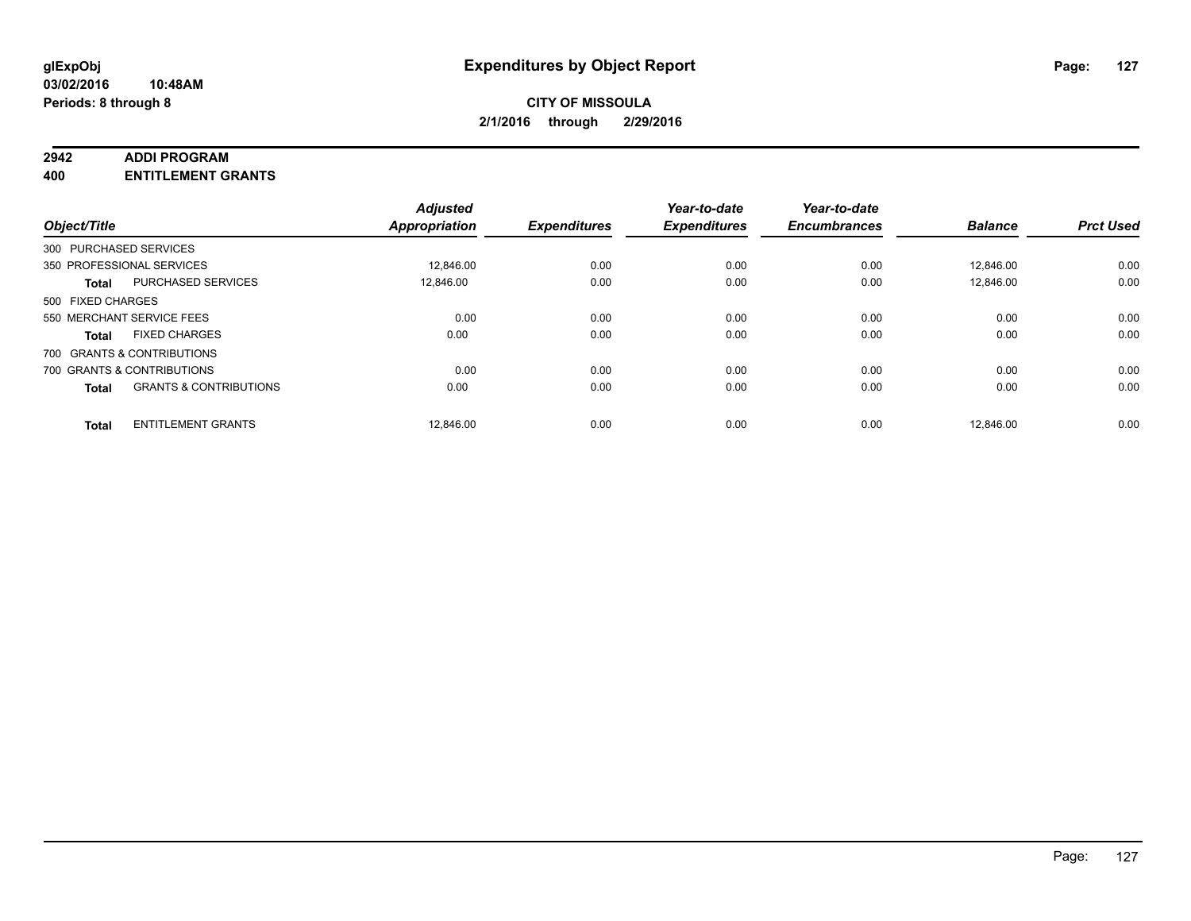#### **2942 ADDI PROGRAM**

**400 ENTITLEMENT GRANTS**

| Object/Title      |                                   | <b>Adjusted</b><br><b>Appropriation</b> | <b>Expenditures</b> | Year-to-date<br><b>Expenditures</b> | Year-to-date<br><b>Encumbrances</b> | <b>Balance</b> | <b>Prct Used</b> |
|-------------------|-----------------------------------|-----------------------------------------|---------------------|-------------------------------------|-------------------------------------|----------------|------------------|
|                   | 300 PURCHASED SERVICES            |                                         |                     |                                     |                                     |                |                  |
|                   | 350 PROFESSIONAL SERVICES         | 12,846.00                               | 0.00                | 0.00                                | 0.00                                | 12,846.00      | 0.00             |
| <b>Total</b>      | <b>PURCHASED SERVICES</b>         | 12.846.00                               | 0.00                | 0.00                                | 0.00                                | 12.846.00      | 0.00             |
| 500 FIXED CHARGES |                                   |                                         |                     |                                     |                                     |                |                  |
|                   | 550 MERCHANT SERVICE FEES         | 0.00                                    | 0.00                | 0.00                                | 0.00                                | 0.00           | 0.00             |
| <b>Total</b>      | <b>FIXED CHARGES</b>              | 0.00                                    | 0.00                | 0.00                                | 0.00                                | 0.00           | 0.00             |
|                   | 700 GRANTS & CONTRIBUTIONS        |                                         |                     |                                     |                                     |                |                  |
|                   | 700 GRANTS & CONTRIBUTIONS        | 0.00                                    | 0.00                | 0.00                                | 0.00                                | 0.00           | 0.00             |
| <b>Total</b>      | <b>GRANTS &amp; CONTRIBUTIONS</b> | 0.00                                    | 0.00                | 0.00                                | 0.00                                | 0.00           | 0.00             |
| <b>Total</b>      | <b>ENTITLEMENT GRANTS</b>         | 12,846.00                               | 0.00                | 0.00                                | 0.00                                | 12.846.00      | 0.00             |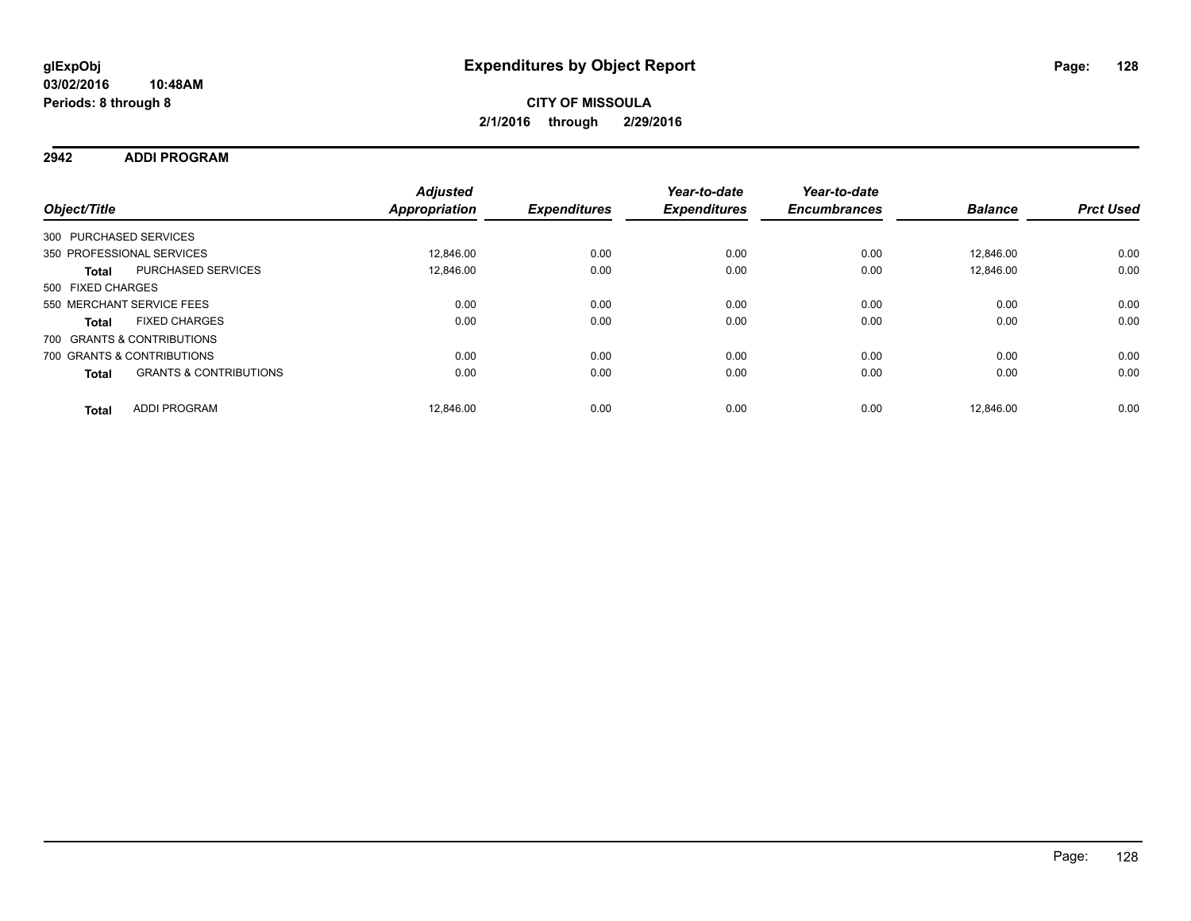## **2942 ADDI PROGRAM**

| Object/Title           |                                   | <b>Adjusted</b><br>Appropriation | <b>Expenditures</b> | Year-to-date<br><b>Expenditures</b> | Year-to-date<br><b>Encumbrances</b> | <b>Balance</b> | <b>Prct Used</b> |
|------------------------|-----------------------------------|----------------------------------|---------------------|-------------------------------------|-------------------------------------|----------------|------------------|
| 300 PURCHASED SERVICES |                                   |                                  |                     |                                     |                                     |                |                  |
|                        | 350 PROFESSIONAL SERVICES         | 12.846.00                        | 0.00                | 0.00                                | 0.00                                | 12.846.00      | 0.00             |
| <b>Total</b>           | <b>PURCHASED SERVICES</b>         | 12.846.00                        | 0.00                | 0.00                                | 0.00                                | 12.846.00      | 0.00             |
| 500 FIXED CHARGES      |                                   |                                  |                     |                                     |                                     |                |                  |
|                        | 550 MERCHANT SERVICE FEES         | 0.00                             | 0.00                | 0.00                                | 0.00                                | 0.00           | 0.00             |
| <b>Total</b>           | <b>FIXED CHARGES</b>              | 0.00                             | 0.00                | 0.00                                | 0.00                                | 0.00           | 0.00             |
|                        | 700 GRANTS & CONTRIBUTIONS        |                                  |                     |                                     |                                     |                |                  |
|                        | 700 GRANTS & CONTRIBUTIONS        | 0.00                             | 0.00                | 0.00                                | 0.00                                | 0.00           | 0.00             |
| <b>Total</b>           | <b>GRANTS &amp; CONTRIBUTIONS</b> | 0.00                             | 0.00                | 0.00                                | 0.00                                | 0.00           | 0.00             |
| <b>Total</b>           | <b>ADDI PROGRAM</b>               | 12.846.00                        | 0.00                | 0.00                                | 0.00                                | 12.846.00      | 0.00             |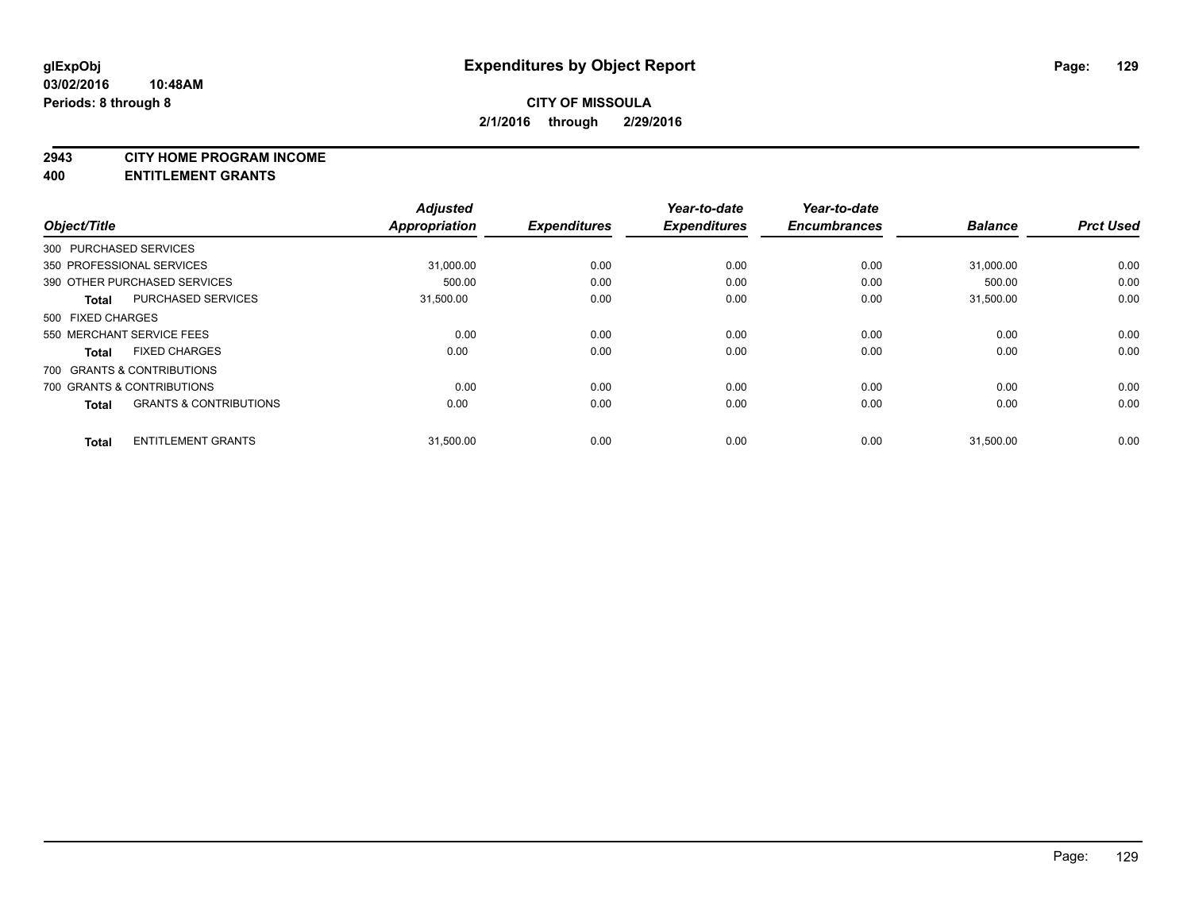#### **2943 CITY HOME PROGRAM INCOME**

**400 ENTITLEMENT GRANTS**

| Object/Title      |                                   | <b>Adjusted</b><br><b>Appropriation</b> | <b>Expenditures</b> | Year-to-date<br><b>Expenditures</b> | Year-to-date<br><b>Encumbrances</b> | <b>Balance</b> | <b>Prct Used</b> |
|-------------------|-----------------------------------|-----------------------------------------|---------------------|-------------------------------------|-------------------------------------|----------------|------------------|
|                   | 300 PURCHASED SERVICES            |                                         |                     |                                     |                                     |                |                  |
|                   | 350 PROFESSIONAL SERVICES         | 31,000.00                               | 0.00                | 0.00                                | 0.00                                | 31,000.00      | 0.00             |
|                   | 390 OTHER PURCHASED SERVICES      | 500.00                                  | 0.00                | 0.00                                | 0.00                                | 500.00         | 0.00             |
| <b>Total</b>      | <b>PURCHASED SERVICES</b>         | 31,500.00                               | 0.00                | 0.00                                | 0.00                                | 31,500.00      | 0.00             |
| 500 FIXED CHARGES |                                   |                                         |                     |                                     |                                     |                |                  |
|                   | 550 MERCHANT SERVICE FEES         | 0.00                                    | 0.00                | 0.00                                | 0.00                                | 0.00           | 0.00             |
| Total             | <b>FIXED CHARGES</b>              | 0.00                                    | 0.00                | 0.00                                | 0.00                                | 0.00           | 0.00             |
|                   | 700 GRANTS & CONTRIBUTIONS        |                                         |                     |                                     |                                     |                |                  |
|                   | 700 GRANTS & CONTRIBUTIONS        | 0.00                                    | 0.00                | 0.00                                | 0.00                                | 0.00           | 0.00             |
| <b>Total</b>      | <b>GRANTS &amp; CONTRIBUTIONS</b> | 0.00                                    | 0.00                | 0.00                                | 0.00                                | 0.00           | 0.00             |
| <b>Total</b>      | <b>ENTITLEMENT GRANTS</b>         | 31,500.00                               | 0.00                | 0.00                                | 0.00                                | 31,500.00      | 0.00             |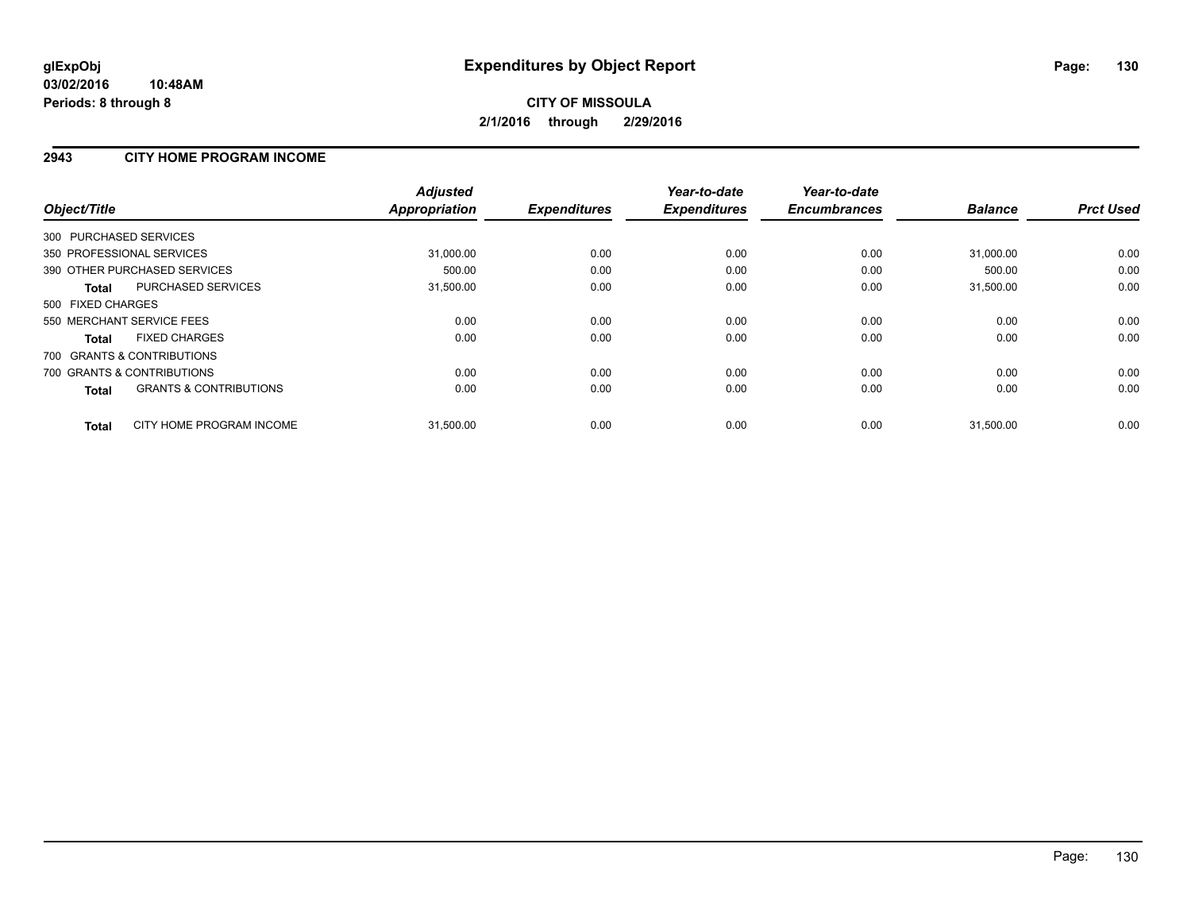### **2943 CITY HOME PROGRAM INCOME**

| Object/Title                               | <b>Adjusted</b><br><b>Appropriation</b> | <b>Expenditures</b> | Year-to-date<br><b>Expenditures</b> | Year-to-date<br><b>Encumbrances</b> | <b>Balance</b> | <b>Prct Used</b> |
|--------------------------------------------|-----------------------------------------|---------------------|-------------------------------------|-------------------------------------|----------------|------------------|
| 300 PURCHASED SERVICES                     |                                         |                     |                                     |                                     |                |                  |
| 350 PROFESSIONAL SERVICES                  | 31,000.00                               | 0.00                | 0.00                                | 0.00                                | 31,000.00      | 0.00             |
| 390 OTHER PURCHASED SERVICES               | 500.00                                  | 0.00                | 0.00                                | 0.00                                | 500.00         | 0.00             |
| <b>PURCHASED SERVICES</b><br>Total         | 31,500.00                               | 0.00                | 0.00                                | 0.00                                | 31,500.00      | 0.00             |
| 500 FIXED CHARGES                          |                                         |                     |                                     |                                     |                |                  |
| 550 MERCHANT SERVICE FEES                  | 0.00                                    | 0.00                | 0.00                                | 0.00                                | 0.00           | 0.00             |
| <b>FIXED CHARGES</b><br>Total              | 0.00                                    | 0.00                | 0.00                                | 0.00                                | 0.00           | 0.00             |
| 700 GRANTS & CONTRIBUTIONS                 |                                         |                     |                                     |                                     |                |                  |
| 700 GRANTS & CONTRIBUTIONS                 | 0.00                                    | 0.00                | 0.00                                | 0.00                                | 0.00           | 0.00             |
| <b>GRANTS &amp; CONTRIBUTIONS</b><br>Total | 0.00                                    | 0.00                | 0.00                                | 0.00                                | 0.00           | 0.00             |
| CITY HOME PROGRAM INCOME<br><b>Total</b>   | 31,500.00                               | 0.00                | 0.00                                | 0.00                                | 31,500.00      | 0.00             |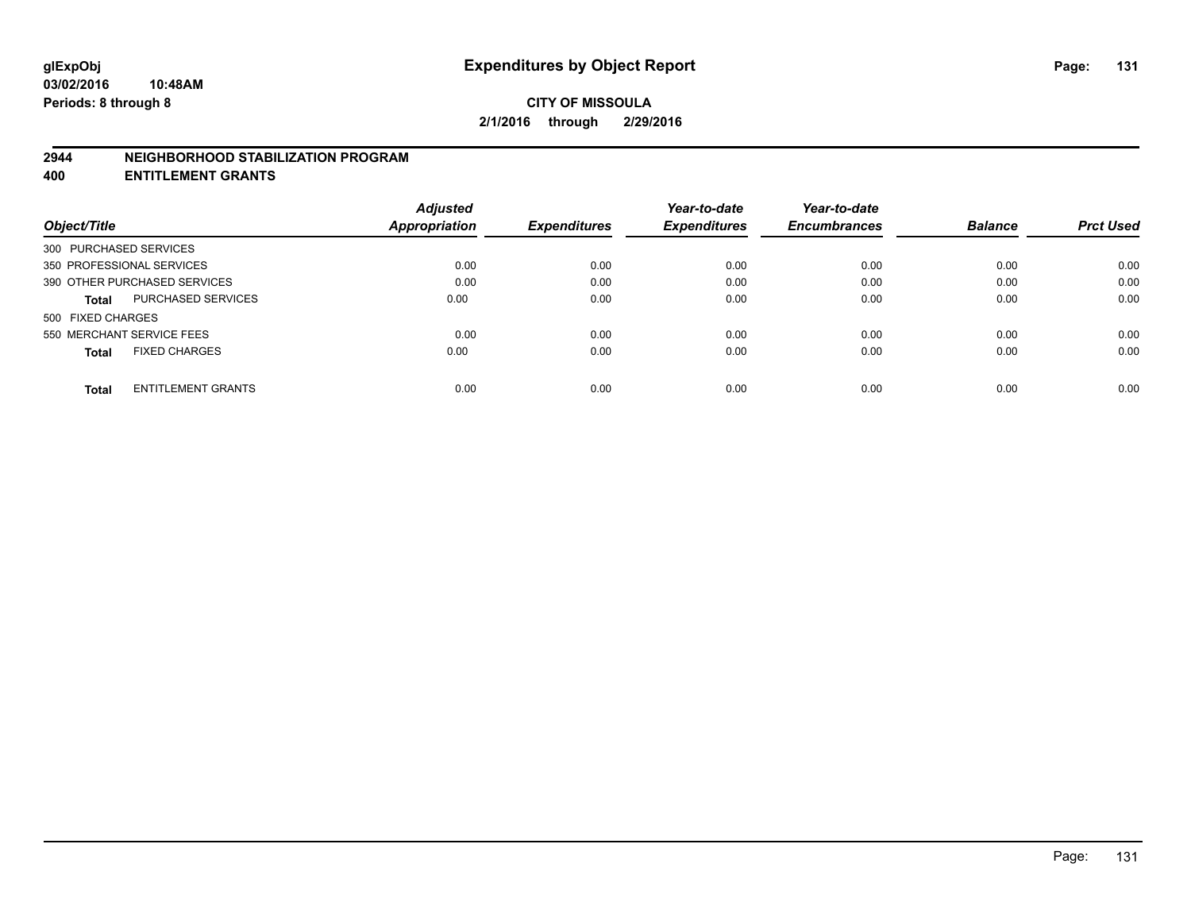#### **2944 NEIGHBORHOOD STABILIZATION PROGRAM**

**400 ENTITLEMENT GRANTS**

| <b>Adjusted</b> |                      | Year-to-date        | Year-to-date        |                     | <b>Prct Used</b> |
|-----------------|----------------------|---------------------|---------------------|---------------------|------------------|
|                 |                      |                     |                     |                     |                  |
|                 |                      |                     |                     |                     |                  |
| 0.00            | 0.00                 | 0.00                | 0.00                | 0.00                | 0.00             |
| 0.00            | 0.00                 | 0.00                | 0.00                | 0.00                | 0.00             |
| 0.00            | 0.00                 | 0.00                | 0.00                | 0.00                | 0.00             |
|                 |                      |                     |                     |                     |                  |
| 0.00            | 0.00                 | 0.00                | 0.00                | 0.00                | 0.00             |
| 0.00            | 0.00                 | 0.00                | 0.00                | 0.00                | 0.00             |
| 0.00            | 0.00                 | 0.00                | 0.00                | 0.00                | 0.00             |
|                 | <b>Appropriation</b> | <b>Expenditures</b> | <b>Expenditures</b> | <b>Encumbrances</b> | <b>Balance</b>   |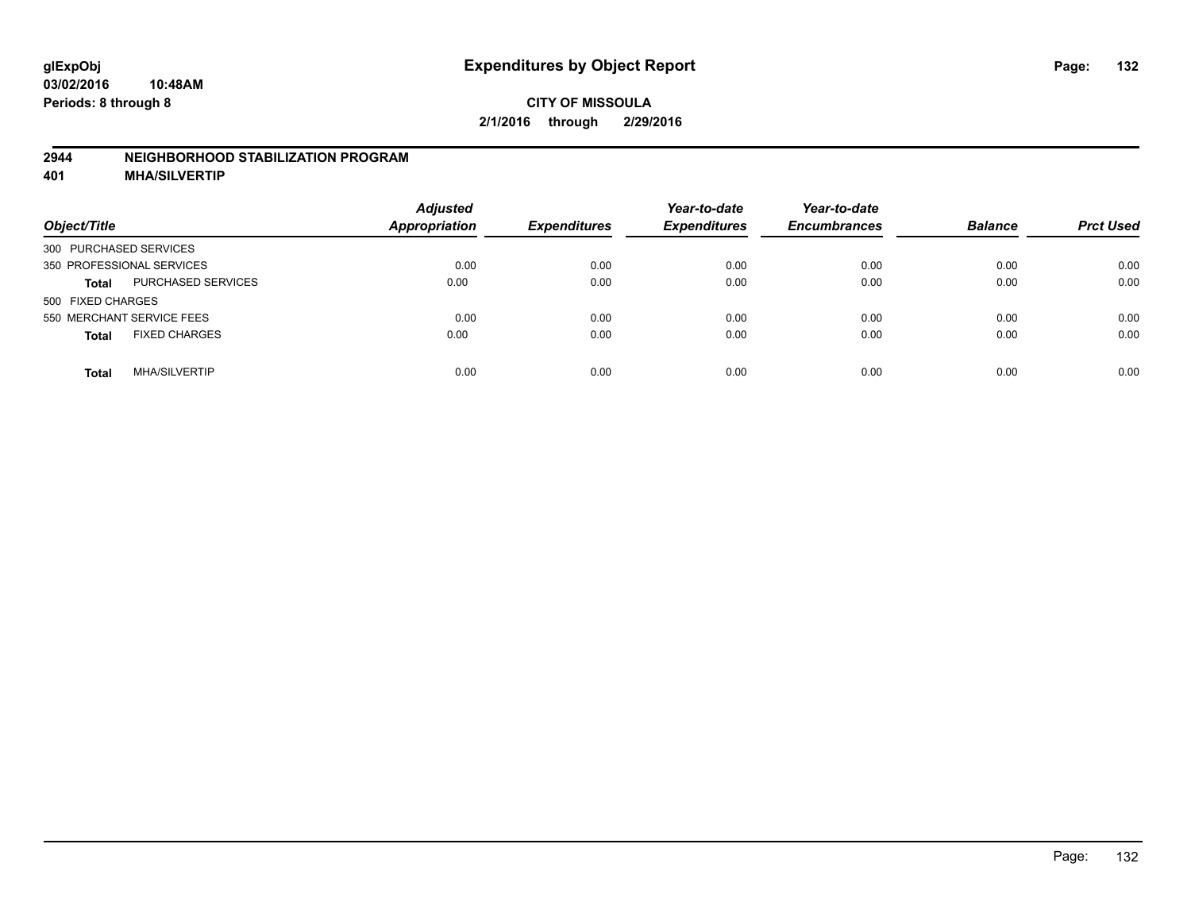#### **2944 NEIGHBORHOOD STABILIZATION PROGRAM**

**401 MHA/SILVERTIP**

| Object/Title                              | <b>Adjusted</b><br><b>Appropriation</b> | <b>Expenditures</b> | Year-to-date<br><b>Expenditures</b> | Year-to-date<br><b>Encumbrances</b> | <b>Balance</b> | <b>Prct Used</b> |
|-------------------------------------------|-----------------------------------------|---------------------|-------------------------------------|-------------------------------------|----------------|------------------|
| 300 PURCHASED SERVICES                    |                                         |                     |                                     |                                     |                |                  |
| 350 PROFESSIONAL SERVICES                 | 0.00                                    | 0.00                | 0.00                                | 0.00                                | 0.00           | 0.00             |
| <b>PURCHASED SERVICES</b><br><b>Total</b> | 0.00                                    | 0.00                | 0.00                                | 0.00                                | 0.00           | 0.00             |
| 500 FIXED CHARGES                         |                                         |                     |                                     |                                     |                |                  |
| 550 MERCHANT SERVICE FEES                 | 0.00                                    | 0.00                | 0.00                                | 0.00                                | 0.00           | 0.00             |
| <b>FIXED CHARGES</b><br><b>Total</b>      | 0.00                                    | 0.00                | 0.00                                | 0.00                                | 0.00           | 0.00             |
| <b>MHA/SILVERTIP</b><br>Total             | 0.00                                    | 0.00                | 0.00                                | 0.00                                | 0.00           | 0.00             |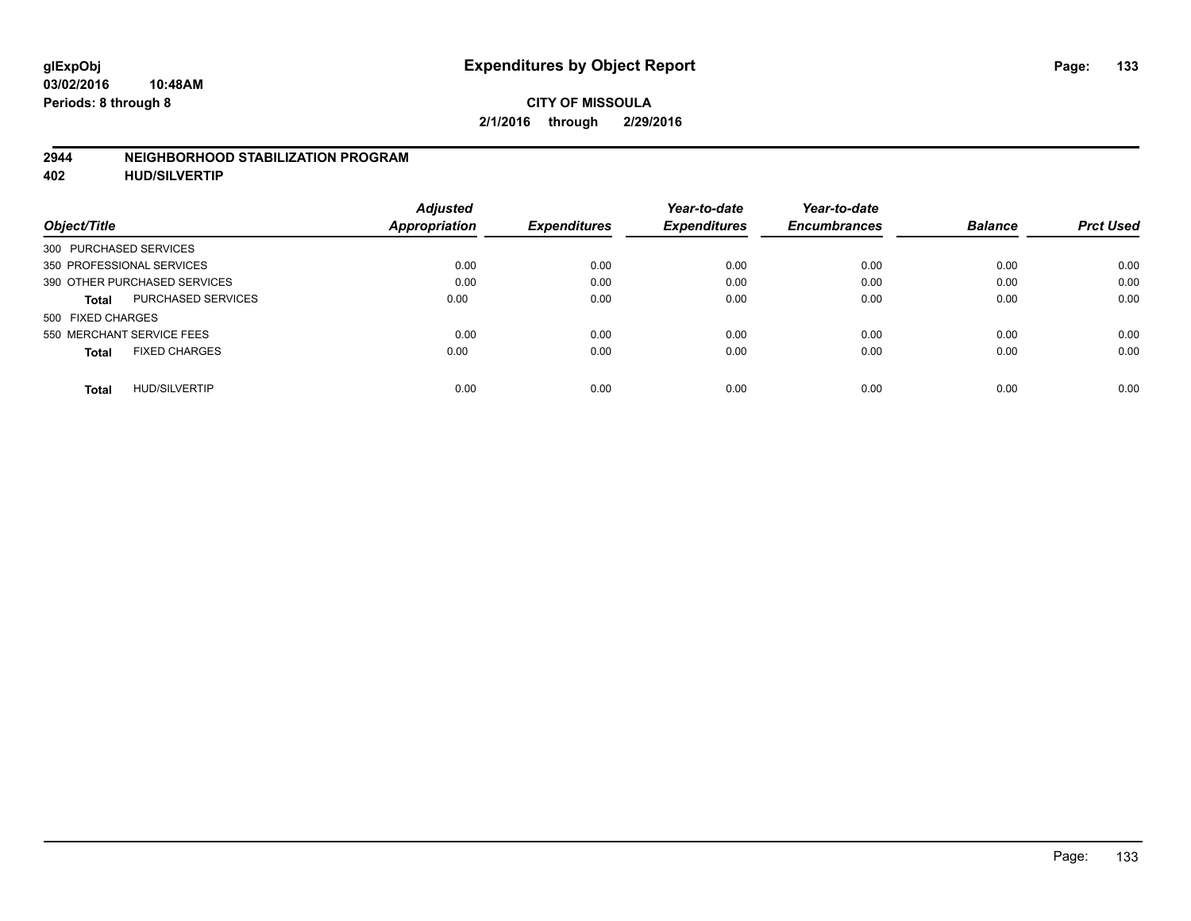#### **2944 NEIGHBORHOOD STABILIZATION PROGRAM**

**402 HUD/SILVERTIP**

| Object/Title                         | <b>Adjusted</b><br><b>Appropriation</b> | <b>Expenditures</b> | Year-to-date<br><b>Expenditures</b> | Year-to-date<br><b>Encumbrances</b> | <b>Balance</b> | <b>Prct Used</b> |
|--------------------------------------|-----------------------------------------|---------------------|-------------------------------------|-------------------------------------|----------------|------------------|
| 300 PURCHASED SERVICES               |                                         |                     |                                     |                                     |                |                  |
| 350 PROFESSIONAL SERVICES            | 0.00                                    | 0.00                | 0.00                                | 0.00                                | 0.00           | 0.00             |
| 390 OTHER PURCHASED SERVICES         | 0.00                                    | 0.00                | 0.00                                | 0.00                                | 0.00           | 0.00             |
| <b>PURCHASED SERVICES</b><br>Total   | 0.00                                    | 0.00                | 0.00                                | 0.00                                | 0.00           | 0.00             |
| 500 FIXED CHARGES                    |                                         |                     |                                     |                                     |                |                  |
| 550 MERCHANT SERVICE FEES            | 0.00                                    | 0.00                | 0.00                                | 0.00                                | 0.00           | 0.00             |
| <b>FIXED CHARGES</b><br><b>Total</b> | 0.00                                    | 0.00                | 0.00                                | 0.00                                | 0.00           | 0.00             |
| <b>HUD/SILVERTIP</b><br><b>Total</b> | 0.00                                    | 0.00                | 0.00                                | 0.00                                | 0.00           | 0.00             |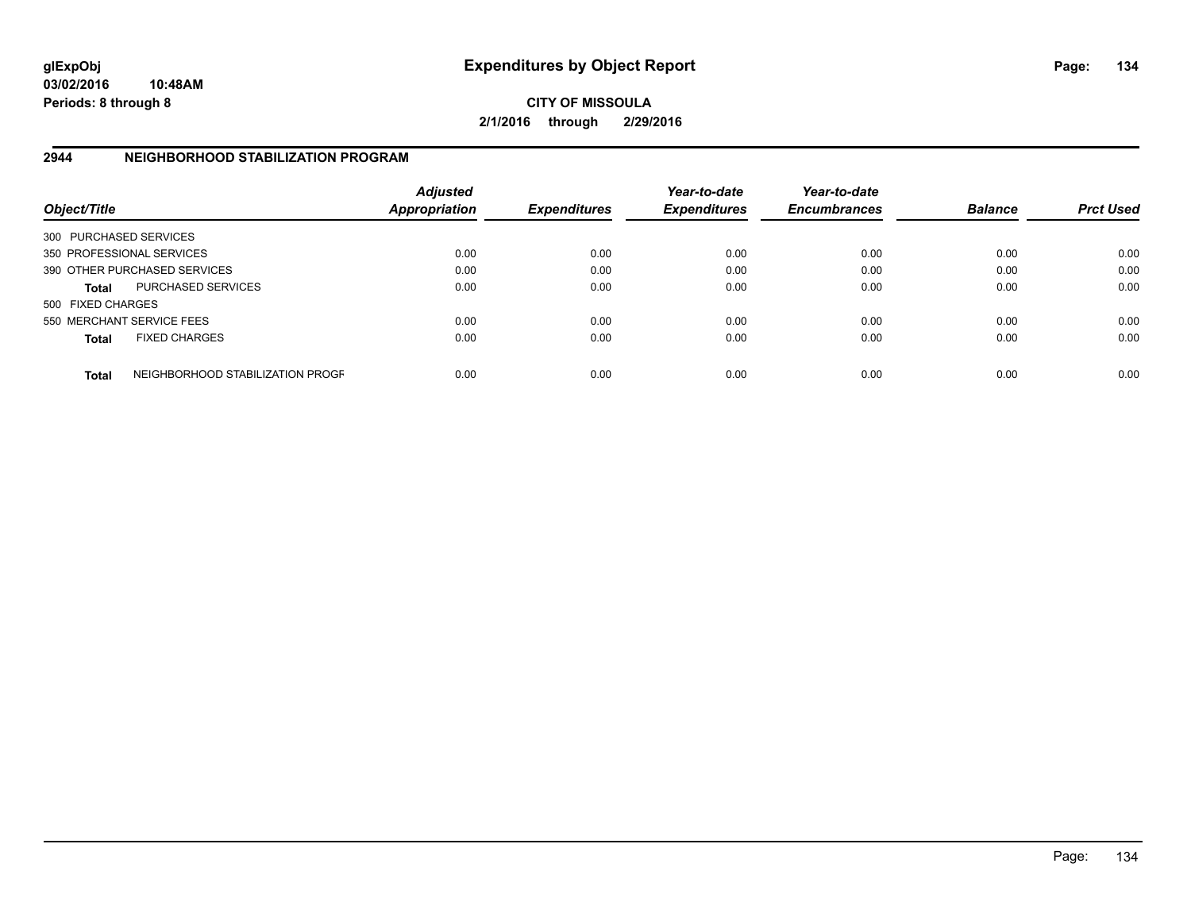**CITY OF MISSOULA 2/1/2016 through 2/29/2016**

## **2944 NEIGHBORHOOD STABILIZATION PROGRAM**

| Object/Title           |                                  | <b>Adjusted</b><br><b>Appropriation</b> | <b>Expenditures</b> | Year-to-date<br><b>Expenditures</b> | Year-to-date<br><b>Encumbrances</b> | <b>Balance</b> | <b>Prct Used</b> |
|------------------------|----------------------------------|-----------------------------------------|---------------------|-------------------------------------|-------------------------------------|----------------|------------------|
| 300 PURCHASED SERVICES |                                  |                                         |                     |                                     |                                     |                |                  |
|                        | 350 PROFESSIONAL SERVICES        | 0.00                                    | 0.00                | 0.00                                | 0.00                                | 0.00           | 0.00             |
|                        | 390 OTHER PURCHASED SERVICES     | 0.00                                    | 0.00                | 0.00                                | 0.00                                | 0.00           | 0.00             |
| <b>Total</b>           | <b>PURCHASED SERVICES</b>        | 0.00                                    | 0.00                | 0.00                                | 0.00                                | 0.00           | 0.00             |
| 500 FIXED CHARGES      |                                  |                                         |                     |                                     |                                     |                |                  |
|                        | 550 MERCHANT SERVICE FEES        | 0.00                                    | 0.00                | 0.00                                | 0.00                                | 0.00           | 0.00             |
| <b>Total</b>           | <b>FIXED CHARGES</b>             | 0.00                                    | 0.00                | 0.00                                | 0.00                                | 0.00           | 0.00             |
| <b>Total</b>           | NEIGHBORHOOD STABILIZATION PROGF | 0.00                                    | 0.00                | 0.00                                | 0.00                                | 0.00           | 0.00             |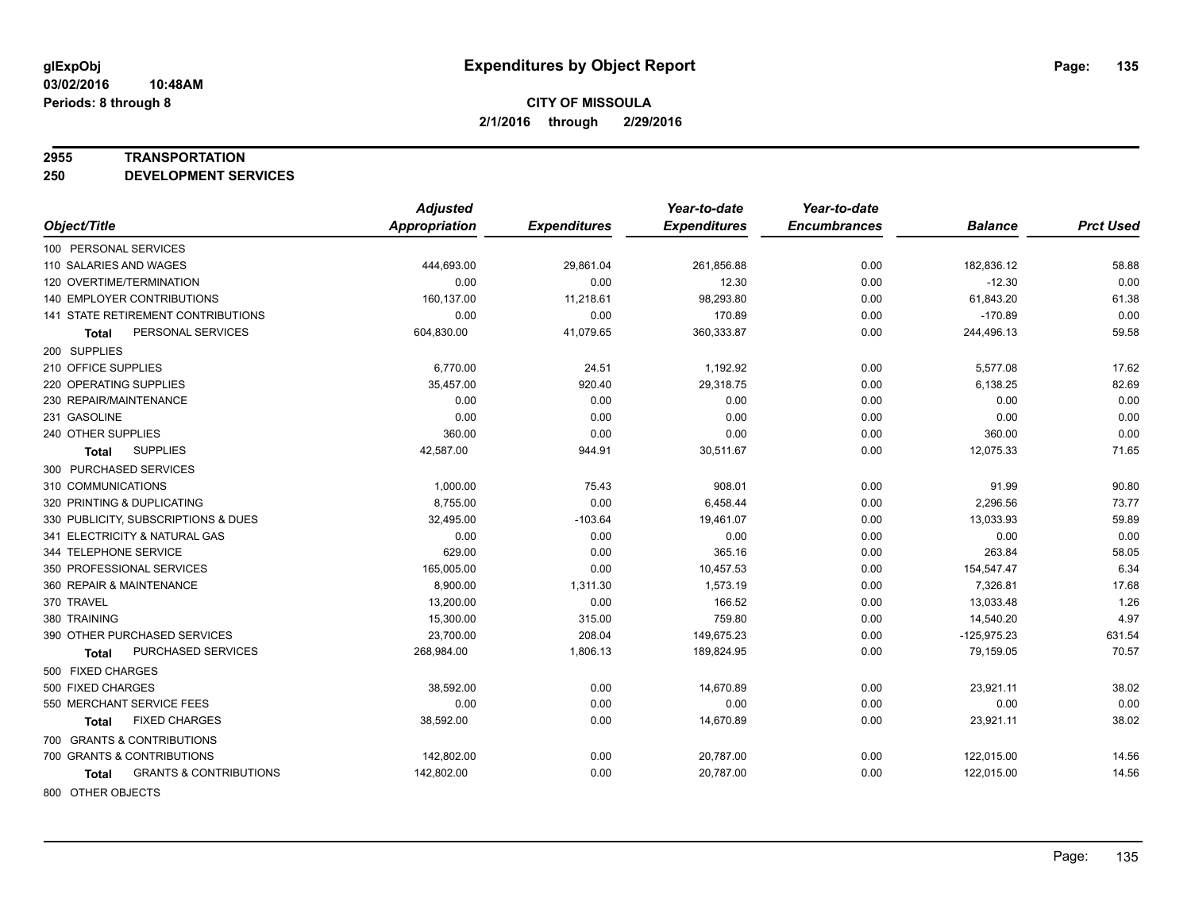#### **2955 TRANSPORTATION**

**250 DEVELOPMENT SERVICES**

|                                            | <b>Adjusted</b> |                     | Year-to-date        | Year-to-date        |                |                  |
|--------------------------------------------|-----------------|---------------------|---------------------|---------------------|----------------|------------------|
| Object/Title                               | Appropriation   | <b>Expenditures</b> | <b>Expenditures</b> | <b>Encumbrances</b> | <b>Balance</b> | <b>Prct Used</b> |
| 100 PERSONAL SERVICES                      |                 |                     |                     |                     |                |                  |
| 110 SALARIES AND WAGES                     | 444,693.00      | 29,861.04           | 261,856.88          | 0.00                | 182,836.12     | 58.88            |
| 120 OVERTIME/TERMINATION                   | 0.00            | 0.00                | 12.30               | 0.00                | $-12.30$       | 0.00             |
| <b>140 EMPLOYER CONTRIBUTIONS</b>          | 160,137.00      | 11,218.61           | 98,293.80           | 0.00                | 61,843.20      | 61.38            |
| 141 STATE RETIREMENT CONTRIBUTIONS         | 0.00            | 0.00                | 170.89              | 0.00                | $-170.89$      | 0.00             |
| PERSONAL SERVICES<br>Total                 | 604,830.00      | 41,079.65           | 360,333.87          | 0.00                | 244,496.13     | 59.58            |
| 200 SUPPLIES                               |                 |                     |                     |                     |                |                  |
| 210 OFFICE SUPPLIES                        | 6,770.00        | 24.51               | 1,192.92            | 0.00                | 5,577.08       | 17.62            |
| 220 OPERATING SUPPLIES                     | 35,457.00       | 920.40              | 29,318.75           | 0.00                | 6,138.25       | 82.69            |
| 230 REPAIR/MAINTENANCE                     | 0.00            | 0.00                | 0.00                | 0.00                | 0.00           | 0.00             |
| 231 GASOLINE                               | 0.00            | 0.00                | 0.00                | 0.00                | 0.00           | 0.00             |
| 240 OTHER SUPPLIES                         | 360.00          | 0.00                | 0.00                | 0.00                | 360.00         | 0.00             |
| <b>SUPPLIES</b><br>Total                   | 42,587.00       | 944.91              | 30,511.67           | 0.00                | 12,075.33      | 71.65            |
| 300 PURCHASED SERVICES                     |                 |                     |                     |                     |                |                  |
| 310 COMMUNICATIONS                         | 1,000.00        | 75.43               | 908.01              | 0.00                | 91.99          | 90.80            |
| 320 PRINTING & DUPLICATING                 | 8,755.00        | 0.00                | 6,458.44            | 0.00                | 2,296.56       | 73.77            |
| 330 PUBLICITY, SUBSCRIPTIONS & DUES        | 32,495.00       | $-103.64$           | 19,461.07           | 0.00                | 13,033.93      | 59.89            |
| 341 ELECTRICITY & NATURAL GAS              | 0.00            | 0.00                | 0.00                | 0.00                | 0.00           | 0.00             |
| 344 TELEPHONE SERVICE                      | 629.00          | 0.00                | 365.16              | 0.00                | 263.84         | 58.05            |
| 350 PROFESSIONAL SERVICES                  | 165,005.00      | 0.00                | 10,457.53           | 0.00                | 154,547.47     | 6.34             |
| 360 REPAIR & MAINTENANCE                   | 8,900.00        | 1,311.30            | 1,573.19            | 0.00                | 7,326.81       | 17.68            |
| 370 TRAVEL                                 | 13,200.00       | 0.00                | 166.52              | 0.00                | 13,033.48      | 1.26             |
| 380 TRAINING                               | 15,300.00       | 315.00              | 759.80              | 0.00                | 14,540.20      | 4.97             |
| 390 OTHER PURCHASED SERVICES               | 23,700.00       | 208.04              | 149,675.23          | 0.00                | $-125,975.23$  | 631.54           |
| PURCHASED SERVICES<br>Total                | 268,984.00      | 1,806.13            | 189,824.95          | 0.00                | 79,159.05      | 70.57            |
| 500 FIXED CHARGES                          |                 |                     |                     |                     |                |                  |
| 500 FIXED CHARGES                          | 38,592.00       | 0.00                | 14,670.89           | 0.00                | 23,921.11      | 38.02            |
| 550 MERCHANT SERVICE FEES                  | 0.00            | 0.00                | 0.00                | 0.00                | 0.00           | 0.00             |
| <b>FIXED CHARGES</b><br>Total              | 38,592.00       | 0.00                | 14,670.89           | 0.00                | 23,921.11      | 38.02            |
| 700 GRANTS & CONTRIBUTIONS                 |                 |                     |                     |                     |                |                  |
| 700 GRANTS & CONTRIBUTIONS                 | 142,802.00      | 0.00                | 20,787.00           | 0.00                | 122,015.00     | 14.56            |
| <b>GRANTS &amp; CONTRIBUTIONS</b><br>Total | 142,802.00      | 0.00                | 20,787.00           | 0.00                | 122,015.00     | 14.56            |
| 000 OTHER OR IECTO                         |                 |                     |                     |                     |                |                  |

800 OTHER OBJECTS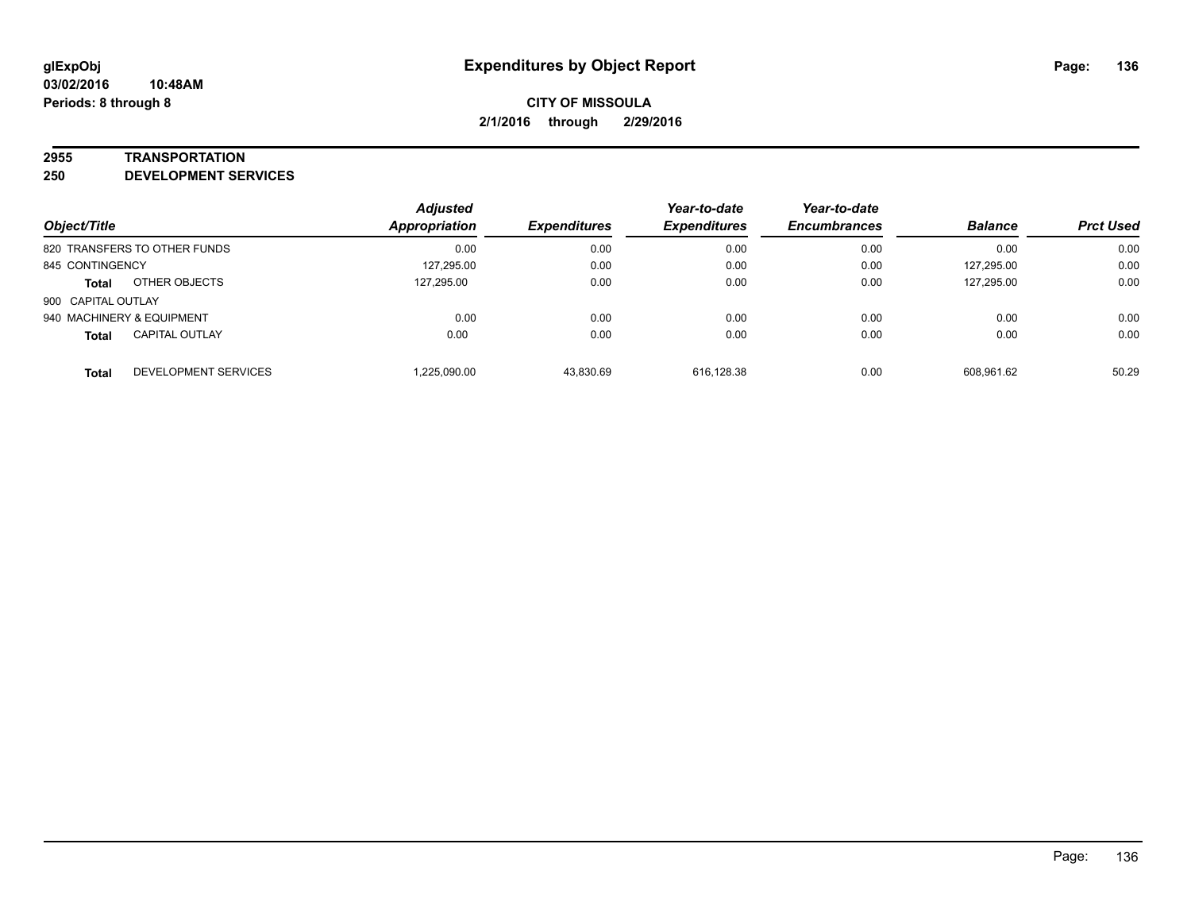#### **2955 TRANSPORTATION**

**250 DEVELOPMENT SERVICES**

| Object/Title                          | <b>Adjusted</b><br>Appropriation | <b>Expenditures</b> | Year-to-date<br><b>Expenditures</b> | Year-to-date<br><b>Encumbrances</b> | <b>Balance</b> | <b>Prct Used</b> |
|---------------------------------------|----------------------------------|---------------------|-------------------------------------|-------------------------------------|----------------|------------------|
| 820 TRANSFERS TO OTHER FUNDS          | 0.00                             | 0.00                | 0.00                                | 0.00                                | 0.00           | 0.00             |
| 845 CONTINGENCY                       | 127,295.00                       | 0.00                | 0.00                                | 0.00                                | 127,295.00     | 0.00             |
| OTHER OBJECTS<br><b>Total</b>         | 127,295.00                       | 0.00                | 0.00                                | 0.00                                | 127,295.00     | 0.00             |
| 900 CAPITAL OUTLAY                    |                                  |                     |                                     |                                     |                |                  |
| 940 MACHINERY & EQUIPMENT             | 0.00                             | 0.00                | 0.00                                | 0.00                                | 0.00           | 0.00             |
| <b>CAPITAL OUTLAY</b><br><b>Total</b> | 0.00                             | 0.00                | 0.00                                | 0.00                                | 0.00           | 0.00             |
| DEVELOPMENT SERVICES<br><b>Total</b>  | 1,225,090.00                     | 43,830.69           | 616,128.38                          | 0.00                                | 608.961.62     | 50.29            |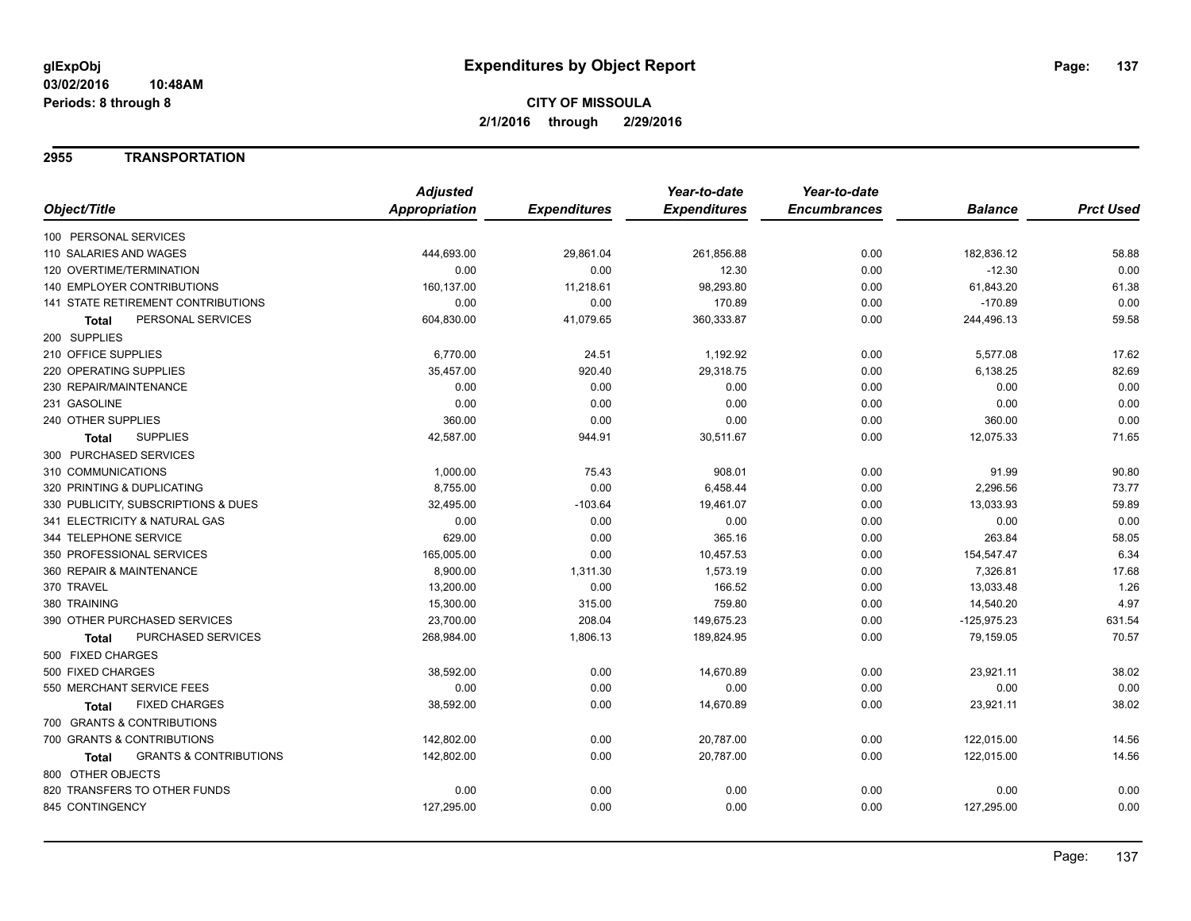## **2955 TRANSPORTATION**

|                                            | <b>Adjusted</b>      |                     | Year-to-date        | Year-to-date        |                |                  |
|--------------------------------------------|----------------------|---------------------|---------------------|---------------------|----------------|------------------|
| Object/Title                               | <b>Appropriation</b> | <b>Expenditures</b> | <b>Expenditures</b> | <b>Encumbrances</b> | <b>Balance</b> | <b>Prct Used</b> |
| 100 PERSONAL SERVICES                      |                      |                     |                     |                     |                |                  |
| 110 SALARIES AND WAGES                     | 444,693.00           | 29,861.04           | 261,856.88          | 0.00                | 182,836.12     | 58.88            |
| 120 OVERTIME/TERMINATION                   | 0.00                 | 0.00                | 12.30               | 0.00                | $-12.30$       | 0.00             |
| 140 EMPLOYER CONTRIBUTIONS                 | 160,137.00           | 11,218.61           | 98,293.80           | 0.00                | 61,843.20      | 61.38            |
| 141 STATE RETIREMENT CONTRIBUTIONS         | 0.00                 | 0.00                | 170.89              | 0.00                | $-170.89$      | 0.00             |
| PERSONAL SERVICES<br><b>Total</b>          | 604,830.00           | 41,079.65           | 360,333.87          | 0.00                | 244,496.13     | 59.58            |
| 200 SUPPLIES                               |                      |                     |                     |                     |                |                  |
| 210 OFFICE SUPPLIES                        | 6,770.00             | 24.51               | 1,192.92            | 0.00                | 5,577.08       | 17.62            |
| 220 OPERATING SUPPLIES                     | 35,457.00            | 920.40              | 29,318.75           | 0.00                | 6,138.25       | 82.69            |
| 230 REPAIR/MAINTENANCE                     | 0.00                 | 0.00                | 0.00                | 0.00                | 0.00           | 0.00             |
| 231 GASOLINE                               | 0.00                 | 0.00                | 0.00                | 0.00                | 0.00           | 0.00             |
| 240 OTHER SUPPLIES                         | 360.00               | 0.00                | 0.00                | 0.00                | 360.00         | 0.00             |
| <b>SUPPLIES</b><br>Total                   | 42,587.00            | 944.91              | 30,511.67           | 0.00                | 12,075.33      | 71.65            |
| 300 PURCHASED SERVICES                     |                      |                     |                     |                     |                |                  |
| 310 COMMUNICATIONS                         | 1,000.00             | 75.43               | 908.01              | 0.00                | 91.99          | 90.80            |
| 320 PRINTING & DUPLICATING                 | 8,755.00             | 0.00                | 6,458.44            | 0.00                | 2,296.56       | 73.77            |
| 330 PUBLICITY, SUBSCRIPTIONS & DUES        | 32,495.00            | $-103.64$           | 19,461.07           | 0.00                | 13,033.93      | 59.89            |
| 341 ELECTRICITY & NATURAL GAS              | 0.00                 | 0.00                | 0.00                | 0.00                | 0.00           | 0.00             |
| 344 TELEPHONE SERVICE                      | 629.00               | 0.00                | 365.16              | 0.00                | 263.84         | 58.05            |
| 350 PROFESSIONAL SERVICES                  | 165,005.00           | 0.00                | 10,457.53           | 0.00                | 154,547.47     | 6.34             |
| 360 REPAIR & MAINTENANCE                   | 8,900.00             | 1,311.30            | 1,573.19            | 0.00                | 7,326.81       | 17.68            |
| 370 TRAVEL                                 | 13,200.00            | 0.00                | 166.52              | 0.00                | 13,033.48      | 1.26             |
| 380 TRAINING                               | 15,300.00            | 315.00              | 759.80              | 0.00                | 14,540.20      | 4.97             |
| 390 OTHER PURCHASED SERVICES               | 23,700.00            | 208.04              | 149,675.23          | 0.00                | $-125,975.23$  | 631.54           |
| <b>PURCHASED SERVICES</b><br><b>Total</b>  | 268,984.00           | 1,806.13            | 189,824.95          | 0.00                | 79,159.05      | 70.57            |
| 500 FIXED CHARGES                          |                      |                     |                     |                     |                |                  |
| 500 FIXED CHARGES                          | 38,592.00            | 0.00                | 14,670.89           | 0.00                | 23,921.11      | 38.02            |
| 550 MERCHANT SERVICE FEES                  | 0.00                 | 0.00                | 0.00                | 0.00                | 0.00           | 0.00             |
| <b>FIXED CHARGES</b><br><b>Total</b>       | 38,592.00            | 0.00                | 14,670.89           | 0.00                | 23,921.11      | 38.02            |
| 700 GRANTS & CONTRIBUTIONS                 |                      |                     |                     |                     |                |                  |
| 700 GRANTS & CONTRIBUTIONS                 | 142,802.00           | 0.00                | 20,787.00           | 0.00                | 122,015.00     | 14.56            |
| <b>GRANTS &amp; CONTRIBUTIONS</b><br>Total | 142,802.00           | 0.00                | 20,787.00           | 0.00                | 122,015.00     | 14.56            |
| 800 OTHER OBJECTS                          |                      |                     |                     |                     |                |                  |
| 820 TRANSFERS TO OTHER FUNDS               | 0.00                 | 0.00                | 0.00                | 0.00                | 0.00           | 0.00             |
| 845 CONTINGENCY                            | 127,295.00           | 0.00                | 0.00                | 0.00                | 127,295.00     | 0.00             |
|                                            |                      |                     |                     |                     |                |                  |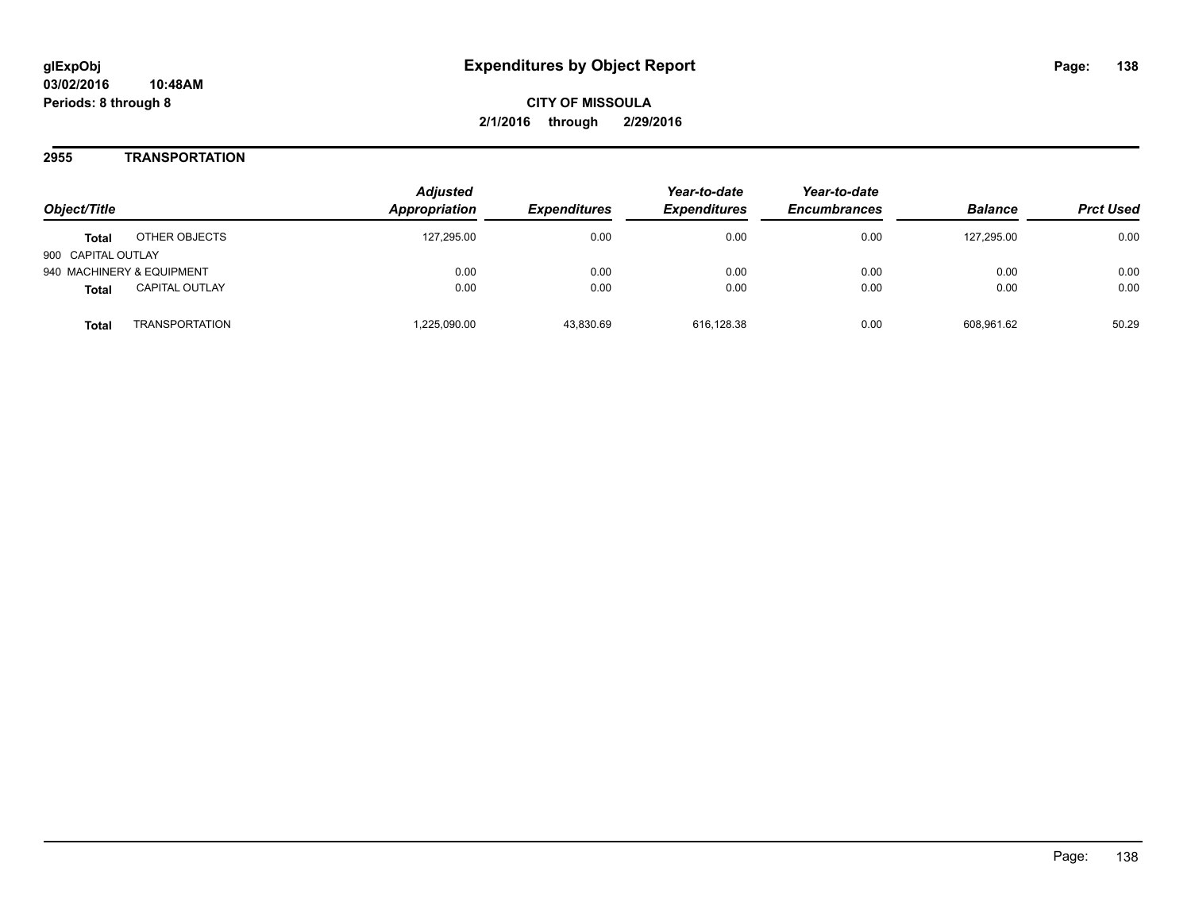## **2955 TRANSPORTATION**

| Object/Title       |                           | <b>Adjusted</b><br>Appropriation | <b>Expenditures</b> | Year-to-date<br><b>Expenditures</b> | Year-to-date<br><b>Encumbrances</b> | <b>Balance</b> | <b>Prct Used</b> |
|--------------------|---------------------------|----------------------------------|---------------------|-------------------------------------|-------------------------------------|----------------|------------------|
| <b>Total</b>       | OTHER OBJECTS             | 127.295.00                       | 0.00                | 0.00                                | 0.00                                | 127,295.00     | 0.00             |
| 900 CAPITAL OUTLAY |                           |                                  |                     |                                     |                                     |                |                  |
|                    | 940 MACHINERY & EQUIPMENT | 0.00                             | 0.00                | 0.00                                | 0.00                                | 0.00           | 0.00             |
| <b>Total</b>       | <b>CAPITAL OUTLAY</b>     | 0.00                             | 0.00                | 0.00                                | 0.00                                | 0.00           | 0.00             |
| <b>Total</b>       | <b>TRANSPORTATION</b>     | .225,090.00                      | 43,830.69           | 616.128.38                          | 0.00                                | 608,961.62     | 50.29            |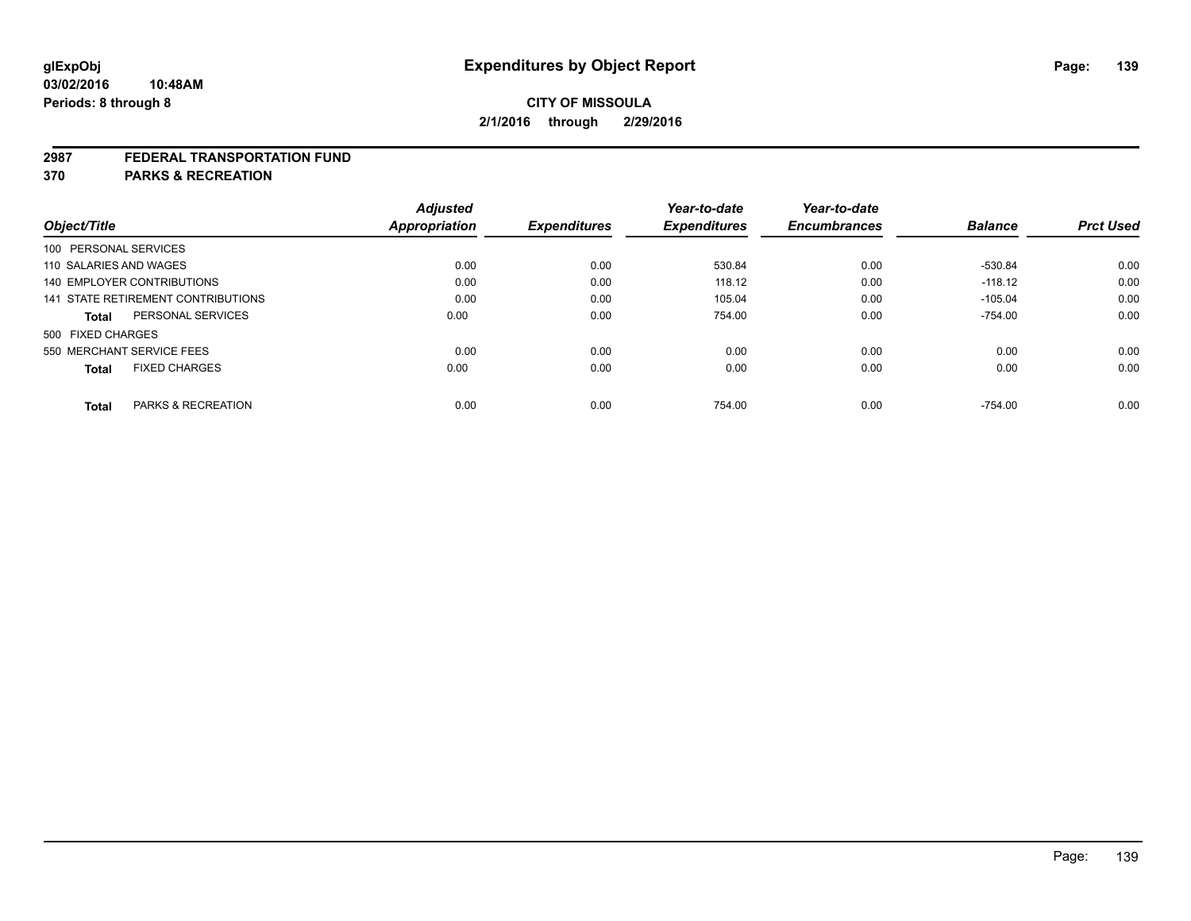## **CITY OF MISSOULA 2/1/2016 through 2/29/2016**

#### **2987 FEDERAL TRANSPORTATION FUND**

**370 PARKS & RECREATION**

| Object/Title                         | <b>Adjusted</b><br><b>Appropriation</b> | <b>Expenditures</b> | Year-to-date<br><b>Expenditures</b> | Year-to-date<br><b>Encumbrances</b> | <b>Balance</b> | <b>Prct Used</b> |
|--------------------------------------|-----------------------------------------|---------------------|-------------------------------------|-------------------------------------|----------------|------------------|
| 100 PERSONAL SERVICES                |                                         |                     |                                     |                                     |                |                  |
| 110 SALARIES AND WAGES               | 0.00                                    | 0.00                | 530.84                              | 0.00                                | -530.84        | 0.00             |
| 140 EMPLOYER CONTRIBUTIONS           | 0.00                                    | 0.00                | 118.12                              | 0.00                                | $-118.12$      | 0.00             |
| 141 STATE RETIREMENT CONTRIBUTIONS   | 0.00                                    | 0.00                | 105.04                              | 0.00                                | $-105.04$      | 0.00             |
| PERSONAL SERVICES<br><b>Total</b>    | 0.00                                    | 0.00                | 754.00                              | 0.00                                | $-754.00$      | 0.00             |
| 500 FIXED CHARGES                    |                                         |                     |                                     |                                     |                |                  |
| 550 MERCHANT SERVICE FEES            | 0.00                                    | 0.00                | 0.00                                | 0.00                                | 0.00           | 0.00             |
| <b>FIXED CHARGES</b><br><b>Total</b> | 0.00                                    | 0.00                | 0.00                                | 0.00                                | 0.00           | 0.00             |
|                                      |                                         |                     |                                     |                                     |                |                  |
| PARKS & RECREATION<br><b>Total</b>   | 0.00                                    | 0.00                | 754.00                              | 0.00                                | $-754.00$      | 0.00             |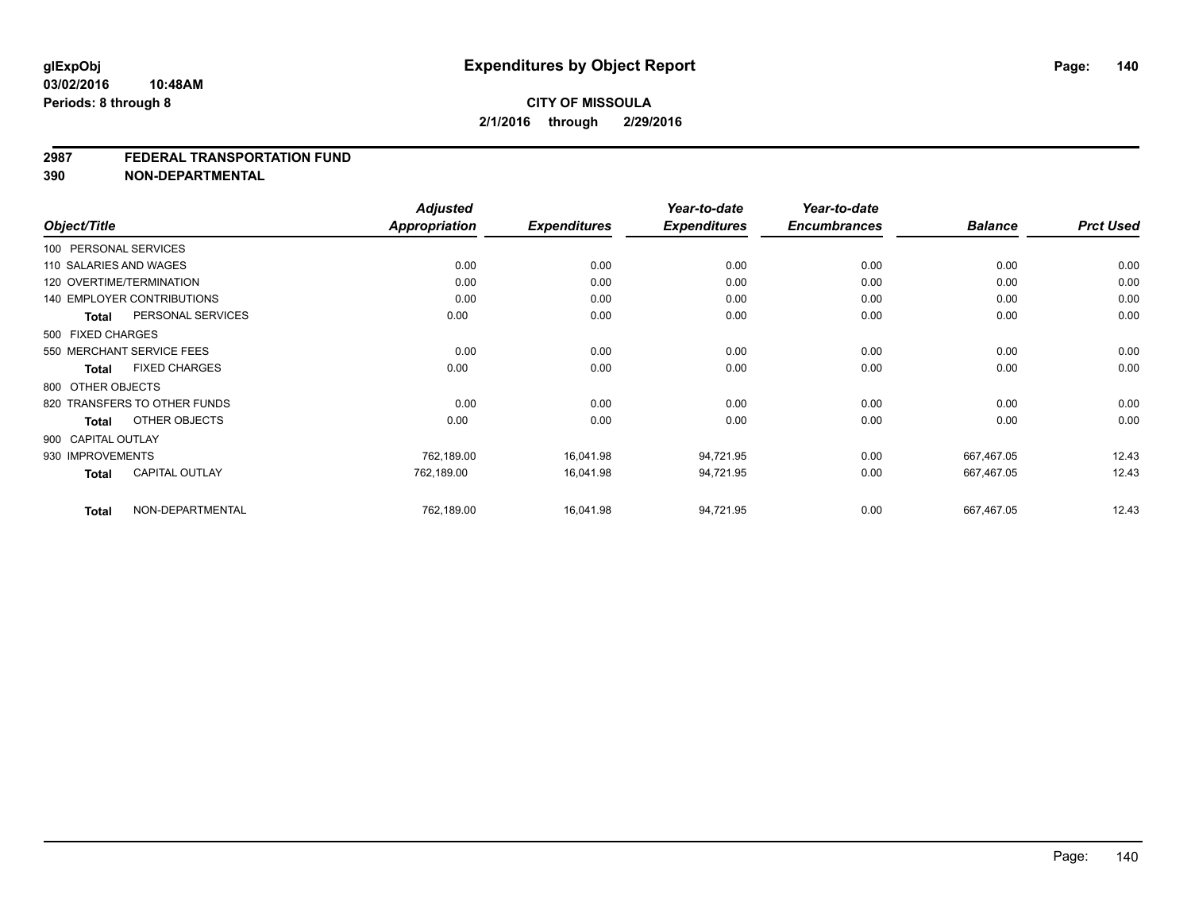## **CITY OF MISSOULA 2/1/2016 through 2/29/2016**

#### **2987 FEDERAL TRANSPORTATION FUND**

**390 NON-DEPARTMENTAL**

|                        |                                   | <b>Adjusted</b>      |                     | Year-to-date        | Year-to-date<br><b>Encumbrances</b> | <b>Balance</b> | <b>Prct Used</b> |
|------------------------|-----------------------------------|----------------------|---------------------|---------------------|-------------------------------------|----------------|------------------|
| Object/Title           |                                   | <b>Appropriation</b> | <b>Expenditures</b> | <b>Expenditures</b> |                                     |                |                  |
| 100 PERSONAL SERVICES  |                                   |                      |                     |                     |                                     |                |                  |
| 110 SALARIES AND WAGES |                                   | 0.00                 | 0.00                | 0.00                | 0.00                                | 0.00           | 0.00             |
|                        | 120 OVERTIME/TERMINATION          | 0.00                 | 0.00                | 0.00                | 0.00                                | 0.00           | 0.00             |
|                        | <b>140 EMPLOYER CONTRIBUTIONS</b> | 0.00                 | 0.00                | 0.00                | 0.00                                | 0.00           | 0.00             |
| Total                  | PERSONAL SERVICES                 | 0.00                 | 0.00                | 0.00                | 0.00                                | 0.00           | 0.00             |
| 500 FIXED CHARGES      |                                   |                      |                     |                     |                                     |                |                  |
|                        | 550 MERCHANT SERVICE FEES         | 0.00                 | 0.00                | 0.00                | 0.00                                | 0.00           | 0.00             |
| Total                  | <b>FIXED CHARGES</b>              | 0.00                 | 0.00                | 0.00                | 0.00                                | 0.00           | 0.00             |
| 800 OTHER OBJECTS      |                                   |                      |                     |                     |                                     |                |                  |
|                        | 820 TRANSFERS TO OTHER FUNDS      | 0.00                 | 0.00                | 0.00                | 0.00                                | 0.00           | 0.00             |
| Total                  | OTHER OBJECTS                     | 0.00                 | 0.00                | 0.00                | 0.00                                | 0.00           | 0.00             |
| 900 CAPITAL OUTLAY     |                                   |                      |                     |                     |                                     |                |                  |
| 930 IMPROVEMENTS       |                                   | 762,189.00           | 16,041.98           | 94,721.95           | 0.00                                | 667,467.05     | 12.43            |
| <b>Total</b>           | <b>CAPITAL OUTLAY</b>             | 762,189.00           | 16,041.98           | 94,721.95           | 0.00                                | 667,467.05     | 12.43            |
| <b>Total</b>           | NON-DEPARTMENTAL                  | 762,189.00           | 16,041.98           | 94,721.95           | 0.00                                | 667,467.05     | 12.43            |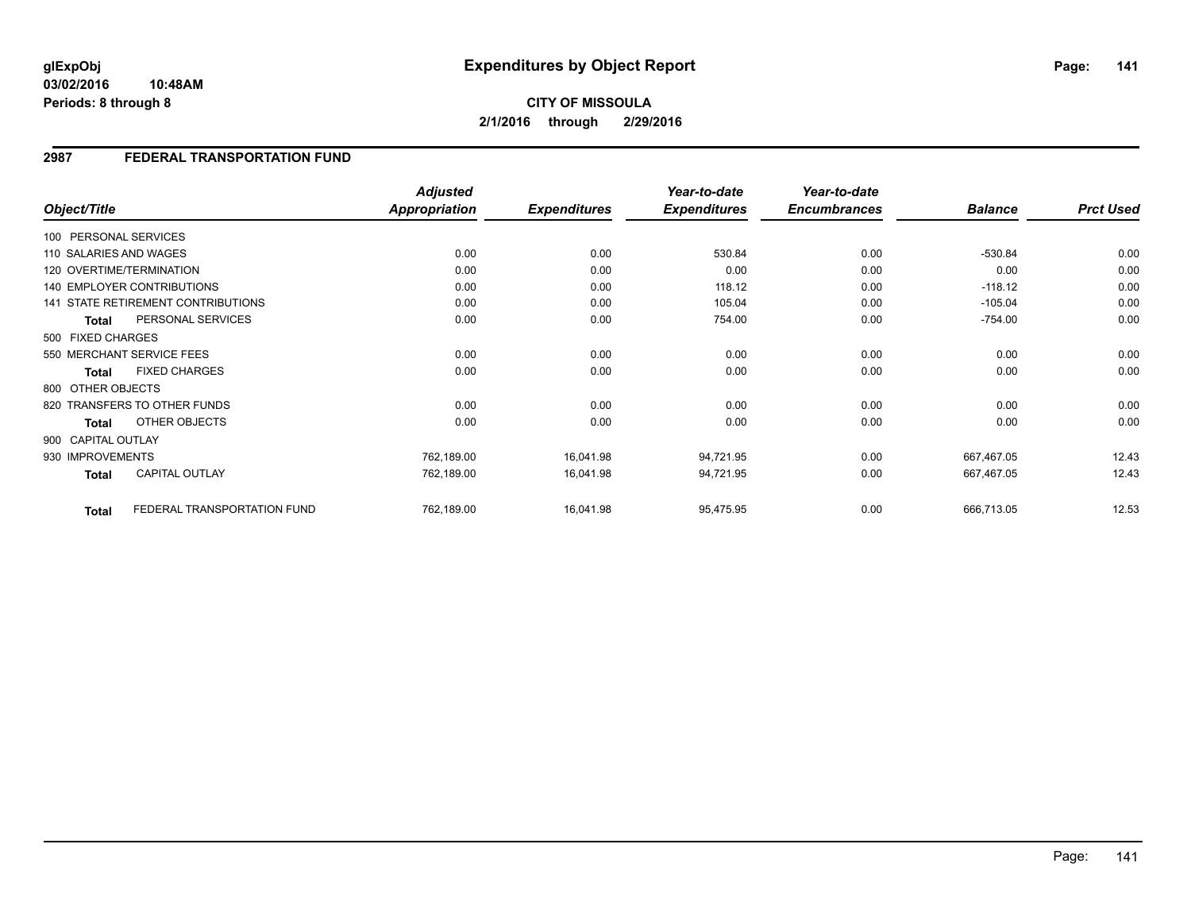# **CITY OF MISSOULA 2/1/2016 through 2/29/2016**

## **2987 FEDERAL TRANSPORTATION FUND**

|                        |                                    | <b>Adjusted</b>      |                     | Year-to-date        | Year-to-date        |                |                  |
|------------------------|------------------------------------|----------------------|---------------------|---------------------|---------------------|----------------|------------------|
| Object/Title           |                                    | <b>Appropriation</b> | <b>Expenditures</b> | <b>Expenditures</b> | <b>Encumbrances</b> | <b>Balance</b> | <b>Prct Used</b> |
| 100 PERSONAL SERVICES  |                                    |                      |                     |                     |                     |                |                  |
| 110 SALARIES AND WAGES |                                    | 0.00                 | 0.00                | 530.84              | 0.00                | $-530.84$      | 0.00             |
|                        | 120 OVERTIME/TERMINATION           | 0.00                 | 0.00                | 0.00                | 0.00                | 0.00           | 0.00             |
|                        | <b>140 EMPLOYER CONTRIBUTIONS</b>  | 0.00                 | 0.00                | 118.12              | 0.00                | $-118.12$      | 0.00             |
|                        | 141 STATE RETIREMENT CONTRIBUTIONS | 0.00                 | 0.00                | 105.04              | 0.00                | $-105.04$      | 0.00             |
| <b>Total</b>           | PERSONAL SERVICES                  | 0.00                 | 0.00                | 754.00              | 0.00                | $-754.00$      | 0.00             |
| 500 FIXED CHARGES      |                                    |                      |                     |                     |                     |                |                  |
|                        | 550 MERCHANT SERVICE FEES          | 0.00                 | 0.00                | 0.00                | 0.00                | 0.00           | 0.00             |
| <b>Total</b>           | <b>FIXED CHARGES</b>               | 0.00                 | 0.00                | 0.00                | 0.00                | 0.00           | 0.00             |
| 800 OTHER OBJECTS      |                                    |                      |                     |                     |                     |                |                  |
|                        | 820 TRANSFERS TO OTHER FUNDS       | 0.00                 | 0.00                | 0.00                | 0.00                | 0.00           | 0.00             |
| <b>Total</b>           | OTHER OBJECTS                      | 0.00                 | 0.00                | 0.00                | 0.00                | 0.00           | 0.00             |
| 900 CAPITAL OUTLAY     |                                    |                      |                     |                     |                     |                |                  |
| 930 IMPROVEMENTS       |                                    | 762,189.00           | 16,041.98           | 94,721.95           | 0.00                | 667,467.05     | 12.43            |
| <b>Total</b>           | <b>CAPITAL OUTLAY</b>              | 762,189.00           | 16,041.98           | 94,721.95           | 0.00                | 667,467.05     | 12.43            |
| <b>Total</b>           | FEDERAL TRANSPORTATION FUND        | 762,189.00           | 16,041.98           | 95,475.95           | 0.00                | 666,713.05     | 12.53            |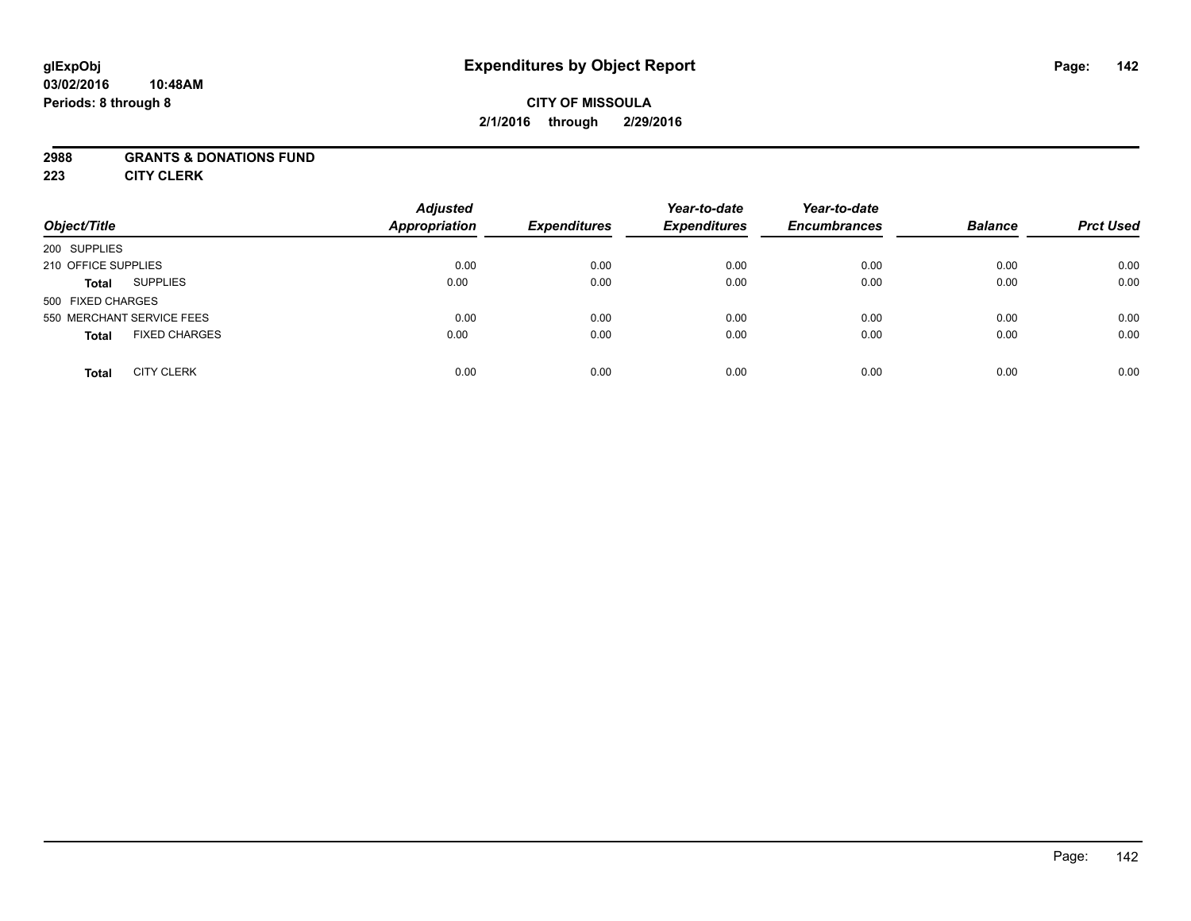# **CITY OF MISSOULA 2/1/2016 through 2/29/2016**

## **2988 GRANTS & DONATIONS FUND**

**223 CITY CLERK**

| Object/Title                         | <b>Adjusted</b><br><b>Appropriation</b> | <b>Expenditures</b> | Year-to-date<br><b>Expenditures</b> | Year-to-date<br><b>Encumbrances</b> | <b>Balance</b> | <b>Prct Used</b> |
|--------------------------------------|-----------------------------------------|---------------------|-------------------------------------|-------------------------------------|----------------|------------------|
| 200 SUPPLIES                         |                                         |                     |                                     |                                     |                |                  |
| 210 OFFICE SUPPLIES                  | 0.00                                    | 0.00                | 0.00                                | 0.00                                | 0.00           | 0.00             |
| <b>SUPPLIES</b><br><b>Total</b>      | 0.00                                    | 0.00                | 0.00                                | 0.00                                | 0.00           | 0.00             |
| 500 FIXED CHARGES                    |                                         |                     |                                     |                                     |                |                  |
| 550 MERCHANT SERVICE FEES            | 0.00                                    | 0.00                | 0.00                                | 0.00                                | 0.00           | 0.00             |
| <b>FIXED CHARGES</b><br><b>Total</b> | 0.00                                    | 0.00                | 0.00                                | 0.00                                | 0.00           | 0.00             |
| <b>CITY CLERK</b><br><b>Total</b>    | 0.00                                    | 0.00                | 0.00                                | 0.00                                | 0.00           | 0.00             |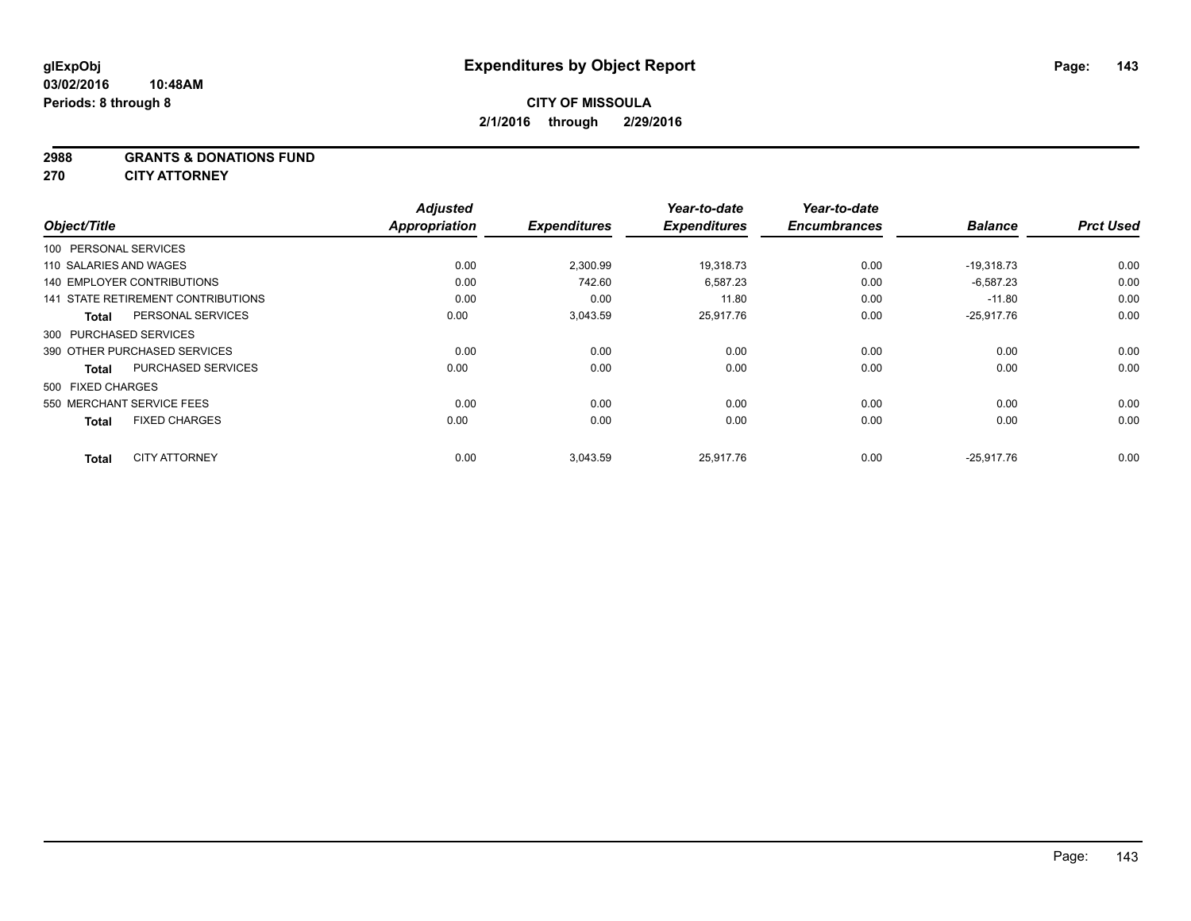#### **2988 GRANTS & DONATIONS FUND**

**270 CITY ATTORNEY**

| Object/Title                         | <b>Adjusted</b><br><b>Appropriation</b> | <b>Expenditures</b> | Year-to-date<br><b>Expenditures</b> | Year-to-date<br><b>Encumbrances</b> | <b>Balance</b> | <b>Prct Used</b> |
|--------------------------------------|-----------------------------------------|---------------------|-------------------------------------|-------------------------------------|----------------|------------------|
| 100 PERSONAL SERVICES                |                                         |                     |                                     |                                     |                |                  |
| 110 SALARIES AND WAGES               | 0.00                                    | 2,300.99            | 19.318.73                           | 0.00                                | $-19.318.73$   | 0.00             |
| 140 EMPLOYER CONTRIBUTIONS           | 0.00                                    | 742.60              | 6,587.23                            | 0.00                                | $-6,587.23$    | 0.00             |
| 141 STATE RETIREMENT CONTRIBUTIONS   | 0.00                                    | 0.00                | 11.80                               | 0.00                                | $-11.80$       | 0.00             |
| PERSONAL SERVICES<br>Total           | 0.00                                    | 3,043.59            | 25,917.76                           | 0.00                                | $-25,917.76$   | 0.00             |
| 300 PURCHASED SERVICES               |                                         |                     |                                     |                                     |                |                  |
| 390 OTHER PURCHASED SERVICES         | 0.00                                    | 0.00                | 0.00                                | 0.00                                | 0.00           | 0.00             |
| PURCHASED SERVICES<br><b>Total</b>   | 0.00                                    | 0.00                | 0.00                                | 0.00                                | 0.00           | 0.00             |
| 500 FIXED CHARGES                    |                                         |                     |                                     |                                     |                |                  |
| 550 MERCHANT SERVICE FEES            | 0.00                                    | 0.00                | 0.00                                | 0.00                                | 0.00           | 0.00             |
| <b>FIXED CHARGES</b><br><b>Total</b> | 0.00                                    | 0.00                | 0.00                                | 0.00                                | 0.00           | 0.00             |
| <b>CITY ATTORNEY</b><br><b>Total</b> | 0.00                                    | 3.043.59            | 25.917.76                           | 0.00                                | $-25.917.76$   | 0.00             |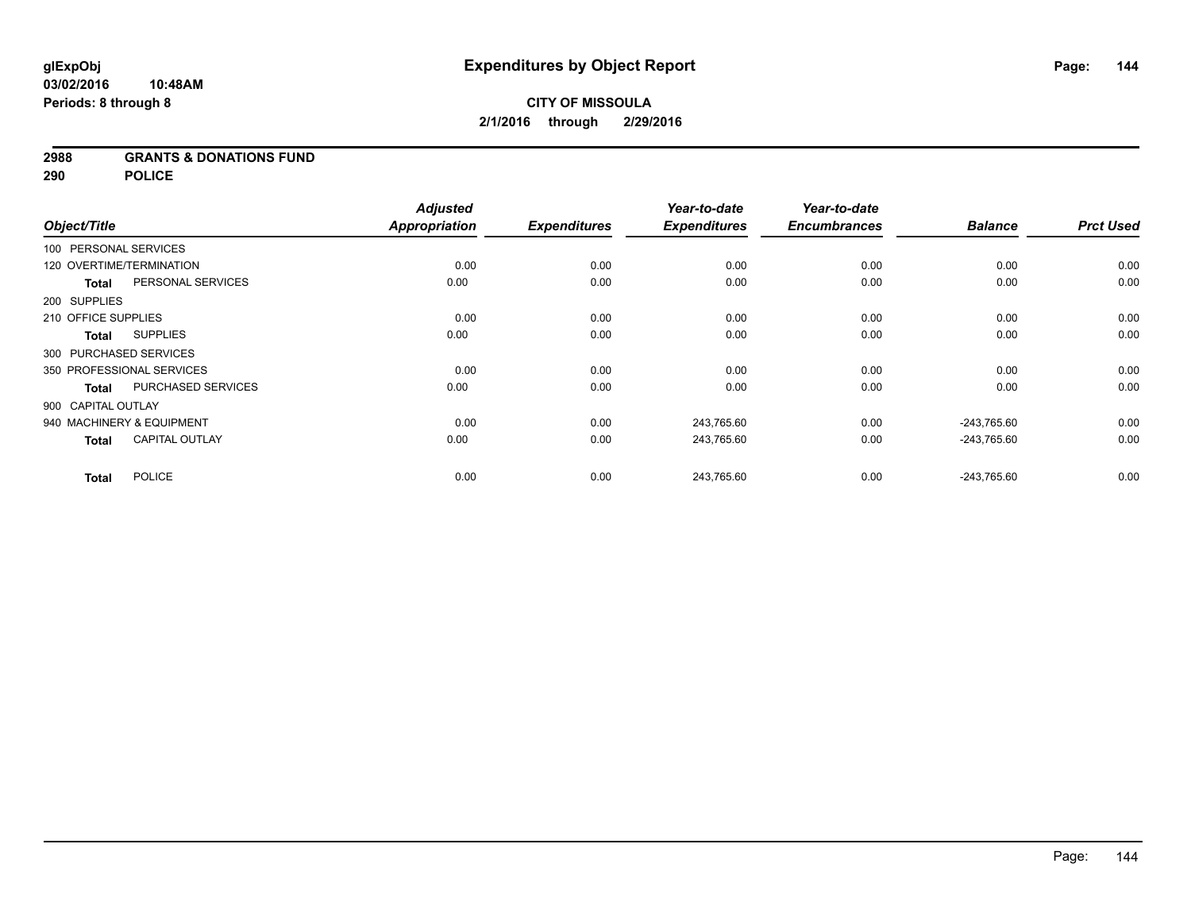## **2988 GRANTS & DONATIONS FUND**

**290 POLICE**

|                        |                           | <b>Adjusted</b>      |                     | Year-to-date        | Year-to-date        |                |                  |
|------------------------|---------------------------|----------------------|---------------------|---------------------|---------------------|----------------|------------------|
| Object/Title           |                           | <b>Appropriation</b> | <b>Expenditures</b> | <b>Expenditures</b> | <b>Encumbrances</b> | <b>Balance</b> | <b>Prct Used</b> |
| 100 PERSONAL SERVICES  |                           |                      |                     |                     |                     |                |                  |
|                        | 120 OVERTIME/TERMINATION  | 0.00                 | 0.00                | 0.00                | 0.00                | 0.00           | 0.00             |
| <b>Total</b>           | PERSONAL SERVICES         | 0.00                 | 0.00                | 0.00                | 0.00                | 0.00           | 0.00             |
| 200 SUPPLIES           |                           |                      |                     |                     |                     |                |                  |
| 210 OFFICE SUPPLIES    |                           | 0.00                 | 0.00                | 0.00                | 0.00                | 0.00           | 0.00             |
| <b>Total</b>           | <b>SUPPLIES</b>           | 0.00                 | 0.00                | 0.00                | 0.00                | 0.00           | 0.00             |
| 300 PURCHASED SERVICES |                           |                      |                     |                     |                     |                |                  |
|                        | 350 PROFESSIONAL SERVICES | 0.00                 | 0.00                | 0.00                | 0.00                | 0.00           | 0.00             |
| Total                  | <b>PURCHASED SERVICES</b> | 0.00                 | 0.00                | 0.00                | 0.00                | 0.00           | 0.00             |
| 900 CAPITAL OUTLAY     |                           |                      |                     |                     |                     |                |                  |
|                        | 940 MACHINERY & EQUIPMENT | 0.00                 | 0.00                | 243,765.60          | 0.00                | $-243,765.60$  | 0.00             |
| <b>Total</b>           | <b>CAPITAL OUTLAY</b>     | 0.00                 | 0.00                | 243,765.60          | 0.00                | $-243,765.60$  | 0.00             |
| <b>Total</b>           | <b>POLICE</b>             | 0.00                 | 0.00                | 243,765.60          | 0.00                | $-243,765.60$  | 0.00             |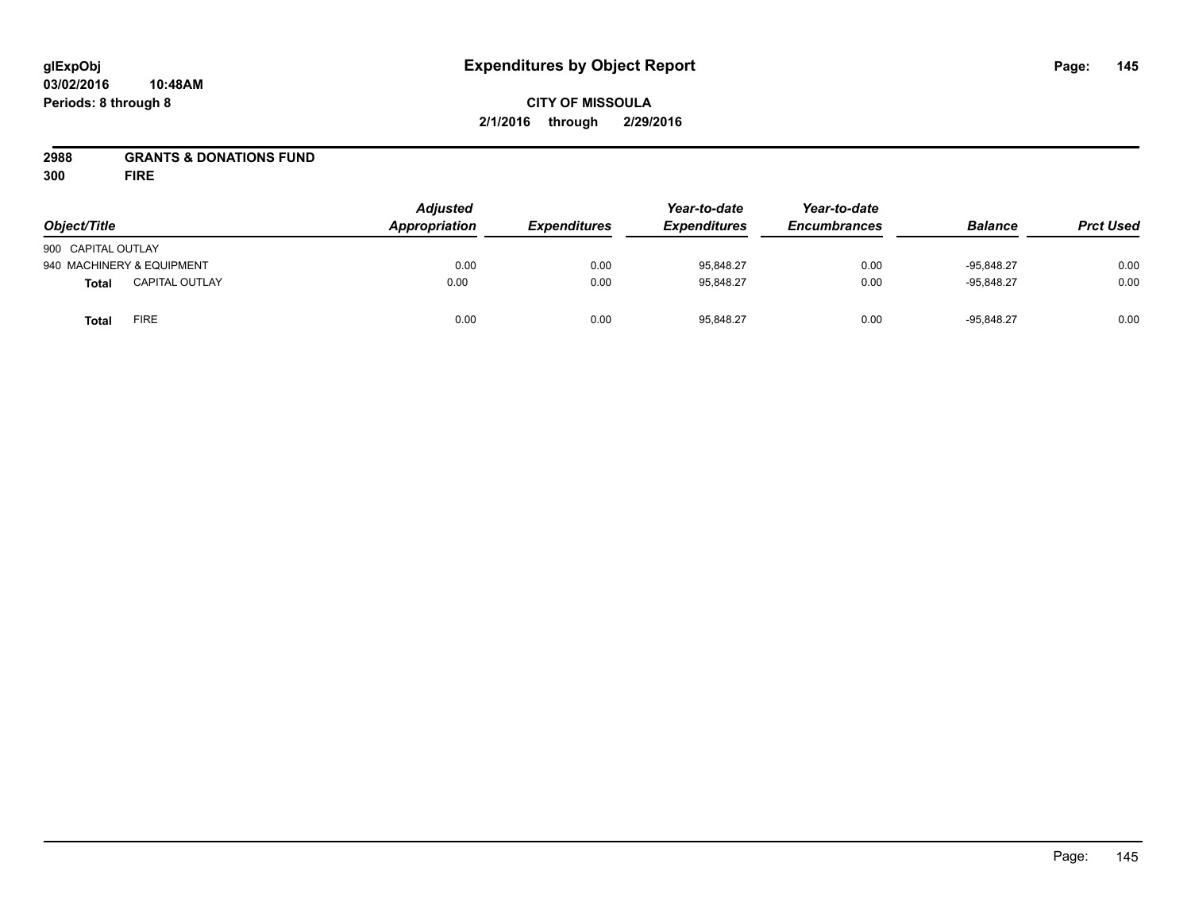## **CITY OF MISSOULA 2/1/2016 through 2/29/2016**

### **2988 GRANTS & DONATIONS FUND**

**300 FIRE**

| Object/Title              |                       | <b>Adjusted</b><br>Appropriation | <b>Expenditures</b> | Year-to-date<br><b>Expenditures</b> | Year-to-date<br><b>Encumbrances</b> | <b>Balance</b> | <b>Prct Used</b> |
|---------------------------|-----------------------|----------------------------------|---------------------|-------------------------------------|-------------------------------------|----------------|------------------|
| 900 CAPITAL OUTLAY        |                       |                                  |                     |                                     |                                     |                |                  |
| 940 MACHINERY & EQUIPMENT |                       | 0.00                             | 0.00                | 95,848.27                           | 0.00                                | $-95.848.27$   | 0.00             |
| <b>Total</b>              | <b>CAPITAL OUTLAY</b> | 0.00                             | 0.00                | 95,848.27                           | 0.00                                | $-95.848.27$   | 0.00             |
| <b>Total</b>              | FIRE                  | 0.00                             | 0.00                | 95,848.27                           | 0.00                                | $-95,848.27$   | 0.00             |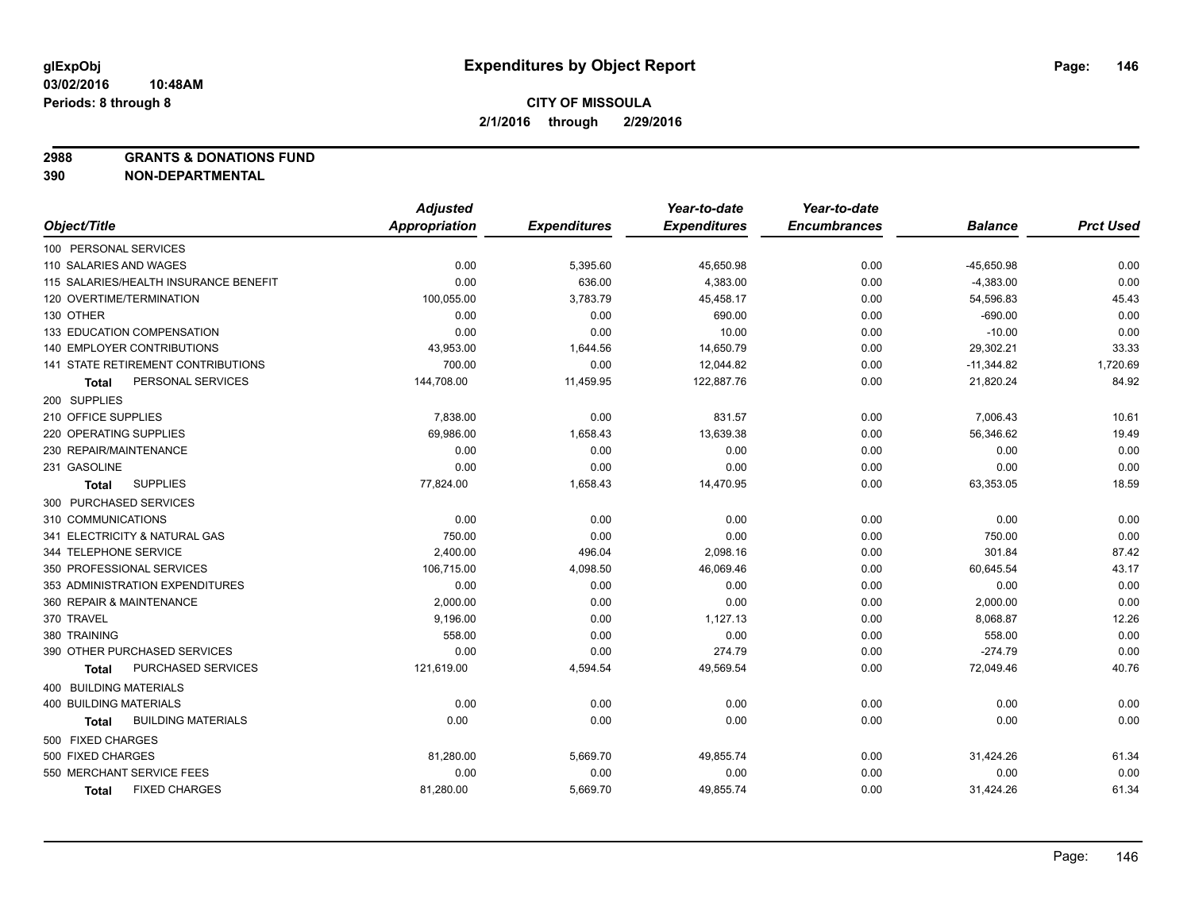**2988 GRANTS & DONATIONS FUND**

|                                           | <b>Adjusted</b> |                     | Year-to-date        | Year-to-date        |                |                  |
|-------------------------------------------|-----------------|---------------------|---------------------|---------------------|----------------|------------------|
| Object/Title                              | Appropriation   | <b>Expenditures</b> | <b>Expenditures</b> | <b>Encumbrances</b> | <b>Balance</b> | <b>Prct Used</b> |
| 100 PERSONAL SERVICES                     |                 |                     |                     |                     |                |                  |
| 110 SALARIES AND WAGES                    | 0.00            | 5,395.60            | 45,650.98           | 0.00                | $-45,650.98$   | 0.00             |
| 115 SALARIES/HEALTH INSURANCE BENEFIT     | 0.00            | 636.00              | 4.383.00            | 0.00                | $-4,383.00$    | 0.00             |
| 120 OVERTIME/TERMINATION                  | 100,055.00      | 3,783.79            | 45,458.17           | 0.00                | 54,596.83      | 45.43            |
| 130 OTHER                                 | 0.00            | 0.00                | 690.00              | 0.00                | $-690.00$      | 0.00             |
| 133 EDUCATION COMPENSATION                | 0.00            | 0.00                | 10.00               | 0.00                | $-10.00$       | 0.00             |
| <b>140 EMPLOYER CONTRIBUTIONS</b>         | 43,953.00       | 1,644.56            | 14,650.79           | 0.00                | 29,302.21      | 33.33            |
| 141 STATE RETIREMENT CONTRIBUTIONS        | 700.00          | 0.00                | 12,044.82           | 0.00                | $-11,344.82$   | 1,720.69         |
| PERSONAL SERVICES<br>Total                | 144,708.00      | 11,459.95           | 122,887.76          | 0.00                | 21,820.24      | 84.92            |
| 200 SUPPLIES                              |                 |                     |                     |                     |                |                  |
| 210 OFFICE SUPPLIES                       | 7,838.00        | 0.00                | 831.57              | 0.00                | 7,006.43       | 10.61            |
| 220 OPERATING SUPPLIES                    | 69,986.00       | 1,658.43            | 13,639.38           | 0.00                | 56,346.62      | 19.49            |
| 230 REPAIR/MAINTENANCE                    | 0.00            | 0.00                | 0.00                | 0.00                | 0.00           | 0.00             |
| 231 GASOLINE                              | 0.00            | 0.00                | 0.00                | 0.00                | 0.00           | 0.00             |
| <b>SUPPLIES</b><br><b>Total</b>           | 77,824.00       | 1,658.43            | 14,470.95           | 0.00                | 63,353.05      | 18.59            |
| 300 PURCHASED SERVICES                    |                 |                     |                     |                     |                |                  |
| 310 COMMUNICATIONS                        | 0.00            | 0.00                | 0.00                | 0.00                | 0.00           | 0.00             |
| 341 ELECTRICITY & NATURAL GAS             | 750.00          | 0.00                | 0.00                | 0.00                | 750.00         | 0.00             |
| 344 TELEPHONE SERVICE                     | 2,400.00        | 496.04              | 2,098.16            | 0.00                | 301.84         | 87.42            |
| 350 PROFESSIONAL SERVICES                 | 106,715.00      | 4,098.50            | 46,069.46           | 0.00                | 60,645.54      | 43.17            |
| 353 ADMINISTRATION EXPENDITURES           | 0.00            | 0.00                | 0.00                | 0.00                | 0.00           | 0.00             |
| 360 REPAIR & MAINTENANCE                  | 2,000.00        | 0.00                | 0.00                | 0.00                | 2,000.00       | 0.00             |
| 370 TRAVEL                                | 9,196.00        | 0.00                | 1,127.13            | 0.00                | 8,068.87       | 12.26            |
| 380 TRAINING                              | 558.00          | 0.00                | 0.00                | 0.00                | 558.00         | 0.00             |
| 390 OTHER PURCHASED SERVICES              | 0.00            | 0.00                | 274.79              | 0.00                | $-274.79$      | 0.00             |
| PURCHASED SERVICES<br>Total               | 121,619.00      | 4,594.54            | 49,569.54           | 0.00                | 72,049.46      | 40.76            |
| <b>400 BUILDING MATERIALS</b>             |                 |                     |                     |                     |                |                  |
| <b>400 BUILDING MATERIALS</b>             | 0.00            | 0.00                | 0.00                | 0.00                | 0.00           | 0.00             |
| <b>BUILDING MATERIALS</b><br><b>Total</b> | 0.00            | 0.00                | 0.00                | 0.00                | 0.00           | 0.00             |
| 500 FIXED CHARGES                         |                 |                     |                     |                     |                |                  |
| 500 FIXED CHARGES                         | 81,280.00       | 5,669.70            | 49,855.74           | 0.00                | 31,424.26      | 61.34            |
| 550 MERCHANT SERVICE FEES                 | 0.00            | 0.00                | 0.00                | 0.00                | 0.00           | 0.00             |
| <b>FIXED CHARGES</b><br><b>Total</b>      | 81,280.00       | 5,669.70            | 49,855.74           | 0.00                | 31,424.26      | 61.34            |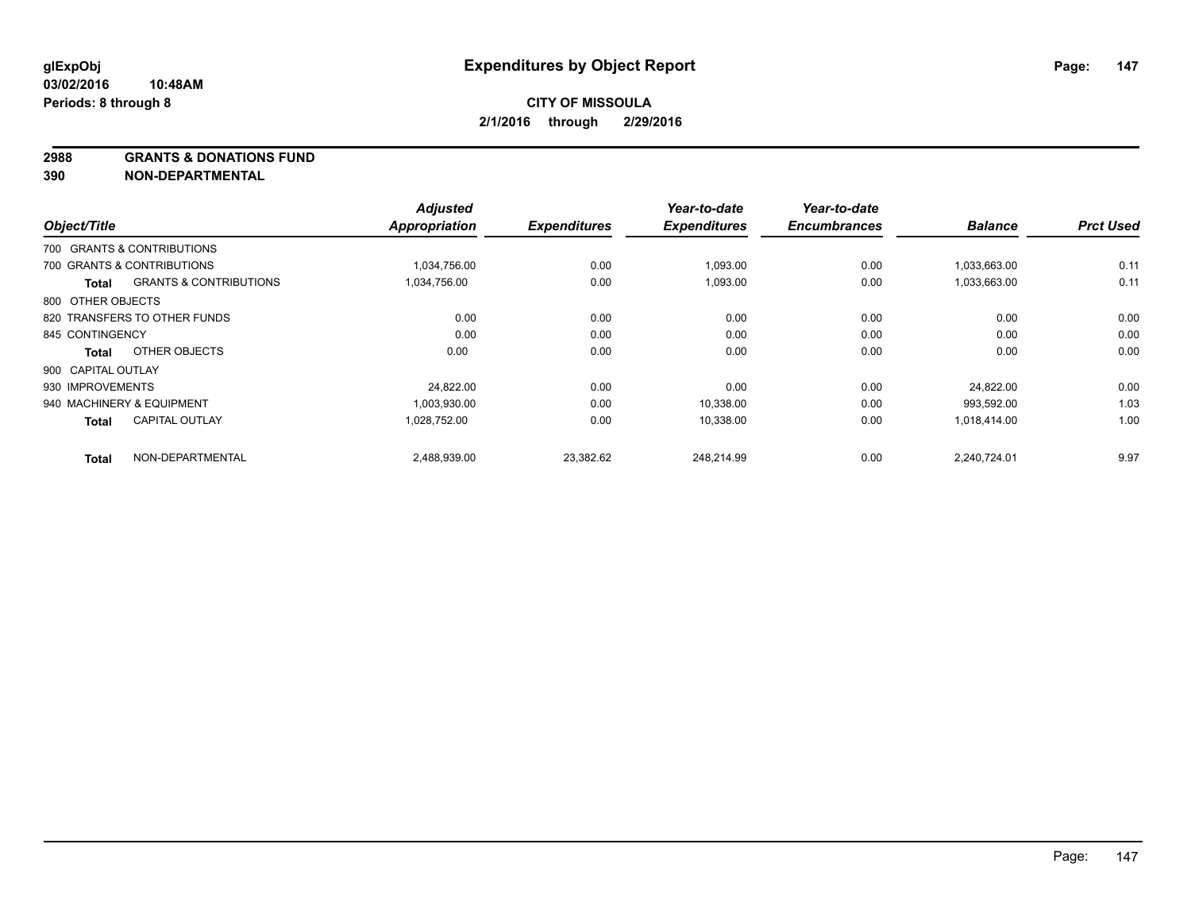**2988 GRANTS & DONATIONS FUND**

|                    |                                   | <b>Adjusted</b> |                     | Year-to-date        | Year-to-date        |                |                  |
|--------------------|-----------------------------------|-----------------|---------------------|---------------------|---------------------|----------------|------------------|
| Object/Title       |                                   | Appropriation   | <b>Expenditures</b> | <b>Expenditures</b> | <b>Encumbrances</b> | <b>Balance</b> | <b>Prct Used</b> |
|                    | 700 GRANTS & CONTRIBUTIONS        |                 |                     |                     |                     |                |                  |
|                    | 700 GRANTS & CONTRIBUTIONS        | 1,034,756.00    | 0.00                | 1,093.00            | 0.00                | 1,033,663.00   | 0.11             |
| Total              | <b>GRANTS &amp; CONTRIBUTIONS</b> | 1.034.756.00    | 0.00                | 1,093.00            | 0.00                | 1,033,663.00   | 0.11             |
| 800 OTHER OBJECTS  |                                   |                 |                     |                     |                     |                |                  |
|                    | 820 TRANSFERS TO OTHER FUNDS      | 0.00            | 0.00                | 0.00                | 0.00                | 0.00           | 0.00             |
| 845 CONTINGENCY    |                                   | 0.00            | 0.00                | 0.00                | 0.00                | 0.00           | 0.00             |
| Total              | OTHER OBJECTS                     | 0.00            | 0.00                | 0.00                | 0.00                | 0.00           | 0.00             |
| 900 CAPITAL OUTLAY |                                   |                 |                     |                     |                     |                |                  |
| 930 IMPROVEMENTS   |                                   | 24,822.00       | 0.00                | 0.00                | 0.00                | 24.822.00      | 0.00             |
|                    | 940 MACHINERY & EQUIPMENT         | 1,003,930.00    | 0.00                | 10,338.00           | 0.00                | 993,592.00     | 1.03             |
| <b>Total</b>       | <b>CAPITAL OUTLAY</b>             | 1,028,752.00    | 0.00                | 10,338.00           | 0.00                | 1,018,414.00   | 1.00             |
| <b>Total</b>       | NON-DEPARTMENTAL                  | 2,488,939.00    | 23,382.62           | 248,214.99          | 0.00                | 2,240,724.01   | 9.97             |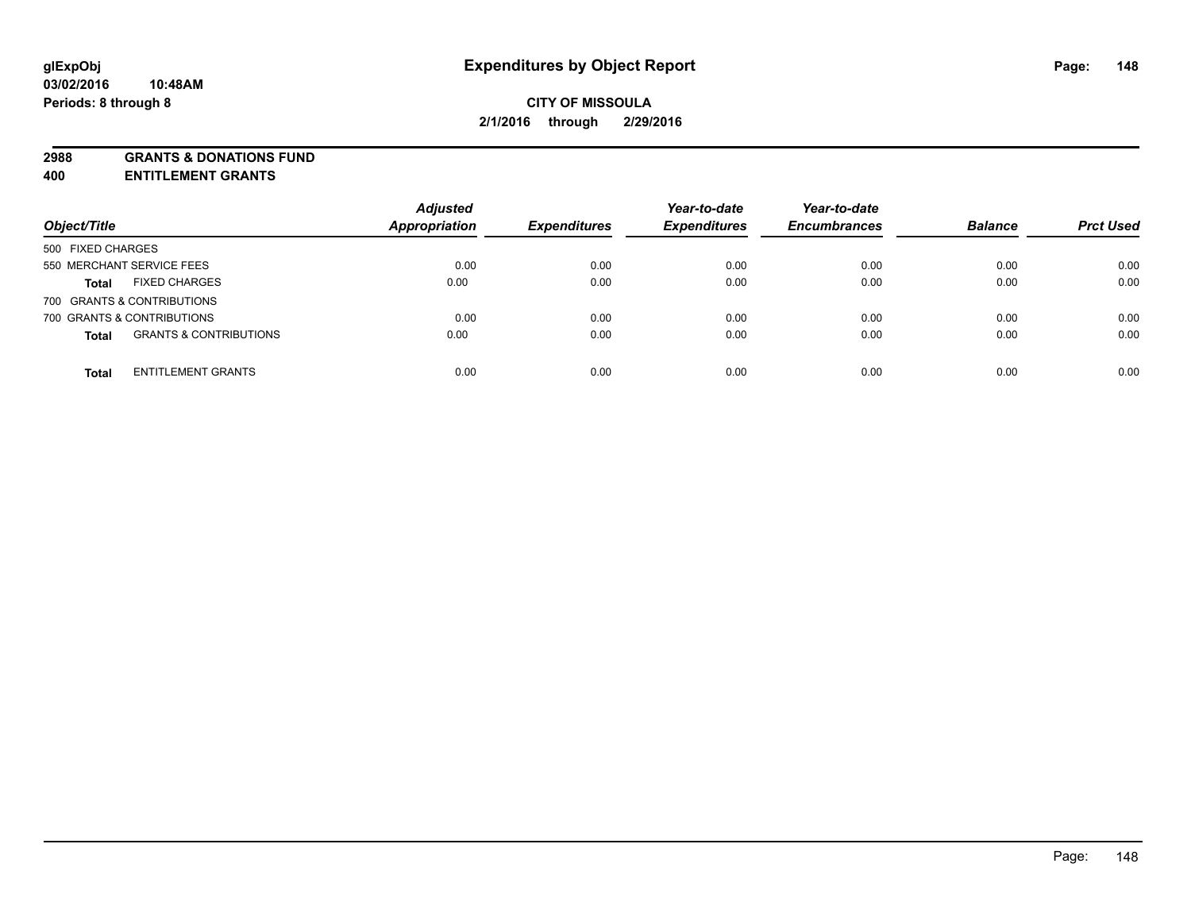**2988 GRANTS & DONATIONS FUND**

**400 ENTITLEMENT GRANTS**

| Object/Title                                      | <b>Adjusted</b><br><b>Appropriation</b> | <b>Expenditures</b> | Year-to-date<br><b>Expenditures</b> | Year-to-date<br><b>Encumbrances</b> | <b>Balance</b> | <b>Prct Used</b> |
|---------------------------------------------------|-----------------------------------------|---------------------|-------------------------------------|-------------------------------------|----------------|------------------|
| 500 FIXED CHARGES                                 |                                         |                     |                                     |                                     |                |                  |
| 550 MERCHANT SERVICE FEES                         | 0.00                                    | 0.00                | 0.00                                | 0.00                                | 0.00           | 0.00             |
| <b>FIXED CHARGES</b><br><b>Total</b>              | 0.00                                    | 0.00                | 0.00                                | 0.00                                | 0.00           | 0.00             |
| 700 GRANTS & CONTRIBUTIONS                        |                                         |                     |                                     |                                     |                |                  |
| 700 GRANTS & CONTRIBUTIONS                        | 0.00                                    | 0.00                | 0.00                                | 0.00                                | 0.00           | 0.00             |
| <b>GRANTS &amp; CONTRIBUTIONS</b><br><b>Total</b> | 0.00                                    | 0.00                | 0.00                                | 0.00                                | 0.00           | 0.00             |
| <b>ENTITLEMENT GRANTS</b><br><b>Total</b>         | 0.00                                    | 0.00                | 0.00                                | 0.00                                | 0.00           | 0.00             |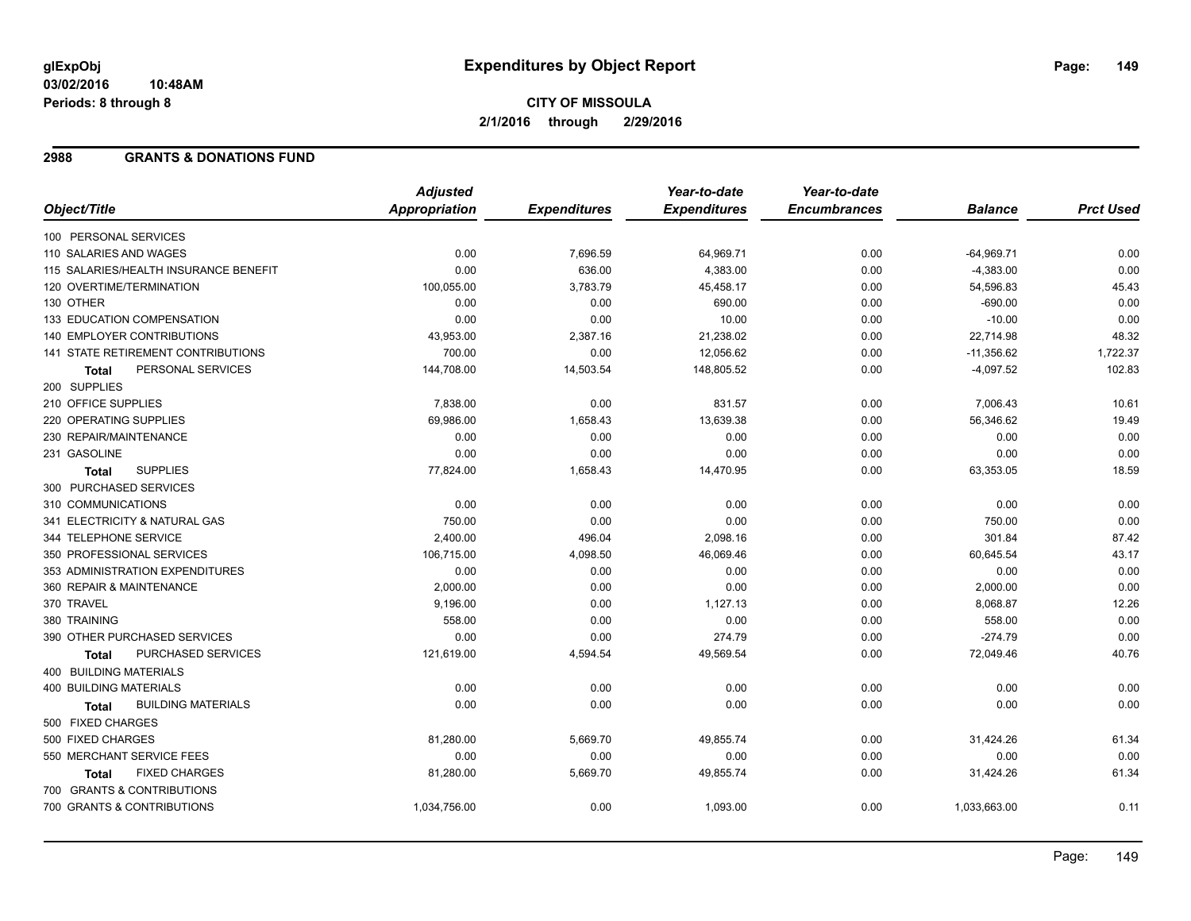## **CITY OF MISSOULA 2/1/2016 through 2/29/2016**

#### **2988 GRANTS & DONATIONS FUND**

|                                           | <b>Adjusted</b>      |                     | Year-to-date        | Year-to-date        |                |                  |
|-------------------------------------------|----------------------|---------------------|---------------------|---------------------|----------------|------------------|
| Object/Title                              | <b>Appropriation</b> | <b>Expenditures</b> | <b>Expenditures</b> | <b>Encumbrances</b> | <b>Balance</b> | <b>Prct Used</b> |
| 100 PERSONAL SERVICES                     |                      |                     |                     |                     |                |                  |
| 110 SALARIES AND WAGES                    | 0.00                 | 7,696.59            | 64,969.71           | 0.00                | $-64,969.71$   | 0.00             |
| 115 SALARIES/HEALTH INSURANCE BENEFIT     | 0.00                 | 636.00              | 4,383.00            | 0.00                | $-4,383.00$    | 0.00             |
| 120 OVERTIME/TERMINATION                  | 100,055.00           | 3,783.79            | 45,458.17           | 0.00                | 54,596.83      | 45.43            |
| 130 OTHER                                 | 0.00                 | 0.00                | 690.00              | 0.00                | $-690.00$      | 0.00             |
| 133 EDUCATION COMPENSATION                | 0.00                 | 0.00                | 10.00               | 0.00                | $-10.00$       | 0.00             |
| 140 EMPLOYER CONTRIBUTIONS                | 43,953.00            | 2,387.16            | 21,238.02           | 0.00                | 22,714.98      | 48.32            |
| 141 STATE RETIREMENT CONTRIBUTIONS        | 700.00               | 0.00                | 12,056.62           | 0.00                | $-11,356.62$   | 1,722.37         |
| PERSONAL SERVICES<br>Total                | 144,708.00           | 14,503.54           | 148,805.52          | 0.00                | $-4,097.52$    | 102.83           |
| 200 SUPPLIES                              |                      |                     |                     |                     |                |                  |
| 210 OFFICE SUPPLIES                       | 7,838.00             | 0.00                | 831.57              | 0.00                | 7,006.43       | 10.61            |
| 220 OPERATING SUPPLIES                    | 69.986.00            | 1,658.43            | 13,639.38           | 0.00                | 56,346.62      | 19.49            |
| 230 REPAIR/MAINTENANCE                    | 0.00                 | 0.00                | 0.00                | 0.00                | 0.00           | 0.00             |
| 231 GASOLINE                              | 0.00                 | 0.00                | 0.00                | 0.00                | 0.00           | 0.00             |
| <b>SUPPLIES</b><br><b>Total</b>           | 77,824.00            | 1,658.43            | 14,470.95           | 0.00                | 63,353.05      | 18.59            |
| 300 PURCHASED SERVICES                    |                      |                     |                     |                     |                |                  |
| 310 COMMUNICATIONS                        | 0.00                 | 0.00                | 0.00                | 0.00                | 0.00           | 0.00             |
| 341 ELECTRICITY & NATURAL GAS             | 750.00               | 0.00                | 0.00                | 0.00                | 750.00         | 0.00             |
| 344 TELEPHONE SERVICE                     | 2,400.00             | 496.04              | 2,098.16            | 0.00                | 301.84         | 87.42            |
| 350 PROFESSIONAL SERVICES                 | 106,715.00           | 4,098.50            | 46,069.46           | 0.00                | 60,645.54      | 43.17            |
| 353 ADMINISTRATION EXPENDITURES           | 0.00                 | 0.00                | 0.00                | 0.00                | 0.00           | 0.00             |
| 360 REPAIR & MAINTENANCE                  | 2,000.00             | 0.00                | 0.00                | 0.00                | 2,000.00       | 0.00             |
| 370 TRAVEL                                | 9,196.00             | 0.00                | 1,127.13            | 0.00                | 8,068.87       | 12.26            |
| 380 TRAINING                              | 558.00               | 0.00                | 0.00                | 0.00                | 558.00         | 0.00             |
| 390 OTHER PURCHASED SERVICES              | 0.00                 | 0.00                | 274.79              | 0.00                | $-274.79$      | 0.00             |
| PURCHASED SERVICES<br><b>Total</b>        | 121,619.00           | 4,594.54            | 49,569.54           | 0.00                | 72,049.46      | 40.76            |
| 400 BUILDING MATERIALS                    |                      |                     |                     |                     |                |                  |
| <b>400 BUILDING MATERIALS</b>             | 0.00                 | 0.00                | 0.00                | 0.00                | 0.00           | 0.00             |
| <b>BUILDING MATERIALS</b><br><b>Total</b> | 0.00                 | 0.00                | 0.00                | 0.00                | 0.00           | 0.00             |
| 500 FIXED CHARGES                         |                      |                     |                     |                     |                |                  |
| 500 FIXED CHARGES                         | 81,280.00            | 5,669.70            | 49,855.74           | 0.00                | 31,424.26      | 61.34            |
| 550 MERCHANT SERVICE FEES                 | 0.00                 | 0.00                | 0.00                | 0.00                | 0.00           | 0.00             |
| <b>FIXED CHARGES</b><br><b>Total</b>      | 81,280.00            | 5,669.70            | 49,855.74           | 0.00                | 31,424.26      | 61.34            |
| 700 GRANTS & CONTRIBUTIONS                |                      |                     |                     |                     |                |                  |
| 700 GRANTS & CONTRIBUTIONS                | 1,034,756.00         | 0.00                | 1,093.00            | 0.00                | 1,033,663.00   | 0.11             |
|                                           |                      |                     |                     |                     |                |                  |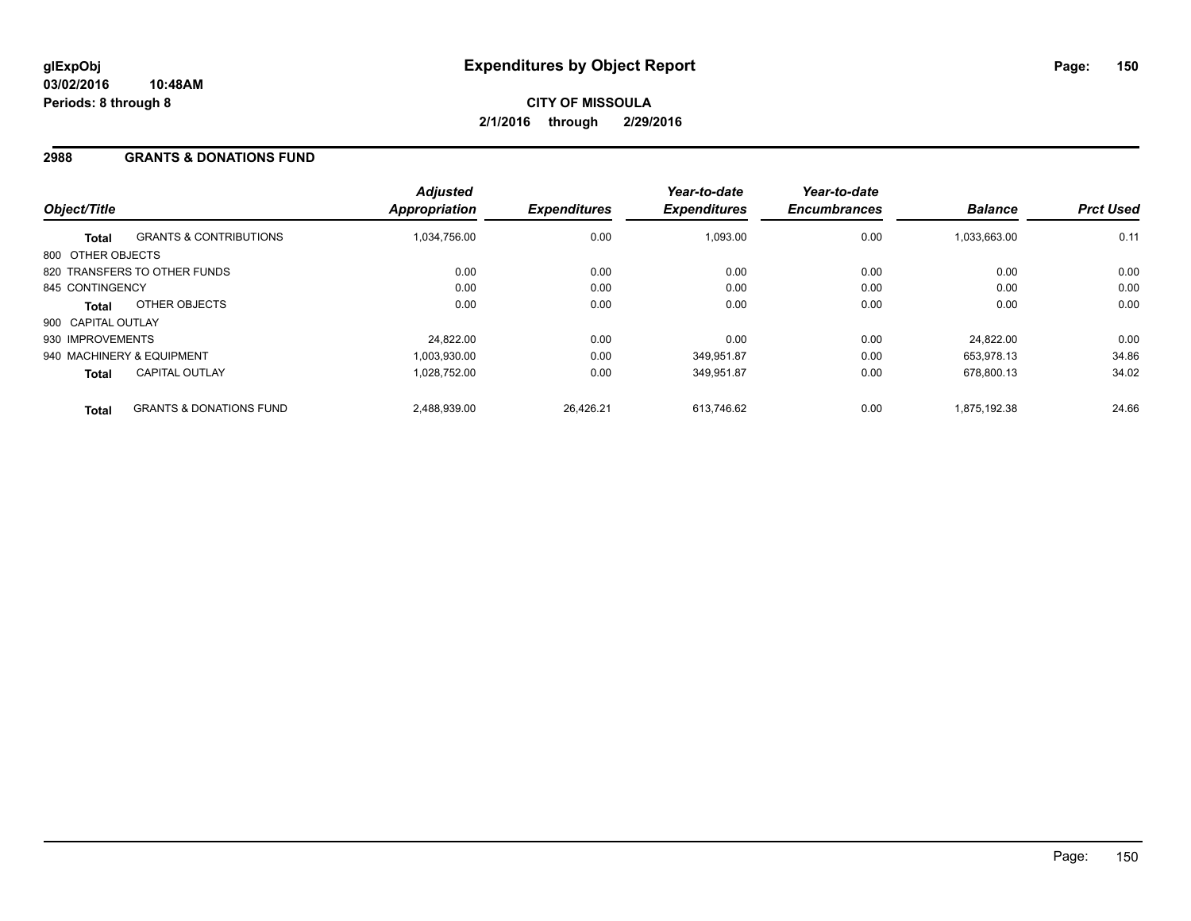### **2988 GRANTS & DONATIONS FUND**

| Object/Title       |                                    | <b>Adjusted</b><br>Appropriation | <b>Expenditures</b> | Year-to-date<br><b>Expenditures</b> | Year-to-date<br><b>Encumbrances</b> | <b>Balance</b> | <b>Prct Used</b> |
|--------------------|------------------------------------|----------------------------------|---------------------|-------------------------------------|-------------------------------------|----------------|------------------|
| <b>Total</b>       | <b>GRANTS &amp; CONTRIBUTIONS</b>  | 1.034.756.00                     | 0.00                | 1,093.00                            | 0.00                                | 1,033,663.00   | 0.11             |
| 800 OTHER OBJECTS  |                                    |                                  |                     |                                     |                                     |                |                  |
|                    | 820 TRANSFERS TO OTHER FUNDS       | 0.00                             | 0.00                | 0.00                                | 0.00                                | 0.00           | 0.00             |
| 845 CONTINGENCY    |                                    | 0.00                             | 0.00                | 0.00                                | 0.00                                | 0.00           | 0.00             |
| <b>Total</b>       | OTHER OBJECTS                      | 0.00                             | 0.00                | 0.00                                | 0.00                                | 0.00           | 0.00             |
| 900 CAPITAL OUTLAY |                                    |                                  |                     |                                     |                                     |                |                  |
| 930 IMPROVEMENTS   |                                    | 24.822.00                        | 0.00                | 0.00                                | 0.00                                | 24.822.00      | 0.00             |
|                    | 940 MACHINERY & EQUIPMENT          | 1.003.930.00                     | 0.00                | 349.951.87                          | 0.00                                | 653.978.13     | 34.86            |
| Total              | <b>CAPITAL OUTLAY</b>              | 1.028.752.00                     | 0.00                | 349.951.87                          | 0.00                                | 678,800.13     | 34.02            |
| <b>Total</b>       | <b>GRANTS &amp; DONATIONS FUND</b> | 2,488,939.00                     | 26,426.21           | 613.746.62                          | 0.00                                | 1,875,192.38   | 24.66            |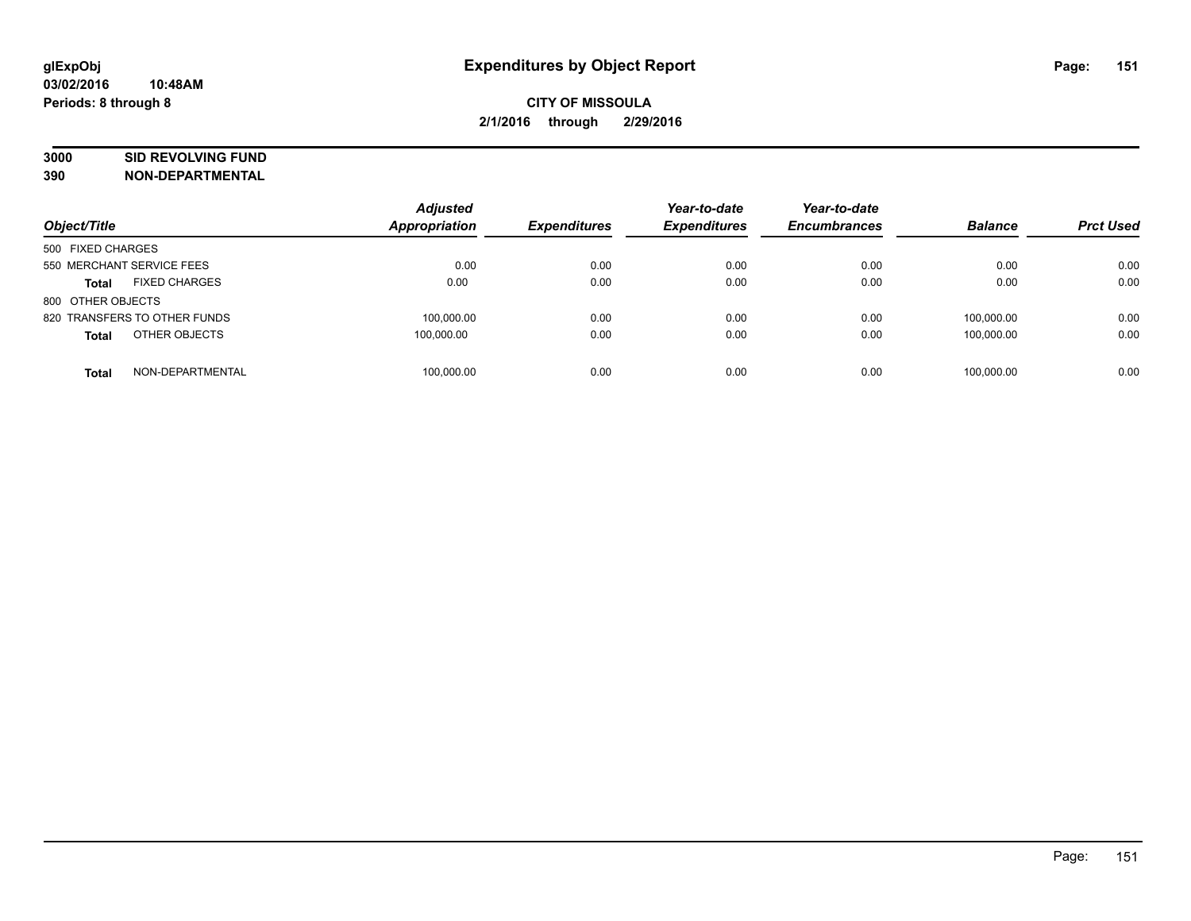# **3000 SID REVOLVING FUND**

| Object/Title                         | <b>Adjusted</b><br><b>Appropriation</b> | <b>Expenditures</b> | Year-to-date<br><b>Expenditures</b> | Year-to-date<br><b>Encumbrances</b> | <b>Balance</b> | <b>Prct Used</b> |
|--------------------------------------|-----------------------------------------|---------------------|-------------------------------------|-------------------------------------|----------------|------------------|
| 500 FIXED CHARGES                    |                                         |                     |                                     |                                     |                |                  |
| 550 MERCHANT SERVICE FEES            | 0.00                                    | 0.00                | 0.00                                | 0.00                                | 0.00           | 0.00             |
| <b>FIXED CHARGES</b><br><b>Total</b> | 0.00                                    | 0.00                | 0.00                                | 0.00                                | 0.00           | 0.00             |
| 800 OTHER OBJECTS                    |                                         |                     |                                     |                                     |                |                  |
| 820 TRANSFERS TO OTHER FUNDS         | 100,000.00                              | 0.00                | 0.00                                | 0.00                                | 100.000.00     | 0.00             |
| OTHER OBJECTS<br><b>Total</b>        | 100.000.00                              | 0.00                | 0.00                                | 0.00                                | 100.000.00     | 0.00             |
| NON-DEPARTMENTAL<br><b>Total</b>     | 100.000.00                              | 0.00                | 0.00                                | 0.00                                | 100.000.00     | 0.00             |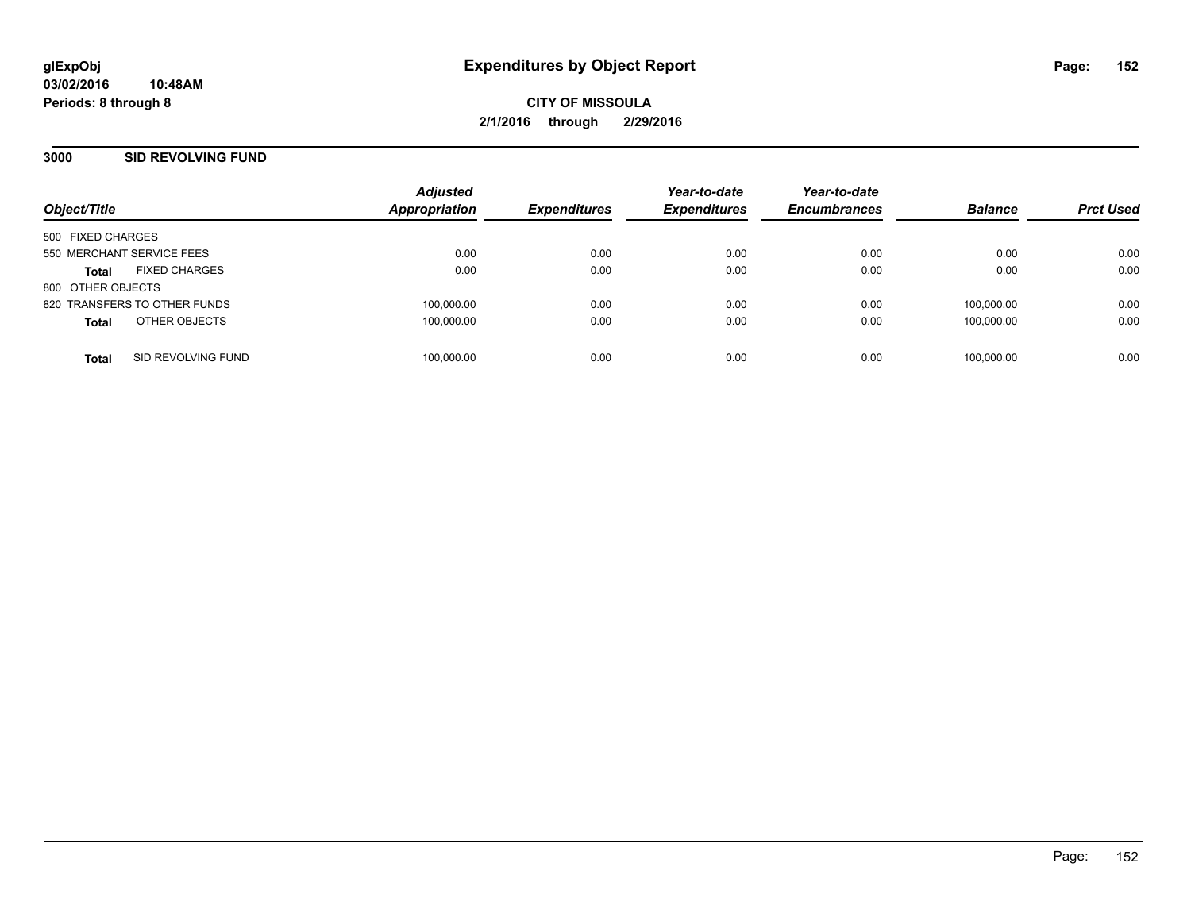### **3000 SID REVOLVING FUND**

| Object/Title                         | <b>Adjusted</b><br><b>Appropriation</b> | <b>Expenditures</b> | Year-to-date<br><b>Expenditures</b> | Year-to-date<br><b>Encumbrances</b> | <b>Balance</b> | <b>Prct Used</b> |
|--------------------------------------|-----------------------------------------|---------------------|-------------------------------------|-------------------------------------|----------------|------------------|
|                                      |                                         |                     |                                     |                                     |                |                  |
| 500 FIXED CHARGES                    |                                         |                     |                                     |                                     |                |                  |
| 550 MERCHANT SERVICE FEES            | 0.00                                    | 0.00                | 0.00                                | 0.00                                | 0.00           | 0.00             |
| <b>FIXED CHARGES</b><br><b>Total</b> | 0.00                                    | 0.00                | 0.00                                | 0.00                                | 0.00           | 0.00             |
| 800 OTHER OBJECTS                    |                                         |                     |                                     |                                     |                |                  |
| 820 TRANSFERS TO OTHER FUNDS         | 100,000.00                              | 0.00                | 0.00                                | 0.00                                | 100,000.00     | 0.00             |
| OTHER OBJECTS<br><b>Total</b>        | 100,000.00                              | 0.00                | 0.00                                | 0.00                                | 100.000.00     | 0.00             |
| SID REVOLVING FUND<br><b>Total</b>   | 100,000.00                              | 0.00                | 0.00                                | 0.00                                | 100.000.00     | 0.00             |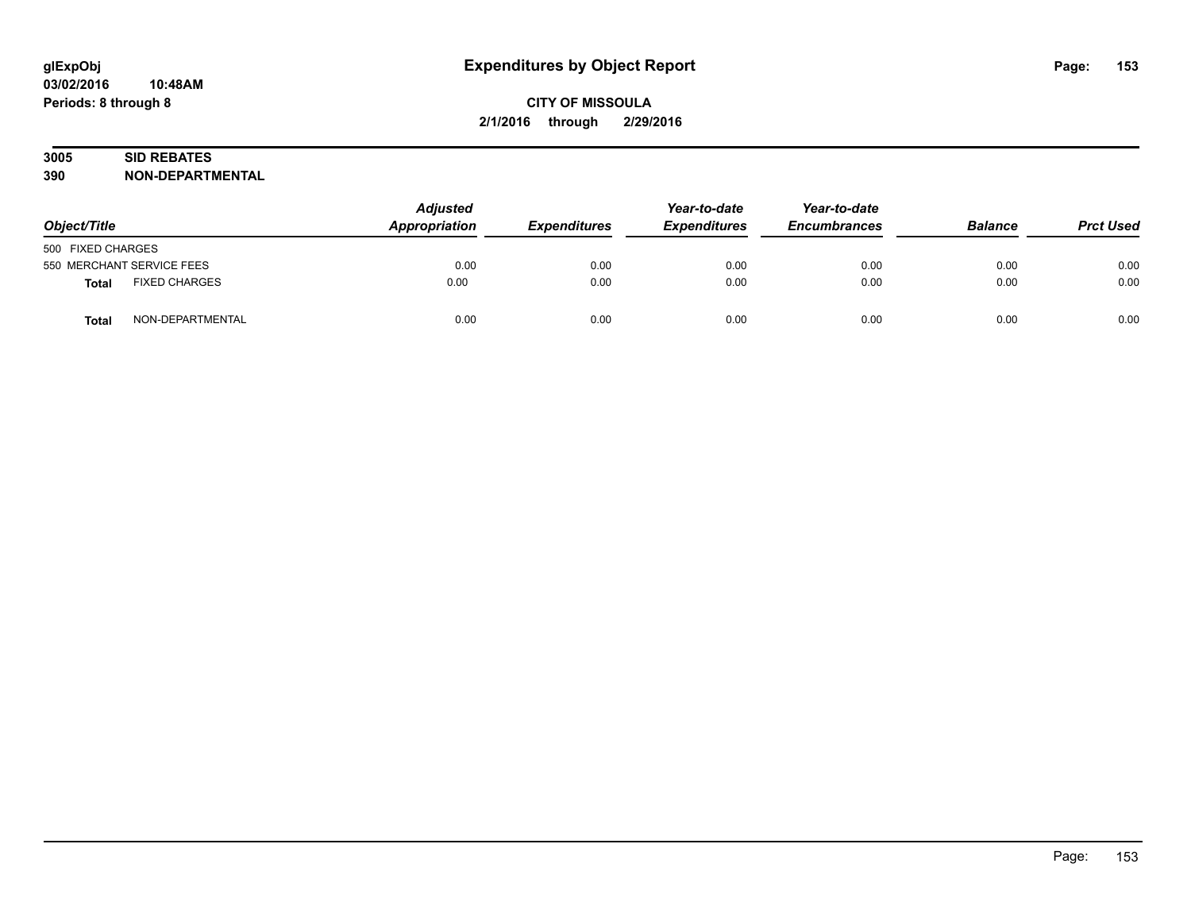# **3005 SID REBATES**

| Object/Title              |                      | <b>Adjusted</b><br>Appropriation | <b>Expenditures</b> | Year-to-date<br><b>Expenditures</b> | Year-to-date<br><b>Encumbrances</b> | <b>Balance</b> | <b>Prct Used</b> |
|---------------------------|----------------------|----------------------------------|---------------------|-------------------------------------|-------------------------------------|----------------|------------------|
| 500 FIXED CHARGES         |                      |                                  |                     |                                     |                                     |                |                  |
| 550 MERCHANT SERVICE FEES |                      | 0.00                             | 0.00                | 0.00                                | 0.00                                | 0.00           | 0.00             |
| Total                     | <b>FIXED CHARGES</b> | 0.00                             | 0.00                | 0.00                                | 0.00                                | 0.00           | 0.00             |
| <b>Total</b>              | NON-DEPARTMENTAL     | 0.00                             | 0.00                | 0.00                                | 0.00                                | 0.00           | 0.00             |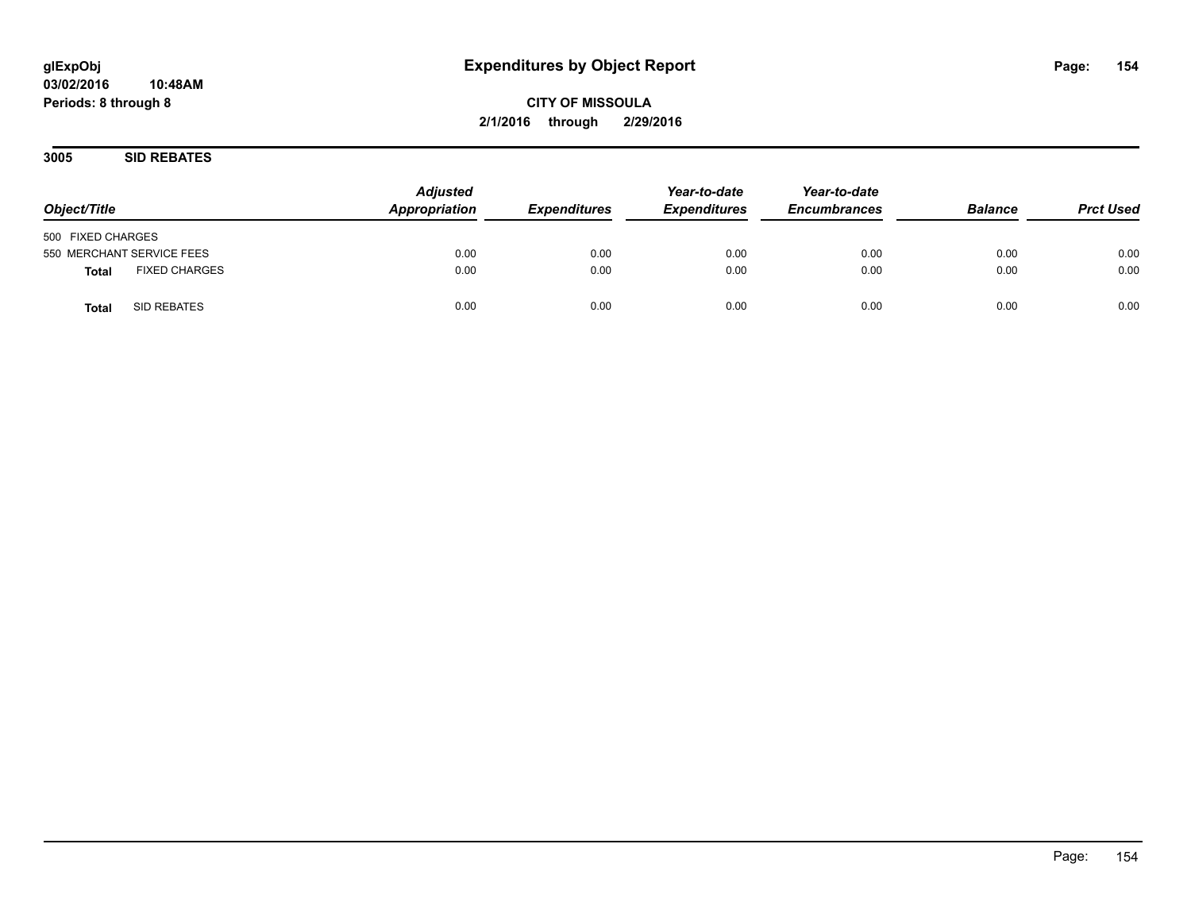## **CITY OF MISSOULA 2/1/2016 through 2/29/2016**

**3005 SID REBATES**

| Object/Title                         | <b>Adjusted</b><br>Appropriation | <i><b>Expenditures</b></i> | Year-to-date<br><b>Expenditures</b> | Year-to-date<br><b>Encumbrances</b> | <b>Balance</b> | <b>Prct Used</b> |
|--------------------------------------|----------------------------------|----------------------------|-------------------------------------|-------------------------------------|----------------|------------------|
| 500 FIXED CHARGES                    |                                  |                            |                                     |                                     |                |                  |
| 550 MERCHANT SERVICE FEES            | 0.00                             | 0.00                       | 0.00                                | 0.00                                | 0.00           | 0.00             |
| <b>FIXED CHARGES</b><br><b>Total</b> | 0.00                             | 0.00                       | 0.00                                | 0.00                                | 0.00           | 0.00             |
| SID REBATES<br>Total                 | 0.00                             | 0.00                       | 0.00                                | 0.00                                | 0.00           | 0.00             |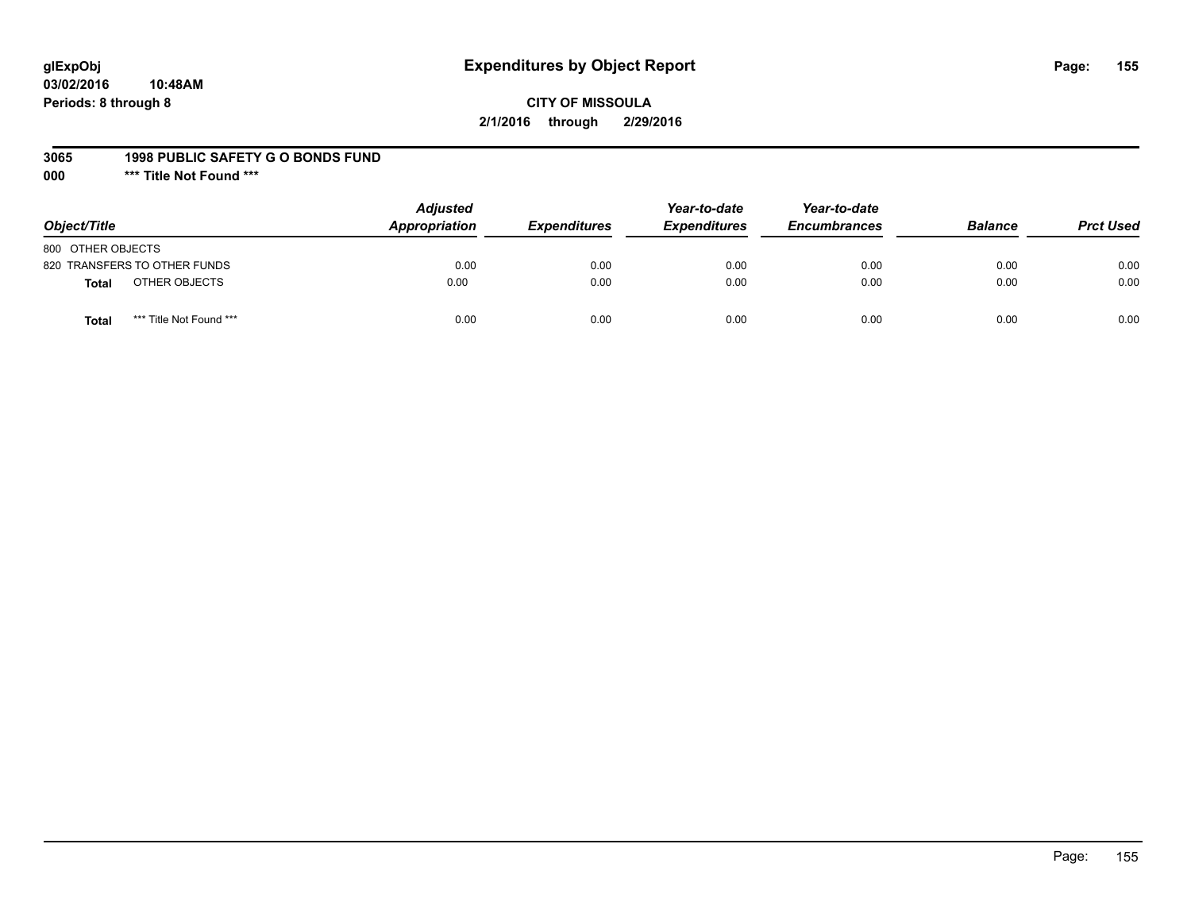## **glExpObj Expenditures by Object Report Page: 155**

## **CITY OF MISSOULA 2/1/2016 through 2/29/2016**

#### **3065 1998 PUBLIC SAFETY G O BONDS FUND**

**000 \*\*\* Title Not Found \*\*\***

| Object/Title                            | <b>Adjusted</b><br>Appropriation | <b>Expenditures</b> | Year-to-date<br><b>Expenditures</b> | Year-to-date<br><b>Encumbrances</b> | <b>Balance</b> | <b>Prct Used</b> |
|-----------------------------------------|----------------------------------|---------------------|-------------------------------------|-------------------------------------|----------------|------------------|
| 800 OTHER OBJECTS                       |                                  |                     |                                     |                                     |                |                  |
| 820 TRANSFERS TO OTHER FUNDS            | 0.00                             | 0.00                | 0.00                                | 0.00                                | 0.00           | 0.00             |
| OTHER OBJECTS<br><b>Total</b>           | 0.00                             | 0.00                | 0.00                                | 0.00                                | 0.00           | 0.00             |
| *** Title Not Found ***<br><b>Total</b> | 0.00                             | 0.00                | 0.00                                | 0.00                                | 0.00           | 0.00             |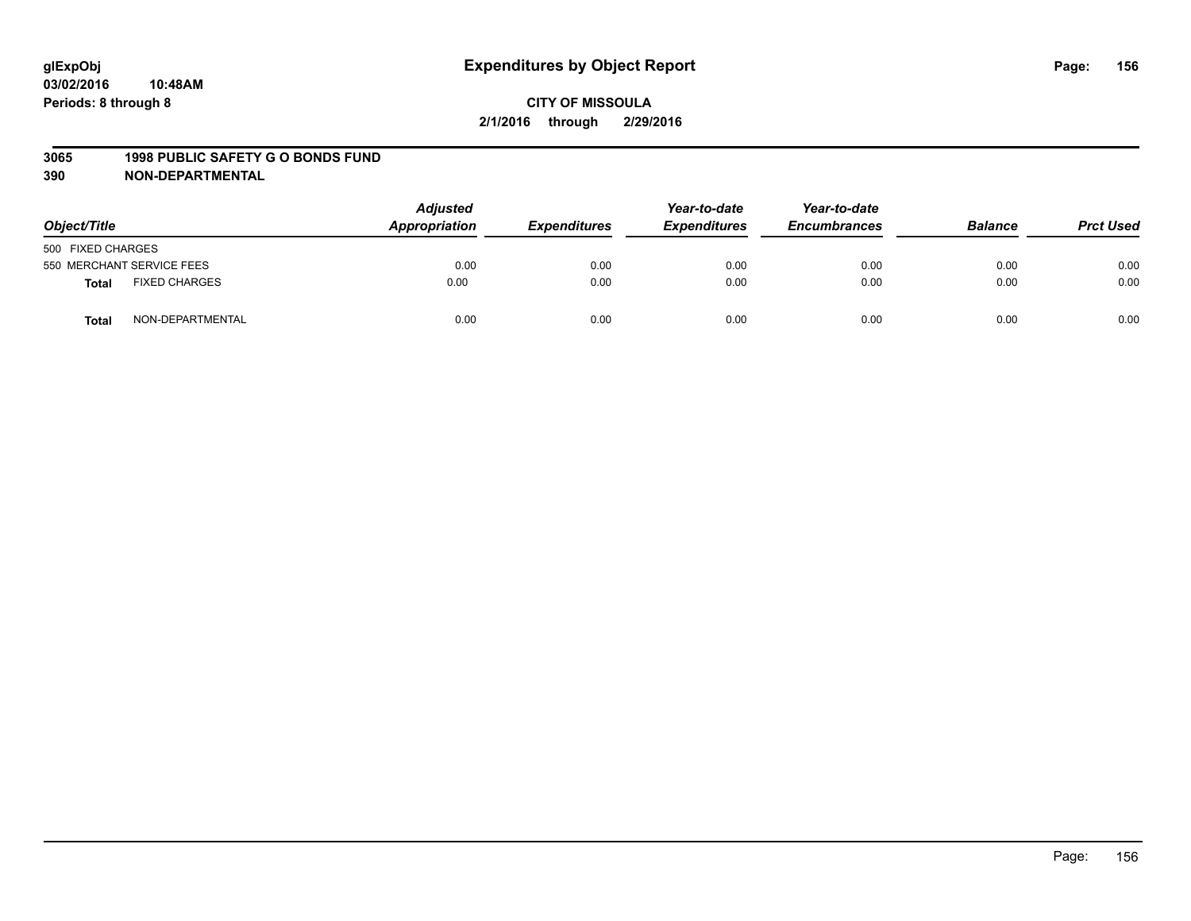#### **3065 1998 PUBLIC SAFETY G O BONDS FUND**

| Object/Title                  | <b>Adjusted</b><br>Appropriation | <b>Expenditures</b> | Year-to-date<br><b>Expenditures</b> | Year-to-date<br><b>Encumbrances</b> | <b>Balance</b> | <b>Prct Used</b> |
|-------------------------------|----------------------------------|---------------------|-------------------------------------|-------------------------------------|----------------|------------------|
| 500 FIXED CHARGES             |                                  |                     |                                     |                                     |                |                  |
| 550 MERCHANT SERVICE FEES     | 0.00                             | 0.00                | 0.00                                | 0.00                                | 0.00           | 0.00             |
| <b>FIXED CHARGES</b><br>Total | 0.00                             | 0.00                | 0.00                                | 0.00                                | 0.00           | 0.00             |
| NON-DEPARTMENTAL<br>Total     | 0.00                             | 0.00                | 0.00                                | 0.00                                | 0.00           | 0.00             |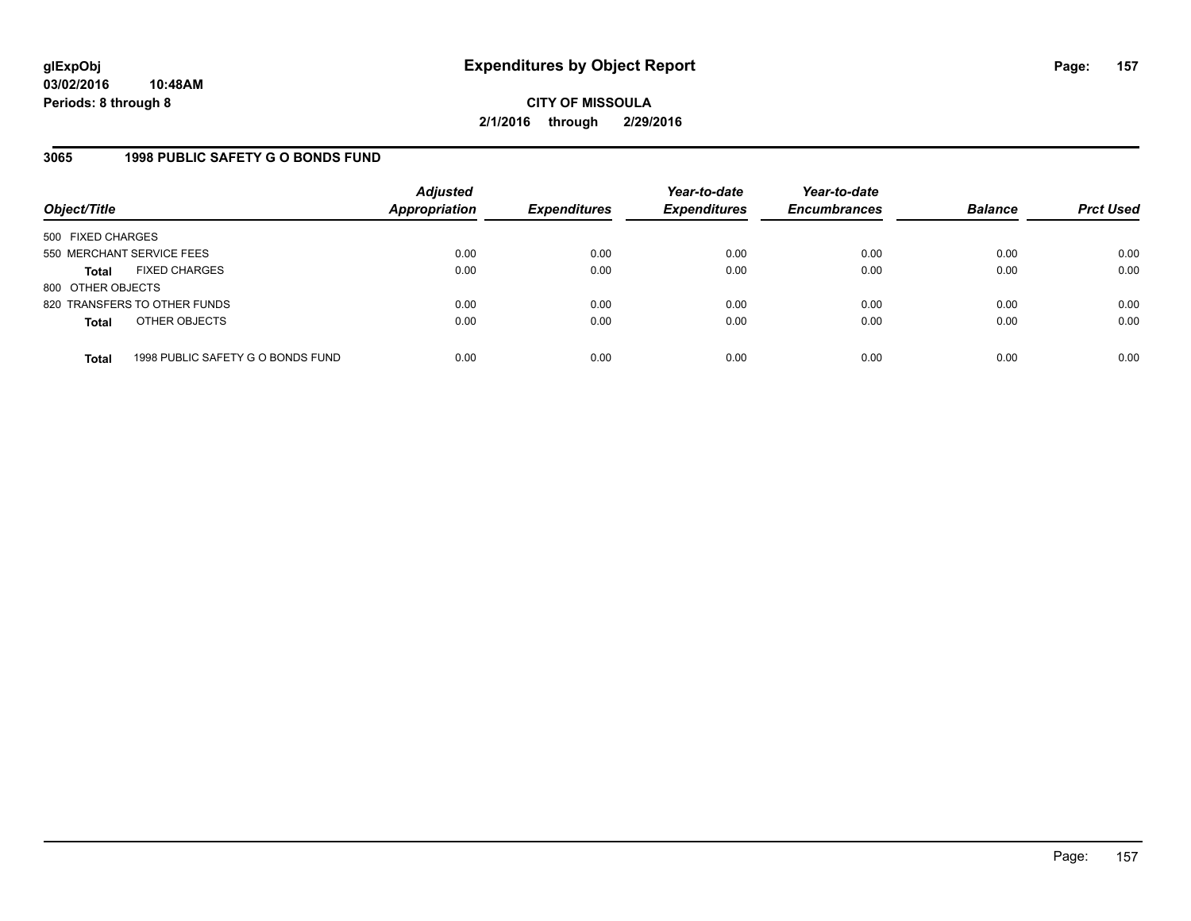### **3065 1998 PUBLIC SAFETY G O BONDS FUND**

| Object/Title              |                                   | <b>Adjusted</b><br><b>Appropriation</b> | <b>Expenditures</b> | Year-to-date<br><b>Expenditures</b> | Year-to-date<br><b>Encumbrances</b> | <b>Balance</b> | <b>Prct Used</b> |
|---------------------------|-----------------------------------|-----------------------------------------|---------------------|-------------------------------------|-------------------------------------|----------------|------------------|
| 500 FIXED CHARGES         |                                   |                                         |                     |                                     |                                     |                |                  |
| 550 MERCHANT SERVICE FEES |                                   | 0.00                                    | 0.00                | 0.00                                | 0.00                                | 0.00           | 0.00             |
| Total                     | <b>FIXED CHARGES</b>              | 0.00                                    | 0.00                | 0.00                                | 0.00                                | 0.00           | 0.00             |
| 800 OTHER OBJECTS         |                                   |                                         |                     |                                     |                                     |                |                  |
|                           | 820 TRANSFERS TO OTHER FUNDS      | 0.00                                    | 0.00                | 0.00                                | 0.00                                | 0.00           | 0.00             |
| <b>Total</b>              | OTHER OBJECTS                     | 0.00                                    | 0.00                | 0.00                                | 0.00                                | 0.00           | 0.00             |
| <b>Total</b>              | 1998 PUBLIC SAFETY G O BONDS FUND | 0.00                                    | 0.00                | 0.00                                | 0.00                                | 0.00           | 0.00             |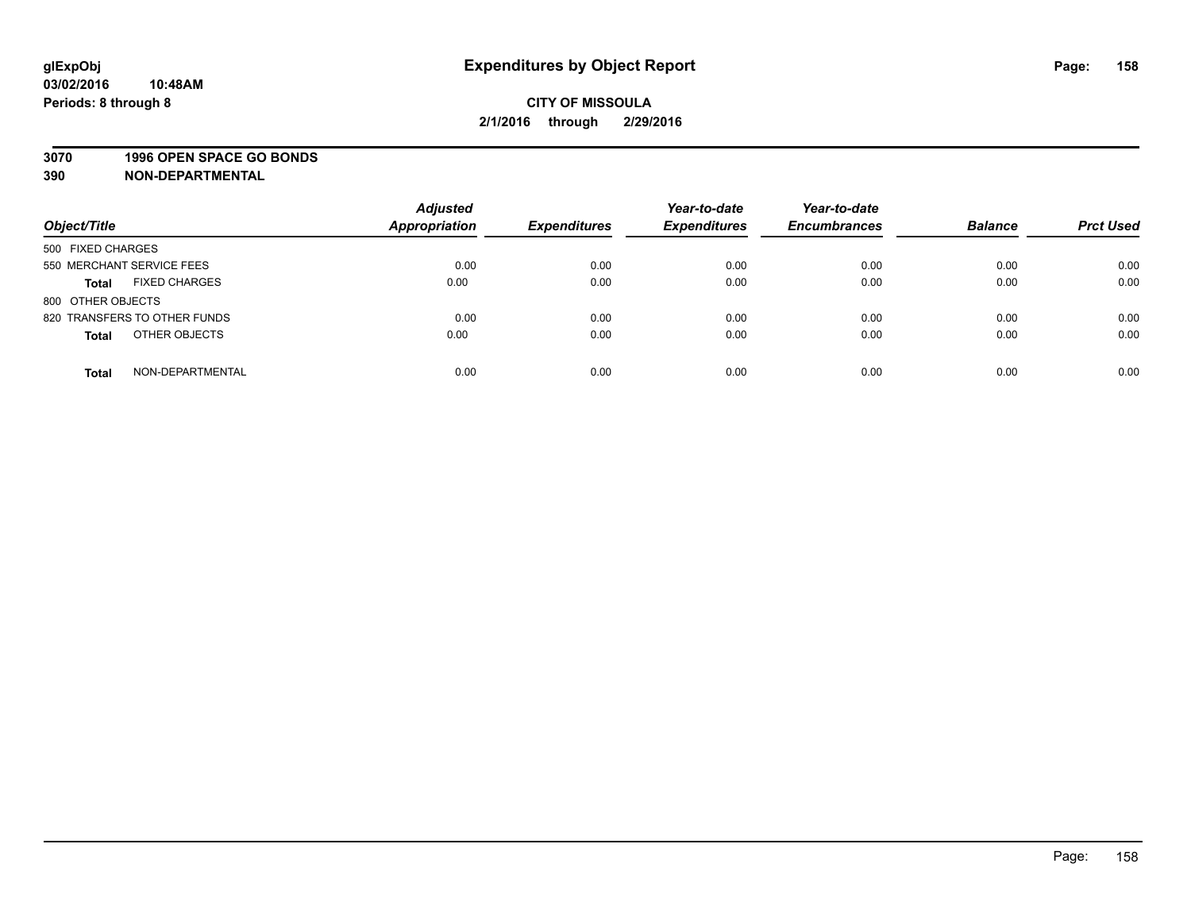## **CITY OF MISSOULA 2/1/2016 through 2/29/2016**

#### **3070 1996 OPEN SPACE GO BONDS**

| Object/Title                         | <b>Adjusted</b><br><b>Appropriation</b> | <b>Expenditures</b> | Year-to-date<br><b>Expenditures</b> | Year-to-date<br><b>Encumbrances</b> | <b>Balance</b> | <b>Prct Used</b> |
|--------------------------------------|-----------------------------------------|---------------------|-------------------------------------|-------------------------------------|----------------|------------------|
|                                      |                                         |                     |                                     |                                     |                |                  |
| 500 FIXED CHARGES                    |                                         |                     |                                     |                                     |                |                  |
| 550 MERCHANT SERVICE FEES            | 0.00                                    | 0.00                | 0.00                                | 0.00                                | 0.00           | 0.00             |
| <b>FIXED CHARGES</b><br><b>Total</b> | 0.00                                    | 0.00                | 0.00                                | 0.00                                | 0.00           | 0.00             |
| 800 OTHER OBJECTS                    |                                         |                     |                                     |                                     |                |                  |
| 820 TRANSFERS TO OTHER FUNDS         | 0.00                                    | 0.00                | 0.00                                | 0.00                                | 0.00           | 0.00             |
| OTHER OBJECTS<br><b>Total</b>        | 0.00                                    | 0.00                | 0.00                                | 0.00                                | 0.00           | 0.00             |
|                                      |                                         |                     |                                     |                                     |                |                  |
| NON-DEPARTMENTAL<br><b>Total</b>     | 0.00                                    | 0.00                | 0.00                                | 0.00                                | 0.00           | 0.00             |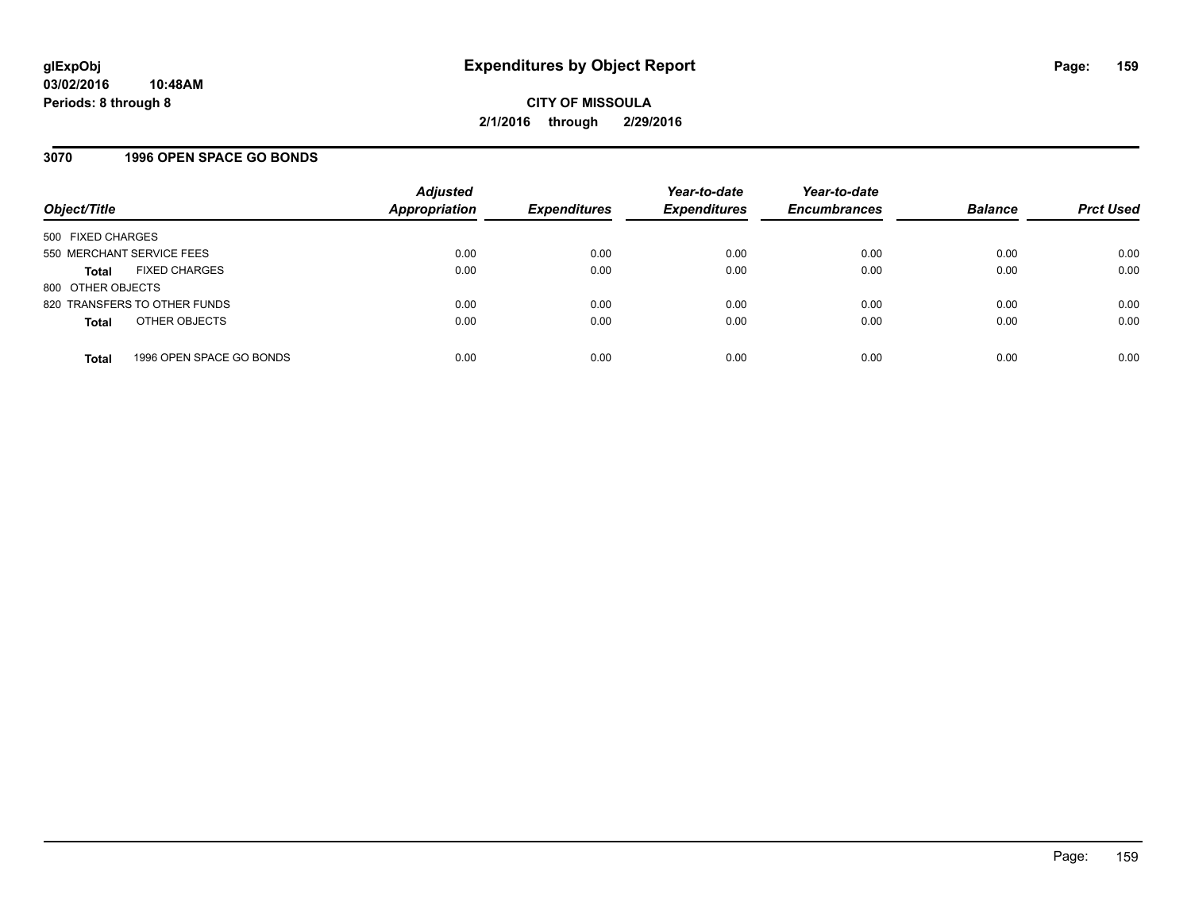### **3070 1996 OPEN SPACE GO BONDS**

| Object/Title                 |                          | <b>Adjusted</b><br><b>Appropriation</b> | <b>Expenditures</b> | Year-to-date<br><b>Expenditures</b> | Year-to-date<br><b>Encumbrances</b> | <b>Balance</b> | <b>Prct Used</b> |
|------------------------------|--------------------------|-----------------------------------------|---------------------|-------------------------------------|-------------------------------------|----------------|------------------|
| 500 FIXED CHARGES            |                          |                                         |                     |                                     |                                     |                |                  |
| 550 MERCHANT SERVICE FEES    |                          | 0.00                                    | 0.00                | 0.00                                | 0.00                                | 0.00           | 0.00             |
| <b>Total</b>                 | <b>FIXED CHARGES</b>     | 0.00                                    | 0.00                | 0.00                                | 0.00                                | 0.00           | 0.00             |
| 800 OTHER OBJECTS            |                          |                                         |                     |                                     |                                     |                |                  |
| 820 TRANSFERS TO OTHER FUNDS |                          | 0.00                                    | 0.00                | 0.00                                | 0.00                                | 0.00           | 0.00             |
| <b>Total</b>                 | OTHER OBJECTS            | 0.00                                    | 0.00                | 0.00                                | 0.00                                | 0.00           | 0.00             |
| <b>Total</b>                 | 1996 OPEN SPACE GO BONDS | 0.00                                    | 0.00                | 0.00                                | 0.00                                | 0.00           | 0.00             |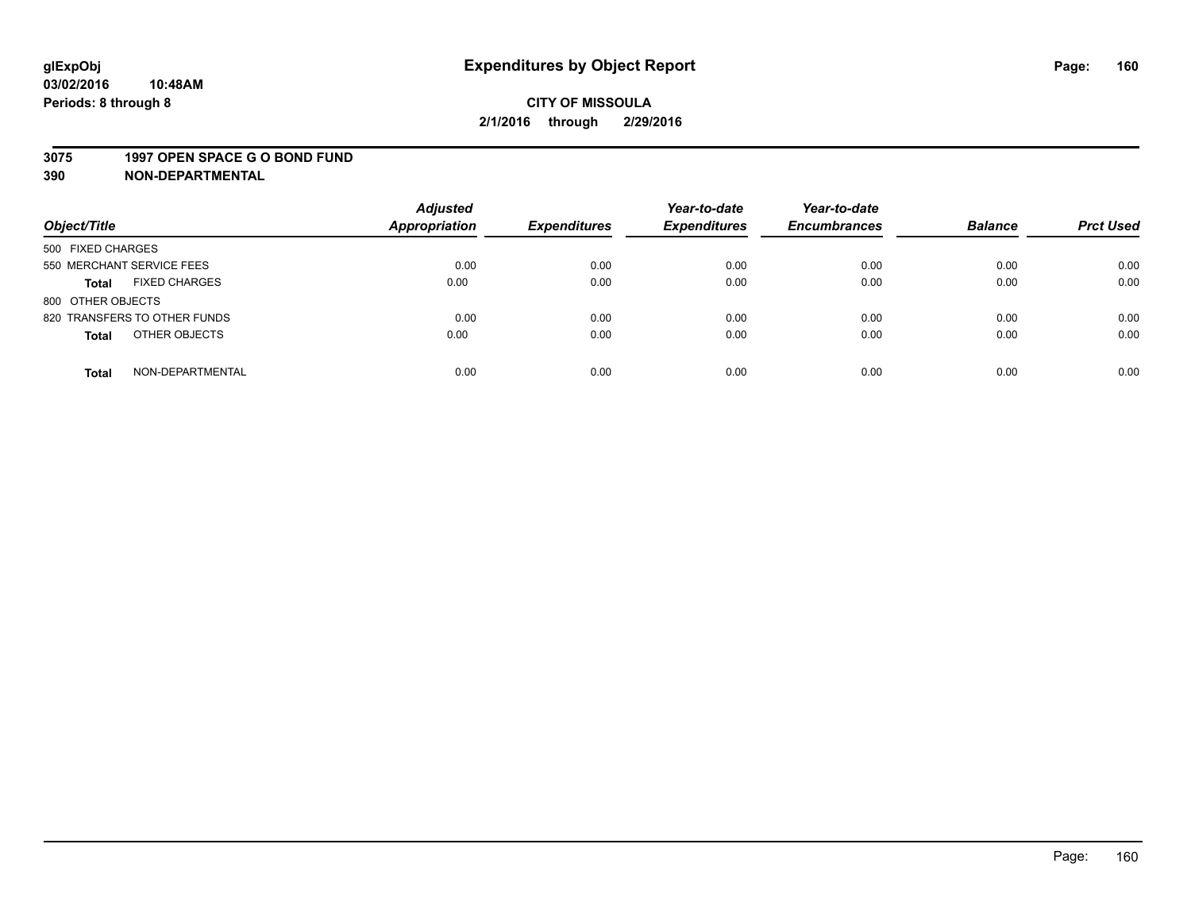#### **3075 1997 OPEN SPACE G O BOND FUND**

| Object/Title                         | <b>Adjusted</b><br>Appropriation | <b>Expenditures</b> | Year-to-date<br><b>Expenditures</b> | Year-to-date<br><b>Encumbrances</b> | <b>Balance</b> | <b>Prct Used</b> |
|--------------------------------------|----------------------------------|---------------------|-------------------------------------|-------------------------------------|----------------|------------------|
| 500 FIXED CHARGES                    |                                  |                     |                                     |                                     |                |                  |
| 550 MERCHANT SERVICE FEES            | 0.00                             | 0.00                | 0.00                                | 0.00                                | 0.00           | 0.00             |
| <b>FIXED CHARGES</b><br><b>Total</b> | 0.00                             | 0.00                | 0.00                                | 0.00                                | 0.00           | 0.00             |
| 800 OTHER OBJECTS                    |                                  |                     |                                     |                                     |                |                  |
| 820 TRANSFERS TO OTHER FUNDS         | 0.00                             | 0.00                | 0.00                                | 0.00                                | 0.00           | 0.00             |
| OTHER OBJECTS<br><b>Total</b>        | 0.00                             | 0.00                | 0.00                                | 0.00                                | 0.00           | 0.00             |
| NON-DEPARTMENTAL<br><b>Total</b>     | 0.00                             | 0.00                | 0.00                                | 0.00                                | 0.00           | 0.00             |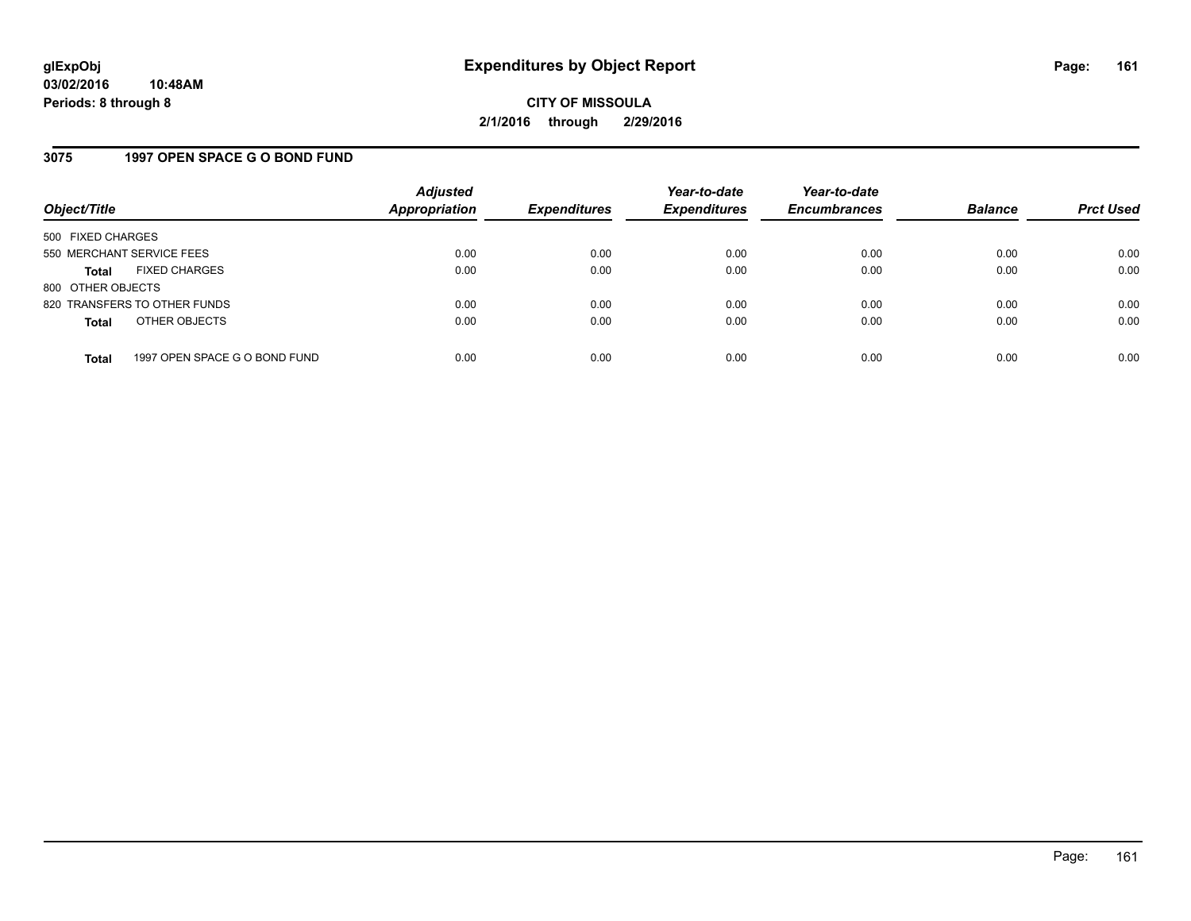### **3075 1997 OPEN SPACE G O BOND FUND**

| Object/Title              |                               | <b>Adjusted</b><br><b>Appropriation</b> | <b>Expenditures</b> | Year-to-date<br><b>Expenditures</b> | Year-to-date<br><b>Encumbrances</b> | <b>Balance</b> | <b>Prct Used</b> |
|---------------------------|-------------------------------|-----------------------------------------|---------------------|-------------------------------------|-------------------------------------|----------------|------------------|
| 500 FIXED CHARGES         |                               |                                         |                     |                                     |                                     |                |                  |
| 550 MERCHANT SERVICE FEES |                               | 0.00                                    | 0.00                | 0.00                                | 0.00                                | 0.00           | 0.00             |
| <b>Total</b>              | <b>FIXED CHARGES</b>          | 0.00                                    | 0.00                | 0.00                                | 0.00                                | 0.00           | 0.00             |
| 800 OTHER OBJECTS         |                               |                                         |                     |                                     |                                     |                |                  |
|                           | 820 TRANSFERS TO OTHER FUNDS  | 0.00                                    | 0.00                | 0.00                                | 0.00                                | 0.00           | 0.00             |
| <b>Total</b>              | OTHER OBJECTS                 | 0.00                                    | 0.00                | 0.00                                | 0.00                                | 0.00           | 0.00             |
| <b>Total</b>              | 1997 OPEN SPACE G O BOND FUND | 0.00                                    | 0.00                | 0.00                                | 0.00                                | 0.00           | 0.00             |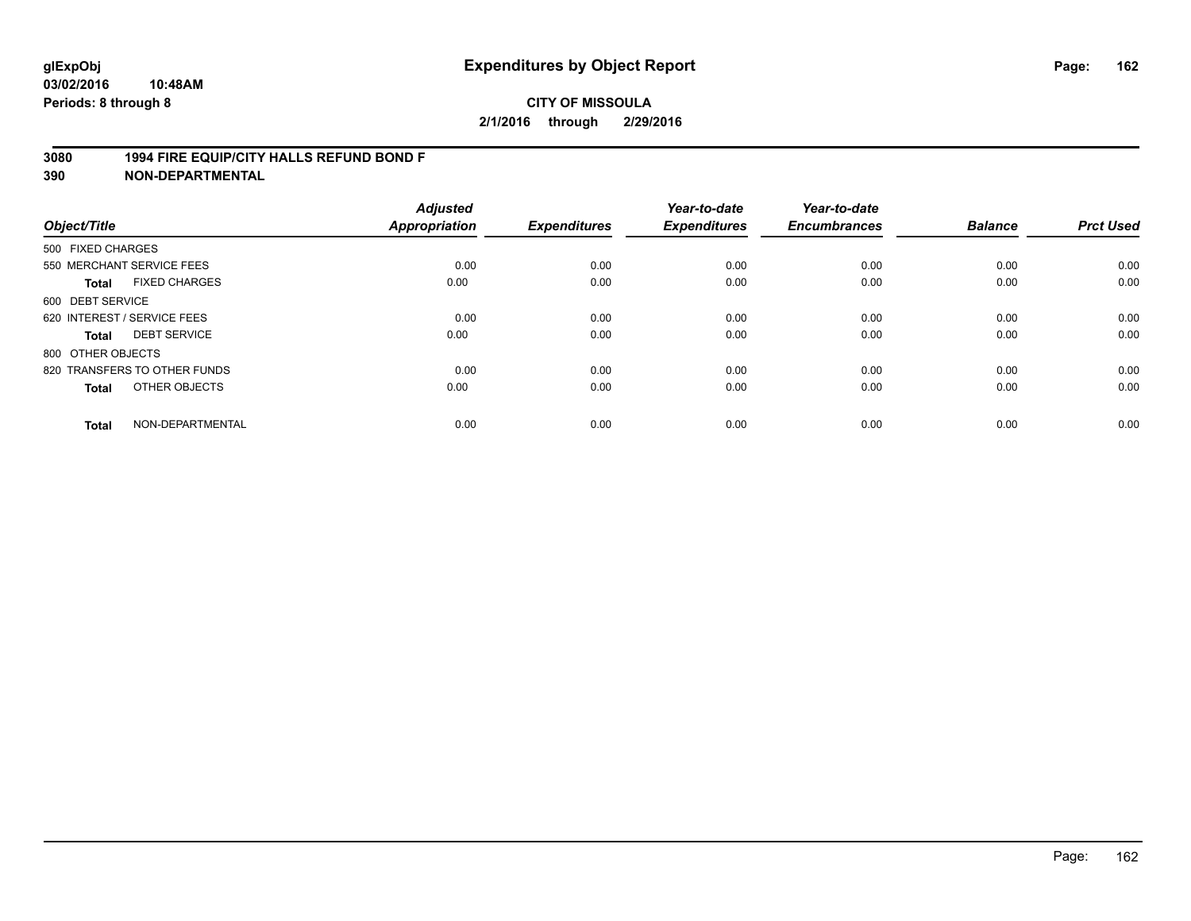### **3080 1994 FIRE EQUIP/CITY HALLS REFUND BOND F**

| Object/Title                 |                      | <b>Adjusted</b><br>Appropriation | <b>Expenditures</b> | Year-to-date<br><b>Expenditures</b> | Year-to-date<br><b>Encumbrances</b> | <b>Balance</b> | <b>Prct Used</b> |
|------------------------------|----------------------|----------------------------------|---------------------|-------------------------------------|-------------------------------------|----------------|------------------|
| 500 FIXED CHARGES            |                      |                                  |                     |                                     |                                     |                |                  |
| 550 MERCHANT SERVICE FEES    |                      | 0.00                             | 0.00                | 0.00                                | 0.00                                | 0.00           | 0.00             |
| <b>Total</b>                 | <b>FIXED CHARGES</b> | 0.00                             | 0.00                | 0.00                                | 0.00                                | 0.00           | 0.00             |
| 600 DEBT SERVICE             |                      |                                  |                     |                                     |                                     |                |                  |
| 620 INTEREST / SERVICE FEES  |                      | 0.00                             | 0.00                | 0.00                                | 0.00                                | 0.00           | 0.00             |
| <b>DEBT SERVICE</b><br>Total |                      | 0.00                             | 0.00                | 0.00                                | 0.00                                | 0.00           | 0.00             |
| 800 OTHER OBJECTS            |                      |                                  |                     |                                     |                                     |                |                  |
| 820 TRANSFERS TO OTHER FUNDS |                      | 0.00                             | 0.00                | 0.00                                | 0.00                                | 0.00           | 0.00             |
| <b>Total</b>                 | OTHER OBJECTS        | 0.00                             | 0.00                | 0.00                                | 0.00                                | 0.00           | 0.00             |
|                              |                      |                                  |                     |                                     |                                     |                |                  |
| <b>Total</b>                 | NON-DEPARTMENTAL     | 0.00                             | 0.00                | 0.00                                | 0.00                                | 0.00           | 0.00             |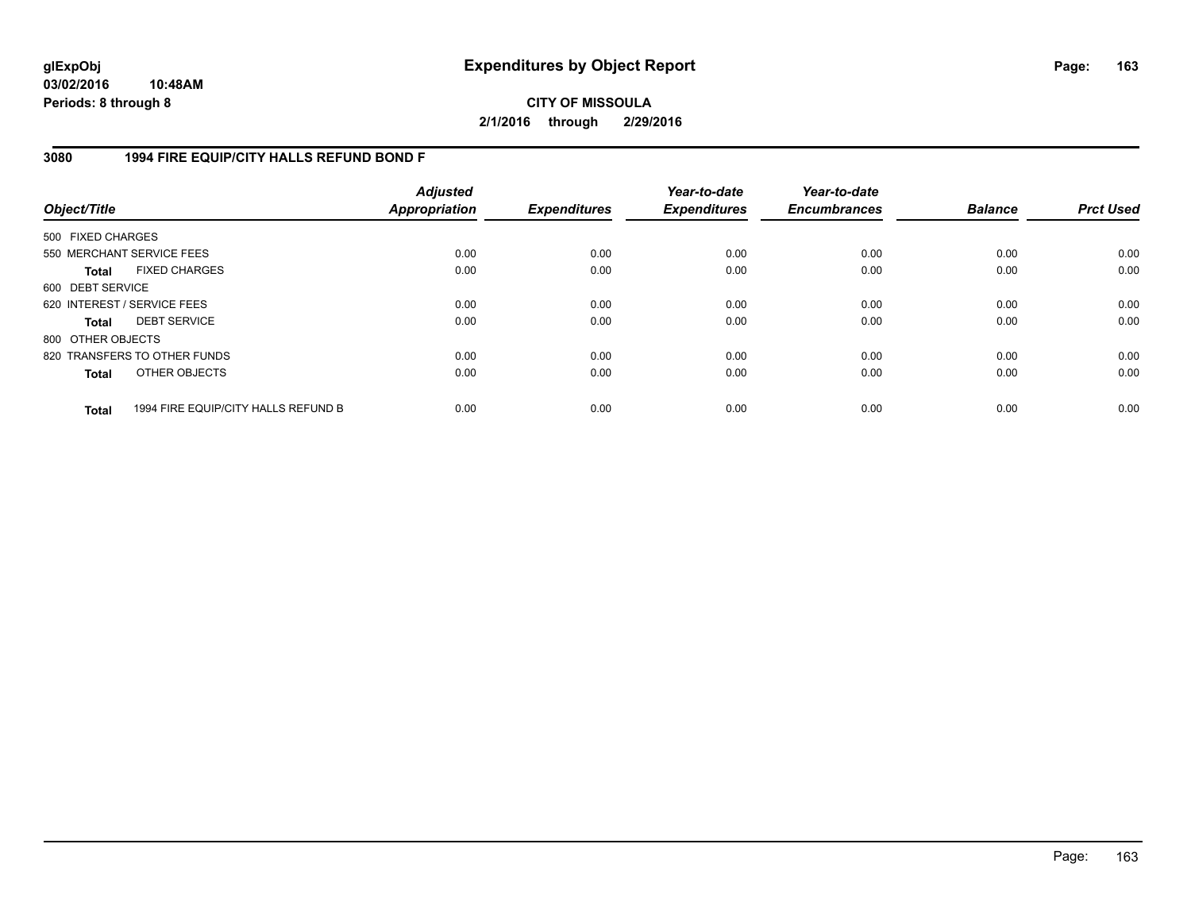**CITY OF MISSOULA 2/1/2016 through 2/29/2016**

### **3080 1994 FIRE EQUIP/CITY HALLS REFUND BOND F**

| Object/Title      |                                     | <b>Adjusted</b><br><b>Appropriation</b> | <b>Expenditures</b> | Year-to-date<br><b>Expenditures</b> | Year-to-date<br><b>Encumbrances</b> | <b>Balance</b> | <b>Prct Used</b> |
|-------------------|-------------------------------------|-----------------------------------------|---------------------|-------------------------------------|-------------------------------------|----------------|------------------|
| 500 FIXED CHARGES |                                     |                                         |                     |                                     |                                     |                |                  |
|                   | 550 MERCHANT SERVICE FEES           | 0.00                                    | 0.00                | 0.00                                | 0.00                                | 0.00           | 0.00             |
| <b>Total</b>      | <b>FIXED CHARGES</b>                | 0.00                                    | 0.00                | 0.00                                | 0.00                                | 0.00           | 0.00             |
| 600 DEBT SERVICE  |                                     |                                         |                     |                                     |                                     |                |                  |
|                   | 620 INTEREST / SERVICE FEES         | 0.00                                    | 0.00                | 0.00                                | 0.00                                | 0.00           | 0.00             |
| <b>Total</b>      | <b>DEBT SERVICE</b>                 | 0.00                                    | 0.00                | 0.00                                | 0.00                                | 0.00           | 0.00             |
| 800 OTHER OBJECTS |                                     |                                         |                     |                                     |                                     |                |                  |
|                   | 820 TRANSFERS TO OTHER FUNDS        | 0.00                                    | 0.00                | 0.00                                | 0.00                                | 0.00           | 0.00             |
| <b>Total</b>      | OTHER OBJECTS                       | 0.00                                    | 0.00                | 0.00                                | 0.00                                | 0.00           | 0.00             |
| <b>Total</b>      | 1994 FIRE EQUIP/CITY HALLS REFUND B | 0.00                                    | 0.00                | 0.00                                | 0.00                                | 0.00           | 0.00             |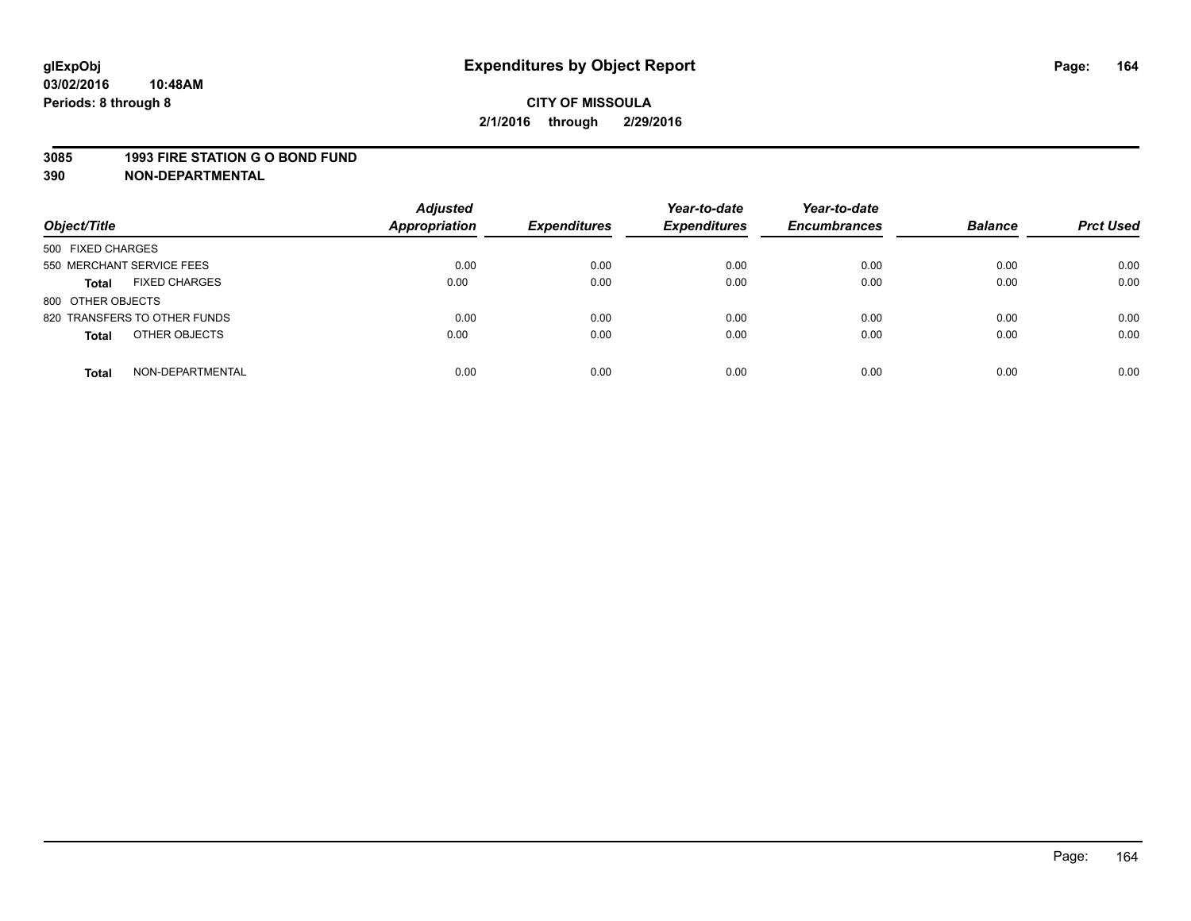#### **3085 1993 FIRE STATION G O BOND FUND**

| Object/Title                         | <b>Adjusted</b><br>Appropriation | <b>Expenditures</b> | Year-to-date<br><b>Expenditures</b> | Year-to-date<br><b>Encumbrances</b> | <b>Balance</b> | <b>Prct Used</b> |
|--------------------------------------|----------------------------------|---------------------|-------------------------------------|-------------------------------------|----------------|------------------|
| 500 FIXED CHARGES                    |                                  |                     |                                     |                                     |                |                  |
| 550 MERCHANT SERVICE FEES            | 0.00                             | 0.00                | 0.00                                | 0.00                                | 0.00           | 0.00             |
| <b>FIXED CHARGES</b><br><b>Total</b> | 0.00                             | 0.00                | 0.00                                | 0.00                                | 0.00           | 0.00             |
| 800 OTHER OBJECTS                    |                                  |                     |                                     |                                     |                |                  |
| 820 TRANSFERS TO OTHER FUNDS         | 0.00                             | 0.00                | 0.00                                | 0.00                                | 0.00           | 0.00             |
| OTHER OBJECTS<br><b>Total</b>        | 0.00                             | 0.00                | 0.00                                | 0.00                                | 0.00           | 0.00             |
| NON-DEPARTMENTAL<br><b>Total</b>     | 0.00                             | 0.00                | 0.00                                | 0.00                                | 0.00           | 0.00             |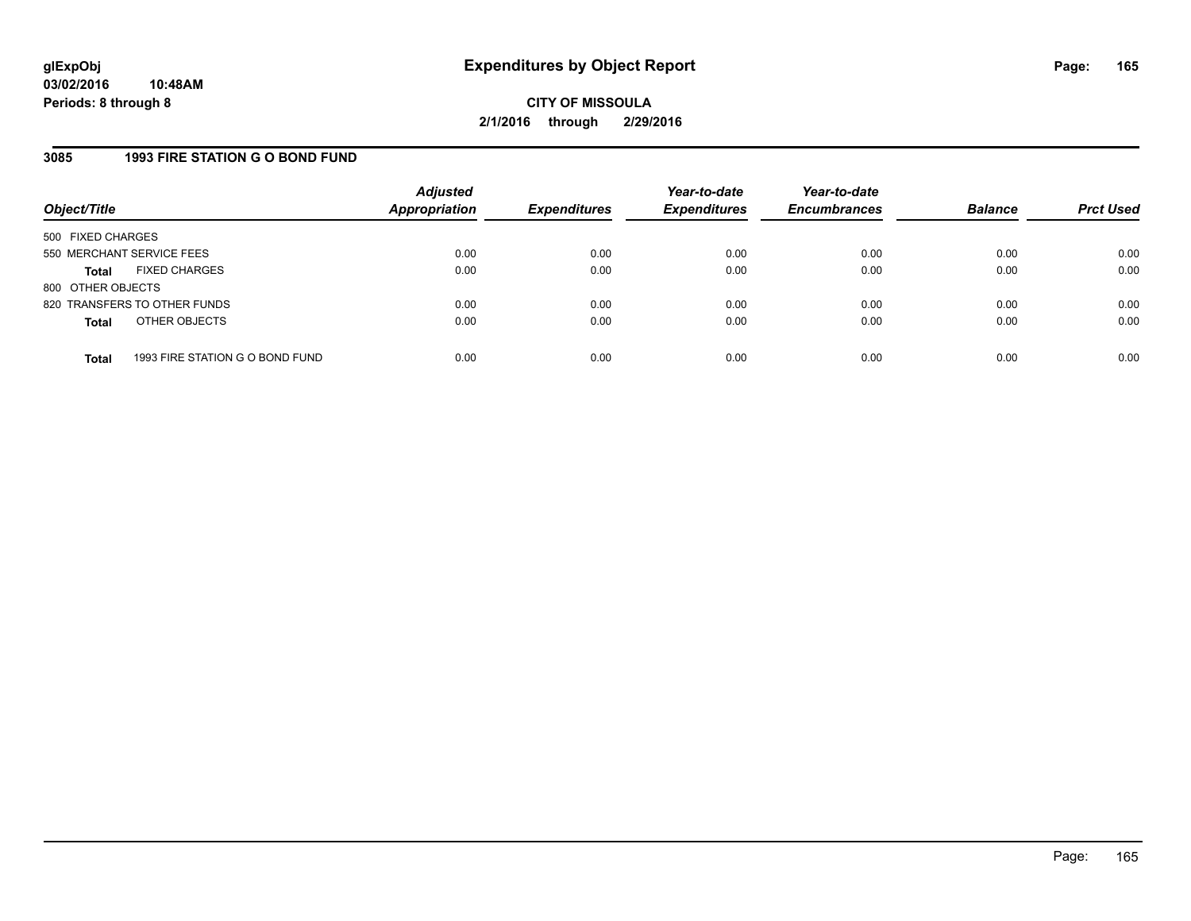### **3085 1993 FIRE STATION G O BOND FUND**

| Object/Title              |                                 | <b>Adjusted</b><br><b>Appropriation</b> | <b>Expenditures</b> | Year-to-date<br><b>Expenditures</b> | Year-to-date<br><b>Encumbrances</b> | <b>Balance</b> | <b>Prct Used</b> |
|---------------------------|---------------------------------|-----------------------------------------|---------------------|-------------------------------------|-------------------------------------|----------------|------------------|
| 500 FIXED CHARGES         |                                 |                                         |                     |                                     |                                     |                |                  |
| 550 MERCHANT SERVICE FEES |                                 | 0.00                                    | 0.00                | 0.00                                | 0.00                                | 0.00           | 0.00             |
| Total                     | <b>FIXED CHARGES</b>            | 0.00                                    | 0.00                | 0.00                                | 0.00                                | 0.00           | 0.00             |
| 800 OTHER OBJECTS         |                                 |                                         |                     |                                     |                                     |                |                  |
|                           | 820 TRANSFERS TO OTHER FUNDS    | 0.00                                    | 0.00                | 0.00                                | 0.00                                | 0.00           | 0.00             |
| <b>Total</b>              | OTHER OBJECTS                   | 0.00                                    | 0.00                | 0.00                                | 0.00                                | 0.00           | 0.00             |
|                           |                                 |                                         |                     |                                     |                                     |                |                  |
| <b>Total</b>              | 1993 FIRE STATION G O BOND FUND | 0.00                                    | 0.00                | 0.00                                | 0.00                                | 0.00           | 0.00             |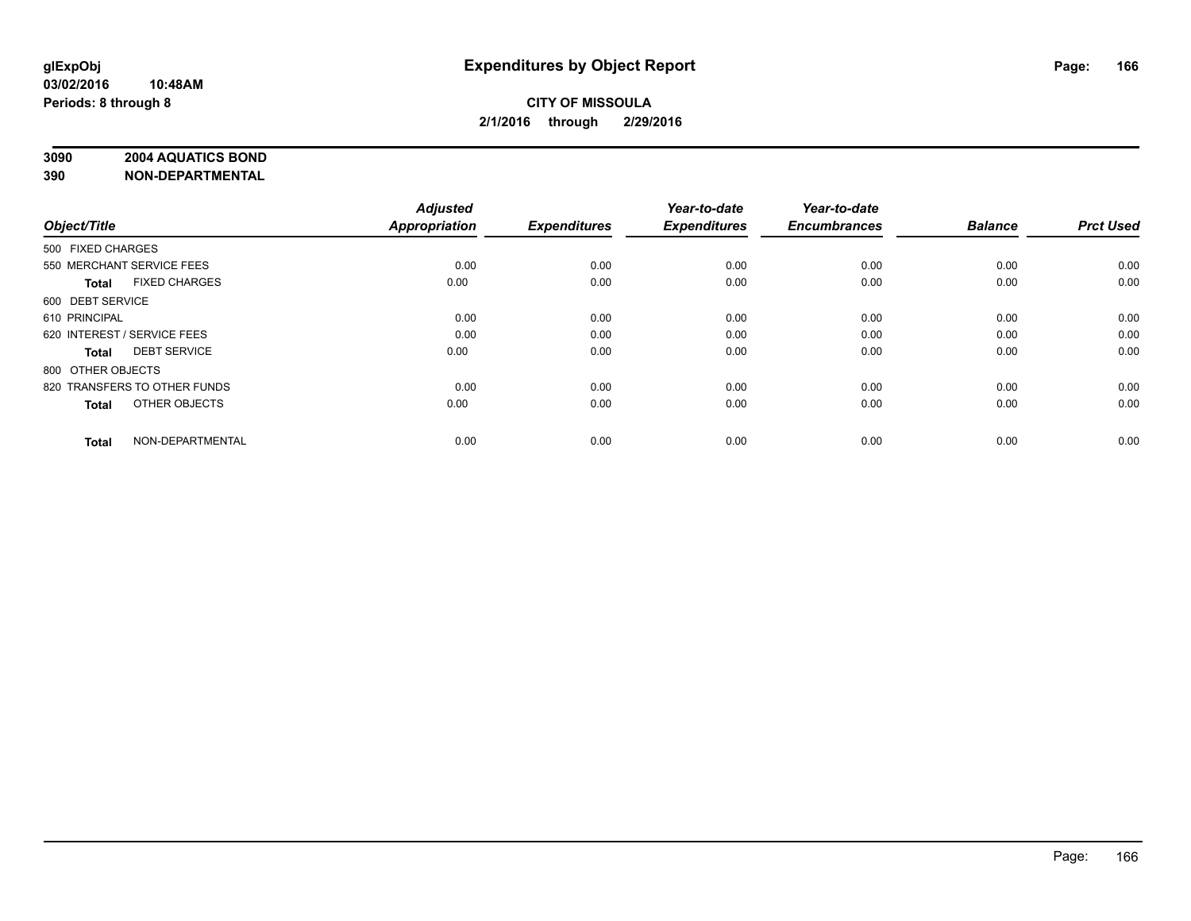### **3090 2004 AQUATICS BOND**

| Object/Title                         | <b>Adjusted</b><br><b>Appropriation</b> | <b>Expenditures</b> | Year-to-date<br><b>Expenditures</b> | Year-to-date<br><b>Encumbrances</b> | <b>Balance</b> | <b>Prct Used</b> |
|--------------------------------------|-----------------------------------------|---------------------|-------------------------------------|-------------------------------------|----------------|------------------|
|                                      |                                         |                     |                                     |                                     |                |                  |
| 500 FIXED CHARGES                    |                                         |                     |                                     |                                     |                |                  |
| 550 MERCHANT SERVICE FEES            | 0.00                                    | 0.00                | 0.00                                | 0.00                                | 0.00           | 0.00             |
| <b>FIXED CHARGES</b><br><b>Total</b> | 0.00                                    | 0.00                | 0.00                                | 0.00                                | 0.00           | 0.00             |
| 600 DEBT SERVICE                     |                                         |                     |                                     |                                     |                |                  |
| 610 PRINCIPAL                        | 0.00                                    | 0.00                | 0.00                                | 0.00                                | 0.00           | 0.00             |
| 620 INTEREST / SERVICE FEES          | 0.00                                    | 0.00                | 0.00                                | 0.00                                | 0.00           | 0.00             |
| <b>DEBT SERVICE</b><br><b>Total</b>  | 0.00                                    | 0.00                | 0.00                                | 0.00                                | 0.00           | 0.00             |
| 800 OTHER OBJECTS                    |                                         |                     |                                     |                                     |                |                  |
| 820 TRANSFERS TO OTHER FUNDS         | 0.00                                    | 0.00                | 0.00                                | 0.00                                | 0.00           | 0.00             |
| OTHER OBJECTS<br><b>Total</b>        | 0.00                                    | 0.00                | 0.00                                | 0.00                                | 0.00           | 0.00             |
|                                      |                                         |                     |                                     |                                     |                |                  |
| NON-DEPARTMENTAL<br><b>Total</b>     | 0.00                                    | 0.00                | 0.00                                | 0.00                                | 0.00           | 0.00             |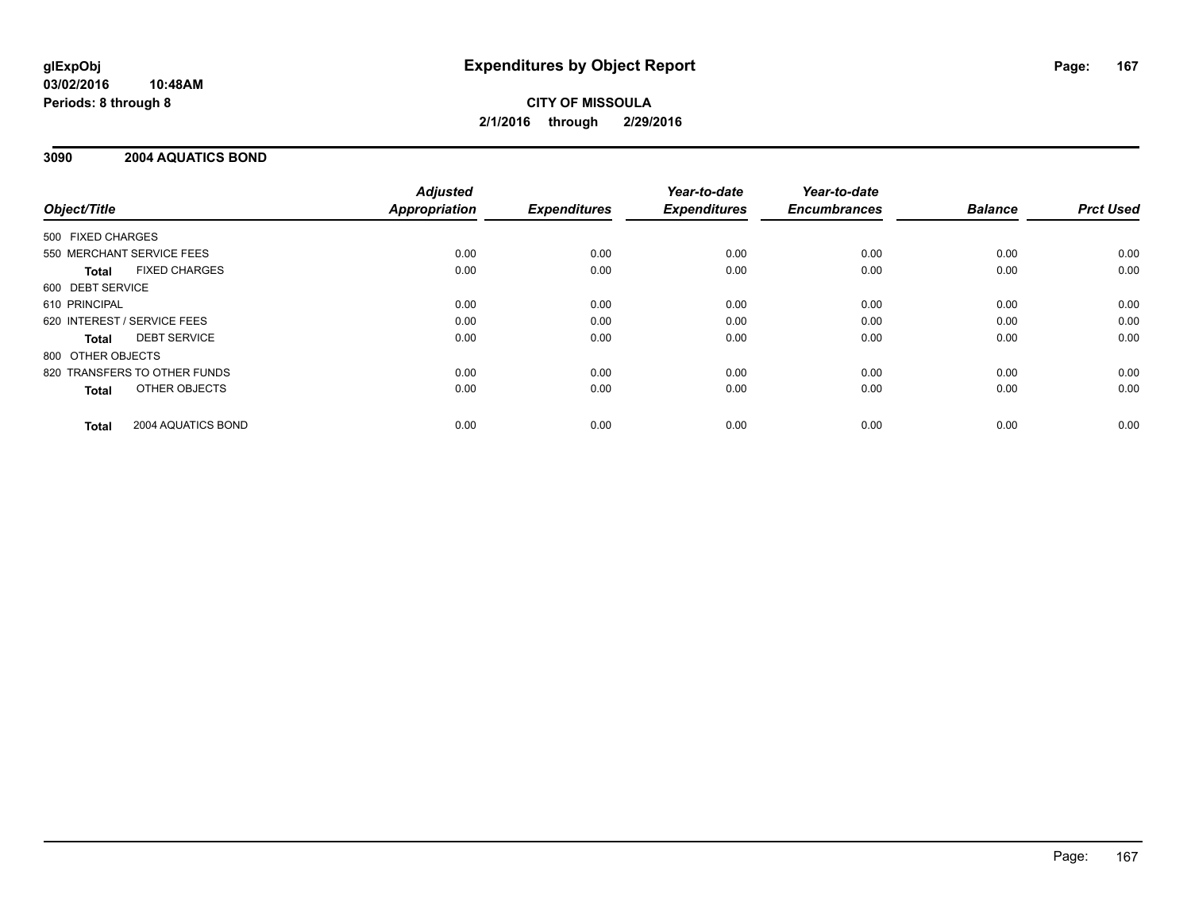## **CITY OF MISSOULA 2/1/2016 through 2/29/2016**

### **3090 2004 AQUATICS BOND**

|                              |                      | <b>Adjusted</b>      |                     | Year-to-date        | Year-to-date<br><b>Encumbrances</b> | <b>Balance</b> | <b>Prct Used</b> |
|------------------------------|----------------------|----------------------|---------------------|---------------------|-------------------------------------|----------------|------------------|
| Object/Title                 |                      | <b>Appropriation</b> | <b>Expenditures</b> | <b>Expenditures</b> |                                     |                |                  |
| 500 FIXED CHARGES            |                      |                      |                     |                     |                                     |                |                  |
| 550 MERCHANT SERVICE FEES    |                      | 0.00                 | 0.00                | 0.00                | 0.00                                | 0.00           | 0.00             |
| Total                        | <b>FIXED CHARGES</b> | 0.00                 | 0.00                | 0.00                | 0.00                                | 0.00           | 0.00             |
| 600 DEBT SERVICE             |                      |                      |                     |                     |                                     |                |                  |
| 610 PRINCIPAL                |                      | 0.00                 | 0.00                | 0.00                | 0.00                                | 0.00           | 0.00             |
| 620 INTEREST / SERVICE FEES  |                      | 0.00                 | 0.00                | 0.00                | 0.00                                | 0.00           | 0.00             |
| Total                        | <b>DEBT SERVICE</b>  | 0.00                 | 0.00                | 0.00                | 0.00                                | 0.00           | 0.00             |
| 800 OTHER OBJECTS            |                      |                      |                     |                     |                                     |                |                  |
| 820 TRANSFERS TO OTHER FUNDS |                      | 0.00                 | 0.00                | 0.00                | 0.00                                | 0.00           | 0.00             |
| <b>Total</b>                 | OTHER OBJECTS        | 0.00                 | 0.00                | 0.00                | 0.00                                | 0.00           | 0.00             |
| <b>Total</b>                 | 2004 AQUATICS BOND   | 0.00                 | 0.00                | 0.00                | 0.00                                | 0.00           | 0.00             |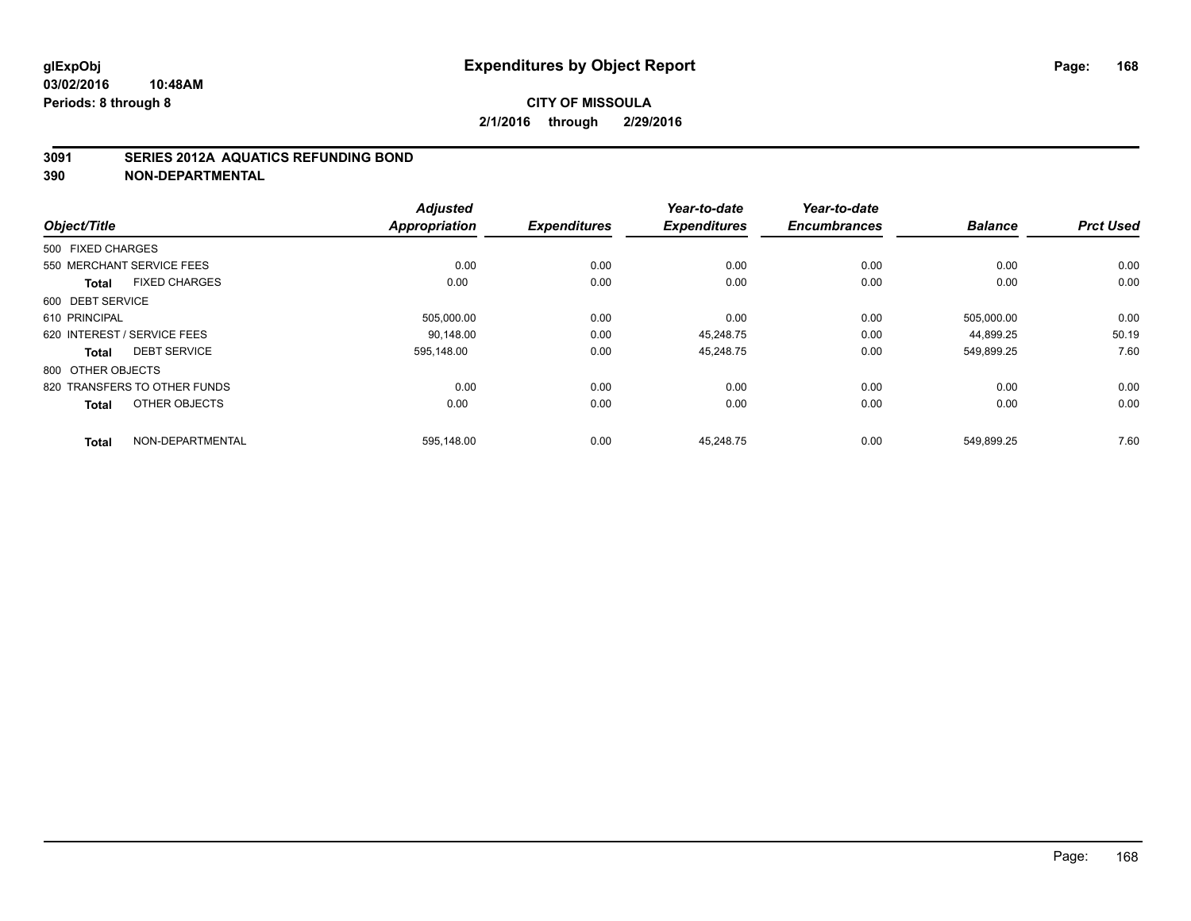### **3091 SERIES 2012A AQUATICS REFUNDING BOND**

| Object/Title                 |                      | <b>Adjusted</b><br><b>Appropriation</b> | <b>Expenditures</b> | Year-to-date<br><b>Expenditures</b> | Year-to-date<br><b>Encumbrances</b> | <b>Balance</b> | <b>Prct Used</b> |
|------------------------------|----------------------|-----------------------------------------|---------------------|-------------------------------------|-------------------------------------|----------------|------------------|
|                              |                      |                                         |                     |                                     |                                     |                |                  |
| 500 FIXED CHARGES            |                      |                                         |                     |                                     |                                     |                |                  |
| 550 MERCHANT SERVICE FEES    |                      | 0.00                                    | 0.00                | 0.00                                | 0.00                                | 0.00           | 0.00             |
| <b>Total</b>                 | <b>FIXED CHARGES</b> | 0.00                                    | 0.00                | 0.00                                | 0.00                                | 0.00           | 0.00             |
| 600 DEBT SERVICE             |                      |                                         |                     |                                     |                                     |                |                  |
| 610 PRINCIPAL                |                      | 505,000.00                              | 0.00                | 0.00                                | 0.00                                | 505,000.00     | 0.00             |
| 620 INTEREST / SERVICE FEES  |                      | 90.148.00                               | 0.00                | 45.248.75                           | 0.00                                | 44,899.25      | 50.19            |
| <b>Total</b>                 | <b>DEBT SERVICE</b>  | 595.148.00                              | 0.00                | 45,248.75                           | 0.00                                | 549,899.25     | 7.60             |
| 800 OTHER OBJECTS            |                      |                                         |                     |                                     |                                     |                |                  |
| 820 TRANSFERS TO OTHER FUNDS |                      | 0.00                                    | 0.00                | 0.00                                | 0.00                                | 0.00           | 0.00             |
| <b>Total</b>                 | OTHER OBJECTS        | 0.00                                    | 0.00                | 0.00                                | 0.00                                | 0.00           | 0.00             |
| <b>Total</b>                 | NON-DEPARTMENTAL     | 595,148.00                              | 0.00                | 45,248.75                           | 0.00                                | 549,899.25     | 7.60             |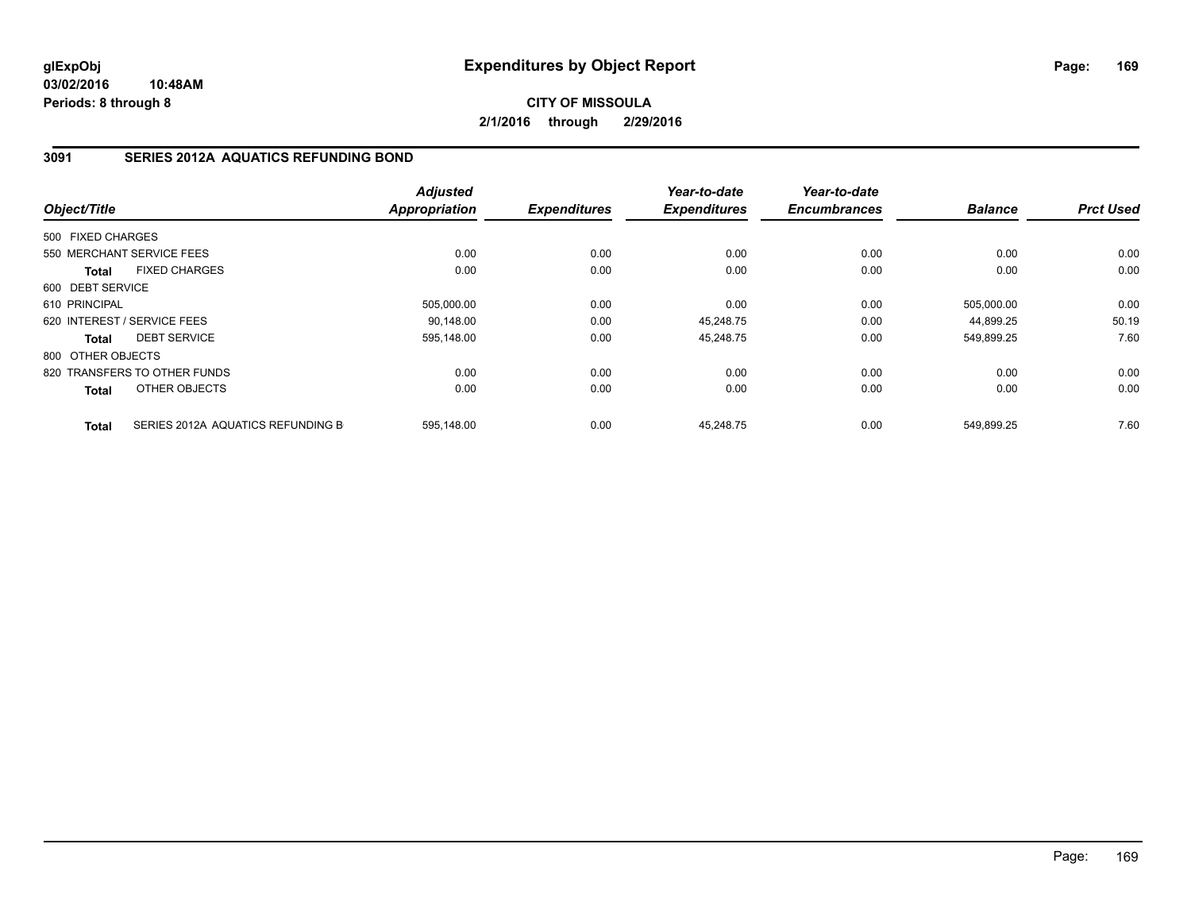### **CITY OF MISSOULA 2/1/2016 through 2/29/2016**

### **3091 SERIES 2012A AQUATICS REFUNDING BOND**

|                   |                                   | <b>Adjusted</b>      |                     | Year-to-date        | Year-to-date        |                |                  |
|-------------------|-----------------------------------|----------------------|---------------------|---------------------|---------------------|----------------|------------------|
| Object/Title      |                                   | <b>Appropriation</b> | <b>Expenditures</b> | <b>Expenditures</b> | <b>Encumbrances</b> | <b>Balance</b> | <b>Prct Used</b> |
| 500 FIXED CHARGES |                                   |                      |                     |                     |                     |                |                  |
|                   | 550 MERCHANT SERVICE FEES         | 0.00                 | 0.00                | 0.00                | 0.00                | 0.00           | 0.00             |
| Total             | <b>FIXED CHARGES</b>              | 0.00                 | 0.00                | 0.00                | 0.00                | 0.00           | 0.00             |
| 600 DEBT SERVICE  |                                   |                      |                     |                     |                     |                |                  |
| 610 PRINCIPAL     |                                   | 505,000.00           | 0.00                | 0.00                | 0.00                | 505,000.00     | 0.00             |
|                   | 620 INTEREST / SERVICE FEES       | 90.148.00            | 0.00                | 45,248.75           | 0.00                | 44.899.25      | 50.19            |
| <b>Total</b>      | <b>DEBT SERVICE</b>               | 595,148.00           | 0.00                | 45,248.75           | 0.00                | 549,899.25     | 7.60             |
| 800 OTHER OBJECTS |                                   |                      |                     |                     |                     |                |                  |
|                   | 820 TRANSFERS TO OTHER FUNDS      | 0.00                 | 0.00                | 0.00                | 0.00                | 0.00           | 0.00             |
| Total             | OTHER OBJECTS                     | 0.00                 | 0.00                | 0.00                | 0.00                | 0.00           | 0.00             |
| <b>Total</b>      | SERIES 2012A AQUATICS REFUNDING B | 595,148.00           | 0.00                | 45,248.75           | 0.00                | 549,899.25     | 7.60             |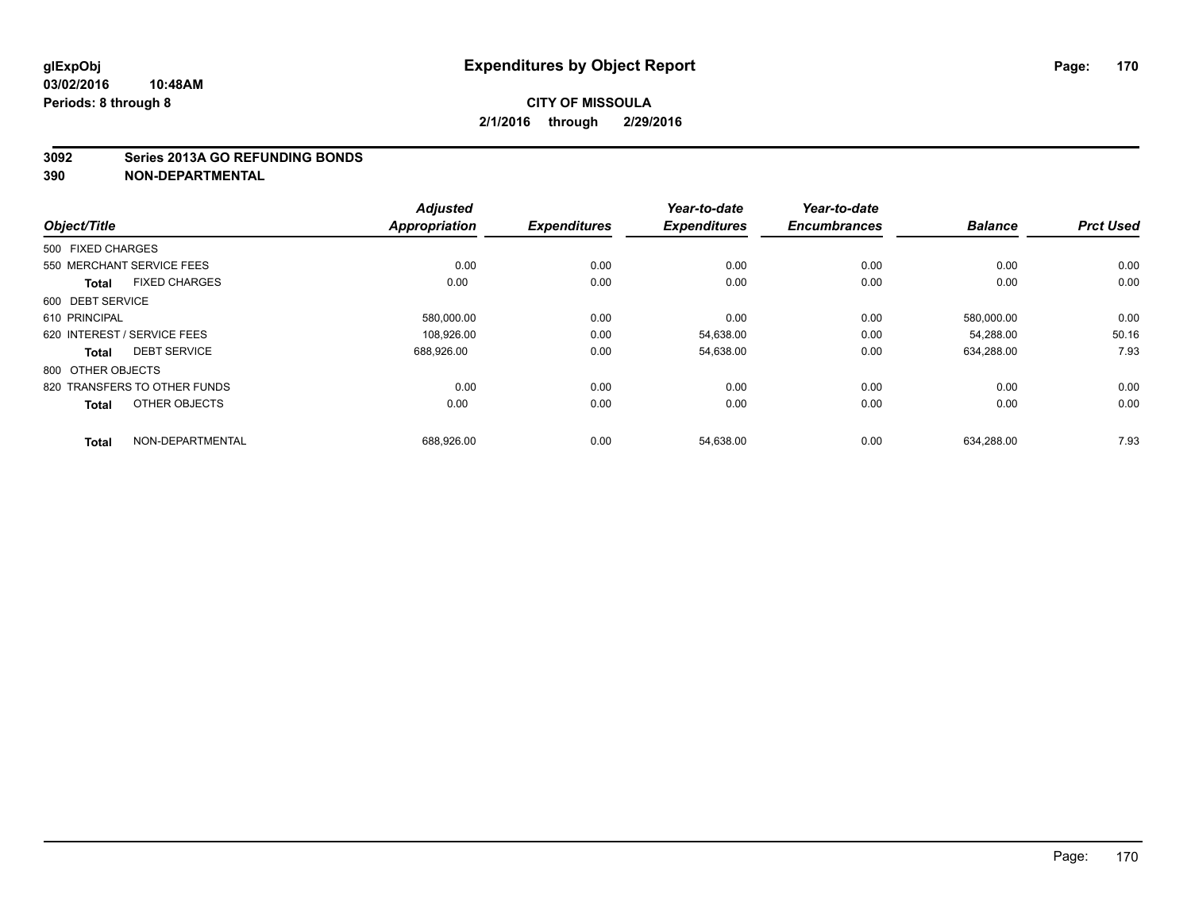### **CITY OF MISSOULA 2/1/2016 through 2/29/2016**

#### **3092 Series 2013A GO REFUNDING BONDS**

|                                      | <b>Adjusted</b>      |                     | Year-to-date        | Year-to-date        |                |                  |
|--------------------------------------|----------------------|---------------------|---------------------|---------------------|----------------|------------------|
| Object/Title                         | <b>Appropriation</b> | <b>Expenditures</b> | <b>Expenditures</b> | <b>Encumbrances</b> | <b>Balance</b> | <b>Prct Used</b> |
| 500 FIXED CHARGES                    |                      |                     |                     |                     |                |                  |
| 550 MERCHANT SERVICE FEES            | 0.00                 | 0.00                | 0.00                | 0.00                | 0.00           | 0.00             |
| <b>FIXED CHARGES</b><br><b>Total</b> | 0.00                 | 0.00                | 0.00                | 0.00                | 0.00           | 0.00             |
| 600 DEBT SERVICE                     |                      |                     |                     |                     |                |                  |
| 610 PRINCIPAL                        | 580,000.00           | 0.00                | 0.00                | 0.00                | 580,000.00     | 0.00             |
| 620 INTEREST / SERVICE FEES          | 108,926.00           | 0.00                | 54,638.00           | 0.00                | 54.288.00      | 50.16            |
| <b>DEBT SERVICE</b><br><b>Total</b>  | 688,926.00           | 0.00                | 54,638.00           | 0.00                | 634,288.00     | 7.93             |
| 800 OTHER OBJECTS                    |                      |                     |                     |                     |                |                  |
| 820 TRANSFERS TO OTHER FUNDS         | 0.00                 | 0.00                | 0.00                | 0.00                | 0.00           | 0.00             |
| OTHER OBJECTS<br><b>Total</b>        | 0.00                 | 0.00                | 0.00                | 0.00                | 0.00           | 0.00             |
| NON-DEPARTMENTAL                     |                      |                     |                     |                     | 634,288.00     | 7.93             |
| <b>Total</b>                         | 688,926.00           | 0.00                | 54,638.00           | 0.00                |                |                  |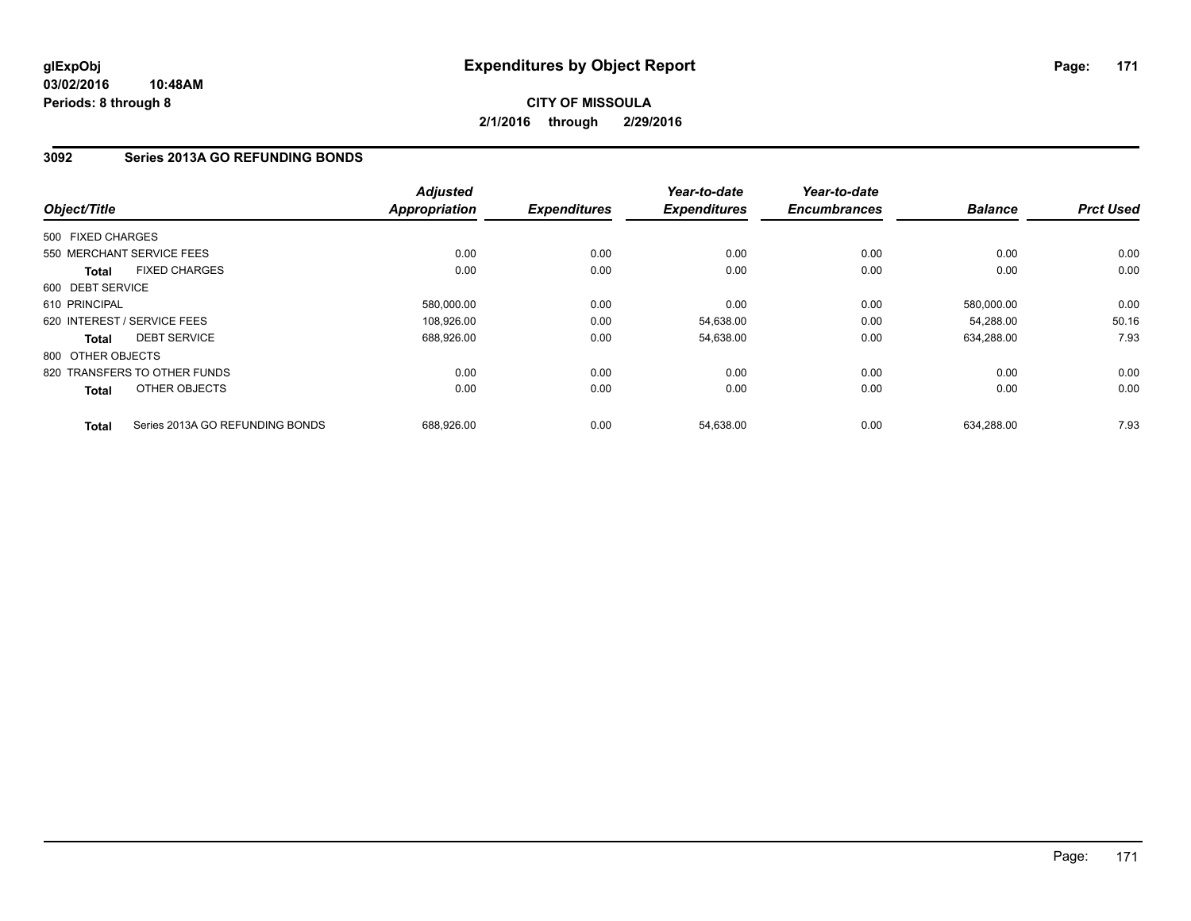### **3092 Series 2013A GO REFUNDING BONDS**

| Object/Title      |                                 | <b>Adjusted</b><br><b>Appropriation</b> | <b>Expenditures</b> | Year-to-date<br><b>Expenditures</b> | Year-to-date<br><b>Encumbrances</b> | <b>Balance</b> | <b>Prct Used</b> |
|-------------------|---------------------------------|-----------------------------------------|---------------------|-------------------------------------|-------------------------------------|----------------|------------------|
|                   |                                 |                                         |                     |                                     |                                     |                |                  |
| 500 FIXED CHARGES |                                 |                                         |                     |                                     |                                     |                |                  |
|                   | 550 MERCHANT SERVICE FEES       | 0.00                                    | 0.00                | 0.00                                | 0.00                                | 0.00           | 0.00             |
| Total             | <b>FIXED CHARGES</b>            | 0.00                                    | 0.00                | 0.00                                | 0.00                                | 0.00           | 0.00             |
| 600 DEBT SERVICE  |                                 |                                         |                     |                                     |                                     |                |                  |
| 610 PRINCIPAL     |                                 | 580,000.00                              | 0.00                | 0.00                                | 0.00                                | 580,000.00     | 0.00             |
|                   | 620 INTEREST / SERVICE FEES     | 108,926.00                              | 0.00                | 54,638.00                           | 0.00                                | 54.288.00      | 50.16            |
| Total             | <b>DEBT SERVICE</b>             | 688,926.00                              | 0.00                | 54,638.00                           | 0.00                                | 634,288.00     | 7.93             |
| 800 OTHER OBJECTS |                                 |                                         |                     |                                     |                                     |                |                  |
|                   | 820 TRANSFERS TO OTHER FUNDS    | 0.00                                    | 0.00                | 0.00                                | 0.00                                | 0.00           | 0.00             |
| Total             | OTHER OBJECTS                   | 0.00                                    | 0.00                | 0.00                                | 0.00                                | 0.00           | 0.00             |
| <b>Total</b>      | Series 2013A GO REFUNDING BONDS | 688,926.00                              | 0.00                | 54,638.00                           | 0.00                                | 634,288.00     | 7.93             |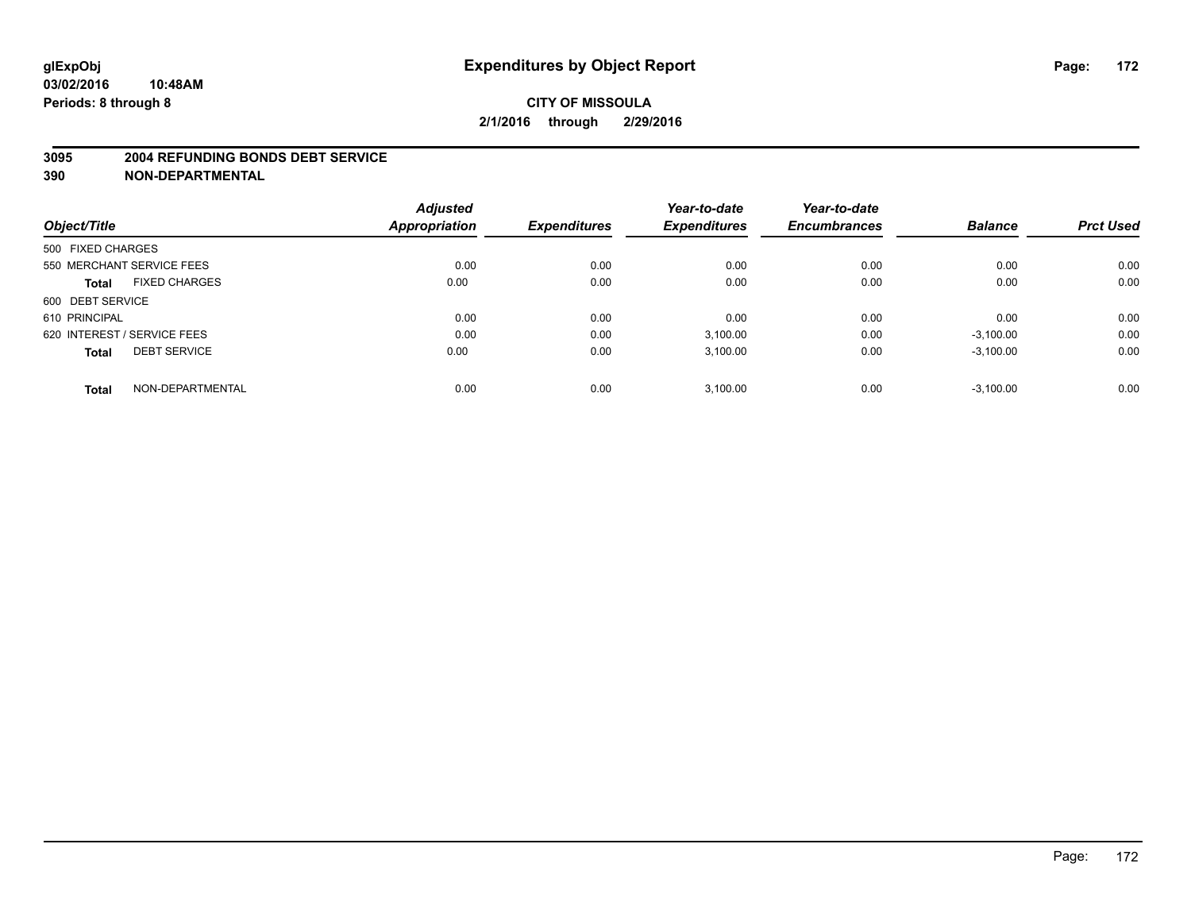#### **3095 2004 REFUNDING BONDS DEBT SERVICE**

|                                      | <b>Adjusted</b><br><b>Appropriation</b> | <b>Expenditures</b> | Year-to-date<br><b>Expenditures</b> | Year-to-date<br><b>Encumbrances</b> | <b>Balance</b> | <b>Prct Used</b> |
|--------------------------------------|-----------------------------------------|---------------------|-------------------------------------|-------------------------------------|----------------|------------------|
| Object/Title                         |                                         |                     |                                     |                                     |                |                  |
| 500 FIXED CHARGES                    |                                         |                     |                                     |                                     |                |                  |
| 550 MERCHANT SERVICE FEES            | 0.00                                    | 0.00                | 0.00                                | 0.00                                | 0.00           | 0.00             |
| <b>FIXED CHARGES</b><br><b>Total</b> | 0.00                                    | 0.00                | 0.00                                | 0.00                                | 0.00           | 0.00             |
| 600 DEBT SERVICE                     |                                         |                     |                                     |                                     |                |                  |
| 610 PRINCIPAL                        | 0.00                                    | 0.00                | 0.00                                | 0.00                                | 0.00           | 0.00             |
| 620 INTEREST / SERVICE FEES          | 0.00                                    | 0.00                | 3,100.00                            | 0.00                                | $-3,100.00$    | 0.00             |
| <b>DEBT SERVICE</b><br><b>Total</b>  | 0.00                                    | 0.00                | 3,100.00                            | 0.00                                | $-3,100.00$    | 0.00             |
| NON-DEPARTMENTAL<br><b>Total</b>     | 0.00                                    | 0.00                | 3,100.00                            | 0.00                                | $-3,100.00$    | 0.00             |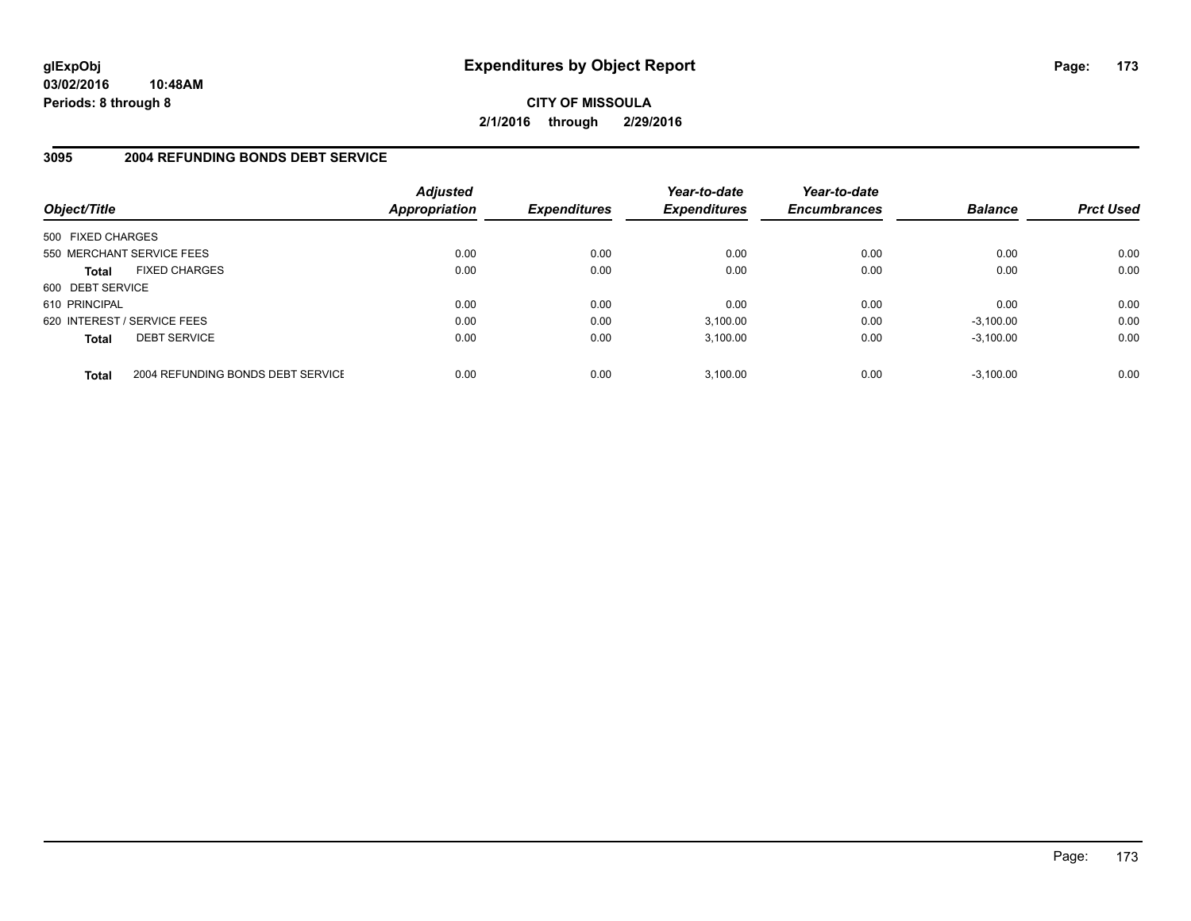**CITY OF MISSOULA 2/1/2016 through 2/29/2016**

### **3095 2004 REFUNDING BONDS DEBT SERVICE**

| Object/Title                |                                   | <b>Adjusted</b><br>Appropriation | <b>Expenditures</b> | Year-to-date<br><b>Expenditures</b> | Year-to-date<br><b>Encumbrances</b> | <b>Balance</b> | <b>Prct Used</b> |
|-----------------------------|-----------------------------------|----------------------------------|---------------------|-------------------------------------|-------------------------------------|----------------|------------------|
| 500 FIXED CHARGES           |                                   |                                  |                     |                                     |                                     |                |                  |
| 550 MERCHANT SERVICE FEES   |                                   | 0.00                             | 0.00                | 0.00                                | 0.00                                | 0.00           | 0.00             |
| <b>Total</b>                | <b>FIXED CHARGES</b>              | 0.00                             | 0.00                | 0.00                                | 0.00                                | 0.00           | 0.00             |
| 600 DEBT SERVICE            |                                   |                                  |                     |                                     |                                     |                |                  |
| 610 PRINCIPAL               |                                   | 0.00                             | 0.00                | 0.00                                | 0.00                                | 0.00           | 0.00             |
| 620 INTEREST / SERVICE FEES |                                   | 0.00                             | 0.00                | 3,100.00                            | 0.00                                | $-3,100.00$    | 0.00             |
| <b>Total</b>                | <b>DEBT SERVICE</b>               | 0.00                             | 0.00                | 3.100.00                            | 0.00                                | $-3.100.00$    | 0.00             |
| <b>Total</b>                | 2004 REFUNDING BONDS DEBT SERVICE | 0.00                             | 0.00                | 3.100.00                            | 0.00                                | $-3.100.00$    | 0.00             |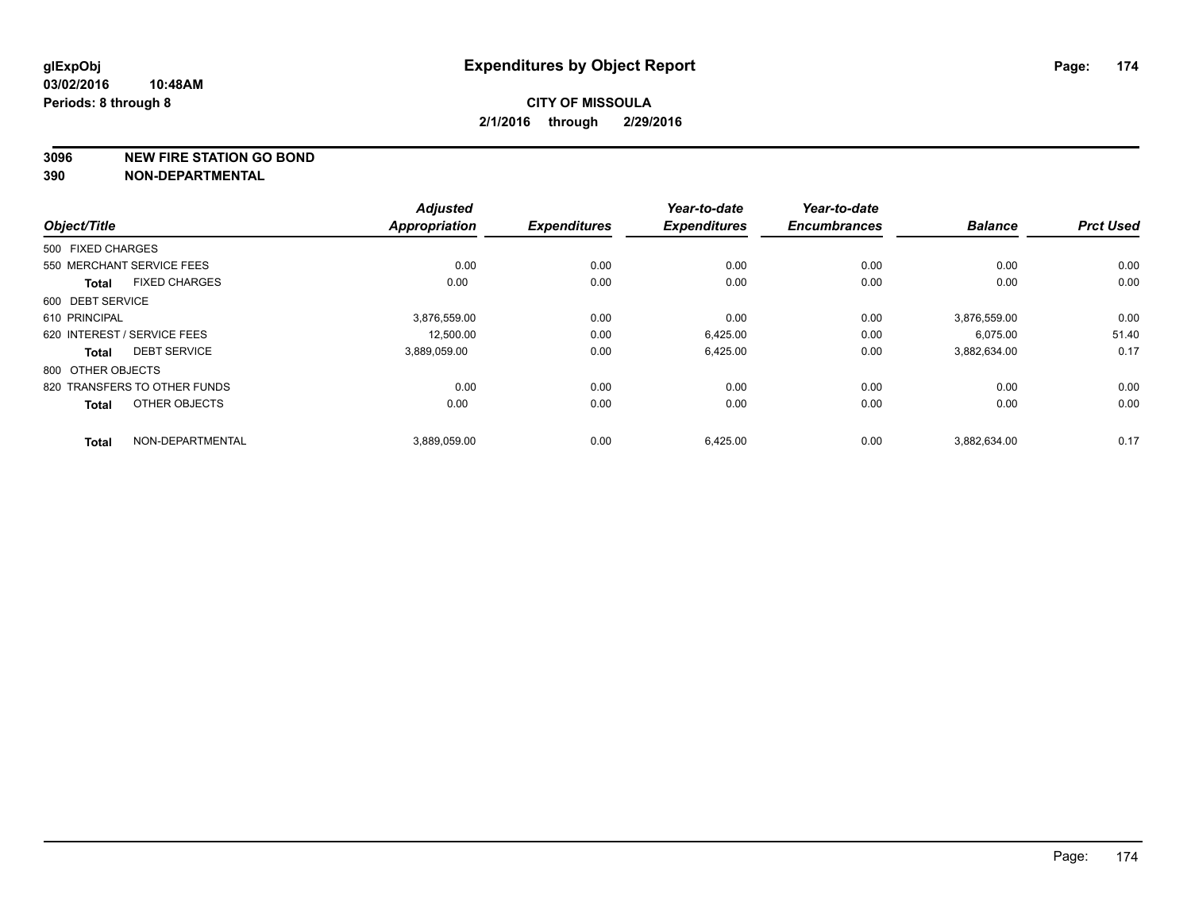#### **3096 NEW FIRE STATION GO BOND**

| Object/Title      |                              | <b>Adjusted</b><br><b>Appropriation</b> | <b>Expenditures</b> | Year-to-date<br><b>Expenditures</b> | Year-to-date<br><b>Encumbrances</b> | <b>Balance</b> | <b>Prct Used</b> |
|-------------------|------------------------------|-----------------------------------------|---------------------|-------------------------------------|-------------------------------------|----------------|------------------|
|                   |                              |                                         |                     |                                     |                                     |                |                  |
| 500 FIXED CHARGES |                              |                                         |                     |                                     |                                     |                |                  |
|                   | 550 MERCHANT SERVICE FEES    | 0.00                                    | 0.00                | 0.00                                | 0.00                                | 0.00           | 0.00             |
| <b>Total</b>      | <b>FIXED CHARGES</b>         | 0.00                                    | 0.00                | 0.00                                | 0.00                                | 0.00           | 0.00             |
| 600 DEBT SERVICE  |                              |                                         |                     |                                     |                                     |                |                  |
| 610 PRINCIPAL     |                              | 3,876,559.00                            | 0.00                | 0.00                                | 0.00                                | 3,876,559.00   | 0.00             |
|                   | 620 INTEREST / SERVICE FEES  | 12,500.00                               | 0.00                | 6,425.00                            | 0.00                                | 6,075.00       | 51.40            |
| <b>Total</b>      | <b>DEBT SERVICE</b>          | 3,889,059.00                            | 0.00                | 6,425.00                            | 0.00                                | 3,882,634.00   | 0.17             |
| 800 OTHER OBJECTS |                              |                                         |                     |                                     |                                     |                |                  |
|                   | 820 TRANSFERS TO OTHER FUNDS | 0.00                                    | 0.00                | 0.00                                | 0.00                                | 0.00           | 0.00             |
| <b>Total</b>      | OTHER OBJECTS                | 0.00                                    | 0.00                | 0.00                                | 0.00                                | 0.00           | 0.00             |
| <b>Total</b>      | NON-DEPARTMENTAL             | 3,889,059.00                            | 0.00                | 6,425.00                            | 0.00                                | 3,882,634.00   | 0.17             |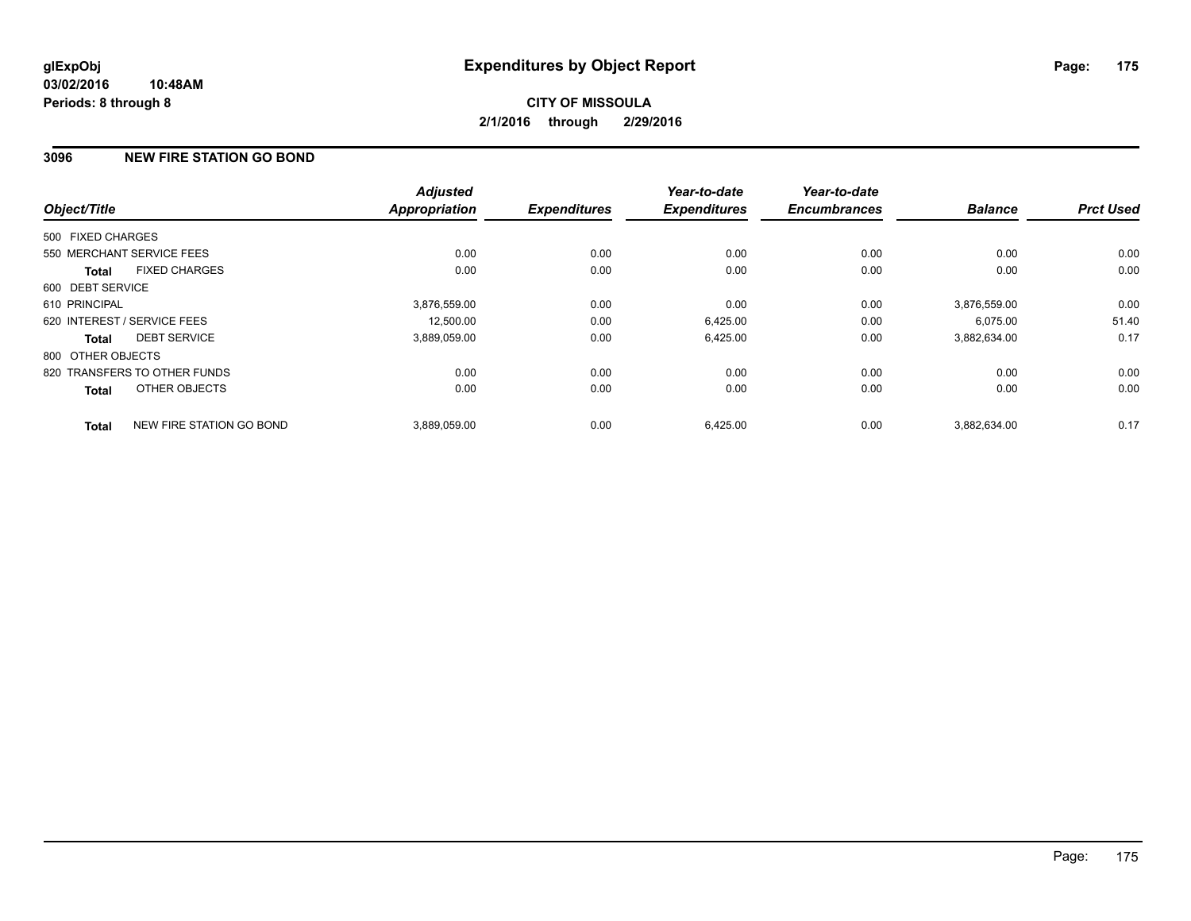### **3096 NEW FIRE STATION GO BOND**

|                   |                              | <b>Adjusted</b>      |                     | Year-to-date<br><b>Expenditures</b> | Year-to-date<br><b>Encumbrances</b> | <b>Balance</b> | <b>Prct Used</b> |
|-------------------|------------------------------|----------------------|---------------------|-------------------------------------|-------------------------------------|----------------|------------------|
| Object/Title      |                              | <b>Appropriation</b> | <b>Expenditures</b> |                                     |                                     |                |                  |
| 500 FIXED CHARGES |                              |                      |                     |                                     |                                     |                |                  |
|                   | 550 MERCHANT SERVICE FEES    | 0.00                 | 0.00                | 0.00                                | 0.00                                | 0.00           | 0.00             |
| <b>Total</b>      | <b>FIXED CHARGES</b>         | 0.00                 | 0.00                | 0.00                                | 0.00                                | 0.00           | 0.00             |
| 600 DEBT SERVICE  |                              |                      |                     |                                     |                                     |                |                  |
| 610 PRINCIPAL     |                              | 3,876,559.00         | 0.00                | 0.00                                | 0.00                                | 3.876.559.00   | 0.00             |
|                   | 620 INTEREST / SERVICE FEES  | 12,500.00            | 0.00                | 6,425.00                            | 0.00                                | 6,075.00       | 51.40            |
| Total             | <b>DEBT SERVICE</b>          | 3,889,059.00         | 0.00                | 6,425.00                            | 0.00                                | 3,882,634.00   | 0.17             |
| 800 OTHER OBJECTS |                              |                      |                     |                                     |                                     |                |                  |
|                   | 820 TRANSFERS TO OTHER FUNDS | 0.00                 | 0.00                | 0.00                                | 0.00                                | 0.00           | 0.00             |
| Total             | OTHER OBJECTS                | 0.00                 | 0.00                | 0.00                                | 0.00                                | 0.00           | 0.00             |
| <b>Total</b>      | NEW FIRE STATION GO BOND     | 3.889.059.00         | 0.00                | 6,425.00                            | 0.00                                | 3.882.634.00   | 0.17             |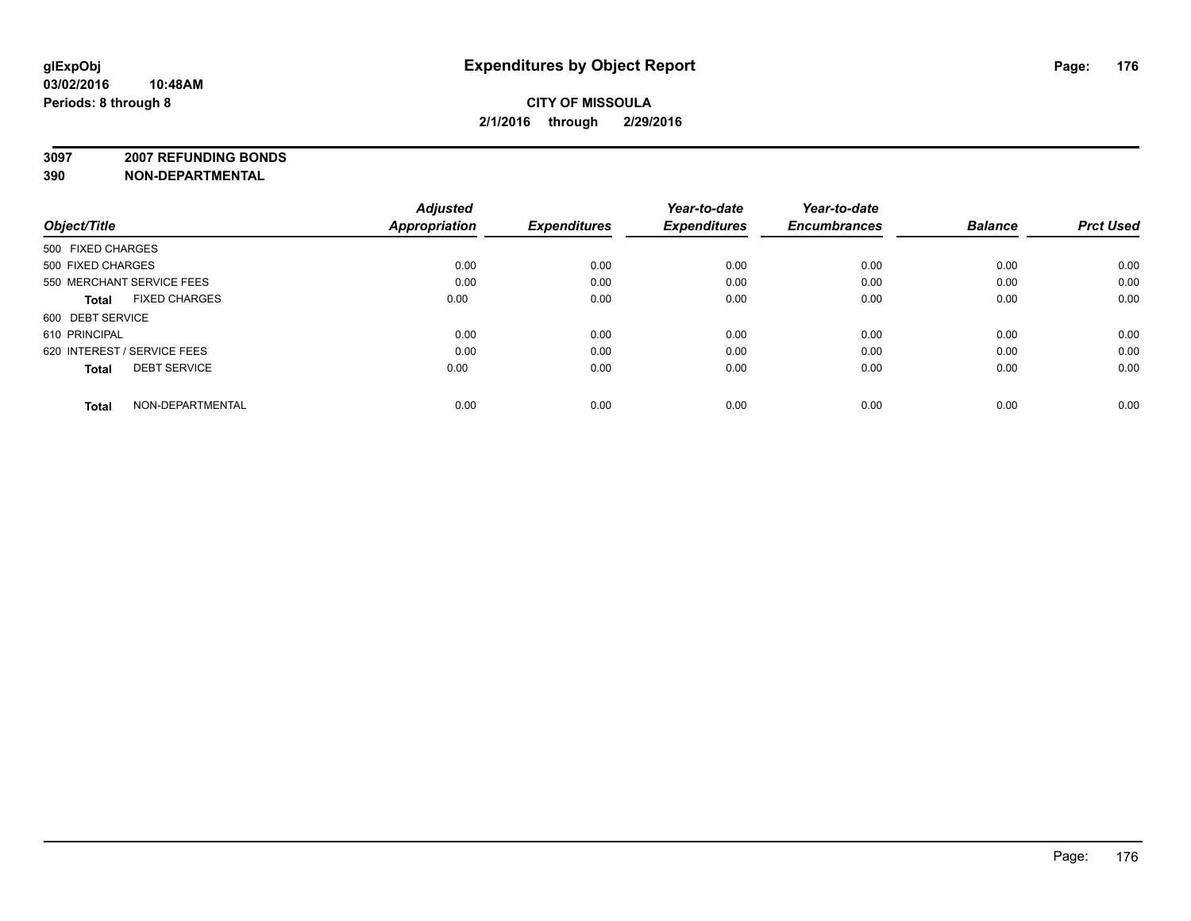## **CITY OF MISSOULA 2/1/2016 through 2/29/2016**

**3097 2007 REFUNDING BONDS**

| Object/Title                         | <b>Adjusted</b><br>Appropriation | <b>Expenditures</b> | Year-to-date<br><b>Expenditures</b> | Year-to-date<br><b>Encumbrances</b> | <b>Balance</b> | <b>Prct Used</b> |
|--------------------------------------|----------------------------------|---------------------|-------------------------------------|-------------------------------------|----------------|------------------|
| 500 FIXED CHARGES                    |                                  |                     |                                     |                                     |                |                  |
| 500 FIXED CHARGES                    | 0.00                             | 0.00                | 0.00                                | 0.00                                | 0.00           | 0.00             |
| 550 MERCHANT SERVICE FEES            | 0.00                             | 0.00                | 0.00                                | 0.00                                | 0.00           | 0.00             |
| <b>FIXED CHARGES</b><br><b>Total</b> | 0.00                             | 0.00                | 0.00                                | 0.00                                | 0.00           | 0.00             |
| 600 DEBT SERVICE                     |                                  |                     |                                     |                                     |                |                  |
| 610 PRINCIPAL                        | 0.00                             | 0.00                | 0.00                                | 0.00                                | 0.00           | 0.00             |
| 620 INTEREST / SERVICE FEES          | 0.00                             | 0.00                | 0.00                                | 0.00                                | 0.00           | 0.00             |
| <b>DEBT SERVICE</b><br><b>Total</b>  | 0.00                             | 0.00                | 0.00                                | 0.00                                | 0.00           | 0.00             |
| NON-DEPARTMENTAL<br><b>Total</b>     | 0.00                             | 0.00                | 0.00                                | 0.00                                | 0.00           | 0.00             |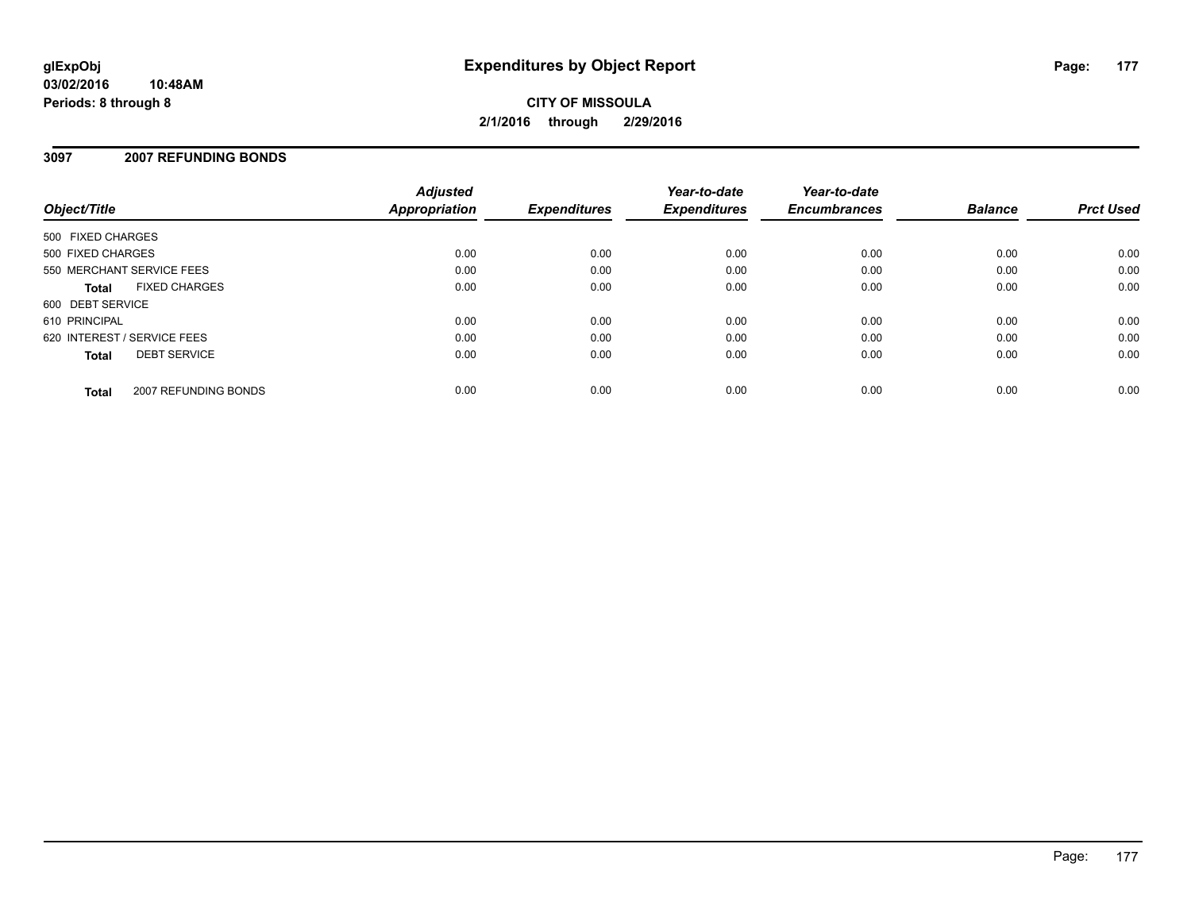### **3097 2007 REFUNDING BONDS**

| Object/Title                |                      | <b>Adjusted</b><br><b>Appropriation</b> | <b>Expenditures</b> | Year-to-date<br><b>Expenditures</b> | Year-to-date<br><b>Encumbrances</b> | <b>Balance</b> | <b>Prct Used</b> |
|-----------------------------|----------------------|-----------------------------------------|---------------------|-------------------------------------|-------------------------------------|----------------|------------------|
| 500 FIXED CHARGES           |                      |                                         |                     |                                     |                                     |                |                  |
| 500 FIXED CHARGES           |                      | 0.00                                    | 0.00                | 0.00                                | 0.00                                | 0.00           | 0.00             |
| 550 MERCHANT SERVICE FEES   |                      | 0.00                                    | 0.00                | 0.00                                | 0.00                                | 0.00           | 0.00             |
| <b>Total</b>                | <b>FIXED CHARGES</b> | 0.00                                    | 0.00                | 0.00                                | 0.00                                | 0.00           | 0.00             |
| 600 DEBT SERVICE            |                      |                                         |                     |                                     |                                     |                |                  |
| 610 PRINCIPAL               |                      | 0.00                                    | 0.00                | 0.00                                | 0.00                                | 0.00           | 0.00             |
| 620 INTEREST / SERVICE FEES |                      | 0.00                                    | 0.00                | 0.00                                | 0.00                                | 0.00           | 0.00             |
| <b>Total</b>                | <b>DEBT SERVICE</b>  | 0.00                                    | 0.00                | 0.00                                | 0.00                                | 0.00           | 0.00             |
| <b>Total</b>                | 2007 REFUNDING BONDS | 0.00                                    | 0.00                | 0.00                                | 0.00                                | 0.00           | 0.00             |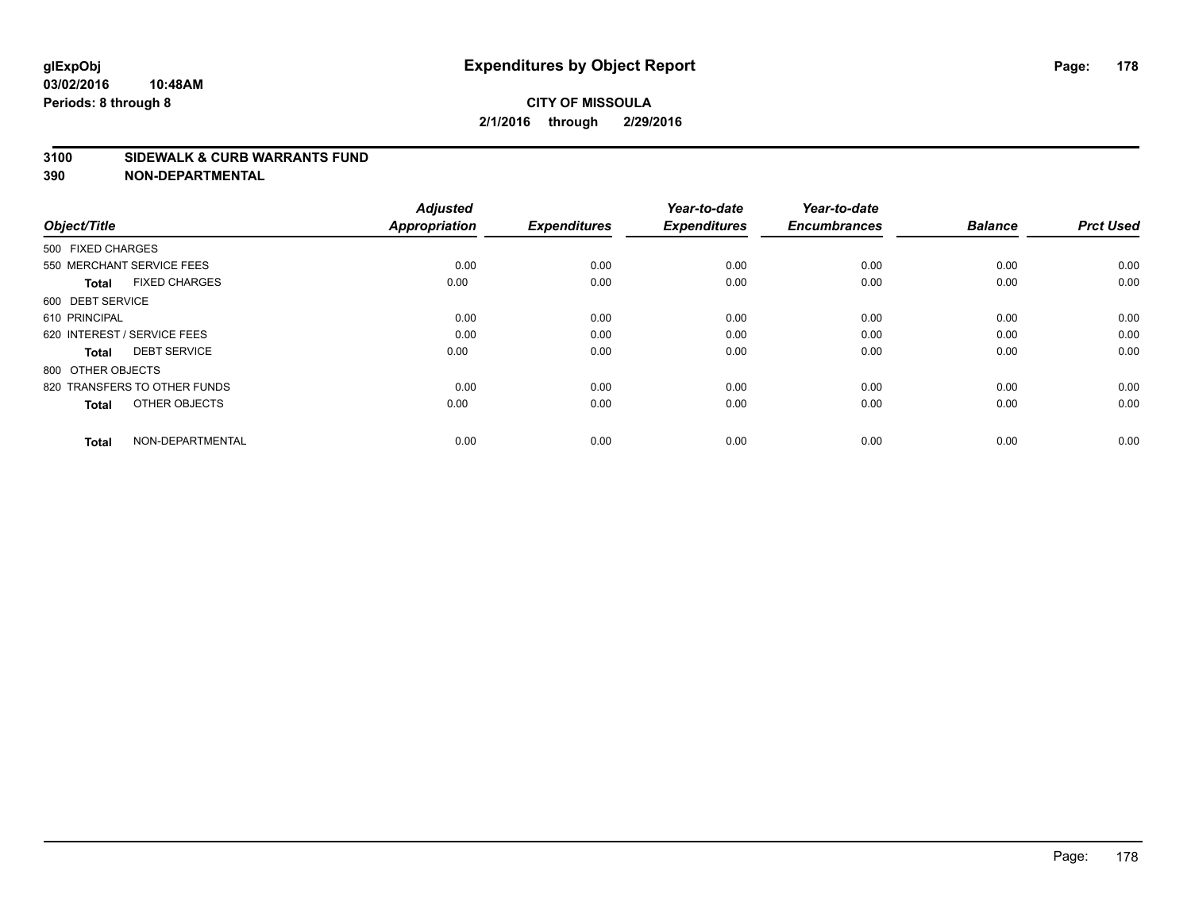#### **3100 SIDEWALK & CURB WARRANTS FUND**

| Object/Title                         | <b>Adjusted</b><br><b>Appropriation</b> | <b>Expenditures</b> | Year-to-date<br><b>Expenditures</b> | Year-to-date<br><b>Encumbrances</b> | <b>Balance</b> | <b>Prct Used</b> |
|--------------------------------------|-----------------------------------------|---------------------|-------------------------------------|-------------------------------------|----------------|------------------|
| 500 FIXED CHARGES                    |                                         |                     |                                     |                                     |                |                  |
| 550 MERCHANT SERVICE FEES            | 0.00                                    | 0.00                | 0.00                                | 0.00                                | 0.00           | 0.00             |
| <b>FIXED CHARGES</b><br><b>Total</b> | 0.00                                    | 0.00                | 0.00                                | 0.00                                | 0.00           | 0.00             |
| 600 DEBT SERVICE                     |                                         |                     |                                     |                                     |                |                  |
| 610 PRINCIPAL                        | 0.00                                    | 0.00                | 0.00                                | 0.00                                | 0.00           | 0.00             |
| 620 INTEREST / SERVICE FEES          | 0.00                                    | 0.00                | 0.00                                | 0.00                                | 0.00           | 0.00             |
| <b>DEBT SERVICE</b><br><b>Total</b>  | 0.00                                    | 0.00                | 0.00                                | 0.00                                | 0.00           | 0.00             |
| 800 OTHER OBJECTS                    |                                         |                     |                                     |                                     |                |                  |
| 820 TRANSFERS TO OTHER FUNDS         | 0.00                                    | 0.00                | 0.00                                | 0.00                                | 0.00           | 0.00             |
| OTHER OBJECTS<br><b>Total</b>        | 0.00                                    | 0.00                | 0.00                                | 0.00                                | 0.00           | 0.00             |
|                                      |                                         |                     |                                     |                                     |                |                  |
| NON-DEPARTMENTAL<br><b>Total</b>     | 0.00                                    | 0.00                | 0.00                                | 0.00                                | 0.00           | 0.00             |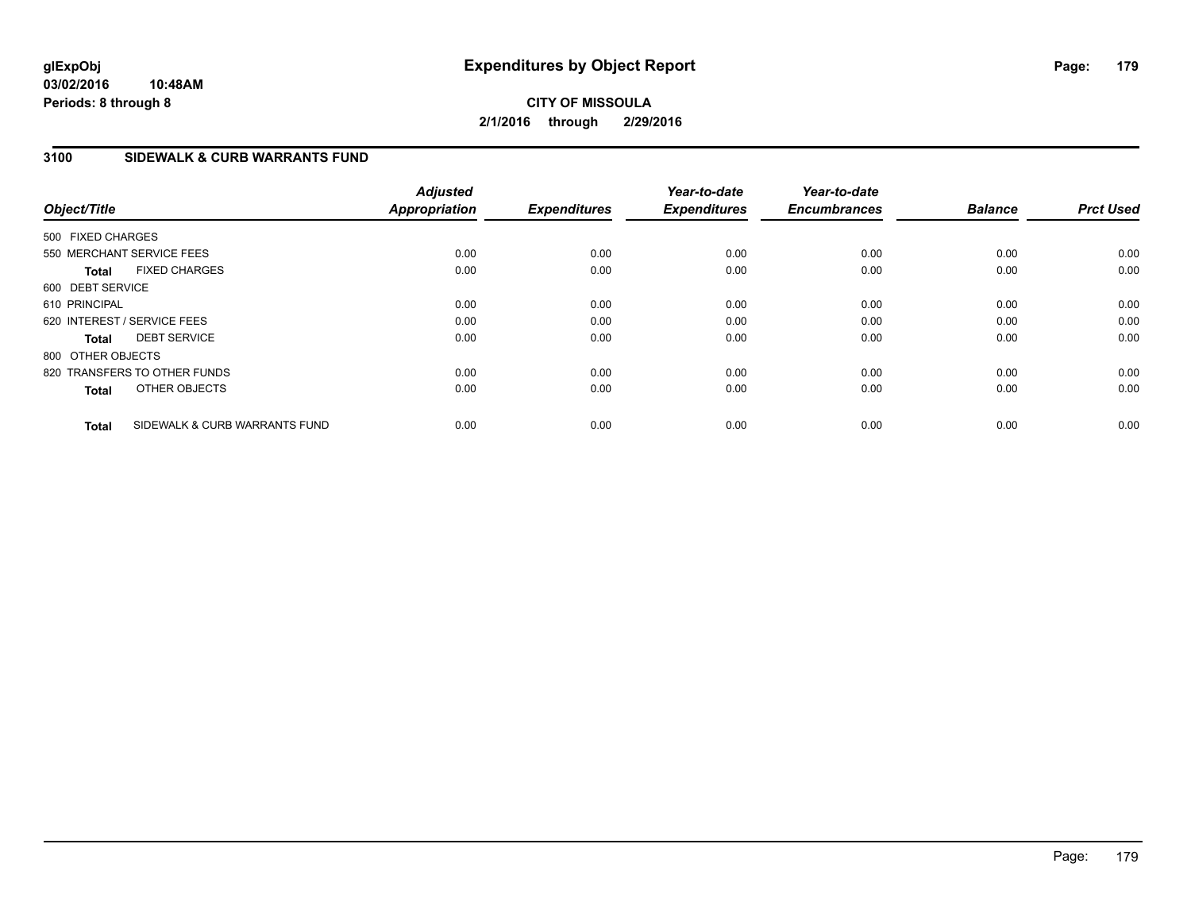### **3100 SIDEWALK & CURB WARRANTS FUND**

| Object/Title                |                               | <b>Adjusted</b><br><b>Appropriation</b> | <b>Expenditures</b> | Year-to-date<br><b>Expenditures</b> | Year-to-date<br><b>Encumbrances</b> | <b>Balance</b> | <b>Prct Used</b> |
|-----------------------------|-------------------------------|-----------------------------------------|---------------------|-------------------------------------|-------------------------------------|----------------|------------------|
| 500 FIXED CHARGES           |                               |                                         |                     |                                     |                                     |                |                  |
| 550 MERCHANT SERVICE FEES   |                               | 0.00                                    | 0.00                | 0.00                                | 0.00                                | 0.00           | 0.00             |
| <b>Total</b>                | <b>FIXED CHARGES</b>          | 0.00                                    | 0.00                | 0.00                                | 0.00                                | 0.00           | 0.00             |
| 600 DEBT SERVICE            |                               |                                         |                     |                                     |                                     |                |                  |
| 610 PRINCIPAL               |                               | 0.00                                    | 0.00                | 0.00                                | 0.00                                | 0.00           | 0.00             |
| 620 INTEREST / SERVICE FEES |                               | 0.00                                    | 0.00                | 0.00                                | 0.00                                | 0.00           | 0.00             |
| <b>Total</b>                | <b>DEBT SERVICE</b>           | 0.00                                    | 0.00                | 0.00                                | 0.00                                | 0.00           | 0.00             |
| 800 OTHER OBJECTS           |                               |                                         |                     |                                     |                                     |                |                  |
|                             | 820 TRANSFERS TO OTHER FUNDS  | 0.00                                    | 0.00                | 0.00                                | 0.00                                | 0.00           | 0.00             |
| <b>Total</b>                | OTHER OBJECTS                 | 0.00                                    | 0.00                | 0.00                                | 0.00                                | 0.00           | 0.00             |
| <b>Total</b>                | SIDEWALK & CURB WARRANTS FUND | 0.00                                    | 0.00                | 0.00                                | 0.00                                | 0.00           | 0.00             |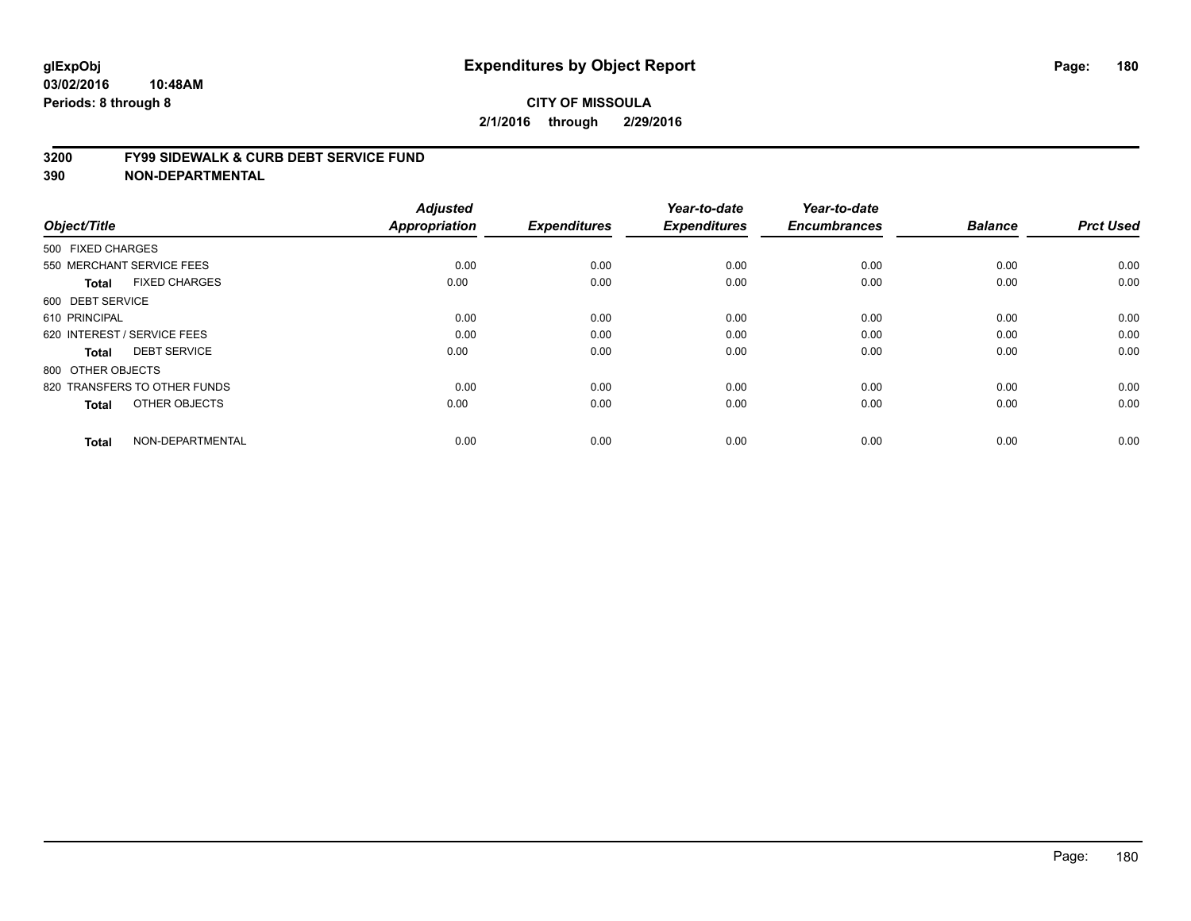### **CITY OF MISSOULA 2/1/2016 through 2/29/2016**

#### **3200 FY99 SIDEWALK & CURB DEBT SERVICE FUND**

| Object/Title                         | <b>Adjusted</b><br><b>Appropriation</b> | <b>Expenditures</b> | Year-to-date<br><b>Expenditures</b> | Year-to-date<br><b>Encumbrances</b> | <b>Balance</b> | <b>Prct Used</b> |
|--------------------------------------|-----------------------------------------|---------------------|-------------------------------------|-------------------------------------|----------------|------------------|
| 500 FIXED CHARGES                    |                                         |                     |                                     |                                     |                |                  |
| 550 MERCHANT SERVICE FEES            | 0.00                                    | 0.00                | 0.00                                | 0.00                                | 0.00           | 0.00             |
| <b>FIXED CHARGES</b><br><b>Total</b> | 0.00                                    | 0.00                | 0.00                                | 0.00                                | 0.00           | 0.00             |
| 600 DEBT SERVICE                     |                                         |                     |                                     |                                     |                |                  |
| 610 PRINCIPAL                        | 0.00                                    | 0.00                | 0.00                                | 0.00                                | 0.00           | 0.00             |
| 620 INTEREST / SERVICE FEES          | 0.00                                    | 0.00                | 0.00                                | 0.00                                | 0.00           | 0.00             |
| <b>DEBT SERVICE</b><br><b>Total</b>  | 0.00                                    | 0.00                | 0.00                                | 0.00                                | 0.00           | 0.00             |
| 800 OTHER OBJECTS                    |                                         |                     |                                     |                                     |                |                  |
| 820 TRANSFERS TO OTHER FUNDS         | 0.00                                    | 0.00                | 0.00                                | 0.00                                | 0.00           | 0.00             |
| OTHER OBJECTS<br><b>Total</b>        | 0.00                                    | 0.00                | 0.00                                | 0.00                                | 0.00           | 0.00             |
|                                      |                                         |                     |                                     |                                     |                |                  |
| NON-DEPARTMENTAL<br><b>Total</b>     | 0.00                                    | 0.00                | 0.00                                | 0.00                                | 0.00           | 0.00             |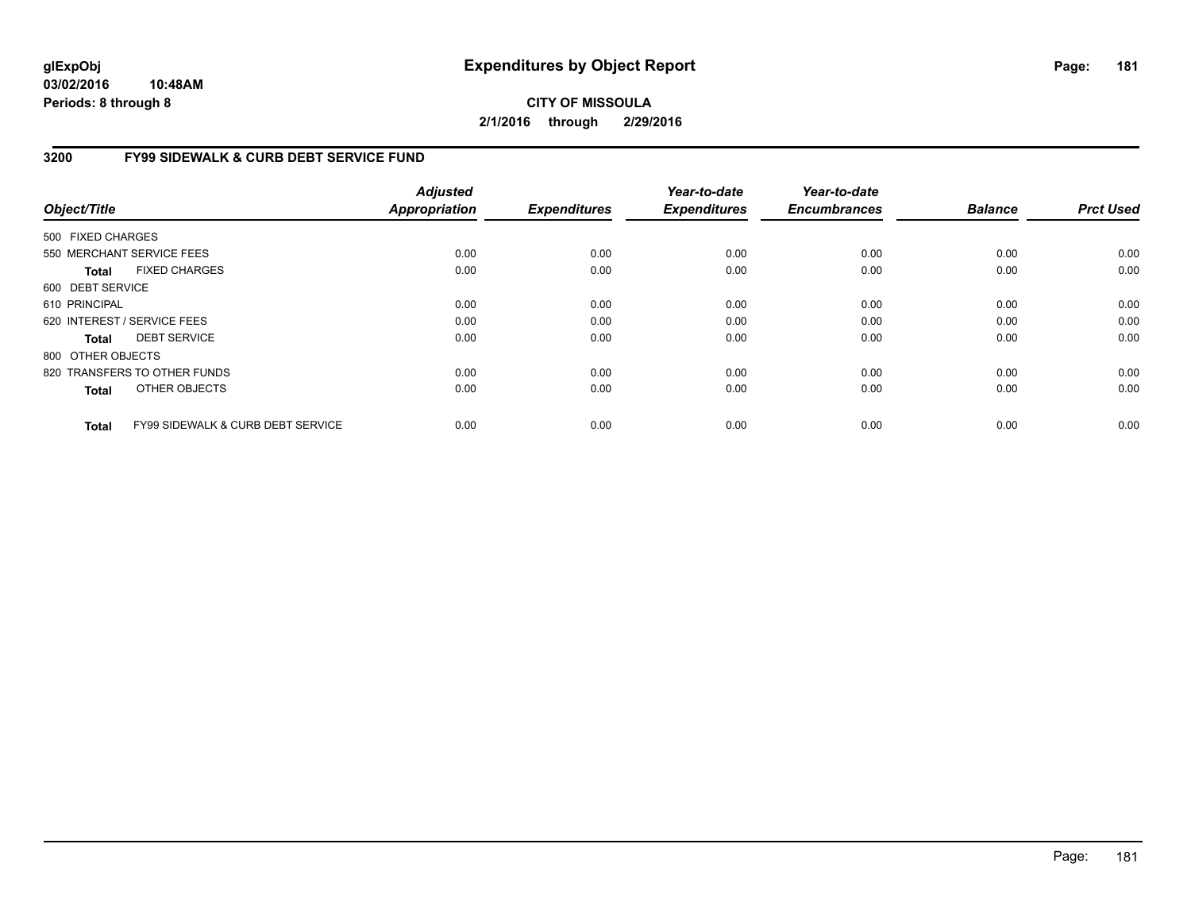**CITY OF MISSOULA 2/1/2016 through 2/29/2016**

### **3200 FY99 SIDEWALK & CURB DEBT SERVICE FUND**

| Object/Title      |                                              | <b>Adjusted</b><br><b>Appropriation</b> | <b>Expenditures</b> | Year-to-date<br><b>Expenditures</b> | Year-to-date<br><b>Encumbrances</b> | <b>Balance</b> | <b>Prct Used</b> |
|-------------------|----------------------------------------------|-----------------------------------------|---------------------|-------------------------------------|-------------------------------------|----------------|------------------|
| 500 FIXED CHARGES |                                              |                                         |                     |                                     |                                     |                |                  |
|                   | 550 MERCHANT SERVICE FEES                    | 0.00                                    | 0.00                | 0.00                                | 0.00                                | 0.00           | 0.00             |
|                   |                                              |                                         |                     |                                     |                                     |                |                  |
| Total             | <b>FIXED CHARGES</b>                         | 0.00                                    | 0.00                | 0.00                                | 0.00                                | 0.00           | 0.00             |
| 600 DEBT SERVICE  |                                              |                                         |                     |                                     |                                     |                |                  |
| 610 PRINCIPAL     |                                              | 0.00                                    | 0.00                | 0.00                                | 0.00                                | 0.00           | 0.00             |
|                   | 620 INTEREST / SERVICE FEES                  | 0.00                                    | 0.00                | 0.00                                | 0.00                                | 0.00           | 0.00             |
| Total             | <b>DEBT SERVICE</b>                          | 0.00                                    | 0.00                | 0.00                                | 0.00                                | 0.00           | 0.00             |
| 800 OTHER OBJECTS |                                              |                                         |                     |                                     |                                     |                |                  |
|                   | 820 TRANSFERS TO OTHER FUNDS                 | 0.00                                    | 0.00                | 0.00                                | 0.00                                | 0.00           | 0.00             |
| <b>Total</b>      | OTHER OBJECTS                                | 0.00                                    | 0.00                | 0.00                                | 0.00                                | 0.00           | 0.00             |
| <b>Total</b>      | <b>FY99 SIDEWALK &amp; CURB DEBT SERVICE</b> | 0.00                                    | 0.00                | 0.00                                | 0.00                                | 0.00           | 0.00             |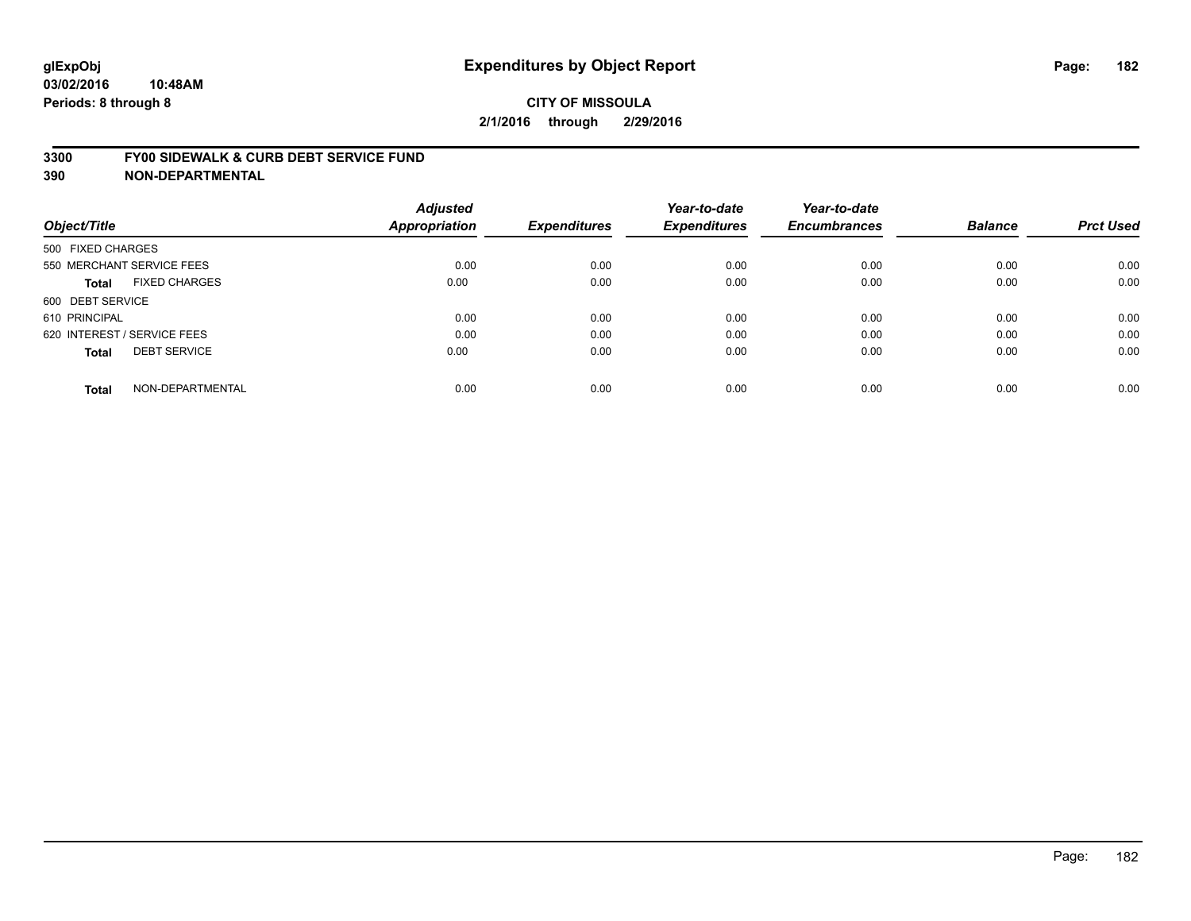#### **3300 FY00 SIDEWALK & CURB DEBT SERVICE FUND**

| Object/Title                         | <b>Adjusted</b><br><b>Appropriation</b> | <b>Expenditures</b> | Year-to-date<br><b>Expenditures</b> | Year-to-date<br><b>Encumbrances</b> | <b>Balance</b> | <b>Prct Used</b> |
|--------------------------------------|-----------------------------------------|---------------------|-------------------------------------|-------------------------------------|----------------|------------------|
| 500 FIXED CHARGES                    |                                         |                     |                                     |                                     |                |                  |
| 550 MERCHANT SERVICE FEES            | 0.00                                    | 0.00                | 0.00                                | 0.00                                | 0.00           | 0.00             |
| <b>FIXED CHARGES</b><br><b>Total</b> | 0.00                                    | 0.00                | 0.00                                | 0.00                                | 0.00           | 0.00             |
| 600 DEBT SERVICE                     |                                         |                     |                                     |                                     |                |                  |
| 610 PRINCIPAL                        | 0.00                                    | 0.00                | 0.00                                | 0.00                                | 0.00           | 0.00             |
| 620 INTEREST / SERVICE FEES          | 0.00                                    | 0.00                | 0.00                                | 0.00                                | 0.00           | 0.00             |
| <b>DEBT SERVICE</b><br><b>Total</b>  | 0.00                                    | 0.00                | 0.00                                | 0.00                                | 0.00           | 0.00             |
| NON-DEPARTMENTAL<br><b>Total</b>     | 0.00                                    | 0.00                | 0.00                                | 0.00                                | 0.00           | 0.00             |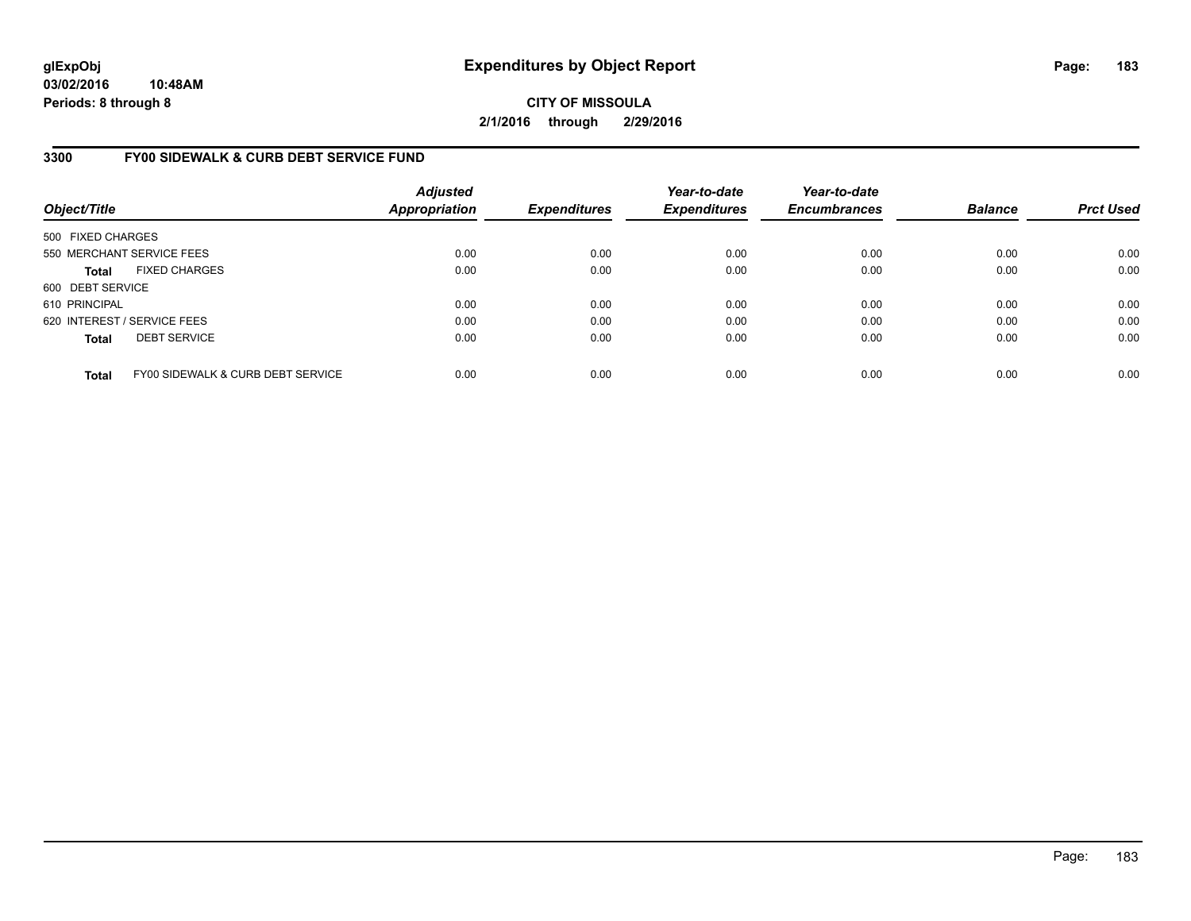**CITY OF MISSOULA 2/1/2016 through 2/29/2016**

### **3300 FY00 SIDEWALK & CURB DEBT SERVICE FUND**

| Object/Title                |                                   | <b>Adjusted</b><br><b>Appropriation</b> | <b>Expenditures</b> | Year-to-date<br><b>Expenditures</b> | Year-to-date<br><b>Encumbrances</b> | <b>Balance</b> | <b>Prct Used</b> |
|-----------------------------|-----------------------------------|-----------------------------------------|---------------------|-------------------------------------|-------------------------------------|----------------|------------------|
| 500 FIXED CHARGES           |                                   |                                         |                     |                                     |                                     |                |                  |
|                             | 550 MERCHANT SERVICE FEES         | 0.00                                    | 0.00                | 0.00                                | 0.00                                | 0.00           | 0.00             |
| <b>Total</b>                | <b>FIXED CHARGES</b>              | 0.00                                    | 0.00                | 0.00                                | 0.00                                | 0.00           | 0.00             |
| 600 DEBT SERVICE            |                                   |                                         |                     |                                     |                                     |                |                  |
| 610 PRINCIPAL               |                                   | 0.00                                    | 0.00                | 0.00                                | 0.00                                | 0.00           | 0.00             |
| 620 INTEREST / SERVICE FEES |                                   | 0.00                                    | 0.00                | 0.00                                | 0.00                                | 0.00           | 0.00             |
| <b>Total</b>                | <b>DEBT SERVICE</b>               | 0.00                                    | 0.00                | 0.00                                | 0.00                                | 0.00           | 0.00             |
| <b>Total</b>                | FY00 SIDEWALK & CURB DEBT SERVICE | 0.00                                    | 0.00                | 0.00                                | 0.00                                | 0.00           | 0.00             |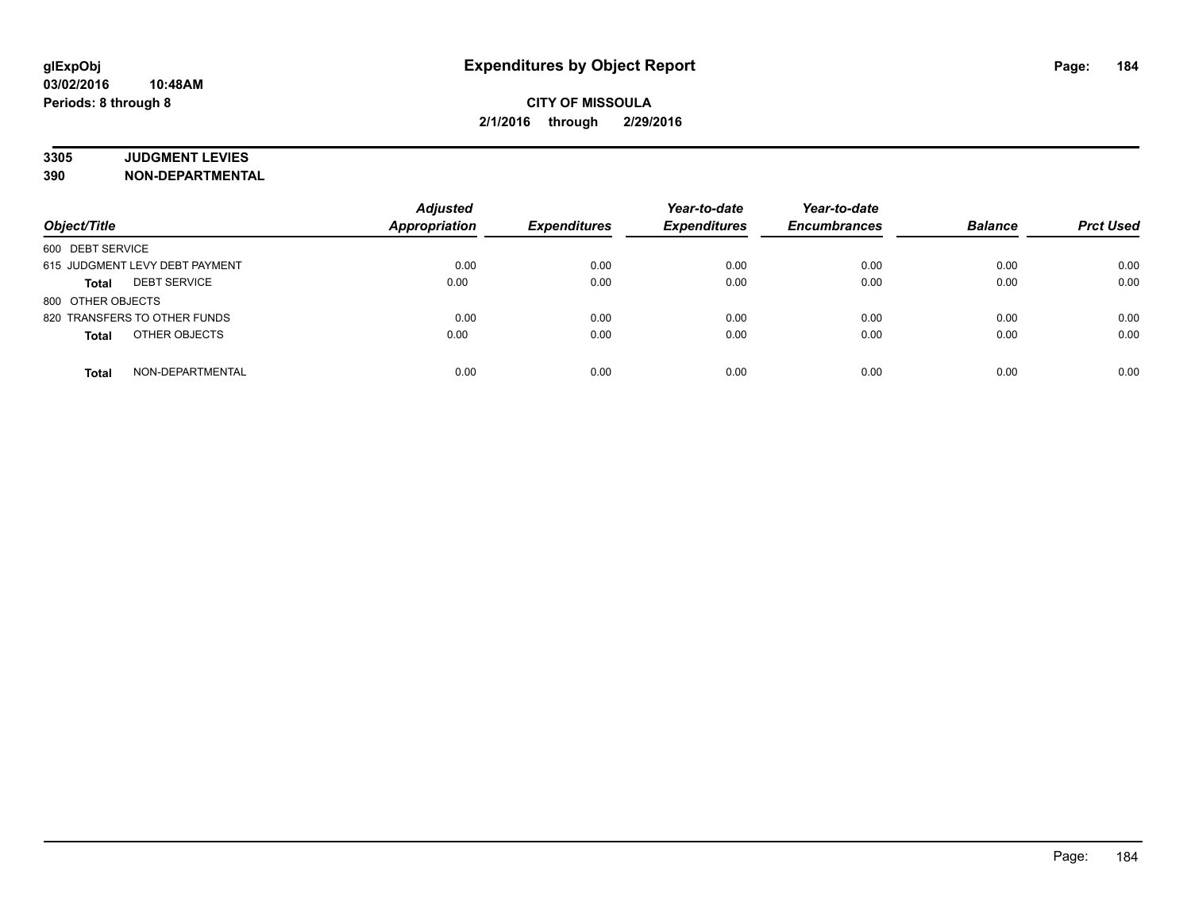# **3305 JUDGMENT LEVIES**

| Object/Title                        | <b>Adjusted</b><br><b>Appropriation</b> | <b>Expenditures</b> | Year-to-date<br><b>Expenditures</b> | Year-to-date<br><b>Encumbrances</b> | <b>Balance</b> | <b>Prct Used</b> |
|-------------------------------------|-----------------------------------------|---------------------|-------------------------------------|-------------------------------------|----------------|------------------|
| 600 DEBT SERVICE                    |                                         |                     |                                     |                                     |                |                  |
| 615 JUDGMENT LEVY DEBT PAYMENT      | 0.00                                    | 0.00                | 0.00                                | 0.00                                | 0.00           | 0.00             |
| <b>DEBT SERVICE</b><br><b>Total</b> | 0.00                                    | 0.00                | 0.00                                | 0.00                                | 0.00           | 0.00             |
| 800 OTHER OBJECTS                   |                                         |                     |                                     |                                     |                |                  |
| 820 TRANSFERS TO OTHER FUNDS        | 0.00                                    | 0.00                | 0.00                                | 0.00                                | 0.00           | 0.00             |
| OTHER OBJECTS<br><b>Total</b>       | 0.00                                    | 0.00                | 0.00                                | 0.00                                | 0.00           | 0.00             |
| NON-DEPARTMENTAL<br><b>Total</b>    | 0.00                                    | 0.00                | 0.00                                | 0.00                                | 0.00           | 0.00             |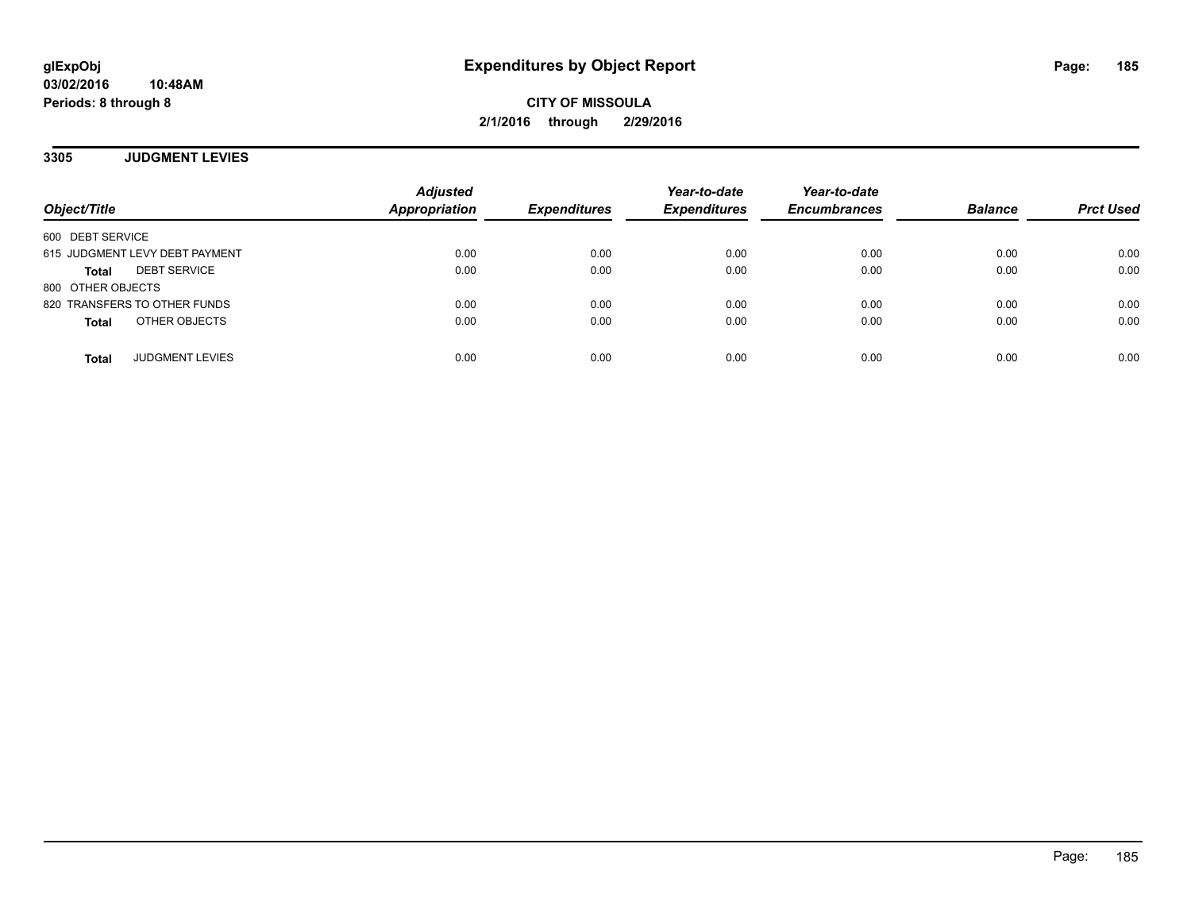**3305 JUDGMENT LEVIES**

| Object/Title                           | <b>Adjusted</b><br><b>Appropriation</b> | <b>Expenditures</b> | Year-to-date<br><b>Expenditures</b> | Year-to-date<br><b>Encumbrances</b> | <b>Balance</b> | <b>Prct Used</b> |
|----------------------------------------|-----------------------------------------|---------------------|-------------------------------------|-------------------------------------|----------------|------------------|
| 600 DEBT SERVICE                       |                                         |                     |                                     |                                     |                |                  |
| 615 JUDGMENT LEVY DEBT PAYMENT         | 0.00                                    | 0.00                | 0.00                                | 0.00                                | 0.00           | 0.00             |
| <b>DEBT SERVICE</b><br><b>Total</b>    | 0.00                                    | 0.00                | 0.00                                | 0.00                                | 0.00           | 0.00             |
| 800 OTHER OBJECTS                      |                                         |                     |                                     |                                     |                |                  |
| 820 TRANSFERS TO OTHER FUNDS           | 0.00                                    | 0.00                | 0.00                                | 0.00                                | 0.00           | 0.00             |
| OTHER OBJECTS<br><b>Total</b>          | 0.00                                    | 0.00                | 0.00                                | 0.00                                | 0.00           | 0.00             |
| <b>JUDGMENT LEVIES</b><br><b>Total</b> | 0.00                                    | 0.00                | 0.00                                | 0.00                                | 0.00           | 0.00             |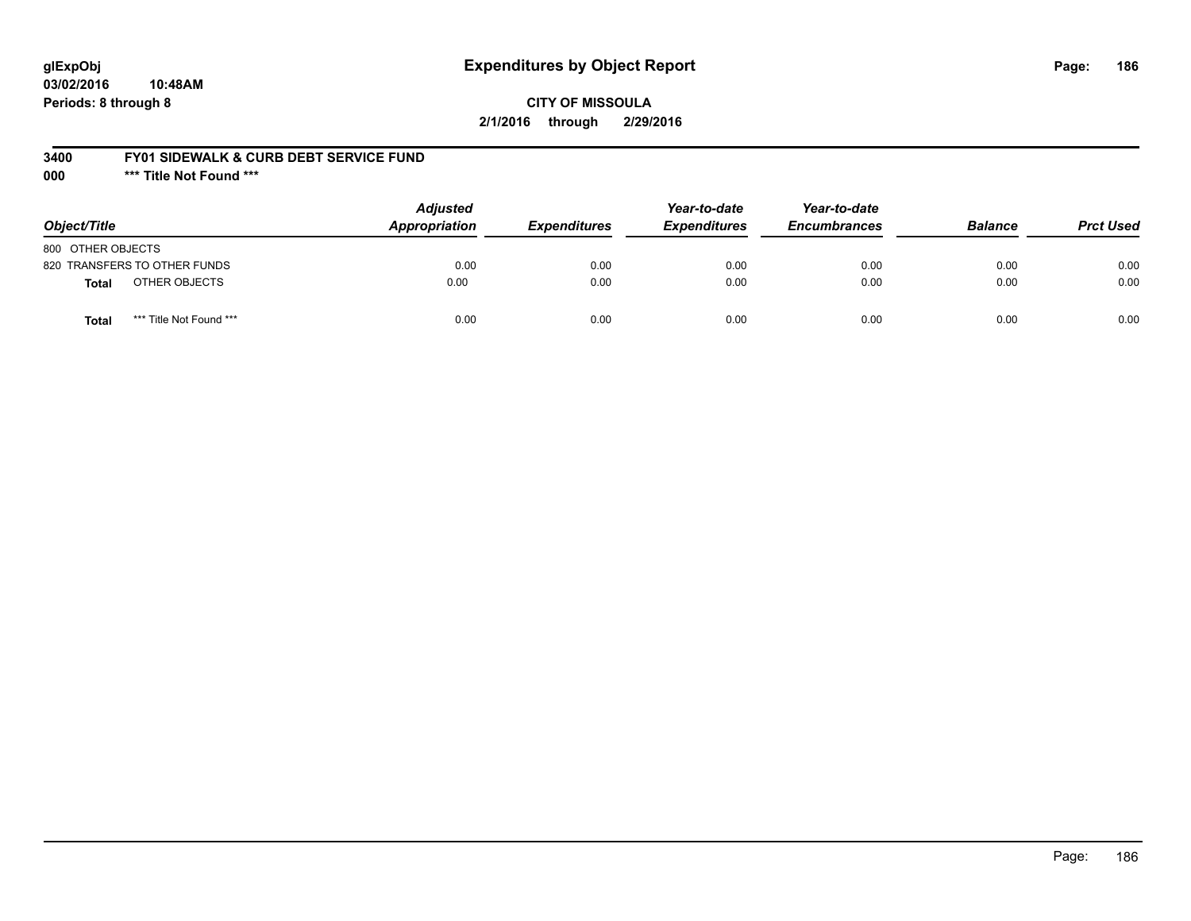## **glExpObj Expenditures by Object Report Page: 186**

### **CITY OF MISSOULA 2/1/2016 through 2/29/2016**

#### **3400 FY01 SIDEWALK & CURB DEBT SERVICE FUND**

**000 \*\*\* Title Not Found \*\*\***

| Object/Title                            | <b>Adjusted</b><br><b>Appropriation</b> | <b>Expenditures</b> | Year-to-date<br><b>Expenditures</b> | Year-to-date<br><b>Encumbrances</b> | <b>Balance</b> | <b>Prct Used</b> |
|-----------------------------------------|-----------------------------------------|---------------------|-------------------------------------|-------------------------------------|----------------|------------------|
| 800 OTHER OBJECTS                       |                                         |                     |                                     |                                     |                |                  |
| 820 TRANSFERS TO OTHER FUNDS            | 0.00                                    | 0.00                | 0.00                                | 0.00                                | 0.00           | 0.00             |
| OTHER OBJECTS<br><b>Total</b>           | 0.00                                    | 0.00                | 0.00                                | 0.00                                | 0.00           | 0.00             |
| *** Title Not Found ***<br><b>Total</b> | 0.00                                    | 0.00                | 0.00                                | 0.00                                | 0.00           | 0.00             |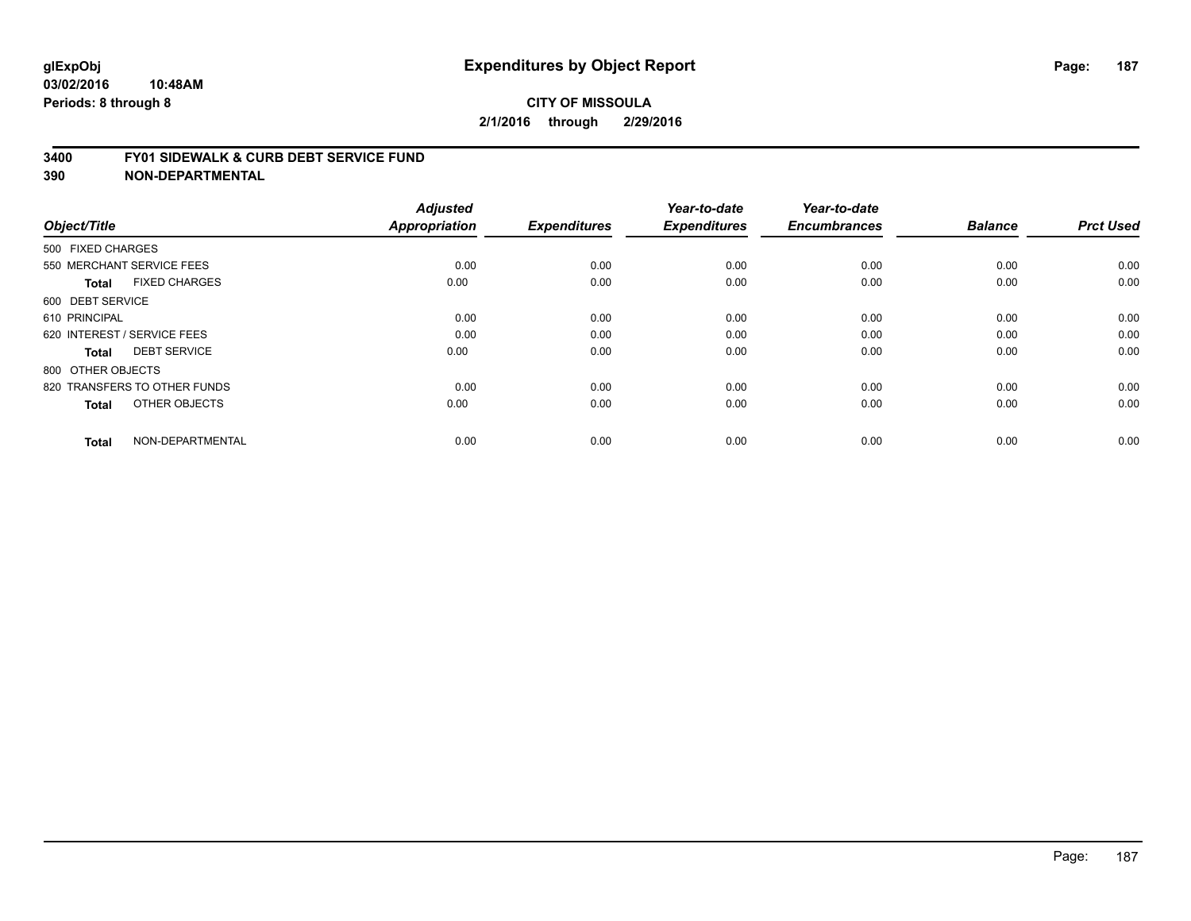### **CITY OF MISSOULA 2/1/2016 through 2/29/2016**

#### **3400 FY01 SIDEWALK & CURB DEBT SERVICE FUND**

| Object/Title                         | <b>Adjusted</b><br>Appropriation | <b>Expenditures</b> | Year-to-date<br><b>Expenditures</b> | Year-to-date<br><b>Encumbrances</b> | <b>Balance</b> | <b>Prct Used</b> |
|--------------------------------------|----------------------------------|---------------------|-------------------------------------|-------------------------------------|----------------|------------------|
| 500 FIXED CHARGES                    |                                  |                     |                                     |                                     |                |                  |
| 550 MERCHANT SERVICE FEES            | 0.00                             | 0.00                | 0.00                                | 0.00                                | 0.00           | 0.00             |
| <b>FIXED CHARGES</b><br><b>Total</b> | 0.00                             | 0.00                | 0.00                                | 0.00                                | 0.00           | 0.00             |
| 600 DEBT SERVICE                     |                                  |                     |                                     |                                     |                |                  |
| 610 PRINCIPAL                        | 0.00                             | 0.00                | 0.00                                | 0.00                                | 0.00           | 0.00             |
| 620 INTEREST / SERVICE FEES          | 0.00                             | 0.00                | 0.00                                | 0.00                                | 0.00           | 0.00             |
| <b>DEBT SERVICE</b><br><b>Total</b>  | 0.00                             | 0.00                | 0.00                                | 0.00                                | 0.00           | 0.00             |
| 800 OTHER OBJECTS                    |                                  |                     |                                     |                                     |                |                  |
| 820 TRANSFERS TO OTHER FUNDS         | 0.00                             | 0.00                | 0.00                                | 0.00                                | 0.00           | 0.00             |
| OTHER OBJECTS<br><b>Total</b>        | 0.00                             | 0.00                | 0.00                                | 0.00                                | 0.00           | 0.00             |
|                                      |                                  |                     |                                     |                                     |                |                  |
| NON-DEPARTMENTAL<br><b>Total</b>     | 0.00                             | 0.00                | 0.00                                | 0.00                                | 0.00           | 0.00             |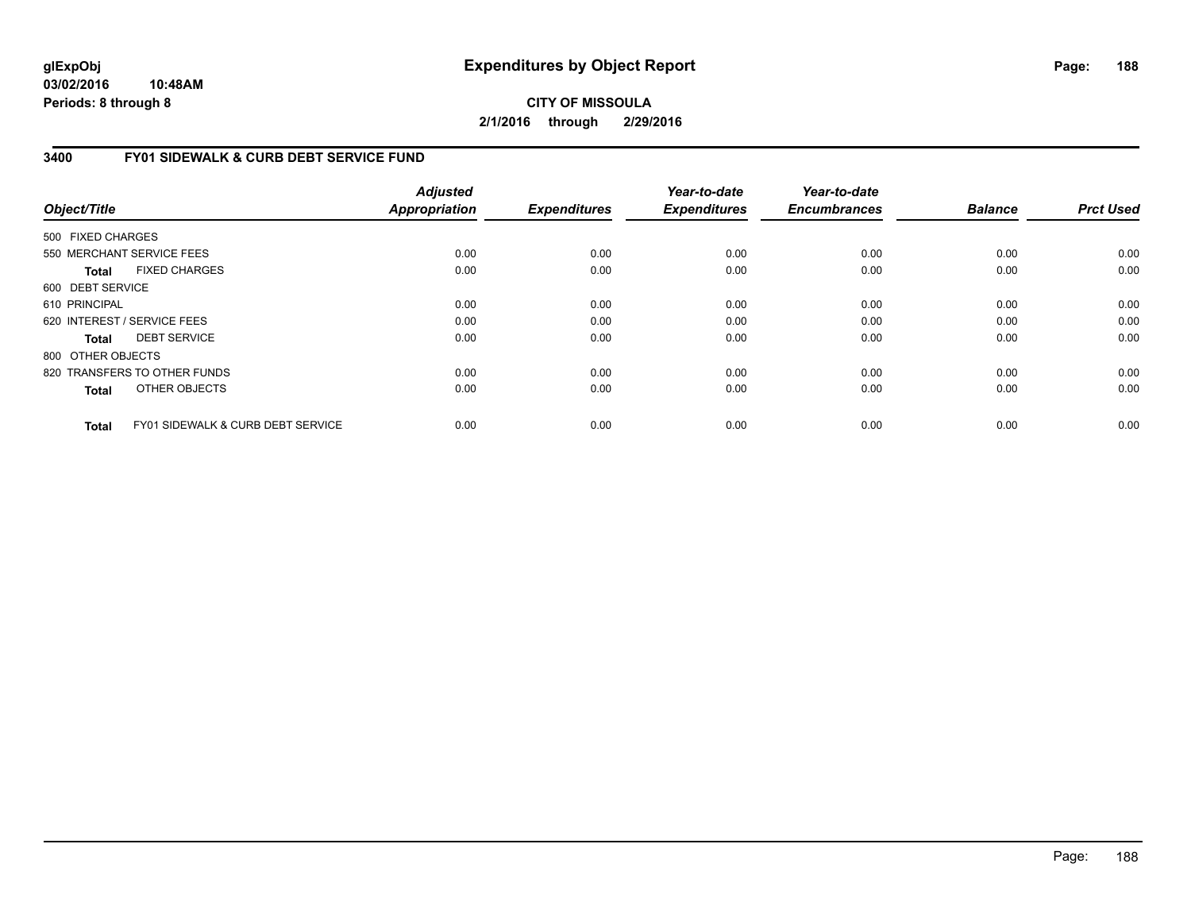**CITY OF MISSOULA 2/1/2016 through 2/29/2016**

### **3400 FY01 SIDEWALK & CURB DEBT SERVICE FUND**

| Object/Title      |                                   | <b>Adjusted</b><br>Appropriation | <b>Expenditures</b> | Year-to-date<br><b>Expenditures</b> | Year-to-date<br><b>Encumbrances</b> | <b>Balance</b> | <b>Prct Used</b> |
|-------------------|-----------------------------------|----------------------------------|---------------------|-------------------------------------|-------------------------------------|----------------|------------------|
| 500 FIXED CHARGES |                                   |                                  |                     |                                     |                                     |                |                  |
|                   | 550 MERCHANT SERVICE FEES         | 0.00                             | 0.00                | 0.00                                | 0.00                                | 0.00           | 0.00             |
| Total             | <b>FIXED CHARGES</b>              | 0.00                             | 0.00                | 0.00                                | 0.00                                | 0.00           | 0.00             |
| 600 DEBT SERVICE  |                                   |                                  |                     |                                     |                                     |                |                  |
| 610 PRINCIPAL     |                                   | 0.00                             | 0.00                | 0.00                                | 0.00                                | 0.00           | 0.00             |
|                   | 620 INTEREST / SERVICE FEES       | 0.00                             | 0.00                | 0.00                                | 0.00                                | 0.00           | 0.00             |
| Total             | <b>DEBT SERVICE</b>               | 0.00                             | 0.00                | 0.00                                | 0.00                                | 0.00           | 0.00             |
| 800 OTHER OBJECTS |                                   |                                  |                     |                                     |                                     |                |                  |
|                   | 820 TRANSFERS TO OTHER FUNDS      | 0.00                             | 0.00                | 0.00                                | 0.00                                | 0.00           | 0.00             |
| <b>Total</b>      | OTHER OBJECTS                     | 0.00                             | 0.00                | 0.00                                | 0.00                                | 0.00           | 0.00             |
| <b>Total</b>      | FY01 SIDEWALK & CURB DEBT SERVICE | 0.00                             | 0.00                | 0.00                                | 0.00                                | 0.00           | 0.00             |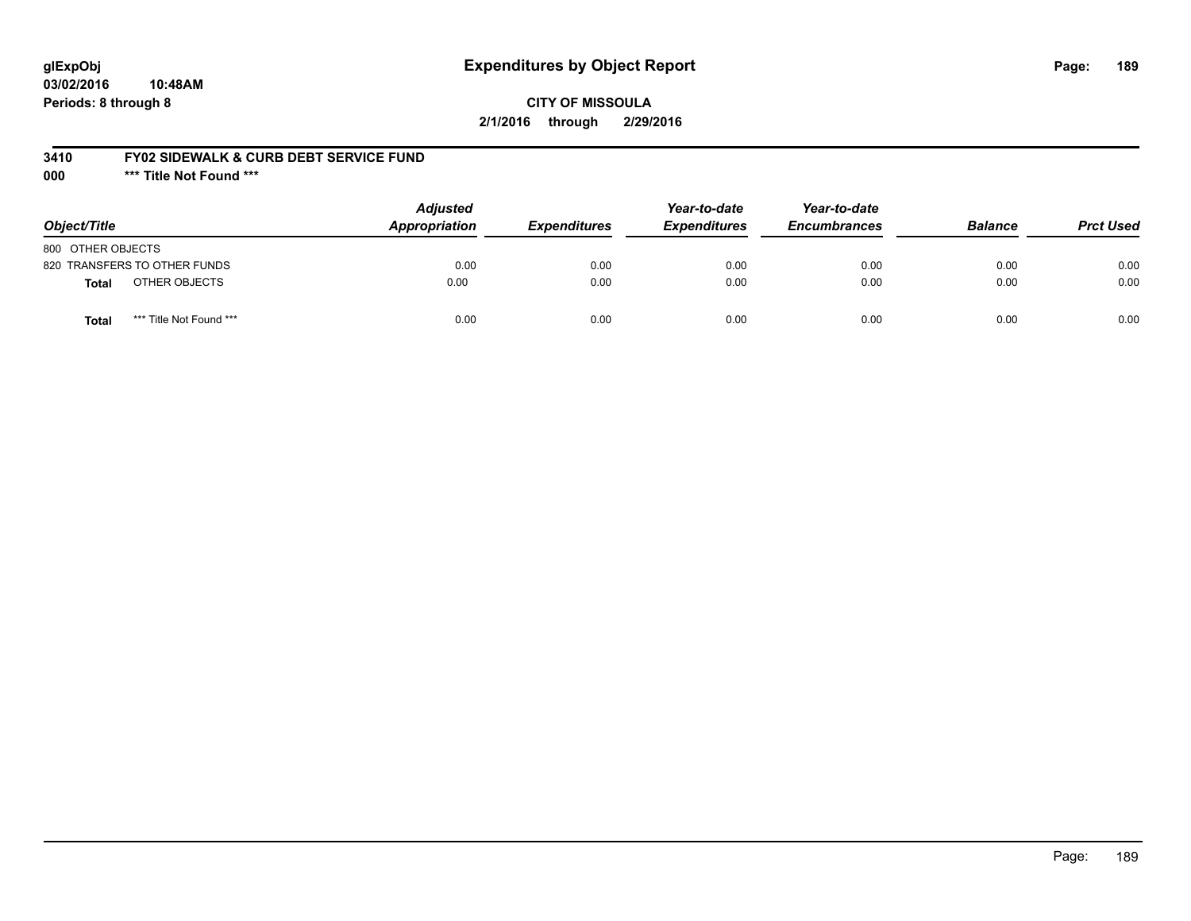## **glExpObj Expenditures by Object Report Page: 189**

### **CITY OF MISSOULA 2/1/2016 through 2/29/2016**

#### **3410 FY02 SIDEWALK & CURB DEBT SERVICE FUND**

**000 \*\*\* Title Not Found \*\*\***

| Object/Title                            | <b>Adjusted</b><br>Appropriation | <b>Expenditures</b> | Year-to-date<br><b>Expenditures</b> | Year-to-date<br><b>Encumbrances</b> | <b>Balance</b> | <b>Prct Used</b> |
|-----------------------------------------|----------------------------------|---------------------|-------------------------------------|-------------------------------------|----------------|------------------|
| 800 OTHER OBJECTS                       |                                  |                     |                                     |                                     |                |                  |
| 820 TRANSFERS TO OTHER FUNDS            | 0.00                             | 0.00                | 0.00                                | 0.00                                | 0.00           | 0.00             |
| OTHER OBJECTS<br><b>Total</b>           | 0.00                             | 0.00                | 0.00                                | 0.00                                | 0.00           | 0.00             |
| *** Title Not Found ***<br><b>Total</b> | 0.00                             | 0.00                | 0.00                                | 0.00                                | 0.00           | 0.00             |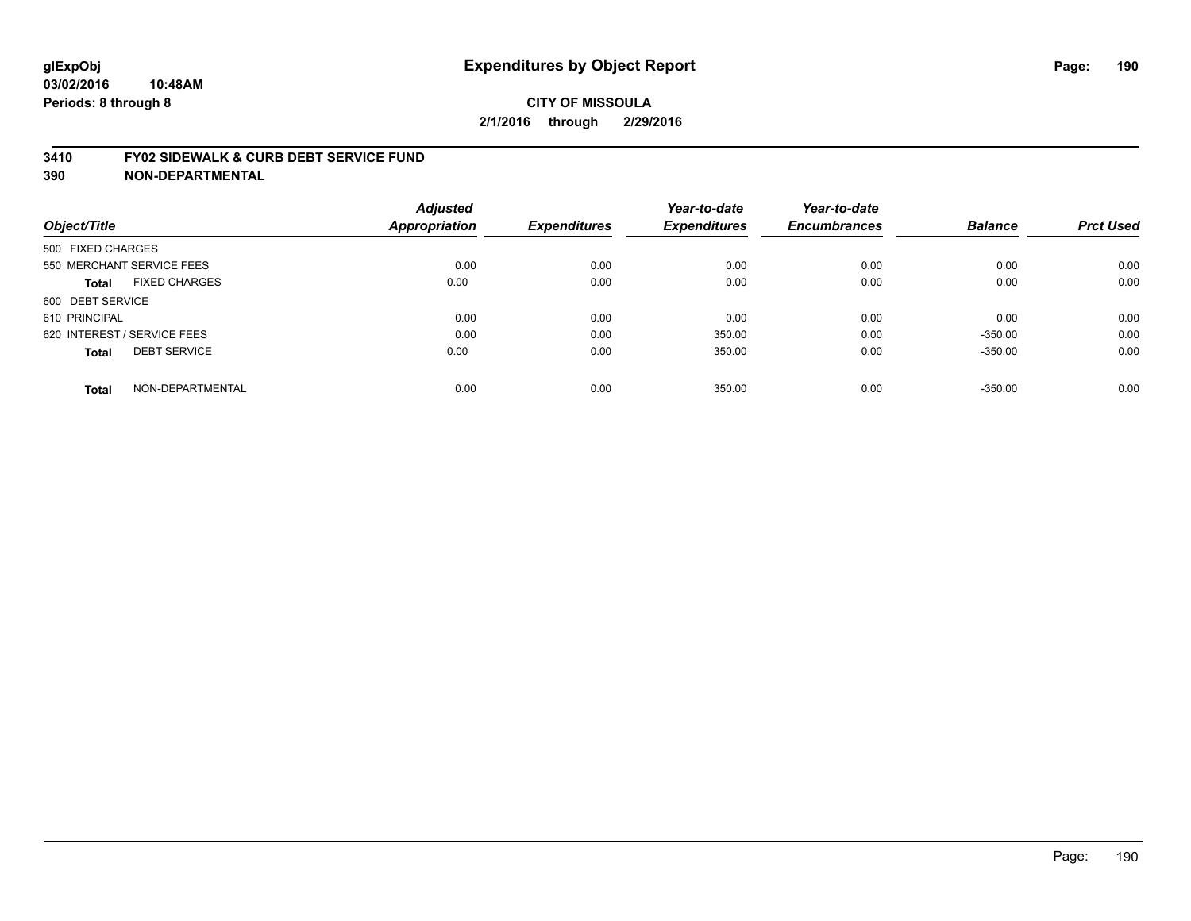#### **3410 FY02 SIDEWALK & CURB DEBT SERVICE FUND**

| Object/Title                         | <b>Adjusted</b><br><b>Appropriation</b> | <b>Expenditures</b> | Year-to-date<br><b>Expenditures</b> | Year-to-date<br><b>Encumbrances</b> | <b>Balance</b> | <b>Prct Used</b> |
|--------------------------------------|-----------------------------------------|---------------------|-------------------------------------|-------------------------------------|----------------|------------------|
| 500 FIXED CHARGES                    |                                         |                     |                                     |                                     |                |                  |
| 550 MERCHANT SERVICE FEES            | 0.00                                    | 0.00                | 0.00                                | 0.00                                | 0.00           | 0.00             |
| <b>FIXED CHARGES</b><br><b>Total</b> | 0.00                                    | 0.00                | 0.00                                | 0.00                                | 0.00           | 0.00             |
| 600 DEBT SERVICE                     |                                         |                     |                                     |                                     |                |                  |
| 610 PRINCIPAL                        | 0.00                                    | 0.00                | 0.00                                | 0.00                                | 0.00           | 0.00             |
| 620 INTEREST / SERVICE FEES          | 0.00                                    | 0.00                | 350.00                              | 0.00                                | $-350.00$      | 0.00             |
| <b>DEBT SERVICE</b><br><b>Total</b>  | 0.00                                    | 0.00                | 350.00                              | 0.00                                | $-350.00$      | 0.00             |
| NON-DEPARTMENTAL<br><b>Total</b>     | 0.00                                    | 0.00                | 350.00                              | 0.00                                | $-350.00$      | 0.00             |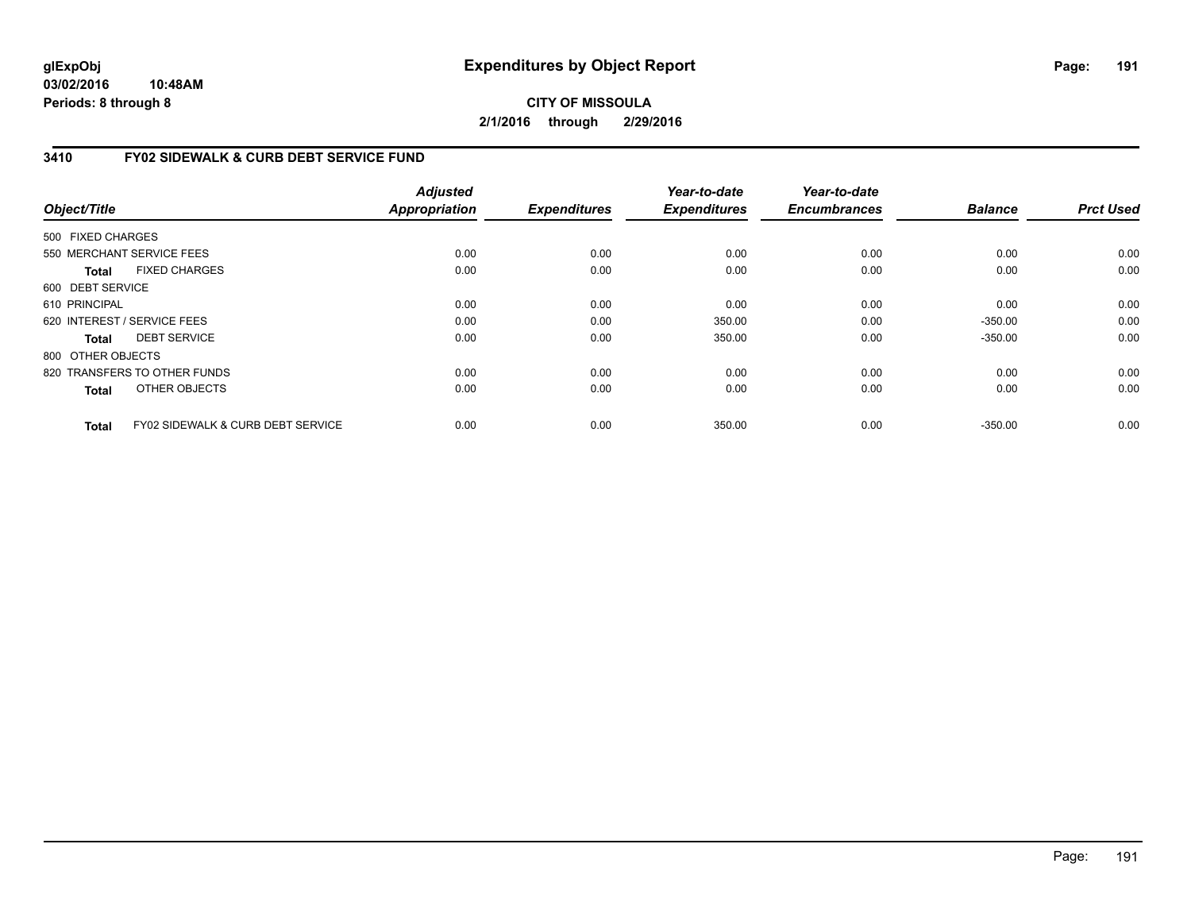## **CITY OF MISSOULA 2/1/2016 through 2/29/2016**

## **3410 FY02 SIDEWALK & CURB DEBT SERVICE FUND**

|                   |                                              | <b>Adjusted</b>      |                     | Year-to-date        | Year-to-date        |                |                  |
|-------------------|----------------------------------------------|----------------------|---------------------|---------------------|---------------------|----------------|------------------|
| Object/Title      |                                              | <b>Appropriation</b> | <b>Expenditures</b> | <b>Expenditures</b> | <b>Encumbrances</b> | <b>Balance</b> | <b>Prct Used</b> |
| 500 FIXED CHARGES |                                              |                      |                     |                     |                     |                |                  |
|                   | 550 MERCHANT SERVICE FEES                    | 0.00                 | 0.00                | 0.00                | 0.00                | 0.00           | 0.00             |
| <b>Total</b>      | <b>FIXED CHARGES</b>                         | 0.00                 | 0.00                | 0.00                | 0.00                | 0.00           | 0.00             |
| 600 DEBT SERVICE  |                                              |                      |                     |                     |                     |                |                  |
| 610 PRINCIPAL     |                                              | 0.00                 | 0.00                | 0.00                | 0.00                | 0.00           | 0.00             |
|                   | 620 INTEREST / SERVICE FEES                  | 0.00                 | 0.00                | 350.00              | 0.00                | $-350.00$      | 0.00             |
| <b>Total</b>      | <b>DEBT SERVICE</b>                          | 0.00                 | 0.00                | 350.00              | 0.00                | $-350.00$      | 0.00             |
| 800 OTHER OBJECTS |                                              |                      |                     |                     |                     |                |                  |
|                   | 820 TRANSFERS TO OTHER FUNDS                 | 0.00                 | 0.00                | 0.00                | 0.00                | 0.00           | 0.00             |
| <b>Total</b>      | OTHER OBJECTS                                | 0.00                 | 0.00                | 0.00                | 0.00                | 0.00           | 0.00             |
| Total             | <b>FY02 SIDEWALK &amp; CURB DEBT SERVICE</b> | 0.00                 | 0.00                | 350.00              | 0.00                | $-350.00$      | 0.00             |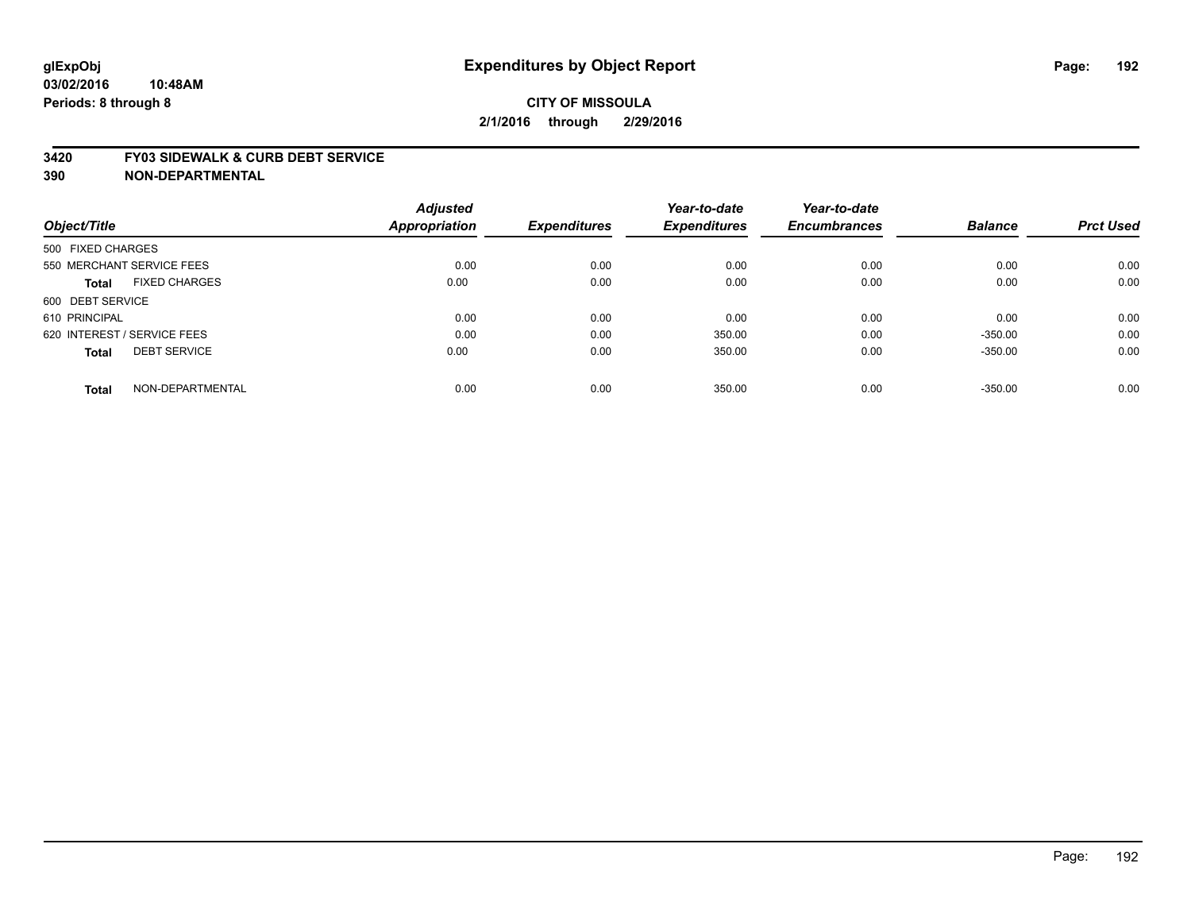#### **3420 FY03 SIDEWALK & CURB DEBT SERVICE**

|                                      | <b>Adjusted</b>      |                     | Year-to-date        | Year-to-date        |                |                  |
|--------------------------------------|----------------------|---------------------|---------------------|---------------------|----------------|------------------|
| Object/Title                         | <b>Appropriation</b> | <b>Expenditures</b> | <b>Expenditures</b> | <b>Encumbrances</b> | <b>Balance</b> | <b>Prct Used</b> |
| 500 FIXED CHARGES                    |                      |                     |                     |                     |                |                  |
| 550 MERCHANT SERVICE FEES            | 0.00                 | 0.00                | 0.00                | 0.00                | 0.00           | 0.00             |
| <b>FIXED CHARGES</b><br><b>Total</b> | 0.00                 | 0.00                | 0.00                | 0.00                | 0.00           | 0.00             |
| 600 DEBT SERVICE                     |                      |                     |                     |                     |                |                  |
| 610 PRINCIPAL                        | 0.00                 | 0.00                | 0.00                | 0.00                | 0.00           | 0.00             |
| 620 INTEREST / SERVICE FEES          | 0.00                 | 0.00                | 350.00              | 0.00                | $-350.00$      | 0.00             |
| <b>DEBT SERVICE</b><br><b>Total</b>  | 0.00                 | 0.00                | 350.00              | 0.00                | $-350.00$      | 0.00             |
| NON-DEPARTMENTAL<br><b>Total</b>     | 0.00                 | 0.00                | 350.00              | 0.00                | $-350.00$      | 0.00             |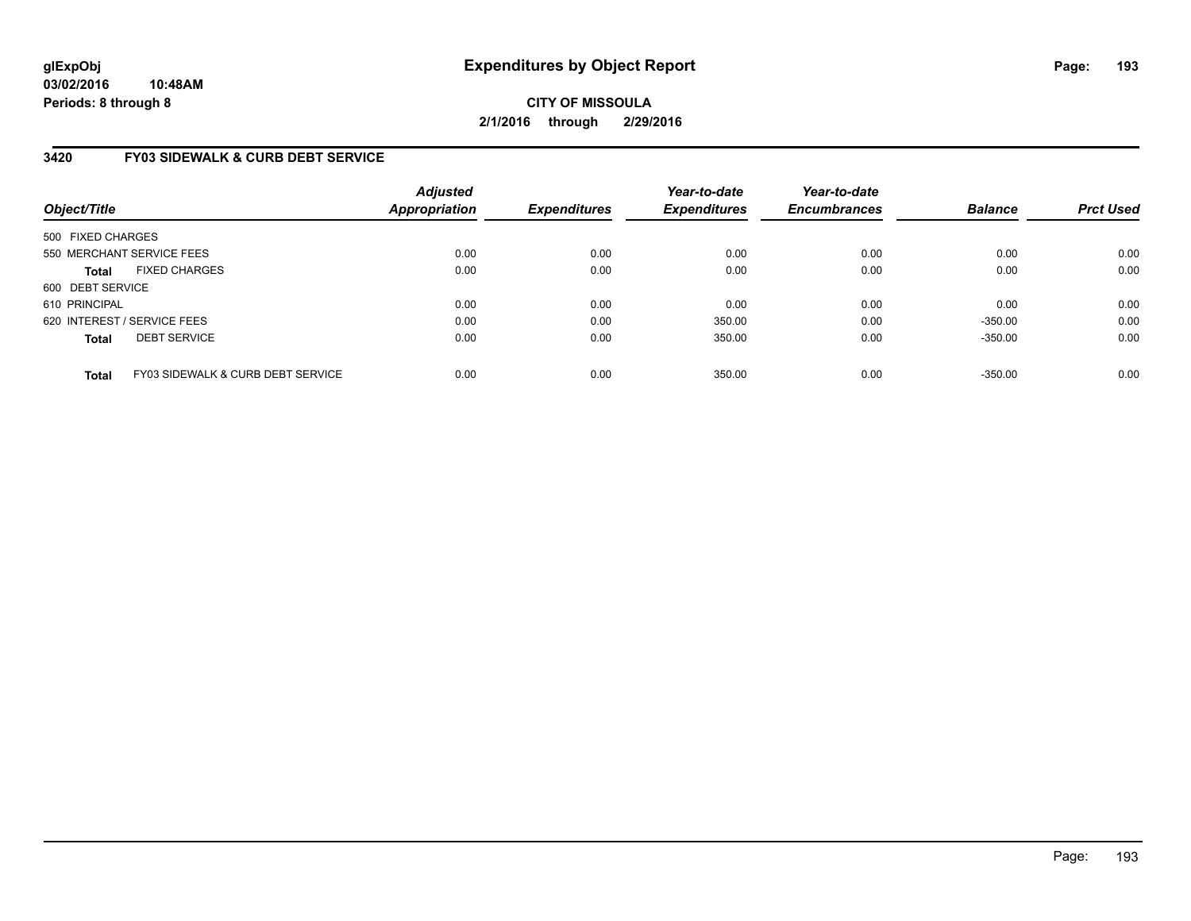## **3420 FY03 SIDEWALK & CURB DEBT SERVICE**

| Object/Title      |                                              | <b>Adjusted</b><br><b>Appropriation</b> | <b>Expenditures</b> | Year-to-date<br><b>Expenditures</b> | Year-to-date<br><b>Encumbrances</b> | <b>Balance</b> | <b>Prct Used</b> |
|-------------------|----------------------------------------------|-----------------------------------------|---------------------|-------------------------------------|-------------------------------------|----------------|------------------|
| 500 FIXED CHARGES |                                              |                                         |                     |                                     |                                     |                |                  |
|                   | 550 MERCHANT SERVICE FEES                    | 0.00                                    | 0.00                | 0.00                                | 0.00                                | 0.00           | 0.00             |
| <b>Total</b>      | <b>FIXED CHARGES</b>                         | 0.00                                    | 0.00                | 0.00                                | 0.00                                | 0.00           | 0.00             |
| 600 DEBT SERVICE  |                                              |                                         |                     |                                     |                                     |                |                  |
| 610 PRINCIPAL     |                                              | 0.00                                    | 0.00                | 0.00                                | 0.00                                | 0.00           | 0.00             |
|                   | 620 INTEREST / SERVICE FEES                  | 0.00                                    | 0.00                | 350.00                              | 0.00                                | $-350.00$      | 0.00             |
| <b>Total</b>      | <b>DEBT SERVICE</b>                          | 0.00                                    | 0.00                | 350.00                              | 0.00                                | $-350.00$      | 0.00             |
| <b>Total</b>      | <b>FY03 SIDEWALK &amp; CURB DEBT SERVICE</b> | 0.00                                    | 0.00                | 350.00                              | 0.00                                | $-350.00$      | 0.00             |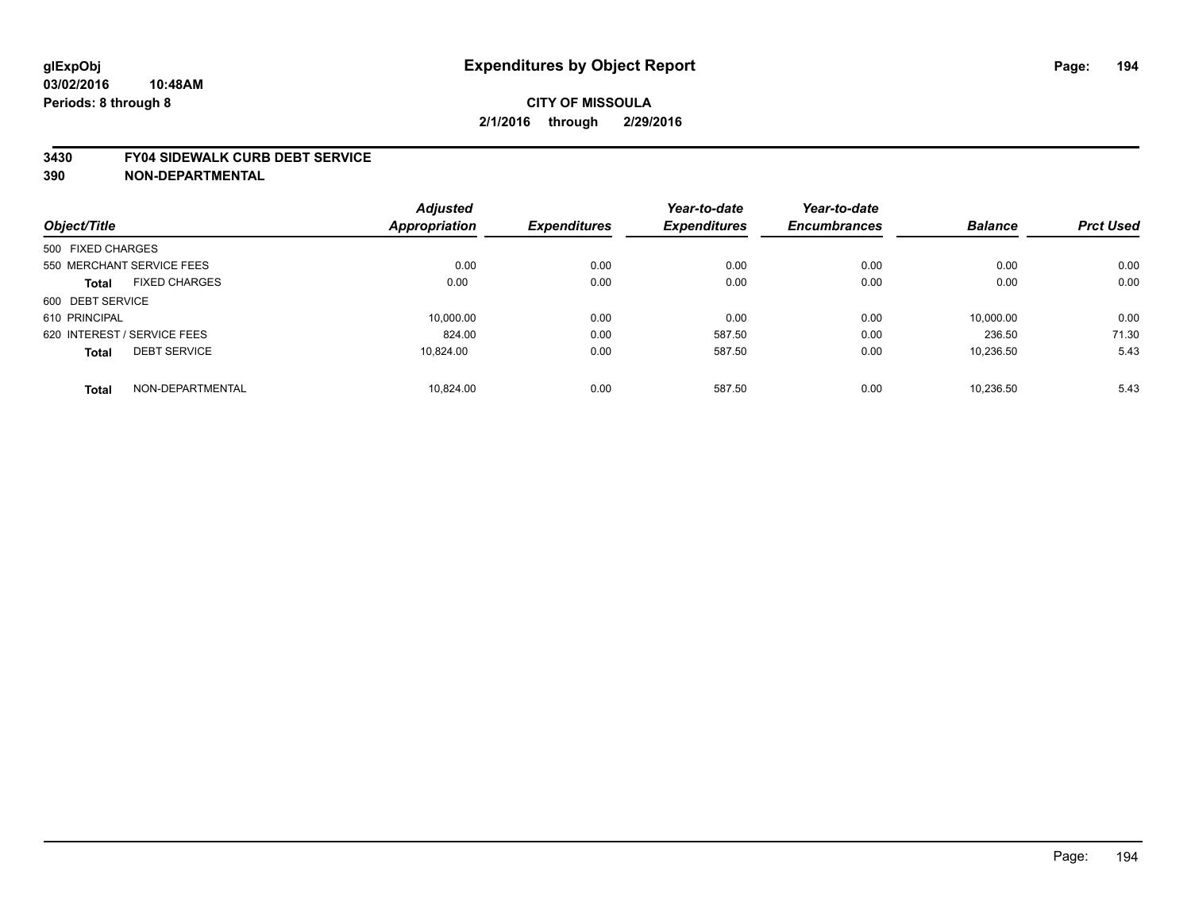## **CITY OF MISSOULA 2/1/2016 through 2/29/2016**

#### **3430 FY04 SIDEWALK CURB DEBT SERVICE**

|                             |                           | <b>Adjusted</b> |                     | Year-to-date        | Year-to-date        |                |                  |
|-----------------------------|---------------------------|-----------------|---------------------|---------------------|---------------------|----------------|------------------|
| Object/Title                |                           | Appropriation   | <b>Expenditures</b> | <b>Expenditures</b> | <b>Encumbrances</b> | <b>Balance</b> | <b>Prct Used</b> |
| 500 FIXED CHARGES           |                           |                 |                     |                     |                     |                |                  |
|                             | 550 MERCHANT SERVICE FEES | 0.00            | 0.00                | 0.00                | 0.00                | 0.00           | 0.00             |
| <b>Total</b>                | <b>FIXED CHARGES</b>      | 0.00            | 0.00                | 0.00                | 0.00                | 0.00           | 0.00             |
| 600 DEBT SERVICE            |                           |                 |                     |                     |                     |                |                  |
| 610 PRINCIPAL               |                           | 10.000.00       | 0.00                | 0.00                | 0.00                | 10.000.00      | 0.00             |
| 620 INTEREST / SERVICE FEES |                           | 824.00          | 0.00                | 587.50              | 0.00                | 236.50         | 71.30            |
| <b>Total</b>                | <b>DEBT SERVICE</b>       | 10.824.00       | 0.00                | 587.50              | 0.00                | 10,236.50      | 5.43             |
| <b>Total</b>                | NON-DEPARTMENTAL          | 10.824.00       | 0.00                | 587.50              | 0.00                | 10.236.50      | 5.43             |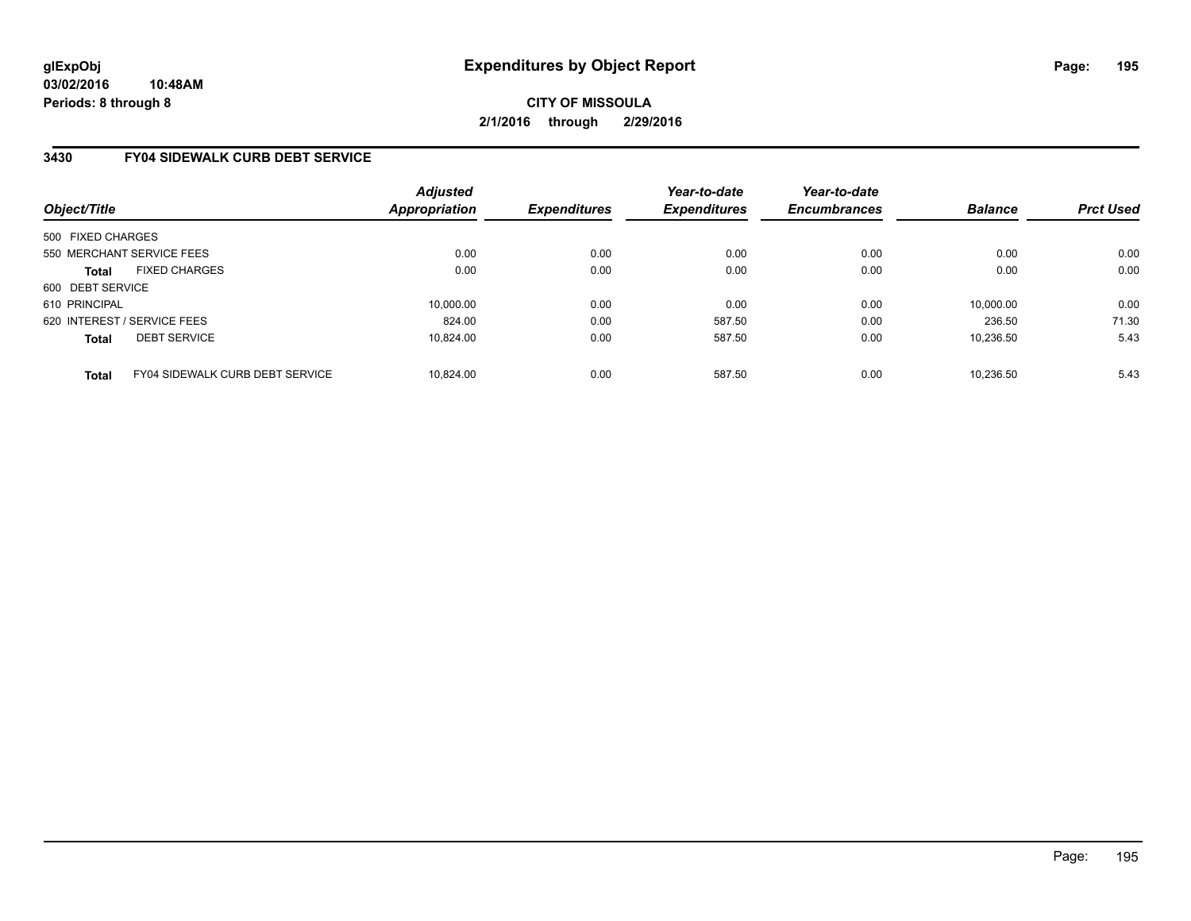## **3430 FY04 SIDEWALK CURB DEBT SERVICE**

| Object/Title                |                                 | Adjusted<br><b>Appropriation</b> | <b>Expenditures</b> | Year-to-date<br><b>Expenditures</b> | Year-to-date<br><b>Encumbrances</b> | <b>Balance</b> | <b>Prct Used</b> |
|-----------------------------|---------------------------------|----------------------------------|---------------------|-------------------------------------|-------------------------------------|----------------|------------------|
| 500 FIXED CHARGES           |                                 |                                  |                     |                                     |                                     |                |                  |
|                             | 550 MERCHANT SERVICE FEES       | 0.00                             | 0.00                | 0.00                                | 0.00                                | 0.00           | 0.00             |
| <b>Total</b>                | <b>FIXED CHARGES</b>            | 0.00                             | 0.00                | 0.00                                | 0.00                                | 0.00           | 0.00             |
| 600 DEBT SERVICE            |                                 |                                  |                     |                                     |                                     |                |                  |
| 610 PRINCIPAL               |                                 | 10.000.00                        | 0.00                | 0.00                                | 0.00                                | 10,000.00      | 0.00             |
| 620 INTEREST / SERVICE FEES |                                 | 824.00                           | 0.00                | 587.50                              | 0.00                                | 236.50         | 71.30            |
| <b>Total</b>                | <b>DEBT SERVICE</b>             | 10.824.00                        | 0.00                | 587.50                              | 0.00                                | 10.236.50      | 5.43             |
| <b>Total</b>                | FY04 SIDEWALK CURB DEBT SERVICE | 10.824.00                        | 0.00                | 587.50                              | 0.00                                | 10.236.50      | 5.43             |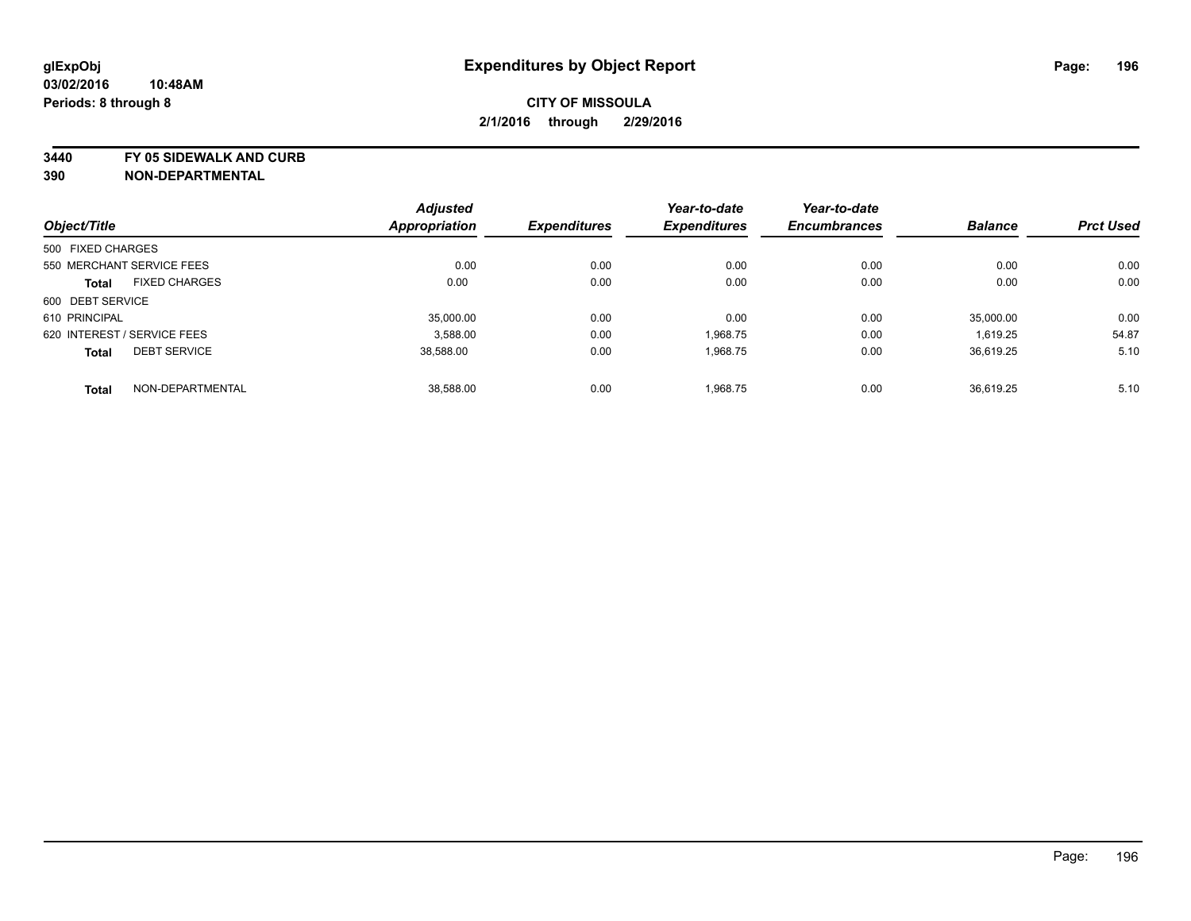**3440 FY 05 SIDEWALK AND CURB**

|                                      | <b>Adjusted</b>      |                     | Year-to-date        | Year-to-date        |                |                  |
|--------------------------------------|----------------------|---------------------|---------------------|---------------------|----------------|------------------|
| Object/Title                         | <b>Appropriation</b> | <b>Expenditures</b> | <b>Expenditures</b> | <b>Encumbrances</b> | <b>Balance</b> | <b>Prct Used</b> |
| 500 FIXED CHARGES                    |                      |                     |                     |                     |                |                  |
| 550 MERCHANT SERVICE FEES            | 0.00                 | 0.00                | 0.00                | 0.00                | 0.00           | 0.00             |
| <b>FIXED CHARGES</b><br><b>Total</b> | 0.00                 | 0.00                | 0.00                | 0.00                | 0.00           | 0.00             |
| 600 DEBT SERVICE                     |                      |                     |                     |                     |                |                  |
| 610 PRINCIPAL                        | 35,000.00            | 0.00                | 0.00                | 0.00                | 35.000.00      | 0.00             |
| 620 INTEREST / SERVICE FEES          | 3.588.00             | 0.00                | 1.968.75            | 0.00                | 1.619.25       | 54.87            |
| <b>DEBT SERVICE</b><br><b>Total</b>  | 38.588.00            | 0.00                | 1,968.75            | 0.00                | 36.619.25      | 5.10             |
| NON-DEPARTMENTAL<br><b>Total</b>     | 38,588.00            | 0.00                | 1,968.75            | 0.00                | 36.619.25      | 5.10             |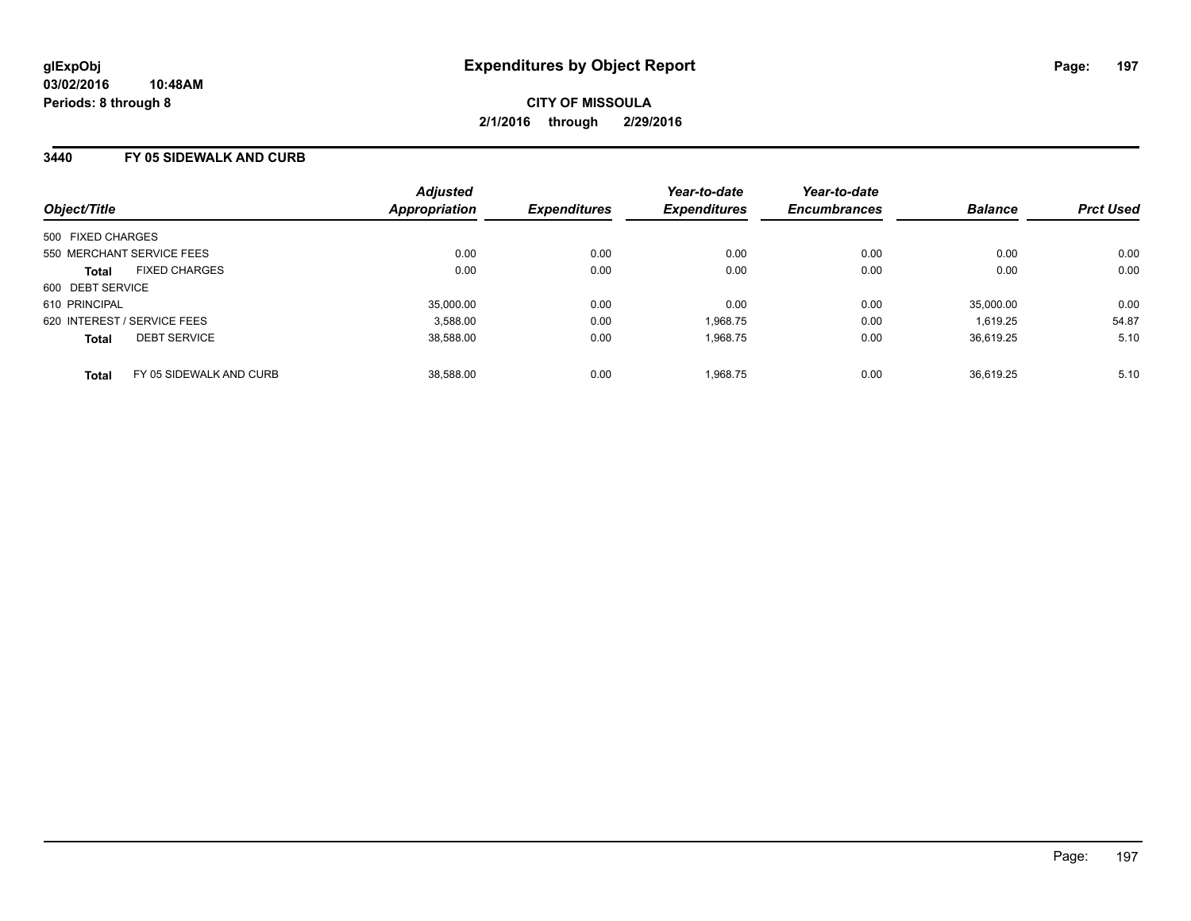### **3440 FY 05 SIDEWALK AND CURB**

| Object/Title                |                         | <b>Adjusted</b><br><b>Appropriation</b> | <b>Expenditures</b> | Year-to-date<br><b>Expenditures</b> | Year-to-date<br><b>Encumbrances</b> | <b>Balance</b> | <b>Prct Used</b> |
|-----------------------------|-------------------------|-----------------------------------------|---------------------|-------------------------------------|-------------------------------------|----------------|------------------|
| 500 FIXED CHARGES           |                         |                                         |                     |                                     |                                     |                |                  |
|                             |                         |                                         |                     |                                     |                                     |                |                  |
| 550 MERCHANT SERVICE FEES   |                         | 0.00                                    | 0.00                | 0.00                                | 0.00                                | 0.00           | 0.00             |
| <b>Total</b>                | <b>FIXED CHARGES</b>    | 0.00                                    | 0.00                | 0.00                                | 0.00                                | 0.00           | 0.00             |
| 600 DEBT SERVICE            |                         |                                         |                     |                                     |                                     |                |                  |
| 610 PRINCIPAL               |                         | 35.000.00                               | 0.00                | 0.00                                | 0.00                                | 35,000.00      | 0.00             |
| 620 INTEREST / SERVICE FEES |                         | 3.588.00                                | 0.00                | 1.968.75                            | 0.00                                | 1.619.25       | 54.87            |
| <b>Total</b>                | <b>DEBT SERVICE</b>     | 38.588.00                               | 0.00                | 1.968.75                            | 0.00                                | 36.619.25      | 5.10             |
| <b>Total</b>                | FY 05 SIDEWALK AND CURB | 38.588.00                               | 0.00                | 1,968.75                            | 0.00                                | 36.619.25      | 5.10             |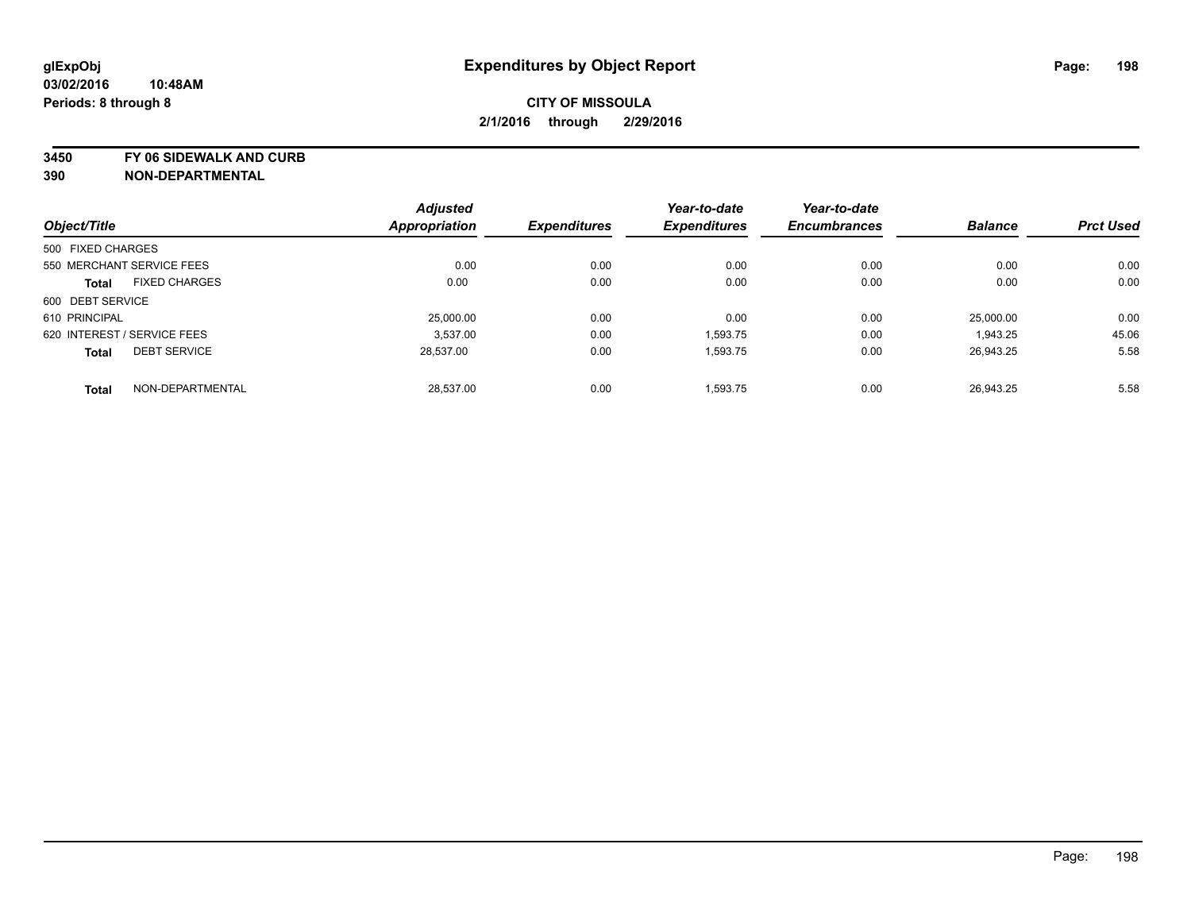**3450 FY 06 SIDEWALK AND CURB**

|                   |                             | <b>Adjusted</b> |                     | Year-to-date        | Year-to-date        |                |                  |
|-------------------|-----------------------------|-----------------|---------------------|---------------------|---------------------|----------------|------------------|
| Object/Title      |                             | Appropriation   | <b>Expenditures</b> | <b>Expenditures</b> | <b>Encumbrances</b> | <b>Balance</b> | <b>Prct Used</b> |
| 500 FIXED CHARGES |                             |                 |                     |                     |                     |                |                  |
|                   | 550 MERCHANT SERVICE FEES   | 0.00            | 0.00                | 0.00                | 0.00                | 0.00           | 0.00             |
| <b>Total</b>      | <b>FIXED CHARGES</b>        | 0.00            | 0.00                | 0.00                | 0.00                | 0.00           | 0.00             |
| 600 DEBT SERVICE  |                             |                 |                     |                     |                     |                |                  |
| 610 PRINCIPAL     |                             | 25,000.00       | 0.00                | 0.00                | 0.00                | 25.000.00      | 0.00             |
|                   | 620 INTEREST / SERVICE FEES | 3.537.00        | 0.00                | 1.593.75            | 0.00                | 1,943.25       | 45.06            |
| <b>Total</b>      | <b>DEBT SERVICE</b>         | 28,537.00       | 0.00                | 1.593.75            | 0.00                | 26,943.25      | 5.58             |
| <b>Total</b>      | NON-DEPARTMENTAL            | 28.537.00       | 0.00                | 1,593.75            | 0.00                | 26.943.25      | 5.58             |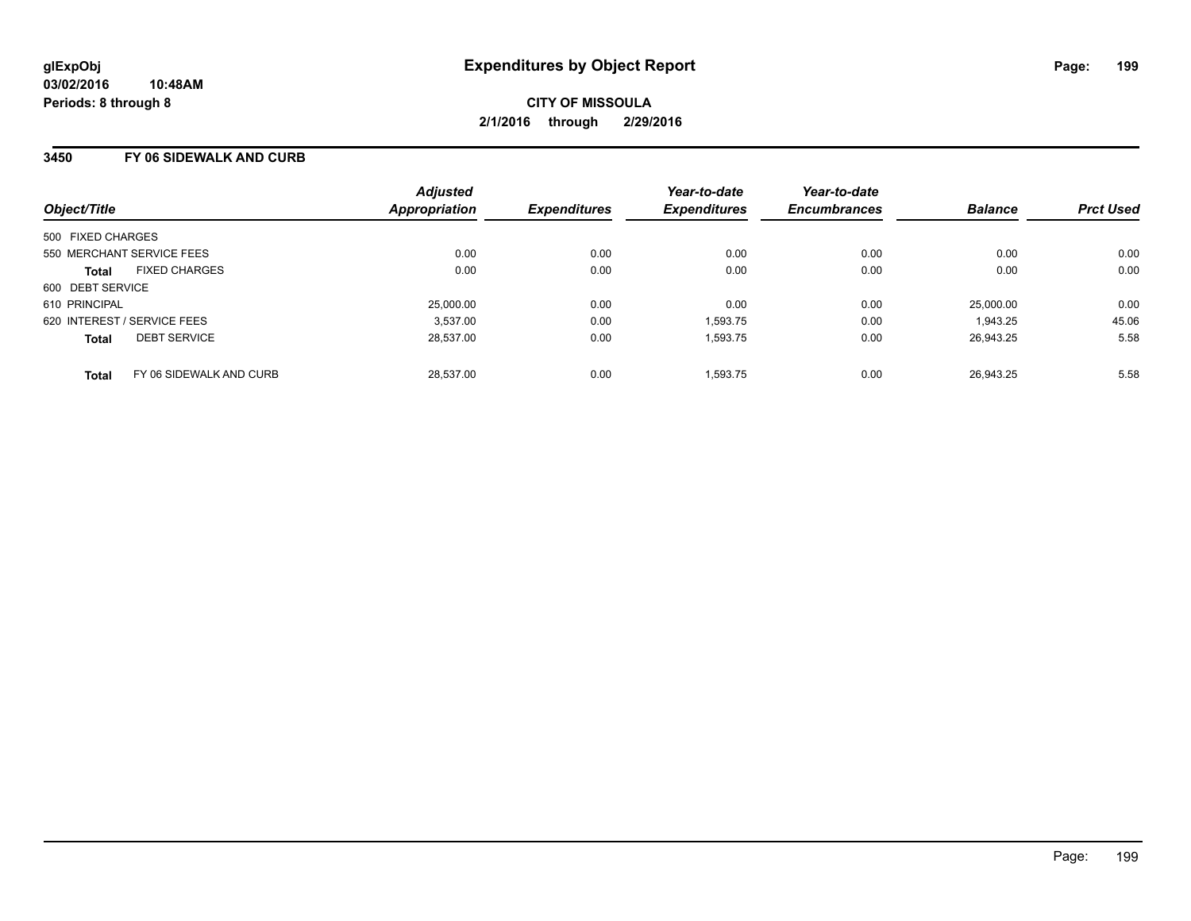### **3450 FY 06 SIDEWALK AND CURB**

| Object/Title                            | <b>Adjusted</b><br><b>Appropriation</b> | <b>Expenditures</b> | Year-to-date<br><b>Expenditures</b> | Year-to-date<br><b>Encumbrances</b> | <b>Balance</b> | <b>Prct Used</b> |
|-----------------------------------------|-----------------------------------------|---------------------|-------------------------------------|-------------------------------------|----------------|------------------|
| 500 FIXED CHARGES                       |                                         |                     |                                     |                                     |                |                  |
| 550 MERCHANT SERVICE FEES               | 0.00                                    | 0.00                | 0.00                                | 0.00                                | 0.00           | 0.00             |
| <b>FIXED CHARGES</b><br><b>Total</b>    | 0.00                                    | 0.00                | 0.00                                | 0.00                                | 0.00           | 0.00             |
| 600 DEBT SERVICE                        |                                         |                     |                                     |                                     |                |                  |
| 610 PRINCIPAL                           | 25,000.00                               | 0.00                | 0.00                                | 0.00                                | 25,000.00      | 0.00             |
| 620 INTEREST / SERVICE FEES             | 3.537.00                                | 0.00                | 1,593.75                            | 0.00                                | 1.943.25       | 45.06            |
| <b>DEBT SERVICE</b><br><b>Total</b>     | 28.537.00                               | 0.00                | 1,593.75                            | 0.00                                | 26.943.25      | 5.58             |
| FY 06 SIDEWALK AND CURB<br><b>Total</b> | 28.537.00                               | 0.00                | 1.593.75                            | 0.00                                | 26.943.25      | 5.58             |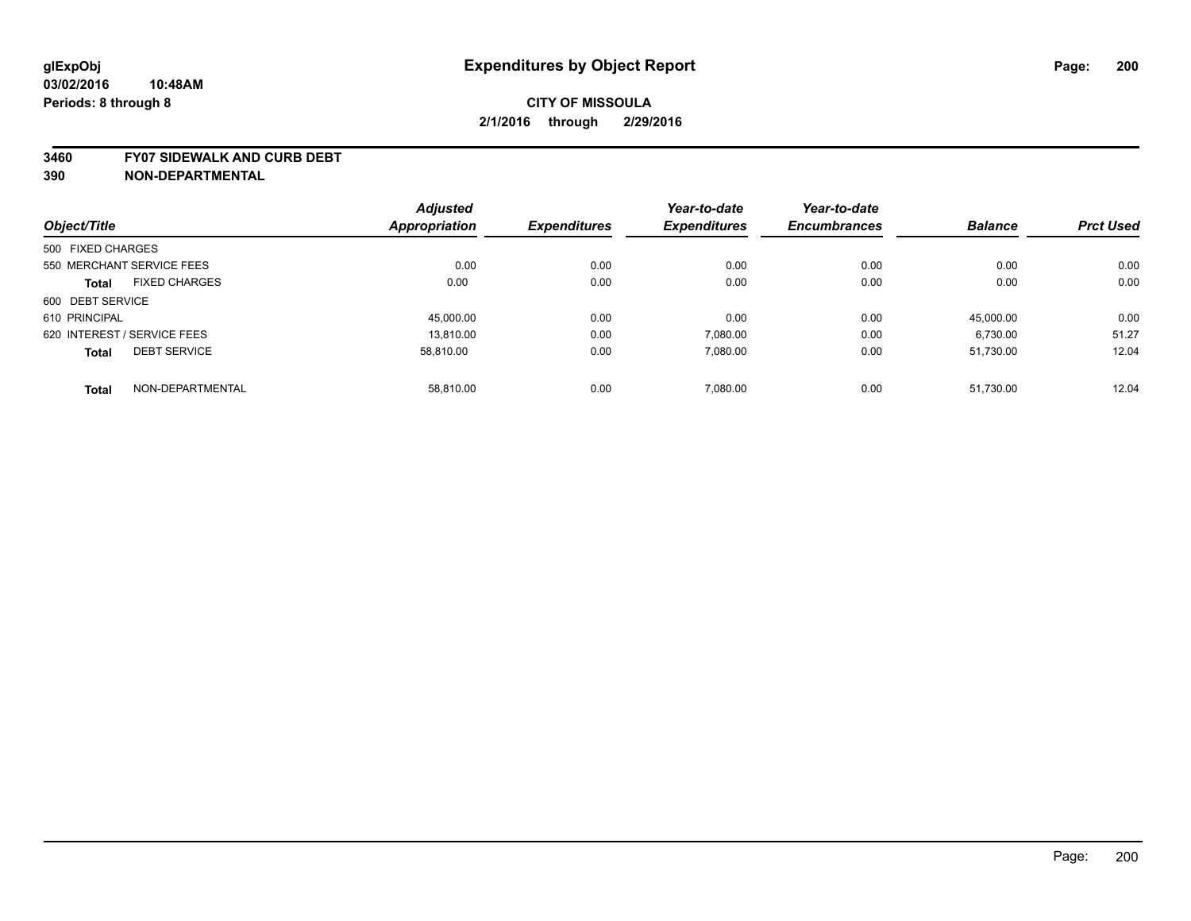#### **3460 FY07 SIDEWALK AND CURB DEBT**

|                             |                      | <b>Adjusted</b> |                     | Year-to-date        | Year-to-date        |                |                  |
|-----------------------------|----------------------|-----------------|---------------------|---------------------|---------------------|----------------|------------------|
| Object/Title                |                      | Appropriation   | <b>Expenditures</b> | <b>Expenditures</b> | <b>Encumbrances</b> | <b>Balance</b> | <b>Prct Used</b> |
| 500 FIXED CHARGES           |                      |                 |                     |                     |                     |                |                  |
| 550 MERCHANT SERVICE FEES   |                      | 0.00            | 0.00                | 0.00                | 0.00                | 0.00           | 0.00             |
| <b>Total</b>                | <b>FIXED CHARGES</b> | 0.00            | 0.00                | 0.00                | 0.00                | 0.00           | 0.00             |
| 600 DEBT SERVICE            |                      |                 |                     |                     |                     |                |                  |
| 610 PRINCIPAL               |                      | 45,000.00       | 0.00                | 0.00                | 0.00                | 45,000.00      | 0.00             |
| 620 INTEREST / SERVICE FEES |                      | 13.810.00       | 0.00                | 7.080.00            | 0.00                | 6,730.00       | 51.27            |
| <b>Total</b>                | <b>DEBT SERVICE</b>  | 58.810.00       | 0.00                | 7.080.00            | 0.00                | 51,730.00      | 12.04            |
| <b>Total</b>                | NON-DEPARTMENTAL     | 58.810.00       | 0.00                | 7.080.00            | 0.00                | 51.730.00      | 12.04            |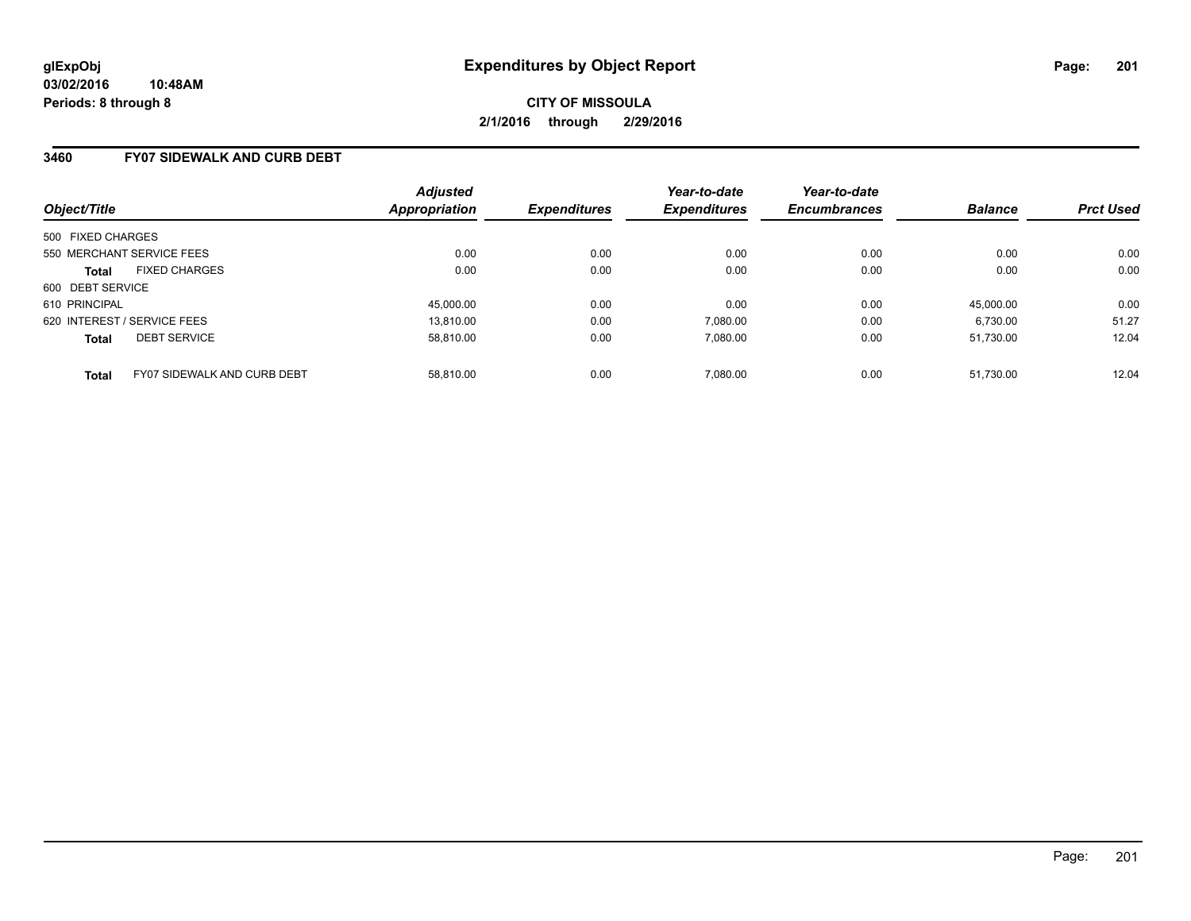### **3460 FY07 SIDEWALK AND CURB DEBT**

| Object/Title                                       | <b>Adjusted</b><br><b>Appropriation</b> | <b>Expenditures</b> | Year-to-date<br><b>Expenditures</b> | Year-to-date<br><b>Encumbrances</b> | <b>Balance</b> | <b>Prct Used</b> |
|----------------------------------------------------|-----------------------------------------|---------------------|-------------------------------------|-------------------------------------|----------------|------------------|
| 500 FIXED CHARGES                                  |                                         |                     |                                     |                                     |                |                  |
| 550 MERCHANT SERVICE FEES                          | 0.00                                    | 0.00                | 0.00                                | 0.00                                | 0.00           | 0.00             |
| <b>FIXED CHARGES</b><br><b>Total</b>               | 0.00                                    | 0.00                | 0.00                                | 0.00                                | 0.00           | 0.00             |
| 600 DEBT SERVICE                                   |                                         |                     |                                     |                                     |                |                  |
| 610 PRINCIPAL                                      | 45.000.00                               | 0.00                | 0.00                                | 0.00                                | 45.000.00      | 0.00             |
| 620 INTEREST / SERVICE FEES                        | 13.810.00                               | 0.00                | 7,080.00                            | 0.00                                | 6.730.00       | 51.27            |
| <b>DEBT SERVICE</b><br><b>Total</b>                | 58.810.00                               | 0.00                | 7.080.00                            | 0.00                                | 51.730.00      | 12.04            |
| <b>FY07 SIDEWALK AND CURB DEBT</b><br><b>Total</b> | 58.810.00                               | 0.00                | 7.080.00                            | 0.00                                | 51.730.00      | 12.04            |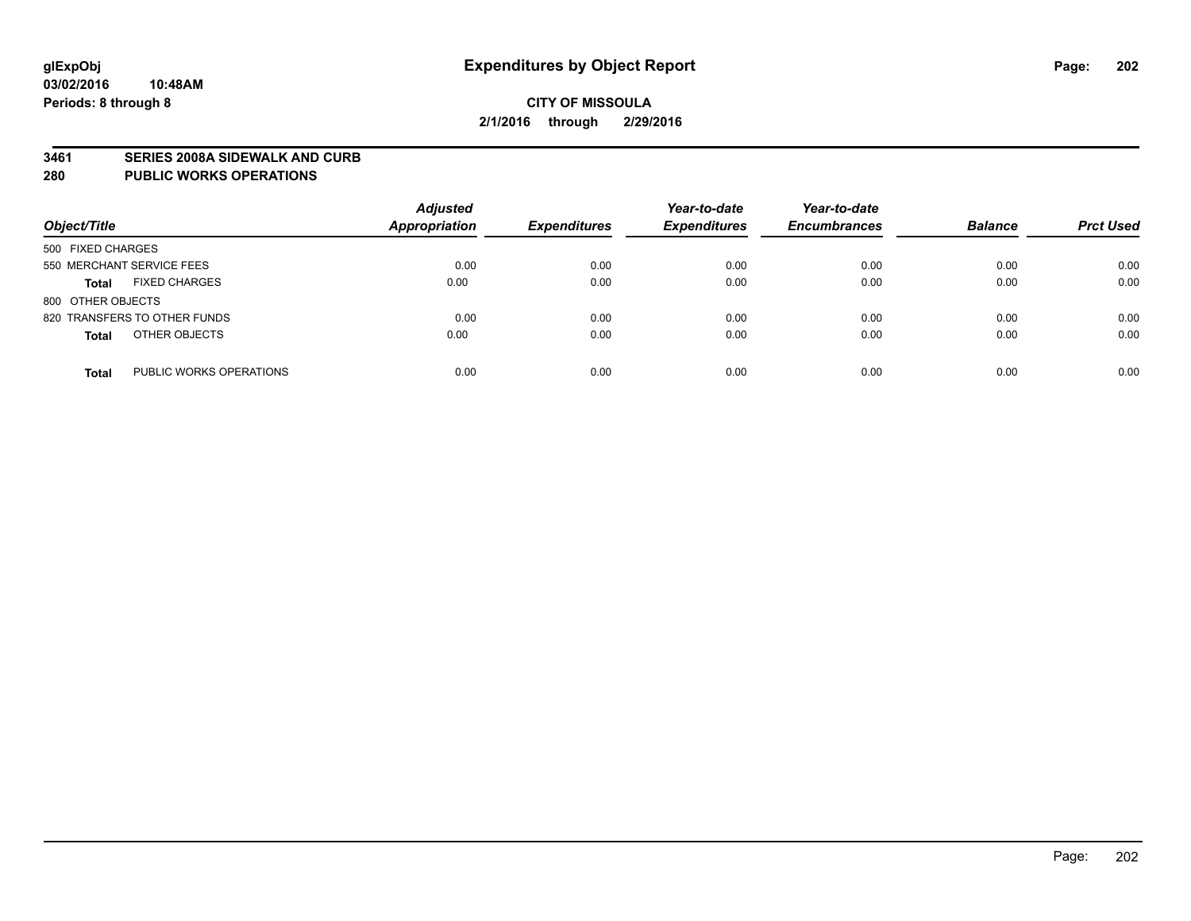#### **3461 SERIES 2008A SIDEWALK AND CURB**

#### **280 PUBLIC WORKS OPERATIONS**

| Object/Title                            | <b>Adjusted</b><br><b>Appropriation</b> | <b>Expenditures</b> | Year-to-date<br><b>Expenditures</b> | Year-to-date<br><b>Encumbrances</b> | <b>Balance</b> | <b>Prct Used</b> |
|-----------------------------------------|-----------------------------------------|---------------------|-------------------------------------|-------------------------------------|----------------|------------------|
| 500 FIXED CHARGES                       |                                         |                     |                                     |                                     |                |                  |
| 550 MERCHANT SERVICE FEES               | 0.00                                    | 0.00                | 0.00                                | 0.00                                | 0.00           | 0.00             |
| <b>FIXED CHARGES</b><br><b>Total</b>    | 0.00                                    | 0.00                | 0.00                                | 0.00                                | 0.00           | 0.00             |
| 800 OTHER OBJECTS                       |                                         |                     |                                     |                                     |                |                  |
| 820 TRANSFERS TO OTHER FUNDS            | 0.00                                    | 0.00                | 0.00                                | 0.00                                | 0.00           | 0.00             |
| OTHER OBJECTS<br><b>Total</b>           | 0.00                                    | 0.00                | 0.00                                | 0.00                                | 0.00           | 0.00             |
| PUBLIC WORKS OPERATIONS<br><b>Total</b> | 0.00                                    | 0.00                | 0.00                                | 0.00                                | 0.00           | 0.00             |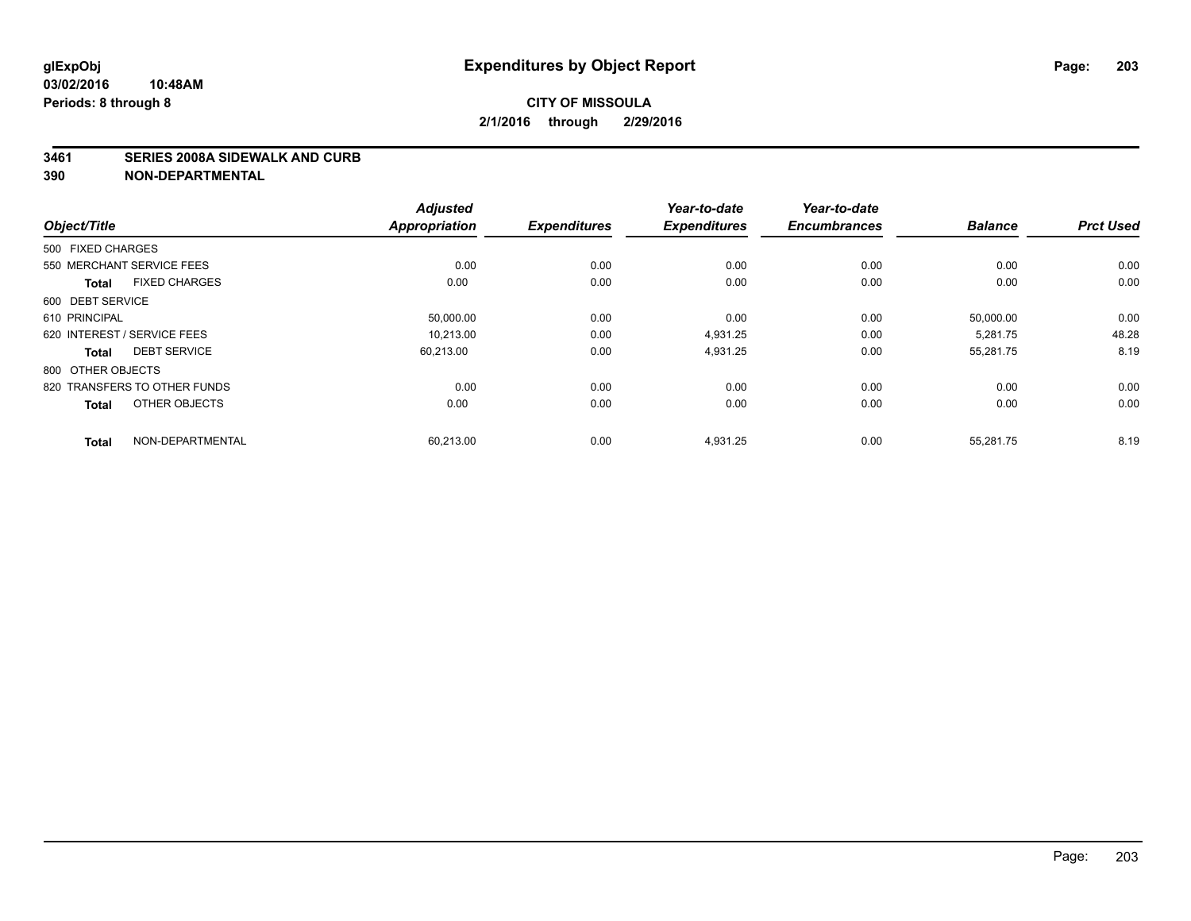## **CITY OF MISSOULA 2/1/2016 through 2/29/2016**

#### **3461 SERIES 2008A SIDEWALK AND CURB**

|                                      | <b>Adjusted</b>      |                     | Year-to-date        | Year-to-date        |                |                  |
|--------------------------------------|----------------------|---------------------|---------------------|---------------------|----------------|------------------|
| Object/Title                         | <b>Appropriation</b> | <b>Expenditures</b> | <b>Expenditures</b> | <b>Encumbrances</b> | <b>Balance</b> | <b>Prct Used</b> |
| 500 FIXED CHARGES                    |                      |                     |                     |                     |                |                  |
| 550 MERCHANT SERVICE FEES            | 0.00                 | 0.00                | 0.00                | 0.00                | 0.00           | 0.00             |
| <b>FIXED CHARGES</b><br><b>Total</b> | 0.00                 | 0.00                | 0.00                | 0.00                | 0.00           | 0.00             |
| 600 DEBT SERVICE                     |                      |                     |                     |                     |                |                  |
| 610 PRINCIPAL                        | 50,000.00            | 0.00                | 0.00                | 0.00                | 50,000.00      | 0.00             |
| 620 INTEREST / SERVICE FEES          | 10.213.00            | 0.00                | 4.931.25            | 0.00                | 5.281.75       | 48.28            |
| <b>DEBT SERVICE</b><br><b>Total</b>  | 60,213.00            | 0.00                | 4,931.25            | 0.00                | 55,281.75      | 8.19             |
| 800 OTHER OBJECTS                    |                      |                     |                     |                     |                |                  |
| 820 TRANSFERS TO OTHER FUNDS         | 0.00                 | 0.00                | 0.00                | 0.00                | 0.00           | 0.00             |
| OTHER OBJECTS<br><b>Total</b>        | 0.00                 | 0.00                | 0.00                | 0.00                | 0.00           | 0.00             |
|                                      |                      |                     |                     |                     |                |                  |
| NON-DEPARTMENTAL<br><b>Total</b>     | 60,213.00            | 0.00                | 4,931.25            | 0.00                | 55,281.75      | 8.19             |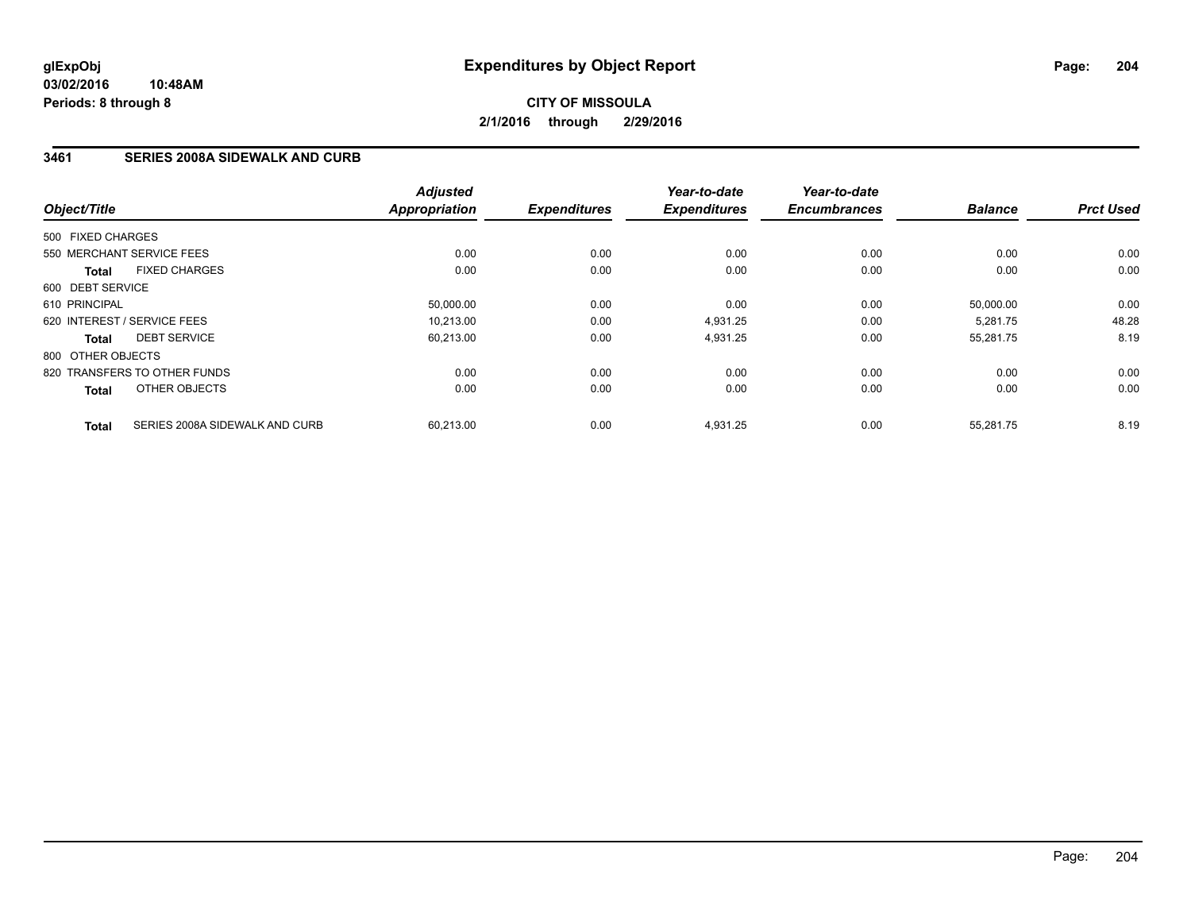### **3461 SERIES 2008A SIDEWALK AND CURB**

| Object/Title      |                                | <b>Adjusted</b><br><b>Appropriation</b> | <b>Expenditures</b> | Year-to-date<br><b>Expenditures</b> | Year-to-date<br><b>Encumbrances</b> | <b>Balance</b> | <b>Prct Used</b> |
|-------------------|--------------------------------|-----------------------------------------|---------------------|-------------------------------------|-------------------------------------|----------------|------------------|
|                   |                                |                                         |                     |                                     |                                     |                |                  |
| 500 FIXED CHARGES |                                |                                         |                     |                                     |                                     |                |                  |
|                   | 550 MERCHANT SERVICE FEES      | 0.00                                    | 0.00                | 0.00                                | 0.00                                | 0.00           | 0.00             |
| <b>Total</b>      | <b>FIXED CHARGES</b>           | 0.00                                    | 0.00                | 0.00                                | 0.00                                | 0.00           | 0.00             |
| 600 DEBT SERVICE  |                                |                                         |                     |                                     |                                     |                |                  |
| 610 PRINCIPAL     |                                | 50,000.00                               | 0.00                | 0.00                                | 0.00                                | 50,000.00      | 0.00             |
|                   | 620 INTEREST / SERVICE FEES    | 10.213.00                               | 0.00                | 4,931.25                            | 0.00                                | 5,281.75       | 48.28            |
| <b>Total</b>      | <b>DEBT SERVICE</b>            | 60,213.00                               | 0.00                | 4,931.25                            | 0.00                                | 55,281.75      | 8.19             |
| 800 OTHER OBJECTS |                                |                                         |                     |                                     |                                     |                |                  |
|                   | 820 TRANSFERS TO OTHER FUNDS   | 0.00                                    | 0.00                | 0.00                                | 0.00                                | 0.00           | 0.00             |
| Total             | OTHER OBJECTS                  | 0.00                                    | 0.00                | 0.00                                | 0.00                                | 0.00           | 0.00             |
| <b>Total</b>      | SERIES 2008A SIDEWALK AND CURB | 60.213.00                               | 0.00                | 4,931.25                            | 0.00                                | 55,281.75      | 8.19             |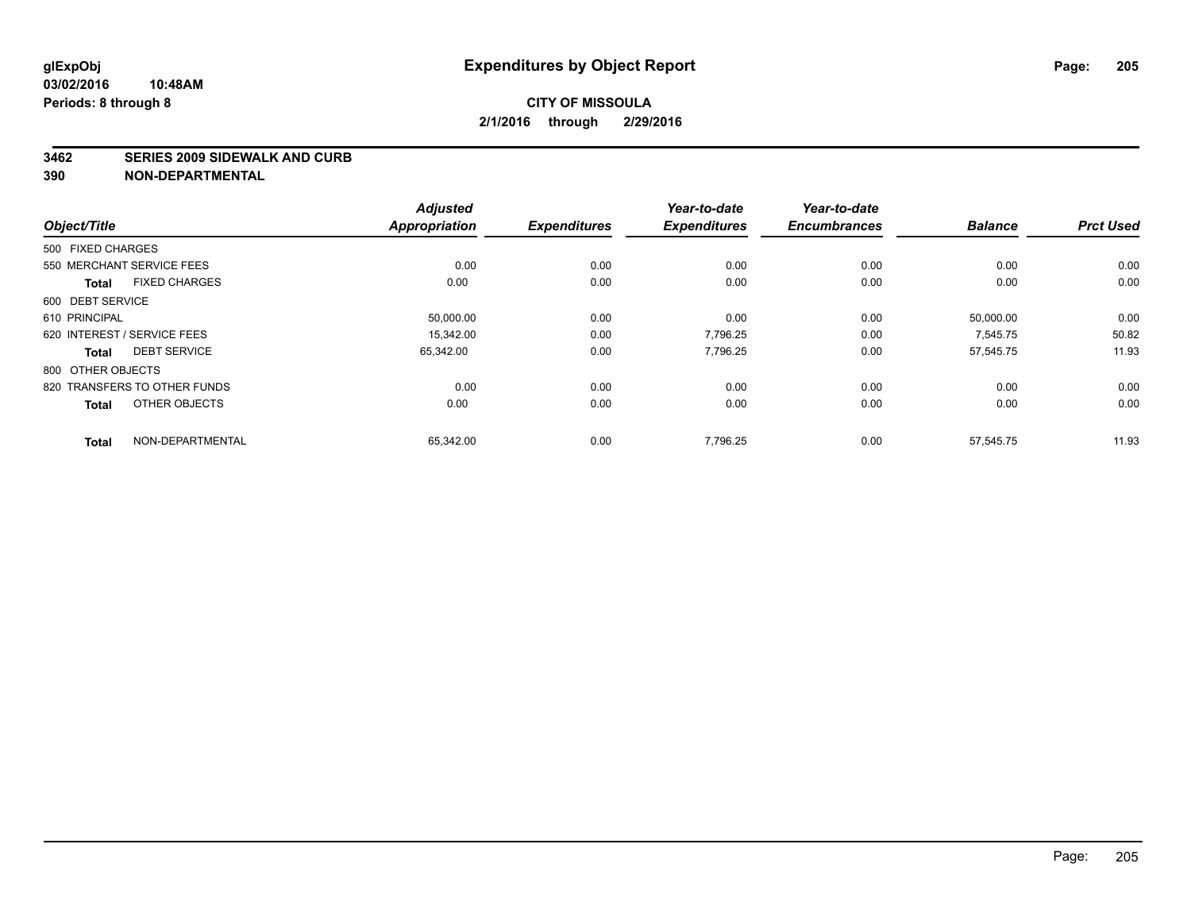#### **3462 SERIES 2009 SIDEWALK AND CURB**

|                                      | <b>Adjusted</b>      |                     | Year-to-date        | Year-to-date        |                |                  |
|--------------------------------------|----------------------|---------------------|---------------------|---------------------|----------------|------------------|
| Object/Title                         | <b>Appropriation</b> | <b>Expenditures</b> | <b>Expenditures</b> | <b>Encumbrances</b> | <b>Balance</b> | <b>Prct Used</b> |
| 500 FIXED CHARGES                    |                      |                     |                     |                     |                |                  |
| 550 MERCHANT SERVICE FEES            | 0.00                 | 0.00                | 0.00                | 0.00                | 0.00           | 0.00             |
| <b>FIXED CHARGES</b><br><b>Total</b> | 0.00                 | 0.00                | 0.00                | 0.00                | 0.00           | 0.00             |
| 600 DEBT SERVICE                     |                      |                     |                     |                     |                |                  |
| 610 PRINCIPAL                        | 50,000.00            | 0.00                | 0.00                | 0.00                | 50,000.00      | 0.00             |
| 620 INTEREST / SERVICE FEES          | 15.342.00            | 0.00                | 7.796.25            | 0.00                | 7.545.75       | 50.82            |
| <b>DEBT SERVICE</b><br><b>Total</b>  | 65,342.00            | 0.00                | 7,796.25            | 0.00                | 57,545.75      | 11.93            |
| 800 OTHER OBJECTS                    |                      |                     |                     |                     |                |                  |
| 820 TRANSFERS TO OTHER FUNDS         | 0.00                 | 0.00                | 0.00                | 0.00                | 0.00           | 0.00             |
| OTHER OBJECTS<br><b>Total</b>        | 0.00                 | 0.00                | 0.00                | 0.00                | 0.00           | 0.00             |
|                                      |                      |                     |                     |                     |                |                  |
| NON-DEPARTMENTAL<br><b>Total</b>     | 65,342.00            | 0.00                | 7,796.25            | 0.00                | 57,545.75      | 11.93            |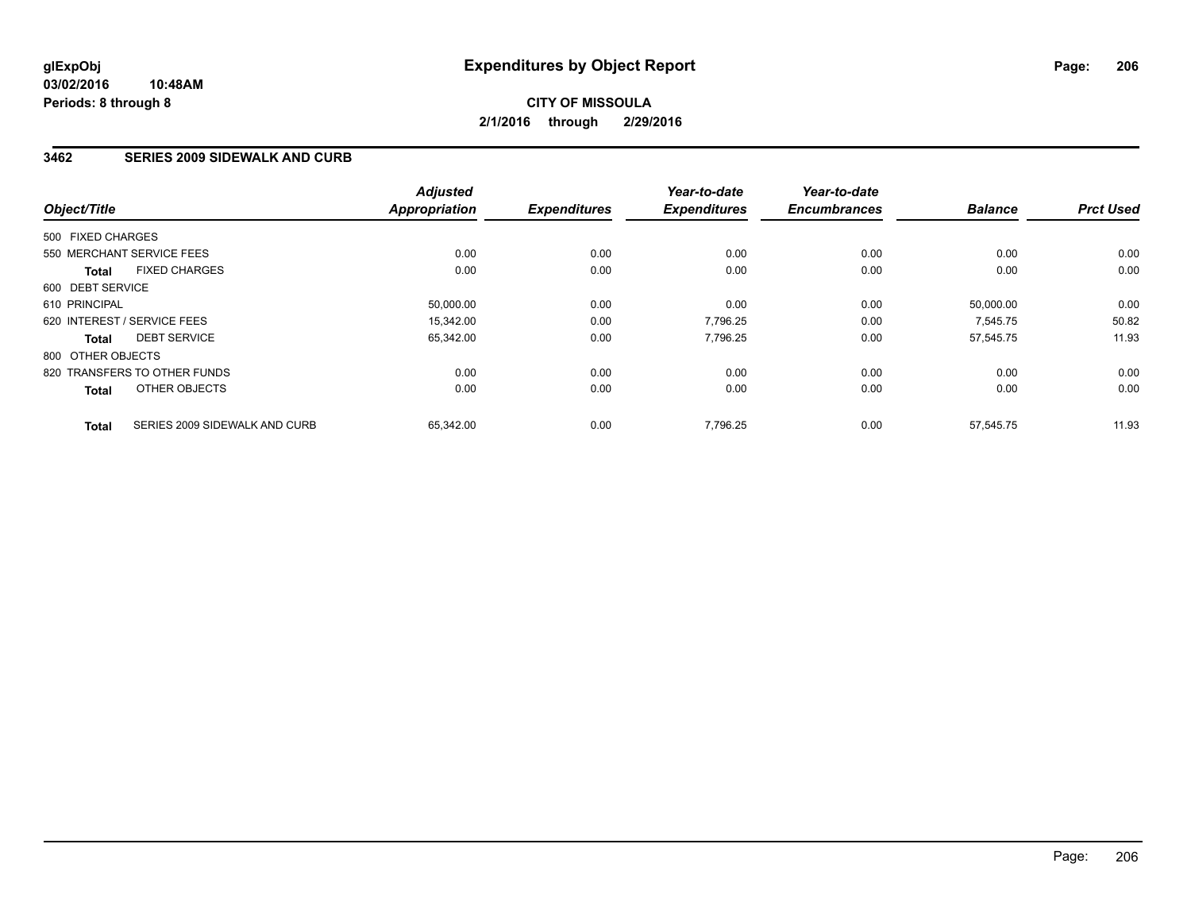### **3462 SERIES 2009 SIDEWALK AND CURB**

| Object/Title                                  | <b>Adjusted</b><br><b>Appropriation</b> | <b>Expenditures</b> | Year-to-date<br><b>Expenditures</b> | Year-to-date<br><b>Encumbrances</b> | <b>Balance</b> | <b>Prct Used</b> |
|-----------------------------------------------|-----------------------------------------|---------------------|-------------------------------------|-------------------------------------|----------------|------------------|
| 500 FIXED CHARGES                             |                                         |                     |                                     |                                     |                |                  |
| 550 MERCHANT SERVICE FEES                     | 0.00                                    | 0.00                | 0.00                                | 0.00                                | 0.00           | 0.00             |
| <b>FIXED CHARGES</b><br><b>Total</b>          | 0.00                                    | 0.00                | 0.00                                | 0.00                                | 0.00           | 0.00             |
| 600 DEBT SERVICE                              |                                         |                     |                                     |                                     |                |                  |
| 610 PRINCIPAL                                 | 50,000.00                               | 0.00                | 0.00                                | 0.00                                | 50.000.00      | 0.00             |
| 620 INTEREST / SERVICE FEES                   | 15,342.00                               | 0.00                | 7,796.25                            | 0.00                                | 7,545.75       | 50.82            |
| <b>DEBT SERVICE</b><br><b>Total</b>           | 65,342.00                               | 0.00                | 7,796.25                            | 0.00                                | 57,545.75      | 11.93            |
| 800 OTHER OBJECTS                             |                                         |                     |                                     |                                     |                |                  |
| 820 TRANSFERS TO OTHER FUNDS                  | 0.00                                    | 0.00                | 0.00                                | 0.00                                | 0.00           | 0.00             |
| <b>OTHER OBJECTS</b><br><b>Total</b>          | 0.00                                    | 0.00                | 0.00                                | 0.00                                | 0.00           | 0.00             |
| SERIES 2009 SIDEWALK AND CURB<br><b>Total</b> | 65.342.00                               | 0.00                | 7.796.25                            | 0.00                                | 57.545.75      | 11.93            |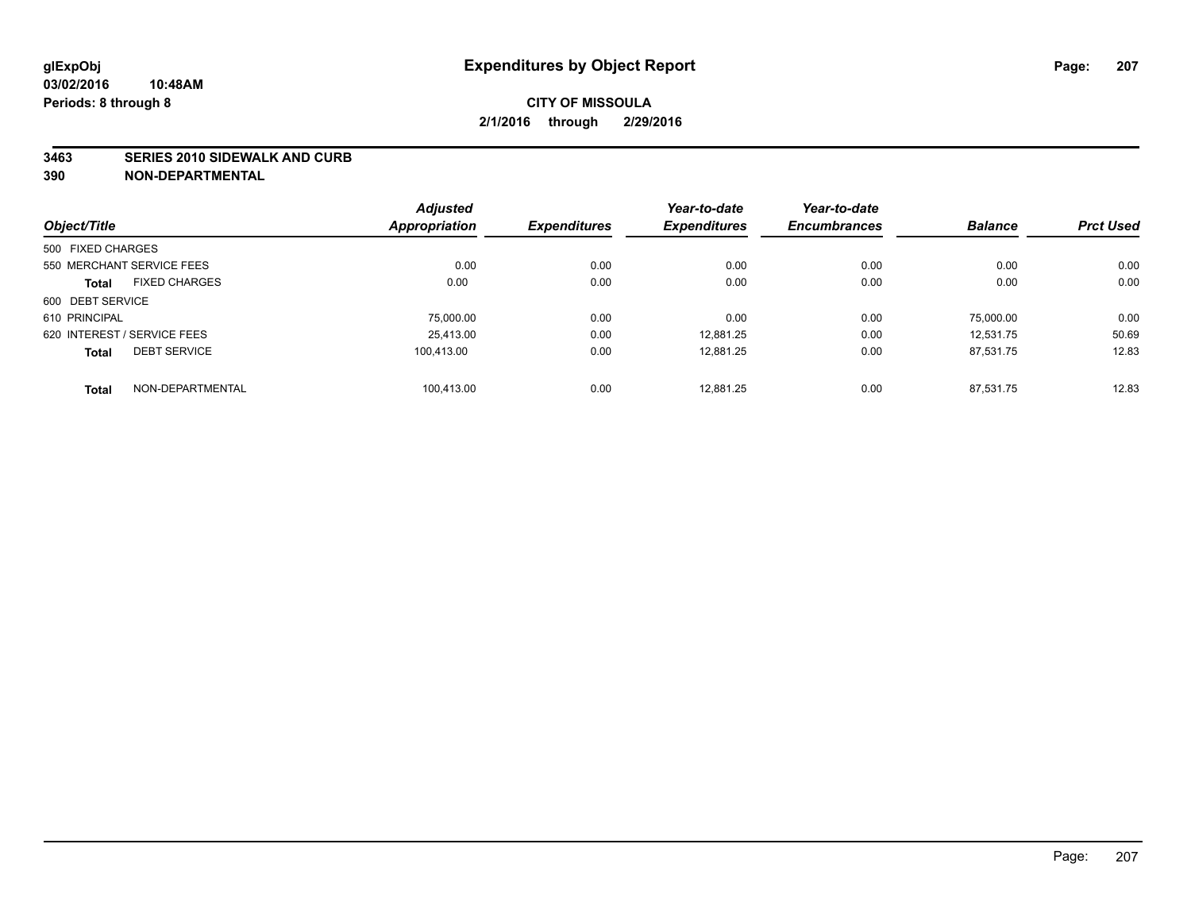#### **3463 SERIES 2010 SIDEWALK AND CURB**

|                                      | <b>Adjusted</b> |                     | Year-to-date        | Year-to-date        |                |                  |
|--------------------------------------|-----------------|---------------------|---------------------|---------------------|----------------|------------------|
| Object/Title                         | Appropriation   | <b>Expenditures</b> | <b>Expenditures</b> | <b>Encumbrances</b> | <b>Balance</b> | <b>Prct Used</b> |
| 500 FIXED CHARGES                    |                 |                     |                     |                     |                |                  |
| 550 MERCHANT SERVICE FEES            | 0.00            | 0.00                | 0.00                | 0.00                | 0.00           | 0.00             |
| <b>FIXED CHARGES</b><br><b>Total</b> | 0.00            | 0.00                | 0.00                | 0.00                | 0.00           | 0.00             |
| 600 DEBT SERVICE                     |                 |                     |                     |                     |                |                  |
| 610 PRINCIPAL                        | 75.000.00       | 0.00                | 0.00                | 0.00                | 75.000.00      | 0.00             |
| 620 INTEREST / SERVICE FEES          | 25.413.00       | 0.00                | 12,881.25           | 0.00                | 12.531.75      | 50.69            |
| <b>DEBT SERVICE</b><br><b>Total</b>  | 100.413.00      | 0.00                | 12,881.25           | 0.00                | 87,531.75      | 12.83            |
| NON-DEPARTMENTAL<br><b>Total</b>     | 100.413.00      | 0.00                | 12.881.25           | 0.00                | 87.531.75      | 12.83            |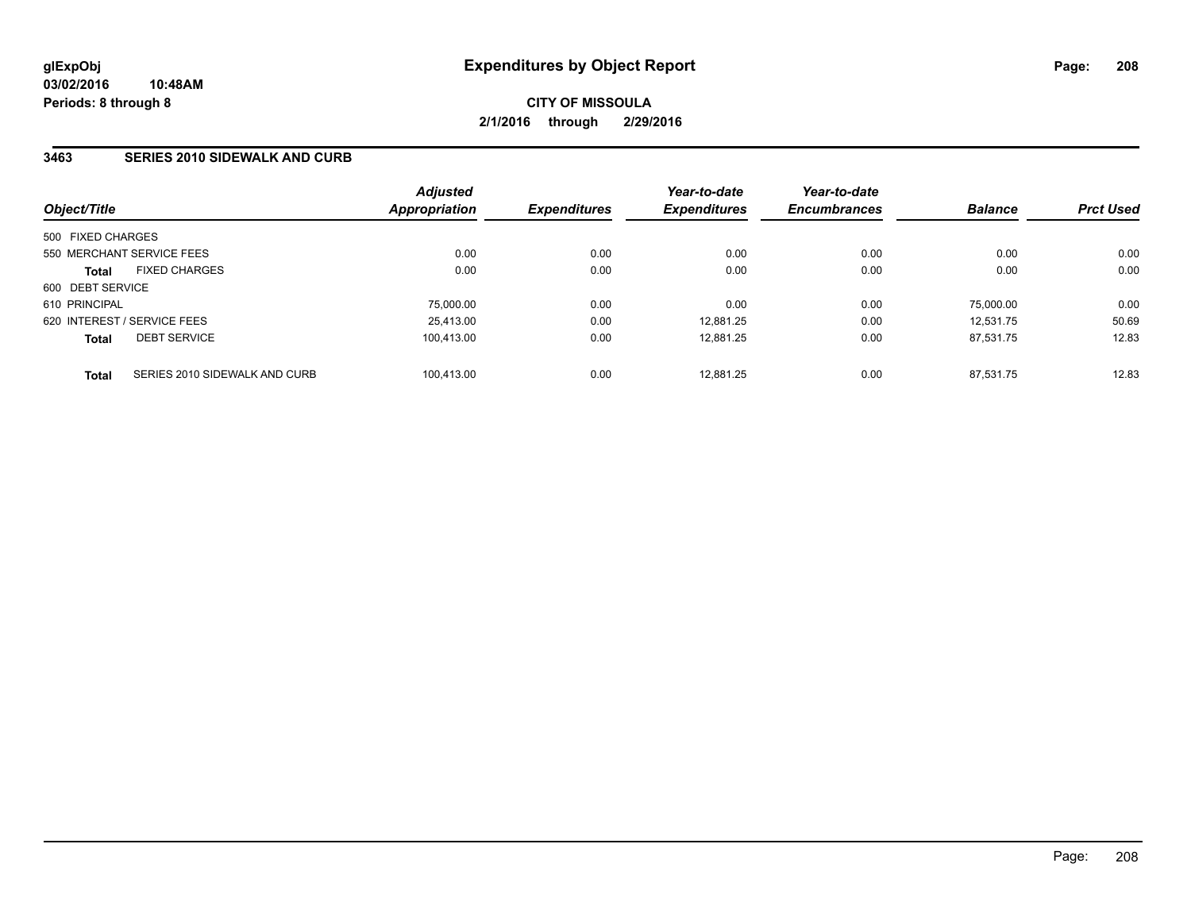### **3463 SERIES 2010 SIDEWALK AND CURB**

| Object/Title                |                               | <b>Adjusted</b><br>Appropriation | <b>Expenditures</b> | Year-to-date<br><b>Expenditures</b> | Year-to-date<br><b>Encumbrances</b> | <b>Balance</b> | <b>Prct Used</b> |
|-----------------------------|-------------------------------|----------------------------------|---------------------|-------------------------------------|-------------------------------------|----------------|------------------|
| 500 FIXED CHARGES           |                               |                                  |                     |                                     |                                     |                |                  |
| 550 MERCHANT SERVICE FEES   |                               | 0.00                             | 0.00                | 0.00                                | 0.00                                | 0.00           | 0.00             |
| <b>Total</b>                | <b>FIXED CHARGES</b>          | 0.00                             | 0.00                | 0.00                                | 0.00                                | 0.00           | 0.00             |
| 600 DEBT SERVICE            |                               |                                  |                     |                                     |                                     |                |                  |
| 610 PRINCIPAL               |                               | 75,000.00                        | 0.00                | 0.00                                | 0.00                                | 75.000.00      | 0.00             |
| 620 INTEREST / SERVICE FEES |                               | 25,413.00                        | 0.00                | 12.881.25                           | 0.00                                | 12.531.75      | 50.69            |
| <b>Total</b>                | <b>DEBT SERVICE</b>           | 100.413.00                       | 0.00                | 12.881.25                           | 0.00                                | 87.531.75      | 12.83            |
| <b>Total</b>                | SERIES 2010 SIDEWALK AND CURB | 100.413.00                       | 0.00                | 12.881.25                           | 0.00                                | 87.531.75      | 12.83            |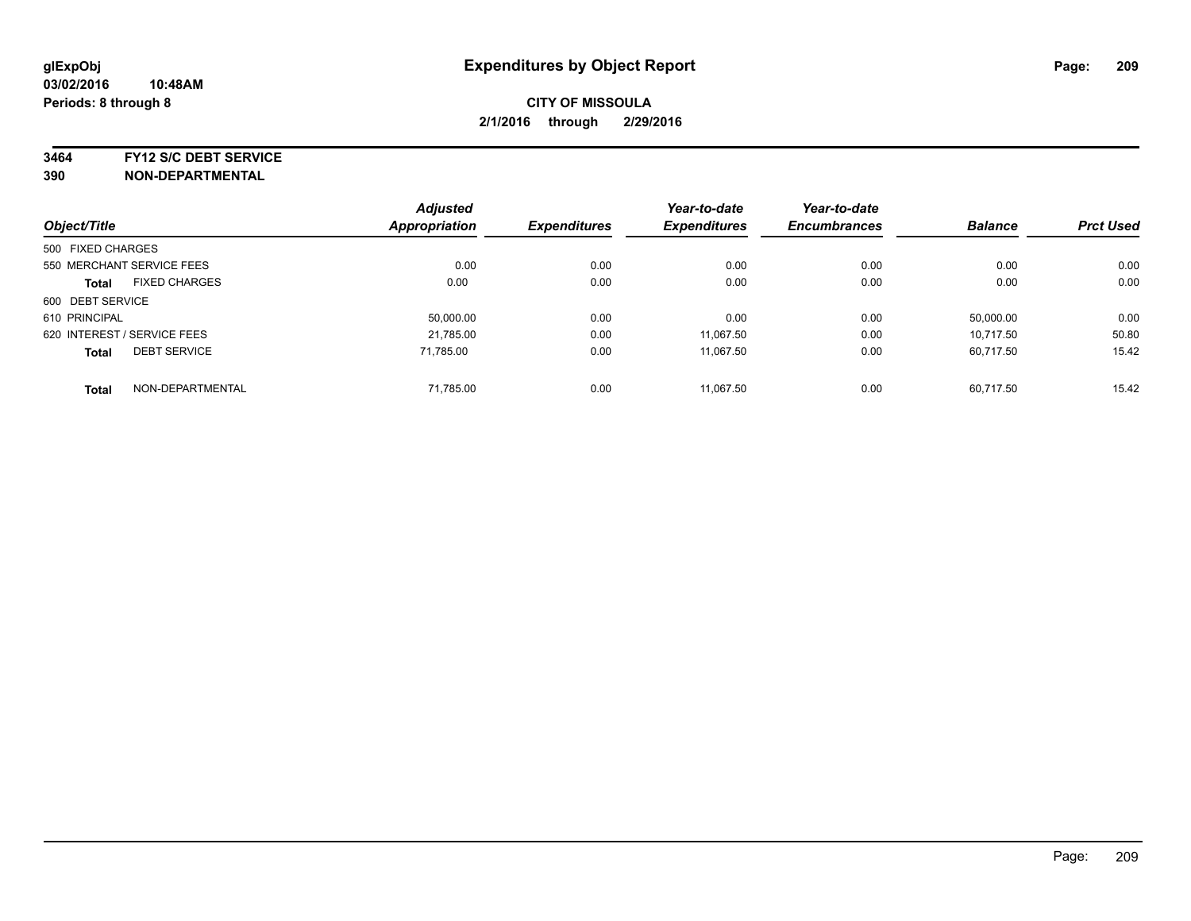**3464 FY12 S/C DEBT SERVICE**

|                             |                           | <b>Adjusted</b>      |                     | Year-to-date        | Year-to-date        |                |                  |
|-----------------------------|---------------------------|----------------------|---------------------|---------------------|---------------------|----------------|------------------|
| Object/Title                |                           | <b>Appropriation</b> | <b>Expenditures</b> | <b>Expenditures</b> | <b>Encumbrances</b> | <b>Balance</b> | <b>Prct Used</b> |
| 500 FIXED CHARGES           |                           |                      |                     |                     |                     |                |                  |
|                             | 550 MERCHANT SERVICE FEES | 0.00                 | 0.00                | 0.00                | 0.00                | 0.00           | 0.00             |
| <b>Total</b>                | <b>FIXED CHARGES</b>      | 0.00                 | 0.00                | 0.00                | 0.00                | 0.00           | 0.00             |
| 600 DEBT SERVICE            |                           |                      |                     |                     |                     |                |                  |
| 610 PRINCIPAL               |                           | 50.000.00            | 0.00                | 0.00                | 0.00                | 50.000.00      | 0.00             |
| 620 INTEREST / SERVICE FEES |                           | 21,785.00            | 0.00                | 11.067.50           | 0.00                | 10.717.50      | 50.80            |
| <b>Total</b>                | <b>DEBT SERVICE</b>       | 71.785.00            | 0.00                | 11.067.50           | 0.00                | 60.717.50      | 15.42            |
| <b>Total</b>                | NON-DEPARTMENTAL          | 71,785.00            | 0.00                | 11.067.50           | 0.00                | 60.717.50      | 15.42            |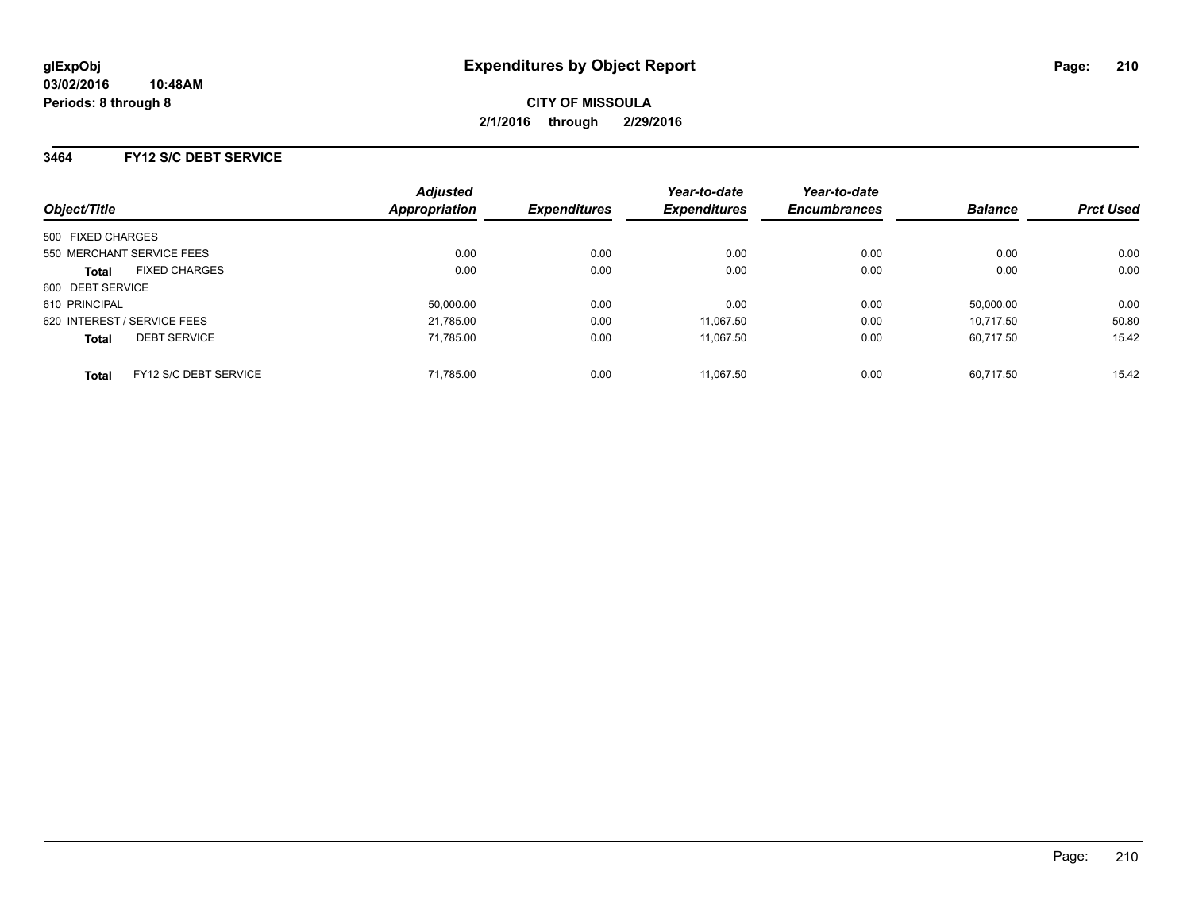### **3464 FY12 S/C DEBT SERVICE**

| Object/Title      |                             | <b>Adjusted</b><br><b>Appropriation</b> | <b>Expenditures</b> | Year-to-date<br><b>Expenditures</b> | Year-to-date<br><b>Encumbrances</b> | <b>Balance</b> | <b>Prct Used</b> |
|-------------------|-----------------------------|-----------------------------------------|---------------------|-------------------------------------|-------------------------------------|----------------|------------------|
|                   |                             |                                         |                     |                                     |                                     |                |                  |
| 500 FIXED CHARGES |                             |                                         |                     |                                     |                                     |                |                  |
|                   | 550 MERCHANT SERVICE FEES   | 0.00                                    | 0.00                | 0.00                                | 0.00                                | 0.00           | 0.00             |
| <b>Total</b>      | <b>FIXED CHARGES</b>        | 0.00                                    | 0.00                | 0.00                                | 0.00                                | 0.00           | 0.00             |
| 600 DEBT SERVICE  |                             |                                         |                     |                                     |                                     |                |                  |
| 610 PRINCIPAL     |                             | 50,000.00                               | 0.00                | 0.00                                | 0.00                                | 50,000.00      | 0.00             |
|                   | 620 INTEREST / SERVICE FEES | 21,785.00                               | 0.00                | 11.067.50                           | 0.00                                | 10.717.50      | 50.80            |
| <b>Total</b>      | <b>DEBT SERVICE</b>         | 71,785.00                               | 0.00                | 11.067.50                           | 0.00                                | 60.717.50      | 15.42            |
| <b>Total</b>      | FY12 S/C DEBT SERVICE       | 71,785.00                               | 0.00                | 11.067.50                           | 0.00                                | 60.717.50      | 15.42            |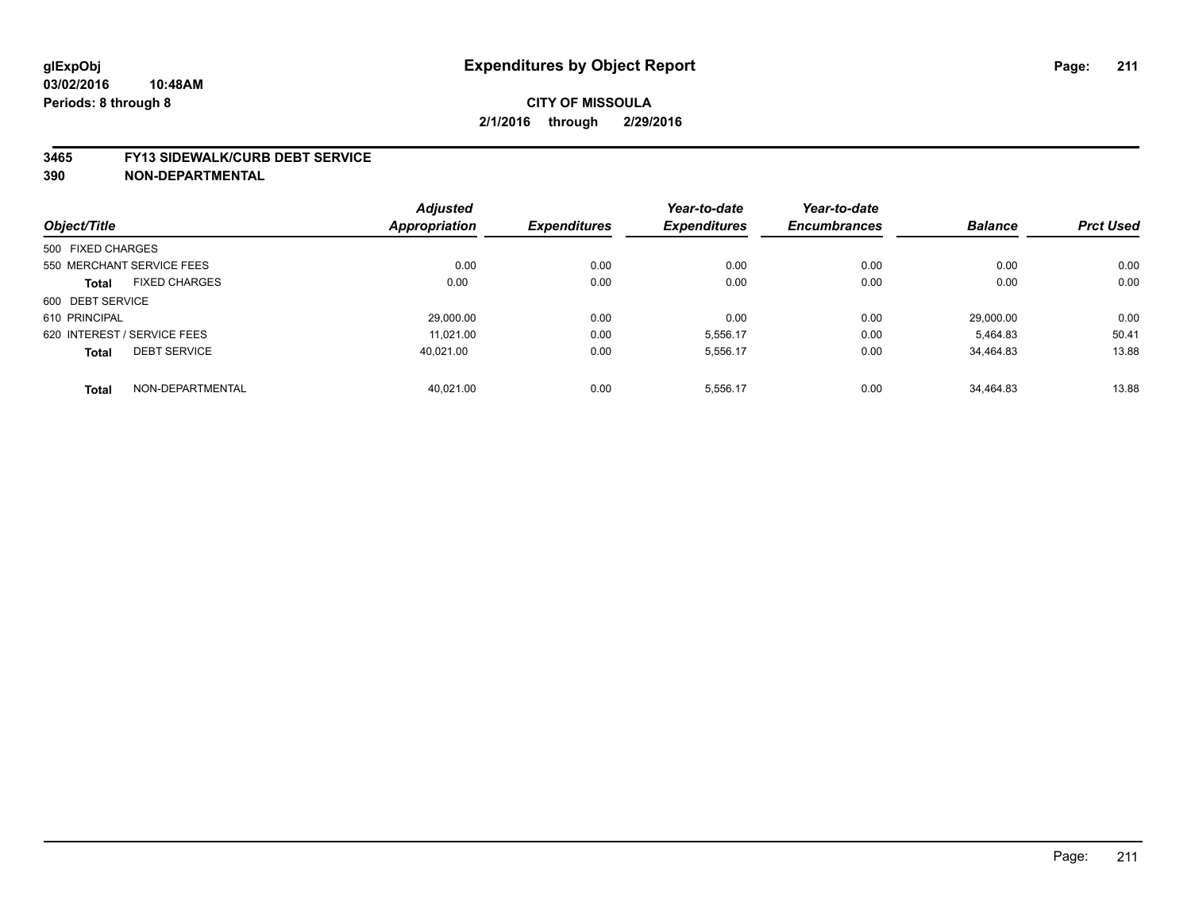## **CITY OF MISSOULA 2/1/2016 through 2/29/2016**

#### **3465 FY13 SIDEWALK/CURB DEBT SERVICE**

|                   |                             | <b>Adjusted</b> |                     | Year-to-date        | Year-to-date        |                |                  |
|-------------------|-----------------------------|-----------------|---------------------|---------------------|---------------------|----------------|------------------|
| Object/Title      |                             | Appropriation   | <b>Expenditures</b> | <b>Expenditures</b> | <b>Encumbrances</b> | <b>Balance</b> | <b>Prct Used</b> |
| 500 FIXED CHARGES |                             |                 |                     |                     |                     |                |                  |
|                   | 550 MERCHANT SERVICE FEES   | 0.00            | 0.00                | 0.00                | 0.00                | 0.00           | 0.00             |
| <b>Total</b>      | <b>FIXED CHARGES</b>        | 0.00            | 0.00                | 0.00                | 0.00                | 0.00           | 0.00             |
| 600 DEBT SERVICE  |                             |                 |                     |                     |                     |                |                  |
| 610 PRINCIPAL     |                             | 29.000.00       | 0.00                | 0.00                | 0.00                | 29.000.00      | 0.00             |
|                   | 620 INTEREST / SERVICE FEES | 11.021.00       | 0.00                | 5,556.17            | 0.00                | 5.464.83       | 50.41            |
| <b>Total</b>      | <b>DEBT SERVICE</b>         | 40.021.00       | 0.00                | 5,556.17            | 0.00                | 34,464.83      | 13.88            |
| <b>Total</b>      | NON-DEPARTMENTAL            | 40.021.00       | 0.00                | 5,556.17            | 0.00                | 34.464.83      | 13.88            |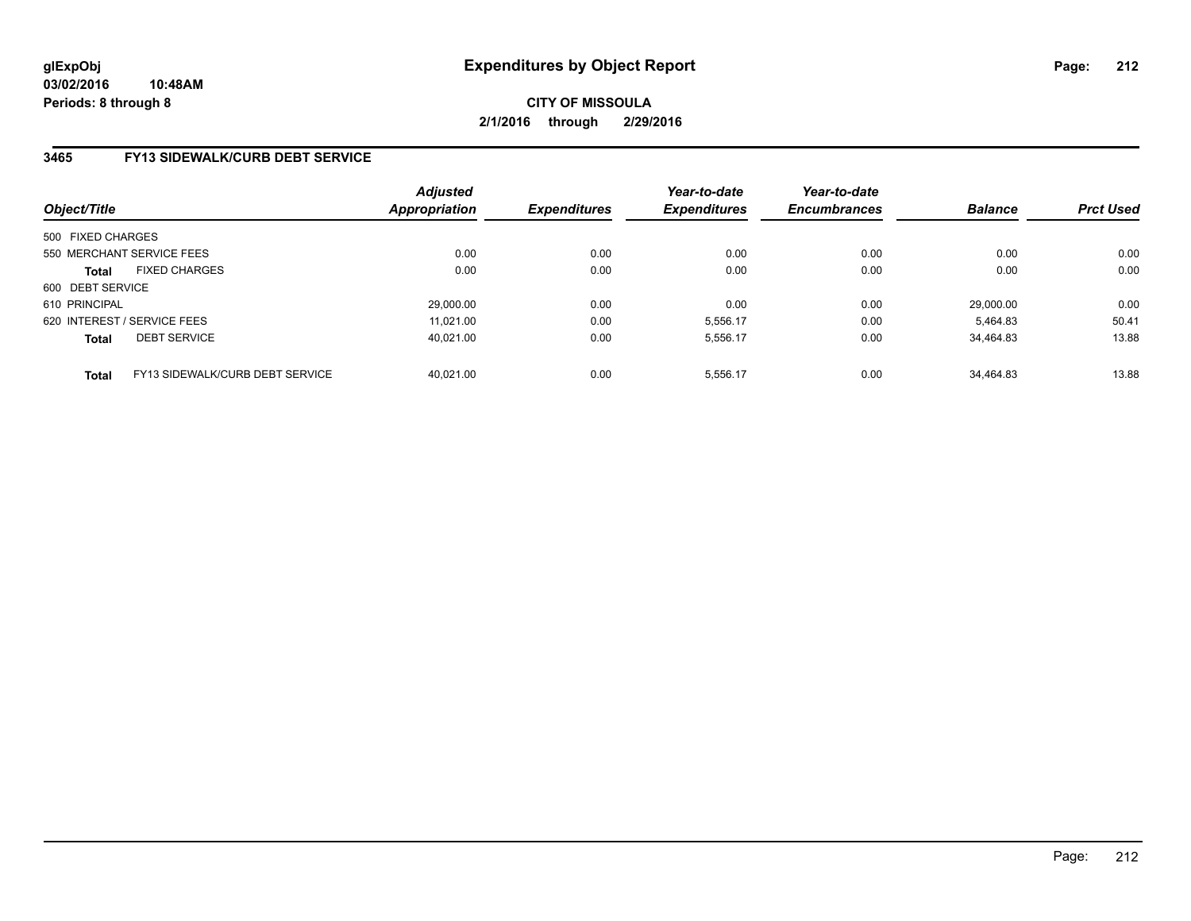### **3465 FY13 SIDEWALK/CURB DEBT SERVICE**

| Object/Title                                    | <b>Adjusted</b><br><b>Appropriation</b> | <b>Expenditures</b> | Year-to-date<br><b>Expenditures</b> | Year-to-date<br><b>Encumbrances</b> | <b>Balance</b> | <b>Prct Used</b> |
|-------------------------------------------------|-----------------------------------------|---------------------|-------------------------------------|-------------------------------------|----------------|------------------|
| 500 FIXED CHARGES                               |                                         |                     |                                     |                                     |                |                  |
| 550 MERCHANT SERVICE FEES                       | 0.00                                    | 0.00                | 0.00                                | 0.00                                | 0.00           | 0.00             |
| <b>FIXED CHARGES</b><br><b>Total</b>            | 0.00                                    | 0.00                | 0.00                                | 0.00                                | 0.00           | 0.00             |
| 600 DEBT SERVICE                                |                                         |                     |                                     |                                     |                |                  |
| 610 PRINCIPAL                                   | 29,000.00                               | 0.00                | 0.00                                | 0.00                                | 29.000.00      | 0.00             |
| 620 INTEREST / SERVICE FEES                     | 11.021.00                               | 0.00                | 5,556.17                            | 0.00                                | 5.464.83       | 50.41            |
| <b>DEBT SERVICE</b><br><b>Total</b>             | 40.021.00                               | 0.00                | 5.556.17                            | 0.00                                | 34.464.83      | 13.88            |
| FY13 SIDEWALK/CURB DEBT SERVICE<br><b>Total</b> | 40.021.00                               | 0.00                | 5.556.17                            | 0.00                                | 34.464.83      | 13.88            |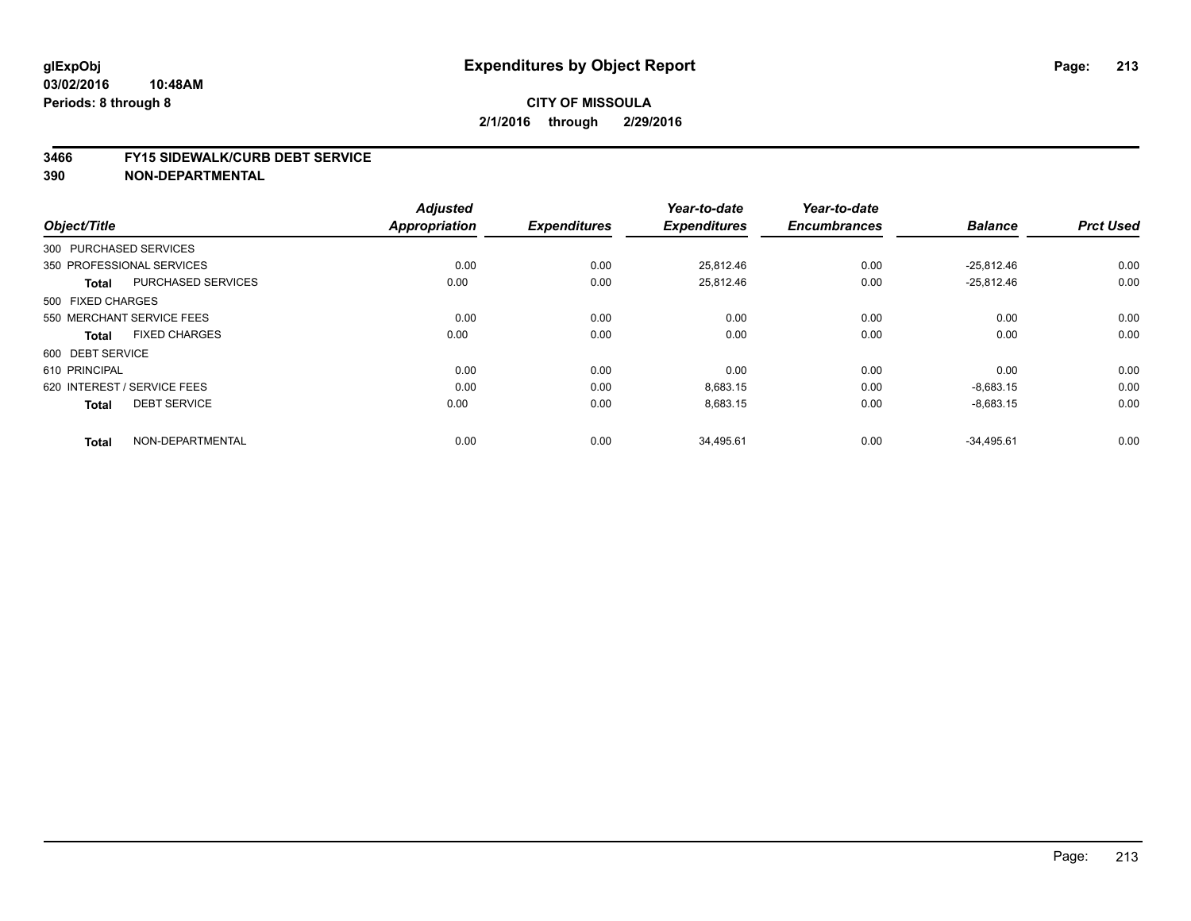## **CITY OF MISSOULA 2/1/2016 through 2/29/2016**

#### **3466 FY15 SIDEWALK/CURB DEBT SERVICE**

|                             |                           | <b>Adjusted</b>      |                     | Year-to-date        | Year-to-date        |                |                  |
|-----------------------------|---------------------------|----------------------|---------------------|---------------------|---------------------|----------------|------------------|
| Object/Title                |                           | <b>Appropriation</b> | <b>Expenditures</b> | <b>Expenditures</b> | <b>Encumbrances</b> | <b>Balance</b> | <b>Prct Used</b> |
| 300 PURCHASED SERVICES      |                           |                      |                     |                     |                     |                |                  |
| 350 PROFESSIONAL SERVICES   |                           | 0.00                 | 0.00                | 25.812.46           | 0.00                | $-25.812.46$   | 0.00             |
| <b>Total</b>                | <b>PURCHASED SERVICES</b> | 0.00                 | 0.00                | 25,812.46           | 0.00                | $-25.812.46$   | 0.00             |
| 500 FIXED CHARGES           |                           |                      |                     |                     |                     |                |                  |
| 550 MERCHANT SERVICE FEES   |                           | 0.00                 | 0.00                | 0.00                | 0.00                | 0.00           | 0.00             |
| <b>Total</b>                | <b>FIXED CHARGES</b>      | 0.00                 | 0.00                | 0.00                | 0.00                | 0.00           | 0.00             |
| 600 DEBT SERVICE            |                           |                      |                     |                     |                     |                |                  |
| 610 PRINCIPAL               |                           | 0.00                 | 0.00                | 0.00                | 0.00                | 0.00           | 0.00             |
| 620 INTEREST / SERVICE FEES |                           | 0.00                 | 0.00                | 8,683.15            | 0.00                | $-8,683.15$    | 0.00             |
| <b>Total</b>                | <b>DEBT SERVICE</b>       | 0.00                 | 0.00                | 8,683.15            | 0.00                | $-8,683.15$    | 0.00             |
| <b>Total</b>                | NON-DEPARTMENTAL          | 0.00                 | 0.00                | 34,495.61           | 0.00                | $-34,495.61$   | 0.00             |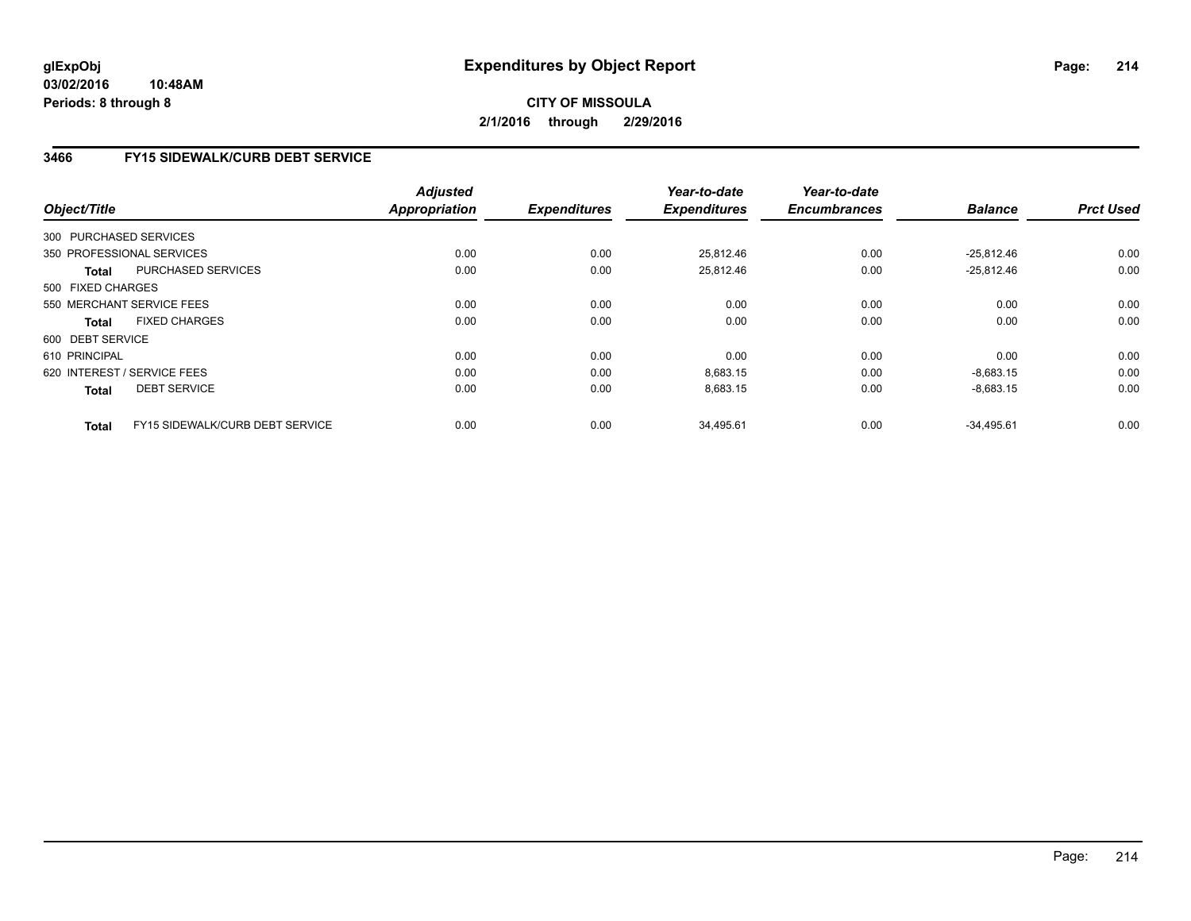## **CITY OF MISSOULA 2/1/2016 through 2/29/2016**

## **3466 FY15 SIDEWALK/CURB DEBT SERVICE**

|                        |                                        | <b>Adjusted</b>      |                     | Year-to-date        | Year-to-date        |                |                  |
|------------------------|----------------------------------------|----------------------|---------------------|---------------------|---------------------|----------------|------------------|
| Object/Title           |                                        | <b>Appropriation</b> | <b>Expenditures</b> | <b>Expenditures</b> | <b>Encumbrances</b> | <b>Balance</b> | <b>Prct Used</b> |
| 300 PURCHASED SERVICES |                                        |                      |                     |                     |                     |                |                  |
|                        | 350 PROFESSIONAL SERVICES              | 0.00                 | 0.00                | 25,812.46           | 0.00                | $-25.812.46$   | 0.00             |
| Total                  | PURCHASED SERVICES                     | 0.00                 | 0.00                | 25,812.46           | 0.00                | $-25,812.46$   | 0.00             |
| 500 FIXED CHARGES      |                                        |                      |                     |                     |                     |                |                  |
|                        | 550 MERCHANT SERVICE FEES              | 0.00                 | 0.00                | 0.00                | 0.00                | 0.00           | 0.00             |
| <b>Total</b>           | <b>FIXED CHARGES</b>                   | 0.00                 | 0.00                | 0.00                | 0.00                | 0.00           | 0.00             |
| 600 DEBT SERVICE       |                                        |                      |                     |                     |                     |                |                  |
| 610 PRINCIPAL          |                                        | 0.00                 | 0.00                | 0.00                | 0.00                | 0.00           | 0.00             |
|                        | 620 INTEREST / SERVICE FEES            | 0.00                 | 0.00                | 8,683.15            | 0.00                | $-8,683.15$    | 0.00             |
| <b>Total</b>           | <b>DEBT SERVICE</b>                    | 0.00                 | 0.00                | 8,683.15            | 0.00                | $-8,683.15$    | 0.00             |
| <b>Total</b>           | <b>FY15 SIDEWALK/CURB DEBT SERVICE</b> | 0.00                 | 0.00                | 34,495.61           | 0.00                | $-34,495.61$   | 0.00             |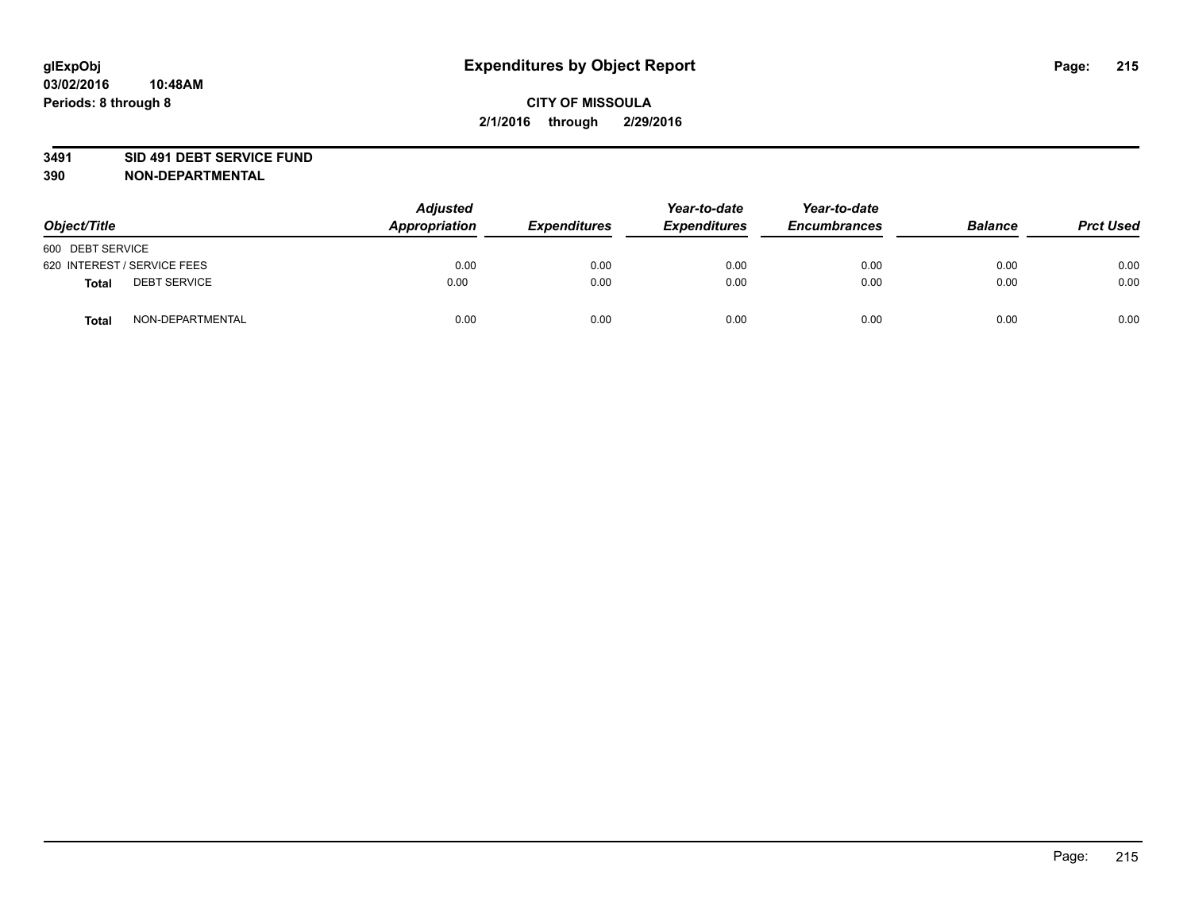#### **3491 SID 491 DEBT SERVICE FUND**

| Object/Title                 | <b>Adjusted</b><br>Appropriation | <b>Expenditures</b> | Year-to-date<br><b>Expenditures</b> | Year-to-date<br><b>Encumbrances</b> | <b>Balance</b> | <b>Prct Used</b> |
|------------------------------|----------------------------------|---------------------|-------------------------------------|-------------------------------------|----------------|------------------|
| 600 DEBT SERVICE             |                                  |                     |                                     |                                     |                |                  |
| 620 INTEREST / SERVICE FEES  | 0.00                             | 0.00                | 0.00                                | 0.00                                | 0.00           | 0.00             |
| <b>DEBT SERVICE</b><br>Total | 0.00                             | 0.00                | 0.00                                | 0.00                                | 0.00           | 0.00             |
| NON-DEPARTMENTAL<br>Total    | 0.00                             | 0.00                | 0.00                                | 0.00                                | 0.00           | 0.00             |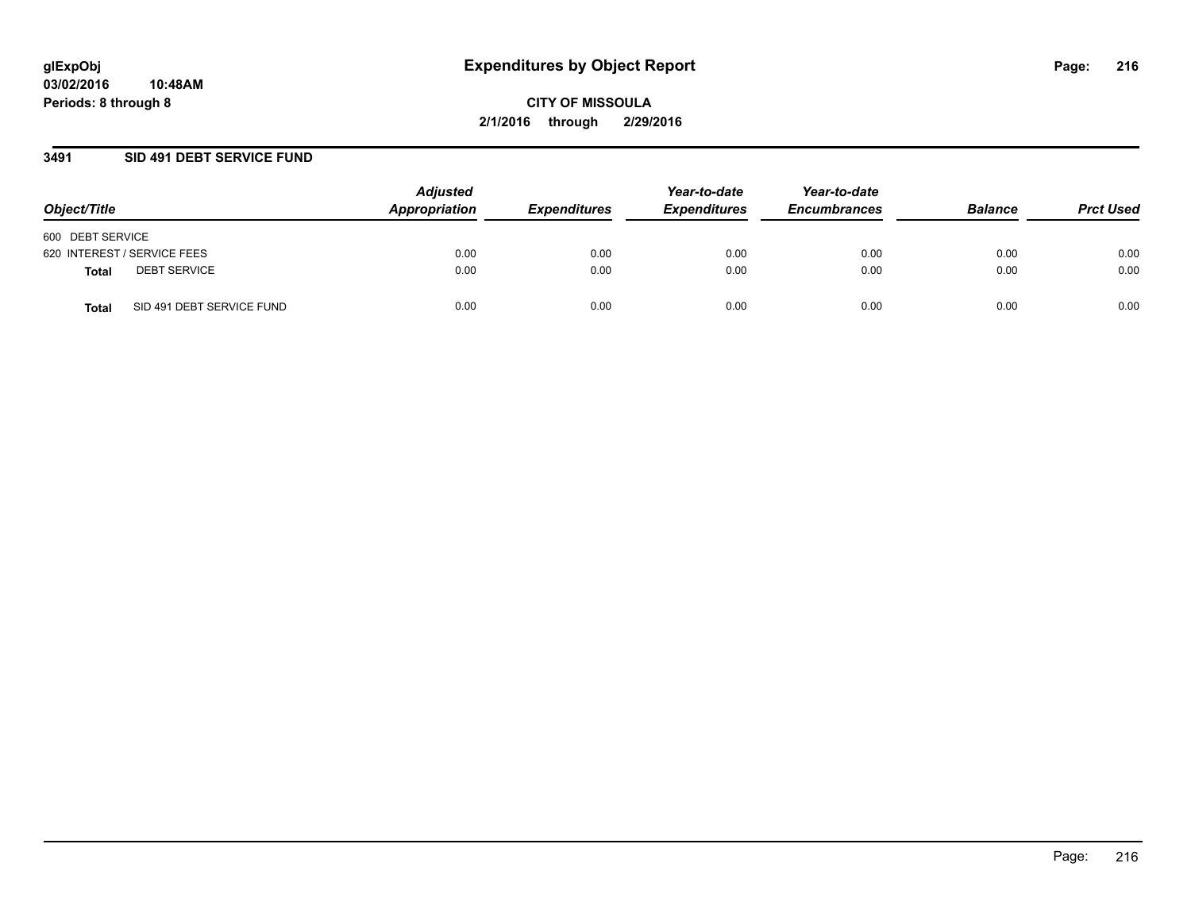### **3491 SID 491 DEBT SERVICE FUND**

| Object/Title                       | <b>Adjusted</b><br>Appropriation | <b>Expenditures</b> | Year-to-date<br><b>Expenditures</b> | Year-to-date<br><b>Encumbrances</b> | <b>Balance</b> | <b>Prct Used</b> |
|------------------------------------|----------------------------------|---------------------|-------------------------------------|-------------------------------------|----------------|------------------|
| 600 DEBT SERVICE                   |                                  |                     |                                     |                                     |                |                  |
| 620 INTEREST / SERVICE FEES        | 0.00                             | 0.00                | 0.00                                | 0.00                                | 0.00           | 0.00             |
| <b>DEBT SERVICE</b><br>Total       | 0.00                             | 0.00                | 0.00                                | 0.00                                | 0.00           | 0.00             |
| SID 491 DEBT SERVICE FUND<br>Total | 0.00                             | 0.00                | 0.00                                | 0.00                                | 0.00           | 0.00             |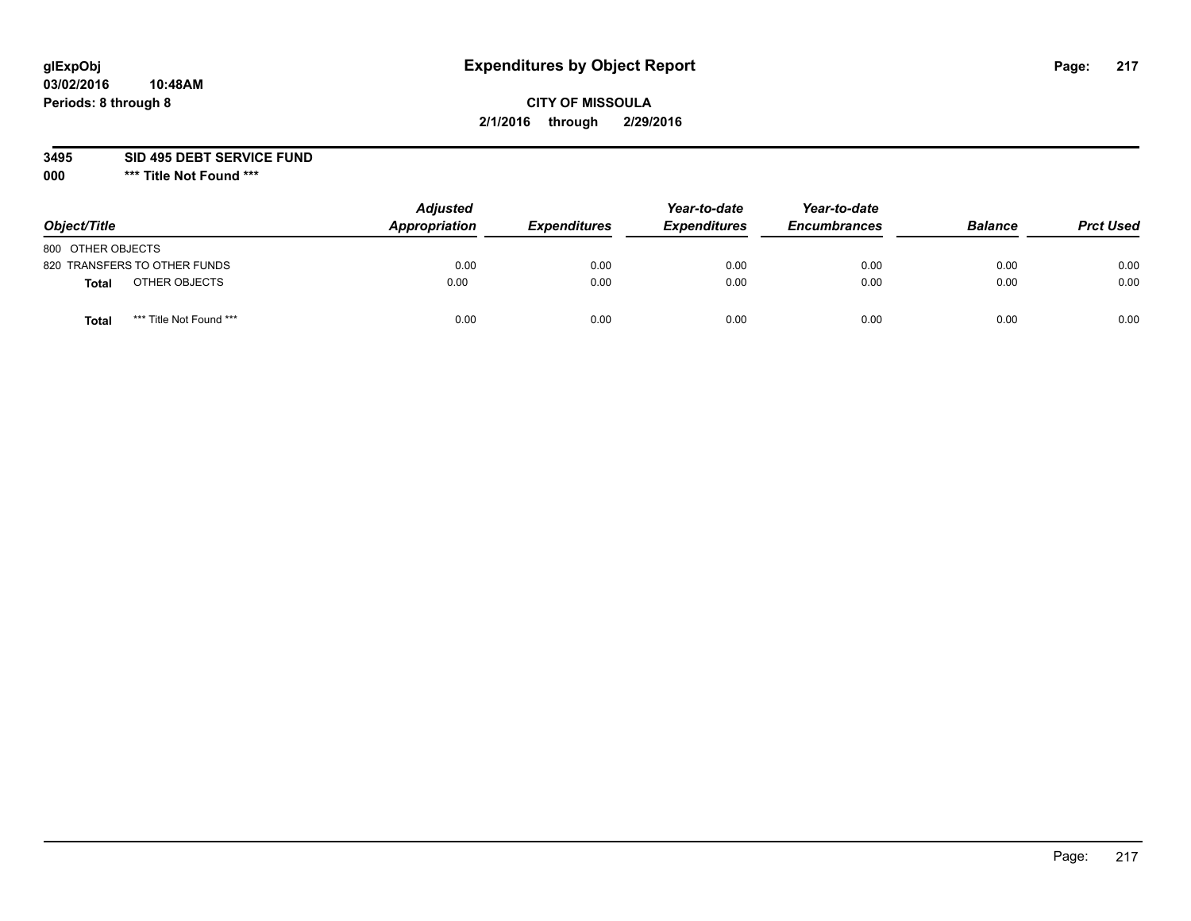### **03/02/2016 10:48AM Periods: 8 through 8**

# **CITY OF MISSOULA 2/1/2016 through 2/29/2016**

**3495 SID 495 DEBT SERVICE FUND**

| Object/Title                            | <b>Adjusted</b><br>Appropriation | <b>Expenditures</b> | Year-to-date<br><b>Expenditures</b> | Year-to-date<br><b>Encumbrances</b> | <b>Balance</b> | <b>Prct Used</b> |
|-----------------------------------------|----------------------------------|---------------------|-------------------------------------|-------------------------------------|----------------|------------------|
| 800 OTHER OBJECTS                       |                                  |                     |                                     |                                     |                |                  |
| 820 TRANSFERS TO OTHER FUNDS            | 0.00                             | 0.00                | 0.00                                | 0.00                                | 0.00           | 0.00             |
| OTHER OBJECTS<br>Total                  | 0.00                             | 0.00                | 0.00                                | 0.00                                | 0.00           | 0.00             |
| *** Title Not Found ***<br><b>Total</b> | 0.00                             | 0.00                | 0.00                                | 0.00                                | 0.00           | 0.00             |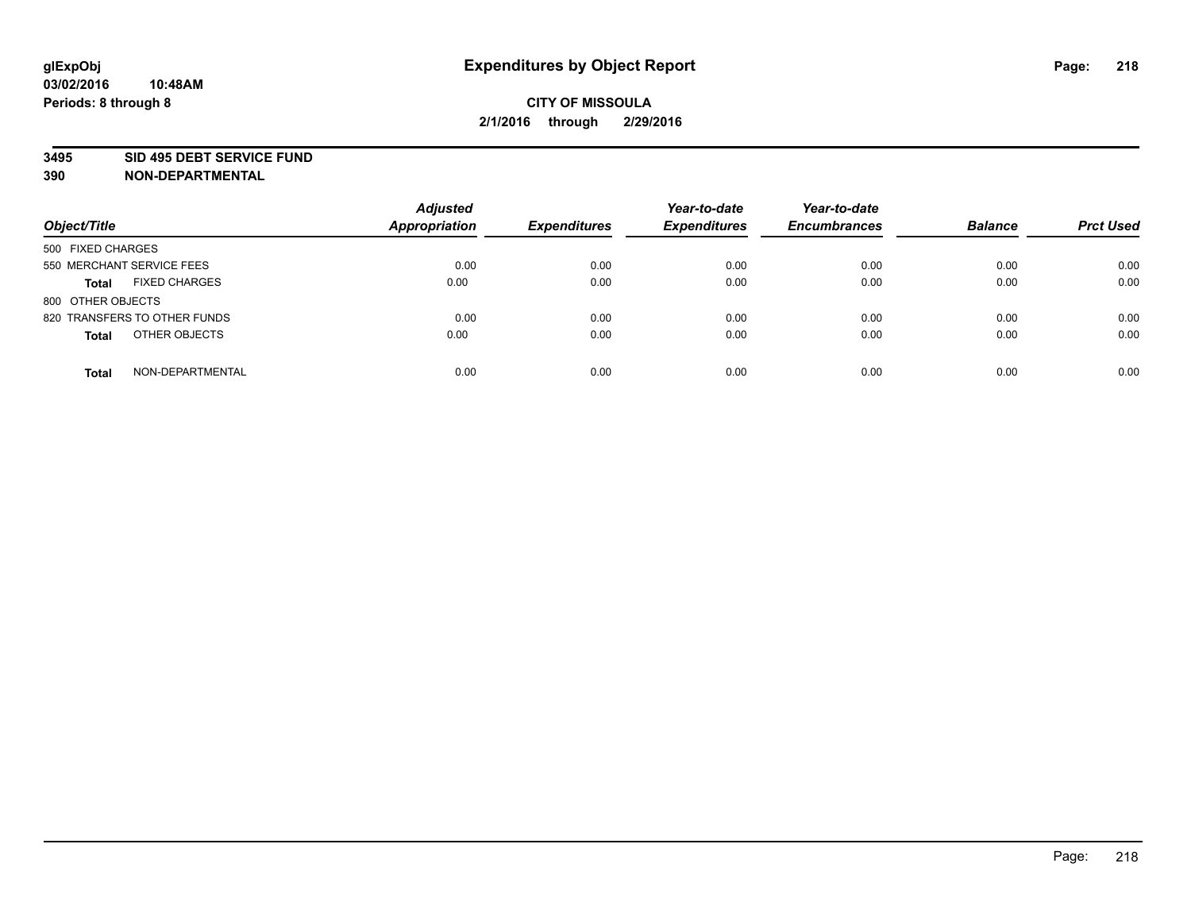### **03/02/2016 10:48AM Periods: 8 through 8**

# **CITY OF MISSOULA 2/1/2016 through 2/29/2016**

#### **3495 SID 495 DEBT SERVICE FUND**

| Object/Title                 |                      | <b>Adjusted</b><br><b>Appropriation</b> | <b>Expenditures</b> | Year-to-date<br><b>Expenditures</b> | Year-to-date<br><b>Encumbrances</b> | <b>Balance</b> | <b>Prct Used</b> |
|------------------------------|----------------------|-----------------------------------------|---------------------|-------------------------------------|-------------------------------------|----------------|------------------|
| 500 FIXED CHARGES            |                      |                                         |                     |                                     |                                     |                |                  |
| 550 MERCHANT SERVICE FEES    |                      | 0.00                                    | 0.00                | 0.00                                | 0.00                                | 0.00           | 0.00             |
| <b>Total</b>                 | <b>FIXED CHARGES</b> | 0.00                                    | 0.00                | 0.00                                | 0.00                                | 0.00           | 0.00             |
| 800 OTHER OBJECTS            |                      |                                         |                     |                                     |                                     |                |                  |
| 820 TRANSFERS TO OTHER FUNDS |                      | 0.00                                    | 0.00                | 0.00                                | 0.00                                | 0.00           | 0.00             |
| <b>Total</b>                 | OTHER OBJECTS        | 0.00                                    | 0.00                | 0.00                                | 0.00                                | 0.00           | 0.00             |
| <b>Total</b>                 | NON-DEPARTMENTAL     | 0.00                                    | 0.00                | 0.00                                | 0.00                                | 0.00           | 0.00             |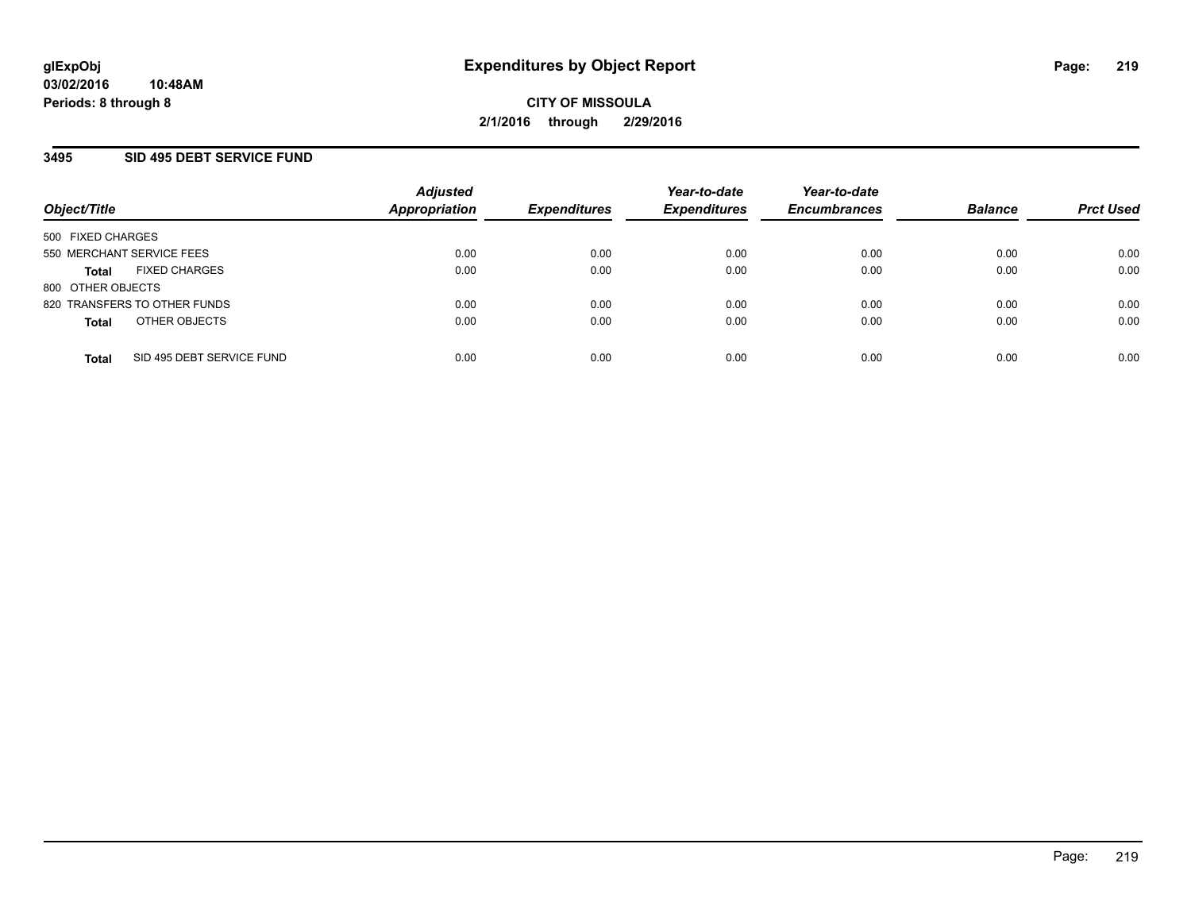## **3495 SID 495 DEBT SERVICE FUND**

| Object/Title                              | <b>Adjusted</b><br><b>Appropriation</b> | <b>Expenditures</b> | Year-to-date<br><b>Expenditures</b> | Year-to-date<br><b>Encumbrances</b> | <b>Balance</b> | <b>Prct Used</b> |
|-------------------------------------------|-----------------------------------------|---------------------|-------------------------------------|-------------------------------------|----------------|------------------|
| 500 FIXED CHARGES                         |                                         |                     |                                     |                                     |                |                  |
| 550 MERCHANT SERVICE FEES                 | 0.00                                    | 0.00                | 0.00                                | 0.00                                | 0.00           | 0.00             |
| <b>FIXED CHARGES</b><br><b>Total</b>      | 0.00                                    | 0.00                | 0.00                                | 0.00                                | 0.00           | 0.00             |
| 800 OTHER OBJECTS                         |                                         |                     |                                     |                                     |                |                  |
| 820 TRANSFERS TO OTHER FUNDS              | 0.00                                    | 0.00                | 0.00                                | 0.00                                | 0.00           | 0.00             |
| OTHER OBJECTS<br><b>Total</b>             | 0.00                                    | 0.00                | 0.00                                | 0.00                                | 0.00           | 0.00             |
| SID 495 DEBT SERVICE FUND<br><b>Total</b> | 0.00                                    | 0.00                | 0.00                                | 0.00                                | 0.00           | 0.00             |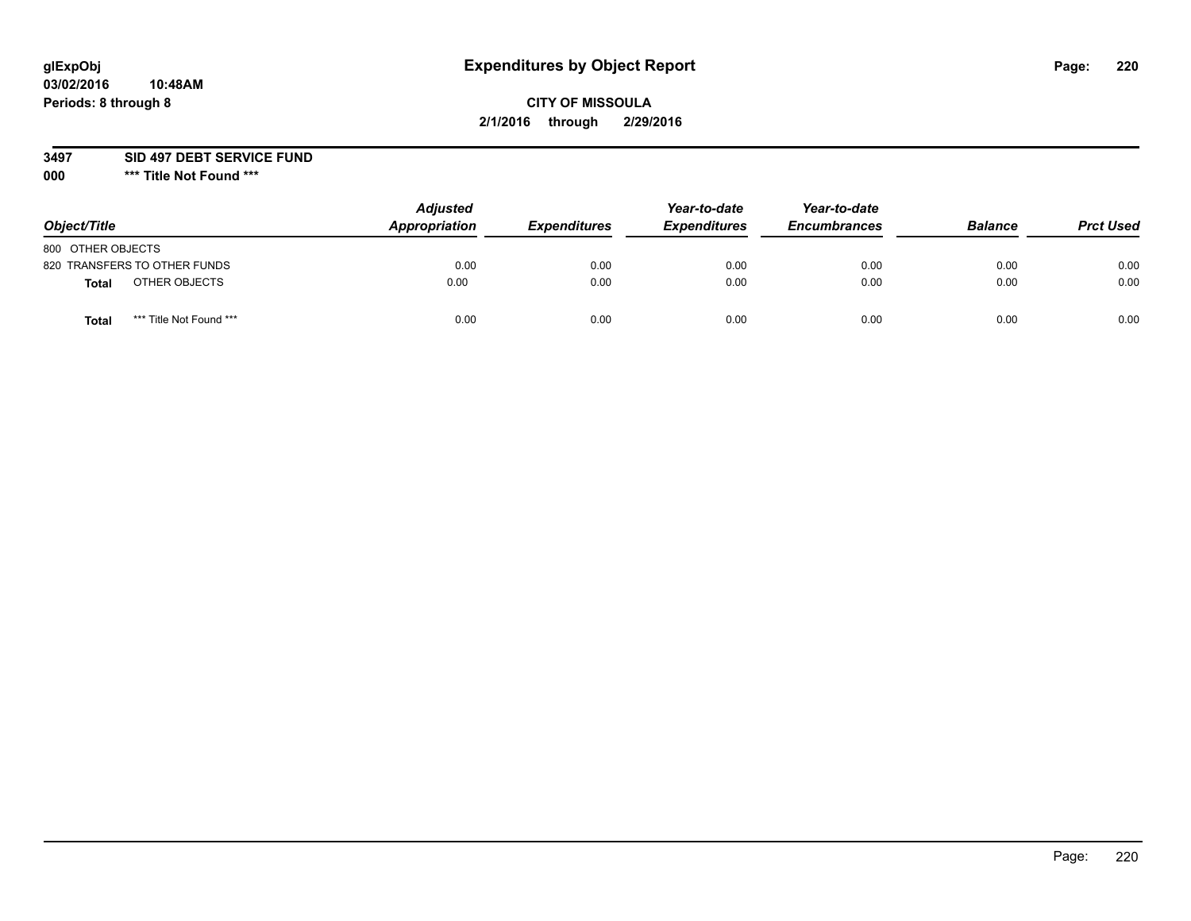### **03/02/2016 10:48AM Periods: 8 through 8**

# **CITY OF MISSOULA 2/1/2016 through 2/29/2016**

**3497 SID 497 DEBT SERVICE FUND**

| Object/Title                            | <b>Adjusted</b><br>Appropriation | <b>Expenditures</b> | Year-to-date<br><b>Expenditures</b> | Year-to-date<br><b>Encumbrances</b> | <b>Balance</b> | <b>Prct Used</b> |
|-----------------------------------------|----------------------------------|---------------------|-------------------------------------|-------------------------------------|----------------|------------------|
| 800 OTHER OBJECTS                       |                                  |                     |                                     |                                     |                |                  |
| 820 TRANSFERS TO OTHER FUNDS            | 0.00                             | 0.00                | 0.00                                | 0.00                                | 0.00           | 0.00             |
| OTHER OBJECTS<br><b>Total</b>           | 0.00                             | 0.00                | 0.00                                | 0.00                                | 0.00           | 0.00             |
| *** Title Not Found ***<br><b>Total</b> | 0.00                             | 0.00                | 0.00                                | 0.00                                | 0.00           | 0.00             |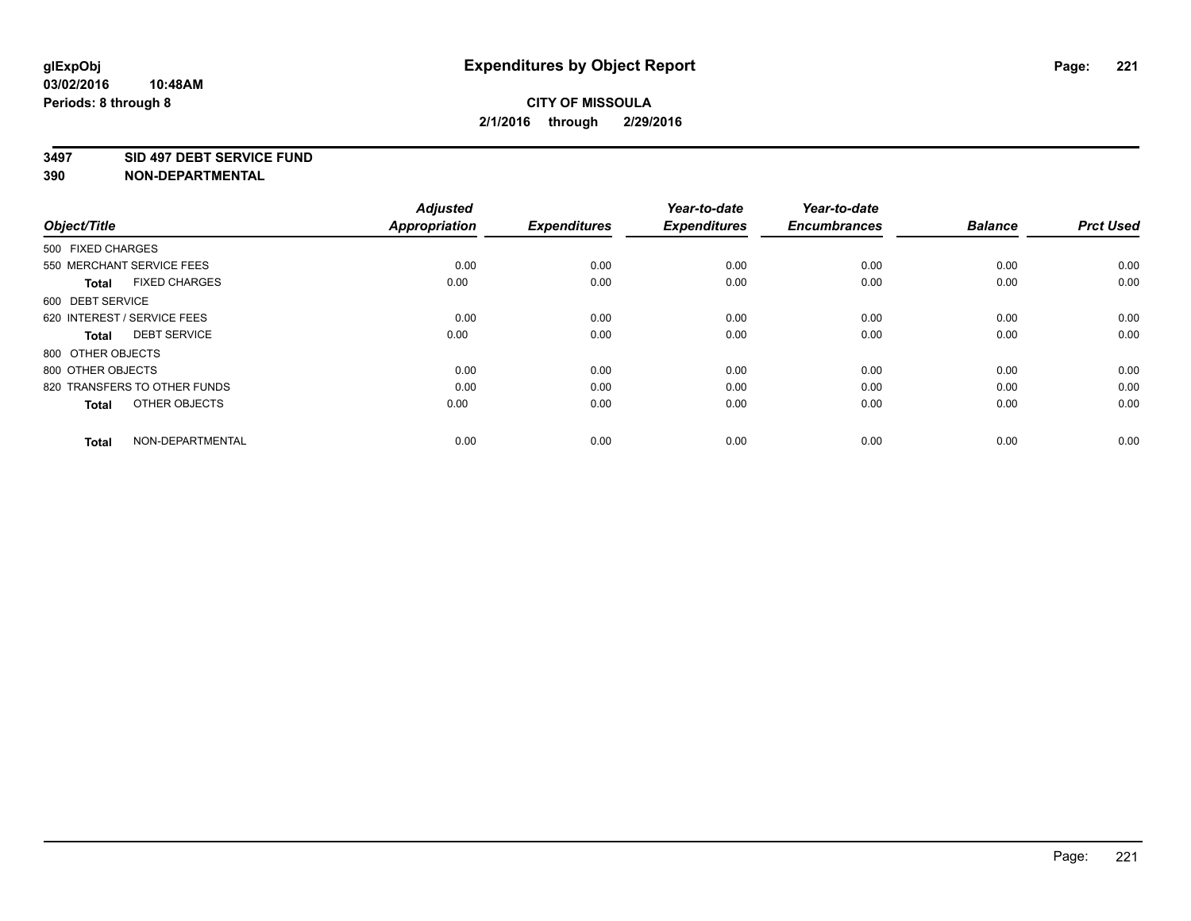#### **3497 SID 497 DEBT SERVICE FUND**

| Object/Title                         | <b>Adjusted</b><br><b>Appropriation</b> | <b>Expenditures</b> | Year-to-date<br><b>Expenditures</b> | Year-to-date<br><b>Encumbrances</b> | <b>Balance</b> | <b>Prct Used</b> |
|--------------------------------------|-----------------------------------------|---------------------|-------------------------------------|-------------------------------------|----------------|------------------|
| 500 FIXED CHARGES                    |                                         |                     |                                     |                                     |                |                  |
| 550 MERCHANT SERVICE FEES            | 0.00                                    | 0.00                | 0.00                                | 0.00                                | 0.00           | 0.00             |
| <b>FIXED CHARGES</b><br><b>Total</b> | 0.00                                    | 0.00                | 0.00                                | 0.00                                | 0.00           | 0.00             |
| 600 DEBT SERVICE                     |                                         |                     |                                     |                                     |                |                  |
| 620 INTEREST / SERVICE FEES          | 0.00                                    | 0.00                | 0.00                                | 0.00                                | 0.00           | 0.00             |
| <b>DEBT SERVICE</b><br><b>Total</b>  | 0.00                                    | 0.00                | 0.00                                | 0.00                                | 0.00           | 0.00             |
| 800 OTHER OBJECTS                    |                                         |                     |                                     |                                     |                |                  |
| 800 OTHER OBJECTS                    | 0.00                                    | 0.00                | 0.00                                | 0.00                                | 0.00           | 0.00             |
| 820 TRANSFERS TO OTHER FUNDS         | 0.00                                    | 0.00                | 0.00                                | 0.00                                | 0.00           | 0.00             |
| OTHER OBJECTS<br><b>Total</b>        | 0.00                                    | 0.00                | 0.00                                | 0.00                                | 0.00           | 0.00             |
|                                      |                                         |                     |                                     |                                     |                |                  |
| NON-DEPARTMENTAL<br><b>Total</b>     | 0.00                                    | 0.00                | 0.00                                | 0.00                                | 0.00           | 0.00             |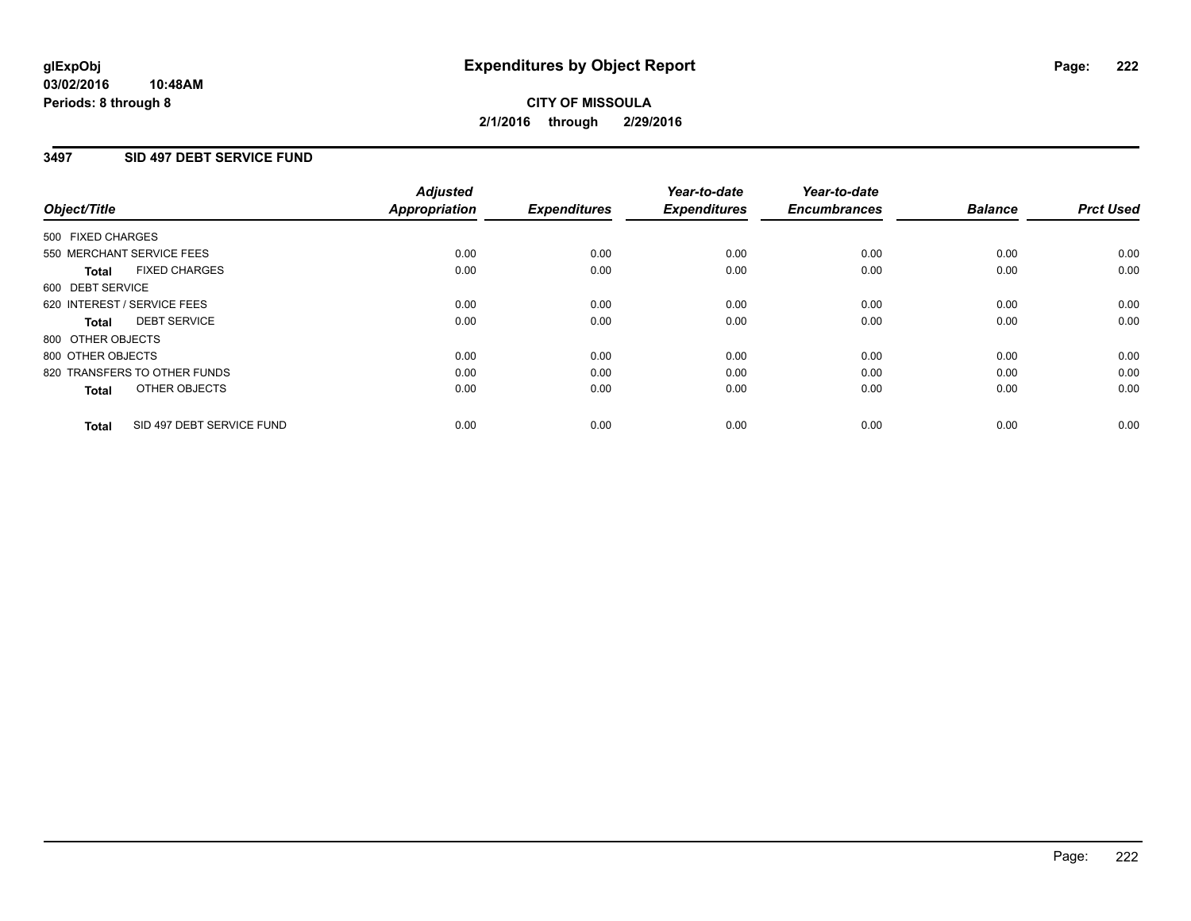## **3497 SID 497 DEBT SERVICE FUND**

|                                           | <b>Adjusted</b>      | <b>Expenditures</b> | Year-to-date<br><b>Expenditures</b> | Year-to-date<br><b>Encumbrances</b> | <b>Balance</b> | <b>Prct Used</b> |
|-------------------------------------------|----------------------|---------------------|-------------------------------------|-------------------------------------|----------------|------------------|
| Object/Title                              | <b>Appropriation</b> |                     |                                     |                                     |                |                  |
| 500 FIXED CHARGES                         |                      |                     |                                     |                                     |                |                  |
| 550 MERCHANT SERVICE FEES                 | 0.00                 | 0.00                | 0.00                                | 0.00                                | 0.00           | 0.00             |
| <b>FIXED CHARGES</b><br><b>Total</b>      | 0.00                 | 0.00                | 0.00                                | 0.00                                | 0.00           | 0.00             |
| 600 DEBT SERVICE                          |                      |                     |                                     |                                     |                |                  |
| 620 INTEREST / SERVICE FEES               | 0.00                 | 0.00                | 0.00                                | 0.00                                | 0.00           | 0.00             |
| <b>DEBT SERVICE</b><br>Total              | 0.00                 | 0.00                | 0.00                                | 0.00                                | 0.00           | 0.00             |
| 800 OTHER OBJECTS                         |                      |                     |                                     |                                     |                |                  |
| 800 OTHER OBJECTS                         | 0.00                 | 0.00                | 0.00                                | 0.00                                | 0.00           | 0.00             |
| 820 TRANSFERS TO OTHER FUNDS              | 0.00                 | 0.00                | 0.00                                | 0.00                                | 0.00           | 0.00             |
| OTHER OBJECTS<br><b>Total</b>             | 0.00                 | 0.00                | 0.00                                | 0.00                                | 0.00           | 0.00             |
|                                           |                      |                     |                                     |                                     |                |                  |
| SID 497 DEBT SERVICE FUND<br><b>Total</b> | 0.00                 | 0.00                | 0.00                                | 0.00                                | 0.00           | 0.00             |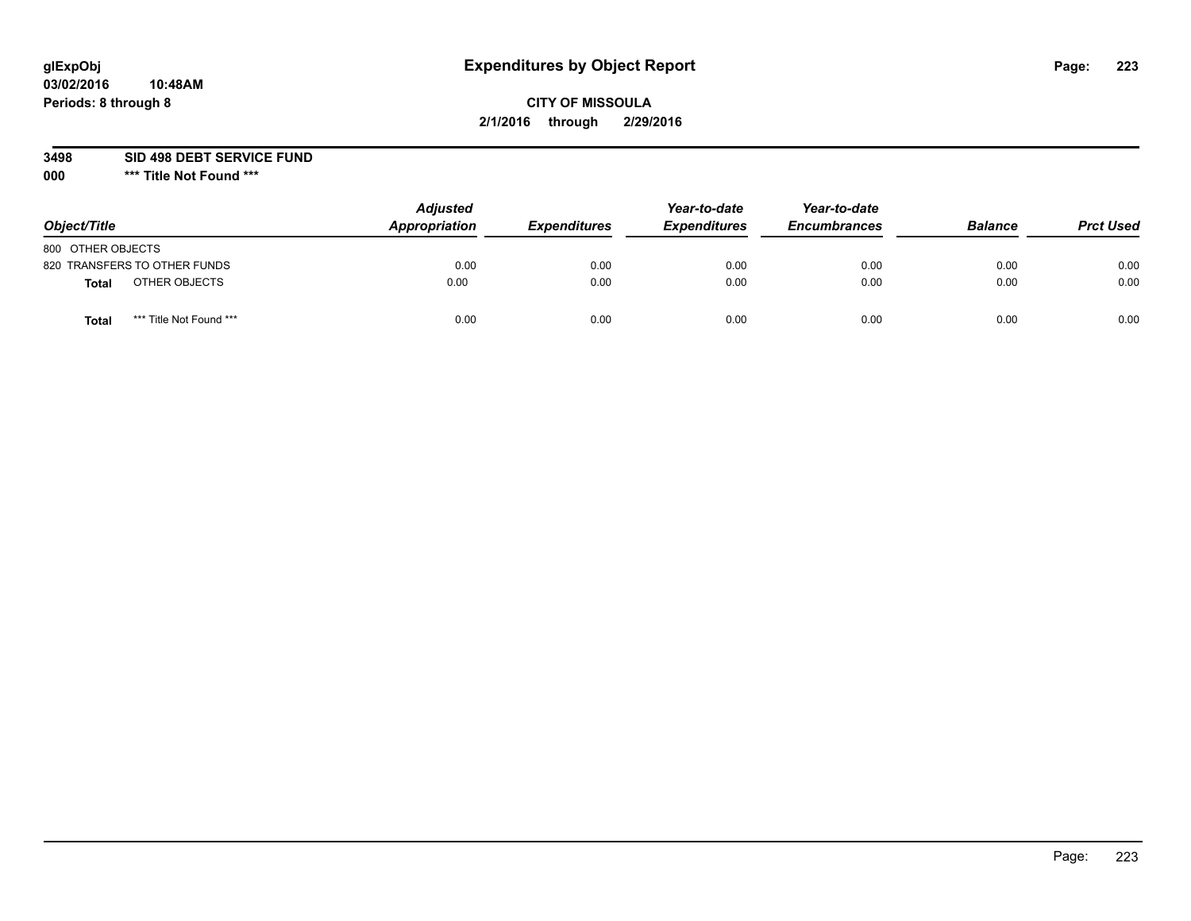### **03/02/2016 10:48AM Periods: 8 through 8**

# **CITY OF MISSOULA 2/1/2016 through 2/29/2016**

**3498 SID 498 DEBT SERVICE FUND**

| Object/Title                            | <b>Adjusted</b><br>Appropriation | <b>Expenditures</b> | Year-to-date<br><b>Expenditures</b> | Year-to-date<br><b>Encumbrances</b> | <b>Balance</b> | <b>Prct Used</b> |
|-----------------------------------------|----------------------------------|---------------------|-------------------------------------|-------------------------------------|----------------|------------------|
| 800 OTHER OBJECTS                       |                                  |                     |                                     |                                     |                |                  |
| 820 TRANSFERS TO OTHER FUNDS            | 0.00                             | 0.00                | 0.00                                | 0.00                                | 0.00           | 0.00             |
| OTHER OBJECTS<br><b>Total</b>           | 0.00                             | 0.00                | 0.00                                | 0.00                                | 0.00           | 0.00             |
| *** Title Not Found ***<br><b>Total</b> | 0.00                             | 0.00                | 0.00                                | 0.00                                | 0.00           | 0.00             |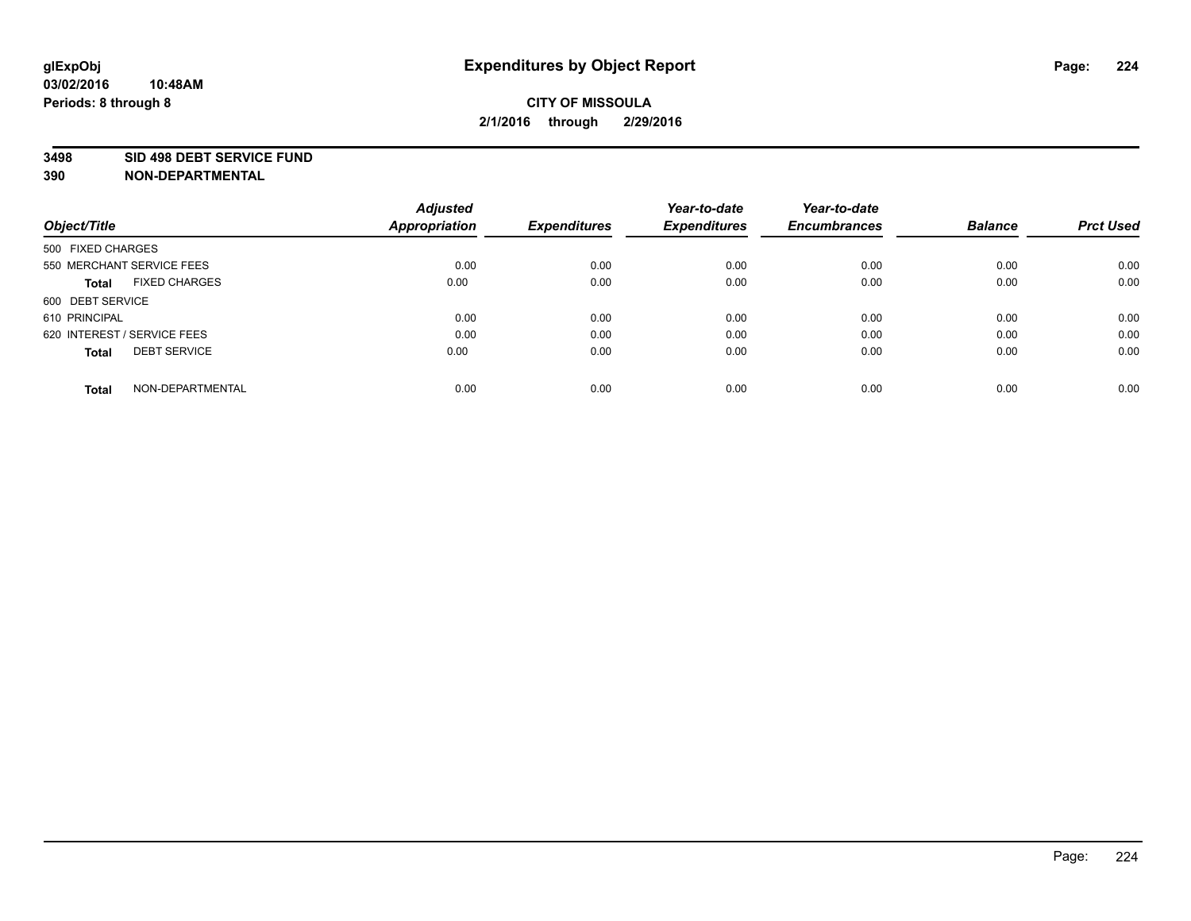#### **3498 SID 498 DEBT SERVICE FUND**

|                                      | <b>Adjusted</b>      |                     | Year-to-date        | Year-to-date        |                |                  |
|--------------------------------------|----------------------|---------------------|---------------------|---------------------|----------------|------------------|
| Object/Title                         | <b>Appropriation</b> | <b>Expenditures</b> | <b>Expenditures</b> | <b>Encumbrances</b> | <b>Balance</b> | <b>Prct Used</b> |
| 500 FIXED CHARGES                    |                      |                     |                     |                     |                |                  |
| 550 MERCHANT SERVICE FEES            | 0.00                 | 0.00                | 0.00                | 0.00                | 0.00           | 0.00             |
| <b>FIXED CHARGES</b><br><b>Total</b> | 0.00                 | 0.00                | 0.00                | 0.00                | 0.00           | 0.00             |
| 600 DEBT SERVICE                     |                      |                     |                     |                     |                |                  |
| 610 PRINCIPAL                        | 0.00                 | 0.00                | 0.00                | 0.00                | 0.00           | 0.00             |
| 620 INTEREST / SERVICE FEES          | 0.00                 | 0.00                | 0.00                | 0.00                | 0.00           | 0.00             |
| <b>DEBT SERVICE</b><br><b>Total</b>  | 0.00                 | 0.00                | 0.00                | 0.00                | 0.00           | 0.00             |
| NON-DEPARTMENTAL<br>Total            | 0.00                 | 0.00                | 0.00                | 0.00                | 0.00           | 0.00             |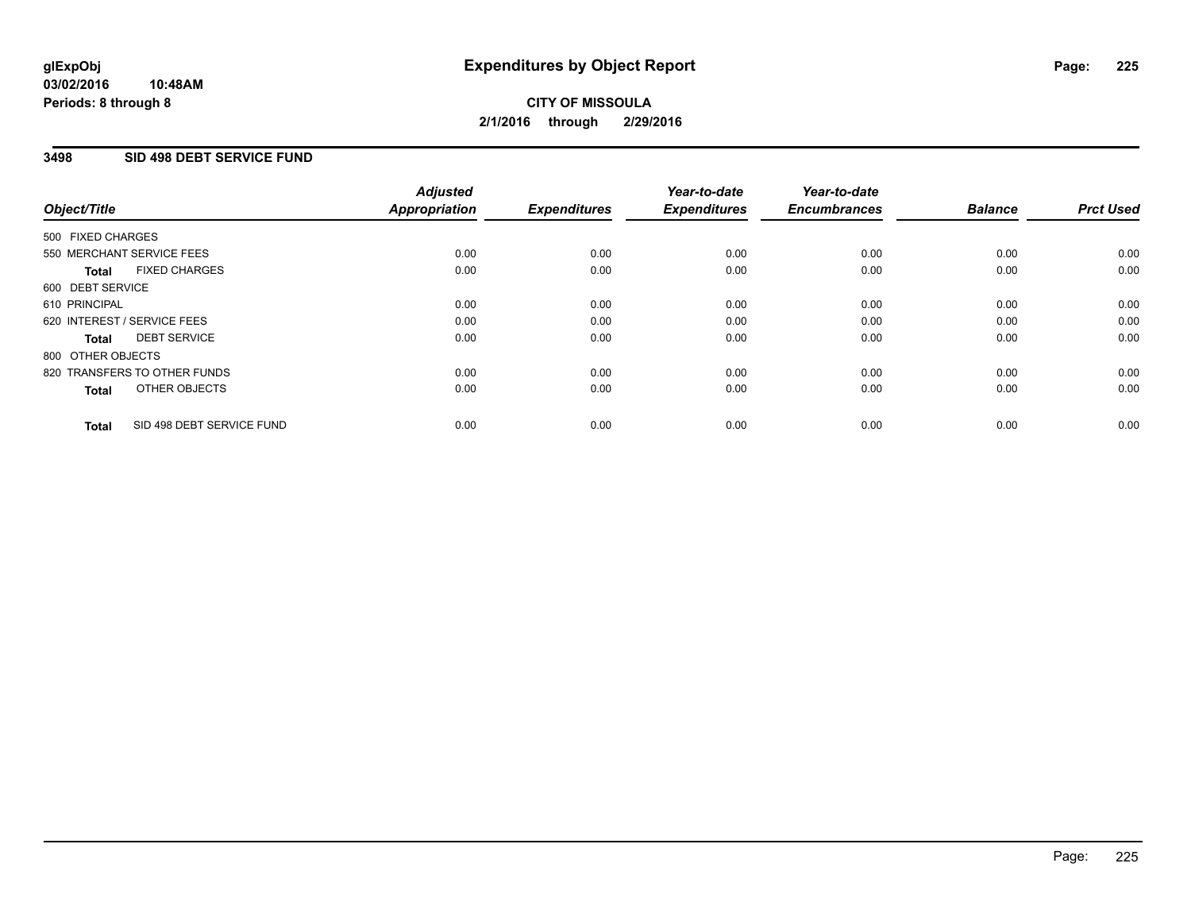## **3498 SID 498 DEBT SERVICE FUND**

| Object/Title                              | <b>Adjusted</b><br><b>Appropriation</b> | <b>Expenditures</b> | Year-to-date<br><b>Expenditures</b> | Year-to-date<br><b>Encumbrances</b> | <b>Balance</b> | <b>Prct Used</b> |
|-------------------------------------------|-----------------------------------------|---------------------|-------------------------------------|-------------------------------------|----------------|------------------|
|                                           |                                         |                     |                                     |                                     |                |                  |
| 500 FIXED CHARGES                         |                                         |                     |                                     |                                     |                |                  |
| 550 MERCHANT SERVICE FEES                 | 0.00                                    | 0.00                | 0.00                                | 0.00                                | 0.00           | 0.00             |
| <b>FIXED CHARGES</b><br><b>Total</b>      | 0.00                                    | 0.00                | 0.00                                | 0.00                                | 0.00           | 0.00             |
| 600 DEBT SERVICE                          |                                         |                     |                                     |                                     |                |                  |
| 610 PRINCIPAL                             | 0.00                                    | 0.00                | 0.00                                | 0.00                                | 0.00           | 0.00             |
| 620 INTEREST / SERVICE FEES               | 0.00                                    | 0.00                | 0.00                                | 0.00                                | 0.00           | 0.00             |
| <b>DEBT SERVICE</b><br><b>Total</b>       | 0.00                                    | 0.00                | 0.00                                | 0.00                                | 0.00           | 0.00             |
| 800 OTHER OBJECTS                         |                                         |                     |                                     |                                     |                |                  |
| 820 TRANSFERS TO OTHER FUNDS              | 0.00                                    | 0.00                | 0.00                                | 0.00                                | 0.00           | 0.00             |
| OTHER OBJECTS<br><b>Total</b>             | 0.00                                    | 0.00                | 0.00                                | 0.00                                | 0.00           | 0.00             |
|                                           |                                         |                     |                                     |                                     |                |                  |
| SID 498 DEBT SERVICE FUND<br><b>Total</b> | 0.00                                    | 0.00                | 0.00                                | 0.00                                | 0.00           | 0.00             |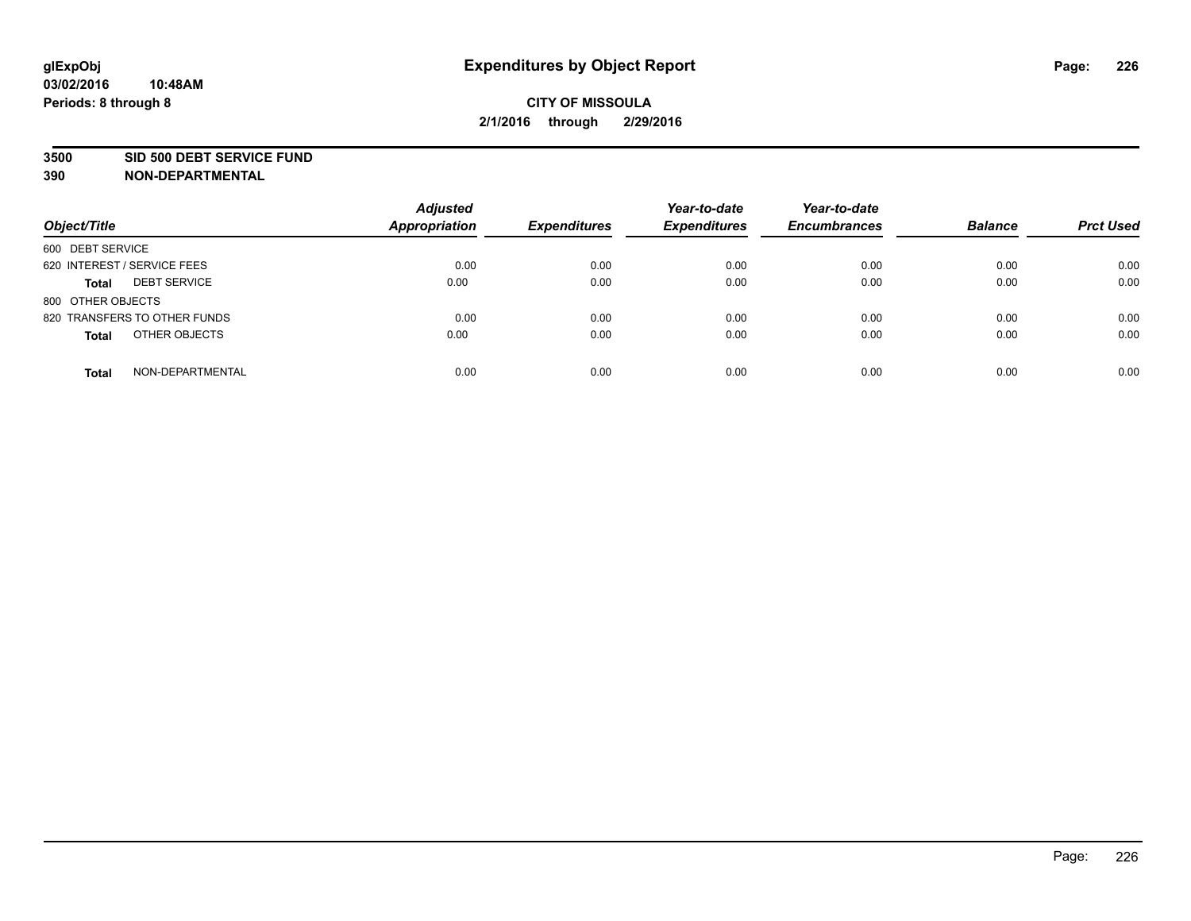#### **3500 SID 500 DEBT SERVICE FUND**

| Object/Title                        | <b>Adjusted</b><br><b>Appropriation</b> | <b>Expenditures</b> | Year-to-date<br><b>Expenditures</b> | Year-to-date<br><b>Encumbrances</b> | <b>Balance</b> | <b>Prct Used</b> |
|-------------------------------------|-----------------------------------------|---------------------|-------------------------------------|-------------------------------------|----------------|------------------|
| 600 DEBT SERVICE                    |                                         |                     |                                     |                                     |                |                  |
| 620 INTEREST / SERVICE FEES         | 0.00                                    | 0.00                | 0.00                                | 0.00                                | 0.00           | 0.00             |
| <b>DEBT SERVICE</b><br><b>Total</b> | 0.00                                    | 0.00                | 0.00                                | 0.00                                | 0.00           | 0.00             |
| 800 OTHER OBJECTS                   |                                         |                     |                                     |                                     |                |                  |
| 820 TRANSFERS TO OTHER FUNDS        | 0.00                                    | 0.00                | 0.00                                | 0.00                                | 0.00           | 0.00             |
| OTHER OBJECTS<br><b>Total</b>       | 0.00                                    | 0.00                | 0.00                                | 0.00                                | 0.00           | 0.00             |
| NON-DEPARTMENTAL<br><b>Total</b>    | 0.00                                    | 0.00                | 0.00                                | 0.00                                | 0.00           | 0.00             |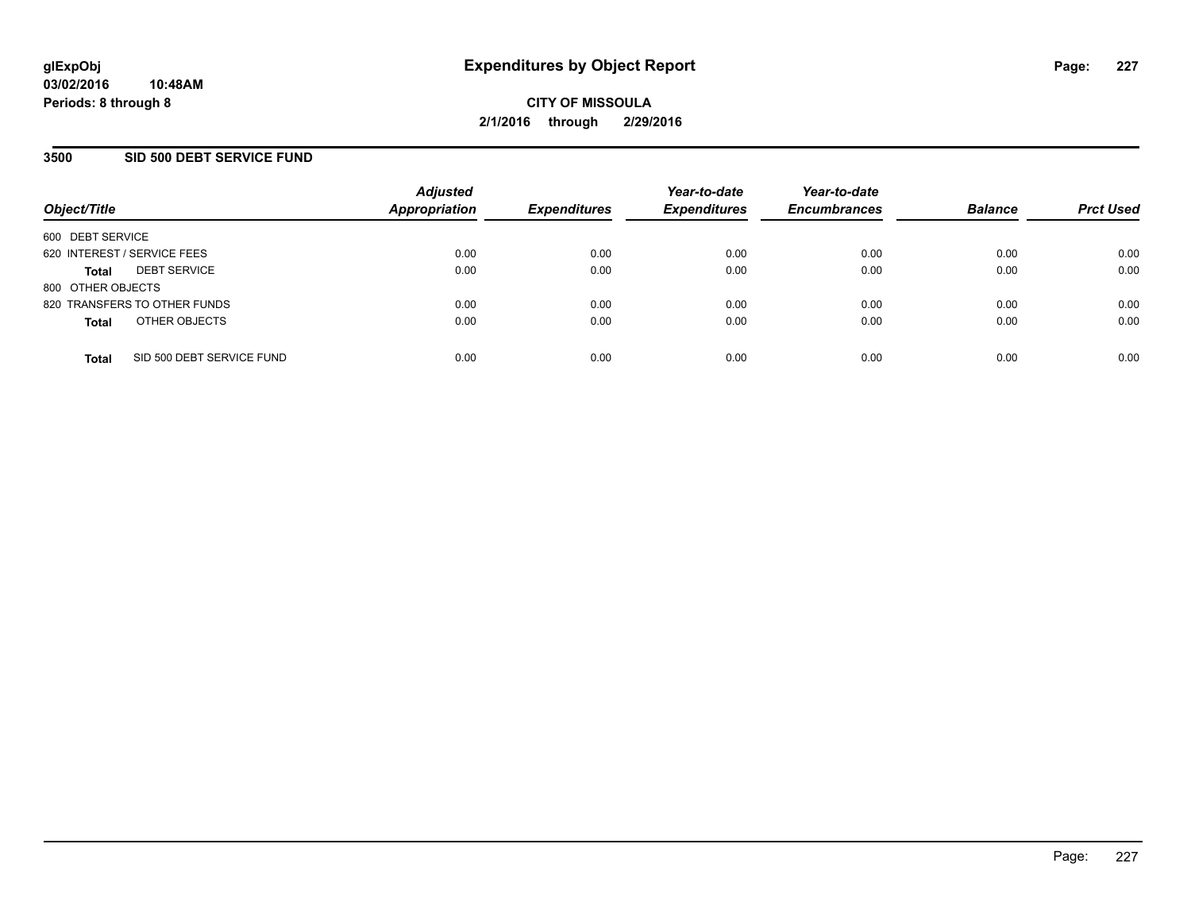## **3500 SID 500 DEBT SERVICE FUND**

| Object/Title                              | <b>Adjusted</b><br><b>Appropriation</b> | <b>Expenditures</b> | Year-to-date<br><b>Expenditures</b> | Year-to-date<br><b>Encumbrances</b> | <b>Balance</b> | <b>Prct Used</b> |
|-------------------------------------------|-----------------------------------------|---------------------|-------------------------------------|-------------------------------------|----------------|------------------|
| 600 DEBT SERVICE                          |                                         |                     |                                     |                                     |                |                  |
| 620 INTEREST / SERVICE FEES               | 0.00                                    | 0.00                | 0.00                                | 0.00                                | 0.00           | 0.00             |
| <b>DEBT SERVICE</b><br><b>Total</b>       | 0.00                                    | 0.00                | 0.00                                | 0.00                                | 0.00           | 0.00             |
| 800 OTHER OBJECTS                         |                                         |                     |                                     |                                     |                |                  |
| 820 TRANSFERS TO OTHER FUNDS              | 0.00                                    | 0.00                | 0.00                                | 0.00                                | 0.00           | 0.00             |
| OTHER OBJECTS<br><b>Total</b>             | 0.00                                    | 0.00                | 0.00                                | 0.00                                | 0.00           | 0.00             |
| SID 500 DEBT SERVICE FUND<br><b>Total</b> | 0.00                                    | 0.00                | 0.00                                | 0.00                                | 0.00           | 0.00             |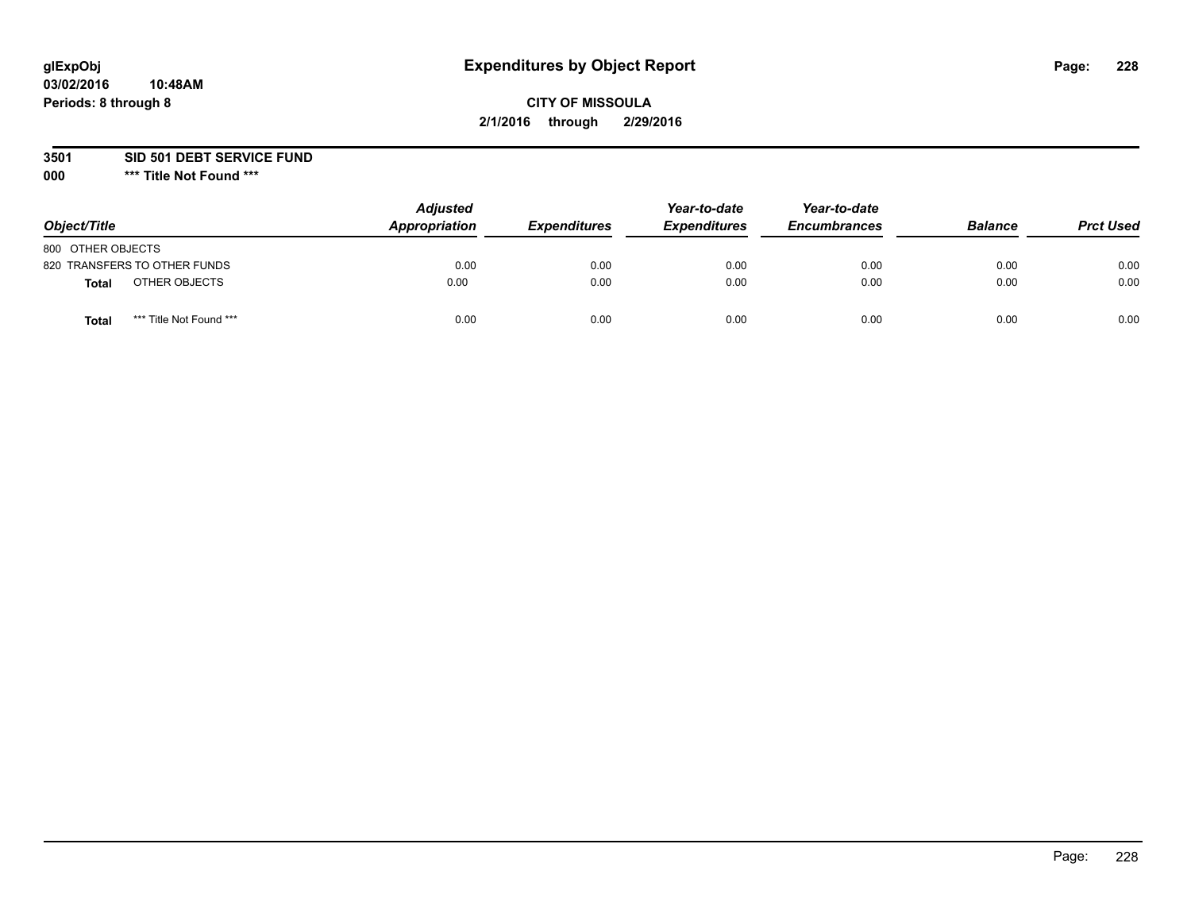# **CITY OF MISSOULA 2/1/2016 through 2/29/2016**

**3501 SID 501 DEBT SERVICE FUND**

| Object/Title                     | <b>Adjusted</b><br>Appropriation | <b>Expenditures</b> | Year-to-date<br><b>Expenditures</b> | Year-to-date<br><b>Encumbrances</b> | <b>Balance</b> | <b>Prct Used</b> |
|----------------------------------|----------------------------------|---------------------|-------------------------------------|-------------------------------------|----------------|------------------|
| 800 OTHER OBJECTS                |                                  |                     |                                     |                                     |                |                  |
| 820 TRANSFERS TO OTHER FUNDS     | 0.00                             | 0.00                | 0.00                                | 0.00                                | 0.00           | 0.00             |
| OTHER OBJECTS<br><b>Total</b>    | 0.00                             | 0.00                | 0.00                                | 0.00                                | 0.00           | 0.00             |
| *** Title Not Found ***<br>Total | 0.00                             | 0.00                | 0.00                                | 0.00                                | 0.00           | 0.00             |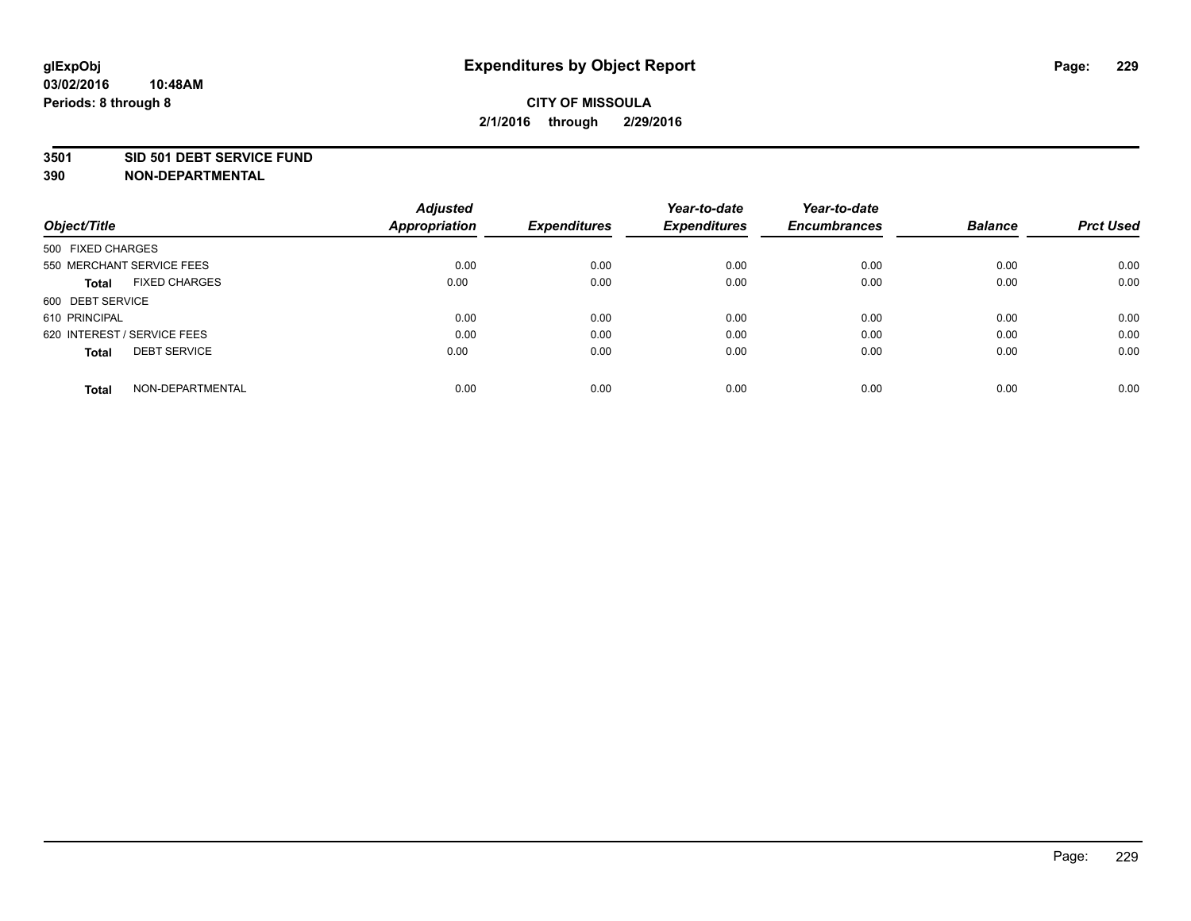#### **3501 SID 501 DEBT SERVICE FUND**

| Object/Title                         | <b>Adjusted</b><br><b>Appropriation</b> | <b>Expenditures</b> | Year-to-date<br><b>Expenditures</b> | Year-to-date<br><b>Encumbrances</b> | <b>Balance</b> | <b>Prct Used</b> |
|--------------------------------------|-----------------------------------------|---------------------|-------------------------------------|-------------------------------------|----------------|------------------|
|                                      |                                         |                     |                                     |                                     |                |                  |
| 500 FIXED CHARGES                    |                                         |                     |                                     |                                     |                |                  |
| 550 MERCHANT SERVICE FEES            | 0.00                                    | 0.00                | 0.00                                | 0.00                                | 0.00           | 0.00             |
| <b>FIXED CHARGES</b><br><b>Total</b> | 0.00                                    | 0.00                | 0.00                                | 0.00                                | 0.00           | 0.00             |
| 600 DEBT SERVICE                     |                                         |                     |                                     |                                     |                |                  |
| 610 PRINCIPAL                        | 0.00                                    | 0.00                | 0.00                                | 0.00                                | 0.00           | 0.00             |
| 620 INTEREST / SERVICE FEES          | 0.00                                    | 0.00                | 0.00                                | 0.00                                | 0.00           | 0.00             |
| <b>DEBT SERVICE</b><br><b>Total</b>  | 0.00                                    | 0.00                | 0.00                                | 0.00                                | 0.00           | 0.00             |
| NON-DEPARTMENTAL<br><b>Total</b>     | 0.00                                    | 0.00                | 0.00                                | 0.00                                | 0.00           | 0.00             |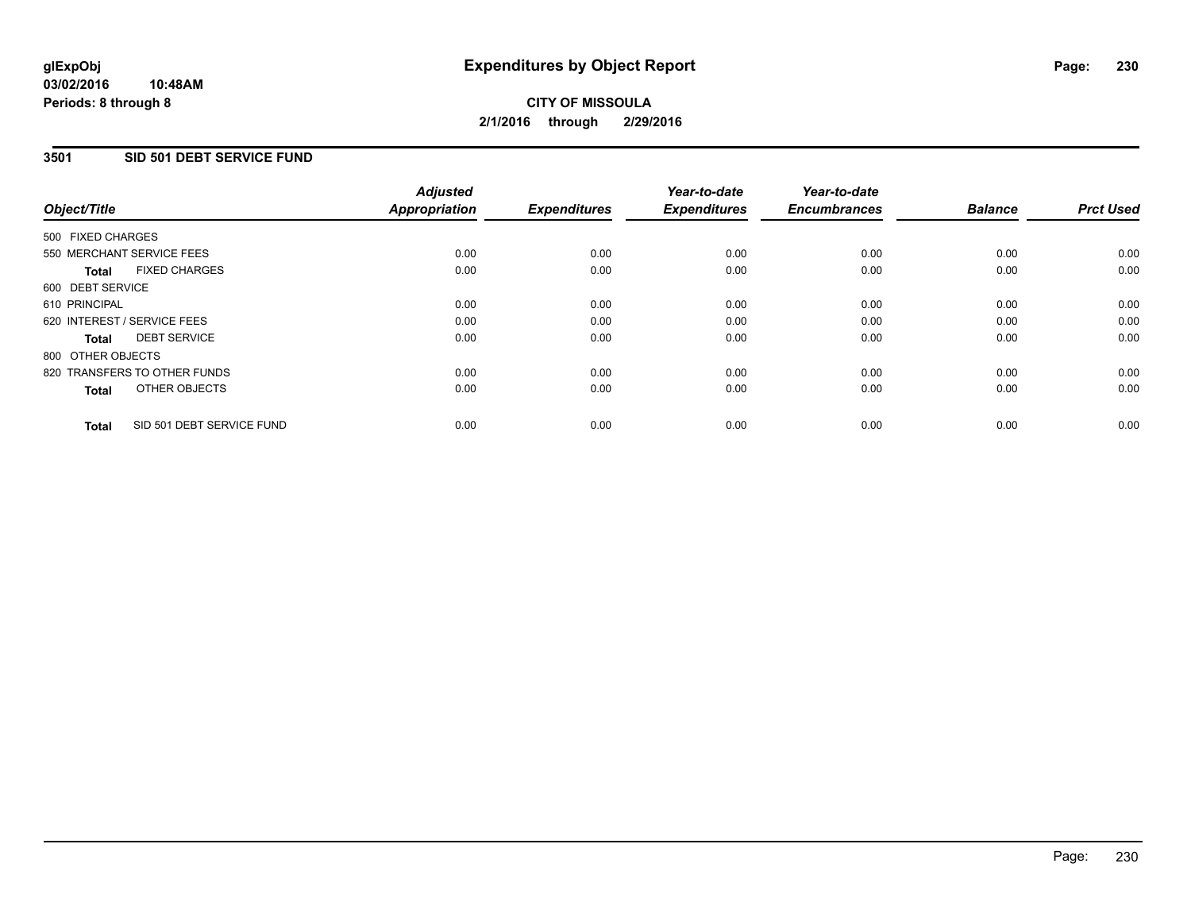## **3501 SID 501 DEBT SERVICE FUND**

| Object/Title                              | <b>Adjusted</b><br><b>Appropriation</b> | <b>Expenditures</b> | Year-to-date<br><b>Expenditures</b> | Year-to-date<br><b>Encumbrances</b> | <b>Balance</b> | <b>Prct Used</b> |
|-------------------------------------------|-----------------------------------------|---------------------|-------------------------------------|-------------------------------------|----------------|------------------|
|                                           |                                         |                     |                                     |                                     |                |                  |
| 500 FIXED CHARGES                         |                                         |                     |                                     |                                     |                |                  |
| 550 MERCHANT SERVICE FEES                 | 0.00                                    | 0.00                | 0.00                                | 0.00                                | 0.00           | 0.00             |
| <b>FIXED CHARGES</b><br><b>Total</b>      | 0.00                                    | 0.00                | 0.00                                | 0.00                                | 0.00           | 0.00             |
| 600 DEBT SERVICE                          |                                         |                     |                                     |                                     |                |                  |
| 610 PRINCIPAL                             | 0.00                                    | 0.00                | 0.00                                | 0.00                                | 0.00           | 0.00             |
| 620 INTEREST / SERVICE FEES               | 0.00                                    | 0.00                | 0.00                                | 0.00                                | 0.00           | 0.00             |
| <b>DEBT SERVICE</b><br><b>Total</b>       | 0.00                                    | 0.00                | 0.00                                | 0.00                                | 0.00           | 0.00             |
| 800 OTHER OBJECTS                         |                                         |                     |                                     |                                     |                |                  |
| 820 TRANSFERS TO OTHER FUNDS              | 0.00                                    | 0.00                | 0.00                                | 0.00                                | 0.00           | 0.00             |
| OTHER OBJECTS<br><b>Total</b>             | 0.00                                    | 0.00                | 0.00                                | 0.00                                | 0.00           | 0.00             |
|                                           |                                         |                     |                                     |                                     |                |                  |
| SID 501 DEBT SERVICE FUND<br><b>Total</b> | 0.00                                    | 0.00                | 0.00                                | 0.00                                | 0.00           | 0.00             |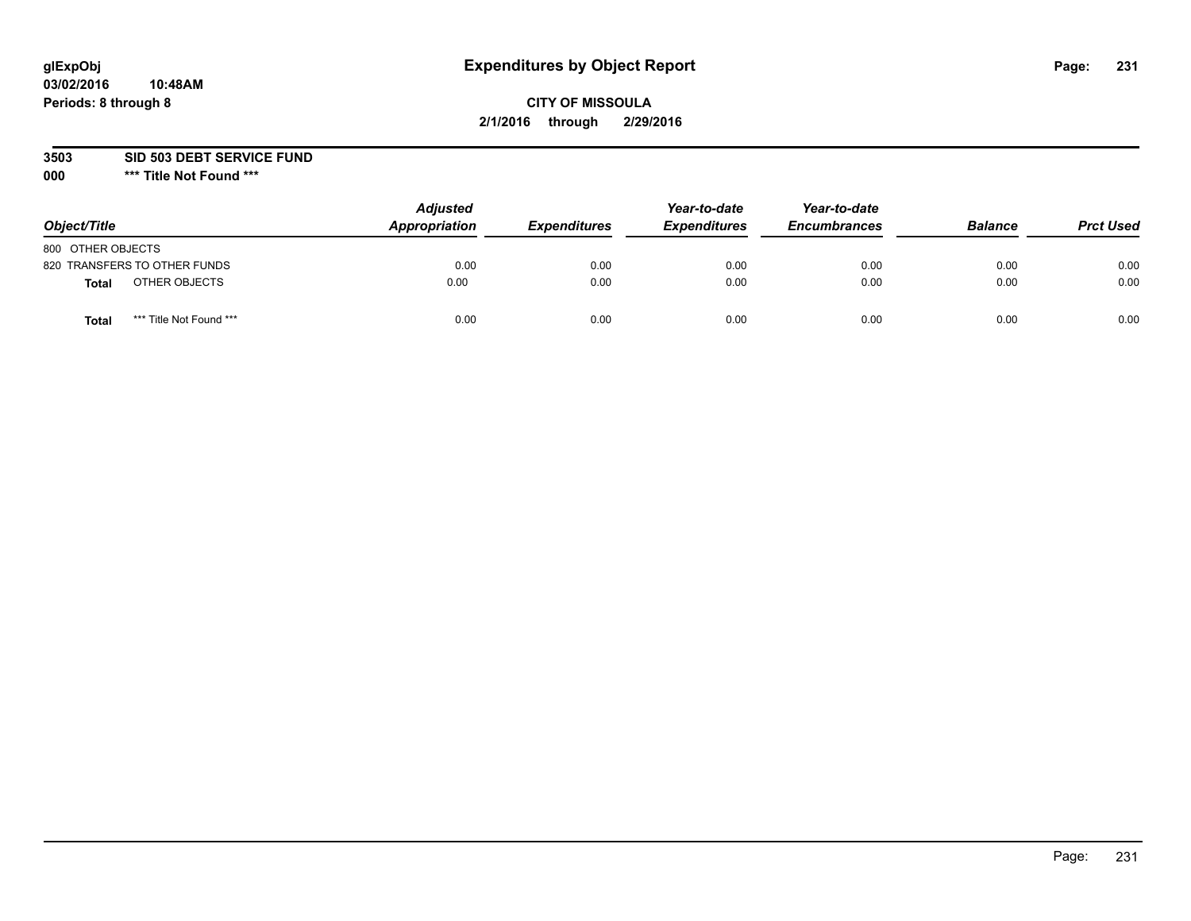### **03/02/2016 10:48AM Periods: 8 through 8**

# **CITY OF MISSOULA 2/1/2016 through 2/29/2016**

**3503 SID 503 DEBT SERVICE FUND**

| Object/Title      |                              | <b>Adjusted</b><br>Appropriation | <b>Expenditures</b> | Year-to-date<br><b>Expenditures</b> | Year-to-date<br><b>Encumbrances</b> | <b>Balance</b> | <b>Prct Used</b> |
|-------------------|------------------------------|----------------------------------|---------------------|-------------------------------------|-------------------------------------|----------------|------------------|
| 800 OTHER OBJECTS |                              |                                  |                     |                                     |                                     |                |                  |
|                   | 820 TRANSFERS TO OTHER FUNDS | 0.00                             | 0.00                | 0.00                                | 0.00                                | 0.00           | 0.00             |
| Total             | OTHER OBJECTS                | 0.00                             | 0.00                | 0.00                                | 0.00                                | 0.00           | 0.00             |
| Tota              | *** Title Not Found ***      | 0.00                             | 0.00                | 0.00                                | 0.00                                | 0.00           | 0.00             |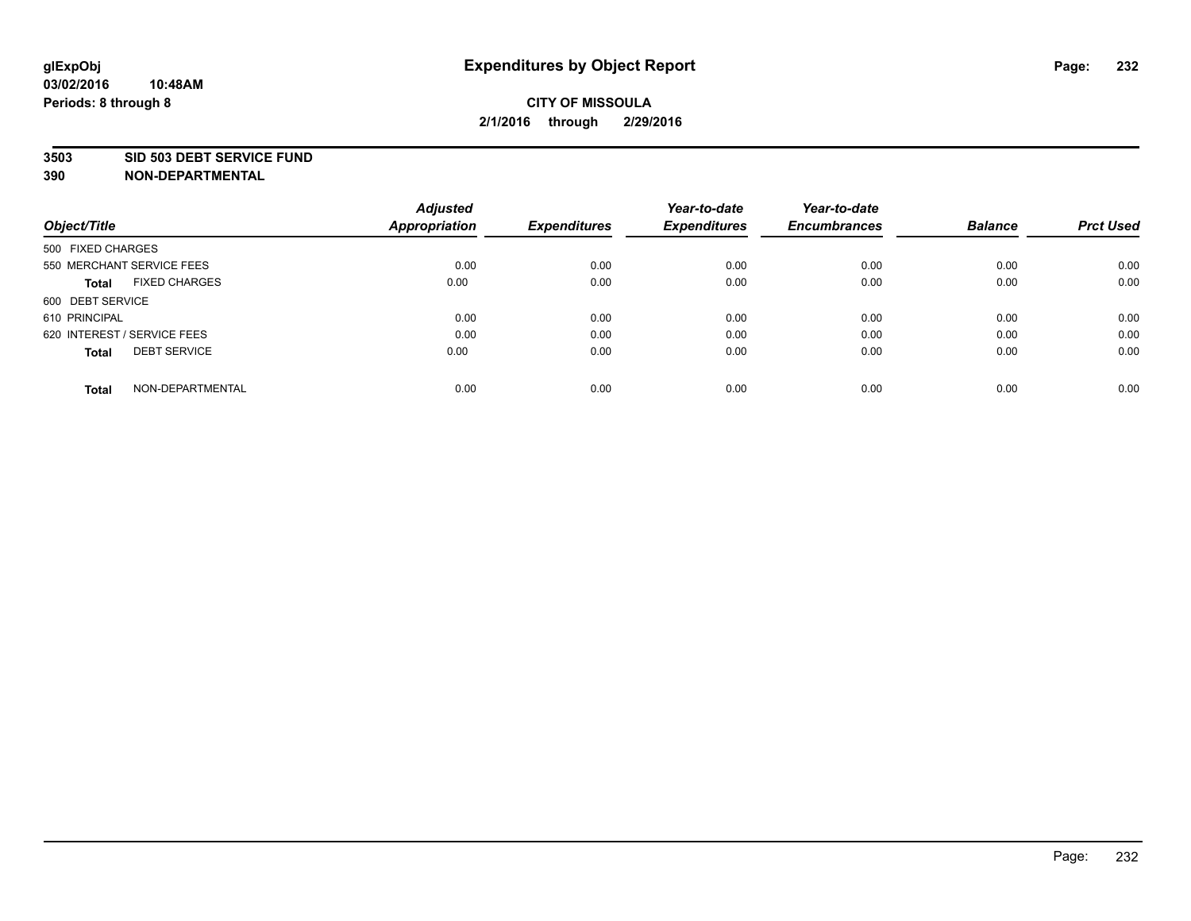#### **3503 SID 503 DEBT SERVICE FUND**

| Object/Title                         | <b>Adjusted</b><br><b>Appropriation</b> | <b>Expenditures</b> | Year-to-date<br><b>Expenditures</b> | Year-to-date<br><b>Encumbrances</b> | <b>Balance</b> | <b>Prct Used</b> |
|--------------------------------------|-----------------------------------------|---------------------|-------------------------------------|-------------------------------------|----------------|------------------|
|                                      |                                         |                     |                                     |                                     |                |                  |
| 500 FIXED CHARGES                    |                                         |                     |                                     |                                     |                |                  |
| 550 MERCHANT SERVICE FEES            | 0.00                                    | 0.00                | 0.00                                | 0.00                                | 0.00           | 0.00             |
| <b>FIXED CHARGES</b><br><b>Total</b> | 0.00                                    | 0.00                | 0.00                                | 0.00                                | 0.00           | 0.00             |
| 600 DEBT SERVICE                     |                                         |                     |                                     |                                     |                |                  |
| 610 PRINCIPAL                        | 0.00                                    | 0.00                | 0.00                                | 0.00                                | 0.00           | 0.00             |
| 620 INTEREST / SERVICE FEES          | 0.00                                    | 0.00                | 0.00                                | 0.00                                | 0.00           | 0.00             |
| <b>DEBT SERVICE</b><br><b>Total</b>  | 0.00                                    | 0.00                | 0.00                                | 0.00                                | 0.00           | 0.00             |
|                                      |                                         |                     |                                     |                                     |                |                  |
| NON-DEPARTMENTAL<br><b>Total</b>     | 0.00                                    | 0.00                | 0.00                                | 0.00                                | 0.00           | 0.00             |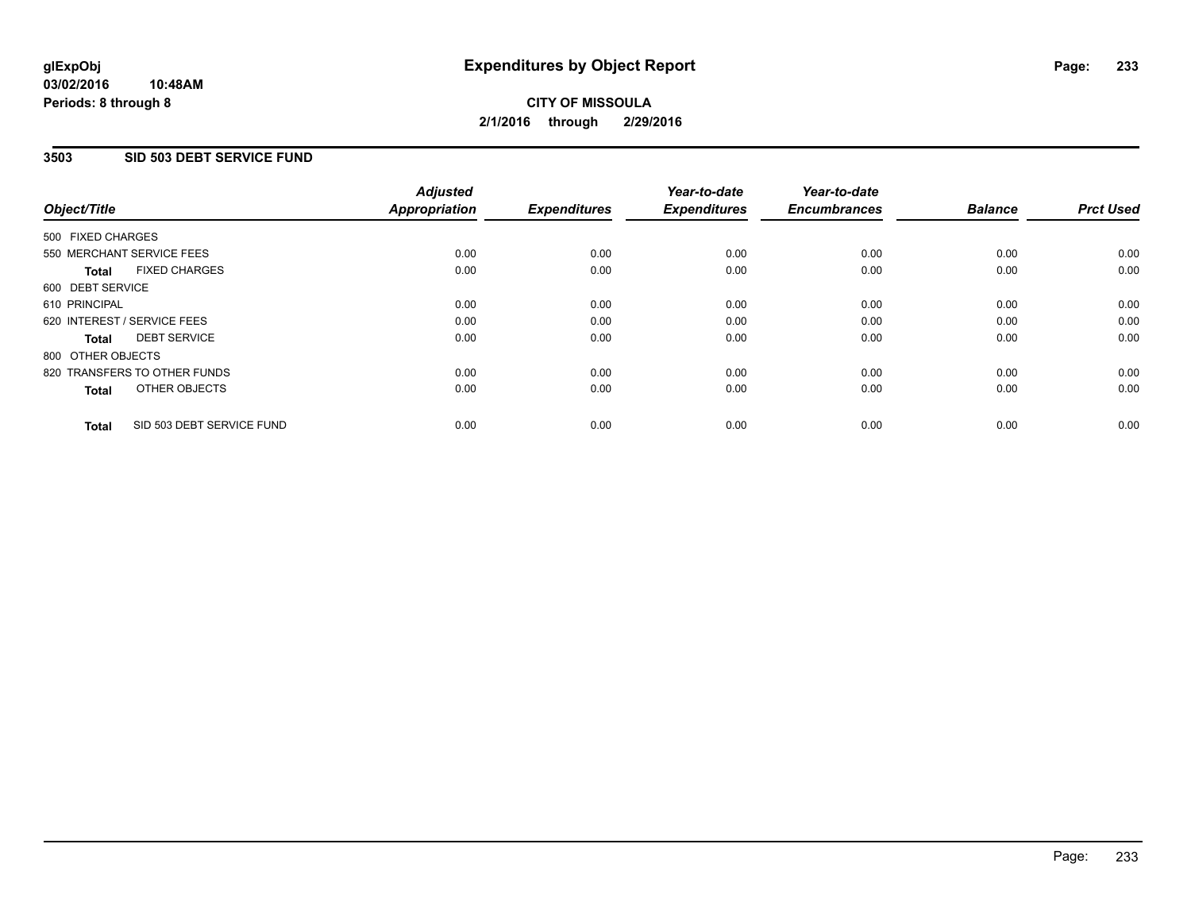## **3503 SID 503 DEBT SERVICE FUND**

| Object/Title                              | <b>Adjusted</b><br><b>Appropriation</b> | <b>Expenditures</b> | Year-to-date<br><b>Expenditures</b> | Year-to-date<br><b>Encumbrances</b> | <b>Balance</b> | <b>Prct Used</b> |
|-------------------------------------------|-----------------------------------------|---------------------|-------------------------------------|-------------------------------------|----------------|------------------|
|                                           |                                         |                     |                                     |                                     |                |                  |
| 500 FIXED CHARGES                         |                                         |                     |                                     |                                     |                |                  |
| 550 MERCHANT SERVICE FEES                 | 0.00                                    | 0.00                | 0.00                                | 0.00                                | 0.00           | 0.00             |
| <b>FIXED CHARGES</b><br><b>Total</b>      | 0.00                                    | 0.00                | 0.00                                | 0.00                                | 0.00           | 0.00             |
| 600 DEBT SERVICE                          |                                         |                     |                                     |                                     |                |                  |
| 610 PRINCIPAL                             | 0.00                                    | 0.00                | 0.00                                | 0.00                                | 0.00           | 0.00             |
| 620 INTEREST / SERVICE FEES               | 0.00                                    | 0.00                | 0.00                                | 0.00                                | 0.00           | 0.00             |
| <b>DEBT SERVICE</b><br><b>Total</b>       | 0.00                                    | 0.00                | 0.00                                | 0.00                                | 0.00           | 0.00             |
| 800 OTHER OBJECTS                         |                                         |                     |                                     |                                     |                |                  |
| 820 TRANSFERS TO OTHER FUNDS              | 0.00                                    | 0.00                | 0.00                                | 0.00                                | 0.00           | 0.00             |
| OTHER OBJECTS<br><b>Total</b>             | 0.00                                    | 0.00                | 0.00                                | 0.00                                | 0.00           | 0.00             |
| SID 503 DEBT SERVICE FUND<br><b>Total</b> | 0.00                                    | 0.00                | 0.00                                | 0.00                                | 0.00           | 0.00             |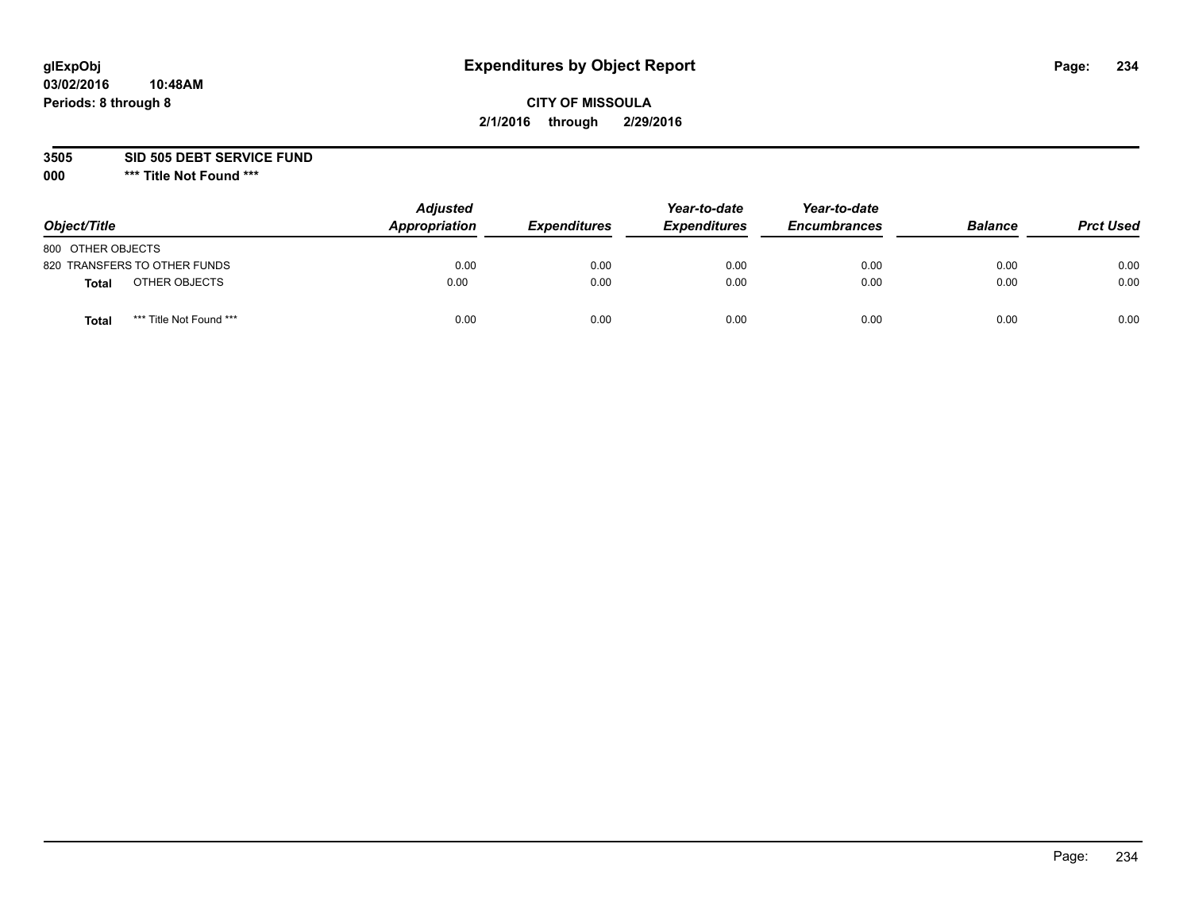### **03/02/2016 10:48AM Periods: 8 through 8**

# **CITY OF MISSOULA 2/1/2016 through 2/29/2016**

**3505 SID 505 DEBT SERVICE FUND**

| Object/Title                            | <b>Adjusted</b><br>Appropriation | <b>Expenditures</b> | Year-to-date<br><b>Expenditures</b> | Year-to-date<br><b>Encumbrances</b> | <b>Balance</b> | <b>Prct Used</b> |
|-----------------------------------------|----------------------------------|---------------------|-------------------------------------|-------------------------------------|----------------|------------------|
| 800 OTHER OBJECTS                       |                                  |                     |                                     |                                     |                |                  |
| 820 TRANSFERS TO OTHER FUNDS            | 0.00                             | 0.00                | 0.00                                | 0.00                                | 0.00           | 0.00             |
| OTHER OBJECTS<br>Total                  | 0.00                             | 0.00                | 0.00                                | 0.00                                | 0.00           | 0.00             |
| *** Title Not Found ***<br><b>Total</b> | 0.00                             | 0.00                | 0.00                                | 0.00                                | 0.00           | 0.00             |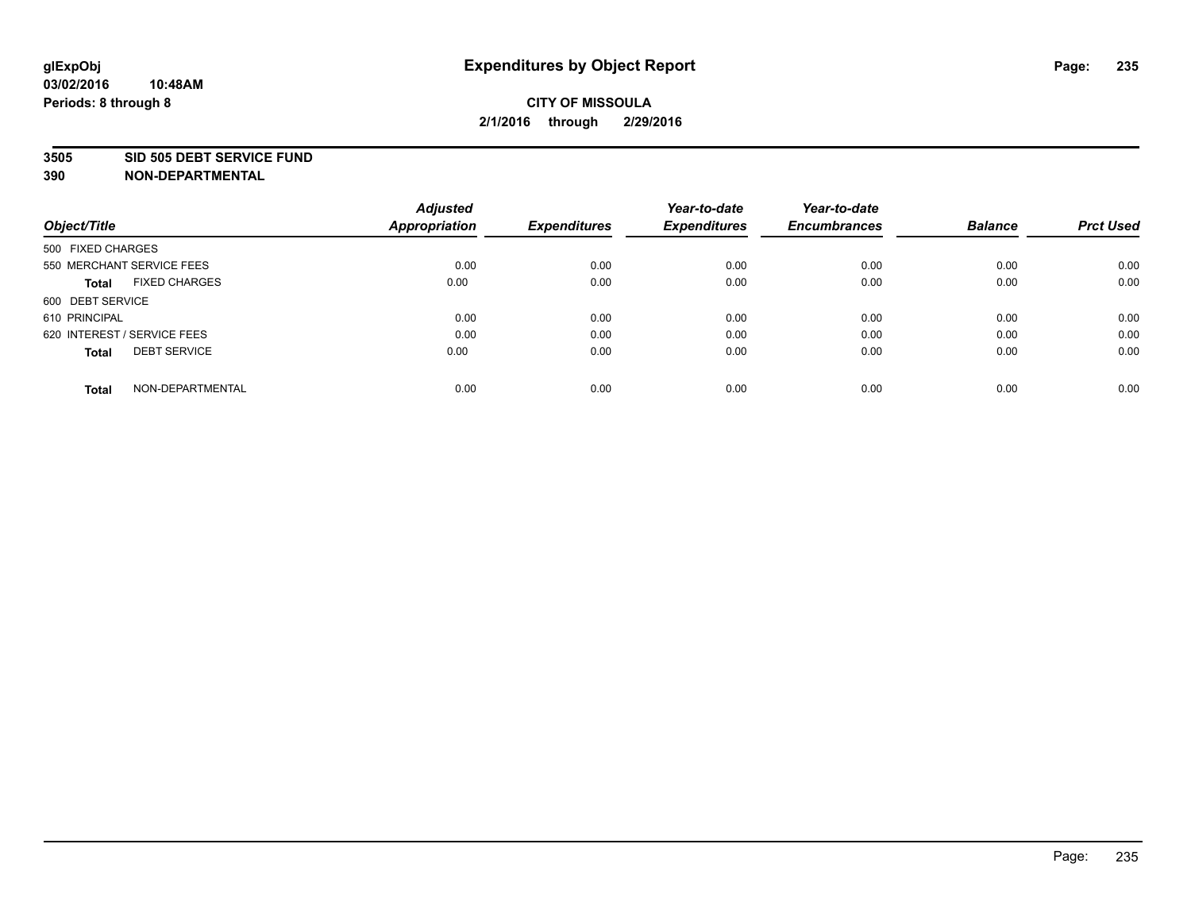#### **3505 SID 505 DEBT SERVICE FUND**

| Object/Title                         | <b>Adjusted</b><br><b>Appropriation</b> | <b>Expenditures</b> | Year-to-date<br><b>Expenditures</b> | Year-to-date<br><b>Encumbrances</b> | <b>Balance</b> | <b>Prct Used</b> |
|--------------------------------------|-----------------------------------------|---------------------|-------------------------------------|-------------------------------------|----------------|------------------|
|                                      |                                         |                     |                                     |                                     |                |                  |
| 500 FIXED CHARGES                    |                                         |                     |                                     |                                     |                |                  |
| 550 MERCHANT SERVICE FEES            | 0.00                                    | 0.00                | 0.00                                | 0.00                                | 0.00           | 0.00             |
| <b>FIXED CHARGES</b><br><b>Total</b> | 0.00                                    | 0.00                | 0.00                                | 0.00                                | 0.00           | 0.00             |
| 600 DEBT SERVICE                     |                                         |                     |                                     |                                     |                |                  |
| 610 PRINCIPAL                        | 0.00                                    | 0.00                | 0.00                                | 0.00                                | 0.00           | 0.00             |
| 620 INTEREST / SERVICE FEES          | 0.00                                    | 0.00                | 0.00                                | 0.00                                | 0.00           | 0.00             |
| <b>DEBT SERVICE</b><br><b>Total</b>  | 0.00                                    | 0.00                | 0.00                                | 0.00                                | 0.00           | 0.00             |
| NON-DEPARTMENTAL<br><b>Total</b>     | 0.00                                    | 0.00                | 0.00                                | 0.00                                | 0.00           | 0.00             |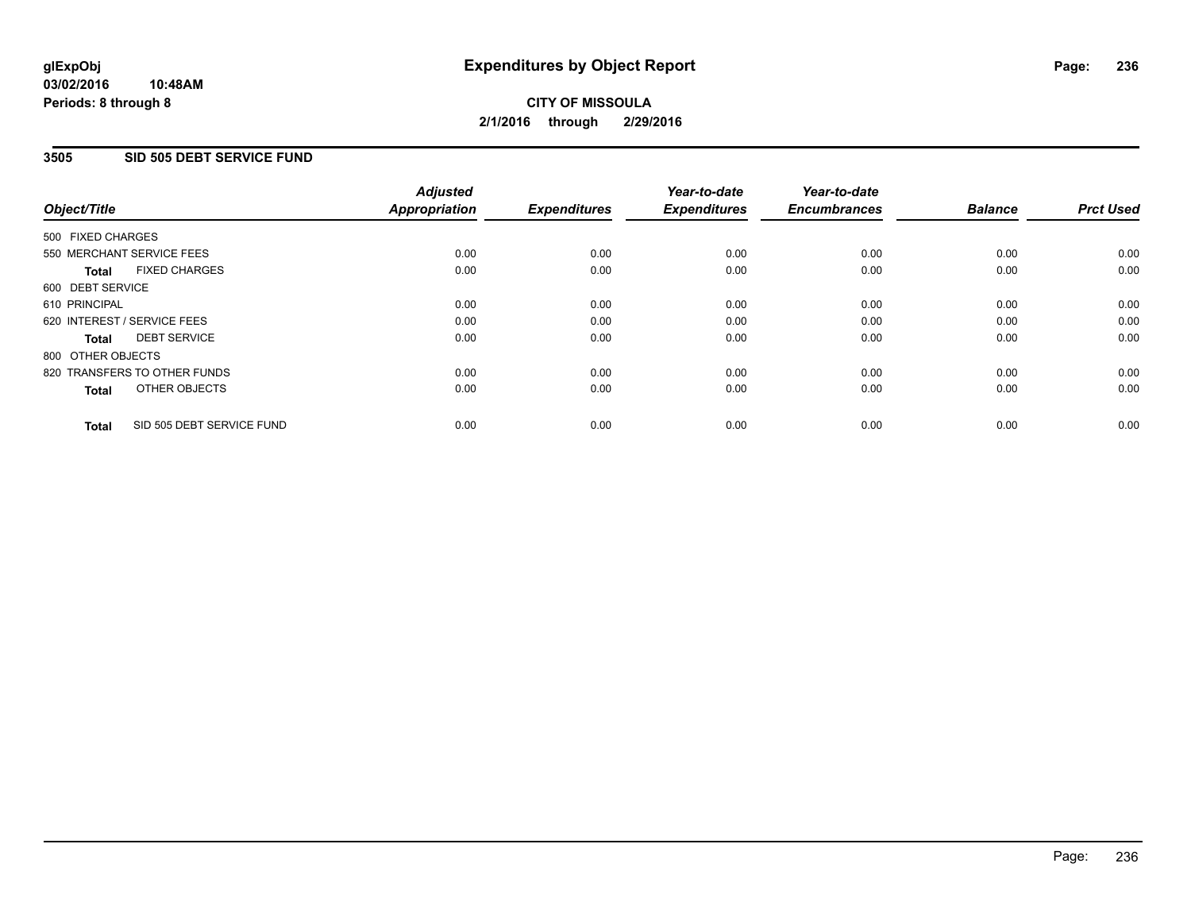## **3505 SID 505 DEBT SERVICE FUND**

| Object/Title                              | <b>Adjusted</b><br><b>Appropriation</b> | <b>Expenditures</b> | Year-to-date<br><b>Expenditures</b> | Year-to-date<br><b>Encumbrances</b> | <b>Balance</b> | <b>Prct Used</b> |
|-------------------------------------------|-----------------------------------------|---------------------|-------------------------------------|-------------------------------------|----------------|------------------|
|                                           |                                         |                     |                                     |                                     |                |                  |
| 500 FIXED CHARGES                         |                                         |                     |                                     |                                     |                |                  |
| 550 MERCHANT SERVICE FEES                 | 0.00                                    | 0.00                | 0.00                                | 0.00                                | 0.00           | 0.00             |
| <b>FIXED CHARGES</b><br><b>Total</b>      | 0.00                                    | 0.00                | 0.00                                | 0.00                                | 0.00           | 0.00             |
| 600 DEBT SERVICE                          |                                         |                     |                                     |                                     |                |                  |
| 610 PRINCIPAL                             | 0.00                                    | 0.00                | 0.00                                | 0.00                                | 0.00           | 0.00             |
| 620 INTEREST / SERVICE FEES               | 0.00                                    | 0.00                | 0.00                                | 0.00                                | 0.00           | 0.00             |
| <b>DEBT SERVICE</b><br><b>Total</b>       | 0.00                                    | 0.00                | 0.00                                | 0.00                                | 0.00           | 0.00             |
| 800 OTHER OBJECTS                         |                                         |                     |                                     |                                     |                |                  |
| 820 TRANSFERS TO OTHER FUNDS              | 0.00                                    | 0.00                | 0.00                                | 0.00                                | 0.00           | 0.00             |
| OTHER OBJECTS<br><b>Total</b>             | 0.00                                    | 0.00                | 0.00                                | 0.00                                | 0.00           | 0.00             |
| SID 505 DEBT SERVICE FUND<br><b>Total</b> | 0.00                                    | 0.00                | 0.00                                | 0.00                                | 0.00           | 0.00             |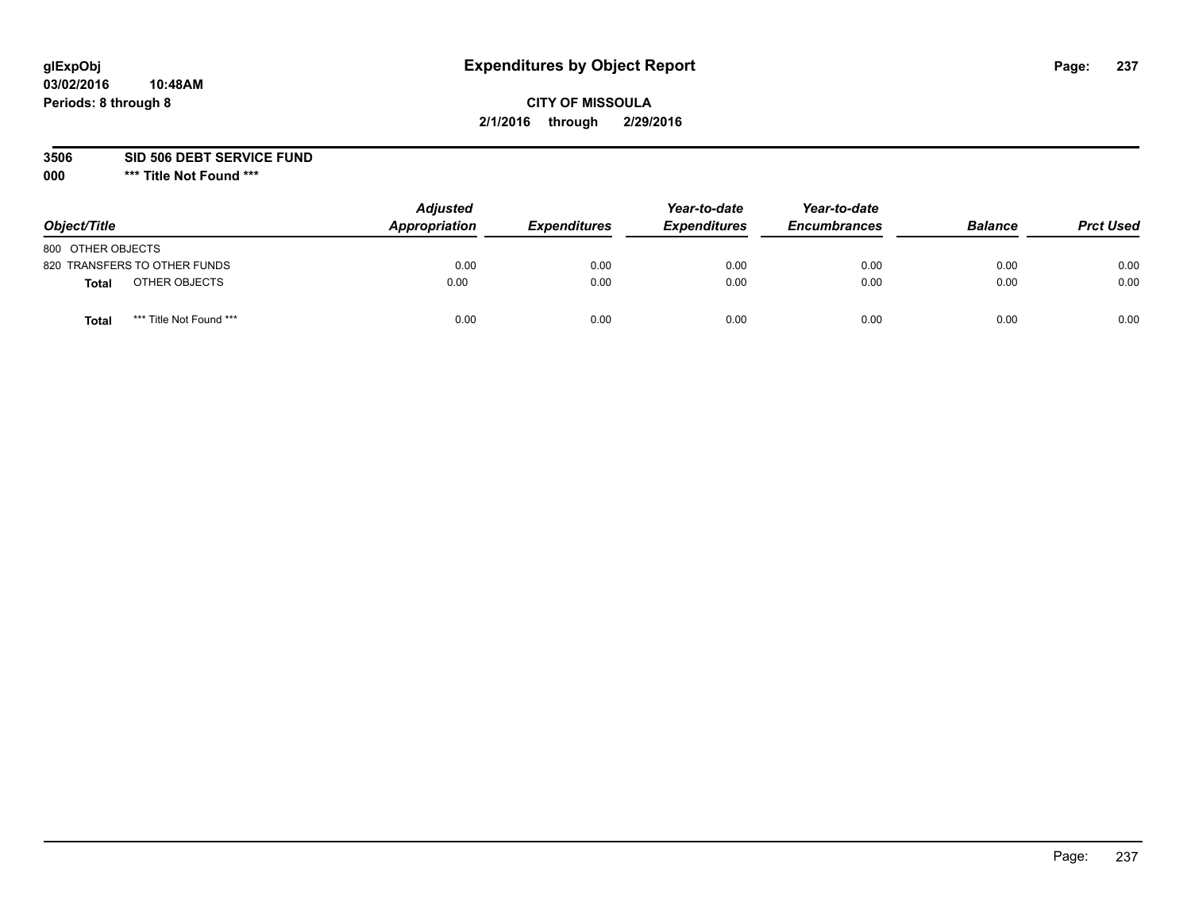### **03/02/2016 10:48AM Periods: 8 through 8**

# **CITY OF MISSOULA 2/1/2016 through 2/29/2016**

**3506 SID 506 DEBT SERVICE FUND**

| Object/Title                            | <b>Adjusted</b><br>Appropriation | <b>Expenditures</b> | Year-to-date<br><b>Expenditures</b> | Year-to-date<br><b>Encumbrances</b> | <b>Balance</b> | <b>Prct Used</b> |
|-----------------------------------------|----------------------------------|---------------------|-------------------------------------|-------------------------------------|----------------|------------------|
| 800 OTHER OBJECTS                       |                                  |                     |                                     |                                     |                |                  |
| 820 TRANSFERS TO OTHER FUNDS            | 0.00                             | 0.00                | 0.00                                | 0.00                                | 0.00           | 0.00             |
| OTHER OBJECTS<br>Total                  | 0.00                             | 0.00                | 0.00                                | 0.00                                | 0.00           | 0.00             |
| *** Title Not Found ***<br><b>Total</b> | 0.00                             | 0.00                | 0.00                                | 0.00                                | 0.00           | 0.00             |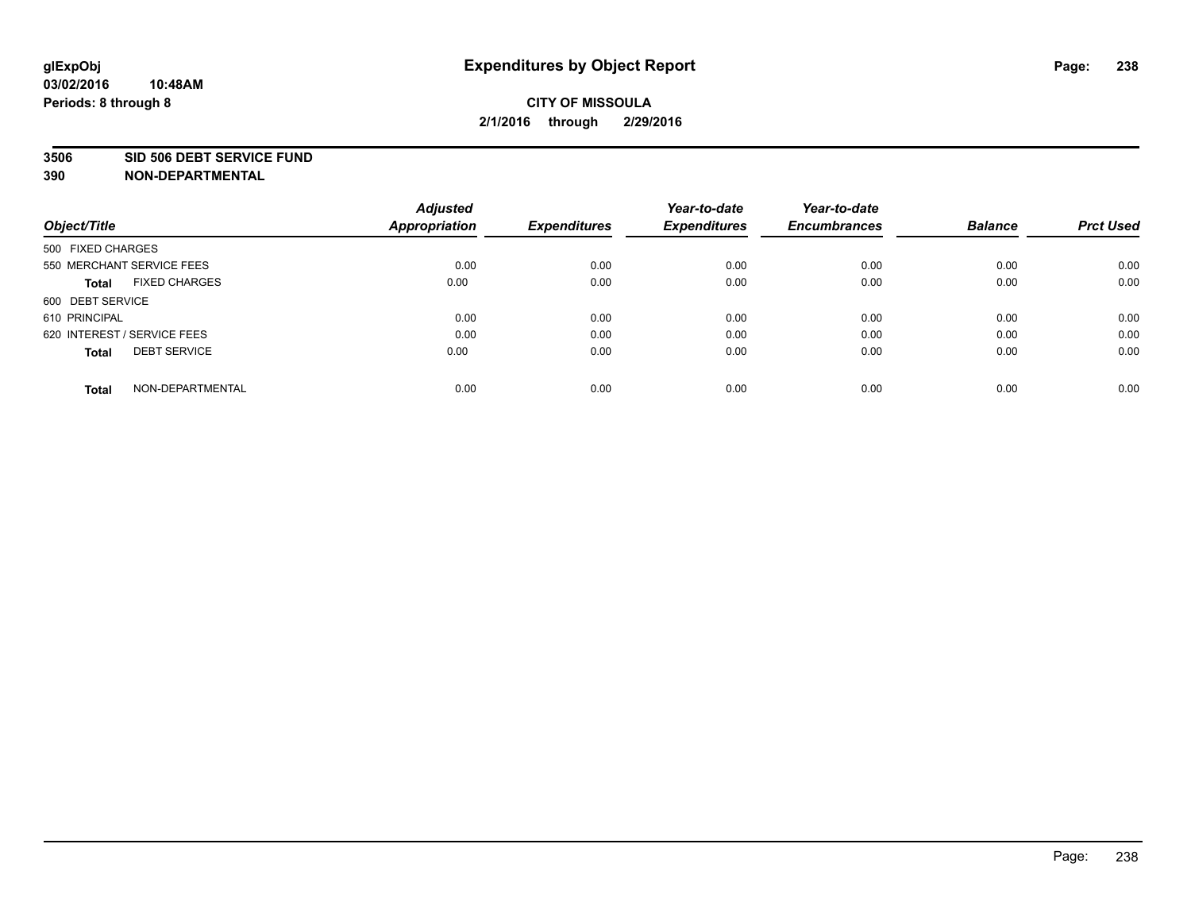#### **3506 SID 506 DEBT SERVICE FUND**

| Object/Title                         | <b>Adjusted</b><br><b>Appropriation</b> | <b>Expenditures</b> | Year-to-date<br><b>Expenditures</b> | Year-to-date<br><b>Encumbrances</b> | <b>Balance</b> | <b>Prct Used</b> |
|--------------------------------------|-----------------------------------------|---------------------|-------------------------------------|-------------------------------------|----------------|------------------|
|                                      |                                         |                     |                                     |                                     |                |                  |
| 500 FIXED CHARGES                    |                                         |                     |                                     |                                     |                |                  |
| 550 MERCHANT SERVICE FEES            | 0.00                                    | 0.00                | 0.00                                | 0.00                                | 0.00           | 0.00             |
| <b>FIXED CHARGES</b><br><b>Total</b> | 0.00                                    | 0.00                | 0.00                                | 0.00                                | 0.00           | 0.00             |
| 600 DEBT SERVICE                     |                                         |                     |                                     |                                     |                |                  |
| 610 PRINCIPAL                        | 0.00                                    | 0.00                | 0.00                                | 0.00                                | 0.00           | 0.00             |
| 620 INTEREST / SERVICE FEES          | 0.00                                    | 0.00                | 0.00                                | 0.00                                | 0.00           | 0.00             |
| <b>DEBT SERVICE</b><br><b>Total</b>  | 0.00                                    | 0.00                | 0.00                                | 0.00                                | 0.00           | 0.00             |
| NON-DEPARTMENTAL<br><b>Total</b>     | 0.00                                    | 0.00                | 0.00                                | 0.00                                | 0.00           | 0.00             |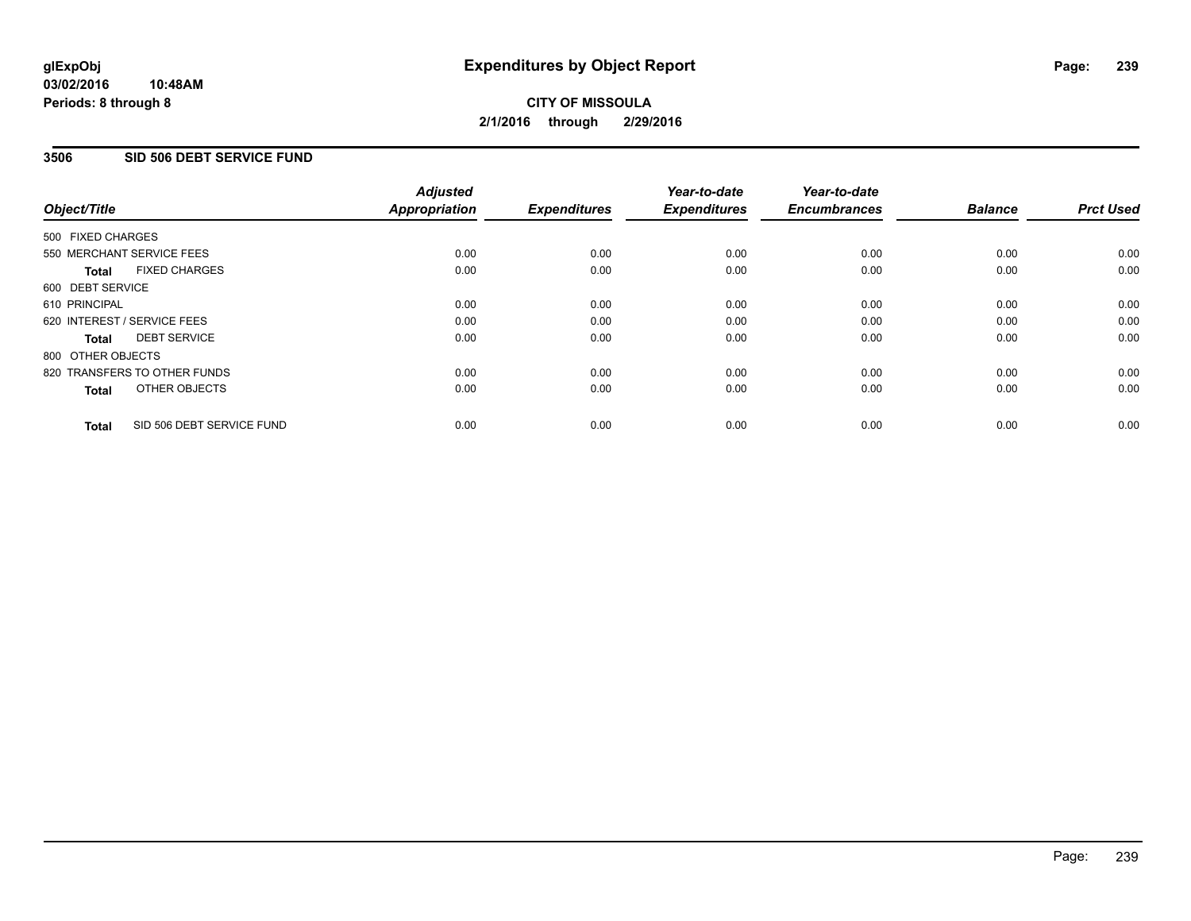## **3506 SID 506 DEBT SERVICE FUND**

|                                           | <b>Adjusted</b>      | <b>Expenditures</b> | Year-to-date<br><b>Expenditures</b> | Year-to-date<br><b>Encumbrances</b> | <b>Balance</b> | <b>Prct Used</b> |
|-------------------------------------------|----------------------|---------------------|-------------------------------------|-------------------------------------|----------------|------------------|
| Object/Title                              | <b>Appropriation</b> |                     |                                     |                                     |                |                  |
| 500 FIXED CHARGES                         |                      |                     |                                     |                                     |                |                  |
| 550 MERCHANT SERVICE FEES                 | 0.00                 | 0.00                | 0.00                                | 0.00                                | 0.00           | 0.00             |
| <b>FIXED CHARGES</b><br><b>Total</b>      | 0.00                 | 0.00                | 0.00                                | 0.00                                | 0.00           | 0.00             |
| 600 DEBT SERVICE                          |                      |                     |                                     |                                     |                |                  |
| 610 PRINCIPAL                             | 0.00                 | 0.00                | 0.00                                | 0.00                                | 0.00           | 0.00             |
| 620 INTEREST / SERVICE FEES               | 0.00                 | 0.00                | 0.00                                | 0.00                                | 0.00           | 0.00             |
| <b>DEBT SERVICE</b><br><b>Total</b>       | 0.00                 | 0.00                | 0.00                                | 0.00                                | 0.00           | 0.00             |
| 800 OTHER OBJECTS                         |                      |                     |                                     |                                     |                |                  |
| 820 TRANSFERS TO OTHER FUNDS              | 0.00                 | 0.00                | 0.00                                | 0.00                                | 0.00           | 0.00             |
| OTHER OBJECTS<br><b>Total</b>             | 0.00                 | 0.00                | 0.00                                | 0.00                                | 0.00           | 0.00             |
| SID 506 DEBT SERVICE FUND<br><b>Total</b> | 0.00                 | 0.00                | 0.00                                | 0.00                                | 0.00           | 0.00             |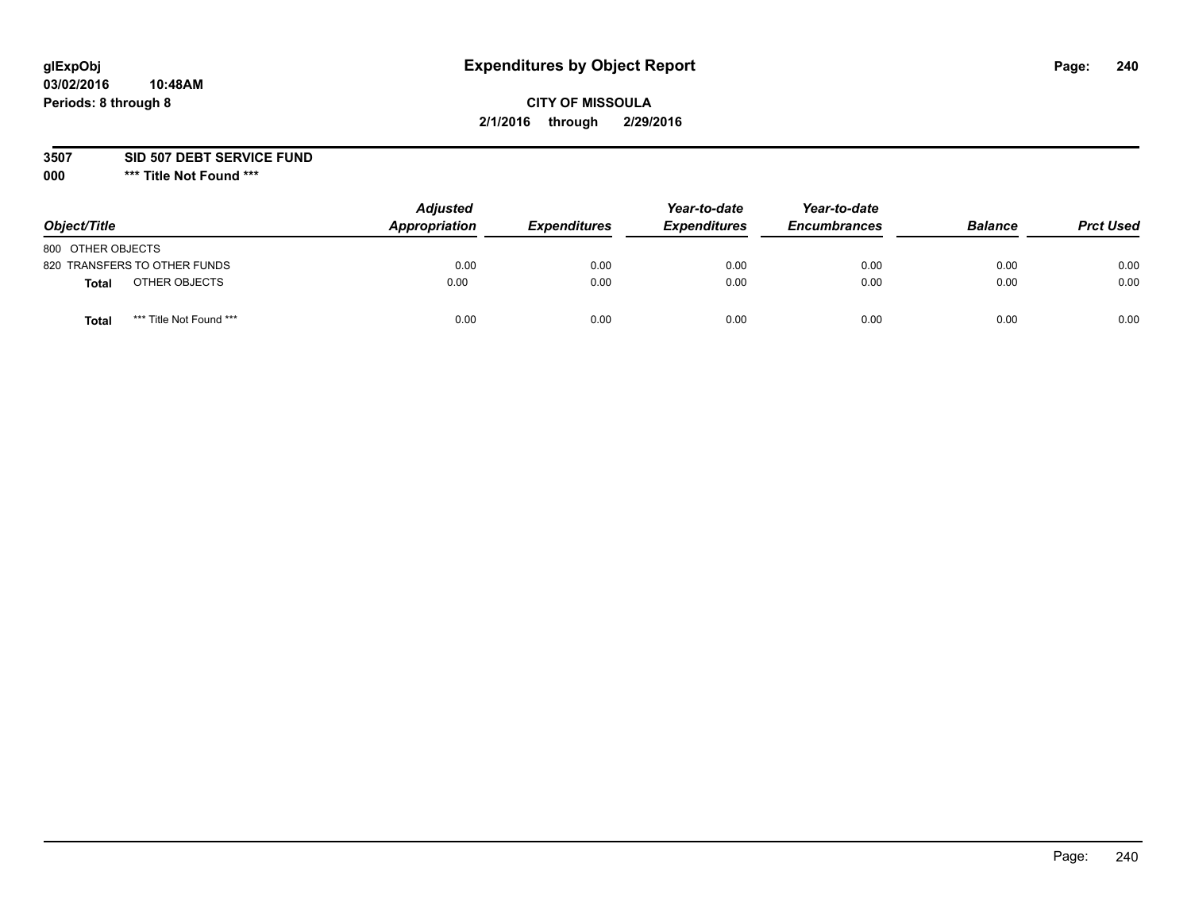### **03/02/2016 10:48AM Periods: 8 through 8**

# **CITY OF MISSOULA 2/1/2016 through 2/29/2016**

**3507 SID 507 DEBT SERVICE FUND**

| Object/Title                     | <b>Adjusted</b><br>Appropriation | <b>Expenditures</b> | Year-to-date<br><b>Expenditures</b> | Year-to-date<br><b>Encumbrances</b> | <b>Balance</b> | <b>Prct Used</b> |
|----------------------------------|----------------------------------|---------------------|-------------------------------------|-------------------------------------|----------------|------------------|
| 800 OTHER OBJECTS                |                                  |                     |                                     |                                     |                |                  |
| 820 TRANSFERS TO OTHER FUNDS     | 0.00                             | 0.00                | 0.00                                | 0.00                                | 0.00           | 0.00             |
| OTHER OBJECTS<br><b>Total</b>    | 0.00                             | 0.00                | 0.00                                | 0.00                                | 0.00           | 0.00             |
| *** Title Not Found ***<br>Total | 0.00                             | 0.00                | 0.00                                | 0.00                                | 0.00           | 0.00             |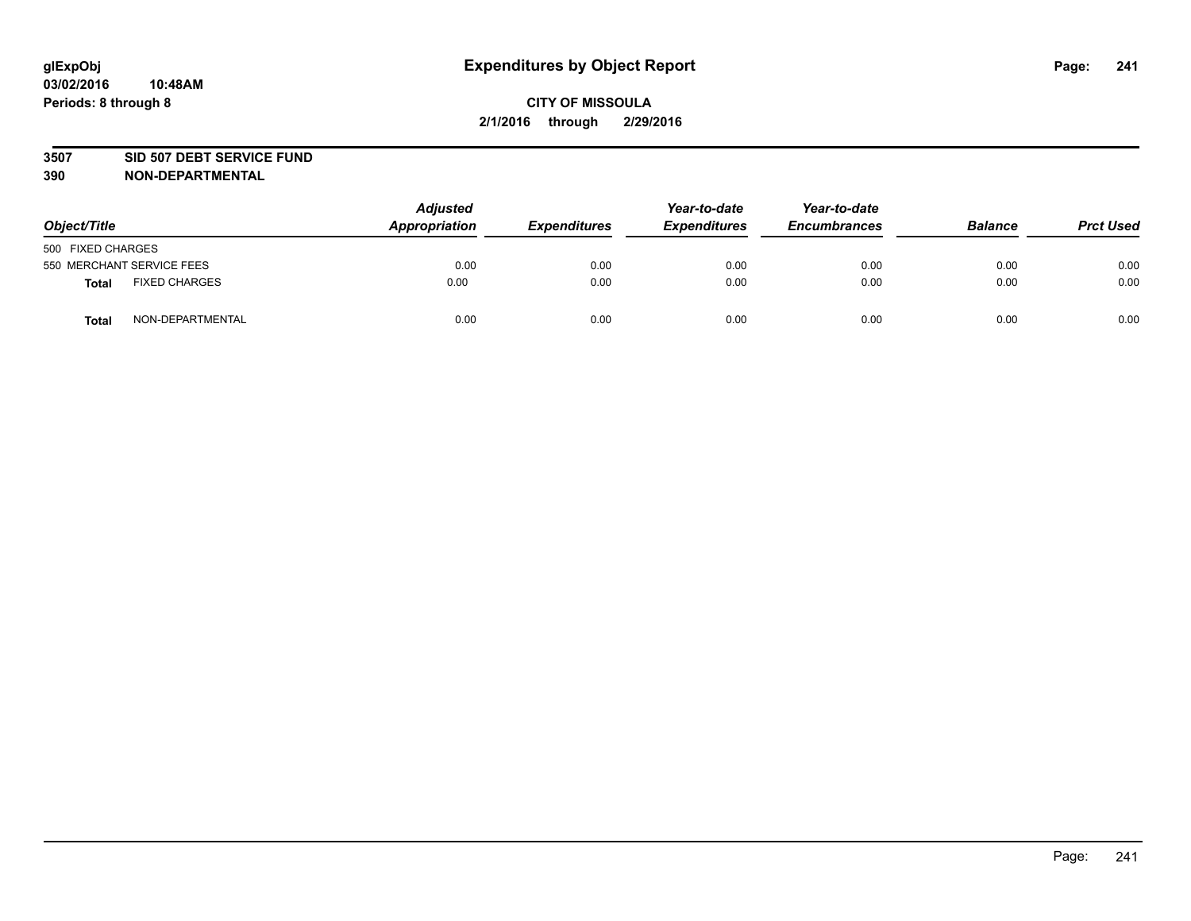### **3507 SID 507 DEBT SERVICE FUND**

| Object/Title      |                           | <b>Adjusted</b><br>Appropriation | <b>Expenditures</b> | Year-to-date<br><b>Expenditures</b> | Year-to-date<br><b>Encumbrances</b> | <b>Balance</b> | <b>Prct Used</b> |
|-------------------|---------------------------|----------------------------------|---------------------|-------------------------------------|-------------------------------------|----------------|------------------|
| 500 FIXED CHARGES |                           |                                  |                     |                                     |                                     |                |                  |
|                   | 550 MERCHANT SERVICE FEES | 0.00                             | 0.00                | 0.00                                | 0.00                                | 0.00           | 0.00             |
| <b>Total</b>      | <b>FIXED CHARGES</b>      | 0.00                             | 0.00                | 0.00                                | 0.00                                | 0.00           | 0.00             |
| Total             | NON-DEPARTMENTAL          | 0.00                             | 0.00                | 0.00                                | 0.00                                | 0.00           | 0.00             |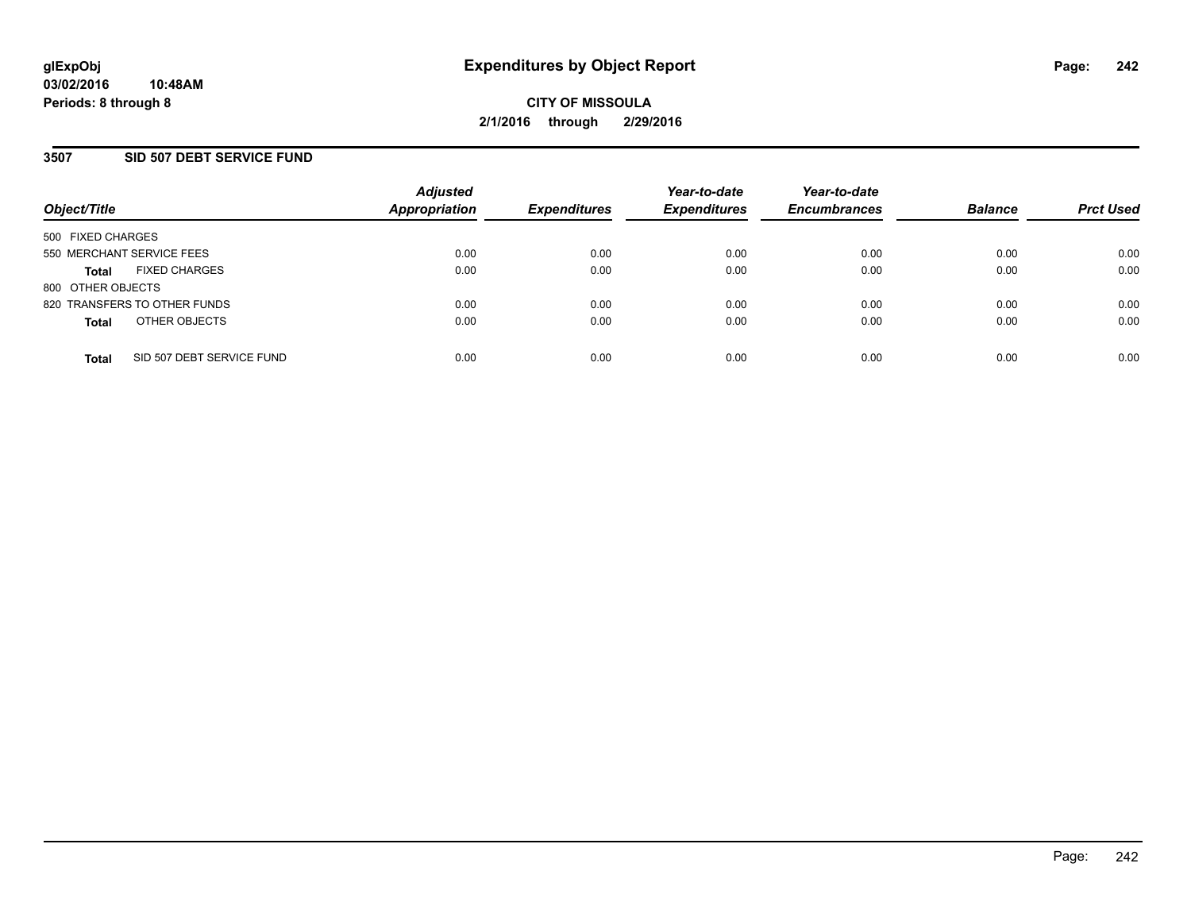## **3507 SID 507 DEBT SERVICE FUND**

| Object/Title              |                              | <b>Adjusted</b><br><b>Appropriation</b> | <b>Expenditures</b> | Year-to-date<br><b>Expenditures</b> | Year-to-date<br><b>Encumbrances</b> | <b>Balance</b> | <b>Prct Used</b> |
|---------------------------|------------------------------|-----------------------------------------|---------------------|-------------------------------------|-------------------------------------|----------------|------------------|
| 500 FIXED CHARGES         |                              |                                         |                     |                                     |                                     |                |                  |
| 550 MERCHANT SERVICE FEES |                              | 0.00                                    | 0.00                | 0.00                                | 0.00                                | 0.00           | 0.00             |
| <b>Total</b>              | <b>FIXED CHARGES</b>         | 0.00                                    | 0.00                | 0.00                                | 0.00                                | 0.00           | 0.00             |
| 800 OTHER OBJECTS         |                              |                                         |                     |                                     |                                     |                |                  |
|                           | 820 TRANSFERS TO OTHER FUNDS | 0.00                                    | 0.00                | 0.00                                | 0.00                                | 0.00           | 0.00             |
| <b>Total</b>              | OTHER OBJECTS                | 0.00                                    | 0.00                | 0.00                                | 0.00                                | 0.00           | 0.00             |
| <b>Total</b>              | SID 507 DEBT SERVICE FUND    | 0.00                                    | 0.00                | 0.00                                | 0.00                                | 0.00           | 0.00             |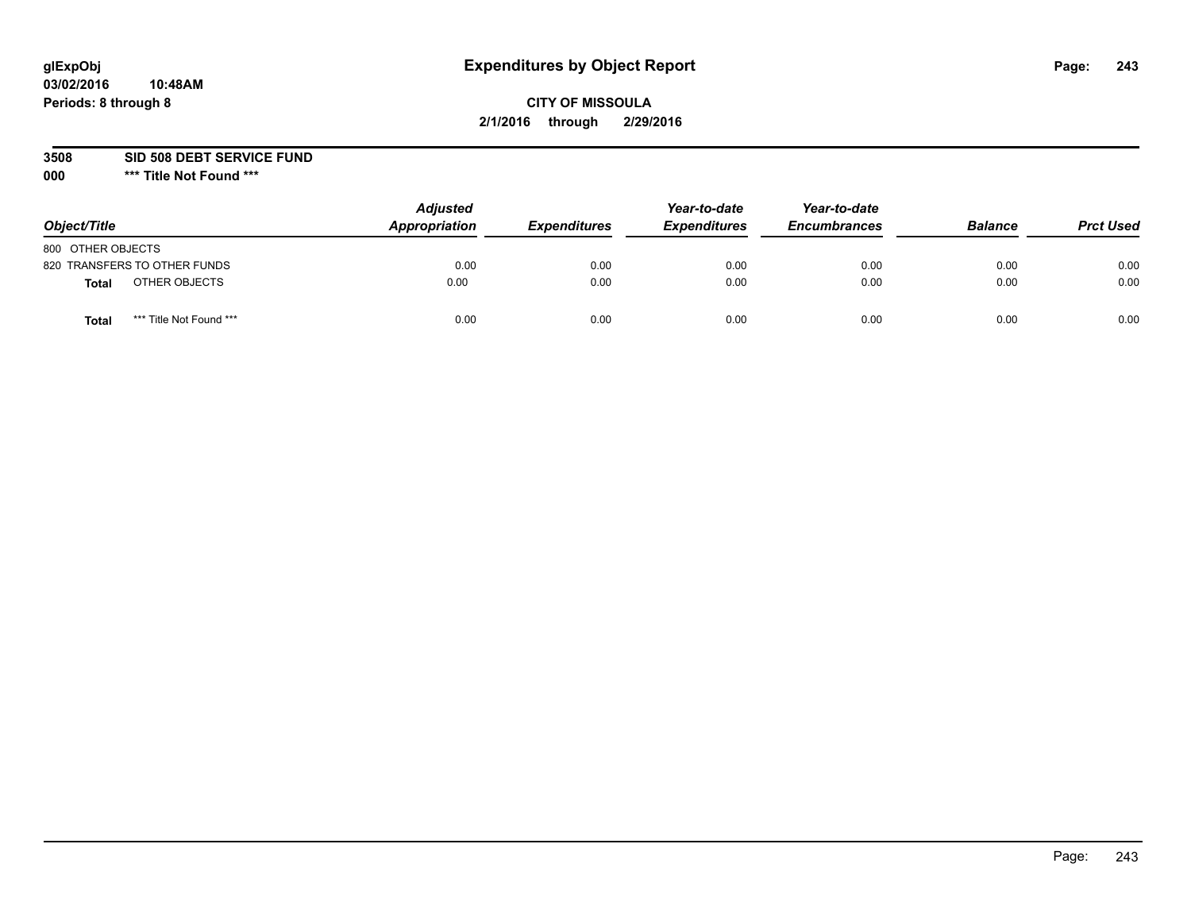### **03/02/2016 10:48AM Periods: 8 through 8**

# **CITY OF MISSOULA 2/1/2016 through 2/29/2016**

**3508 SID 508 DEBT SERVICE FUND**

| Object/Title                    | <b>Adjusted</b><br>Appropriation | <b>Expenditures</b> | Year-to-date<br><b>Expenditures</b> | Year-to-date<br><b>Encumbrances</b> | <b>Balance</b> | <b>Prct Used</b> |
|---------------------------------|----------------------------------|---------------------|-------------------------------------|-------------------------------------|----------------|------------------|
| 800 OTHER OBJECTS               |                                  |                     |                                     |                                     |                |                  |
| 820 TRANSFERS TO OTHER FUNDS    | 0.00                             | 0.00                | 0.00                                | 0.00                                | 0.00           | 0.00             |
| OTHER OBJECTS<br>Total          | 0.00                             | 0.00                | 0.00                                | 0.00                                | 0.00           | 0.00             |
| *** Title Not Found ***<br>Tota | 0.00                             | 0.00                | 0.00                                | 0.00                                | 0.00           | 0.00             |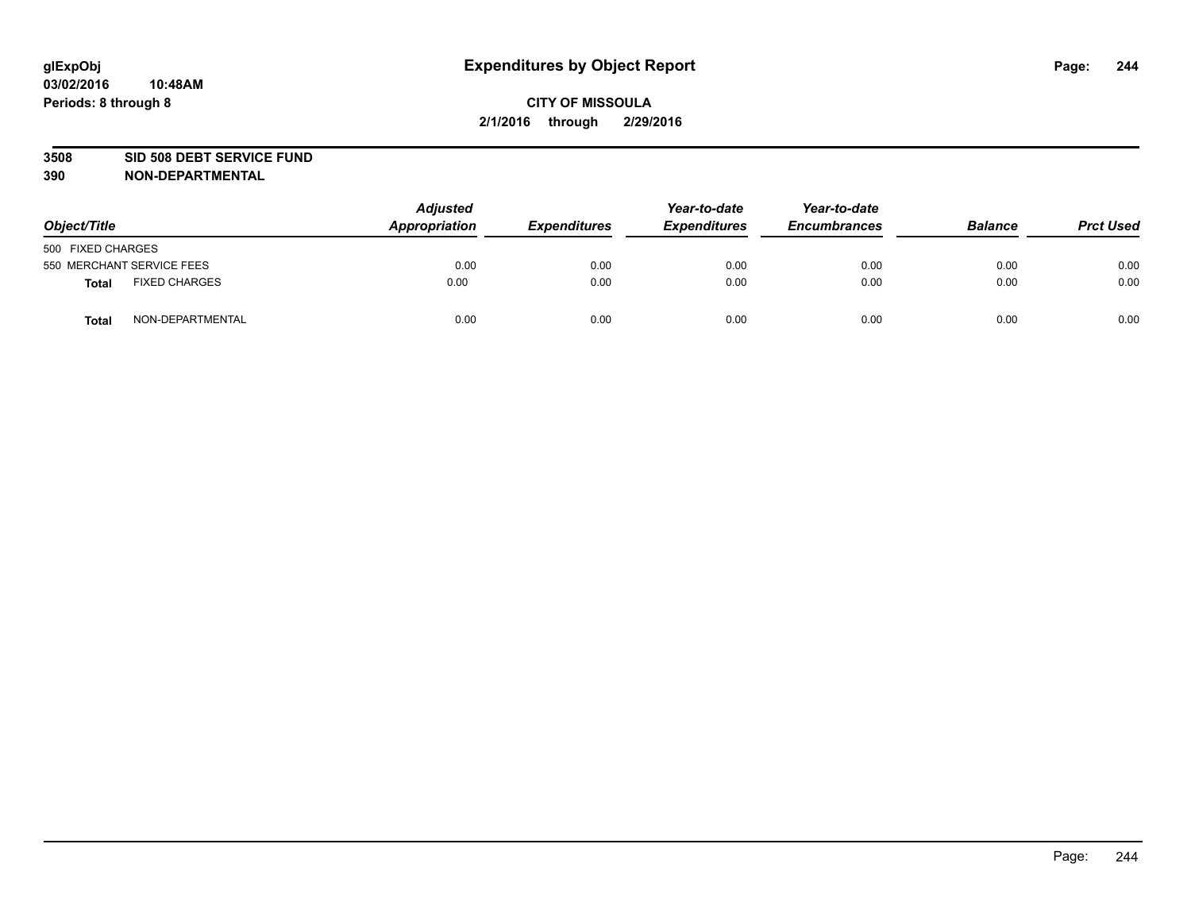### **3508 SID 508 DEBT SERVICE FUND**

| Object/Title      |                           | <b>Adjusted</b><br>Appropriation | <b>Expenditures</b> | Year-to-date<br><b>Expenditures</b> | Year-to-date<br><b>Encumbrances</b> | <b>Balance</b> | <b>Prct Used</b> |
|-------------------|---------------------------|----------------------------------|---------------------|-------------------------------------|-------------------------------------|----------------|------------------|
| 500 FIXED CHARGES |                           |                                  |                     |                                     |                                     |                |                  |
|                   | 550 MERCHANT SERVICE FEES | 0.00                             | 0.00                | 0.00                                | 0.00                                | 0.00           | 0.00             |
| <b>Total</b>      | <b>FIXED CHARGES</b>      | 0.00                             | 0.00                | 0.00                                | 0.00                                | 0.00           | 0.00             |
| <b>Total</b>      | NON-DEPARTMENTAL          | 0.00                             | 0.00                | 0.00                                | 0.00                                | 0.00           | 0.00             |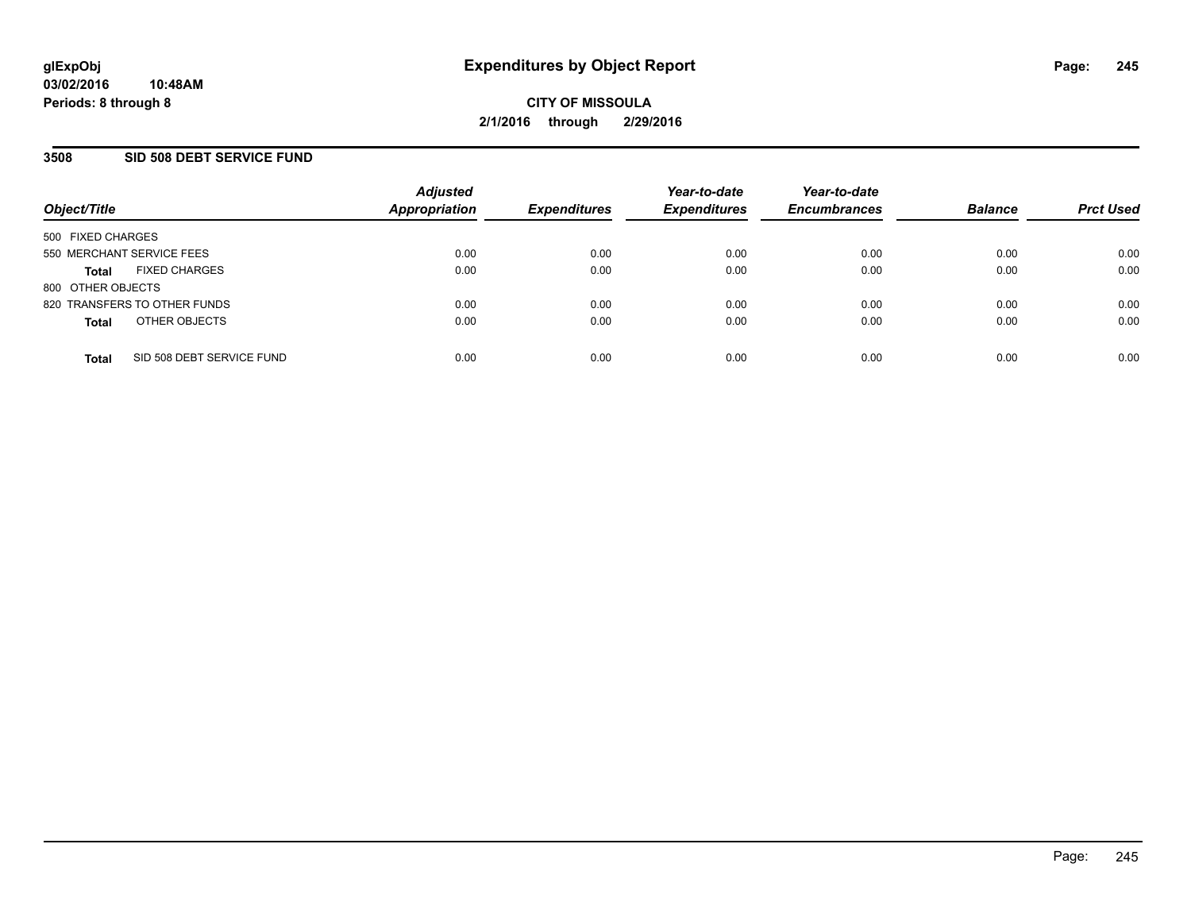## **3508 SID 508 DEBT SERVICE FUND**

| Object/Title              |                              | <b>Adjusted</b><br><b>Appropriation</b> | <b>Expenditures</b> | Year-to-date<br><b>Expenditures</b> | Year-to-date<br><b>Encumbrances</b> | <b>Balance</b> | <b>Prct Used</b> |
|---------------------------|------------------------------|-----------------------------------------|---------------------|-------------------------------------|-------------------------------------|----------------|------------------|
| 500 FIXED CHARGES         |                              |                                         |                     |                                     |                                     |                |                  |
| 550 MERCHANT SERVICE FEES |                              | 0.00                                    | 0.00                | 0.00                                | 0.00                                | 0.00           | 0.00             |
| <b>Total</b>              | <b>FIXED CHARGES</b>         | 0.00                                    | 0.00                | 0.00                                | 0.00                                | 0.00           | 0.00             |
| 800 OTHER OBJECTS         |                              |                                         |                     |                                     |                                     |                |                  |
|                           | 820 TRANSFERS TO OTHER FUNDS | 0.00                                    | 0.00                | 0.00                                | 0.00                                | 0.00           | 0.00             |
| <b>Total</b>              | OTHER OBJECTS                | 0.00                                    | 0.00                | 0.00                                | 0.00                                | 0.00           | 0.00             |
| <b>Total</b>              | SID 508 DEBT SERVICE FUND    | 0.00                                    | 0.00                | 0.00                                | 0.00                                | 0.00           | 0.00             |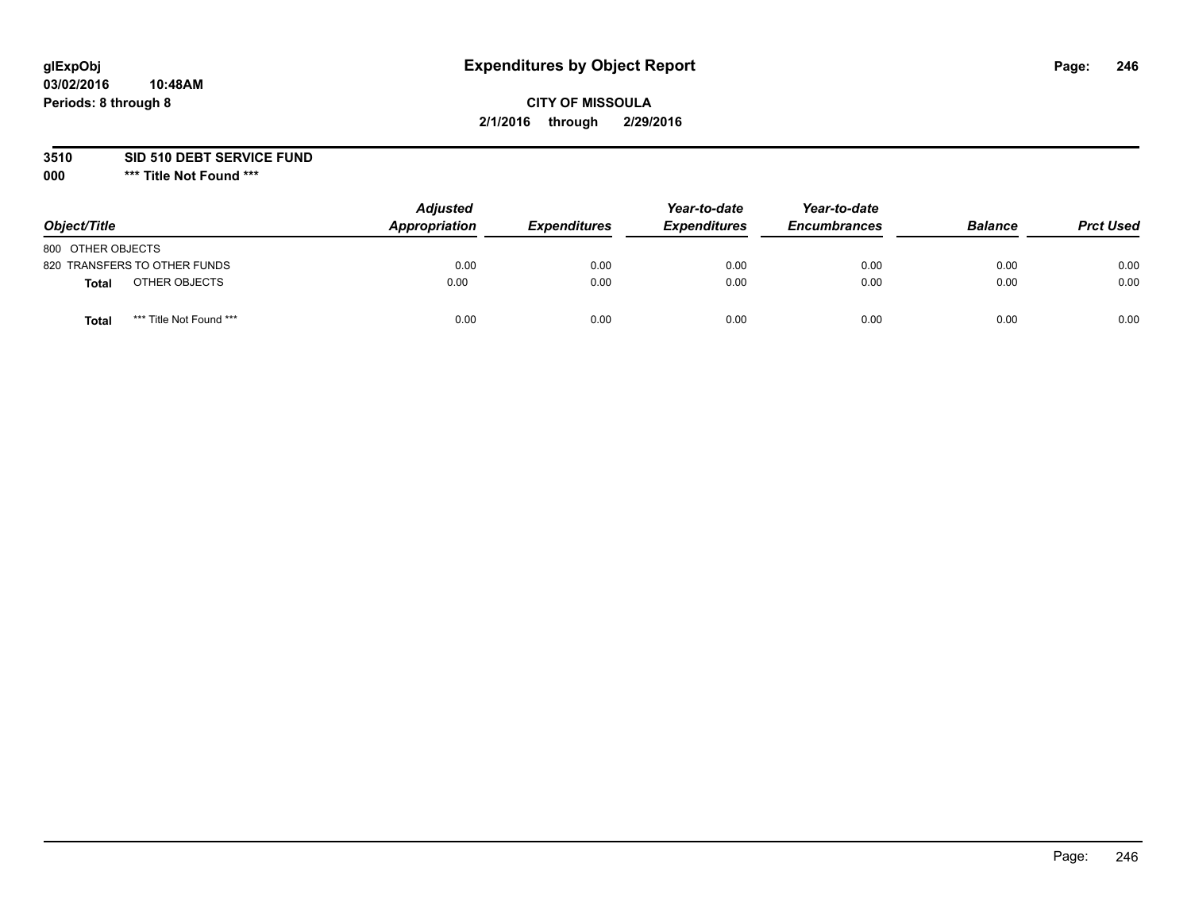# **CITY OF MISSOULA 2/1/2016 through 2/29/2016**

**3510 SID 510 DEBT SERVICE FUND**

| Object/Title                            | <b>Adjusted</b><br>Appropriation | <b>Expenditures</b> | Year-to-date<br><b>Expenditures</b> | Year-to-date<br><b>Encumbrances</b> | <b>Balance</b> | <b>Prct Used</b> |
|-----------------------------------------|----------------------------------|---------------------|-------------------------------------|-------------------------------------|----------------|------------------|
| 800 OTHER OBJECTS                       |                                  |                     |                                     |                                     |                |                  |
| 820 TRANSFERS TO OTHER FUNDS            | 0.00                             | 0.00                | 0.00                                | 0.00                                | 0.00           | 0.00             |
| OTHER OBJECTS<br><b>Total</b>           | 0.00                             | 0.00                | 0.00                                | 0.00                                | 0.00           | 0.00             |
| *** Title Not Found ***<br><b>Total</b> | 0.00                             | 0.00                | 0.00                                | 0.00                                | 0.00           | 0.00             |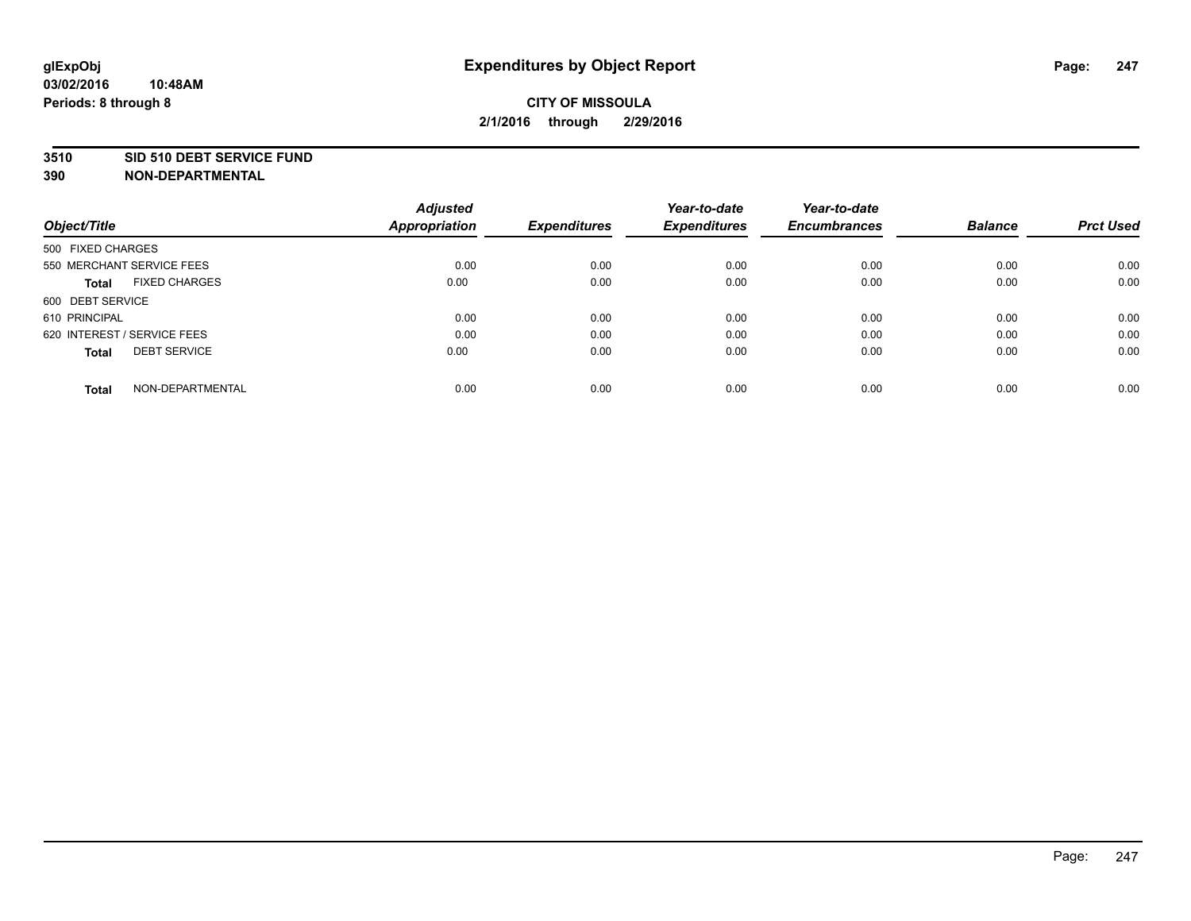#### **3510 SID 510 DEBT SERVICE FUND**

| Object/Title                         | <b>Adjusted</b><br><b>Appropriation</b> | <b>Expenditures</b> | Year-to-date<br><b>Expenditures</b> | Year-to-date<br><b>Encumbrances</b> | <b>Balance</b> | <b>Prct Used</b> |
|--------------------------------------|-----------------------------------------|---------------------|-------------------------------------|-------------------------------------|----------------|------------------|
|                                      |                                         |                     |                                     |                                     |                |                  |
| 500 FIXED CHARGES                    |                                         |                     |                                     |                                     |                |                  |
| 550 MERCHANT SERVICE FEES            | 0.00                                    | 0.00                | 0.00                                | 0.00                                | 0.00           | 0.00             |
| <b>FIXED CHARGES</b><br><b>Total</b> | 0.00                                    | 0.00                | 0.00                                | 0.00                                | 0.00           | 0.00             |
| 600 DEBT SERVICE                     |                                         |                     |                                     |                                     |                |                  |
| 610 PRINCIPAL                        | 0.00                                    | 0.00                | 0.00                                | 0.00                                | 0.00           | 0.00             |
| 620 INTEREST / SERVICE FEES          | 0.00                                    | 0.00                | 0.00                                | 0.00                                | 0.00           | 0.00             |
| <b>DEBT SERVICE</b><br><b>Total</b>  | 0.00                                    | 0.00                | 0.00                                | 0.00                                | 0.00           | 0.00             |
| NON-DEPARTMENTAL<br><b>Total</b>     | 0.00                                    | 0.00                | 0.00                                | 0.00                                | 0.00           | 0.00             |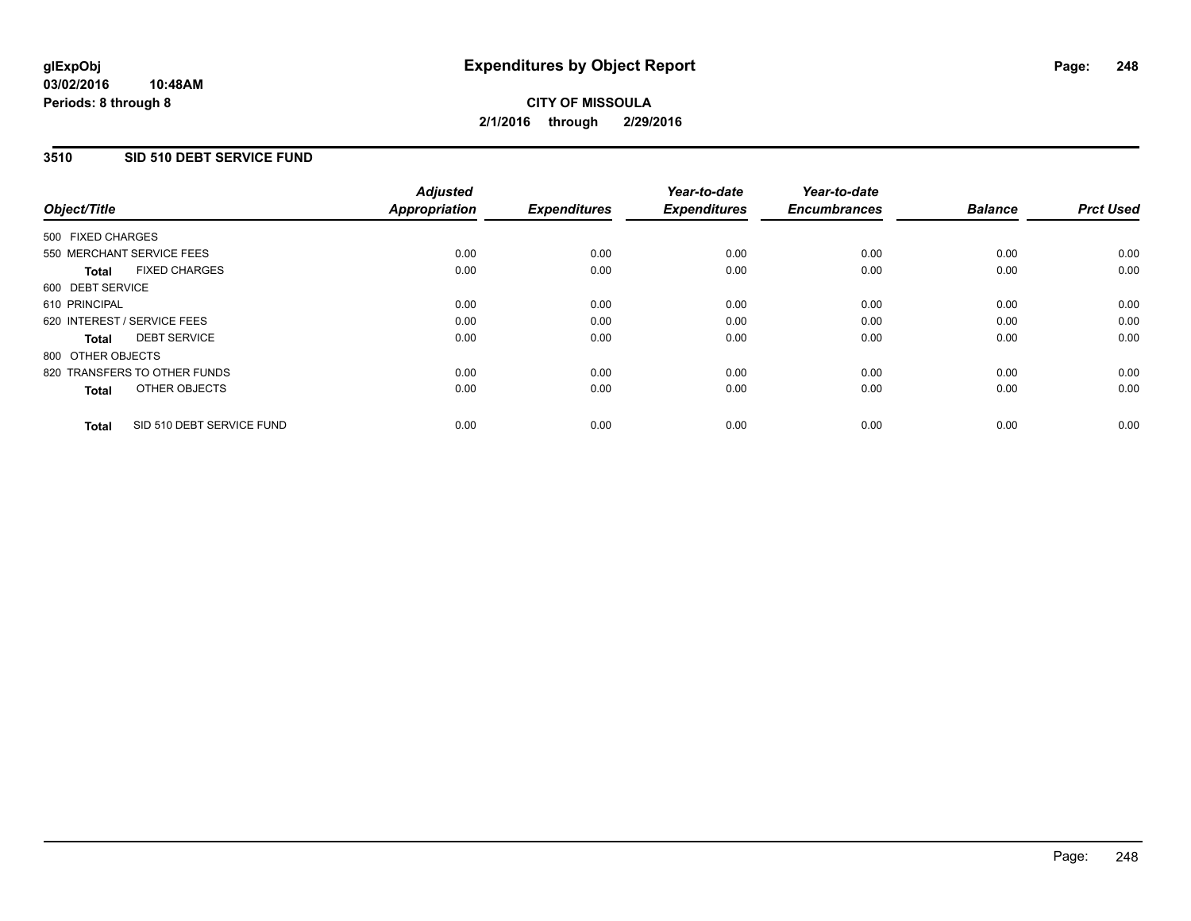### **03/02/2016 10:48AM Periods: 8 through 8**

# **CITY OF MISSOULA 2/1/2016 through 2/29/2016**

## **3510 SID 510 DEBT SERVICE FUND**

| Object/Title                              | <b>Adjusted</b><br><b>Appropriation</b> | <b>Expenditures</b> | Year-to-date<br><b>Expenditures</b> | Year-to-date<br><b>Encumbrances</b> | <b>Balance</b> | <b>Prct Used</b> |
|-------------------------------------------|-----------------------------------------|---------------------|-------------------------------------|-------------------------------------|----------------|------------------|
|                                           |                                         |                     |                                     |                                     |                |                  |
| 500 FIXED CHARGES                         |                                         |                     |                                     |                                     |                |                  |
| 550 MERCHANT SERVICE FEES                 | 0.00                                    | 0.00                | 0.00                                | 0.00                                | 0.00           | 0.00             |
| <b>FIXED CHARGES</b><br><b>Total</b>      | 0.00                                    | 0.00                | 0.00                                | 0.00                                | 0.00           | 0.00             |
| 600 DEBT SERVICE                          |                                         |                     |                                     |                                     |                |                  |
| 610 PRINCIPAL                             | 0.00                                    | 0.00                | 0.00                                | 0.00                                | 0.00           | 0.00             |
| 620 INTEREST / SERVICE FEES               | 0.00                                    | 0.00                | 0.00                                | 0.00                                | 0.00           | 0.00             |
| <b>DEBT SERVICE</b><br><b>Total</b>       | 0.00                                    | 0.00                | 0.00                                | 0.00                                | 0.00           | 0.00             |
| 800 OTHER OBJECTS                         |                                         |                     |                                     |                                     |                |                  |
| 820 TRANSFERS TO OTHER FUNDS              | 0.00                                    | 0.00                | 0.00                                | 0.00                                | 0.00           | 0.00             |
| OTHER OBJECTS<br><b>Total</b>             | 0.00                                    | 0.00                | 0.00                                | 0.00                                | 0.00           | 0.00             |
|                                           |                                         |                     |                                     |                                     |                |                  |
| SID 510 DEBT SERVICE FUND<br><b>Total</b> | 0.00                                    | 0.00                | 0.00                                | 0.00                                | 0.00           | 0.00             |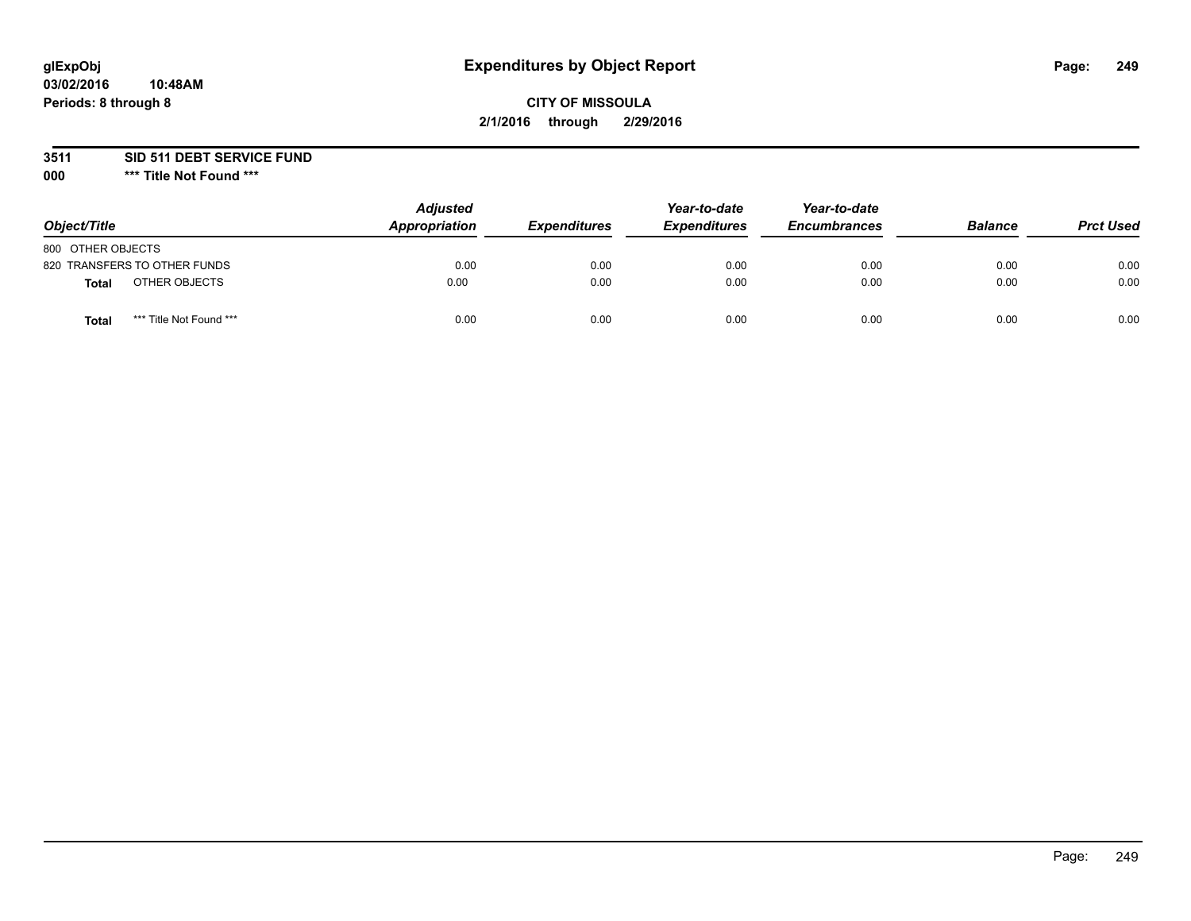# **CITY OF MISSOULA 2/1/2016 through 2/29/2016**

**3511 SID 511 DEBT SERVICE FUND**

| Object/Title                            | <b>Adjusted</b><br>Appropriation | <b>Expenditures</b> | Year-to-date<br><b>Expenditures</b> | Year-to-date<br><b>Encumbrances</b> | <b>Balance</b> | <b>Prct Used</b> |
|-----------------------------------------|----------------------------------|---------------------|-------------------------------------|-------------------------------------|----------------|------------------|
| 800 OTHER OBJECTS                       |                                  |                     |                                     |                                     |                |                  |
| 820 TRANSFERS TO OTHER FUNDS            | 0.00                             | 0.00                | 0.00                                | 0.00                                | 0.00           | 0.00             |
| OTHER OBJECTS<br>Total                  | 0.00                             | 0.00                | 0.00                                | 0.00                                | 0.00           | 0.00             |
| *** Title Not Found ***<br><b>Total</b> | 0.00                             | 0.00                | 0.00                                | 0.00                                | 0.00           | 0.00             |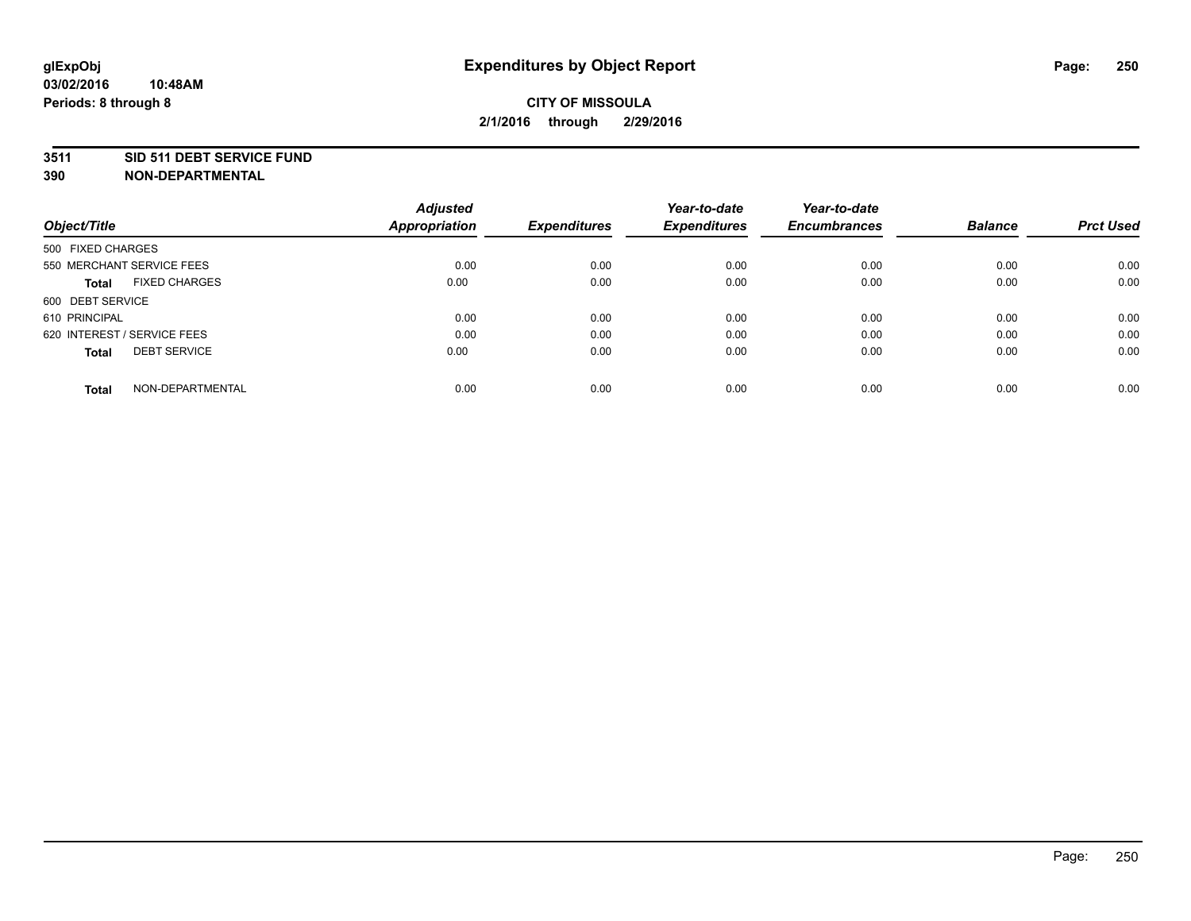#### **3511 SID 511 DEBT SERVICE FUND**

| Object/Title                         | <b>Adjusted</b><br><b>Appropriation</b> | <b>Expenditures</b> | Year-to-date<br><b>Expenditures</b> | Year-to-date<br><b>Encumbrances</b> | <b>Balance</b> | <b>Prct Used</b> |
|--------------------------------------|-----------------------------------------|---------------------|-------------------------------------|-------------------------------------|----------------|------------------|
|                                      |                                         |                     |                                     |                                     |                |                  |
| 500 FIXED CHARGES                    |                                         |                     |                                     |                                     |                |                  |
| 550 MERCHANT SERVICE FEES            | 0.00                                    | 0.00                | 0.00                                | 0.00                                | 0.00           | 0.00             |
| <b>FIXED CHARGES</b><br><b>Total</b> | 0.00                                    | 0.00                | 0.00                                | 0.00                                | 0.00           | 0.00             |
| 600 DEBT SERVICE                     |                                         |                     |                                     |                                     |                |                  |
| 610 PRINCIPAL                        | 0.00                                    | 0.00                | 0.00                                | 0.00                                | 0.00           | 0.00             |
| 620 INTEREST / SERVICE FEES          | 0.00                                    | 0.00                | 0.00                                | 0.00                                | 0.00           | 0.00             |
| <b>DEBT SERVICE</b><br><b>Total</b>  | 0.00                                    | 0.00                | 0.00                                | 0.00                                | 0.00           | 0.00             |
| NON-DEPARTMENTAL<br><b>Total</b>     | 0.00                                    | 0.00                | 0.00                                | 0.00                                | 0.00           | 0.00             |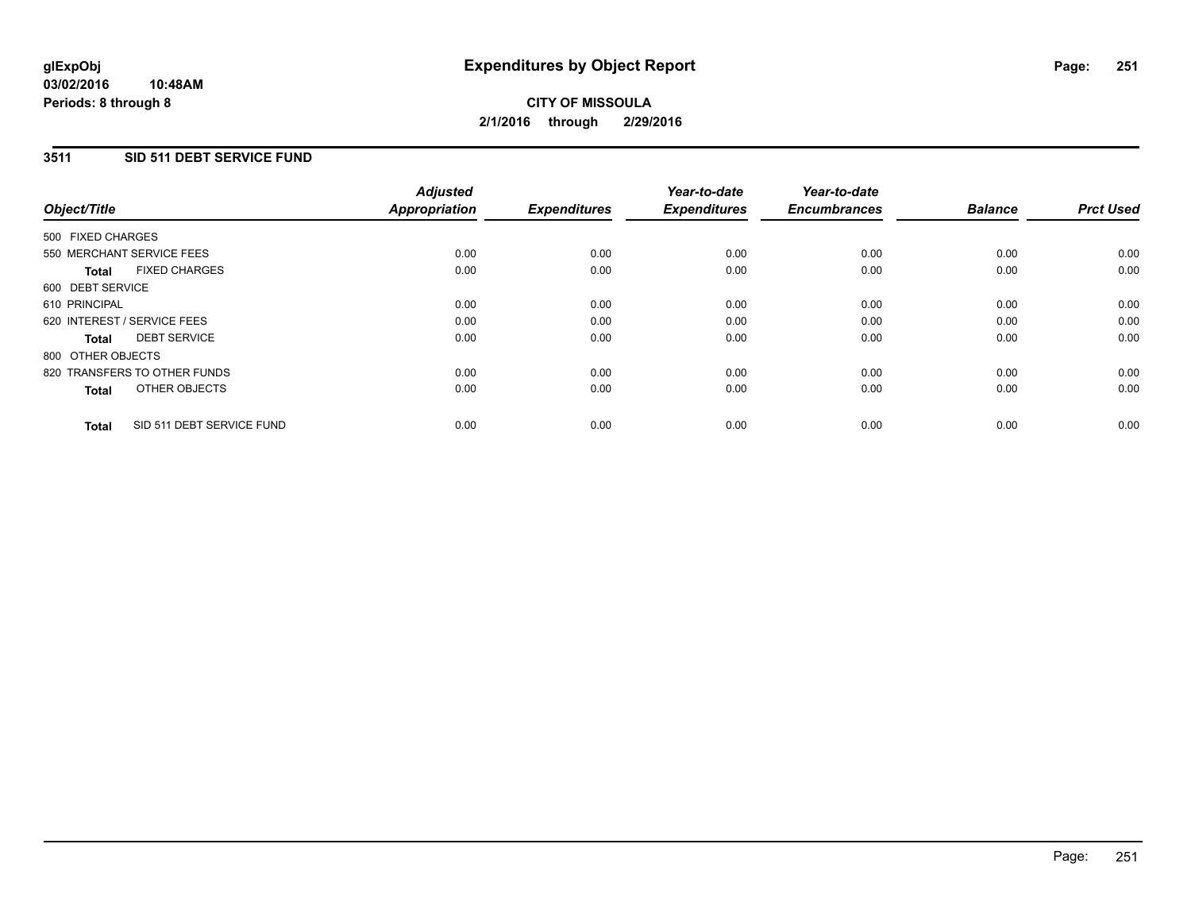## **3511 SID 511 DEBT SERVICE FUND**

| Object/Title                              | <b>Adjusted</b><br><b>Appropriation</b> | <b>Expenditures</b> | Year-to-date<br><b>Expenditures</b> | Year-to-date<br><b>Encumbrances</b> | <b>Balance</b> | <b>Prct Used</b> |
|-------------------------------------------|-----------------------------------------|---------------------|-------------------------------------|-------------------------------------|----------------|------------------|
|                                           |                                         |                     |                                     |                                     |                |                  |
| 500 FIXED CHARGES                         |                                         |                     |                                     |                                     |                |                  |
| 550 MERCHANT SERVICE FEES                 | 0.00                                    | 0.00                | 0.00                                | 0.00                                | 0.00           | 0.00             |
| <b>FIXED CHARGES</b><br>Total             | 0.00                                    | 0.00                | 0.00                                | 0.00                                | 0.00           | 0.00             |
| 600 DEBT SERVICE                          |                                         |                     |                                     |                                     |                |                  |
| 610 PRINCIPAL                             | 0.00                                    | 0.00                | 0.00                                | 0.00                                | 0.00           | 0.00             |
| 620 INTEREST / SERVICE FEES               | 0.00                                    | 0.00                | 0.00                                | 0.00                                | 0.00           | 0.00             |
| <b>DEBT SERVICE</b><br>Total              | 0.00                                    | 0.00                | 0.00                                | 0.00                                | 0.00           | 0.00             |
| 800 OTHER OBJECTS                         |                                         |                     |                                     |                                     |                |                  |
| 820 TRANSFERS TO OTHER FUNDS              | 0.00                                    | 0.00                | 0.00                                | 0.00                                | 0.00           | 0.00             |
| OTHER OBJECTS<br><b>Total</b>             | 0.00                                    | 0.00                | 0.00                                | 0.00                                | 0.00           | 0.00             |
|                                           |                                         |                     |                                     |                                     |                |                  |
| SID 511 DEBT SERVICE FUND<br><b>Total</b> | 0.00                                    | 0.00                | 0.00                                | 0.00                                | 0.00           | 0.00             |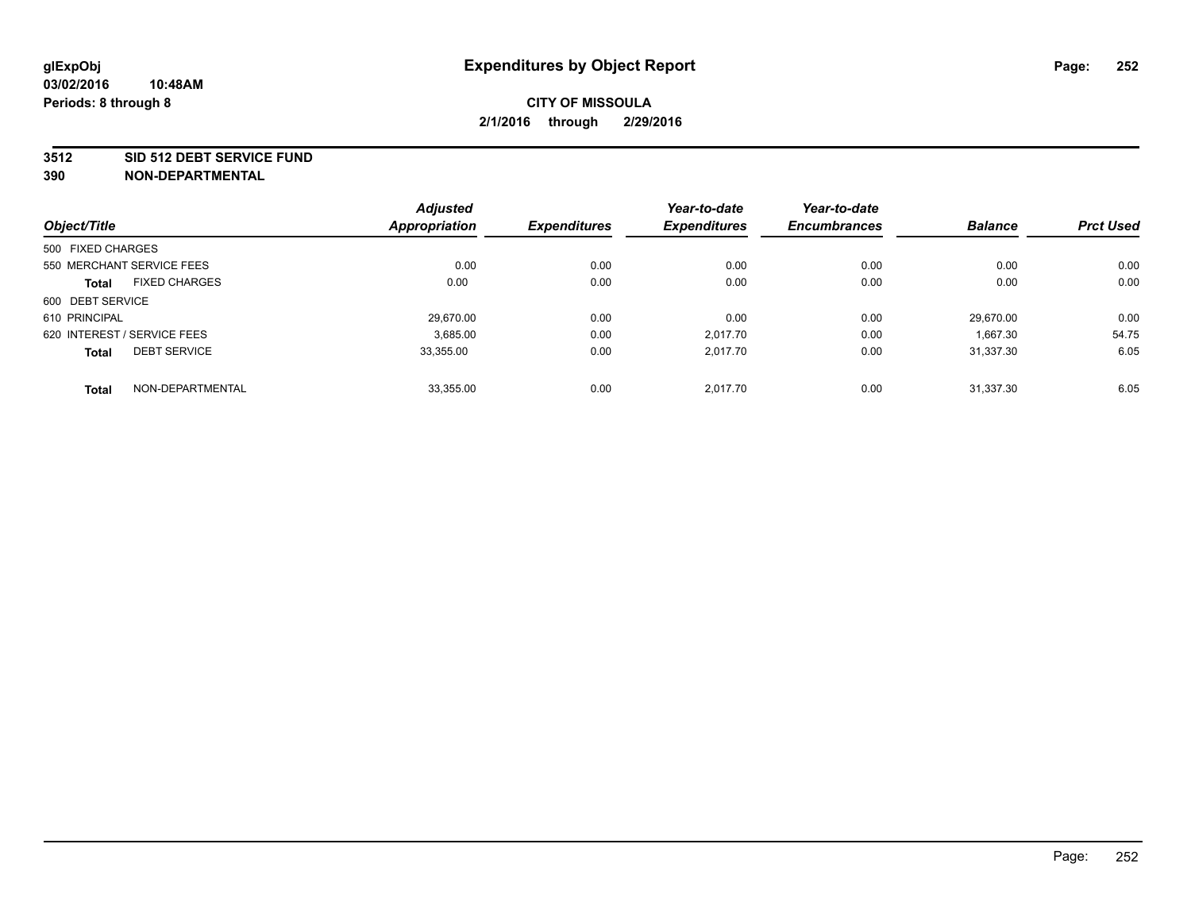#### **3512 SID 512 DEBT SERVICE FUND**

|                                      | <b>Adjusted</b>      |                     | Year-to-date        | Year-to-date        |                |                  |
|--------------------------------------|----------------------|---------------------|---------------------|---------------------|----------------|------------------|
| Object/Title                         | <b>Appropriation</b> | <b>Expenditures</b> | <b>Expenditures</b> | <b>Encumbrances</b> | <b>Balance</b> | <b>Prct Used</b> |
| 500 FIXED CHARGES                    |                      |                     |                     |                     |                |                  |
| 550 MERCHANT SERVICE FEES            | 0.00                 | 0.00                | 0.00                | 0.00                | 0.00           | 0.00             |
| <b>FIXED CHARGES</b><br><b>Total</b> | 0.00                 | 0.00                | 0.00                | 0.00                | 0.00           | 0.00             |
| 600 DEBT SERVICE                     |                      |                     |                     |                     |                |                  |
| 610 PRINCIPAL                        | 29.670.00            | 0.00                | 0.00                | 0.00                | 29.670.00      | 0.00             |
| 620 INTEREST / SERVICE FEES          | 3,685.00             | 0.00                | 2.017.70            | 0.00                | 1,667.30       | 54.75            |
| <b>DEBT SERVICE</b><br><b>Total</b>  | 33.355.00            | 0.00                | 2.017.70            | 0.00                | 31.337.30      | 6.05             |
| NON-DEPARTMENTAL<br><b>Total</b>     | 33,355.00            | 0.00                | 2.017.70            | 0.00                | 31.337.30      | 6.05             |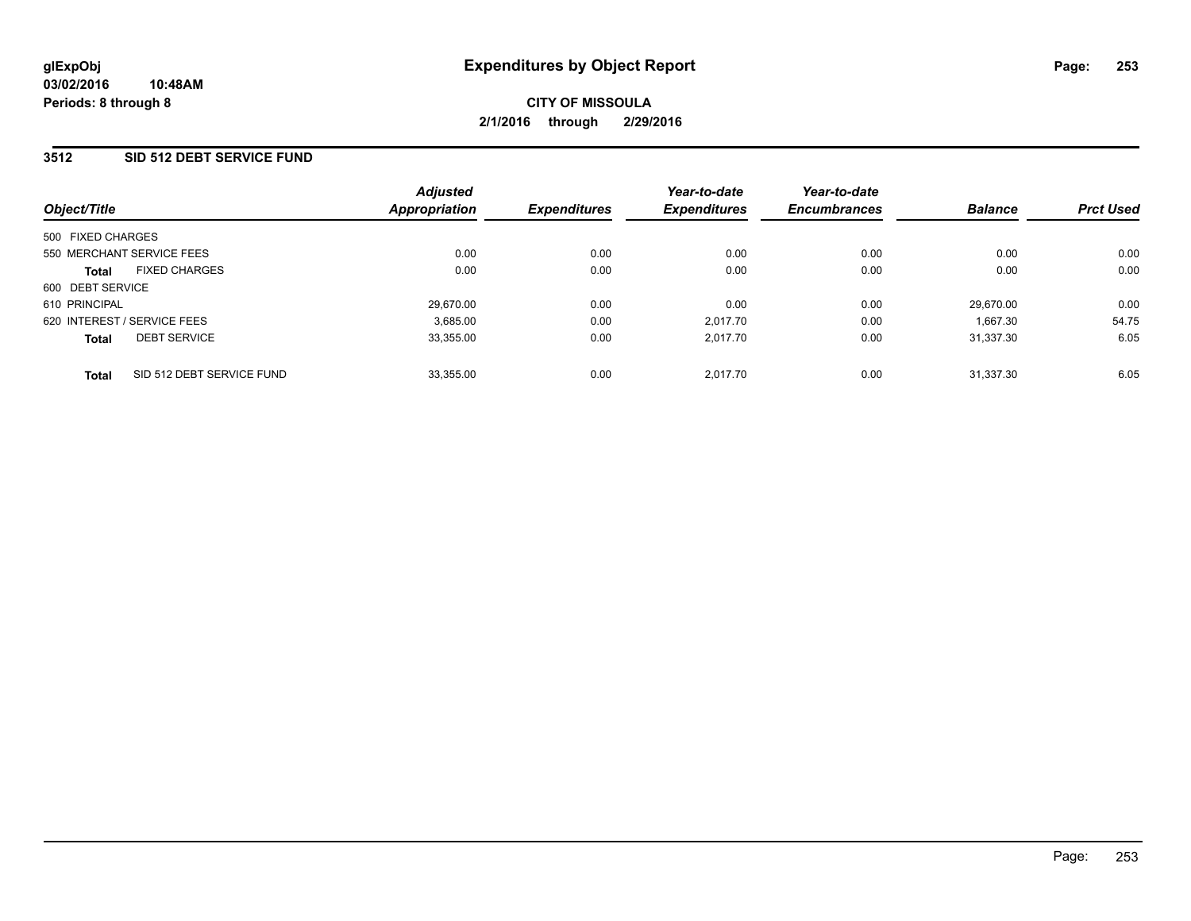### **3512 SID 512 DEBT SERVICE FUND**

|                                           | <b>Adjusted</b> |                     | Year-to-date        | Year-to-date        |                |                  |
|-------------------------------------------|-----------------|---------------------|---------------------|---------------------|----------------|------------------|
| Object/Title                              | Appropriation   | <b>Expenditures</b> | <b>Expenditures</b> | <b>Encumbrances</b> | <b>Balance</b> | <b>Prct Used</b> |
| 500 FIXED CHARGES                         |                 |                     |                     |                     |                |                  |
| 550 MERCHANT SERVICE FEES                 | 0.00            | 0.00                | 0.00                | 0.00                | 0.00           | 0.00             |
| <b>FIXED CHARGES</b><br><b>Total</b>      | 0.00            | 0.00                | 0.00                | 0.00                | 0.00           | 0.00             |
| 600 DEBT SERVICE                          |                 |                     |                     |                     |                |                  |
| 610 PRINCIPAL                             | 29,670.00       | 0.00                | 0.00                | 0.00                | 29.670.00      | 0.00             |
| 620 INTEREST / SERVICE FEES               | 3,685.00        | 0.00                | 2.017.70            | 0.00                | 1.667.30       | 54.75            |
| <b>DEBT SERVICE</b><br><b>Total</b>       | 33,355.00       | 0.00                | 2.017.70            | 0.00                | 31.337.30      | 6.05             |
| SID 512 DEBT SERVICE FUND<br><b>Total</b> | 33,355.00       | 0.00                | 2.017.70            | 0.00                | 31.337.30      | 6.05             |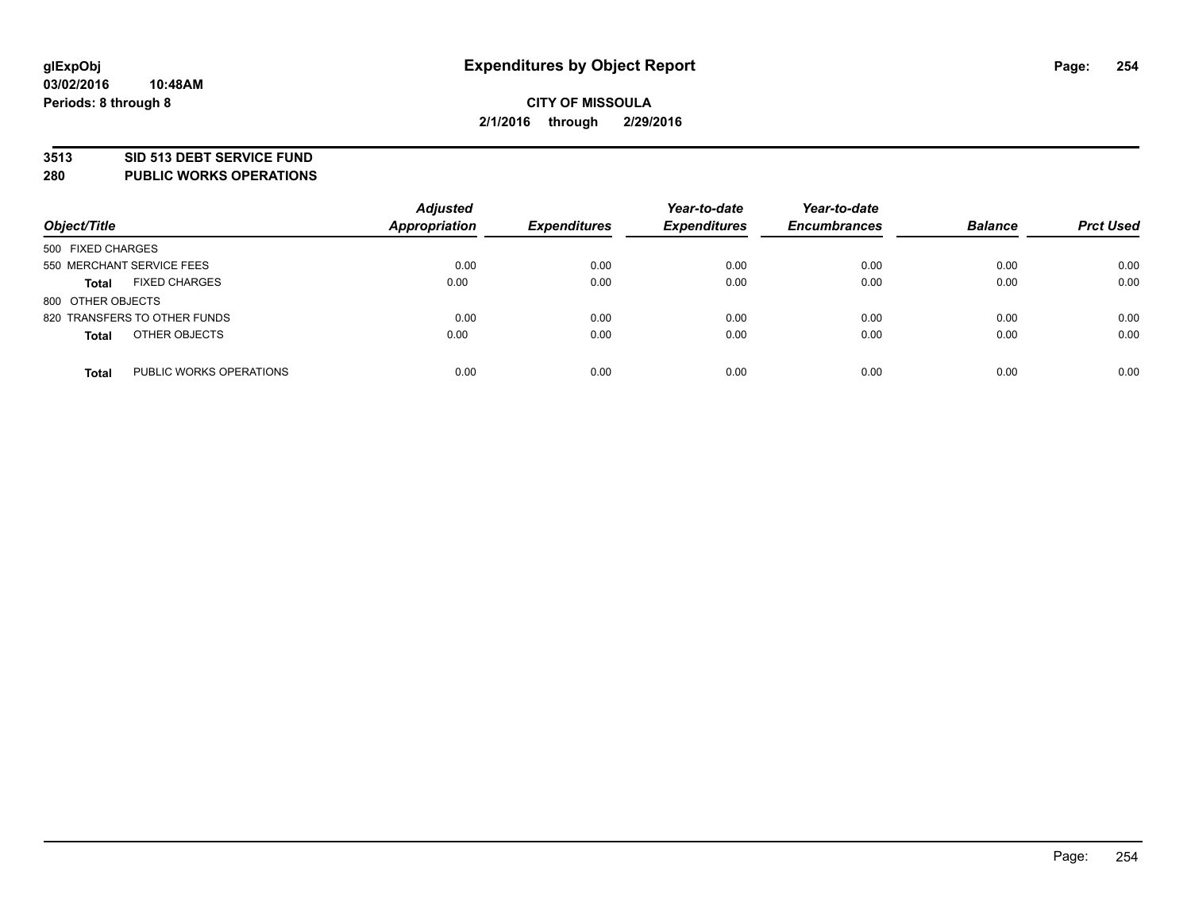#### **3513 SID 513 DEBT SERVICE FUND**

**280 PUBLIC WORKS OPERATIONS**

| Object/Title                            | <b>Adjusted</b><br>Appropriation | <b>Expenditures</b> | Year-to-date<br><b>Expenditures</b> | Year-to-date<br><b>Encumbrances</b> | <b>Balance</b> | <b>Prct Used</b> |
|-----------------------------------------|----------------------------------|---------------------|-------------------------------------|-------------------------------------|----------------|------------------|
| 500 FIXED CHARGES                       |                                  |                     |                                     |                                     |                |                  |
| 550 MERCHANT SERVICE FEES               | 0.00                             | 0.00                | 0.00                                | 0.00                                | 0.00           | 0.00             |
| <b>FIXED CHARGES</b><br><b>Total</b>    | 0.00                             | 0.00                | 0.00                                | 0.00                                | 0.00           | 0.00             |
| 800 OTHER OBJECTS                       |                                  |                     |                                     |                                     |                |                  |
| 820 TRANSFERS TO OTHER FUNDS            | 0.00                             | 0.00                | 0.00                                | 0.00                                | 0.00           | 0.00             |
| OTHER OBJECTS<br><b>Total</b>           | 0.00                             | 0.00                | 0.00                                | 0.00                                | 0.00           | 0.00             |
| PUBLIC WORKS OPERATIONS<br><b>Total</b> | 0.00                             | 0.00                | 0.00                                | 0.00                                | 0.00           | 0.00             |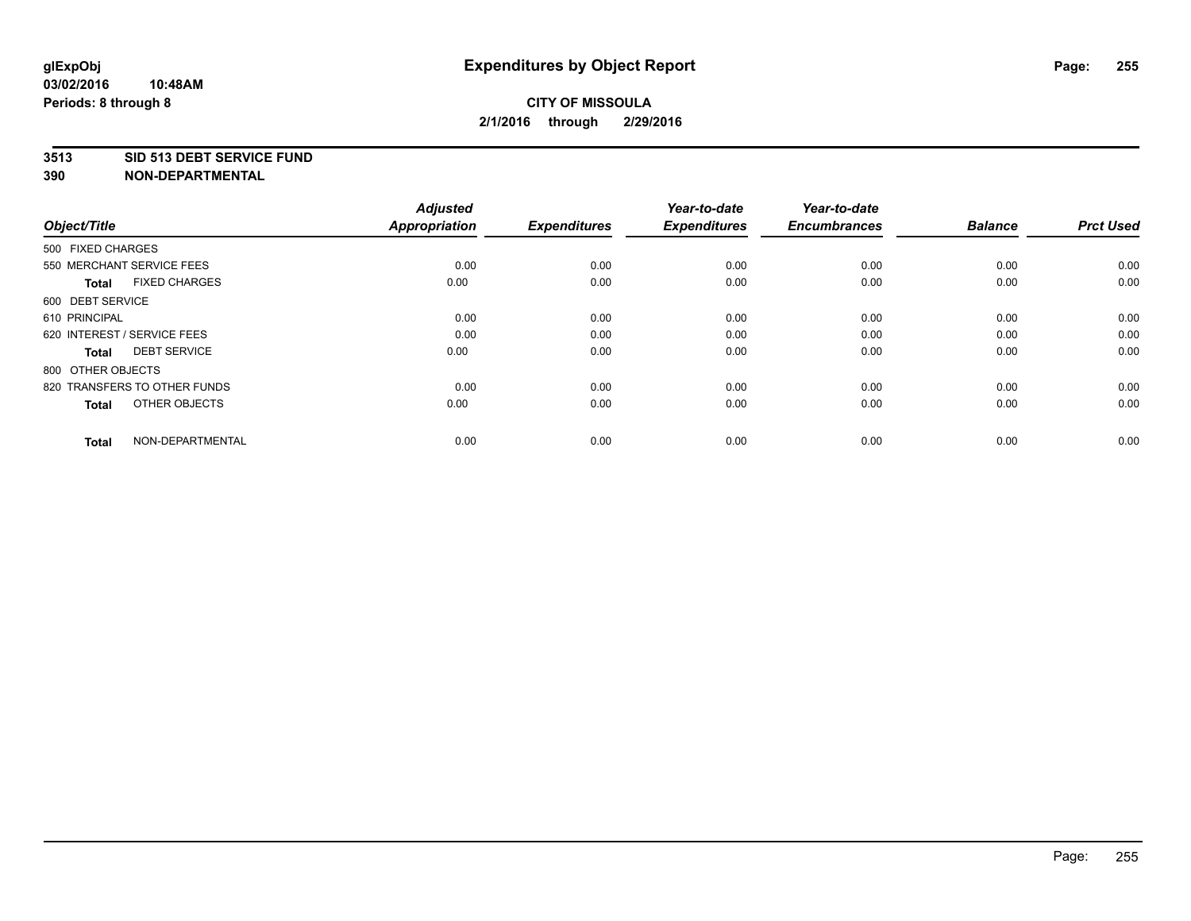#### **3513 SID 513 DEBT SERVICE FUND**

| Object/Title                         | <b>Adjusted</b><br><b>Appropriation</b> | <b>Expenditures</b> | Year-to-date<br><b>Expenditures</b> | Year-to-date<br><b>Encumbrances</b> | <b>Balance</b> | <b>Prct Used</b> |
|--------------------------------------|-----------------------------------------|---------------------|-------------------------------------|-------------------------------------|----------------|------------------|
| 500 FIXED CHARGES                    |                                         |                     |                                     |                                     |                |                  |
| 550 MERCHANT SERVICE FEES            | 0.00                                    | 0.00                | 0.00                                | 0.00                                | 0.00           | 0.00             |
| <b>FIXED CHARGES</b><br><b>Total</b> | 0.00                                    | 0.00                | 0.00                                | 0.00                                | 0.00           | 0.00             |
| 600 DEBT SERVICE                     |                                         |                     |                                     |                                     |                |                  |
| 610 PRINCIPAL                        | 0.00                                    | 0.00                | 0.00                                | 0.00                                | 0.00           | 0.00             |
| 620 INTEREST / SERVICE FEES          | 0.00                                    | 0.00                | 0.00                                | 0.00                                | 0.00           | 0.00             |
| <b>DEBT SERVICE</b><br><b>Total</b>  | 0.00                                    | 0.00                | 0.00                                | 0.00                                | 0.00           | 0.00             |
| 800 OTHER OBJECTS                    |                                         |                     |                                     |                                     |                |                  |
| 820 TRANSFERS TO OTHER FUNDS         | 0.00                                    | 0.00                | 0.00                                | 0.00                                | 0.00           | 0.00             |
| OTHER OBJECTS<br><b>Total</b>        | 0.00                                    | 0.00                | 0.00                                | 0.00                                | 0.00           | 0.00             |
|                                      |                                         |                     |                                     |                                     |                |                  |
| NON-DEPARTMENTAL<br><b>Total</b>     | 0.00                                    | 0.00                | 0.00                                | 0.00                                | 0.00           | 0.00             |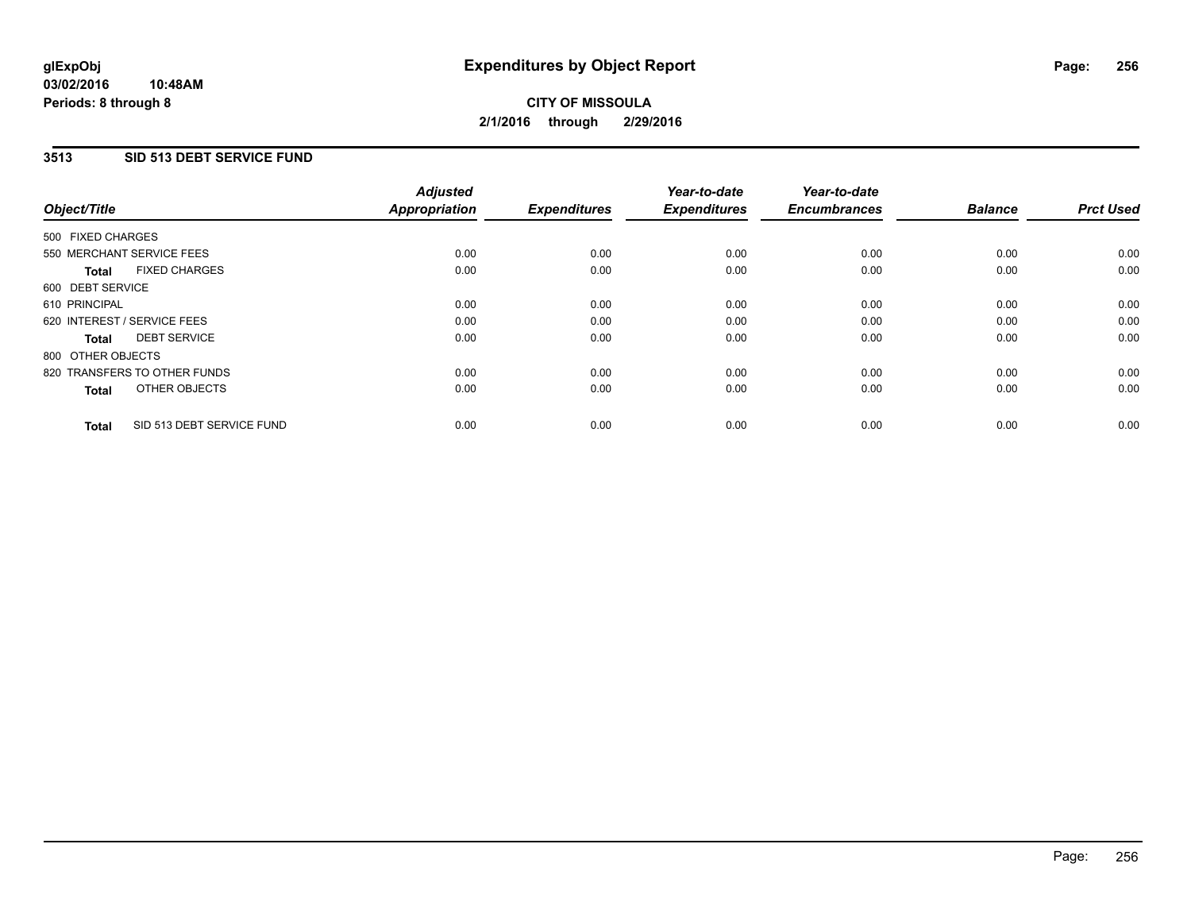### **3513 SID 513 DEBT SERVICE FUND**

| Object/Title                              | <b>Adjusted</b><br><b>Appropriation</b> | <b>Expenditures</b> | Year-to-date<br><b>Expenditures</b> | Year-to-date<br><b>Encumbrances</b> | <b>Balance</b> | <b>Prct Used</b> |
|-------------------------------------------|-----------------------------------------|---------------------|-------------------------------------|-------------------------------------|----------------|------------------|
|                                           |                                         |                     |                                     |                                     |                |                  |
| 500 FIXED CHARGES                         |                                         |                     |                                     |                                     |                |                  |
| 550 MERCHANT SERVICE FEES                 | 0.00                                    | 0.00                | 0.00                                | 0.00                                | 0.00           | 0.00             |
| <b>FIXED CHARGES</b><br>Total             | 0.00                                    | 0.00                | 0.00                                | 0.00                                | 0.00           | 0.00             |
| 600 DEBT SERVICE                          |                                         |                     |                                     |                                     |                |                  |
| 610 PRINCIPAL                             | 0.00                                    | 0.00                | 0.00                                | 0.00                                | 0.00           | 0.00             |
| 620 INTEREST / SERVICE FEES               | 0.00                                    | 0.00                | 0.00                                | 0.00                                | 0.00           | 0.00             |
| <b>DEBT SERVICE</b><br><b>Total</b>       | 0.00                                    | 0.00                | 0.00                                | 0.00                                | 0.00           | 0.00             |
| 800 OTHER OBJECTS                         |                                         |                     |                                     |                                     |                |                  |
| 820 TRANSFERS TO OTHER FUNDS              | 0.00                                    | 0.00                | 0.00                                | 0.00                                | 0.00           | 0.00             |
| OTHER OBJECTS<br><b>Total</b>             | 0.00                                    | 0.00                | 0.00                                | 0.00                                | 0.00           | 0.00             |
|                                           |                                         |                     |                                     |                                     |                |                  |
| SID 513 DEBT SERVICE FUND<br><b>Total</b> | 0.00                                    | 0.00                | 0.00                                | 0.00                                | 0.00           | 0.00             |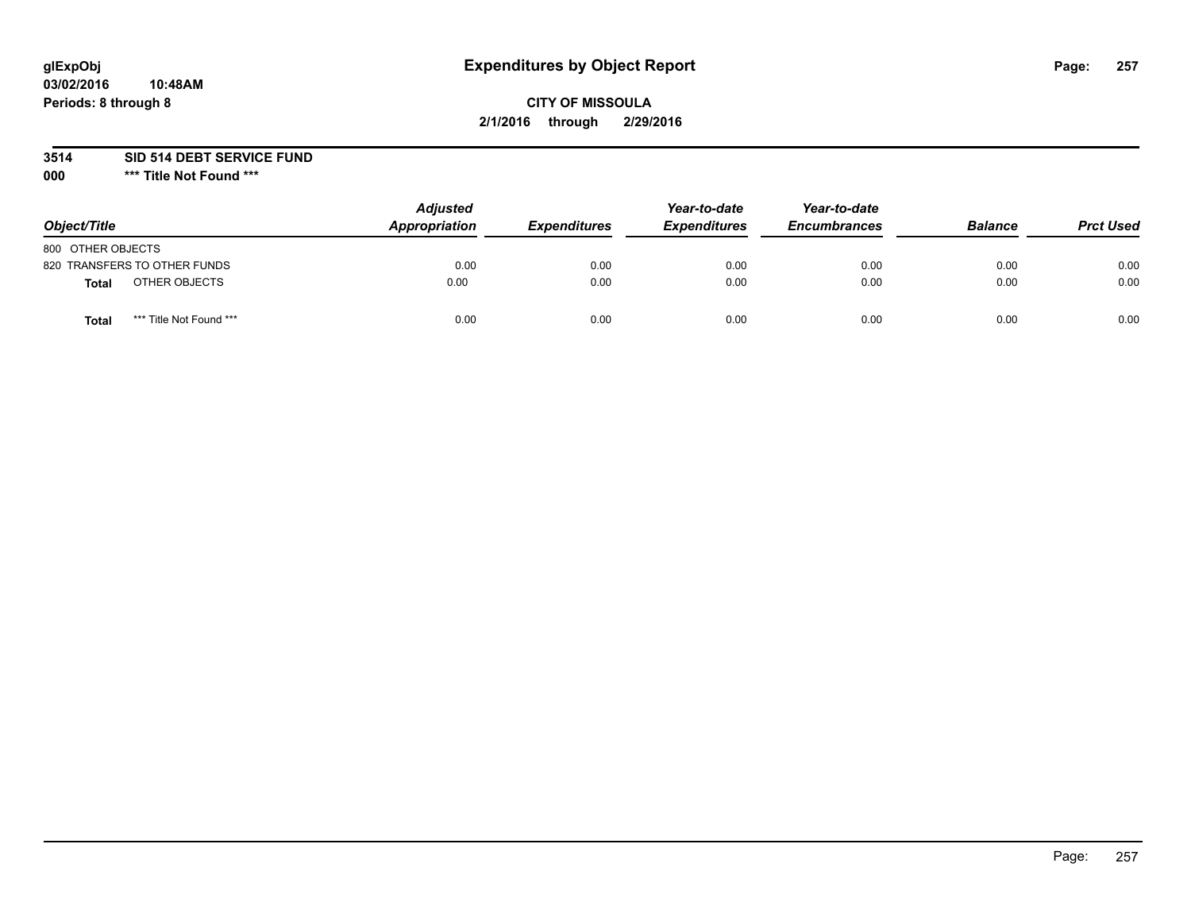# **glExpObj Expenditures by Object Report Page: 257**

## **CITY OF MISSOULA 2/1/2016 through 2/29/2016**

**3514 SID 514 DEBT SERVICE FUND**

**000 \*\*\* Title Not Found \*\*\***

| Object/Title                     | <b>Adjusted</b><br>Appropriation | <b>Expenditures</b> | Year-to-date<br><b>Expenditures</b> | Year-to-date<br><b>Encumbrances</b> | <b>Balance</b> | <b>Prct Used</b> |
|----------------------------------|----------------------------------|---------------------|-------------------------------------|-------------------------------------|----------------|------------------|
| 800 OTHER OBJECTS                |                                  |                     |                                     |                                     |                |                  |
| 820 TRANSFERS TO OTHER FUNDS     | 0.00                             | 0.00                | 0.00                                | 0.00                                | 0.00           | 0.00             |
| OTHER OBJECTS<br><b>Total</b>    | 0.00                             | 0.00                | 0.00                                | 0.00                                | 0.00           | 0.00             |
| *** Title Not Found ***<br>Total | 0.00                             | 0.00                | 0.00                                | 0.00                                | 0.00           | 0.00             |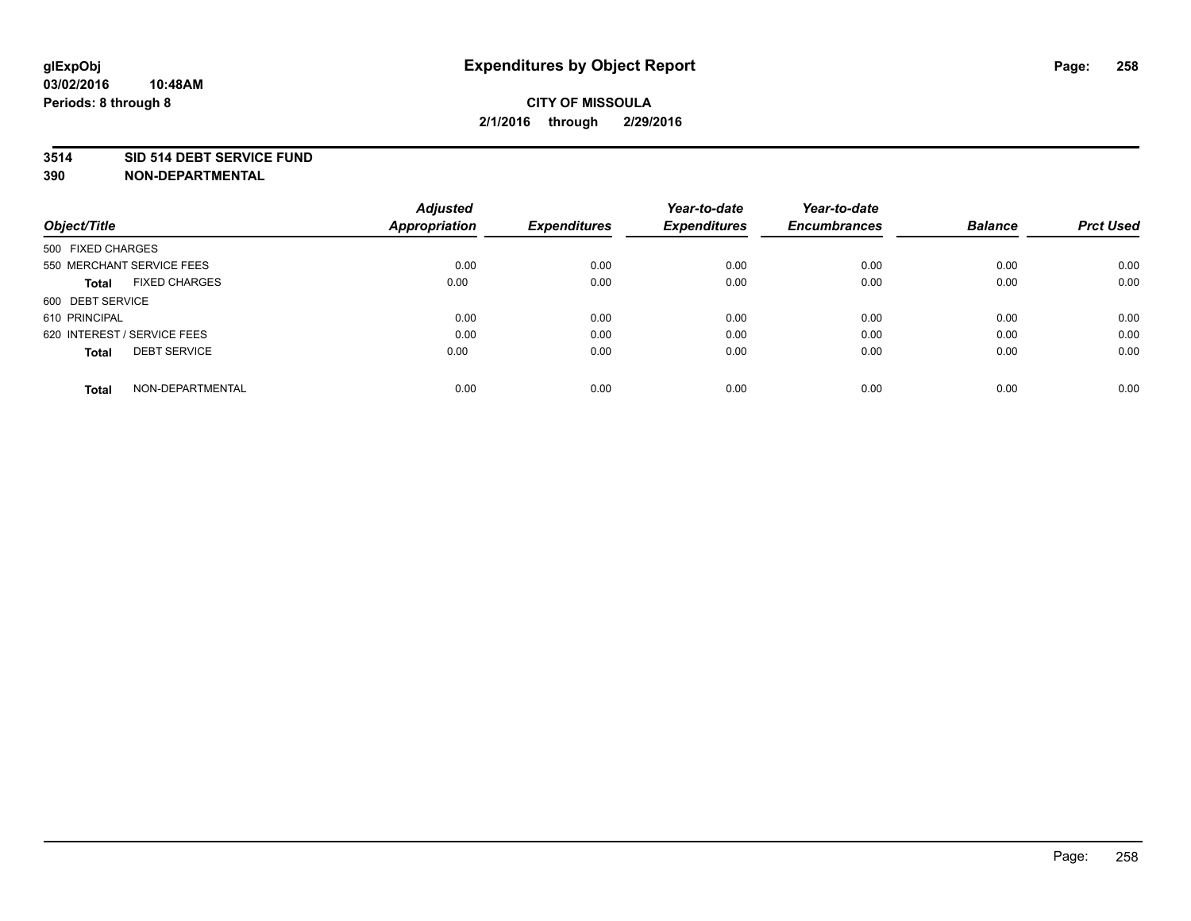#### **3514 SID 514 DEBT SERVICE FUND**

|                                      | <b>Adjusted</b>      |                     | Year-to-date        | Year-to-date        |                |                  |
|--------------------------------------|----------------------|---------------------|---------------------|---------------------|----------------|------------------|
| Object/Title                         | <b>Appropriation</b> | <b>Expenditures</b> | <b>Expenditures</b> | <b>Encumbrances</b> | <b>Balance</b> | <b>Prct Used</b> |
| 500 FIXED CHARGES                    |                      |                     |                     |                     |                |                  |
| 550 MERCHANT SERVICE FEES            | 0.00                 | 0.00                | 0.00                | 0.00                | 0.00           | 0.00             |
| <b>FIXED CHARGES</b><br><b>Total</b> | 0.00                 | 0.00                | 0.00                | 0.00                | 0.00           | 0.00             |
| 600 DEBT SERVICE                     |                      |                     |                     |                     |                |                  |
| 610 PRINCIPAL                        | 0.00                 | 0.00                | 0.00                | 0.00                | 0.00           | 0.00             |
| 620 INTEREST / SERVICE FEES          | 0.00                 | 0.00                | 0.00                | 0.00                | 0.00           | 0.00             |
| <b>DEBT SERVICE</b><br><b>Total</b>  | 0.00                 | 0.00                | 0.00                | 0.00                | 0.00           | 0.00             |
| NON-DEPARTMENTAL<br>Total            | 0.00                 | 0.00                | 0.00                | 0.00                | 0.00           | 0.00             |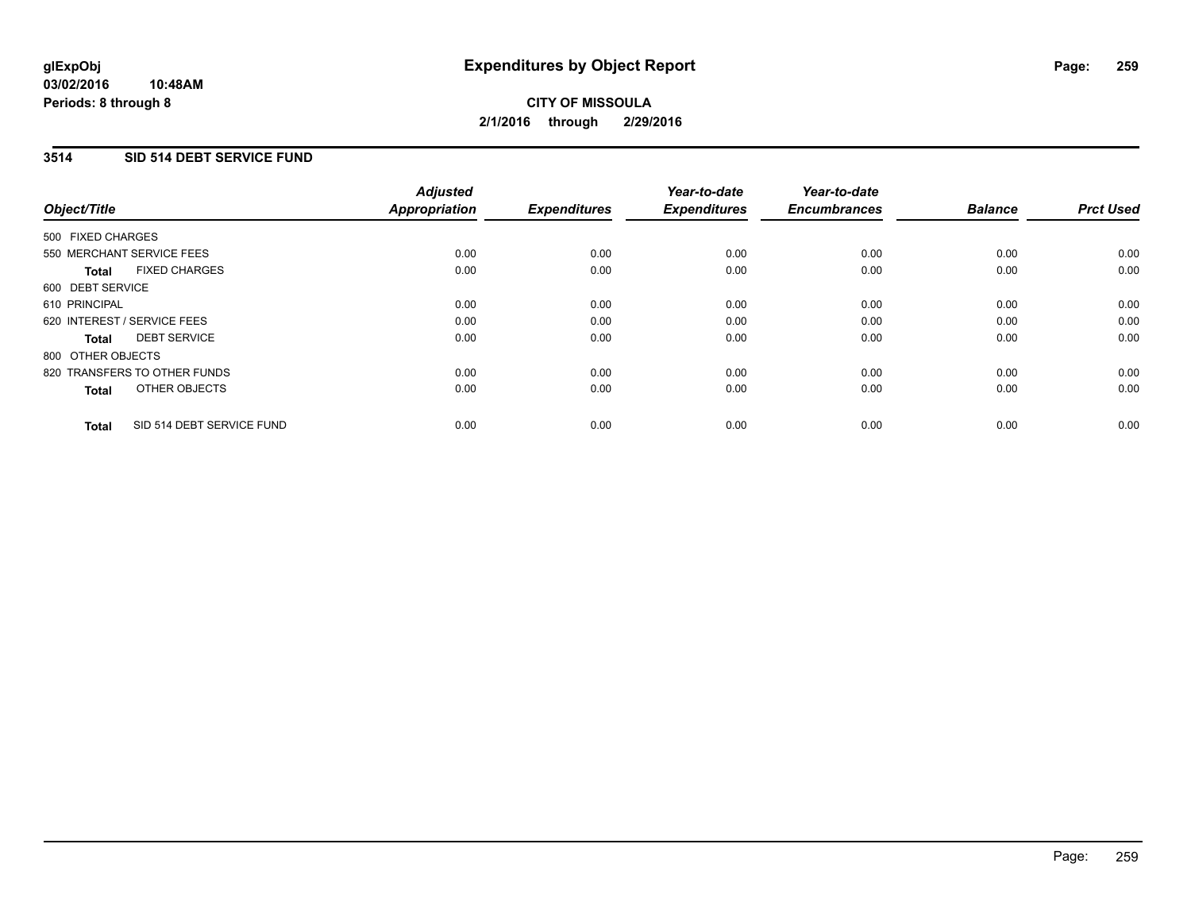### **3514 SID 514 DEBT SERVICE FUND**

| Object/Title                              | <b>Adjusted</b><br><b>Appropriation</b> | <b>Expenditures</b> | Year-to-date<br><b>Expenditures</b> | Year-to-date<br><b>Encumbrances</b> | <b>Balance</b> | <b>Prct Used</b> |
|-------------------------------------------|-----------------------------------------|---------------------|-------------------------------------|-------------------------------------|----------------|------------------|
|                                           |                                         |                     |                                     |                                     |                |                  |
| 500 FIXED CHARGES                         |                                         |                     |                                     |                                     |                |                  |
| 550 MERCHANT SERVICE FEES                 | 0.00                                    | 0.00                | 0.00                                | 0.00                                | 0.00           | 0.00             |
| <b>FIXED CHARGES</b><br>Total             | 0.00                                    | 0.00                | 0.00                                | 0.00                                | 0.00           | 0.00             |
| 600 DEBT SERVICE                          |                                         |                     |                                     |                                     |                |                  |
| 610 PRINCIPAL                             | 0.00                                    | 0.00                | 0.00                                | 0.00                                | 0.00           | 0.00             |
| 620 INTEREST / SERVICE FEES               | 0.00                                    | 0.00                | 0.00                                | 0.00                                | 0.00           | 0.00             |
| <b>DEBT SERVICE</b><br><b>Total</b>       | 0.00                                    | 0.00                | 0.00                                | 0.00                                | 0.00           | 0.00             |
| 800 OTHER OBJECTS                         |                                         |                     |                                     |                                     |                |                  |
| 820 TRANSFERS TO OTHER FUNDS              | 0.00                                    | 0.00                | 0.00                                | 0.00                                | 0.00           | 0.00             |
| OTHER OBJECTS<br><b>Total</b>             | 0.00                                    | 0.00                | 0.00                                | 0.00                                | 0.00           | 0.00             |
|                                           |                                         |                     |                                     |                                     |                |                  |
| SID 514 DEBT SERVICE FUND<br><b>Total</b> | 0.00                                    | 0.00                | 0.00                                | 0.00                                | 0.00           | 0.00             |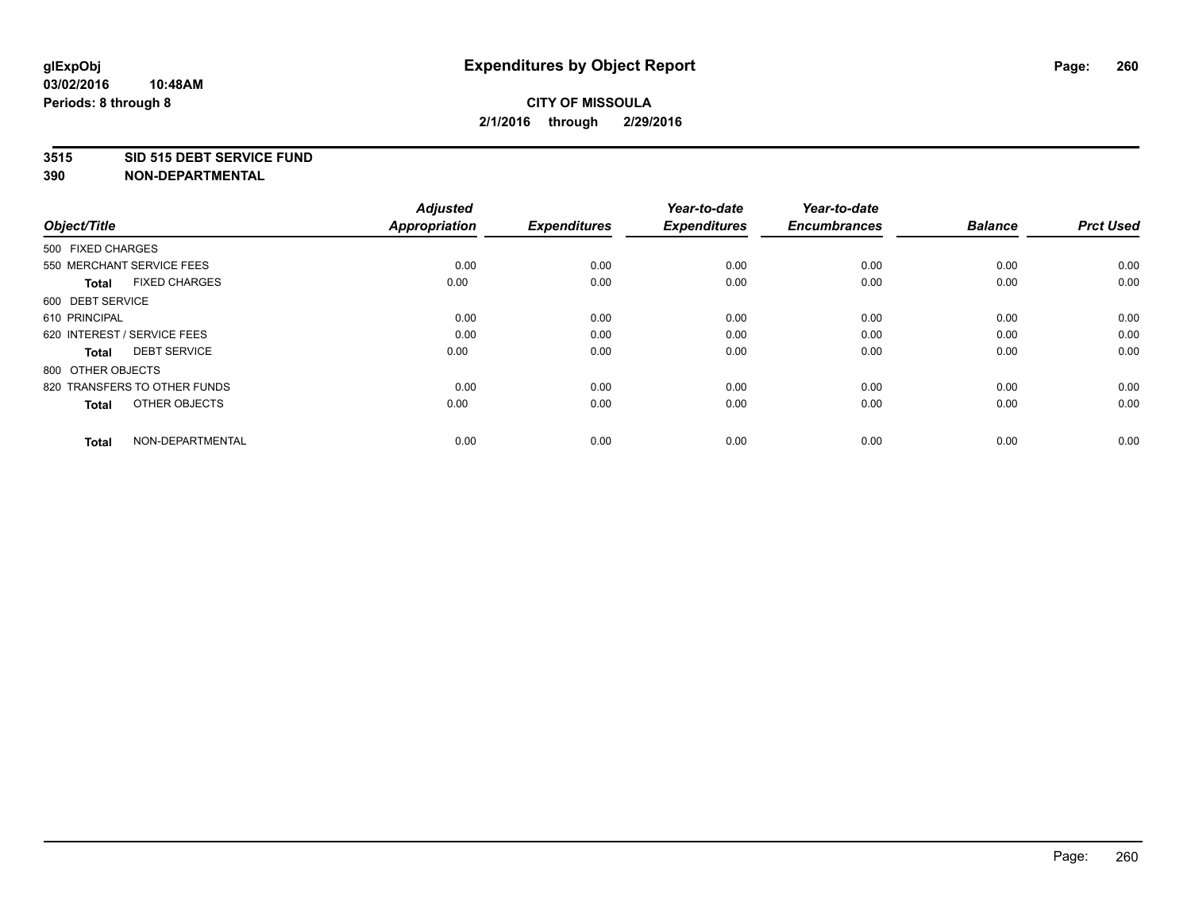#### **3515 SID 515 DEBT SERVICE FUND**

| Object/Title                         | <b>Adjusted</b><br><b>Appropriation</b> | <b>Expenditures</b> | Year-to-date<br><b>Expenditures</b> | Year-to-date<br><b>Encumbrances</b> | <b>Balance</b> | <b>Prct Used</b> |
|--------------------------------------|-----------------------------------------|---------------------|-------------------------------------|-------------------------------------|----------------|------------------|
| 500 FIXED CHARGES                    |                                         |                     |                                     |                                     |                |                  |
| 550 MERCHANT SERVICE FEES            | 0.00                                    | 0.00                | 0.00                                | 0.00                                | 0.00           | 0.00             |
| <b>FIXED CHARGES</b><br><b>Total</b> | 0.00                                    | 0.00                | 0.00                                | 0.00                                | 0.00           | 0.00             |
| 600 DEBT SERVICE                     |                                         |                     |                                     |                                     |                |                  |
| 610 PRINCIPAL                        | 0.00                                    | 0.00                | 0.00                                | 0.00                                | 0.00           | 0.00             |
| 620 INTEREST / SERVICE FEES          | 0.00                                    | 0.00                | 0.00                                | 0.00                                | 0.00           | 0.00             |
| <b>DEBT SERVICE</b><br><b>Total</b>  | 0.00                                    | 0.00                | 0.00                                | 0.00                                | 0.00           | 0.00             |
| 800 OTHER OBJECTS                    |                                         |                     |                                     |                                     |                |                  |
| 820 TRANSFERS TO OTHER FUNDS         | 0.00                                    | 0.00                | 0.00                                | 0.00                                | 0.00           | 0.00             |
| OTHER OBJECTS<br><b>Total</b>        | 0.00                                    | 0.00                | 0.00                                | 0.00                                | 0.00           | 0.00             |
|                                      |                                         |                     |                                     |                                     |                |                  |
| NON-DEPARTMENTAL<br><b>Total</b>     | 0.00                                    | 0.00                | 0.00                                | 0.00                                | 0.00           | 0.00             |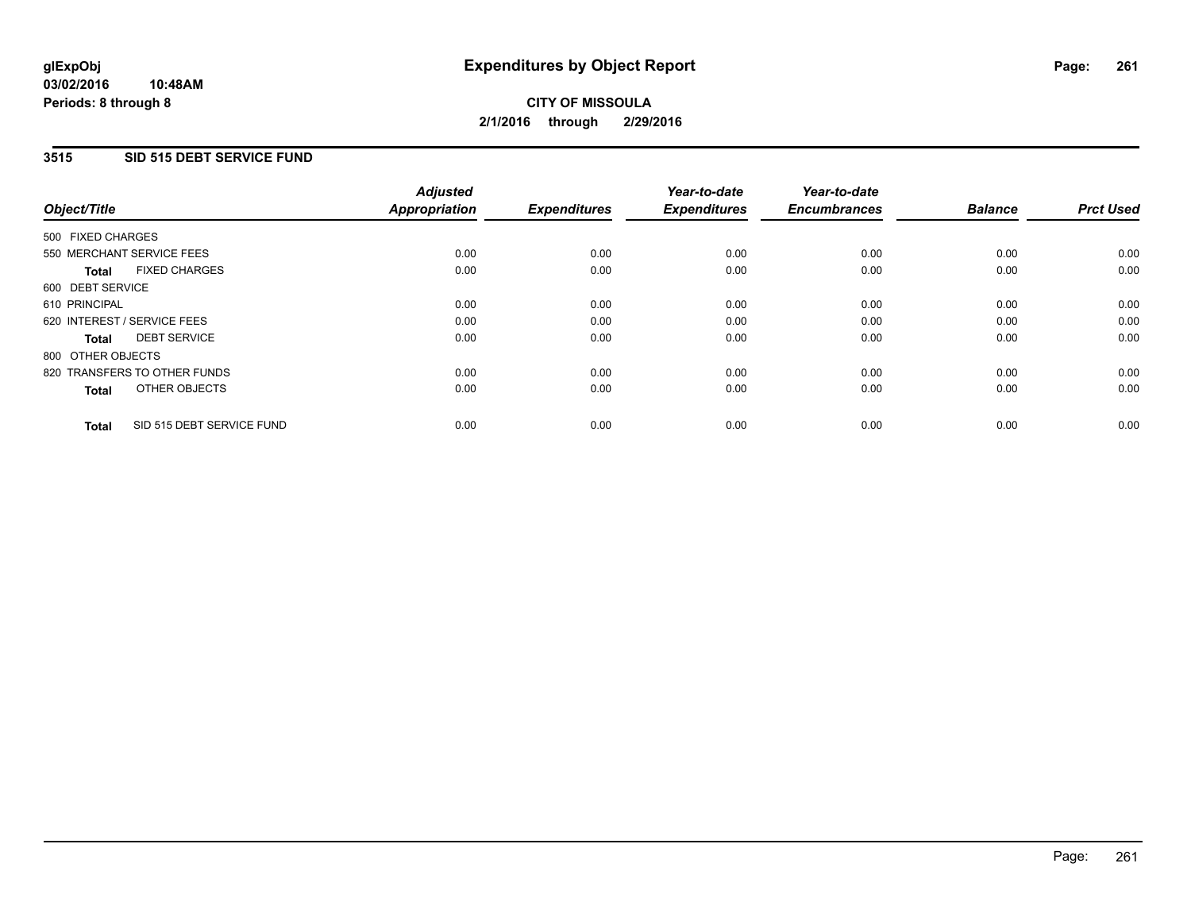### **3515 SID 515 DEBT SERVICE FUND**

| Object/Title                              | <b>Adjusted</b><br><b>Appropriation</b> | <b>Expenditures</b> | Year-to-date<br><b>Expenditures</b> | Year-to-date<br><b>Encumbrances</b> | <b>Balance</b> | <b>Prct Used</b> |
|-------------------------------------------|-----------------------------------------|---------------------|-------------------------------------|-------------------------------------|----------------|------------------|
| 500 FIXED CHARGES                         |                                         |                     |                                     |                                     |                |                  |
| 550 MERCHANT SERVICE FEES                 | 0.00                                    | 0.00                | 0.00                                | 0.00                                | 0.00           | 0.00             |
| <b>FIXED CHARGES</b><br><b>Total</b>      | 0.00                                    | 0.00                | 0.00                                | 0.00                                | 0.00           | 0.00             |
| 600 DEBT SERVICE                          |                                         |                     |                                     |                                     |                |                  |
| 610 PRINCIPAL                             | 0.00                                    | 0.00                | 0.00                                | 0.00                                | 0.00           | 0.00             |
| 620 INTEREST / SERVICE FEES               | 0.00                                    | 0.00                | 0.00                                | 0.00                                | 0.00           | 0.00             |
| <b>DEBT SERVICE</b><br><b>Total</b>       | 0.00                                    | 0.00                | 0.00                                | 0.00                                | 0.00           | 0.00             |
| 800 OTHER OBJECTS                         |                                         |                     |                                     |                                     |                |                  |
| 820 TRANSFERS TO OTHER FUNDS              | 0.00                                    | 0.00                | 0.00                                | 0.00                                | 0.00           | 0.00             |
| OTHER OBJECTS<br><b>Total</b>             | 0.00                                    | 0.00                | 0.00                                | 0.00                                | 0.00           | 0.00             |
| SID 515 DEBT SERVICE FUND<br><b>Total</b> | 0.00                                    | 0.00                | 0.00                                | 0.00                                | 0.00           | 0.00             |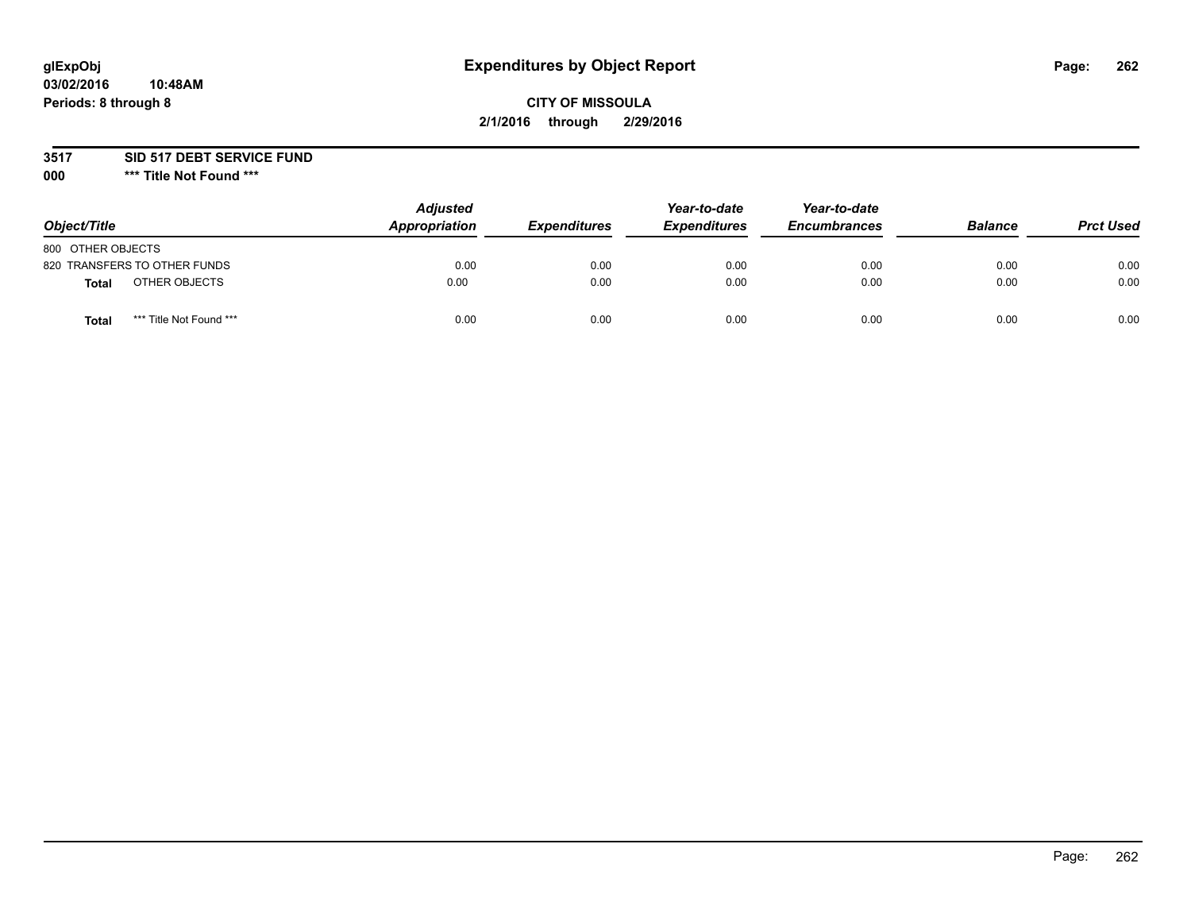# **glExpObj Expenditures by Object Report Page: 262**

## **CITY OF MISSOULA 2/1/2016 through 2/29/2016**

#### **3517 SID 517 DEBT SERVICE FUND**

**000 \*\*\* Title Not Found \*\*\***

| Object/Title                            | <b>Adjusted</b><br>Appropriation | <b>Expenditures</b> | Year-to-date<br><b>Expenditures</b> | Year-to-date<br><b>Encumbrances</b> | <b>Balance</b> | <b>Prct Used</b> |
|-----------------------------------------|----------------------------------|---------------------|-------------------------------------|-------------------------------------|----------------|------------------|
| 800 OTHER OBJECTS                       |                                  |                     |                                     |                                     |                |                  |
| 820 TRANSFERS TO OTHER FUNDS            | 0.00                             | 0.00                | 0.00                                | 0.00                                | 0.00           | 0.00             |
| OTHER OBJECTS<br>Total                  | 0.00                             | 0.00                | 0.00                                | 0.00                                | 0.00           | 0.00             |
| *** Title Not Found ***<br><b>Total</b> | 0.00                             | 0.00                | 0.00                                | 0.00                                | 0.00           | 0.00             |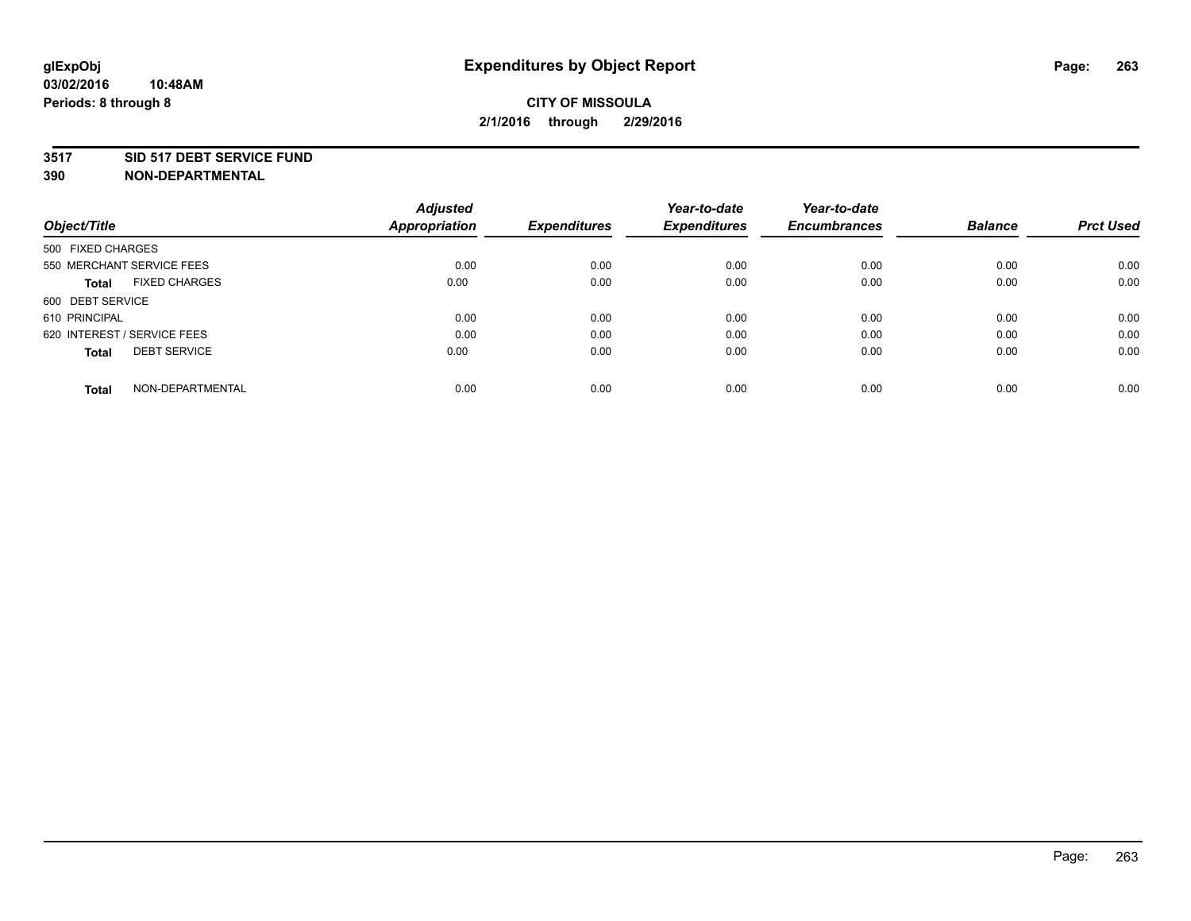#### **3517 SID 517 DEBT SERVICE FUND**

|                                      | <b>Adjusted</b>      |                     | Year-to-date        | Year-to-date        |                |                  |
|--------------------------------------|----------------------|---------------------|---------------------|---------------------|----------------|------------------|
| Object/Title                         | <b>Appropriation</b> | <b>Expenditures</b> | <b>Expenditures</b> | <b>Encumbrances</b> | <b>Balance</b> | <b>Prct Used</b> |
| 500 FIXED CHARGES                    |                      |                     |                     |                     |                |                  |
| 550 MERCHANT SERVICE FEES            | 0.00                 | 0.00                | 0.00                | 0.00                | 0.00           | 0.00             |
| <b>FIXED CHARGES</b><br><b>Total</b> | 0.00                 | 0.00                | 0.00                | 0.00                | 0.00           | 0.00             |
| 600 DEBT SERVICE                     |                      |                     |                     |                     |                |                  |
| 610 PRINCIPAL                        | 0.00                 | 0.00                | 0.00                | 0.00                | 0.00           | 0.00             |
| 620 INTEREST / SERVICE FEES          | 0.00                 | 0.00                | 0.00                | 0.00                | 0.00           | 0.00             |
| <b>DEBT SERVICE</b><br><b>Total</b>  | 0.00                 | 0.00                | 0.00                | 0.00                | 0.00           | 0.00             |
| NON-DEPARTMENTAL<br>Total            | 0.00                 | 0.00                | 0.00                | 0.00                | 0.00           | 0.00             |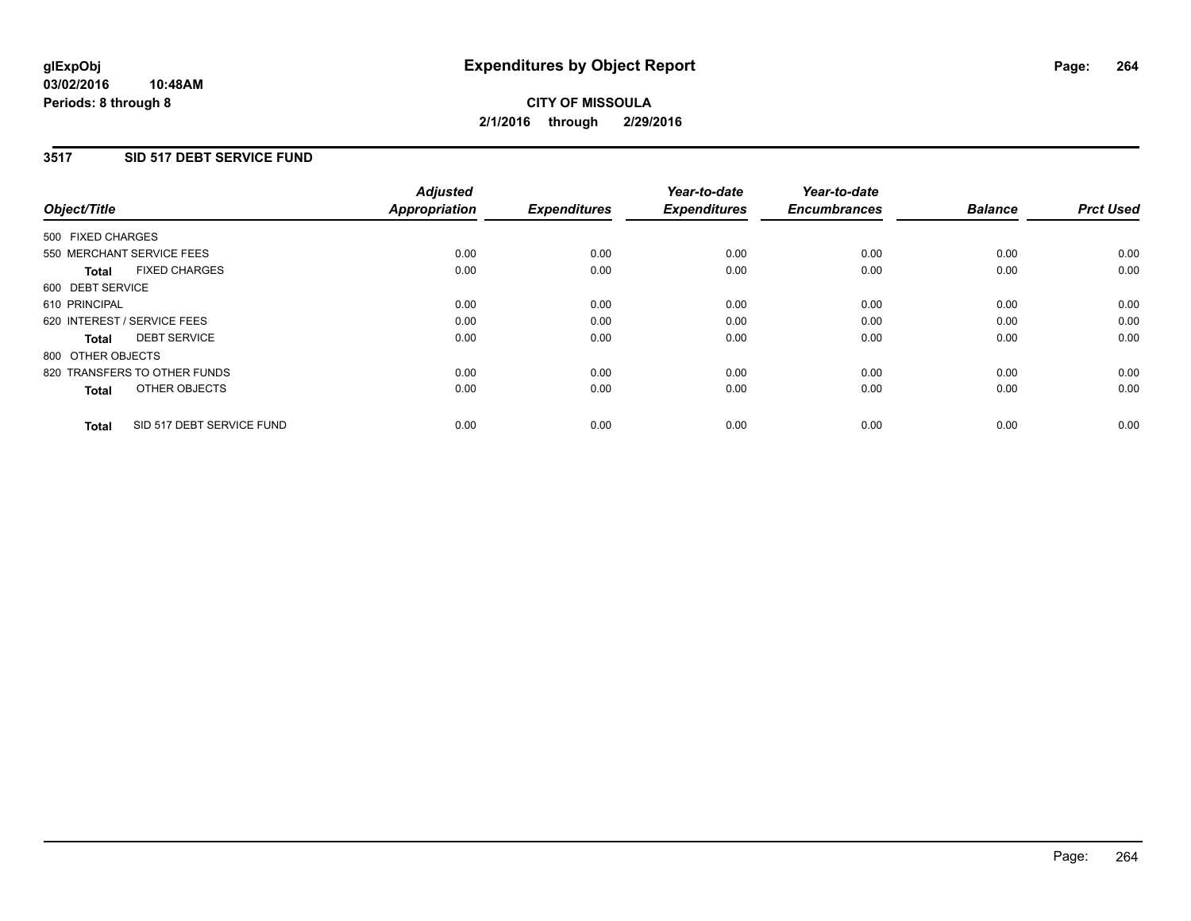### **3517 SID 517 DEBT SERVICE FUND**

| Object/Title      |                              | <b>Adjusted</b><br>Appropriation | <b>Expenditures</b> | Year-to-date<br><b>Expenditures</b> | Year-to-date<br><b>Encumbrances</b> | <b>Balance</b> | <b>Prct Used</b> |
|-------------------|------------------------------|----------------------------------|---------------------|-------------------------------------|-------------------------------------|----------------|------------------|
| 500 FIXED CHARGES |                              |                                  |                     |                                     |                                     |                |                  |
|                   | 550 MERCHANT SERVICE FEES    | 0.00                             | 0.00                | 0.00                                | 0.00                                | 0.00           | 0.00             |
| <b>Total</b>      | <b>FIXED CHARGES</b>         | 0.00                             | 0.00                | 0.00                                | 0.00                                | 0.00           | 0.00             |
| 600 DEBT SERVICE  |                              |                                  |                     |                                     |                                     |                |                  |
| 610 PRINCIPAL     |                              | 0.00                             | 0.00                | 0.00                                | 0.00                                | 0.00           | 0.00             |
|                   | 620 INTEREST / SERVICE FEES  | 0.00                             | 0.00                | 0.00                                | 0.00                                | 0.00           | 0.00             |
| Total             | <b>DEBT SERVICE</b>          | 0.00                             | 0.00                | 0.00                                | 0.00                                | 0.00           | 0.00             |
| 800 OTHER OBJECTS |                              |                                  |                     |                                     |                                     |                |                  |
|                   | 820 TRANSFERS TO OTHER FUNDS | 0.00                             | 0.00                | 0.00                                | 0.00                                | 0.00           | 0.00             |
| <b>Total</b>      | OTHER OBJECTS                | 0.00                             | 0.00                | 0.00                                | 0.00                                | 0.00           | 0.00             |
| <b>Total</b>      | SID 517 DEBT SERVICE FUND    | 0.00                             | 0.00                | 0.00                                | 0.00                                | 0.00           | 0.00             |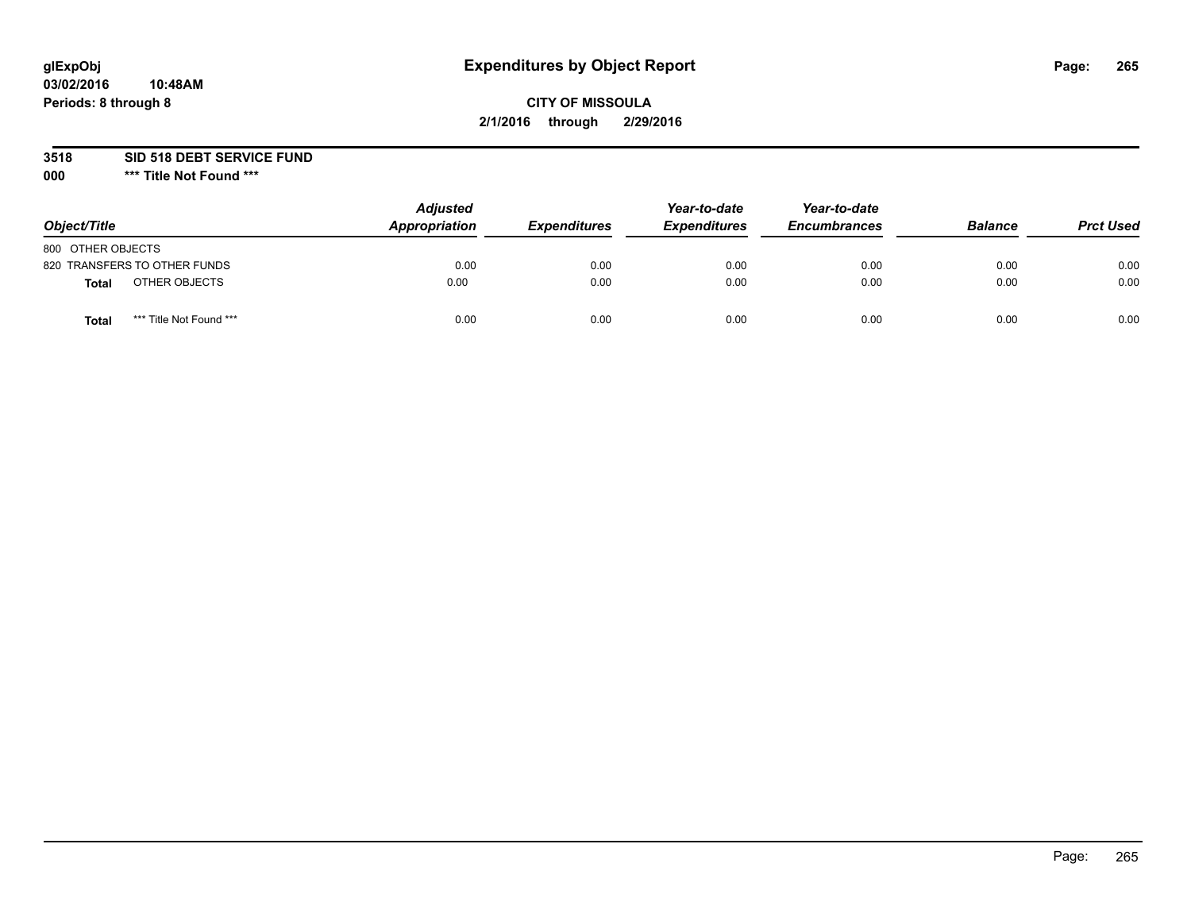# **glExpObj Expenditures by Object Report Page: 265**

### **CITY OF MISSOULA 2/1/2016 through 2/29/2016**

**3518 SID 518 DEBT SERVICE FUND**

**000 \*\*\* Title Not Found \*\*\***

| Object/Title                     | <b>Adjusted</b><br>Appropriation | <b>Expenditures</b> | Year-to-date<br><b>Expenditures</b> | Year-to-date<br><b>Encumbrances</b> | <b>Balance</b> | <b>Prct Used</b> |
|----------------------------------|----------------------------------|---------------------|-------------------------------------|-------------------------------------|----------------|------------------|
| 800 OTHER OBJECTS                |                                  |                     |                                     |                                     |                |                  |
| 820 TRANSFERS TO OTHER FUNDS     | 0.00                             | 0.00                | 0.00                                | 0.00                                | 0.00           | 0.00             |
| OTHER OBJECTS<br><b>Total</b>    | 0.00                             | 0.00                | 0.00                                | 0.00                                | 0.00           | 0.00             |
| *** Title Not Found ***<br>Total | 0.00                             | 0.00                | 0.00                                | 0.00                                | 0.00           | 0.00             |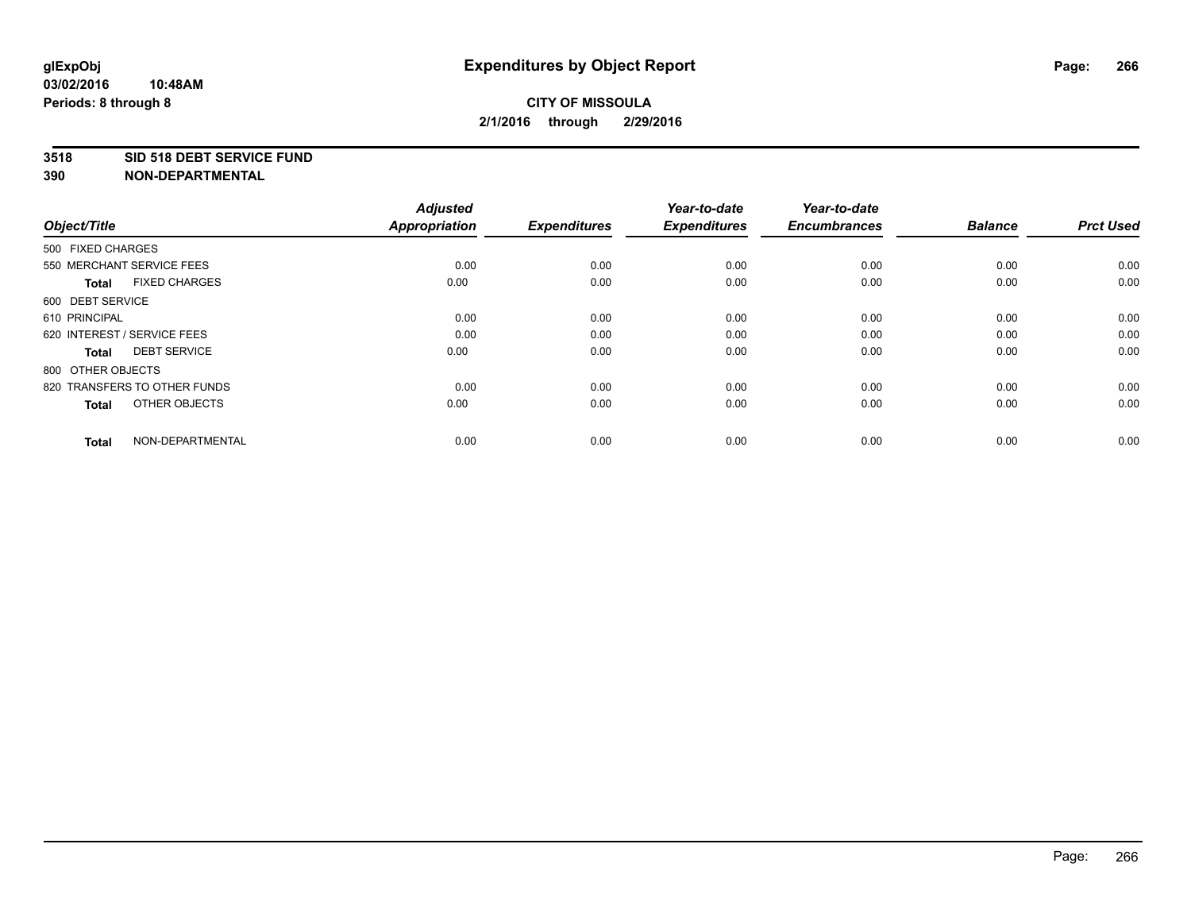#### **3518 SID 518 DEBT SERVICE FUND**

| Object/Title                         | <b>Adjusted</b><br><b>Appropriation</b> | <b>Expenditures</b> | Year-to-date<br><b>Expenditures</b> | Year-to-date<br><b>Encumbrances</b> | <b>Balance</b> | <b>Prct Used</b> |
|--------------------------------------|-----------------------------------------|---------------------|-------------------------------------|-------------------------------------|----------------|------------------|
| 500 FIXED CHARGES                    |                                         |                     |                                     |                                     |                |                  |
| 550 MERCHANT SERVICE FEES            | 0.00                                    | 0.00                | 0.00                                | 0.00                                | 0.00           | 0.00             |
| <b>FIXED CHARGES</b><br><b>Total</b> | 0.00                                    | 0.00                | 0.00                                | 0.00                                | 0.00           | 0.00             |
| 600 DEBT SERVICE                     |                                         |                     |                                     |                                     |                |                  |
| 610 PRINCIPAL                        | 0.00                                    | 0.00                | 0.00                                | 0.00                                | 0.00           | 0.00             |
| 620 INTEREST / SERVICE FEES          | 0.00                                    | 0.00                | 0.00                                | 0.00                                | 0.00           | 0.00             |
| <b>DEBT SERVICE</b><br><b>Total</b>  | 0.00                                    | 0.00                | 0.00                                | 0.00                                | 0.00           | 0.00             |
| 800 OTHER OBJECTS                    |                                         |                     |                                     |                                     |                |                  |
| 820 TRANSFERS TO OTHER FUNDS         | 0.00                                    | 0.00                | 0.00                                | 0.00                                | 0.00           | 0.00             |
| OTHER OBJECTS<br><b>Total</b>        | 0.00                                    | 0.00                | 0.00                                | 0.00                                | 0.00           | 0.00             |
|                                      |                                         |                     |                                     |                                     |                |                  |
| NON-DEPARTMENTAL<br><b>Total</b>     | 0.00                                    | 0.00                | 0.00                                | 0.00                                | 0.00           | 0.00             |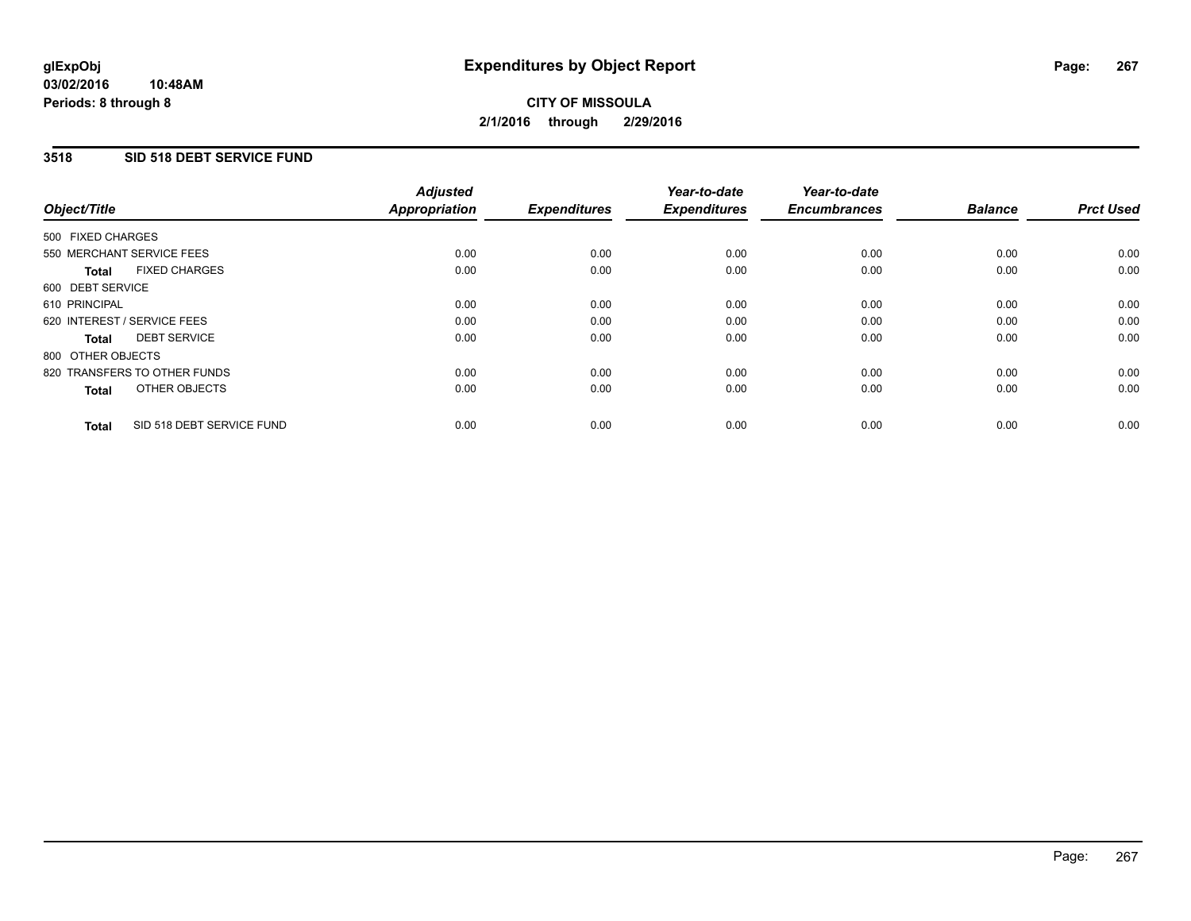### **3518 SID 518 DEBT SERVICE FUND**

| Object/Title                              | <b>Adjusted</b><br><b>Appropriation</b> | <b>Expenditures</b> | Year-to-date<br><b>Expenditures</b> | Year-to-date<br><b>Encumbrances</b> | <b>Balance</b> | <b>Prct Used</b> |
|-------------------------------------------|-----------------------------------------|---------------------|-------------------------------------|-------------------------------------|----------------|------------------|
|                                           |                                         |                     |                                     |                                     |                |                  |
| 500 FIXED CHARGES                         |                                         |                     |                                     |                                     |                |                  |
| 550 MERCHANT SERVICE FEES                 | 0.00                                    | 0.00                | 0.00                                | 0.00                                | 0.00           | 0.00             |
| <b>FIXED CHARGES</b><br>Total             | 0.00                                    | 0.00                | 0.00                                | 0.00                                | 0.00           | 0.00             |
| 600 DEBT SERVICE                          |                                         |                     |                                     |                                     |                |                  |
| 610 PRINCIPAL                             | 0.00                                    | 0.00                | 0.00                                | 0.00                                | 0.00           | 0.00             |
| 620 INTEREST / SERVICE FEES               | 0.00                                    | 0.00                | 0.00                                | 0.00                                | 0.00           | 0.00             |
| <b>DEBT SERVICE</b><br><b>Total</b>       | 0.00                                    | 0.00                | 0.00                                | 0.00                                | 0.00           | 0.00             |
| 800 OTHER OBJECTS                         |                                         |                     |                                     |                                     |                |                  |
| 820 TRANSFERS TO OTHER FUNDS              | 0.00                                    | 0.00                | 0.00                                | 0.00                                | 0.00           | 0.00             |
| OTHER OBJECTS<br><b>Total</b>             | 0.00                                    | 0.00                | 0.00                                | 0.00                                | 0.00           | 0.00             |
|                                           |                                         |                     |                                     |                                     |                |                  |
| SID 518 DEBT SERVICE FUND<br><b>Total</b> | 0.00                                    | 0.00                | 0.00                                | 0.00                                | 0.00           | 0.00             |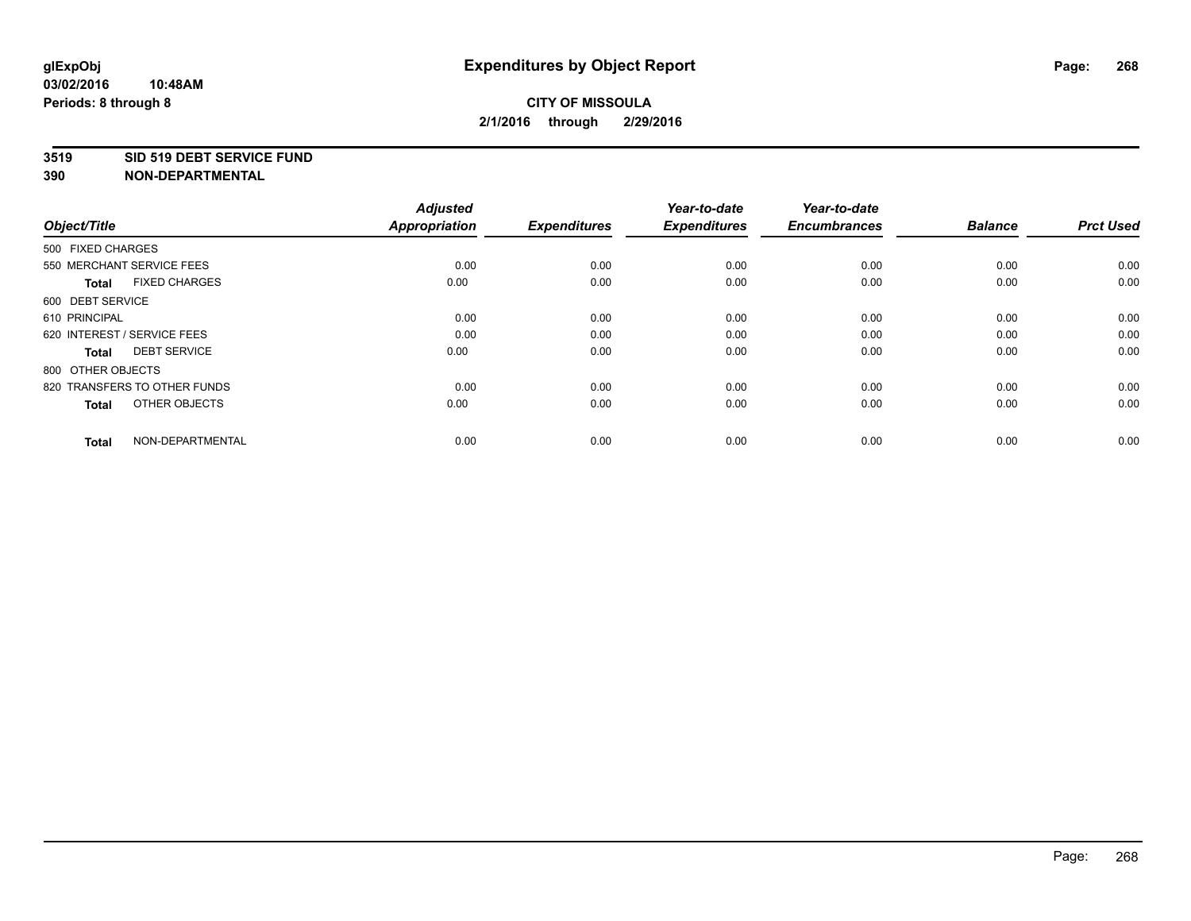#### **3519 SID 519 DEBT SERVICE FUND**

| Object/Title                         | <b>Adjusted</b><br><b>Appropriation</b> | <b>Expenditures</b> | Year-to-date<br><b>Expenditures</b> | Year-to-date<br><b>Encumbrances</b> | <b>Balance</b> | <b>Prct Used</b> |
|--------------------------------------|-----------------------------------------|---------------------|-------------------------------------|-------------------------------------|----------------|------------------|
| 500 FIXED CHARGES                    |                                         |                     |                                     |                                     |                |                  |
| 550 MERCHANT SERVICE FEES            | 0.00                                    | 0.00                | 0.00                                | 0.00                                | 0.00           | 0.00             |
| <b>FIXED CHARGES</b><br><b>Total</b> | 0.00                                    | 0.00                | 0.00                                | 0.00                                | 0.00           | 0.00             |
| 600 DEBT SERVICE                     |                                         |                     |                                     |                                     |                |                  |
| 610 PRINCIPAL                        | 0.00                                    | 0.00                | 0.00                                | 0.00                                | 0.00           | 0.00             |
| 620 INTEREST / SERVICE FEES          | 0.00                                    | 0.00                | 0.00                                | 0.00                                | 0.00           | 0.00             |
| <b>DEBT SERVICE</b><br><b>Total</b>  | 0.00                                    | 0.00                | 0.00                                | 0.00                                | 0.00           | 0.00             |
| 800 OTHER OBJECTS                    |                                         |                     |                                     |                                     |                |                  |
| 820 TRANSFERS TO OTHER FUNDS         | 0.00                                    | 0.00                | 0.00                                | 0.00                                | 0.00           | 0.00             |
| OTHER OBJECTS<br><b>Total</b>        | 0.00                                    | 0.00                | 0.00                                | 0.00                                | 0.00           | 0.00             |
|                                      |                                         |                     |                                     |                                     |                |                  |
| NON-DEPARTMENTAL<br><b>Total</b>     | 0.00                                    | 0.00                | 0.00                                | 0.00                                | 0.00           | 0.00             |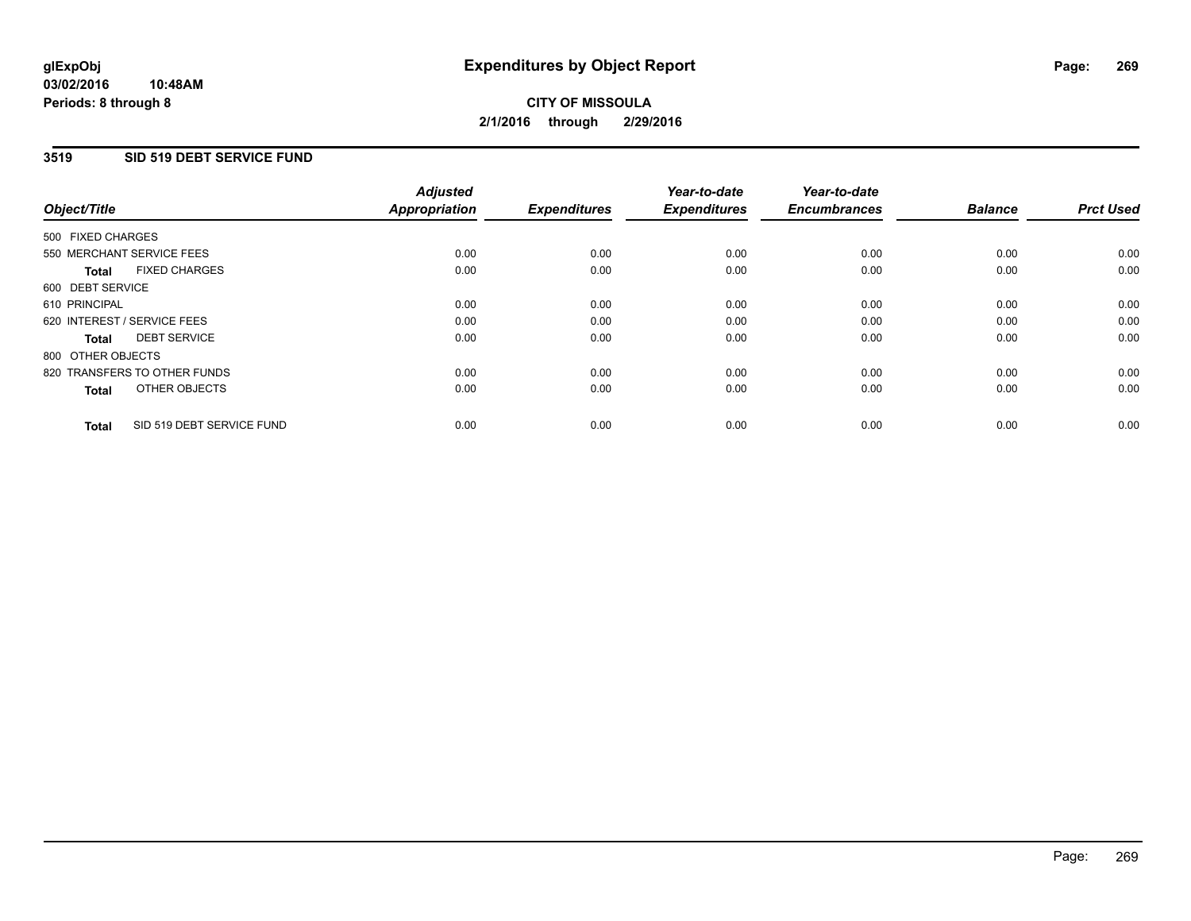### **3519 SID 519 DEBT SERVICE FUND**

| Object/Title                              | <b>Adjusted</b><br><b>Appropriation</b> | <b>Expenditures</b> | Year-to-date<br><b>Expenditures</b> | Year-to-date<br><b>Encumbrances</b> | <b>Balance</b> | <b>Prct Used</b> |
|-------------------------------------------|-----------------------------------------|---------------------|-------------------------------------|-------------------------------------|----------------|------------------|
| 500 FIXED CHARGES                         |                                         |                     |                                     |                                     |                |                  |
| 550 MERCHANT SERVICE FEES                 | 0.00                                    | 0.00                | 0.00                                | 0.00                                | 0.00           | 0.00             |
| <b>FIXED CHARGES</b><br><b>Total</b>      | 0.00                                    | 0.00                | 0.00                                | 0.00                                | 0.00           | 0.00             |
| 600 DEBT SERVICE                          |                                         |                     |                                     |                                     |                |                  |
| 610 PRINCIPAL                             | 0.00                                    | 0.00                | 0.00                                | 0.00                                | 0.00           | 0.00             |
| 620 INTEREST / SERVICE FEES               | 0.00                                    | 0.00                | 0.00                                | 0.00                                | 0.00           | 0.00             |
| <b>DEBT SERVICE</b><br><b>Total</b>       | 0.00                                    | 0.00                | 0.00                                | 0.00                                | 0.00           | 0.00             |
| 800 OTHER OBJECTS                         |                                         |                     |                                     |                                     |                |                  |
| 820 TRANSFERS TO OTHER FUNDS              | 0.00                                    | 0.00                | 0.00                                | 0.00                                | 0.00           | 0.00             |
| OTHER OBJECTS<br><b>Total</b>             | 0.00                                    | 0.00                | 0.00                                | 0.00                                | 0.00           | 0.00             |
| SID 519 DEBT SERVICE FUND<br><b>Total</b> | 0.00                                    | 0.00                | 0.00                                | 0.00                                | 0.00           | 0.00             |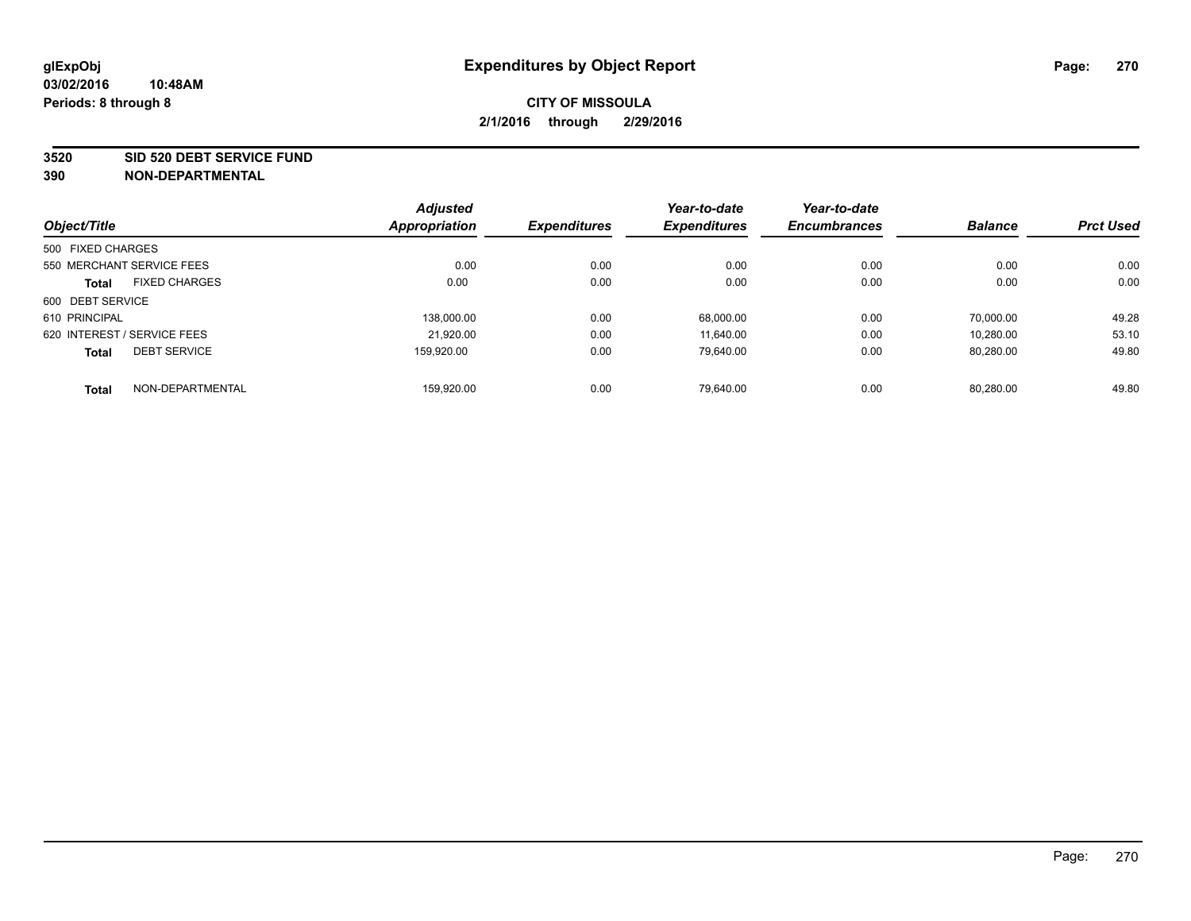#### **3520 SID 520 DEBT SERVICE FUND**

|                             |                      | <b>Adjusted</b> |                     | Year-to-date        | Year-to-date        |                |                  |
|-----------------------------|----------------------|-----------------|---------------------|---------------------|---------------------|----------------|------------------|
| Object/Title                |                      | Appropriation   | <b>Expenditures</b> | <b>Expenditures</b> | <b>Encumbrances</b> | <b>Balance</b> | <b>Prct Used</b> |
| 500 FIXED CHARGES           |                      |                 |                     |                     |                     |                |                  |
| 550 MERCHANT SERVICE FEES   |                      | 0.00            | 0.00                | 0.00                | 0.00                | 0.00           | 0.00             |
| <b>Total</b>                | <b>FIXED CHARGES</b> | 0.00            | 0.00                | 0.00                | 0.00                | 0.00           | 0.00             |
| 600 DEBT SERVICE            |                      |                 |                     |                     |                     |                |                  |
| 610 PRINCIPAL               |                      | 138.000.00      | 0.00                | 68.000.00           | 0.00                | 70.000.00      | 49.28            |
| 620 INTEREST / SERVICE FEES |                      | 21.920.00       | 0.00                | 11.640.00           | 0.00                | 10,280.00      | 53.10            |
| <b>Total</b>                | <b>DEBT SERVICE</b>  | 159.920.00      | 0.00                | 79.640.00           | 0.00                | 80,280.00      | 49.80            |
| <b>Total</b>                | NON-DEPARTMENTAL     | 159.920.00      | 0.00                | 79.640.00           | 0.00                | 80.280.00      | 49.80            |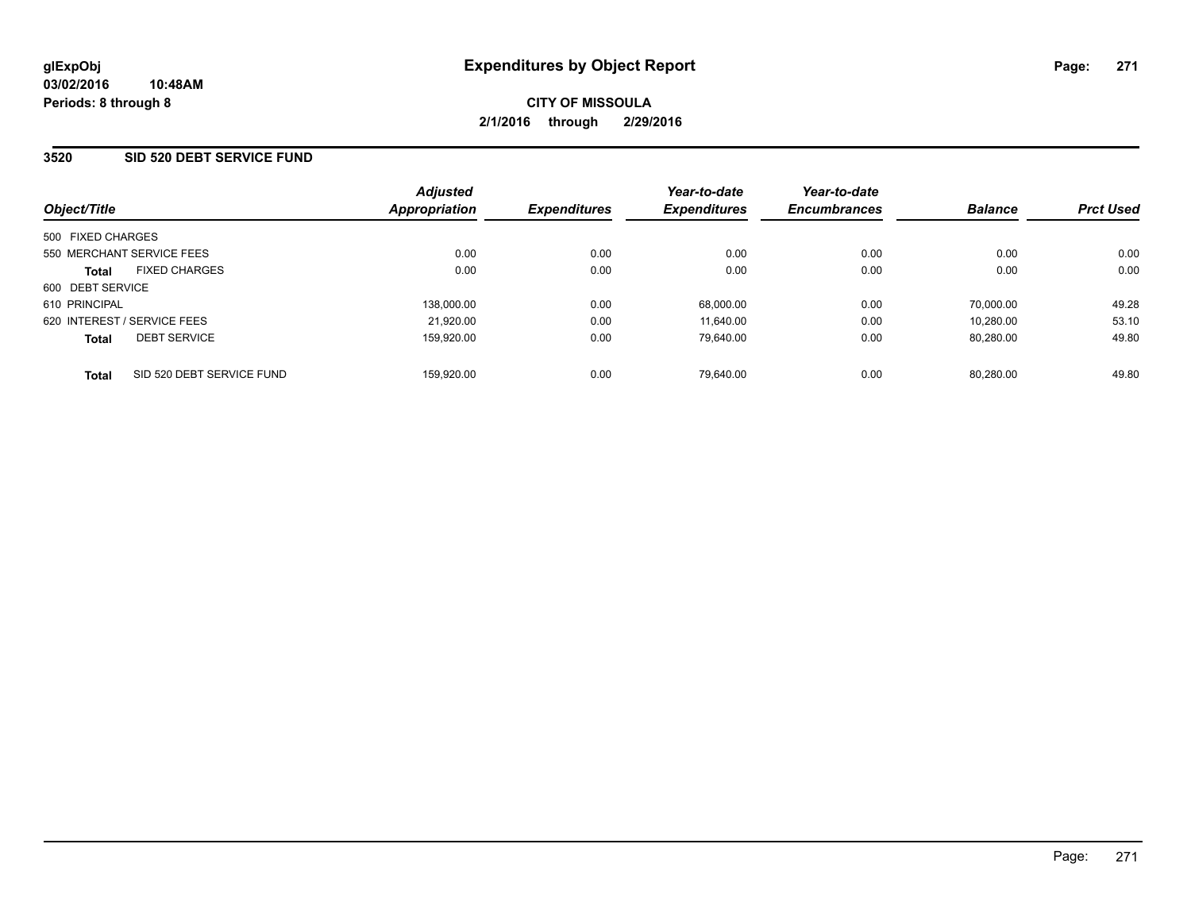### **3520 SID 520 DEBT SERVICE FUND**

| Object/Title                              | <b>Adjusted</b><br>Appropriation | <b>Expenditures</b> | Year-to-date<br><b>Expenditures</b> | Year-to-date<br><b>Encumbrances</b> | <b>Balance</b> | <b>Prct Used</b> |
|-------------------------------------------|----------------------------------|---------------------|-------------------------------------|-------------------------------------|----------------|------------------|
| 500 FIXED CHARGES                         |                                  |                     |                                     |                                     |                |                  |
| 550 MERCHANT SERVICE FEES                 | 0.00                             | 0.00                | 0.00                                | 0.00                                | 0.00           | 0.00             |
| <b>FIXED CHARGES</b><br><b>Total</b>      | 0.00                             | 0.00                | 0.00                                | 0.00                                | 0.00           | 0.00             |
| 600 DEBT SERVICE                          |                                  |                     |                                     |                                     |                |                  |
| 610 PRINCIPAL                             | 138.000.00                       | 0.00                | 68.000.00                           | 0.00                                | 70.000.00      | 49.28            |
| 620 INTEREST / SERVICE FEES               | 21,920.00                        | 0.00                | 11.640.00                           | 0.00                                | 10.280.00      | 53.10            |
| <b>DEBT SERVICE</b><br><b>Total</b>       | 159,920.00                       | 0.00                | 79.640.00                           | 0.00                                | 80.280.00      | 49.80            |
| SID 520 DEBT SERVICE FUND<br><b>Total</b> | 159.920.00                       | 0.00                | 79.640.00                           | 0.00                                | 80.280.00      | 49.80            |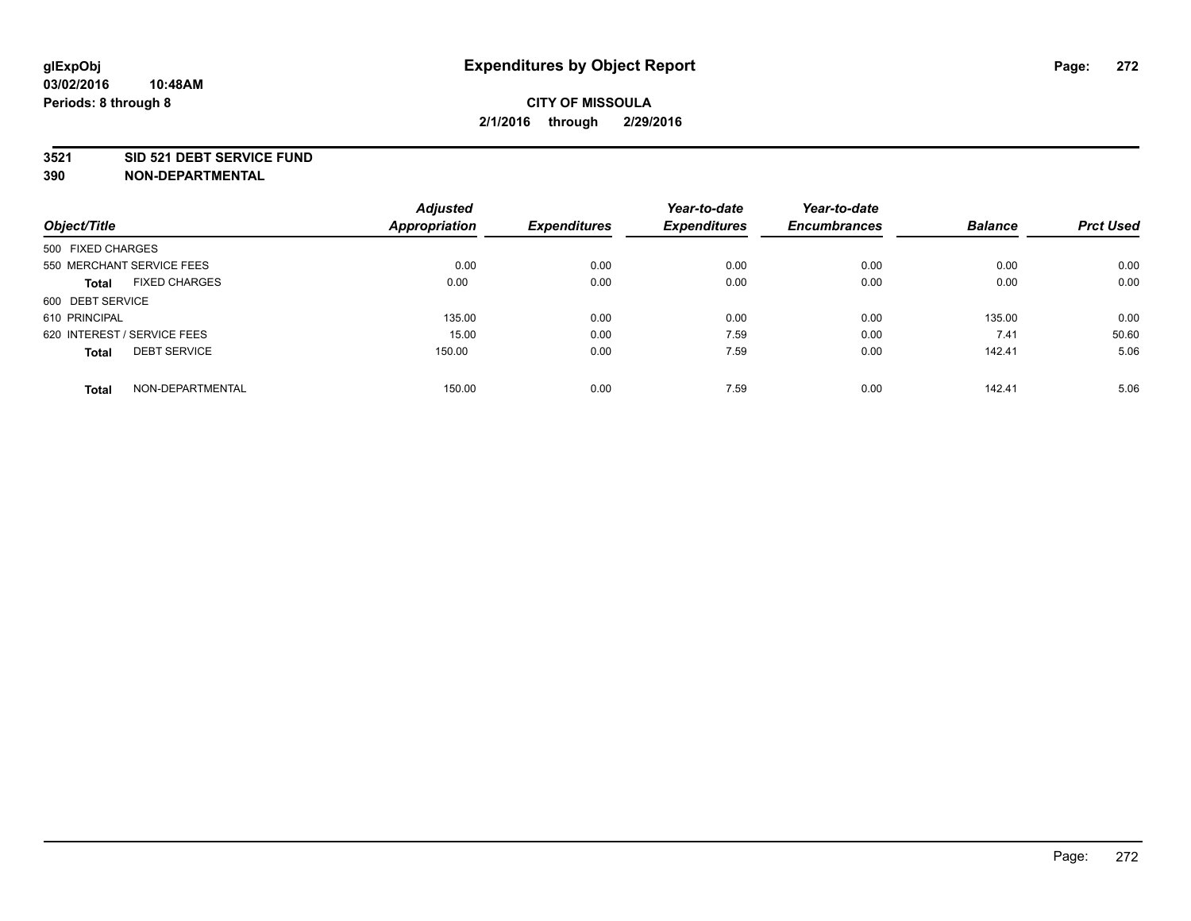#### **3521 SID 521 DEBT SERVICE FUND**

|                                      | <b>Adjusted</b>      |                     | Year-to-date        | Year-to-date        |                |                  |
|--------------------------------------|----------------------|---------------------|---------------------|---------------------|----------------|------------------|
| Object/Title                         | <b>Appropriation</b> | <b>Expenditures</b> | <b>Expenditures</b> | <b>Encumbrances</b> | <b>Balance</b> | <b>Prct Used</b> |
| 500 FIXED CHARGES                    |                      |                     |                     |                     |                |                  |
| 550 MERCHANT SERVICE FEES            | 0.00                 | 0.00                | 0.00                | 0.00                | 0.00           | 0.00             |
| <b>FIXED CHARGES</b><br><b>Total</b> | 0.00                 | 0.00                | 0.00                | 0.00                | 0.00           | 0.00             |
| 600 DEBT SERVICE                     |                      |                     |                     |                     |                |                  |
| 610 PRINCIPAL                        | 135.00               | 0.00                | 0.00                | 0.00                | 135.00         | 0.00             |
| 620 INTEREST / SERVICE FEES          | 15.00                | 0.00                | 7.59                | 0.00                | 7.41           | 50.60            |
| <b>DEBT SERVICE</b><br><b>Total</b>  | 150.00               | 0.00                | 7.59                | 0.00                | 142.41         | 5.06             |
| NON-DEPARTMENTAL<br><b>Total</b>     | 150.00               | 0.00                | 7.59                | 0.00                | 142.41         | 5.06             |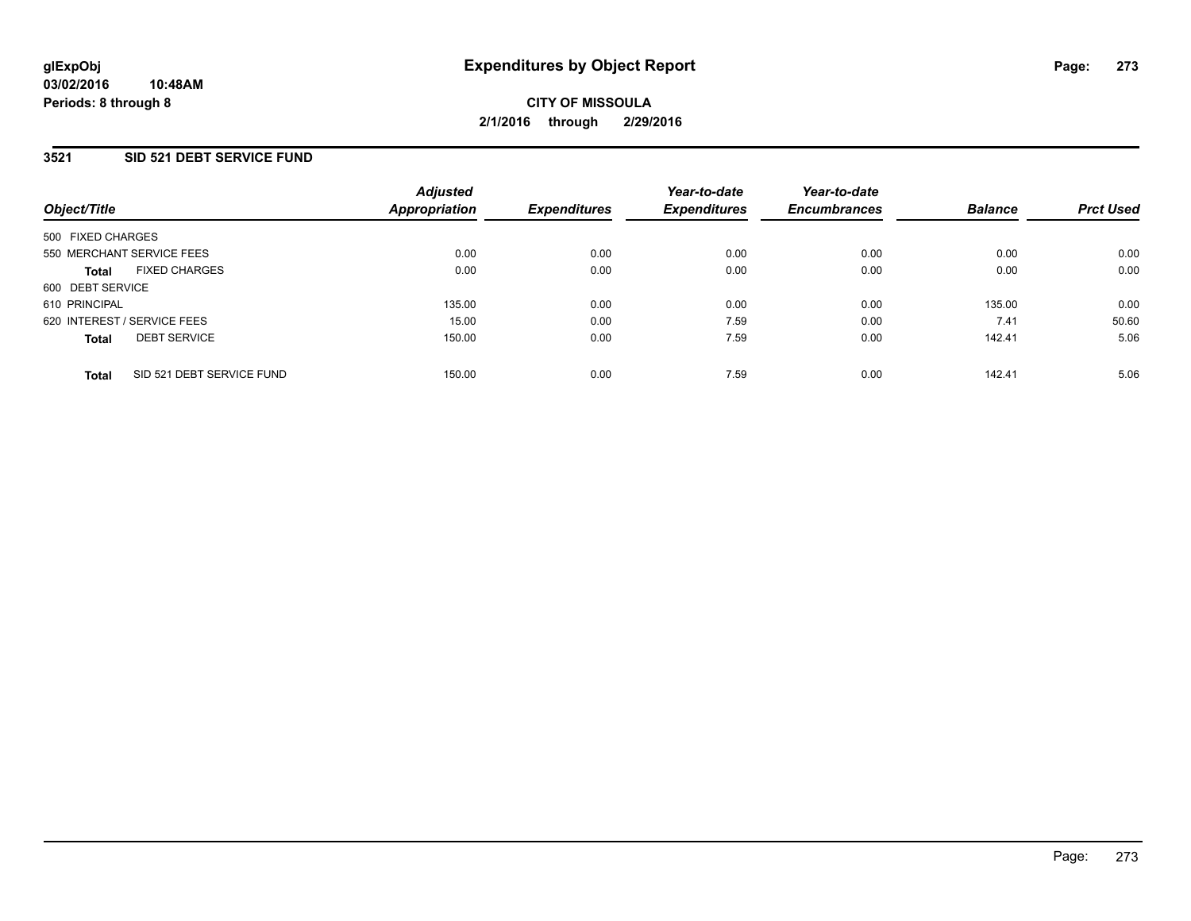### **3521 SID 521 DEBT SERVICE FUND**

| Object/Title                              | <b>Adjusted</b><br>Appropriation | <b>Expenditures</b> | Year-to-date<br><b>Expenditures</b> | Year-to-date<br><b>Encumbrances</b> | <b>Balance</b> | <b>Prct Used</b> |
|-------------------------------------------|----------------------------------|---------------------|-------------------------------------|-------------------------------------|----------------|------------------|
| 500 FIXED CHARGES                         |                                  |                     |                                     |                                     |                |                  |
| 550 MERCHANT SERVICE FEES                 | 0.00                             | 0.00                | 0.00                                | 0.00                                | 0.00           | 0.00             |
| <b>FIXED CHARGES</b><br><b>Total</b>      | 0.00                             | 0.00                | 0.00                                | 0.00                                | 0.00           | 0.00             |
| 600 DEBT SERVICE                          |                                  |                     |                                     |                                     |                |                  |
| 610 PRINCIPAL                             | 135.00                           | 0.00                | 0.00                                | 0.00                                | 135.00         | 0.00             |
| 620 INTEREST / SERVICE FEES               | 15.00                            | 0.00                | 7.59                                | 0.00                                | 7.41           | 50.60            |
| <b>DEBT SERVICE</b><br><b>Total</b>       | 150.00                           | 0.00                | 7.59                                | 0.00                                | 142.41         | 5.06             |
| SID 521 DEBT SERVICE FUND<br><b>Total</b> | 150.00                           | 0.00                | 7.59                                | 0.00                                | 142.41         | 5.06             |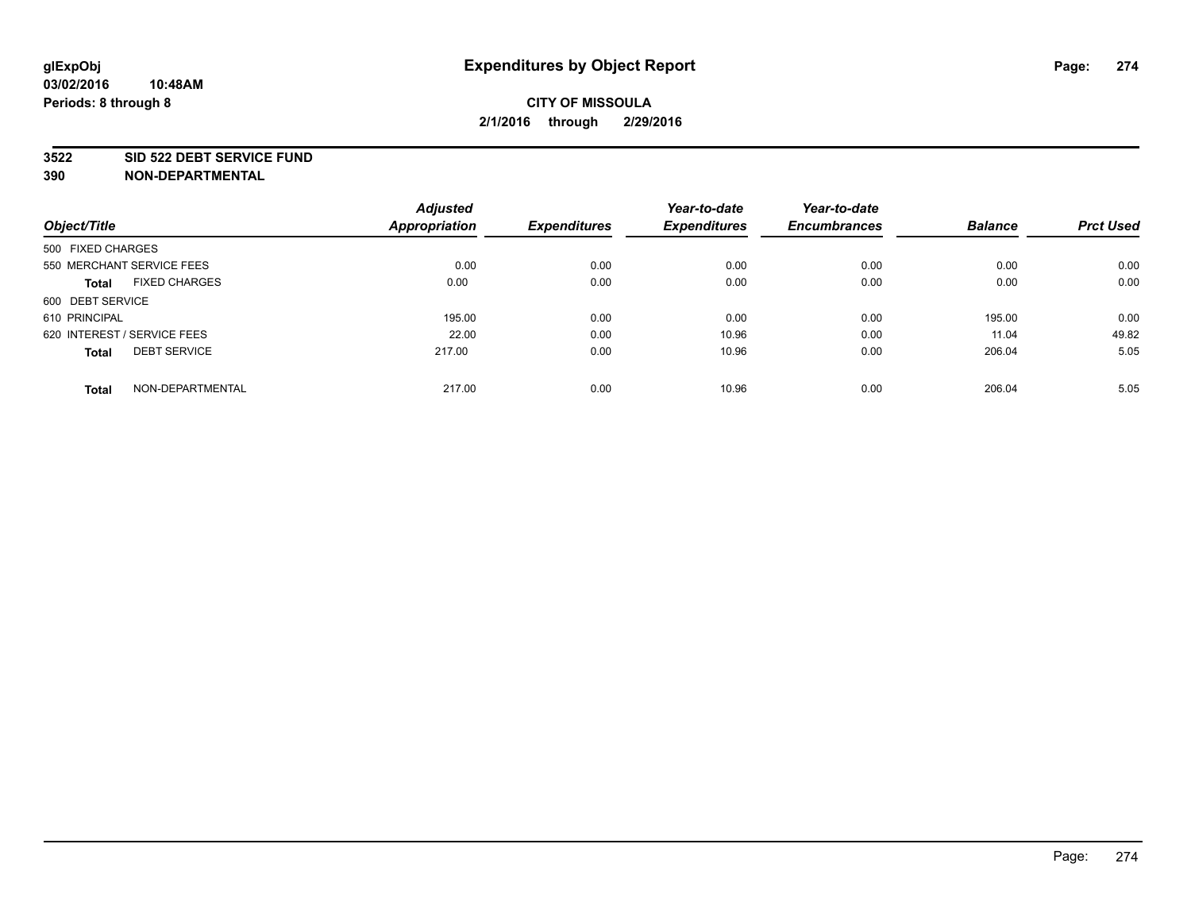#### **3522 SID 522 DEBT SERVICE FUND**

|                                      | <b>Adjusted</b>      |                     | Year-to-date        | Year-to-date        |                |                  |
|--------------------------------------|----------------------|---------------------|---------------------|---------------------|----------------|------------------|
| Object/Title                         | <b>Appropriation</b> | <b>Expenditures</b> | <b>Expenditures</b> | <b>Encumbrances</b> | <b>Balance</b> | <b>Prct Used</b> |
| 500 FIXED CHARGES                    |                      |                     |                     |                     |                |                  |
| 550 MERCHANT SERVICE FEES            | 0.00                 | 0.00                | 0.00                | 0.00                | 0.00           | 0.00             |
| <b>FIXED CHARGES</b><br><b>Total</b> | 0.00                 | 0.00                | 0.00                | 0.00                | 0.00           | 0.00             |
| 600 DEBT SERVICE                     |                      |                     |                     |                     |                |                  |
| 610 PRINCIPAL                        | 195.00               | 0.00                | 0.00                | 0.00                | 195.00         | 0.00             |
| 620 INTEREST / SERVICE FEES          | 22.00                | 0.00                | 10.96               | 0.00                | 11.04          | 49.82            |
| <b>DEBT SERVICE</b><br><b>Total</b>  | 217.00               | 0.00                | 10.96               | 0.00                | 206.04         | 5.05             |
| NON-DEPARTMENTAL<br><b>Total</b>     | 217.00               | 0.00                | 10.96               | 0.00                | 206.04         | 5.05             |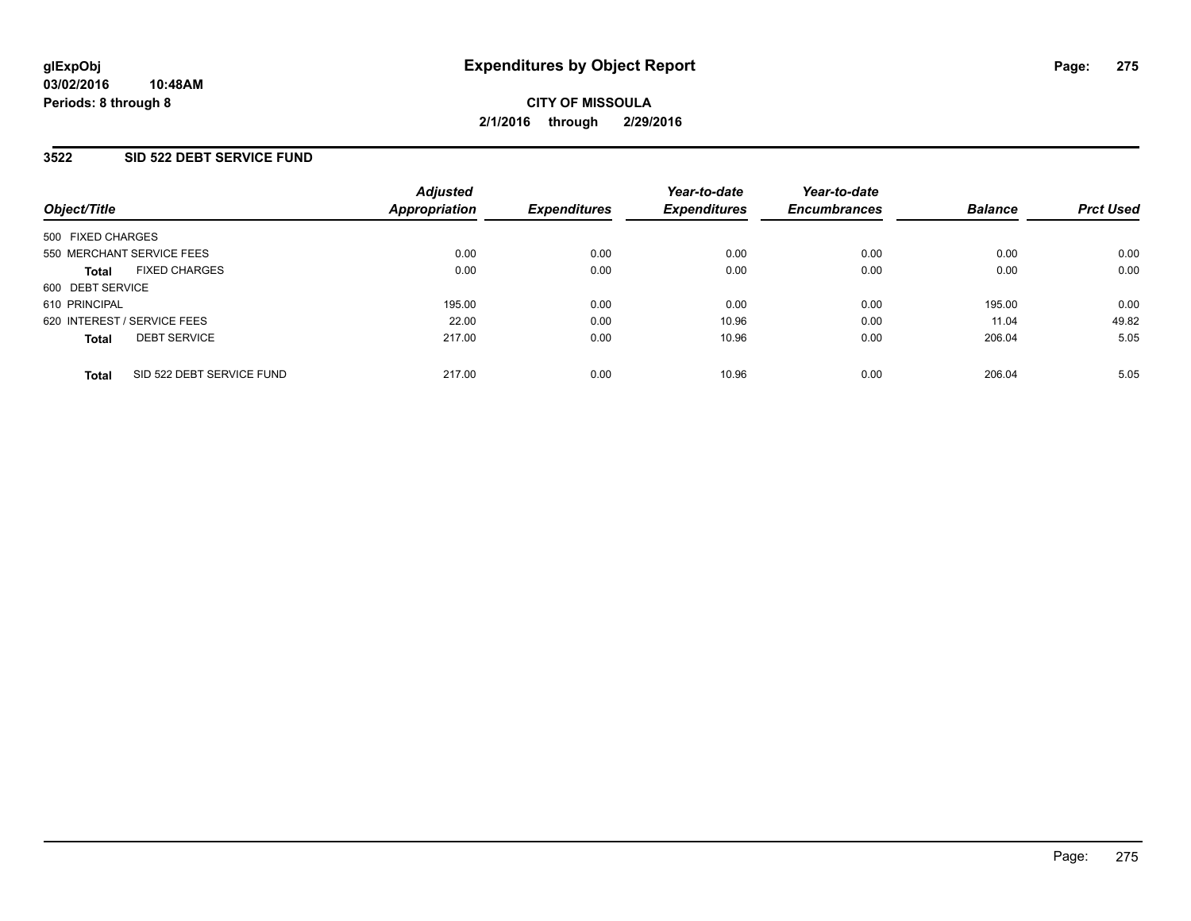### **3522 SID 522 DEBT SERVICE FUND**

| Object/Title                |                           | <b>Adjusted</b><br>Appropriation | <b>Expenditures</b> | Year-to-date<br><b>Expenditures</b> | Year-to-date<br><b>Encumbrances</b> | <b>Balance</b> | <b>Prct Used</b> |
|-----------------------------|---------------------------|----------------------------------|---------------------|-------------------------------------|-------------------------------------|----------------|------------------|
|                             |                           |                                  |                     |                                     |                                     |                |                  |
| 500 FIXED CHARGES           |                           |                                  |                     |                                     |                                     |                |                  |
| 550 MERCHANT SERVICE FEES   |                           | 0.00                             | 0.00                | 0.00                                | 0.00                                | 0.00           | 0.00             |
| <b>Total</b>                | <b>FIXED CHARGES</b>      | 0.00                             | 0.00                | 0.00                                | 0.00                                | 0.00           | 0.00             |
| 600 DEBT SERVICE            |                           |                                  |                     |                                     |                                     |                |                  |
| 610 PRINCIPAL               |                           | 195.00                           | 0.00                | 0.00                                | 0.00                                | 195.00         | 0.00             |
| 620 INTEREST / SERVICE FEES |                           | 22.00                            | 0.00                | 10.96                               | 0.00                                | 11.04          | 49.82            |
| <b>Total</b>                | <b>DEBT SERVICE</b>       | 217.00                           | 0.00                | 10.96                               | 0.00                                | 206.04         | 5.05             |
| <b>Total</b>                | SID 522 DEBT SERVICE FUND | 217.00                           | 0.00                | 10.96                               | 0.00                                | 206.04         | 5.05             |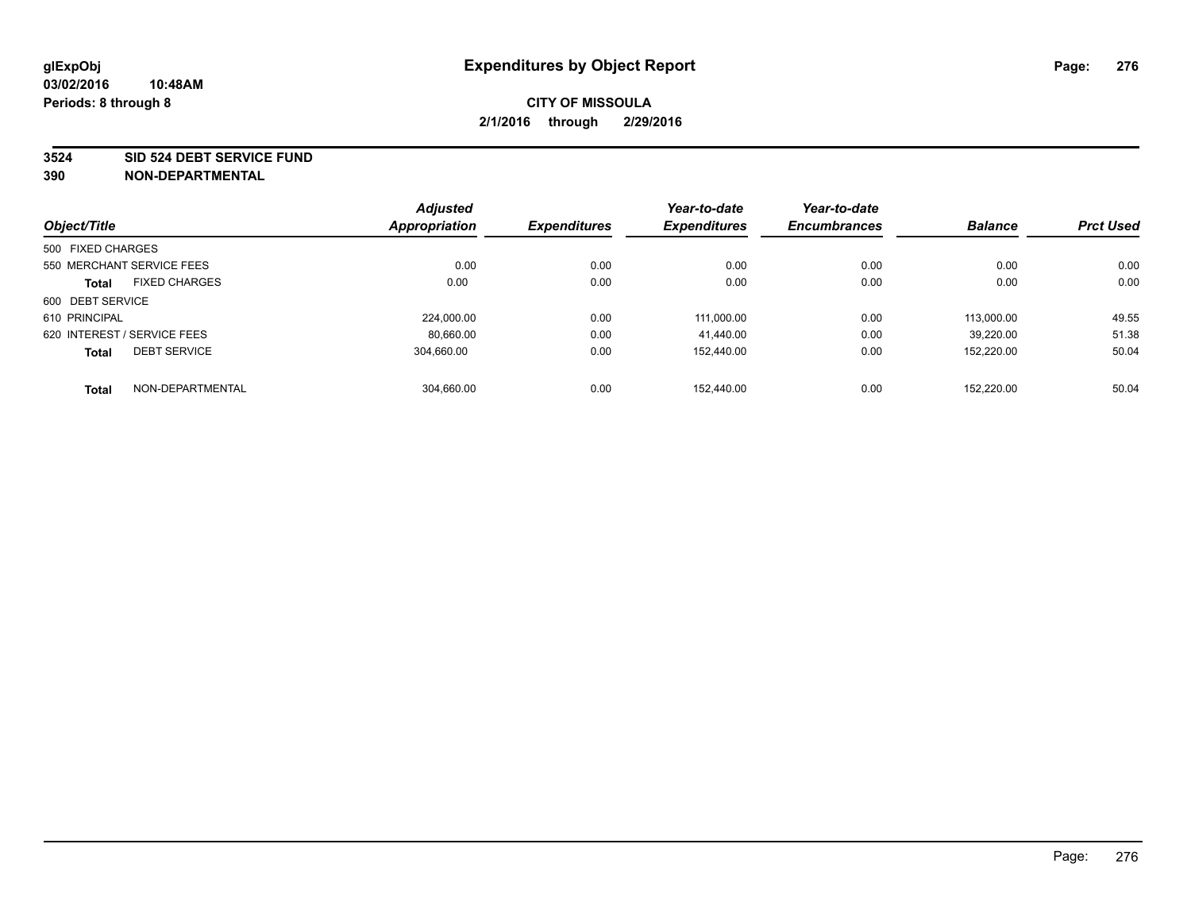#### **3524 SID 524 DEBT SERVICE FUND**

|                   |                             | <b>Adjusted</b> |                     | Year-to-date        | Year-to-date        |                |                  |
|-------------------|-----------------------------|-----------------|---------------------|---------------------|---------------------|----------------|------------------|
| Object/Title      |                             | Appropriation   | <b>Expenditures</b> | <b>Expenditures</b> | <b>Encumbrances</b> | <b>Balance</b> | <b>Prct Used</b> |
| 500 FIXED CHARGES |                             |                 |                     |                     |                     |                |                  |
|                   | 550 MERCHANT SERVICE FEES   | 0.00            | 0.00                | 0.00                | 0.00                | 0.00           | 0.00             |
| <b>Total</b>      | <b>FIXED CHARGES</b>        | 0.00            | 0.00                | 0.00                | 0.00                | 0.00           | 0.00             |
| 600 DEBT SERVICE  |                             |                 |                     |                     |                     |                |                  |
| 610 PRINCIPAL     |                             | 224.000.00      | 0.00                | 111,000.00          | 0.00                | 113.000.00     | 49.55            |
|                   | 620 INTEREST / SERVICE FEES | 80.660.00       | 0.00                | 41.440.00           | 0.00                | 39.220.00      | 51.38            |
| <b>Total</b>      | <b>DEBT SERVICE</b>         | 304.660.00      | 0.00                | 152.440.00          | 0.00                | 152,220.00     | 50.04            |
| <b>Total</b>      | NON-DEPARTMENTAL            | 304.660.00      | 0.00                | 152.440.00          | 0.00                | 152.220.00     | 50.04            |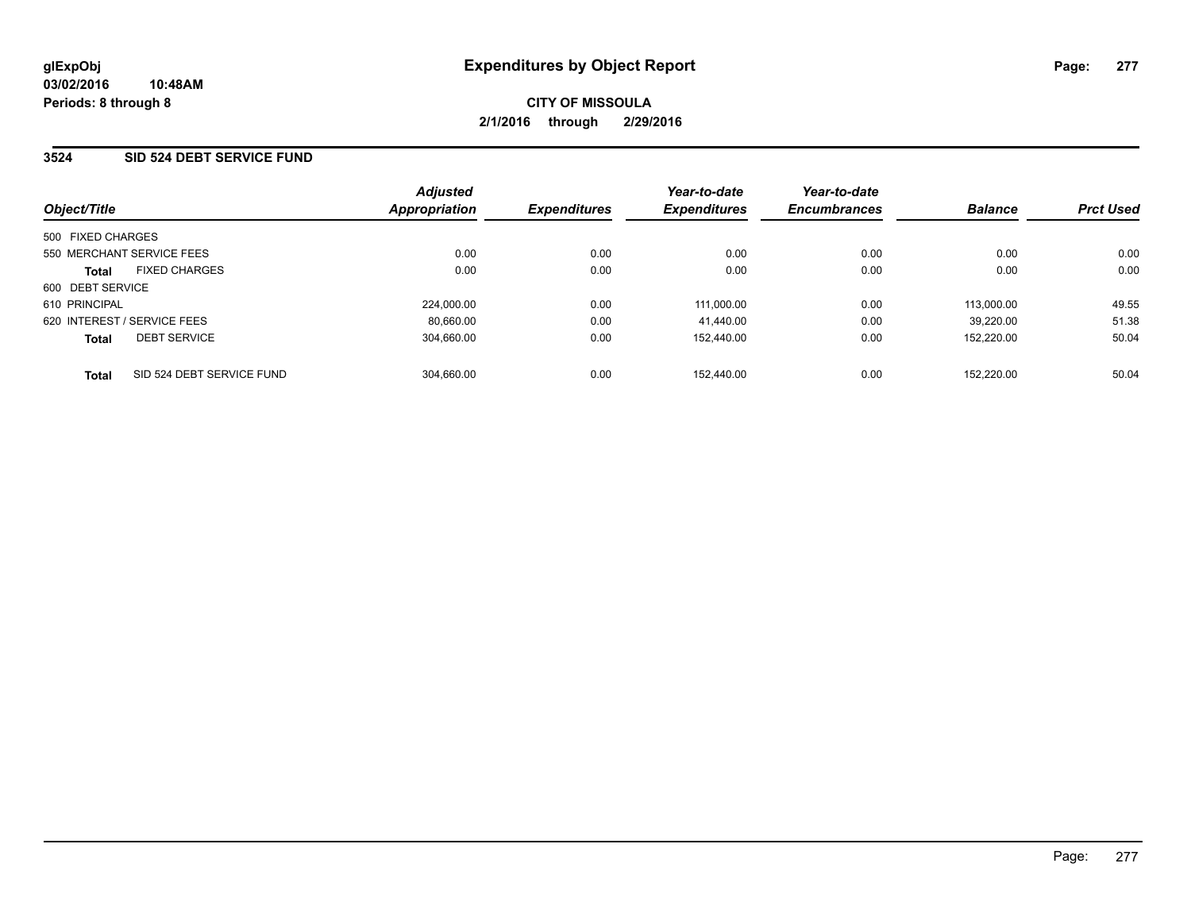### **3524 SID 524 DEBT SERVICE FUND**

| Object/Title      |                             | <b>Adjusted</b><br>Appropriation | <b>Expenditures</b> | Year-to-date<br><b>Expenditures</b> | Year-to-date<br><b>Encumbrances</b> | <b>Balance</b> | <b>Prct Used</b> |
|-------------------|-----------------------------|----------------------------------|---------------------|-------------------------------------|-------------------------------------|----------------|------------------|
| 500 FIXED CHARGES |                             |                                  |                     |                                     |                                     |                |                  |
|                   | 550 MERCHANT SERVICE FEES   | 0.00                             | 0.00                | 0.00                                | 0.00                                | 0.00           | 0.00             |
| <b>Total</b>      | <b>FIXED CHARGES</b>        | 0.00                             | 0.00                | 0.00                                | 0.00                                | 0.00           | 0.00             |
| 600 DEBT SERVICE  |                             |                                  |                     |                                     |                                     |                |                  |
| 610 PRINCIPAL     |                             | 224.000.00                       | 0.00                | 111.000.00                          | 0.00                                | 113.000.00     | 49.55            |
|                   | 620 INTEREST / SERVICE FEES | 80.660.00                        | 0.00                | 41.440.00                           | 0.00                                | 39.220.00      | 51.38            |
| <b>Total</b>      | <b>DEBT SERVICE</b>         | 304.660.00                       | 0.00                | 152.440.00                          | 0.00                                | 152.220.00     | 50.04            |
| <b>Total</b>      | SID 524 DEBT SERVICE FUND   | 304.660.00                       | 0.00                | 152.440.00                          | 0.00                                | 152.220.00     | 50.04            |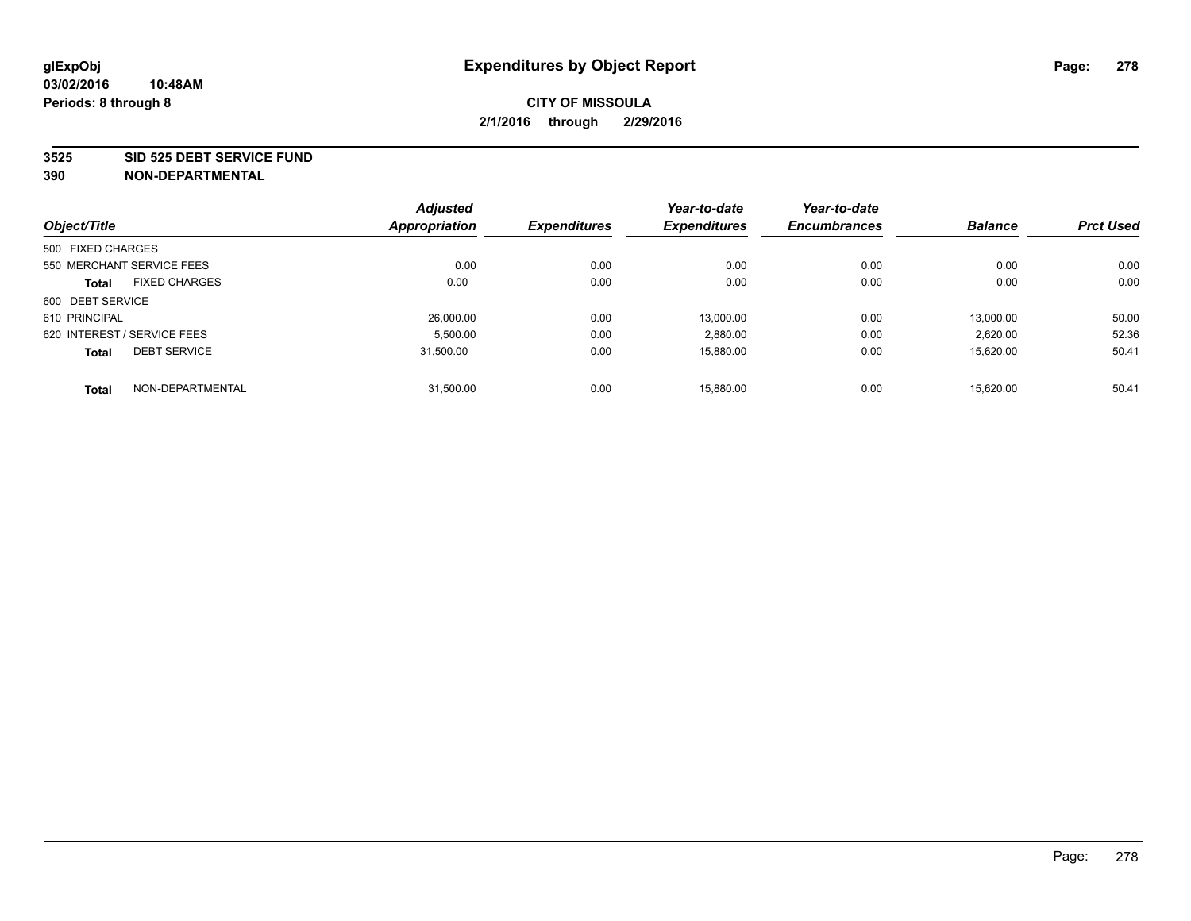#### **3525 SID 525 DEBT SERVICE FUND**

|                                      | <b>Adjusted</b>      |                     | Year-to-date        | Year-to-date        |                |                  |
|--------------------------------------|----------------------|---------------------|---------------------|---------------------|----------------|------------------|
| Object/Title                         | <b>Appropriation</b> | <b>Expenditures</b> | <b>Expenditures</b> | <b>Encumbrances</b> | <b>Balance</b> | <b>Prct Used</b> |
| 500 FIXED CHARGES                    |                      |                     |                     |                     |                |                  |
| 550 MERCHANT SERVICE FEES            | 0.00                 | 0.00                | 0.00                | 0.00                | 0.00           | 0.00             |
| <b>FIXED CHARGES</b><br><b>Total</b> | 0.00                 | 0.00                | 0.00                | 0.00                | 0.00           | 0.00             |
| 600 DEBT SERVICE                     |                      |                     |                     |                     |                |                  |
| 610 PRINCIPAL                        | 26,000.00            | 0.00                | 13.000.00           | 0.00                | 13.000.00      | 50.00            |
| 620 INTEREST / SERVICE FEES          | 5,500.00             | 0.00                | 2,880.00            | 0.00                | 2,620.00       | 52.36            |
| <b>DEBT SERVICE</b><br><b>Total</b>  | 31.500.00            | 0.00                | 15,880.00           | 0.00                | 15.620.00      | 50.41            |
| NON-DEPARTMENTAL<br><b>Total</b>     | 31,500.00            | 0.00                | 15.880.00           | 0.00                | 15.620.00      | 50.41            |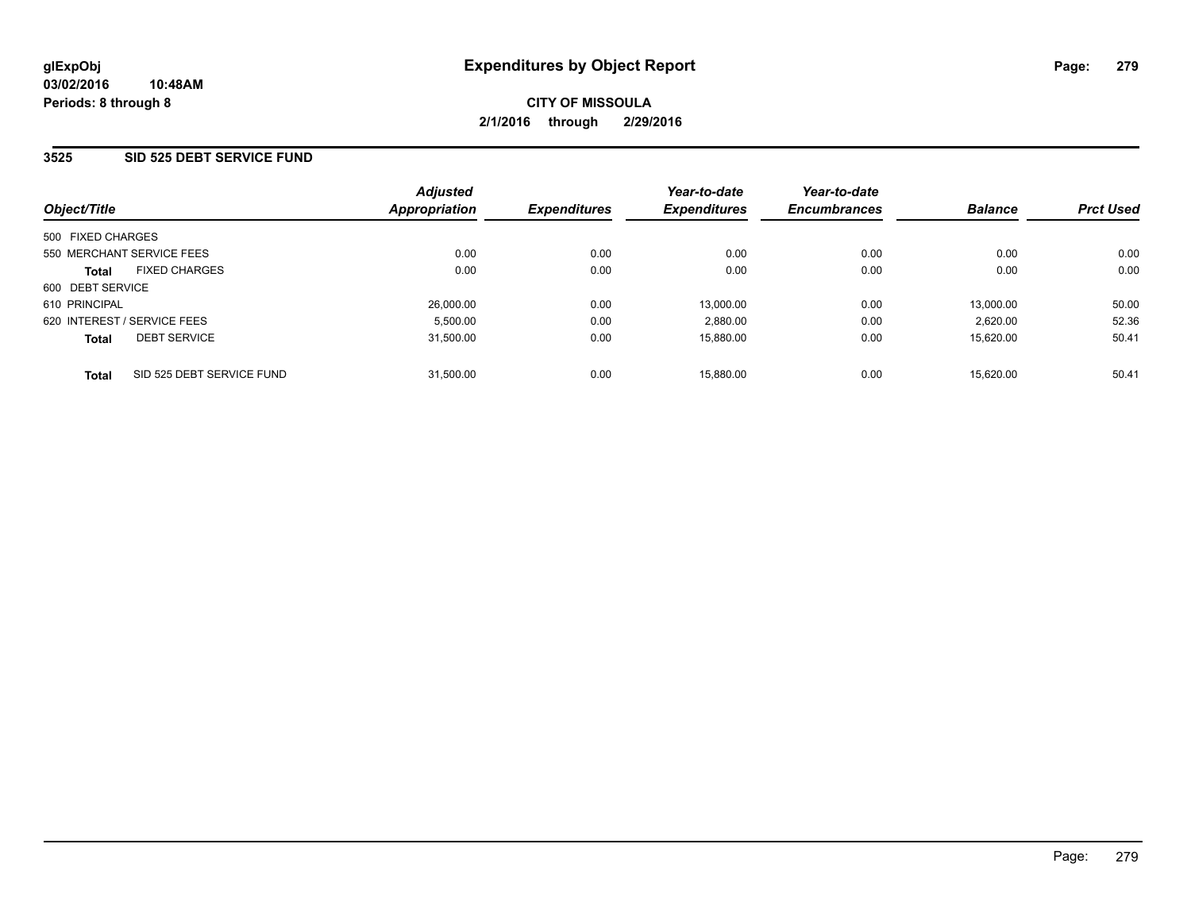### **3525 SID 525 DEBT SERVICE FUND**

| Object/Title                              | <b>Adjusted</b><br>Appropriation | <b>Expenditures</b> | Year-to-date<br><b>Expenditures</b> | Year-to-date<br><b>Encumbrances</b> | <b>Balance</b> | <b>Prct Used</b> |
|-------------------------------------------|----------------------------------|---------------------|-------------------------------------|-------------------------------------|----------------|------------------|
| 500 FIXED CHARGES                         |                                  |                     |                                     |                                     |                |                  |
| 550 MERCHANT SERVICE FEES                 | 0.00                             | 0.00                | 0.00                                | 0.00                                | 0.00           | 0.00             |
| <b>FIXED CHARGES</b><br><b>Total</b>      | 0.00                             | 0.00                | 0.00                                | 0.00                                | 0.00           | 0.00             |
| 600 DEBT SERVICE                          |                                  |                     |                                     |                                     |                |                  |
| 610 PRINCIPAL                             | 26.000.00                        | 0.00                | 13.000.00                           | 0.00                                | 13.000.00      | 50.00            |
| 620 INTEREST / SERVICE FEES               | 5.500.00                         | 0.00                | 2,880.00                            | 0.00                                | 2.620.00       | 52.36            |
| <b>DEBT SERVICE</b><br><b>Total</b>       | 31,500.00                        | 0.00                | 15,880.00                           | 0.00                                | 15.620.00      | 50.41            |
| SID 525 DEBT SERVICE FUND<br><b>Total</b> | 31.500.00                        | 0.00                | 15.880.00                           | 0.00                                | 15.620.00      | 50.41            |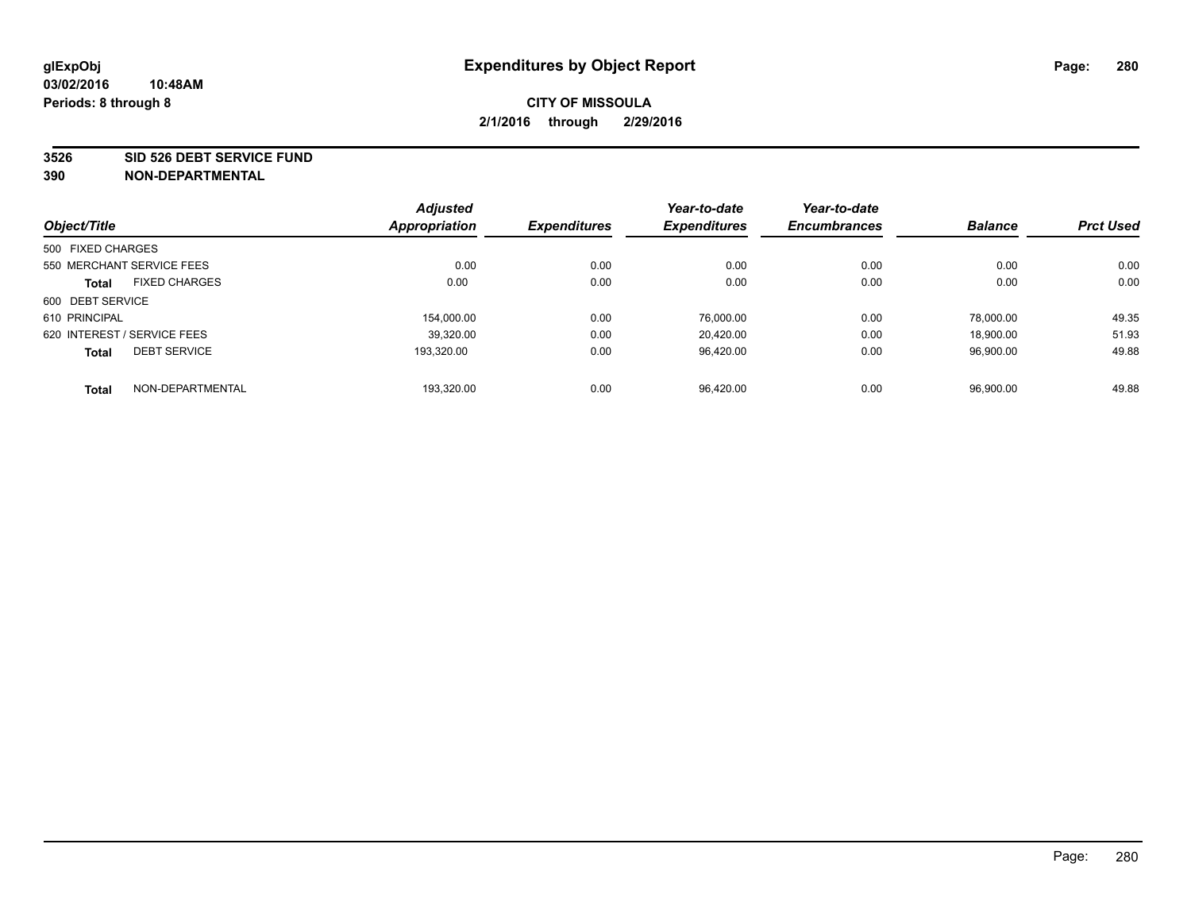#### **3526 SID 526 DEBT SERVICE FUND**

|                                      | <b>Adjusted</b>      |                     | Year-to-date        | Year-to-date        |                |                  |
|--------------------------------------|----------------------|---------------------|---------------------|---------------------|----------------|------------------|
| Object/Title                         | <b>Appropriation</b> | <b>Expenditures</b> | <b>Expenditures</b> | <b>Encumbrances</b> | <b>Balance</b> | <b>Prct Used</b> |
| 500 FIXED CHARGES                    |                      |                     |                     |                     |                |                  |
| 550 MERCHANT SERVICE FEES            | 0.00                 | 0.00                | 0.00                | 0.00                | 0.00           | 0.00             |
| <b>FIXED CHARGES</b><br><b>Total</b> | 0.00                 | 0.00                | 0.00                | 0.00                | 0.00           | 0.00             |
| 600 DEBT SERVICE                     |                      |                     |                     |                     |                |                  |
| 610 PRINCIPAL                        | 154.000.00           | 0.00                | 76.000.00           | 0.00                | 78.000.00      | 49.35            |
| 620 INTEREST / SERVICE FEES          | 39,320.00            | 0.00                | 20.420.00           | 0.00                | 18.900.00      | 51.93            |
| <b>DEBT SERVICE</b><br><b>Total</b>  | 193.320.00           | 0.00                | 96.420.00           | 0.00                | 96.900.00      | 49.88            |
| NON-DEPARTMENTAL<br><b>Total</b>     | 193.320.00           | 0.00                | 96.420.00           | 0.00                | 96.900.00      | 49.88            |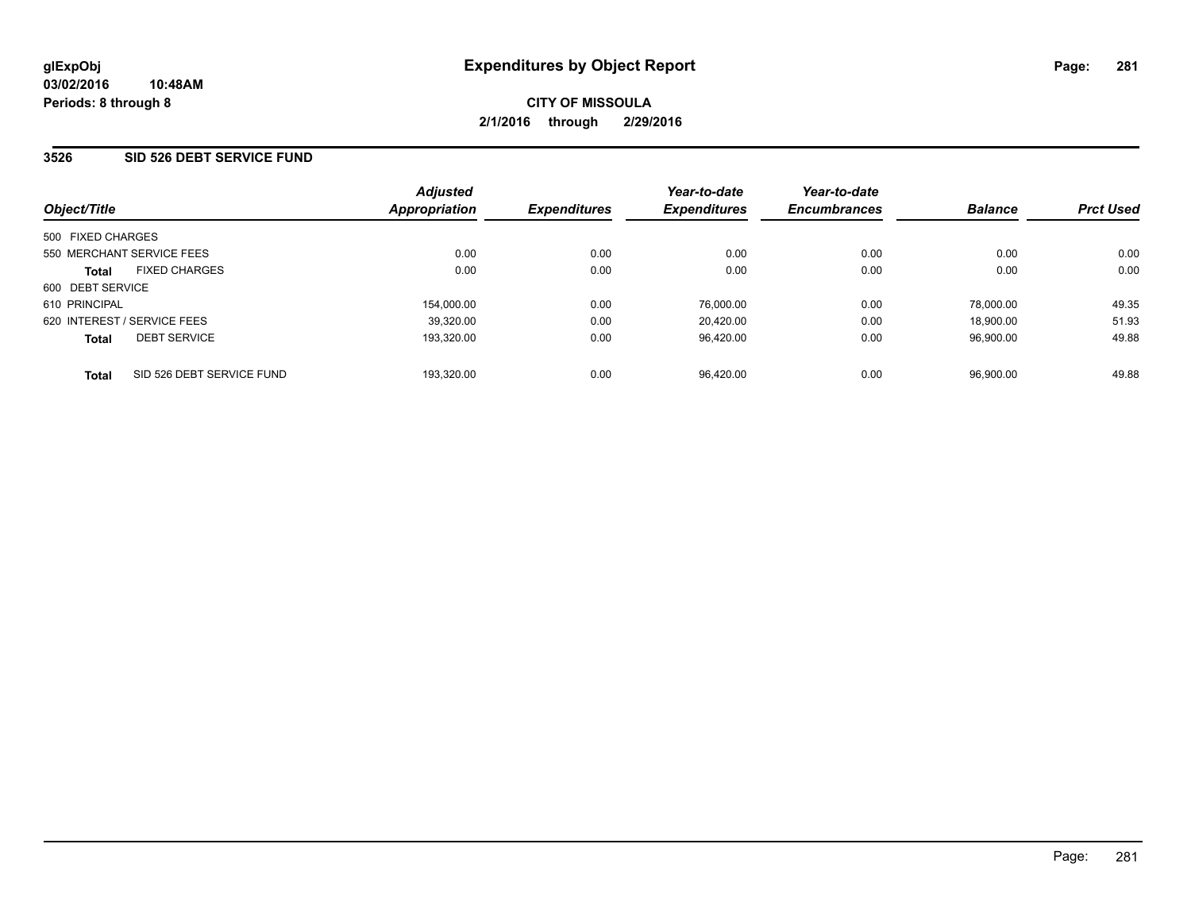### **3526 SID 526 DEBT SERVICE FUND**

| Object/Title                              | <b>Adjusted</b><br><b>Appropriation</b> | <b>Expenditures</b> | Year-to-date<br><b>Expenditures</b> | Year-to-date<br><b>Encumbrances</b> | <b>Balance</b> | <b>Prct Used</b> |
|-------------------------------------------|-----------------------------------------|---------------------|-------------------------------------|-------------------------------------|----------------|------------------|
| 500 FIXED CHARGES                         |                                         |                     |                                     |                                     |                |                  |
| 550 MERCHANT SERVICE FEES                 | 0.00                                    | 0.00                | 0.00                                | 0.00                                | 0.00           | 0.00             |
| <b>FIXED CHARGES</b><br><b>Total</b>      | 0.00                                    | 0.00                | 0.00                                | 0.00                                | 0.00           | 0.00             |
| 600 DEBT SERVICE                          |                                         |                     |                                     |                                     |                |                  |
| 610 PRINCIPAL                             | 154.000.00                              | 0.00                | 76.000.00                           | 0.00                                | 78.000.00      | 49.35            |
| 620 INTEREST / SERVICE FEES               | 39.320.00                               | 0.00                | 20.420.00                           | 0.00                                | 18.900.00      | 51.93            |
| <b>DEBT SERVICE</b><br><b>Total</b>       | 193.320.00                              | 0.00                | 96.420.00                           | 0.00                                | 96.900.00      | 49.88            |
| SID 526 DEBT SERVICE FUND<br><b>Total</b> | 193.320.00                              | 0.00                | 96.420.00                           | 0.00                                | 96.900.00      | 49.88            |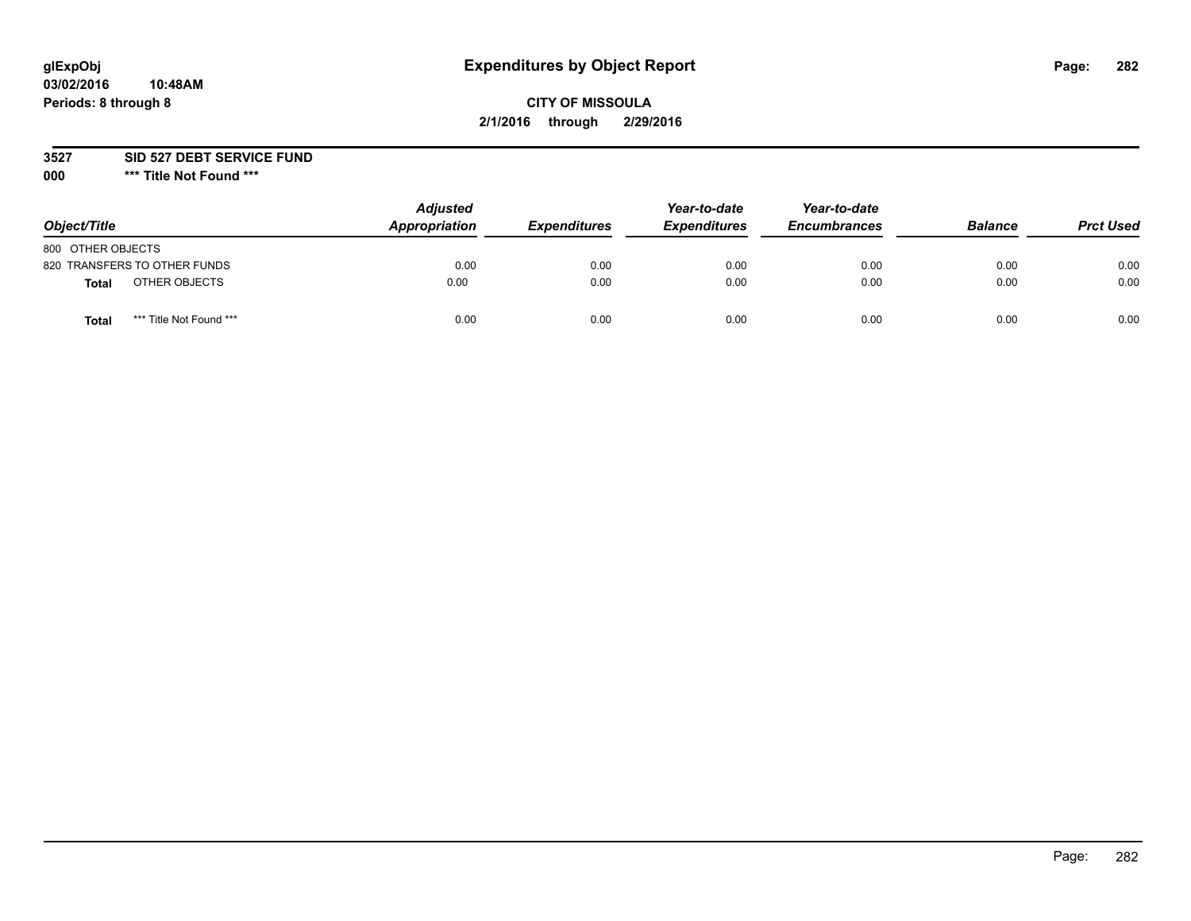# **glExpObj Expenditures by Object Report Page: 282**

#### **03/02/2016 10:48AM Periods: 8 through 8**

### **CITY OF MISSOULA 2/1/2016 through 2/29/2016**

**3527 SID 527 DEBT SERVICE FUND**

**000 \*\*\* Title Not Found \*\*\***

| Object/Title                            | <b>Adjusted</b><br>Appropriation | <b>Expenditures</b> | Year-to-date<br><b>Expenditures</b> | Year-to-date<br><b>Encumbrances</b> | <b>Balance</b> | <b>Prct Used</b> |
|-----------------------------------------|----------------------------------|---------------------|-------------------------------------|-------------------------------------|----------------|------------------|
| 800 OTHER OBJECTS                       |                                  |                     |                                     |                                     |                |                  |
| 820 TRANSFERS TO OTHER FUNDS            | 0.00                             | 0.00                | 0.00                                | 0.00                                | 0.00           | 0.00             |
| OTHER OBJECTS<br><b>Total</b>           | 0.00                             | 0.00                | 0.00                                | 0.00                                | 0.00           | 0.00             |
| *** Title Not Found ***<br><b>Total</b> | 0.00                             | 0.00                | 0.00                                | 0.00                                | 0.00           | 0.00             |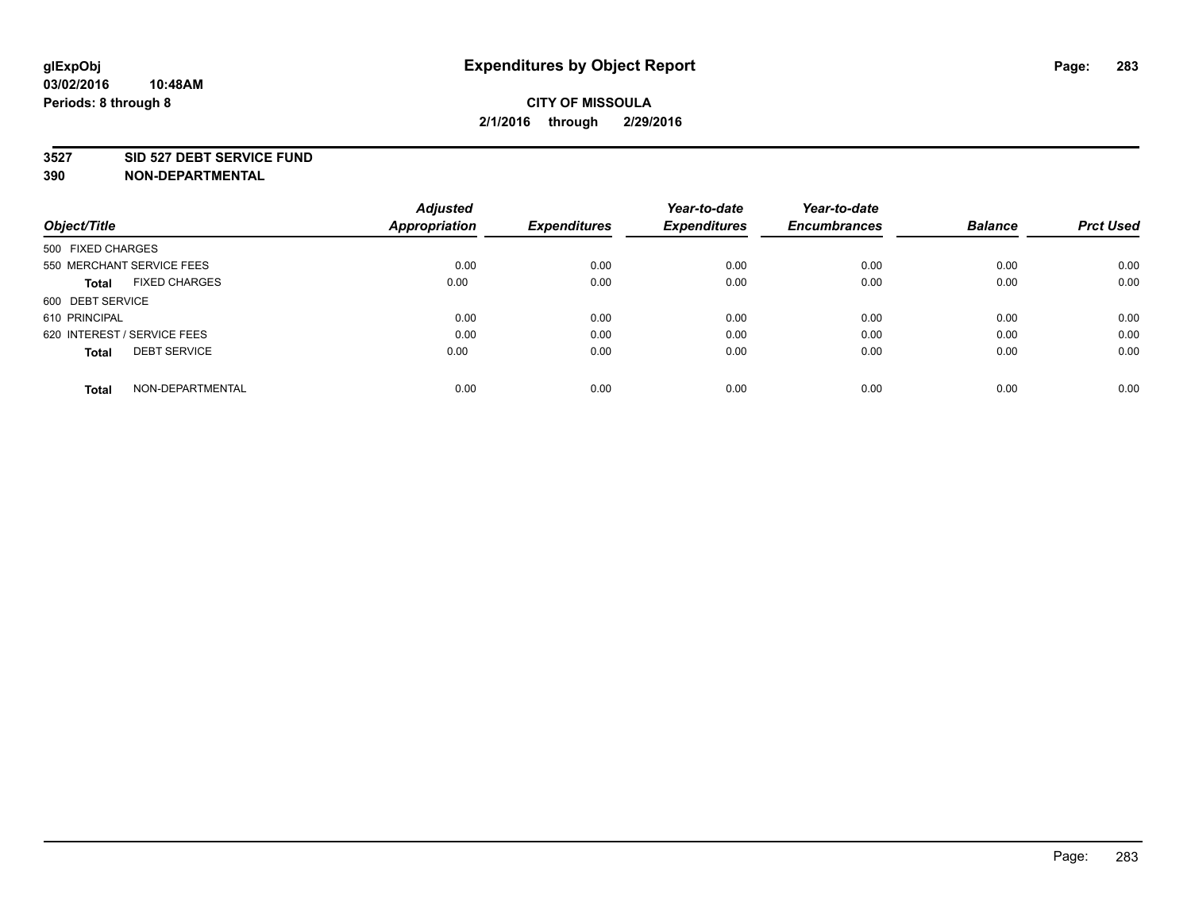#### **3527 SID 527 DEBT SERVICE FUND**

| Object/Title                         | <b>Adjusted</b><br><b>Appropriation</b> | <b>Expenditures</b> | Year-to-date<br><b>Expenditures</b> | Year-to-date<br><b>Encumbrances</b> | <b>Balance</b> | <b>Prct Used</b> |
|--------------------------------------|-----------------------------------------|---------------------|-------------------------------------|-------------------------------------|----------------|------------------|
| 500 FIXED CHARGES                    |                                         |                     |                                     |                                     |                |                  |
| 550 MERCHANT SERVICE FEES            | 0.00                                    | 0.00                | 0.00                                | 0.00                                | 0.00           | 0.00             |
| <b>FIXED CHARGES</b><br><b>Total</b> | 0.00                                    | 0.00                | 0.00                                | 0.00                                | 0.00           | 0.00             |
| 600 DEBT SERVICE                     |                                         |                     |                                     |                                     |                |                  |
| 610 PRINCIPAL                        | 0.00                                    | 0.00                | 0.00                                | 0.00                                | 0.00           | 0.00             |
| 620 INTEREST / SERVICE FEES          | 0.00                                    | 0.00                | 0.00                                | 0.00                                | 0.00           | 0.00             |
| <b>DEBT SERVICE</b><br><b>Total</b>  | 0.00                                    | 0.00                | 0.00                                | 0.00                                | 0.00           | 0.00             |
| NON-DEPARTMENTAL<br><b>Total</b>     | 0.00                                    | 0.00                | 0.00                                | 0.00                                | 0.00           | 0.00             |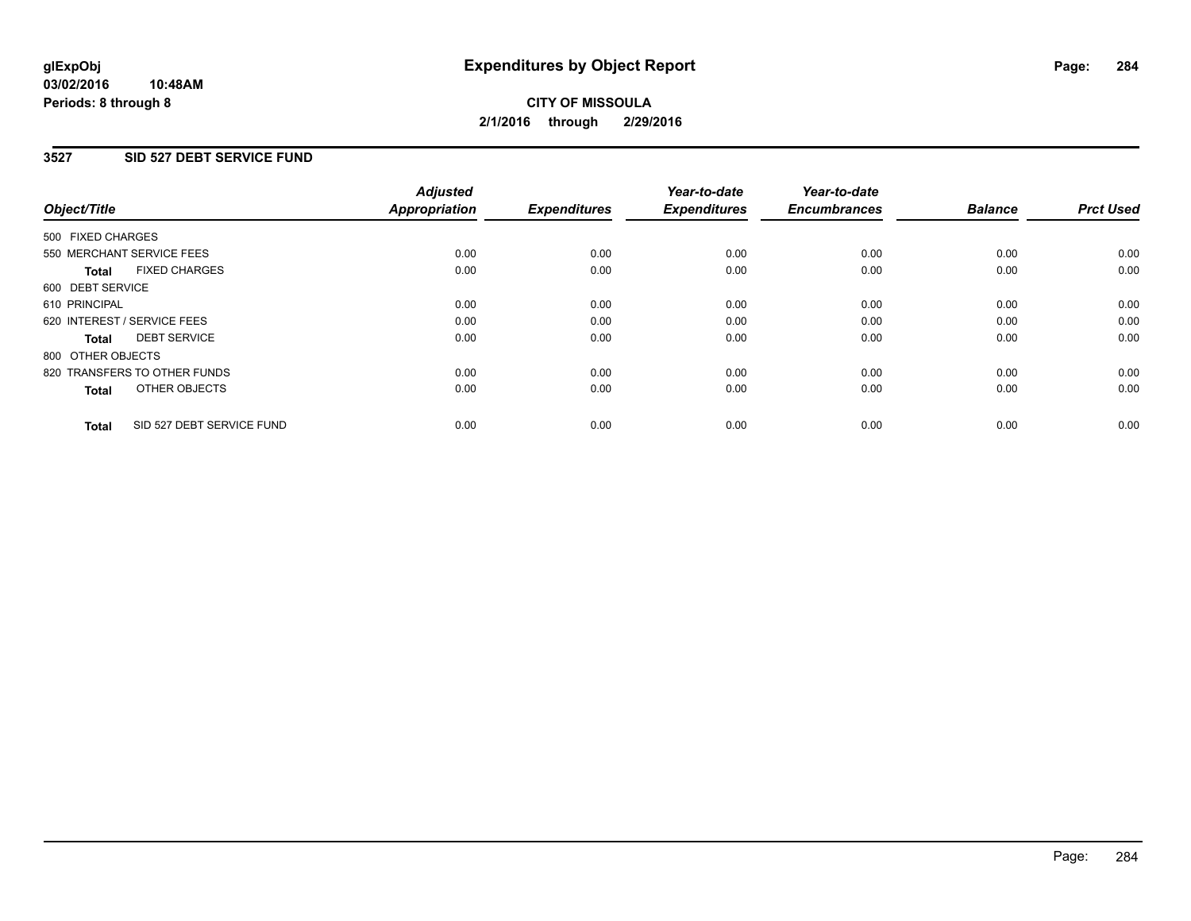### **3527 SID 527 DEBT SERVICE FUND**

| Object/Title      |                              | <b>Adjusted</b><br>Appropriation | <b>Expenditures</b> | Year-to-date<br><b>Expenditures</b> | Year-to-date<br><b>Encumbrances</b> | <b>Balance</b> | <b>Prct Used</b> |
|-------------------|------------------------------|----------------------------------|---------------------|-------------------------------------|-------------------------------------|----------------|------------------|
| 500 FIXED CHARGES |                              |                                  |                     |                                     |                                     |                |                  |
|                   | 550 MERCHANT SERVICE FEES    | 0.00                             | 0.00                | 0.00                                | 0.00                                | 0.00           | 0.00             |
| <b>Total</b>      | <b>FIXED CHARGES</b>         | 0.00                             | 0.00                | 0.00                                | 0.00                                | 0.00           | 0.00             |
| 600 DEBT SERVICE  |                              |                                  |                     |                                     |                                     |                |                  |
| 610 PRINCIPAL     |                              | 0.00                             | 0.00                | 0.00                                | 0.00                                | 0.00           | 0.00             |
|                   | 620 INTEREST / SERVICE FEES  | 0.00                             | 0.00                | 0.00                                | 0.00                                | 0.00           | 0.00             |
| Total             | <b>DEBT SERVICE</b>          | 0.00                             | 0.00                | 0.00                                | 0.00                                | 0.00           | 0.00             |
| 800 OTHER OBJECTS |                              |                                  |                     |                                     |                                     |                |                  |
|                   | 820 TRANSFERS TO OTHER FUNDS | 0.00                             | 0.00                | 0.00                                | 0.00                                | 0.00           | 0.00             |
| <b>Total</b>      | OTHER OBJECTS                | 0.00                             | 0.00                | 0.00                                | 0.00                                | 0.00           | 0.00             |
| <b>Total</b>      | SID 527 DEBT SERVICE FUND    | 0.00                             | 0.00                | 0.00                                | 0.00                                | 0.00           | 0.00             |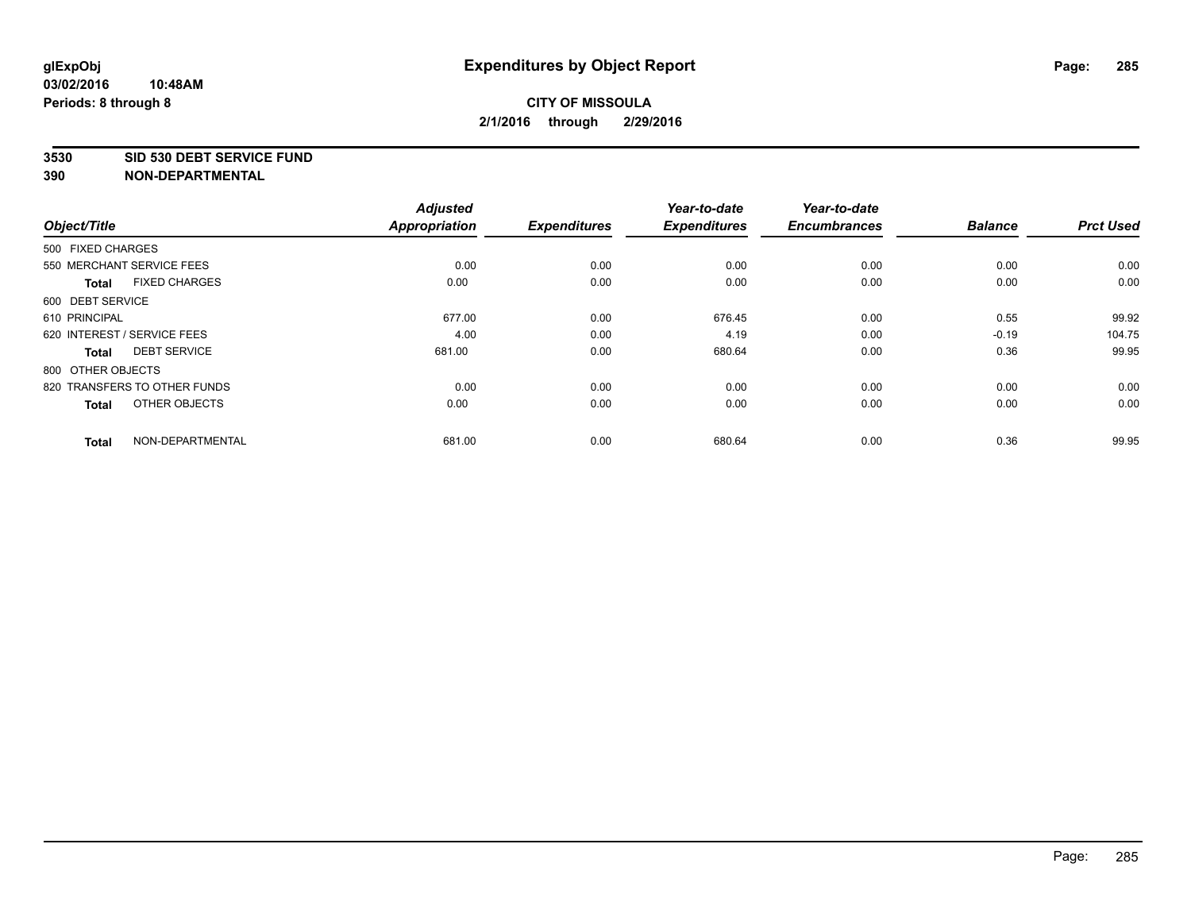#### **3530 SID 530 DEBT SERVICE FUND**

|                                      | <b>Adjusted</b> |                     | Year-to-date        | Year-to-date        |                |                  |
|--------------------------------------|-----------------|---------------------|---------------------|---------------------|----------------|------------------|
| Object/Title                         | Appropriation   | <b>Expenditures</b> | <b>Expenditures</b> | <b>Encumbrances</b> | <b>Balance</b> | <b>Prct Used</b> |
| 500 FIXED CHARGES                    |                 |                     |                     |                     |                |                  |
| 550 MERCHANT SERVICE FEES            | 0.00            | 0.00                | 0.00                | 0.00                | 0.00           | 0.00             |
| <b>FIXED CHARGES</b><br><b>Total</b> | 0.00            | 0.00                | 0.00                | 0.00                | 0.00           | 0.00             |
| 600 DEBT SERVICE                     |                 |                     |                     |                     |                |                  |
| 610 PRINCIPAL                        | 677.00          | 0.00                | 676.45              | 0.00                | 0.55           | 99.92            |
| 620 INTEREST / SERVICE FEES          | 4.00            | 0.00                | 4.19                | 0.00                | $-0.19$        | 104.75           |
| <b>DEBT SERVICE</b><br><b>Total</b>  | 681.00          | 0.00                | 680.64              | 0.00                | 0.36           | 99.95            |
| 800 OTHER OBJECTS                    |                 |                     |                     |                     |                |                  |
| 820 TRANSFERS TO OTHER FUNDS         | 0.00            | 0.00                | 0.00                | 0.00                | 0.00           | 0.00             |
| OTHER OBJECTS<br><b>Total</b>        | 0.00            | 0.00                | 0.00                | 0.00                | 0.00           | 0.00             |
|                                      |                 |                     |                     |                     |                |                  |
| NON-DEPARTMENTAL<br><b>Total</b>     | 681.00          | 0.00                | 680.64              | 0.00                | 0.36           | 99.95            |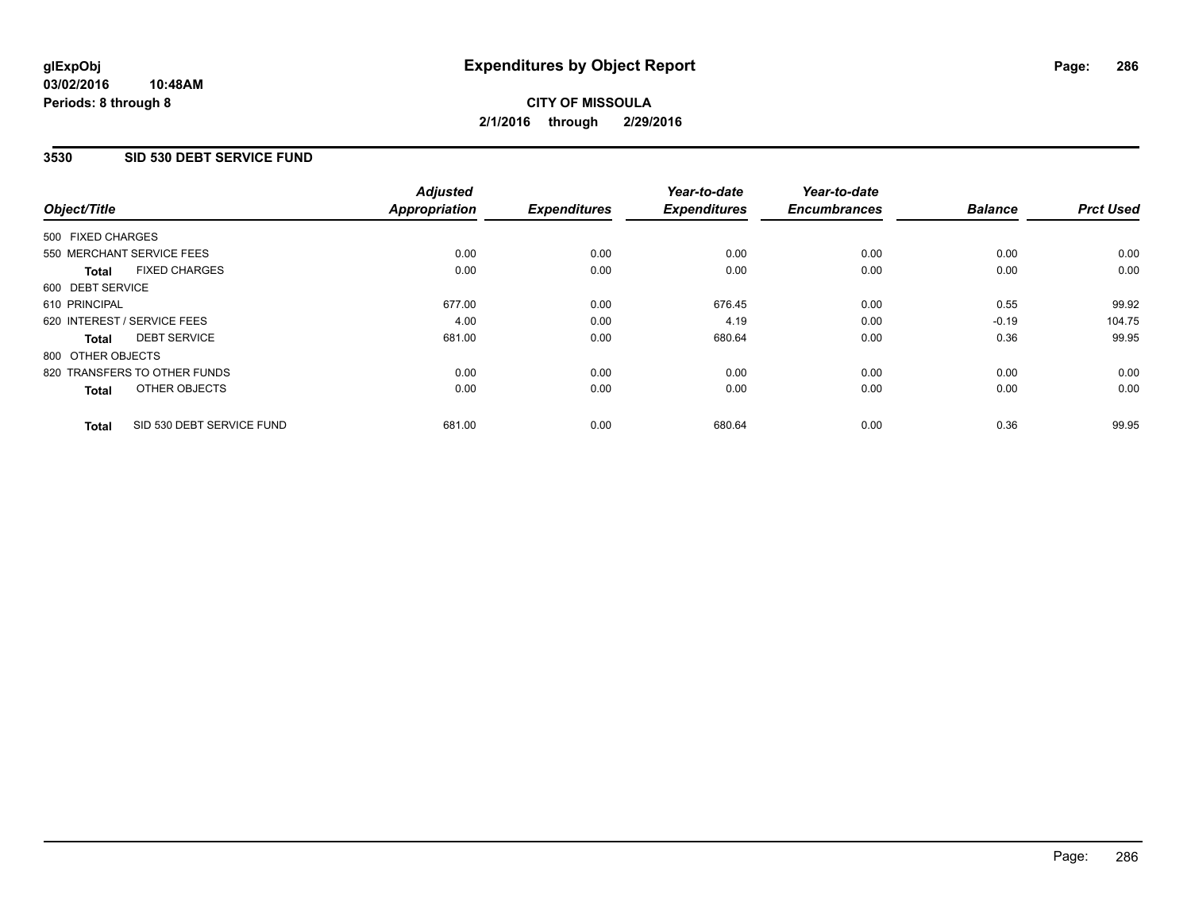#### **03/02/2016 10:48AM Periods: 8 through 8**

## **CITY OF MISSOULA 2/1/2016 through 2/29/2016**

### **3530 SID 530 DEBT SERVICE FUND**

| Object/Title      |                              | <b>Adjusted</b><br><b>Appropriation</b> | <b>Expenditures</b> | Year-to-date<br><b>Expenditures</b> | Year-to-date<br><b>Encumbrances</b> | <b>Balance</b> | <b>Prct Used</b> |
|-------------------|------------------------------|-----------------------------------------|---------------------|-------------------------------------|-------------------------------------|----------------|------------------|
|                   |                              |                                         |                     |                                     |                                     |                |                  |
| 500 FIXED CHARGES |                              |                                         |                     |                                     |                                     |                |                  |
|                   | 550 MERCHANT SERVICE FEES    | 0.00                                    | 0.00                | 0.00                                | 0.00                                | 0.00           | 0.00             |
| <b>Total</b>      | <b>FIXED CHARGES</b>         | 0.00                                    | 0.00                | 0.00                                | 0.00                                | 0.00           | 0.00             |
| 600 DEBT SERVICE  |                              |                                         |                     |                                     |                                     |                |                  |
| 610 PRINCIPAL     |                              | 677.00                                  | 0.00                | 676.45                              | 0.00                                | 0.55           | 99.92            |
|                   | 620 INTEREST / SERVICE FEES  | 4.00                                    | 0.00                | 4.19                                | 0.00                                | $-0.19$        | 104.75           |
| <b>Total</b>      | <b>DEBT SERVICE</b>          | 681.00                                  | 0.00                | 680.64                              | 0.00                                | 0.36           | 99.95            |
| 800 OTHER OBJECTS |                              |                                         |                     |                                     |                                     |                |                  |
|                   | 820 TRANSFERS TO OTHER FUNDS | 0.00                                    | 0.00                | 0.00                                | 0.00                                | 0.00           | 0.00             |
| <b>Total</b>      | OTHER OBJECTS                | 0.00                                    | 0.00                | 0.00                                | 0.00                                | 0.00           | 0.00             |
| <b>Total</b>      | SID 530 DEBT SERVICE FUND    | 681.00                                  | 0.00                | 680.64                              | 0.00                                | 0.36           | 99.95            |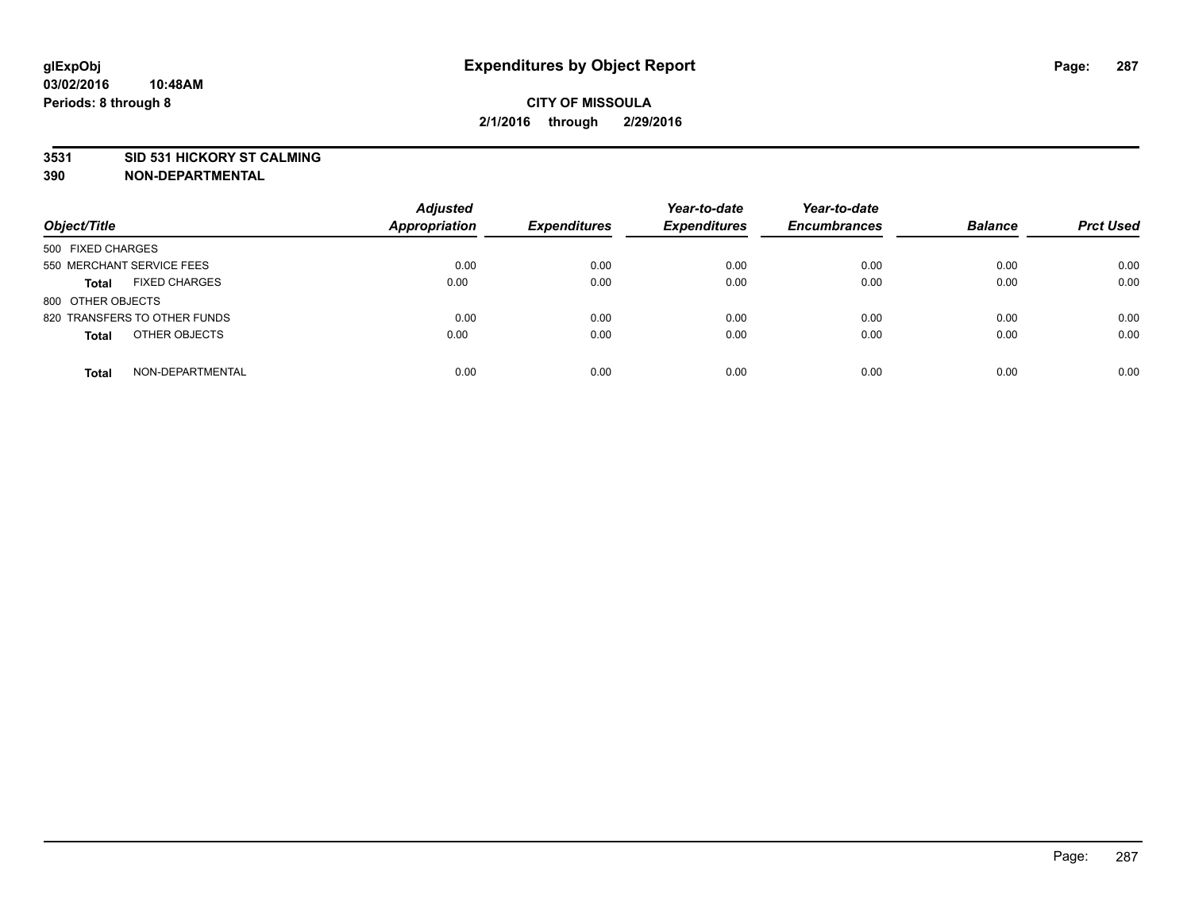#### **03/02/2016 10:48AM Periods: 8 through 8**

### **CITY OF MISSOULA 2/1/2016 through 2/29/2016**

#### **3531 SID 531 HICKORY ST CALMING**

| Object/Title                         | <b>Adjusted</b><br>Appropriation | <b>Expenditures</b> | Year-to-date<br><b>Expenditures</b> | Year-to-date<br><b>Encumbrances</b> | <b>Balance</b> | <b>Prct Used</b> |
|--------------------------------------|----------------------------------|---------------------|-------------------------------------|-------------------------------------|----------------|------------------|
| 500 FIXED CHARGES                    |                                  |                     |                                     |                                     |                |                  |
| 550 MERCHANT SERVICE FEES            | 0.00                             | 0.00                | 0.00                                | 0.00                                | 0.00           | 0.00             |
| <b>FIXED CHARGES</b><br><b>Total</b> | 0.00                             | 0.00                | 0.00                                | 0.00                                | 0.00           | 0.00             |
| 800 OTHER OBJECTS                    |                                  |                     |                                     |                                     |                |                  |
| 820 TRANSFERS TO OTHER FUNDS         | 0.00                             | 0.00                | 0.00                                | 0.00                                | 0.00           | 0.00             |
| OTHER OBJECTS<br><b>Total</b>        | 0.00                             | 0.00                | 0.00                                | 0.00                                | 0.00           | 0.00             |
| NON-DEPARTMENTAL<br><b>Total</b>     | 0.00                             | 0.00                | 0.00                                | 0.00                                | 0.00           | 0.00             |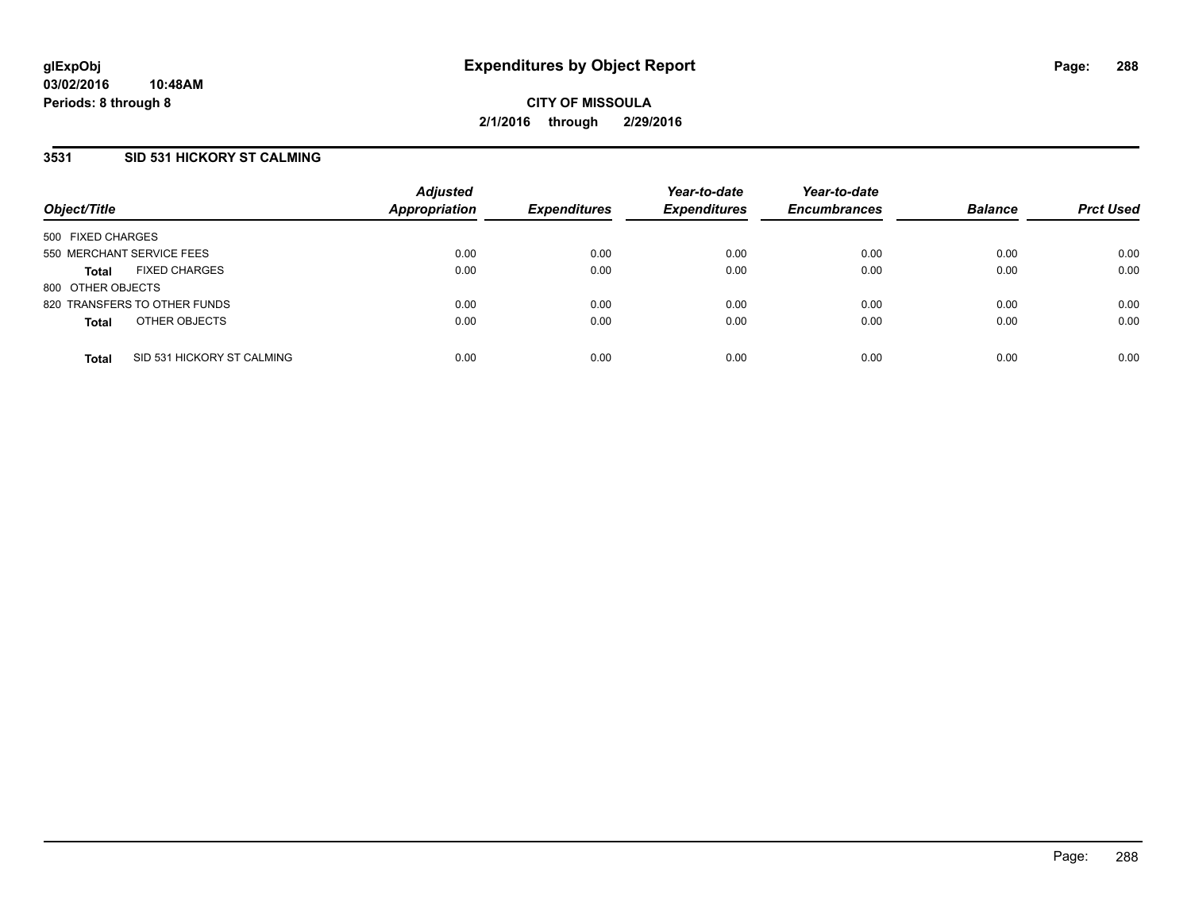### **3531 SID 531 HICKORY ST CALMING**

| Object/Title              |                              | <b>Adjusted</b><br>Appropriation | <b>Expenditures</b> | Year-to-date<br><b>Expenditures</b> | Year-to-date<br><b>Encumbrances</b> | <b>Balance</b> | <b>Prct Used</b> |
|---------------------------|------------------------------|----------------------------------|---------------------|-------------------------------------|-------------------------------------|----------------|------------------|
| 500 FIXED CHARGES         |                              |                                  |                     |                                     |                                     |                |                  |
| 550 MERCHANT SERVICE FEES |                              | 0.00                             | 0.00                | 0.00                                | 0.00                                | 0.00           | 0.00             |
| <b>Total</b>              | <b>FIXED CHARGES</b>         | 0.00                             | 0.00                | 0.00                                | 0.00                                | 0.00           | 0.00             |
| 800 OTHER OBJECTS         |                              |                                  |                     |                                     |                                     |                |                  |
|                           | 820 TRANSFERS TO OTHER FUNDS | 0.00                             | 0.00                | 0.00                                | 0.00                                | 0.00           | 0.00             |
| <b>Total</b>              | OTHER OBJECTS                | 0.00                             | 0.00                | 0.00                                | 0.00                                | 0.00           | 0.00             |
| <b>Total</b>              | SID 531 HICKORY ST CALMING   | 0.00                             | 0.00                | 0.00                                | 0.00                                | 0.00           | 0.00             |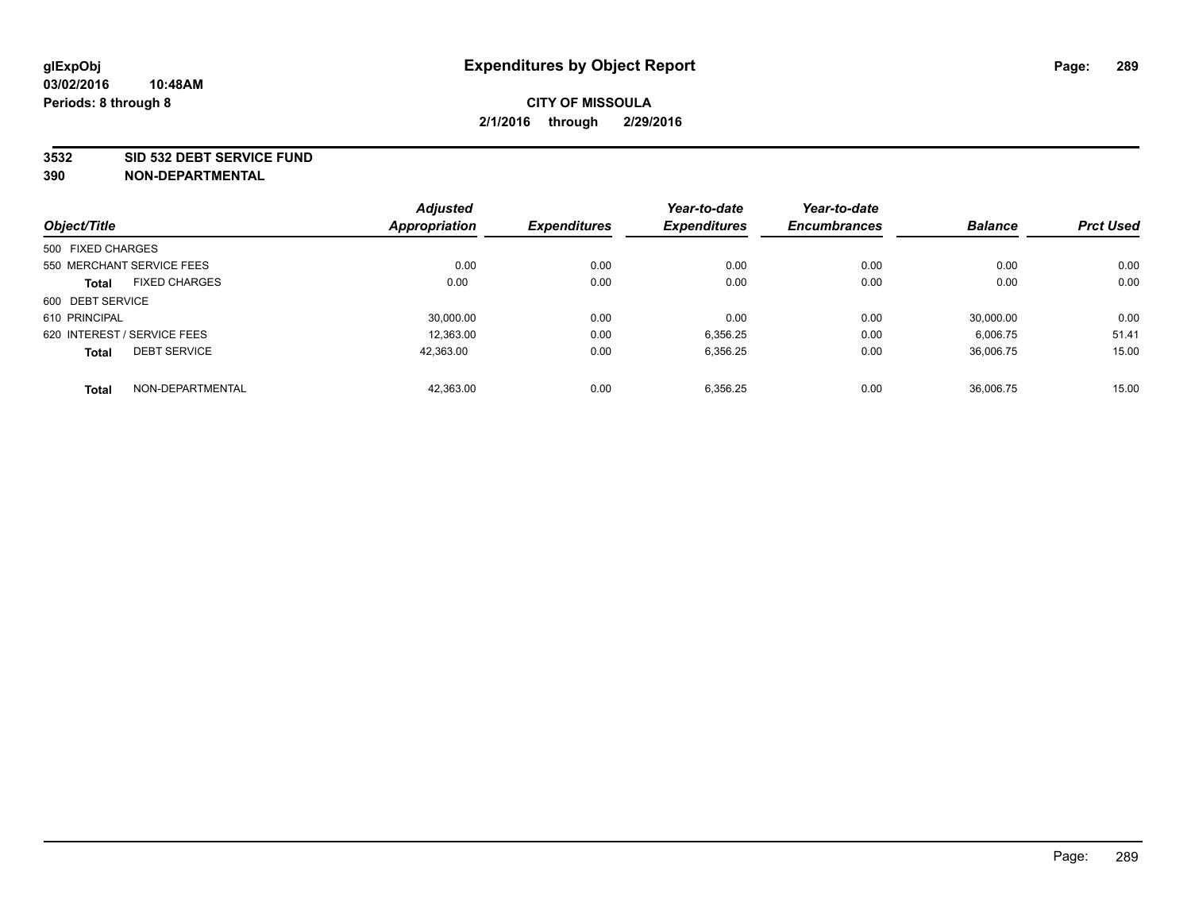#### **3532 SID 532 DEBT SERVICE FUND**

|                                      | <b>Adjusted</b>      |                     | Year-to-date        | Year-to-date        |                |                  |
|--------------------------------------|----------------------|---------------------|---------------------|---------------------|----------------|------------------|
| Object/Title                         | <b>Appropriation</b> | <b>Expenditures</b> | <b>Expenditures</b> | <b>Encumbrances</b> | <b>Balance</b> | <b>Prct Used</b> |
| 500 FIXED CHARGES                    |                      |                     |                     |                     |                |                  |
| 550 MERCHANT SERVICE FEES            | 0.00                 | 0.00                | 0.00                | 0.00                | 0.00           | 0.00             |
| <b>FIXED CHARGES</b><br><b>Total</b> | 0.00                 | 0.00                | 0.00                | 0.00                | 0.00           | 0.00             |
| 600 DEBT SERVICE                     |                      |                     |                     |                     |                |                  |
| 610 PRINCIPAL                        | 30.000.00            | 0.00                | 0.00                | 0.00                | 30.000.00      | 0.00             |
| 620 INTEREST / SERVICE FEES          | 12,363.00            | 0.00                | 6,356.25            | 0.00                | 6,006.75       | 51.41            |
| <b>DEBT SERVICE</b><br><b>Total</b>  | 42.363.00            | 0.00                | 6,356.25            | 0.00                | 36,006.75      | 15.00            |
| NON-DEPARTMENTAL<br><b>Total</b>     | 42,363.00            | 0.00                | 6,356.25            | 0.00                | 36,006.75      | 15.00            |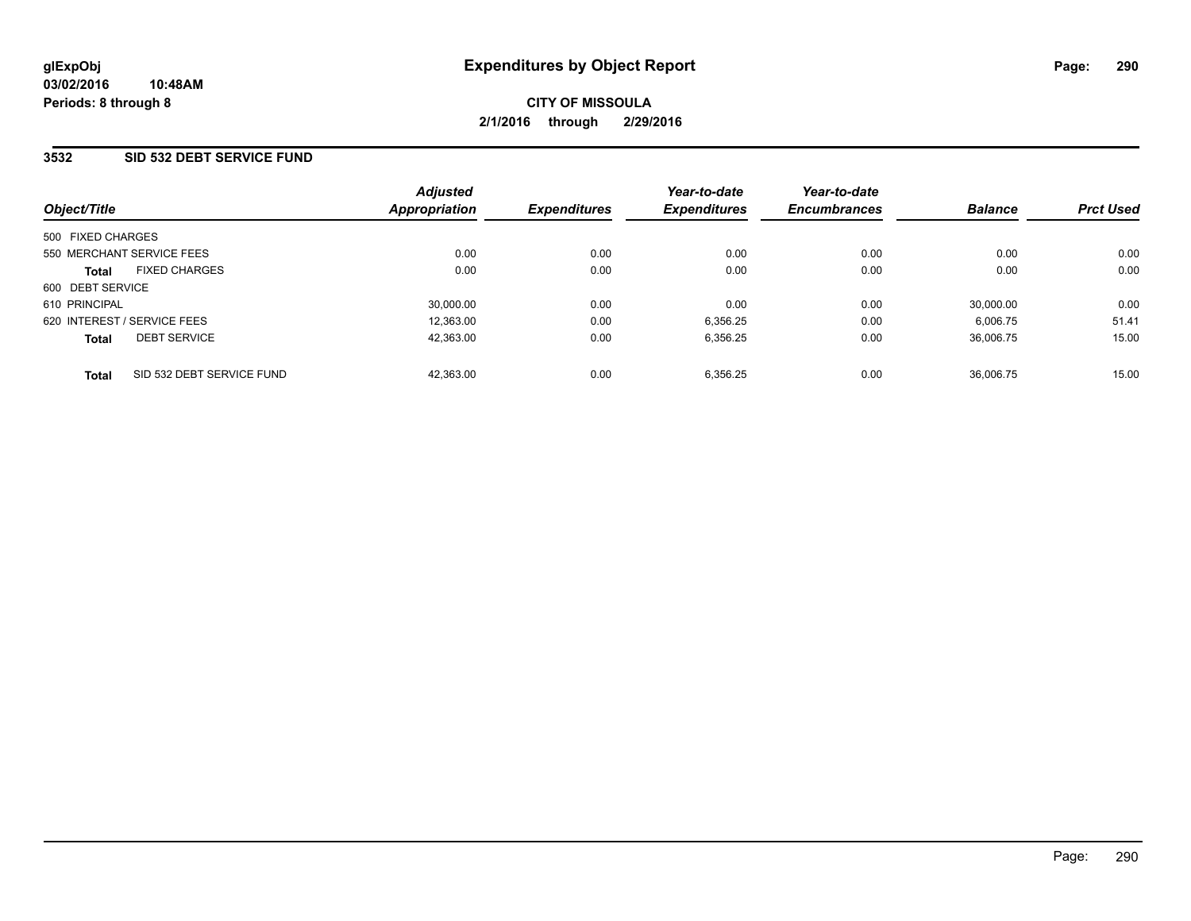### **3532 SID 532 DEBT SERVICE FUND**

| Object/Title                              | <b>Adjusted</b><br>Appropriation | <b>Expenditures</b> | Year-to-date<br><b>Expenditures</b> | Year-to-date<br><b>Encumbrances</b> | <b>Balance</b> | <b>Prct Used</b> |
|-------------------------------------------|----------------------------------|---------------------|-------------------------------------|-------------------------------------|----------------|------------------|
| 500 FIXED CHARGES                         |                                  |                     |                                     |                                     |                |                  |
| 550 MERCHANT SERVICE FEES                 | 0.00                             | 0.00                | 0.00                                | 0.00                                | 0.00           | 0.00             |
| <b>FIXED CHARGES</b><br><b>Total</b>      | 0.00                             | 0.00                | 0.00                                | 0.00                                | 0.00           | 0.00             |
| 600 DEBT SERVICE                          |                                  |                     |                                     |                                     |                |                  |
| 610 PRINCIPAL                             | 30,000.00                        | 0.00                | 0.00                                | 0.00                                | 30,000.00      | 0.00             |
| 620 INTEREST / SERVICE FEES               | 12,363.00                        | 0.00                | 6,356.25                            | 0.00                                | 6,006.75       | 51.41            |
| <b>DEBT SERVICE</b><br><b>Total</b>       | 42,363.00                        | 0.00                | 6,356.25                            | 0.00                                | 36.006.75      | 15.00            |
| SID 532 DEBT SERVICE FUND<br><b>Total</b> | 42.363.00                        | 0.00                | 6.356.25                            | 0.00                                | 36.006.75      | 15.00            |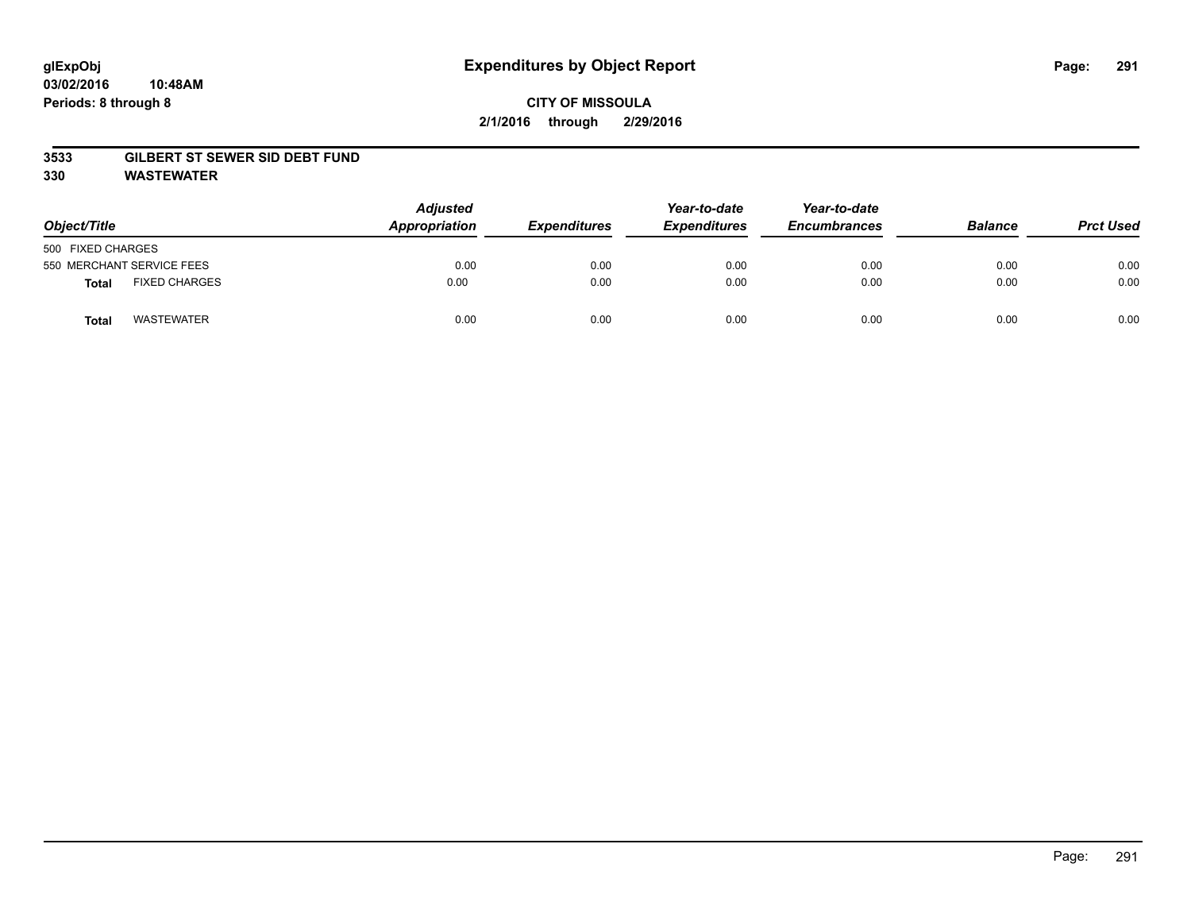### **03/02/2016 10:48AM Periods: 8 through 8**

## **CITY OF MISSOULA 2/1/2016 through 2/29/2016**

### **3533 GILBERT ST SEWER SID DEBT FUND**

**330 WASTEWATER**

| Object/Title                  | <b>Adjusted</b><br>Appropriation | <b>Expenditures</b> | Year-to-date<br><b>Expenditures</b> | Year-to-date<br><b>Encumbrances</b> | <b>Balance</b> | <b>Prct Used</b> |
|-------------------------------|----------------------------------|---------------------|-------------------------------------|-------------------------------------|----------------|------------------|
| 500 FIXED CHARGES             |                                  |                     |                                     |                                     |                |                  |
| 550 MERCHANT SERVICE FEES     | 0.00                             | 0.00                | 0.00                                | 0.00                                | 0.00           | 0.00             |
| <b>FIXED CHARGES</b><br>Total | 0.00                             | 0.00                | 0.00                                | 0.00                                | 0.00           | 0.00             |
| <b>WASTEWATER</b><br>Tota     | 0.00                             | 0.00                | 0.00                                | 0.00                                | 0.00           | 0.00             |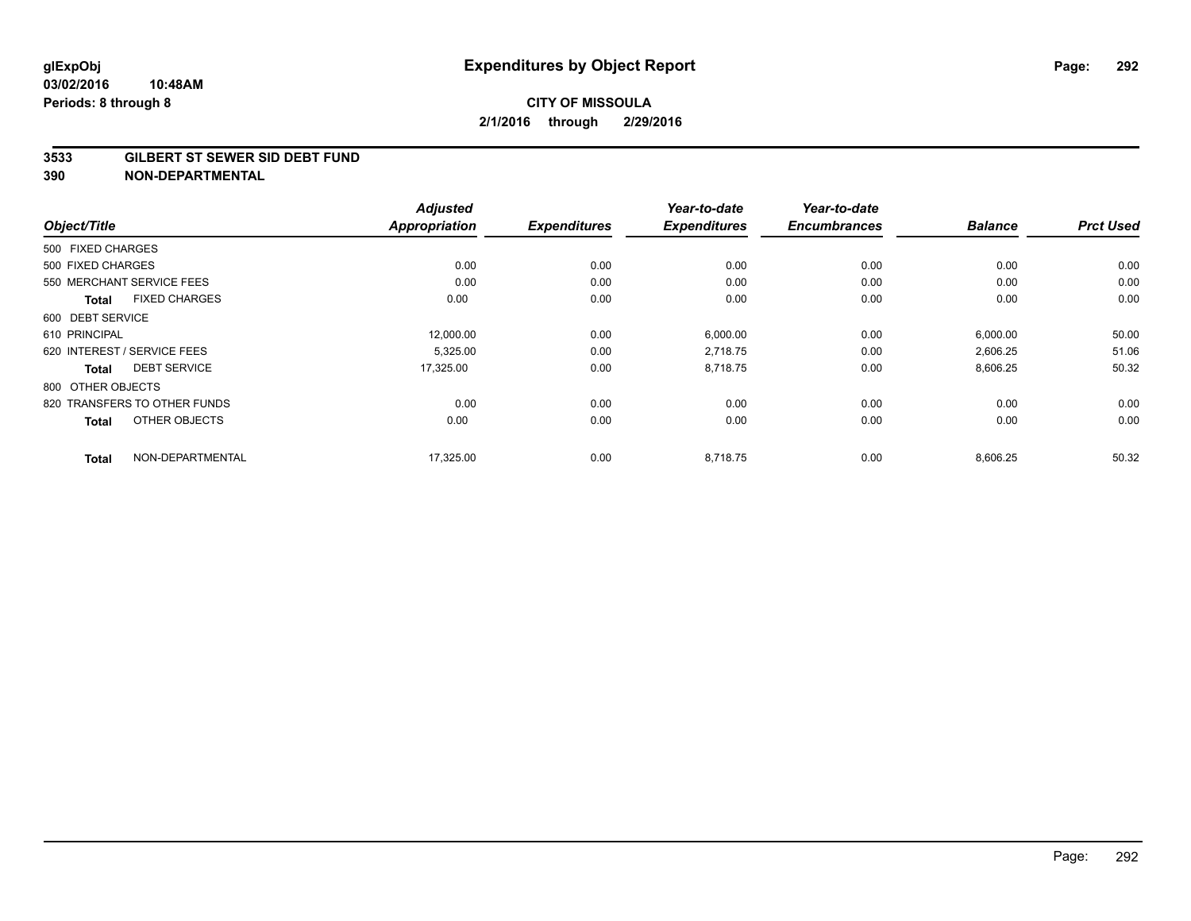### **03/02/2016 10:48AM Periods: 8 through 8**

## **CITY OF MISSOULA 2/1/2016 through 2/29/2016**

#### **3533 GILBERT ST SEWER SID DEBT FUND**

| Object/Title                         | <b>Adjusted</b><br><b>Appropriation</b> | <b>Expenditures</b> | Year-to-date<br><b>Expenditures</b> | Year-to-date<br><b>Encumbrances</b> | <b>Balance</b> | <b>Prct Used</b> |
|--------------------------------------|-----------------------------------------|---------------------|-------------------------------------|-------------------------------------|----------------|------------------|
|                                      |                                         |                     |                                     |                                     |                |                  |
| 500 FIXED CHARGES                    |                                         |                     |                                     |                                     |                |                  |
| 500 FIXED CHARGES                    | 0.00                                    | 0.00                | 0.00                                | 0.00                                | 0.00           | 0.00             |
| 550 MERCHANT SERVICE FEES            | 0.00                                    | 0.00                | 0.00                                | 0.00                                | 0.00           | 0.00             |
| <b>FIXED CHARGES</b><br><b>Total</b> | 0.00                                    | 0.00                | 0.00                                | 0.00                                | 0.00           | 0.00             |
| 600 DEBT SERVICE                     |                                         |                     |                                     |                                     |                |                  |
| 610 PRINCIPAL                        | 12,000.00                               | 0.00                | 6,000.00                            | 0.00                                | 6,000.00       | 50.00            |
| 620 INTEREST / SERVICE FEES          | 5,325.00                                | 0.00                | 2,718.75                            | 0.00                                | 2,606.25       | 51.06            |
| <b>DEBT SERVICE</b><br><b>Total</b>  | 17,325.00                               | 0.00                | 8,718.75                            | 0.00                                | 8,606.25       | 50.32            |
| 800 OTHER OBJECTS                    |                                         |                     |                                     |                                     |                |                  |
| 820 TRANSFERS TO OTHER FUNDS         | 0.00                                    | 0.00                | 0.00                                | 0.00                                | 0.00           | 0.00             |
| OTHER OBJECTS<br><b>Total</b>        | 0.00                                    | 0.00                | 0.00                                | 0.00                                | 0.00           | 0.00             |
| NON-DEPARTMENTAL<br><b>Total</b>     | 17,325.00                               | 0.00                | 8.718.75                            | 0.00                                | 8,606.25       | 50.32            |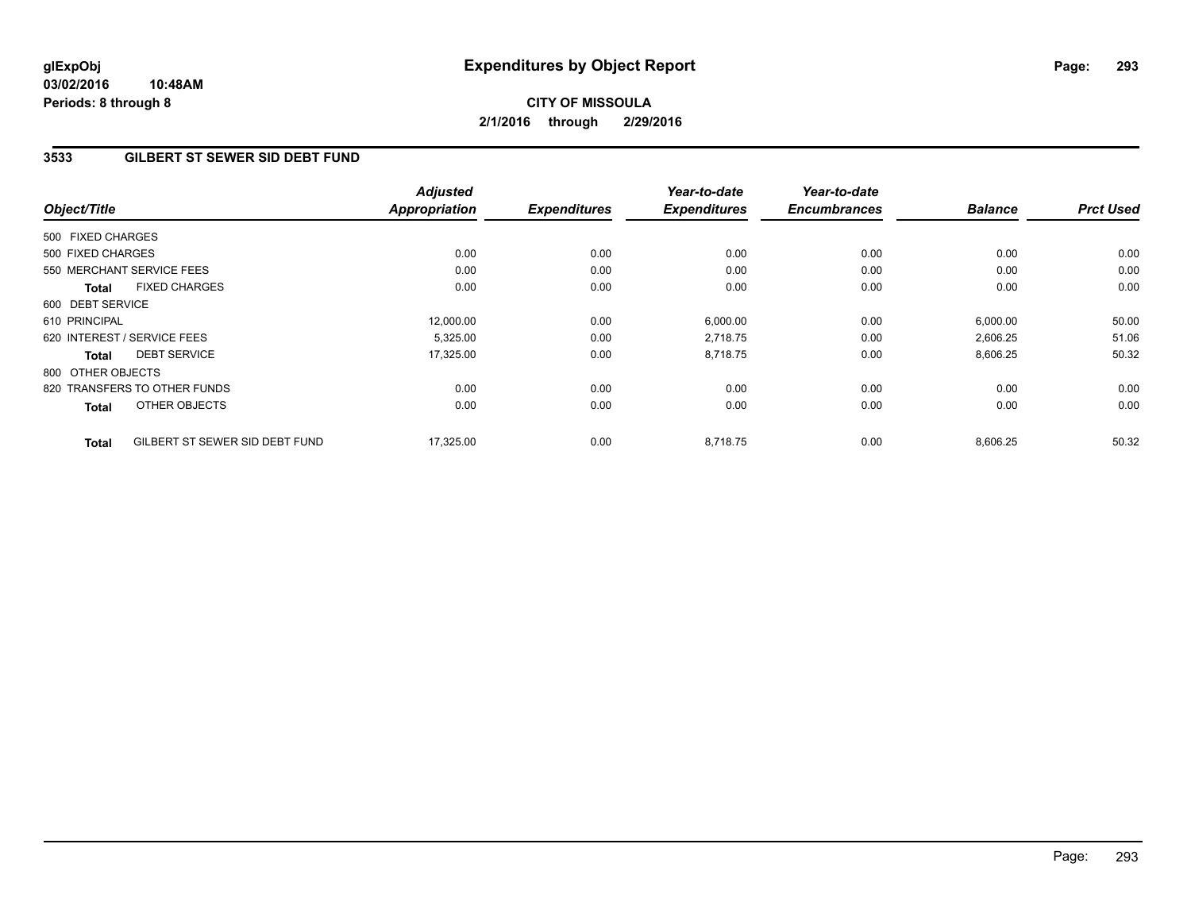### **3533 GILBERT ST SEWER SID DEBT FUND**

| Object/Title      |                                | <b>Adjusted</b><br><b>Appropriation</b> | <b>Expenditures</b> | Year-to-date<br><b>Expenditures</b> | Year-to-date<br><b>Encumbrances</b> | <b>Balance</b> | <b>Prct Used</b> |
|-------------------|--------------------------------|-----------------------------------------|---------------------|-------------------------------------|-------------------------------------|----------------|------------------|
| 500 FIXED CHARGES |                                |                                         |                     |                                     |                                     |                |                  |
| 500 FIXED CHARGES |                                | 0.00                                    | 0.00                | 0.00                                | 0.00                                | 0.00           | 0.00             |
|                   | 550 MERCHANT SERVICE FEES      | 0.00                                    | 0.00                | 0.00                                | 0.00                                | 0.00           | 0.00             |
| Total             | <b>FIXED CHARGES</b>           | 0.00                                    | 0.00                | 0.00                                | 0.00                                | 0.00           | 0.00             |
| 600 DEBT SERVICE  |                                |                                         |                     |                                     |                                     |                |                  |
| 610 PRINCIPAL     |                                | 12,000.00                               | 0.00                | 6,000.00                            | 0.00                                | 6,000.00       | 50.00            |
|                   | 620 INTEREST / SERVICE FEES    | 5,325.00                                | 0.00                | 2,718.75                            | 0.00                                | 2,606.25       | 51.06            |
| <b>Total</b>      | <b>DEBT SERVICE</b>            | 17,325.00                               | 0.00                | 8,718.75                            | 0.00                                | 8,606.25       | 50.32            |
| 800 OTHER OBJECTS |                                |                                         |                     |                                     |                                     |                |                  |
|                   | 820 TRANSFERS TO OTHER FUNDS   | 0.00                                    | 0.00                | 0.00                                | 0.00                                | 0.00           | 0.00             |
| <b>Total</b>      | OTHER OBJECTS                  | 0.00                                    | 0.00                | 0.00                                | 0.00                                | 0.00           | 0.00             |
| <b>Total</b>      | GILBERT ST SEWER SID DEBT FUND | 17,325.00                               | 0.00                | 8,718.75                            | 0.00                                | 8,606.25       | 50.32            |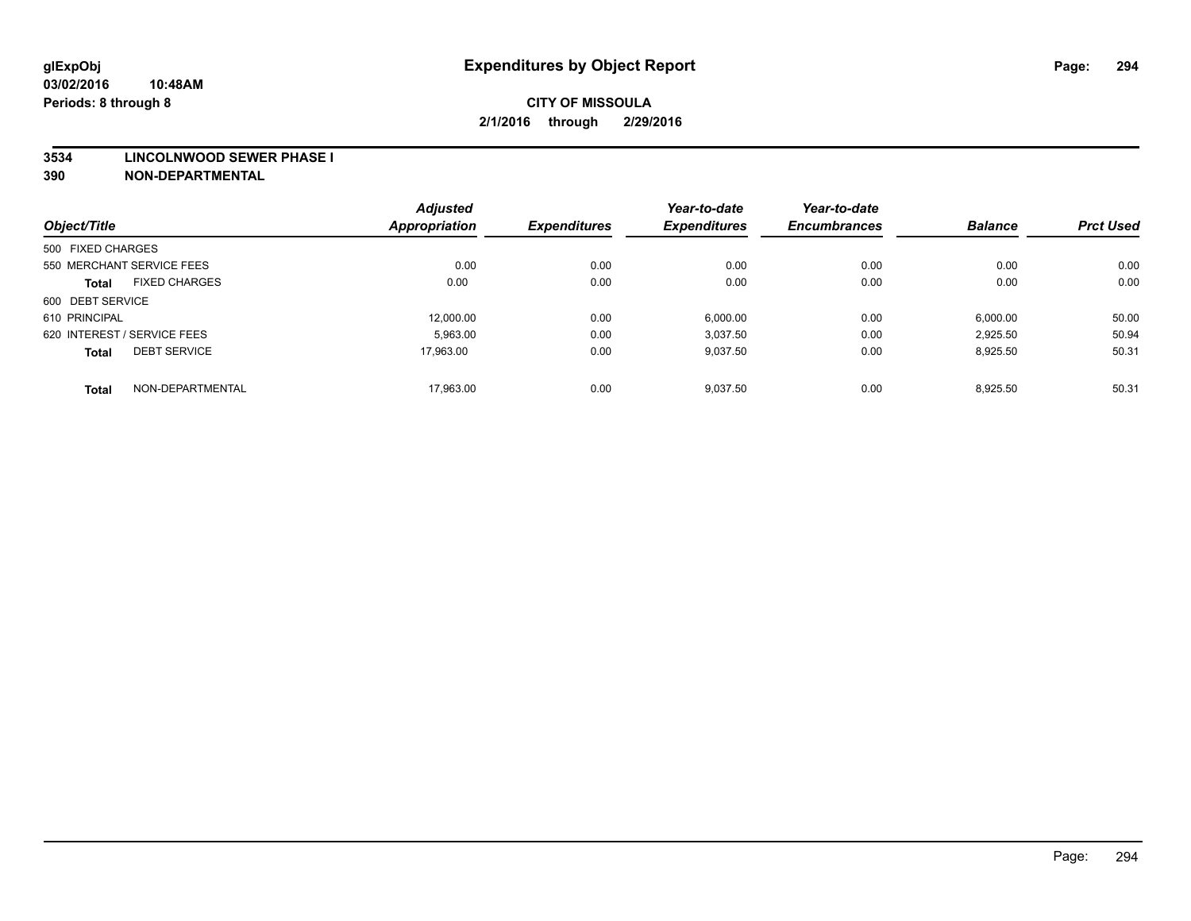#### **3534 LINCOLNWOOD SEWER PHASE I**

|                                      | <b>Adjusted</b>      |                     | Year-to-date        | Year-to-date        |                |                  |
|--------------------------------------|----------------------|---------------------|---------------------|---------------------|----------------|------------------|
| Object/Title                         | <b>Appropriation</b> | <b>Expenditures</b> | <b>Expenditures</b> | <b>Encumbrances</b> | <b>Balance</b> | <b>Prct Used</b> |
| 500 FIXED CHARGES                    |                      |                     |                     |                     |                |                  |
| 550 MERCHANT SERVICE FEES            | 0.00                 | 0.00                | 0.00                | 0.00                | 0.00           | 0.00             |
| <b>FIXED CHARGES</b><br><b>Total</b> | 0.00                 | 0.00                | 0.00                | 0.00                | 0.00           | 0.00             |
| 600 DEBT SERVICE                     |                      |                     |                     |                     |                |                  |
| 610 PRINCIPAL                        | 12.000.00            | 0.00                | 6.000.00            | 0.00                | 6,000.00       | 50.00            |
| 620 INTEREST / SERVICE FEES          | 5,963.00             | 0.00                | 3,037.50            | 0.00                | 2,925.50       | 50.94            |
| <b>DEBT SERVICE</b><br><b>Total</b>  | 17.963.00            | 0.00                | 9,037.50            | 0.00                | 8,925.50       | 50.31            |
| NON-DEPARTMENTAL<br><b>Total</b>     | 17,963.00            | 0.00                | 9,037.50            | 0.00                | 8,925.50       | 50.31            |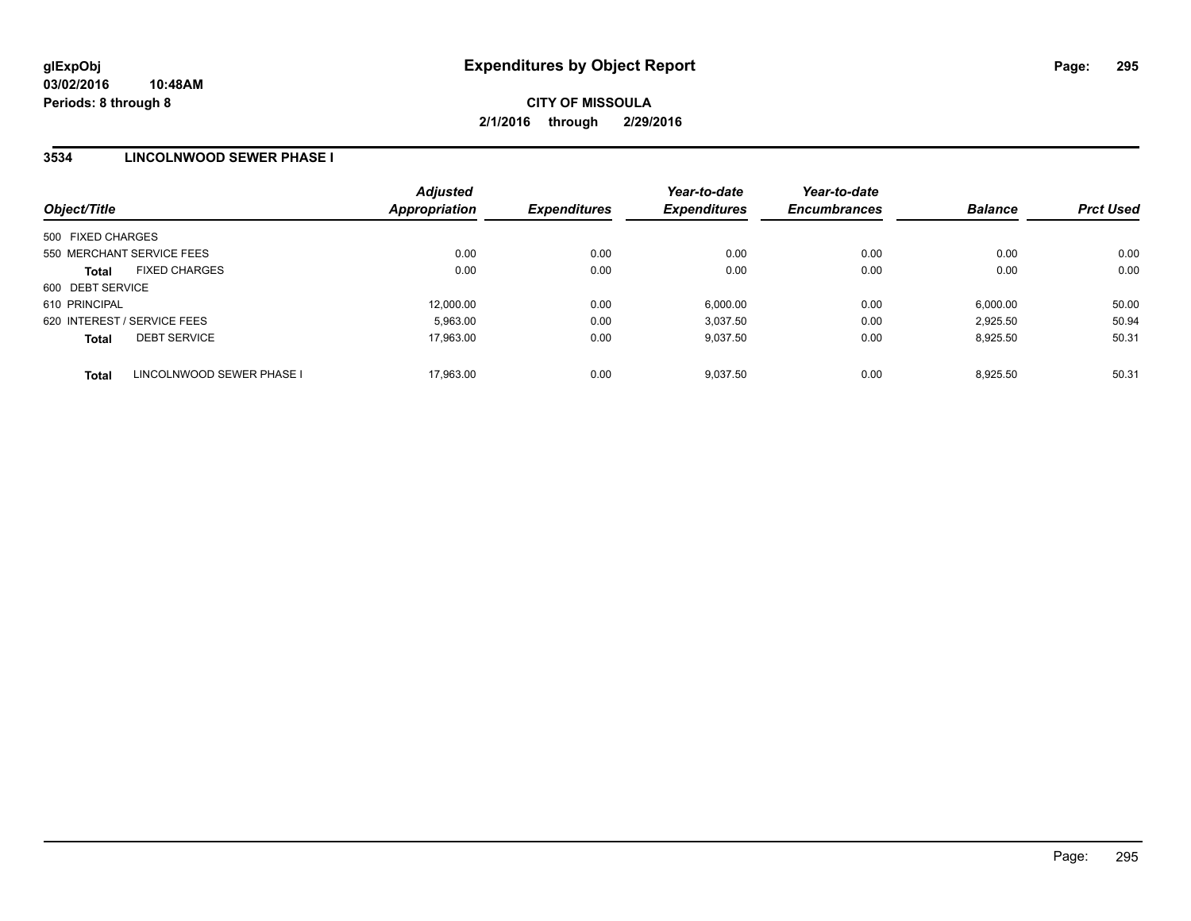### **3534 LINCOLNWOOD SEWER PHASE I**

| Object/Title                              | <b>Adjusted</b><br><b>Appropriation</b> | <b>Expenditures</b> | Year-to-date<br><b>Expenditures</b> | Year-to-date<br><b>Encumbrances</b> | <b>Balance</b> | <b>Prct Used</b> |
|-------------------------------------------|-----------------------------------------|---------------------|-------------------------------------|-------------------------------------|----------------|------------------|
| 500 FIXED CHARGES                         |                                         |                     |                                     |                                     |                |                  |
| 550 MERCHANT SERVICE FEES                 | 0.00                                    | 0.00                | 0.00                                | 0.00                                | 0.00           | 0.00             |
| <b>FIXED CHARGES</b><br><b>Total</b>      | 0.00                                    | 0.00                | 0.00                                | 0.00                                | 0.00           | 0.00             |
| 600 DEBT SERVICE                          |                                         |                     |                                     |                                     |                |                  |
| 610 PRINCIPAL                             | 12,000.00                               | 0.00                | 6.000.00                            | 0.00                                | 6,000.00       | 50.00            |
| 620 INTEREST / SERVICE FEES               | 5,963.00                                | 0.00                | 3.037.50                            | 0.00                                | 2,925.50       | 50.94            |
| <b>DEBT SERVICE</b><br><b>Total</b>       | 17.963.00                               | 0.00                | 9.037.50                            | 0.00                                | 8.925.50       | 50.31            |
| LINCOLNWOOD SEWER PHASE I<br><b>Total</b> | 17.963.00                               | 0.00                | 9.037.50                            | 0.00                                | 8.925.50       | 50.31            |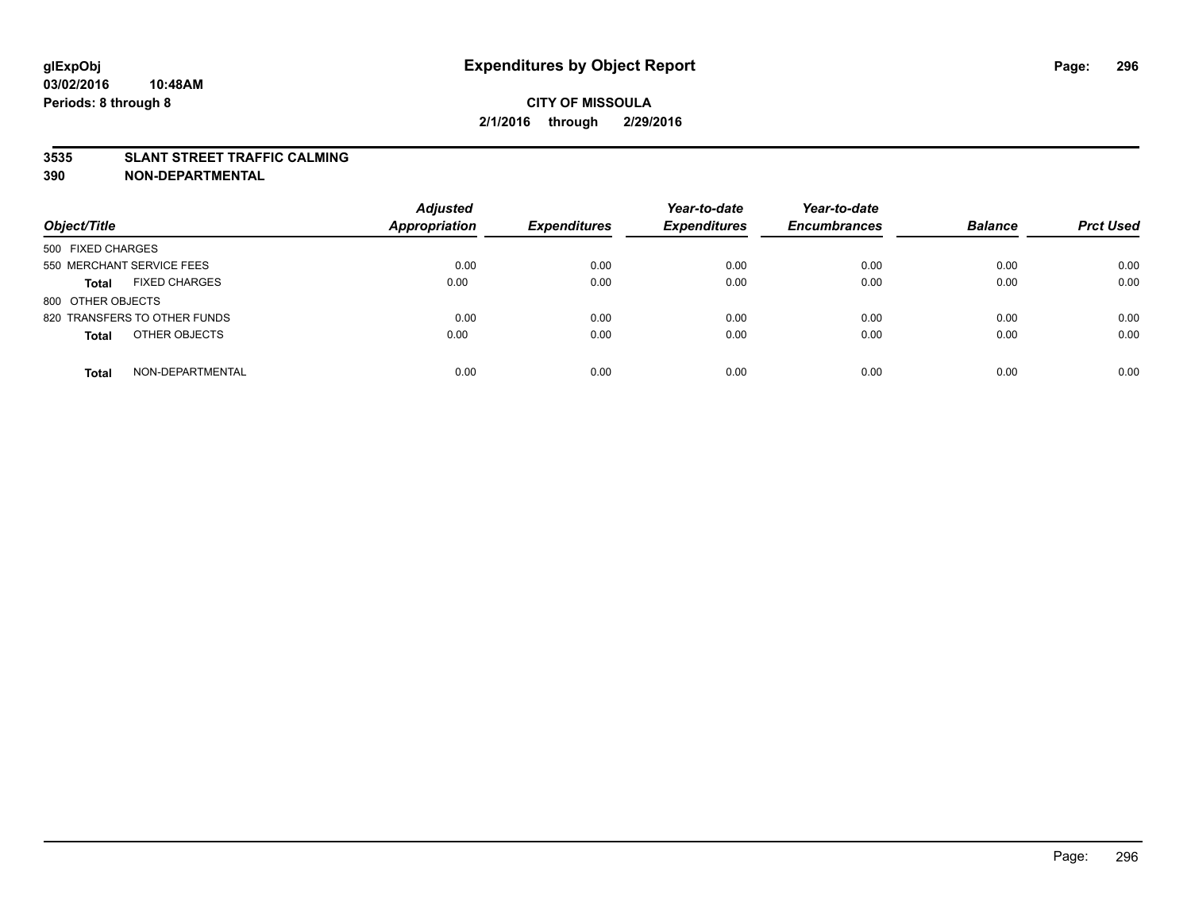### **03/02/2016 10:48AM Periods: 8 through 8**

## **CITY OF MISSOULA 2/1/2016 through 2/29/2016**

### **3535 SLANT STREET TRAFFIC CALMING**

| Object/Title                         | <b>Adjusted</b><br><b>Appropriation</b> | <b>Expenditures</b> | Year-to-date<br><b>Expenditures</b> | Year-to-date<br><b>Encumbrances</b> | <b>Balance</b> | <b>Prct Used</b> |
|--------------------------------------|-----------------------------------------|---------------------|-------------------------------------|-------------------------------------|----------------|------------------|
| 500 FIXED CHARGES                    |                                         |                     |                                     |                                     |                |                  |
| 550 MERCHANT SERVICE FEES            | 0.00                                    | 0.00                | 0.00                                | 0.00                                | 0.00           | 0.00             |
| <b>FIXED CHARGES</b><br><b>Total</b> | 0.00                                    | 0.00                | 0.00                                | 0.00                                | 0.00           | 0.00             |
| 800 OTHER OBJECTS                    |                                         |                     |                                     |                                     |                |                  |
| 820 TRANSFERS TO OTHER FUNDS         | 0.00                                    | 0.00                | 0.00                                | 0.00                                | 0.00           | 0.00             |
| OTHER OBJECTS<br><b>Total</b>        | 0.00                                    | 0.00                | 0.00                                | 0.00                                | 0.00           | 0.00             |
| NON-DEPARTMENTAL<br><b>Total</b>     | 0.00                                    | 0.00                | 0.00                                | 0.00                                | 0.00           | 0.00             |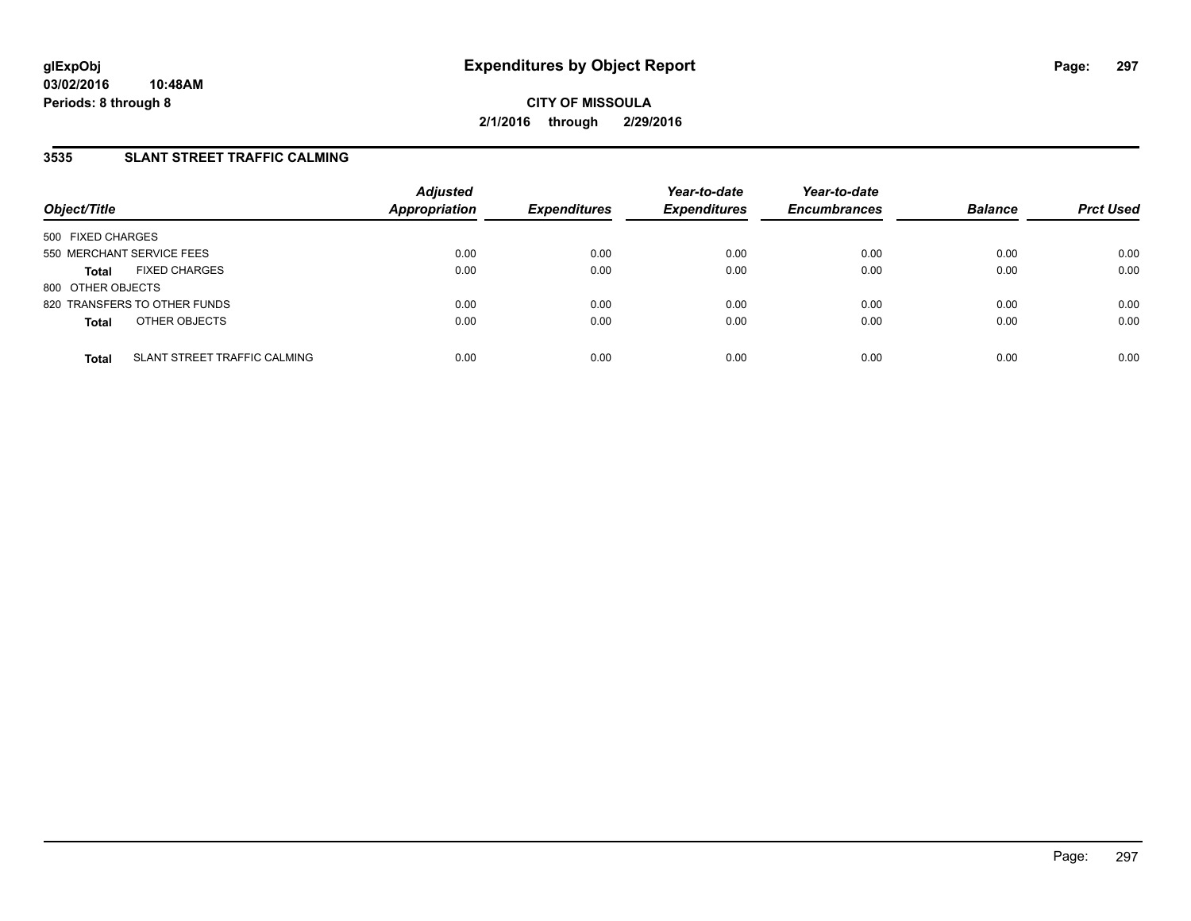### **3535 SLANT STREET TRAFFIC CALMING**

| Object/Title              |                              | <b>Adjusted</b><br>Appropriation | <b>Expenditures</b> | Year-to-date<br><b>Expenditures</b> | Year-to-date<br><b>Encumbrances</b> | <b>Balance</b> | <b>Prct Used</b> |
|---------------------------|------------------------------|----------------------------------|---------------------|-------------------------------------|-------------------------------------|----------------|------------------|
| 500 FIXED CHARGES         |                              |                                  |                     |                                     |                                     |                |                  |
| 550 MERCHANT SERVICE FEES |                              | 0.00                             | 0.00                | 0.00                                | 0.00                                | 0.00           | 0.00             |
| <b>Total</b>              | <b>FIXED CHARGES</b>         | 0.00                             | 0.00                | 0.00                                | 0.00                                | 0.00           | 0.00             |
| 800 OTHER OBJECTS         |                              |                                  |                     |                                     |                                     |                |                  |
|                           | 820 TRANSFERS TO OTHER FUNDS | 0.00                             | 0.00                | 0.00                                | 0.00                                | 0.00           | 0.00             |
| <b>Total</b>              | OTHER OBJECTS                | 0.00                             | 0.00                | 0.00                                | 0.00                                | 0.00           | 0.00             |
| <b>Total</b>              | SLANT STREET TRAFFIC CALMING | 0.00                             | 0.00                | 0.00                                | 0.00                                | 0.00           | 0.00             |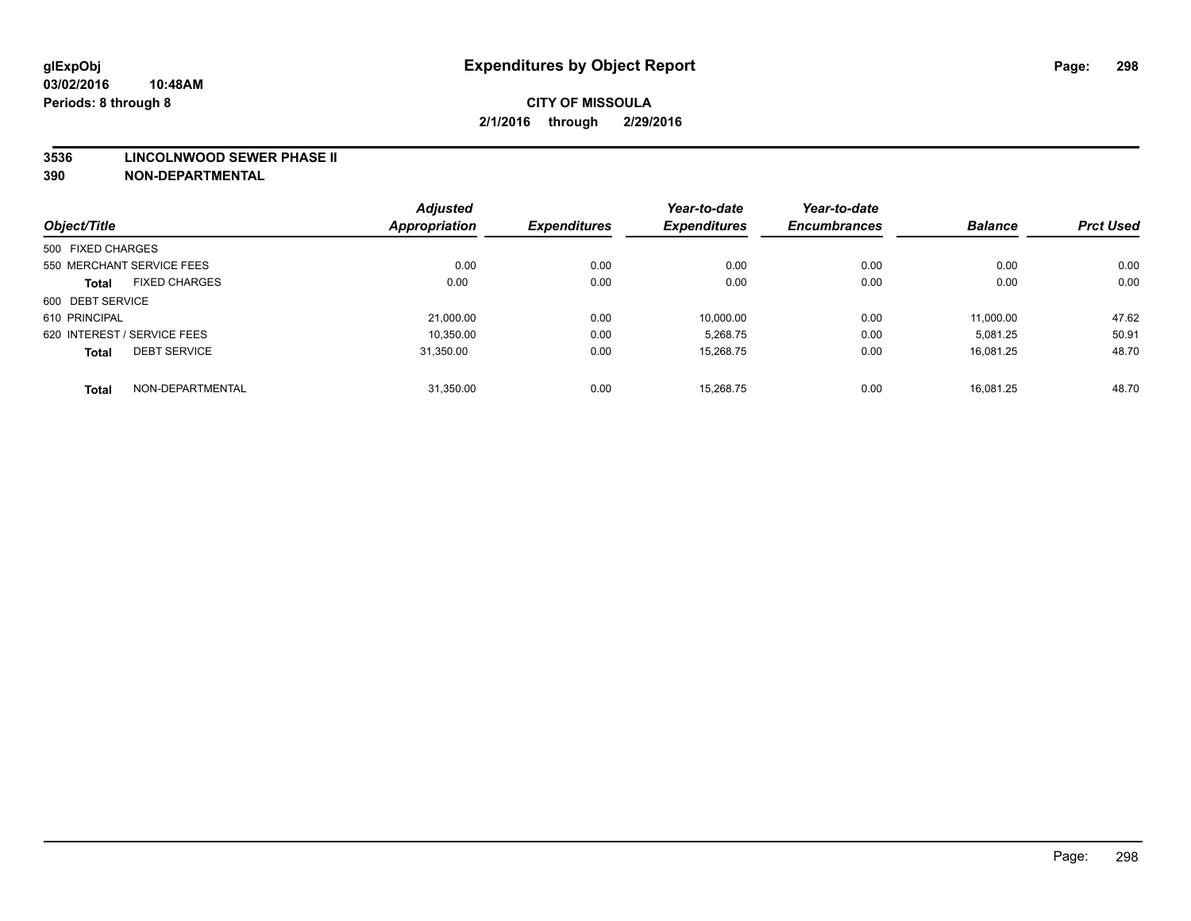#### **3536 LINCOLNWOOD SEWER PHASE II**

|                                      | <b>Adjusted</b>      |                     | Year-to-date        | Year-to-date        |                |                  |
|--------------------------------------|----------------------|---------------------|---------------------|---------------------|----------------|------------------|
| Object/Title                         | <b>Appropriation</b> | <b>Expenditures</b> | <b>Expenditures</b> | <b>Encumbrances</b> | <b>Balance</b> | <b>Prct Used</b> |
| 500 FIXED CHARGES                    |                      |                     |                     |                     |                |                  |
| 550 MERCHANT SERVICE FEES            | 0.00                 | 0.00                | 0.00                | 0.00                | 0.00           | 0.00             |
| <b>FIXED CHARGES</b><br><b>Total</b> | 0.00                 | 0.00                | 0.00                | 0.00                | 0.00           | 0.00             |
| 600 DEBT SERVICE                     |                      |                     |                     |                     |                |                  |
| 610 PRINCIPAL                        | 21.000.00            | 0.00                | 10.000.00           | 0.00                | 11.000.00      | 47.62            |
| 620 INTEREST / SERVICE FEES          | 10,350.00            | 0.00                | 5,268.75            | 0.00                | 5,081.25       | 50.91            |
| <b>DEBT SERVICE</b><br><b>Total</b>  | 31.350.00            | 0.00                | 15.268.75           | 0.00                | 16.081.25      | 48.70            |
| NON-DEPARTMENTAL<br><b>Total</b>     | 31,350.00            | 0.00                | 15.268.75           | 0.00                | 16.081.25      | 48.70            |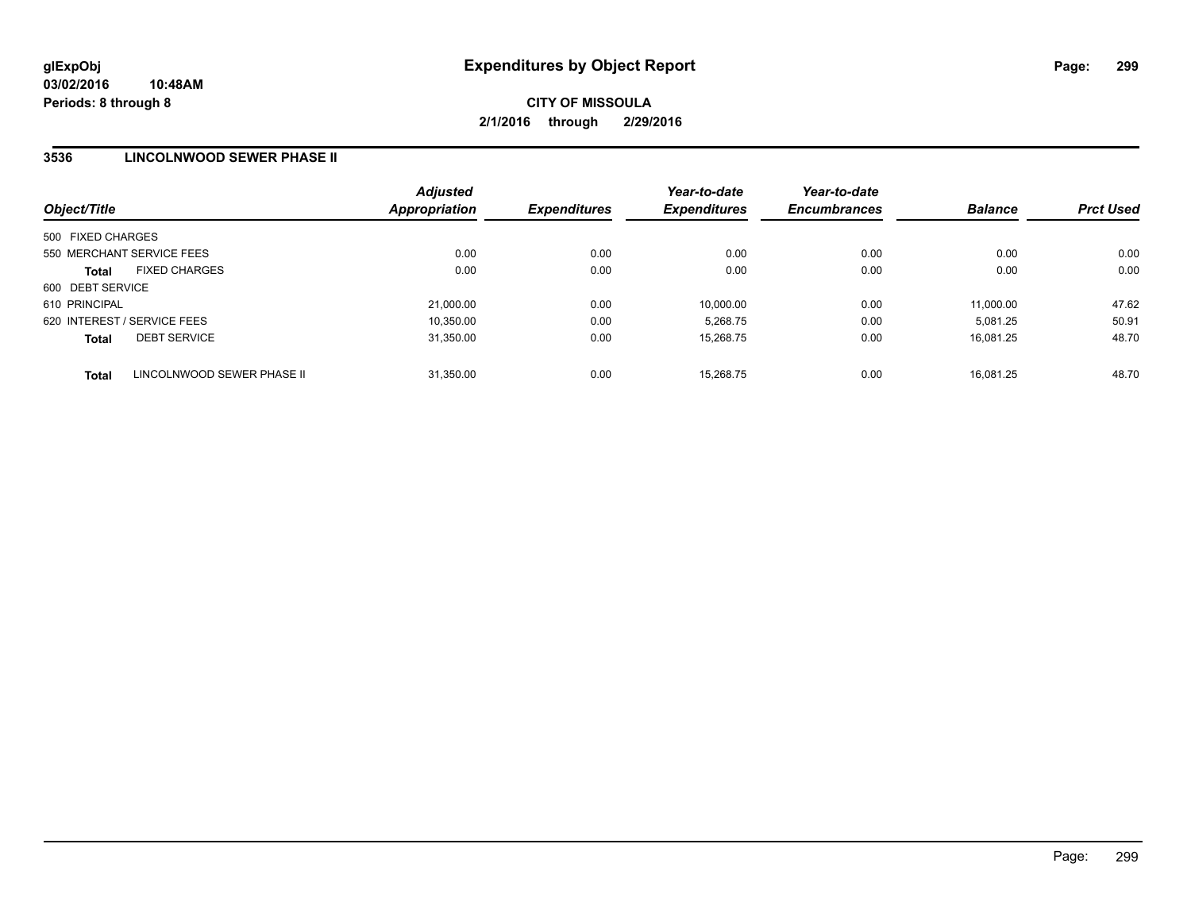## **3536 LINCOLNWOOD SEWER PHASE II**

| Object/Title                               | <b>Adjusted</b><br>Appropriation | <b>Expenditures</b> | Year-to-date<br><b>Expenditures</b> | Year-to-date<br><b>Encumbrances</b> | <b>Balance</b> | <b>Prct Used</b> |
|--------------------------------------------|----------------------------------|---------------------|-------------------------------------|-------------------------------------|----------------|------------------|
| 500 FIXED CHARGES                          |                                  |                     |                                     |                                     |                |                  |
| 550 MERCHANT SERVICE FEES                  | 0.00                             | 0.00                | 0.00                                | 0.00                                | 0.00           | 0.00             |
| <b>FIXED CHARGES</b><br><b>Total</b>       | 0.00                             | 0.00                | 0.00                                | 0.00                                | 0.00           | 0.00             |
| 600 DEBT SERVICE                           |                                  |                     |                                     |                                     |                |                  |
| 610 PRINCIPAL                              | 21,000.00                        | 0.00                | 10.000.00                           | 0.00                                | 11.000.00      | 47.62            |
| 620 INTEREST / SERVICE FEES                | 10,350.00                        | 0.00                | 5,268.75                            | 0.00                                | 5.081.25       | 50.91            |
| <b>DEBT SERVICE</b><br><b>Total</b>        | 31,350.00                        | 0.00                | 15.268.75                           | 0.00                                | 16.081.25      | 48.70            |
| LINCOLNWOOD SEWER PHASE II<br><b>Total</b> | 31.350.00                        | 0.00                | 15.268.75                           | 0.00                                | 16.081.25      | 48.70            |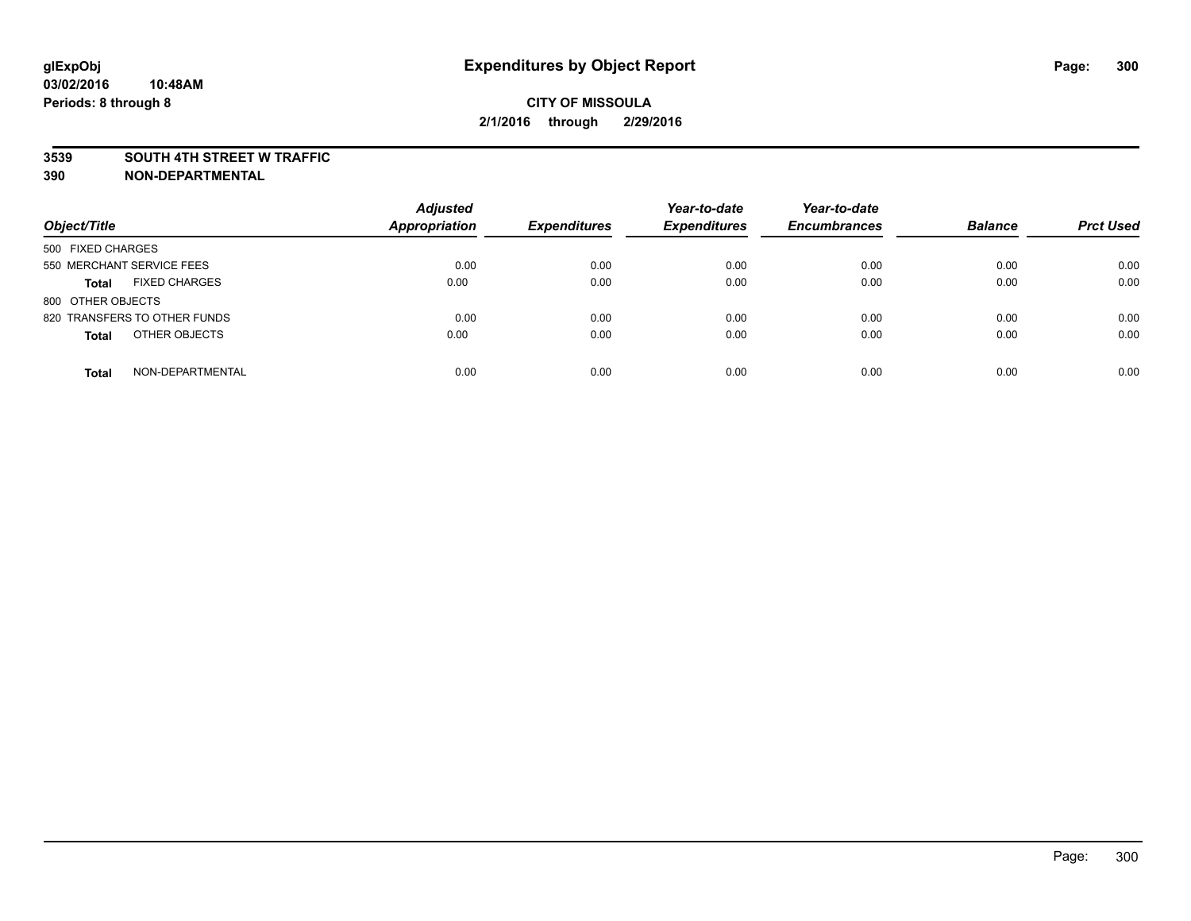#### **3539 SOUTH 4TH STREET W TRAFFIC**

| Object/Title                         | <b>Adjusted</b><br><b>Appropriation</b> | <b>Expenditures</b> | Year-to-date<br><b>Expenditures</b> | Year-to-date<br><b>Encumbrances</b> | <b>Balance</b> | <b>Prct Used</b> |
|--------------------------------------|-----------------------------------------|---------------------|-------------------------------------|-------------------------------------|----------------|------------------|
|                                      |                                         |                     |                                     |                                     |                |                  |
| 500 FIXED CHARGES                    |                                         |                     |                                     |                                     |                |                  |
| 550 MERCHANT SERVICE FEES            | 0.00                                    | 0.00                | 0.00                                | 0.00                                | 0.00           | 0.00             |
| <b>FIXED CHARGES</b><br><b>Total</b> | 0.00                                    | 0.00                | 0.00                                | 0.00                                | 0.00           | 0.00             |
| 800 OTHER OBJECTS                    |                                         |                     |                                     |                                     |                |                  |
| 820 TRANSFERS TO OTHER FUNDS         | 0.00                                    | 0.00                | 0.00                                | 0.00                                | 0.00           | 0.00             |
| OTHER OBJECTS<br><b>Total</b>        | 0.00                                    | 0.00                | 0.00                                | 0.00                                | 0.00           | 0.00             |
|                                      |                                         |                     |                                     |                                     |                |                  |
| NON-DEPARTMENTAL<br><b>Total</b>     | 0.00                                    | 0.00                | 0.00                                | 0.00                                | 0.00           | 0.00             |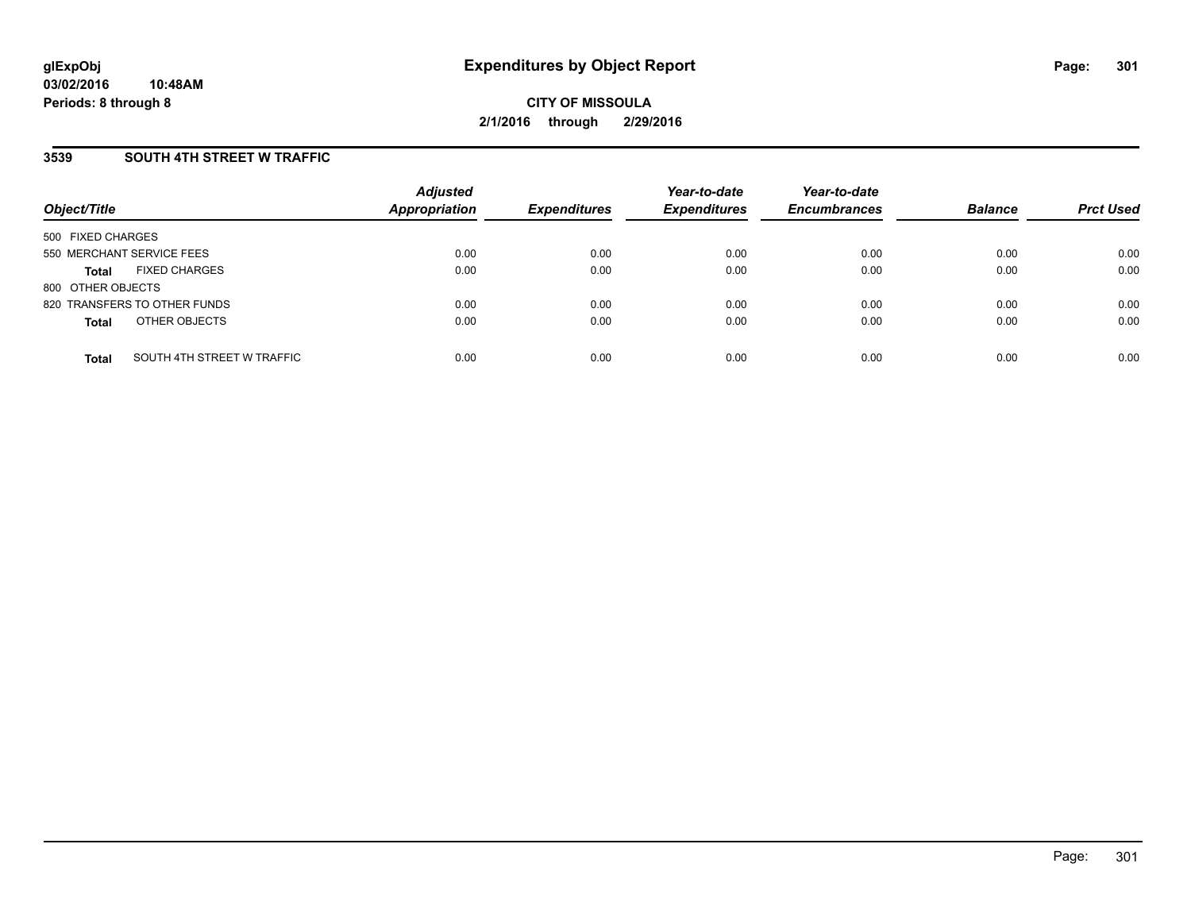### **3539 SOUTH 4TH STREET W TRAFFIC**

| Object/Title              |                              | <b>Adjusted</b><br>Appropriation | <b>Expenditures</b> | Year-to-date<br><b>Expenditures</b> | Year-to-date<br><b>Encumbrances</b> | <b>Balance</b> | <b>Prct Used</b> |
|---------------------------|------------------------------|----------------------------------|---------------------|-------------------------------------|-------------------------------------|----------------|------------------|
| 500 FIXED CHARGES         |                              |                                  |                     |                                     |                                     |                |                  |
| 550 MERCHANT SERVICE FEES |                              | 0.00                             | 0.00                | 0.00                                | 0.00                                | 0.00           | 0.00             |
| Total                     | <b>FIXED CHARGES</b>         | 0.00                             | 0.00                | 0.00                                | 0.00                                | 0.00           | 0.00             |
| 800 OTHER OBJECTS         |                              |                                  |                     |                                     |                                     |                |                  |
|                           | 820 TRANSFERS TO OTHER FUNDS | 0.00                             | 0.00                | 0.00                                | 0.00                                | 0.00           | 0.00             |
| <b>Total</b>              | OTHER OBJECTS                | 0.00                             | 0.00                | 0.00                                | 0.00                                | 0.00           | 0.00             |
| <b>Total</b>              | SOUTH 4TH STREET W TRAFFIC   | 0.00                             | 0.00                | 0.00                                | 0.00                                | 0.00           | 0.00             |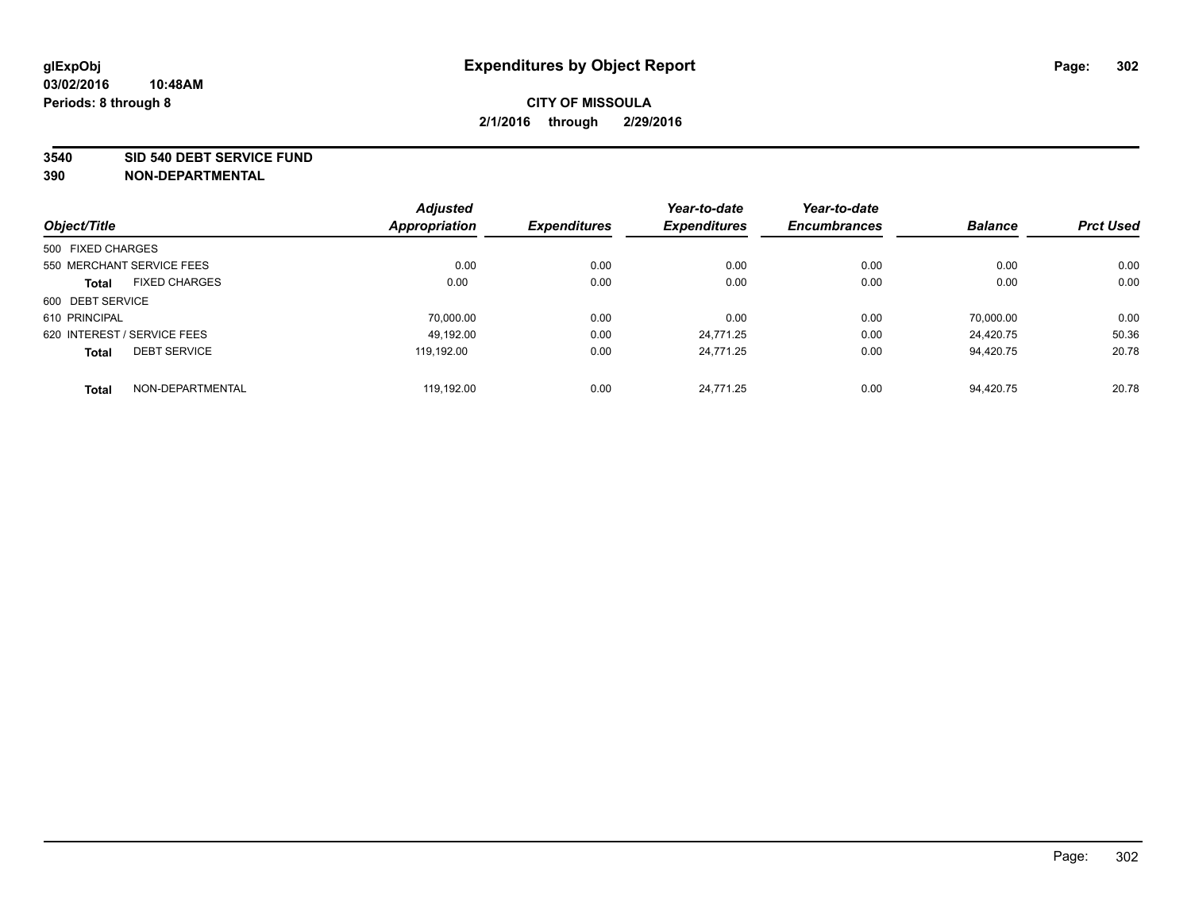#### **3540 SID 540 DEBT SERVICE FUND**

|                                      | <b>Adjusted</b> |                     | Year-to-date        | Year-to-date        |                |                  |
|--------------------------------------|-----------------|---------------------|---------------------|---------------------|----------------|------------------|
| Object/Title                         | Appropriation   | <b>Expenditures</b> | <b>Expenditures</b> | <b>Encumbrances</b> | <b>Balance</b> | <b>Prct Used</b> |
| 500 FIXED CHARGES                    |                 |                     |                     |                     |                |                  |
| 550 MERCHANT SERVICE FEES            | 0.00            | 0.00                | 0.00                | 0.00                | 0.00           | 0.00             |
| <b>FIXED CHARGES</b><br><b>Total</b> | 0.00            | 0.00                | 0.00                | 0.00                | 0.00           | 0.00             |
| 600 DEBT SERVICE                     |                 |                     |                     |                     |                |                  |
| 610 PRINCIPAL                        | 70,000.00       | 0.00                | 0.00                | 0.00                | 70,000.00      | 0.00             |
| 620 INTEREST / SERVICE FEES          | 49.192.00       | 0.00                | 24.771.25           | 0.00                | 24.420.75      | 50.36            |
| <b>DEBT SERVICE</b><br><b>Total</b>  | 119.192.00      | 0.00                | 24.771.25           | 0.00                | 94.420.75      | 20.78            |
| NON-DEPARTMENTAL<br><b>Total</b>     | 119.192.00      | 0.00                | 24.771.25           | 0.00                | 94.420.75      | 20.78            |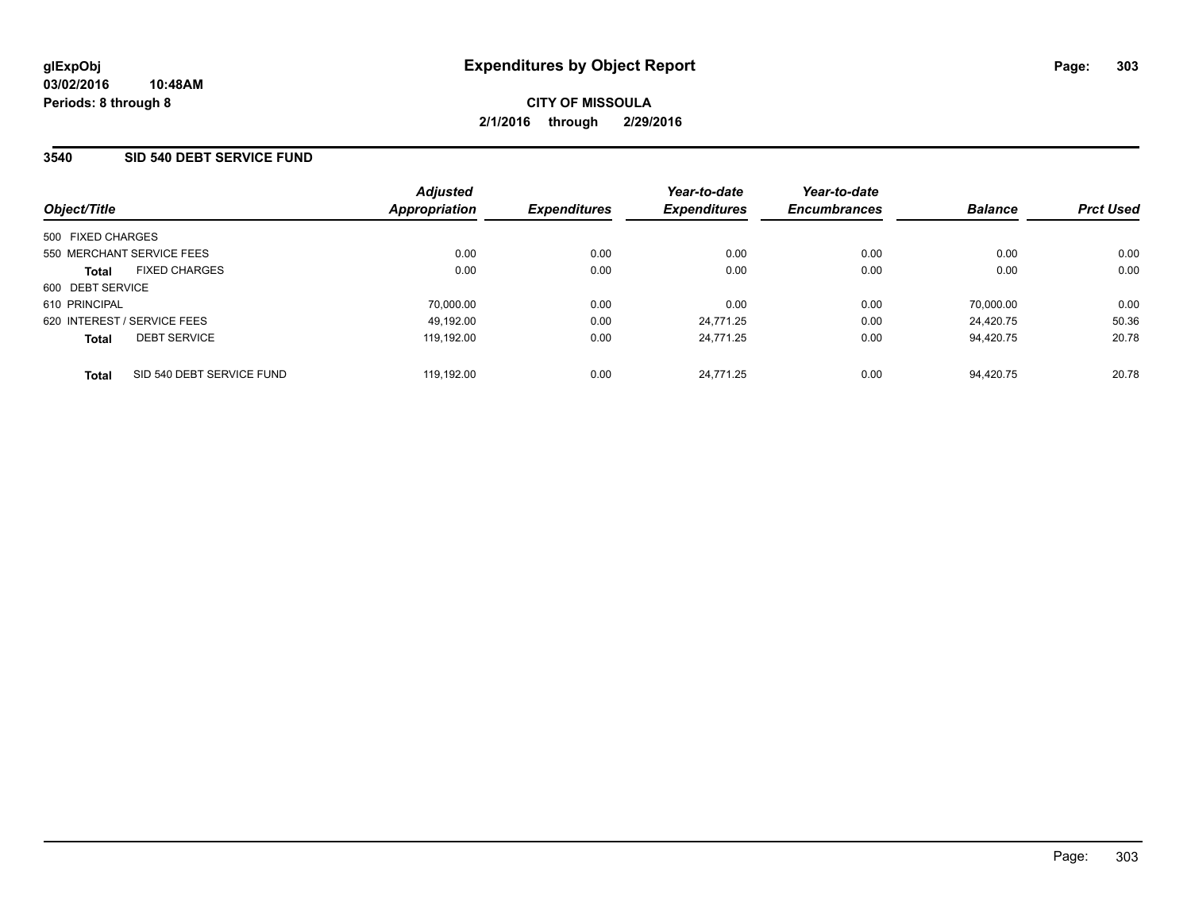### **3540 SID 540 DEBT SERVICE FUND**

| Object/Title                              | <b>Adjusted</b><br><b>Appropriation</b> | <b>Expenditures</b> | Year-to-date<br><b>Expenditures</b> | Year-to-date<br><b>Encumbrances</b> | <b>Balance</b> | <b>Prct Used</b> |
|-------------------------------------------|-----------------------------------------|---------------------|-------------------------------------|-------------------------------------|----------------|------------------|
| 500 FIXED CHARGES                         |                                         |                     |                                     |                                     |                |                  |
| 550 MERCHANT SERVICE FEES                 | 0.00                                    | 0.00                | 0.00                                | 0.00                                | 0.00           | 0.00             |
| <b>FIXED CHARGES</b><br><b>Total</b>      | 0.00                                    | 0.00                | 0.00                                | 0.00                                | 0.00           | 0.00             |
| 600 DEBT SERVICE                          |                                         |                     |                                     |                                     |                |                  |
| 610 PRINCIPAL                             | 70,000.00                               | 0.00                | 0.00                                | 0.00                                | 70,000.00      | 0.00             |
| 620 INTEREST / SERVICE FEES               | 49,192.00                               | 0.00                | 24.771.25                           | 0.00                                | 24.420.75      | 50.36            |
| <b>DEBT SERVICE</b><br><b>Total</b>       | 119.192.00                              | 0.00                | 24.771.25                           | 0.00                                | 94.420.75      | 20.78            |
| SID 540 DEBT SERVICE FUND<br><b>Total</b> | 119.192.00                              | 0.00                | 24.771.25                           | 0.00                                | 94.420.75      | 20.78            |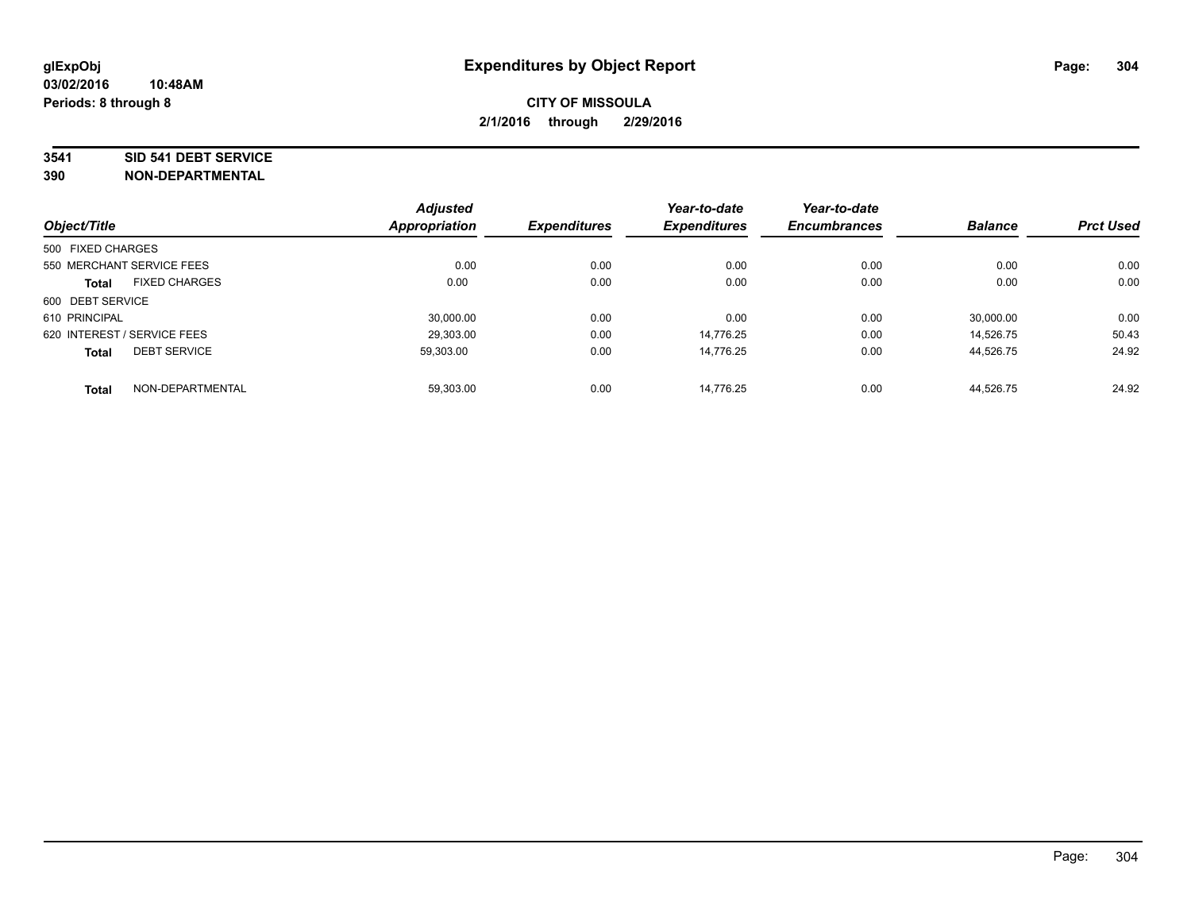#### **3541 SID 541 DEBT SERVICE**

|                             |                      | <b>Adjusted</b>      |                     | Year-to-date        | Year-to-date        |                |                  |
|-----------------------------|----------------------|----------------------|---------------------|---------------------|---------------------|----------------|------------------|
| Object/Title                |                      | <b>Appropriation</b> | <b>Expenditures</b> | <b>Expenditures</b> | <b>Encumbrances</b> | <b>Balance</b> | <b>Prct Used</b> |
| 500 FIXED CHARGES           |                      |                      |                     |                     |                     |                |                  |
| 550 MERCHANT SERVICE FEES   |                      | 0.00                 | 0.00                | 0.00                | 0.00                | 0.00           | 0.00             |
| <b>Total</b>                | <b>FIXED CHARGES</b> | 0.00                 | 0.00                | 0.00                | 0.00                | 0.00           | 0.00             |
| 600 DEBT SERVICE            |                      |                      |                     |                     |                     |                |                  |
| 610 PRINCIPAL               |                      | 30.000.00            | 0.00                | 0.00                | 0.00                | 30,000.00      | 0.00             |
| 620 INTEREST / SERVICE FEES |                      | 29,303.00            | 0.00                | 14.776.25           | 0.00                | 14.526.75      | 50.43            |
| <b>Total</b>                | <b>DEBT SERVICE</b>  | 59.303.00            | 0.00                | 14.776.25           | 0.00                | 44,526.75      | 24.92            |
| <b>Total</b>                | NON-DEPARTMENTAL     | 59,303.00            | 0.00                | 14.776.25           | 0.00                | 44.526.75      | 24.92            |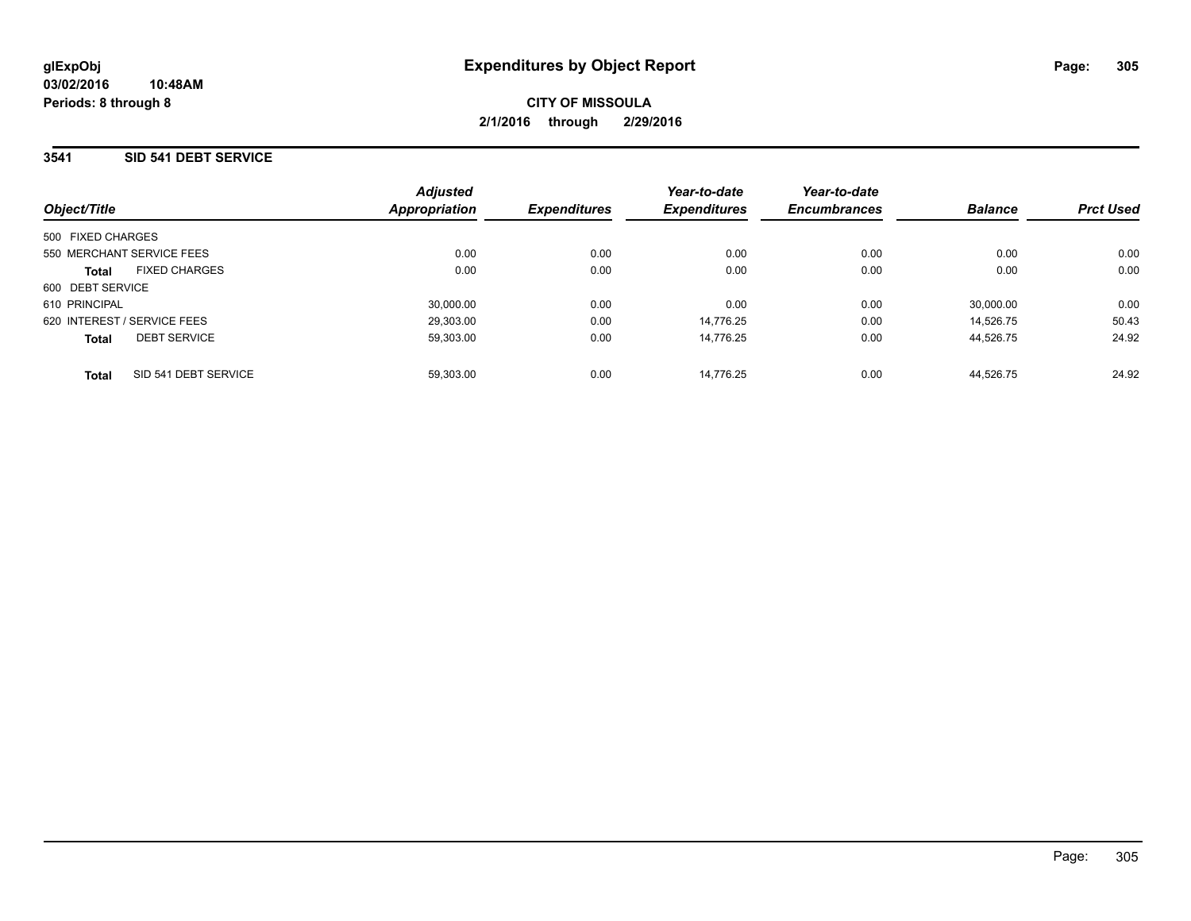## **3541 SID 541 DEBT SERVICE**

|                                      | <b>Adjusted</b> |                     | Year-to-date        | Year-to-date        |                |                  |
|--------------------------------------|-----------------|---------------------|---------------------|---------------------|----------------|------------------|
| Object/Title                         | Appropriation   | <b>Expenditures</b> | <b>Expenditures</b> | <b>Encumbrances</b> | <b>Balance</b> | <b>Prct Used</b> |
| 500 FIXED CHARGES                    |                 |                     |                     |                     |                |                  |
| 550 MERCHANT SERVICE FEES            | 0.00            | 0.00                | 0.00                | 0.00                | 0.00           | 0.00             |
| <b>FIXED CHARGES</b><br><b>Total</b> | 0.00            | 0.00                | 0.00                | 0.00                | 0.00           | 0.00             |
| 600 DEBT SERVICE                     |                 |                     |                     |                     |                |                  |
| 610 PRINCIPAL                        | 30,000.00       | 0.00                | 0.00                | 0.00                | 30,000.00      | 0.00             |
| 620 INTEREST / SERVICE FEES          | 29.303.00       | 0.00                | 14.776.25           | 0.00                | 14.526.75      | 50.43            |
| <b>DEBT SERVICE</b><br><b>Total</b>  | 59,303.00       | 0.00                | 14,776.25           | 0.00                | 44,526.75      | 24.92            |
| SID 541 DEBT SERVICE<br><b>Total</b> | 59.303.00       | 0.00                | 14.776.25           | 0.00                | 44.526.75      | 24.92            |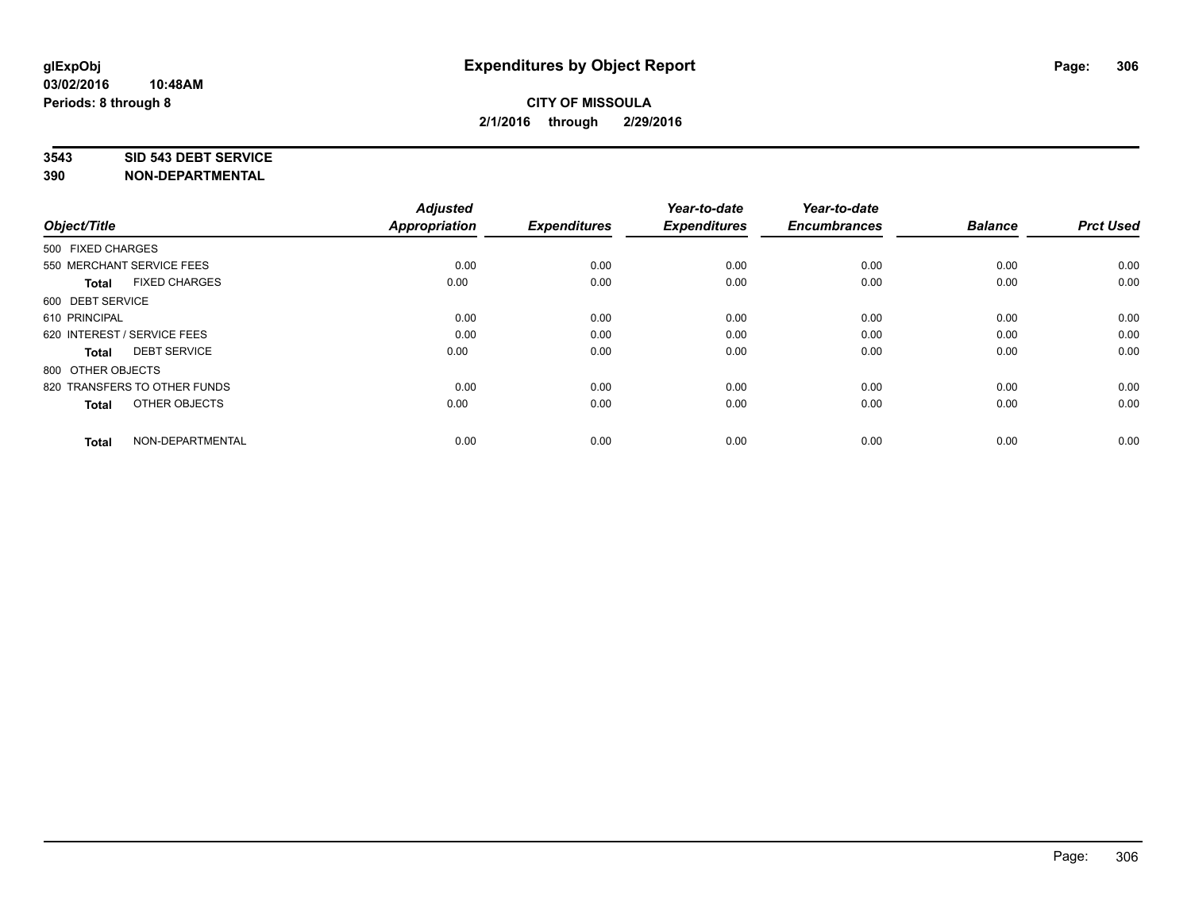#### **3543 SID 543 DEBT SERVICE**

| Object/Title                         | <b>Adjusted</b><br><b>Appropriation</b> | <b>Expenditures</b> | Year-to-date<br><b>Expenditures</b> | Year-to-date<br><b>Encumbrances</b> | <b>Balance</b> | <b>Prct Used</b> |
|--------------------------------------|-----------------------------------------|---------------------|-------------------------------------|-------------------------------------|----------------|------------------|
| 500 FIXED CHARGES                    |                                         |                     |                                     |                                     |                |                  |
| 550 MERCHANT SERVICE FEES            | 0.00                                    | 0.00                | 0.00                                | 0.00                                | 0.00           | 0.00             |
| <b>FIXED CHARGES</b><br><b>Total</b> | 0.00                                    | 0.00                | 0.00                                | 0.00                                | 0.00           | 0.00             |
| 600 DEBT SERVICE                     |                                         |                     |                                     |                                     |                |                  |
| 610 PRINCIPAL                        | 0.00                                    | 0.00                | 0.00                                | 0.00                                | 0.00           | 0.00             |
| 620 INTEREST / SERVICE FEES          | 0.00                                    | 0.00                | 0.00                                | 0.00                                | 0.00           | 0.00             |
| <b>DEBT SERVICE</b><br><b>Total</b>  | 0.00                                    | 0.00                | 0.00                                | 0.00                                | 0.00           | 0.00             |
| 800 OTHER OBJECTS                    |                                         |                     |                                     |                                     |                |                  |
| 820 TRANSFERS TO OTHER FUNDS         | 0.00                                    | 0.00                | 0.00                                | 0.00                                | 0.00           | 0.00             |
| OTHER OBJECTS<br><b>Total</b>        | 0.00                                    | 0.00                | 0.00                                | 0.00                                | 0.00           | 0.00             |
|                                      |                                         |                     |                                     |                                     |                |                  |
| NON-DEPARTMENTAL<br><b>Total</b>     | 0.00                                    | 0.00                | 0.00                                | 0.00                                | 0.00           | 0.00             |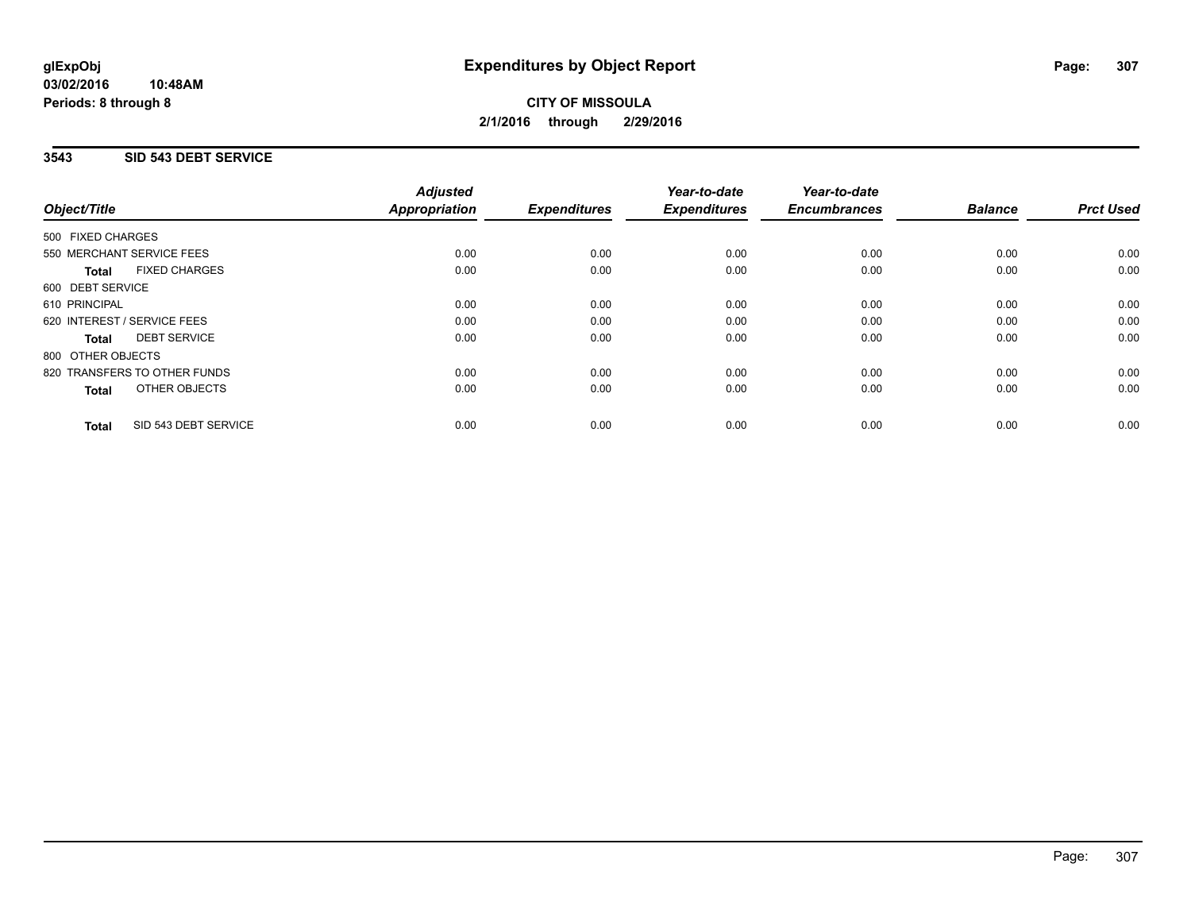### **03/02/2016 10:48AM Periods: 8 through 8**

# **CITY OF MISSOULA 2/1/2016 through 2/29/2016**

### **3543 SID 543 DEBT SERVICE**

|                                      | <b>Adjusted</b>      |                     | Year-to-date        | Year-to-date        |                |                  |
|--------------------------------------|----------------------|---------------------|---------------------|---------------------|----------------|------------------|
| Object/Title                         | <b>Appropriation</b> | <b>Expenditures</b> | <b>Expenditures</b> | <b>Encumbrances</b> | <b>Balance</b> | <b>Prct Used</b> |
| 500 FIXED CHARGES                    |                      |                     |                     |                     |                |                  |
| 550 MERCHANT SERVICE FEES            | 0.00                 | 0.00                | 0.00                | 0.00                | 0.00           | 0.00             |
| <b>FIXED CHARGES</b><br>Total        | 0.00                 | 0.00                | 0.00                | 0.00                | 0.00           | 0.00             |
| 600 DEBT SERVICE                     |                      |                     |                     |                     |                |                  |
| 610 PRINCIPAL                        | 0.00                 | 0.00                | 0.00                | 0.00                | 0.00           | 0.00             |
| 620 INTEREST / SERVICE FEES          | 0.00                 | 0.00                | 0.00                | 0.00                | 0.00           | 0.00             |
| <b>DEBT SERVICE</b><br>Total         | 0.00                 | 0.00                | 0.00                | 0.00                | 0.00           | 0.00             |
| 800 OTHER OBJECTS                    |                      |                     |                     |                     |                |                  |
| 820 TRANSFERS TO OTHER FUNDS         | 0.00                 | 0.00                | 0.00                | 0.00                | 0.00           | 0.00             |
| OTHER OBJECTS<br><b>Total</b>        | 0.00                 | 0.00                | 0.00                | 0.00                | 0.00           | 0.00             |
|                                      |                      |                     |                     |                     |                |                  |
| SID 543 DEBT SERVICE<br><b>Total</b> | 0.00                 | 0.00                | 0.00                | 0.00                | 0.00           | 0.00             |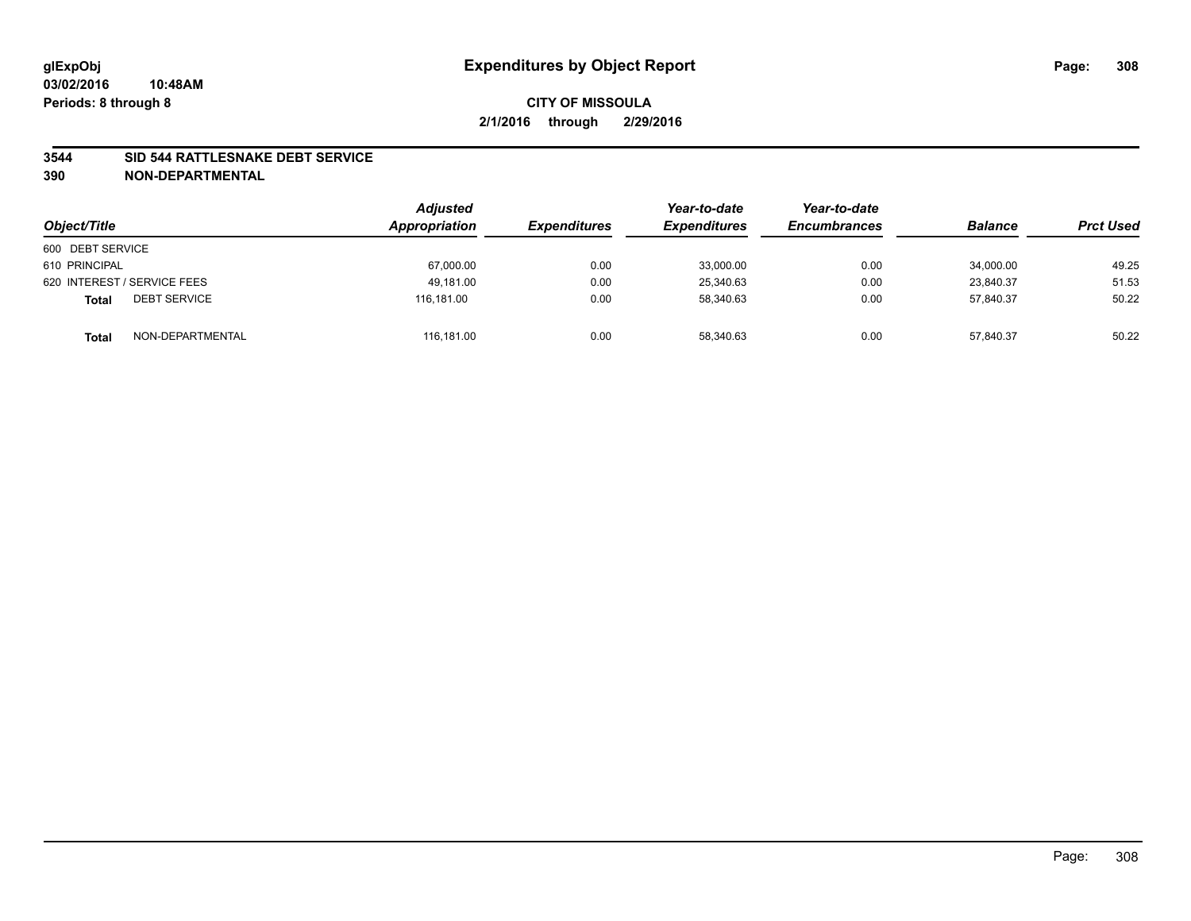### **3544 SID 544 RATTLESNAKE DEBT SERVICE**

| Object/Title                        | <b>Adjusted</b><br>Appropriation | <b>Expenditures</b> | Year-to-date<br><b>Expenditures</b> | Year-to-date<br><b>Encumbrances</b> | <b>Balance</b> | <b>Prct Used</b> |
|-------------------------------------|----------------------------------|---------------------|-------------------------------------|-------------------------------------|----------------|------------------|
| 600 DEBT SERVICE                    |                                  |                     |                                     |                                     |                |                  |
| 610 PRINCIPAL                       | 67,000.00                        | 0.00                | 33,000.00                           | 0.00                                | 34,000.00      | 49.25            |
| 620 INTEREST / SERVICE FEES         | 49.181.00                        | 0.00                | 25,340.63                           | 0.00                                | 23.840.37      | 51.53            |
| <b>DEBT SERVICE</b><br><b>Total</b> | 116.181.00                       | 0.00                | 58.340.63                           | 0.00                                | 57.840.37      | 50.22            |
| NON-DEPARTMENTAL<br><b>Total</b>    | 116,181.00                       | 0.00                | 58,340.63                           | 0.00                                | 57,840.37      | 50.22            |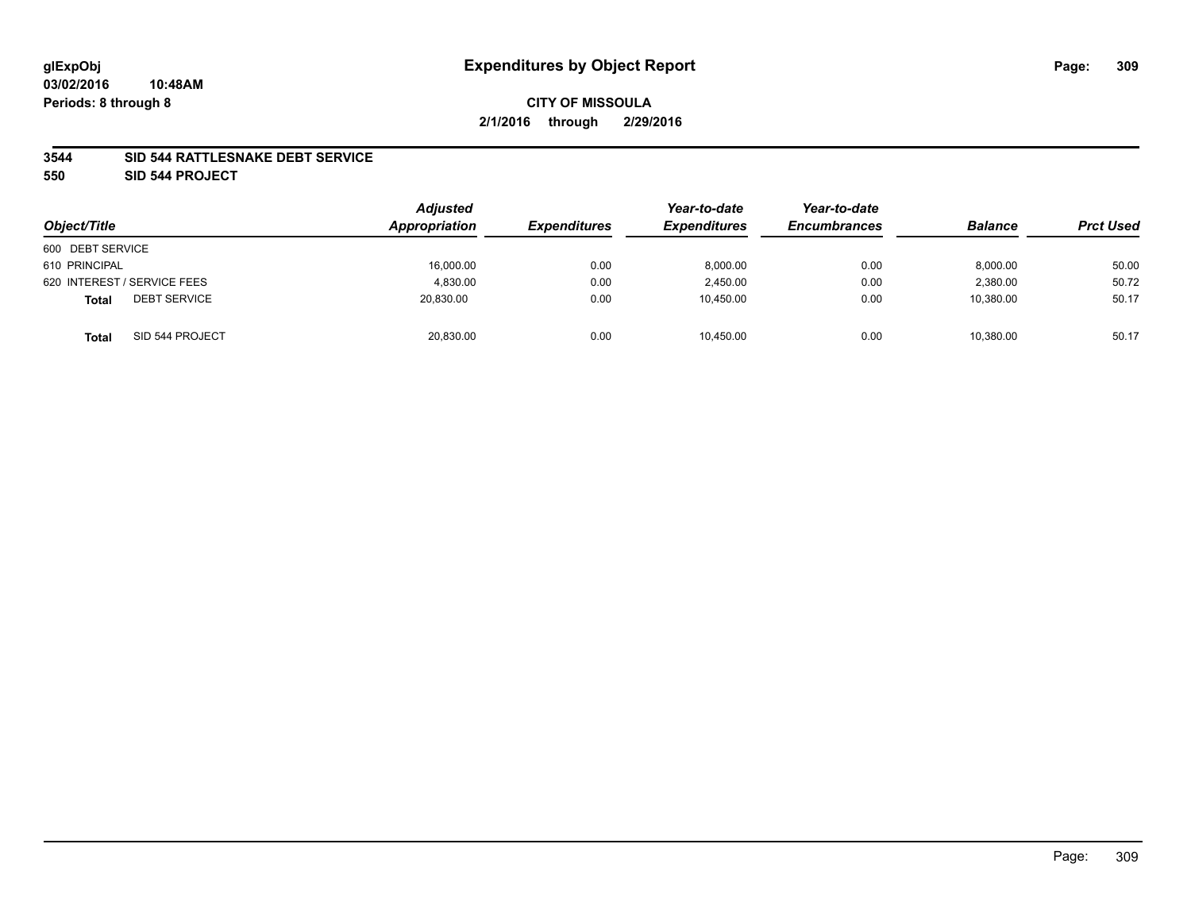### **3544 SID 544 RATTLESNAKE DEBT SERVICE**

**550 SID 544 PROJECT**

| Object/Title                        | Adjusted<br>Appropriation | <b>Expenditures</b> | Year-to-date<br><b>Expenditures</b> | Year-to-date<br><b>Encumbrances</b> | <b>Balance</b> | <b>Prct Used</b> |
|-------------------------------------|---------------------------|---------------------|-------------------------------------|-------------------------------------|----------------|------------------|
| 600 DEBT SERVICE                    |                           |                     |                                     |                                     |                |                  |
| 610 PRINCIPAL                       | 16,000.00                 | 0.00                | 8,000.00                            | 0.00                                | 8,000.00       | 50.00            |
| 620 INTEREST / SERVICE FEES         | 4.830.00                  | 0.00                | 2,450.00                            | 0.00                                | 2,380.00       | 50.72            |
| <b>DEBT SERVICE</b><br><b>Total</b> | 20.830.00                 | 0.00                | 10.450.00                           | 0.00                                | 10.380.00      | 50.17            |
| SID 544 PROJECT<br><b>Total</b>     | 20,830.00                 | 0.00                | 10,450.00                           | 0.00                                | 10,380.00      | 50.17            |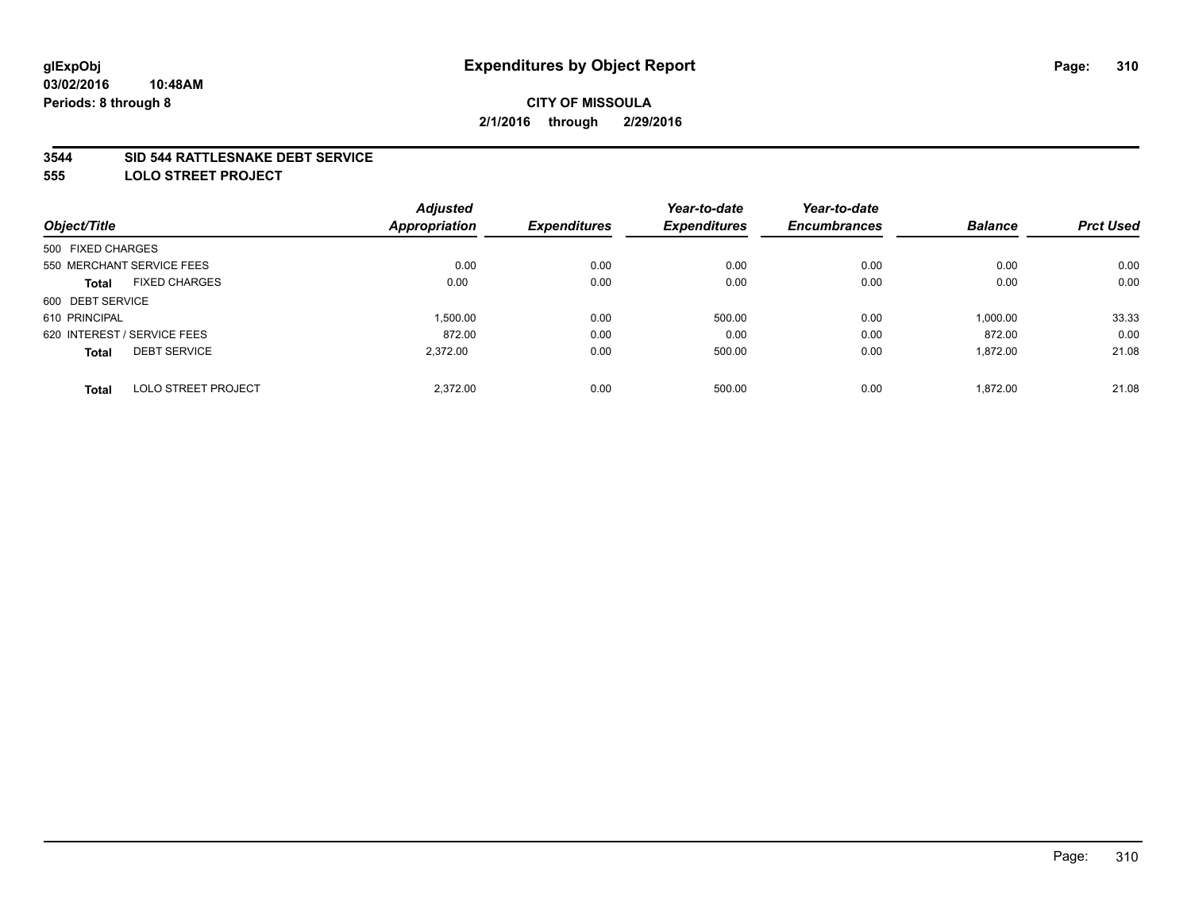#### **3544 SID 544 RATTLESNAKE DEBT SERVICE**

**555 LOLO STREET PROJECT**

|                                            | <b>Adjusted</b> |                     | Year-to-date        | Year-to-date        |                |                  |
|--------------------------------------------|-----------------|---------------------|---------------------|---------------------|----------------|------------------|
| Object/Title                               | Appropriation   | <b>Expenditures</b> | <b>Expenditures</b> | <b>Encumbrances</b> | <b>Balance</b> | <b>Prct Used</b> |
| 500 FIXED CHARGES                          |                 |                     |                     |                     |                |                  |
| 550 MERCHANT SERVICE FEES                  | 0.00            | 0.00                | 0.00                | 0.00                | 0.00           | 0.00             |
| <b>FIXED CHARGES</b><br><b>Total</b>       | 0.00            | 0.00                | 0.00                | 0.00                | 0.00           | 0.00             |
| 600 DEBT SERVICE                           |                 |                     |                     |                     |                |                  |
| 610 PRINCIPAL                              | 1,500.00        | 0.00                | 500.00              | 0.00                | 1,000.00       | 33.33            |
| 620 INTEREST / SERVICE FEES                | 872.00          | 0.00                | 0.00                | 0.00                | 872.00         | 0.00             |
| <b>DEBT SERVICE</b><br><b>Total</b>        | 2,372.00        | 0.00                | 500.00              | 0.00                | 1,872.00       | 21.08            |
| <b>LOLO STREET PROJECT</b><br><b>Total</b> | 2.372.00        | 0.00                | 500.00              | 0.00                | 1.872.00       | 21.08            |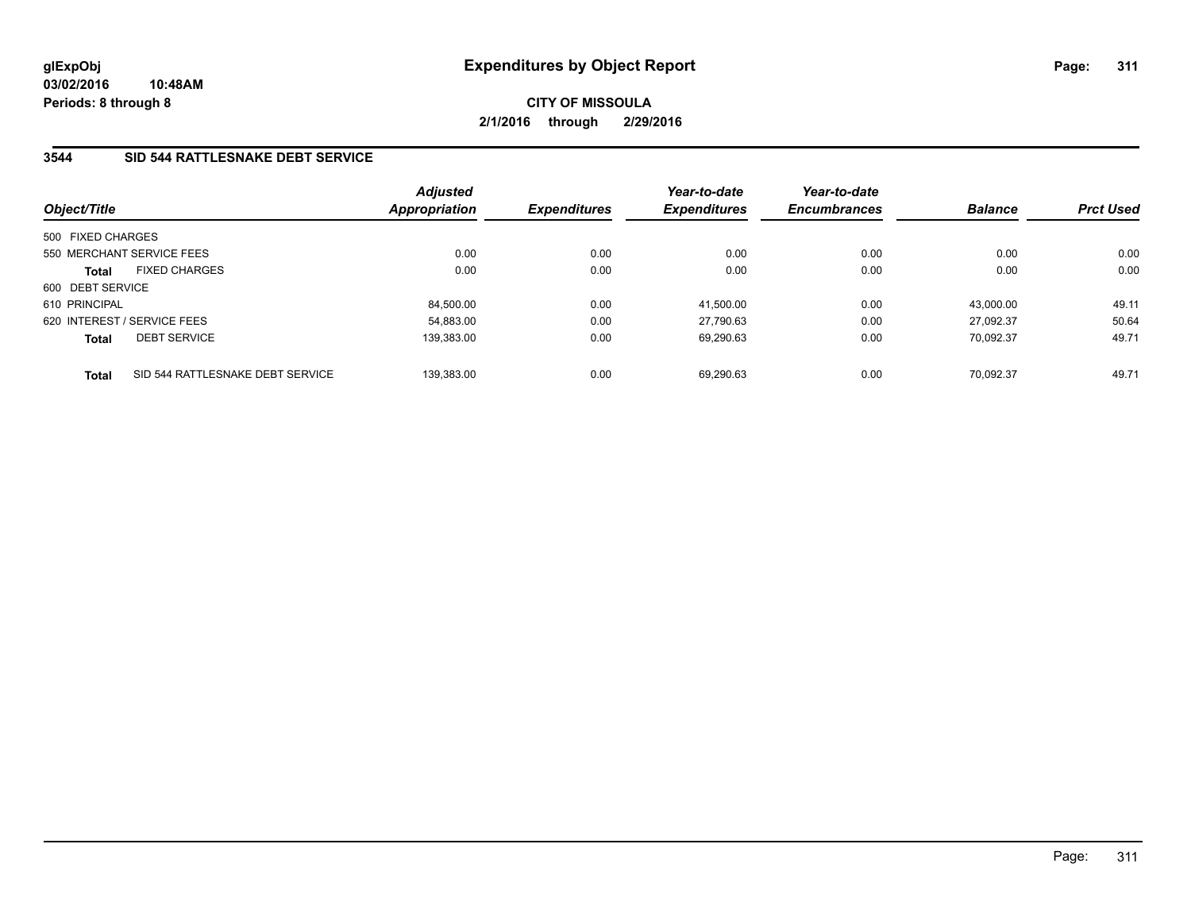## **3544 SID 544 RATTLESNAKE DEBT SERVICE**

| Object/Title                |                                  | <b>Adjusted</b><br><b>Appropriation</b> | <b>Expenditures</b> | Year-to-date<br><b>Expenditures</b> | Year-to-date<br><b>Encumbrances</b> | <b>Balance</b> | <b>Prct Used</b> |
|-----------------------------|----------------------------------|-----------------------------------------|---------------------|-------------------------------------|-------------------------------------|----------------|------------------|
| 500 FIXED CHARGES           |                                  |                                         |                     |                                     |                                     |                |                  |
| 550 MERCHANT SERVICE FEES   |                                  | 0.00                                    | 0.00                | 0.00                                | 0.00                                | 0.00           | 0.00             |
| <b>Total</b>                | <b>FIXED CHARGES</b>             | 0.00                                    | 0.00                | 0.00                                | 0.00                                | 0.00           | 0.00             |
| 600 DEBT SERVICE            |                                  |                                         |                     |                                     |                                     |                |                  |
| 610 PRINCIPAL               |                                  | 84,500.00                               | 0.00                | 41.500.00                           | 0.00                                | 43.000.00      | 49.11            |
| 620 INTEREST / SERVICE FEES |                                  | 54.883.00                               | 0.00                | 27.790.63                           | 0.00                                | 27.092.37      | 50.64            |
| <b>Total</b>                | <b>DEBT SERVICE</b>              | 139.383.00                              | 0.00                | 69.290.63                           | 0.00                                | 70.092.37      | 49.71            |
| <b>Total</b>                | SID 544 RATTLESNAKE DEBT SERVICE | 139.383.00                              | 0.00                | 69.290.63                           | 0.00                                | 70.092.37      | 49.71            |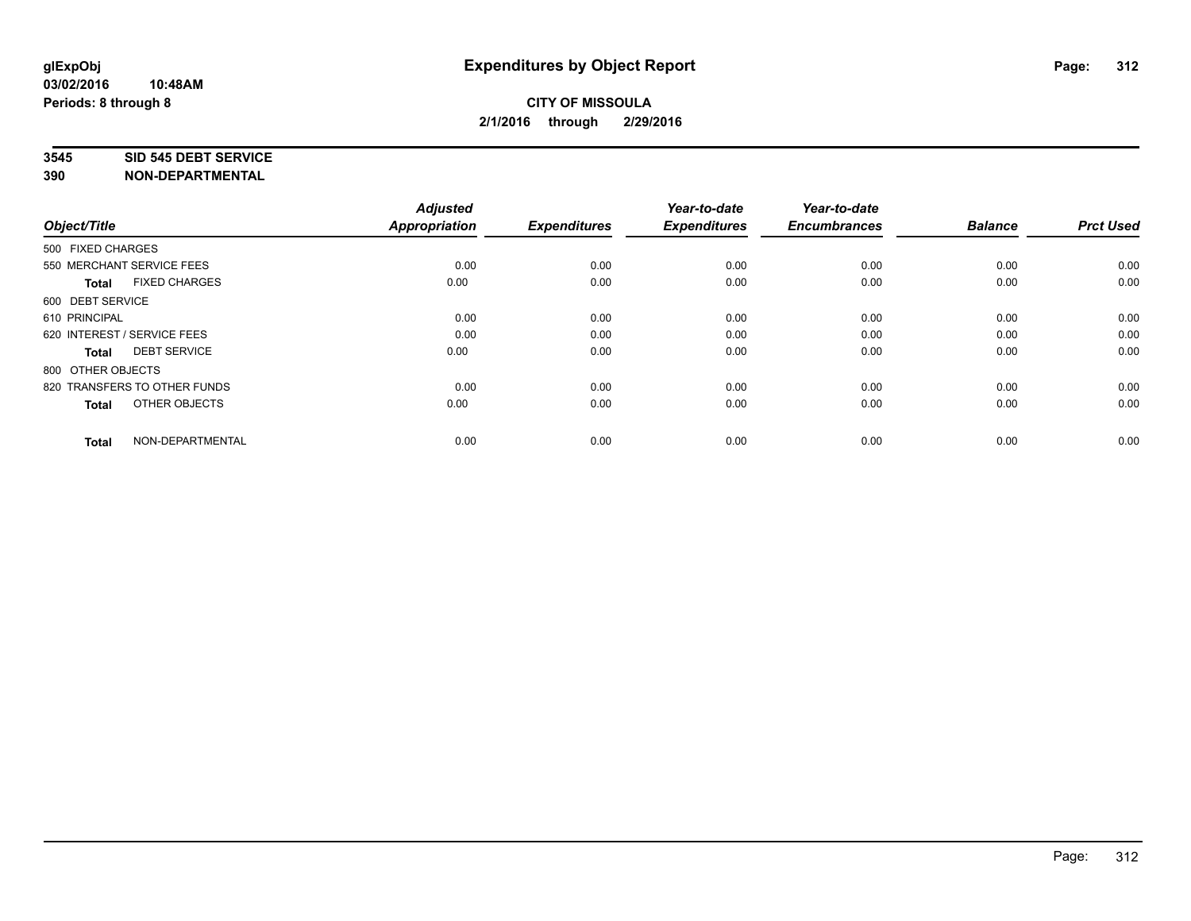#### **3545 SID 545 DEBT SERVICE**

| Object/Title                         | <b>Adjusted</b><br><b>Appropriation</b> | <b>Expenditures</b> | Year-to-date<br><b>Expenditures</b> | Year-to-date<br><b>Encumbrances</b> | <b>Balance</b> | <b>Prct Used</b> |
|--------------------------------------|-----------------------------------------|---------------------|-------------------------------------|-------------------------------------|----------------|------------------|
| 500 FIXED CHARGES                    |                                         |                     |                                     |                                     |                |                  |
| 550 MERCHANT SERVICE FEES            | 0.00                                    | 0.00                | 0.00                                | 0.00                                | 0.00           | 0.00             |
| <b>FIXED CHARGES</b><br><b>Total</b> | 0.00                                    | 0.00                | 0.00                                | 0.00                                | 0.00           | 0.00             |
| 600 DEBT SERVICE                     |                                         |                     |                                     |                                     |                |                  |
| 610 PRINCIPAL                        | 0.00                                    | 0.00                | 0.00                                | 0.00                                | 0.00           | 0.00             |
| 620 INTEREST / SERVICE FEES          | 0.00                                    | 0.00                | 0.00                                | 0.00                                | 0.00           | 0.00             |
| <b>DEBT SERVICE</b><br><b>Total</b>  | 0.00                                    | 0.00                | 0.00                                | 0.00                                | 0.00           | 0.00             |
| 800 OTHER OBJECTS                    |                                         |                     |                                     |                                     |                |                  |
| 820 TRANSFERS TO OTHER FUNDS         | 0.00                                    | 0.00                | 0.00                                | 0.00                                | 0.00           | 0.00             |
| OTHER OBJECTS<br><b>Total</b>        | 0.00                                    | 0.00                | 0.00                                | 0.00                                | 0.00           | 0.00             |
|                                      |                                         |                     |                                     |                                     |                |                  |
| NON-DEPARTMENTAL<br><b>Total</b>     | 0.00                                    | 0.00                | 0.00                                | 0.00                                | 0.00           | 0.00             |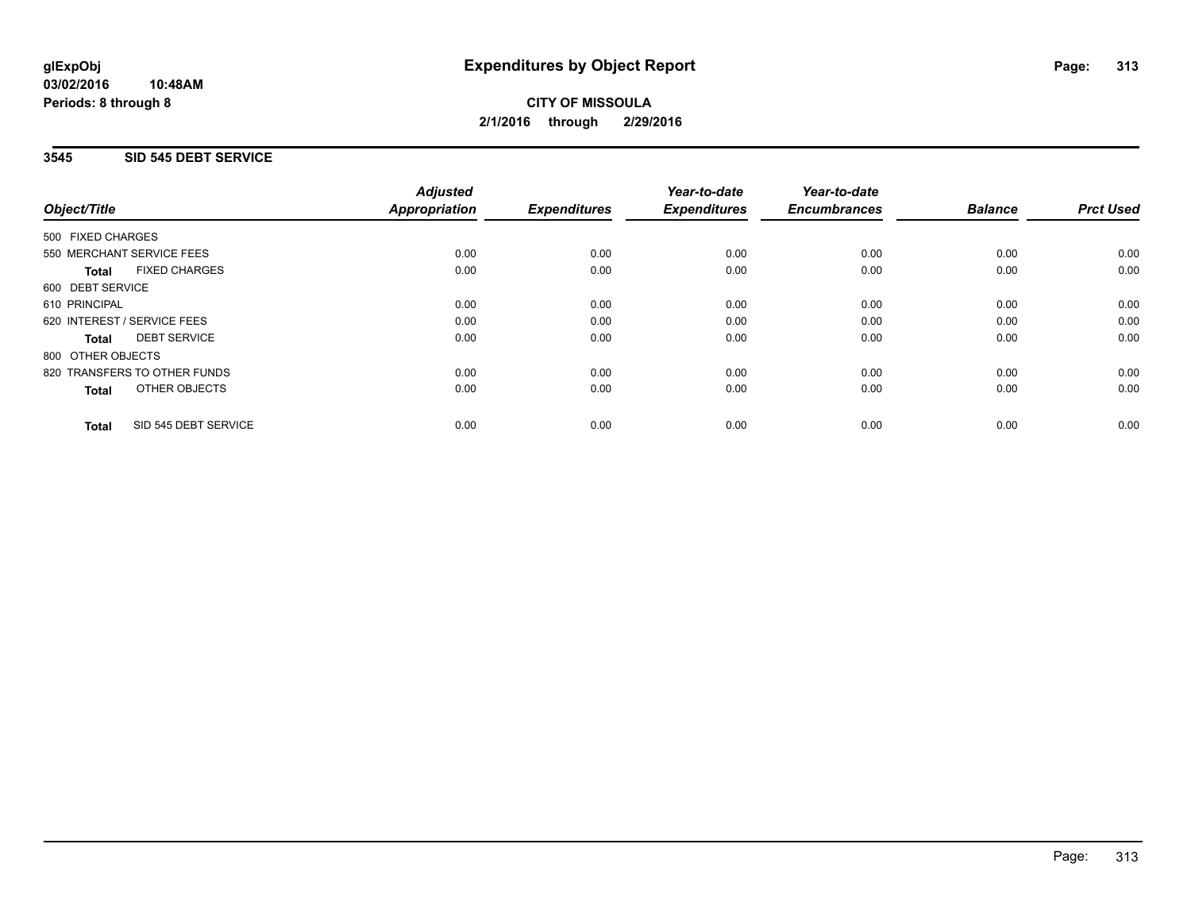### **03/02/2016 10:48AM Periods: 8 through 8**

# **CITY OF MISSOULA 2/1/2016 through 2/29/2016**

### **3545 SID 545 DEBT SERVICE**

|                                      | <b>Adjusted</b>      |                     | Year-to-date        | Year-to-date        |                |                  |
|--------------------------------------|----------------------|---------------------|---------------------|---------------------|----------------|------------------|
| Object/Title                         | <b>Appropriation</b> | <b>Expenditures</b> | <b>Expenditures</b> | <b>Encumbrances</b> | <b>Balance</b> | <b>Prct Used</b> |
| 500 FIXED CHARGES                    |                      |                     |                     |                     |                |                  |
| 550 MERCHANT SERVICE FEES            | 0.00                 | 0.00                | 0.00                | 0.00                | 0.00           | 0.00             |
| <b>FIXED CHARGES</b><br><b>Total</b> | 0.00                 | 0.00                | 0.00                | 0.00                | 0.00           | 0.00             |
| 600 DEBT SERVICE                     |                      |                     |                     |                     |                |                  |
| 610 PRINCIPAL                        | 0.00                 | 0.00                | 0.00                | 0.00                | 0.00           | 0.00             |
| 620 INTEREST / SERVICE FEES          | 0.00                 | 0.00                | 0.00                | 0.00                | 0.00           | 0.00             |
| <b>DEBT SERVICE</b><br><b>Total</b>  | 0.00                 | 0.00                | 0.00                | 0.00                | 0.00           | 0.00             |
| 800 OTHER OBJECTS                    |                      |                     |                     |                     |                |                  |
| 820 TRANSFERS TO OTHER FUNDS         | 0.00                 | 0.00                | 0.00                | 0.00                | 0.00           | 0.00             |
| <b>OTHER OBJECTS</b><br><b>Total</b> | 0.00                 | 0.00                | 0.00                | 0.00                | 0.00           | 0.00             |
| SID 545 DEBT SERVICE<br><b>Total</b> | 0.00                 | 0.00                | 0.00                | 0.00                | 0.00           | 0.00             |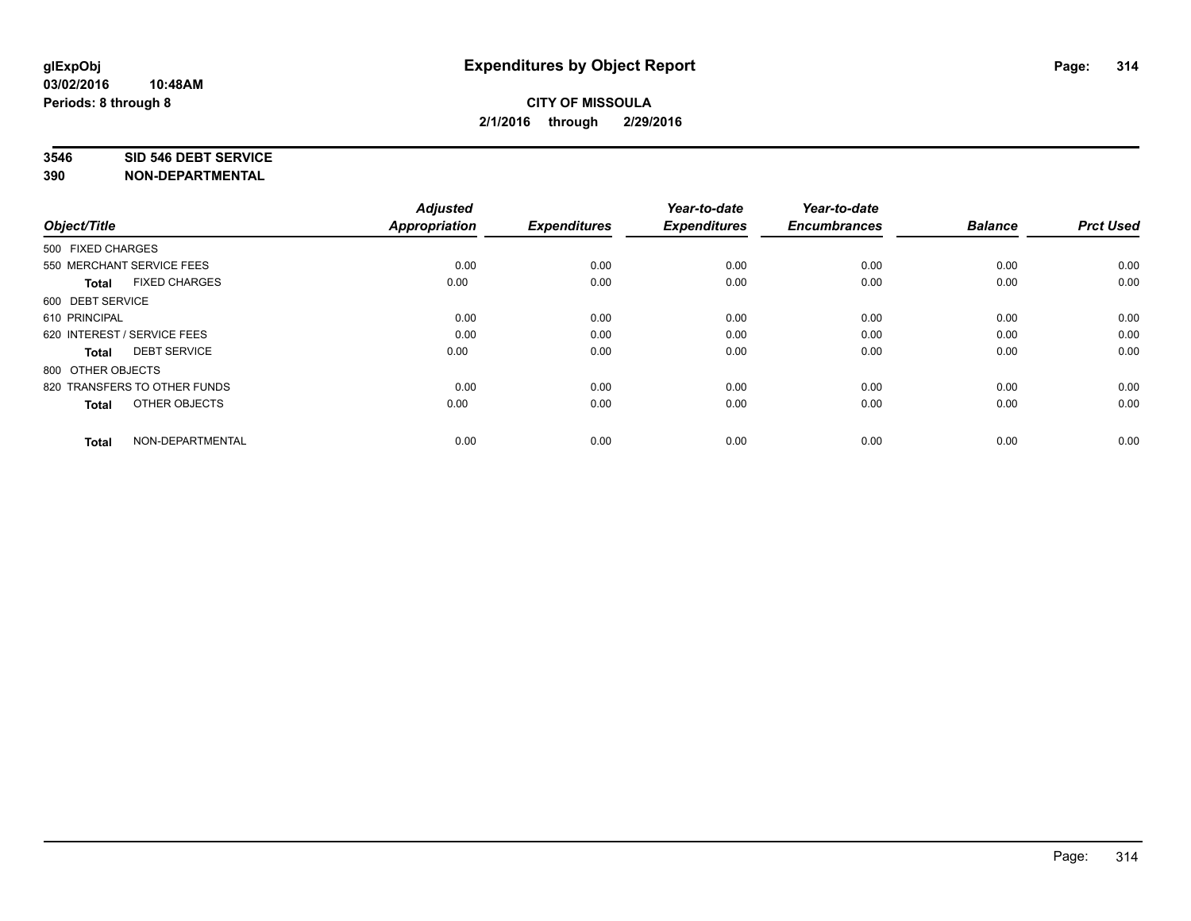#### **3546 SID 546 DEBT SERVICE**

| Object/Title                         | <b>Adjusted</b><br><b>Appropriation</b> | <b>Expenditures</b> | Year-to-date<br><b>Expenditures</b> | Year-to-date<br><b>Encumbrances</b> | <b>Balance</b> | <b>Prct Used</b> |
|--------------------------------------|-----------------------------------------|---------------------|-------------------------------------|-------------------------------------|----------------|------------------|
| 500 FIXED CHARGES                    |                                         |                     |                                     |                                     |                |                  |
| 550 MERCHANT SERVICE FEES            | 0.00                                    | 0.00                | 0.00                                | 0.00                                | 0.00           | 0.00             |
| <b>FIXED CHARGES</b><br><b>Total</b> | 0.00                                    | 0.00                | 0.00                                | 0.00                                | 0.00           | 0.00             |
| 600 DEBT SERVICE                     |                                         |                     |                                     |                                     |                |                  |
| 610 PRINCIPAL                        | 0.00                                    | 0.00                | 0.00                                | 0.00                                | 0.00           | 0.00             |
| 620 INTEREST / SERVICE FEES          | 0.00                                    | 0.00                | 0.00                                | 0.00                                | 0.00           | 0.00             |
| <b>DEBT SERVICE</b><br><b>Total</b>  | 0.00                                    | 0.00                | 0.00                                | 0.00                                | 0.00           | 0.00             |
| 800 OTHER OBJECTS                    |                                         |                     |                                     |                                     |                |                  |
| 820 TRANSFERS TO OTHER FUNDS         | 0.00                                    | 0.00                | 0.00                                | 0.00                                | 0.00           | 0.00             |
| OTHER OBJECTS<br><b>Total</b>        | 0.00                                    | 0.00                | 0.00                                | 0.00                                | 0.00           | 0.00             |
|                                      |                                         |                     |                                     |                                     |                |                  |
| NON-DEPARTMENTAL<br><b>Total</b>     | 0.00                                    | 0.00                | 0.00                                | 0.00                                | 0.00           | 0.00             |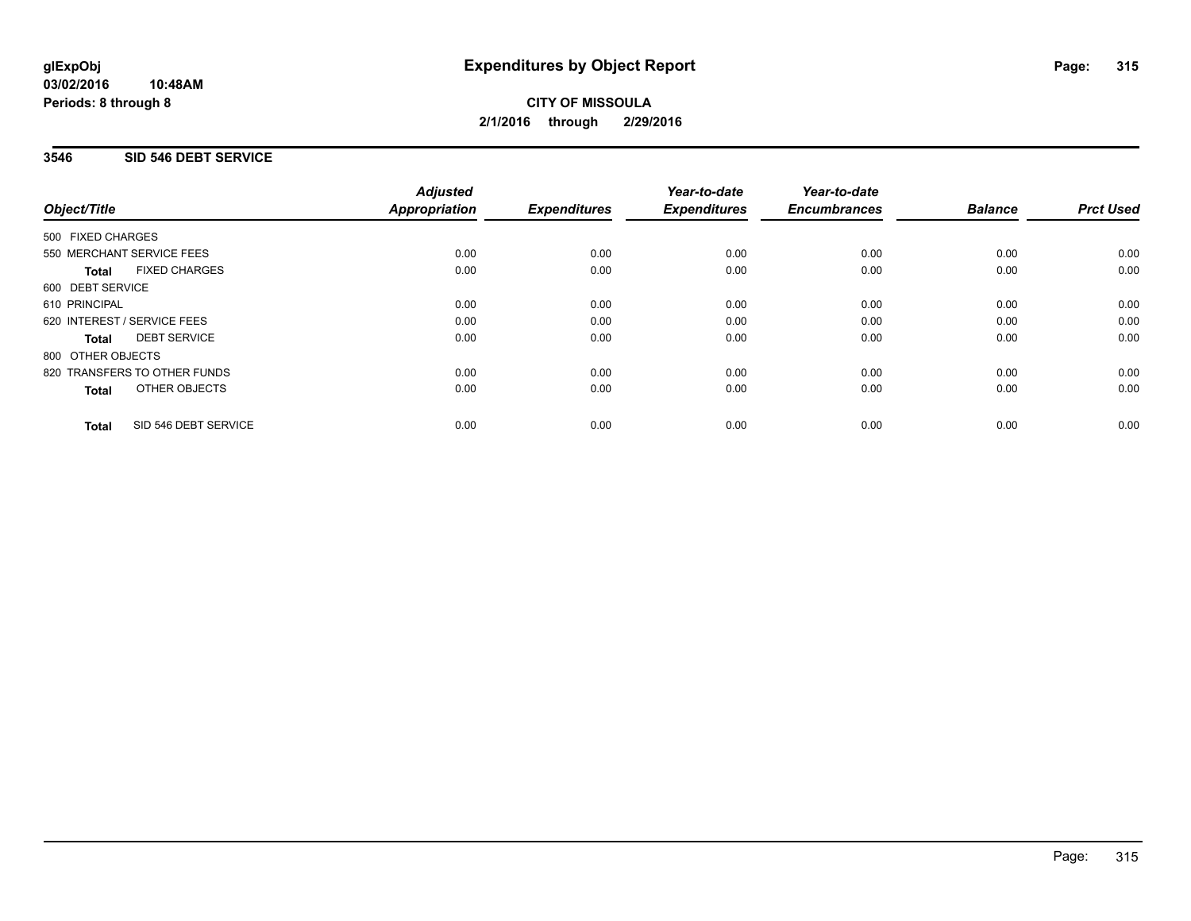### **03/02/2016 10:48AM Periods: 8 through 8**

# **CITY OF MISSOULA 2/1/2016 through 2/29/2016**

### **3546 SID 546 DEBT SERVICE**

|                                      | <b>Adjusted</b>      |                     | Year-to-date        | Year-to-date        |                |                  |
|--------------------------------------|----------------------|---------------------|---------------------|---------------------|----------------|------------------|
| Object/Title                         | <b>Appropriation</b> | <b>Expenditures</b> | <b>Expenditures</b> | <b>Encumbrances</b> | <b>Balance</b> | <b>Prct Used</b> |
| 500 FIXED CHARGES                    |                      |                     |                     |                     |                |                  |
| 550 MERCHANT SERVICE FEES            | 0.00                 | 0.00                | 0.00                | 0.00                | 0.00           | 0.00             |
| <b>FIXED CHARGES</b><br><b>Total</b> | 0.00                 | 0.00                | 0.00                | 0.00                | 0.00           | 0.00             |
| 600 DEBT SERVICE                     |                      |                     |                     |                     |                |                  |
| 610 PRINCIPAL                        | 0.00                 | 0.00                | 0.00                | 0.00                | 0.00           | 0.00             |
| 620 INTEREST / SERVICE FEES          | 0.00                 | 0.00                | 0.00                | 0.00                | 0.00           | 0.00             |
| <b>DEBT SERVICE</b><br><b>Total</b>  | 0.00                 | 0.00                | 0.00                | 0.00                | 0.00           | 0.00             |
| 800 OTHER OBJECTS                    |                      |                     |                     |                     |                |                  |
| 820 TRANSFERS TO OTHER FUNDS         | 0.00                 | 0.00                | 0.00                | 0.00                | 0.00           | 0.00             |
| <b>OTHER OBJECTS</b><br><b>Total</b> | 0.00                 | 0.00                | 0.00                | 0.00                | 0.00           | 0.00             |
| SID 546 DEBT SERVICE<br><b>Total</b> | 0.00                 | 0.00                | 0.00                | 0.00                | 0.00           | 0.00             |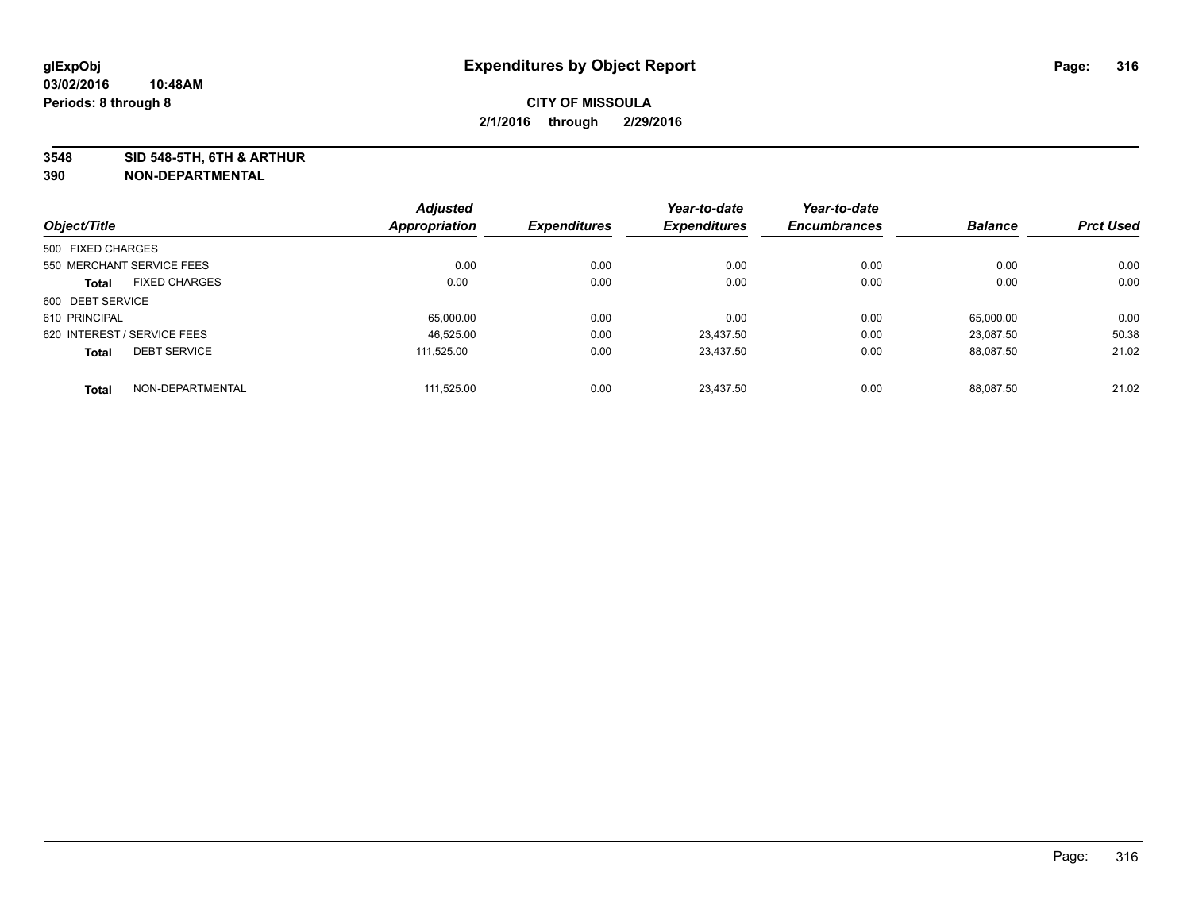**3548 SID 548-5TH, 6TH & ARTHUR**

|                                      | <b>Adjusted</b>      |                     | Year-to-date        | Year-to-date        |                |                  |
|--------------------------------------|----------------------|---------------------|---------------------|---------------------|----------------|------------------|
| Object/Title                         | <b>Appropriation</b> | <b>Expenditures</b> | <b>Expenditures</b> | <b>Encumbrances</b> | <b>Balance</b> | <b>Prct Used</b> |
| 500 FIXED CHARGES                    |                      |                     |                     |                     |                |                  |
| 550 MERCHANT SERVICE FEES            | 0.00                 | 0.00                | 0.00                | 0.00                | 0.00           | 0.00             |
| <b>FIXED CHARGES</b><br><b>Total</b> | 0.00                 | 0.00                | 0.00                | 0.00                | 0.00           | 0.00             |
| 600 DEBT SERVICE                     |                      |                     |                     |                     |                |                  |
| 610 PRINCIPAL                        | 65,000.00            | 0.00                | 0.00                | 0.00                | 65.000.00      | 0.00             |
| 620 INTEREST / SERVICE FEES          | 46.525.00            | 0.00                | 23.437.50           | 0.00                | 23.087.50      | 50.38            |
| <b>DEBT SERVICE</b><br><b>Total</b>  | 111.525.00           | 0.00                | 23.437.50           | 0.00                | 88.087.50      | 21.02            |
| NON-DEPARTMENTAL<br><b>Total</b>     | 111.525.00           | 0.00                | 23.437.50           | 0.00                | 88.087.50      | 21.02            |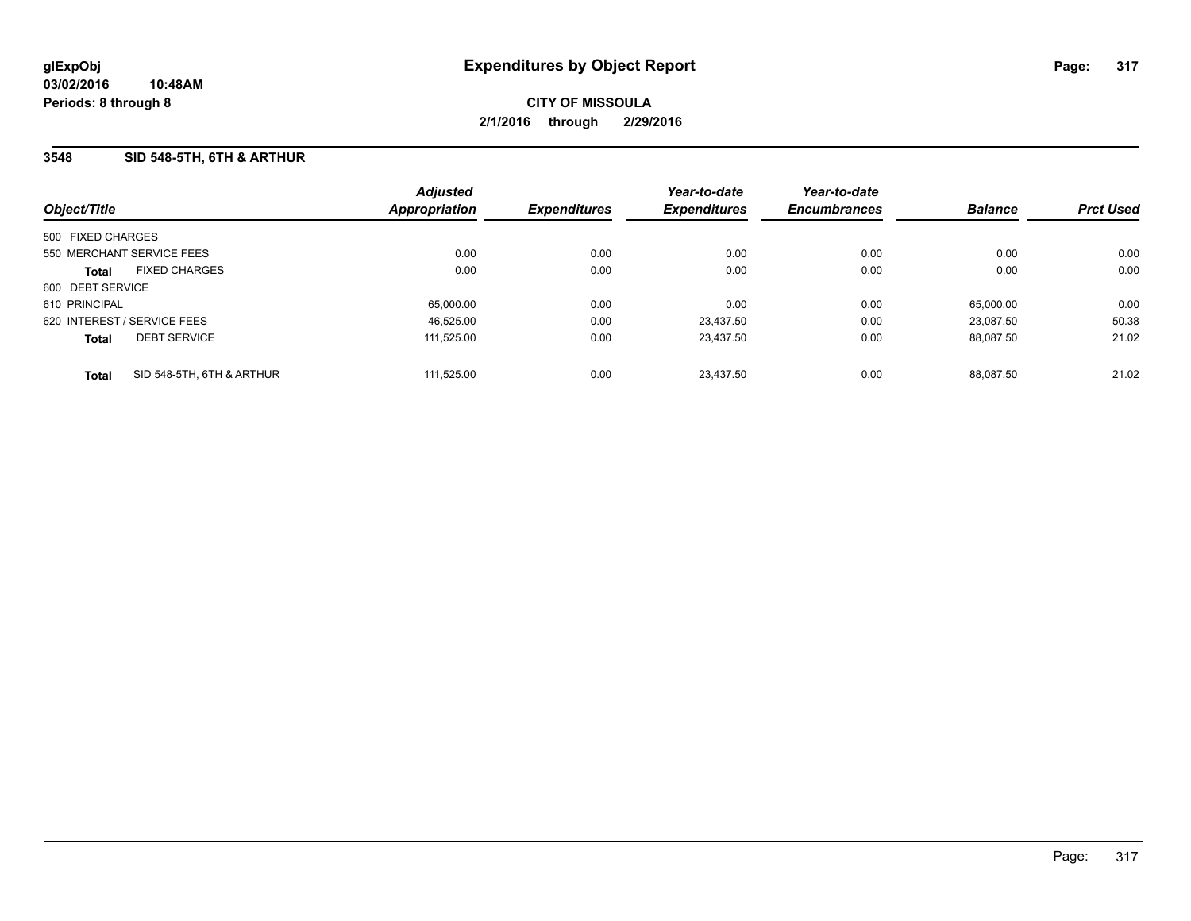## **3548 SID 548-5TH, 6TH & ARTHUR**

| Object/Title                         |                           | <b>Adjusted</b><br>Appropriation | <b>Expenditures</b> | Year-to-date<br><b>Expenditures</b> | Year-to-date<br><b>Encumbrances</b> | <b>Balance</b> | <b>Prct Used</b> |
|--------------------------------------|---------------------------|----------------------------------|---------------------|-------------------------------------|-------------------------------------|----------------|------------------|
| 500 FIXED CHARGES                    |                           |                                  |                     |                                     |                                     |                |                  |
| 550 MERCHANT SERVICE FEES            |                           | 0.00                             | 0.00                | 0.00                                | 0.00                                | 0.00           | 0.00             |
| <b>FIXED CHARGES</b><br><b>Total</b> |                           | 0.00                             | 0.00                | 0.00                                | 0.00                                | 0.00           | 0.00             |
| 600 DEBT SERVICE                     |                           |                                  |                     |                                     |                                     |                |                  |
| 610 PRINCIPAL                        |                           | 65,000.00                        | 0.00                | 0.00                                | 0.00                                | 65.000.00      | 0.00             |
| 620 INTEREST / SERVICE FEES          |                           | 46.525.00                        | 0.00                | 23.437.50                           | 0.00                                | 23.087.50      | 50.38            |
| <b>DEBT SERVICE</b><br><b>Total</b>  |                           | 111.525.00                       | 0.00                | 23.437.50                           | 0.00                                | 88.087.50      | 21.02            |
| <b>Total</b>                         | SID 548-5TH, 6TH & ARTHUR | 111.525.00                       | 0.00                | 23.437.50                           | 0.00                                | 88.087.50      | 21.02            |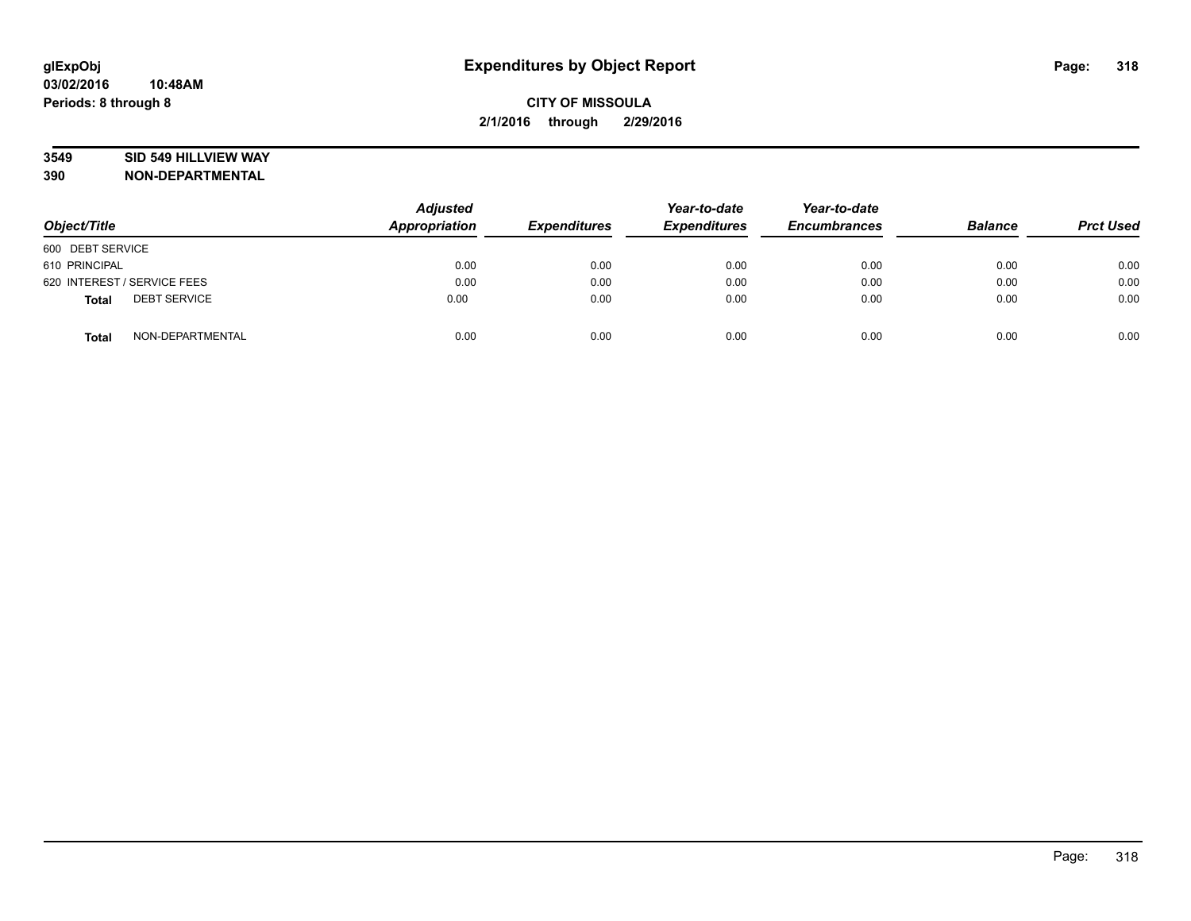### **3549 SID 549 HILLVIEW WAY**

| Object/Title                        | <b>Adjusted</b><br>Appropriation | <b>Expenditures</b> | Year-to-date<br><b>Expenditures</b> | Year-to-date<br><b>Encumbrances</b> | <b>Balance</b> | <b>Prct Used</b> |
|-------------------------------------|----------------------------------|---------------------|-------------------------------------|-------------------------------------|----------------|------------------|
| 600 DEBT SERVICE                    |                                  |                     |                                     |                                     |                |                  |
| 610 PRINCIPAL                       | 0.00                             | 0.00                | 0.00                                | 0.00                                | 0.00           | 0.00             |
| 620 INTEREST / SERVICE FEES         | 0.00                             | 0.00                | 0.00                                | 0.00                                | 0.00           | 0.00             |
| <b>DEBT SERVICE</b><br><b>Total</b> | 0.00                             | 0.00                | 0.00                                | 0.00                                | 0.00           | 0.00             |
| NON-DEPARTMENTAL<br><b>Total</b>    | 0.00                             | 0.00                | 0.00                                | 0.00                                | 0.00           | 0.00             |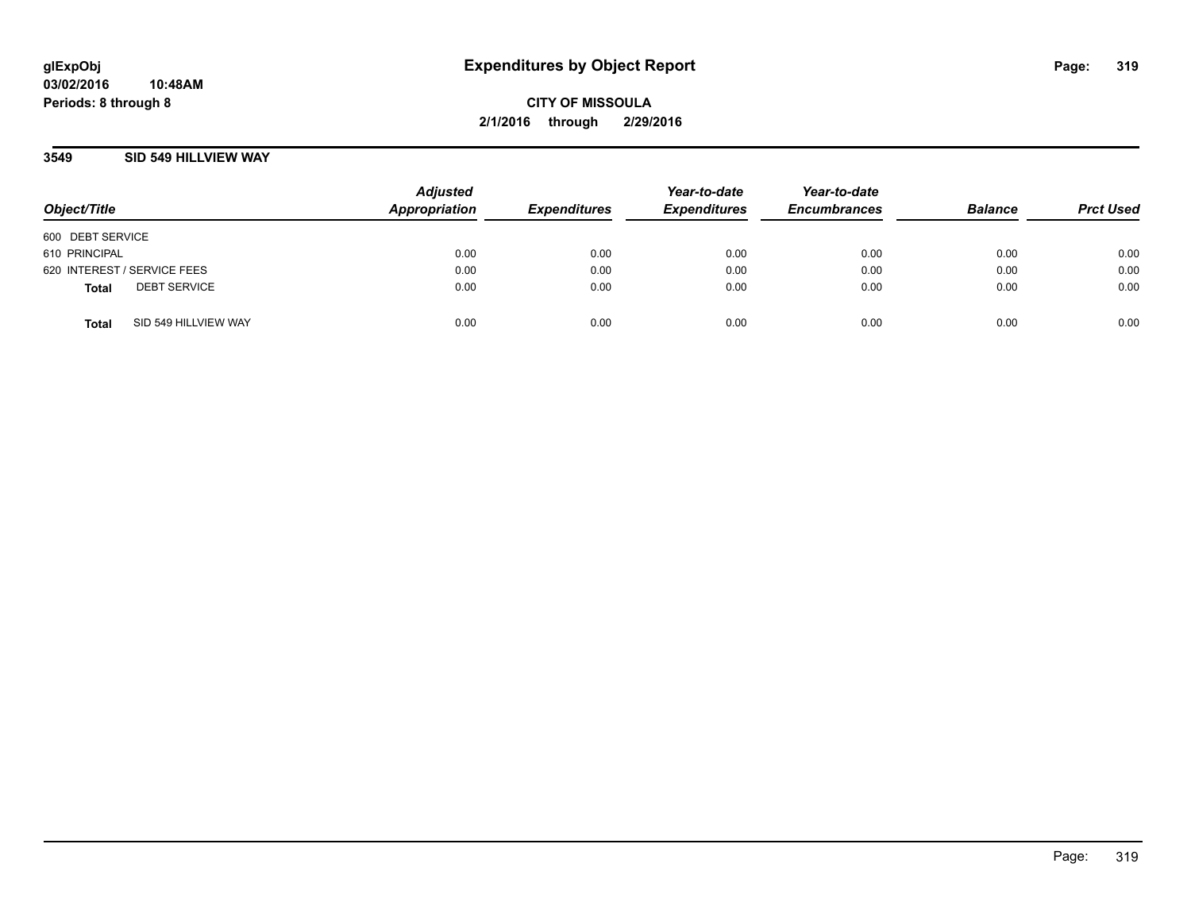### **3549 SID 549 HILLVIEW WAY**

| Object/Title                        |                      | <b>Adjusted</b><br>Appropriation | <b>Expenditures</b> | Year-to-date<br><b>Expenditures</b> | Year-to-date<br><b>Encumbrances</b> | <b>Balance</b> | <b>Prct Used</b> |
|-------------------------------------|----------------------|----------------------------------|---------------------|-------------------------------------|-------------------------------------|----------------|------------------|
| 600 DEBT SERVICE                    |                      |                                  |                     |                                     |                                     |                |                  |
| 610 PRINCIPAL                       |                      | 0.00                             | 0.00                | 0.00                                | 0.00                                | 0.00           | 0.00             |
| 620 INTEREST / SERVICE FEES         |                      | 0.00                             | 0.00                | 0.00                                | 0.00                                | 0.00           | 0.00             |
| <b>DEBT SERVICE</b><br><b>Total</b> |                      | 0.00                             | 0.00                | 0.00                                | 0.00                                | 0.00           | 0.00             |
| <b>Total</b>                        | SID 549 HILLVIEW WAY | 0.00                             | 0.00                | 0.00                                | 0.00                                | 0.00           | 0.00             |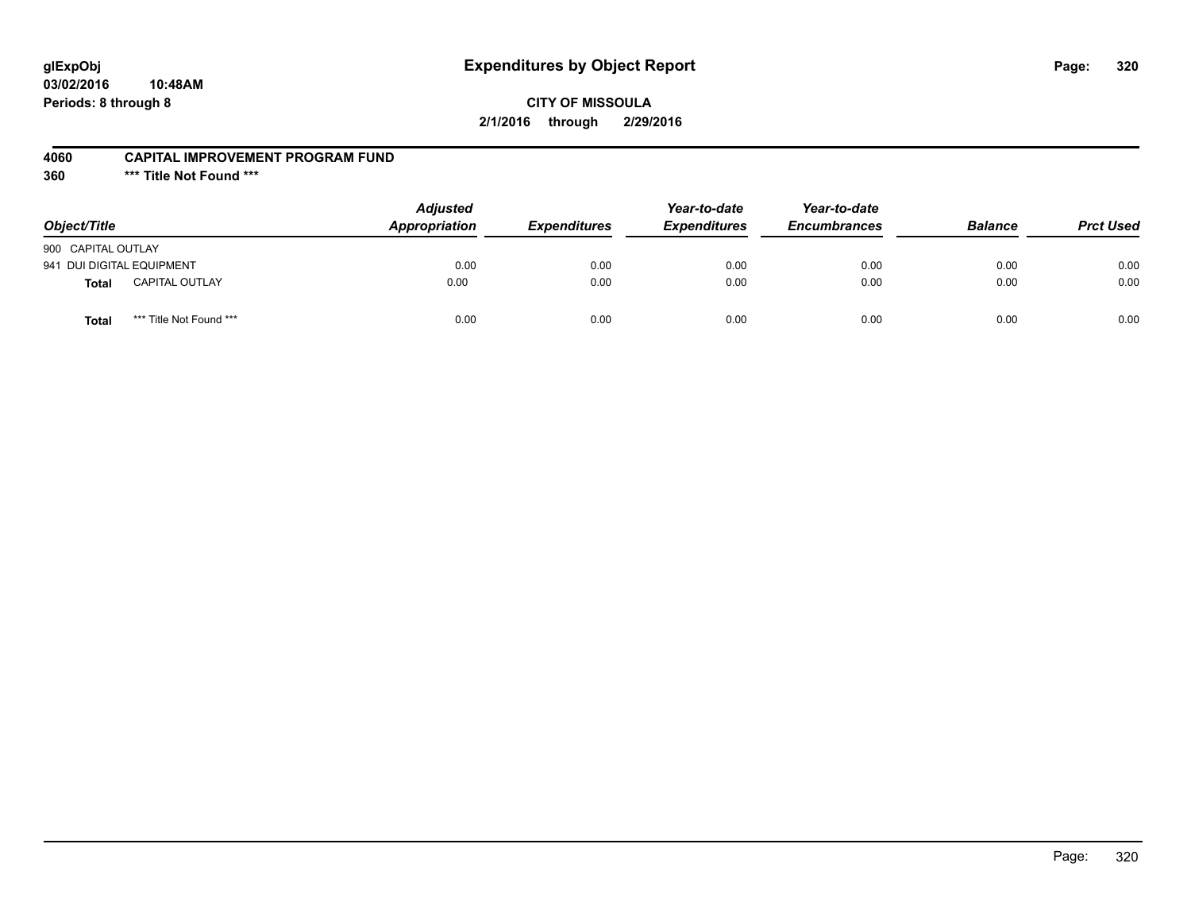# **glExpObj Expenditures by Object Report Page: 320**

### **CITY OF MISSOULA 2/1/2016 through 2/29/2016**

### **4060 CAPITAL IMPROVEMENT PROGRAM FUND**

**360 \*\*\* Title Not Found \*\*\***

| Object/Title              |                         | <b>Adjusted</b><br><b>Appropriation</b> | <i><b>Expenditures</b></i> | Year-to-date<br><b>Expenditures</b> | Year-to-date<br><b>Encumbrances</b> | <b>Balance</b> | <b>Prct Used</b> |
|---------------------------|-------------------------|-----------------------------------------|----------------------------|-------------------------------------|-------------------------------------|----------------|------------------|
| 900 CAPITAL OUTLAY        |                         |                                         |                            |                                     |                                     |                |                  |
| 941 DUI DIGITAL EQUIPMENT |                         | 0.00                                    | 0.00                       | 0.00                                | 0.00                                | 0.00           | 0.00             |
| <b>Total</b>              | <b>CAPITAL OUTLAY</b>   | 0.00                                    | 0.00                       | 0.00                                | 0.00                                | 0.00           | 0.00             |
| Total                     | *** Title Not Found *** | 0.00                                    | 0.00                       | 0.00                                | 0.00                                | 0.00           | 0.00             |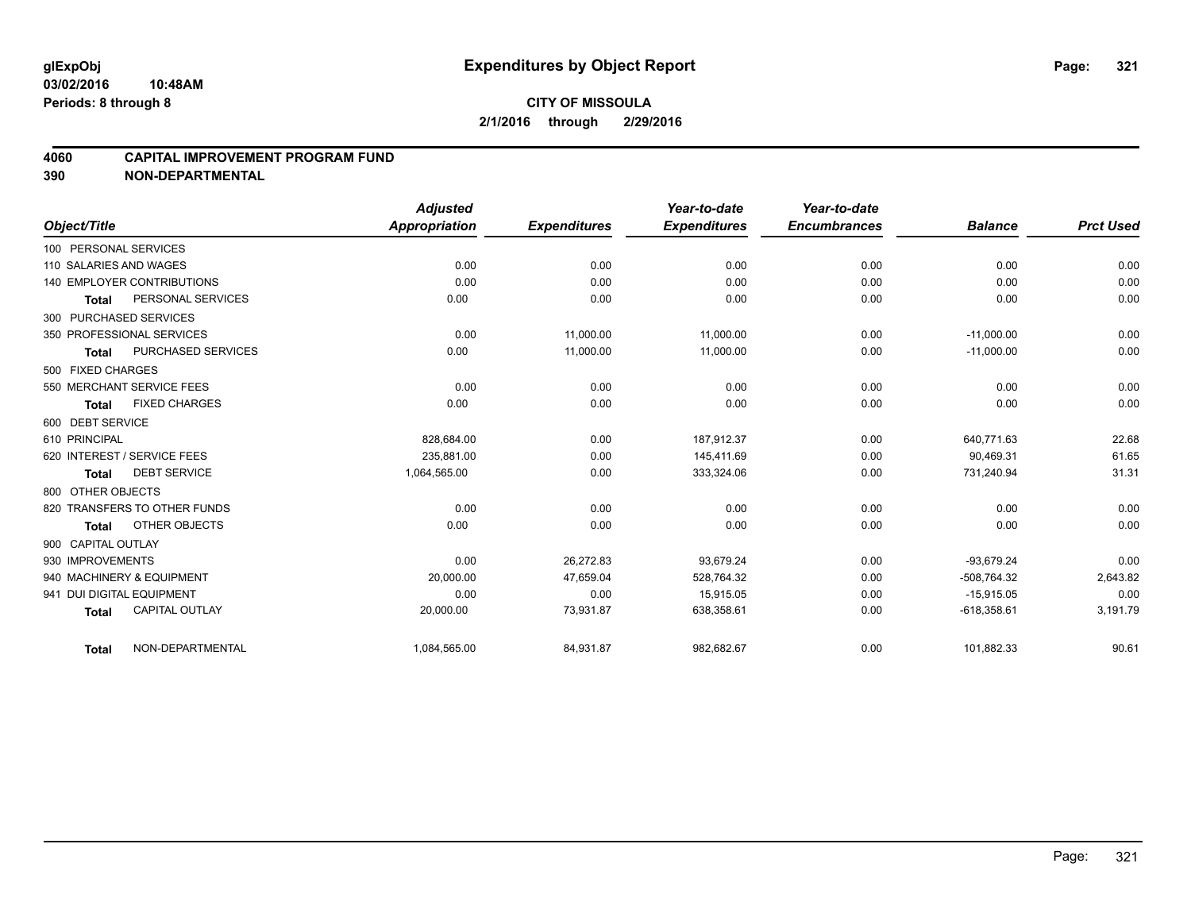### **4060 CAPITAL IMPROVEMENT PROGRAM FUND**

|                             |                                   | <b>Adjusted</b> |                     | Year-to-date        | Year-to-date        |                |                  |
|-----------------------------|-----------------------------------|-----------------|---------------------|---------------------|---------------------|----------------|------------------|
| Object/Title                |                                   | Appropriation   | <b>Expenditures</b> | <b>Expenditures</b> | <b>Encumbrances</b> | <b>Balance</b> | <b>Prct Used</b> |
| 100 PERSONAL SERVICES       |                                   |                 |                     |                     |                     |                |                  |
| 110 SALARIES AND WAGES      |                                   | 0.00            | 0.00                | 0.00                | 0.00                | 0.00           | 0.00             |
|                             | <b>140 EMPLOYER CONTRIBUTIONS</b> | 0.00            | 0.00                | 0.00                | 0.00                | 0.00           | 0.00             |
| <b>Total</b>                | PERSONAL SERVICES                 | 0.00            | 0.00                | 0.00                | 0.00                | 0.00           | 0.00             |
| 300 PURCHASED SERVICES      |                                   |                 |                     |                     |                     |                |                  |
| 350 PROFESSIONAL SERVICES   |                                   | 0.00            | 11,000.00           | 11,000.00           | 0.00                | $-11,000.00$   | 0.00             |
| Total                       | PURCHASED SERVICES                | 0.00            | 11,000.00           | 11,000.00           | 0.00                | $-11,000.00$   | 0.00             |
| 500 FIXED CHARGES           |                                   |                 |                     |                     |                     |                |                  |
| 550 MERCHANT SERVICE FEES   |                                   | 0.00            | 0.00                | 0.00                | 0.00                | 0.00           | 0.00             |
| <b>Total</b>                | <b>FIXED CHARGES</b>              | 0.00            | 0.00                | 0.00                | 0.00                | 0.00           | 0.00             |
| 600 DEBT SERVICE            |                                   |                 |                     |                     |                     |                |                  |
| 610 PRINCIPAL               |                                   | 828.684.00      | 0.00                | 187.912.37          | 0.00                | 640.771.63     | 22.68            |
| 620 INTEREST / SERVICE FEES |                                   | 235.881.00      | 0.00                | 145.411.69          | 0.00                | 90.469.31      | 61.65            |
| <b>Total</b>                | <b>DEBT SERVICE</b>               | 1,064,565.00    | 0.00                | 333,324.06          | 0.00                | 731,240.94     | 31.31            |
| 800 OTHER OBJECTS           |                                   |                 |                     |                     |                     |                |                  |
|                             | 820 TRANSFERS TO OTHER FUNDS      | 0.00            | 0.00                | 0.00                | 0.00                | 0.00           | 0.00             |
| <b>Total</b>                | OTHER OBJECTS                     | 0.00            | 0.00                | 0.00                | 0.00                | 0.00           | 0.00             |
| 900 CAPITAL OUTLAY          |                                   |                 |                     |                     |                     |                |                  |
| 930 IMPROVEMENTS            |                                   | 0.00            | 26,272.83           | 93,679.24           | 0.00                | $-93,679.24$   | 0.00             |
| 940 MACHINERY & EQUIPMENT   |                                   | 20,000.00       | 47,659.04           | 528,764.32          | 0.00                | $-508.764.32$  | 2,643.82         |
| 941 DUI DIGITAL EQUIPMENT   |                                   | 0.00            | 0.00                | 15.915.05           | 0.00                | $-15.915.05$   | 0.00             |
| <b>Total</b>                | <b>CAPITAL OUTLAY</b>             | 20,000.00       | 73,931.87           | 638,358.61          | 0.00                | $-618,358.61$  | 3,191.79         |
| Total                       | NON-DEPARTMENTAL                  | 1,084,565.00    | 84,931.87           | 982,682.67          | 0.00                | 101,882.33     | 90.61            |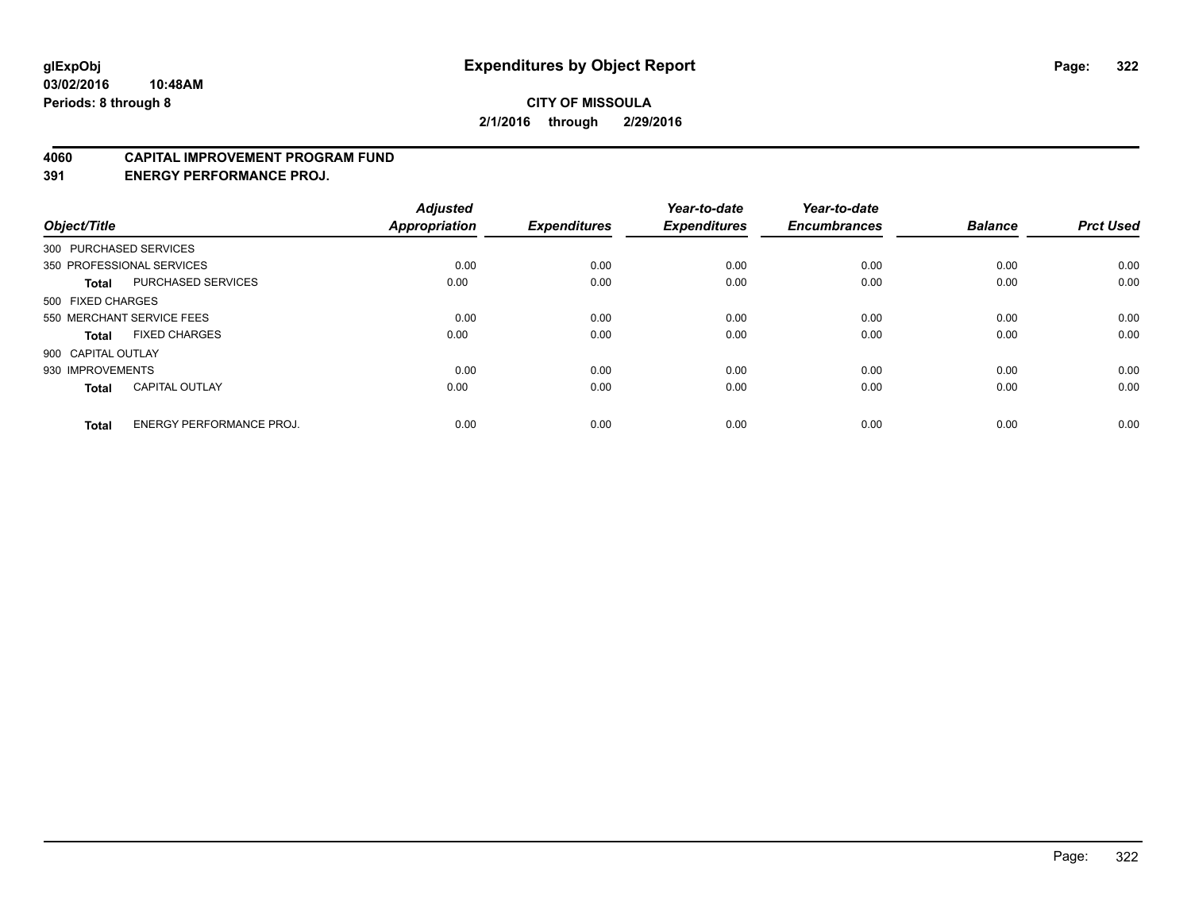#### **4060 CAPITAL IMPROVEMENT PROGRAM FUND**

**391 ENERGY PERFORMANCE PROJ.**

| Object/Title       |                                 | <b>Adjusted</b><br><b>Appropriation</b> | <b>Expenditures</b> | Year-to-date<br><b>Expenditures</b> | Year-to-date<br><b>Encumbrances</b> | <b>Balance</b> | <b>Prct Used</b> |
|--------------------|---------------------------------|-----------------------------------------|---------------------|-------------------------------------|-------------------------------------|----------------|------------------|
|                    | 300 PURCHASED SERVICES          |                                         |                     |                                     |                                     |                |                  |
|                    | 350 PROFESSIONAL SERVICES       | 0.00                                    | 0.00                | 0.00                                | 0.00                                | 0.00           | 0.00             |
| <b>Total</b>       | <b>PURCHASED SERVICES</b>       | 0.00                                    | 0.00                | 0.00                                | 0.00                                | 0.00           | 0.00             |
| 500 FIXED CHARGES  |                                 |                                         |                     |                                     |                                     |                |                  |
|                    | 550 MERCHANT SERVICE FEES       | 0.00                                    | 0.00                | 0.00                                | 0.00                                | 0.00           | 0.00             |
| <b>Total</b>       | <b>FIXED CHARGES</b>            | 0.00                                    | 0.00                | 0.00                                | 0.00                                | 0.00           | 0.00             |
| 900 CAPITAL OUTLAY |                                 |                                         |                     |                                     |                                     |                |                  |
| 930 IMPROVEMENTS   |                                 | 0.00                                    | 0.00                | 0.00                                | 0.00                                | 0.00           | 0.00             |
| <b>Total</b>       | <b>CAPITAL OUTLAY</b>           | 0.00                                    | 0.00                | 0.00                                | 0.00                                | 0.00           | 0.00             |
| <b>Total</b>       | <b>ENERGY PERFORMANCE PROJ.</b> | 0.00                                    | 0.00                | 0.00                                | 0.00                                | 0.00           | 0.00             |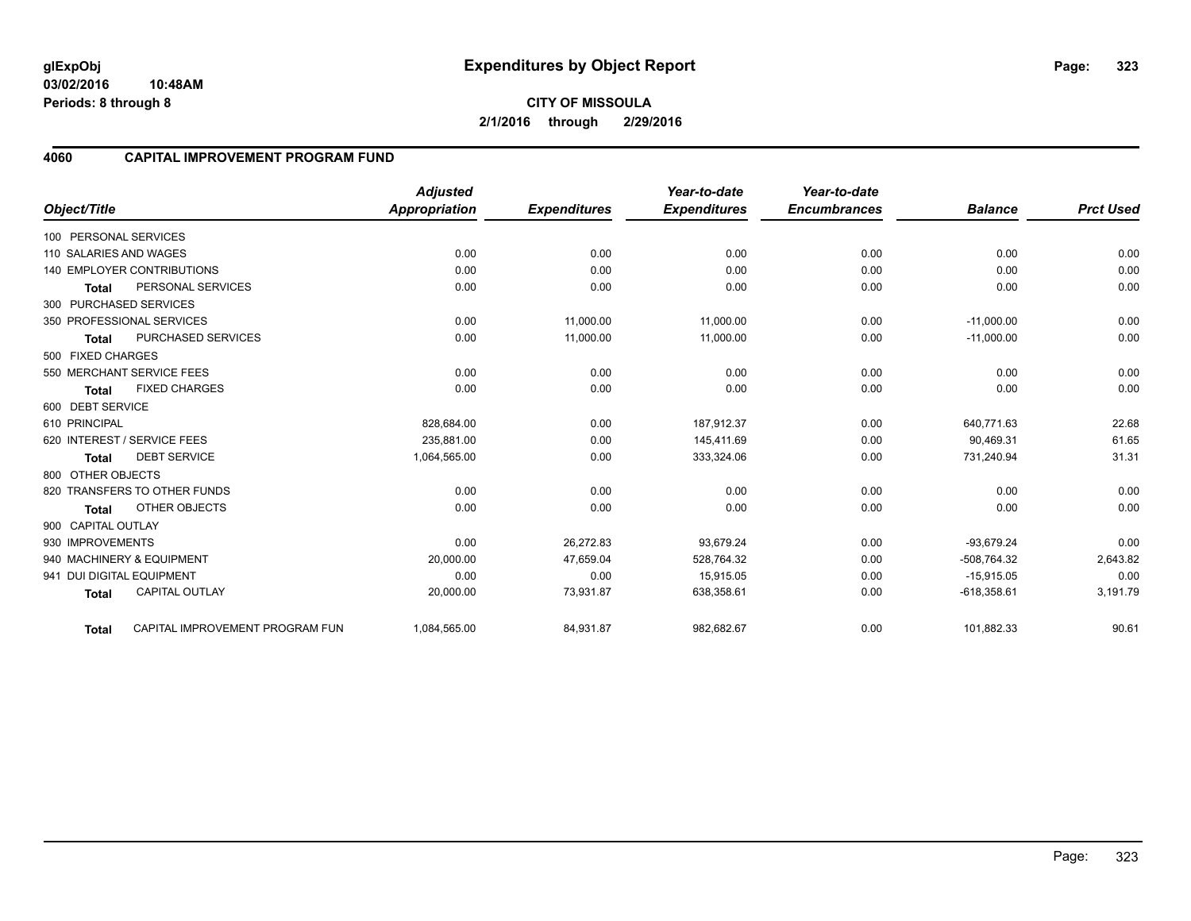### **03/02/2016 10:48AM Periods: 8 through 8**

**CITY OF MISSOULA 2/1/2016 through 2/29/2016**

### **4060 CAPITAL IMPROVEMENT PROGRAM FUND**

|                           |                                   | <b>Adjusted</b> |                     | Year-to-date        | Year-to-date        |                |                  |
|---------------------------|-----------------------------------|-----------------|---------------------|---------------------|---------------------|----------------|------------------|
| Object/Title              |                                   | Appropriation   | <b>Expenditures</b> | <b>Expenditures</b> | <b>Encumbrances</b> | <b>Balance</b> | <b>Prct Used</b> |
| 100 PERSONAL SERVICES     |                                   |                 |                     |                     |                     |                |                  |
| 110 SALARIES AND WAGES    |                                   | 0.00            | 0.00                | 0.00                | 0.00                | 0.00           | 0.00             |
|                           | <b>140 EMPLOYER CONTRIBUTIONS</b> | 0.00            | 0.00                | 0.00                | 0.00                | 0.00           | 0.00             |
| <b>Total</b>              | PERSONAL SERVICES                 | 0.00            | 0.00                | 0.00                | 0.00                | 0.00           | 0.00             |
| 300 PURCHASED SERVICES    |                                   |                 |                     |                     |                     |                |                  |
|                           | 350 PROFESSIONAL SERVICES         | 0.00            | 11,000.00           | 11,000.00           | 0.00                | $-11,000.00$   | 0.00             |
| <b>Total</b>              | PURCHASED SERVICES                | 0.00            | 11,000.00           | 11,000.00           | 0.00                | $-11,000.00$   | 0.00             |
| 500 FIXED CHARGES         |                                   |                 |                     |                     |                     |                |                  |
|                           | 550 MERCHANT SERVICE FEES         | 0.00            | 0.00                | 0.00                | 0.00                | 0.00           | 0.00             |
| <b>Total</b>              | <b>FIXED CHARGES</b>              | 0.00            | 0.00                | 0.00                | 0.00                | 0.00           | 0.00             |
| 600 DEBT SERVICE          |                                   |                 |                     |                     |                     |                |                  |
| 610 PRINCIPAL             |                                   | 828,684.00      | 0.00                | 187,912.37          | 0.00                | 640,771.63     | 22.68            |
|                           | 620 INTEREST / SERVICE FEES       | 235,881.00      | 0.00                | 145,411.69          | 0.00                | 90,469.31      | 61.65            |
| <b>Total</b>              | <b>DEBT SERVICE</b>               | 1,064,565.00    | 0.00                | 333,324.06          | 0.00                | 731,240.94     | 31.31            |
| 800 OTHER OBJECTS         |                                   |                 |                     |                     |                     |                |                  |
|                           | 820 TRANSFERS TO OTHER FUNDS      | 0.00            | 0.00                | 0.00                | 0.00                | 0.00           | 0.00             |
| <b>Total</b>              | OTHER OBJECTS                     | 0.00            | 0.00                | 0.00                | 0.00                | 0.00           | 0.00             |
| 900 CAPITAL OUTLAY        |                                   |                 |                     |                     |                     |                |                  |
| 930 IMPROVEMENTS          |                                   | 0.00            | 26,272.83           | 93,679.24           | 0.00                | $-93,679.24$   | 0.00             |
|                           | 940 MACHINERY & EQUIPMENT         | 20,000.00       | 47,659.04           | 528.764.32          | 0.00                | -508.764.32    | 2,643.82         |
| 941 DUI DIGITAL EQUIPMENT |                                   | 0.00            | 0.00                | 15.915.05           | 0.00                | $-15.915.05$   | 0.00             |
| <b>Total</b>              | <b>CAPITAL OUTLAY</b>             | 20,000.00       | 73,931.87           | 638,358.61          | 0.00                | $-618,358.61$  | 3,191.79         |
| Total                     | CAPITAL IMPROVEMENT PROGRAM FUN   | 1,084,565.00    | 84,931.87           | 982,682.67          | 0.00                | 101,882.33     | 90.61            |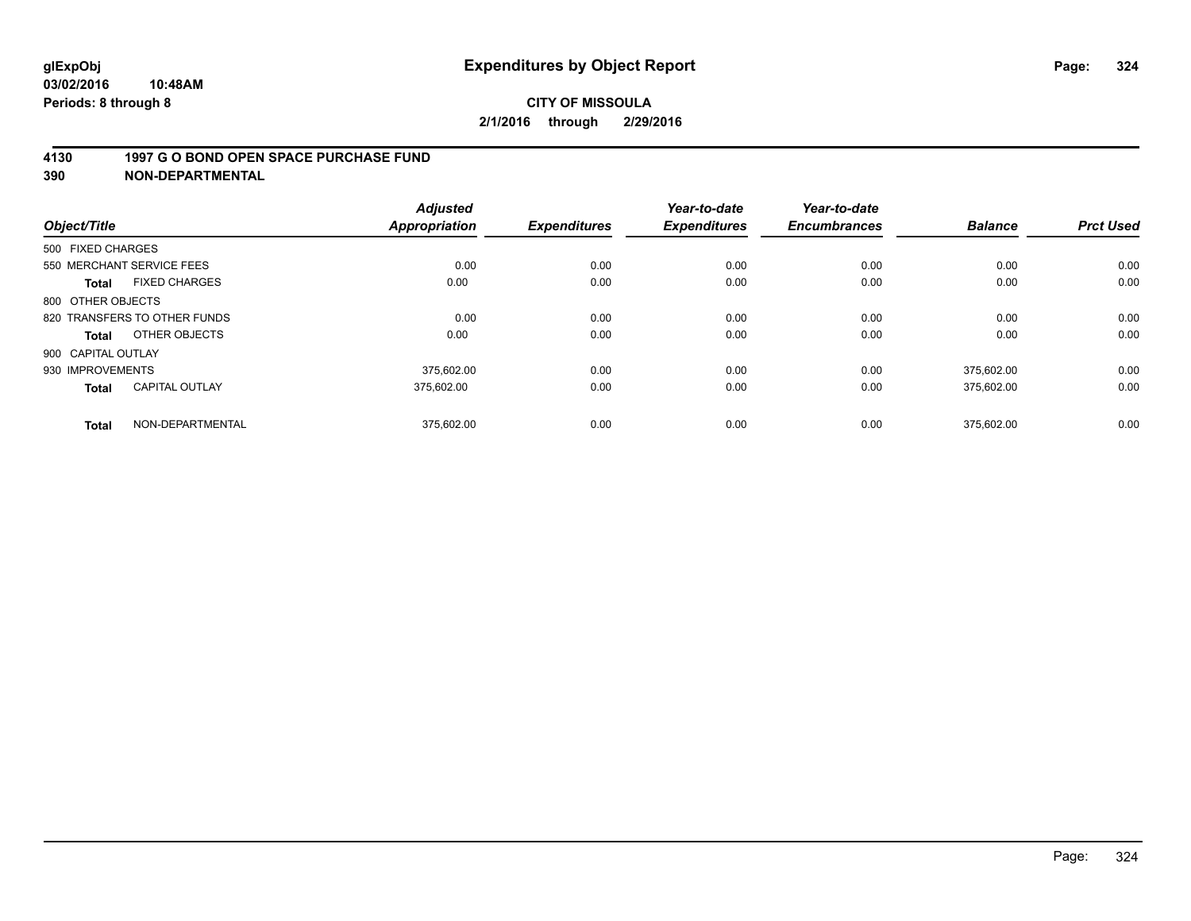#### **4130 1997 G O BOND OPEN SPACE PURCHASE FUND**

| Object/Title                          | <b>Adjusted</b><br><b>Appropriation</b> | <b>Expenditures</b> | Year-to-date<br><b>Expenditures</b> | Year-to-date<br><b>Encumbrances</b> | <b>Balance</b> | <b>Prct Used</b> |
|---------------------------------------|-----------------------------------------|---------------------|-------------------------------------|-------------------------------------|----------------|------------------|
| 500 FIXED CHARGES                     |                                         |                     |                                     |                                     |                |                  |
| 550 MERCHANT SERVICE FEES             |                                         | 0.00<br>0.00        | 0.00                                | 0.00                                | 0.00           | 0.00             |
| <b>FIXED CHARGES</b><br><b>Total</b>  | 0.00                                    | 0.00                | 0.00                                | 0.00                                | 0.00           | 0.00             |
| 800 OTHER OBJECTS                     |                                         |                     |                                     |                                     |                |                  |
| 820 TRANSFERS TO OTHER FUNDS          |                                         | 0.00<br>0.00        | 0.00                                | 0.00                                | 0.00           | 0.00             |
| OTHER OBJECTS<br>Total                | 0.00                                    | 0.00                | 0.00                                | 0.00                                | 0.00           | 0.00             |
| 900 CAPITAL OUTLAY                    |                                         |                     |                                     |                                     |                |                  |
| 930 IMPROVEMENTS                      | 375.602.00                              | 0.00                | 0.00                                | 0.00                                | 375.602.00     | 0.00             |
| <b>CAPITAL OUTLAY</b><br><b>Total</b> | 375.602.00                              | 0.00                | 0.00                                | 0.00                                | 375,602.00     | 0.00             |
| NON-DEPARTMENTAL<br><b>Total</b>      | 375,602.00                              | 0.00                | 0.00                                | 0.00                                | 375.602.00     | 0.00             |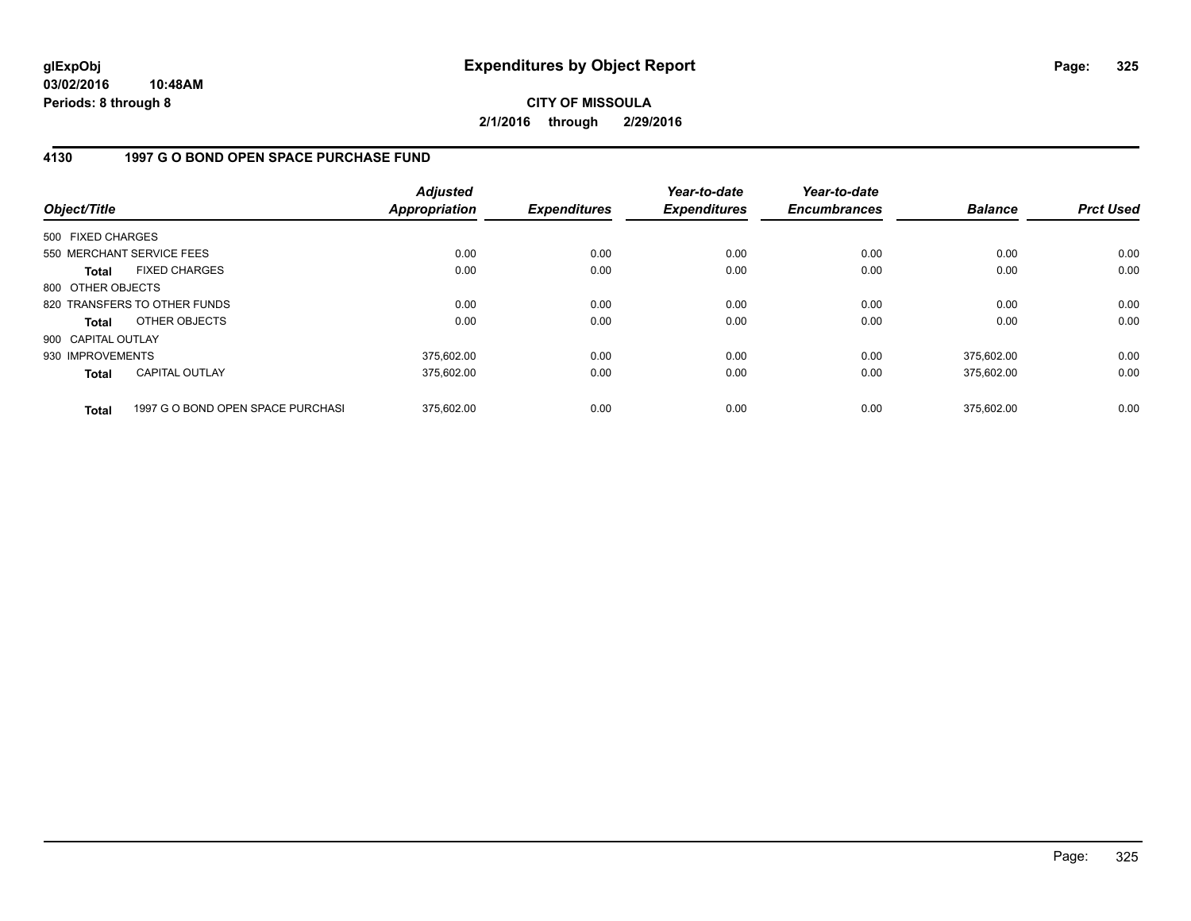**CITY OF MISSOULA 2/1/2016 through 2/29/2016**

### **4130 1997 G O BOND OPEN SPACE PURCHASE FUND**

| Object/Title       |                                   | <b>Adjusted</b><br><b>Appropriation</b> | <b>Expenditures</b> | Year-to-date<br><b>Expenditures</b> | Year-to-date<br><b>Encumbrances</b> | <b>Balance</b> | <b>Prct Used</b> |
|--------------------|-----------------------------------|-----------------------------------------|---------------------|-------------------------------------|-------------------------------------|----------------|------------------|
| 500 FIXED CHARGES  |                                   |                                         |                     |                                     |                                     |                |                  |
|                    | 550 MERCHANT SERVICE FEES         | 0.00                                    | 0.00                | 0.00                                | 0.00                                | 0.00           | 0.00             |
| <b>Total</b>       | <b>FIXED CHARGES</b>              | 0.00                                    | 0.00                | 0.00                                | 0.00                                | 0.00           | 0.00             |
| 800 OTHER OBJECTS  |                                   |                                         |                     |                                     |                                     |                |                  |
|                    | 820 TRANSFERS TO OTHER FUNDS      | 0.00                                    | 0.00                | 0.00                                | 0.00                                | 0.00           | 0.00             |
| <b>Total</b>       | OTHER OBJECTS                     | 0.00                                    | 0.00                | 0.00                                | 0.00                                | 0.00           | 0.00             |
| 900 CAPITAL OUTLAY |                                   |                                         |                     |                                     |                                     |                |                  |
| 930 IMPROVEMENTS   |                                   | 375,602.00                              | 0.00                | 0.00                                | 0.00                                | 375,602.00     | 0.00             |
| <b>Total</b>       | CAPITAL OUTLAY                    | 375,602.00                              | 0.00                | 0.00                                | 0.00                                | 375,602.00     | 0.00             |
| <b>Total</b>       | 1997 G O BOND OPEN SPACE PURCHASI | 375.602.00                              | 0.00                | 0.00                                | 0.00                                | 375.602.00     | 0.00             |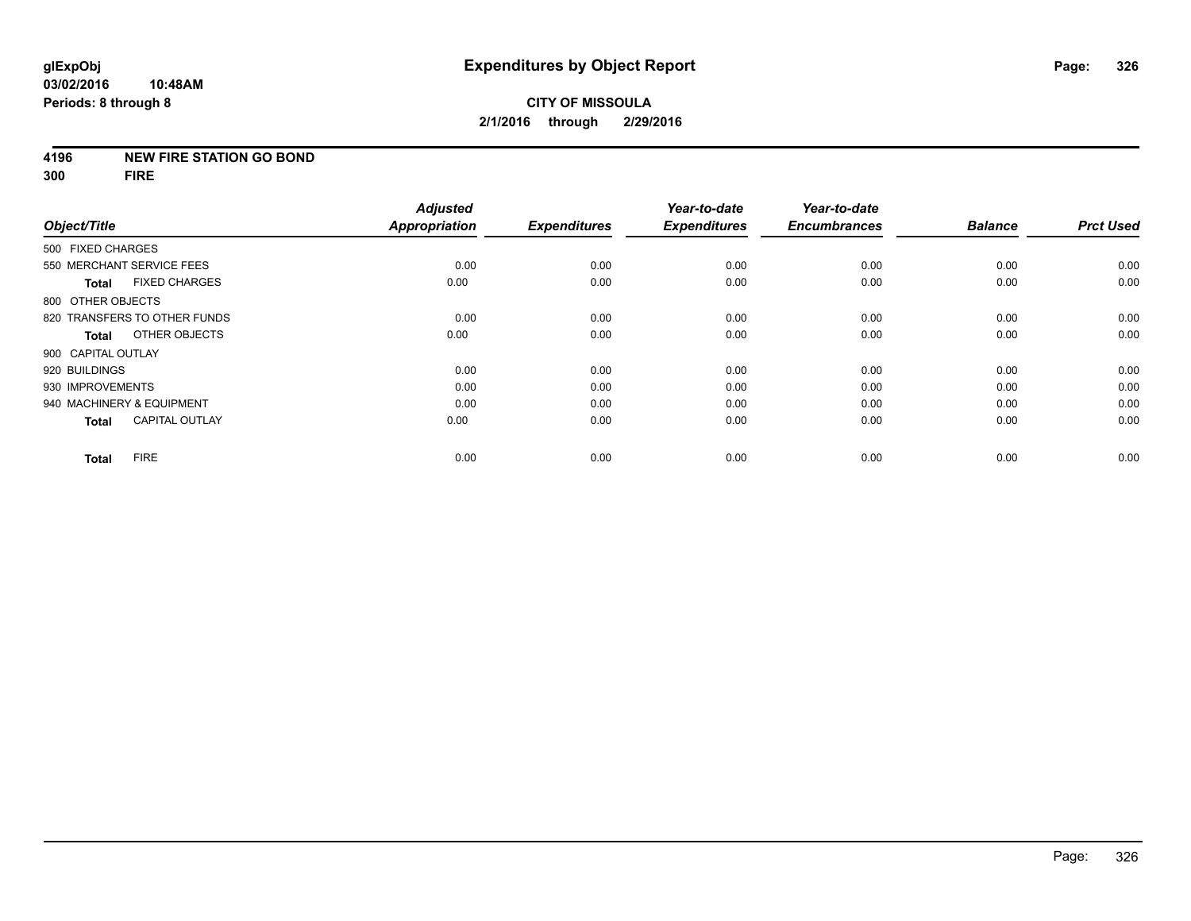#### **4196 NEW FIRE STATION GO BOND**

**300 FIRE**

|                    |                              | <b>Adjusted</b>      |                     | Year-to-date        | Year-to-date        |                |                  |
|--------------------|------------------------------|----------------------|---------------------|---------------------|---------------------|----------------|------------------|
| Object/Title       |                              | <b>Appropriation</b> | <b>Expenditures</b> | <b>Expenditures</b> | <b>Encumbrances</b> | <b>Balance</b> | <b>Prct Used</b> |
| 500 FIXED CHARGES  |                              |                      |                     |                     |                     |                |                  |
|                    | 550 MERCHANT SERVICE FEES    | 0.00                 | 0.00                | 0.00                | 0.00                | 0.00           | 0.00             |
| <b>Total</b>       | <b>FIXED CHARGES</b>         | 0.00                 | 0.00                | 0.00                | 0.00                | 0.00           | 0.00             |
| 800 OTHER OBJECTS  |                              |                      |                     |                     |                     |                |                  |
|                    | 820 TRANSFERS TO OTHER FUNDS | 0.00                 | 0.00                | 0.00                | 0.00                | 0.00           | 0.00             |
| <b>Total</b>       | OTHER OBJECTS                | 0.00                 | 0.00                | 0.00                | 0.00                | 0.00           | 0.00             |
| 900 CAPITAL OUTLAY |                              |                      |                     |                     |                     |                |                  |
| 920 BUILDINGS      |                              | 0.00                 | 0.00                | 0.00                | 0.00                | 0.00           | 0.00             |
| 930 IMPROVEMENTS   |                              | 0.00                 | 0.00                | 0.00                | 0.00                | 0.00           | 0.00             |
|                    | 940 MACHINERY & EQUIPMENT    | 0.00                 | 0.00                | 0.00                | 0.00                | 0.00           | 0.00             |
| <b>Total</b>       | <b>CAPITAL OUTLAY</b>        | 0.00                 | 0.00                | 0.00                | 0.00                | 0.00           | 0.00             |
| <b>Total</b>       | <b>FIRE</b>                  | 0.00                 | 0.00                | 0.00                | 0.00                | 0.00           | 0.00             |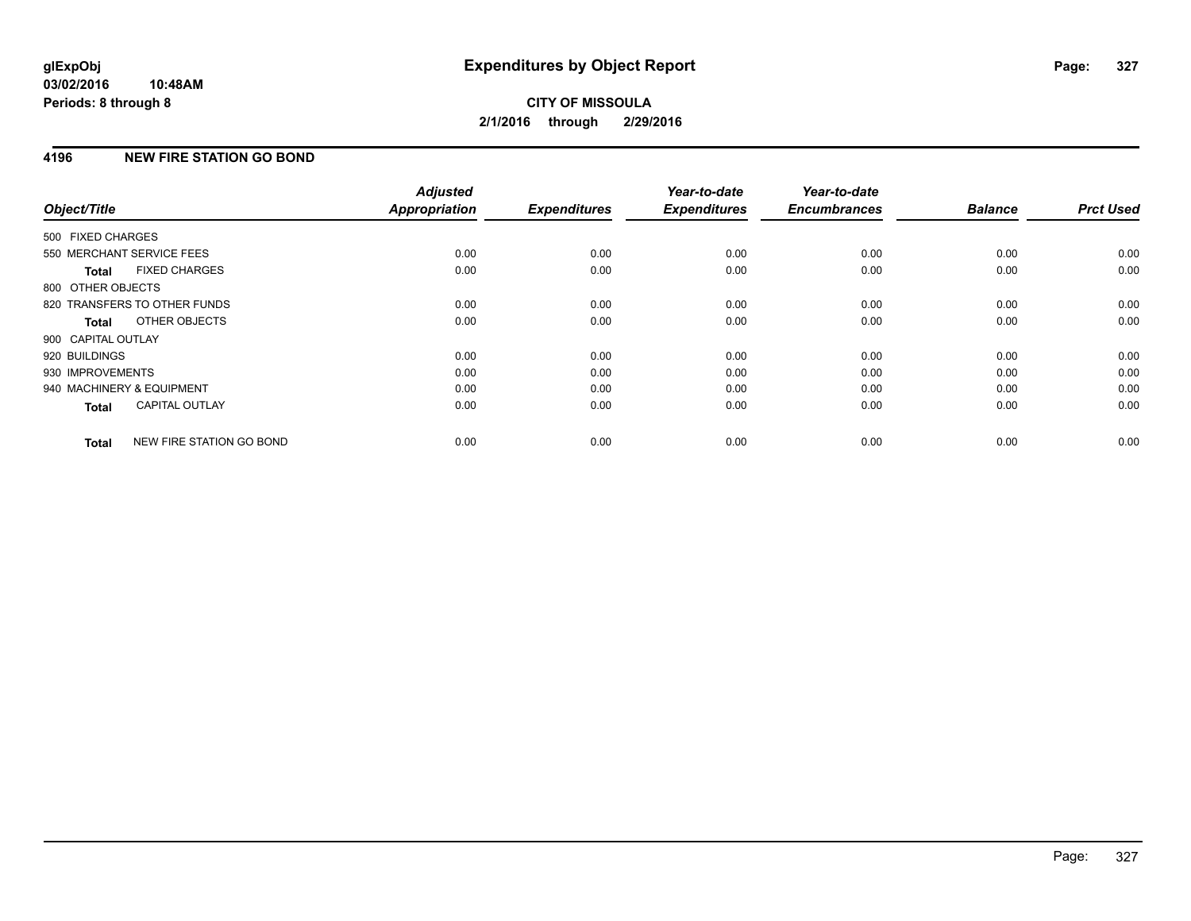## **4196 NEW FIRE STATION GO BOND**

| Object/Title              |                              | <b>Adjusted</b><br><b>Appropriation</b> | <b>Expenditures</b> | Year-to-date<br><b>Expenditures</b> | Year-to-date<br><b>Encumbrances</b> | <b>Balance</b> | <b>Prct Used</b> |
|---------------------------|------------------------------|-----------------------------------------|---------------------|-------------------------------------|-------------------------------------|----------------|------------------|
| 500 FIXED CHARGES         |                              |                                         |                     |                                     |                                     |                |                  |
|                           |                              |                                         |                     |                                     |                                     |                |                  |
|                           | 550 MERCHANT SERVICE FEES    | 0.00                                    | 0.00                | 0.00                                | 0.00                                | 0.00           | 0.00             |
| <b>Total</b>              | <b>FIXED CHARGES</b>         | 0.00                                    | 0.00                | 0.00                                | 0.00                                | 0.00           | 0.00             |
| 800 OTHER OBJECTS         |                              |                                         |                     |                                     |                                     |                |                  |
|                           | 820 TRANSFERS TO OTHER FUNDS | 0.00                                    | 0.00                | 0.00                                | 0.00                                | 0.00           | 0.00             |
| Total                     | OTHER OBJECTS                | 0.00                                    | 0.00                | 0.00                                | 0.00                                | 0.00           | 0.00             |
| 900 CAPITAL OUTLAY        |                              |                                         |                     |                                     |                                     |                |                  |
| 920 BUILDINGS             |                              | 0.00                                    | 0.00                | 0.00                                | 0.00                                | 0.00           | 0.00             |
| 930 IMPROVEMENTS          |                              | 0.00                                    | 0.00                | 0.00                                | 0.00                                | 0.00           | 0.00             |
| 940 MACHINERY & EQUIPMENT |                              | 0.00                                    | 0.00                | 0.00                                | 0.00                                | 0.00           | 0.00             |
| Total                     | <b>CAPITAL OUTLAY</b>        | 0.00                                    | 0.00                | 0.00                                | 0.00                                | 0.00           | 0.00             |
| <b>Total</b>              | NEW FIRE STATION GO BOND     | 0.00                                    | 0.00                | 0.00                                | 0.00                                | 0.00           | 0.00             |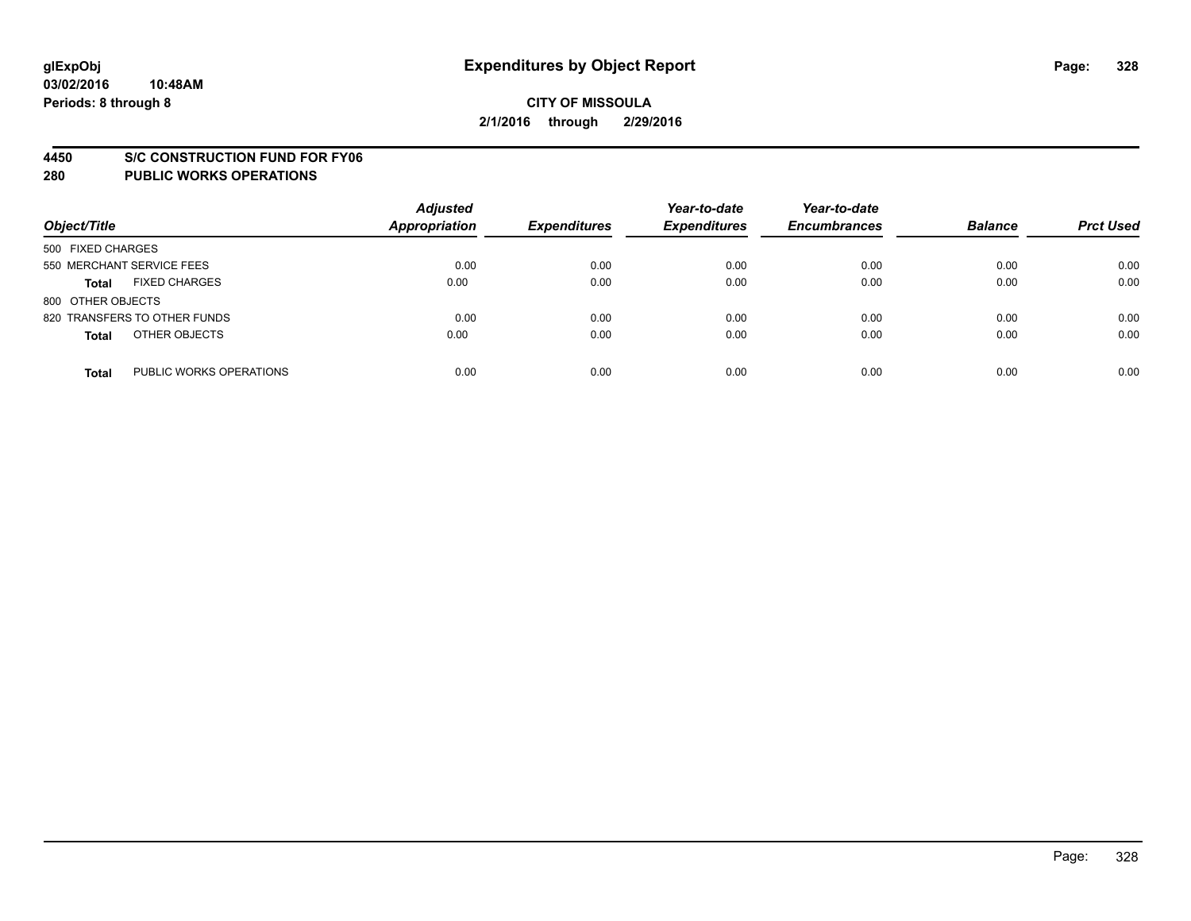#### **4450 S/C CONSTRUCTION FUND FOR FY06**

| Object/Title                            | <b>Adjusted</b><br><b>Appropriation</b> | <b>Expenditures</b> | Year-to-date<br><b>Expenditures</b> | Year-to-date<br><b>Encumbrances</b> | <b>Balance</b> | <b>Prct Used</b> |
|-----------------------------------------|-----------------------------------------|---------------------|-------------------------------------|-------------------------------------|----------------|------------------|
| 500 FIXED CHARGES                       |                                         |                     |                                     |                                     |                |                  |
| 550 MERCHANT SERVICE FEES               | 0.00                                    | 0.00                | 0.00                                | 0.00                                | 0.00           | 0.00             |
| <b>FIXED CHARGES</b><br><b>Total</b>    | 0.00                                    | 0.00                | 0.00                                | 0.00                                | 0.00           | 0.00             |
| 800 OTHER OBJECTS                       |                                         |                     |                                     |                                     |                |                  |
| 820 TRANSFERS TO OTHER FUNDS            | 0.00                                    | 0.00                | 0.00                                | 0.00                                | 0.00           | 0.00             |
| OTHER OBJECTS<br><b>Total</b>           | 0.00                                    | 0.00                | 0.00                                | 0.00                                | 0.00           | 0.00             |
| PUBLIC WORKS OPERATIONS<br><b>Total</b> | 0.00                                    | 0.00                | 0.00                                | 0.00                                | 0.00           | 0.00             |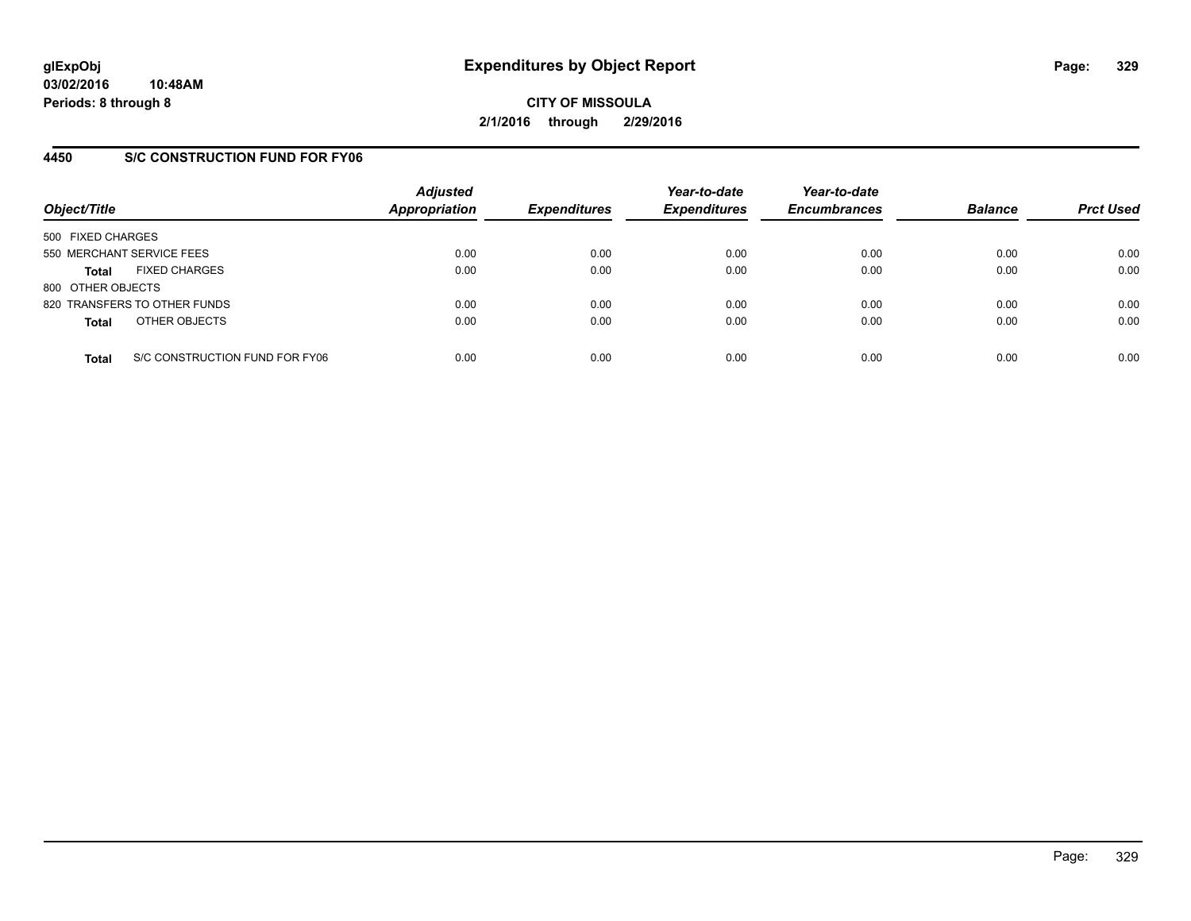## **4450 S/C CONSTRUCTION FUND FOR FY06**

| Object/Title                         |                                | <b>Adjusted</b><br><b>Appropriation</b> | <b>Expenditures</b> | Year-to-date<br><b>Expenditures</b> | Year-to-date<br><b>Encumbrances</b> | <b>Balance</b> | <b>Prct Used</b> |
|--------------------------------------|--------------------------------|-----------------------------------------|---------------------|-------------------------------------|-------------------------------------|----------------|------------------|
| 500 FIXED CHARGES                    |                                |                                         |                     |                                     |                                     |                |                  |
| 550 MERCHANT SERVICE FEES            |                                | 0.00                                    | 0.00                | 0.00                                | 0.00                                | 0.00           | 0.00             |
| <b>FIXED CHARGES</b><br><b>Total</b> |                                | 0.00                                    | 0.00                | 0.00                                | 0.00                                | 0.00           | 0.00             |
| 800 OTHER OBJECTS                    |                                |                                         |                     |                                     |                                     |                |                  |
| 820 TRANSFERS TO OTHER FUNDS         |                                | 0.00                                    | 0.00                | 0.00                                | 0.00                                | 0.00           | 0.00             |
| OTHER OBJECTS<br><b>Total</b>        |                                | 0.00                                    | 0.00                | 0.00                                | 0.00                                | 0.00           | 0.00             |
| <b>Total</b>                         | S/C CONSTRUCTION FUND FOR FY06 | 0.00                                    | 0.00                | 0.00                                | 0.00                                | 0.00           | 0.00             |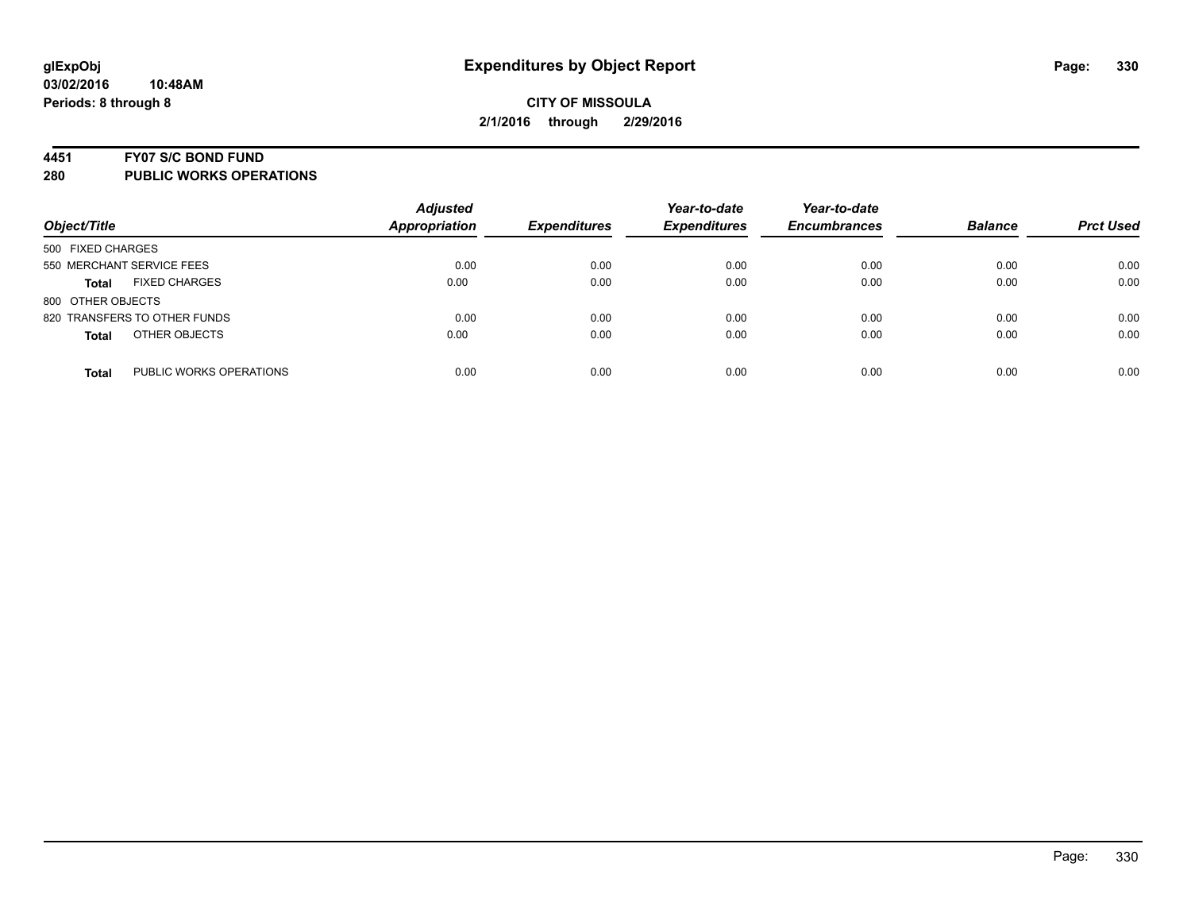## **CITY OF MISSOULA 2/1/2016 through 2/29/2016**

#### **4451 FY07 S/C BOND FUND**

| Object/Title                            | <b>Adjusted</b><br><b>Appropriation</b> | <b>Expenditures</b> | Year-to-date<br><b>Expenditures</b> | Year-to-date<br><b>Encumbrances</b> | <b>Balance</b> | <b>Prct Used</b> |
|-----------------------------------------|-----------------------------------------|---------------------|-------------------------------------|-------------------------------------|----------------|------------------|
| 500 FIXED CHARGES                       |                                         |                     |                                     |                                     |                |                  |
| 550 MERCHANT SERVICE FEES               | 0.00                                    | 0.00                | 0.00                                | 0.00                                | 0.00           | 0.00             |
| <b>FIXED CHARGES</b><br><b>Total</b>    | 0.00                                    | 0.00                | 0.00                                | 0.00                                | 0.00           | 0.00             |
| 800 OTHER OBJECTS                       |                                         |                     |                                     |                                     |                |                  |
| 820 TRANSFERS TO OTHER FUNDS            | 0.00                                    | 0.00                | 0.00                                | 0.00                                | 0.00           | 0.00             |
| OTHER OBJECTS<br><b>Total</b>           | 0.00                                    | 0.00                | 0.00                                | 0.00                                | 0.00           | 0.00             |
| PUBLIC WORKS OPERATIONS<br><b>Total</b> | 0.00                                    | 0.00                | 0.00                                | 0.00                                | 0.00           | 0.00             |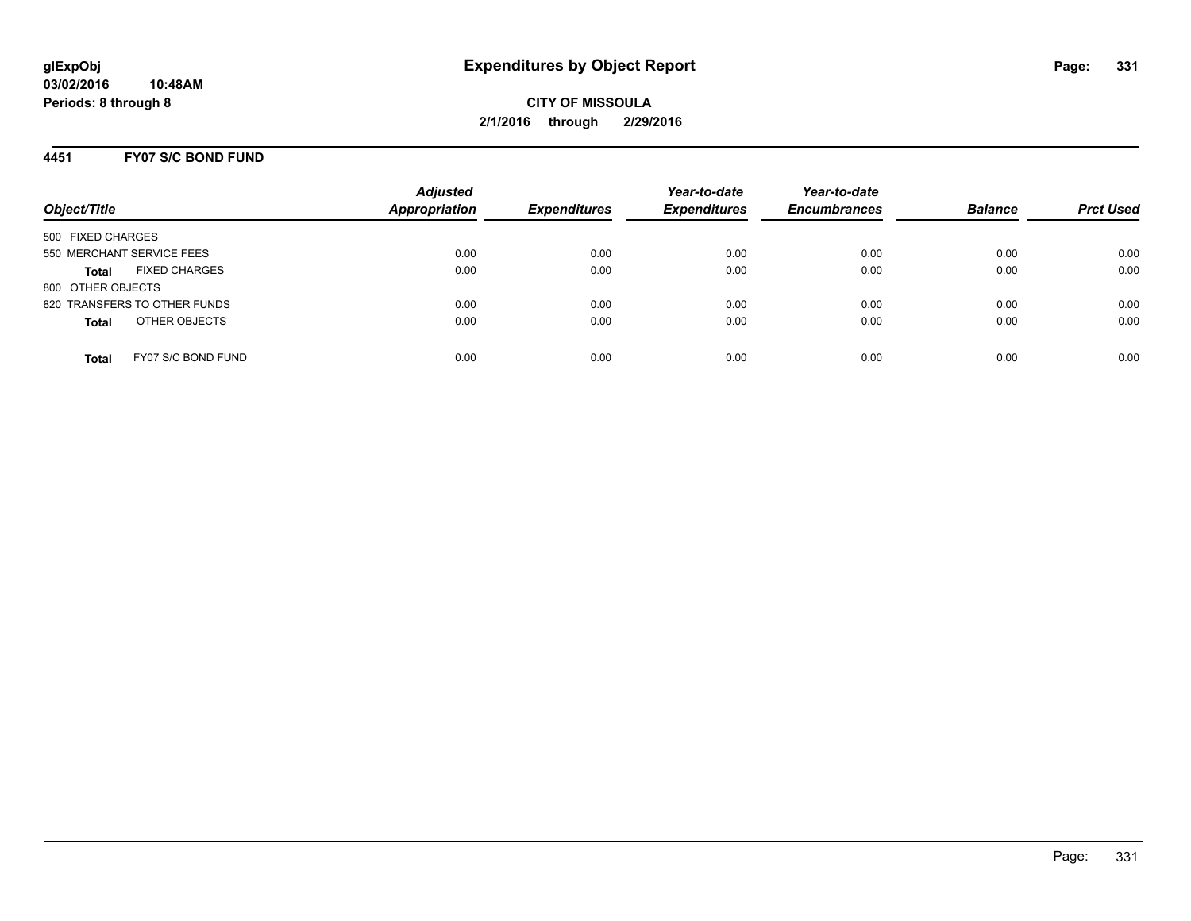## **4451 FY07 S/C BOND FUND**

| Object/Title                         | <b>Adjusted</b><br>Appropriation | <b>Expenditures</b> | Year-to-date<br><b>Expenditures</b> | Year-to-date<br><b>Encumbrances</b> | <b>Balance</b> | <b>Prct Used</b> |
|--------------------------------------|----------------------------------|---------------------|-------------------------------------|-------------------------------------|----------------|------------------|
| 500 FIXED CHARGES                    |                                  |                     |                                     |                                     |                |                  |
| 550 MERCHANT SERVICE FEES            | 0.00                             | 0.00                | 0.00                                | 0.00                                | 0.00           | 0.00             |
| <b>FIXED CHARGES</b><br><b>Total</b> | 0.00                             | 0.00                | 0.00                                | 0.00                                | 0.00           | 0.00             |
| 800 OTHER OBJECTS                    |                                  |                     |                                     |                                     |                |                  |
| 820 TRANSFERS TO OTHER FUNDS         | 0.00                             | 0.00                | 0.00                                | 0.00                                | 0.00           | 0.00             |
| OTHER OBJECTS<br><b>Total</b>        | 0.00                             | 0.00                | 0.00                                | 0.00                                | 0.00           | 0.00             |
| FY07 S/C BOND FUND<br><b>Total</b>   | 0.00                             | 0.00                | 0.00                                | 0.00                                | 0.00           | 0.00             |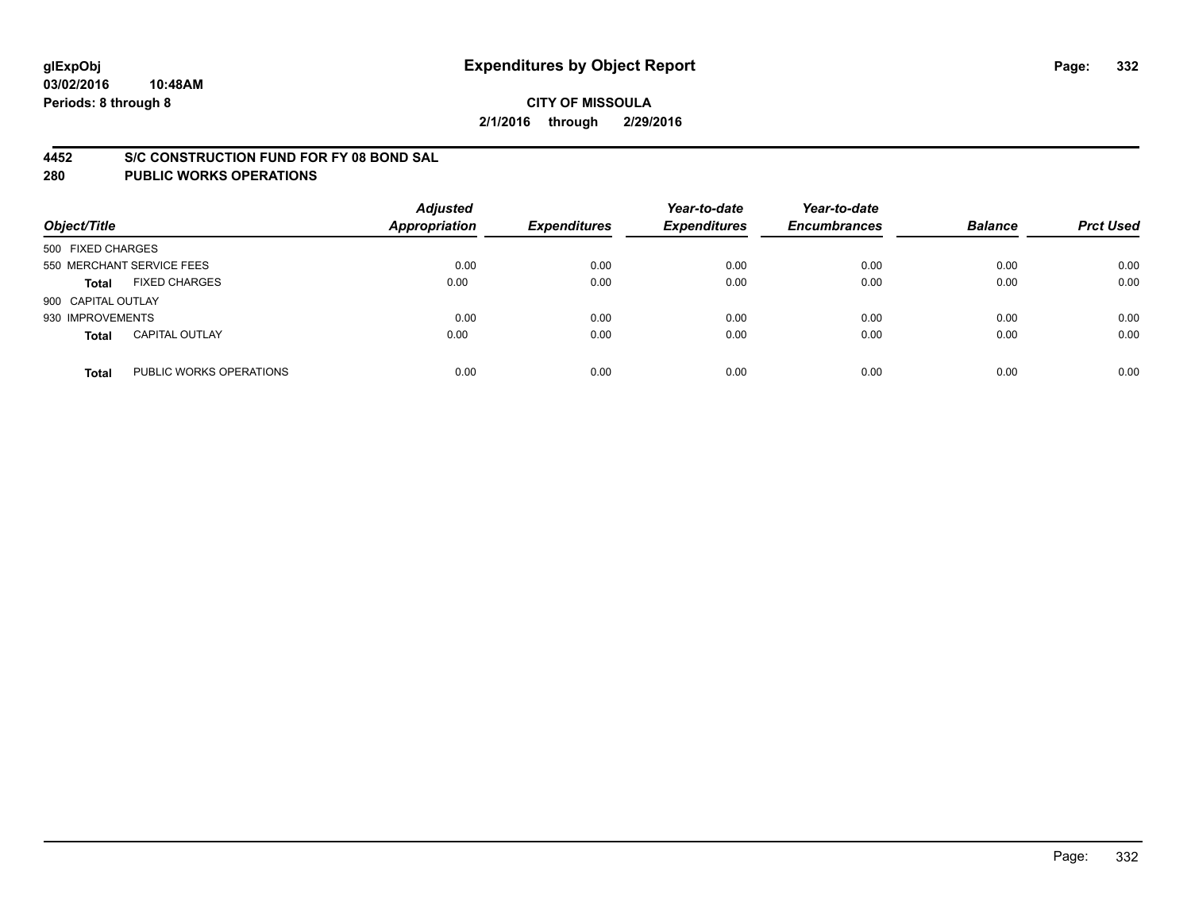#### **4452 S/C CONSTRUCTION FUND FOR FY 08 BOND SAL**

| Object/Title       |                           | <b>Adjusted</b><br><b>Appropriation</b> | <b>Expenditures</b> | Year-to-date<br><b>Expenditures</b> | Year-to-date<br><b>Encumbrances</b> | <b>Balance</b> | <b>Prct Used</b> |
|--------------------|---------------------------|-----------------------------------------|---------------------|-------------------------------------|-------------------------------------|----------------|------------------|
| 500 FIXED CHARGES  |                           |                                         |                     |                                     |                                     |                |                  |
|                    | 550 MERCHANT SERVICE FEES | 0.00                                    | 0.00                | 0.00                                | 0.00                                | 0.00           | 0.00             |
| <b>Total</b>       | <b>FIXED CHARGES</b>      | 0.00                                    | 0.00                | 0.00                                | 0.00                                | 0.00           | 0.00             |
| 900 CAPITAL OUTLAY |                           |                                         |                     |                                     |                                     |                |                  |
| 930 IMPROVEMENTS   |                           | 0.00                                    | 0.00                | 0.00                                | 0.00                                | 0.00           | 0.00             |
| <b>Total</b>       | <b>CAPITAL OUTLAY</b>     | 0.00                                    | 0.00                | 0.00                                | 0.00                                | 0.00           | 0.00             |
| <b>Total</b>       | PUBLIC WORKS OPERATIONS   | 0.00                                    | 0.00                | 0.00                                | 0.00                                | 0.00           | 0.00             |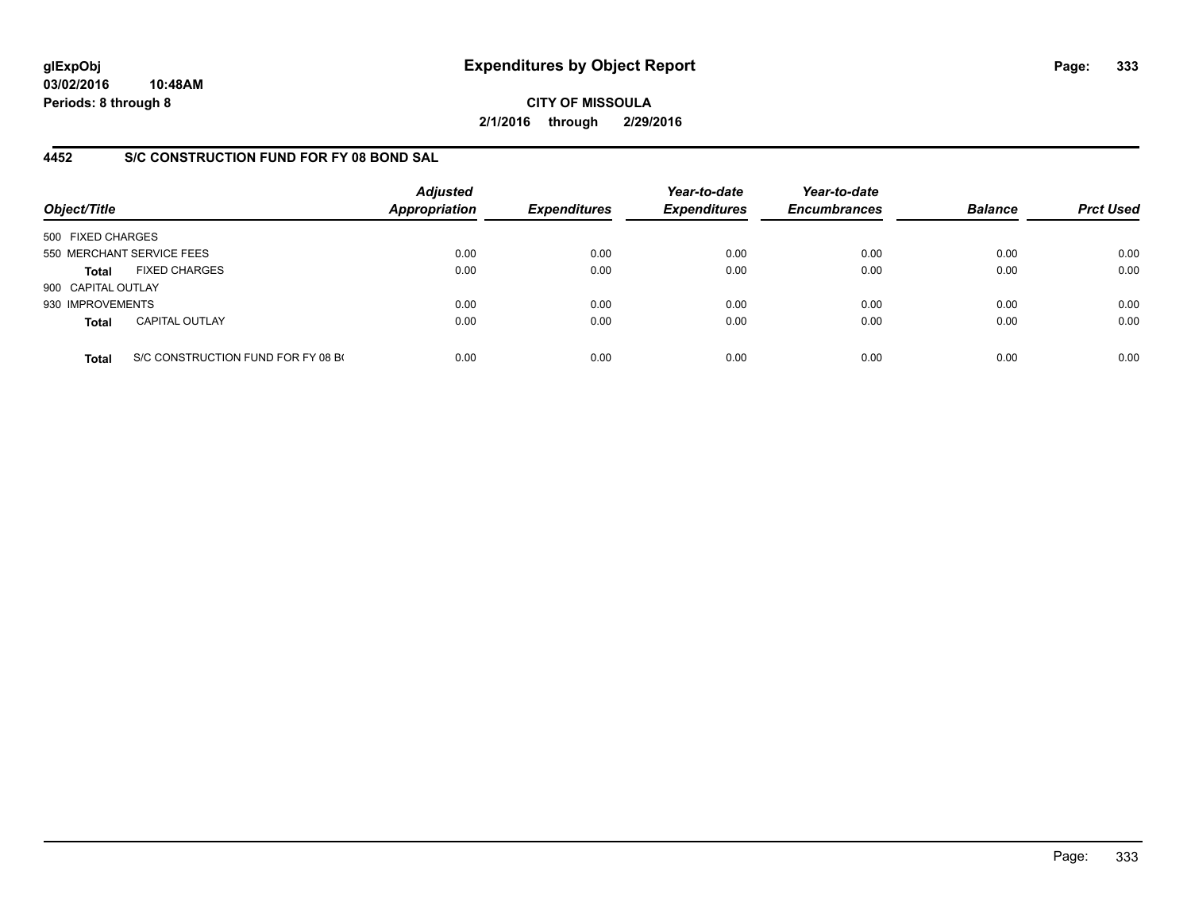**CITY OF MISSOULA 2/1/2016 through 2/29/2016**

## **4452 S/C CONSTRUCTION FUND FOR FY 08 BOND SAL**

| Object/Title       |                                    | <b>Adjusted</b><br>Appropriation | <b>Expenditures</b> | Year-to-date<br><b>Expenditures</b> | Year-to-date<br><b>Encumbrances</b> | <b>Balance</b> | <b>Prct Used</b> |
|--------------------|------------------------------------|----------------------------------|---------------------|-------------------------------------|-------------------------------------|----------------|------------------|
| 500 FIXED CHARGES  |                                    |                                  |                     |                                     |                                     |                |                  |
|                    | 550 MERCHANT SERVICE FEES          | 0.00                             | 0.00                | 0.00                                | 0.00                                | 0.00           | 0.00             |
| <b>Total</b>       | <b>FIXED CHARGES</b>               | 0.00                             | 0.00                | 0.00                                | 0.00                                | 0.00           | 0.00             |
| 900 CAPITAL OUTLAY |                                    |                                  |                     |                                     |                                     |                |                  |
| 930 IMPROVEMENTS   |                                    | 0.00                             | 0.00                | 0.00                                | 0.00                                | 0.00           | 0.00             |
| <b>Total</b>       | <b>CAPITAL OUTLAY</b>              | 0.00                             | 0.00                | 0.00                                | 0.00                                | 0.00           | 0.00             |
| <b>Total</b>       | S/C CONSTRUCTION FUND FOR FY 08 BO | 0.00                             | 0.00                | 0.00                                | 0.00                                | 0.00           | 0.00             |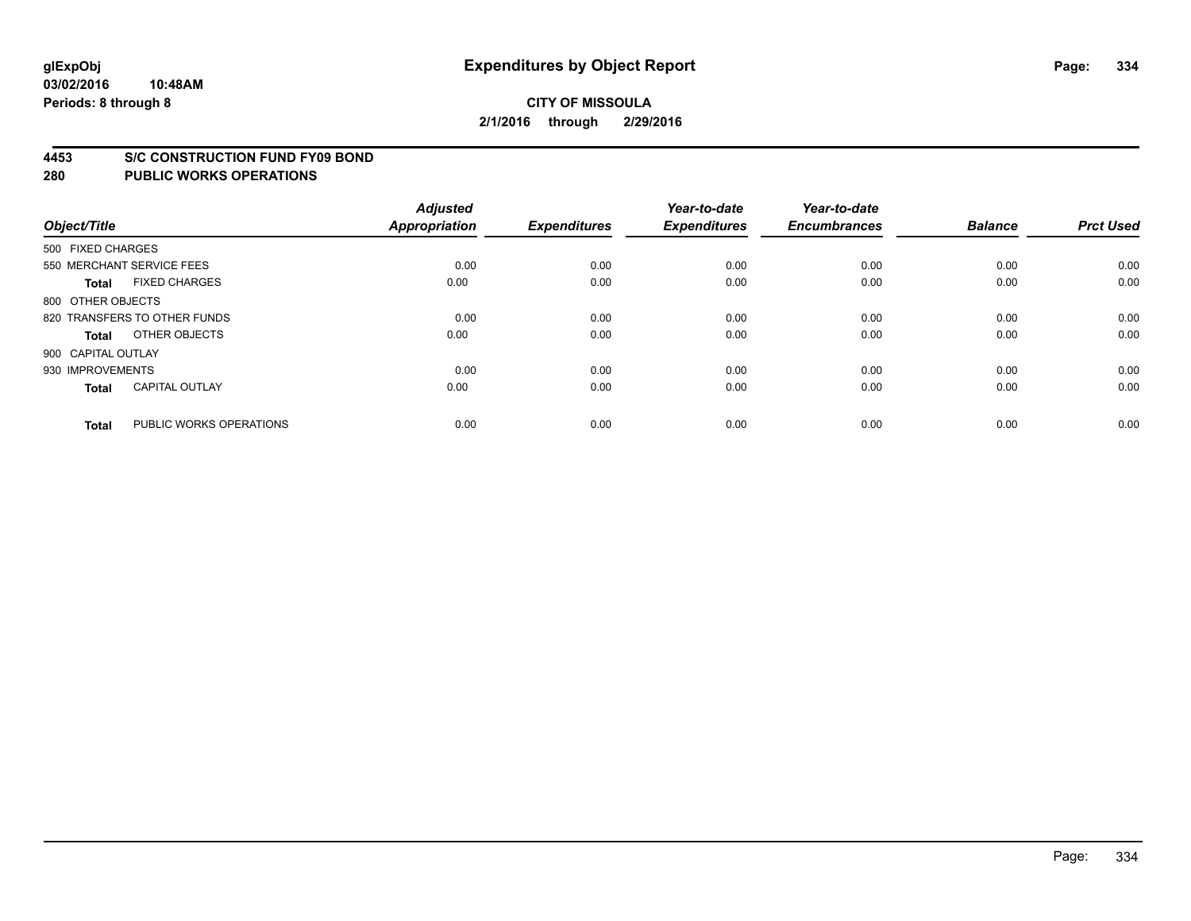### **CITY OF MISSOULA 2/1/2016 through 2/29/2016**

#### **4453 S/C CONSTRUCTION FUND FY09 BOND**

| Object/Title       |                              | <b>Adjusted</b><br><b>Appropriation</b> | <b>Expenditures</b> | Year-to-date<br><b>Expenditures</b> | Year-to-date<br><b>Encumbrances</b> | <b>Balance</b> | <b>Prct Used</b> |
|--------------------|------------------------------|-----------------------------------------|---------------------|-------------------------------------|-------------------------------------|----------------|------------------|
| 500 FIXED CHARGES  |                              |                                         |                     |                                     |                                     |                |                  |
|                    | 550 MERCHANT SERVICE FEES    | 0.00                                    | 0.00                | 0.00                                | 0.00                                | 0.00           | 0.00             |
| <b>Total</b>       | <b>FIXED CHARGES</b>         | 0.00                                    | 0.00                | 0.00                                | 0.00                                | 0.00           | 0.00             |
| 800 OTHER OBJECTS  |                              |                                         |                     |                                     |                                     |                |                  |
|                    | 820 TRANSFERS TO OTHER FUNDS | 0.00                                    | 0.00                | 0.00                                | 0.00                                | 0.00           | 0.00             |
| Total              | OTHER OBJECTS                | 0.00                                    | 0.00                | 0.00                                | 0.00                                | 0.00           | 0.00             |
| 900 CAPITAL OUTLAY |                              |                                         |                     |                                     |                                     |                |                  |
| 930 IMPROVEMENTS   |                              | 0.00                                    | 0.00                | 0.00                                | 0.00                                | 0.00           | 0.00             |
| <b>Total</b>       | <b>CAPITAL OUTLAY</b>        | 0.00                                    | 0.00                | 0.00                                | 0.00                                | 0.00           | 0.00             |
| <b>Total</b>       | PUBLIC WORKS OPERATIONS      | 0.00                                    | 0.00                | 0.00                                | 0.00                                | 0.00           | 0.00             |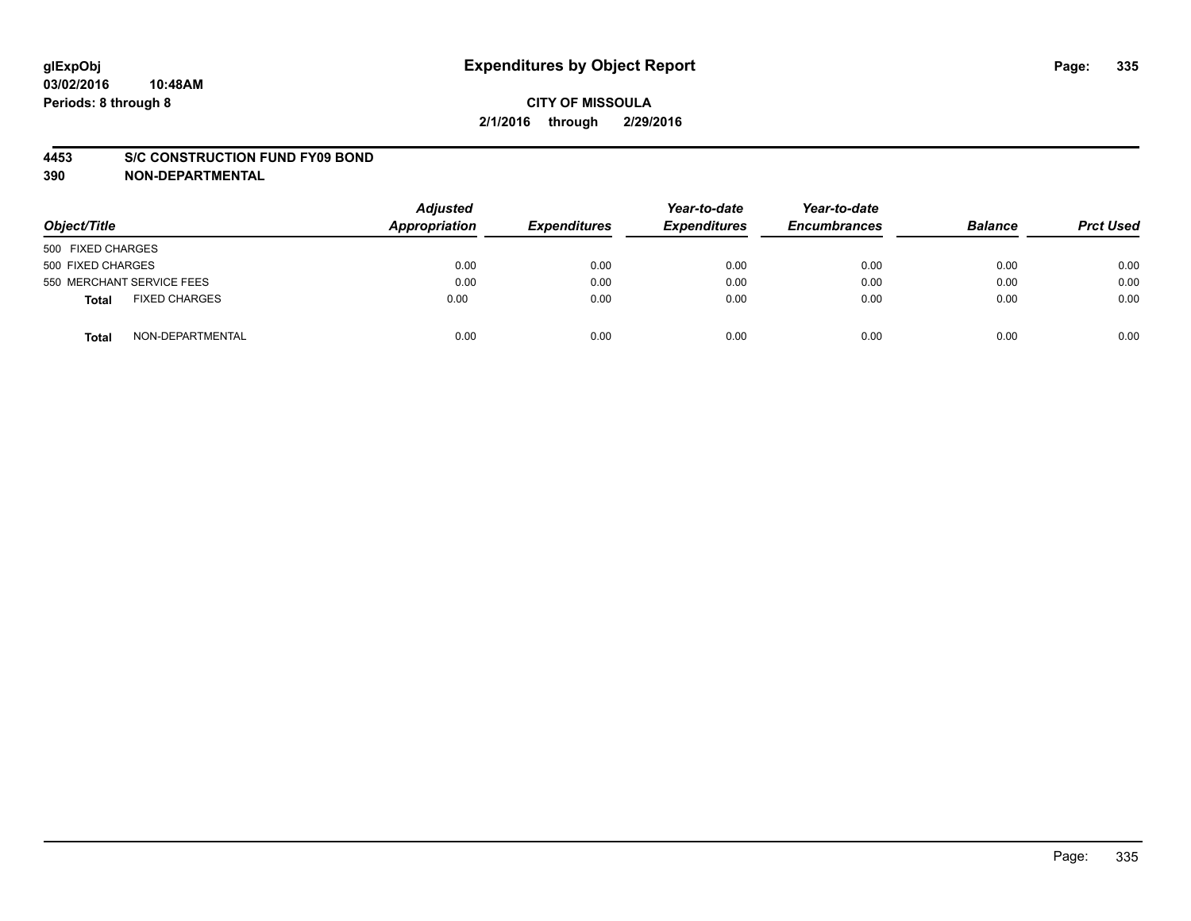#### **4453 S/C CONSTRUCTION FUND FY09 BOND**

**390 NON-DEPARTMENTAL**

| Object/Title                         | <b>Adjusted</b><br><b>Appropriation</b> | <b>Expenditures</b> | Year-to-date<br><b>Expenditures</b> | Year-to-date<br><b>Encumbrances</b> | <b>Balance</b> | <b>Prct Used</b> |
|--------------------------------------|-----------------------------------------|---------------------|-------------------------------------|-------------------------------------|----------------|------------------|
| 500 FIXED CHARGES                    |                                         |                     |                                     |                                     |                |                  |
| 500 FIXED CHARGES                    | 0.00                                    | 0.00                | 0.00                                | 0.00                                | 0.00           | 0.00             |
| 550 MERCHANT SERVICE FEES            | 0.00                                    | 0.00                | 0.00                                | 0.00                                | 0.00           | 0.00             |
| <b>FIXED CHARGES</b><br><b>Total</b> | 0.00                                    | 0.00                | 0.00                                | 0.00                                | 0.00           | 0.00             |
| NON-DEPARTMENTAL<br>Total            | 0.00                                    | 0.00                | 0.00                                | 0.00                                | 0.00           | 0.00             |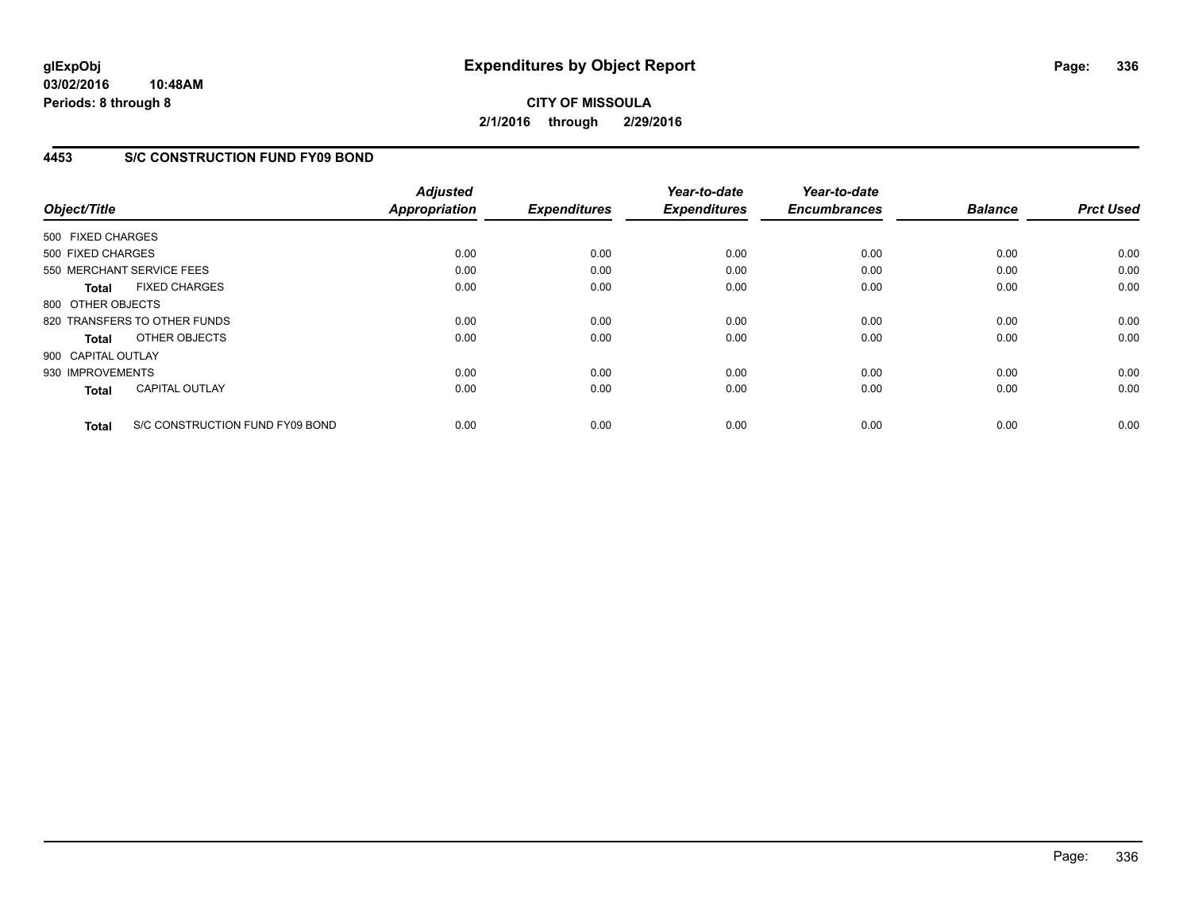## **4453 S/C CONSTRUCTION FUND FY09 BOND**

| Object/Title       |                                 | <b>Adjusted</b><br>Appropriation | <b>Expenditures</b> | Year-to-date<br><b>Expenditures</b> | Year-to-date<br><b>Encumbrances</b> | <b>Balance</b> | <b>Prct Used</b> |
|--------------------|---------------------------------|----------------------------------|---------------------|-------------------------------------|-------------------------------------|----------------|------------------|
| 500 FIXED CHARGES  |                                 |                                  |                     |                                     |                                     |                |                  |
| 500 FIXED CHARGES  |                                 | 0.00                             | 0.00                | 0.00                                | 0.00                                | 0.00           | 0.00             |
|                    | 550 MERCHANT SERVICE FEES       | 0.00                             | 0.00                | 0.00                                | 0.00                                | 0.00           | 0.00             |
| <b>Total</b>       | <b>FIXED CHARGES</b>            | 0.00                             | 0.00                | 0.00                                | 0.00                                | 0.00           | 0.00             |
| 800 OTHER OBJECTS  |                                 |                                  |                     |                                     |                                     |                |                  |
|                    | 820 TRANSFERS TO OTHER FUNDS    | 0.00                             | 0.00                | 0.00                                | 0.00                                | 0.00           | 0.00             |
| <b>Total</b>       | OTHER OBJECTS                   | 0.00                             | 0.00                | 0.00                                | 0.00                                | 0.00           | 0.00             |
| 900 CAPITAL OUTLAY |                                 |                                  |                     |                                     |                                     |                |                  |
| 930 IMPROVEMENTS   |                                 | 0.00                             | 0.00                | 0.00                                | 0.00                                | 0.00           | 0.00             |
| <b>Total</b>       | <b>CAPITAL OUTLAY</b>           | 0.00                             | 0.00                | 0.00                                | 0.00                                | 0.00           | 0.00             |
| <b>Total</b>       | S/C CONSTRUCTION FUND FY09 BOND | 0.00                             | 0.00                | 0.00                                | 0.00                                | 0.00           | 0.00             |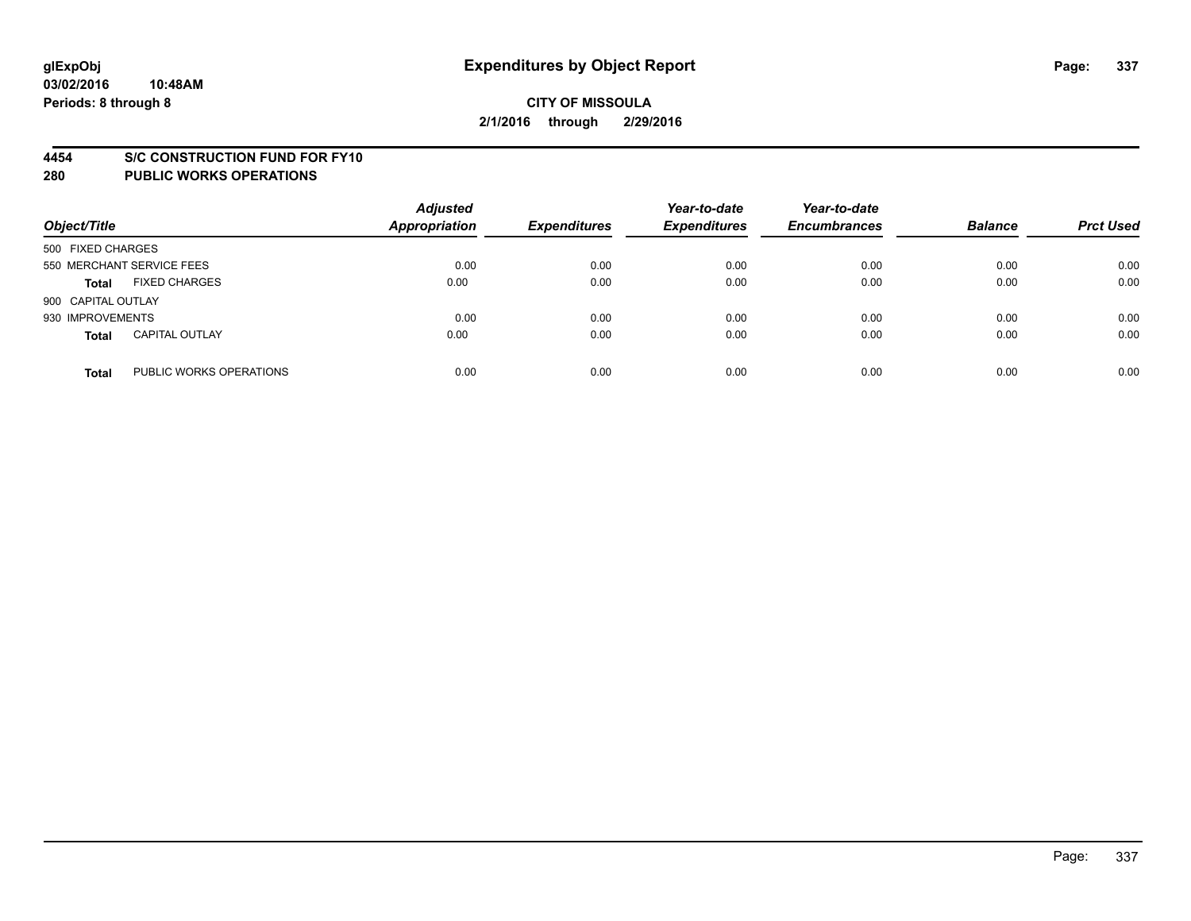#### **4454 S/C CONSTRUCTION FUND FOR FY10**

| Object/Title       |                           | <b>Adjusted</b><br><b>Appropriation</b> | <b>Expenditures</b> | Year-to-date<br><b>Expenditures</b> | Year-to-date<br><b>Encumbrances</b> | <b>Balance</b> | <b>Prct Used</b> |
|--------------------|---------------------------|-----------------------------------------|---------------------|-------------------------------------|-------------------------------------|----------------|------------------|
| 500 FIXED CHARGES  |                           |                                         |                     |                                     |                                     |                |                  |
|                    | 550 MERCHANT SERVICE FEES | 0.00                                    | 0.00                | 0.00                                | 0.00                                | 0.00           | 0.00             |
| <b>Total</b>       | <b>FIXED CHARGES</b>      | 0.00                                    | 0.00                | 0.00                                | 0.00                                | 0.00           | 0.00             |
| 900 CAPITAL OUTLAY |                           |                                         |                     |                                     |                                     |                |                  |
| 930 IMPROVEMENTS   |                           | 0.00                                    | 0.00                | 0.00                                | 0.00                                | 0.00           | 0.00             |
| <b>Total</b>       | <b>CAPITAL OUTLAY</b>     | 0.00                                    | 0.00                | 0.00                                | 0.00                                | 0.00           | 0.00             |
| <b>Total</b>       | PUBLIC WORKS OPERATIONS   | 0.00                                    | 0.00                | 0.00                                | 0.00                                | 0.00           | 0.00             |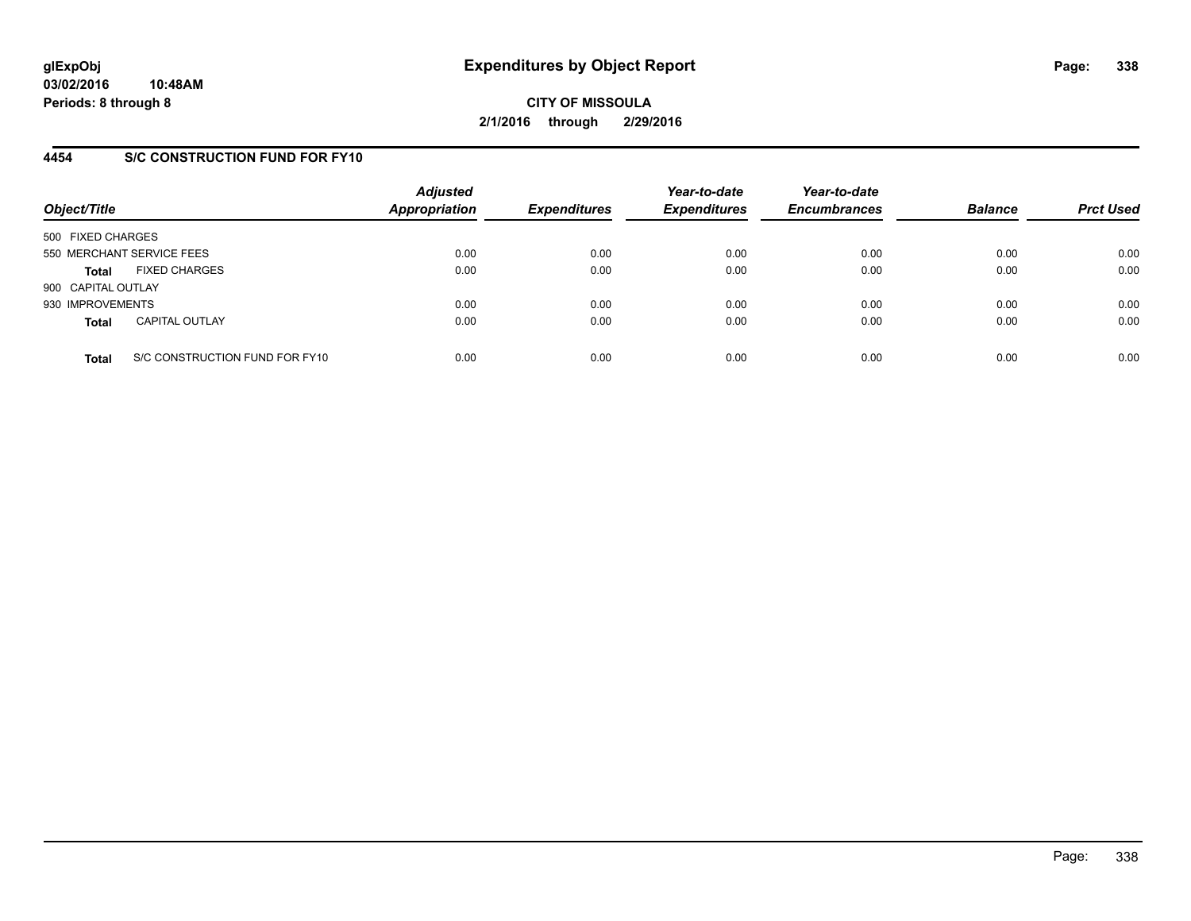### **4454 S/C CONSTRUCTION FUND FOR FY10**

| Object/Title       |                                | <b>Adjusted</b><br><b>Appropriation</b> | <b>Expenditures</b> | Year-to-date<br><b>Expenditures</b> | Year-to-date<br><b>Encumbrances</b> | <b>Balance</b> | <b>Prct Used</b> |
|--------------------|--------------------------------|-----------------------------------------|---------------------|-------------------------------------|-------------------------------------|----------------|------------------|
| 500 FIXED CHARGES  |                                |                                         |                     |                                     |                                     |                |                  |
|                    | 550 MERCHANT SERVICE FEES      | 0.00                                    | 0.00                | 0.00                                | 0.00                                | 0.00           | 0.00             |
| <b>Total</b>       | <b>FIXED CHARGES</b>           | 0.00                                    | 0.00                | 0.00                                | 0.00                                | 0.00           | 0.00             |
| 900 CAPITAL OUTLAY |                                |                                         |                     |                                     |                                     |                |                  |
| 930 IMPROVEMENTS   |                                | 0.00                                    | 0.00                | 0.00                                | 0.00                                | 0.00           | 0.00             |
| <b>Total</b>       | <b>CAPITAL OUTLAY</b>          | 0.00                                    | 0.00                | 0.00                                | 0.00                                | 0.00           | 0.00             |
| <b>Total</b>       | S/C CONSTRUCTION FUND FOR FY10 | 0.00                                    | 0.00                | 0.00                                | 0.00                                | 0.00           | 0.00             |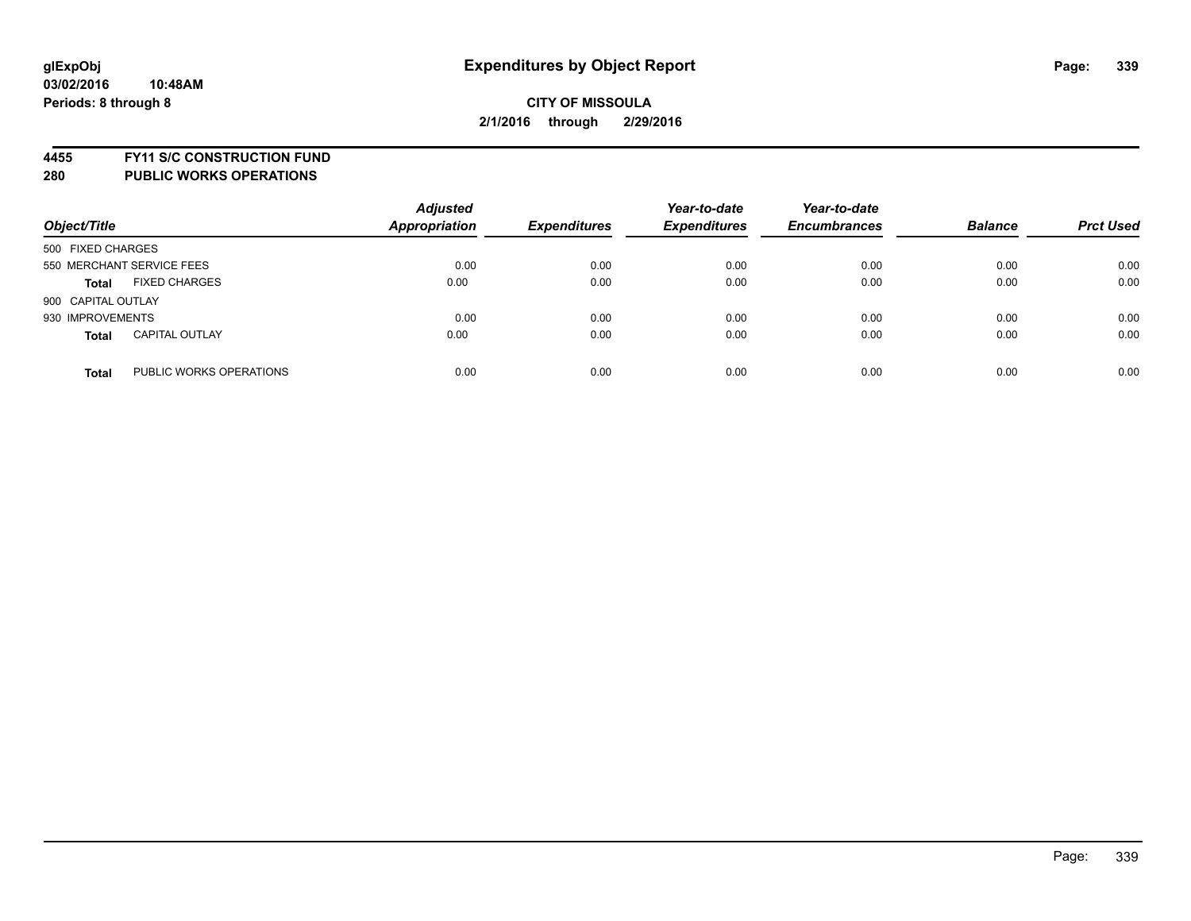**4455 FY11 S/C CONSTRUCTION FUND**

| Object/Title                            | <b>Adjusted</b><br><b>Appropriation</b> | <b>Expenditures</b> | Year-to-date<br><b>Expenditures</b> | Year-to-date<br><b>Encumbrances</b> | <b>Balance</b> | <b>Prct Used</b> |
|-----------------------------------------|-----------------------------------------|---------------------|-------------------------------------|-------------------------------------|----------------|------------------|
| 500 FIXED CHARGES                       |                                         |                     |                                     |                                     |                |                  |
| 550 MERCHANT SERVICE FEES               | 0.00                                    | 0.00                | 0.00                                | 0.00                                | 0.00           | 0.00             |
| <b>FIXED CHARGES</b><br><b>Total</b>    | 0.00                                    | 0.00                | 0.00                                | 0.00                                | 0.00           | 0.00             |
| 900 CAPITAL OUTLAY                      |                                         |                     |                                     |                                     |                |                  |
| 930 IMPROVEMENTS                        | 0.00                                    | 0.00                | 0.00                                | 0.00                                | 0.00           | 0.00             |
| <b>CAPITAL OUTLAY</b><br><b>Total</b>   | 0.00                                    | 0.00                | 0.00                                | 0.00                                | 0.00           | 0.00             |
| PUBLIC WORKS OPERATIONS<br><b>Total</b> | 0.00                                    | 0.00                | 0.00                                | 0.00                                | 0.00           | 0.00             |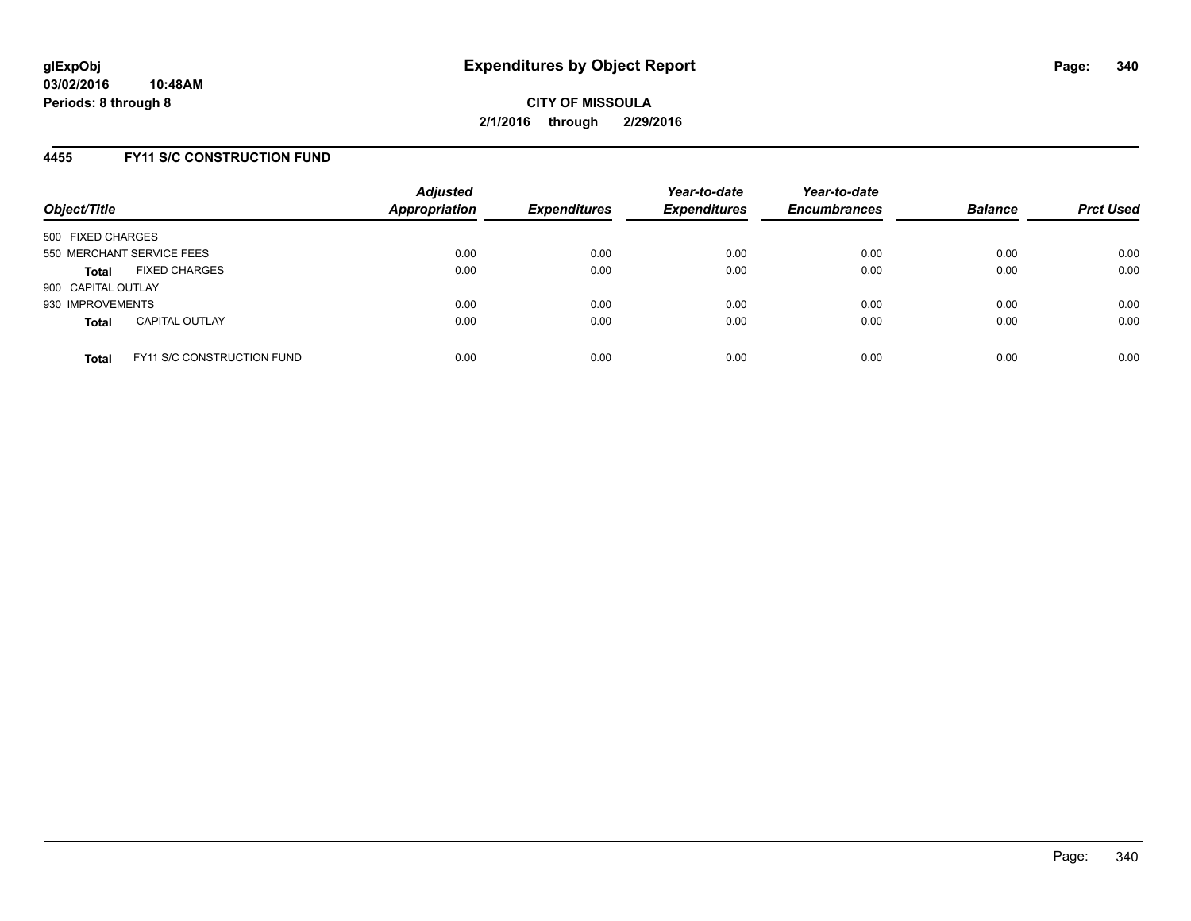### **4455 FY11 S/C CONSTRUCTION FUND**

| Object/Title                                      | <b>Adjusted</b><br><b>Appropriation</b> | <b>Expenditures</b> | Year-to-date<br><b>Expenditures</b> | Year-to-date<br><b>Encumbrances</b> | <b>Balance</b> | <b>Prct Used</b> |
|---------------------------------------------------|-----------------------------------------|---------------------|-------------------------------------|-------------------------------------|----------------|------------------|
| 500 FIXED CHARGES                                 |                                         |                     |                                     |                                     |                |                  |
| 550 MERCHANT SERVICE FEES                         | 0.00                                    | 0.00                | 0.00                                | 0.00                                | 0.00           | 0.00             |
| <b>FIXED CHARGES</b><br><b>Total</b>              | 0.00                                    | 0.00                | 0.00                                | 0.00                                | 0.00           | 0.00             |
| 900 CAPITAL OUTLAY                                |                                         |                     |                                     |                                     |                |                  |
| 930 IMPROVEMENTS                                  | 0.00                                    | 0.00                | 0.00                                | 0.00                                | 0.00           | 0.00             |
| <b>CAPITAL OUTLAY</b><br><b>Total</b>             | 0.00                                    | 0.00                | 0.00                                | 0.00                                | 0.00           | 0.00             |
| <b>FY11 S/C CONSTRUCTION FUND</b><br><b>Total</b> | 0.00                                    | 0.00                | 0.00                                | 0.00                                | 0.00           | 0.00             |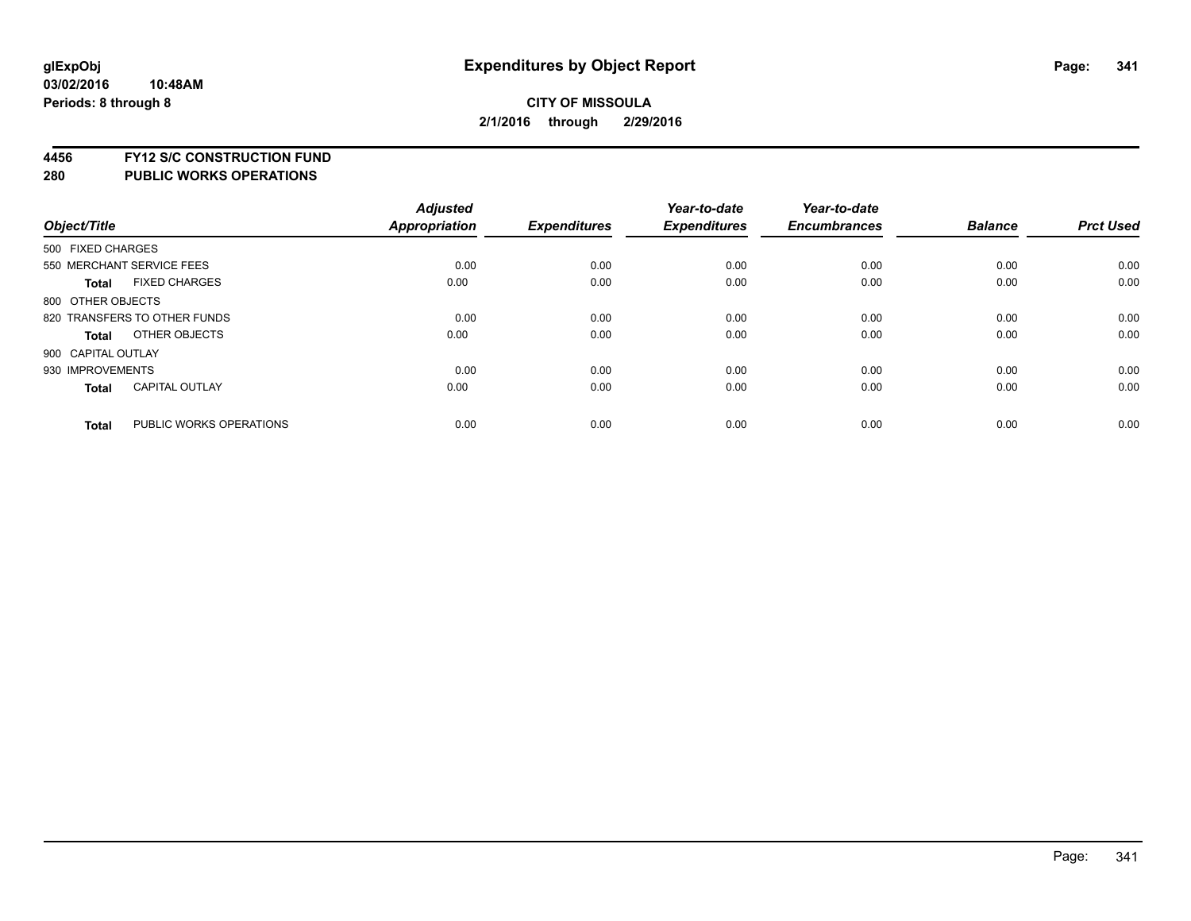## **CITY OF MISSOULA 2/1/2016 through 2/29/2016**

**4456 FY12 S/C CONSTRUCTION FUND**

|                    |                              | <b>Adjusted</b> |                     | Year-to-date        | Year-to-date        |                |                  |
|--------------------|------------------------------|-----------------|---------------------|---------------------|---------------------|----------------|------------------|
| Object/Title       |                              | Appropriation   | <b>Expenditures</b> | <b>Expenditures</b> | <b>Encumbrances</b> | <b>Balance</b> | <b>Prct Used</b> |
| 500 FIXED CHARGES  |                              |                 |                     |                     |                     |                |                  |
|                    | 550 MERCHANT SERVICE FEES    | 0.00            | 0.00                | 0.00                | 0.00                | 0.00           | 0.00             |
| <b>Total</b>       | <b>FIXED CHARGES</b>         | 0.00            | 0.00                | 0.00                | 0.00                | 0.00           | 0.00             |
| 800 OTHER OBJECTS  |                              |                 |                     |                     |                     |                |                  |
|                    | 820 TRANSFERS TO OTHER FUNDS | 0.00            | 0.00                | 0.00                | 0.00                | 0.00           | 0.00             |
| Total              | OTHER OBJECTS                | 0.00            | 0.00                | 0.00                | 0.00                | 0.00           | 0.00             |
| 900 CAPITAL OUTLAY |                              |                 |                     |                     |                     |                |                  |
| 930 IMPROVEMENTS   |                              | 0.00            | 0.00                | 0.00                | 0.00                | 0.00           | 0.00             |
| Total              | <b>CAPITAL OUTLAY</b>        | 0.00            | 0.00                | 0.00                | 0.00                | 0.00           | 0.00             |
| <b>Total</b>       | PUBLIC WORKS OPERATIONS      | 0.00            | 0.00                | 0.00                | 0.00                | 0.00           | 0.00             |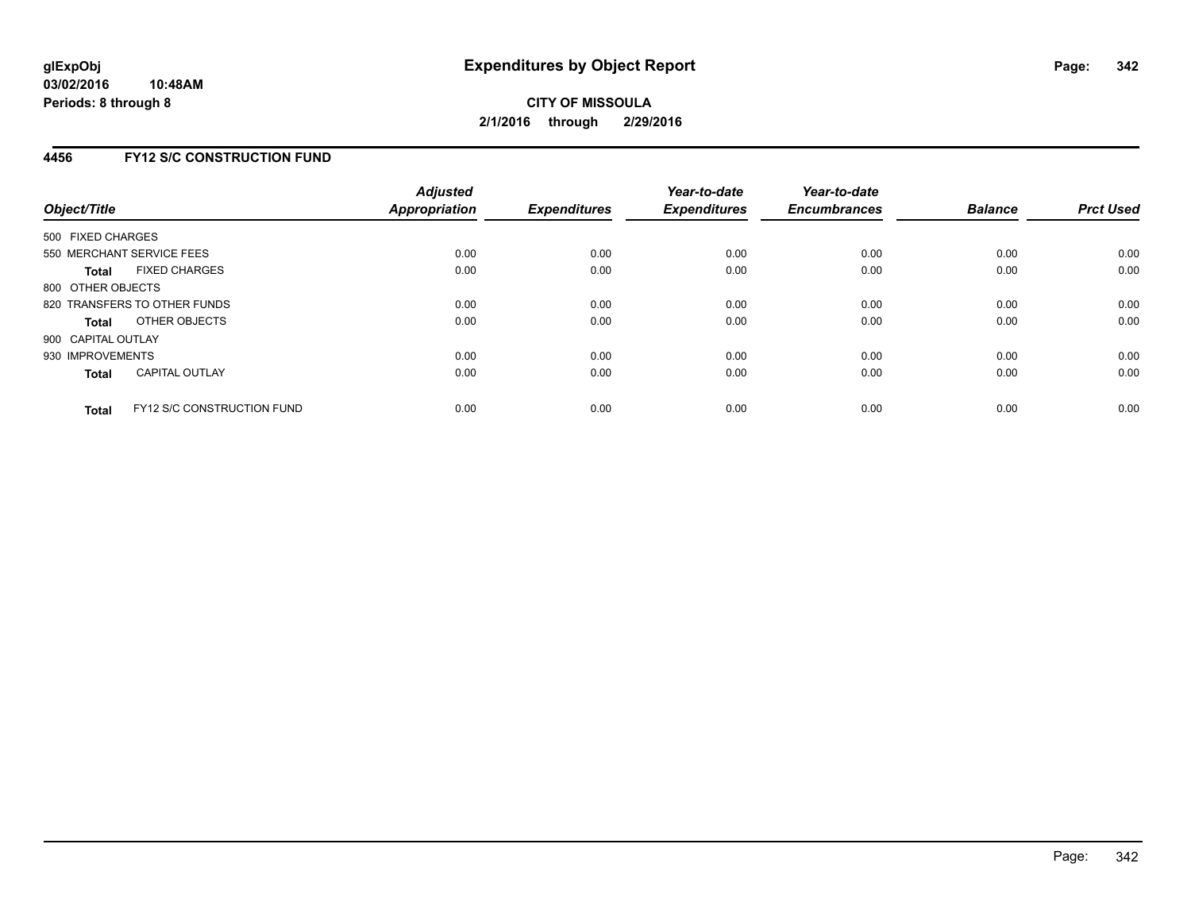### **4456 FY12 S/C CONSTRUCTION FUND**

| Object/Title       |                                   | <b>Adjusted</b><br><b>Appropriation</b> | <b>Expenditures</b> | Year-to-date<br><b>Expenditures</b> | Year-to-date<br><b>Encumbrances</b> | <b>Balance</b> | <b>Prct Used</b> |
|--------------------|-----------------------------------|-----------------------------------------|---------------------|-------------------------------------|-------------------------------------|----------------|------------------|
| 500 FIXED CHARGES  |                                   |                                         |                     |                                     |                                     |                |                  |
|                    | 550 MERCHANT SERVICE FEES         | 0.00                                    | 0.00                | 0.00                                | 0.00                                | 0.00           | 0.00             |
| <b>Total</b>       | <b>FIXED CHARGES</b>              | 0.00                                    | 0.00                | 0.00                                | 0.00                                | 0.00           | 0.00             |
| 800 OTHER OBJECTS  |                                   |                                         |                     |                                     |                                     |                |                  |
|                    | 820 TRANSFERS TO OTHER FUNDS      | 0.00                                    | 0.00                | 0.00                                | 0.00                                | 0.00           | 0.00             |
| <b>Total</b>       | OTHER OBJECTS                     | 0.00                                    | 0.00                | 0.00                                | 0.00                                | 0.00           | 0.00             |
| 900 CAPITAL OUTLAY |                                   |                                         |                     |                                     |                                     |                |                  |
| 930 IMPROVEMENTS   |                                   | 0.00                                    | 0.00                | 0.00                                | 0.00                                | 0.00           | 0.00             |
| Total              | <b>CAPITAL OUTLAY</b>             | 0.00                                    | 0.00                | 0.00                                | 0.00                                | 0.00           | 0.00             |
| <b>Total</b>       | <b>FY12 S/C CONSTRUCTION FUND</b> | 0.00                                    | 0.00                | 0.00                                | 0.00                                | 0.00           | 0.00             |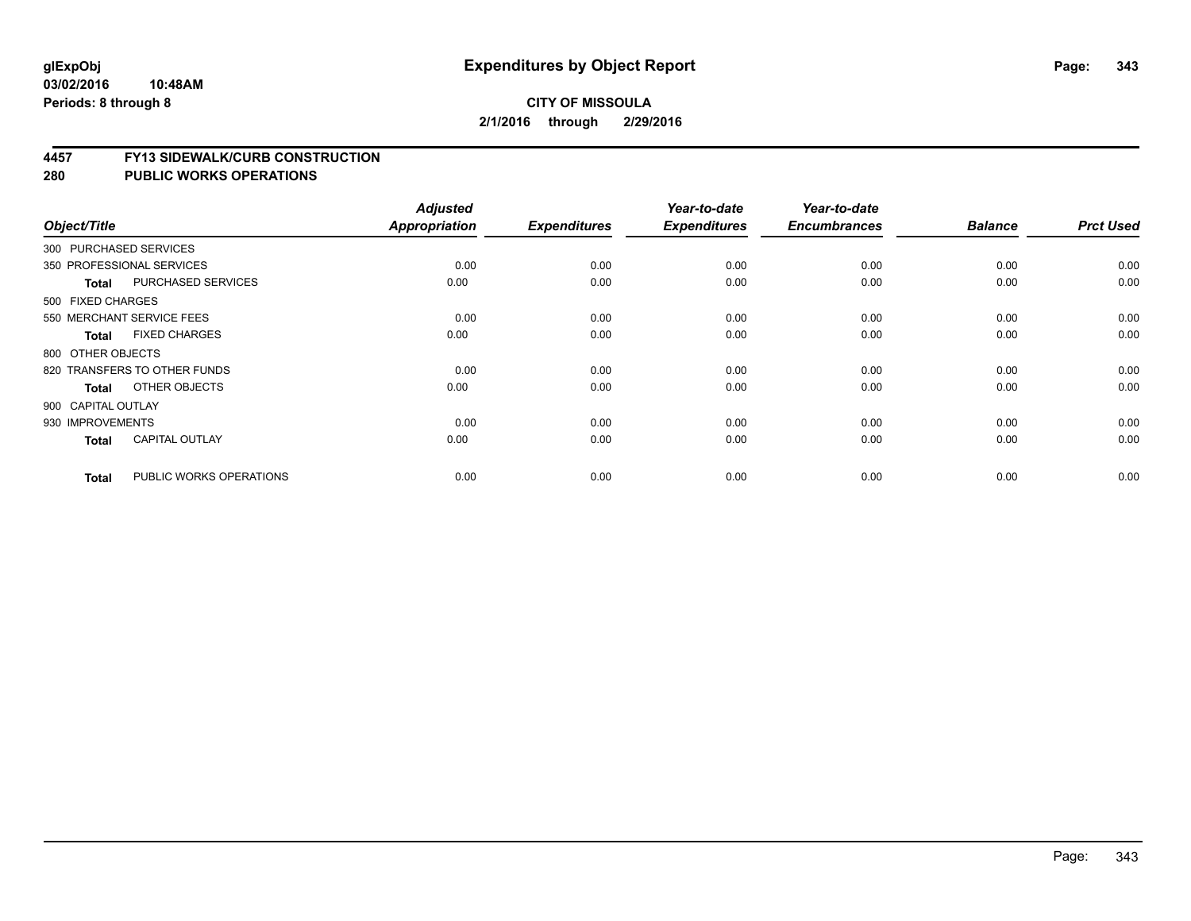### **CITY OF MISSOULA 2/1/2016 through 2/29/2016**

#### **4457 FY13 SIDEWALK/CURB CONSTRUCTION**

|                    |                              | <b>Adjusted</b> |                     | Year-to-date        | Year-to-date        |                |                  |
|--------------------|------------------------------|-----------------|---------------------|---------------------|---------------------|----------------|------------------|
| Object/Title       |                              | Appropriation   | <b>Expenditures</b> | <b>Expenditures</b> | <b>Encumbrances</b> | <b>Balance</b> | <b>Prct Used</b> |
|                    | 300 PURCHASED SERVICES       |                 |                     |                     |                     |                |                  |
|                    | 350 PROFESSIONAL SERVICES    | 0.00            | 0.00                | 0.00                | 0.00                | 0.00           | 0.00             |
| Total              | PURCHASED SERVICES           | 0.00            | 0.00                | 0.00                | 0.00                | 0.00           | 0.00             |
| 500 FIXED CHARGES  |                              |                 |                     |                     |                     |                |                  |
|                    | 550 MERCHANT SERVICE FEES    | 0.00            | 0.00                | 0.00                | 0.00                | 0.00           | 0.00             |
| <b>Total</b>       | <b>FIXED CHARGES</b>         | 0.00            | 0.00                | 0.00                | 0.00                | 0.00           | 0.00             |
| 800 OTHER OBJECTS  |                              |                 |                     |                     |                     |                |                  |
|                    | 820 TRANSFERS TO OTHER FUNDS | 0.00            | 0.00                | 0.00                | 0.00                | 0.00           | 0.00             |
| Total              | OTHER OBJECTS                | 0.00            | 0.00                | 0.00                | 0.00                | 0.00           | 0.00             |
| 900 CAPITAL OUTLAY |                              |                 |                     |                     |                     |                |                  |
| 930 IMPROVEMENTS   |                              | 0.00            | 0.00                | 0.00                | 0.00                | 0.00           | 0.00             |
| <b>Total</b>       | <b>CAPITAL OUTLAY</b>        | 0.00            | 0.00                | 0.00                | 0.00                | 0.00           | 0.00             |
| <b>Total</b>       | PUBLIC WORKS OPERATIONS      | 0.00            | 0.00                | 0.00                | 0.00                | 0.00           | 0.00             |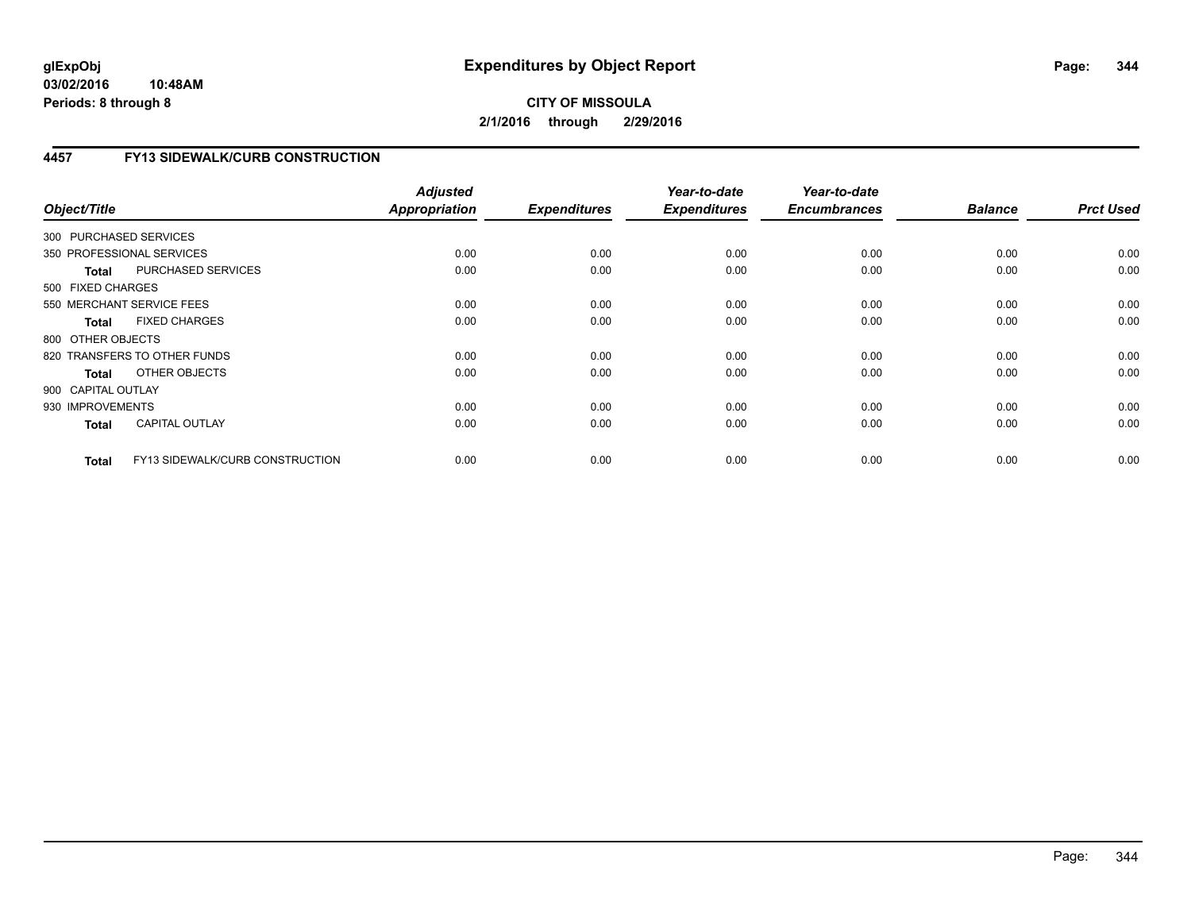## **CITY OF MISSOULA 2/1/2016 through 2/29/2016**

## **4457 FY13 SIDEWALK/CURB CONSTRUCTION**

| Object/Title           |                                 | <b>Adjusted</b><br>Appropriation | <b>Expenditures</b> | Year-to-date<br><b>Expenditures</b> | Year-to-date<br><b>Encumbrances</b> | <b>Balance</b> | <b>Prct Used</b> |
|------------------------|---------------------------------|----------------------------------|---------------------|-------------------------------------|-------------------------------------|----------------|------------------|
| 300 PURCHASED SERVICES |                                 |                                  |                     |                                     |                                     |                |                  |
|                        | 350 PROFESSIONAL SERVICES       | 0.00                             | 0.00                | 0.00                                | 0.00                                | 0.00           | 0.00             |
| <b>Total</b>           | PURCHASED SERVICES              | 0.00                             | 0.00                | 0.00                                | 0.00                                | 0.00           | 0.00             |
| 500 FIXED CHARGES      |                                 |                                  |                     |                                     |                                     |                |                  |
|                        | 550 MERCHANT SERVICE FEES       | 0.00                             | 0.00                | 0.00                                | 0.00                                | 0.00           | 0.00             |
| <b>Total</b>           | <b>FIXED CHARGES</b>            | 0.00                             | 0.00                | 0.00                                | 0.00                                | 0.00           | 0.00             |
| 800 OTHER OBJECTS      |                                 |                                  |                     |                                     |                                     |                |                  |
|                        | 820 TRANSFERS TO OTHER FUNDS    | 0.00                             | 0.00                | 0.00                                | 0.00                                | 0.00           | 0.00             |
| Total                  | OTHER OBJECTS                   | 0.00                             | 0.00                | 0.00                                | 0.00                                | 0.00           | 0.00             |
| 900 CAPITAL OUTLAY     |                                 |                                  |                     |                                     |                                     |                |                  |
| 930 IMPROVEMENTS       |                                 | 0.00                             | 0.00                | 0.00                                | 0.00                                | 0.00           | 0.00             |
| <b>Total</b>           | <b>CAPITAL OUTLAY</b>           | 0.00                             | 0.00                | 0.00                                | 0.00                                | 0.00           | 0.00             |
| <b>Total</b>           | FY13 SIDEWALK/CURB CONSTRUCTION | 0.00                             | 0.00                | 0.00                                | 0.00                                | 0.00           | 0.00             |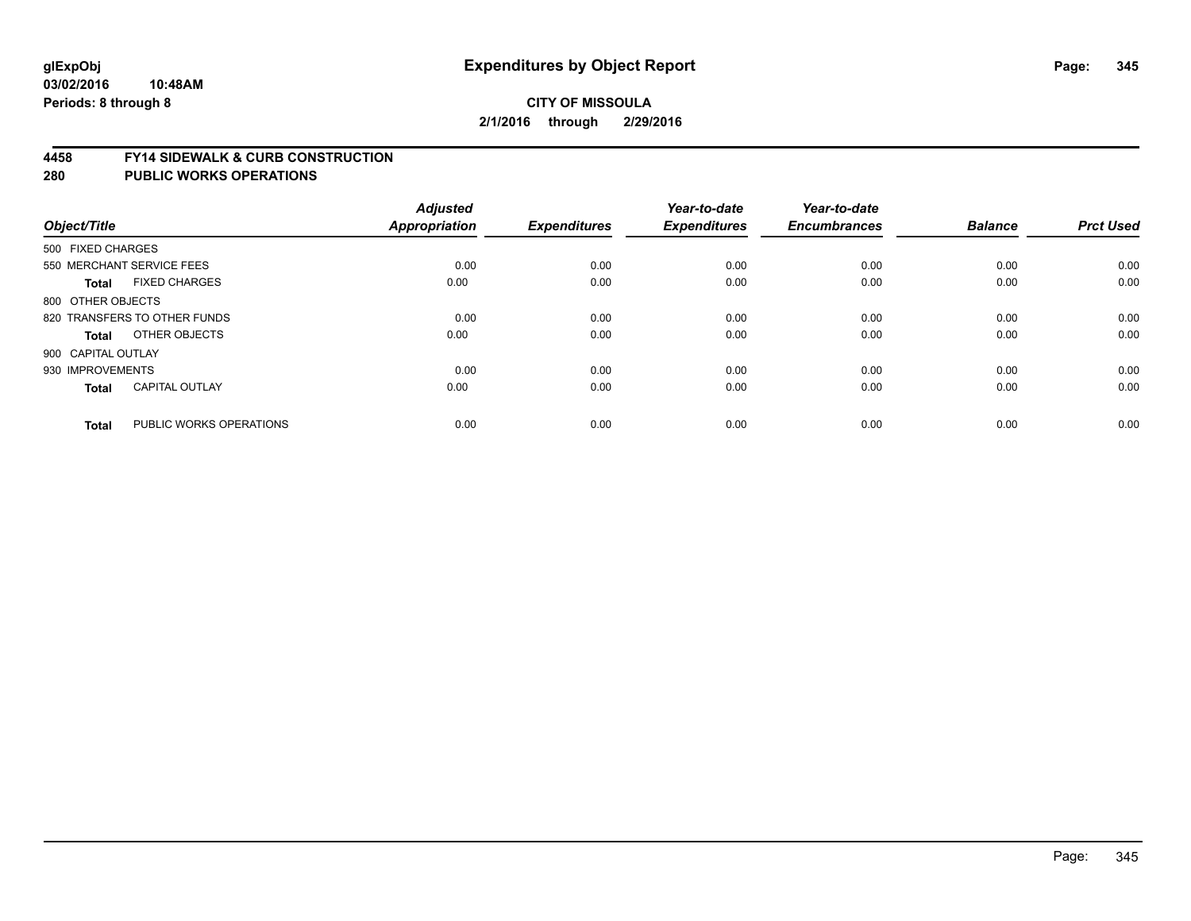### **CITY OF MISSOULA 2/1/2016 through 2/29/2016**

#### **4458 FY14 SIDEWALK & CURB CONSTRUCTION**

| Object/Title       |                              | <b>Adjusted</b><br>Appropriation | <b>Expenditures</b> | Year-to-date<br><b>Expenditures</b> | Year-to-date<br><b>Encumbrances</b> | <b>Balance</b> | <b>Prct Used</b> |
|--------------------|------------------------------|----------------------------------|---------------------|-------------------------------------|-------------------------------------|----------------|------------------|
| 500 FIXED CHARGES  |                              |                                  |                     |                                     |                                     |                |                  |
|                    | 550 MERCHANT SERVICE FEES    | 0.00                             | 0.00                | 0.00                                | 0.00                                | 0.00           | 0.00             |
| <b>Total</b>       | <b>FIXED CHARGES</b>         | 0.00                             | 0.00                | 0.00                                | 0.00                                | 0.00           | 0.00             |
| 800 OTHER OBJECTS  |                              |                                  |                     |                                     |                                     |                |                  |
|                    | 820 TRANSFERS TO OTHER FUNDS | 0.00                             | 0.00                | 0.00                                | 0.00                                | 0.00           | 0.00             |
| <b>Total</b>       | OTHER OBJECTS                | 0.00                             | 0.00                | 0.00                                | 0.00                                | 0.00           | 0.00             |
| 900 CAPITAL OUTLAY |                              |                                  |                     |                                     |                                     |                |                  |
| 930 IMPROVEMENTS   |                              | 0.00                             | 0.00                | 0.00                                | 0.00                                | 0.00           | 0.00             |
| <b>Total</b>       | <b>CAPITAL OUTLAY</b>        | 0.00                             | 0.00                | 0.00                                | 0.00                                | 0.00           | 0.00             |
| <b>Total</b>       | PUBLIC WORKS OPERATIONS      | 0.00                             | 0.00                | 0.00                                | 0.00                                | 0.00           | 0.00             |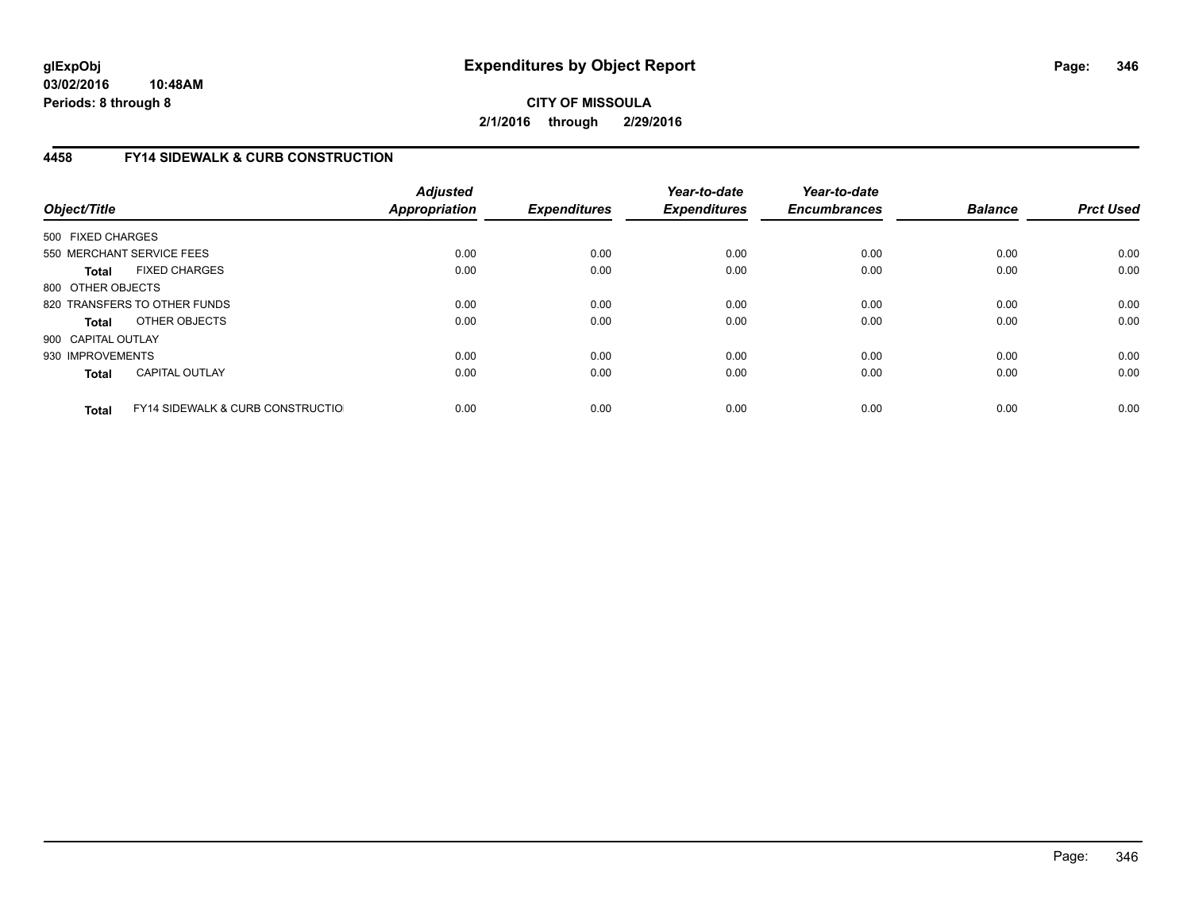## **4458 FY14 SIDEWALK & CURB CONSTRUCTION**

| Object/Title       |                                              | <b>Adjusted</b><br>Appropriation | <b>Expenditures</b> | Year-to-date<br><b>Expenditures</b> | Year-to-date<br><b>Encumbrances</b> | <b>Balance</b> | <b>Prct Used</b> |
|--------------------|----------------------------------------------|----------------------------------|---------------------|-------------------------------------|-------------------------------------|----------------|------------------|
| 500 FIXED CHARGES  |                                              |                                  |                     |                                     |                                     |                |                  |
|                    | 550 MERCHANT SERVICE FEES                    | 0.00                             | 0.00                | 0.00                                | 0.00                                | 0.00           | 0.00             |
| <b>Total</b>       | <b>FIXED CHARGES</b>                         | 0.00                             | 0.00                | 0.00                                | 0.00                                | 0.00           | 0.00             |
| 800 OTHER OBJECTS  |                                              |                                  |                     |                                     |                                     |                |                  |
|                    | 820 TRANSFERS TO OTHER FUNDS                 | 0.00                             | 0.00                | 0.00                                | 0.00                                | 0.00           | 0.00             |
| <b>Total</b>       | OTHER OBJECTS                                | 0.00                             | 0.00                | 0.00                                | 0.00                                | 0.00           | 0.00             |
| 900 CAPITAL OUTLAY |                                              |                                  |                     |                                     |                                     |                |                  |
| 930 IMPROVEMENTS   |                                              | 0.00                             | 0.00                | 0.00                                | 0.00                                | 0.00           | 0.00             |
| Total              | <b>CAPITAL OUTLAY</b>                        | 0.00                             | 0.00                | 0.00                                | 0.00                                | 0.00           | 0.00             |
| <b>Total</b>       | <b>FY14 SIDEWALK &amp; CURB CONSTRUCTIOL</b> | 0.00                             | 0.00                | 0.00                                | 0.00                                | 0.00           | 0.00             |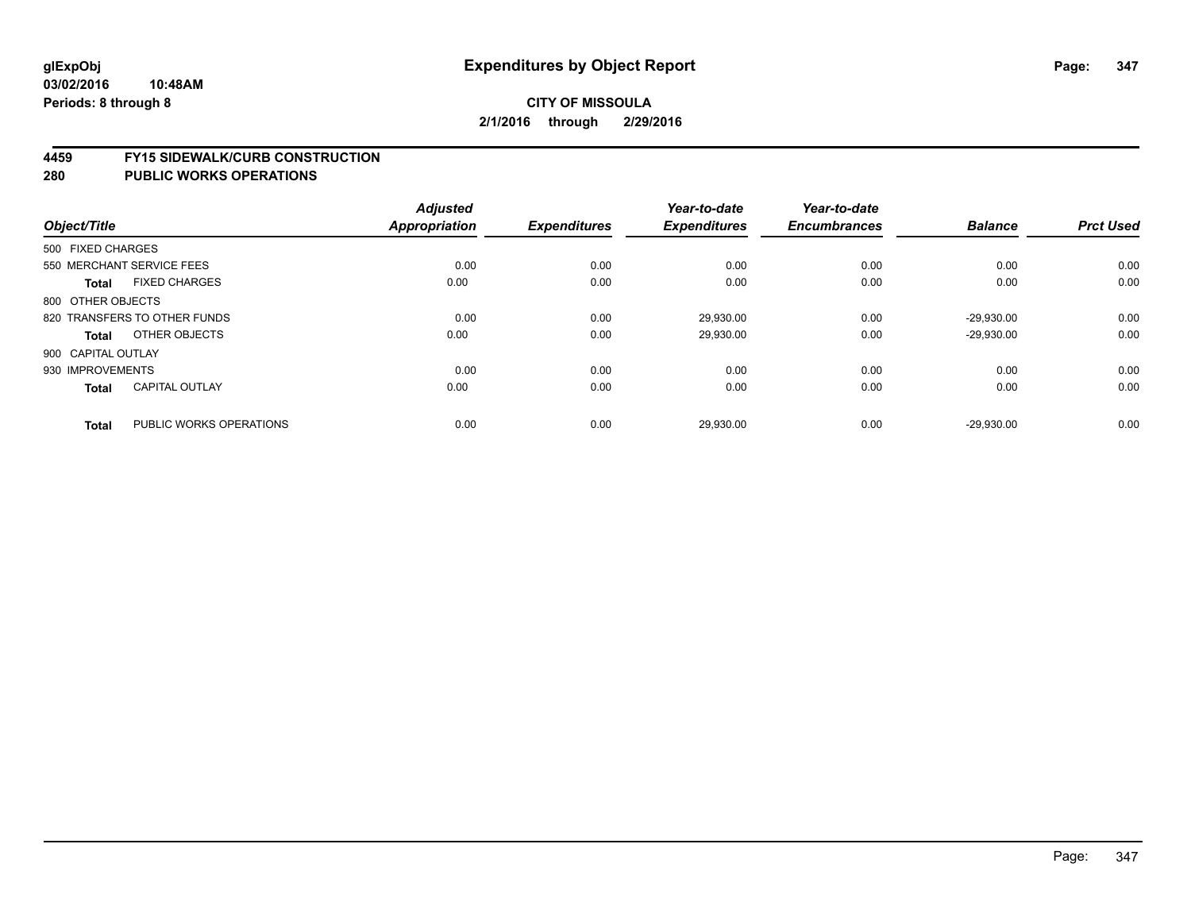## **CITY OF MISSOULA 2/1/2016 through 2/29/2016**

#### **4459 FY15 SIDEWALK/CURB CONSTRUCTION**

|                    |                              | <b>Adjusted</b> |                     | Year-to-date        | Year-to-date        |                |                  |
|--------------------|------------------------------|-----------------|---------------------|---------------------|---------------------|----------------|------------------|
| Object/Title       |                              | Appropriation   | <b>Expenditures</b> | <b>Expenditures</b> | <b>Encumbrances</b> | <b>Balance</b> | <b>Prct Used</b> |
| 500 FIXED CHARGES  |                              |                 |                     |                     |                     |                |                  |
|                    | 550 MERCHANT SERVICE FEES    | 0.00            | 0.00                | 0.00                | 0.00                | 0.00           | 0.00             |
| <b>Total</b>       | <b>FIXED CHARGES</b>         | 0.00            | 0.00                | 0.00                | 0.00                | 0.00           | 0.00             |
| 800 OTHER OBJECTS  |                              |                 |                     |                     |                     |                |                  |
|                    | 820 TRANSFERS TO OTHER FUNDS | 0.00            | 0.00                | 29,930.00           | 0.00                | $-29,930.00$   | 0.00             |
| Total              | OTHER OBJECTS                | 0.00            | 0.00                | 29,930.00           | 0.00                | $-29,930.00$   | 0.00             |
| 900 CAPITAL OUTLAY |                              |                 |                     |                     |                     |                |                  |
| 930 IMPROVEMENTS   |                              | 0.00            | 0.00                | 0.00                | 0.00                | 0.00           | 0.00             |
| Total              | <b>CAPITAL OUTLAY</b>        | 0.00            | 0.00                | 0.00                | 0.00                | 0.00           | 0.00             |
| <b>Total</b>       | PUBLIC WORKS OPERATIONS      | 0.00            | 0.00                | 29.930.00           | 0.00                | $-29.930.00$   | 0.00             |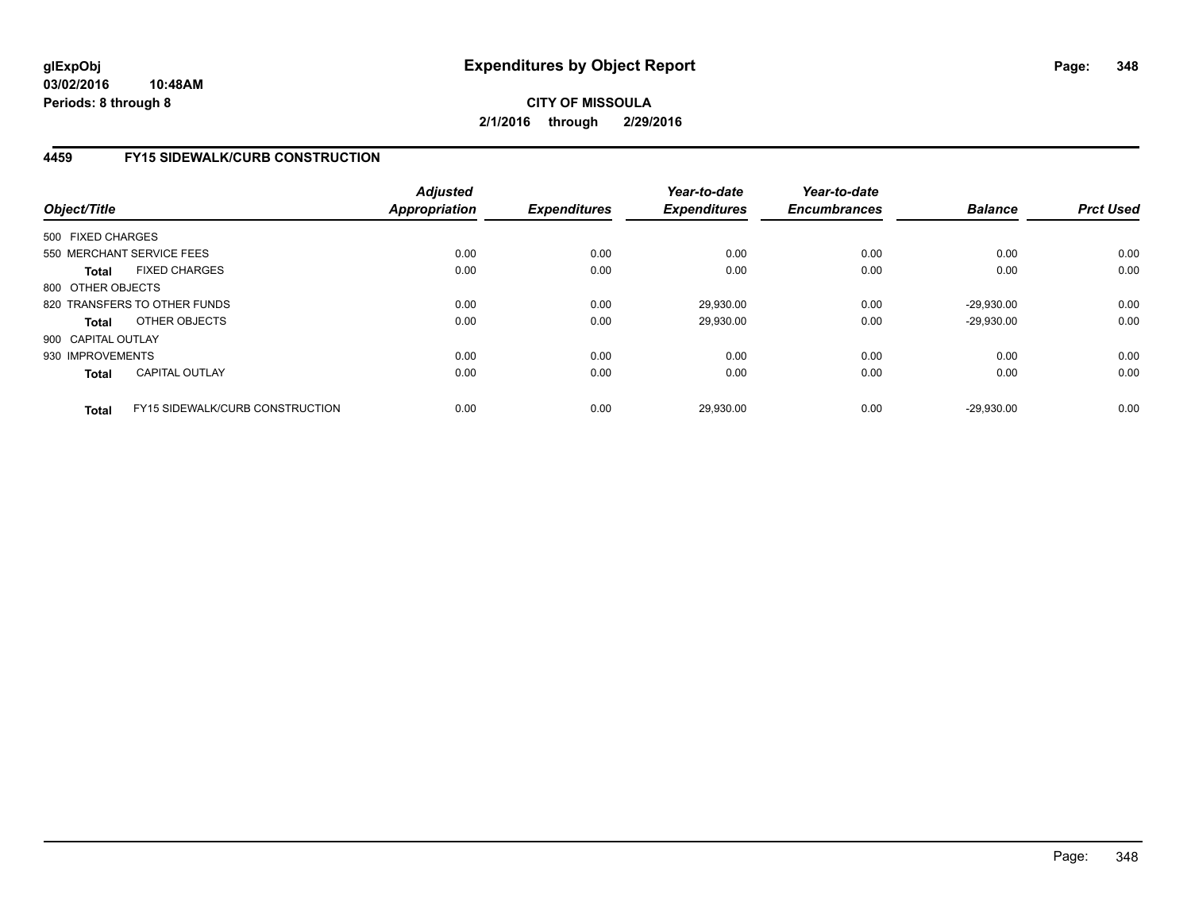## **4459 FY15 SIDEWALK/CURB CONSTRUCTION**

| Object/Title       |                                        | <b>Adjusted</b><br><b>Appropriation</b> | <b>Expenditures</b> | Year-to-date<br><b>Expenditures</b> | Year-to-date<br><b>Encumbrances</b> | <b>Balance</b> | <b>Prct Used</b> |
|--------------------|----------------------------------------|-----------------------------------------|---------------------|-------------------------------------|-------------------------------------|----------------|------------------|
| 500 FIXED CHARGES  |                                        |                                         |                     |                                     |                                     |                |                  |
|                    | 550 MERCHANT SERVICE FEES              | 0.00                                    | 0.00                | 0.00                                | 0.00                                | 0.00           | 0.00             |
| <b>Total</b>       | <b>FIXED CHARGES</b>                   | 0.00                                    | 0.00                | 0.00                                | 0.00                                | 0.00           | 0.00             |
| 800 OTHER OBJECTS  |                                        |                                         |                     |                                     |                                     |                |                  |
|                    | 820 TRANSFERS TO OTHER FUNDS           | 0.00                                    | 0.00                | 29,930.00                           | 0.00                                | $-29,930.00$   | 0.00             |
| <b>Total</b>       | OTHER OBJECTS                          | 0.00                                    | 0.00                | 29,930.00                           | 0.00                                | $-29,930.00$   | 0.00             |
| 900 CAPITAL OUTLAY |                                        |                                         |                     |                                     |                                     |                |                  |
| 930 IMPROVEMENTS   |                                        | 0.00                                    | 0.00                | 0.00                                | 0.00                                | 0.00           | 0.00             |
| <b>Total</b>       | <b>CAPITAL OUTLAY</b>                  | 0.00                                    | 0.00                | 0.00                                | 0.00                                | 0.00           | 0.00             |
| <b>Total</b>       | <b>FY15 SIDEWALK/CURB CONSTRUCTION</b> | 0.00                                    | 0.00                | 29.930.00                           | 0.00                                | $-29.930.00$   | 0.00             |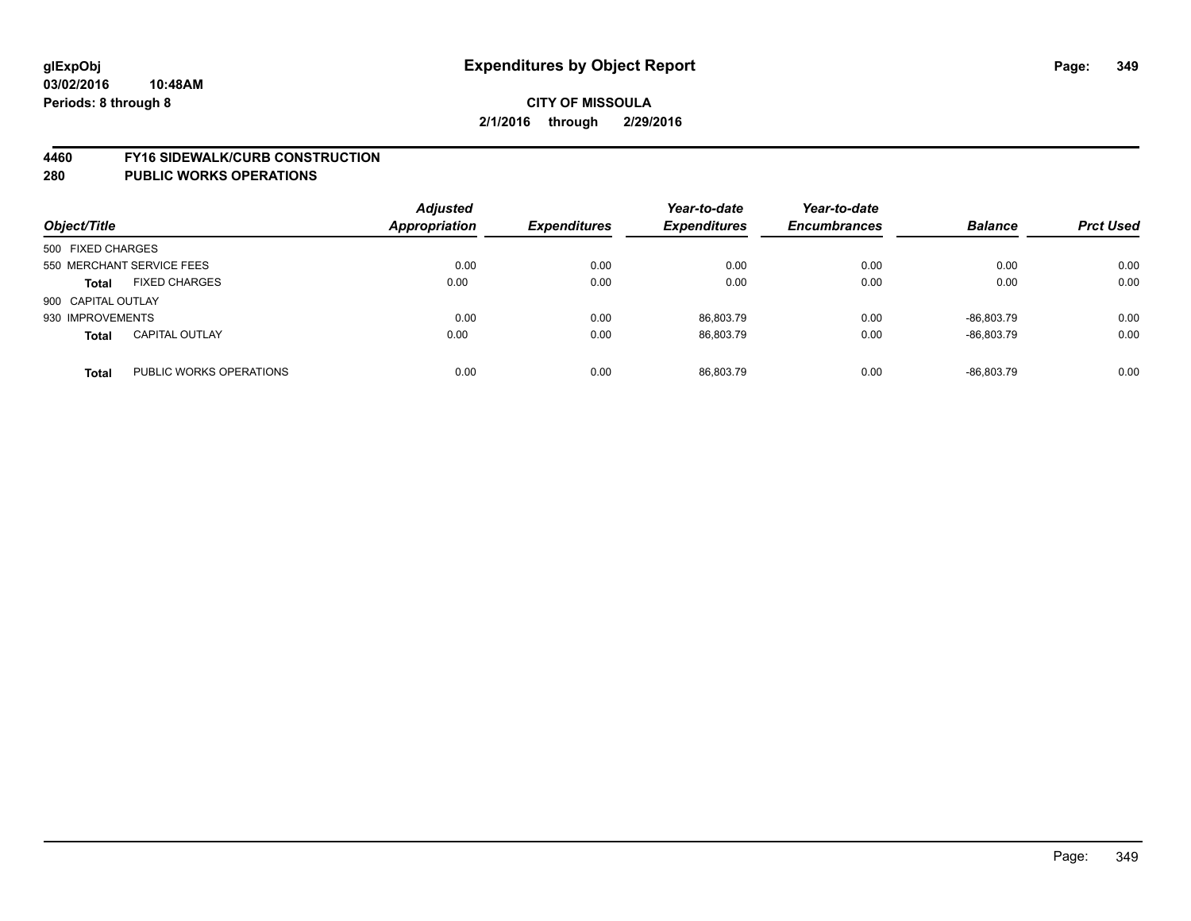#### **4460 FY16 SIDEWALK/CURB CONSTRUCTION**

| Object/Title       |                           | <b>Adjusted</b><br><b>Appropriation</b> | <b>Expenditures</b> | Year-to-date<br><b>Expenditures</b> | Year-to-date<br><b>Encumbrances</b> | <b>Balance</b> | <b>Prct Used</b> |
|--------------------|---------------------------|-----------------------------------------|---------------------|-------------------------------------|-------------------------------------|----------------|------------------|
| 500 FIXED CHARGES  |                           |                                         |                     |                                     |                                     |                |                  |
|                    | 550 MERCHANT SERVICE FEES | 0.00                                    | 0.00                | 0.00                                | 0.00                                | 0.00           | 0.00             |
| <b>Total</b>       | <b>FIXED CHARGES</b>      | 0.00                                    | 0.00                | 0.00                                | 0.00                                | 0.00           | 0.00             |
| 900 CAPITAL OUTLAY |                           |                                         |                     |                                     |                                     |                |                  |
| 930 IMPROVEMENTS   |                           | 0.00                                    | 0.00                | 86,803.79                           | 0.00                                | -86.803.79     | 0.00             |
| <b>Total</b>       | <b>CAPITAL OUTLAY</b>     | 0.00                                    | 0.00                | 86,803.79                           | 0.00                                | -86.803.79     | 0.00             |
| <b>Total</b>       | PUBLIC WORKS OPERATIONS   | 0.00                                    | 0.00                | 86,803.79                           | 0.00                                | -86.803.79     | 0.00             |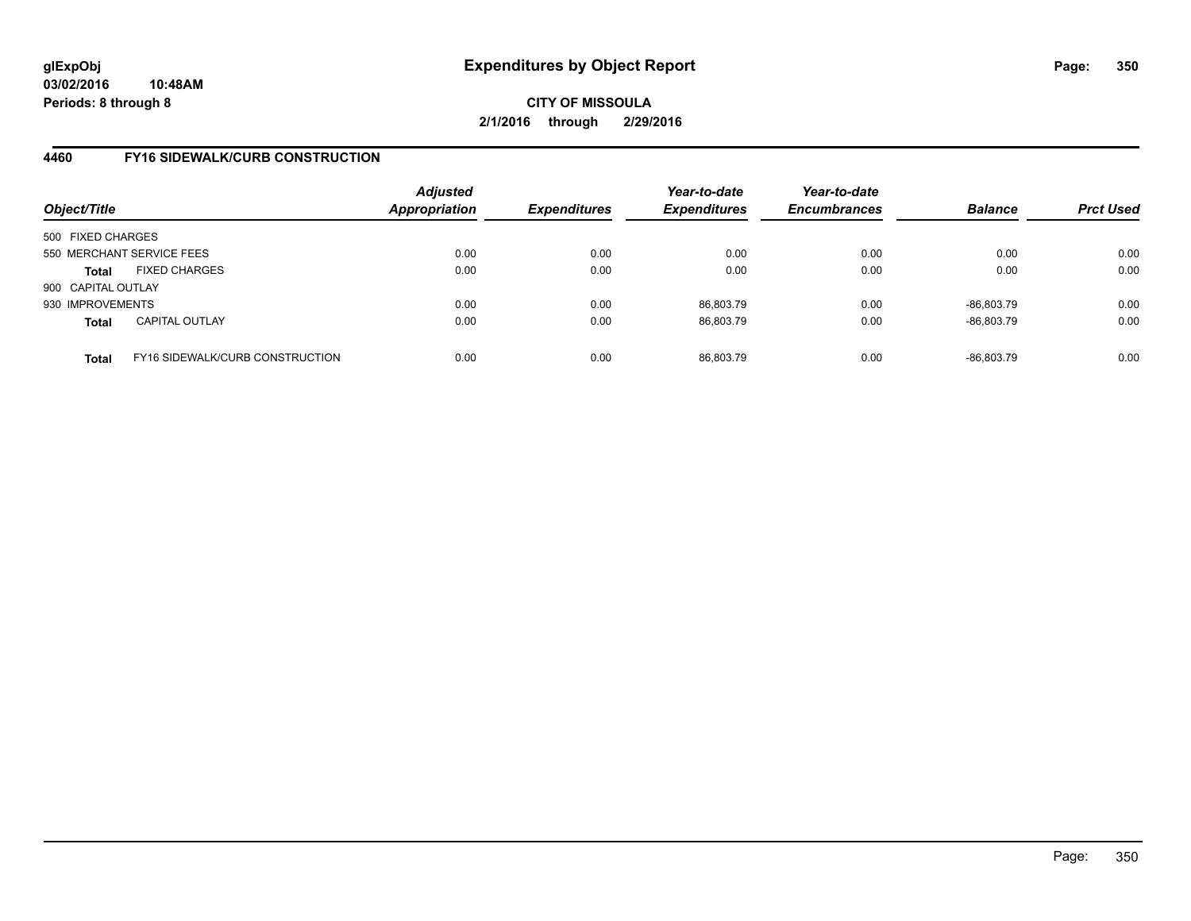## **4460 FY16 SIDEWALK/CURB CONSTRUCTION**

| Object/Title       |                                 | <b>Adjusted</b><br>Appropriation | <b>Expenditures</b> | Year-to-date<br><b>Expenditures</b> | Year-to-date<br><b>Encumbrances</b> | <b>Balance</b> | <b>Prct Used</b> |
|--------------------|---------------------------------|----------------------------------|---------------------|-------------------------------------|-------------------------------------|----------------|------------------|
| 500 FIXED CHARGES  |                                 |                                  |                     |                                     |                                     |                |                  |
|                    | 550 MERCHANT SERVICE FEES       | 0.00                             | 0.00                | 0.00                                | 0.00                                | 0.00           | 0.00             |
| <b>Total</b>       | <b>FIXED CHARGES</b>            | 0.00                             | 0.00                | 0.00                                | 0.00                                | 0.00           | 0.00             |
| 900 CAPITAL OUTLAY |                                 |                                  |                     |                                     |                                     |                |                  |
| 930 IMPROVEMENTS   |                                 | 0.00                             | 0.00                | 86.803.79                           | 0.00                                | -86.803.79     | 0.00             |
| <b>Total</b>       | <b>CAPITAL OUTLAY</b>           | 0.00                             | 0.00                | 86,803.79                           | 0.00                                | -86,803.79     | 0.00             |
| <b>Total</b>       | FY16 SIDEWALK/CURB CONSTRUCTION | 0.00                             | 0.00                | 86,803.79                           | 0.00                                | -86,803.79     | 0.00             |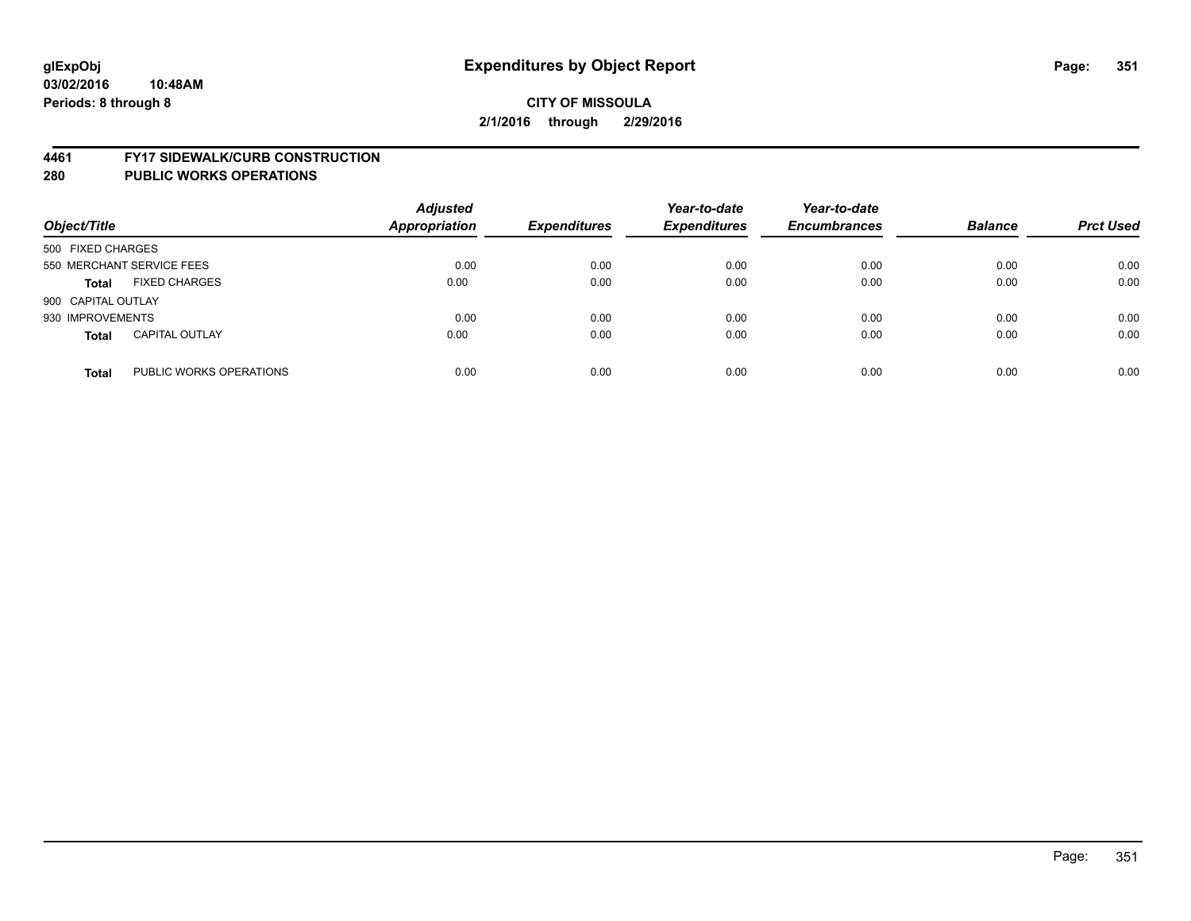#### **4461 FY17 SIDEWALK/CURB CONSTRUCTION**

| Object/Title       |                           | <b>Adjusted</b><br><b>Appropriation</b> | <b>Expenditures</b> | Year-to-date<br><b>Expenditures</b> | Year-to-date<br><b>Encumbrances</b> | <b>Balance</b> | <b>Prct Used</b> |
|--------------------|---------------------------|-----------------------------------------|---------------------|-------------------------------------|-------------------------------------|----------------|------------------|
| 500 FIXED CHARGES  |                           |                                         |                     |                                     |                                     |                |                  |
|                    | 550 MERCHANT SERVICE FEES | 0.00                                    | 0.00                | 0.00                                | 0.00                                | 0.00           | 0.00             |
| <b>Total</b>       | <b>FIXED CHARGES</b>      | 0.00                                    | 0.00                | 0.00                                | 0.00                                | 0.00           | 0.00             |
| 900 CAPITAL OUTLAY |                           |                                         |                     |                                     |                                     |                |                  |
| 930 IMPROVEMENTS   |                           | 0.00                                    | 0.00                | 0.00                                | 0.00                                | 0.00           | 0.00             |
| <b>Total</b>       | <b>CAPITAL OUTLAY</b>     | 0.00                                    | 0.00                | 0.00                                | 0.00                                | 0.00           | 0.00             |
| <b>Total</b>       | PUBLIC WORKS OPERATIONS   | 0.00                                    | 0.00                | 0.00                                | 0.00                                | 0.00           | 0.00             |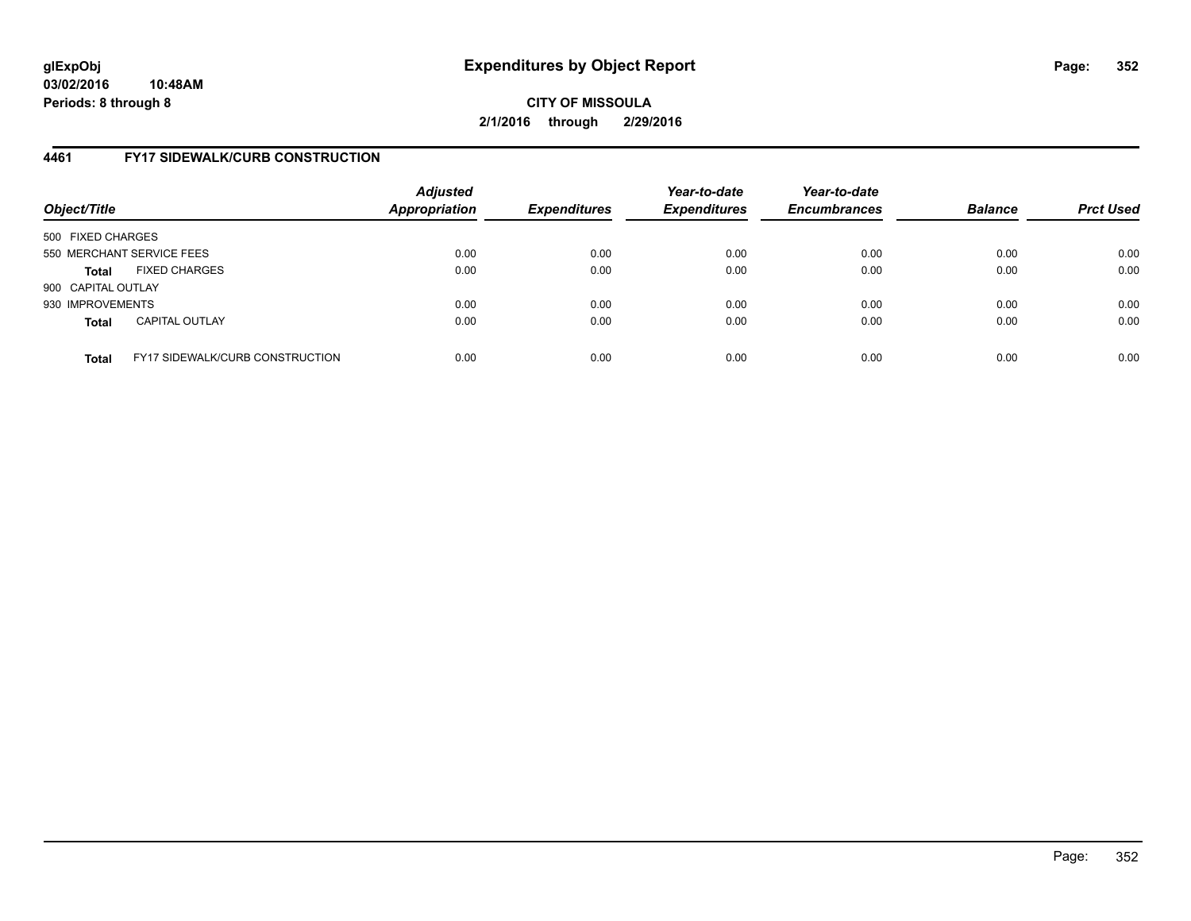## **4461 FY17 SIDEWALK/CURB CONSTRUCTION**

| Object/Title       |                                        | <b>Adjusted</b><br><b>Appropriation</b> | <b>Expenditures</b> | Year-to-date<br><b>Expenditures</b> | Year-to-date<br><b>Encumbrances</b> | <b>Balance</b> | <b>Prct Used</b> |
|--------------------|----------------------------------------|-----------------------------------------|---------------------|-------------------------------------|-------------------------------------|----------------|------------------|
| 500 FIXED CHARGES  |                                        |                                         |                     |                                     |                                     |                |                  |
|                    | 550 MERCHANT SERVICE FEES              | 0.00                                    | 0.00                | 0.00                                | 0.00                                | 0.00           | 0.00             |
| <b>Total</b>       | <b>FIXED CHARGES</b>                   | 0.00                                    | 0.00                | 0.00                                | 0.00                                | 0.00           | 0.00             |
| 900 CAPITAL OUTLAY |                                        |                                         |                     |                                     |                                     |                |                  |
| 930 IMPROVEMENTS   |                                        | 0.00                                    | 0.00                | 0.00                                | 0.00                                | 0.00           | 0.00             |
| <b>Total</b>       | <b>CAPITAL OUTLAY</b>                  | 0.00                                    | 0.00                | 0.00                                | 0.00                                | 0.00           | 0.00             |
| <b>Total</b>       | <b>FY17 SIDEWALK/CURB CONSTRUCTION</b> | 0.00                                    | 0.00                | 0.00                                | 0.00                                | 0.00           | 0.00             |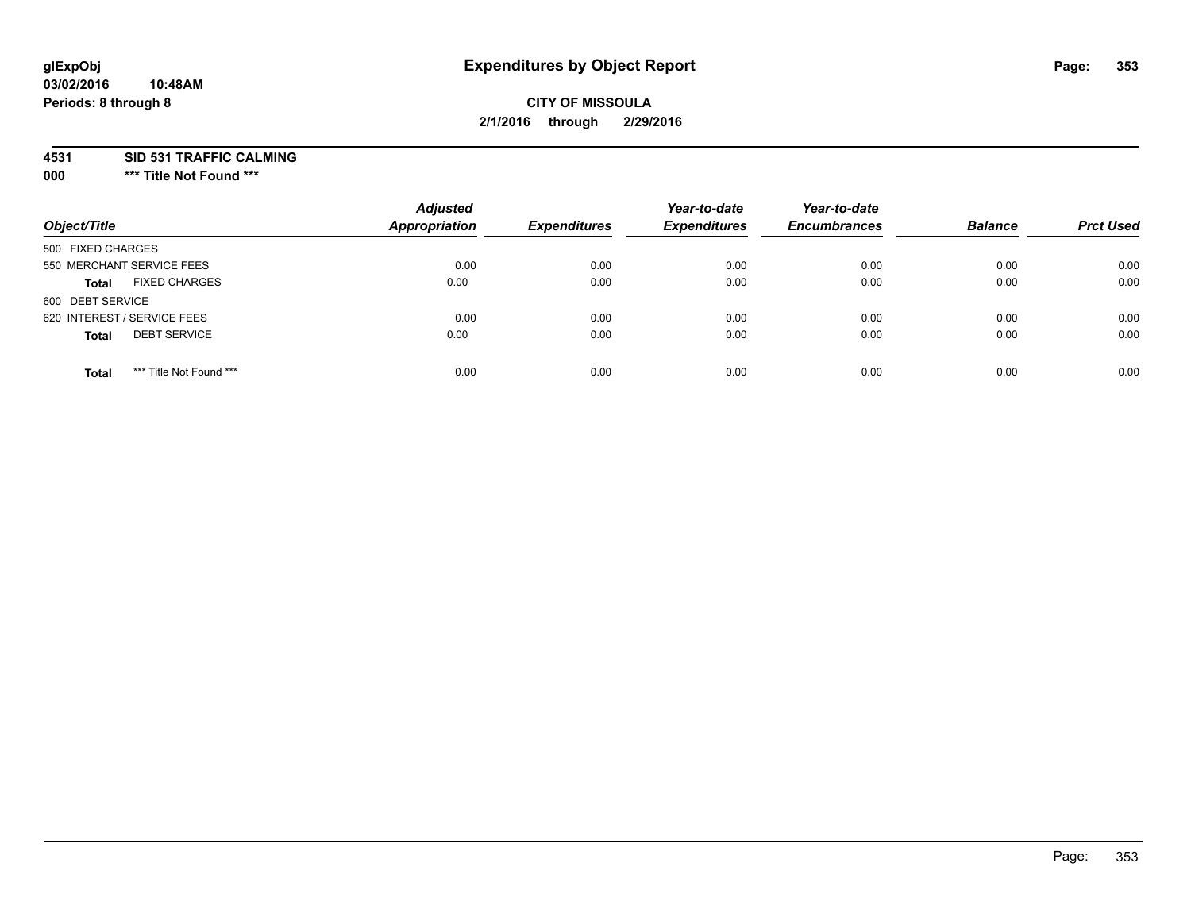# **glExpObj Expenditures by Object Report Page: 353**

#### **03/02/2016 10:48AM Periods: 8 through 8**

## **CITY OF MISSOULA 2/1/2016 through 2/29/2016**

**4531 SID 531 TRAFFIC CALMING**

**000 \*\*\* Title Not Found \*\*\***

| Object/Title                            | <b>Adjusted</b><br><b>Appropriation</b> | <b>Expenditures</b> | Year-to-date<br><b>Expenditures</b> | Year-to-date<br><b>Encumbrances</b> | <b>Balance</b> | <b>Prct Used</b> |
|-----------------------------------------|-----------------------------------------|---------------------|-------------------------------------|-------------------------------------|----------------|------------------|
| 500 FIXED CHARGES                       |                                         |                     |                                     |                                     |                |                  |
| 550 MERCHANT SERVICE FEES               | 0.00                                    | 0.00                | 0.00                                | 0.00                                | 0.00           | 0.00             |
| <b>FIXED CHARGES</b><br><b>Total</b>    | 0.00                                    | 0.00                | 0.00                                | 0.00                                | 0.00           | 0.00             |
| 600 DEBT SERVICE                        |                                         |                     |                                     |                                     |                |                  |
| 620 INTEREST / SERVICE FEES             | 0.00                                    | 0.00                | 0.00                                | 0.00                                | 0.00           | 0.00             |
| <b>DEBT SERVICE</b><br><b>Total</b>     | 0.00                                    | 0.00                | 0.00                                | 0.00                                | 0.00           | 0.00             |
| *** Title Not Found ***<br><b>Total</b> | 0.00                                    | 0.00                | 0.00                                | 0.00                                | 0.00           | 0.00             |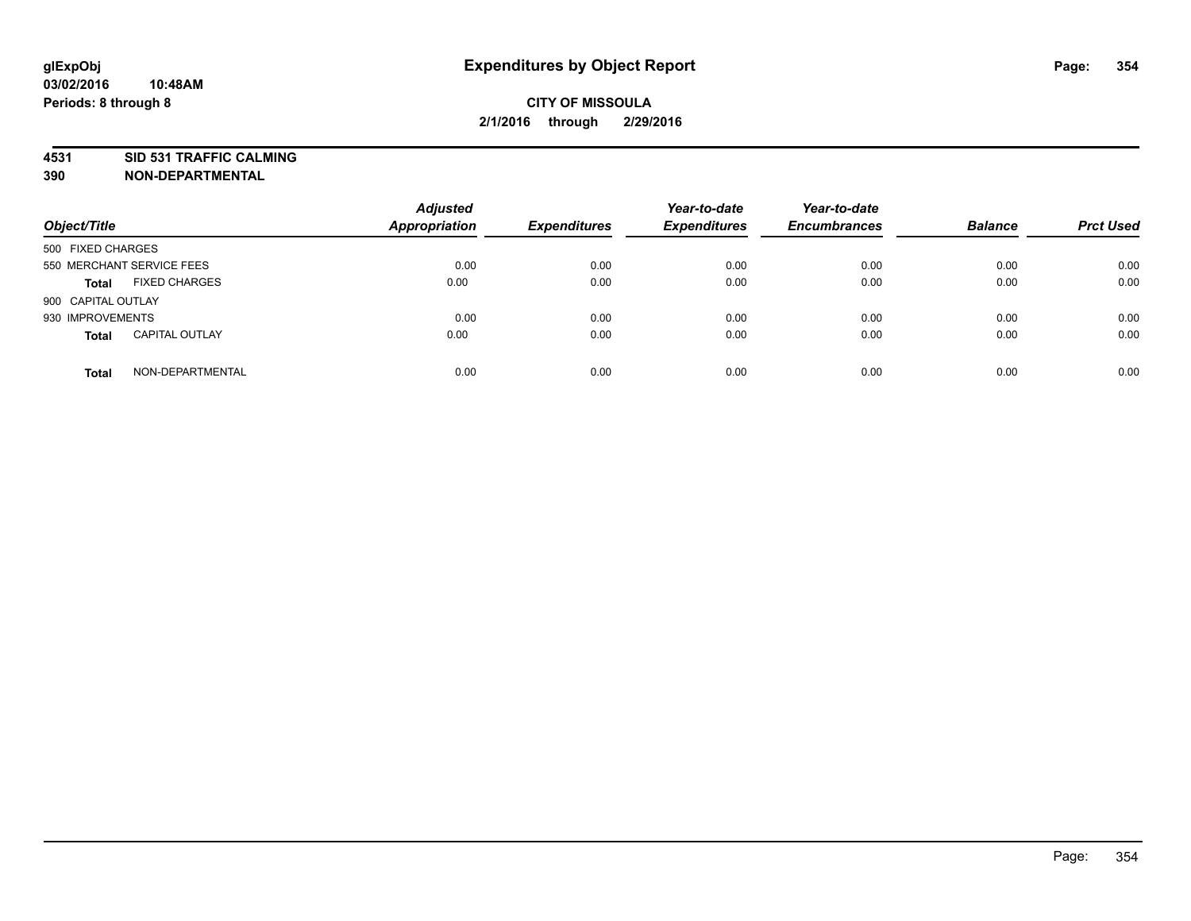**4531 SID 531 TRAFFIC CALMING**

**390 NON-DEPARTMENTAL**

| Object/Title              |                       | <b>Adjusted</b><br><b>Appropriation</b> | <b>Expenditures</b> | Year-to-date<br><b>Expenditures</b> | Year-to-date<br><b>Encumbrances</b> | <b>Balance</b> | <b>Prct Used</b> |
|---------------------------|-----------------------|-----------------------------------------|---------------------|-------------------------------------|-------------------------------------|----------------|------------------|
| 500 FIXED CHARGES         |                       |                                         |                     |                                     |                                     |                |                  |
| 550 MERCHANT SERVICE FEES |                       | 0.00                                    | 0.00                | 0.00                                | 0.00                                | 0.00           | 0.00             |
| <b>Total</b>              | <b>FIXED CHARGES</b>  | 0.00                                    | 0.00                | 0.00                                | 0.00                                | 0.00           | 0.00             |
| 900 CAPITAL OUTLAY        |                       |                                         |                     |                                     |                                     |                |                  |
| 930 IMPROVEMENTS          |                       | 0.00                                    | 0.00                | 0.00                                | 0.00                                | 0.00           | 0.00             |
| <b>Total</b>              | <b>CAPITAL OUTLAY</b> | 0.00                                    | 0.00                | 0.00                                | 0.00                                | 0.00           | 0.00             |
| <b>Total</b>              | NON-DEPARTMENTAL      | 0.00                                    | 0.00                | 0.00                                | 0.00                                | 0.00           | 0.00             |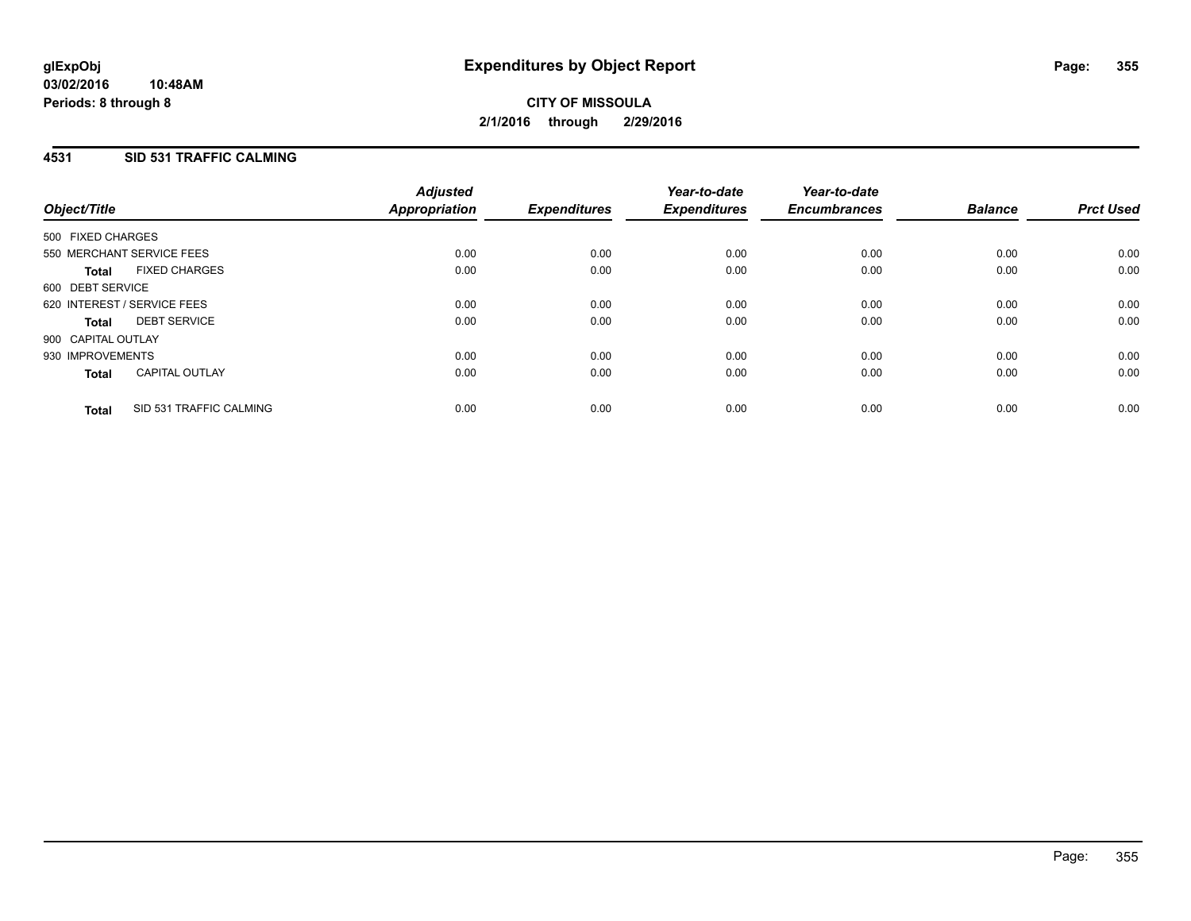**CITY OF MISSOULA 2/1/2016 through 2/29/2016**

### **4531 SID 531 TRAFFIC CALMING**

| Object/Title       |                             | <b>Adjusted</b><br>Appropriation | <b>Expenditures</b> | Year-to-date<br><b>Expenditures</b> | Year-to-date<br><b>Encumbrances</b> | <b>Balance</b> | <b>Prct Used</b> |
|--------------------|-----------------------------|----------------------------------|---------------------|-------------------------------------|-------------------------------------|----------------|------------------|
| 500 FIXED CHARGES  |                             |                                  |                     |                                     |                                     |                |                  |
|                    | 550 MERCHANT SERVICE FEES   | 0.00                             | 0.00                | 0.00                                | 0.00                                | 0.00           | 0.00             |
| Total              | <b>FIXED CHARGES</b>        | 0.00                             | 0.00                | 0.00                                | 0.00                                | 0.00           | 0.00             |
| 600 DEBT SERVICE   |                             |                                  |                     |                                     |                                     |                |                  |
|                    | 620 INTEREST / SERVICE FEES | 0.00                             | 0.00                | 0.00                                | 0.00                                | 0.00           | 0.00             |
| <b>Total</b>       | <b>DEBT SERVICE</b>         | 0.00                             | 0.00                | 0.00                                | 0.00                                | 0.00           | 0.00             |
| 900 CAPITAL OUTLAY |                             |                                  |                     |                                     |                                     |                |                  |
| 930 IMPROVEMENTS   |                             | 0.00                             | 0.00                | 0.00                                | 0.00                                | 0.00           | 0.00             |
| <b>Total</b>       | <b>CAPITAL OUTLAY</b>       | 0.00                             | 0.00                | 0.00                                | 0.00                                | 0.00           | 0.00             |
| <b>Total</b>       | SID 531 TRAFFIC CALMING     | 0.00                             | 0.00                | 0.00                                | 0.00                                | 0.00           | 0.00             |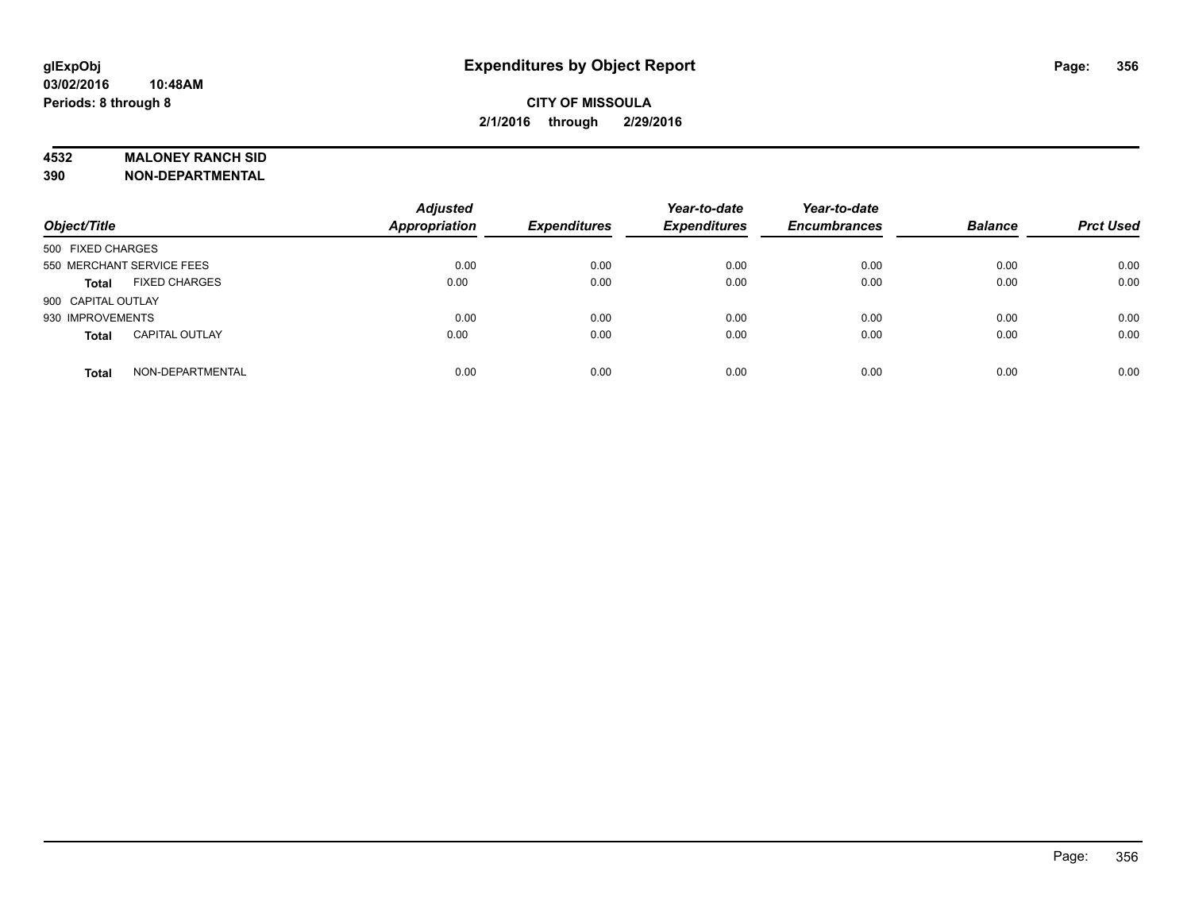### **4532 MALONEY RANCH SID**

**390 NON-DEPARTMENTAL**

| Object/Title                          | <b>Adjusted</b><br><b>Appropriation</b> | <b>Expenditures</b> | Year-to-date<br><b>Expenditures</b> | Year-to-date<br><b>Encumbrances</b> | <b>Balance</b> | <b>Prct Used</b> |
|---------------------------------------|-----------------------------------------|---------------------|-------------------------------------|-------------------------------------|----------------|------------------|
| 500 FIXED CHARGES                     |                                         |                     |                                     |                                     |                |                  |
| 550 MERCHANT SERVICE FEES             | 0.00                                    | 0.00                | 0.00                                | 0.00                                | 0.00           | 0.00             |
| <b>FIXED CHARGES</b><br><b>Total</b>  | 0.00                                    | 0.00                | 0.00                                | 0.00                                | 0.00           | 0.00             |
| 900 CAPITAL OUTLAY                    |                                         |                     |                                     |                                     |                |                  |
| 930 IMPROVEMENTS                      | 0.00                                    | 0.00                | 0.00                                | 0.00                                | 0.00           | 0.00             |
| <b>CAPITAL OUTLAY</b><br><b>Total</b> | 0.00                                    | 0.00                | 0.00                                | 0.00                                | 0.00           | 0.00             |
| NON-DEPARTMENTAL<br><b>Total</b>      | 0.00                                    | 0.00                | 0.00                                | 0.00                                | 0.00           | 0.00             |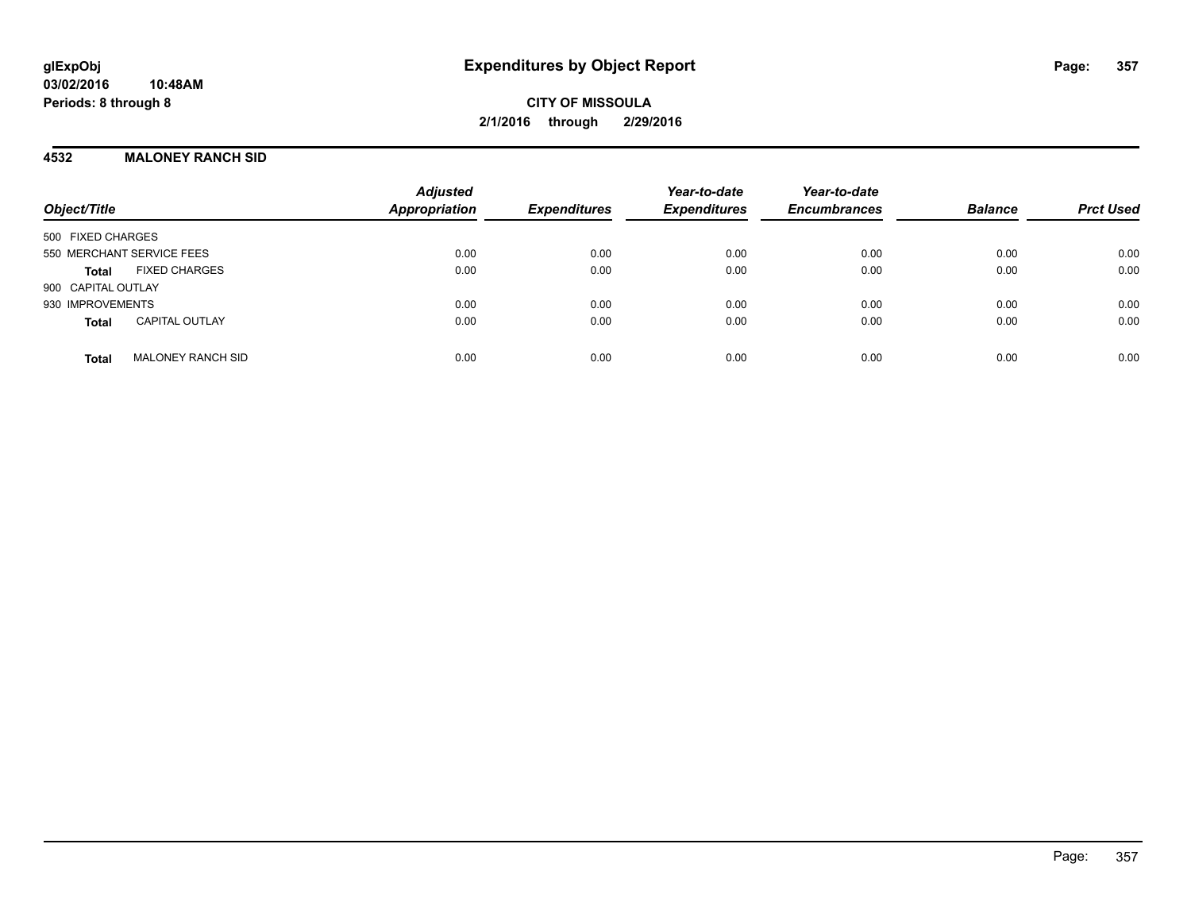### **4532 MALONEY RANCH SID**

| Object/Title                             | <b>Adjusted</b><br>Appropriation | <b>Expenditures</b> | Year-to-date<br><b>Expenditures</b> | Year-to-date<br><b>Encumbrances</b> | <b>Balance</b> | <b>Prct Used</b> |
|------------------------------------------|----------------------------------|---------------------|-------------------------------------|-------------------------------------|----------------|------------------|
| 500 FIXED CHARGES                        |                                  |                     |                                     |                                     |                |                  |
| 550 MERCHANT SERVICE FEES                | 0.00                             | 0.00                | 0.00                                | 0.00                                | 0.00           | 0.00             |
| <b>FIXED CHARGES</b><br>Total            | 0.00                             | 0.00                | 0.00                                | 0.00                                | 0.00           | 0.00             |
| 900 CAPITAL OUTLAY                       |                                  |                     |                                     |                                     |                |                  |
| 930 IMPROVEMENTS                         | 0.00                             | 0.00                | 0.00                                | 0.00                                | 0.00           | 0.00             |
| <b>CAPITAL OUTLAY</b><br><b>Total</b>    | 0.00                             | 0.00                | 0.00                                | 0.00                                | 0.00           | 0.00             |
| <b>MALONEY RANCH SID</b><br><b>Total</b> | 0.00                             | 0.00                | 0.00                                | 0.00                                | 0.00           | 0.00             |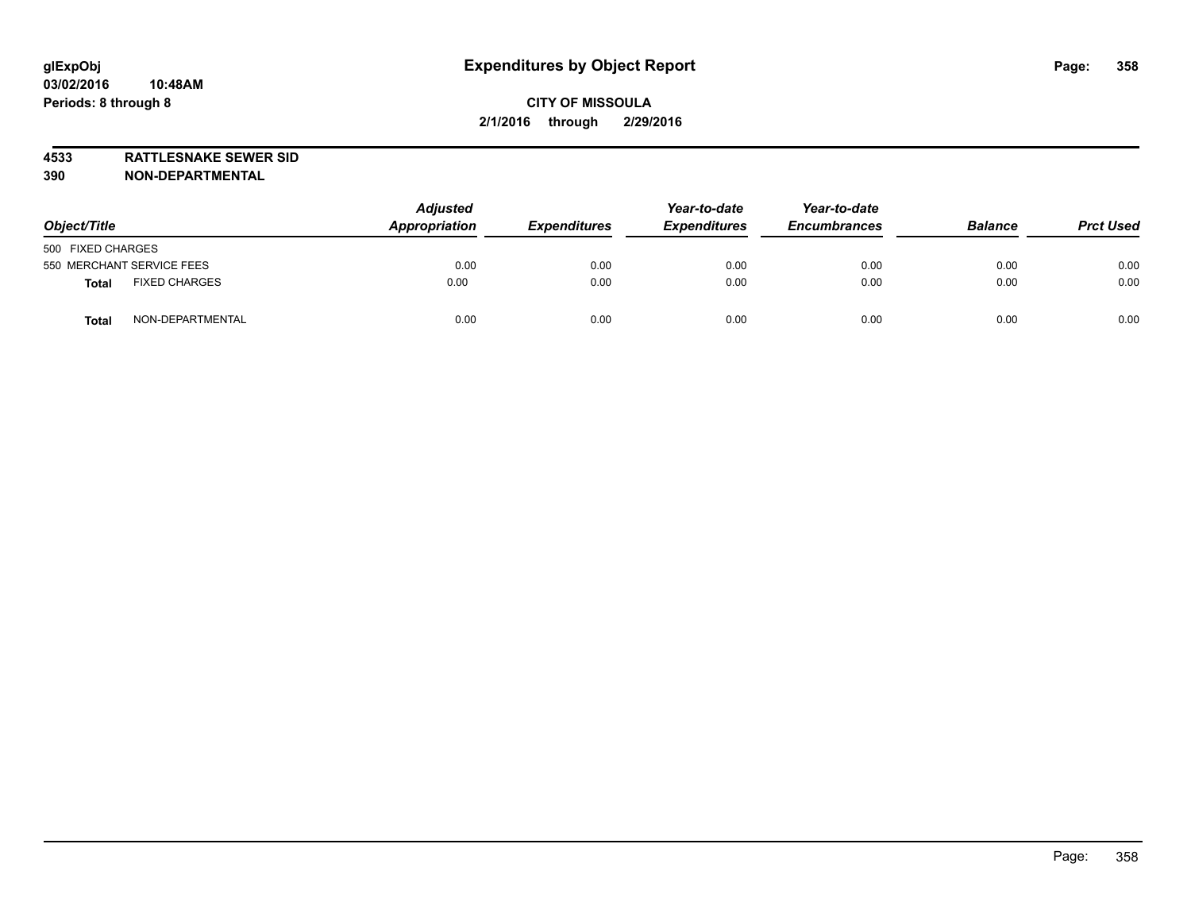**4533 RATTLESNAKE SEWER SID 390 NON-DEPARTMENTAL**

| Object/Title                         | <b>Adjusted</b><br>Appropriation | <b>Expenditures</b> | Year-to-date<br><b>Expenditures</b> | Year-to-date<br><b>Encumbrances</b> | <b>Balance</b> | <b>Prct Used</b> |
|--------------------------------------|----------------------------------|---------------------|-------------------------------------|-------------------------------------|----------------|------------------|
| 500 FIXED CHARGES                    |                                  |                     |                                     |                                     |                |                  |
| 550 MERCHANT SERVICE FEES            | 0.00                             | 0.00                | 0.00                                | 0.00                                | 0.00           | 0.00             |
| <b>FIXED CHARGES</b><br><b>Total</b> | 0.00                             | 0.00                | 0.00                                | 0.00                                | 0.00           | 0.00             |
| NON-DEPARTMENTAL<br><b>Total</b>     | 0.00                             | 0.00                | 0.00                                | 0.00                                | 0.00           | 0.00             |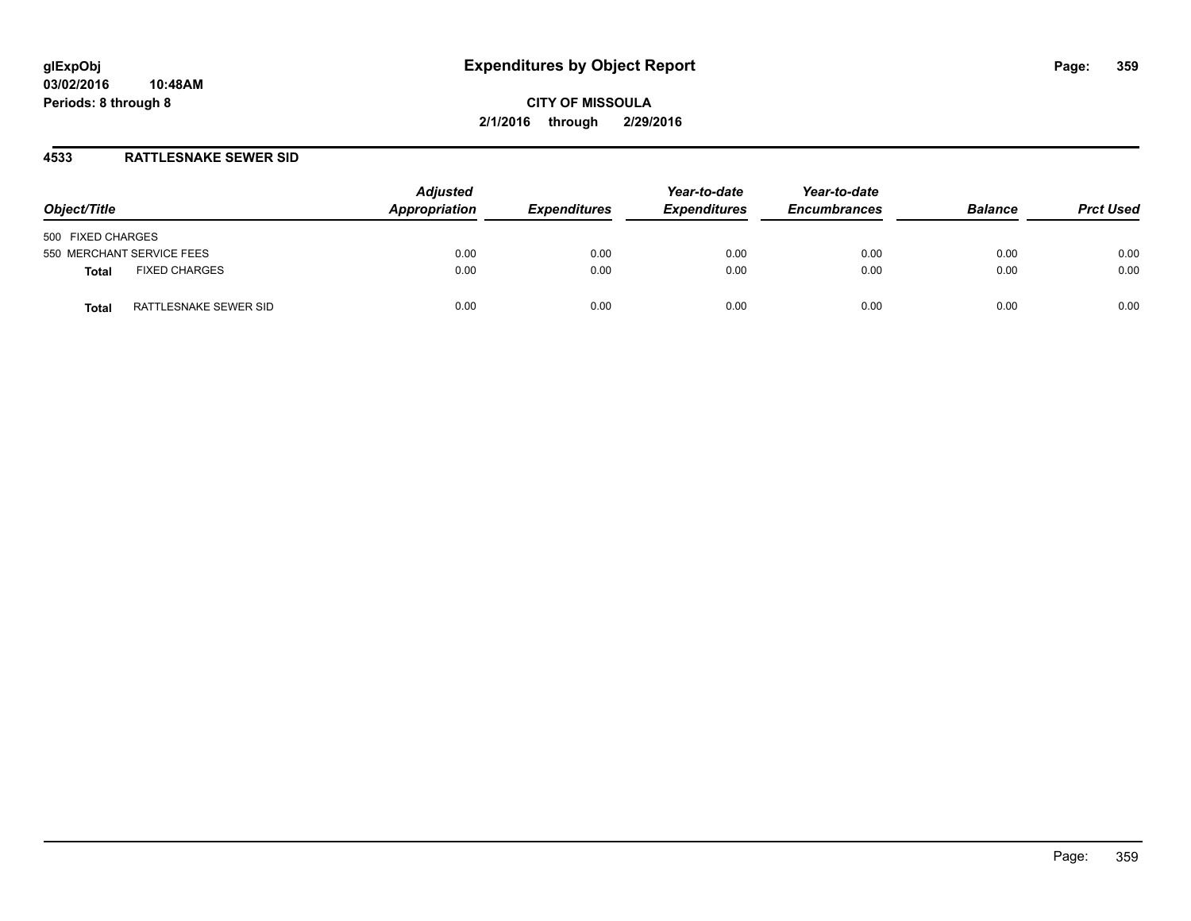### **4533 RATTLESNAKE SEWER SID**

| Object/Title                          | <b>Adjusted</b><br>Appropriation | <b>Expenditures</b> | Year-to-date<br><b>Expenditures</b> | Year-to-date<br><b>Encumbrances</b> | <b>Balance</b> | <b>Prct Used</b> |
|---------------------------------------|----------------------------------|---------------------|-------------------------------------|-------------------------------------|----------------|------------------|
| 500 FIXED CHARGES                     |                                  |                     |                                     |                                     |                |                  |
| 550 MERCHANT SERVICE FEES             | 0.00                             | 0.00                | 0.00                                | 0.00                                | 0.00           | 0.00             |
| <b>FIXED CHARGES</b><br>Total         | 0.00                             | 0.00                | 0.00                                | 0.00                                | 0.00           | 0.00             |
| RATTLESNAKE SEWER SID<br><b>Total</b> | 0.00                             | 0.00                | 0.00                                | 0.00                                | 0.00           | 0.00             |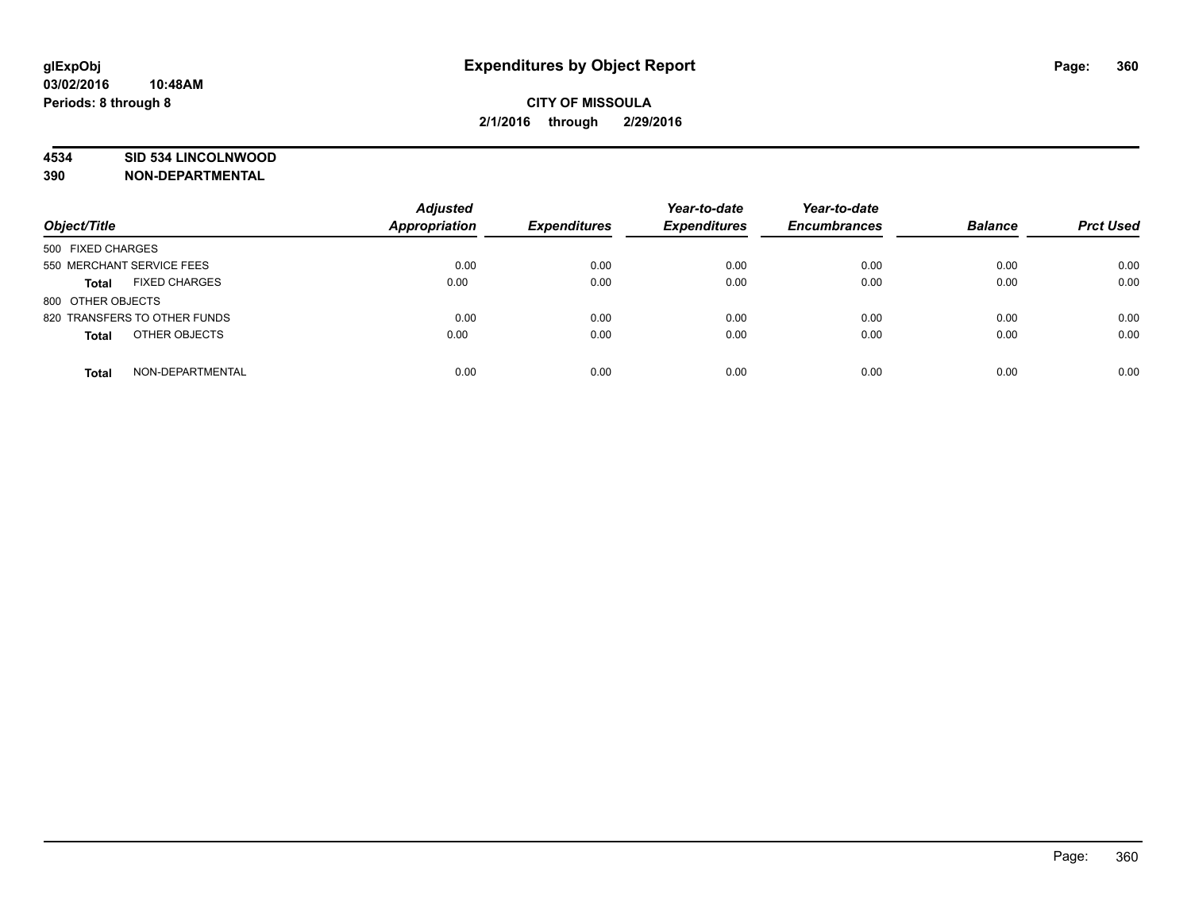### **4534 SID 534 LINCOLNWOOD**

**390 NON-DEPARTMENTAL**

| Object/Title                         | <b>Adjusted</b><br>Appropriation | <b>Expenditures</b> | Year-to-date<br><b>Expenditures</b> | Year-to-date<br><b>Encumbrances</b> | <b>Balance</b> | <b>Prct Used</b> |
|--------------------------------------|----------------------------------|---------------------|-------------------------------------|-------------------------------------|----------------|------------------|
| 500 FIXED CHARGES                    |                                  |                     |                                     |                                     |                |                  |
| 550 MERCHANT SERVICE FEES            | 0.00                             | 0.00                | 0.00                                | 0.00                                | 0.00           | 0.00             |
| <b>FIXED CHARGES</b><br><b>Total</b> | 0.00                             | 0.00                | 0.00                                | 0.00                                | 0.00           | 0.00             |
| 800 OTHER OBJECTS                    |                                  |                     |                                     |                                     |                |                  |
| 820 TRANSFERS TO OTHER FUNDS         | 0.00                             | 0.00                | 0.00                                | 0.00                                | 0.00           | 0.00             |
| OTHER OBJECTS<br><b>Total</b>        | 0.00                             | 0.00                | 0.00                                | 0.00                                | 0.00           | 0.00             |
| NON-DEPARTMENTAL<br><b>Total</b>     | 0.00                             | 0.00                | 0.00                                | 0.00                                | 0.00           | 0.00             |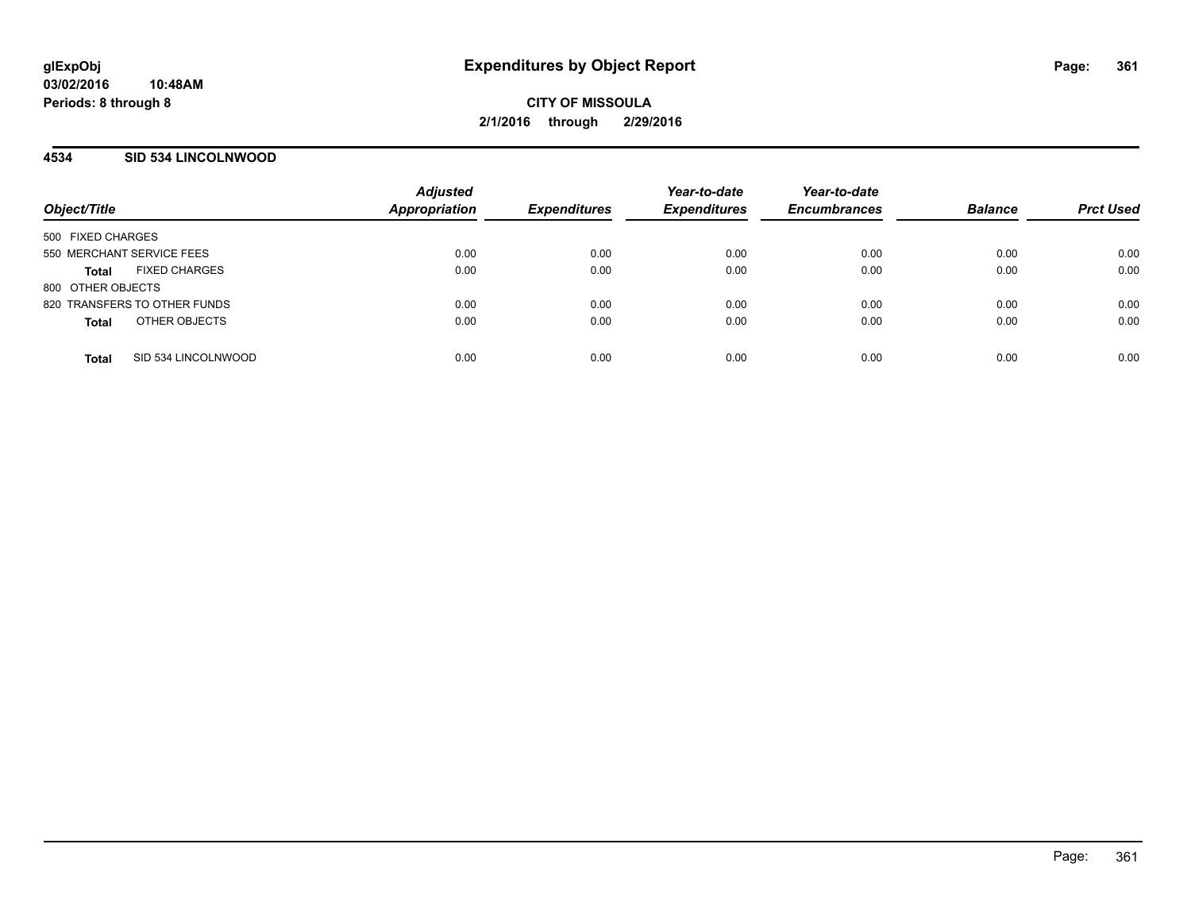## **4534 SID 534 LINCOLNWOOD**

| Object/Title                         | <b>Adjusted</b><br><b>Appropriation</b> | <b>Expenditures</b> | Year-to-date<br><b>Expenditures</b> | Year-to-date<br><b>Encumbrances</b> | <b>Balance</b> | <b>Prct Used</b> |
|--------------------------------------|-----------------------------------------|---------------------|-------------------------------------|-------------------------------------|----------------|------------------|
| 500 FIXED CHARGES                    |                                         |                     |                                     |                                     |                |                  |
| 550 MERCHANT SERVICE FEES            | 0.00                                    | 0.00                | 0.00                                | 0.00                                | 0.00           | 0.00             |
| <b>FIXED CHARGES</b><br><b>Total</b> | 0.00                                    | 0.00                | 0.00                                | 0.00                                | 0.00           | 0.00             |
| 800 OTHER OBJECTS                    |                                         |                     |                                     |                                     |                |                  |
| 820 TRANSFERS TO OTHER FUNDS         | 0.00                                    | 0.00                | 0.00                                | 0.00                                | 0.00           | 0.00             |
| OTHER OBJECTS<br><b>Total</b>        | 0.00                                    | 0.00                | 0.00                                | 0.00                                | 0.00           | 0.00             |
| SID 534 LINCOLNWOOD<br><b>Total</b>  | 0.00                                    | 0.00                | 0.00                                | 0.00                                | 0.00           | 0.00             |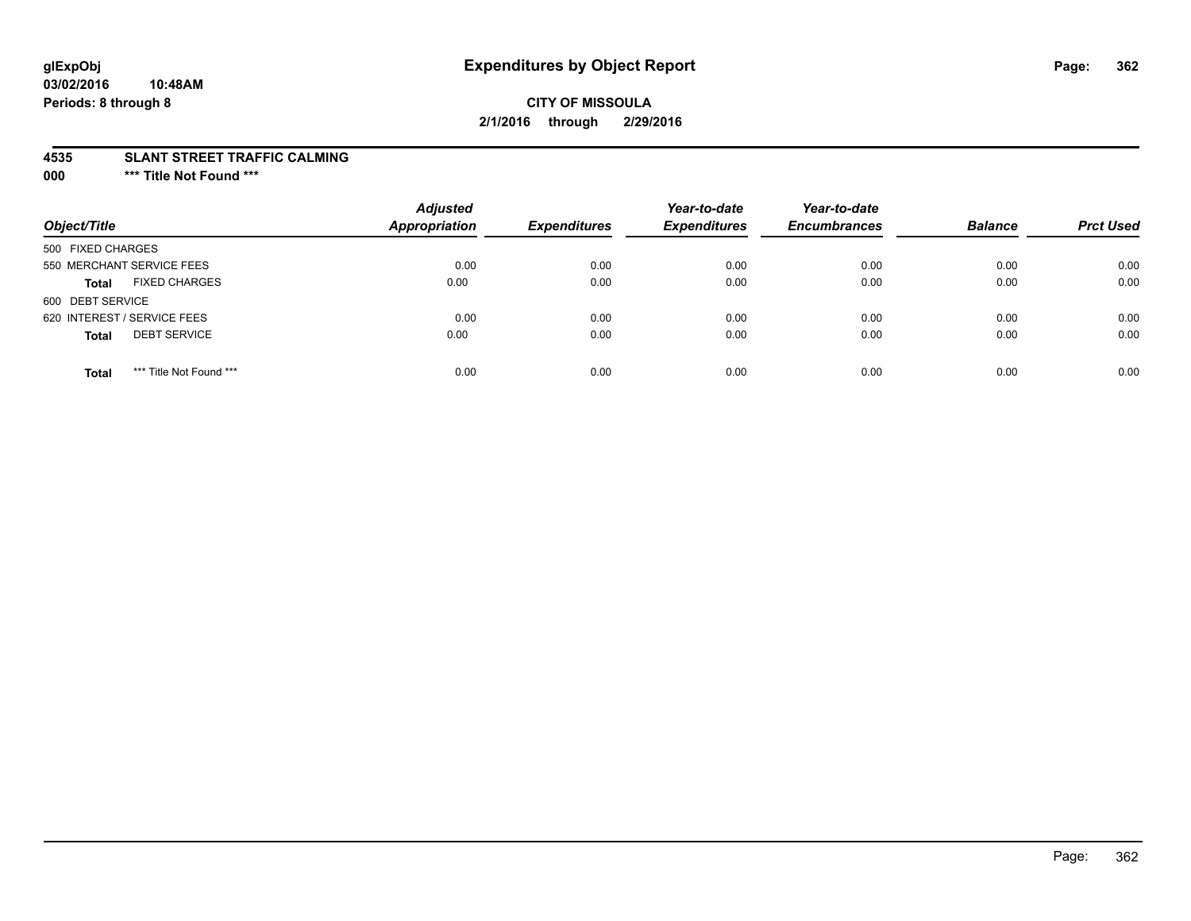# **glExpObj Expenditures by Object Report Page: 362**

#### **03/02/2016 10:48AM Periods: 8 through 8**

# **CITY OF MISSOULA 2/1/2016 through 2/29/2016**

#### **4535 SLANT STREET TRAFFIC CALMING**

**000 \*\*\* Title Not Found \*\*\***

| Object/Title                            | <b>Adjusted</b><br><b>Appropriation</b> | <b>Expenditures</b> | Year-to-date<br><b>Expenditures</b> | Year-to-date<br><b>Encumbrances</b> | <b>Balance</b> | <b>Prct Used</b> |
|-----------------------------------------|-----------------------------------------|---------------------|-------------------------------------|-------------------------------------|----------------|------------------|
| 500 FIXED CHARGES                       |                                         |                     |                                     |                                     |                |                  |
| 550 MERCHANT SERVICE FEES               | 0.00                                    | 0.00                | 0.00                                | 0.00                                | 0.00           | 0.00             |
| <b>FIXED CHARGES</b><br><b>Total</b>    | 0.00                                    | 0.00                | 0.00                                | 0.00                                | 0.00           | 0.00             |
| 600 DEBT SERVICE                        |                                         |                     |                                     |                                     |                |                  |
| 620 INTEREST / SERVICE FEES             | 0.00                                    | 0.00                | 0.00                                | 0.00                                | 0.00           | 0.00             |
| <b>DEBT SERVICE</b><br><b>Total</b>     | 0.00                                    | 0.00                | 0.00                                | 0.00                                | 0.00           | 0.00             |
| *** Title Not Found ***<br><b>Total</b> | 0.00                                    | 0.00                | 0.00                                | 0.00                                | 0.00           | 0.00             |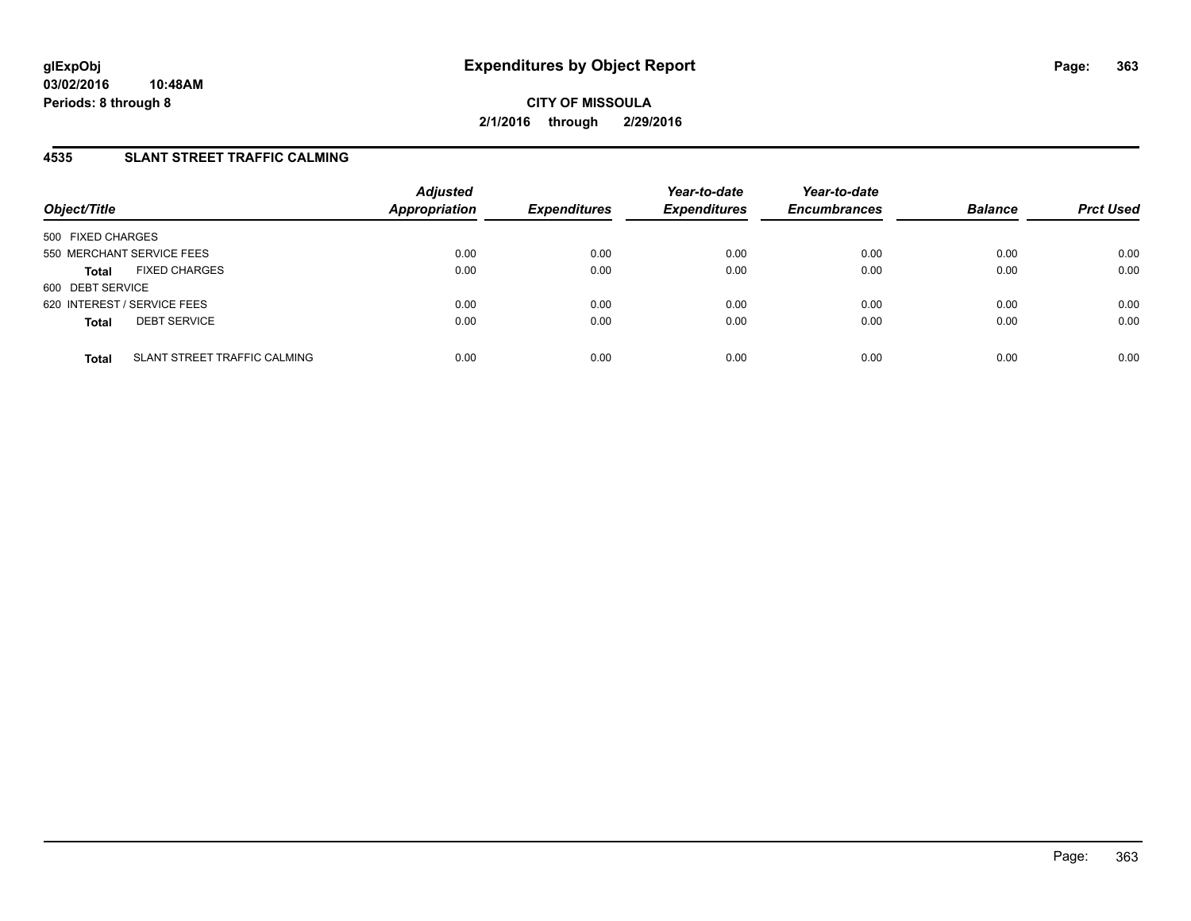## **4535 SLANT STREET TRAFFIC CALMING**

| Object/Title                                 | <b>Adjusted</b><br><b>Appropriation</b> | <b>Expenditures</b> | Year-to-date<br><b>Expenditures</b> | Year-to-date<br><b>Encumbrances</b> | <b>Balance</b> | <b>Prct Used</b> |
|----------------------------------------------|-----------------------------------------|---------------------|-------------------------------------|-------------------------------------|----------------|------------------|
| 500 FIXED CHARGES                            |                                         |                     |                                     |                                     |                |                  |
| 550 MERCHANT SERVICE FEES                    | 0.00                                    | 0.00                | 0.00                                | 0.00                                | 0.00           | 0.00             |
| <b>FIXED CHARGES</b><br><b>Total</b>         | 0.00                                    | 0.00                | 0.00                                | 0.00                                | 0.00           | 0.00             |
| 600 DEBT SERVICE                             |                                         |                     |                                     |                                     |                |                  |
| 620 INTEREST / SERVICE FEES                  | 0.00                                    | 0.00                | 0.00                                | 0.00                                | 0.00           | 0.00             |
| <b>DEBT SERVICE</b><br><b>Total</b>          | 0.00                                    | 0.00                | 0.00                                | 0.00                                | 0.00           | 0.00             |
| SLANT STREET TRAFFIC CALMING<br><b>Total</b> | 0.00                                    | 0.00                | 0.00                                | 0.00                                | 0.00           | 0.00             |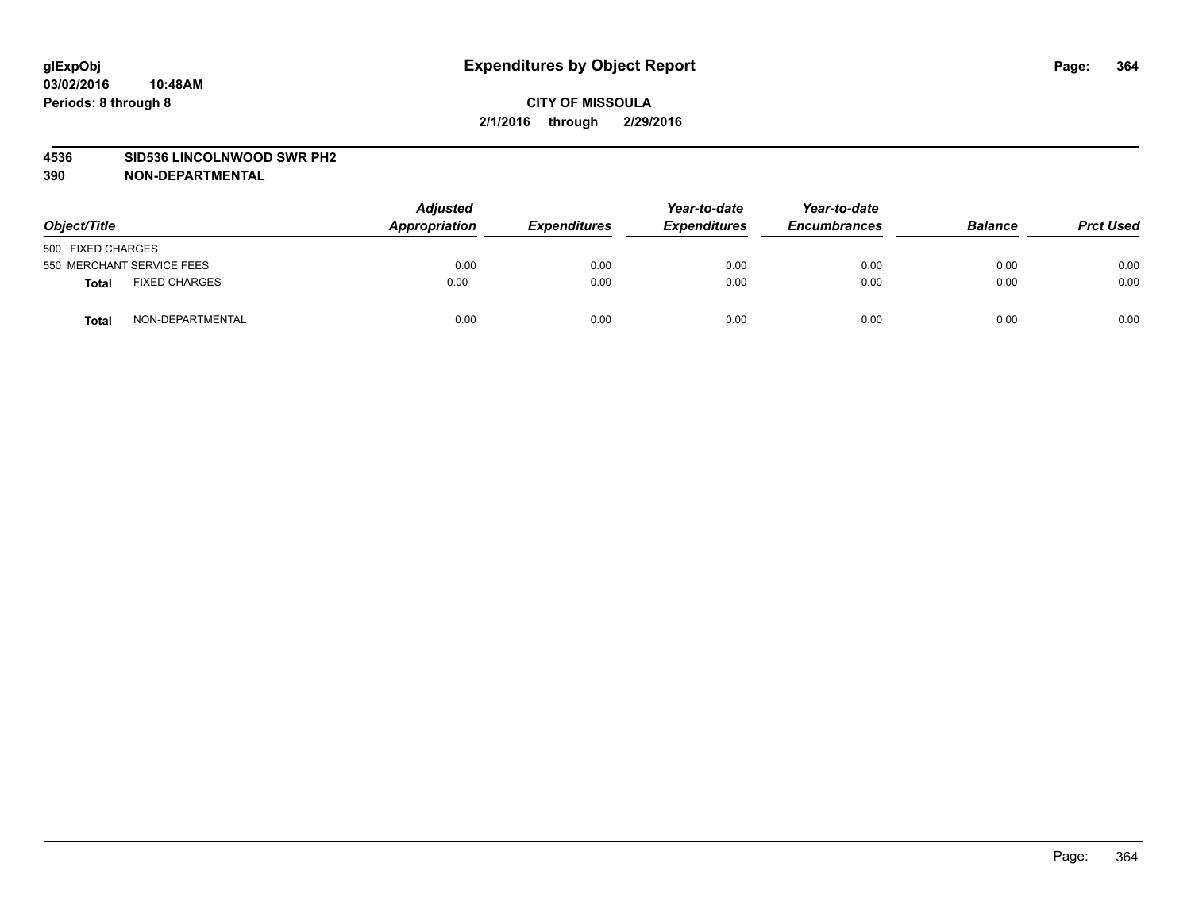#### **4536 SID536 LINCOLNWOOD SWR PH2**

| Object/Title              |                      | <b>Adjusted</b><br>Appropriation | <b>Expenditures</b> | Year-to-date<br><b>Expenditures</b> | Year-to-date<br><b>Encumbrances</b> | <b>Balance</b> | <b>Prct Used</b> |
|---------------------------|----------------------|----------------------------------|---------------------|-------------------------------------|-------------------------------------|----------------|------------------|
| 500 FIXED CHARGES         |                      |                                  |                     |                                     |                                     |                |                  |
| 550 MERCHANT SERVICE FEES |                      | 0.00                             | 0.00                | 0.00                                | 0.00                                | 0.00           | 0.00             |
| <b>Total</b>              | <b>FIXED CHARGES</b> | 0.00                             | 0.00                | 0.00                                | 0.00                                | 0.00           | 0.00             |
| Total                     | NON-DEPARTMENTAL     | 0.00                             | 0.00                | 0.00                                | 0.00                                | 0.00           | 0.00             |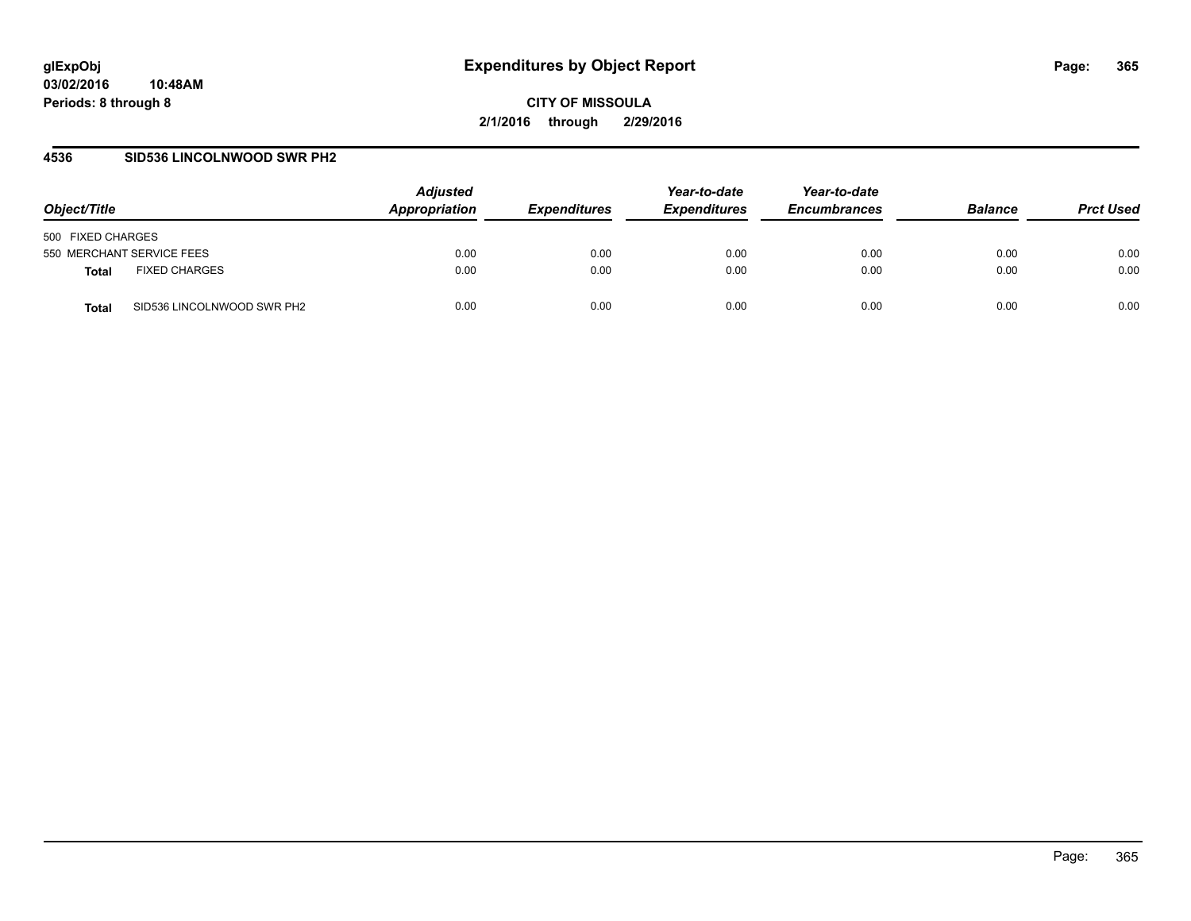### **4536 SID536 LINCOLNWOOD SWR PH2**

| Object/Title                         | <b>Adjusted</b><br>Appropriation | <b>Expenditures</b> | Year-to-date<br><b>Expenditures</b> | Year-to-date<br><b>Encumbrances</b> | <b>Balance</b> | <b>Prct Used</b> |
|--------------------------------------|----------------------------------|---------------------|-------------------------------------|-------------------------------------|----------------|------------------|
| 500 FIXED CHARGES                    |                                  |                     |                                     |                                     |                |                  |
| 550 MERCHANT SERVICE FEES            | 0.00                             | 0.00                | 0.00                                | 0.00                                | 0.00           | 0.00             |
| <b>FIXED CHARGES</b><br><b>Total</b> | 0.00                             | 0.00                | 0.00                                | 0.00                                | 0.00           | 0.00             |
| SID536 LINCOLNWOOD SWR PH2<br>Total  | 0.00                             | 0.00                | 0.00                                | 0.00                                | 0.00           | 0.00             |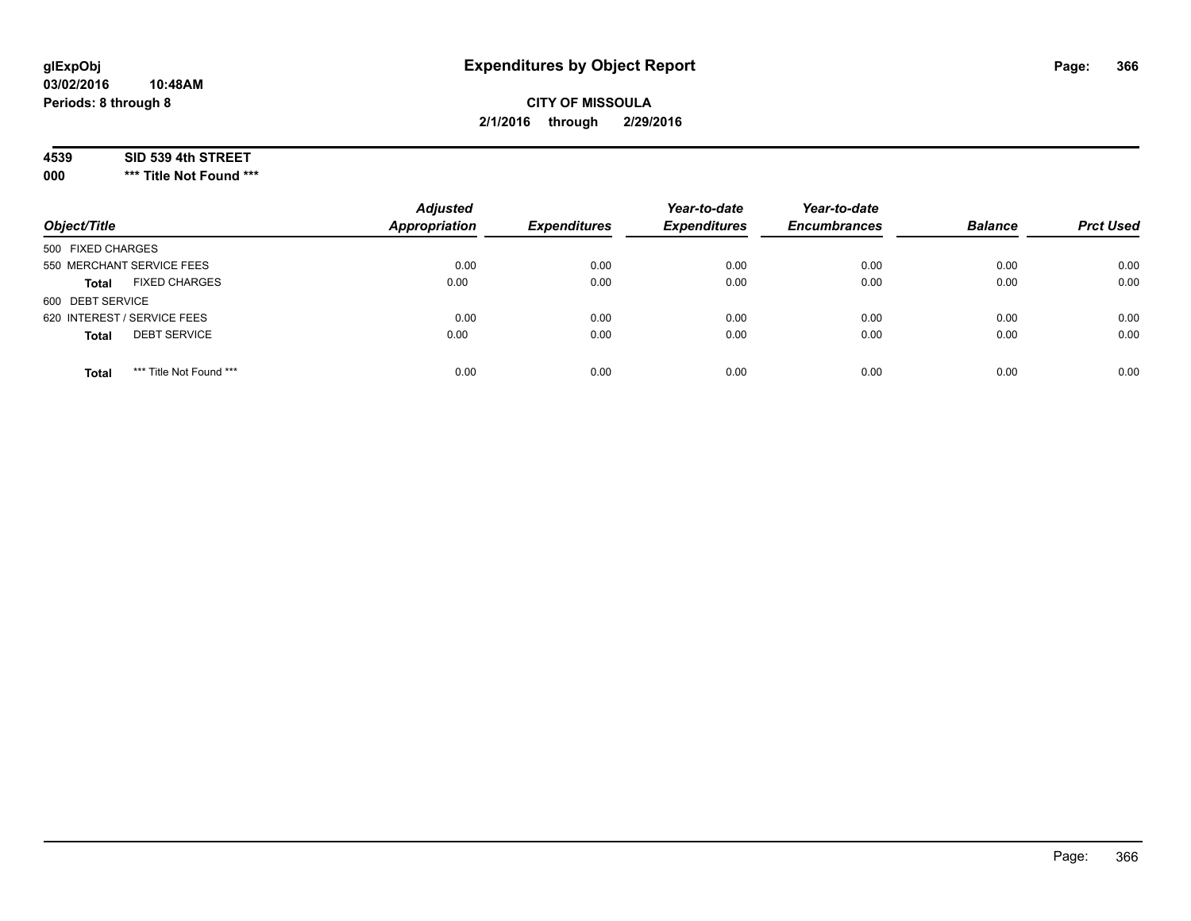# **CITY OF MISSOULA 2/1/2016 through 2/29/2016**

### **4539 SID 539 4th STREET**

**000 \*\*\* Title Not Found \*\*\***

| Object/Title                            | <b>Adjusted</b><br><b>Appropriation</b> | <b>Expenditures</b> | Year-to-date<br><b>Expenditures</b> | Year-to-date<br><b>Encumbrances</b> | <b>Balance</b> | <b>Prct Used</b> |
|-----------------------------------------|-----------------------------------------|---------------------|-------------------------------------|-------------------------------------|----------------|------------------|
| 500 FIXED CHARGES                       |                                         |                     |                                     |                                     |                |                  |
| 550 MERCHANT SERVICE FEES               | 0.00                                    | 0.00                | 0.00                                | 0.00                                | 0.00           | 0.00             |
| <b>FIXED CHARGES</b><br><b>Total</b>    | 0.00                                    | 0.00                | 0.00                                | 0.00                                | 0.00           | 0.00             |
| 600 DEBT SERVICE                        |                                         |                     |                                     |                                     |                |                  |
| 620 INTEREST / SERVICE FEES             | 0.00                                    | 0.00                | 0.00                                | 0.00                                | 0.00           | 0.00             |
| <b>DEBT SERVICE</b><br><b>Total</b>     | 0.00                                    | 0.00                | 0.00                                | 0.00                                | 0.00           | 0.00             |
| *** Title Not Found ***<br><b>Total</b> | 0.00                                    | 0.00                | 0.00                                | 0.00                                | 0.00           | 0.00             |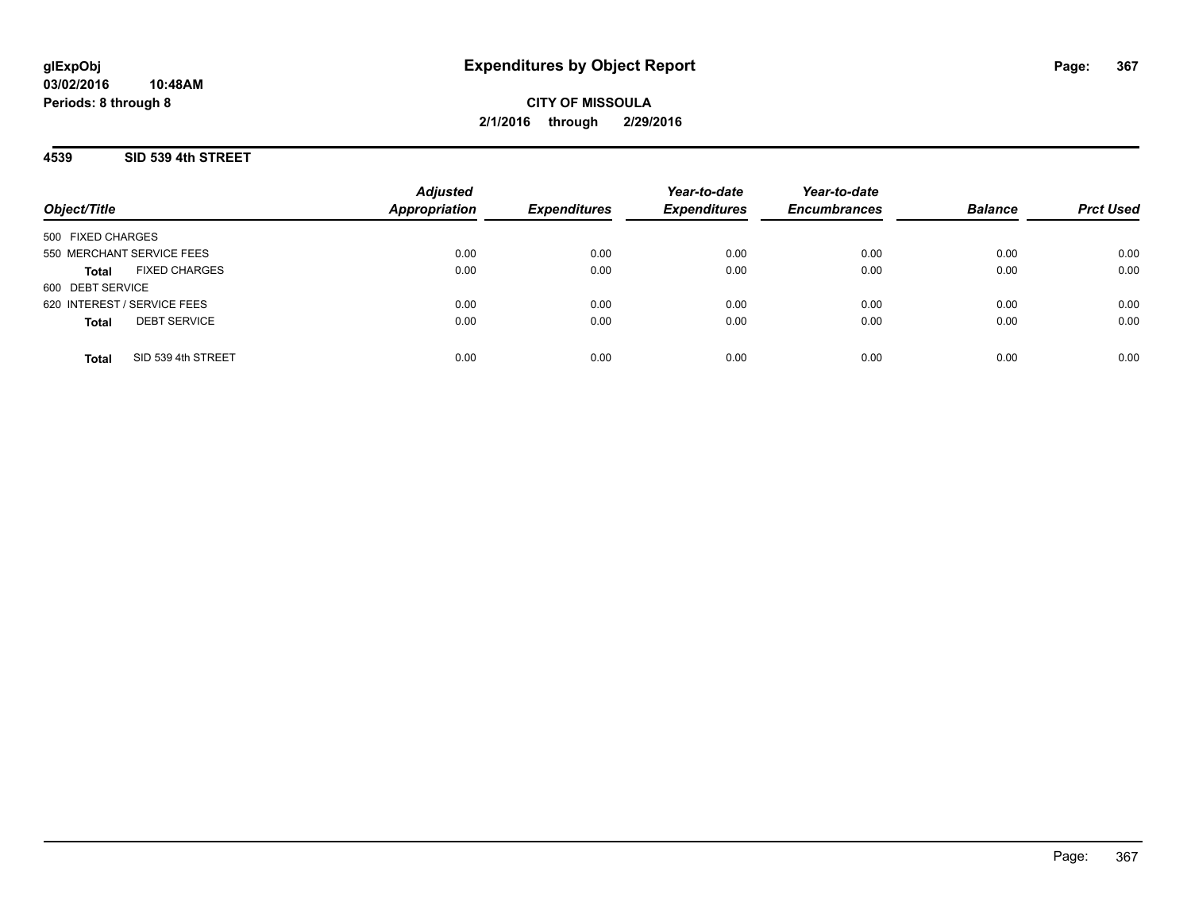### **4539 SID 539 4th STREET**

| Object/Title                         | <b>Adjusted</b><br><b>Appropriation</b> | <b>Expenditures</b> | Year-to-date<br><b>Expenditures</b> | Year-to-date<br><b>Encumbrances</b> | <b>Balance</b> | <b>Prct Used</b> |
|--------------------------------------|-----------------------------------------|---------------------|-------------------------------------|-------------------------------------|----------------|------------------|
| 500 FIXED CHARGES                    |                                         |                     |                                     |                                     |                |                  |
| 550 MERCHANT SERVICE FEES            | 0.00                                    | 0.00                | 0.00                                | 0.00                                | 0.00           | 0.00             |
| <b>FIXED CHARGES</b><br><b>Total</b> | 0.00                                    | 0.00                | 0.00                                | 0.00                                | 0.00           | 0.00             |
| 600 DEBT SERVICE                     |                                         |                     |                                     |                                     |                |                  |
| 620 INTEREST / SERVICE FEES          | 0.00                                    | 0.00                | 0.00                                | 0.00                                | 0.00           | 0.00             |
| <b>DEBT SERVICE</b><br><b>Total</b>  | 0.00                                    | 0.00                | 0.00                                | 0.00                                | 0.00           | 0.00             |
| SID 539 4th STREET<br><b>Total</b>   | 0.00                                    | 0.00                | 0.00                                | 0.00                                | 0.00           | 0.00             |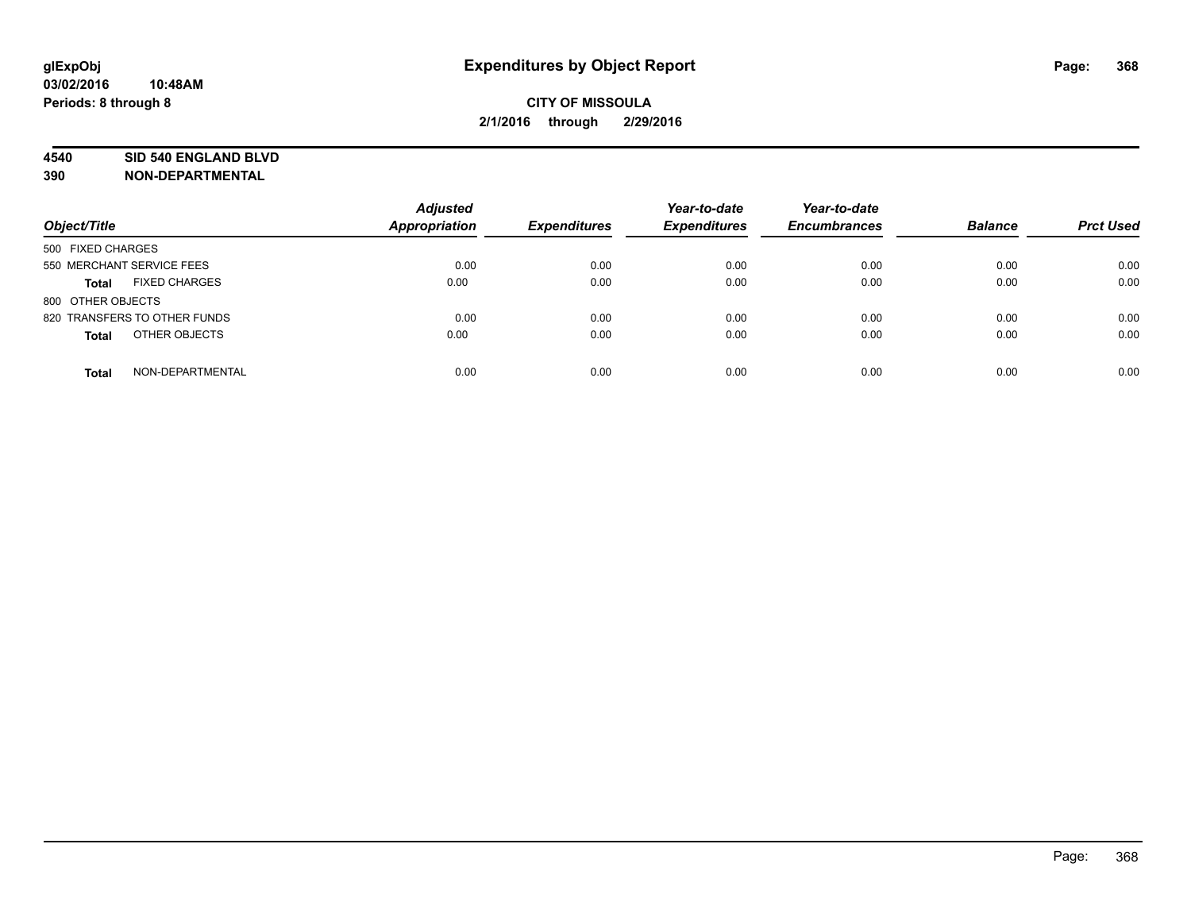#### **4540 SID 540 ENGLAND BLVD**

| Object/Title                         | <b>Adjusted</b><br>Appropriation | <b>Expenditures</b> | Year-to-date<br><b>Expenditures</b> | Year-to-date<br><b>Encumbrances</b> | <b>Balance</b> | <b>Prct Used</b> |
|--------------------------------------|----------------------------------|---------------------|-------------------------------------|-------------------------------------|----------------|------------------|
| 500 FIXED CHARGES                    |                                  |                     |                                     |                                     |                |                  |
| 550 MERCHANT SERVICE FEES            | 0.00                             | 0.00                | 0.00                                | 0.00                                | 0.00           | 0.00             |
| <b>FIXED CHARGES</b><br><b>Total</b> | 0.00                             | 0.00                | 0.00                                | 0.00                                | 0.00           | 0.00             |
| 800 OTHER OBJECTS                    |                                  |                     |                                     |                                     |                |                  |
| 820 TRANSFERS TO OTHER FUNDS         | 0.00                             | 0.00                | 0.00                                | 0.00                                | 0.00           | 0.00             |
| OTHER OBJECTS<br><b>Total</b>        | 0.00                             | 0.00                | 0.00                                | 0.00                                | 0.00           | 0.00             |
| NON-DEPARTMENTAL<br><b>Total</b>     | 0.00                             | 0.00                | 0.00                                | 0.00                                | 0.00           | 0.00             |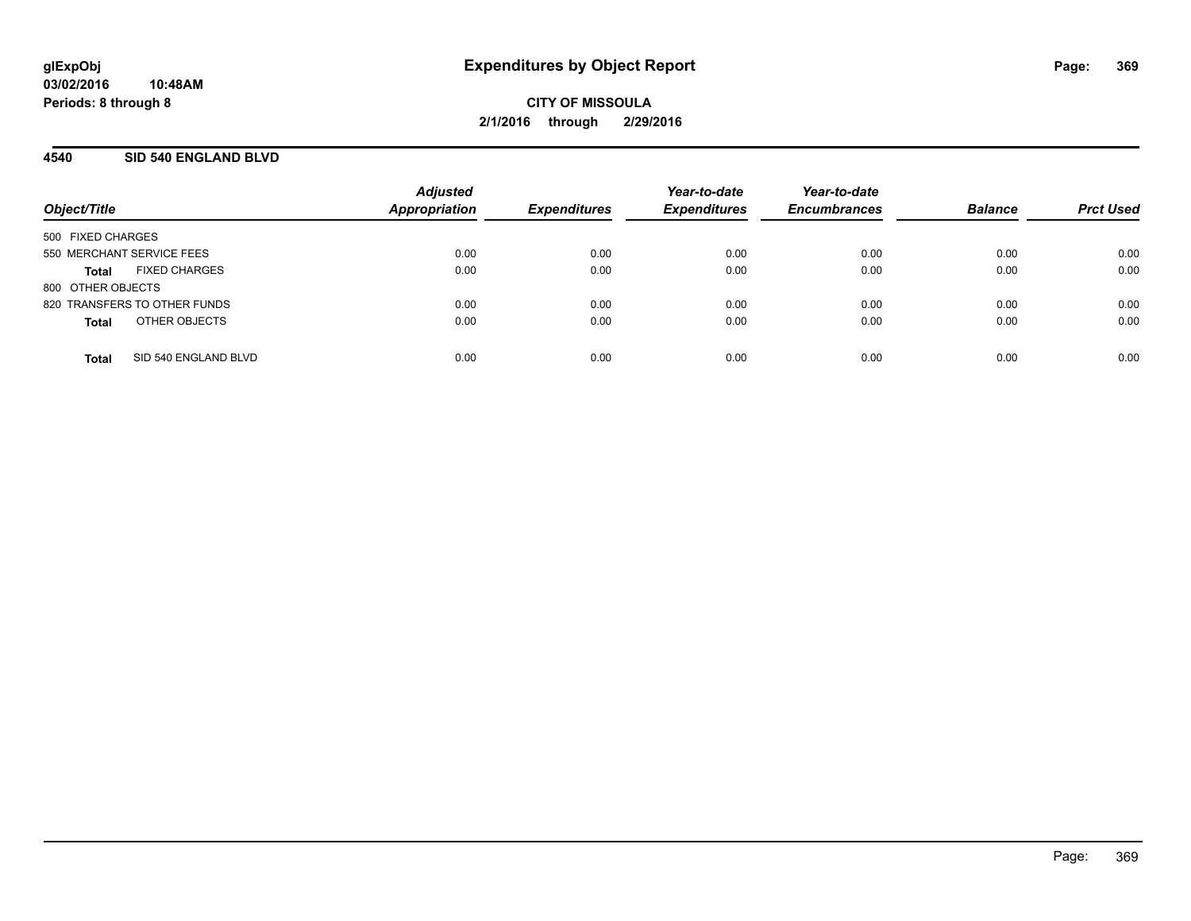## **4540 SID 540 ENGLAND BLVD**

| Object/Title              |                              | <b>Adjusted</b><br><b>Appropriation</b> | <b>Expenditures</b> | Year-to-date<br><b>Expenditures</b> | Year-to-date<br><b>Encumbrances</b> | <b>Balance</b> | <b>Prct Used</b> |
|---------------------------|------------------------------|-----------------------------------------|---------------------|-------------------------------------|-------------------------------------|----------------|------------------|
| 500 FIXED CHARGES         |                              |                                         |                     |                                     |                                     |                |                  |
| 550 MERCHANT SERVICE FEES |                              | 0.00                                    | 0.00                | 0.00                                | 0.00                                | 0.00           | 0.00             |
| Total                     | <b>FIXED CHARGES</b>         | 0.00                                    | 0.00                | 0.00                                | 0.00                                | 0.00           | 0.00             |
| 800 OTHER OBJECTS         |                              |                                         |                     |                                     |                                     |                |                  |
|                           | 820 TRANSFERS TO OTHER FUNDS | 0.00                                    | 0.00                | 0.00                                | 0.00                                | 0.00           | 0.00             |
| <b>Total</b>              | OTHER OBJECTS                | 0.00                                    | 0.00                | 0.00                                | 0.00                                | 0.00           | 0.00             |
| <b>Total</b>              | SID 540 ENGLAND BLVD         | 0.00                                    | 0.00                | 0.00                                | 0.00                                | 0.00           | 0.00             |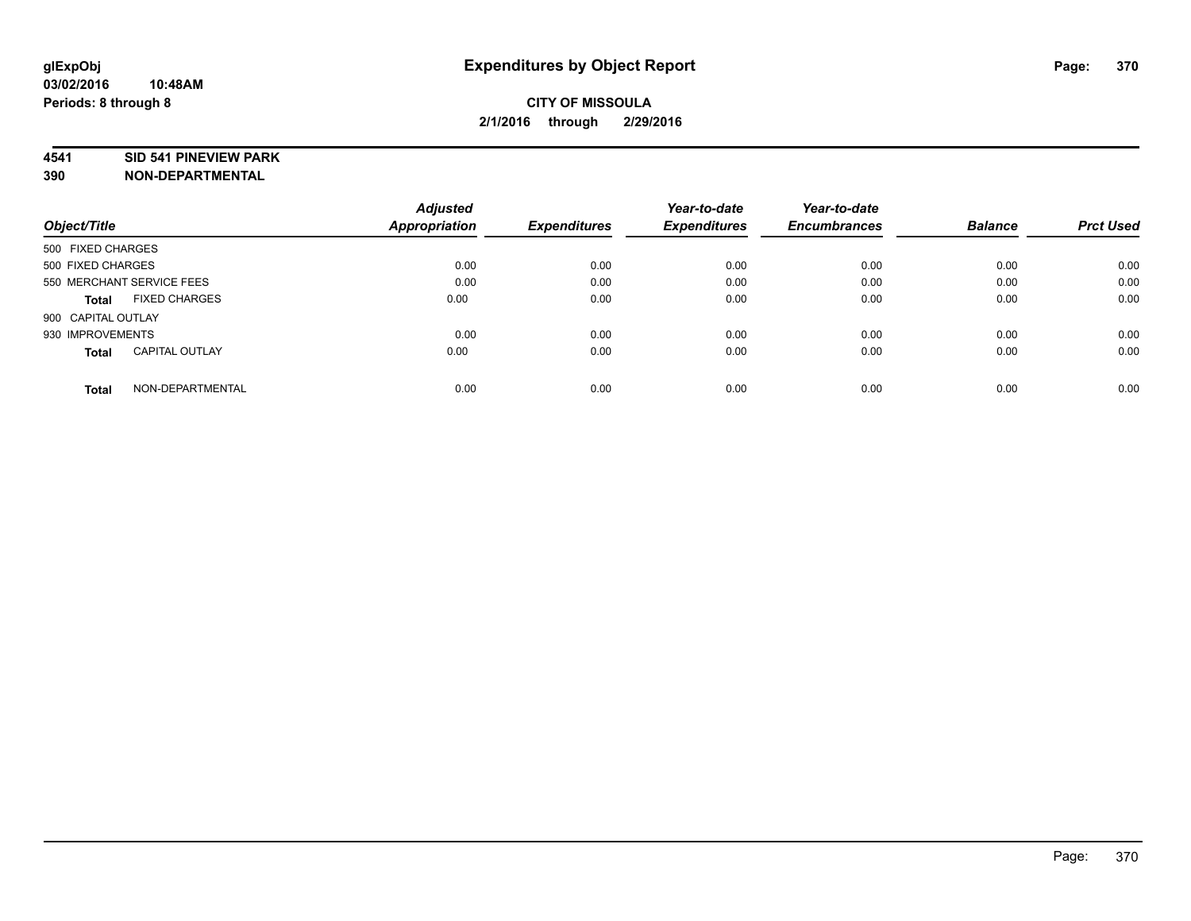#### **4541 SID 541 PINEVIEW PARK**

|                                       | <b>Adjusted</b> |                     | Year-to-date        | Year-to-date        |                |                  |
|---------------------------------------|-----------------|---------------------|---------------------|---------------------|----------------|------------------|
| Object/Title                          | Appropriation   | <b>Expenditures</b> | <b>Expenditures</b> | <b>Encumbrances</b> | <b>Balance</b> | <b>Prct Used</b> |
| 500 FIXED CHARGES                     |                 |                     |                     |                     |                |                  |
| 500 FIXED CHARGES                     | 0.00            | 0.00                | 0.00                | 0.00                | 0.00           | 0.00             |
| 550 MERCHANT SERVICE FEES             | 0.00            | 0.00                | 0.00                | 0.00                | 0.00           | 0.00             |
| <b>FIXED CHARGES</b><br><b>Total</b>  | 0.00            | 0.00                | 0.00                | 0.00                | 0.00           | 0.00             |
| 900 CAPITAL OUTLAY                    |                 |                     |                     |                     |                |                  |
| 930 IMPROVEMENTS                      | 0.00            | 0.00                | 0.00                | 0.00                | 0.00           | 0.00             |
| <b>CAPITAL OUTLAY</b><br><b>Total</b> | 0.00            | 0.00                | 0.00                | 0.00                | 0.00           | 0.00             |
| NON-DEPARTMENTAL<br><b>Total</b>      | 0.00            | 0.00                | 0.00                | 0.00                | 0.00           | 0.00             |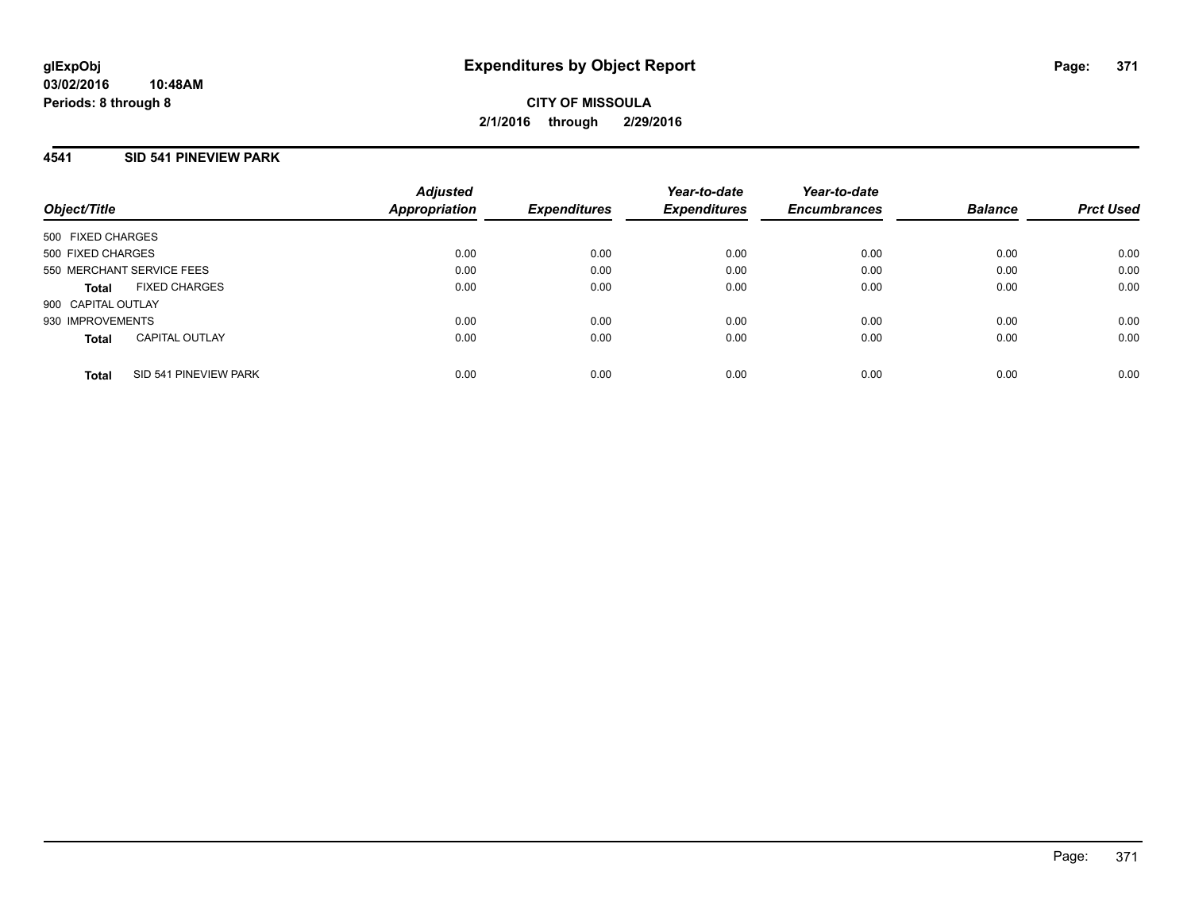### **4541 SID 541 PINEVIEW PARK**

| Object/Title              |                       | <b>Adjusted</b><br>Appropriation | <b>Expenditures</b> | Year-to-date<br><b>Expenditures</b> | Year-to-date<br><b>Encumbrances</b> | <b>Balance</b> | <b>Prct Used</b> |
|---------------------------|-----------------------|----------------------------------|---------------------|-------------------------------------|-------------------------------------|----------------|------------------|
| 500 FIXED CHARGES         |                       |                                  |                     |                                     |                                     |                |                  |
| 500 FIXED CHARGES         |                       | 0.00                             | 0.00                | 0.00                                | 0.00                                | 0.00           | 0.00             |
| 550 MERCHANT SERVICE FEES |                       | 0.00                             | 0.00                | 0.00                                | 0.00                                | 0.00           | 0.00             |
| <b>Total</b>              | <b>FIXED CHARGES</b>  | 0.00                             | 0.00                | 0.00                                | 0.00                                | 0.00           | 0.00             |
| 900 CAPITAL OUTLAY        |                       |                                  |                     |                                     |                                     |                |                  |
| 930 IMPROVEMENTS          |                       | 0.00                             | 0.00                | 0.00                                | 0.00                                | 0.00           | 0.00             |
| <b>Total</b>              | <b>CAPITAL OUTLAY</b> | 0.00                             | 0.00                | 0.00                                | 0.00                                | 0.00           | 0.00             |
| <b>Total</b>              | SID 541 PINEVIEW PARK | 0.00                             | 0.00                | 0.00                                | 0.00                                | 0.00           | 0.00             |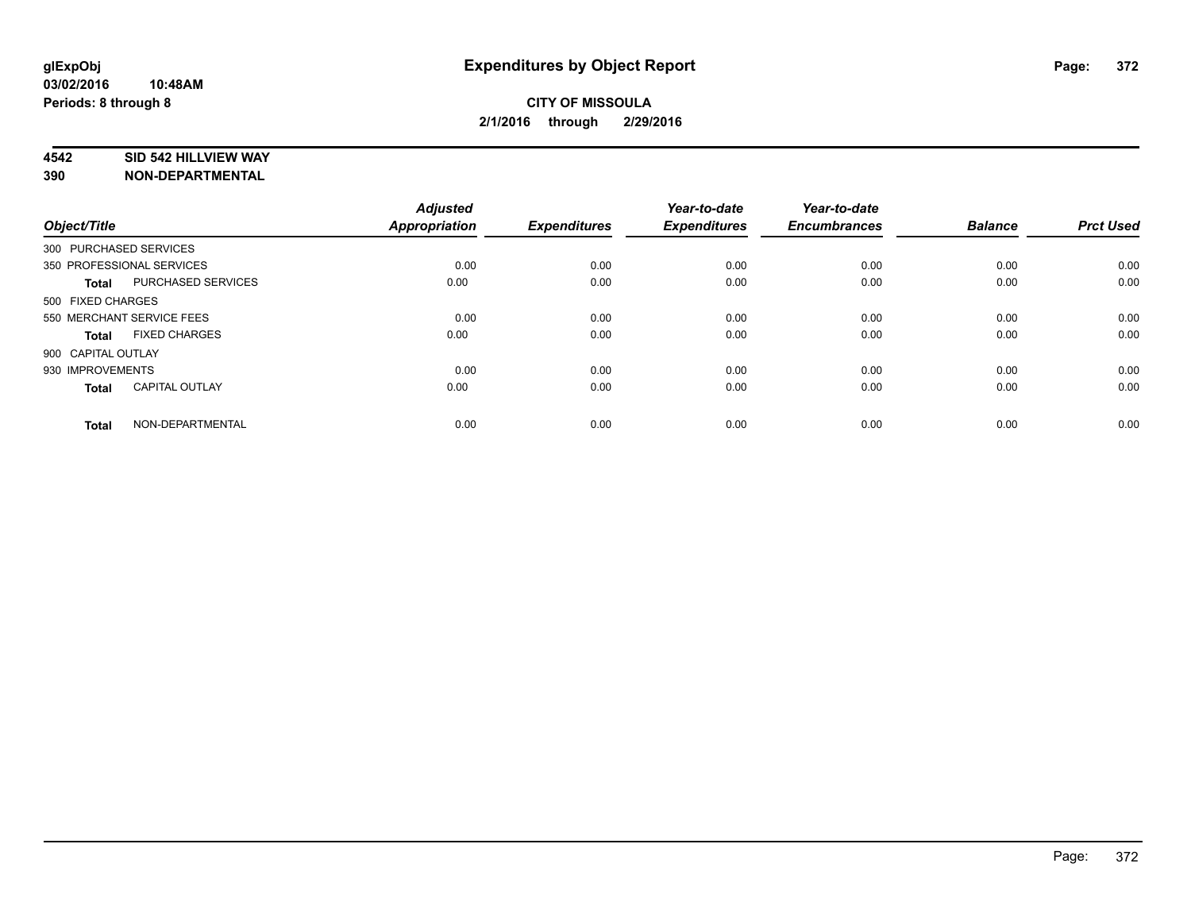### **4542 SID 542 HILLVIEW WAY**

| Object/Title           |                           | <b>Adjusted</b><br>Appropriation | <b>Expenditures</b> | Year-to-date<br><b>Expenditures</b> | Year-to-date<br><b>Encumbrances</b> | <b>Balance</b> | <b>Prct Used</b> |
|------------------------|---------------------------|----------------------------------|---------------------|-------------------------------------|-------------------------------------|----------------|------------------|
| 300 PURCHASED SERVICES |                           |                                  |                     |                                     |                                     |                |                  |
|                        | 350 PROFESSIONAL SERVICES | 0.00                             | 0.00                | 0.00                                | 0.00                                | 0.00           | 0.00             |
| <b>Total</b>           | PURCHASED SERVICES        | 0.00                             | 0.00                | 0.00                                | 0.00                                | 0.00           | 0.00             |
| 500 FIXED CHARGES      |                           |                                  |                     |                                     |                                     |                |                  |
|                        | 550 MERCHANT SERVICE FEES | 0.00                             | 0.00                | 0.00                                | 0.00                                | 0.00           | 0.00             |
| Total                  | <b>FIXED CHARGES</b>      | 0.00                             | 0.00                | 0.00                                | 0.00                                | 0.00           | 0.00             |
| 900 CAPITAL OUTLAY     |                           |                                  |                     |                                     |                                     |                |                  |
| 930 IMPROVEMENTS       |                           | 0.00                             | 0.00                | 0.00                                | 0.00                                | 0.00           | 0.00             |
| Total                  | <b>CAPITAL OUTLAY</b>     | 0.00                             | 0.00                | 0.00                                | 0.00                                | 0.00           | 0.00             |
| <b>Total</b>           | NON-DEPARTMENTAL          | 0.00                             | 0.00                | 0.00                                | 0.00                                | 0.00           | 0.00             |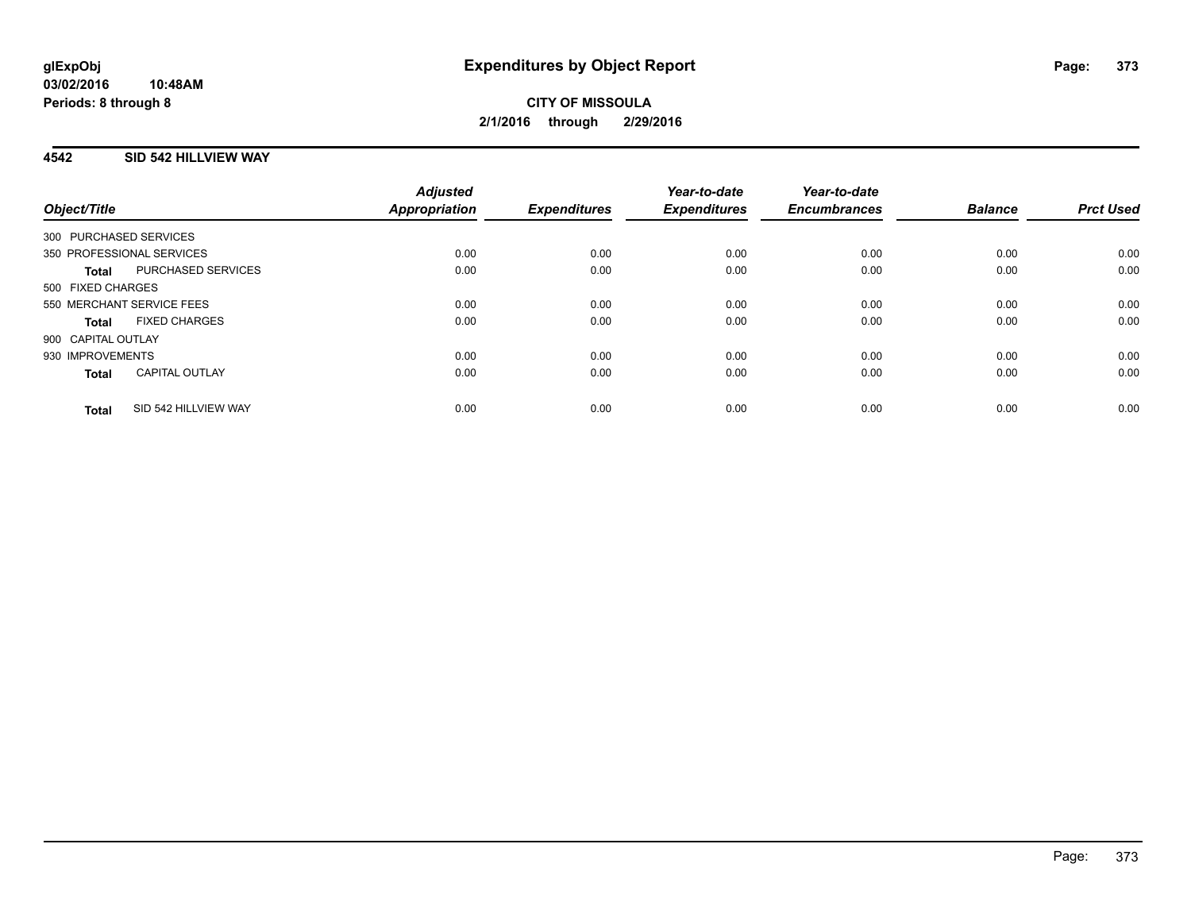## **4542 SID 542 HILLVIEW WAY**

| Object/Title              |                       | <b>Adjusted</b><br>Appropriation | <b>Expenditures</b> | Year-to-date<br><b>Expenditures</b> | Year-to-date<br><b>Encumbrances</b> | <b>Balance</b> | <b>Prct Used</b> |
|---------------------------|-----------------------|----------------------------------|---------------------|-------------------------------------|-------------------------------------|----------------|------------------|
| 300 PURCHASED SERVICES    |                       |                                  |                     |                                     |                                     |                |                  |
| 350 PROFESSIONAL SERVICES |                       | 0.00                             | 0.00                | 0.00                                | 0.00                                | 0.00           | 0.00             |
| <b>Total</b>              | PURCHASED SERVICES    | 0.00                             | 0.00                | 0.00                                | 0.00                                | 0.00           | 0.00             |
| 500 FIXED CHARGES         |                       |                                  |                     |                                     |                                     |                |                  |
| 550 MERCHANT SERVICE FEES |                       | 0.00                             | 0.00                | 0.00                                | 0.00                                | 0.00           | 0.00             |
| <b>Total</b>              | <b>FIXED CHARGES</b>  | 0.00                             | 0.00                | 0.00                                | 0.00                                | 0.00           | 0.00             |
| 900 CAPITAL OUTLAY        |                       |                                  |                     |                                     |                                     |                |                  |
| 930 IMPROVEMENTS          |                       | 0.00                             | 0.00                | 0.00                                | 0.00                                | 0.00           | 0.00             |
| <b>Total</b>              | <b>CAPITAL OUTLAY</b> | 0.00                             | 0.00                | 0.00                                | 0.00                                | 0.00           | 0.00             |
| <b>Total</b>              | SID 542 HILLVIEW WAY  | 0.00                             | 0.00                | 0.00                                | 0.00                                | 0.00           | 0.00             |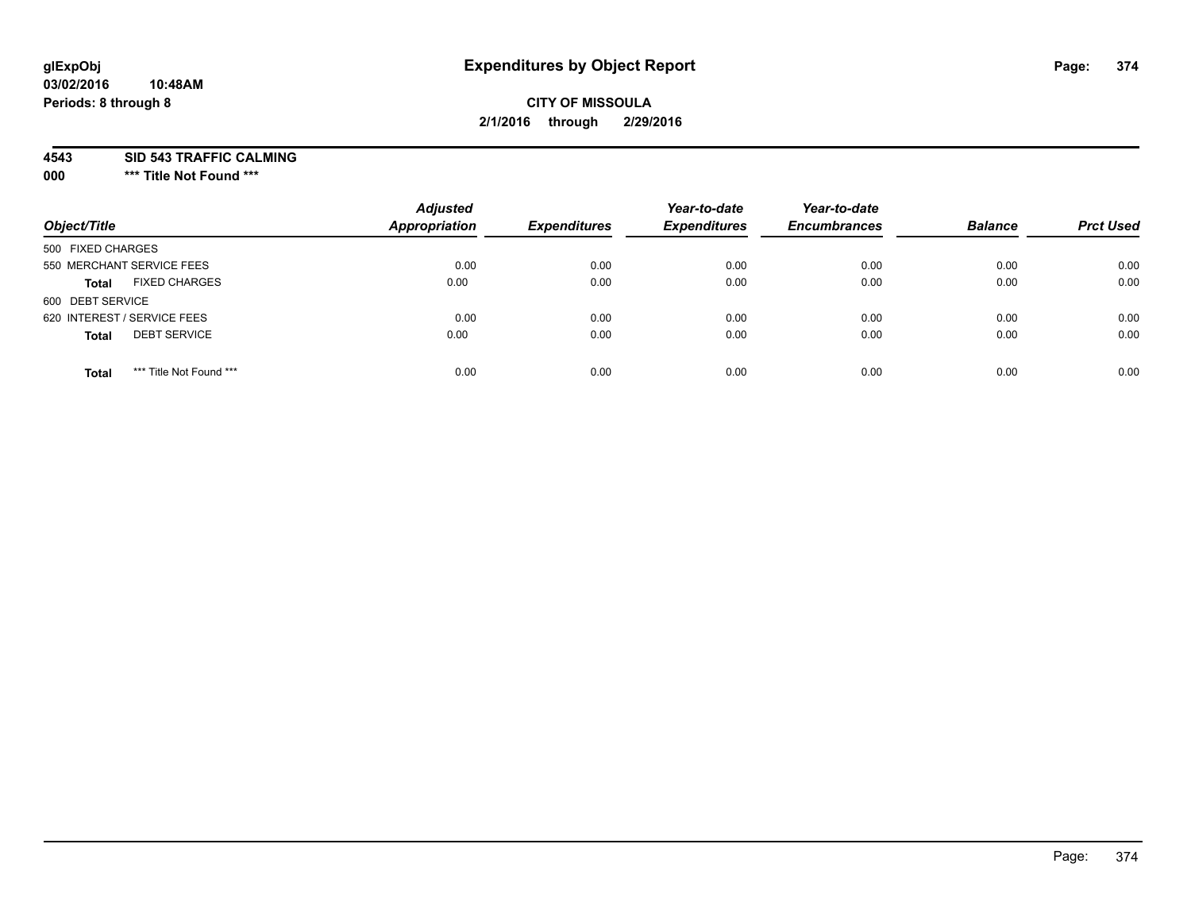# **CITY OF MISSOULA 2/1/2016 through 2/29/2016**

**4543 SID 543 TRAFFIC CALMING**

**000 \*\*\* Title Not Found \*\*\***

| Object/Title                            | <b>Adjusted</b><br><b>Appropriation</b> | <b>Expenditures</b> | Year-to-date<br><b>Expenditures</b> | Year-to-date<br><b>Encumbrances</b> | <b>Balance</b> | <b>Prct Used</b> |
|-----------------------------------------|-----------------------------------------|---------------------|-------------------------------------|-------------------------------------|----------------|------------------|
| 500 FIXED CHARGES                       |                                         |                     |                                     |                                     |                |                  |
| 550 MERCHANT SERVICE FEES               | 0.00                                    | 0.00                | 0.00                                | 0.00                                | 0.00           | 0.00             |
| <b>FIXED CHARGES</b><br><b>Total</b>    | 0.00                                    | 0.00                | 0.00                                | 0.00                                | 0.00           | 0.00             |
| 600 DEBT SERVICE                        |                                         |                     |                                     |                                     |                |                  |
| 620 INTEREST / SERVICE FEES             | 0.00                                    | 0.00                | 0.00                                | 0.00                                | 0.00           | 0.00             |
| <b>DEBT SERVICE</b><br><b>Total</b>     | 0.00                                    | 0.00                | 0.00                                | 0.00                                | 0.00           | 0.00             |
| *** Title Not Found ***<br><b>Total</b> | 0.00                                    | 0.00                | 0.00                                | 0.00                                | 0.00           | 0.00             |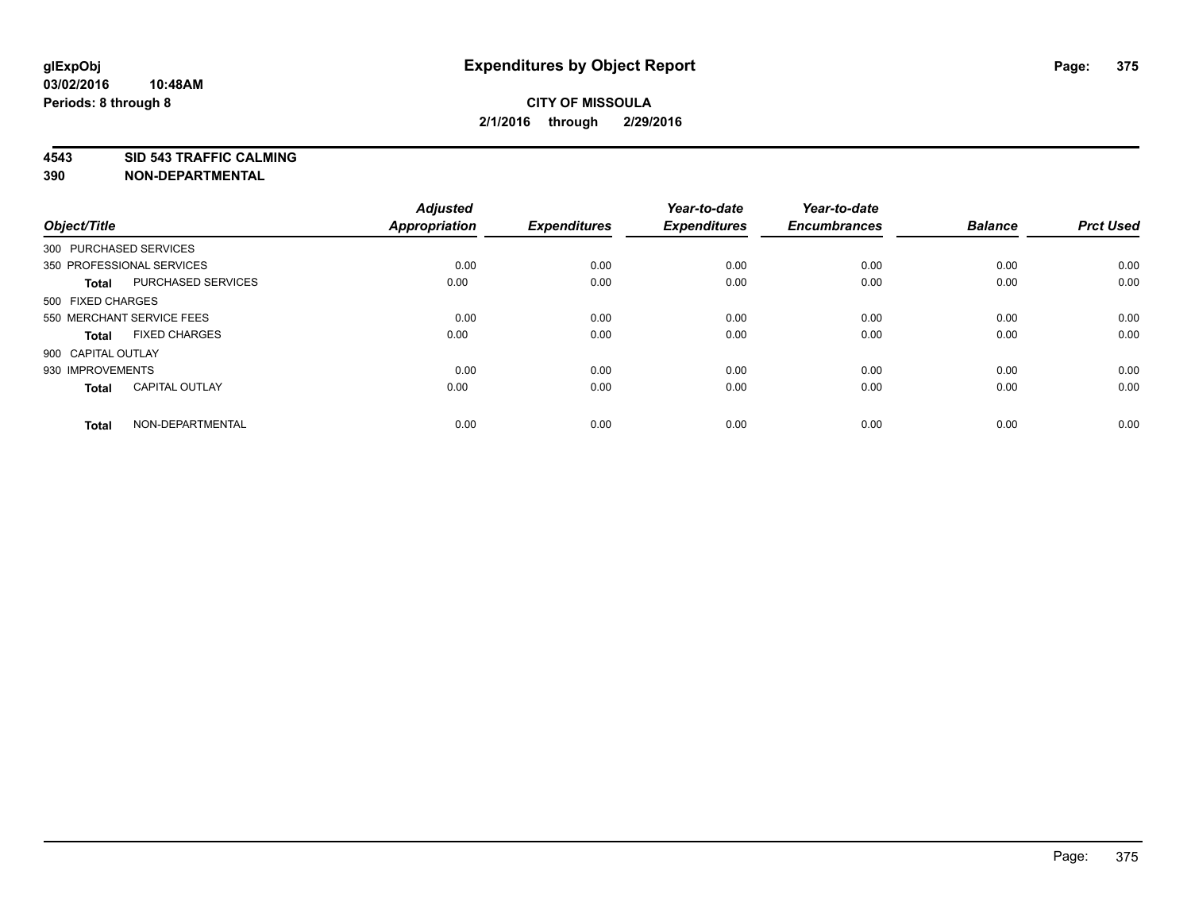**4543 SID 543 TRAFFIC CALMING**

| Object/Title           |                           | <b>Adjusted</b><br>Appropriation | <b>Expenditures</b> | Year-to-date<br><b>Expenditures</b> | Year-to-date<br><b>Encumbrances</b> | <b>Balance</b> | <b>Prct Used</b> |
|------------------------|---------------------------|----------------------------------|---------------------|-------------------------------------|-------------------------------------|----------------|------------------|
| 300 PURCHASED SERVICES |                           |                                  |                     |                                     |                                     |                |                  |
|                        | 350 PROFESSIONAL SERVICES | 0.00                             | 0.00                | 0.00                                | 0.00                                | 0.00           | 0.00             |
| <b>Total</b>           | PURCHASED SERVICES        | 0.00                             | 0.00                | 0.00                                | 0.00                                | 0.00           | 0.00             |
| 500 FIXED CHARGES      |                           |                                  |                     |                                     |                                     |                |                  |
|                        | 550 MERCHANT SERVICE FEES | 0.00                             | 0.00                | 0.00                                | 0.00                                | 0.00           | 0.00             |
| Total                  | <b>FIXED CHARGES</b>      | 0.00                             | 0.00                | 0.00                                | 0.00                                | 0.00           | 0.00             |
| 900 CAPITAL OUTLAY     |                           |                                  |                     |                                     |                                     |                |                  |
| 930 IMPROVEMENTS       |                           | 0.00                             | 0.00                | 0.00                                | 0.00                                | 0.00           | 0.00             |
| Total                  | <b>CAPITAL OUTLAY</b>     | 0.00                             | 0.00                | 0.00                                | 0.00                                | 0.00           | 0.00             |
| <b>Total</b>           | NON-DEPARTMENTAL          | 0.00                             | 0.00                | 0.00                                | 0.00                                | 0.00           | 0.00             |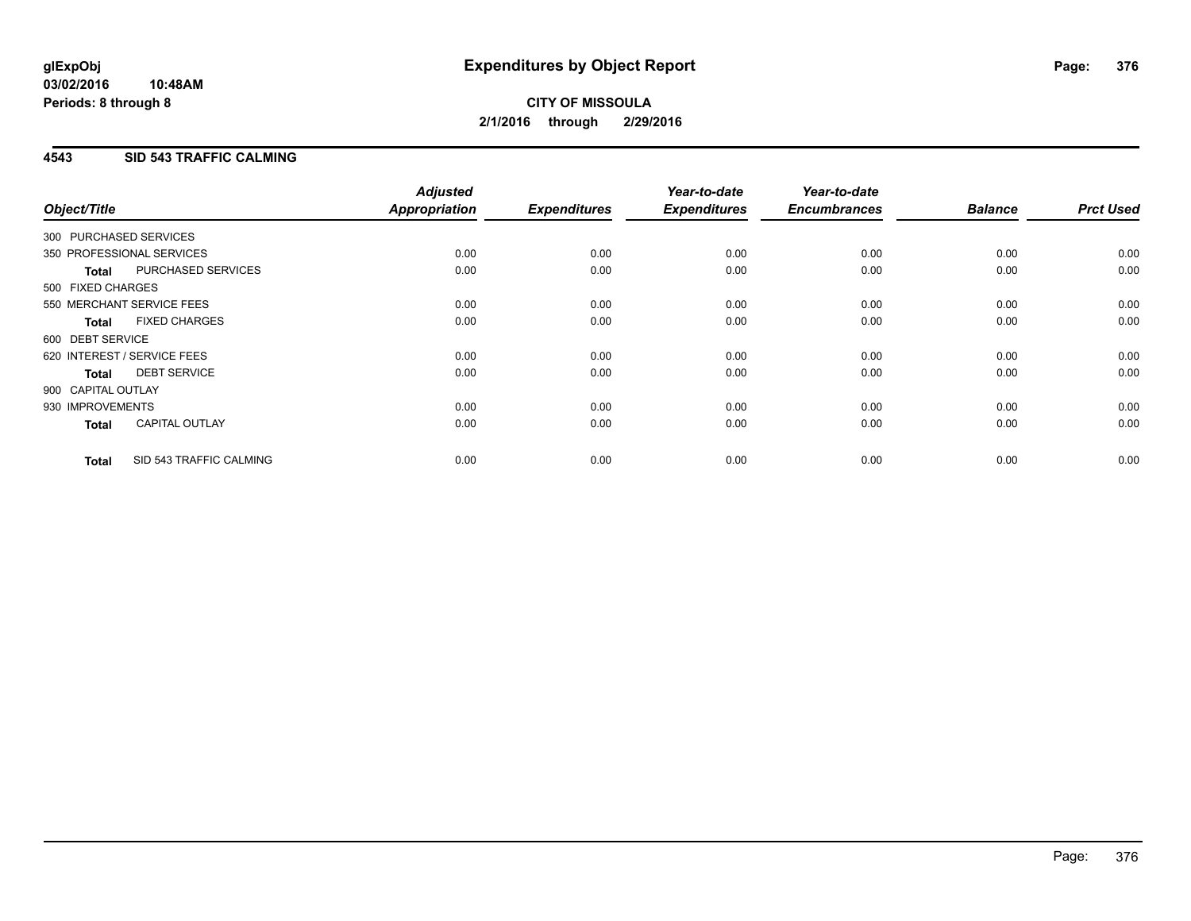# **CITY OF MISSOULA 2/1/2016 through 2/29/2016**

## **4543 SID 543 TRAFFIC CALMING**

|                        |                             | <b>Adjusted</b>      |                     | Year-to-date        | Year-to-date        |                |                  |
|------------------------|-----------------------------|----------------------|---------------------|---------------------|---------------------|----------------|------------------|
| Object/Title           |                             | <b>Appropriation</b> | <b>Expenditures</b> | <b>Expenditures</b> | <b>Encumbrances</b> | <b>Balance</b> | <b>Prct Used</b> |
| 300 PURCHASED SERVICES |                             |                      |                     |                     |                     |                |                  |
|                        | 350 PROFESSIONAL SERVICES   | 0.00                 | 0.00                | 0.00                | 0.00                | 0.00           | 0.00             |
| <b>Total</b>           | <b>PURCHASED SERVICES</b>   | 0.00                 | 0.00                | 0.00                | 0.00                | 0.00           | 0.00             |
| 500 FIXED CHARGES      |                             |                      |                     |                     |                     |                |                  |
|                        | 550 MERCHANT SERVICE FEES   | 0.00                 | 0.00                | 0.00                | 0.00                | 0.00           | 0.00             |
| <b>Total</b>           | <b>FIXED CHARGES</b>        | 0.00                 | 0.00                | 0.00                | 0.00                | 0.00           | 0.00             |
| 600 DEBT SERVICE       |                             |                      |                     |                     |                     |                |                  |
|                        | 620 INTEREST / SERVICE FEES | 0.00                 | 0.00                | 0.00                | 0.00                | 0.00           | 0.00             |
| <b>Total</b>           | <b>DEBT SERVICE</b>         | 0.00                 | 0.00                | 0.00                | 0.00                | 0.00           | 0.00             |
| 900 CAPITAL OUTLAY     |                             |                      |                     |                     |                     |                |                  |
| 930 IMPROVEMENTS       |                             | 0.00                 | 0.00                | 0.00                | 0.00                | 0.00           | 0.00             |
| <b>Total</b>           | <b>CAPITAL OUTLAY</b>       | 0.00                 | 0.00                | 0.00                | 0.00                | 0.00           | 0.00             |
| <b>Total</b>           | SID 543 TRAFFIC CALMING     | 0.00                 | 0.00                | 0.00                | 0.00                | 0.00           | 0.00             |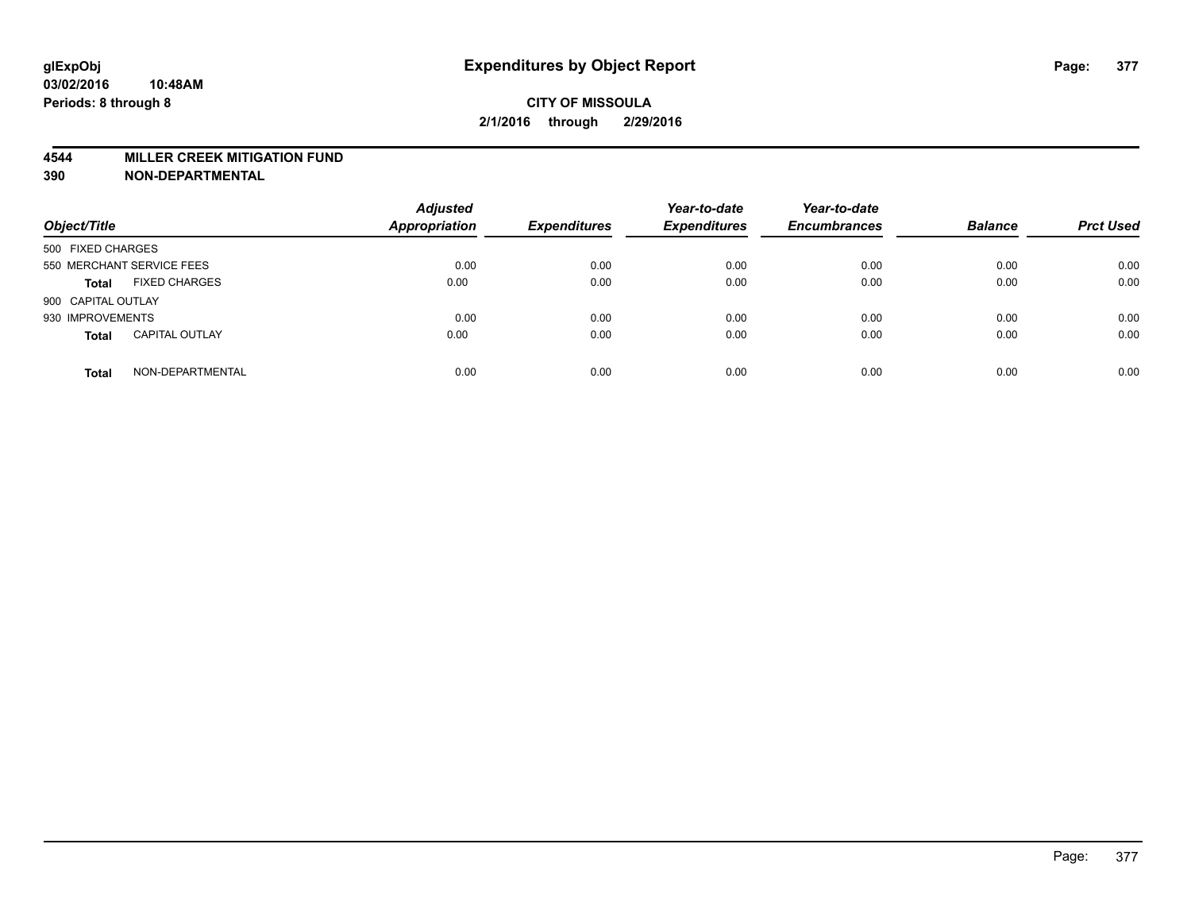#### **4544 MILLER CREEK MITIGATION FUND**

| Object/Title                          | <b>Adjusted</b><br>Appropriation | <b>Expenditures</b> | Year-to-date<br><b>Expenditures</b> | Year-to-date<br><b>Encumbrances</b> | <b>Balance</b> | <b>Prct Used</b> |
|---------------------------------------|----------------------------------|---------------------|-------------------------------------|-------------------------------------|----------------|------------------|
| 500 FIXED CHARGES                     |                                  |                     |                                     |                                     |                |                  |
| 550 MERCHANT SERVICE FEES             | 0.00                             | 0.00                | 0.00                                | 0.00                                | 0.00           | 0.00             |
| <b>FIXED CHARGES</b><br><b>Total</b>  | 0.00                             | 0.00                | 0.00                                | 0.00                                | 0.00           | 0.00             |
| 900 CAPITAL OUTLAY                    |                                  |                     |                                     |                                     |                |                  |
| 930 IMPROVEMENTS                      | 0.00                             | 0.00                | 0.00                                | 0.00                                | 0.00           | 0.00             |
| <b>CAPITAL OUTLAY</b><br><b>Total</b> | 0.00                             | 0.00                | 0.00                                | 0.00                                | 0.00           | 0.00             |
| NON-DEPARTMENTAL<br><b>Total</b>      | 0.00                             | 0.00                | 0.00                                | 0.00                                | 0.00           | 0.00             |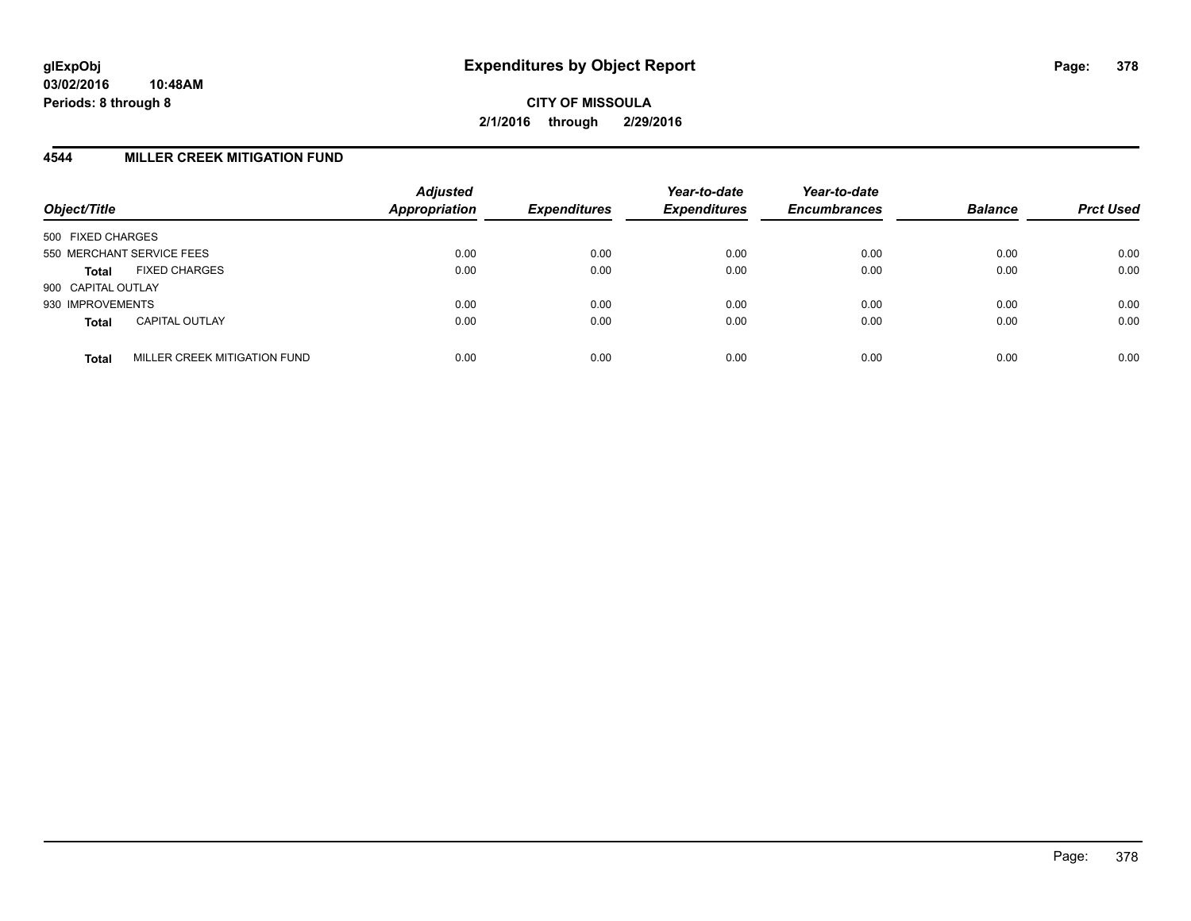### **4544 MILLER CREEK MITIGATION FUND**

| Object/Title              |                              | <b>Adjusted</b><br>Appropriation | <b>Expenditures</b> | Year-to-date<br><b>Expenditures</b> | Year-to-date<br><b>Encumbrances</b> | <b>Balance</b> | <b>Prct Used</b> |
|---------------------------|------------------------------|----------------------------------|---------------------|-------------------------------------|-------------------------------------|----------------|------------------|
| 500 FIXED CHARGES         |                              |                                  |                     |                                     |                                     |                |                  |
| 550 MERCHANT SERVICE FEES |                              | 0.00                             | 0.00                | 0.00                                | 0.00                                | 0.00           | 0.00             |
| <b>Total</b>              | <b>FIXED CHARGES</b>         | 0.00                             | 0.00                | 0.00                                | 0.00                                | 0.00           | 0.00             |
| 900 CAPITAL OUTLAY        |                              |                                  |                     |                                     |                                     |                |                  |
| 930 IMPROVEMENTS          |                              | 0.00                             | 0.00                | 0.00                                | 0.00                                | 0.00           | 0.00             |
| <b>Total</b>              | <b>CAPITAL OUTLAY</b>        | 0.00                             | 0.00                | 0.00                                | 0.00                                | 0.00           | 0.00             |
| <b>Total</b>              | MILLER CREEK MITIGATION FUND | 0.00                             | 0.00                | 0.00                                | 0.00                                | 0.00           | 0.00             |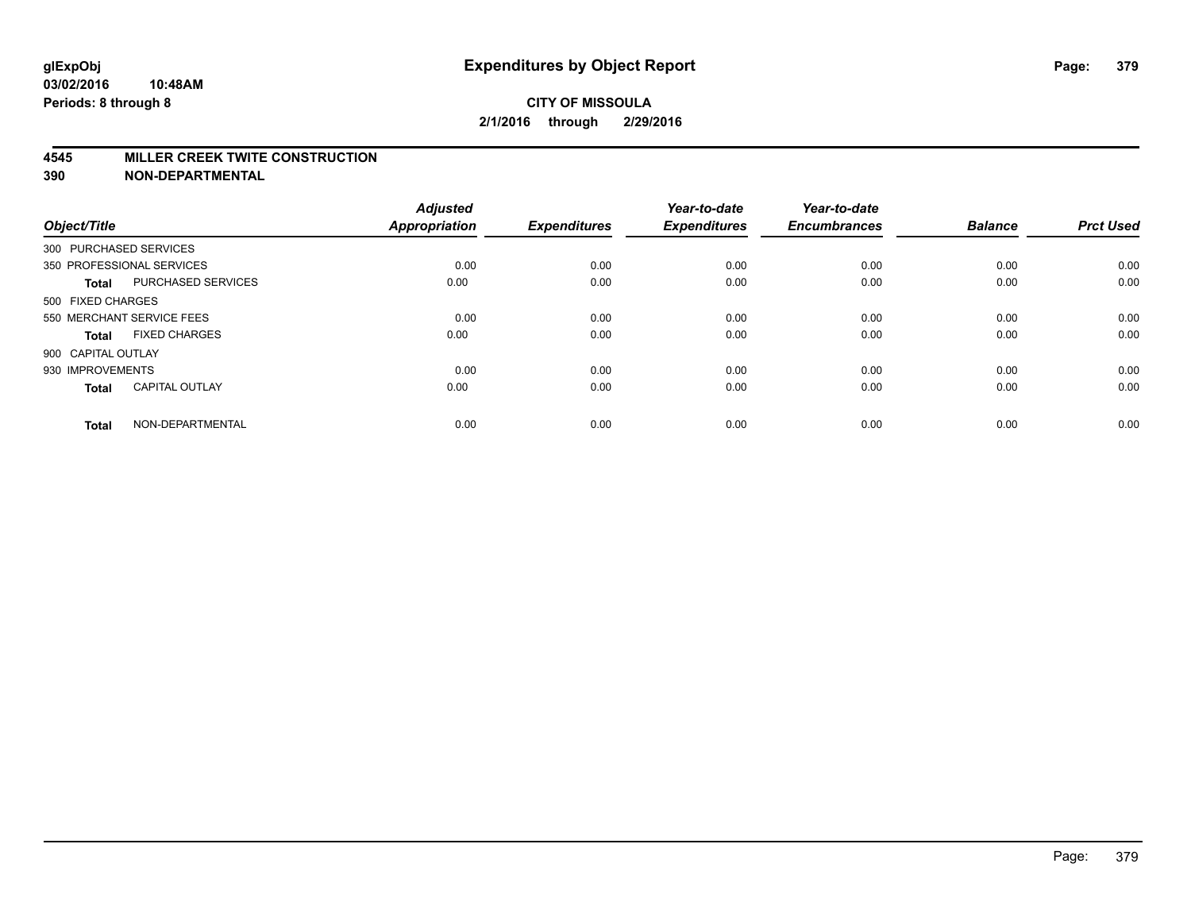#### **4545 MILLER CREEK TWITE CONSTRUCTION**

| Object/Title           |                           | <b>Adjusted</b><br>Appropriation | <b>Expenditures</b> | Year-to-date<br><b>Expenditures</b> | Year-to-date<br><b>Encumbrances</b> | <b>Balance</b> | <b>Prct Used</b> |
|------------------------|---------------------------|----------------------------------|---------------------|-------------------------------------|-------------------------------------|----------------|------------------|
| 300 PURCHASED SERVICES |                           |                                  |                     |                                     |                                     |                |                  |
|                        | 350 PROFESSIONAL SERVICES | 0.00                             | 0.00                | 0.00                                | 0.00                                | 0.00           | 0.00             |
| <b>Total</b>           | PURCHASED SERVICES        | 0.00                             | 0.00                | 0.00                                | 0.00                                | 0.00           | 0.00             |
| 500 FIXED CHARGES      |                           |                                  |                     |                                     |                                     |                |                  |
|                        | 550 MERCHANT SERVICE FEES | 0.00                             | 0.00                | 0.00                                | 0.00                                | 0.00           | 0.00             |
| Total                  | <b>FIXED CHARGES</b>      | 0.00                             | 0.00                | 0.00                                | 0.00                                | 0.00           | 0.00             |
| 900 CAPITAL OUTLAY     |                           |                                  |                     |                                     |                                     |                |                  |
| 930 IMPROVEMENTS       |                           | 0.00                             | 0.00                | 0.00                                | 0.00                                | 0.00           | 0.00             |
| Total                  | <b>CAPITAL OUTLAY</b>     | 0.00                             | 0.00                | 0.00                                | 0.00                                | 0.00           | 0.00             |
| <b>Total</b>           | NON-DEPARTMENTAL          | 0.00                             | 0.00                | 0.00                                | 0.00                                | 0.00           | 0.00             |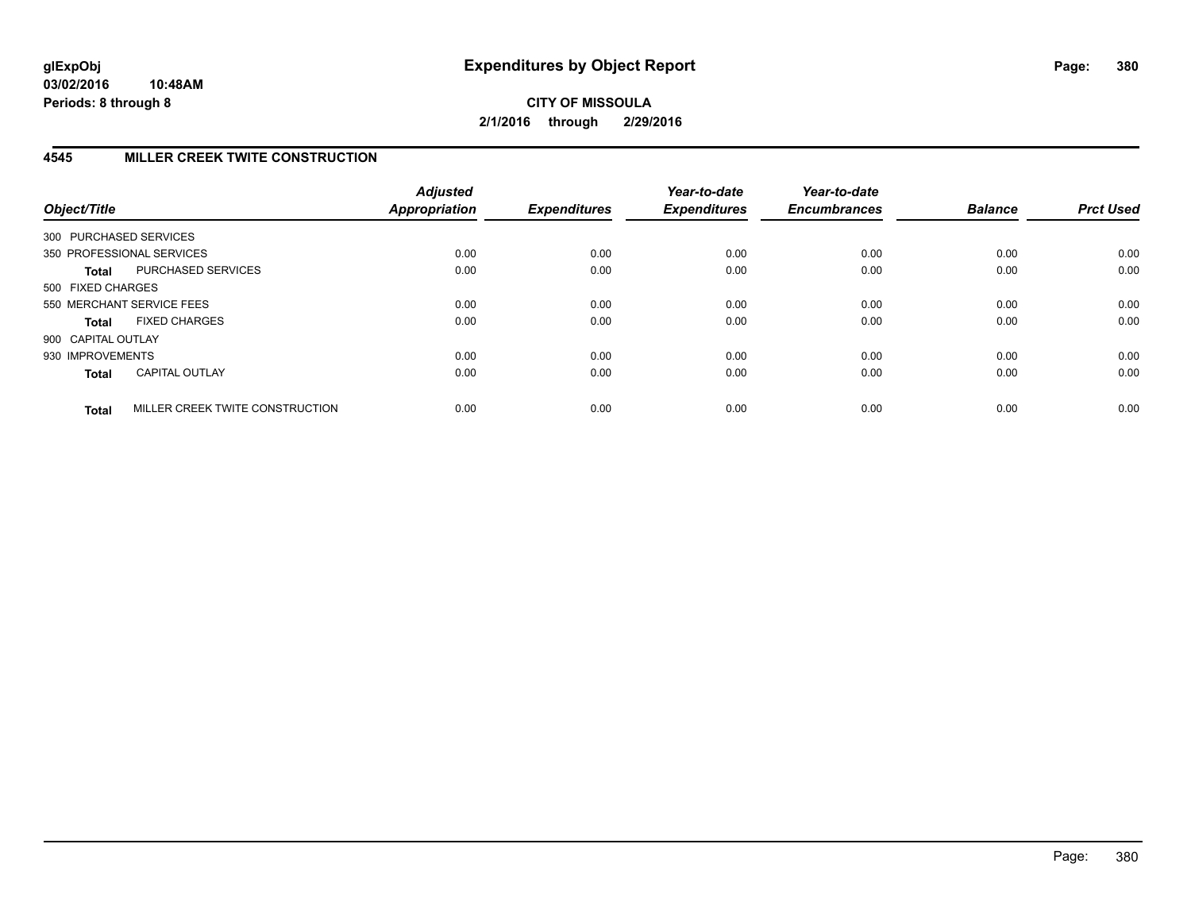# **4545 MILLER CREEK TWITE CONSTRUCTION**

| Object/Title           |                                 | <b>Adjusted</b><br>Appropriation | <b>Expenditures</b> | Year-to-date<br><b>Expenditures</b> | Year-to-date<br><b>Encumbrances</b> | <b>Balance</b> | <b>Prct Used</b> |
|------------------------|---------------------------------|----------------------------------|---------------------|-------------------------------------|-------------------------------------|----------------|------------------|
| 300 PURCHASED SERVICES |                                 |                                  |                     |                                     |                                     |                |                  |
|                        | 350 PROFESSIONAL SERVICES       | 0.00                             | 0.00                | 0.00                                | 0.00                                | 0.00           | 0.00             |
| <b>Total</b>           | PURCHASED SERVICES              | 0.00                             | 0.00                | 0.00                                | 0.00                                | 0.00           | 0.00             |
| 500 FIXED CHARGES      |                                 |                                  |                     |                                     |                                     |                |                  |
|                        | 550 MERCHANT SERVICE FEES       | 0.00                             | 0.00                | 0.00                                | 0.00                                | 0.00           | 0.00             |
| <b>Total</b>           | <b>FIXED CHARGES</b>            | 0.00                             | 0.00                | 0.00                                | 0.00                                | 0.00           | 0.00             |
| 900 CAPITAL OUTLAY     |                                 |                                  |                     |                                     |                                     |                |                  |
| 930 IMPROVEMENTS       |                                 | 0.00                             | 0.00                | 0.00                                | 0.00                                | 0.00           | 0.00             |
| <b>Total</b>           | <b>CAPITAL OUTLAY</b>           | 0.00                             | 0.00                | 0.00                                | 0.00                                | 0.00           | 0.00             |
| <b>Total</b>           | MILLER CREEK TWITE CONSTRUCTION | 0.00                             | 0.00                | 0.00                                | 0.00                                | 0.00           | 0.00             |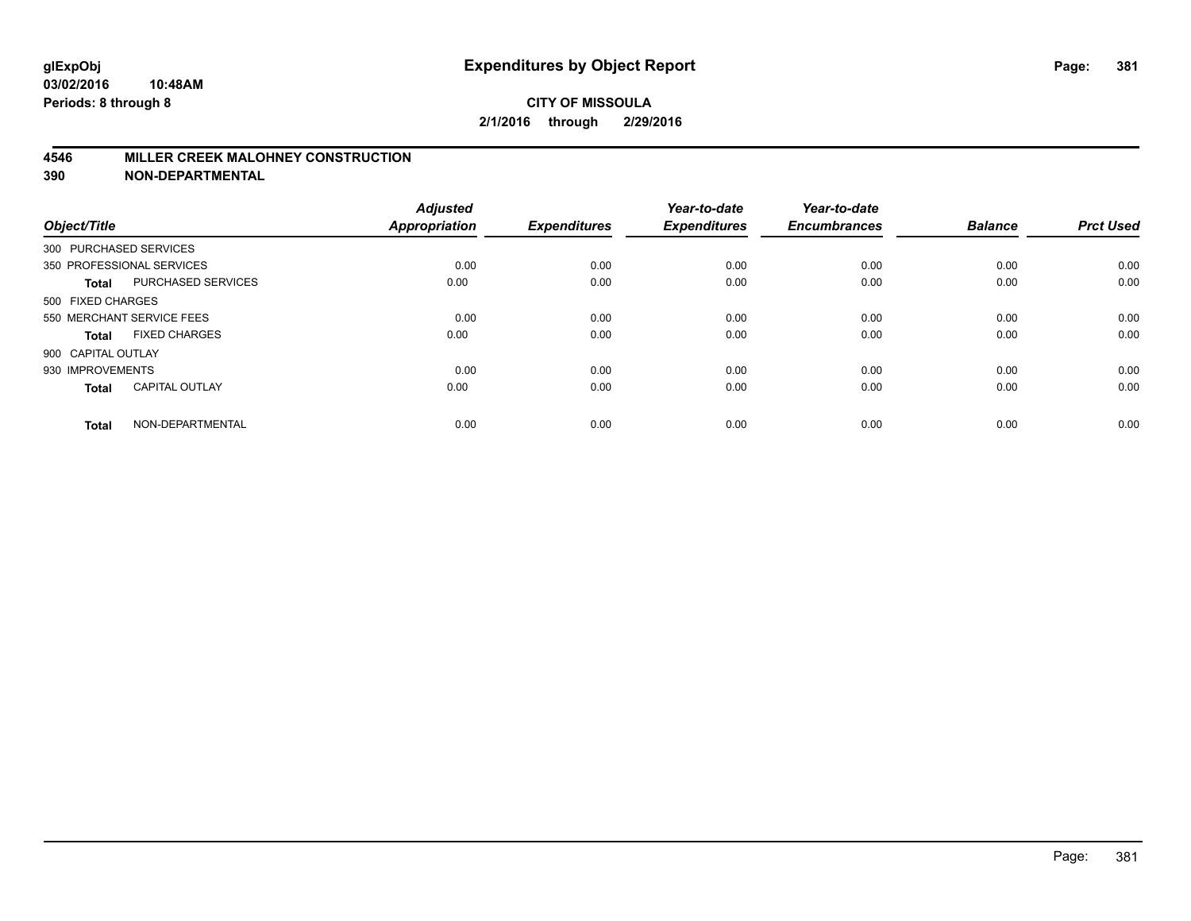#### **4546 MILLER CREEK MALOHNEY CONSTRUCTION**

| Object/Title       |                           | <b>Adjusted</b><br><b>Appropriation</b> | <b>Expenditures</b> | Year-to-date<br><b>Expenditures</b> | Year-to-date<br><b>Encumbrances</b> | <b>Balance</b> | <b>Prct Used</b> |
|--------------------|---------------------------|-----------------------------------------|---------------------|-------------------------------------|-------------------------------------|----------------|------------------|
|                    | 300 PURCHASED SERVICES    |                                         |                     |                                     |                                     |                |                  |
|                    | 350 PROFESSIONAL SERVICES | 0.00                                    | 0.00                | 0.00                                | 0.00                                | 0.00           | 0.00             |
| <b>Total</b>       | <b>PURCHASED SERVICES</b> | 0.00                                    | 0.00                | 0.00                                | 0.00                                | 0.00           | 0.00             |
| 500 FIXED CHARGES  |                           |                                         |                     |                                     |                                     |                |                  |
|                    | 550 MERCHANT SERVICE FEES | 0.00                                    | 0.00                | 0.00                                | 0.00                                | 0.00           | 0.00             |
| Total              | <b>FIXED CHARGES</b>      | 0.00                                    | 0.00                | 0.00                                | 0.00                                | 0.00           | 0.00             |
| 900 CAPITAL OUTLAY |                           |                                         |                     |                                     |                                     |                |                  |
| 930 IMPROVEMENTS   |                           | 0.00                                    | 0.00                | 0.00                                | 0.00                                | 0.00           | 0.00             |
| Total              | <b>CAPITAL OUTLAY</b>     | 0.00                                    | 0.00                | 0.00                                | 0.00                                | 0.00           | 0.00             |
| <b>Total</b>       | NON-DEPARTMENTAL          | 0.00                                    | 0.00                | 0.00                                | 0.00                                | 0.00           | 0.00             |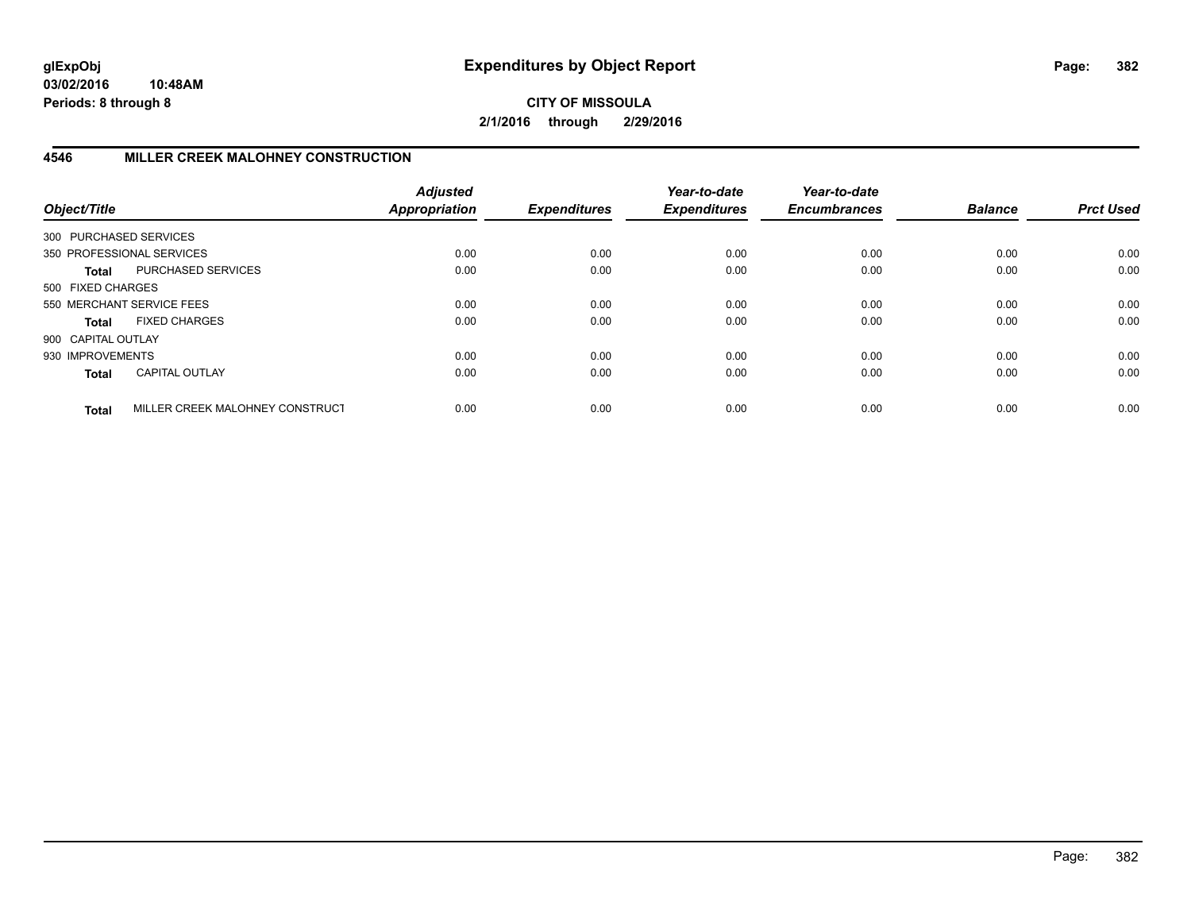**CITY OF MISSOULA 2/1/2016 through 2/29/2016**

# **4546 MILLER CREEK MALOHNEY CONSTRUCTION**

| Object/Title           |                                 | <b>Adjusted</b><br><b>Appropriation</b> | <b>Expenditures</b> | Year-to-date<br><b>Expenditures</b> | Year-to-date<br><b>Encumbrances</b> | <b>Balance</b> | <b>Prct Used</b> |
|------------------------|---------------------------------|-----------------------------------------|---------------------|-------------------------------------|-------------------------------------|----------------|------------------|
| 300 PURCHASED SERVICES |                                 |                                         |                     |                                     |                                     |                |                  |
|                        | 350 PROFESSIONAL SERVICES       | 0.00                                    | 0.00                | 0.00                                | 0.00                                | 0.00           | 0.00             |
| Total                  | PURCHASED SERVICES              | 0.00                                    | 0.00                | 0.00                                | 0.00                                | 0.00           | 0.00             |
| 500 FIXED CHARGES      |                                 |                                         |                     |                                     |                                     |                |                  |
|                        | 550 MERCHANT SERVICE FEES       | 0.00                                    | 0.00                | 0.00                                | 0.00                                | 0.00           | 0.00             |
| Total                  | <b>FIXED CHARGES</b>            | 0.00                                    | 0.00                | 0.00                                | 0.00                                | 0.00           | 0.00             |
| 900 CAPITAL OUTLAY     |                                 |                                         |                     |                                     |                                     |                |                  |
| 930 IMPROVEMENTS       |                                 | 0.00                                    | 0.00                | 0.00                                | 0.00                                | 0.00           | 0.00             |
| <b>Total</b>           | <b>CAPITAL OUTLAY</b>           | 0.00                                    | 0.00                | 0.00                                | 0.00                                | 0.00           | 0.00             |
| <b>Total</b>           | MILLER CREEK MALOHNEY CONSTRUCT | 0.00                                    | 0.00                | 0.00                                | 0.00                                | 0.00           | 0.00             |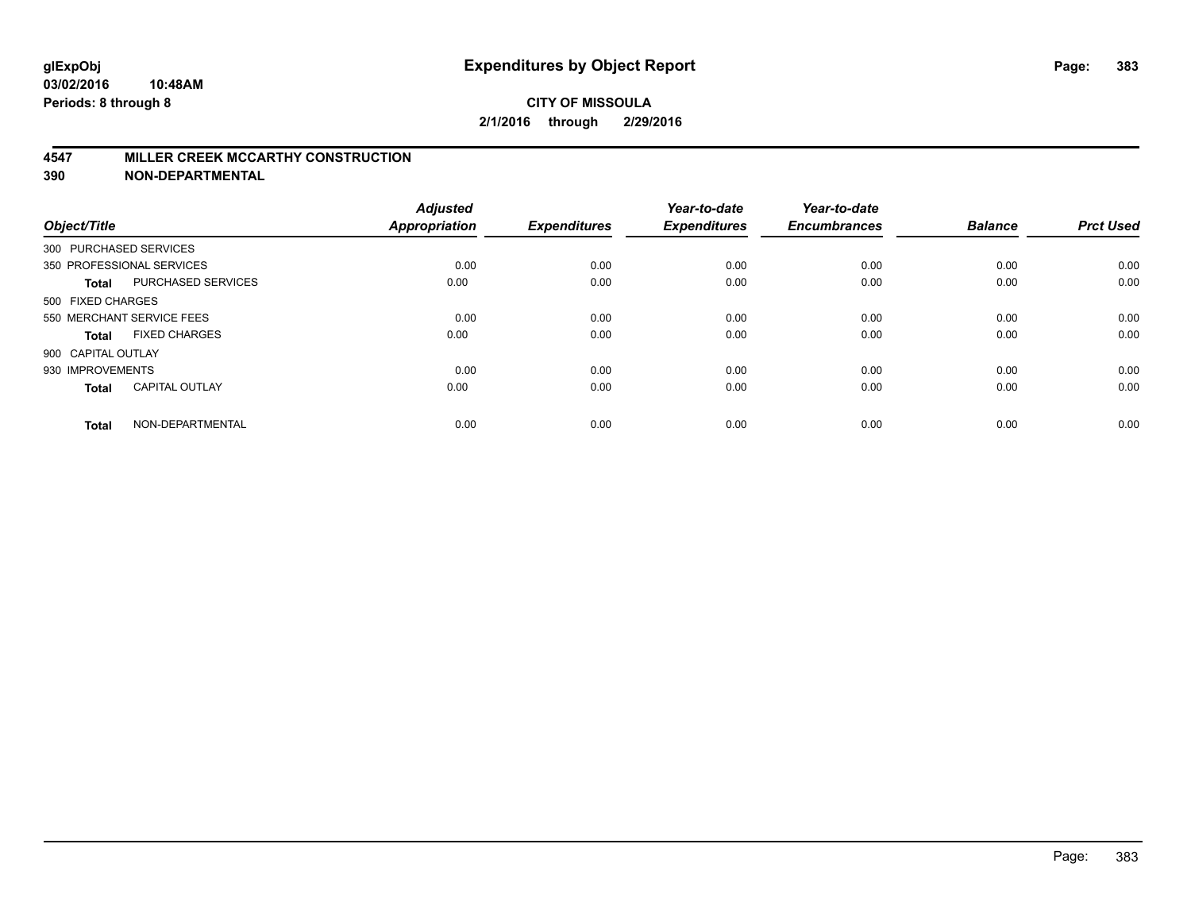### **CITY OF MISSOULA 2/1/2016 through 2/29/2016**

#### **4547 MILLER CREEK MCCARTHY CONSTRUCTION**

| Object/Title           |                           | <b>Adjusted</b><br><b>Appropriation</b> | <b>Expenditures</b> | Year-to-date<br><b>Expenditures</b> | Year-to-date<br><b>Encumbrances</b> | <b>Balance</b> | <b>Prct Used</b> |
|------------------------|---------------------------|-----------------------------------------|---------------------|-------------------------------------|-------------------------------------|----------------|------------------|
| 300 PURCHASED SERVICES |                           |                                         |                     |                                     |                                     |                |                  |
|                        | 350 PROFESSIONAL SERVICES | 0.00                                    | 0.00                | 0.00                                | 0.00                                | 0.00           | 0.00             |
| <b>Total</b>           | <b>PURCHASED SERVICES</b> | 0.00                                    | 0.00                | 0.00                                | 0.00                                | 0.00           | 0.00             |
| 500 FIXED CHARGES      |                           |                                         |                     |                                     |                                     |                |                  |
|                        | 550 MERCHANT SERVICE FEES | 0.00                                    | 0.00                | 0.00                                | 0.00                                | 0.00           | 0.00             |
| Total                  | <b>FIXED CHARGES</b>      | 0.00                                    | 0.00                | 0.00                                | 0.00                                | 0.00           | 0.00             |
| 900 CAPITAL OUTLAY     |                           |                                         |                     |                                     |                                     |                |                  |
| 930 IMPROVEMENTS       |                           | 0.00                                    | 0.00                | 0.00                                | 0.00                                | 0.00           | 0.00             |
| Total                  | <b>CAPITAL OUTLAY</b>     | 0.00                                    | 0.00                | 0.00                                | 0.00                                | 0.00           | 0.00             |
| <b>Total</b>           | NON-DEPARTMENTAL          | 0.00                                    | 0.00                | 0.00                                | 0.00                                | 0.00           | 0.00             |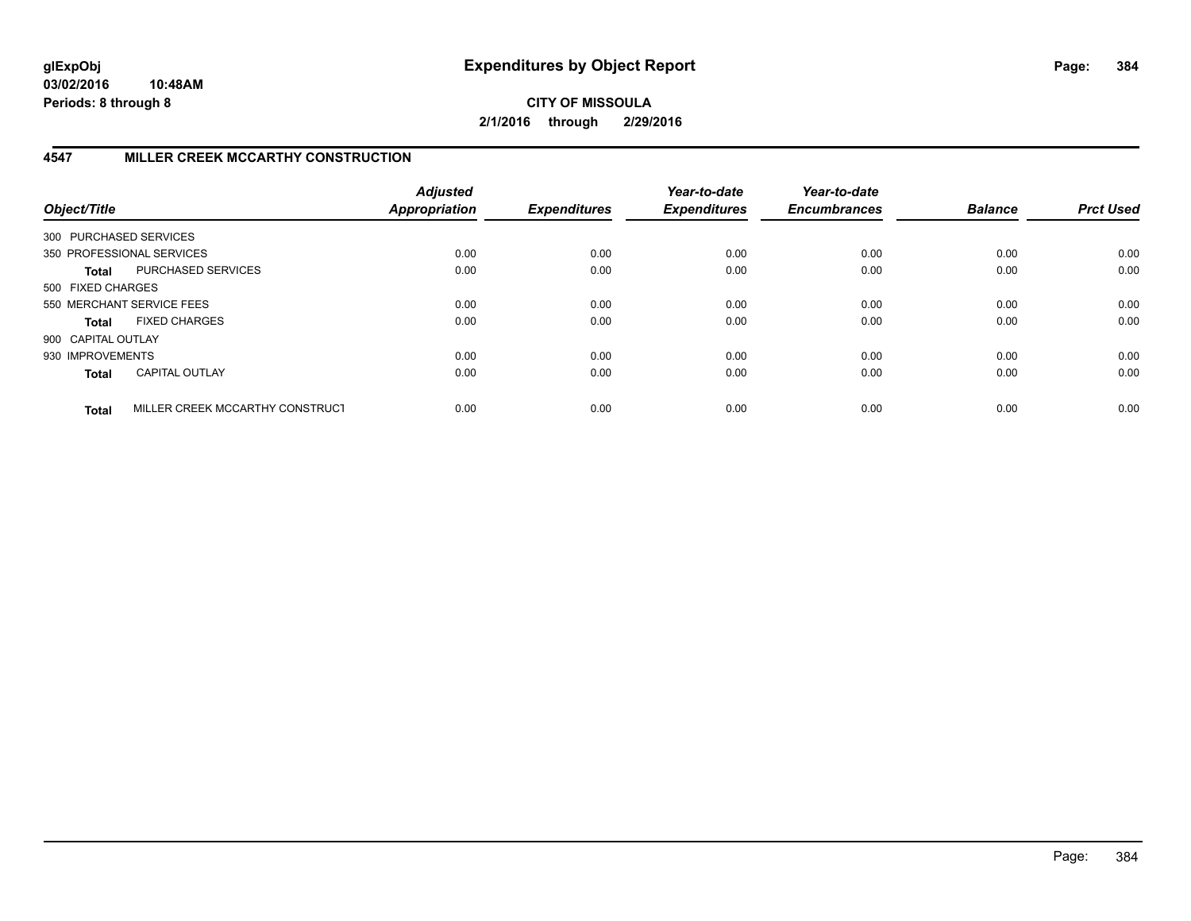**CITY OF MISSOULA 2/1/2016 through 2/29/2016**

# **4547 MILLER CREEK MCCARTHY CONSTRUCTION**

| Object/Title       |                                 | <b>Adjusted</b><br><b>Appropriation</b> | <b>Expenditures</b> | Year-to-date<br><b>Expenditures</b> | Year-to-date<br><b>Encumbrances</b> | <b>Balance</b> | <b>Prct Used</b> |
|--------------------|---------------------------------|-----------------------------------------|---------------------|-------------------------------------|-------------------------------------|----------------|------------------|
|                    | 300 PURCHASED SERVICES          |                                         |                     |                                     |                                     |                |                  |
|                    | 350 PROFESSIONAL SERVICES       | 0.00                                    | 0.00                | 0.00                                | 0.00                                | 0.00           | 0.00             |
| <b>Total</b>       | PURCHASED SERVICES              | 0.00                                    | 0.00                | 0.00                                | 0.00                                | 0.00           | 0.00             |
| 500 FIXED CHARGES  |                                 |                                         |                     |                                     |                                     |                |                  |
|                    | 550 MERCHANT SERVICE FEES       | 0.00                                    | 0.00                | 0.00                                | 0.00                                | 0.00           | 0.00             |
| <b>Total</b>       | <b>FIXED CHARGES</b>            | 0.00                                    | 0.00                | 0.00                                | 0.00                                | 0.00           | 0.00             |
| 900 CAPITAL OUTLAY |                                 |                                         |                     |                                     |                                     |                |                  |
| 930 IMPROVEMENTS   |                                 | 0.00                                    | 0.00                | 0.00                                | 0.00                                | 0.00           | 0.00             |
| <b>Total</b>       | <b>CAPITAL OUTLAY</b>           | 0.00                                    | 0.00                | 0.00                                | 0.00                                | 0.00           | 0.00             |
| <b>Total</b>       | MILLER CREEK MCCARTHY CONSTRUCT | 0.00                                    | 0.00                | 0.00                                | 0.00                                | 0.00           | 0.00             |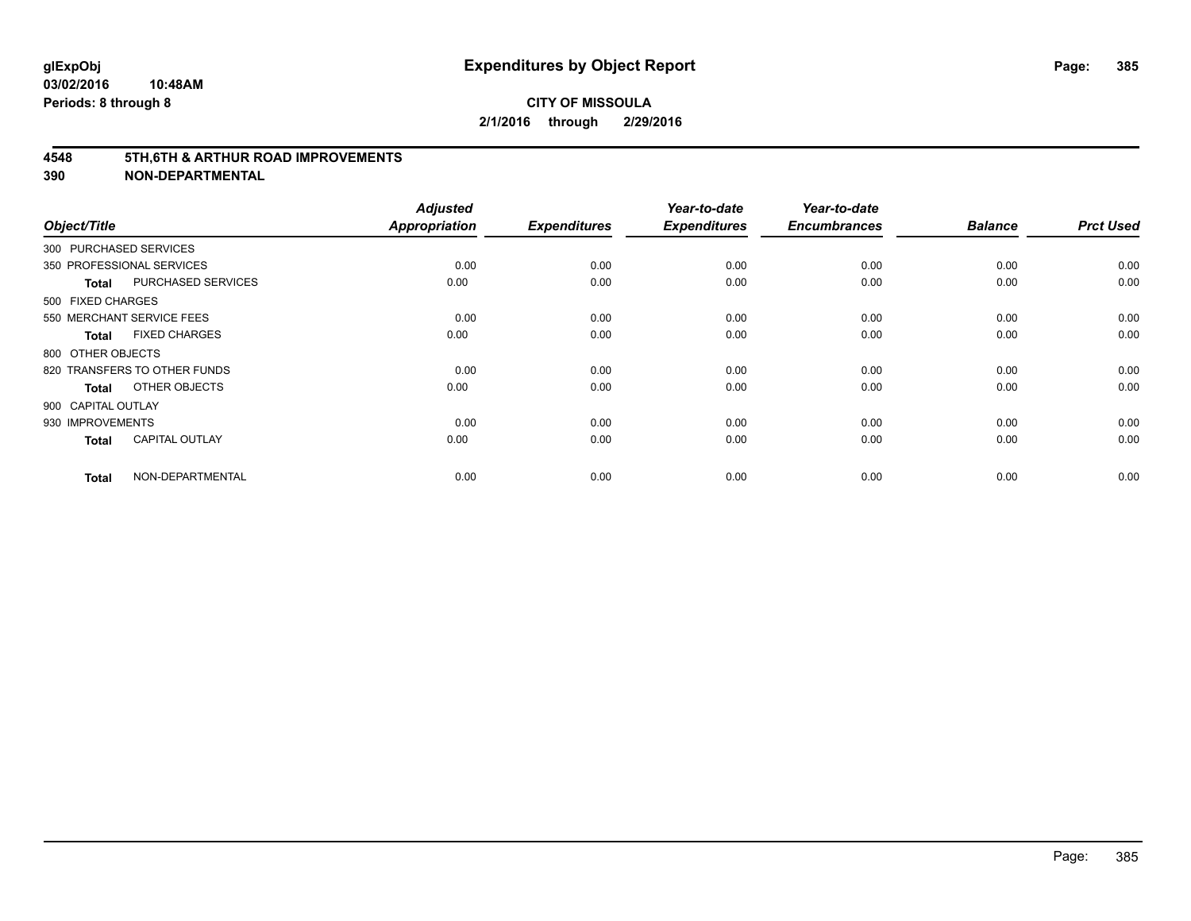#### **4548 5TH,6TH & ARTHUR ROAD IMPROVEMENTS**

| Object/Title           |                              | <b>Adjusted</b><br><b>Appropriation</b> | <b>Expenditures</b> | Year-to-date<br><b>Expenditures</b> | Year-to-date<br><b>Encumbrances</b> | <b>Balance</b> | <b>Prct Used</b> |
|------------------------|------------------------------|-----------------------------------------|---------------------|-------------------------------------|-------------------------------------|----------------|------------------|
| 300 PURCHASED SERVICES |                              |                                         |                     |                                     |                                     |                |                  |
|                        | 350 PROFESSIONAL SERVICES    | 0.00                                    | 0.00                | 0.00                                | 0.00                                | 0.00           | 0.00             |
| <b>Total</b>           | PURCHASED SERVICES           | 0.00                                    | 0.00                | 0.00                                | 0.00                                | 0.00           | 0.00             |
| 500 FIXED CHARGES      |                              |                                         |                     |                                     |                                     |                |                  |
|                        | 550 MERCHANT SERVICE FEES    | 0.00                                    | 0.00                | 0.00                                | 0.00                                | 0.00           | 0.00             |
| <b>Total</b>           | <b>FIXED CHARGES</b>         | 0.00                                    | 0.00                | 0.00                                | 0.00                                | 0.00           | 0.00             |
| 800 OTHER OBJECTS      |                              |                                         |                     |                                     |                                     |                |                  |
|                        | 820 TRANSFERS TO OTHER FUNDS | 0.00                                    | 0.00                | 0.00                                | 0.00                                | 0.00           | 0.00             |
| <b>Total</b>           | OTHER OBJECTS                | 0.00                                    | 0.00                | 0.00                                | 0.00                                | 0.00           | 0.00             |
| 900 CAPITAL OUTLAY     |                              |                                         |                     |                                     |                                     |                |                  |
| 930 IMPROVEMENTS       |                              | 0.00                                    | 0.00                | 0.00                                | 0.00                                | 0.00           | 0.00             |
| <b>Total</b>           | <b>CAPITAL OUTLAY</b>        | 0.00                                    | 0.00                | 0.00                                | 0.00                                | 0.00           | 0.00             |
| <b>Total</b>           | NON-DEPARTMENTAL             | 0.00                                    | 0.00                | 0.00                                | 0.00                                | 0.00           | 0.00             |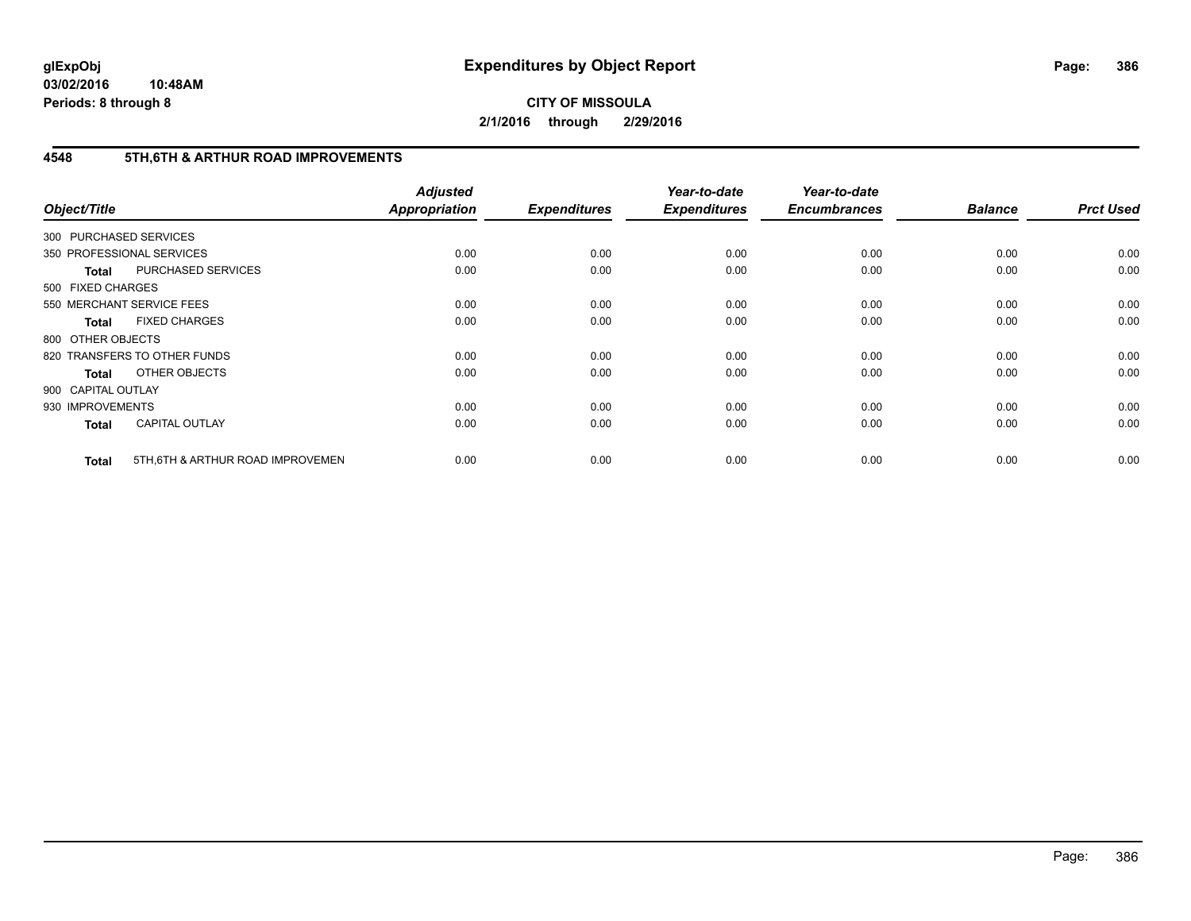# **4548 5TH,6TH & ARTHUR ROAD IMPROVEMENTS**

| Object/Title           |                                   | <b>Adjusted</b><br><b>Appropriation</b> | <b>Expenditures</b> | Year-to-date<br><b>Expenditures</b> | Year-to-date<br><b>Encumbrances</b> | <b>Balance</b> | <b>Prct Used</b> |
|------------------------|-----------------------------------|-----------------------------------------|---------------------|-------------------------------------|-------------------------------------|----------------|------------------|
| 300 PURCHASED SERVICES |                                   |                                         |                     |                                     |                                     |                |                  |
|                        | 350 PROFESSIONAL SERVICES         | 0.00                                    | 0.00                | 0.00                                | 0.00                                | 0.00           | 0.00             |
| <b>Total</b>           | PURCHASED SERVICES                | 0.00                                    | 0.00                | 0.00                                | 0.00                                | 0.00           | 0.00             |
| 500 FIXED CHARGES      |                                   |                                         |                     |                                     |                                     |                |                  |
|                        | 550 MERCHANT SERVICE FEES         | 0.00                                    | 0.00                | 0.00                                | 0.00                                | 0.00           | 0.00             |
| <b>Total</b>           | <b>FIXED CHARGES</b>              | 0.00                                    | 0.00                | 0.00                                | 0.00                                | 0.00           | 0.00             |
| 800 OTHER OBJECTS      |                                   |                                         |                     |                                     |                                     |                |                  |
|                        | 820 TRANSFERS TO OTHER FUNDS      | 0.00                                    | 0.00                | 0.00                                | 0.00                                | 0.00           | 0.00             |
| <b>Total</b>           | OTHER OBJECTS                     | 0.00                                    | 0.00                | 0.00                                | 0.00                                | 0.00           | 0.00             |
| 900 CAPITAL OUTLAY     |                                   |                                         |                     |                                     |                                     |                |                  |
| 930 IMPROVEMENTS       |                                   | 0.00                                    | 0.00                | 0.00                                | 0.00                                | 0.00           | 0.00             |
| <b>Total</b>           | <b>CAPITAL OUTLAY</b>             | 0.00                                    | 0.00                | 0.00                                | 0.00                                | 0.00           | 0.00             |
| <b>Total</b>           | 5TH, 6TH & ARTHUR ROAD IMPROVEMEN | 0.00                                    | 0.00                | 0.00                                | 0.00                                | 0.00           | 0.00             |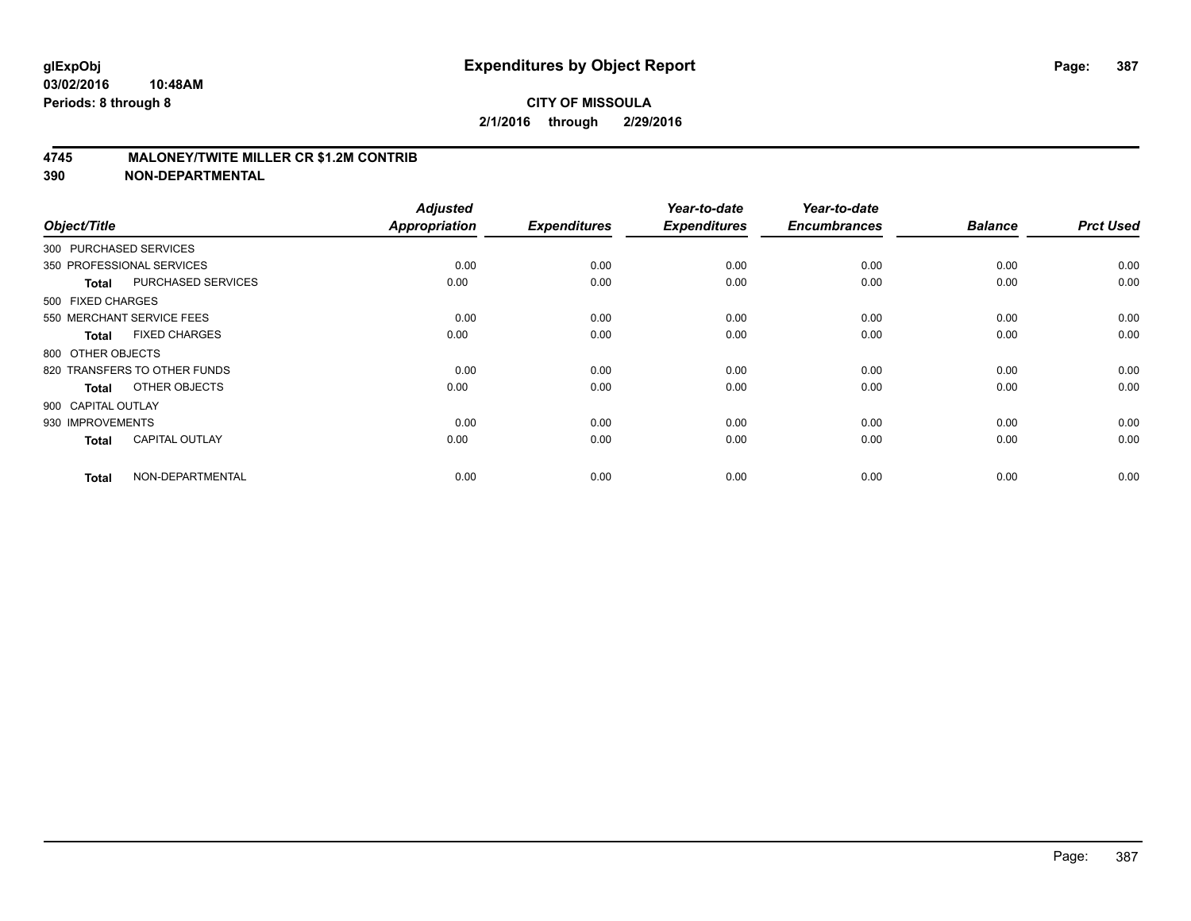## **CITY OF MISSOULA 2/1/2016 through 2/29/2016**

### **4745 MALONEY/TWITE MILLER CR \$1.2M CONTRIB**

| Object/Title           |                              | <b>Adjusted</b><br><b>Appropriation</b> | <b>Expenditures</b> | Year-to-date<br><b>Expenditures</b> | Year-to-date<br><b>Encumbrances</b> | <b>Balance</b> | <b>Prct Used</b> |
|------------------------|------------------------------|-----------------------------------------|---------------------|-------------------------------------|-------------------------------------|----------------|------------------|
| 300 PURCHASED SERVICES |                              |                                         |                     |                                     |                                     |                |                  |
|                        | 350 PROFESSIONAL SERVICES    | 0.00                                    | 0.00                | 0.00                                | 0.00                                | 0.00           | 0.00             |
| <b>Total</b>           | <b>PURCHASED SERVICES</b>    | 0.00                                    | 0.00                | 0.00                                | 0.00                                | 0.00           | 0.00             |
| 500 FIXED CHARGES      |                              |                                         |                     |                                     |                                     |                |                  |
|                        | 550 MERCHANT SERVICE FEES    | 0.00                                    | 0.00                | 0.00                                | 0.00                                | 0.00           | 0.00             |
| <b>Total</b>           | <b>FIXED CHARGES</b>         | 0.00                                    | 0.00                | 0.00                                | 0.00                                | 0.00           | 0.00             |
| 800 OTHER OBJECTS      |                              |                                         |                     |                                     |                                     |                |                  |
|                        | 820 TRANSFERS TO OTHER FUNDS | 0.00                                    | 0.00                | 0.00                                | 0.00                                | 0.00           | 0.00             |
| Total                  | OTHER OBJECTS                | 0.00                                    | 0.00                | 0.00                                | 0.00                                | 0.00           | 0.00             |
| 900 CAPITAL OUTLAY     |                              |                                         |                     |                                     |                                     |                |                  |
| 930 IMPROVEMENTS       |                              | 0.00                                    | 0.00                | 0.00                                | 0.00                                | 0.00           | 0.00             |
| <b>Total</b>           | <b>CAPITAL OUTLAY</b>        | 0.00                                    | 0.00                | 0.00                                | 0.00                                | 0.00           | 0.00             |
| <b>Total</b>           | NON-DEPARTMENTAL             | 0.00                                    | 0.00                | 0.00                                | 0.00                                | 0.00           | 0.00             |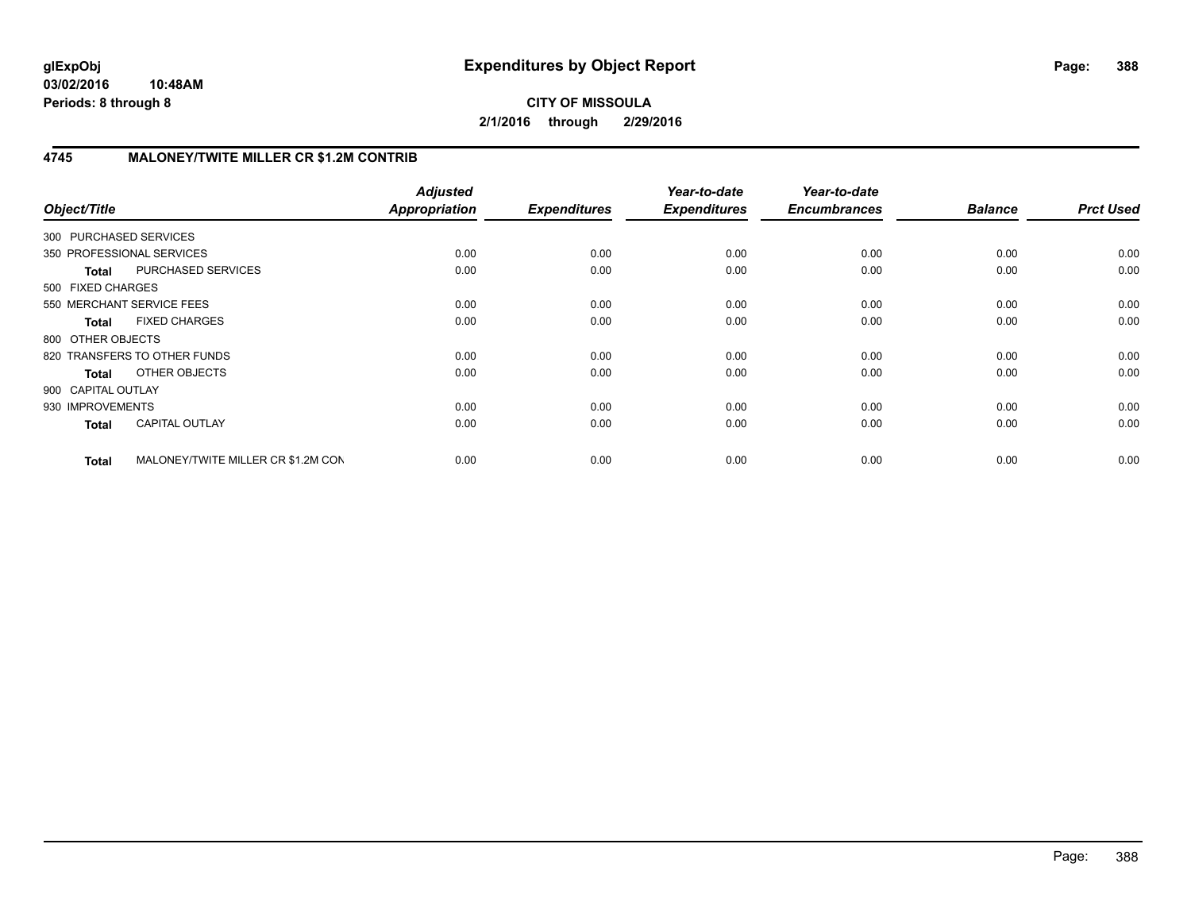**CITY OF MISSOULA 2/1/2016 through 2/29/2016**

# **4745 MALONEY/TWITE MILLER CR \$1.2M CONTRIB**

| Object/Title           |                                    | <b>Adjusted</b><br>Appropriation | <b>Expenditures</b> | Year-to-date<br><b>Expenditures</b> | Year-to-date<br><b>Encumbrances</b> | <b>Balance</b> | <b>Prct Used</b> |
|------------------------|------------------------------------|----------------------------------|---------------------|-------------------------------------|-------------------------------------|----------------|------------------|
| 300 PURCHASED SERVICES |                                    |                                  |                     |                                     |                                     |                |                  |
|                        | 350 PROFESSIONAL SERVICES          | 0.00                             | 0.00                | 0.00                                | 0.00                                | 0.00           | 0.00             |
| <b>Total</b>           | PURCHASED SERVICES                 | 0.00                             | 0.00                | 0.00                                | 0.00                                | 0.00           | 0.00             |
| 500 FIXED CHARGES      |                                    |                                  |                     |                                     |                                     |                |                  |
|                        | 550 MERCHANT SERVICE FEES          | 0.00                             | 0.00                | 0.00                                | 0.00                                | 0.00           | 0.00             |
| <b>Total</b>           | <b>FIXED CHARGES</b>               | 0.00                             | 0.00                | 0.00                                | 0.00                                | 0.00           | 0.00             |
| 800 OTHER OBJECTS      |                                    |                                  |                     |                                     |                                     |                |                  |
|                        | 820 TRANSFERS TO OTHER FUNDS       | 0.00                             | 0.00                | 0.00                                | 0.00                                | 0.00           | 0.00             |
| <b>Total</b>           | OTHER OBJECTS                      | 0.00                             | 0.00                | 0.00                                | 0.00                                | 0.00           | 0.00             |
| 900 CAPITAL OUTLAY     |                                    |                                  |                     |                                     |                                     |                |                  |
| 930 IMPROVEMENTS       |                                    | 0.00                             | 0.00                | 0.00                                | 0.00                                | 0.00           | 0.00             |
| <b>Total</b>           | <b>CAPITAL OUTLAY</b>              | 0.00                             | 0.00                | 0.00                                | 0.00                                | 0.00           | 0.00             |
| <b>Total</b>           | MALONEY/TWITE MILLER CR \$1.2M CON | 0.00                             | 0.00                | 0.00                                | 0.00                                | 0.00           | 0.00             |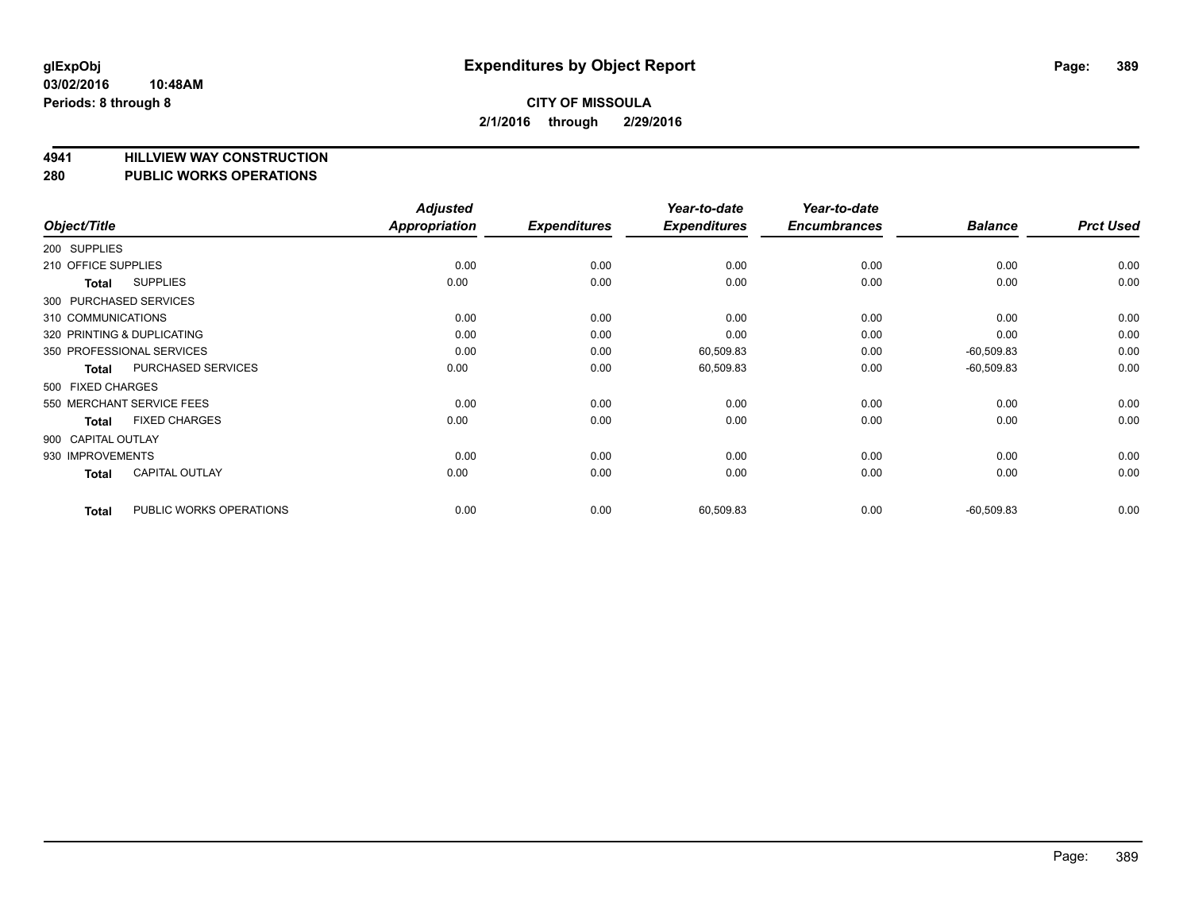# **4941 HILLVIEW WAY CONSTRUCTION**

**280 PUBLIC WORKS OPERATIONS**

|                     |                            | <b>Adjusted</b> |                     | Year-to-date        | Year-to-date        |                |                  |
|---------------------|----------------------------|-----------------|---------------------|---------------------|---------------------|----------------|------------------|
| Object/Title        |                            | Appropriation   | <b>Expenditures</b> | <b>Expenditures</b> | <b>Encumbrances</b> | <b>Balance</b> | <b>Prct Used</b> |
| 200 SUPPLIES        |                            |                 |                     |                     |                     |                |                  |
| 210 OFFICE SUPPLIES |                            | 0.00            | 0.00                | 0.00                | 0.00                | 0.00           | 0.00             |
| Total               | <b>SUPPLIES</b>            | 0.00            | 0.00                | 0.00                | 0.00                | 0.00           | 0.00             |
|                     | 300 PURCHASED SERVICES     |                 |                     |                     |                     |                |                  |
| 310 COMMUNICATIONS  |                            | 0.00            | 0.00                | 0.00                | 0.00                | 0.00           | 0.00             |
|                     | 320 PRINTING & DUPLICATING | 0.00            | 0.00                | 0.00                | 0.00                | 0.00           | 0.00             |
|                     | 350 PROFESSIONAL SERVICES  | 0.00            | 0.00                | 60,509.83           | 0.00                | $-60,509.83$   | 0.00             |
| <b>Total</b>        | PURCHASED SERVICES         | 0.00            | 0.00                | 60,509.83           | 0.00                | $-60,509.83$   | 0.00             |
| 500 FIXED CHARGES   |                            |                 |                     |                     |                     |                |                  |
|                     | 550 MERCHANT SERVICE FEES  | 0.00            | 0.00                | 0.00                | 0.00                | 0.00           | 0.00             |
| <b>Total</b>        | <b>FIXED CHARGES</b>       | 0.00            | 0.00                | 0.00                | 0.00                | 0.00           | 0.00             |
| 900 CAPITAL OUTLAY  |                            |                 |                     |                     |                     |                |                  |
| 930 IMPROVEMENTS    |                            | 0.00            | 0.00                | 0.00                | 0.00                | 0.00           | 0.00             |
| Total               | <b>CAPITAL OUTLAY</b>      | 0.00            | 0.00                | 0.00                | 0.00                | 0.00           | 0.00             |
| <b>Total</b>        | PUBLIC WORKS OPERATIONS    | 0.00            | 0.00                | 60,509.83           | 0.00                | $-60,509.83$   | 0.00             |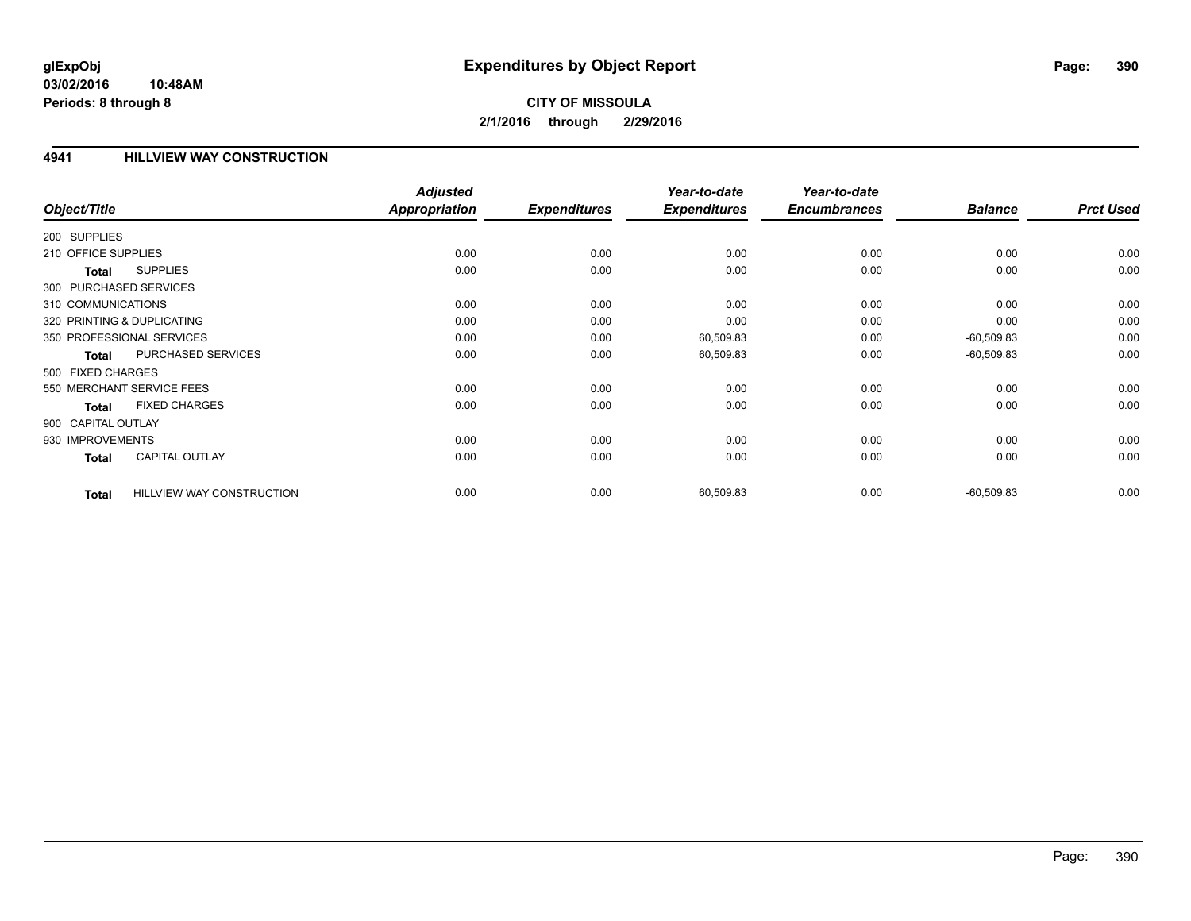# **CITY OF MISSOULA 2/1/2016 through 2/29/2016**

### **4941 HILLVIEW WAY CONSTRUCTION**

|                        |                                  | <b>Adjusted</b>      |                     | Year-to-date        | Year-to-date        |                |                  |
|------------------------|----------------------------------|----------------------|---------------------|---------------------|---------------------|----------------|------------------|
| Object/Title           |                                  | <b>Appropriation</b> | <b>Expenditures</b> | <b>Expenditures</b> | <b>Encumbrances</b> | <b>Balance</b> | <b>Prct Used</b> |
| 200 SUPPLIES           |                                  |                      |                     |                     |                     |                |                  |
| 210 OFFICE SUPPLIES    |                                  | 0.00                 | 0.00                | 0.00                | 0.00                | 0.00           | 0.00             |
| <b>Total</b>           | <b>SUPPLIES</b>                  | 0.00                 | 0.00                | 0.00                | 0.00                | 0.00           | 0.00             |
| 300 PURCHASED SERVICES |                                  |                      |                     |                     |                     |                |                  |
| 310 COMMUNICATIONS     |                                  | 0.00                 | 0.00                | 0.00                | 0.00                | 0.00           | 0.00             |
|                        | 320 PRINTING & DUPLICATING       | 0.00                 | 0.00                | 0.00                | 0.00                | 0.00           | 0.00             |
|                        | 350 PROFESSIONAL SERVICES        | 0.00                 | 0.00                | 60,509.83           | 0.00                | $-60,509.83$   | 0.00             |
| <b>Total</b>           | PURCHASED SERVICES               | 0.00                 | 0.00                | 60,509.83           | 0.00                | $-60,509.83$   | 0.00             |
| 500 FIXED CHARGES      |                                  |                      |                     |                     |                     |                |                  |
|                        | 550 MERCHANT SERVICE FEES        | 0.00                 | 0.00                | 0.00                | 0.00                | 0.00           | 0.00             |
| <b>Total</b>           | <b>FIXED CHARGES</b>             | 0.00                 | 0.00                | 0.00                | 0.00                | 0.00           | 0.00             |
| 900 CAPITAL OUTLAY     |                                  |                      |                     |                     |                     |                |                  |
| 930 IMPROVEMENTS       |                                  | 0.00                 | 0.00                | 0.00                | 0.00                | 0.00           | 0.00             |
| <b>Total</b>           | <b>CAPITAL OUTLAY</b>            | 0.00                 | 0.00                | 0.00                | 0.00                | 0.00           | 0.00             |
| <b>Total</b>           | <b>HILLVIEW WAY CONSTRUCTION</b> | 0.00                 | 0.00                | 60,509.83           | 0.00                | $-60,509.83$   | 0.00             |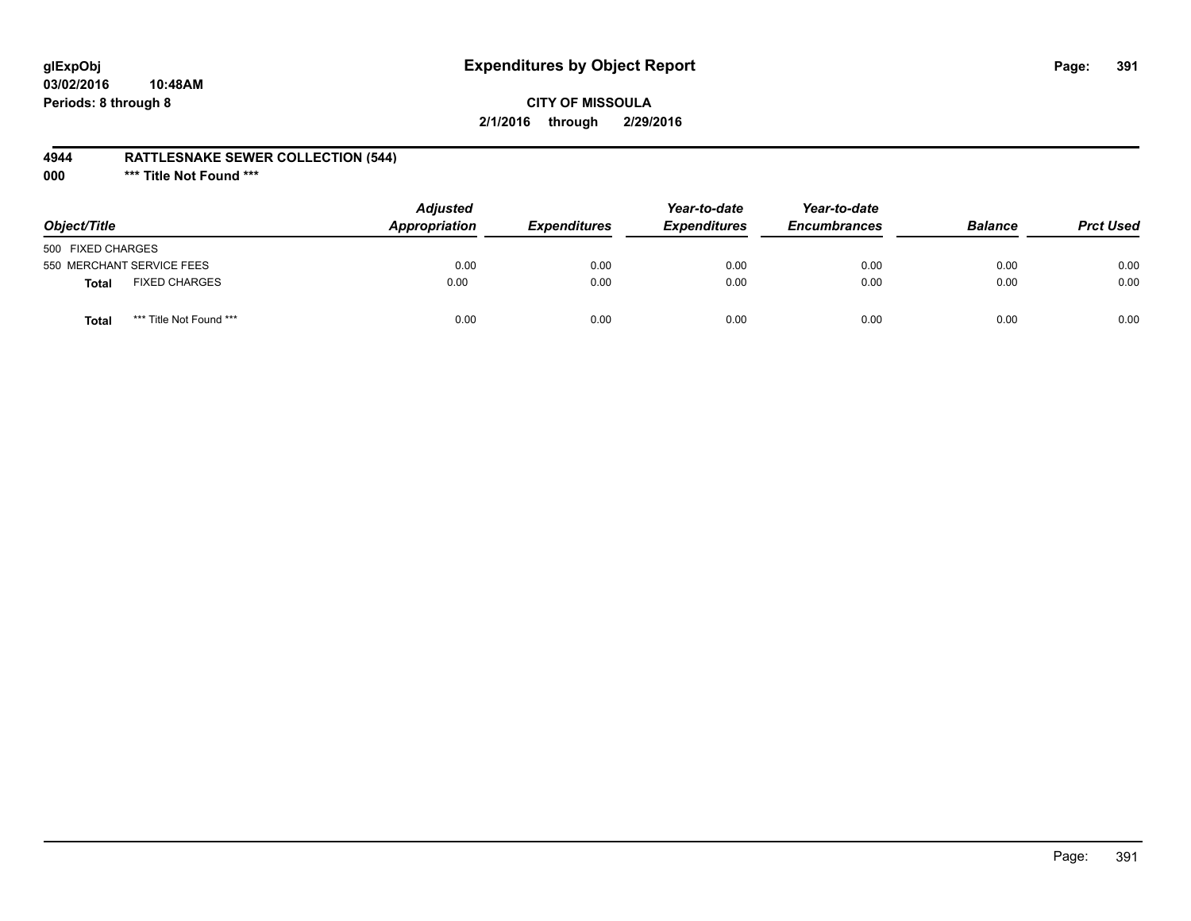# **glExpObj Expenditures by Object Report Page: 391**

### **CITY OF MISSOULA 2/1/2016 through 2/29/2016**

### **4944 RATTLESNAKE SEWER COLLECTION (544)**

**000 \*\*\* Title Not Found \*\*\***

| Object/Title                            | <b>Adjusted</b><br>Appropriation | <b>Expenditures</b> | Year-to-date<br><b>Expenditures</b> | Year-to-date<br><b>Encumbrances</b> | <b>Balance</b> | <b>Prct Used</b> |
|-----------------------------------------|----------------------------------|---------------------|-------------------------------------|-------------------------------------|----------------|------------------|
| 500 FIXED CHARGES                       |                                  |                     |                                     |                                     |                |                  |
| 550 MERCHANT SERVICE FEES               | 0.00                             | 0.00                | 0.00                                | 0.00                                | 0.00           | 0.00             |
| <b>FIXED CHARGES</b><br><b>Total</b>    | 0.00                             | 0.00                | 0.00                                | 0.00                                | 0.00           | 0.00             |
| *** Title Not Found ***<br><b>Total</b> | 0.00                             | 0.00                | 0.00                                | 0.00                                | 0.00           | 0.00             |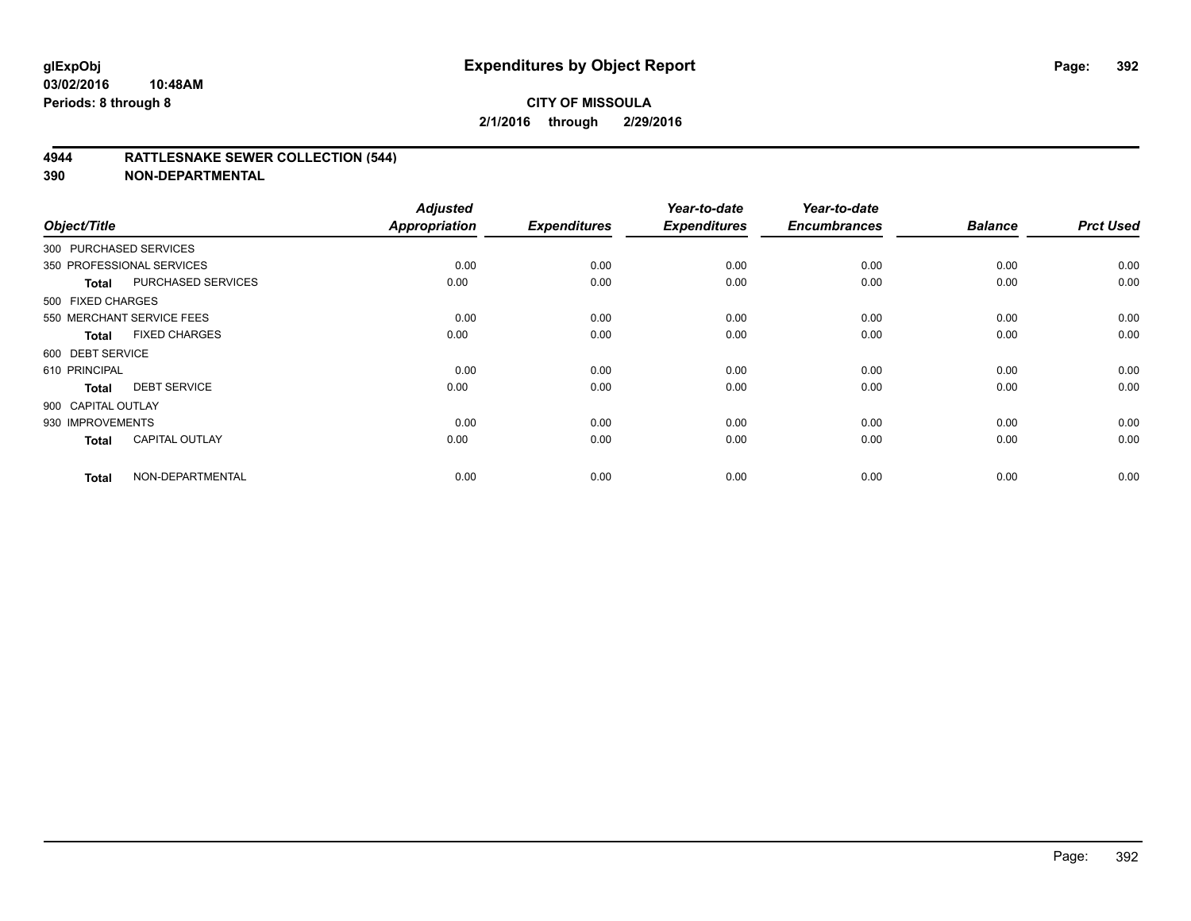## **CITY OF MISSOULA 2/1/2016 through 2/29/2016**

### **4944 RATTLESNAKE SEWER COLLECTION (544)**

| Object/Title           |                           | <b>Adjusted</b><br><b>Appropriation</b> | <b>Expenditures</b> | Year-to-date<br><b>Expenditures</b> | Year-to-date<br><b>Encumbrances</b> | <b>Balance</b> | <b>Prct Used</b> |
|------------------------|---------------------------|-----------------------------------------|---------------------|-------------------------------------|-------------------------------------|----------------|------------------|
| 300 PURCHASED SERVICES |                           |                                         |                     |                                     |                                     |                |                  |
|                        | 350 PROFESSIONAL SERVICES | 0.00                                    | 0.00                | 0.00                                | 0.00                                | 0.00           | 0.00             |
| <b>Total</b>           | PURCHASED SERVICES        | 0.00                                    | 0.00                | 0.00                                | 0.00                                | 0.00           | 0.00             |
| 500 FIXED CHARGES      |                           |                                         |                     |                                     |                                     |                |                  |
|                        | 550 MERCHANT SERVICE FEES | 0.00                                    | 0.00                | 0.00                                | 0.00                                | 0.00           | 0.00             |
| Total                  | <b>FIXED CHARGES</b>      | 0.00                                    | 0.00                | 0.00                                | 0.00                                | 0.00           | 0.00             |
| 600 DEBT SERVICE       |                           |                                         |                     |                                     |                                     |                |                  |
| 610 PRINCIPAL          |                           | 0.00                                    | 0.00                | 0.00                                | 0.00                                | 0.00           | 0.00             |
| <b>Total</b>           | <b>DEBT SERVICE</b>       | 0.00                                    | 0.00                | 0.00                                | 0.00                                | 0.00           | 0.00             |
| 900 CAPITAL OUTLAY     |                           |                                         |                     |                                     |                                     |                |                  |
| 930 IMPROVEMENTS       |                           | 0.00                                    | 0.00                | 0.00                                | 0.00                                | 0.00           | 0.00             |
| <b>Total</b>           | <b>CAPITAL OUTLAY</b>     | 0.00                                    | 0.00                | 0.00                                | 0.00                                | 0.00           | 0.00             |
| <b>Total</b>           | NON-DEPARTMENTAL          | 0.00                                    | 0.00                | 0.00                                | 0.00                                | 0.00           | 0.00             |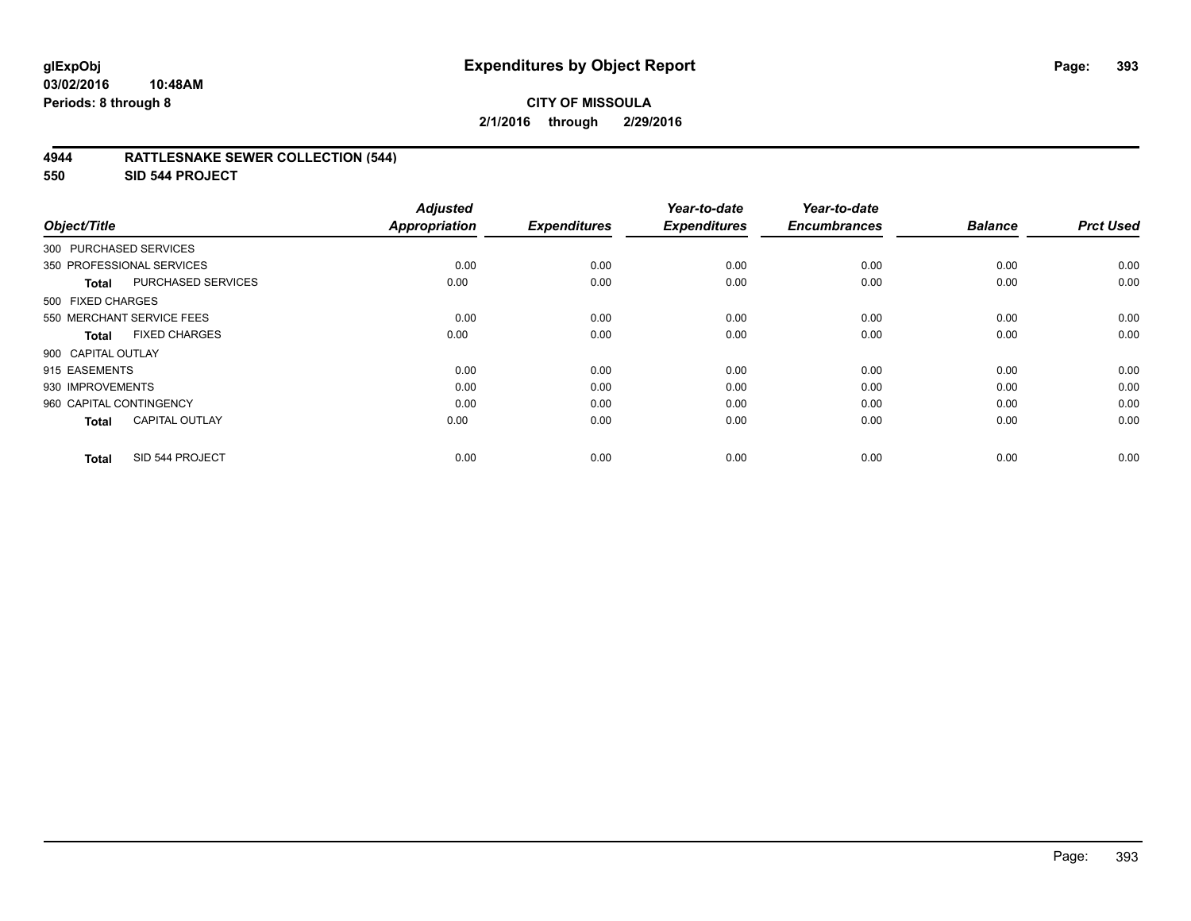### **4944 RATTLESNAKE SEWER COLLECTION (544)**

**550 SID 544 PROJECT**

| Object/Title                          | <b>Adjusted</b><br><b>Appropriation</b> | <b>Expenditures</b> | Year-to-date<br><b>Expenditures</b> | Year-to-date<br><b>Encumbrances</b> | <b>Balance</b> | <b>Prct Used</b> |
|---------------------------------------|-----------------------------------------|---------------------|-------------------------------------|-------------------------------------|----------------|------------------|
| 300 PURCHASED SERVICES                |                                         |                     |                                     |                                     |                |                  |
| 350 PROFESSIONAL SERVICES             | 0.00                                    | 0.00                | 0.00                                | 0.00                                | 0.00           | 0.00             |
| PURCHASED SERVICES<br><b>Total</b>    | 0.00                                    | 0.00                | 0.00                                | 0.00                                | 0.00           | 0.00             |
| 500 FIXED CHARGES                     |                                         |                     |                                     |                                     |                |                  |
| 550 MERCHANT SERVICE FEES             | 0.00                                    | 0.00                | 0.00                                | 0.00                                | 0.00           | 0.00             |
| <b>FIXED CHARGES</b><br><b>Total</b>  | 0.00                                    | 0.00                | 0.00                                | 0.00                                | 0.00           | 0.00             |
| 900 CAPITAL OUTLAY                    |                                         |                     |                                     |                                     |                |                  |
| 915 EASEMENTS                         | 0.00                                    | 0.00                | 0.00                                | 0.00                                | 0.00           | 0.00             |
| 930 IMPROVEMENTS                      | 0.00                                    | 0.00                | 0.00                                | 0.00                                | 0.00           | 0.00             |
| 960 CAPITAL CONTINGENCY               | 0.00                                    | 0.00                | 0.00                                | 0.00                                | 0.00           | 0.00             |
| <b>CAPITAL OUTLAY</b><br><b>Total</b> | 0.00                                    | 0.00                | 0.00                                | 0.00                                | 0.00           | 0.00             |
| SID 544 PROJECT<br><b>Total</b>       | 0.00                                    | 0.00                | 0.00                                | 0.00                                | 0.00           | 0.00             |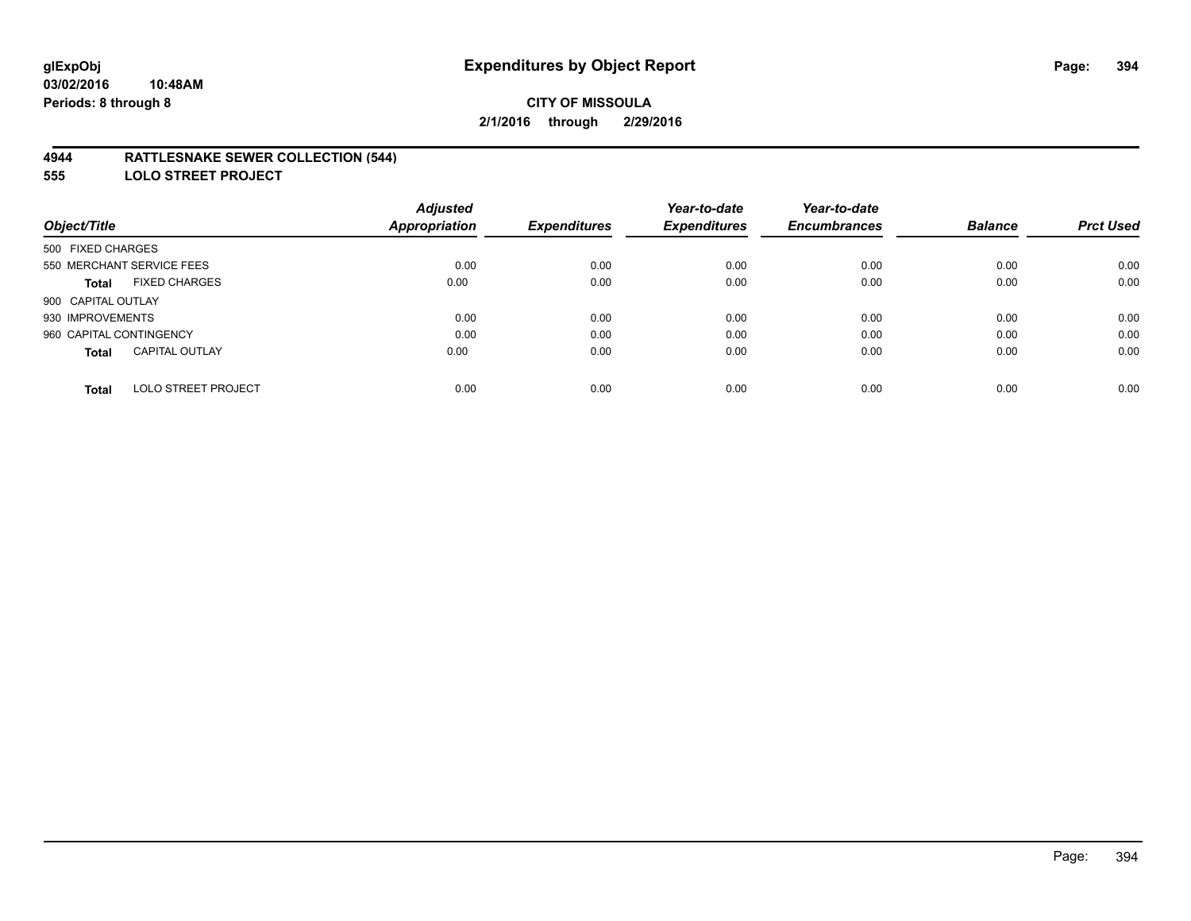### **4944 RATTLESNAKE SEWER COLLECTION (544)**

**555 LOLO STREET PROJECT**

|                                            | <b>Adjusted</b>      |                     | Year-to-date        | Year-to-date        |                |                  |
|--------------------------------------------|----------------------|---------------------|---------------------|---------------------|----------------|------------------|
| Object/Title                               | <b>Appropriation</b> | <b>Expenditures</b> | <b>Expenditures</b> | <b>Encumbrances</b> | <b>Balance</b> | <b>Prct Used</b> |
| 500 FIXED CHARGES                          |                      |                     |                     |                     |                |                  |
| 550 MERCHANT SERVICE FEES                  | 0.00                 | 0.00                | 0.00                | 0.00                | 0.00           | 0.00             |
| <b>FIXED CHARGES</b><br>Total              | 0.00                 | 0.00                | 0.00                | 0.00                | 0.00           | 0.00             |
| 900 CAPITAL OUTLAY                         |                      |                     |                     |                     |                |                  |
| 930 IMPROVEMENTS                           | 0.00                 | 0.00                | 0.00                | 0.00                | 0.00           | 0.00             |
| 960 CAPITAL CONTINGENCY                    | 0.00                 | 0.00                | 0.00                | 0.00                | 0.00           | 0.00             |
| <b>CAPITAL OUTLAY</b><br><b>Total</b>      | 0.00                 | 0.00                | 0.00                | 0.00                | 0.00           | 0.00             |
| <b>LOLO STREET PROJECT</b><br><b>Total</b> | 0.00                 | 0.00                | 0.00                | 0.00                | 0.00           | 0.00             |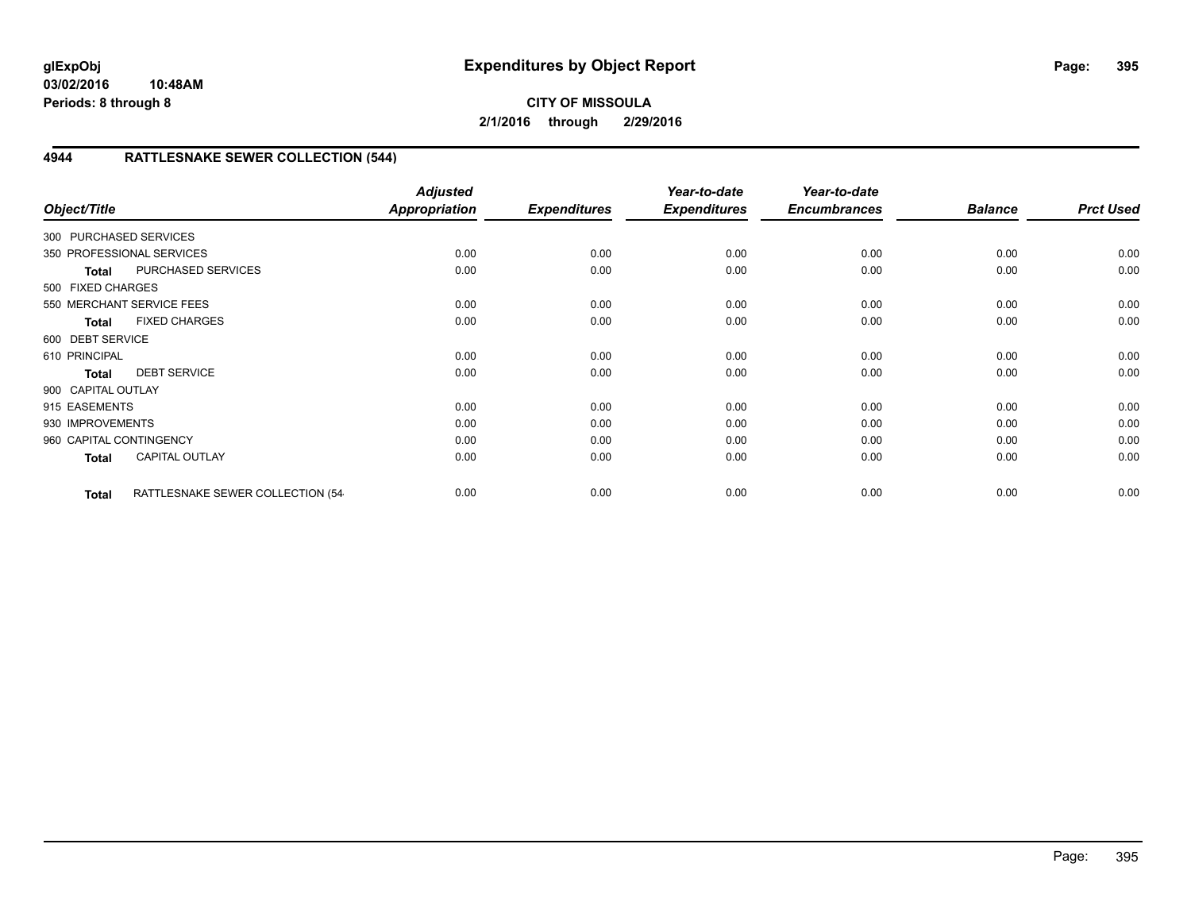# **4944 RATTLESNAKE SEWER COLLECTION (544)**

| Object/Title            |                                  | <b>Adjusted</b><br><b>Appropriation</b> | <b>Expenditures</b> | Year-to-date<br><b>Expenditures</b> | Year-to-date<br><b>Encumbrances</b> | <b>Balance</b> | <b>Prct Used</b> |
|-------------------------|----------------------------------|-----------------------------------------|---------------------|-------------------------------------|-------------------------------------|----------------|------------------|
| 300 PURCHASED SERVICES  |                                  |                                         |                     |                                     |                                     |                |                  |
|                         | 350 PROFESSIONAL SERVICES        | 0.00                                    | 0.00                | 0.00                                | 0.00                                | 0.00           | 0.00             |
| <b>Total</b>            | PURCHASED SERVICES               | 0.00                                    | 0.00                | 0.00                                | 0.00                                | 0.00           | 0.00             |
| 500 FIXED CHARGES       |                                  |                                         |                     |                                     |                                     |                |                  |
|                         | 550 MERCHANT SERVICE FEES        | 0.00                                    | 0.00                | 0.00                                | 0.00                                | 0.00           | 0.00             |
| <b>Total</b>            | <b>FIXED CHARGES</b>             | 0.00                                    | 0.00                | 0.00                                | 0.00                                | 0.00           | 0.00             |
| 600 DEBT SERVICE        |                                  |                                         |                     |                                     |                                     |                |                  |
| 610 PRINCIPAL           |                                  | 0.00                                    | 0.00                | 0.00                                | 0.00                                | 0.00           | 0.00             |
| <b>Total</b>            | <b>DEBT SERVICE</b>              | 0.00                                    | 0.00                | 0.00                                | 0.00                                | 0.00           | 0.00             |
| 900 CAPITAL OUTLAY      |                                  |                                         |                     |                                     |                                     |                |                  |
| 915 EASEMENTS           |                                  | 0.00                                    | 0.00                | 0.00                                | 0.00                                | 0.00           | 0.00             |
| 930 IMPROVEMENTS        |                                  | 0.00                                    | 0.00                | 0.00                                | 0.00                                | 0.00           | 0.00             |
| 960 CAPITAL CONTINGENCY |                                  | 0.00                                    | 0.00                | 0.00                                | 0.00                                | 0.00           | 0.00             |
| <b>Total</b>            | CAPITAL OUTLAY                   | 0.00                                    | 0.00                | 0.00                                | 0.00                                | 0.00           | 0.00             |
| <b>Total</b>            | RATTLESNAKE SEWER COLLECTION (54 | 0.00                                    | 0.00                | 0.00                                | 0.00                                | 0.00           | 0.00             |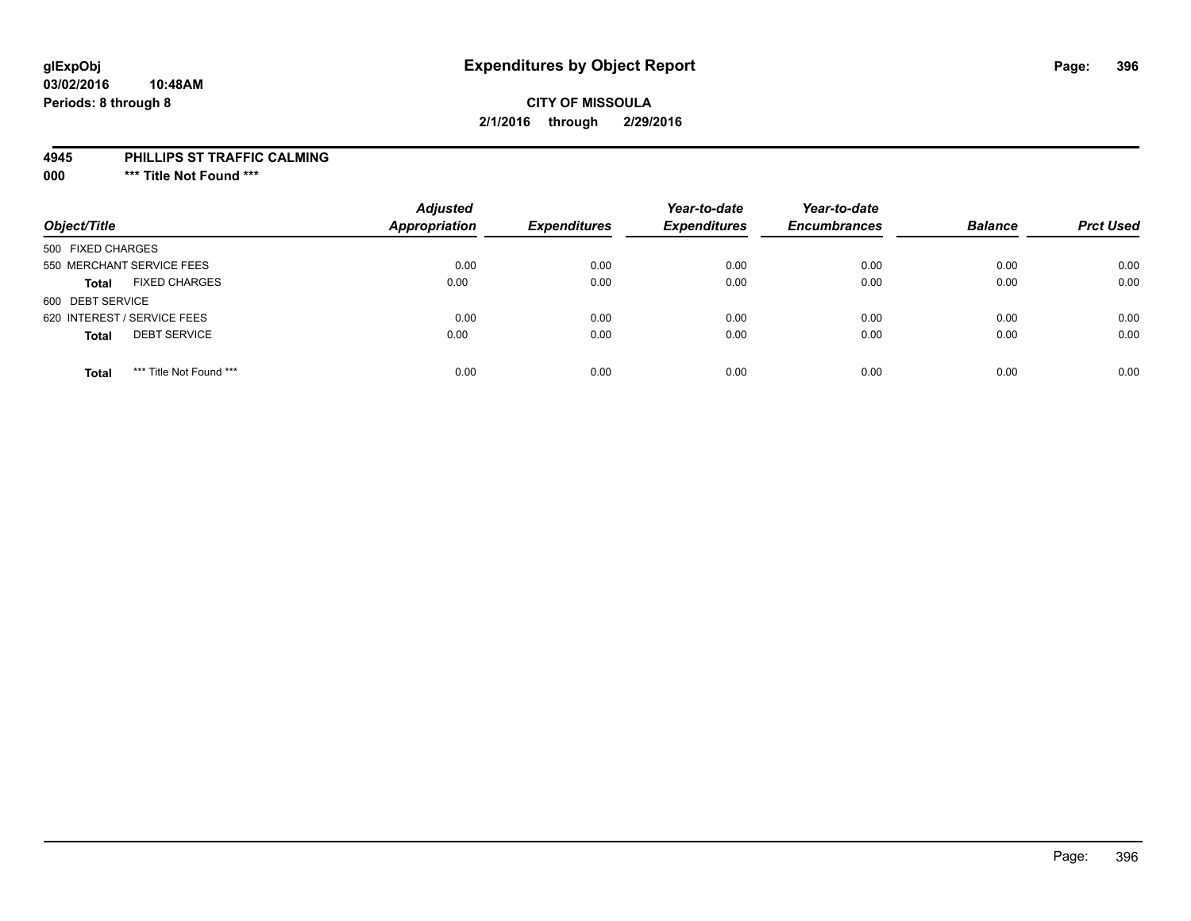# **glExpObj Expenditures by Object Report Page: 396**

#### **03/02/2016 10:48AM Periods: 8 through 8**

# **CITY OF MISSOULA 2/1/2016 through 2/29/2016**

#### **4945 PHILLIPS ST TRAFFIC CALMING**

**000 \*\*\* Title Not Found \*\*\***

| Object/Title                            | <b>Adjusted</b><br><b>Appropriation</b> | <b>Expenditures</b> | Year-to-date<br><b>Expenditures</b> | Year-to-date<br><b>Encumbrances</b> | <b>Balance</b> | <b>Prct Used</b> |
|-----------------------------------------|-----------------------------------------|---------------------|-------------------------------------|-------------------------------------|----------------|------------------|
| 500 FIXED CHARGES                       |                                         |                     |                                     |                                     |                |                  |
| 550 MERCHANT SERVICE FEES               | 0.00                                    | 0.00                | 0.00                                | 0.00                                | 0.00           | 0.00             |
| <b>FIXED CHARGES</b><br><b>Total</b>    | 0.00                                    | 0.00                | 0.00                                | 0.00                                | 0.00           | 0.00             |
| 600 DEBT SERVICE                        |                                         |                     |                                     |                                     |                |                  |
| 620 INTEREST / SERVICE FEES             | 0.00                                    | 0.00                | 0.00                                | 0.00                                | 0.00           | 0.00             |
| <b>DEBT SERVICE</b><br><b>Total</b>     | 0.00                                    | 0.00                | 0.00                                | 0.00                                | 0.00           | 0.00             |
| *** Title Not Found ***<br><b>Total</b> | 0.00                                    | 0.00                | 0.00                                | 0.00                                | 0.00           | 0.00             |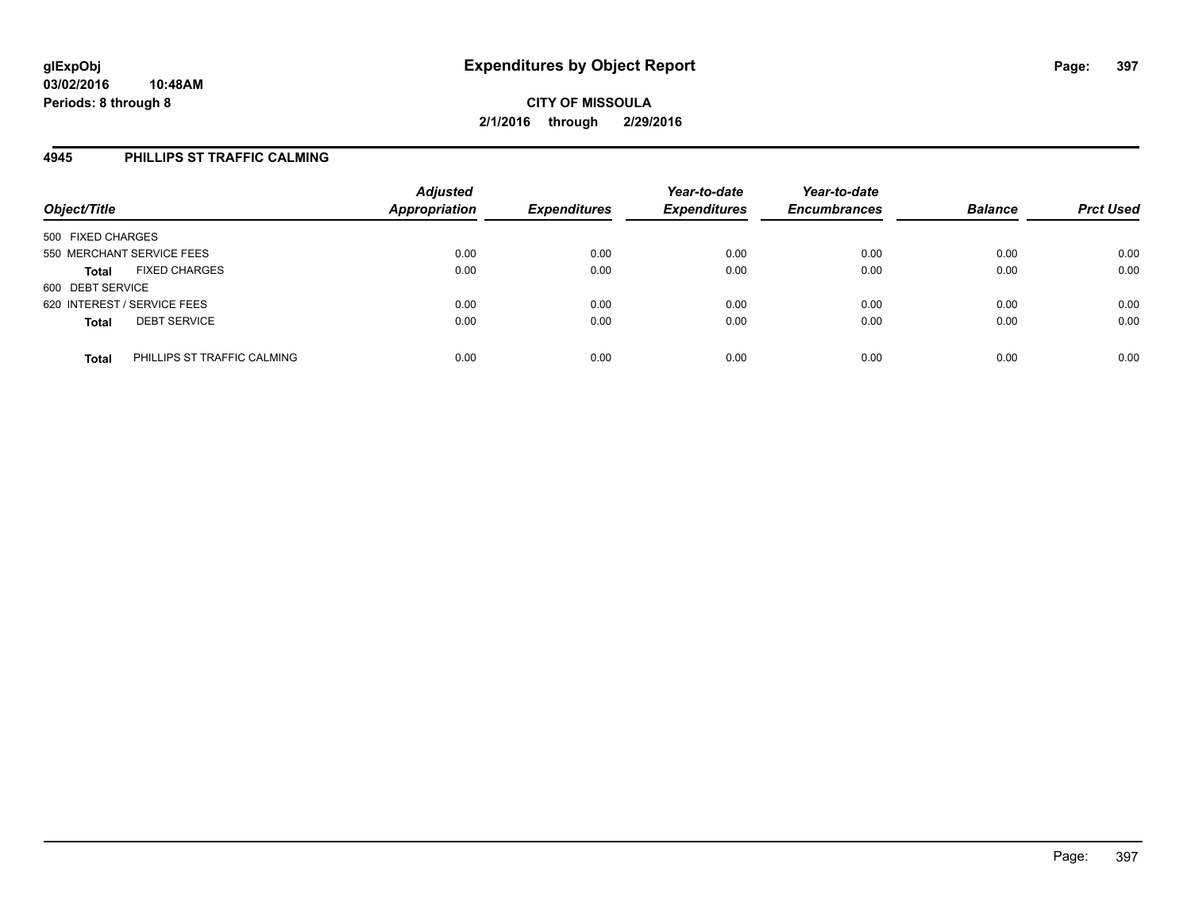#### **4945 PHILLIPS ST TRAFFIC CALMING**

| Object/Title                                | <b>Adjusted</b><br><b>Appropriation</b> | <b>Expenditures</b> | Year-to-date<br><b>Expenditures</b> | Year-to-date<br><b>Encumbrances</b> | <b>Balance</b> | <b>Prct Used</b> |
|---------------------------------------------|-----------------------------------------|---------------------|-------------------------------------|-------------------------------------|----------------|------------------|
| 500 FIXED CHARGES                           |                                         |                     |                                     |                                     |                |                  |
| 550 MERCHANT SERVICE FEES                   | 0.00                                    | 0.00                | 0.00                                | 0.00                                | 0.00           | 0.00             |
| <b>FIXED CHARGES</b><br><b>Total</b>        | 0.00                                    | 0.00                | 0.00                                | 0.00                                | 0.00           | 0.00             |
| 600 DEBT SERVICE                            |                                         |                     |                                     |                                     |                |                  |
| 620 INTEREST / SERVICE FEES                 | 0.00                                    | 0.00                | 0.00                                | 0.00                                | 0.00           | 0.00             |
| <b>DEBT SERVICE</b><br><b>Total</b>         | 0.00                                    | 0.00                | 0.00                                | 0.00                                | 0.00           | 0.00             |
| PHILLIPS ST TRAFFIC CALMING<br><b>Total</b> | 0.00                                    | 0.00                | 0.00                                | 0.00                                | 0.00           | 0.00             |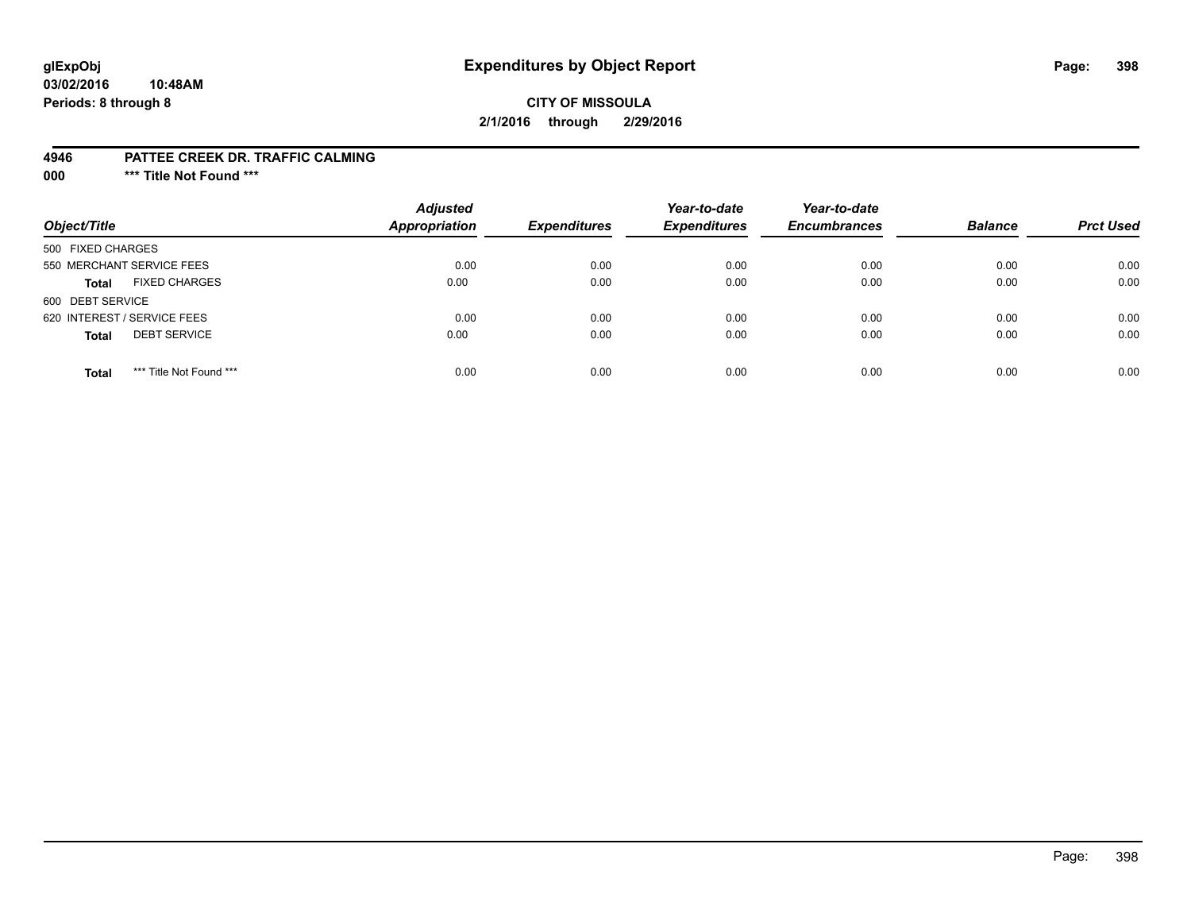## **glExpObj Expenditures by Object Report Page: 398**

#### **03/02/2016 10:48AM Periods: 8 through 8**

#### **CITY OF MISSOULA 2/1/2016 through 2/29/2016**

#### **4946 PATTEE CREEK DR. TRAFFIC CALMING**

**000 \*\*\* Title Not Found \*\*\***

| Object/Title                            | <b>Adjusted</b><br><b>Appropriation</b> | <b>Expenditures</b> | Year-to-date<br><b>Expenditures</b> | Year-to-date<br><b>Encumbrances</b> | <b>Balance</b> | <b>Prct Used</b> |
|-----------------------------------------|-----------------------------------------|---------------------|-------------------------------------|-------------------------------------|----------------|------------------|
| 500 FIXED CHARGES                       |                                         |                     |                                     |                                     |                |                  |
| 550 MERCHANT SERVICE FEES               | 0.00                                    | 0.00                | 0.00                                | 0.00                                | 0.00           | 0.00             |
| <b>FIXED CHARGES</b><br><b>Total</b>    | 0.00                                    | 0.00                | 0.00                                | 0.00                                | 0.00           | 0.00             |
| 600 DEBT SERVICE                        |                                         |                     |                                     |                                     |                |                  |
| 620 INTEREST / SERVICE FEES             | 0.00                                    | 0.00                | 0.00                                | 0.00                                | 0.00           | 0.00             |
| <b>DEBT SERVICE</b><br><b>Total</b>     | 0.00                                    | 0.00                | 0.00                                | 0.00                                | 0.00           | 0.00             |
| *** Title Not Found ***<br><b>Total</b> | 0.00                                    | 0.00                | 0.00                                | 0.00                                | 0.00           | 0.00             |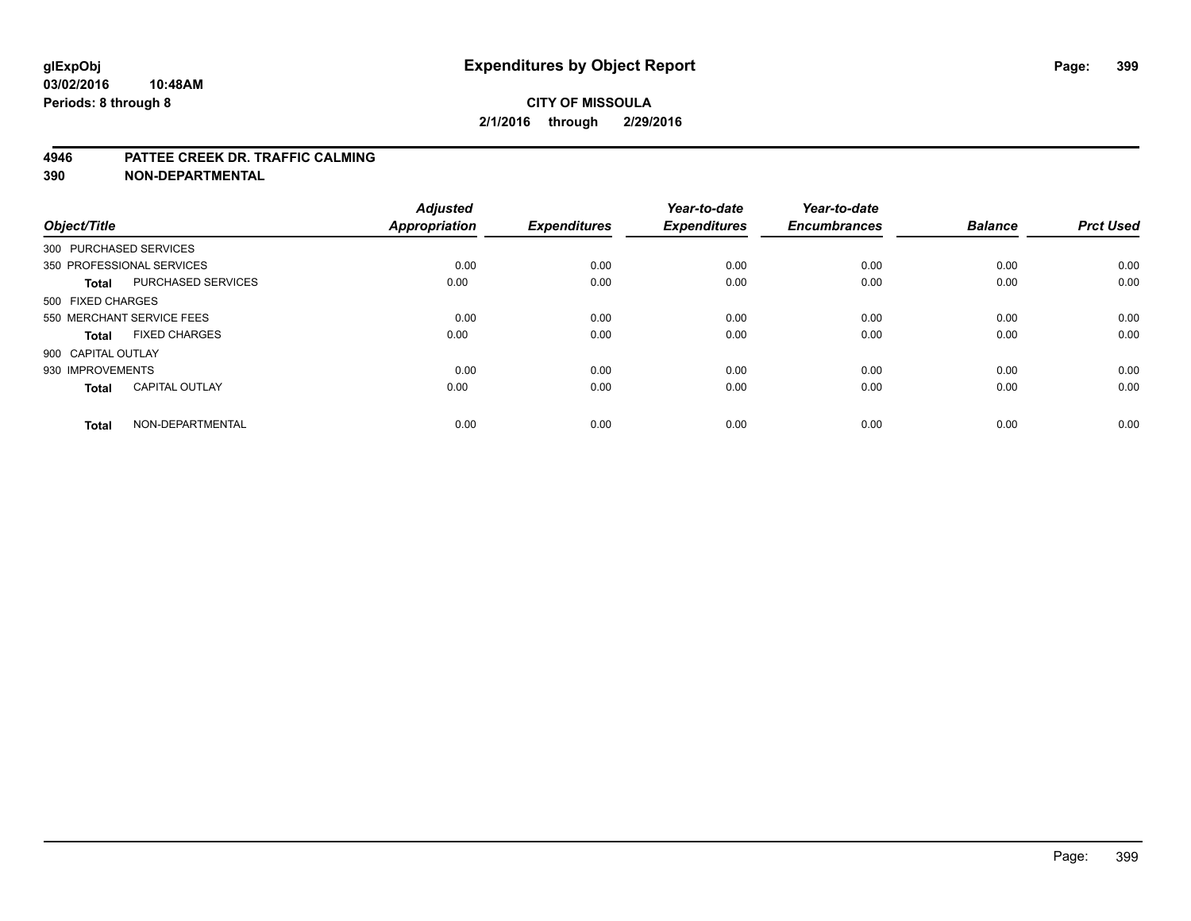## **CITY OF MISSOULA 2/1/2016 through 2/29/2016**

#### **4946 PATTEE CREEK DR. TRAFFIC CALMING**

**390 NON-DEPARTMENTAL**

| Object/Title           |                           | <b>Adjusted</b><br><b>Appropriation</b> | <b>Expenditures</b> | Year-to-date<br><b>Expenditures</b> | Year-to-date<br><b>Encumbrances</b> | <b>Balance</b> | <b>Prct Used</b> |
|------------------------|---------------------------|-----------------------------------------|---------------------|-------------------------------------|-------------------------------------|----------------|------------------|
| 300 PURCHASED SERVICES |                           |                                         |                     |                                     |                                     |                |                  |
|                        | 350 PROFESSIONAL SERVICES | 0.00                                    | 0.00                | 0.00                                | 0.00                                | 0.00           | 0.00             |
| <b>Total</b>           | <b>PURCHASED SERVICES</b> | 0.00                                    | 0.00                | 0.00                                | 0.00                                | 0.00           | 0.00             |
| 500 FIXED CHARGES      |                           |                                         |                     |                                     |                                     |                |                  |
|                        | 550 MERCHANT SERVICE FEES | 0.00                                    | 0.00                | 0.00                                | 0.00                                | 0.00           | 0.00             |
| Total                  | <b>FIXED CHARGES</b>      | 0.00                                    | 0.00                | 0.00                                | 0.00                                | 0.00           | 0.00             |
| 900 CAPITAL OUTLAY     |                           |                                         |                     |                                     |                                     |                |                  |
| 930 IMPROVEMENTS       |                           | 0.00                                    | 0.00                | 0.00                                | 0.00                                | 0.00           | 0.00             |
| Total                  | <b>CAPITAL OUTLAY</b>     | 0.00                                    | 0.00                | 0.00                                | 0.00                                | 0.00           | 0.00             |
| <b>Total</b>           | NON-DEPARTMENTAL          | 0.00                                    | 0.00                | 0.00                                | 0.00                                | 0.00           | 0.00             |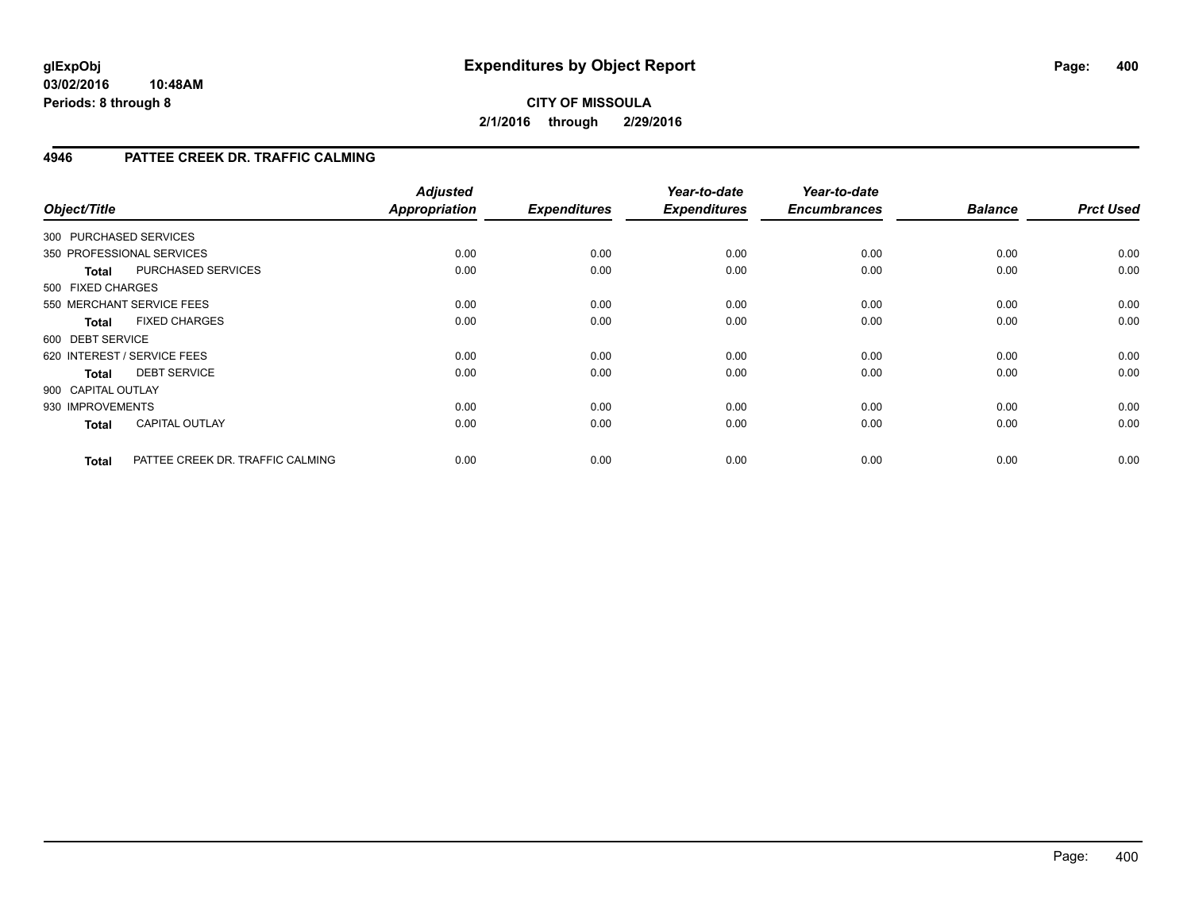## **CITY OF MISSOULA 2/1/2016 through 2/29/2016**

#### **4946 PATTEE CREEK DR. TRAFFIC CALMING**

| Object/Title       |                                  | <b>Adjusted</b><br><b>Appropriation</b> | <b>Expenditures</b> | Year-to-date<br><b>Expenditures</b> | Year-to-date<br><b>Encumbrances</b> | <b>Balance</b> | <b>Prct Used</b> |
|--------------------|----------------------------------|-----------------------------------------|---------------------|-------------------------------------|-------------------------------------|----------------|------------------|
|                    | 300 PURCHASED SERVICES           |                                         |                     |                                     |                                     |                |                  |
|                    | 350 PROFESSIONAL SERVICES        | 0.00                                    | 0.00                | 0.00                                | 0.00                                | 0.00           | 0.00             |
| <b>Total</b>       | <b>PURCHASED SERVICES</b>        | 0.00                                    | 0.00                | 0.00                                | 0.00                                | 0.00           | 0.00             |
| 500 FIXED CHARGES  |                                  |                                         |                     |                                     |                                     |                |                  |
|                    | 550 MERCHANT SERVICE FEES        | 0.00                                    | 0.00                | 0.00                                | 0.00                                | 0.00           | 0.00             |
| <b>Total</b>       | <b>FIXED CHARGES</b>             | 0.00                                    | 0.00                | 0.00                                | 0.00                                | 0.00           | 0.00             |
| 600 DEBT SERVICE   |                                  |                                         |                     |                                     |                                     |                |                  |
|                    | 620 INTEREST / SERVICE FEES      | 0.00                                    | 0.00                | 0.00                                | 0.00                                | 0.00           | 0.00             |
| Total              | <b>DEBT SERVICE</b>              | 0.00                                    | 0.00                | 0.00                                | 0.00                                | 0.00           | 0.00             |
| 900 CAPITAL OUTLAY |                                  |                                         |                     |                                     |                                     |                |                  |
| 930 IMPROVEMENTS   |                                  | 0.00                                    | 0.00                | 0.00                                | 0.00                                | 0.00           | 0.00             |
| <b>Total</b>       | <b>CAPITAL OUTLAY</b>            | 0.00                                    | 0.00                | 0.00                                | 0.00                                | 0.00           | 0.00             |
| <b>Total</b>       | PATTEE CREEK DR. TRAFFIC CALMING | 0.00                                    | 0.00                | 0.00                                | 0.00                                | 0.00           | 0.00             |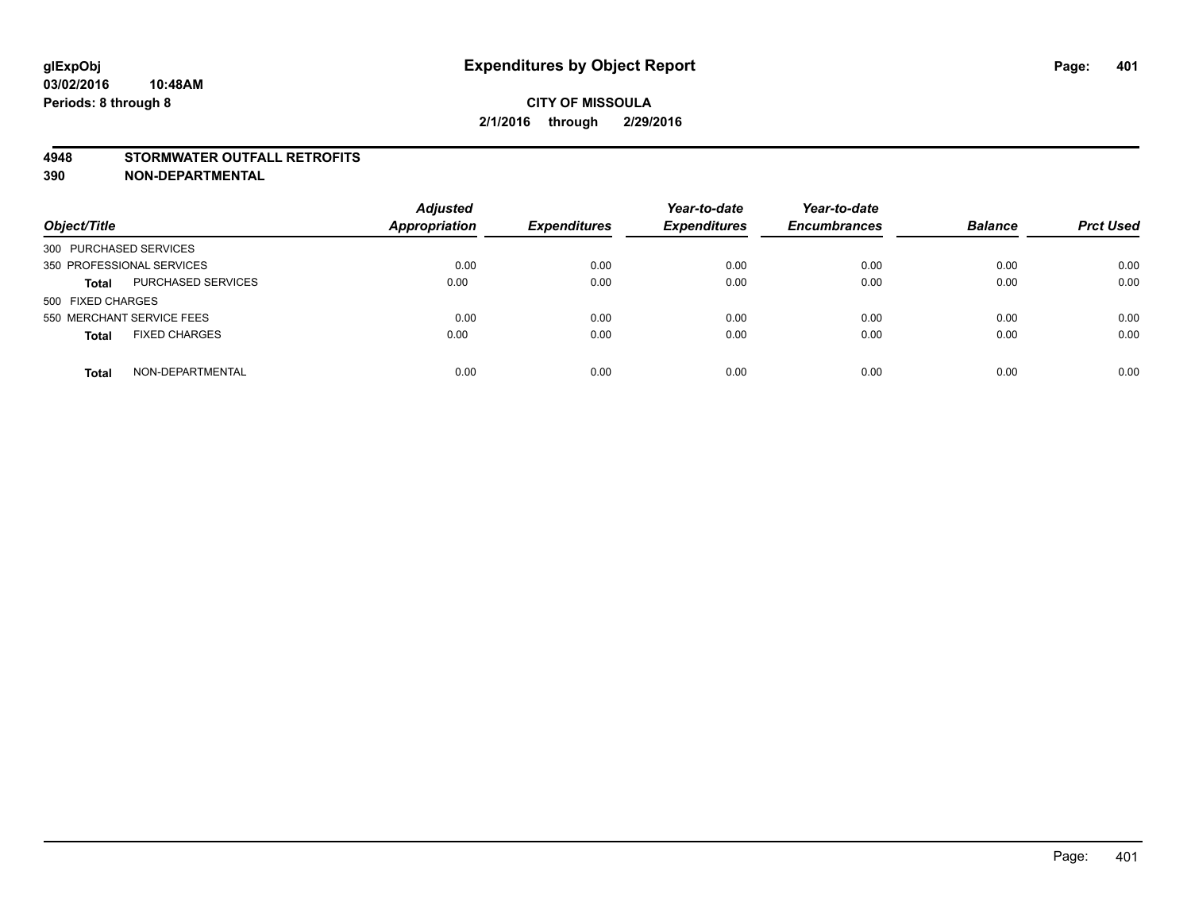#### **4948 STORMWATER OUTFALL RETROFITS**

**390 NON-DEPARTMENTAL**

| Object/Title                         | <b>Adjusted</b><br><b>Appropriation</b> | <b>Expenditures</b> | Year-to-date<br><b>Expenditures</b> | Year-to-date<br><b>Encumbrances</b> | <b>Balance</b> | <b>Prct Used</b> |
|--------------------------------------|-----------------------------------------|---------------------|-------------------------------------|-------------------------------------|----------------|------------------|
| 300 PURCHASED SERVICES               |                                         |                     |                                     |                                     |                |                  |
| 350 PROFESSIONAL SERVICES            | 0.00                                    | 0.00                | 0.00                                | 0.00                                | 0.00           | 0.00             |
| PURCHASED SERVICES<br><b>Total</b>   | 0.00                                    | 0.00                | 0.00                                | 0.00                                | 0.00           | 0.00             |
| 500 FIXED CHARGES                    |                                         |                     |                                     |                                     |                |                  |
| 550 MERCHANT SERVICE FEES            | 0.00                                    | 0.00                | 0.00                                | 0.00                                | 0.00           | 0.00             |
| <b>FIXED CHARGES</b><br><b>Total</b> | 0.00                                    | 0.00                | 0.00                                | 0.00                                | 0.00           | 0.00             |
| NON-DEPARTMENTAL<br><b>Total</b>     | 0.00                                    | 0.00                | 0.00                                | 0.00                                | 0.00           | 0.00             |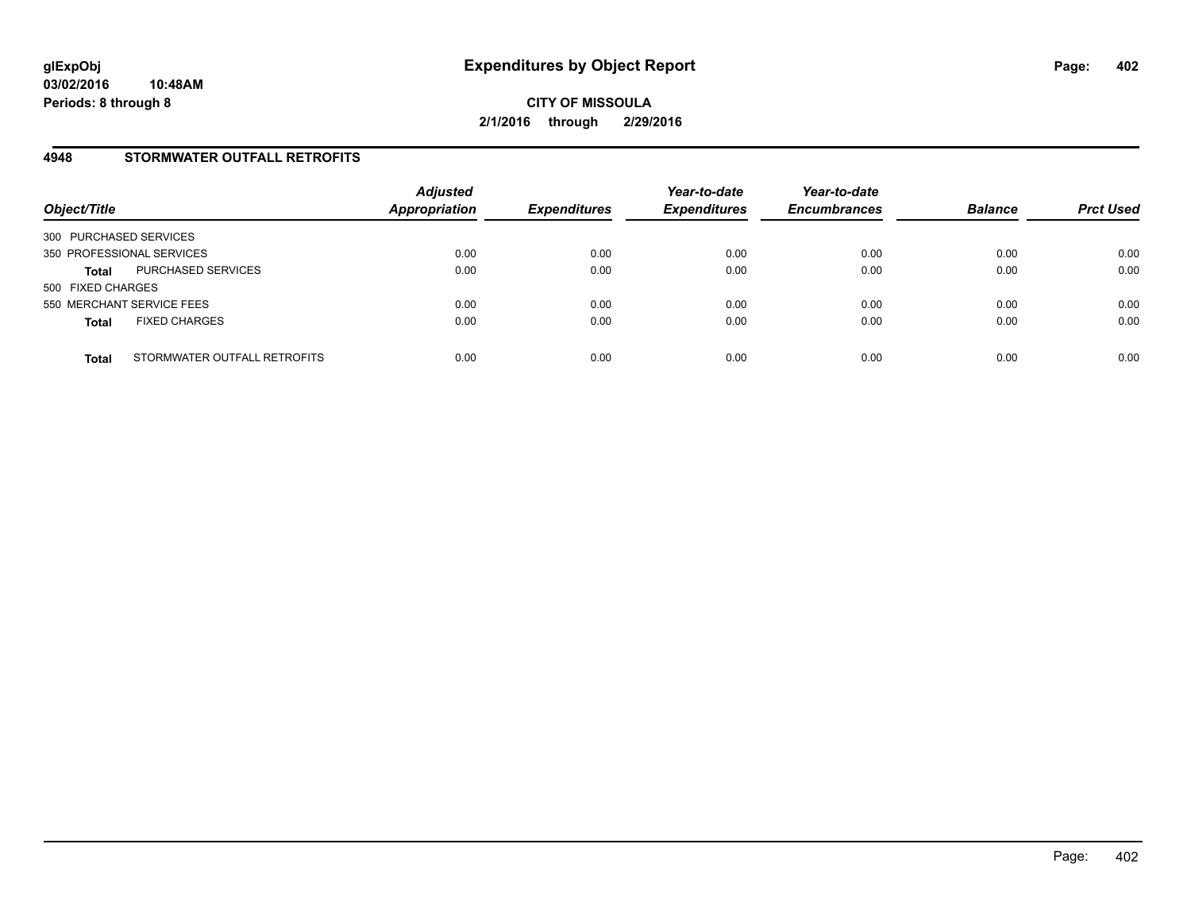#### **4948 STORMWATER OUTFALL RETROFITS**

| Object/Title              |                              | <b>Adjusted</b><br><b>Appropriation</b> | <b>Expenditures</b> | Year-to-date<br><b>Expenditures</b> | Year-to-date<br><b>Encumbrances</b> | <b>Balance</b> | <b>Prct Used</b> |
|---------------------------|------------------------------|-----------------------------------------|---------------------|-------------------------------------|-------------------------------------|----------------|------------------|
| 300 PURCHASED SERVICES    |                              |                                         |                     |                                     |                                     |                |                  |
| 350 PROFESSIONAL SERVICES |                              | 0.00                                    | 0.00                | 0.00                                | 0.00                                | 0.00           | 0.00             |
| <b>Total</b>              | PURCHASED SERVICES           | 0.00                                    | 0.00                | 0.00                                | 0.00                                | 0.00           | 0.00             |
| 500 FIXED CHARGES         |                              |                                         |                     |                                     |                                     |                |                  |
| 550 MERCHANT SERVICE FEES |                              | 0.00                                    | 0.00                | 0.00                                | 0.00                                | 0.00           | 0.00             |
| <b>Total</b>              | <b>FIXED CHARGES</b>         | 0.00                                    | 0.00                | 0.00                                | 0.00                                | 0.00           | 0.00             |
| <b>Total</b>              | STORMWATER OUTFALL RETROFITS | 0.00                                    | 0.00                | 0.00                                | 0.00                                | 0.00           | 0.00             |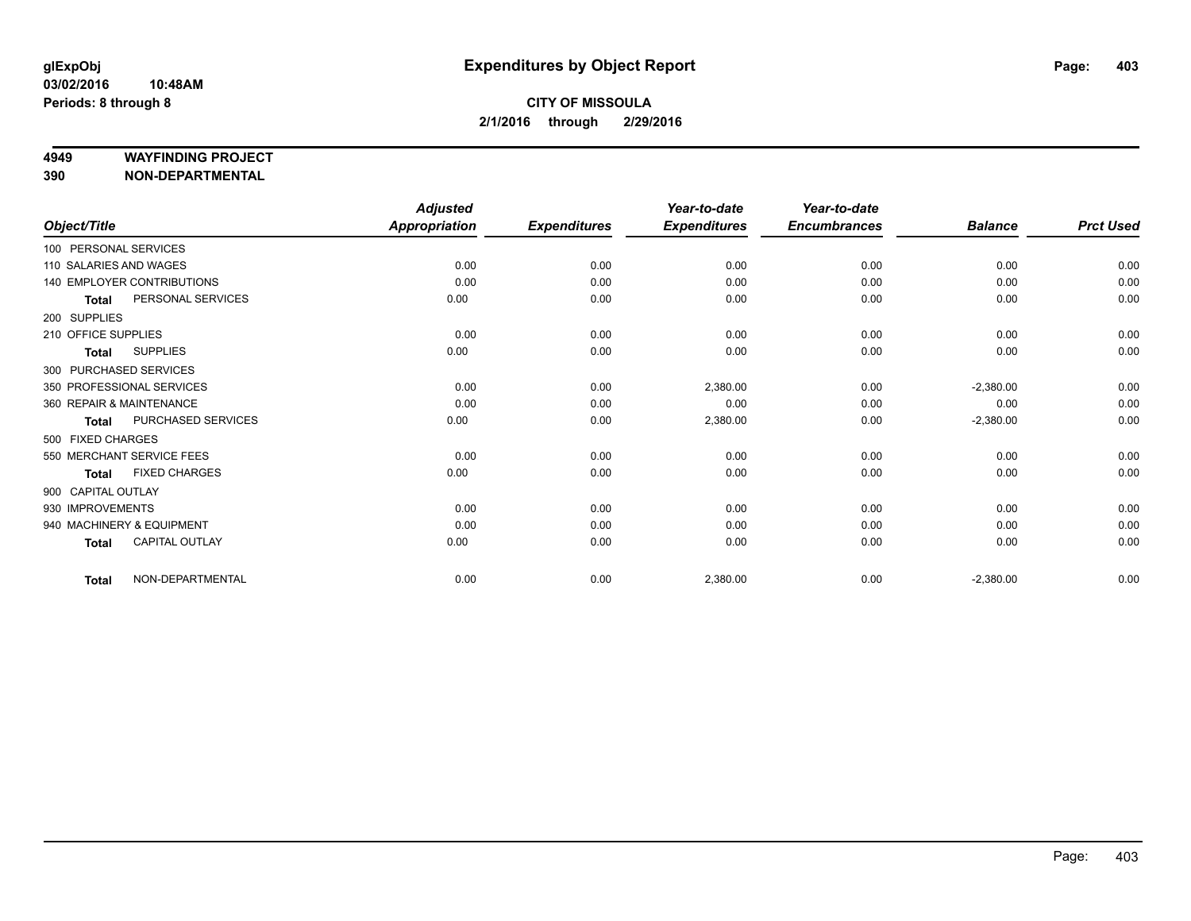#### **4949 WAYFINDING PROJECT**

**390 NON-DEPARTMENTAL**

|                        |                                   | <b>Adjusted</b>      |                     | Year-to-date        | Year-to-date        |                |                  |
|------------------------|-----------------------------------|----------------------|---------------------|---------------------|---------------------|----------------|------------------|
| Object/Title           |                                   | <b>Appropriation</b> | <b>Expenditures</b> | <b>Expenditures</b> | <b>Encumbrances</b> | <b>Balance</b> | <b>Prct Used</b> |
| 100 PERSONAL SERVICES  |                                   |                      |                     |                     |                     |                |                  |
| 110 SALARIES AND WAGES |                                   | 0.00                 | 0.00                | 0.00                | 0.00                | 0.00           | 0.00             |
|                        | <b>140 EMPLOYER CONTRIBUTIONS</b> | 0.00                 | 0.00                | 0.00                | 0.00                | 0.00           | 0.00             |
| <b>Total</b>           | PERSONAL SERVICES                 | 0.00                 | 0.00                | 0.00                | 0.00                | 0.00           | 0.00             |
| 200 SUPPLIES           |                                   |                      |                     |                     |                     |                |                  |
| 210 OFFICE SUPPLIES    |                                   | 0.00                 | 0.00                | 0.00                | 0.00                | 0.00           | 0.00             |
| <b>Total</b>           | <b>SUPPLIES</b>                   | 0.00                 | 0.00                | 0.00                | 0.00                | 0.00           | 0.00             |
|                        | 300 PURCHASED SERVICES            |                      |                     |                     |                     |                |                  |
|                        | 350 PROFESSIONAL SERVICES         | 0.00                 | 0.00                | 2,380.00            | 0.00                | $-2,380.00$    | 0.00             |
|                        | 360 REPAIR & MAINTENANCE          | 0.00                 | 0.00                | 0.00                | 0.00                | 0.00           | 0.00             |
| <b>Total</b>           | PURCHASED SERVICES                | 0.00                 | 0.00                | 2,380.00            | 0.00                | $-2,380.00$    | 0.00             |
| 500 FIXED CHARGES      |                                   |                      |                     |                     |                     |                |                  |
|                        | 550 MERCHANT SERVICE FEES         | 0.00                 | 0.00                | 0.00                | 0.00                | 0.00           | 0.00             |
| <b>Total</b>           | <b>FIXED CHARGES</b>              | 0.00                 | 0.00                | 0.00                | 0.00                | 0.00           | 0.00             |
| 900 CAPITAL OUTLAY     |                                   |                      |                     |                     |                     |                |                  |
| 930 IMPROVEMENTS       |                                   | 0.00                 | 0.00                | 0.00                | 0.00                | 0.00           | 0.00             |
|                        | 940 MACHINERY & EQUIPMENT         | 0.00                 | 0.00                | 0.00                | 0.00                | 0.00           | 0.00             |
| <b>Total</b>           | <b>CAPITAL OUTLAY</b>             | 0.00                 | 0.00                | 0.00                | 0.00                | 0.00           | 0.00             |
| <b>Total</b>           | NON-DEPARTMENTAL                  | 0.00                 | 0.00                | 2,380.00            | 0.00                | $-2,380.00$    | 0.00             |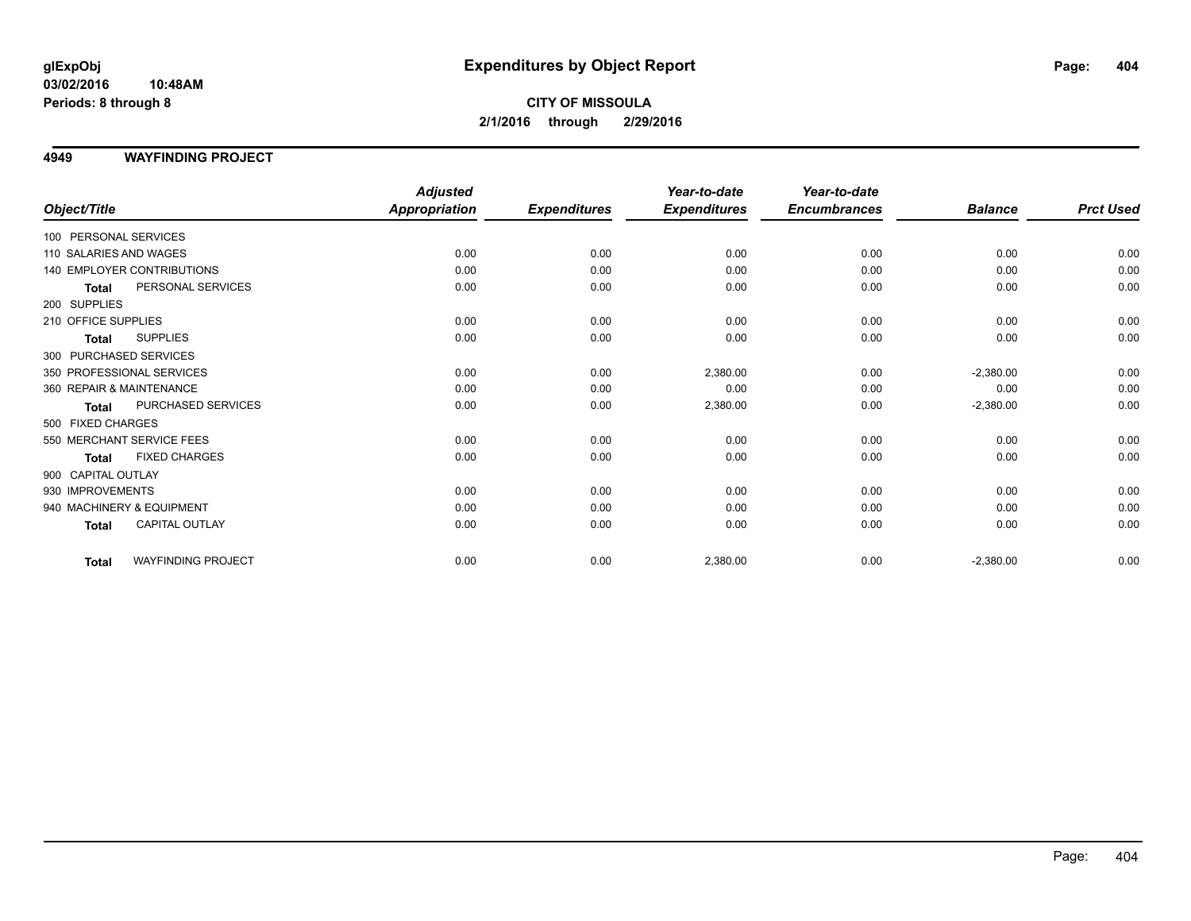## **CITY OF MISSOULA 2/1/2016 through 2/29/2016**

#### **4949 WAYFINDING PROJECT**

|                                           | <b>Adjusted</b>      |                     | Year-to-date        | Year-to-date        |                |                  |
|-------------------------------------------|----------------------|---------------------|---------------------|---------------------|----------------|------------------|
| Object/Title                              | <b>Appropriation</b> | <b>Expenditures</b> | <b>Expenditures</b> | <b>Encumbrances</b> | <b>Balance</b> | <b>Prct Used</b> |
| 100 PERSONAL SERVICES                     |                      |                     |                     |                     |                |                  |
| 110 SALARIES AND WAGES                    | 0.00                 | 0.00                | 0.00                | 0.00                | 0.00           | 0.00             |
| 140 EMPLOYER CONTRIBUTIONS                | 0.00                 | 0.00                | 0.00                | 0.00                | 0.00           | 0.00             |
| PERSONAL SERVICES<br><b>Total</b>         | 0.00                 | 0.00                | 0.00                | 0.00                | 0.00           | 0.00             |
| 200 SUPPLIES                              |                      |                     |                     |                     |                |                  |
| 210 OFFICE SUPPLIES                       | 0.00                 | 0.00                | 0.00                | 0.00                | 0.00           | 0.00             |
| <b>SUPPLIES</b><br><b>Total</b>           | 0.00                 | 0.00                | 0.00                | 0.00                | 0.00           | 0.00             |
| 300 PURCHASED SERVICES                    |                      |                     |                     |                     |                |                  |
| 350 PROFESSIONAL SERVICES                 | 0.00                 | 0.00                | 2,380.00            | 0.00                | $-2,380.00$    | 0.00             |
| 360 REPAIR & MAINTENANCE                  | 0.00                 | 0.00                | 0.00                | 0.00                | 0.00           | 0.00             |
| PURCHASED SERVICES<br><b>Total</b>        | 0.00                 | 0.00                | 2,380.00            | 0.00                | $-2,380.00$    | 0.00             |
| 500 FIXED CHARGES                         |                      |                     |                     |                     |                |                  |
| 550 MERCHANT SERVICE FEES                 | 0.00                 | 0.00                | 0.00                | 0.00                | 0.00           | 0.00             |
| <b>FIXED CHARGES</b><br><b>Total</b>      | 0.00                 | 0.00                | 0.00                | 0.00                | 0.00           | 0.00             |
| 900 CAPITAL OUTLAY                        |                      |                     |                     |                     |                |                  |
| 930 IMPROVEMENTS                          | 0.00                 | 0.00                | 0.00                | 0.00                | 0.00           | 0.00             |
| 940 MACHINERY & EQUIPMENT                 | 0.00                 | 0.00                | 0.00                | 0.00                | 0.00           | 0.00             |
| <b>CAPITAL OUTLAY</b><br><b>Total</b>     | 0.00                 | 0.00                | 0.00                | 0.00                | 0.00           | 0.00             |
| <b>WAYFINDING PROJECT</b><br><b>Total</b> | 0.00                 | 0.00                | 2,380.00            | 0.00                | $-2,380.00$    | 0.00             |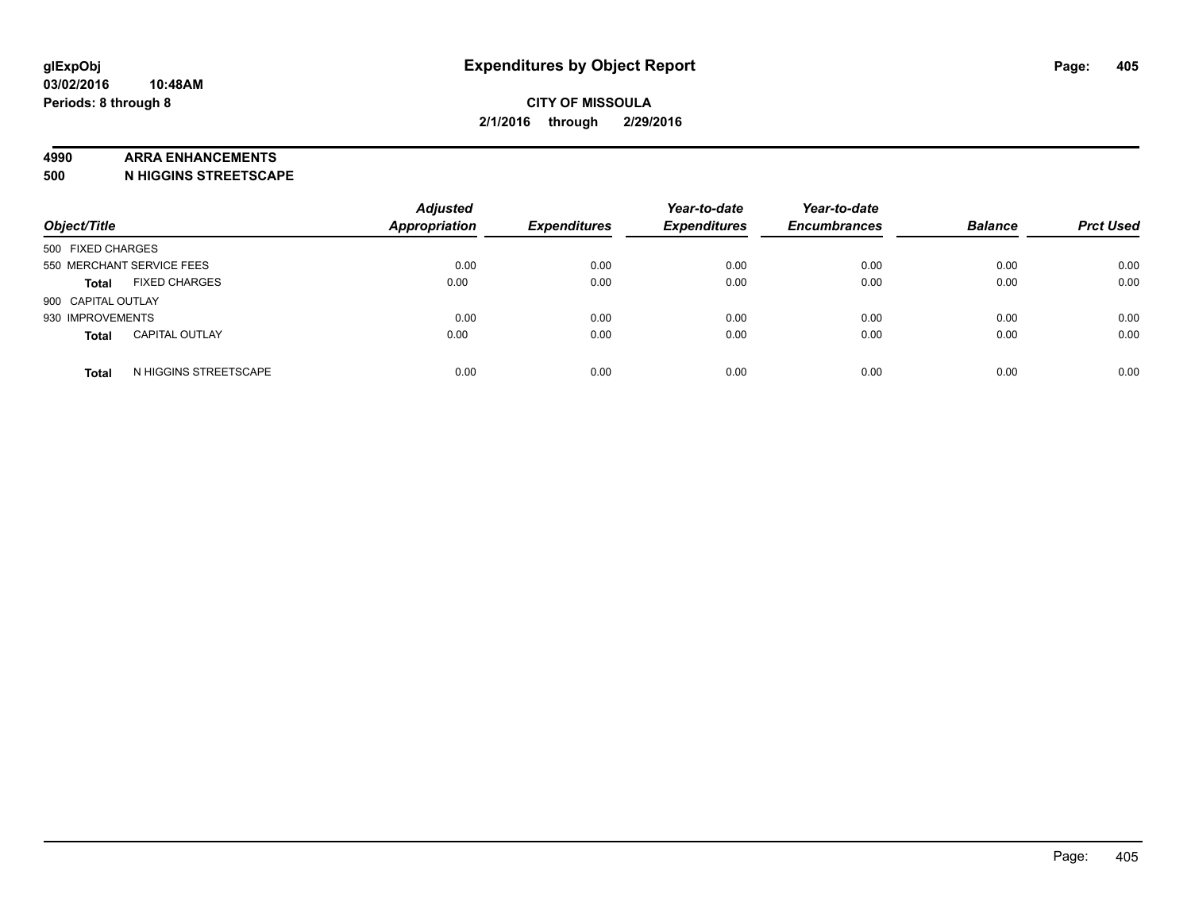#### **4990 ARRA ENHANCEMENTS**

**500 N HIGGINS STREETSCAPE**

| Object/Title       |                           | <b>Adjusted</b><br>Appropriation | <b>Expenditures</b> | Year-to-date<br><b>Expenditures</b> | Year-to-date<br><b>Encumbrances</b> | <b>Balance</b> | <b>Prct Used</b> |
|--------------------|---------------------------|----------------------------------|---------------------|-------------------------------------|-------------------------------------|----------------|------------------|
| 500 FIXED CHARGES  |                           |                                  |                     |                                     |                                     |                |                  |
|                    | 550 MERCHANT SERVICE FEES | 0.00                             | 0.00                | 0.00                                | 0.00                                | 0.00           | 0.00             |
| <b>Total</b>       | <b>FIXED CHARGES</b>      | 0.00                             | 0.00                | 0.00                                | 0.00                                | 0.00           | 0.00             |
| 900 CAPITAL OUTLAY |                           |                                  |                     |                                     |                                     |                |                  |
| 930 IMPROVEMENTS   |                           | 0.00                             | 0.00                | 0.00                                | 0.00                                | 0.00           | 0.00             |
| <b>Total</b>       | <b>CAPITAL OUTLAY</b>     | 0.00                             | 0.00                | 0.00                                | 0.00                                | 0.00           | 0.00             |
| <b>Total</b>       | N HIGGINS STREETSCAPE     | 0.00                             | 0.00                | 0.00                                | 0.00                                | 0.00           | 0.00             |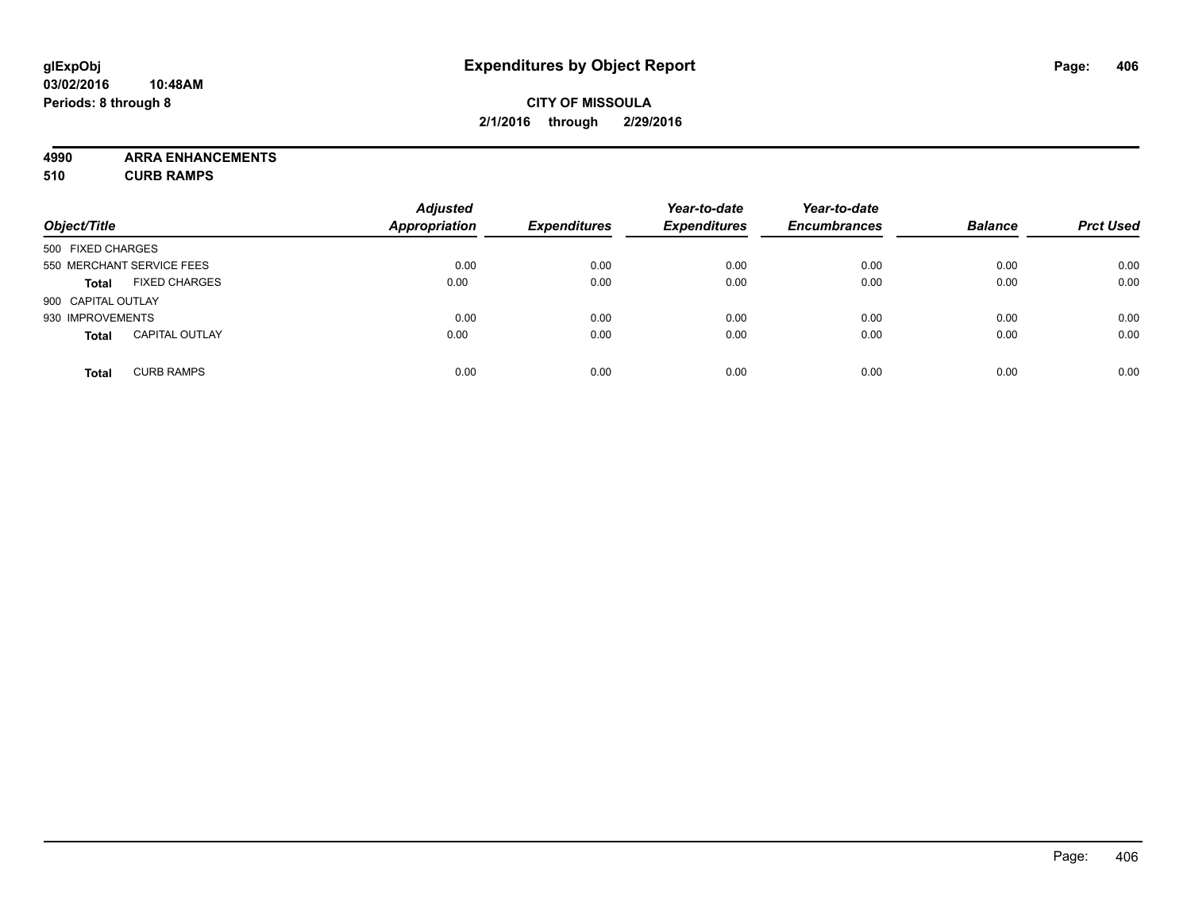**4990 ARRA ENHANCEMENTS**

**510 CURB RAMPS**

|                    |                           | <b>Adjusted</b> |                     | Year-to-date        | Year-to-date        |                |                  |
|--------------------|---------------------------|-----------------|---------------------|---------------------|---------------------|----------------|------------------|
| Object/Title       |                           | Appropriation   | <b>Expenditures</b> | <b>Expenditures</b> | <b>Encumbrances</b> | <b>Balance</b> | <b>Prct Used</b> |
| 500 FIXED CHARGES  |                           |                 |                     |                     |                     |                |                  |
|                    | 550 MERCHANT SERVICE FEES | 0.00            | 0.00                | 0.00                | 0.00                | 0.00           | 0.00             |
| <b>Total</b>       | <b>FIXED CHARGES</b>      | 0.00            | 0.00                | 0.00                | 0.00                | 0.00           | 0.00             |
| 900 CAPITAL OUTLAY |                           |                 |                     |                     |                     |                |                  |
| 930 IMPROVEMENTS   |                           | 0.00            | 0.00                | 0.00                | 0.00                | 0.00           | 0.00             |
| <b>Total</b>       | <b>CAPITAL OUTLAY</b>     | 0.00            | 0.00                | 0.00                | 0.00                | 0.00           | 0.00             |
| <b>Total</b>       | <b>CURB RAMPS</b>         | 0.00            | 0.00                | 0.00                | 0.00                | 0.00           | 0.00             |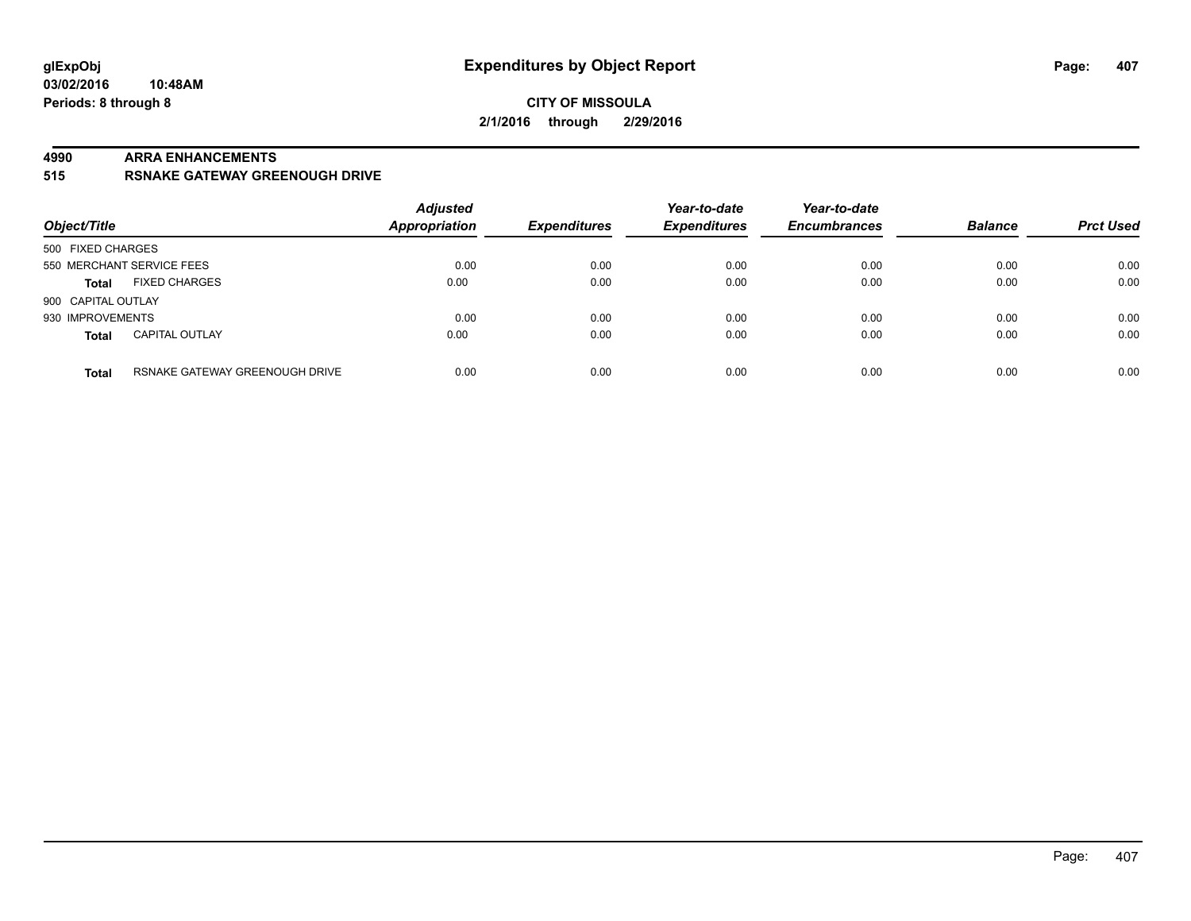#### **4990 ARRA ENHANCEMENTS**

**515 RSNAKE GATEWAY GREENOUGH DRIVE**

| Object/Title       |                                | <b>Adjusted</b><br><b>Appropriation</b> | <b>Expenditures</b> | Year-to-date<br><b>Expenditures</b> | Year-to-date<br><b>Encumbrances</b> | <b>Balance</b> | <b>Prct Used</b> |
|--------------------|--------------------------------|-----------------------------------------|---------------------|-------------------------------------|-------------------------------------|----------------|------------------|
| 500 FIXED CHARGES  |                                |                                         |                     |                                     |                                     |                |                  |
|                    | 550 MERCHANT SERVICE FEES      | 0.00                                    | 0.00                | 0.00                                | 0.00                                | 0.00           | 0.00             |
| <b>Total</b>       | <b>FIXED CHARGES</b>           | 0.00                                    | 0.00                | 0.00                                | 0.00                                | 0.00           | 0.00             |
| 900 CAPITAL OUTLAY |                                |                                         |                     |                                     |                                     |                |                  |
| 930 IMPROVEMENTS   |                                | 0.00                                    | 0.00                | 0.00                                | 0.00                                | 0.00           | 0.00             |
| <b>Total</b>       | <b>CAPITAL OUTLAY</b>          | 0.00                                    | 0.00                | 0.00                                | 0.00                                | 0.00           | 0.00             |
| <b>Total</b>       | RSNAKE GATEWAY GREENOUGH DRIVE | 0.00                                    | 0.00                | 0.00                                | 0.00                                | 0.00           | 0.00             |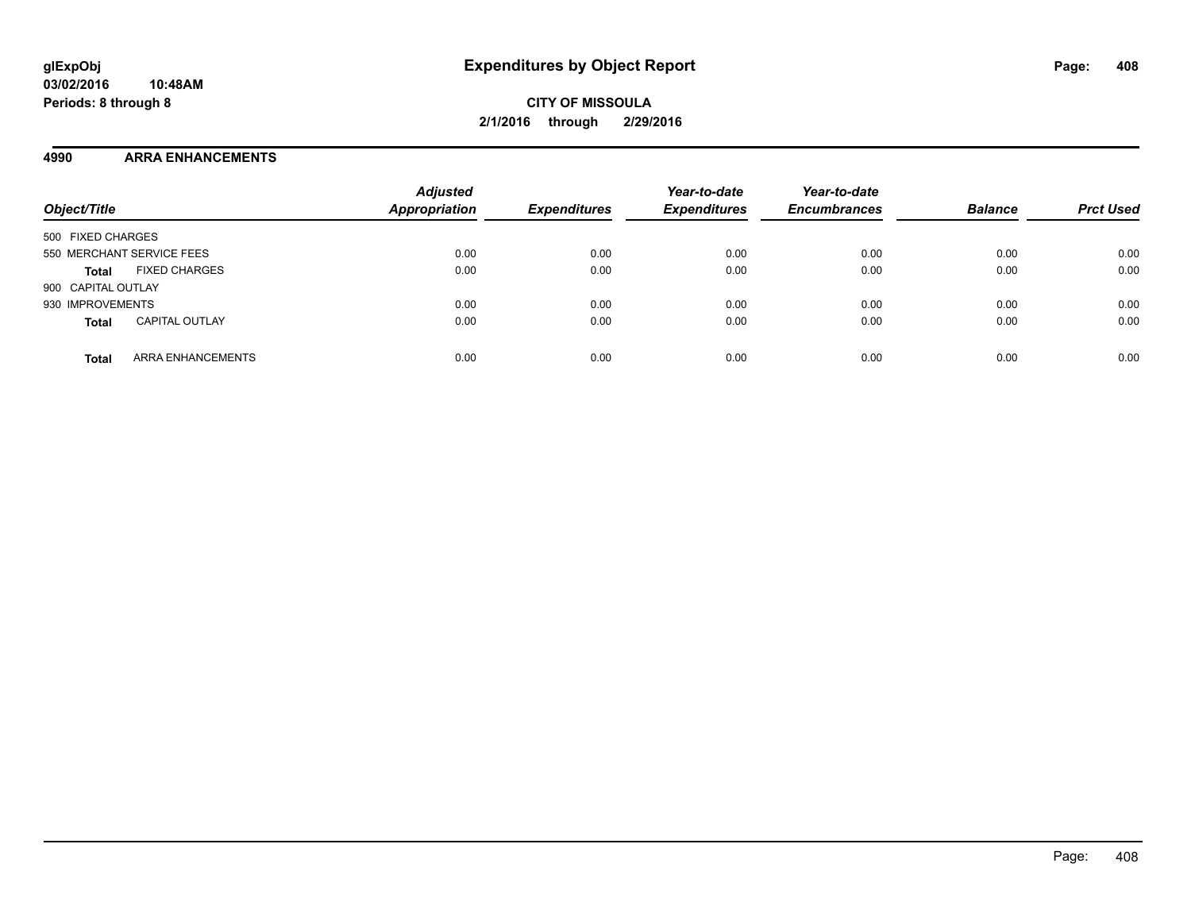#### **4990 ARRA ENHANCEMENTS**

| Object/Title                             | <b>Adjusted</b><br><b>Appropriation</b> | <b>Expenditures</b> | Year-to-date<br><b>Expenditures</b> | Year-to-date<br><b>Encumbrances</b> | <b>Balance</b> | <b>Prct Used</b> |
|------------------------------------------|-----------------------------------------|---------------------|-------------------------------------|-------------------------------------|----------------|------------------|
| 500 FIXED CHARGES                        |                                         |                     |                                     |                                     |                |                  |
| 550 MERCHANT SERVICE FEES                | 0.00                                    | 0.00                | 0.00                                | 0.00                                | 0.00           | 0.00             |
| <b>FIXED CHARGES</b><br><b>Total</b>     | 0.00                                    | 0.00                | 0.00                                | 0.00                                | 0.00           | 0.00             |
| 900 CAPITAL OUTLAY                       |                                         |                     |                                     |                                     |                |                  |
| 930 IMPROVEMENTS                         | 0.00                                    | 0.00                | 0.00                                | 0.00                                | 0.00           | 0.00             |
| <b>CAPITAL OUTLAY</b><br><b>Total</b>    | 0.00                                    | 0.00                | 0.00                                | 0.00                                | 0.00           | 0.00             |
| <b>ARRA ENHANCEMENTS</b><br><b>Total</b> | 0.00                                    | 0.00                | 0.00                                | 0.00                                | 0.00           | 0.00             |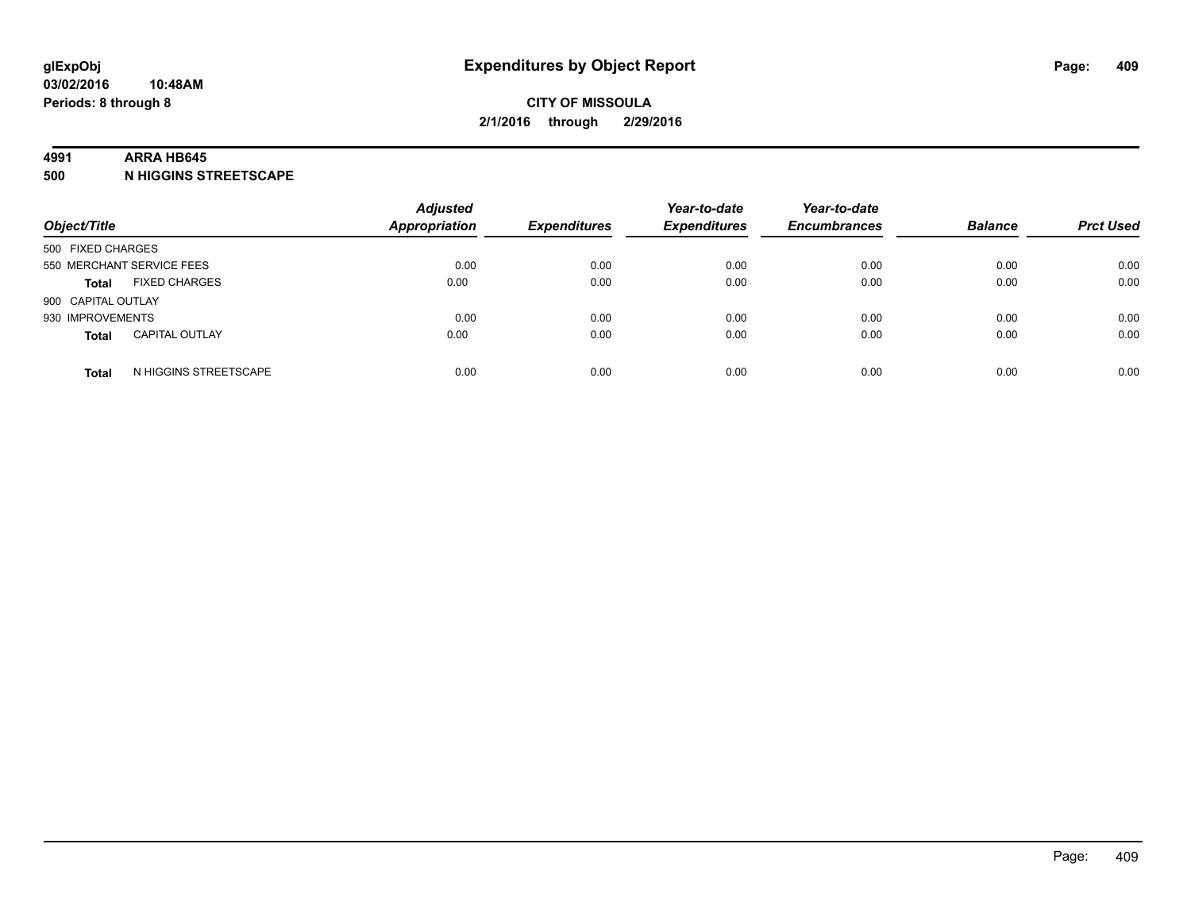#### **4991 ARRA HB645**

**500 N HIGGINS STREETSCAPE**

| Object/Title              |                       | <b>Adjusted</b><br><b>Appropriation</b> | <b>Expenditures</b> | Year-to-date<br><b>Expenditures</b> | Year-to-date<br><b>Encumbrances</b> | <b>Balance</b> | <b>Prct Used</b> |
|---------------------------|-----------------------|-----------------------------------------|---------------------|-------------------------------------|-------------------------------------|----------------|------------------|
| 500 FIXED CHARGES         |                       |                                         |                     |                                     |                                     |                |                  |
| 550 MERCHANT SERVICE FEES |                       | 0.00                                    | 0.00                | 0.00                                | 0.00                                | 0.00           | 0.00             |
| <b>Total</b>              | <b>FIXED CHARGES</b>  | 0.00                                    | 0.00                | 0.00                                | 0.00                                | 0.00           | 0.00             |
| 900 CAPITAL OUTLAY        |                       |                                         |                     |                                     |                                     |                |                  |
| 930 IMPROVEMENTS          |                       | 0.00                                    | 0.00                | 0.00                                | 0.00                                | 0.00           | 0.00             |
| <b>Total</b>              | <b>CAPITAL OUTLAY</b> | 0.00                                    | 0.00                | 0.00                                | 0.00                                | 0.00           | 0.00             |
| <b>Total</b>              | N HIGGINS STREETSCAPE | 0.00                                    | 0.00                | 0.00                                | 0.00                                | 0.00           | 0.00             |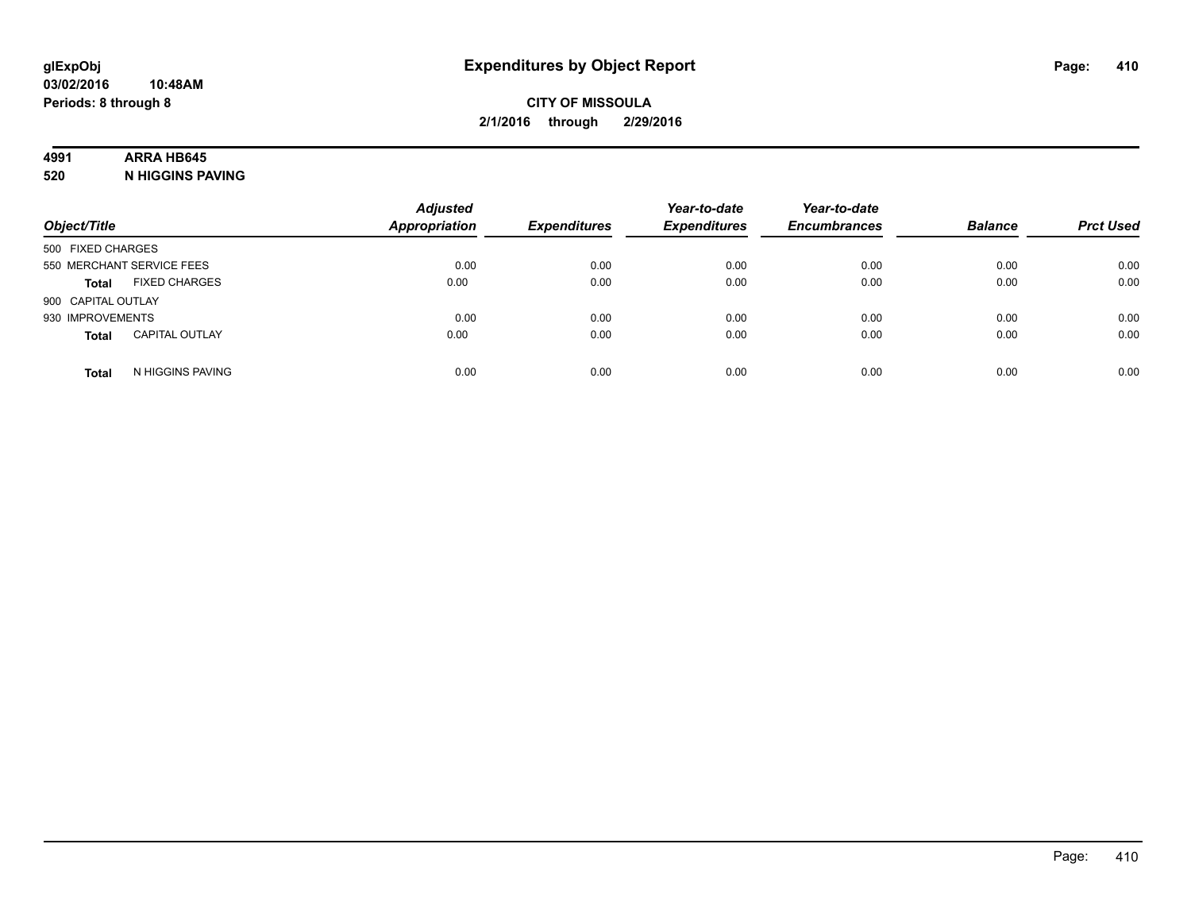## **4991 ARRA HB645**

**520 N HIGGINS PAVING**

| Object/Title       |                           | <b>Adjusted</b><br><b>Appropriation</b> | <b>Expenditures</b> | Year-to-date<br><b>Expenditures</b> | Year-to-date<br><b>Encumbrances</b> | <b>Balance</b> | <b>Prct Used</b> |
|--------------------|---------------------------|-----------------------------------------|---------------------|-------------------------------------|-------------------------------------|----------------|------------------|
| 500 FIXED CHARGES  |                           |                                         |                     |                                     |                                     |                |                  |
|                    | 550 MERCHANT SERVICE FEES | 0.00                                    | 0.00                | 0.00                                | 0.00                                | 0.00           | 0.00             |
| <b>Total</b>       | <b>FIXED CHARGES</b>      | 0.00                                    | 0.00                | 0.00                                | 0.00                                | 0.00           | 0.00             |
| 900 CAPITAL OUTLAY |                           |                                         |                     |                                     |                                     |                |                  |
| 930 IMPROVEMENTS   |                           | 0.00                                    | 0.00                | 0.00                                | 0.00                                | 0.00           | 0.00             |
| <b>Total</b>       | <b>CAPITAL OUTLAY</b>     | 0.00                                    | 0.00                | 0.00                                | 0.00                                | 0.00           | 0.00             |
| <b>Total</b>       | N HIGGINS PAVING          | 0.00                                    | 0.00                | 0.00                                | 0.00                                | 0.00           | 0.00             |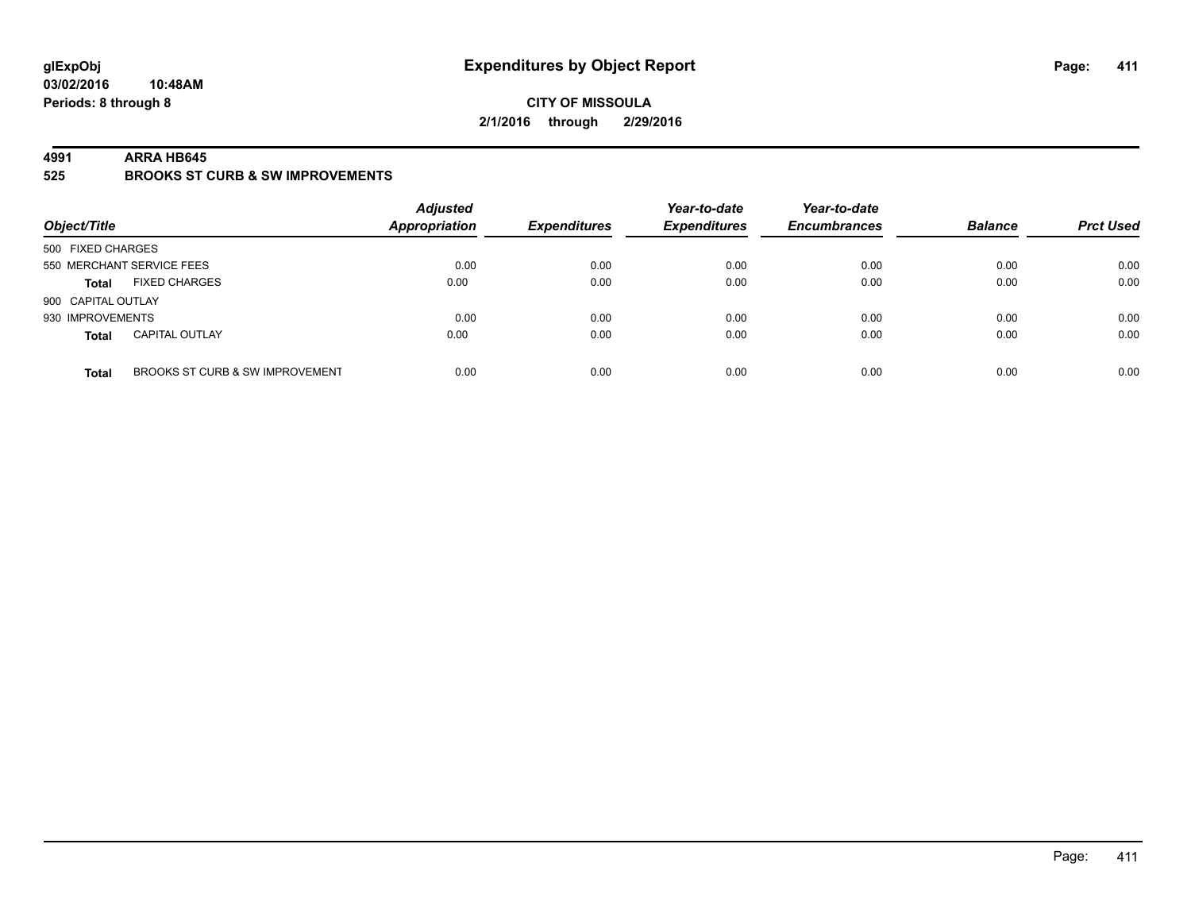#### **CITY OF MISSOULA 2/1/2016 through 2/29/2016**

#### **4991 ARRA HB645**

**525 BROOKS ST CURB & SW IMPROVEMENTS**

| Object/Title       |                                 | <b>Adjusted</b><br><b>Appropriation</b> | <b>Expenditures</b> | Year-to-date<br><b>Expenditures</b> | Year-to-date<br><b>Encumbrances</b> | <b>Balance</b> | <b>Prct Used</b> |
|--------------------|---------------------------------|-----------------------------------------|---------------------|-------------------------------------|-------------------------------------|----------------|------------------|
| 500 FIXED CHARGES  |                                 |                                         |                     |                                     |                                     |                |                  |
|                    | 550 MERCHANT SERVICE FEES       | 0.00                                    | 0.00                | 0.00                                | 0.00                                | 0.00           | 0.00             |
| <b>Total</b>       | <b>FIXED CHARGES</b>            | 0.00                                    | 0.00                | 0.00                                | 0.00                                | 0.00           | 0.00             |
| 900 CAPITAL OUTLAY |                                 |                                         |                     |                                     |                                     |                |                  |
| 930 IMPROVEMENTS   |                                 | 0.00                                    | 0.00                | 0.00                                | 0.00                                | 0.00           | 0.00             |
| <b>Total</b>       | <b>CAPITAL OUTLAY</b>           | 0.00                                    | 0.00                | 0.00                                | 0.00                                | 0.00           | 0.00             |
| <b>Total</b>       | BROOKS ST CURB & SW IMPROVEMENT | 0.00                                    | 0.00                | 0.00                                | 0.00                                | 0.00           | 0.00             |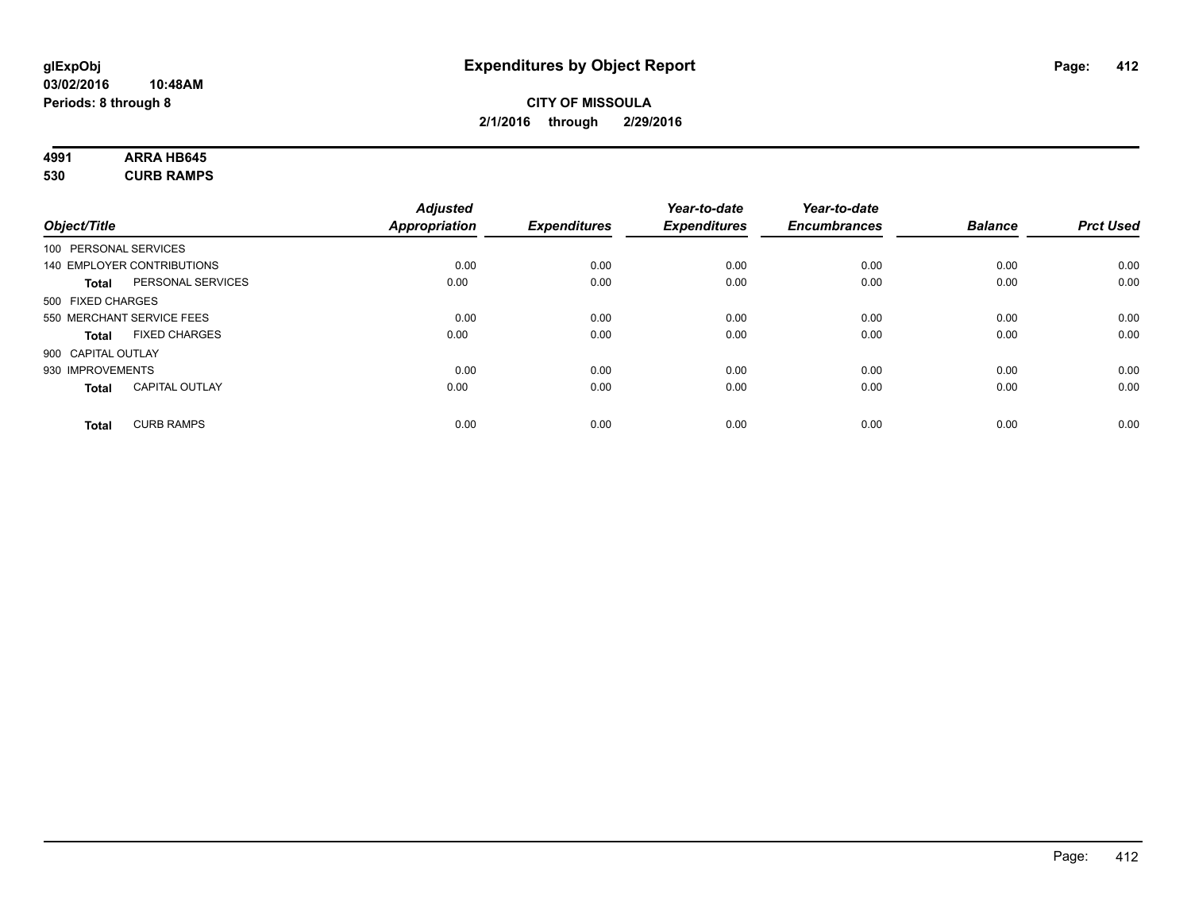# **4991 ARRA HB645**

**530 CURB RAMPS**

|                       |                            | <b>Adjusted</b> |                     | Year-to-date        | Year-to-date        |                |                  |
|-----------------------|----------------------------|-----------------|---------------------|---------------------|---------------------|----------------|------------------|
| Object/Title          |                            | Appropriation   | <b>Expenditures</b> | <b>Expenditures</b> | <b>Encumbrances</b> | <b>Balance</b> | <b>Prct Used</b> |
| 100 PERSONAL SERVICES |                            |                 |                     |                     |                     |                |                  |
|                       | 140 EMPLOYER CONTRIBUTIONS | 0.00            | 0.00                | 0.00                | 0.00                | 0.00           | 0.00             |
| <b>Total</b>          | PERSONAL SERVICES          | 0.00            | 0.00                | 0.00                | 0.00                | 0.00           | 0.00             |
| 500 FIXED CHARGES     |                            |                 |                     |                     |                     |                |                  |
|                       | 550 MERCHANT SERVICE FEES  | 0.00            | 0.00                | 0.00                | 0.00                | 0.00           | 0.00             |
| <b>Total</b>          | <b>FIXED CHARGES</b>       | 0.00            | 0.00                | 0.00                | 0.00                | 0.00           | 0.00             |
| 900 CAPITAL OUTLAY    |                            |                 |                     |                     |                     |                |                  |
| 930 IMPROVEMENTS      |                            | 0.00            | 0.00                | 0.00                | 0.00                | 0.00           | 0.00             |
| <b>Total</b>          | <b>CAPITAL OUTLAY</b>      | 0.00            | 0.00                | 0.00                | 0.00                | 0.00           | 0.00             |
| <b>Total</b>          | <b>CURB RAMPS</b>          | 0.00            | 0.00                | 0.00                | 0.00                | 0.00           | 0.00             |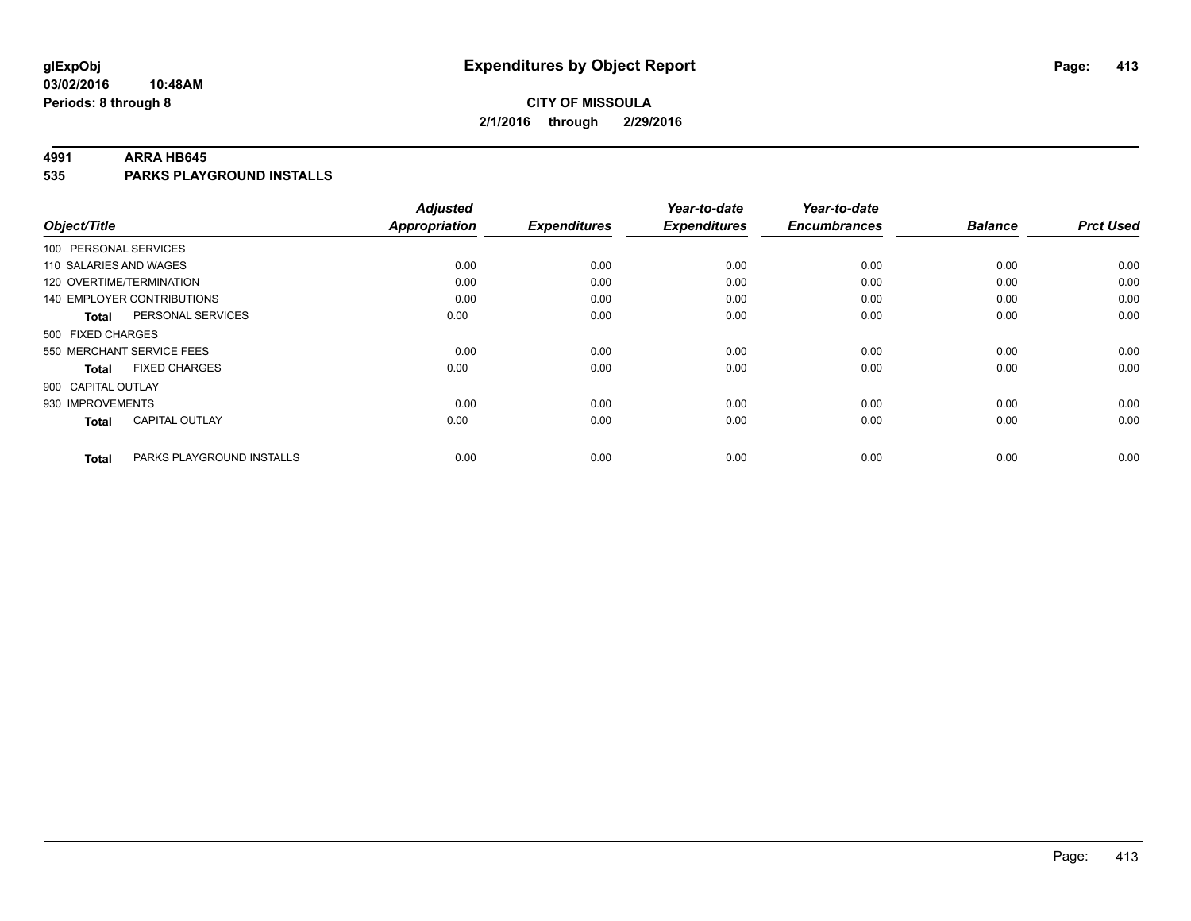## **CITY OF MISSOULA 2/1/2016 through 2/29/2016**

#### **4991 ARRA HB645**

**535 PARKS PLAYGROUND INSTALLS**

| Object/Title              |                                   | <b>Adjusted</b><br><b>Appropriation</b> | <b>Expenditures</b> | Year-to-date<br><b>Expenditures</b> | Year-to-date<br><b>Encumbrances</b> | <b>Balance</b> | <b>Prct Used</b> |
|---------------------------|-----------------------------------|-----------------------------------------|---------------------|-------------------------------------|-------------------------------------|----------------|------------------|
|                           |                                   |                                         |                     |                                     |                                     |                |                  |
| 100 PERSONAL SERVICES     |                                   |                                         |                     |                                     |                                     |                |                  |
| 110 SALARIES AND WAGES    |                                   | 0.00                                    | 0.00                | 0.00                                | 0.00                                | 0.00           | 0.00             |
| 120 OVERTIME/TERMINATION  |                                   | 0.00                                    | 0.00                | 0.00                                | 0.00                                | 0.00           | 0.00             |
|                           | <b>140 EMPLOYER CONTRIBUTIONS</b> | 0.00                                    | 0.00                | 0.00                                | 0.00                                | 0.00           | 0.00             |
| <b>Total</b>              | PERSONAL SERVICES                 | 0.00                                    | 0.00                | 0.00                                | 0.00                                | 0.00           | 0.00             |
| 500 FIXED CHARGES         |                                   |                                         |                     |                                     |                                     |                |                  |
| 550 MERCHANT SERVICE FEES |                                   | 0.00                                    | 0.00                | 0.00                                | 0.00                                | 0.00           | 0.00             |
| <b>Total</b>              | <b>FIXED CHARGES</b>              | 0.00                                    | 0.00                | 0.00                                | 0.00                                | 0.00           | 0.00             |
| 900 CAPITAL OUTLAY        |                                   |                                         |                     |                                     |                                     |                |                  |
| 930 IMPROVEMENTS          |                                   | 0.00                                    | 0.00                | 0.00                                | 0.00                                | 0.00           | 0.00             |
| <b>Total</b>              | <b>CAPITAL OUTLAY</b>             | 0.00                                    | 0.00                | 0.00                                | 0.00                                | 0.00           | 0.00             |
| <b>Total</b>              | PARKS PLAYGROUND INSTALLS         | 0.00                                    | 0.00                | 0.00                                | 0.00                                | 0.00           | 0.00             |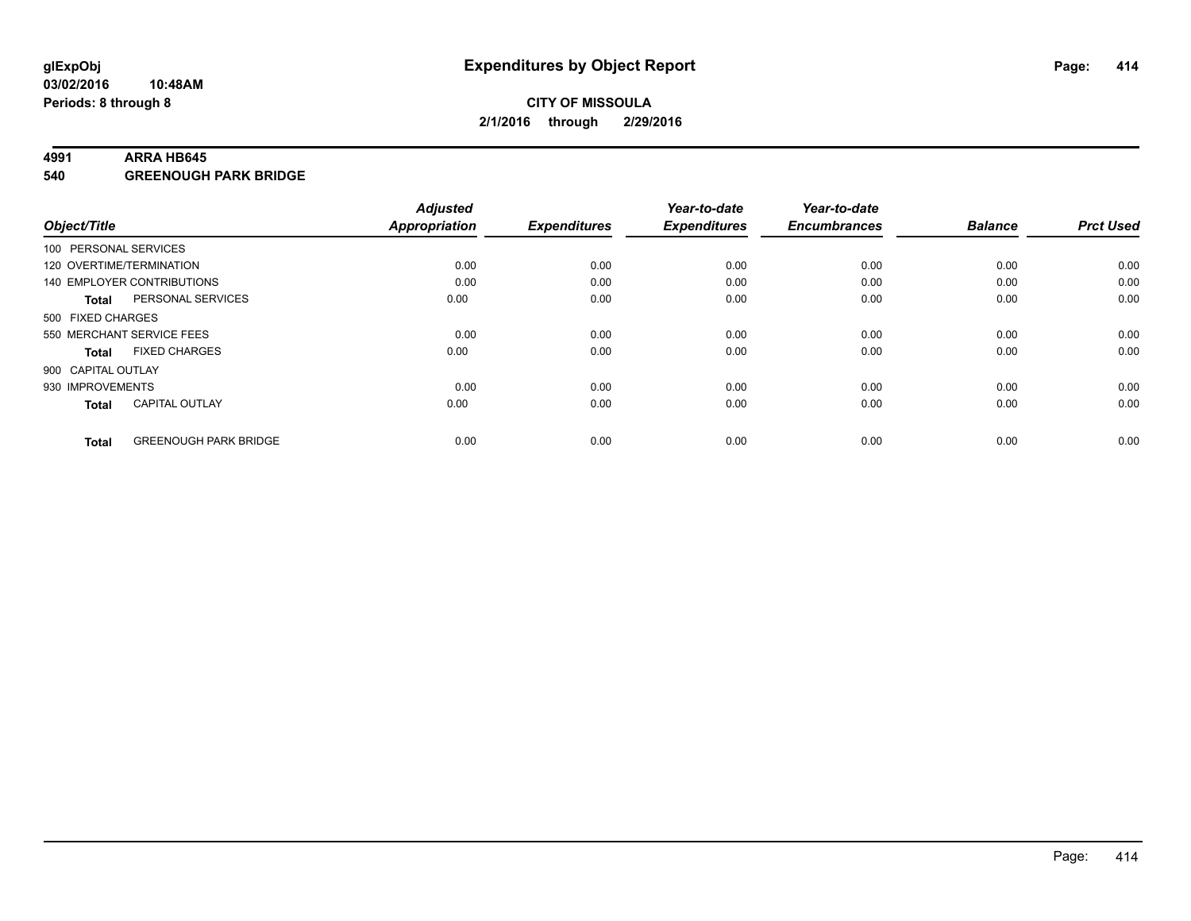#### **4991 ARRA HB645**

**540 GREENOUGH PARK BRIDGE**

| Object/Title       |                              | <b>Adjusted</b><br><b>Appropriation</b> | <b>Expenditures</b> | Year-to-date<br><b>Expenditures</b> | Year-to-date<br><b>Encumbrances</b> | <b>Balance</b> | <b>Prct Used</b> |
|--------------------|------------------------------|-----------------------------------------|---------------------|-------------------------------------|-------------------------------------|----------------|------------------|
|                    | 100 PERSONAL SERVICES        |                                         |                     |                                     |                                     |                |                  |
|                    | 120 OVERTIME/TERMINATION     | 0.00                                    | 0.00                | 0.00                                | 0.00                                | 0.00           | 0.00             |
|                    | 140 EMPLOYER CONTRIBUTIONS   | 0.00                                    | 0.00                | 0.00                                | 0.00                                | 0.00           | 0.00             |
| Total              | PERSONAL SERVICES            | 0.00                                    | 0.00                | 0.00                                | 0.00                                | 0.00           | 0.00             |
| 500 FIXED CHARGES  |                              |                                         |                     |                                     |                                     |                |                  |
|                    | 550 MERCHANT SERVICE FEES    | 0.00                                    | 0.00                | 0.00                                | 0.00                                | 0.00           | 0.00             |
| <b>Total</b>       | <b>FIXED CHARGES</b>         | 0.00                                    | 0.00                | 0.00                                | 0.00                                | 0.00           | 0.00             |
| 900 CAPITAL OUTLAY |                              |                                         |                     |                                     |                                     |                |                  |
| 930 IMPROVEMENTS   |                              | 0.00                                    | 0.00                | 0.00                                | 0.00                                | 0.00           | 0.00             |
| <b>Total</b>       | <b>CAPITAL OUTLAY</b>        | 0.00                                    | 0.00                | 0.00                                | 0.00                                | 0.00           | 0.00             |
| <b>Total</b>       | <b>GREENOUGH PARK BRIDGE</b> | 0.00                                    | 0.00                | 0.00                                | 0.00                                | 0.00           | 0.00             |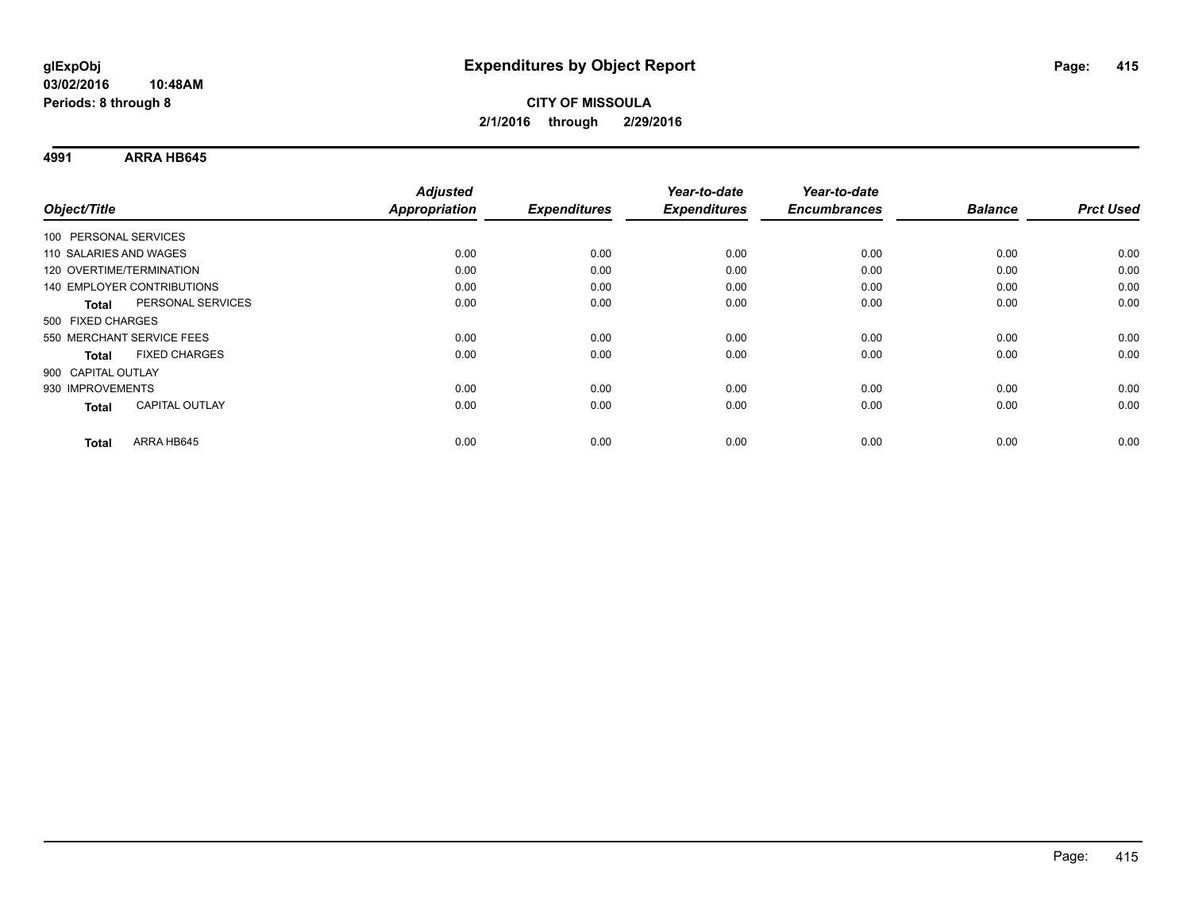**4991 ARRA HB645**

|                                       | <b>Adjusted</b>      |                     | Year-to-date        | Year-to-date        |                |                  |
|---------------------------------------|----------------------|---------------------|---------------------|---------------------|----------------|------------------|
| Object/Title                          | <b>Appropriation</b> | <b>Expenditures</b> | <b>Expenditures</b> | <b>Encumbrances</b> | <b>Balance</b> | <b>Prct Used</b> |
| 100 PERSONAL SERVICES                 |                      |                     |                     |                     |                |                  |
| 110 SALARIES AND WAGES                | 0.00                 | 0.00                | 0.00                | 0.00                | 0.00           | 0.00             |
| 120 OVERTIME/TERMINATION              | 0.00                 | 0.00                | 0.00                | 0.00                | 0.00           | 0.00             |
| 140 EMPLOYER CONTRIBUTIONS            | 0.00                 | 0.00                | 0.00                | 0.00                | 0.00           | 0.00             |
| PERSONAL SERVICES<br><b>Total</b>     | 0.00                 | 0.00                | 0.00                | 0.00                | 0.00           | 0.00             |
| 500 FIXED CHARGES                     |                      |                     |                     |                     |                |                  |
| 550 MERCHANT SERVICE FEES             | 0.00                 | 0.00                | 0.00                | 0.00                | 0.00           | 0.00             |
| <b>FIXED CHARGES</b><br><b>Total</b>  | 0.00                 | 0.00                | 0.00                | 0.00                | 0.00           | 0.00             |
| 900 CAPITAL OUTLAY                    |                      |                     |                     |                     |                |                  |
| 930 IMPROVEMENTS                      | 0.00                 | 0.00                | 0.00                | 0.00                | 0.00           | 0.00             |
| <b>CAPITAL OUTLAY</b><br><b>Total</b> | 0.00                 | 0.00                | 0.00                | 0.00                | 0.00           | 0.00             |
| ARRA HB645<br><b>Total</b>            | 0.00                 | 0.00                | 0.00                | 0.00                | 0.00           | 0.00             |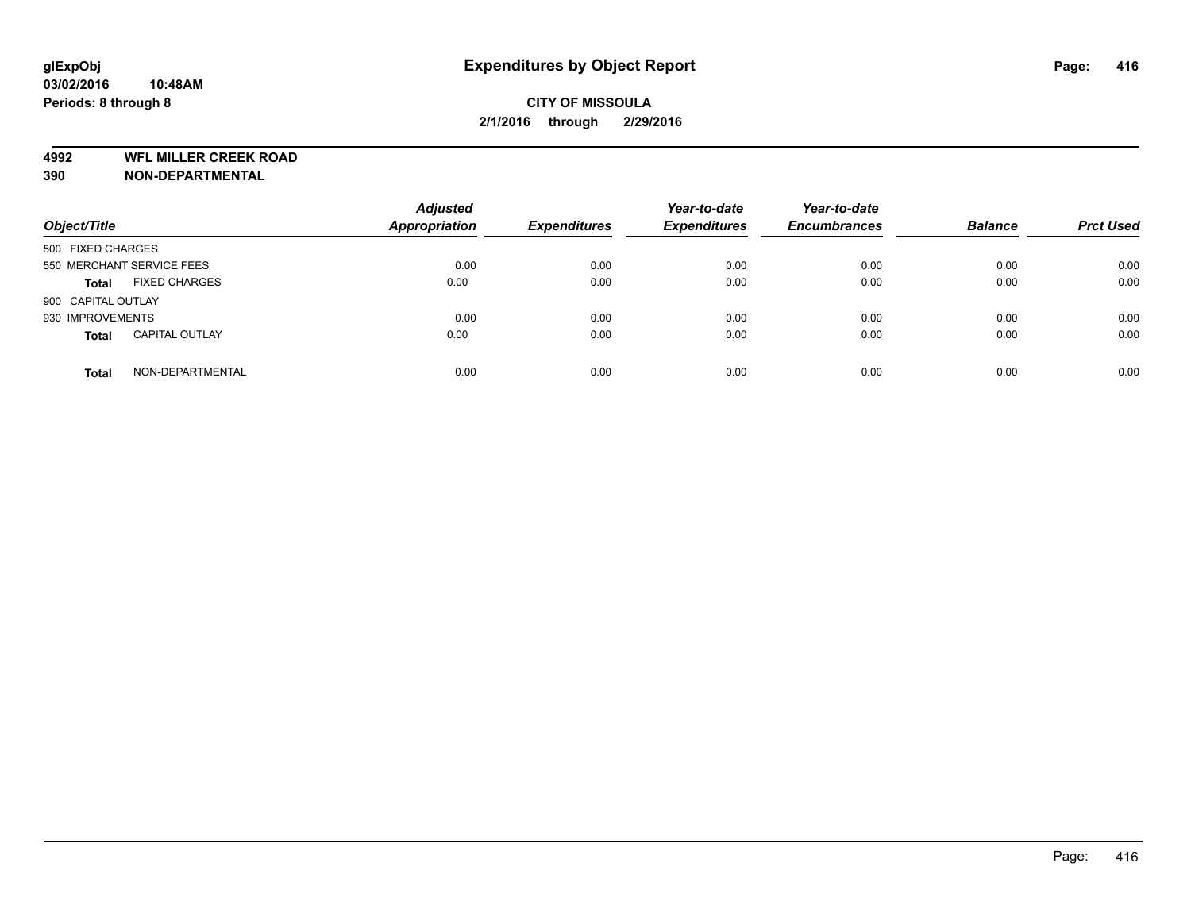**4992 WFL MILLER CREEK ROAD**

**390 NON-DEPARTMENTAL**

| Object/Title              |                       | <b>Adjusted</b><br><b>Appropriation</b> | <b>Expenditures</b> | Year-to-date<br><b>Expenditures</b> | Year-to-date<br><b>Encumbrances</b> | <b>Balance</b> | <b>Prct Used</b> |
|---------------------------|-----------------------|-----------------------------------------|---------------------|-------------------------------------|-------------------------------------|----------------|------------------|
| 500 FIXED CHARGES         |                       |                                         |                     |                                     |                                     |                |                  |
| 550 MERCHANT SERVICE FEES |                       | 0.00                                    | 0.00                | 0.00                                | 0.00                                | 0.00           | 0.00             |
| <b>Total</b>              | <b>FIXED CHARGES</b>  | 0.00                                    | 0.00                | 0.00                                | 0.00                                | 0.00           | 0.00             |
| 900 CAPITAL OUTLAY        |                       |                                         |                     |                                     |                                     |                |                  |
| 930 IMPROVEMENTS          |                       | 0.00                                    | 0.00                | 0.00                                | 0.00                                | 0.00           | 0.00             |
| <b>Total</b>              | <b>CAPITAL OUTLAY</b> | 0.00                                    | 0.00                | 0.00                                | 0.00                                | 0.00           | 0.00             |
| <b>Total</b>              | NON-DEPARTMENTAL      | 0.00                                    | 0.00                | 0.00                                | 0.00                                | 0.00           | 0.00             |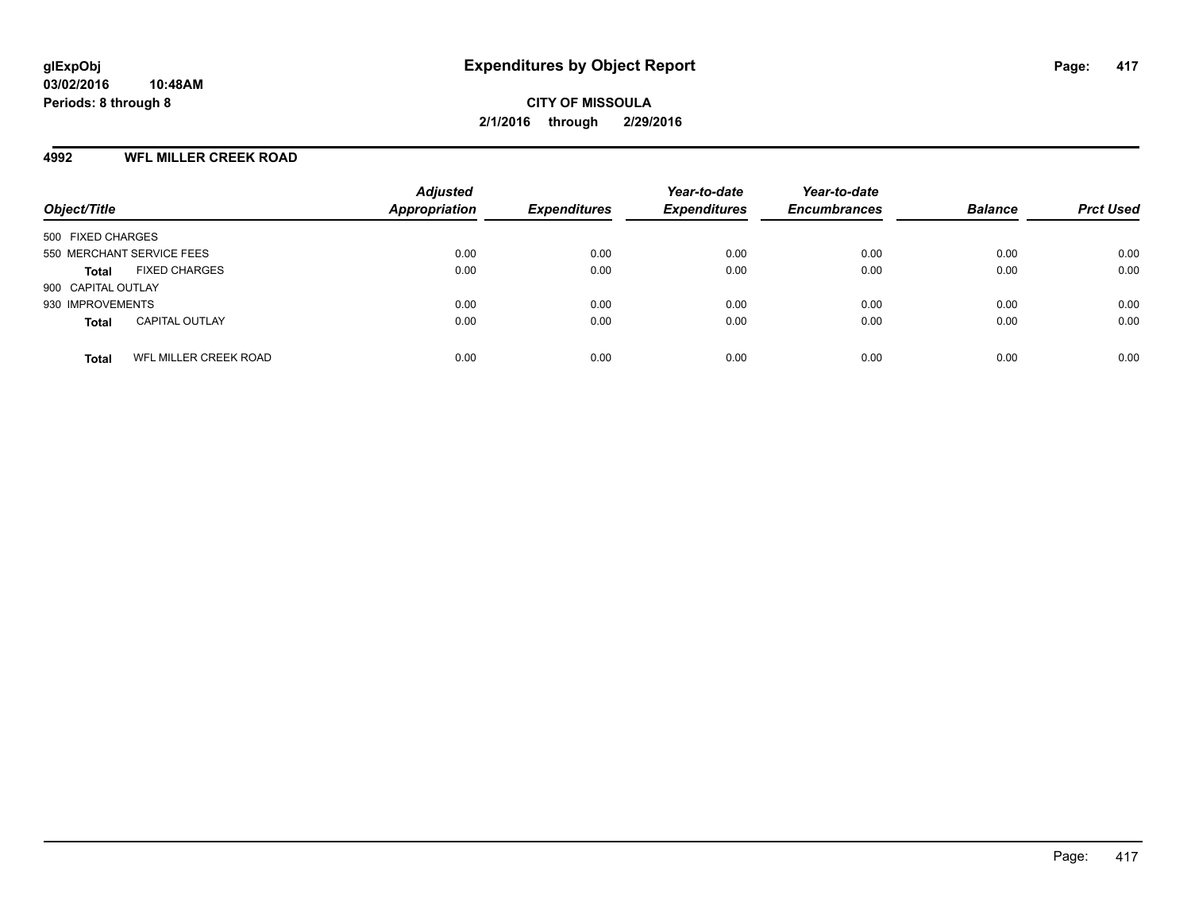#### **4992 WFL MILLER CREEK ROAD**

| Object/Title                                 | <b>Adjusted</b><br><b>Appropriation</b> | <b>Expenditures</b> | Year-to-date<br><b>Expenditures</b> | Year-to-date<br><b>Encumbrances</b> | <b>Balance</b> | <b>Prct Used</b> |
|----------------------------------------------|-----------------------------------------|---------------------|-------------------------------------|-------------------------------------|----------------|------------------|
| 500 FIXED CHARGES                            |                                         |                     |                                     |                                     |                |                  |
| 550 MERCHANT SERVICE FEES                    | 0.00                                    | 0.00                | 0.00                                | 0.00                                | 0.00           | 0.00             |
| <b>FIXED CHARGES</b><br><b>Total</b>         | 0.00                                    | 0.00                | 0.00                                | 0.00                                | 0.00           | 0.00             |
| 900 CAPITAL OUTLAY                           |                                         |                     |                                     |                                     |                |                  |
| 930 IMPROVEMENTS                             | 0.00                                    | 0.00                | 0.00                                | 0.00                                | 0.00           | 0.00             |
| <b>CAPITAL OUTLAY</b><br><b>Total</b>        | 0.00                                    | 0.00                | 0.00                                | 0.00                                | 0.00           | 0.00             |
| <b>WFL MILLER CREEK ROAD</b><br><b>Total</b> | 0.00                                    | 0.00                | 0.00                                | 0.00                                | 0.00           | 0.00             |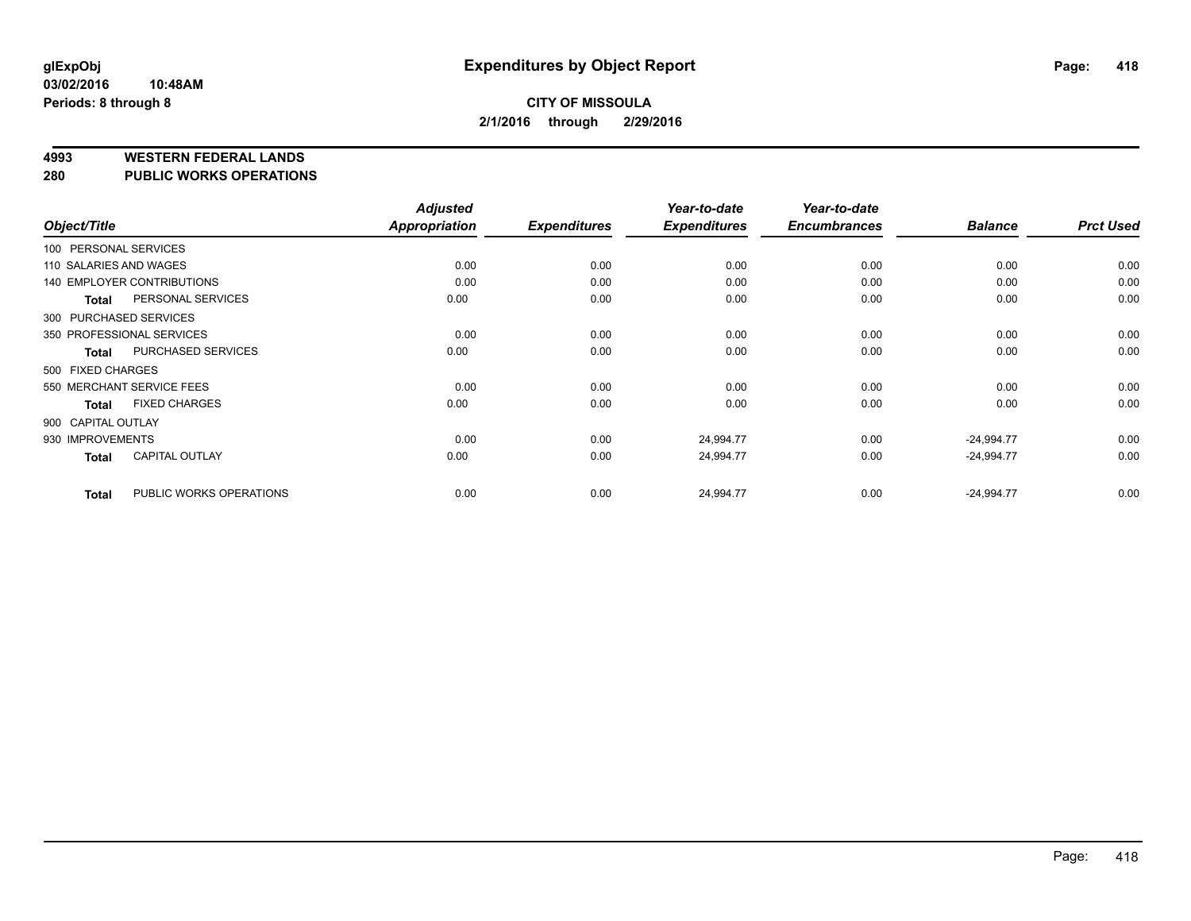## **CITY OF MISSOULA 2/1/2016 through 2/29/2016**

#### **4993 WESTERN FEDERAL LANDS**

**280 PUBLIC WORKS OPERATIONS**

|                        |                                   | <b>Adjusted</b> |                     | Year-to-date        | Year-to-date        |                |                  |
|------------------------|-----------------------------------|-----------------|---------------------|---------------------|---------------------|----------------|------------------|
| Object/Title           |                                   | Appropriation   | <b>Expenditures</b> | <b>Expenditures</b> | <b>Encumbrances</b> | <b>Balance</b> | <b>Prct Used</b> |
| 100 PERSONAL SERVICES  |                                   |                 |                     |                     |                     |                |                  |
| 110 SALARIES AND WAGES |                                   | 0.00            | 0.00                | 0.00                | 0.00                | 0.00           | 0.00             |
|                        | <b>140 EMPLOYER CONTRIBUTIONS</b> | 0.00            | 0.00                | 0.00                | 0.00                | 0.00           | 0.00             |
| <b>Total</b>           | PERSONAL SERVICES                 | 0.00            | 0.00                | 0.00                | 0.00                | 0.00           | 0.00             |
| 300 PURCHASED SERVICES |                                   |                 |                     |                     |                     |                |                  |
|                        | 350 PROFESSIONAL SERVICES         | 0.00            | 0.00                | 0.00                | 0.00                | 0.00           | 0.00             |
| <b>Total</b>           | PURCHASED SERVICES                | 0.00            | 0.00                | 0.00                | 0.00                | 0.00           | 0.00             |
| 500 FIXED CHARGES      |                                   |                 |                     |                     |                     |                |                  |
|                        | 550 MERCHANT SERVICE FEES         | 0.00            | 0.00                | 0.00                | 0.00                | 0.00           | 0.00             |
| <b>Total</b>           | <b>FIXED CHARGES</b>              | 0.00            | 0.00                | 0.00                | 0.00                | 0.00           | 0.00             |
| 900 CAPITAL OUTLAY     |                                   |                 |                     |                     |                     |                |                  |
| 930 IMPROVEMENTS       |                                   | 0.00            | 0.00                | 24,994.77           | 0.00                | $-24,994.77$   | 0.00             |
| <b>Total</b>           | <b>CAPITAL OUTLAY</b>             | 0.00            | 0.00                | 24,994.77           | 0.00                | $-24,994.77$   | 0.00             |
| <b>Total</b>           | PUBLIC WORKS OPERATIONS           | 0.00            | 0.00                | 24,994.77           | 0.00                | $-24,994.77$   | 0.00             |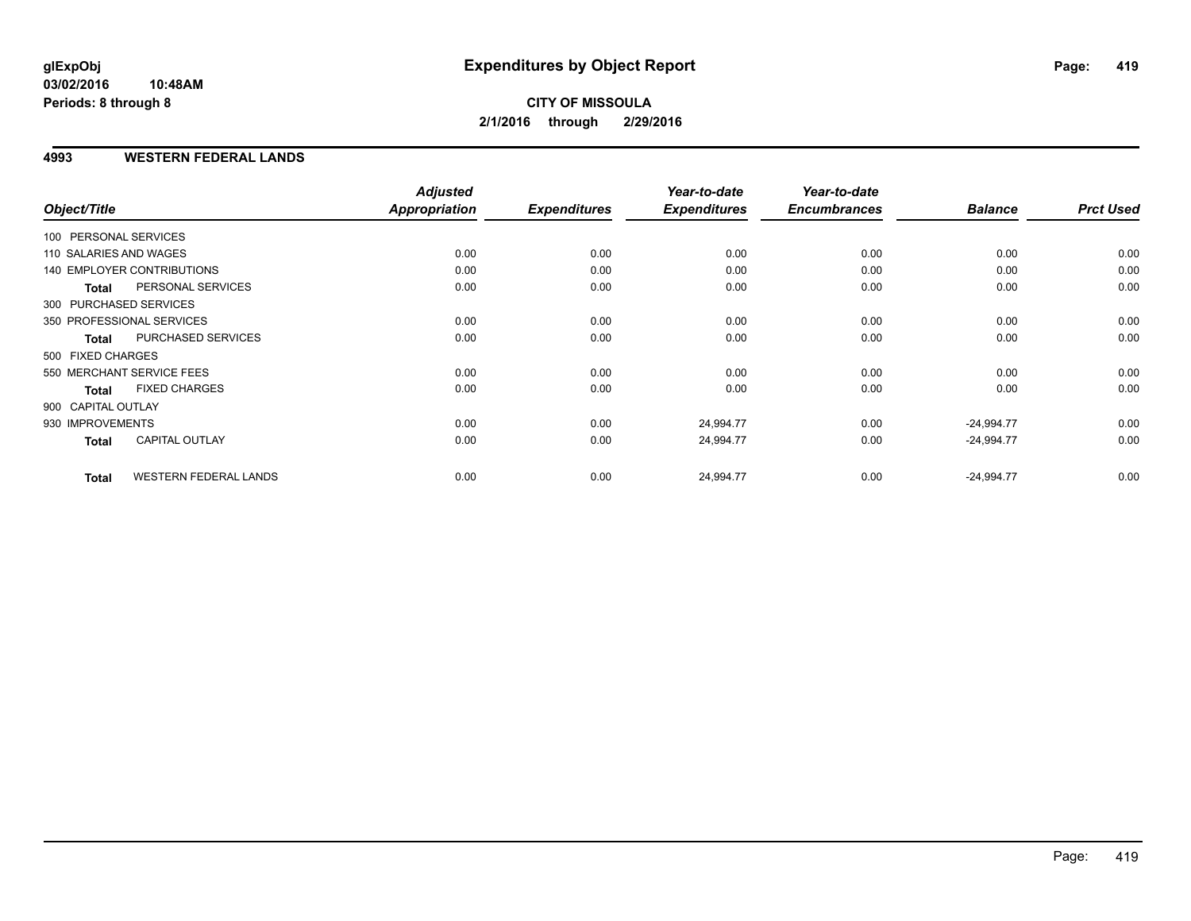## **CITY OF MISSOULA 2/1/2016 through 2/29/2016**

#### **4993 WESTERN FEDERAL LANDS**

|                        |                              | <b>Adjusted</b> |                     | Year-to-date        | Year-to-date        |                |                  |
|------------------------|------------------------------|-----------------|---------------------|---------------------|---------------------|----------------|------------------|
| Object/Title           |                              | Appropriation   | <b>Expenditures</b> | <b>Expenditures</b> | <b>Encumbrances</b> | <b>Balance</b> | <b>Prct Used</b> |
| 100 PERSONAL SERVICES  |                              |                 |                     |                     |                     |                |                  |
| 110 SALARIES AND WAGES |                              | 0.00            | 0.00                | 0.00                | 0.00                | 0.00           | 0.00             |
|                        | 140 EMPLOYER CONTRIBUTIONS   | 0.00            | 0.00                | 0.00                | 0.00                | 0.00           | 0.00             |
| <b>Total</b>           | PERSONAL SERVICES            | 0.00            | 0.00                | 0.00                | 0.00                | 0.00           | 0.00             |
|                        | 300 PURCHASED SERVICES       |                 |                     |                     |                     |                |                  |
|                        | 350 PROFESSIONAL SERVICES    | 0.00            | 0.00                | 0.00                | 0.00                | 0.00           | 0.00             |
| <b>Total</b>           | PURCHASED SERVICES           | 0.00            | 0.00                | 0.00                | 0.00                | 0.00           | 0.00             |
| 500 FIXED CHARGES      |                              |                 |                     |                     |                     |                |                  |
|                        | 550 MERCHANT SERVICE FEES    | 0.00            | 0.00                | 0.00                | 0.00                | 0.00           | 0.00             |
| <b>Total</b>           | <b>FIXED CHARGES</b>         | 0.00            | 0.00                | 0.00                | 0.00                | 0.00           | 0.00             |
| 900 CAPITAL OUTLAY     |                              |                 |                     |                     |                     |                |                  |
| 930 IMPROVEMENTS       |                              | 0.00            | 0.00                | 24,994.77           | 0.00                | $-24,994.77$   | 0.00             |
| Total                  | CAPITAL OUTLAY               | 0.00            | 0.00                | 24,994.77           | 0.00                | $-24,994.77$   | 0.00             |
| <b>Total</b>           | <b>WESTERN FEDERAL LANDS</b> | 0.00            | 0.00                | 24,994.77           | 0.00                | $-24,994.77$   | 0.00             |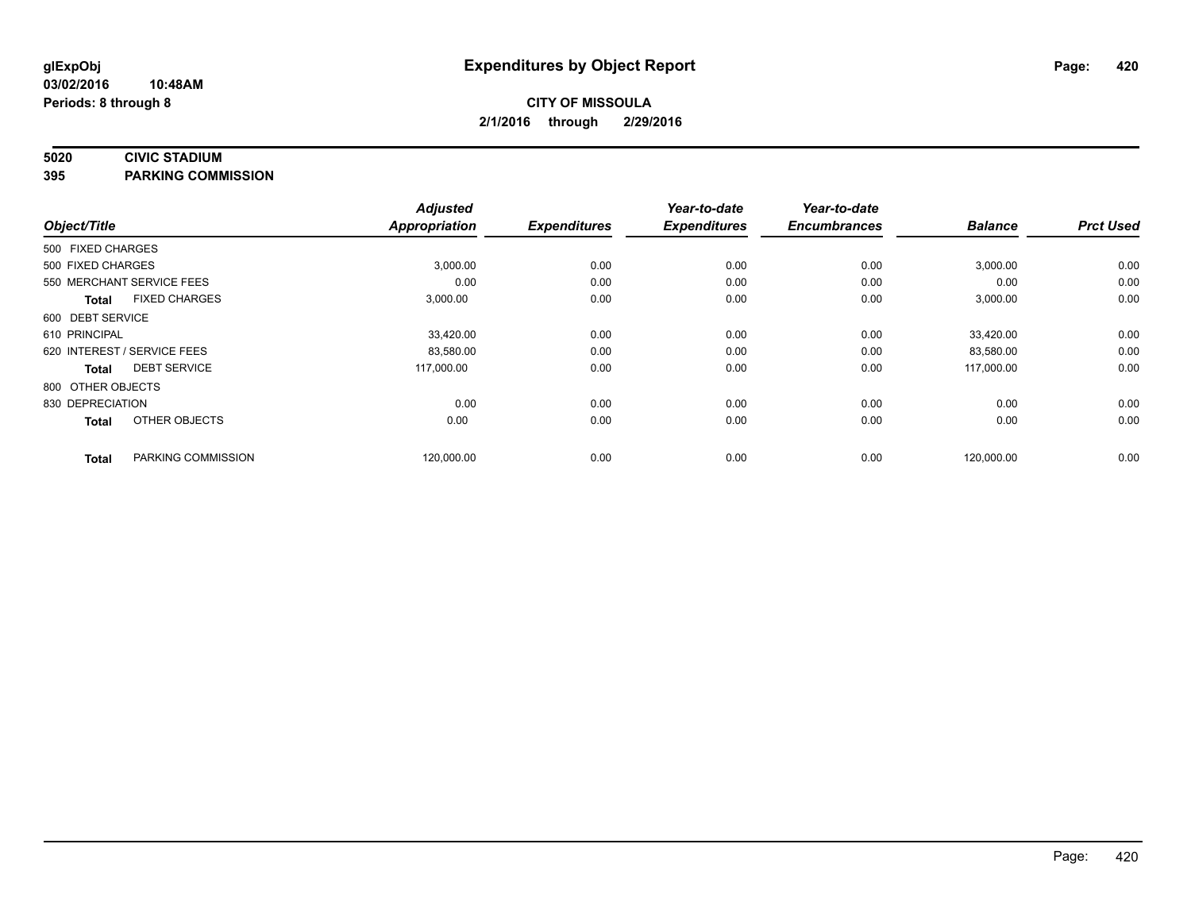#### **5020 CIVIC STADIUM**

**395 PARKING COMMISSION**

| Object/Title      |                             | <b>Adjusted</b><br><b>Appropriation</b> | <b>Expenditures</b> | Year-to-date<br><b>Expenditures</b> | Year-to-date<br><b>Encumbrances</b> | <b>Balance</b> | <b>Prct Used</b> |
|-------------------|-----------------------------|-----------------------------------------|---------------------|-------------------------------------|-------------------------------------|----------------|------------------|
|                   |                             |                                         |                     |                                     |                                     |                |                  |
| 500 FIXED CHARGES |                             |                                         |                     |                                     |                                     |                |                  |
| 500 FIXED CHARGES |                             | 3,000.00                                | 0.00                | 0.00                                | 0.00                                | 3,000.00       | 0.00             |
|                   | 550 MERCHANT SERVICE FEES   | 0.00                                    | 0.00                | 0.00                                | 0.00                                | 0.00           | 0.00             |
| <b>Total</b>      | <b>FIXED CHARGES</b>        | 3,000.00                                | 0.00                | 0.00                                | 0.00                                | 3,000.00       | 0.00             |
| 600 DEBT SERVICE  |                             |                                         |                     |                                     |                                     |                |                  |
| 610 PRINCIPAL     |                             | 33,420.00                               | 0.00                | 0.00                                | 0.00                                | 33,420.00      | 0.00             |
|                   | 620 INTEREST / SERVICE FEES | 83,580.00                               | 0.00                | 0.00                                | 0.00                                | 83,580.00      | 0.00             |
| <b>Total</b>      | <b>DEBT SERVICE</b>         | 117,000.00                              | 0.00                | 0.00                                | 0.00                                | 117,000.00     | 0.00             |
| 800 OTHER OBJECTS |                             |                                         |                     |                                     |                                     |                |                  |
| 830 DEPRECIATION  |                             | 0.00                                    | 0.00                | 0.00                                | 0.00                                | 0.00           | 0.00             |
| <b>Total</b>      | OTHER OBJECTS               | 0.00                                    | 0.00                | 0.00                                | 0.00                                | 0.00           | 0.00             |
| <b>Total</b>      | PARKING COMMISSION          | 120,000.00                              | 0.00                | 0.00                                | 0.00                                | 120,000.00     | 0.00             |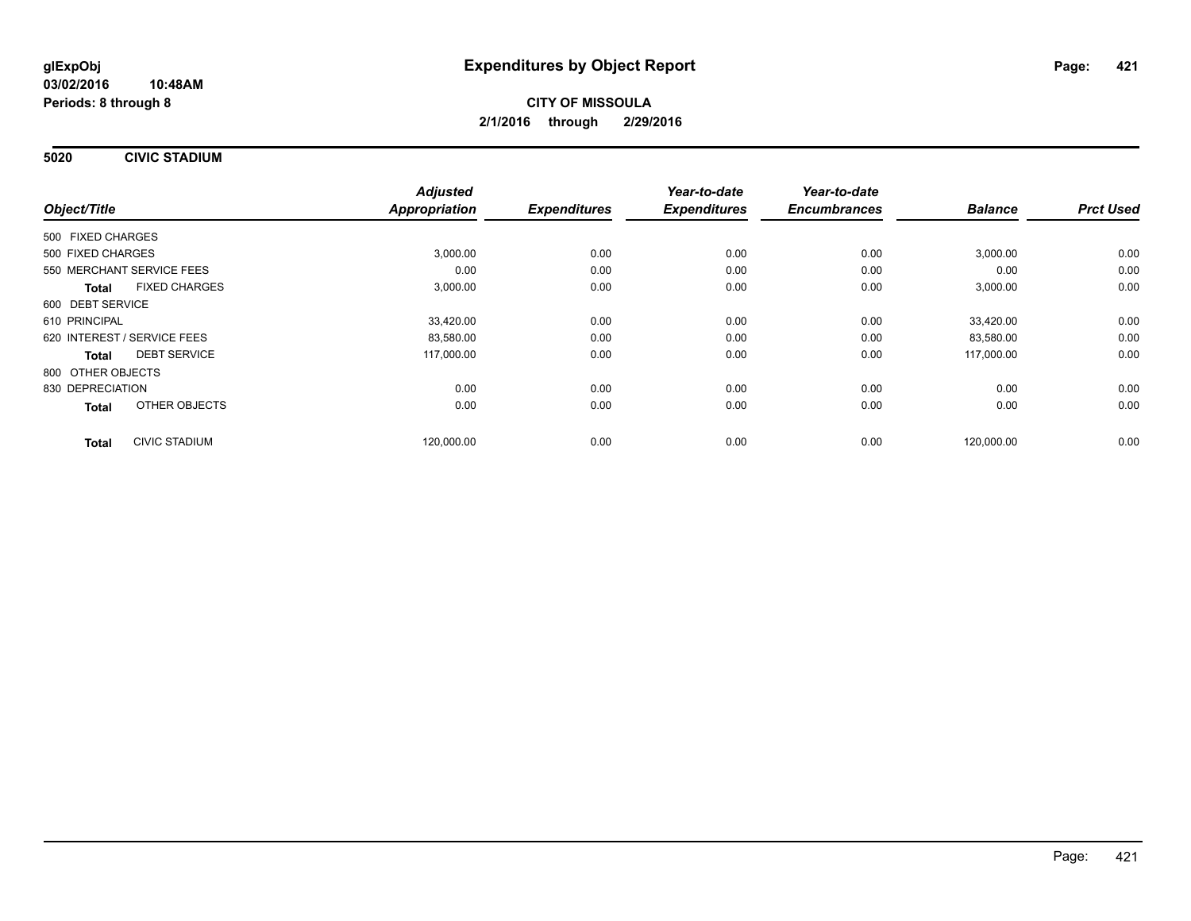**5020 CIVIC STADIUM**

|                                      | <b>Adjusted</b> |                     | Year-to-date        | Year-to-date        |                |                  |
|--------------------------------------|-----------------|---------------------|---------------------|---------------------|----------------|------------------|
| Object/Title                         | Appropriation   | <b>Expenditures</b> | <b>Expenditures</b> | <b>Encumbrances</b> | <b>Balance</b> | <b>Prct Used</b> |
| 500 FIXED CHARGES                    |                 |                     |                     |                     |                |                  |
| 500 FIXED CHARGES                    | 3,000.00        | 0.00                | 0.00                | 0.00                | 3,000.00       | 0.00             |
| 550 MERCHANT SERVICE FEES            | 0.00            | 0.00                | 0.00                | 0.00                | 0.00           | 0.00             |
| <b>FIXED CHARGES</b><br><b>Total</b> | 3,000.00        | 0.00                | 0.00                | 0.00                | 3,000.00       | 0.00             |
| 600 DEBT SERVICE                     |                 |                     |                     |                     |                |                  |
| 610 PRINCIPAL                        | 33,420.00       | 0.00                | 0.00                | 0.00                | 33.420.00      | 0.00             |
| 620 INTEREST / SERVICE FEES          | 83,580.00       | 0.00                | 0.00                | 0.00                | 83,580.00      | 0.00             |
| <b>DEBT SERVICE</b><br>Total         | 117,000.00      | 0.00                | 0.00                | 0.00                | 117,000.00     | 0.00             |
| 800 OTHER OBJECTS                    |                 |                     |                     |                     |                |                  |
| 830 DEPRECIATION                     | 0.00            | 0.00                | 0.00                | 0.00                | 0.00           | 0.00             |
| OTHER OBJECTS<br><b>Total</b>        | 0.00            | 0.00                | 0.00                | 0.00                | 0.00           | 0.00             |
| <b>CIVIC STADIUM</b><br><b>Total</b> | 120,000.00      | 0.00                | 0.00                | 0.00                | 120,000.00     | 0.00             |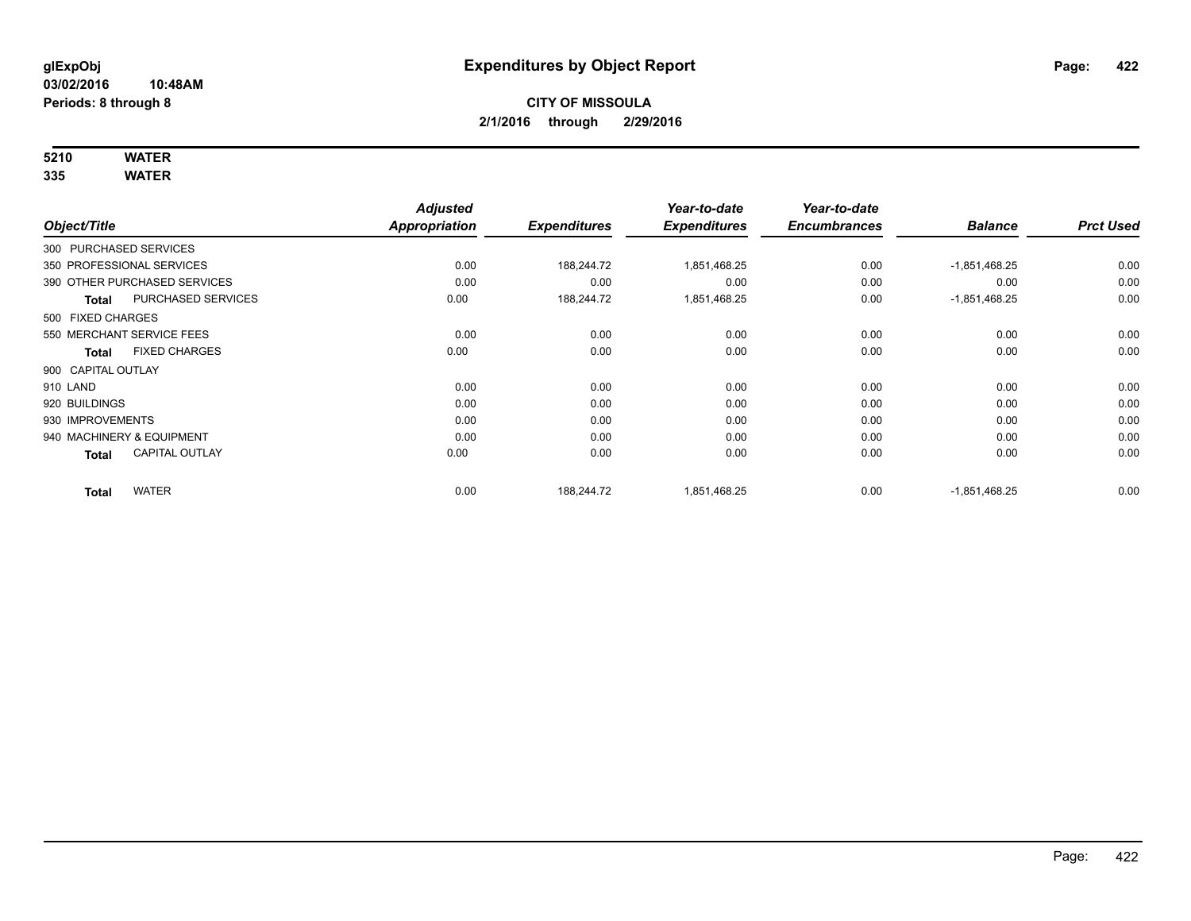# **5210 WATER**

|                        |                              | <b>Adjusted</b> |                     | Year-to-date        | Year-to-date        |                 |                  |
|------------------------|------------------------------|-----------------|---------------------|---------------------|---------------------|-----------------|------------------|
| Object/Title           |                              | Appropriation   | <b>Expenditures</b> | <b>Expenditures</b> | <b>Encumbrances</b> | <b>Balance</b>  | <b>Prct Used</b> |
| 300 PURCHASED SERVICES |                              |                 |                     |                     |                     |                 |                  |
|                        | 350 PROFESSIONAL SERVICES    | 0.00            | 188,244.72          | 1,851,468.25        | 0.00                | $-1,851,468.25$ | 0.00             |
|                        | 390 OTHER PURCHASED SERVICES | 0.00            | 0.00                | 0.00                | 0.00                | 0.00            | 0.00             |
| <b>Total</b>           | PURCHASED SERVICES           | 0.00            | 188,244.72          | 1,851,468.25        | 0.00                | $-1,851,468.25$ | 0.00             |
| 500 FIXED CHARGES      |                              |                 |                     |                     |                     |                 |                  |
|                        | 550 MERCHANT SERVICE FEES    | 0.00            | 0.00                | 0.00                | 0.00                | 0.00            | 0.00             |
| Total                  | <b>FIXED CHARGES</b>         | 0.00            | 0.00                | 0.00                | 0.00                | 0.00            | 0.00             |
| 900 CAPITAL OUTLAY     |                              |                 |                     |                     |                     |                 |                  |
| 910 LAND               |                              | 0.00            | 0.00                | 0.00                | 0.00                | 0.00            | 0.00             |
| 920 BUILDINGS          |                              | 0.00            | 0.00                | 0.00                | 0.00                | 0.00            | 0.00             |
| 930 IMPROVEMENTS       |                              | 0.00            | 0.00                | 0.00                | 0.00                | 0.00            | 0.00             |
|                        | 940 MACHINERY & EQUIPMENT    | 0.00            | 0.00                | 0.00                | 0.00                | 0.00            | 0.00             |
| <b>Total</b>           | <b>CAPITAL OUTLAY</b>        | 0.00            | 0.00                | 0.00                | 0.00                | 0.00            | 0.00             |
| <b>Total</b>           | <b>WATER</b>                 | 0.00            | 188.244.72          | 1,851,468.25        | 0.00                | $-1,851,468.25$ | 0.00             |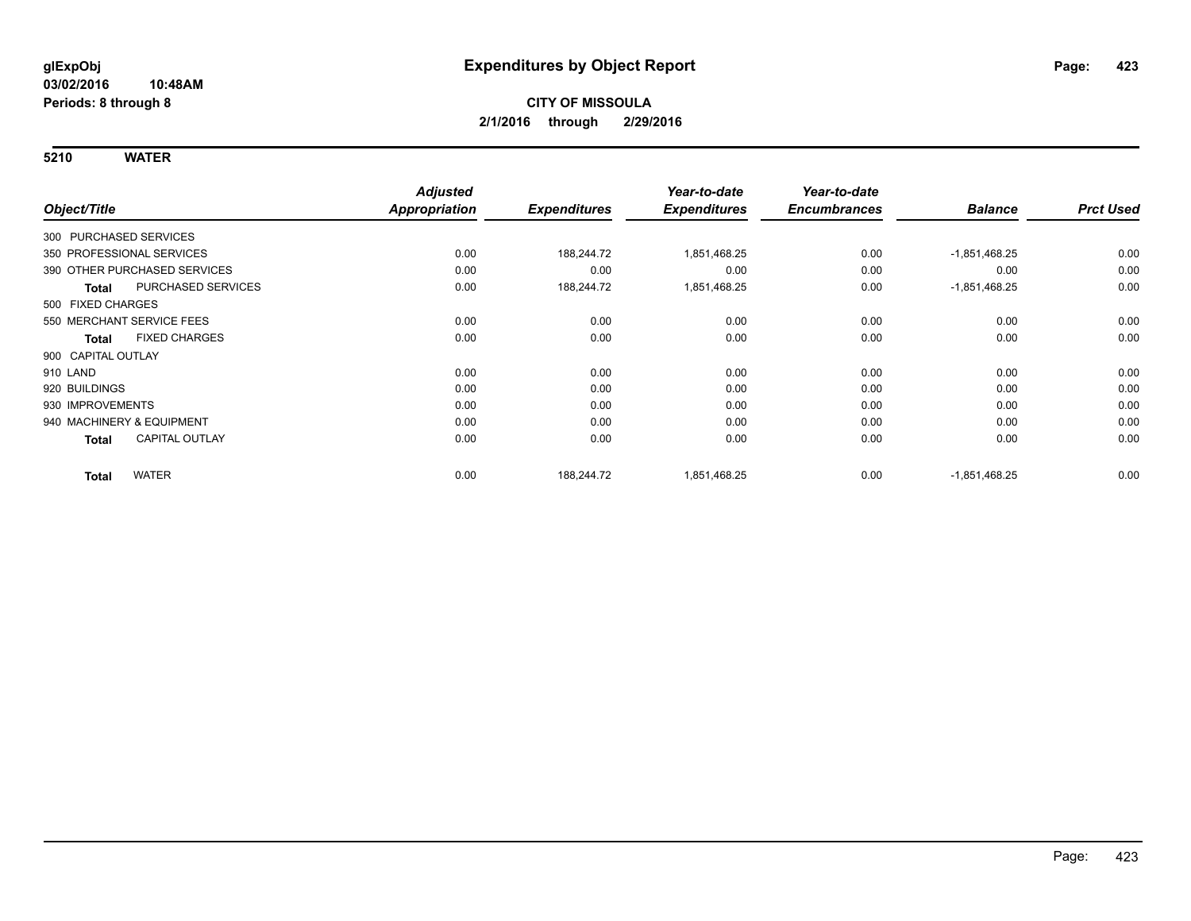|                        |                              | <b>Adjusted</b>      |                     | Year-to-date        | Year-to-date        |                 |                  |
|------------------------|------------------------------|----------------------|---------------------|---------------------|---------------------|-----------------|------------------|
| Object/Title           |                              | <b>Appropriation</b> | <b>Expenditures</b> | <b>Expenditures</b> | <b>Encumbrances</b> | <b>Balance</b>  | <b>Prct Used</b> |
| 300 PURCHASED SERVICES |                              |                      |                     |                     |                     |                 |                  |
|                        | 350 PROFESSIONAL SERVICES    | 0.00                 | 188,244.72          | 1,851,468.25        | 0.00                | $-1,851,468.25$ | 0.00             |
|                        | 390 OTHER PURCHASED SERVICES | 0.00                 | 0.00                | 0.00                | 0.00                | 0.00            | 0.00             |
| <b>Total</b>           | PURCHASED SERVICES           | 0.00                 | 188,244.72          | 1,851,468.25        | 0.00                | $-1,851,468.25$ | 0.00             |
| 500 FIXED CHARGES      |                              |                      |                     |                     |                     |                 |                  |
|                        | 550 MERCHANT SERVICE FEES    | 0.00                 | 0.00                | 0.00                | 0.00                | 0.00            | 0.00             |
| <b>Total</b>           | <b>FIXED CHARGES</b>         | 0.00                 | 0.00                | 0.00                | 0.00                | 0.00            | 0.00             |
| 900 CAPITAL OUTLAY     |                              |                      |                     |                     |                     |                 |                  |
| 910 LAND               |                              | 0.00                 | 0.00                | 0.00                | 0.00                | 0.00            | 0.00             |
| 920 BUILDINGS          |                              | 0.00                 | 0.00                | 0.00                | 0.00                | 0.00            | 0.00             |
| 930 IMPROVEMENTS       |                              | 0.00                 | 0.00                | 0.00                | 0.00                | 0.00            | 0.00             |
|                        | 940 MACHINERY & EQUIPMENT    | 0.00                 | 0.00                | 0.00                | 0.00                | 0.00            | 0.00             |
| <b>Total</b>           | CAPITAL OUTLAY               | 0.00                 | 0.00                | 0.00                | 0.00                | 0.00            | 0.00             |
| <b>Total</b>           | <b>WATER</b>                 | 0.00                 | 188,244.72          | 1,851,468.25        | 0.00                | $-1,851,468.25$ | 0.00             |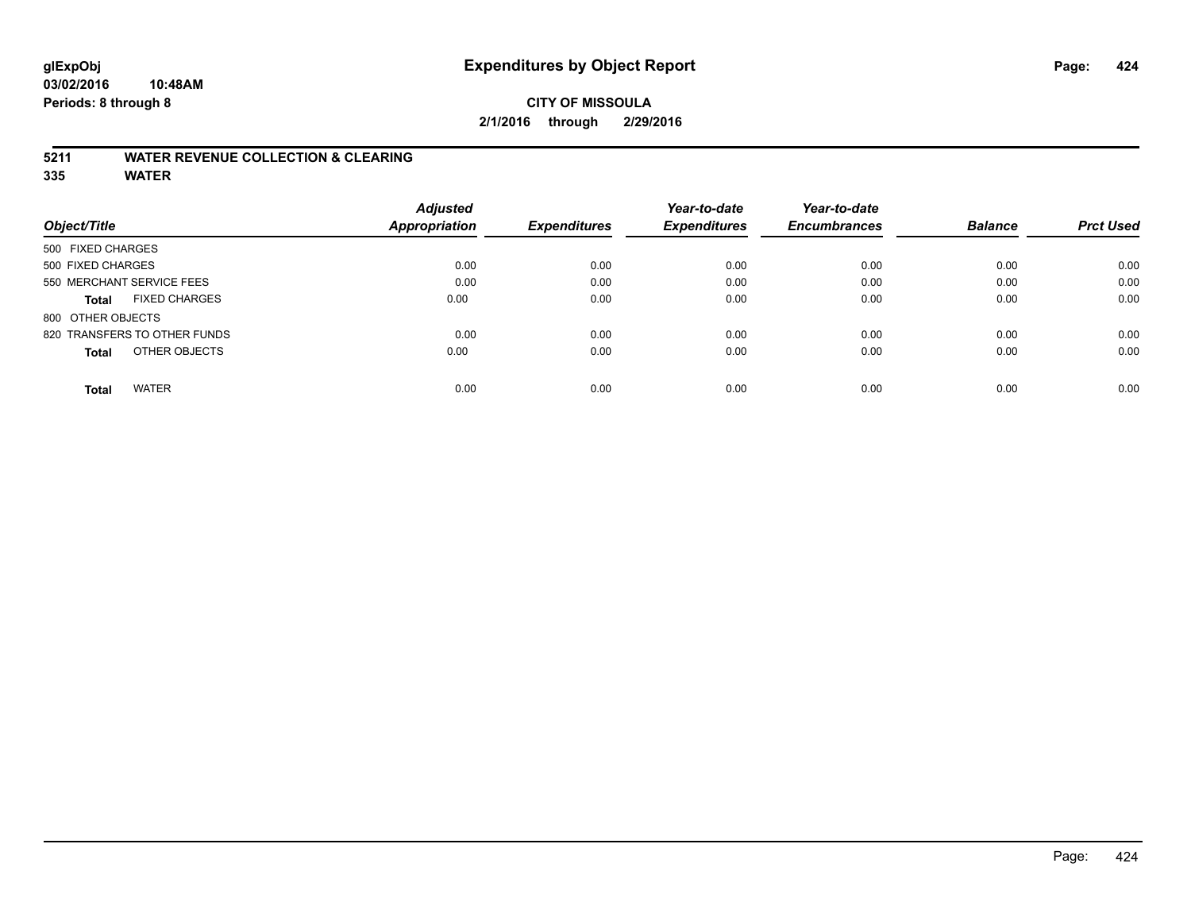## **CITY OF MISSOULA 2/1/2016 through 2/29/2016**

#### **5211 WATER REVENUE COLLECTION & CLEARING**

|                                      | <b>Adjusted</b> |                     | Year-to-date        | Year-to-date        |                |                  |
|--------------------------------------|-----------------|---------------------|---------------------|---------------------|----------------|------------------|
| Object/Title                         | Appropriation   | <b>Expenditures</b> | <b>Expenditures</b> | <b>Encumbrances</b> | <b>Balance</b> | <b>Prct Used</b> |
| 500 FIXED CHARGES                    |                 |                     |                     |                     |                |                  |
| 500 FIXED CHARGES                    | 0.00            | 0.00                | 0.00                | 0.00                | 0.00           | 0.00             |
| 550 MERCHANT SERVICE FEES            | 0.00            | 0.00                | 0.00                | 0.00                | 0.00           | 0.00             |
| <b>FIXED CHARGES</b><br><b>Total</b> | 0.00            | 0.00                | 0.00                | 0.00                | 0.00           | 0.00             |
| 800 OTHER OBJECTS                    |                 |                     |                     |                     |                |                  |
| 820 TRANSFERS TO OTHER FUNDS         | 0.00            | 0.00                | 0.00                | 0.00                | 0.00           | 0.00             |
| OTHER OBJECTS<br><b>Total</b>        | 0.00            | 0.00                | 0.00                | 0.00                | 0.00           | 0.00             |
| <b>WATER</b><br>Total                | 0.00            | 0.00                | 0.00                | 0.00                | 0.00           | 0.00             |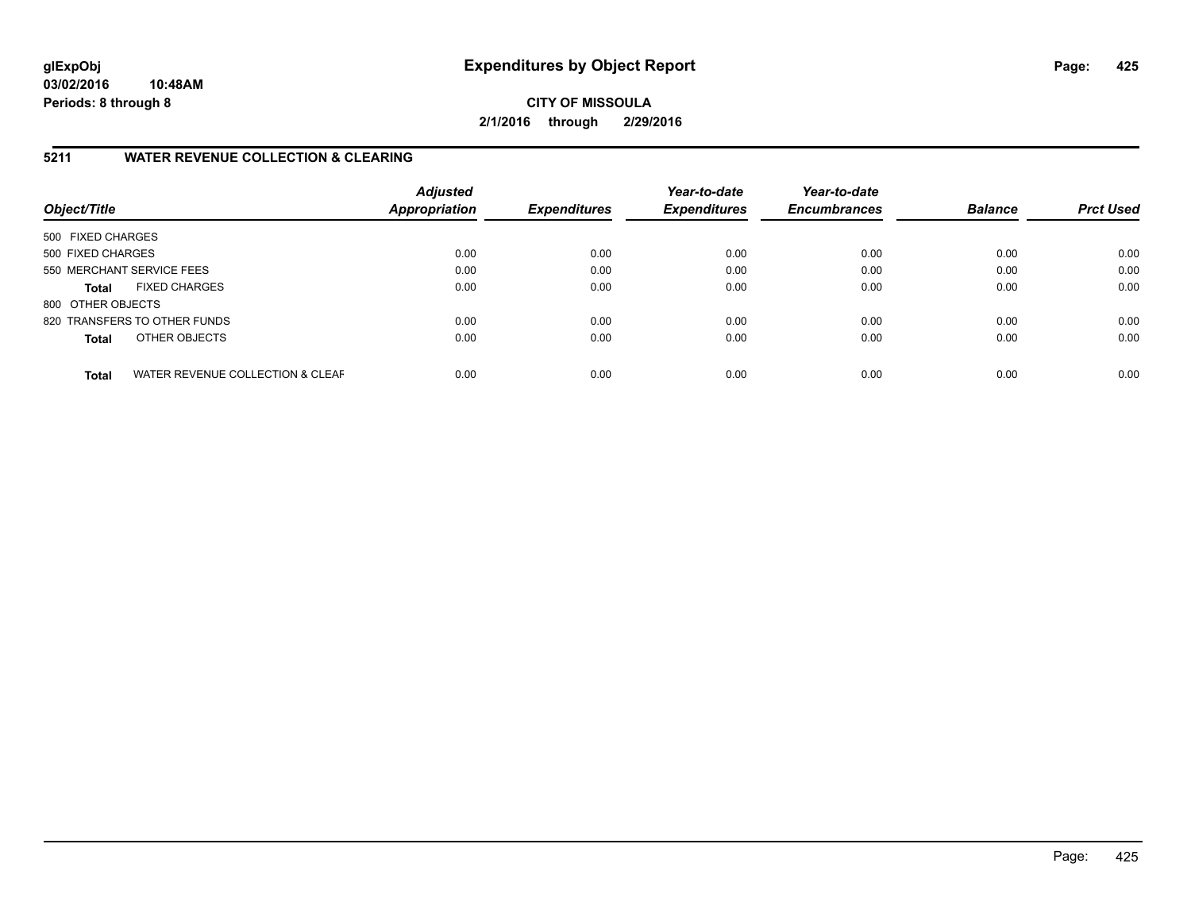**CITY OF MISSOULA 2/1/2016 through 2/29/2016**

## **5211 WATER REVENUE COLLECTION & CLEARING**

| Object/Title              |                                  | <b>Adjusted</b><br>Appropriation | <b>Expenditures</b> | Year-to-date<br><b>Expenditures</b> | Year-to-date<br><b>Encumbrances</b> | <b>Balance</b> | <b>Prct Used</b> |
|---------------------------|----------------------------------|----------------------------------|---------------------|-------------------------------------|-------------------------------------|----------------|------------------|
| 500 FIXED CHARGES         |                                  |                                  |                     |                                     |                                     |                |                  |
| 500 FIXED CHARGES         |                                  | 0.00                             | 0.00                | 0.00                                | 0.00                                | 0.00           | 0.00             |
| 550 MERCHANT SERVICE FEES |                                  | 0.00                             | 0.00                | 0.00                                | 0.00                                | 0.00           | 0.00             |
| <b>Total</b>              | <b>FIXED CHARGES</b>             | 0.00                             | 0.00                | 0.00                                | 0.00                                | 0.00           | 0.00             |
| 800 OTHER OBJECTS         |                                  |                                  |                     |                                     |                                     |                |                  |
|                           | 820 TRANSFERS TO OTHER FUNDS     | 0.00                             | 0.00                | 0.00                                | 0.00                                | 0.00           | 0.00             |
| Total                     | OTHER OBJECTS                    | 0.00                             | 0.00                | 0.00                                | 0.00                                | 0.00           | 0.00             |
| <b>Total</b>              | WATER REVENUE COLLECTION & CLEAF | 0.00                             | 0.00                | 0.00                                | 0.00                                | 0.00           | 0.00             |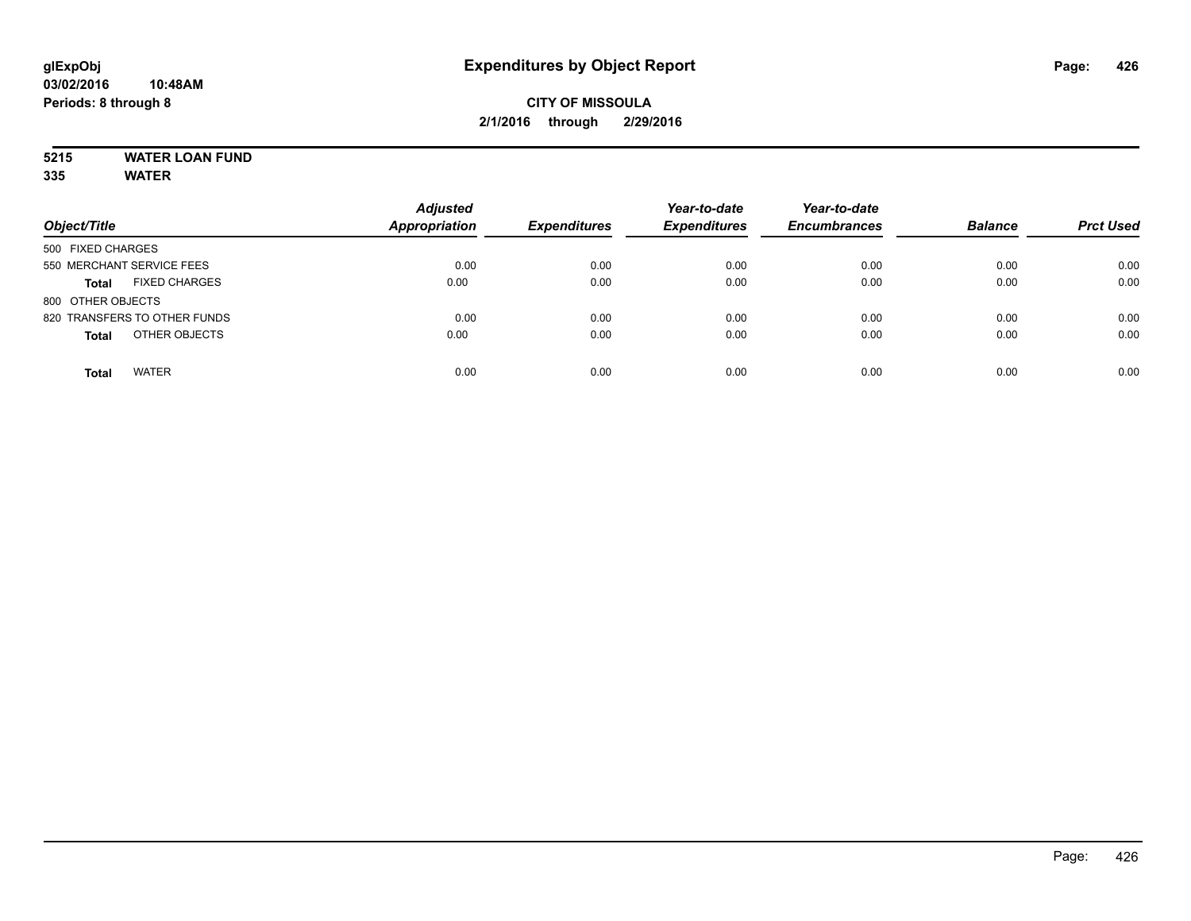# **5215 WATER LOAN FUND**

| Object/Title                         | <b>Adjusted</b><br><b>Appropriation</b> | <b>Expenditures</b> | Year-to-date<br><b>Expenditures</b> | Year-to-date<br><b>Encumbrances</b> | <b>Balance</b> | <b>Prct Used</b> |
|--------------------------------------|-----------------------------------------|---------------------|-------------------------------------|-------------------------------------|----------------|------------------|
| 500 FIXED CHARGES                    |                                         |                     |                                     |                                     |                |                  |
| 550 MERCHANT SERVICE FEES            | 0.00                                    | 0.00                | 0.00                                | 0.00                                | 0.00           | 0.00             |
| <b>FIXED CHARGES</b><br><b>Total</b> | 0.00                                    | 0.00                | 0.00                                | 0.00                                | 0.00           | 0.00             |
| 800 OTHER OBJECTS                    |                                         |                     |                                     |                                     |                |                  |
| 820 TRANSFERS TO OTHER FUNDS         | 0.00                                    | 0.00                | 0.00                                | 0.00                                | 0.00           | 0.00             |
| OTHER OBJECTS<br><b>Total</b>        | 0.00                                    | 0.00                | 0.00                                | 0.00                                | 0.00           | 0.00             |
| <b>WATER</b><br><b>Total</b>         | 0.00                                    | 0.00                | 0.00                                | 0.00                                | 0.00           | 0.00             |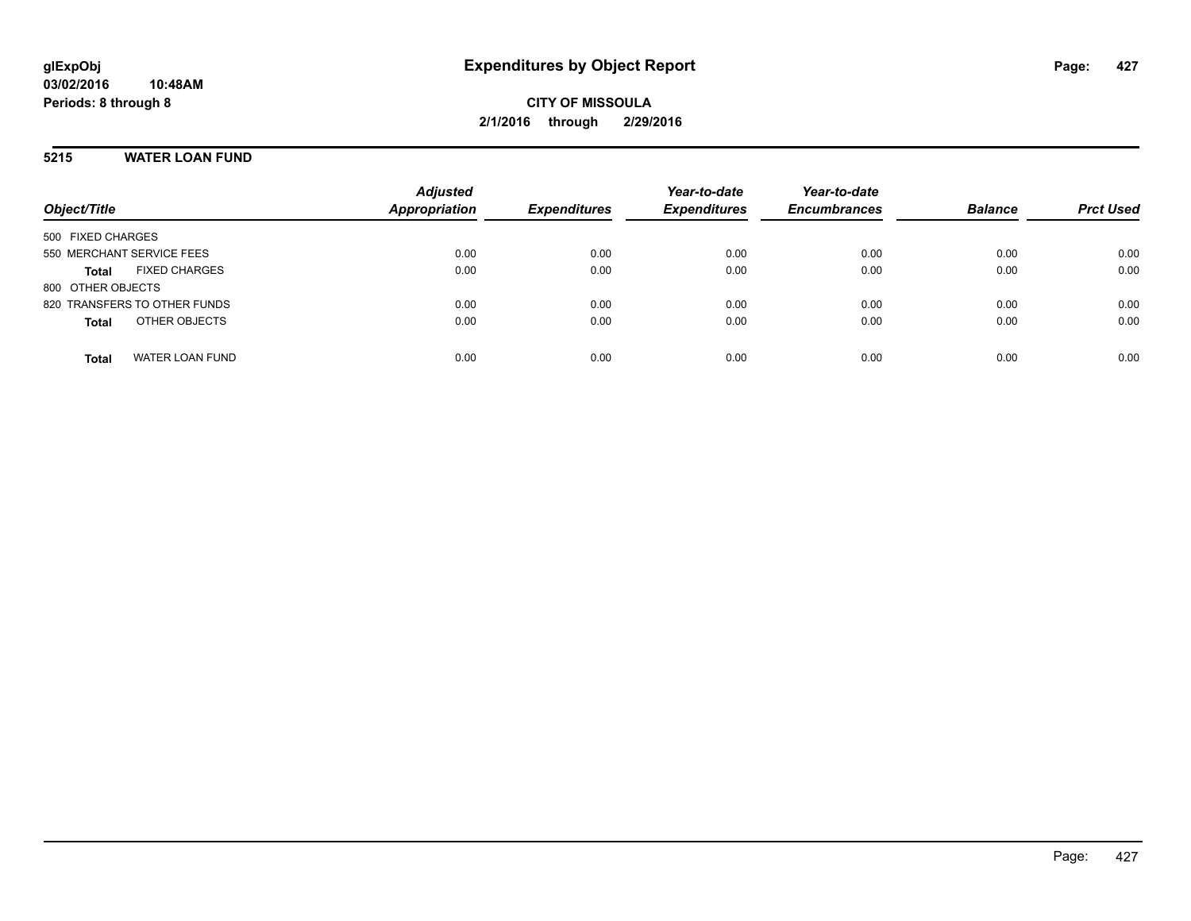#### **5215 WATER LOAN FUND**

| Object/Title                           | <b>Adjusted</b><br><b>Appropriation</b> | <b>Expenditures</b> | Year-to-date<br><b>Expenditures</b> | Year-to-date<br><b>Encumbrances</b> | <b>Balance</b> | <b>Prct Used</b> |
|----------------------------------------|-----------------------------------------|---------------------|-------------------------------------|-------------------------------------|----------------|------------------|
| 500 FIXED CHARGES                      |                                         |                     |                                     |                                     |                |                  |
| 550 MERCHANT SERVICE FEES              | 0.00                                    | 0.00                | 0.00                                | 0.00                                | 0.00           | 0.00             |
| <b>FIXED CHARGES</b><br><b>Total</b>   | 0.00                                    | 0.00                | 0.00                                | 0.00                                | 0.00           | 0.00             |
| 800 OTHER OBJECTS                      |                                         |                     |                                     |                                     |                |                  |
| 820 TRANSFERS TO OTHER FUNDS           | 0.00                                    | 0.00                | 0.00                                | 0.00                                | 0.00           | 0.00             |
| OTHER OBJECTS<br><b>Total</b>          | 0.00                                    | 0.00                | 0.00                                | 0.00                                | 0.00           | 0.00             |
|                                        |                                         |                     |                                     |                                     |                |                  |
| <b>WATER LOAN FUND</b><br><b>Total</b> | 0.00                                    | 0.00                | 0.00                                | 0.00                                | 0.00           | 0.00             |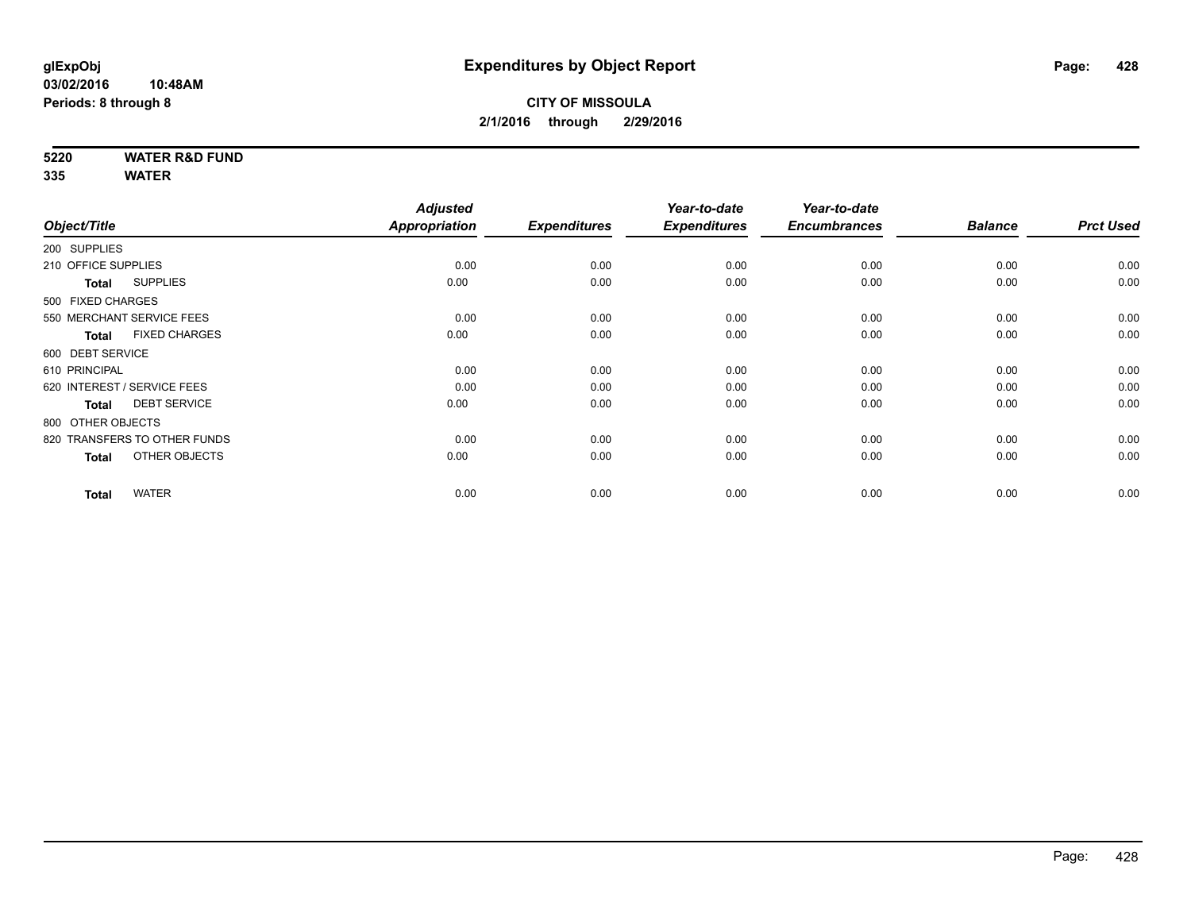**5220 WATER R&D FUND**

|                                      | <b>Adjusted</b> |                     | Year-to-date        | Year-to-date        |                |                  |
|--------------------------------------|-----------------|---------------------|---------------------|---------------------|----------------|------------------|
| Object/Title                         | Appropriation   | <b>Expenditures</b> | <b>Expenditures</b> | <b>Encumbrances</b> | <b>Balance</b> | <b>Prct Used</b> |
| 200 SUPPLIES                         |                 |                     |                     |                     |                |                  |
| 210 OFFICE SUPPLIES                  | 0.00            | 0.00                | 0.00                | 0.00                | 0.00           | 0.00             |
| <b>SUPPLIES</b><br><b>Total</b>      | 0.00            | 0.00                | 0.00                | 0.00                | 0.00           | 0.00             |
| 500 FIXED CHARGES                    |                 |                     |                     |                     |                |                  |
| 550 MERCHANT SERVICE FEES            | 0.00            | 0.00                | 0.00                | 0.00                | 0.00           | 0.00             |
| <b>FIXED CHARGES</b><br><b>Total</b> | 0.00            | 0.00                | 0.00                | 0.00                | 0.00           | 0.00             |
| 600 DEBT SERVICE                     |                 |                     |                     |                     |                |                  |
| 610 PRINCIPAL                        | 0.00            | 0.00                | 0.00                | 0.00                | 0.00           | 0.00             |
| 620 INTEREST / SERVICE FEES          | 0.00            | 0.00                | 0.00                | 0.00                | 0.00           | 0.00             |
| <b>DEBT SERVICE</b><br><b>Total</b>  | 0.00            | 0.00                | 0.00                | 0.00                | 0.00           | 0.00             |
| 800 OTHER OBJECTS                    |                 |                     |                     |                     |                |                  |
| 820 TRANSFERS TO OTHER FUNDS         | 0.00            | 0.00                | 0.00                | 0.00                | 0.00           | 0.00             |
| OTHER OBJECTS<br><b>Total</b>        | 0.00            | 0.00                | 0.00                | 0.00                | 0.00           | 0.00             |
|                                      |                 |                     |                     |                     |                |                  |
| <b>WATER</b><br><b>Total</b>         | 0.00            | 0.00                | 0.00                | 0.00                | 0.00           | 0.00             |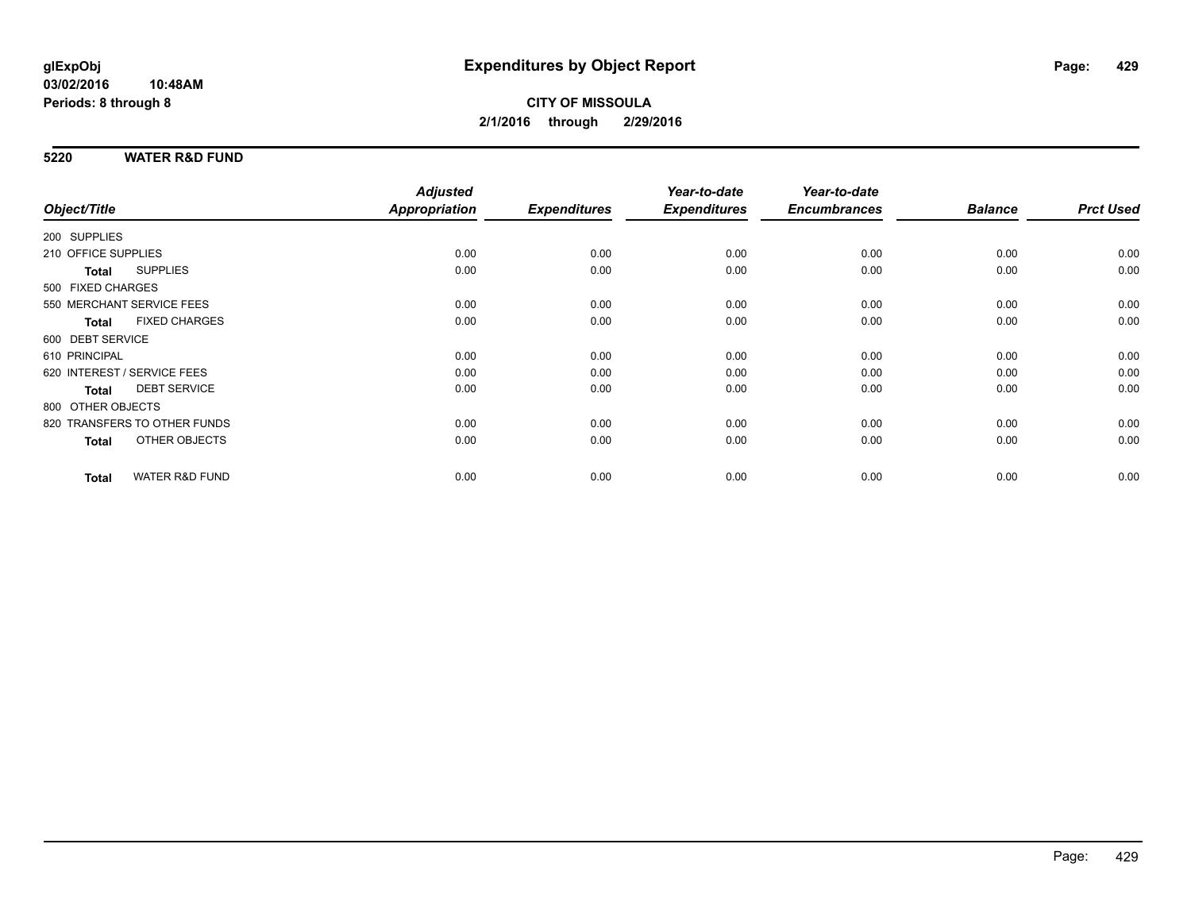#### **5220 WATER R&D FUND**

|                     |                              | <b>Adjusted</b> |                     | Year-to-date        | Year-to-date        |                |                  |
|---------------------|------------------------------|-----------------|---------------------|---------------------|---------------------|----------------|------------------|
| Object/Title        |                              | Appropriation   | <b>Expenditures</b> | <b>Expenditures</b> | <b>Encumbrances</b> | <b>Balance</b> | <b>Prct Used</b> |
| 200 SUPPLIES        |                              |                 |                     |                     |                     |                |                  |
| 210 OFFICE SUPPLIES |                              | 0.00            | 0.00                | 0.00                | 0.00                | 0.00           | 0.00             |
| <b>Total</b>        | <b>SUPPLIES</b>              | 0.00            | 0.00                | 0.00                | 0.00                | 0.00           | 0.00             |
| 500 FIXED CHARGES   |                              |                 |                     |                     |                     |                |                  |
|                     | 550 MERCHANT SERVICE FEES    | 0.00            | 0.00                | 0.00                | 0.00                | 0.00           | 0.00             |
| <b>Total</b>        | <b>FIXED CHARGES</b>         | 0.00            | 0.00                | 0.00                | 0.00                | 0.00           | 0.00             |
| 600 DEBT SERVICE    |                              |                 |                     |                     |                     |                |                  |
| 610 PRINCIPAL       |                              | 0.00            | 0.00                | 0.00                | 0.00                | 0.00           | 0.00             |
|                     | 620 INTEREST / SERVICE FEES  | 0.00            | 0.00                | 0.00                | 0.00                | 0.00           | 0.00             |
| <b>Total</b>        | <b>DEBT SERVICE</b>          | 0.00            | 0.00                | 0.00                | 0.00                | 0.00           | 0.00             |
| 800 OTHER OBJECTS   |                              |                 |                     |                     |                     |                |                  |
|                     | 820 TRANSFERS TO OTHER FUNDS | 0.00            | 0.00                | 0.00                | 0.00                | 0.00           | 0.00             |
| <b>Total</b>        | OTHER OBJECTS                | 0.00            | 0.00                | 0.00                | 0.00                | 0.00           | 0.00             |
| <b>Total</b>        | <b>WATER R&amp;D FUND</b>    | 0.00            | 0.00                | 0.00                | 0.00                | 0.00           | 0.00             |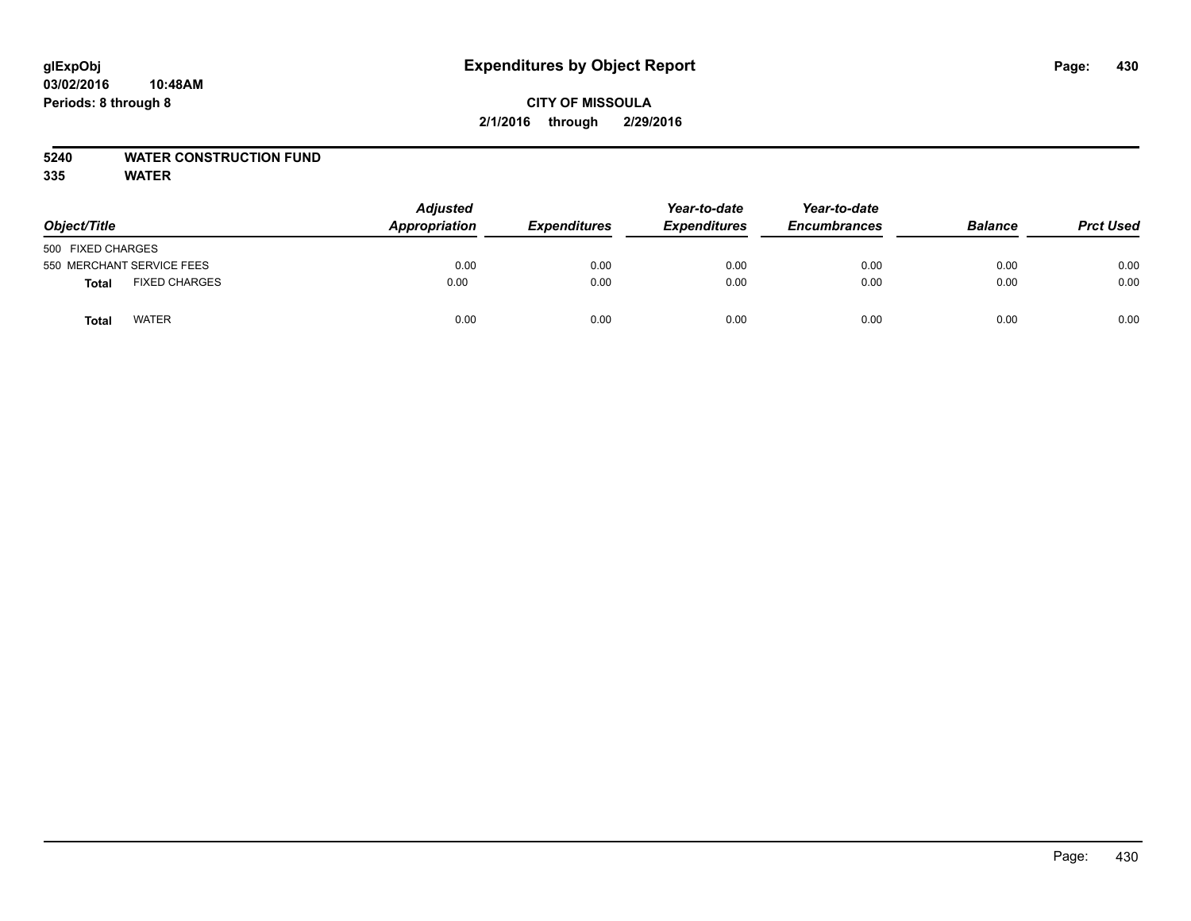## **CITY OF MISSOULA 2/1/2016 through 2/29/2016**

## **5240 WATER CONSTRUCTION FUND**

| Object/Title              |                      | <b>Adjusted</b><br><b>Appropriation</b> | <b>Expenditures</b> | Year-to-date<br><b>Expenditures</b> | Year-to-date<br><b>Encumbrances</b> | <b>Balance</b> | <b>Prct Used</b> |
|---------------------------|----------------------|-----------------------------------------|---------------------|-------------------------------------|-------------------------------------|----------------|------------------|
|                           |                      |                                         |                     |                                     |                                     |                |                  |
| 500 FIXED CHARGES         |                      |                                         |                     |                                     |                                     |                |                  |
| 550 MERCHANT SERVICE FEES |                      | 0.00                                    | 0.00                | 0.00                                | 0.00                                | 0.00           | 0.00             |
| Total                     | <b>FIXED CHARGES</b> | 0.00                                    | 0.00                | 0.00                                | 0.00                                | 0.00           | 0.00             |
| Total                     | <b>WATER</b>         | 0.00                                    | 0.00                | 0.00                                | 0.00                                | 0.00           | 0.00             |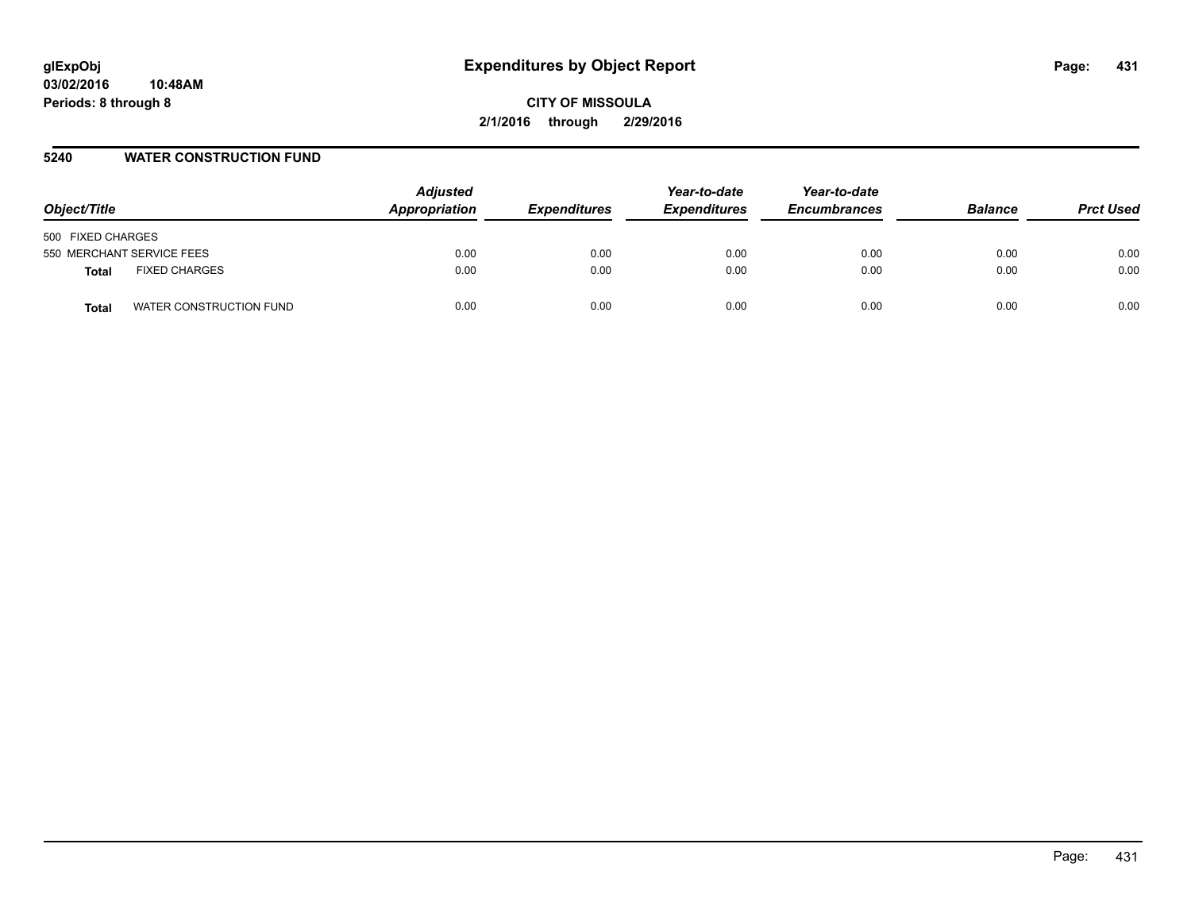#### **5240 WATER CONSTRUCTION FUND**

| Object/Title                         | <b>Adjusted</b><br>Appropriation | <i><b>Expenditures</b></i> | Year-to-date<br><b>Expenditures</b> | Year-to-date<br><b>Encumbrances</b> | <b>Balance</b> | <b>Prct Used</b> |
|--------------------------------------|----------------------------------|----------------------------|-------------------------------------|-------------------------------------|----------------|------------------|
| 500 FIXED CHARGES                    |                                  |                            |                                     |                                     |                |                  |
| 550 MERCHANT SERVICE FEES            | 0.00                             | 0.00                       | 0.00                                | 0.00                                | 0.00           | 0.00             |
| <b>FIXED CHARGES</b><br><b>Total</b> | 0.00                             | 0.00                       | 0.00                                | 0.00                                | 0.00           | 0.00             |
| WATER CONSTRUCTION FUND<br>Total     | 0.00                             | 0.00                       | 0.00                                | 0.00                                | 0.00           | 0.00             |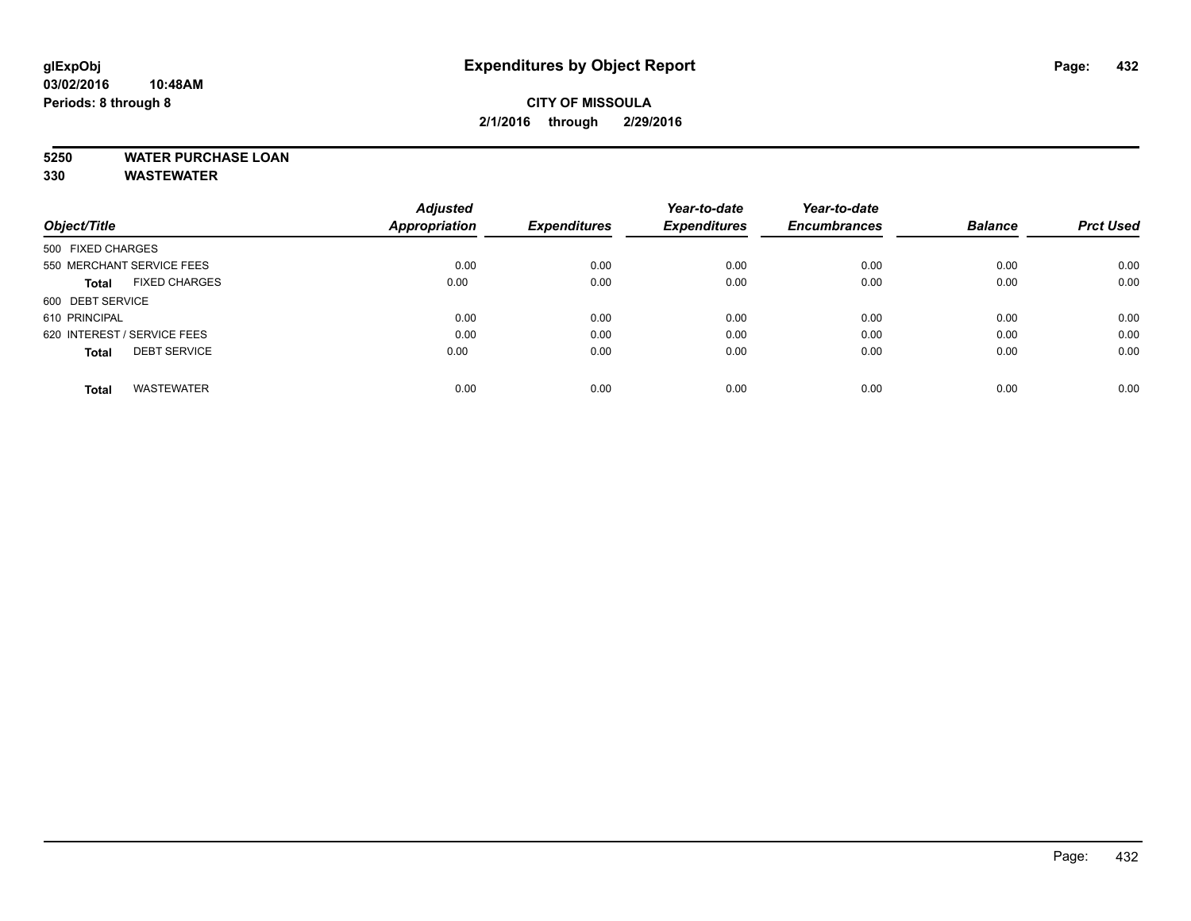## **CITY OF MISSOULA 2/1/2016 through 2/29/2016**

# **5250 WATER PURCHASE LOAN**

**330 WASTEWATER**

|                                      | <b>Adjusted</b> |                     | Year-to-date        | Year-to-date        |                |                  |
|--------------------------------------|-----------------|---------------------|---------------------|---------------------|----------------|------------------|
| Object/Title                         | Appropriation   | <b>Expenditures</b> | <b>Expenditures</b> | <b>Encumbrances</b> | <b>Balance</b> | <b>Prct Used</b> |
| 500 FIXED CHARGES                    |                 |                     |                     |                     |                |                  |
| 550 MERCHANT SERVICE FEES            | 0.00            | 0.00                | 0.00                | 0.00                | 0.00           | 0.00             |
| <b>FIXED CHARGES</b><br><b>Total</b> | 0.00            | 0.00                | 0.00                | 0.00                | 0.00           | 0.00             |
| 600 DEBT SERVICE                     |                 |                     |                     |                     |                |                  |
| 610 PRINCIPAL                        | 0.00            | 0.00                | 0.00                | 0.00                | 0.00           | 0.00             |
| 620 INTEREST / SERVICE FEES          | 0.00            | 0.00                | 0.00                | 0.00                | 0.00           | 0.00             |
| <b>DEBT SERVICE</b><br><b>Total</b>  | 0.00            | 0.00                | 0.00                | 0.00                | 0.00           | 0.00             |
| <b>WASTEWATER</b><br>Total           | 0.00            | 0.00                | 0.00                | 0.00                | 0.00           | 0.00             |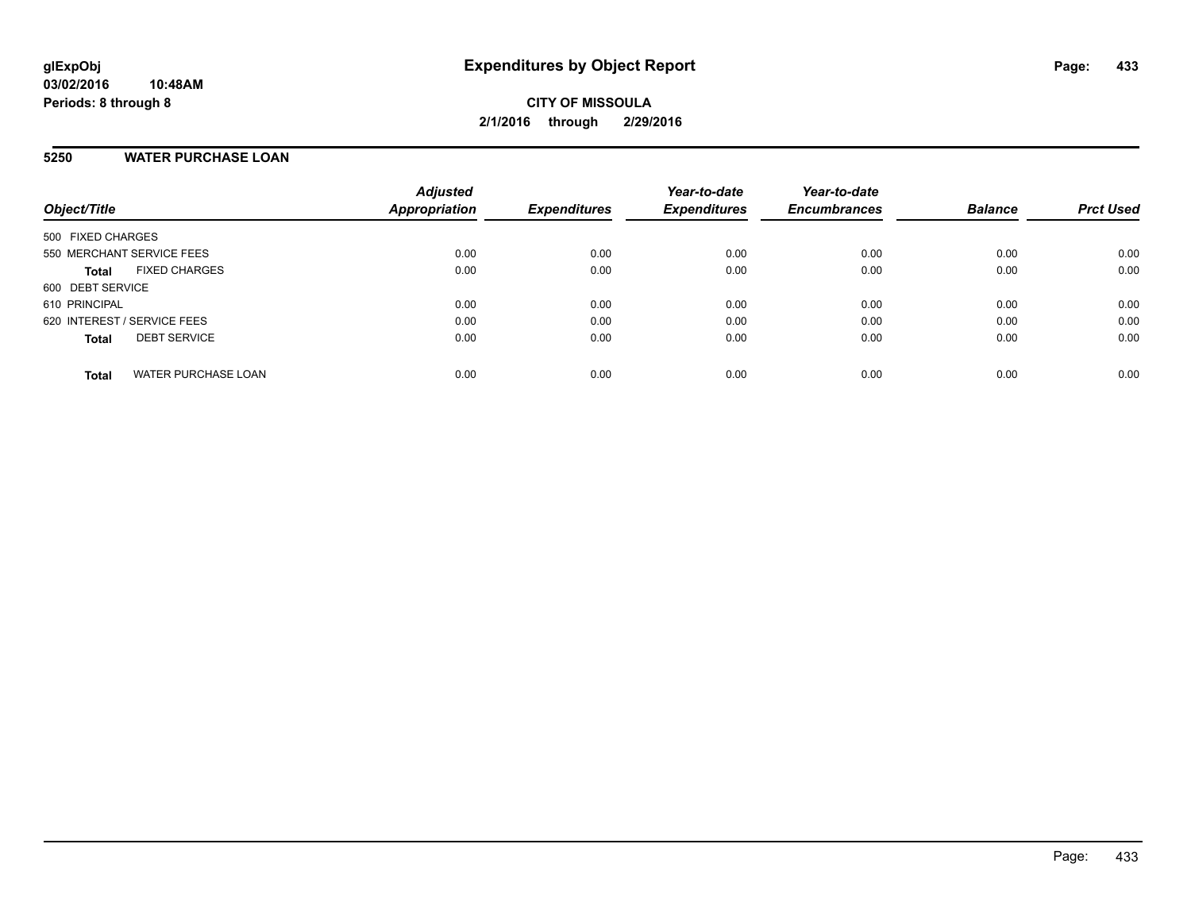### **5250 WATER PURCHASE LOAN**

| Object/Title                               | <b>Adjusted</b><br>Appropriation | <b>Expenditures</b> | Year-to-date<br><b>Expenditures</b> | Year-to-date<br><b>Encumbrances</b> | <b>Balance</b> | <b>Prct Used</b> |
|--------------------------------------------|----------------------------------|---------------------|-------------------------------------|-------------------------------------|----------------|------------------|
| 500 FIXED CHARGES                          |                                  |                     |                                     |                                     |                |                  |
| 550 MERCHANT SERVICE FEES                  | 0.00                             | 0.00                | 0.00                                | 0.00                                | 0.00           | 0.00             |
| <b>FIXED CHARGES</b><br><b>Total</b>       | 0.00                             | 0.00                | 0.00                                | 0.00                                | 0.00           | 0.00             |
| 600 DEBT SERVICE                           |                                  |                     |                                     |                                     |                |                  |
| 610 PRINCIPAL                              | 0.00                             | 0.00                | 0.00                                | 0.00                                | 0.00           | 0.00             |
| 620 INTEREST / SERVICE FEES                | 0.00                             | 0.00                | 0.00                                | 0.00                                | 0.00           | 0.00             |
| <b>DEBT SERVICE</b><br><b>Total</b>        | 0.00                             | 0.00                | 0.00                                | 0.00                                | 0.00           | 0.00             |
|                                            |                                  |                     |                                     |                                     |                |                  |
| <b>WATER PURCHASE LOAN</b><br><b>Total</b> | 0.00                             | 0.00                | 0.00                                | 0.00                                | 0.00           | 0.00             |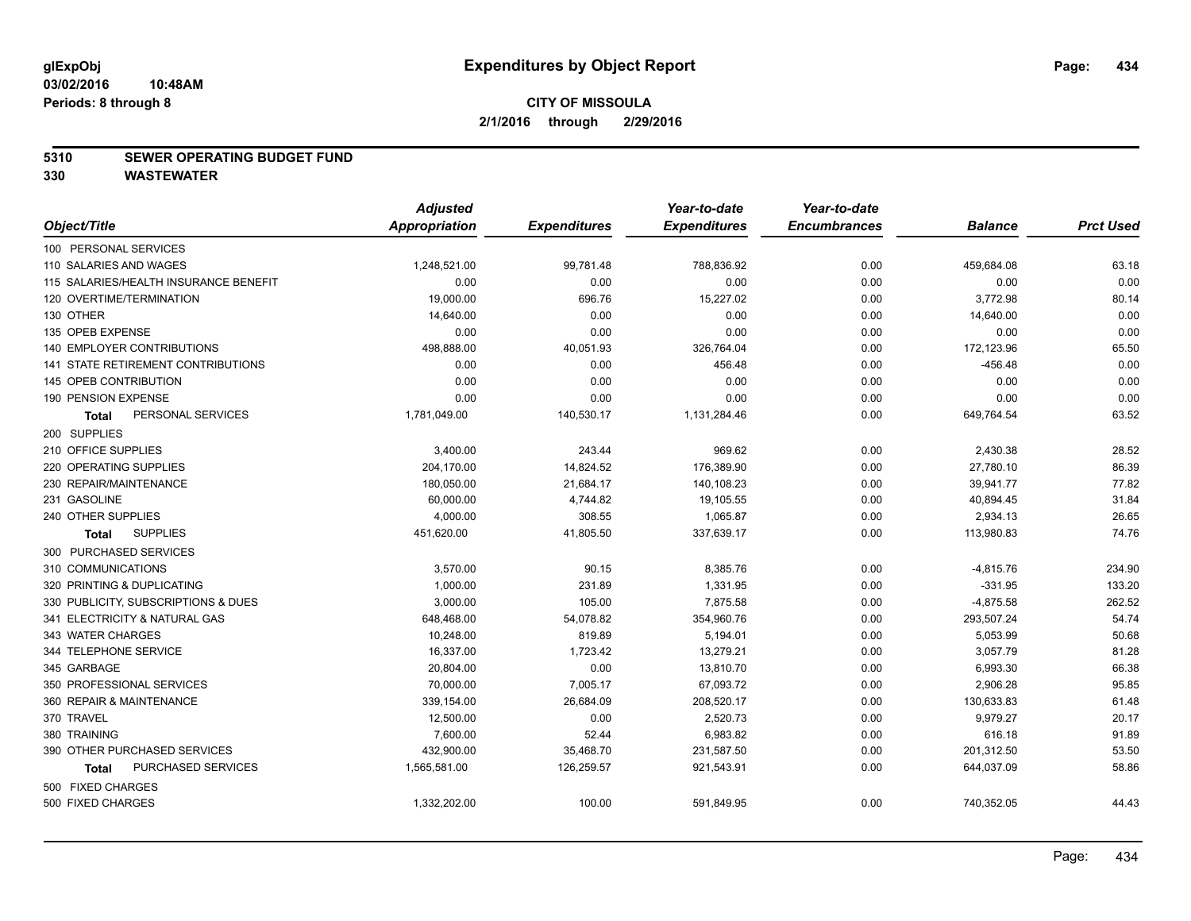#### **5310 SEWER OPERATING BUDGET FUND**

|                                           | <b>Adjusted</b> |                     | Year-to-date        | Year-to-date        |                |                  |
|-------------------------------------------|-----------------|---------------------|---------------------|---------------------|----------------|------------------|
| Object/Title                              | Appropriation   | <b>Expenditures</b> | <b>Expenditures</b> | <b>Encumbrances</b> | <b>Balance</b> | <b>Prct Used</b> |
| 100 PERSONAL SERVICES                     |                 |                     |                     |                     |                |                  |
| 110 SALARIES AND WAGES                    | 1,248,521.00    | 99,781.48           | 788,836.92          | 0.00                | 459,684.08     | 63.18            |
| 115 SALARIES/HEALTH INSURANCE BENEFIT     | 0.00            | 0.00                | 0.00                | 0.00                | 0.00           | 0.00             |
| 120 OVERTIME/TERMINATION                  | 19,000.00       | 696.76              | 15,227.02           | 0.00                | 3,772.98       | 80.14            |
| 130 OTHER                                 | 14,640.00       | 0.00                | 0.00                | 0.00                | 14,640.00      | 0.00             |
| 135 OPEB EXPENSE                          | 0.00            | 0.00                | 0.00                | 0.00                | 0.00           | 0.00             |
| 140 EMPLOYER CONTRIBUTIONS                | 498,888.00      | 40,051.93           | 326,764.04          | 0.00                | 172,123.96     | 65.50            |
| <b>141 STATE RETIREMENT CONTRIBUTIONS</b> | 0.00            | 0.00                | 456.48              | 0.00                | $-456.48$      | 0.00             |
| 145 OPEB CONTRIBUTION                     | 0.00            | 0.00                | 0.00                | 0.00                | 0.00           | 0.00             |
| 190 PENSION EXPENSE                       | 0.00            | 0.00                | 0.00                | 0.00                | 0.00           | 0.00             |
| PERSONAL SERVICES<br><b>Total</b>         | 1,781,049.00    | 140,530.17          | 1,131,284.46        | 0.00                | 649,764.54     | 63.52            |
| 200 SUPPLIES                              |                 |                     |                     |                     |                |                  |
| 210 OFFICE SUPPLIES                       | 3,400.00        | 243.44              | 969.62              | 0.00                | 2,430.38       | 28.52            |
| 220 OPERATING SUPPLIES                    | 204,170.00      | 14,824.52           | 176,389.90          | 0.00                | 27,780.10      | 86.39            |
| 230 REPAIR/MAINTENANCE                    | 180,050.00      | 21,684.17           | 140,108.23          | 0.00                | 39,941.77      | 77.82            |
| 231 GASOLINE                              | 60,000.00       | 4,744.82            | 19,105.55           | 0.00                | 40,894.45      | 31.84            |
| 240 OTHER SUPPLIES                        | 4,000.00        | 308.55              | 1,065.87            | 0.00                | 2,934.13       | 26.65            |
| <b>SUPPLIES</b><br>Total                  | 451,620.00      | 41,805.50           | 337,639.17          | 0.00                | 113,980.83     | 74.76            |
| 300 PURCHASED SERVICES                    |                 |                     |                     |                     |                |                  |
| 310 COMMUNICATIONS                        | 3,570.00        | 90.15               | 8,385.76            | 0.00                | $-4,815.76$    | 234.90           |
| 320 PRINTING & DUPLICATING                | 1,000.00        | 231.89              | 1,331.95            | 0.00                | $-331.95$      | 133.20           |
| 330 PUBLICITY, SUBSCRIPTIONS & DUES       | 3,000.00        | 105.00              | 7,875.58            | 0.00                | $-4,875.58$    | 262.52           |
| 341 ELECTRICITY & NATURAL GAS             | 648,468.00      | 54,078.82           | 354,960.76          | 0.00                | 293,507.24     | 54.74            |
| 343 WATER CHARGES                         | 10,248.00       | 819.89              | 5,194.01            | 0.00                | 5,053.99       | 50.68            |
| 344 TELEPHONE SERVICE                     | 16,337.00       | 1,723.42            | 13,279.21           | 0.00                | 3,057.79       | 81.28            |
| 345 GARBAGE                               | 20,804.00       | 0.00                | 13,810.70           | 0.00                | 6,993.30       | 66.38            |
| 350 PROFESSIONAL SERVICES                 | 70,000.00       | 7,005.17            | 67,093.72           | 0.00                | 2,906.28       | 95.85            |
| 360 REPAIR & MAINTENANCE                  | 339,154.00      | 26,684.09           | 208,520.17          | 0.00                | 130,633.83     | 61.48            |
| 370 TRAVEL                                | 12,500.00       | 0.00                | 2,520.73            | 0.00                | 9,979.27       | 20.17            |
| 380 TRAINING                              | 7,600.00        | 52.44               | 6,983.82            | 0.00                | 616.18         | 91.89            |
| 390 OTHER PURCHASED SERVICES              | 432,900.00      | 35,468.70           | 231,587.50          | 0.00                | 201,312.50     | 53.50            |
| PURCHASED SERVICES<br><b>Total</b>        | 1,565,581.00    | 126,259.57          | 921,543.91          | 0.00                | 644,037.09     | 58.86            |
| 500 FIXED CHARGES                         |                 |                     |                     |                     |                |                  |
| 500 FIXED CHARGES                         | 1,332,202.00    | 100.00              | 591,849.95          | 0.00                | 740,352.05     | 44.43            |
|                                           |                 |                     |                     |                     |                |                  |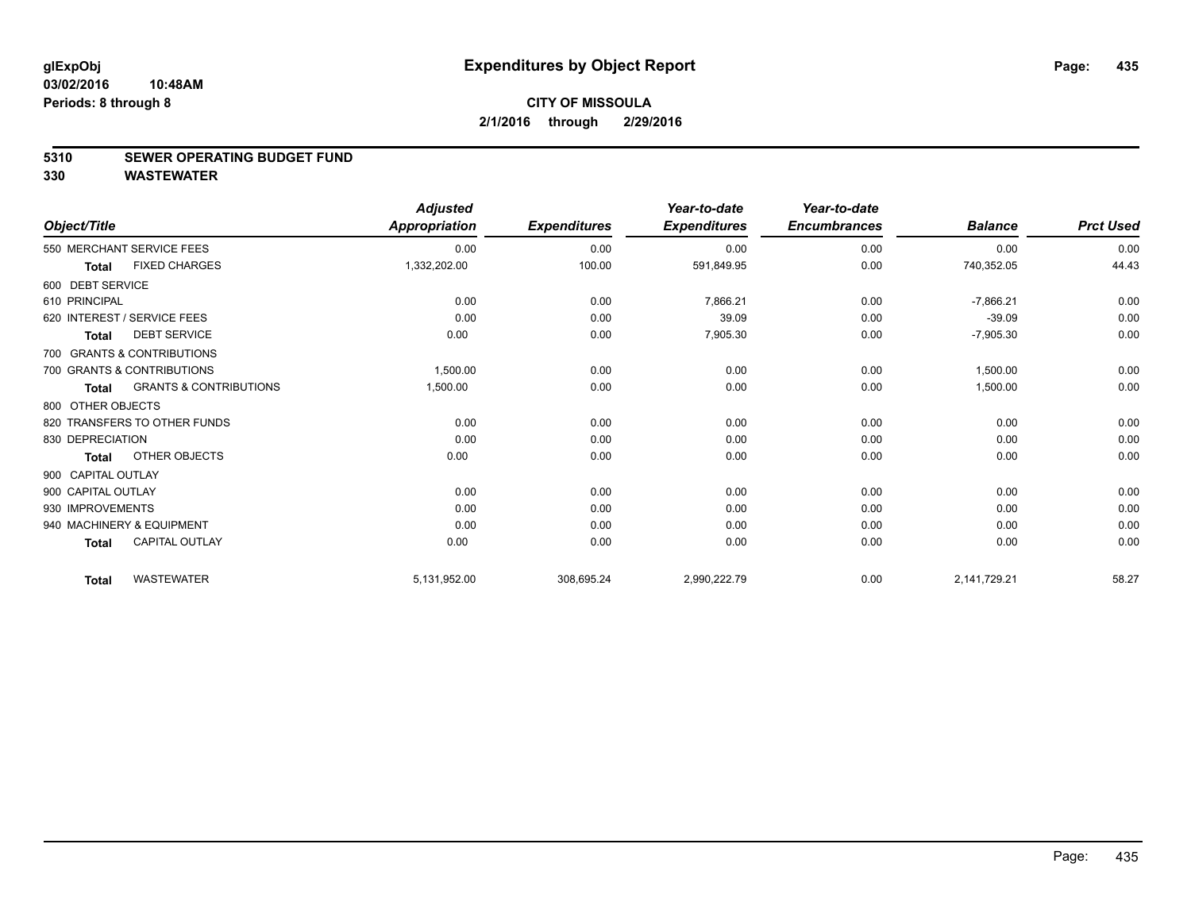#### **5310 SEWER OPERATING BUDGET FUND**

| Object/Title       |                                   | <b>Adjusted</b><br><b>Appropriation</b> | <b>Expenditures</b> | Year-to-date<br><b>Expenditures</b> | Year-to-date<br><b>Encumbrances</b> | <b>Balance</b> | <b>Prct Used</b> |
|--------------------|-----------------------------------|-----------------------------------------|---------------------|-------------------------------------|-------------------------------------|----------------|------------------|
|                    | 550 MERCHANT SERVICE FEES         | 0.00                                    | 0.00                | 0.00                                | 0.00                                | 0.00           | 0.00             |
| <b>Total</b>       | <b>FIXED CHARGES</b>              | 1,332,202.00                            | 100.00              | 591,849.95                          | 0.00                                | 740,352.05     | 44.43            |
| 600 DEBT SERVICE   |                                   |                                         |                     |                                     |                                     |                |                  |
| 610 PRINCIPAL      |                                   | 0.00                                    | 0.00                | 7,866.21                            | 0.00                                | $-7,866.21$    | 0.00             |
|                    | 620 INTEREST / SERVICE FEES       | 0.00                                    | 0.00                | 39.09                               | 0.00                                | $-39.09$       | 0.00             |
| <b>Total</b>       | <b>DEBT SERVICE</b>               | 0.00                                    | 0.00                | 7,905.30                            | 0.00                                | $-7,905.30$    | 0.00             |
|                    | 700 GRANTS & CONTRIBUTIONS        |                                         |                     |                                     |                                     |                |                  |
|                    | 700 GRANTS & CONTRIBUTIONS        | 1,500.00                                | 0.00                | 0.00                                | 0.00                                | 1,500.00       | 0.00             |
| Total              | <b>GRANTS &amp; CONTRIBUTIONS</b> | 1,500.00                                | 0.00                | 0.00                                | 0.00                                | 1,500.00       | 0.00             |
| 800 OTHER OBJECTS  |                                   |                                         |                     |                                     |                                     |                |                  |
|                    | 820 TRANSFERS TO OTHER FUNDS      | 0.00                                    | 0.00                | 0.00                                | 0.00                                | 0.00           | 0.00             |
| 830 DEPRECIATION   |                                   | 0.00                                    | 0.00                | 0.00                                | 0.00                                | 0.00           | 0.00             |
| Total              | OTHER OBJECTS                     | 0.00                                    | 0.00                | 0.00                                | 0.00                                | 0.00           | 0.00             |
| 900 CAPITAL OUTLAY |                                   |                                         |                     |                                     |                                     |                |                  |
| 900 CAPITAL OUTLAY |                                   | 0.00                                    | 0.00                | 0.00                                | 0.00                                | 0.00           | 0.00             |
| 930 IMPROVEMENTS   |                                   | 0.00                                    | 0.00                | 0.00                                | 0.00                                | 0.00           | 0.00             |
|                    | 940 MACHINERY & EQUIPMENT         | 0.00                                    | 0.00                | 0.00                                | 0.00                                | 0.00           | 0.00             |
| <b>Total</b>       | <b>CAPITAL OUTLAY</b>             | 0.00                                    | 0.00                | 0.00                                | 0.00                                | 0.00           | 0.00             |
| <b>Total</b>       | <b>WASTEWATER</b>                 | 5,131,952.00                            | 308,695.24          | 2,990,222.79                        | 0.00                                | 2,141,729.21   | 58.27            |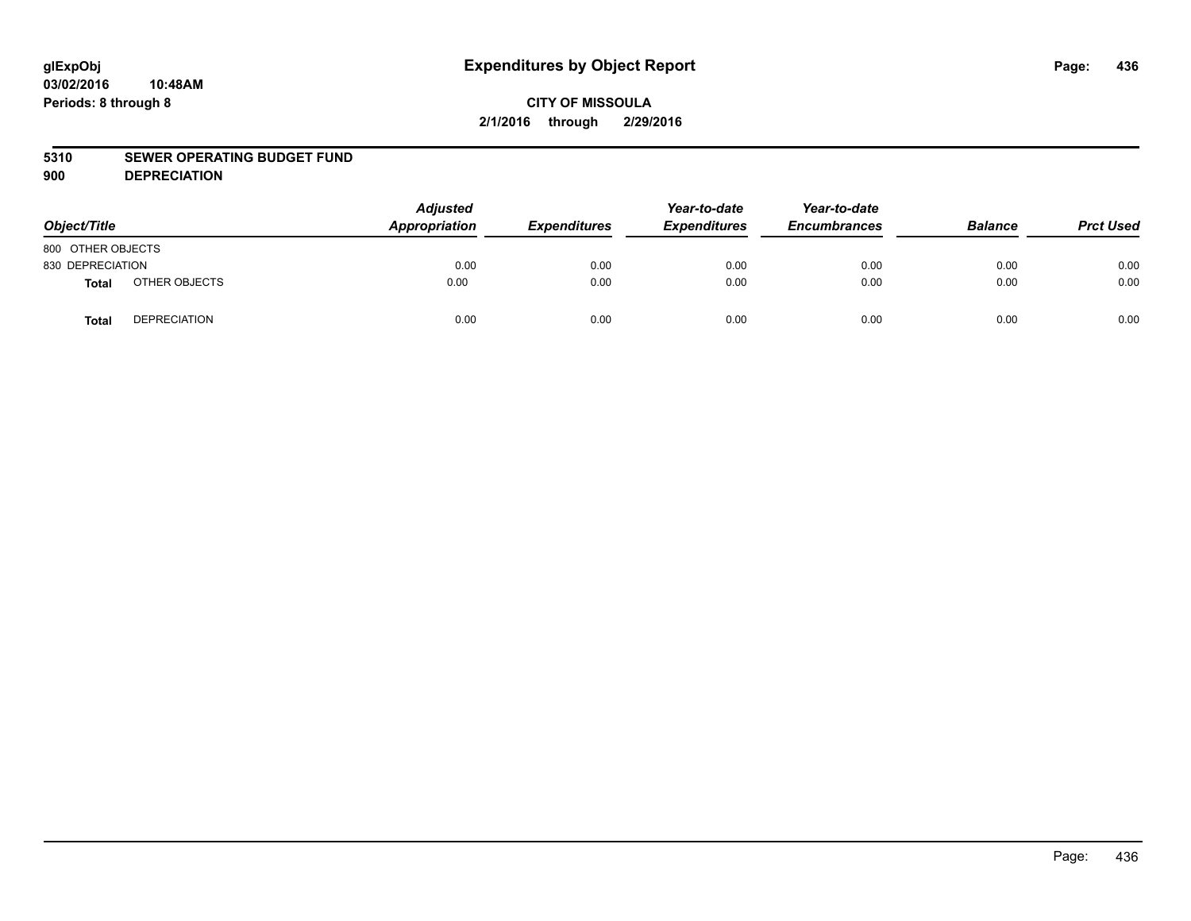#### **5310 SEWER OPERATING BUDGET FUND**

**900 DEPRECIATION**

| Object/Title      |                     | <b>Adjusted</b><br>Appropriation | <b>Expenditures</b> | Year-to-date<br><b>Expenditures</b> | Year-to-date<br><b>Encumbrances</b> | <b>Balance</b> | <b>Prct Used</b> |
|-------------------|---------------------|----------------------------------|---------------------|-------------------------------------|-------------------------------------|----------------|------------------|
| 800 OTHER OBJECTS |                     |                                  |                     |                                     |                                     |                |                  |
| 830 DEPRECIATION  |                     | 0.00                             | 0.00                | 0.00                                | 0.00                                | 0.00           | 0.00             |
| Total             | OTHER OBJECTS       | 0.00                             | 0.00                | 0.00                                | 0.00                                | 0.00           | 0.00             |
| Total             | <b>DEPRECIATION</b> | 0.00                             | 0.00                | 0.00                                | 0.00                                | 0.00           | 0.00             |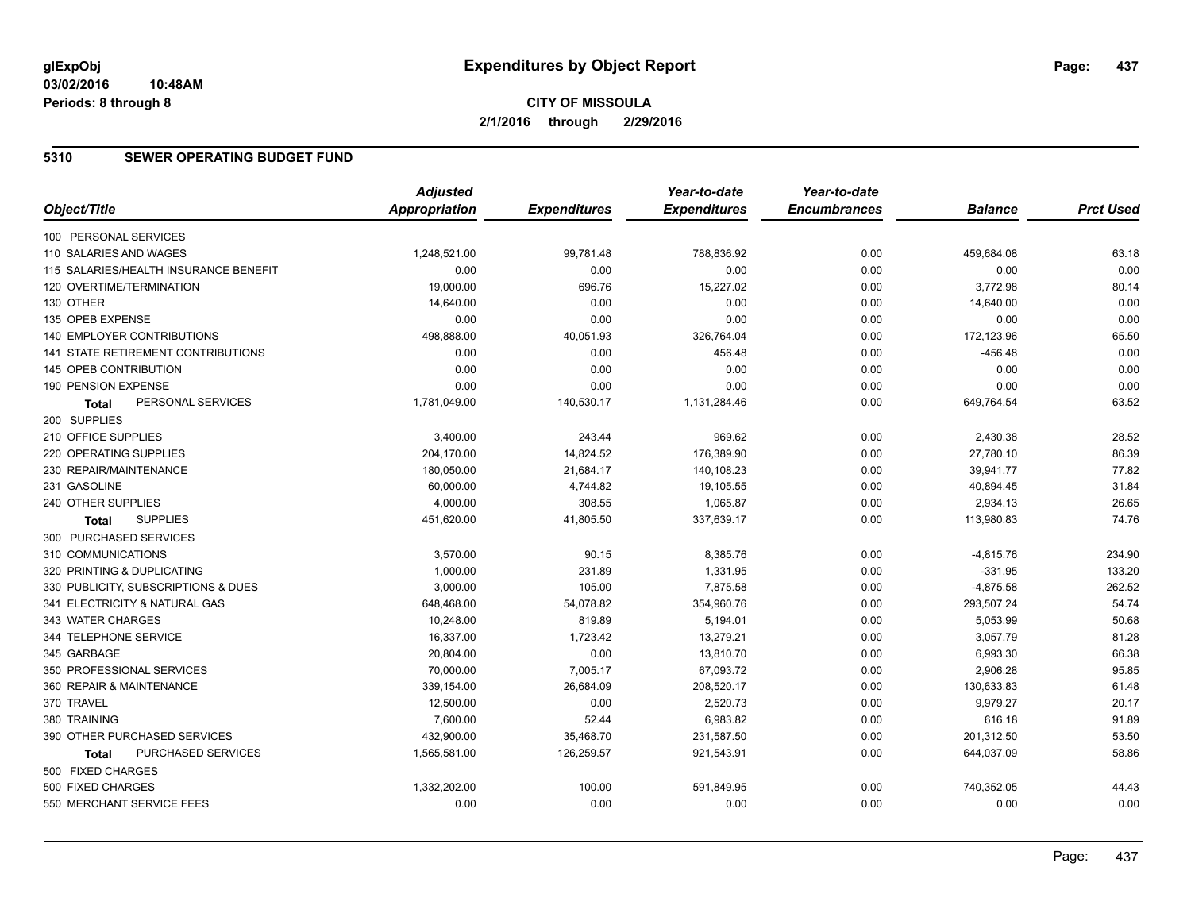### **5310 SEWER OPERATING BUDGET FUND**

|                                           | <b>Adjusted</b>      |                     | Year-to-date        | Year-to-date        |                |                  |
|-------------------------------------------|----------------------|---------------------|---------------------|---------------------|----------------|------------------|
| Object/Title                              | <b>Appropriation</b> | <b>Expenditures</b> | <b>Expenditures</b> | <b>Encumbrances</b> | <b>Balance</b> | <b>Prct Used</b> |
| 100 PERSONAL SERVICES                     |                      |                     |                     |                     |                |                  |
| 110 SALARIES AND WAGES                    | 1,248,521.00         | 99,781.48           | 788,836.92          | 0.00                | 459,684.08     | 63.18            |
| 115 SALARIES/HEALTH INSURANCE BENEFIT     | 0.00                 | 0.00                | 0.00                | 0.00                | 0.00           | 0.00             |
| 120 OVERTIME/TERMINATION                  | 19,000.00            | 696.76              | 15,227.02           | 0.00                | 3,772.98       | 80.14            |
| 130 OTHER                                 | 14,640.00            | 0.00                | 0.00                | 0.00                | 14,640.00      | 0.00             |
| 135 OPEB EXPENSE                          | 0.00                 | 0.00                | 0.00                | 0.00                | 0.00           | 0.00             |
| 140 EMPLOYER CONTRIBUTIONS                | 498,888.00           | 40,051.93           | 326,764.04          | 0.00                | 172,123.96     | 65.50            |
| <b>141 STATE RETIREMENT CONTRIBUTIONS</b> | 0.00                 | 0.00                | 456.48              | 0.00                | $-456.48$      | 0.00             |
| 145 OPEB CONTRIBUTION                     | 0.00                 | 0.00                | 0.00                | 0.00                | 0.00           | 0.00             |
| 190 PENSION EXPENSE                       | 0.00                 | 0.00                | 0.00                | 0.00                | 0.00           | 0.00             |
| PERSONAL SERVICES<br>Total                | 1,781,049.00         | 140,530.17          | 1,131,284.46        | 0.00                | 649,764.54     | 63.52            |
| 200 SUPPLIES                              |                      |                     |                     |                     |                |                  |
| 210 OFFICE SUPPLIES                       | 3,400.00             | 243.44              | 969.62              | 0.00                | 2,430.38       | 28.52            |
| 220 OPERATING SUPPLIES                    | 204,170.00           | 14,824.52           | 176,389.90          | 0.00                | 27,780.10      | 86.39            |
| 230 REPAIR/MAINTENANCE                    | 180,050.00           | 21,684.17           | 140,108.23          | 0.00                | 39,941.77      | 77.82            |
| 231 GASOLINE                              | 60,000.00            | 4,744.82            | 19,105.55           | 0.00                | 40,894.45      | 31.84            |
| 240 OTHER SUPPLIES                        | 4,000.00             | 308.55              | 1,065.87            | 0.00                | 2,934.13       | 26.65            |
| <b>SUPPLIES</b><br><b>Total</b>           | 451,620.00           | 41,805.50           | 337,639.17          | 0.00                | 113,980.83     | 74.76            |
| 300 PURCHASED SERVICES                    |                      |                     |                     |                     |                |                  |
| 310 COMMUNICATIONS                        | 3,570.00             | 90.15               | 8,385.76            | 0.00                | $-4,815.76$    | 234.90           |
| 320 PRINTING & DUPLICATING                | 1,000.00             | 231.89              | 1,331.95            | 0.00                | $-331.95$      | 133.20           |
| 330 PUBLICITY, SUBSCRIPTIONS & DUES       | 3,000.00             | 105.00              | 7,875.58            | 0.00                | $-4,875.58$    | 262.52           |
| 341 ELECTRICITY & NATURAL GAS             | 648,468.00           | 54,078.82           | 354,960.76          | 0.00                | 293,507.24     | 54.74            |
| 343 WATER CHARGES                         | 10,248.00            | 819.89              | 5,194.01            | 0.00                | 5,053.99       | 50.68            |
| 344 TELEPHONE SERVICE                     | 16,337.00            | 1,723.42            | 13,279.21           | 0.00                | 3,057.79       | 81.28            |
| 345 GARBAGE                               | 20,804.00            | 0.00                | 13,810.70           | 0.00                | 6,993.30       | 66.38            |
| 350 PROFESSIONAL SERVICES                 | 70,000.00            | 7,005.17            | 67,093.72           | 0.00                | 2,906.28       | 95.85            |
| 360 REPAIR & MAINTENANCE                  | 339,154.00           | 26,684.09           | 208,520.17          | 0.00                | 130,633.83     | 61.48            |
| 370 TRAVEL                                | 12,500.00            | 0.00                | 2,520.73            | 0.00                | 9,979.27       | 20.17            |
| 380 TRAINING                              | 7,600.00             | 52.44               | 6,983.82            | 0.00                | 616.18         | 91.89            |
| 390 OTHER PURCHASED SERVICES              | 432,900.00           | 35,468.70           | 231,587.50          | 0.00                | 201,312.50     | 53.50            |
| PURCHASED SERVICES<br>Total               | 1,565,581.00         | 126,259.57          | 921,543.91          | 0.00                | 644,037.09     | 58.86            |
| 500 FIXED CHARGES                         |                      |                     |                     |                     |                |                  |
| 500 FIXED CHARGES                         | 1,332,202.00         | 100.00              | 591,849.95          | 0.00                | 740,352.05     | 44.43            |
| 550 MERCHANT SERVICE FEES                 | 0.00                 | 0.00                | 0.00                | 0.00                | 0.00           | 0.00             |
|                                           |                      |                     |                     |                     |                |                  |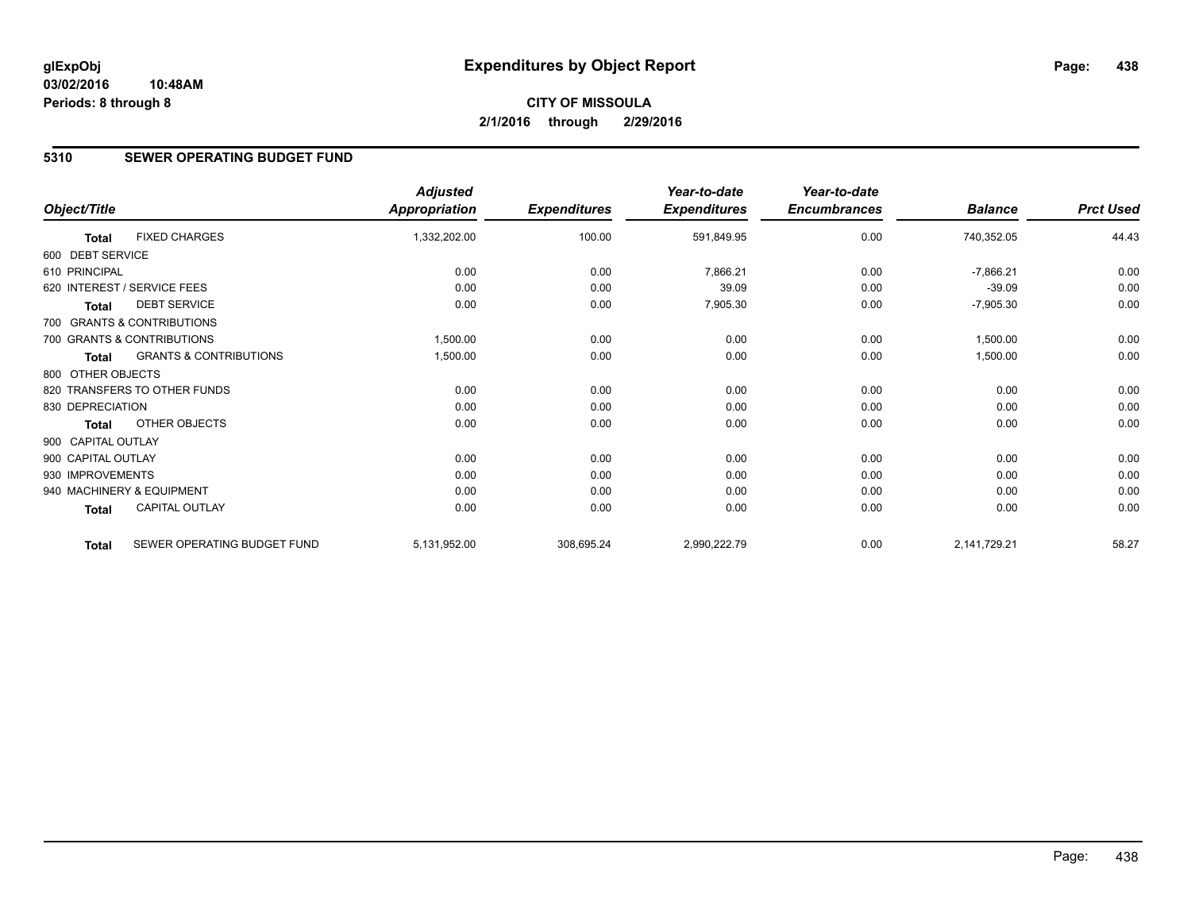## **CITY OF MISSOULA 2/1/2016 through 2/29/2016**

### **5310 SEWER OPERATING BUDGET FUND**

|                    |                                   | <b>Adjusted</b>      |                     | Year-to-date        | Year-to-date        |                |                  |
|--------------------|-----------------------------------|----------------------|---------------------|---------------------|---------------------|----------------|------------------|
| Object/Title       |                                   | <b>Appropriation</b> | <b>Expenditures</b> | <b>Expenditures</b> | <b>Encumbrances</b> | <b>Balance</b> | <b>Prct Used</b> |
| <b>Total</b>       | <b>FIXED CHARGES</b>              | 1,332,202.00         | 100.00              | 591,849.95          | 0.00                | 740,352.05     | 44.43            |
| 600 DEBT SERVICE   |                                   |                      |                     |                     |                     |                |                  |
| 610 PRINCIPAL      |                                   | 0.00                 | 0.00                | 7,866.21            | 0.00                | $-7,866.21$    | 0.00             |
|                    | 620 INTEREST / SERVICE FEES       | 0.00                 | 0.00                | 39.09               | 0.00                | $-39.09$       | 0.00             |
| <b>Total</b>       | <b>DEBT SERVICE</b>               | 0.00                 | 0.00                | 7,905.30            | 0.00                | $-7,905.30$    | 0.00             |
|                    | 700 GRANTS & CONTRIBUTIONS        |                      |                     |                     |                     |                |                  |
|                    | 700 GRANTS & CONTRIBUTIONS        | 1,500.00             | 0.00                | 0.00                | 0.00                | 1,500.00       | 0.00             |
| Total              | <b>GRANTS &amp; CONTRIBUTIONS</b> | 1,500.00             | 0.00                | 0.00                | 0.00                | 1,500.00       | 0.00             |
| 800 OTHER OBJECTS  |                                   |                      |                     |                     |                     |                |                  |
|                    | 820 TRANSFERS TO OTHER FUNDS      | 0.00                 | 0.00                | 0.00                | 0.00                | 0.00           | 0.00             |
| 830 DEPRECIATION   |                                   | 0.00                 | 0.00                | 0.00                | 0.00                | 0.00           | 0.00             |
| <b>Total</b>       | <b>OTHER OBJECTS</b>              | 0.00                 | 0.00                | 0.00                | 0.00                | 0.00           | 0.00             |
| 900 CAPITAL OUTLAY |                                   |                      |                     |                     |                     |                |                  |
| 900 CAPITAL OUTLAY |                                   | 0.00                 | 0.00                | 0.00                | 0.00                | 0.00           | 0.00             |
| 930 IMPROVEMENTS   |                                   | 0.00                 | 0.00                | 0.00                | 0.00                | 0.00           | 0.00             |
|                    | 940 MACHINERY & EQUIPMENT         | 0.00                 | 0.00                | 0.00                | 0.00                | 0.00           | 0.00             |
| Total              | <b>CAPITAL OUTLAY</b>             | 0.00                 | 0.00                | 0.00                | 0.00                | 0.00           | 0.00             |
| <b>Total</b>       | SEWER OPERATING BUDGET FUND       | 5,131,952.00         | 308,695.24          | 2,990,222.79        | 0.00                | 2,141,729.21   | 58.27            |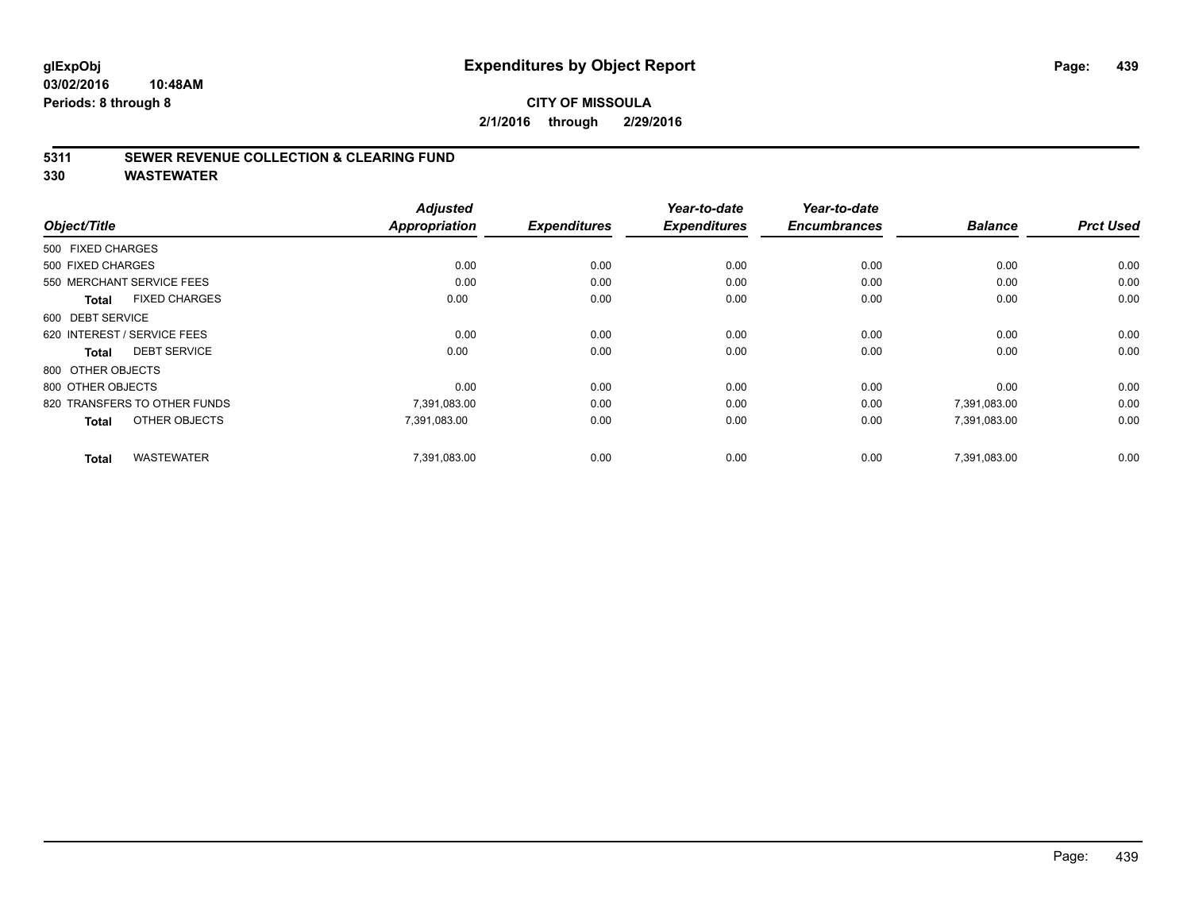## **CITY OF MISSOULA 2/1/2016 through 2/29/2016**

### **5311 SEWER REVENUE COLLECTION & CLEARING FUND**

| Object/Title                         | <b>Adjusted</b><br>Appropriation | <b>Expenditures</b> | Year-to-date<br><b>Expenditures</b> | Year-to-date<br><b>Encumbrances</b> | <b>Balance</b> | <b>Prct Used</b> |
|--------------------------------------|----------------------------------|---------------------|-------------------------------------|-------------------------------------|----------------|------------------|
| 500 FIXED CHARGES                    |                                  |                     |                                     |                                     |                |                  |
| 500 FIXED CHARGES                    | 0.00                             | 0.00                | 0.00                                | 0.00                                | 0.00           | 0.00             |
| 550 MERCHANT SERVICE FEES            | 0.00                             | 0.00                | 0.00                                | 0.00                                | 0.00           | 0.00             |
| <b>FIXED CHARGES</b><br><b>Total</b> | 0.00                             | 0.00                | 0.00                                | 0.00                                | 0.00           | 0.00             |
| 600 DEBT SERVICE                     |                                  |                     |                                     |                                     |                |                  |
| 620 INTEREST / SERVICE FEES          | 0.00                             | 0.00                | 0.00                                | 0.00                                | 0.00           | 0.00             |
| <b>DEBT SERVICE</b><br><b>Total</b>  | 0.00                             | 0.00                | 0.00                                | 0.00                                | 0.00           | 0.00             |
| 800 OTHER OBJECTS                    |                                  |                     |                                     |                                     |                |                  |
| 800 OTHER OBJECTS                    | 0.00                             | 0.00                | 0.00                                | 0.00                                | 0.00           | 0.00             |
| 820 TRANSFERS TO OTHER FUNDS         | 7,391,083.00                     | 0.00                | 0.00                                | 0.00                                | 7,391,083.00   | 0.00             |
| OTHER OBJECTS<br><b>Total</b>        | 7,391,083.00                     | 0.00                | 0.00                                | 0.00                                | 7,391,083.00   | 0.00             |
| <b>WASTEWATER</b><br><b>Total</b>    | 7,391,083.00                     | 0.00                | 0.00                                | 0.00                                | 7.391.083.00   | 0.00             |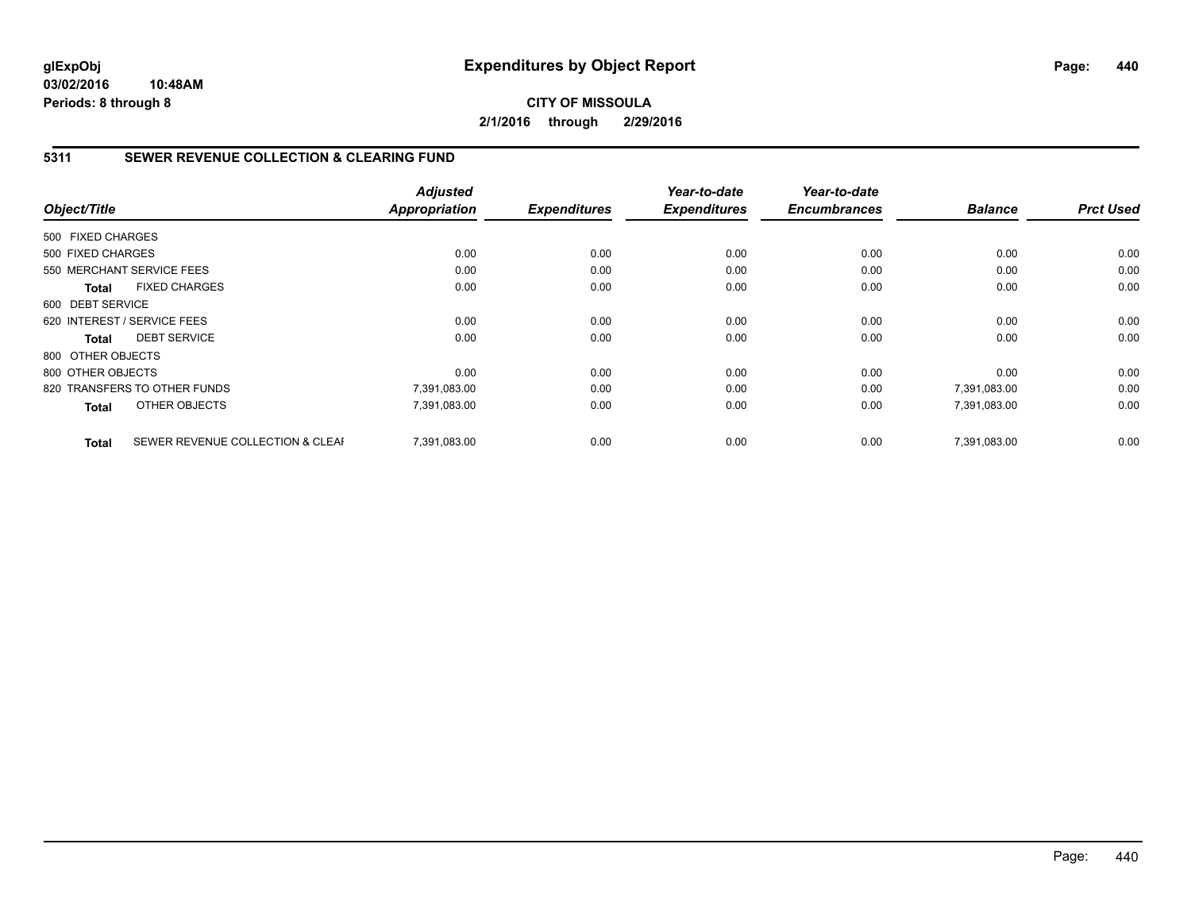## **5311 SEWER REVENUE COLLECTION & CLEARING FUND**

|                   |                                  | <b>Adjusted</b>      |                     | Year-to-date        | Year-to-date        |                |                  |
|-------------------|----------------------------------|----------------------|---------------------|---------------------|---------------------|----------------|------------------|
| Object/Title      |                                  | <b>Appropriation</b> | <b>Expenditures</b> | <b>Expenditures</b> | <b>Encumbrances</b> | <b>Balance</b> | <b>Prct Used</b> |
| 500 FIXED CHARGES |                                  |                      |                     |                     |                     |                |                  |
| 500 FIXED CHARGES |                                  | 0.00                 | 0.00                | 0.00                | 0.00                | 0.00           | 0.00             |
|                   | 550 MERCHANT SERVICE FEES        | 0.00                 | 0.00                | 0.00                | 0.00                | 0.00           | 0.00             |
| <b>Total</b>      | <b>FIXED CHARGES</b>             | 0.00                 | 0.00                | 0.00                | 0.00                | 0.00           | 0.00             |
| 600 DEBT SERVICE  |                                  |                      |                     |                     |                     |                |                  |
|                   | 620 INTEREST / SERVICE FEES      | 0.00                 | 0.00                | 0.00                | 0.00                | 0.00           | 0.00             |
| <b>Total</b>      | <b>DEBT SERVICE</b>              | 0.00                 | 0.00                | 0.00                | 0.00                | 0.00           | 0.00             |
| 800 OTHER OBJECTS |                                  |                      |                     |                     |                     |                |                  |
| 800 OTHER OBJECTS |                                  | 0.00                 | 0.00                | 0.00                | 0.00                | 0.00           | 0.00             |
|                   | 820 TRANSFERS TO OTHER FUNDS     | 7,391,083.00         | 0.00                | 0.00                | 0.00                | 7,391,083.00   | 0.00             |
| <b>Total</b>      | OTHER OBJECTS                    | 7,391,083.00         | 0.00                | 0.00                | 0.00                | 7,391,083.00   | 0.00             |
| <b>Total</b>      | SEWER REVENUE COLLECTION & CLEAF | 7.391.083.00         | 0.00                | 0.00                | 0.00                | 7.391.083.00   | 0.00             |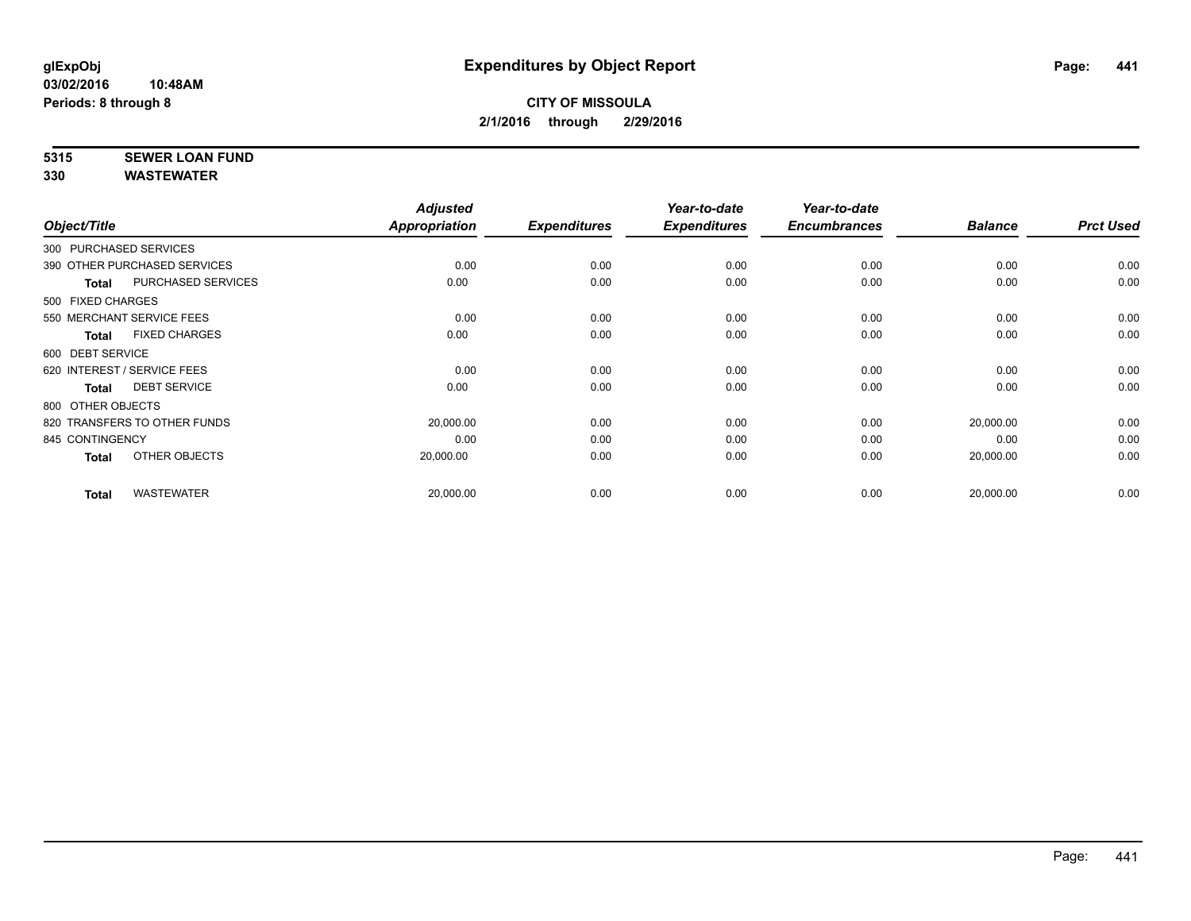# **5315 SEWER LOAN FUND**

|                        |                              | <b>Adjusted</b> |                     | Year-to-date        | Year-to-date        |                |                  |
|------------------------|------------------------------|-----------------|---------------------|---------------------|---------------------|----------------|------------------|
| Object/Title           |                              | Appropriation   | <b>Expenditures</b> | <b>Expenditures</b> | <b>Encumbrances</b> | <b>Balance</b> | <b>Prct Used</b> |
| 300 PURCHASED SERVICES |                              |                 |                     |                     |                     |                |                  |
|                        | 390 OTHER PURCHASED SERVICES | 0.00            | 0.00                | 0.00                | 0.00                | 0.00           | 0.00             |
| Total                  | PURCHASED SERVICES           | 0.00            | 0.00                | 0.00                | 0.00                | 0.00           | 0.00             |
| 500 FIXED CHARGES      |                              |                 |                     |                     |                     |                |                  |
|                        | 550 MERCHANT SERVICE FEES    | 0.00            | 0.00                | 0.00                | 0.00                | 0.00           | 0.00             |
| Total                  | <b>FIXED CHARGES</b>         | 0.00            | 0.00                | 0.00                | 0.00                | 0.00           | 0.00             |
| 600 DEBT SERVICE       |                              |                 |                     |                     |                     |                |                  |
|                        | 620 INTEREST / SERVICE FEES  | 0.00            | 0.00                | 0.00                | 0.00                | 0.00           | 0.00             |
| <b>Total</b>           | <b>DEBT SERVICE</b>          | 0.00            | 0.00                | 0.00                | 0.00                | 0.00           | 0.00             |
| 800 OTHER OBJECTS      |                              |                 |                     |                     |                     |                |                  |
|                        | 820 TRANSFERS TO OTHER FUNDS | 20,000.00       | 0.00                | 0.00                | 0.00                | 20,000.00      | 0.00             |
| 845 CONTINGENCY        |                              | 0.00            | 0.00                | 0.00                | 0.00                | 0.00           | 0.00             |
| <b>Total</b>           | OTHER OBJECTS                | 20,000.00       | 0.00                | 0.00                | 0.00                | 20,000.00      | 0.00             |
| <b>Total</b>           | <b>WASTEWATER</b>            | 20,000.00       | 0.00                | 0.00                | 0.00                | 20,000.00      | 0.00             |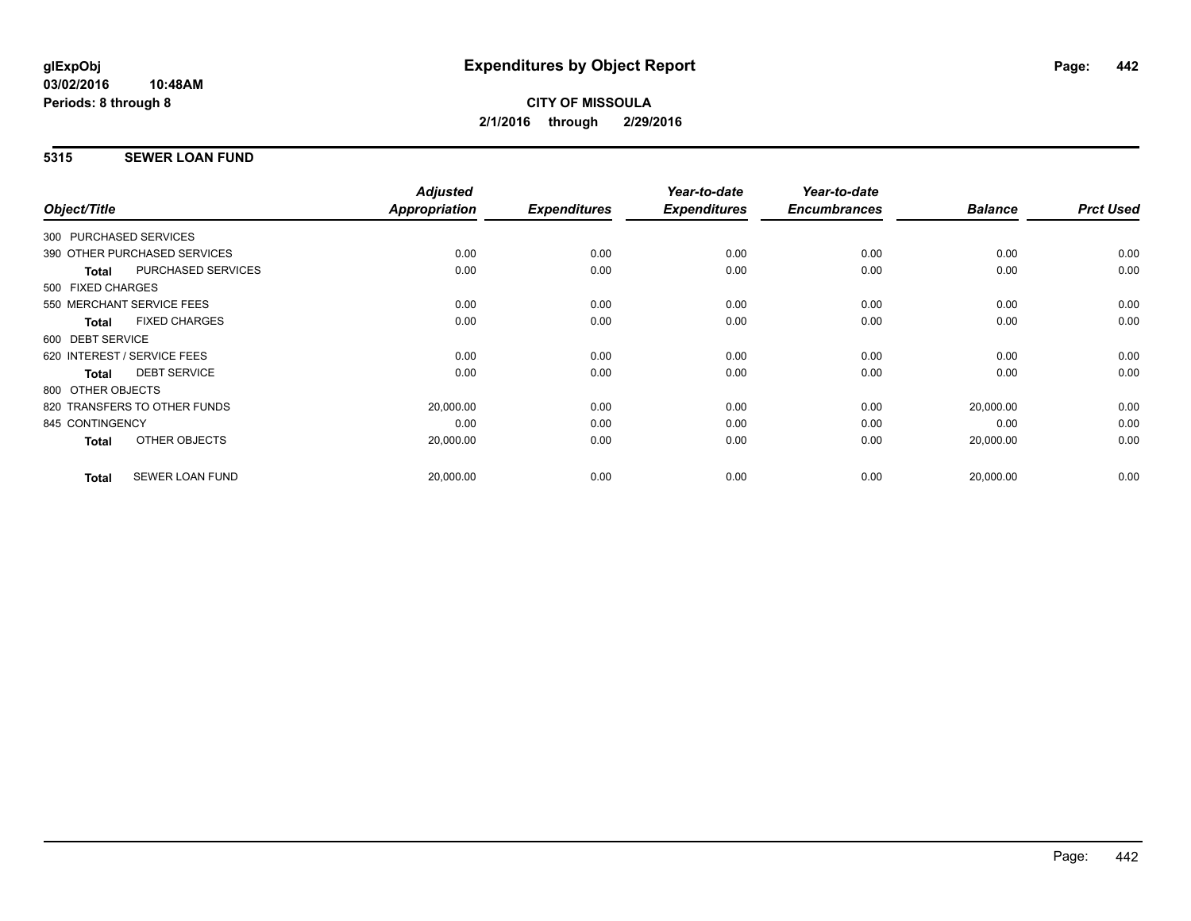# **5315 SEWER LOAN FUND**

|                                           | <b>Adjusted</b> |                     | Year-to-date        | Year-to-date        |                |                  |
|-------------------------------------------|-----------------|---------------------|---------------------|---------------------|----------------|------------------|
| Object/Title                              | Appropriation   | <b>Expenditures</b> | <b>Expenditures</b> | <b>Encumbrances</b> | <b>Balance</b> | <b>Prct Used</b> |
| 300 PURCHASED SERVICES                    |                 |                     |                     |                     |                |                  |
| 390 OTHER PURCHASED SERVICES              | 0.00            | 0.00                | 0.00                | 0.00                | 0.00           | 0.00             |
| <b>PURCHASED SERVICES</b><br><b>Total</b> | 0.00            | 0.00                | 0.00                | 0.00                | 0.00           | 0.00             |
| 500 FIXED CHARGES                         |                 |                     |                     |                     |                |                  |
| 550 MERCHANT SERVICE FEES                 | 0.00            | 0.00                | 0.00                | 0.00                | 0.00           | 0.00             |
| <b>FIXED CHARGES</b><br><b>Total</b>      | 0.00            | 0.00                | 0.00                | 0.00                | 0.00           | 0.00             |
| 600 DEBT SERVICE                          |                 |                     |                     |                     |                |                  |
| 620 INTEREST / SERVICE FEES               | 0.00            | 0.00                | 0.00                | 0.00                | 0.00           | 0.00             |
| <b>DEBT SERVICE</b><br><b>Total</b>       | 0.00            | 0.00                | 0.00                | 0.00                | 0.00           | 0.00             |
| 800 OTHER OBJECTS                         |                 |                     |                     |                     |                |                  |
| 820 TRANSFERS TO OTHER FUNDS              | 20,000.00       | 0.00                | 0.00                | 0.00                | 20,000.00      | 0.00             |
| 845 CONTINGENCY                           | 0.00            | 0.00                | 0.00                | 0.00                | 0.00           | 0.00             |
| OTHER OBJECTS<br>Total                    | 20,000.00       | 0.00                | 0.00                | 0.00                | 20,000.00      | 0.00             |
| <b>SEWER LOAN FUND</b><br><b>Total</b>    | 20,000.00       | 0.00                | 0.00                | 0.00                | 20,000.00      | 0.00             |
|                                           |                 |                     |                     |                     |                |                  |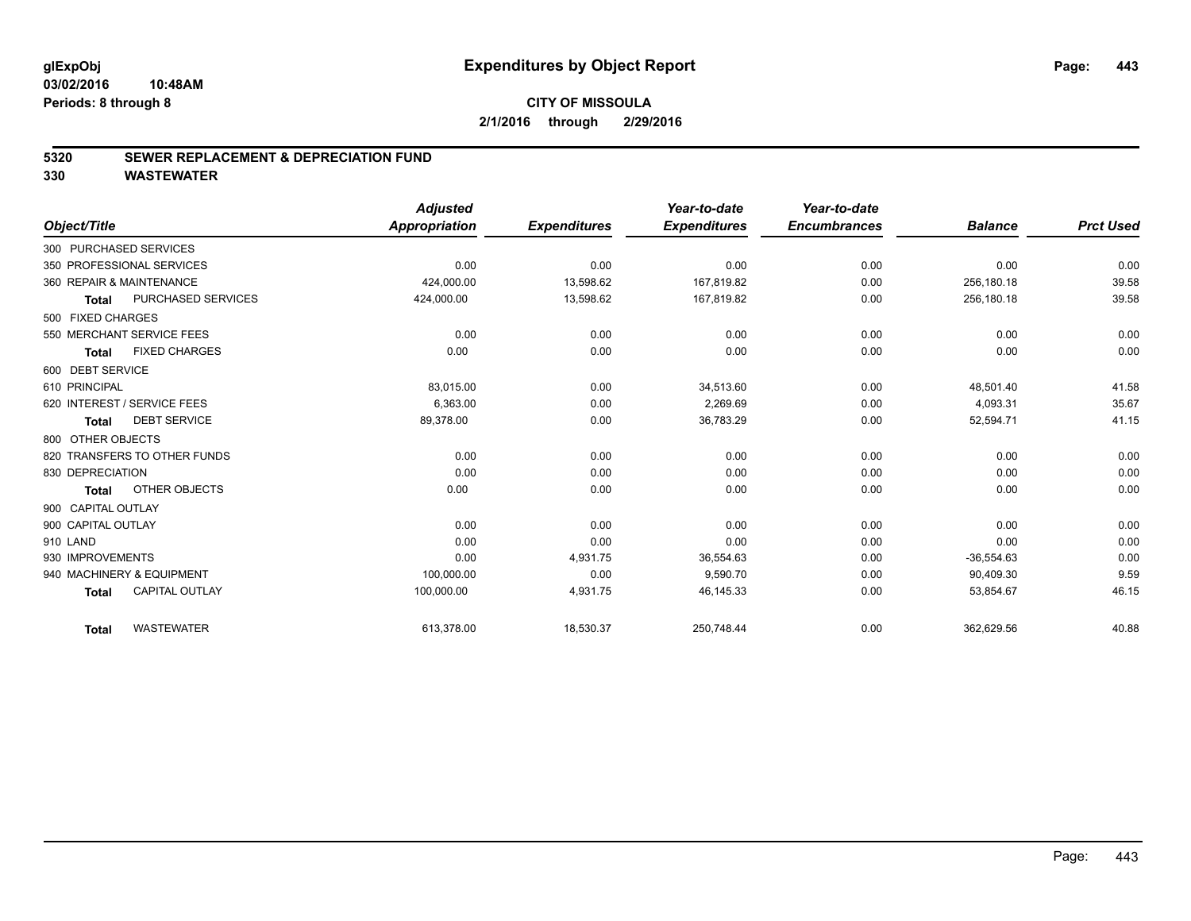### **5320 SEWER REPLACEMENT & DEPRECIATION FUND**

|                                       | <b>Adjusted</b>      |                     | Year-to-date        | Year-to-date        |                |                  |
|---------------------------------------|----------------------|---------------------|---------------------|---------------------|----------------|------------------|
| Object/Title                          | <b>Appropriation</b> | <b>Expenditures</b> | <b>Expenditures</b> | <b>Encumbrances</b> | <b>Balance</b> | <b>Prct Used</b> |
| 300 PURCHASED SERVICES                |                      |                     |                     |                     |                |                  |
| 350 PROFESSIONAL SERVICES             | 0.00                 | 0.00                | 0.00                | 0.00                | 0.00           | 0.00             |
| 360 REPAIR & MAINTENANCE              | 424,000.00           | 13,598.62           | 167,819.82          | 0.00                | 256,180.18     | 39.58            |
| PURCHASED SERVICES<br><b>Total</b>    | 424,000.00           | 13,598.62           | 167,819.82          | 0.00                | 256,180.18     | 39.58            |
| 500 FIXED CHARGES                     |                      |                     |                     |                     |                |                  |
| 550 MERCHANT SERVICE FEES             | 0.00                 | 0.00                | 0.00                | 0.00                | 0.00           | 0.00             |
| <b>FIXED CHARGES</b><br><b>Total</b>  | 0.00                 | 0.00                | 0.00                | 0.00                | 0.00           | 0.00             |
| 600 DEBT SERVICE                      |                      |                     |                     |                     |                |                  |
| 610 PRINCIPAL                         | 83,015.00            | 0.00                | 34,513.60           | 0.00                | 48,501.40      | 41.58            |
| 620 INTEREST / SERVICE FEES           | 6,363.00             | 0.00                | 2,269.69            | 0.00                | 4,093.31       | 35.67            |
| <b>DEBT SERVICE</b><br><b>Total</b>   | 89,378.00            | 0.00                | 36,783.29           | 0.00                | 52,594.71      | 41.15            |
| 800 OTHER OBJECTS                     |                      |                     |                     |                     |                |                  |
| 820 TRANSFERS TO OTHER FUNDS          | 0.00                 | 0.00                | 0.00                | 0.00                | 0.00           | 0.00             |
| 830 DEPRECIATION                      | 0.00                 | 0.00                | 0.00                | 0.00                | 0.00           | 0.00             |
| OTHER OBJECTS<br><b>Total</b>         | 0.00                 | 0.00                | 0.00                | 0.00                | 0.00           | 0.00             |
| 900 CAPITAL OUTLAY                    |                      |                     |                     |                     |                |                  |
| 900 CAPITAL OUTLAY                    | 0.00                 | 0.00                | 0.00                | 0.00                | 0.00           | 0.00             |
| 910 LAND                              | 0.00                 | 0.00                | 0.00                | 0.00                | 0.00           | 0.00             |
| 930 IMPROVEMENTS                      | 0.00                 | 4,931.75            | 36,554.63           | 0.00                | $-36,554.63$   | 0.00             |
| 940 MACHINERY & EQUIPMENT             | 100,000.00           | 0.00                | 9,590.70            | 0.00                | 90,409.30      | 9.59             |
| <b>CAPITAL OUTLAY</b><br><b>Total</b> | 100,000.00           | 4,931.75            | 46,145.33           | 0.00                | 53,854.67      | 46.15            |
| <b>WASTEWATER</b><br><b>Total</b>     | 613,378.00           | 18,530.37           | 250.748.44          | 0.00                | 362,629.56     | 40.88            |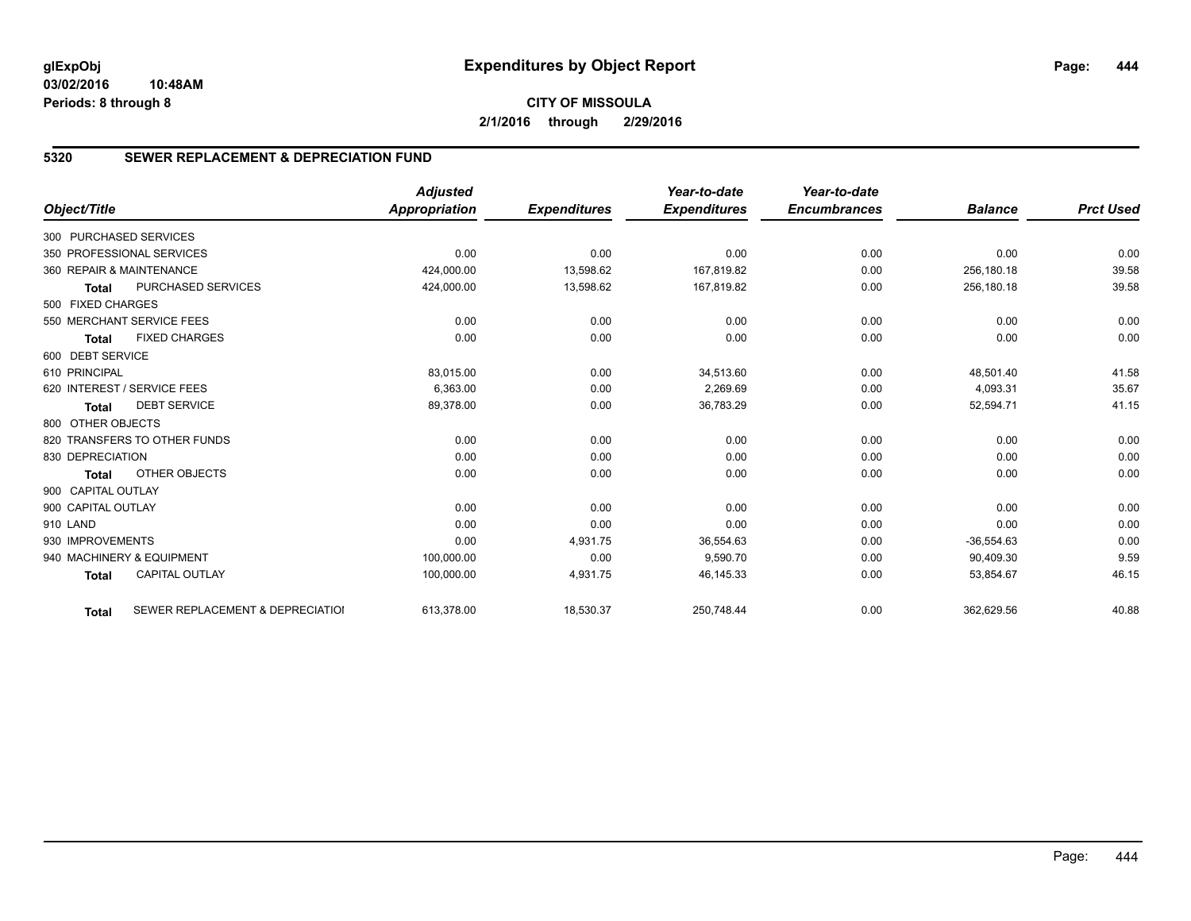## **CITY OF MISSOULA 2/1/2016 through 2/29/2016**

## **5320 SEWER REPLACEMENT & DEPRECIATION FUND**

|                        |                                  | <b>Adjusted</b>      |                     | Year-to-date        | Year-to-date        |                |                  |
|------------------------|----------------------------------|----------------------|---------------------|---------------------|---------------------|----------------|------------------|
| Object/Title           |                                  | <b>Appropriation</b> | <b>Expenditures</b> | <b>Expenditures</b> | <b>Encumbrances</b> | <b>Balance</b> | <b>Prct Used</b> |
| 300 PURCHASED SERVICES |                                  |                      |                     |                     |                     |                |                  |
|                        | 350 PROFESSIONAL SERVICES        | 0.00                 | 0.00                | 0.00                | 0.00                | 0.00           | 0.00             |
|                        | 360 REPAIR & MAINTENANCE         | 424,000.00           | 13,598.62           | 167,819.82          | 0.00                | 256.180.18     | 39.58            |
| <b>Total</b>           | <b>PURCHASED SERVICES</b>        | 424,000.00           | 13,598.62           | 167,819.82          | 0.00                | 256,180.18     | 39.58            |
| 500 FIXED CHARGES      |                                  |                      |                     |                     |                     |                |                  |
|                        | 550 MERCHANT SERVICE FEES        | 0.00                 | 0.00                | 0.00                | 0.00                | 0.00           | 0.00             |
| <b>Total</b>           | <b>FIXED CHARGES</b>             | 0.00                 | 0.00                | 0.00                | 0.00                | 0.00           | 0.00             |
| 600 DEBT SERVICE       |                                  |                      |                     |                     |                     |                |                  |
| 610 PRINCIPAL          |                                  | 83,015.00            | 0.00                | 34,513.60           | 0.00                | 48,501.40      | 41.58            |
|                        | 620 INTEREST / SERVICE FEES      | 6,363.00             | 0.00                | 2,269.69            | 0.00                | 4,093.31       | 35.67            |
| <b>Total</b>           | <b>DEBT SERVICE</b>              | 89,378.00            | 0.00                | 36,783.29           | 0.00                | 52,594.71      | 41.15            |
| 800 OTHER OBJECTS      |                                  |                      |                     |                     |                     |                |                  |
|                        | 820 TRANSFERS TO OTHER FUNDS     | 0.00                 | 0.00                | 0.00                | 0.00                | 0.00           | 0.00             |
| 830 DEPRECIATION       |                                  | 0.00                 | 0.00                | 0.00                | 0.00                | 0.00           | 0.00             |
| <b>Total</b>           | OTHER OBJECTS                    | 0.00                 | 0.00                | 0.00                | 0.00                | 0.00           | 0.00             |
| 900 CAPITAL OUTLAY     |                                  |                      |                     |                     |                     |                |                  |
| 900 CAPITAL OUTLAY     |                                  | 0.00                 | 0.00                | 0.00                | 0.00                | 0.00           | 0.00             |
| 910 LAND               |                                  | 0.00                 | 0.00                | 0.00                | 0.00                | 0.00           | 0.00             |
| 930 IMPROVEMENTS       |                                  | 0.00                 | 4,931.75            | 36,554.63           | 0.00                | $-36,554.63$   | 0.00             |
|                        | 940 MACHINERY & EQUIPMENT        | 100,000.00           | 0.00                | 9,590.70            | 0.00                | 90,409.30      | 9.59             |
| <b>Total</b>           | <b>CAPITAL OUTLAY</b>            | 100,000.00           | 4,931.75            | 46,145.33           | 0.00                | 53,854.67      | 46.15            |
| <b>Total</b>           | SEWER REPLACEMENT & DEPRECIATION | 613,378.00           | 18,530.37           | 250,748.44          | 0.00                | 362,629.56     | 40.88            |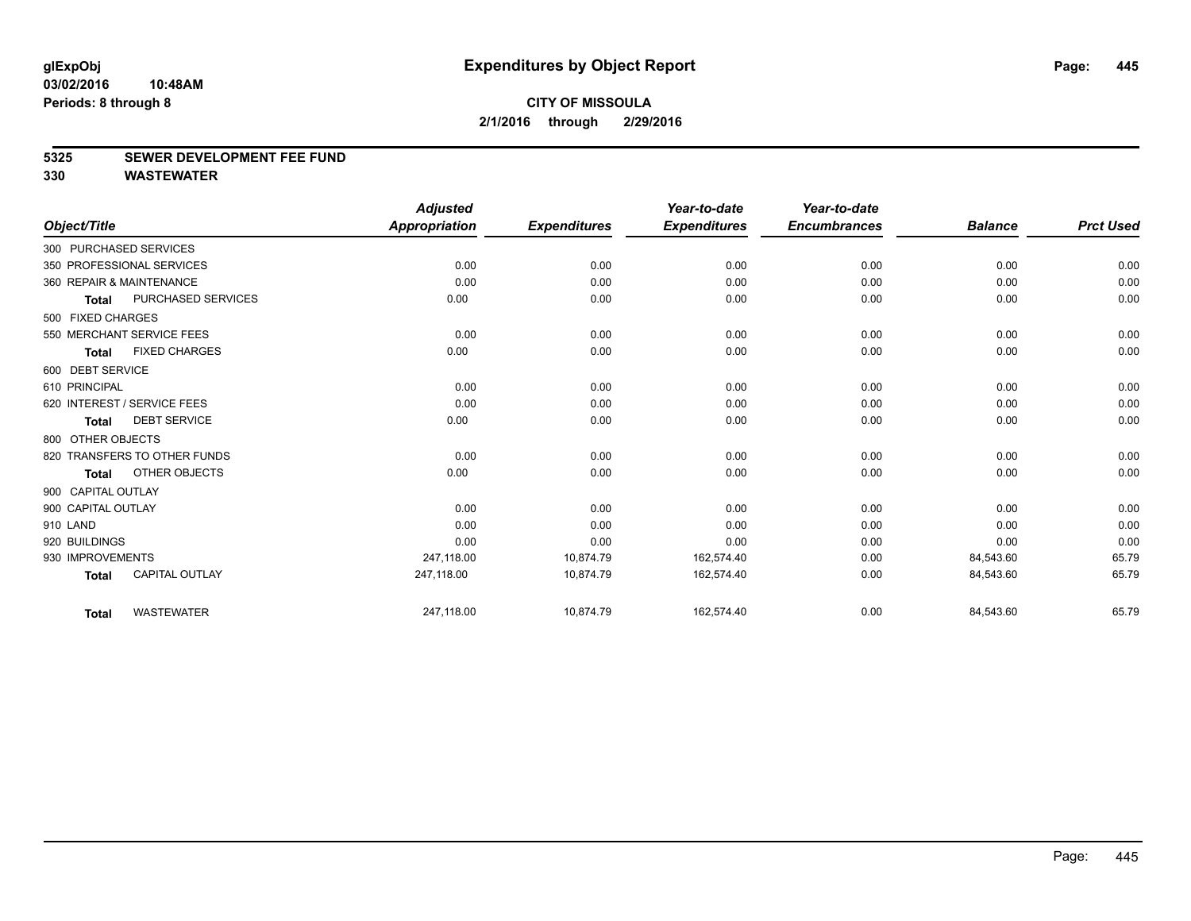#### **5325 SEWER DEVELOPMENT FEE FUND**

|                             |                              | <b>Adjusted</b> |                     | Year-to-date        | Year-to-date        |                |                  |
|-----------------------------|------------------------------|-----------------|---------------------|---------------------|---------------------|----------------|------------------|
| Object/Title                |                              | Appropriation   | <b>Expenditures</b> | <b>Expenditures</b> | <b>Encumbrances</b> | <b>Balance</b> | <b>Prct Used</b> |
| 300 PURCHASED SERVICES      |                              |                 |                     |                     |                     |                |                  |
| 350 PROFESSIONAL SERVICES   |                              | 0.00            | 0.00                | 0.00                | 0.00                | 0.00           | 0.00             |
| 360 REPAIR & MAINTENANCE    |                              | 0.00            | 0.00                | 0.00                | 0.00                | 0.00           | 0.00             |
| <b>Total</b>                | PURCHASED SERVICES           | 0.00            | 0.00                | 0.00                | 0.00                | 0.00           | 0.00             |
| 500 FIXED CHARGES           |                              |                 |                     |                     |                     |                |                  |
| 550 MERCHANT SERVICE FEES   |                              | 0.00            | 0.00                | 0.00                | 0.00                | 0.00           | 0.00             |
| Total                       | <b>FIXED CHARGES</b>         | 0.00            | 0.00                | 0.00                | 0.00                | 0.00           | 0.00             |
| 600 DEBT SERVICE            |                              |                 |                     |                     |                     |                |                  |
| 610 PRINCIPAL               |                              | 0.00            | 0.00                | 0.00                | 0.00                | 0.00           | 0.00             |
| 620 INTEREST / SERVICE FEES |                              | 0.00            | 0.00                | 0.00                | 0.00                | 0.00           | 0.00             |
| <b>Total</b>                | <b>DEBT SERVICE</b>          | 0.00            | 0.00                | 0.00                | 0.00                | 0.00           | 0.00             |
| 800 OTHER OBJECTS           |                              |                 |                     |                     |                     |                |                  |
|                             | 820 TRANSFERS TO OTHER FUNDS | 0.00            | 0.00                | 0.00                | 0.00                | 0.00           | 0.00             |
| <b>Total</b>                | OTHER OBJECTS                | 0.00            | 0.00                | 0.00                | 0.00                | 0.00           | 0.00             |
| 900 CAPITAL OUTLAY          |                              |                 |                     |                     |                     |                |                  |
| 900 CAPITAL OUTLAY          |                              | 0.00            | 0.00                | 0.00                | 0.00                | 0.00           | 0.00             |
| 910 LAND                    |                              | 0.00            | 0.00                | 0.00                | 0.00                | 0.00           | 0.00             |
| 920 BUILDINGS               |                              | 0.00            | 0.00                | 0.00                | 0.00                | 0.00           | 0.00             |
| 930 IMPROVEMENTS            |                              | 247,118.00      | 10,874.79           | 162,574.40          | 0.00                | 84,543.60      | 65.79            |
| <b>Total</b>                | <b>CAPITAL OUTLAY</b>        | 247,118.00      | 10,874.79           | 162,574.40          | 0.00                | 84,543.60      | 65.79            |
| <b>Total</b>                | <b>WASTEWATER</b>            | 247,118.00      | 10,874.79           | 162,574.40          | 0.00                | 84,543.60      | 65.79            |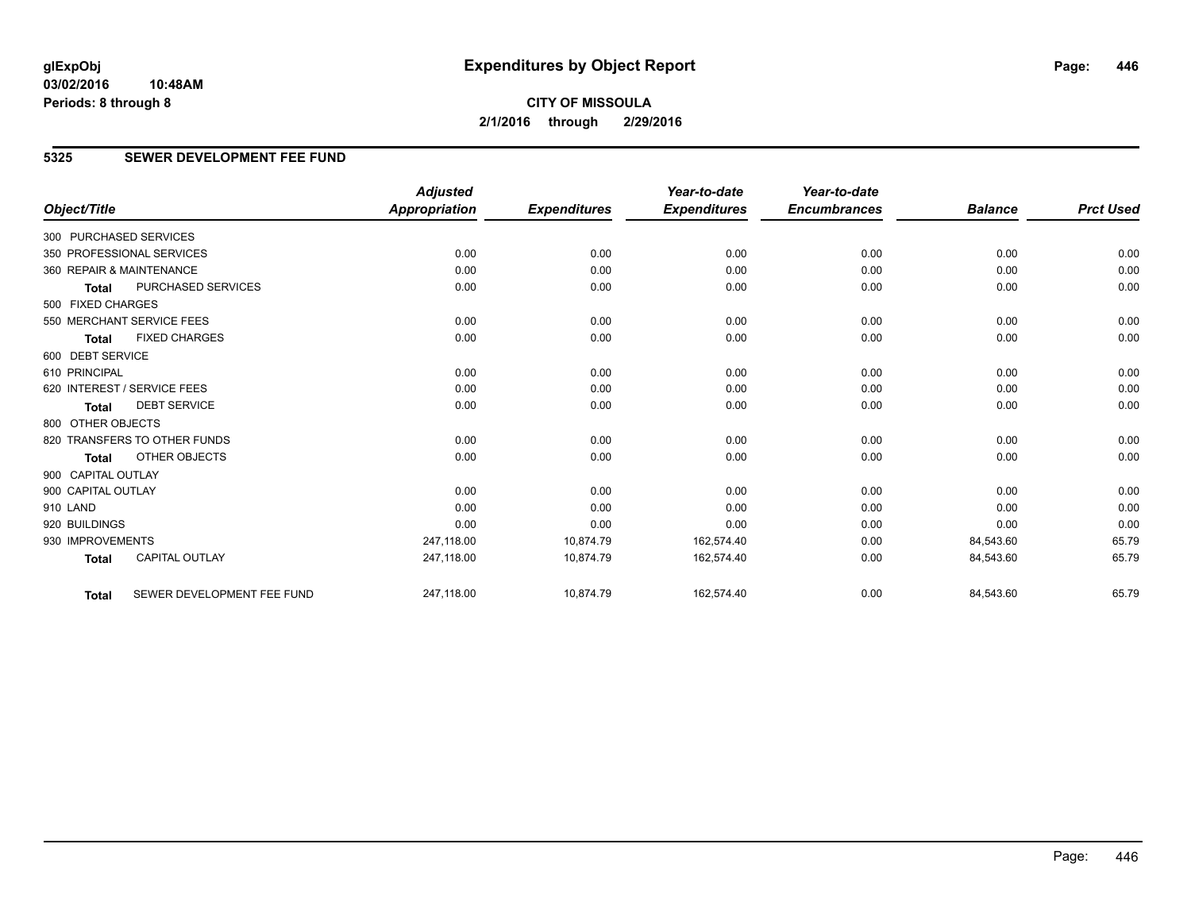## **CITY OF MISSOULA 2/1/2016 through 2/29/2016**

### **5325 SEWER DEVELOPMENT FEE FUND**

|                        |                              | <b>Adjusted</b>      |                     | Year-to-date        | Year-to-date        |                |                  |
|------------------------|------------------------------|----------------------|---------------------|---------------------|---------------------|----------------|------------------|
| Object/Title           |                              | <b>Appropriation</b> | <b>Expenditures</b> | <b>Expenditures</b> | <b>Encumbrances</b> | <b>Balance</b> | <b>Prct Used</b> |
| 300 PURCHASED SERVICES |                              |                      |                     |                     |                     |                |                  |
|                        | 350 PROFESSIONAL SERVICES    | 0.00                 | 0.00                | 0.00                | 0.00                | 0.00           | 0.00             |
|                        | 360 REPAIR & MAINTENANCE     | 0.00                 | 0.00                | 0.00                | 0.00                | 0.00           | 0.00             |
| <b>Total</b>           | <b>PURCHASED SERVICES</b>    | 0.00                 | 0.00                | 0.00                | 0.00                | 0.00           | 0.00             |
| 500 FIXED CHARGES      |                              |                      |                     |                     |                     |                |                  |
|                        | 550 MERCHANT SERVICE FEES    | 0.00                 | 0.00                | 0.00                | 0.00                | 0.00           | 0.00             |
| <b>Total</b>           | <b>FIXED CHARGES</b>         | 0.00                 | 0.00                | 0.00                | 0.00                | 0.00           | 0.00             |
| 600 DEBT SERVICE       |                              |                      |                     |                     |                     |                |                  |
| 610 PRINCIPAL          |                              | 0.00                 | 0.00                | 0.00                | 0.00                | 0.00           | 0.00             |
|                        | 620 INTEREST / SERVICE FEES  | 0.00                 | 0.00                | 0.00                | 0.00                | 0.00           | 0.00             |
| <b>Total</b>           | <b>DEBT SERVICE</b>          | 0.00                 | 0.00                | 0.00                | 0.00                | 0.00           | 0.00             |
| 800 OTHER OBJECTS      |                              |                      |                     |                     |                     |                |                  |
|                        | 820 TRANSFERS TO OTHER FUNDS | 0.00                 | 0.00                | 0.00                | 0.00                | 0.00           | 0.00             |
| <b>Total</b>           | OTHER OBJECTS                | 0.00                 | 0.00                | 0.00                | 0.00                | 0.00           | 0.00             |
| 900 CAPITAL OUTLAY     |                              |                      |                     |                     |                     |                |                  |
| 900 CAPITAL OUTLAY     |                              | 0.00                 | 0.00                | 0.00                | 0.00                | 0.00           | 0.00             |
| 910 LAND               |                              | 0.00                 | 0.00                | 0.00                | 0.00                | 0.00           | 0.00             |
| 920 BUILDINGS          |                              | 0.00                 | 0.00                | 0.00                | 0.00                | 0.00           | 0.00             |
| 930 IMPROVEMENTS       |                              | 247,118.00           | 10,874.79           | 162,574.40          | 0.00                | 84,543.60      | 65.79            |
| <b>Total</b>           | <b>CAPITAL OUTLAY</b>        | 247,118.00           | 10,874.79           | 162,574.40          | 0.00                | 84,543.60      | 65.79            |
| Total                  | SEWER DEVELOPMENT FEE FUND   | 247,118.00           | 10,874.79           | 162,574.40          | 0.00                | 84,543.60      | 65.79            |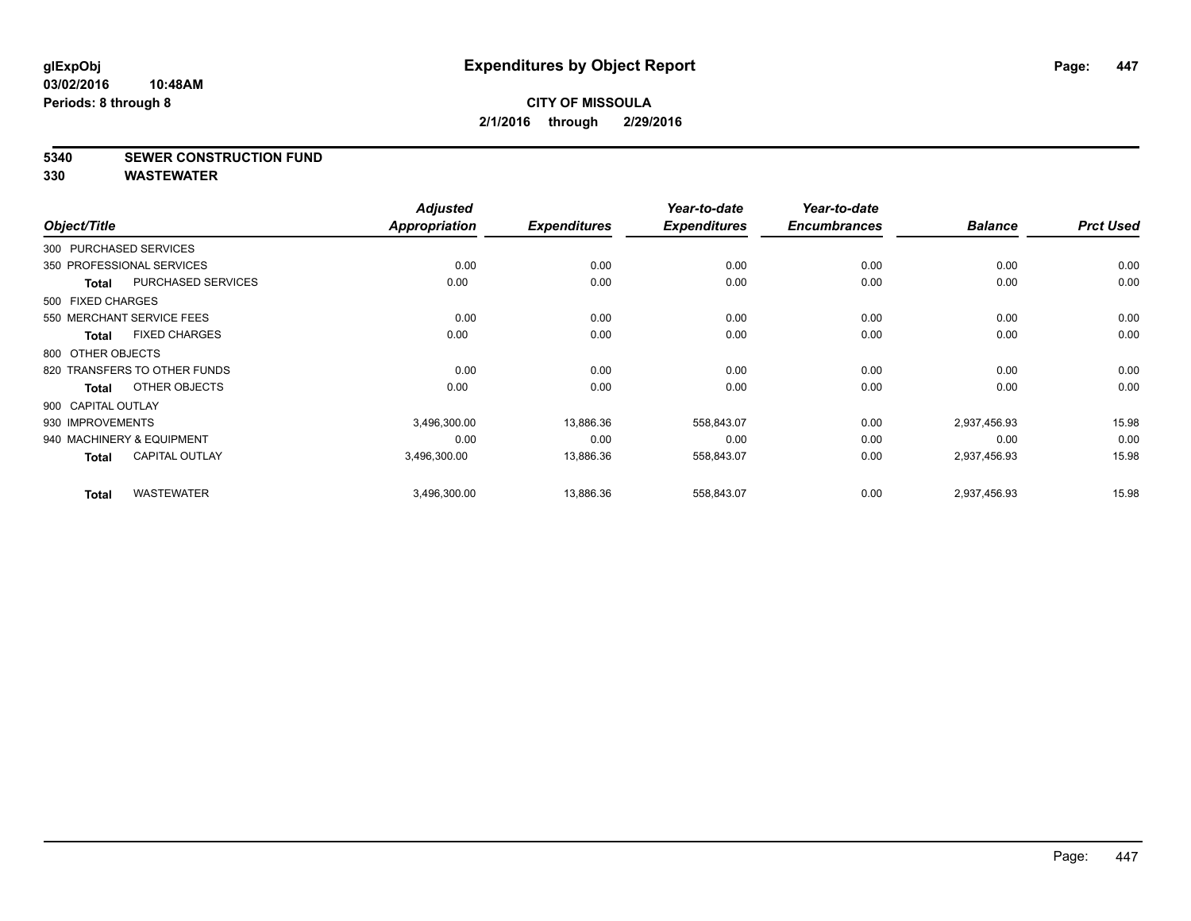### **5340 SEWER CONSTRUCTION FUND**

|                        |                              | <b>Adjusted</b>      |                     | Year-to-date        | Year-to-date        |                |                  |
|------------------------|------------------------------|----------------------|---------------------|---------------------|---------------------|----------------|------------------|
| Object/Title           |                              | <b>Appropriation</b> | <b>Expenditures</b> | <b>Expenditures</b> | <b>Encumbrances</b> | <b>Balance</b> | <b>Prct Used</b> |
| 300 PURCHASED SERVICES |                              |                      |                     |                     |                     |                |                  |
|                        | 350 PROFESSIONAL SERVICES    | 0.00                 | 0.00                | 0.00                | 0.00                | 0.00           | 0.00             |
| <b>Total</b>           | <b>PURCHASED SERVICES</b>    | 0.00                 | 0.00                | 0.00                | 0.00                | 0.00           | 0.00             |
| 500 FIXED CHARGES      |                              |                      |                     |                     |                     |                |                  |
|                        | 550 MERCHANT SERVICE FEES    | 0.00                 | 0.00                | 0.00                | 0.00                | 0.00           | 0.00             |
| Total                  | <b>FIXED CHARGES</b>         | 0.00                 | 0.00                | 0.00                | 0.00                | 0.00           | 0.00             |
| 800 OTHER OBJECTS      |                              |                      |                     |                     |                     |                |                  |
|                        | 820 TRANSFERS TO OTHER FUNDS | 0.00                 | 0.00                | 0.00                | 0.00                | 0.00           | 0.00             |
| Total                  | OTHER OBJECTS                | 0.00                 | 0.00                | 0.00                | 0.00                | 0.00           | 0.00             |
| 900 CAPITAL OUTLAY     |                              |                      |                     |                     |                     |                |                  |
| 930 IMPROVEMENTS       |                              | 3,496,300.00         | 13,886.36           | 558,843.07          | 0.00                | 2,937,456.93   | 15.98            |
|                        | 940 MACHINERY & EQUIPMENT    | 0.00                 | 0.00                | 0.00                | 0.00                | 0.00           | 0.00             |
| Total                  | <b>CAPITAL OUTLAY</b>        | 3,496,300.00         | 13,886.36           | 558,843.07          | 0.00                | 2,937,456.93   | 15.98            |
| <b>Total</b>           | <b>WASTEWATER</b>            | 3,496,300.00         | 13,886.36           | 558,843.07          | 0.00                | 2,937,456.93   | 15.98            |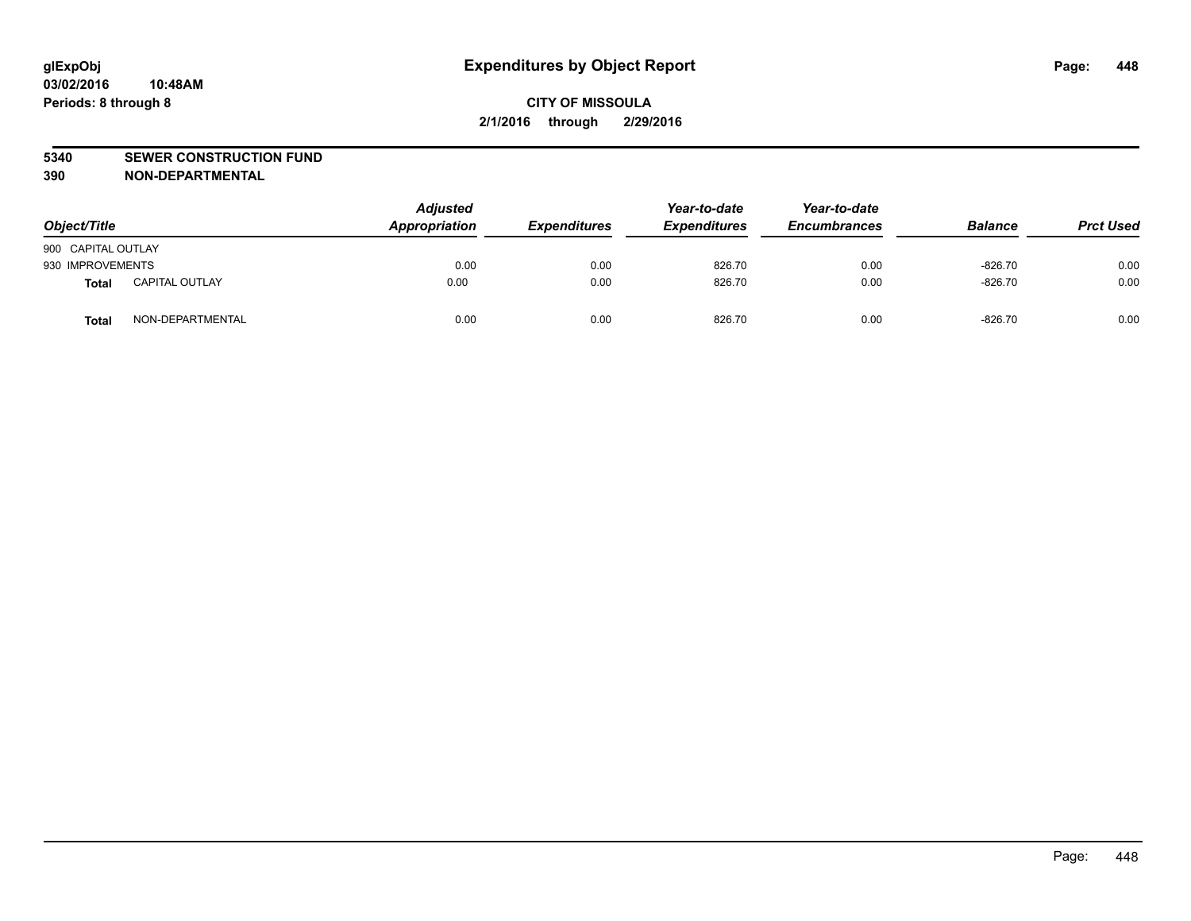#### **5340 SEWER CONSTRUCTION FUND**

**390 NON-DEPARTMENTAL**

| Object/Title       |                       | <b>Adjusted</b><br>Appropriation | <b>Expenditures</b> | Year-to-date<br><b>Expenditures</b> | Year-to-date<br><b>Encumbrances</b> | <b>Balance</b> | <b>Prct Used</b> |
|--------------------|-----------------------|----------------------------------|---------------------|-------------------------------------|-------------------------------------|----------------|------------------|
| 900 CAPITAL OUTLAY |                       |                                  |                     |                                     |                                     |                |                  |
| 930 IMPROVEMENTS   |                       | 0.00                             | 0.00                | 826.70                              | 0.00                                | $-826.70$      | 0.00             |
| <b>Total</b>       | <b>CAPITAL OUTLAY</b> | 0.00                             | 0.00                | 826.70                              | 0.00                                | $-826.70$      | 0.00             |
| Total              | NON-DEPARTMENTAL      | 0.00                             | 0.00                | 826.70                              | 0.00                                | $-826.70$      | 0.00             |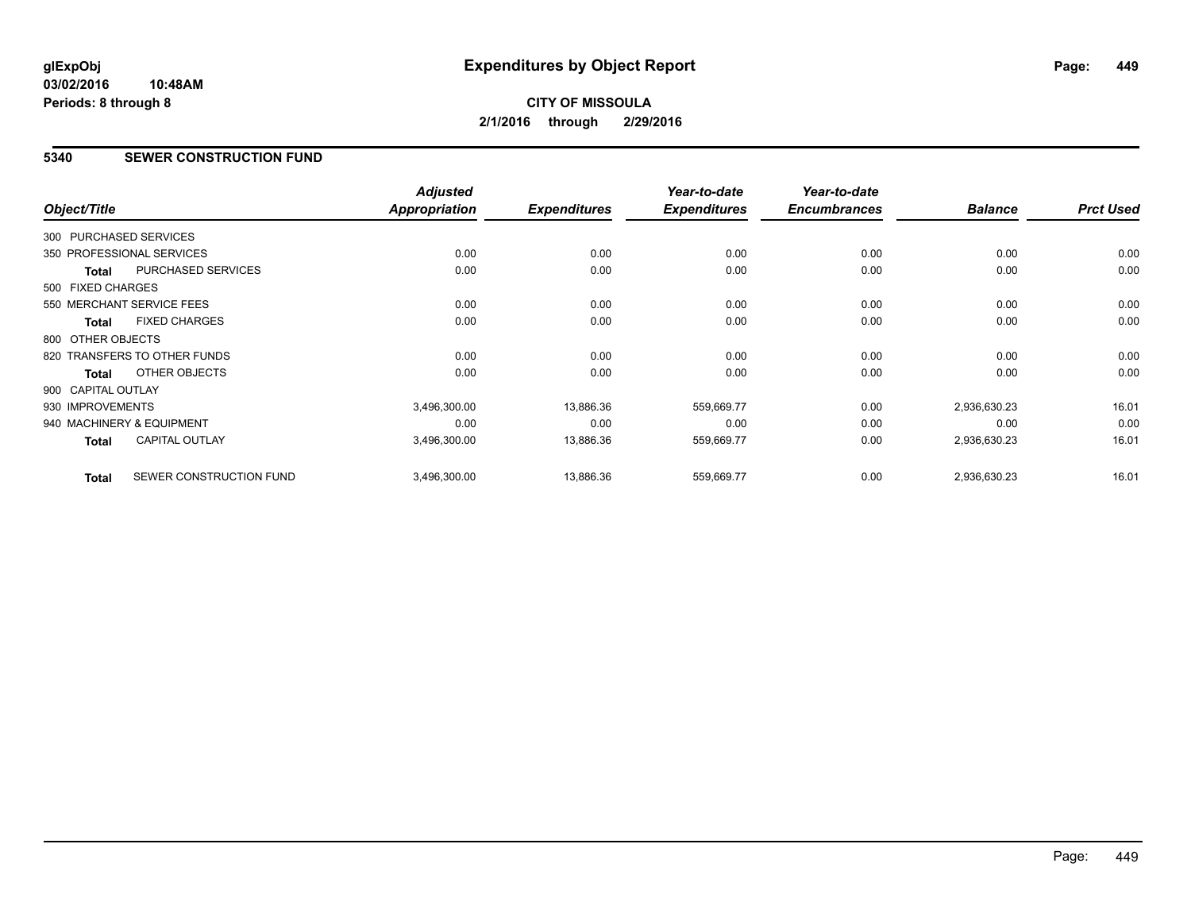## **CITY OF MISSOULA 2/1/2016 through 2/29/2016**

### **5340 SEWER CONSTRUCTION FUND**

|                    |                              | <b>Adjusted</b> |                     | Year-to-date        | Year-to-date        |                |                  |
|--------------------|------------------------------|-----------------|---------------------|---------------------|---------------------|----------------|------------------|
| Object/Title       |                              | Appropriation   | <b>Expenditures</b> | <b>Expenditures</b> | <b>Encumbrances</b> | <b>Balance</b> | <b>Prct Used</b> |
|                    | 300 PURCHASED SERVICES       |                 |                     |                     |                     |                |                  |
|                    | 350 PROFESSIONAL SERVICES    | 0.00            | 0.00                | 0.00                | 0.00                | 0.00           | 0.00             |
| <b>Total</b>       | <b>PURCHASED SERVICES</b>    | 0.00            | 0.00                | 0.00                | 0.00                | 0.00           | 0.00             |
| 500 FIXED CHARGES  |                              |                 |                     |                     |                     |                |                  |
|                    | 550 MERCHANT SERVICE FEES    | 0.00            | 0.00                | 0.00                | 0.00                | 0.00           | 0.00             |
| <b>Total</b>       | <b>FIXED CHARGES</b>         | 0.00            | 0.00                | 0.00                | 0.00                | 0.00           | 0.00             |
| 800 OTHER OBJECTS  |                              |                 |                     |                     |                     |                |                  |
|                    | 820 TRANSFERS TO OTHER FUNDS | 0.00            | 0.00                | 0.00                | 0.00                | 0.00           | 0.00             |
| Total              | OTHER OBJECTS                | 0.00            | 0.00                | 0.00                | 0.00                | 0.00           | 0.00             |
| 900 CAPITAL OUTLAY |                              |                 |                     |                     |                     |                |                  |
| 930 IMPROVEMENTS   |                              | 3,496,300.00    | 13,886.36           | 559,669.77          | 0.00                | 2,936,630.23   | 16.01            |
|                    | 940 MACHINERY & EQUIPMENT    | 0.00            | 0.00                | 0.00                | 0.00                | 0.00           | 0.00             |
| <b>Total</b>       | <b>CAPITAL OUTLAY</b>        | 3,496,300.00    | 13,886.36           | 559,669.77          | 0.00                | 2,936,630.23   | 16.01            |
| <b>Total</b>       | SEWER CONSTRUCTION FUND      | 3,496,300.00    | 13,886.36           | 559,669.77          | 0.00                | 2,936,630.23   | 16.01            |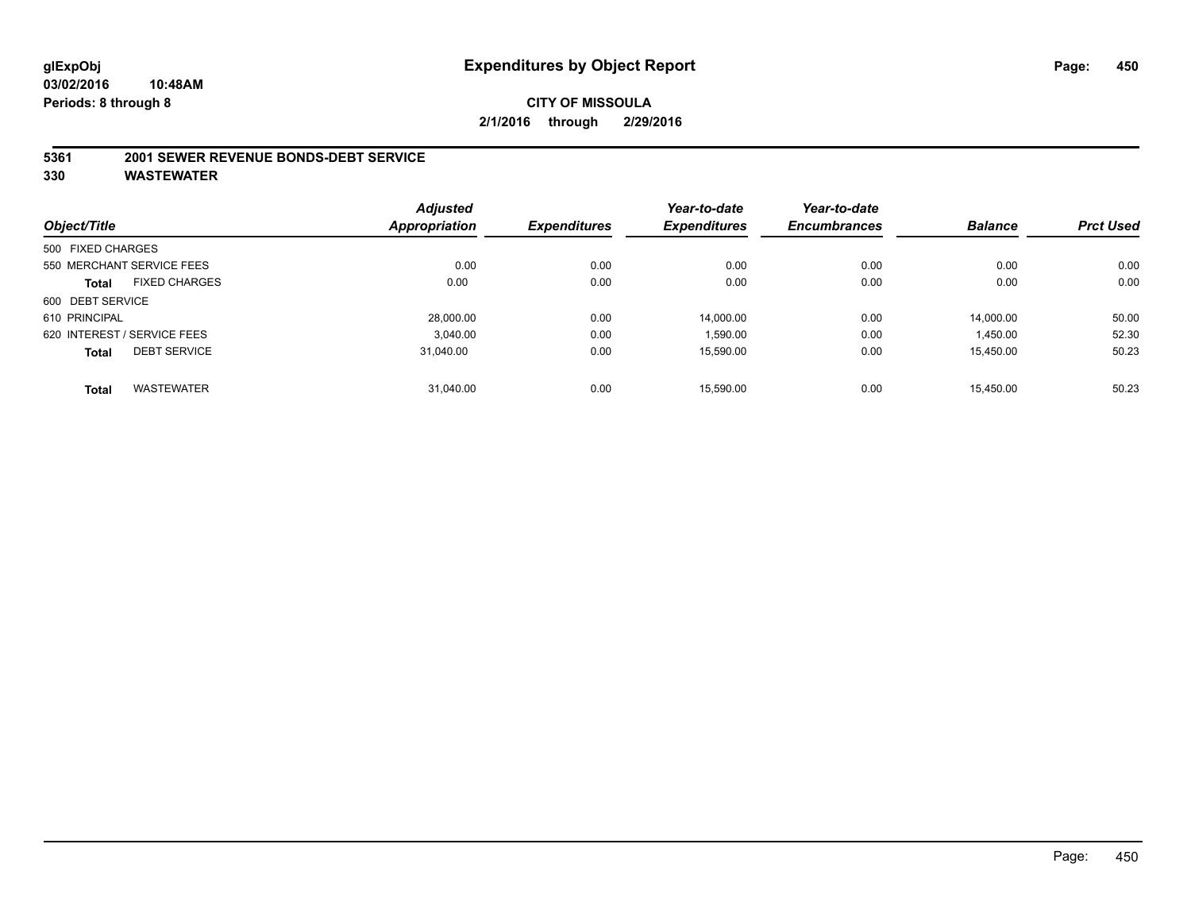## **CITY OF MISSOULA 2/1/2016 through 2/29/2016**

#### **5361 2001 SEWER REVENUE BONDS-DEBT SERVICE**

|                   |                             | <b>Adjusted</b> |                     | Year-to-date        | Year-to-date        |                |                  |
|-------------------|-----------------------------|-----------------|---------------------|---------------------|---------------------|----------------|------------------|
| Object/Title      |                             | Appropriation   | <b>Expenditures</b> | <b>Expenditures</b> | <b>Encumbrances</b> | <b>Balance</b> | <b>Prct Used</b> |
| 500 FIXED CHARGES |                             |                 |                     |                     |                     |                |                  |
|                   | 550 MERCHANT SERVICE FEES   | 0.00            | 0.00                | 0.00                | 0.00                | 0.00           | 0.00             |
| <b>Total</b>      | <b>FIXED CHARGES</b>        | 0.00            | 0.00                | 0.00                | 0.00                | 0.00           | 0.00             |
| 600 DEBT SERVICE  |                             |                 |                     |                     |                     |                |                  |
| 610 PRINCIPAL     |                             | 28,000.00       | 0.00                | 14.000.00           | 0.00                | 14.000.00      | 50.00            |
|                   | 620 INTEREST / SERVICE FEES | 3.040.00        | 0.00                | 1,590.00            | 0.00                | 1,450.00       | 52.30            |
| <b>Total</b>      | <b>DEBT SERVICE</b>         | 31.040.00       | 0.00                | 15,590.00           | 0.00                | 15,450.00      | 50.23            |
| <b>Total</b>      | <b>WASTEWATER</b>           | 31.040.00       | 0.00                | 15.590.00           | 0.00                | 15.450.00      | 50.23            |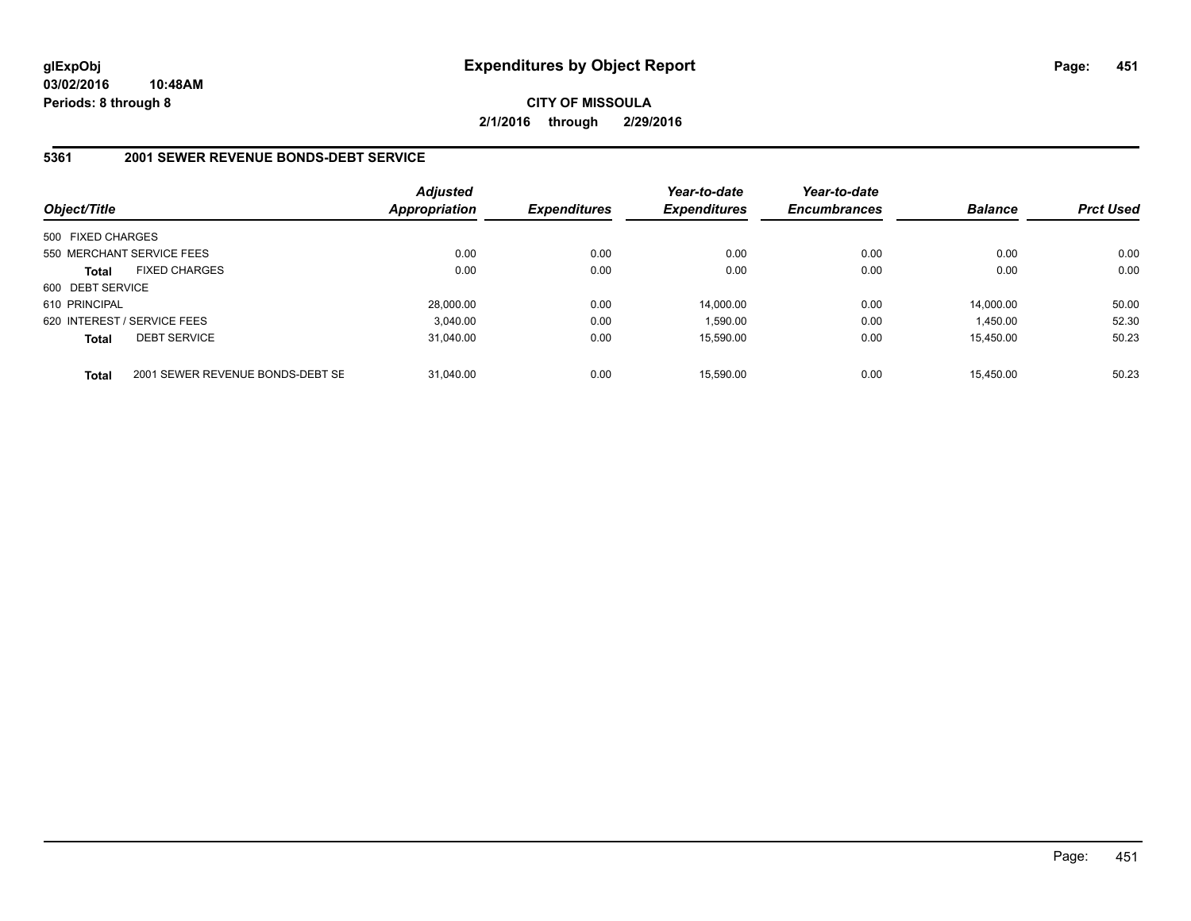## **CITY OF MISSOULA 2/1/2016 through 2/29/2016**

### **5361 2001 SEWER REVENUE BONDS-DEBT SERVICE**

| Object/Title      |                                  | <b>Adjusted</b><br><b>Appropriation</b> | <b>Expenditures</b> | Year-to-date<br><b>Expenditures</b> | Year-to-date<br><b>Encumbrances</b> | <b>Balance</b> | <b>Prct Used</b> |
|-------------------|----------------------------------|-----------------------------------------|---------------------|-------------------------------------|-------------------------------------|----------------|------------------|
| 500 FIXED CHARGES |                                  |                                         |                     |                                     |                                     |                |                  |
|                   | 550 MERCHANT SERVICE FEES        | 0.00                                    | 0.00                | 0.00                                | 0.00                                | 0.00           | 0.00             |
| <b>Total</b>      | <b>FIXED CHARGES</b>             | 0.00                                    | 0.00                | 0.00                                | 0.00                                | 0.00           | 0.00             |
| 600 DEBT SERVICE  |                                  |                                         |                     |                                     |                                     |                |                  |
| 610 PRINCIPAL     |                                  | 28,000.00                               | 0.00                | 14.000.00                           | 0.00                                | 14.000.00      | 50.00            |
|                   | 620 INTEREST / SERVICE FEES      | 3.040.00                                | 0.00                | 1.590.00                            | 0.00                                | 1.450.00       | 52.30            |
| <b>Total</b>      | <b>DEBT SERVICE</b>              | 31.040.00                               | 0.00                | 15.590.00                           | 0.00                                | 15.450.00      | 50.23            |
| <b>Total</b>      | 2001 SEWER REVENUE BONDS-DEBT SE | 31.040.00                               | 0.00                | 15.590.00                           | 0.00                                | 15.450.00      | 50.23            |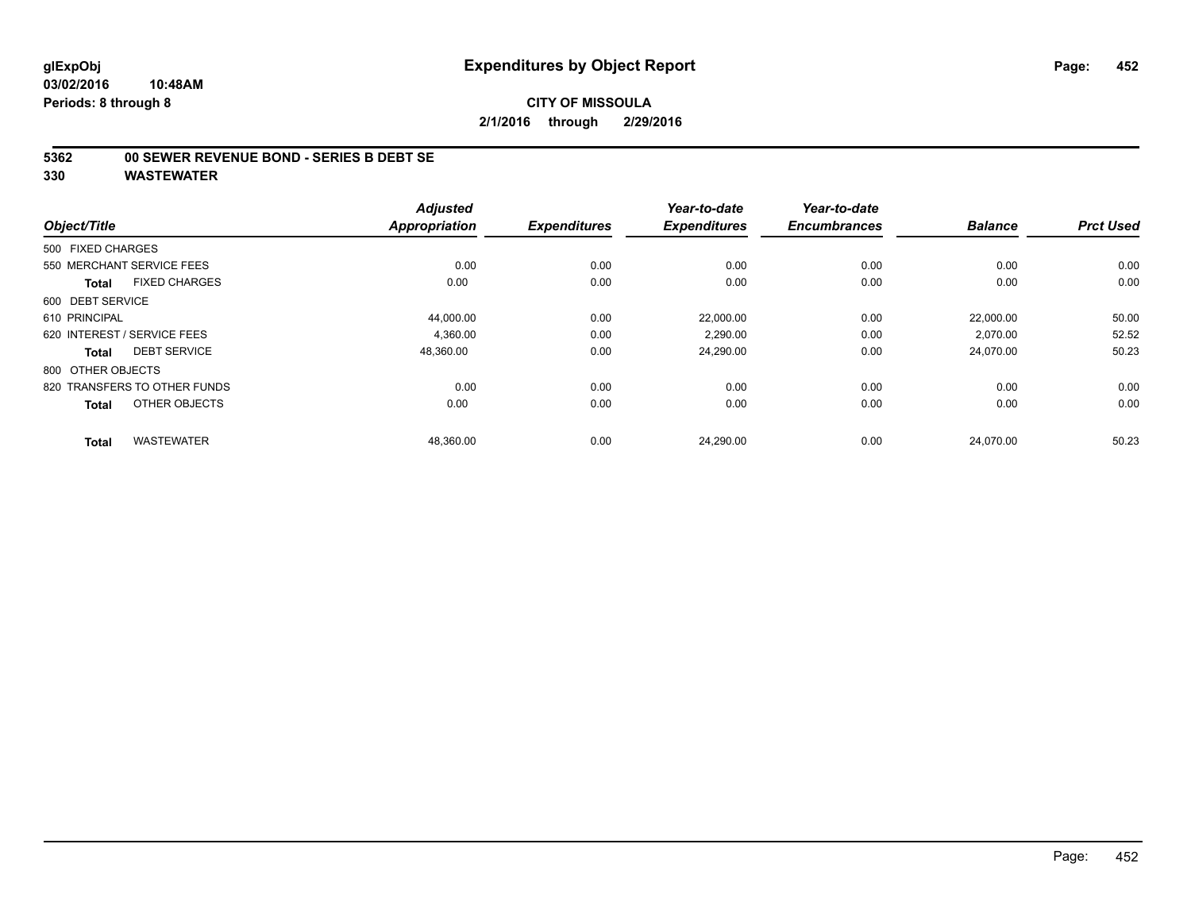### **CITY OF MISSOULA 2/1/2016 through 2/29/2016**

### **5362 00 SEWER REVENUE BOND - SERIES B DEBT SE**

| Object/Title                         | <b>Adjusted</b><br>Appropriation | <b>Expenditures</b> | Year-to-date<br><b>Expenditures</b> | Year-to-date<br><b>Encumbrances</b> | <b>Balance</b> | <b>Prct Used</b> |
|--------------------------------------|----------------------------------|---------------------|-------------------------------------|-------------------------------------|----------------|------------------|
|                                      |                                  |                     |                                     |                                     |                |                  |
| 500 FIXED CHARGES                    |                                  |                     |                                     |                                     |                |                  |
| 550 MERCHANT SERVICE FEES            | 0.00                             | 0.00                | 0.00                                | 0.00                                | 0.00           | 0.00             |
| <b>FIXED CHARGES</b><br><b>Total</b> | 0.00                             | 0.00                | 0.00                                | 0.00                                | 0.00           | 0.00             |
| 600 DEBT SERVICE                     |                                  |                     |                                     |                                     |                |                  |
| 610 PRINCIPAL                        | 44,000.00                        | 0.00                | 22,000.00                           | 0.00                                | 22,000.00      | 50.00            |
| 620 INTEREST / SERVICE FEES          | 4,360.00                         | 0.00                | 2,290.00                            | 0.00                                | 2,070.00       | 52.52            |
| <b>DEBT SERVICE</b><br><b>Total</b>  | 48,360.00                        | 0.00                | 24,290.00                           | 0.00                                | 24,070.00      | 50.23            |
| 800 OTHER OBJECTS                    |                                  |                     |                                     |                                     |                |                  |
| 820 TRANSFERS TO OTHER FUNDS         | 0.00                             | 0.00                | 0.00                                | 0.00                                | 0.00           | 0.00             |
| OTHER OBJECTS<br><b>Total</b>        | 0.00                             | 0.00                | 0.00                                | 0.00                                | 0.00           | 0.00             |
| <b>WASTEWATER</b><br><b>Total</b>    | 48,360.00                        | 0.00                | 24,290.00                           | 0.00                                | 24,070.00      | 50.23            |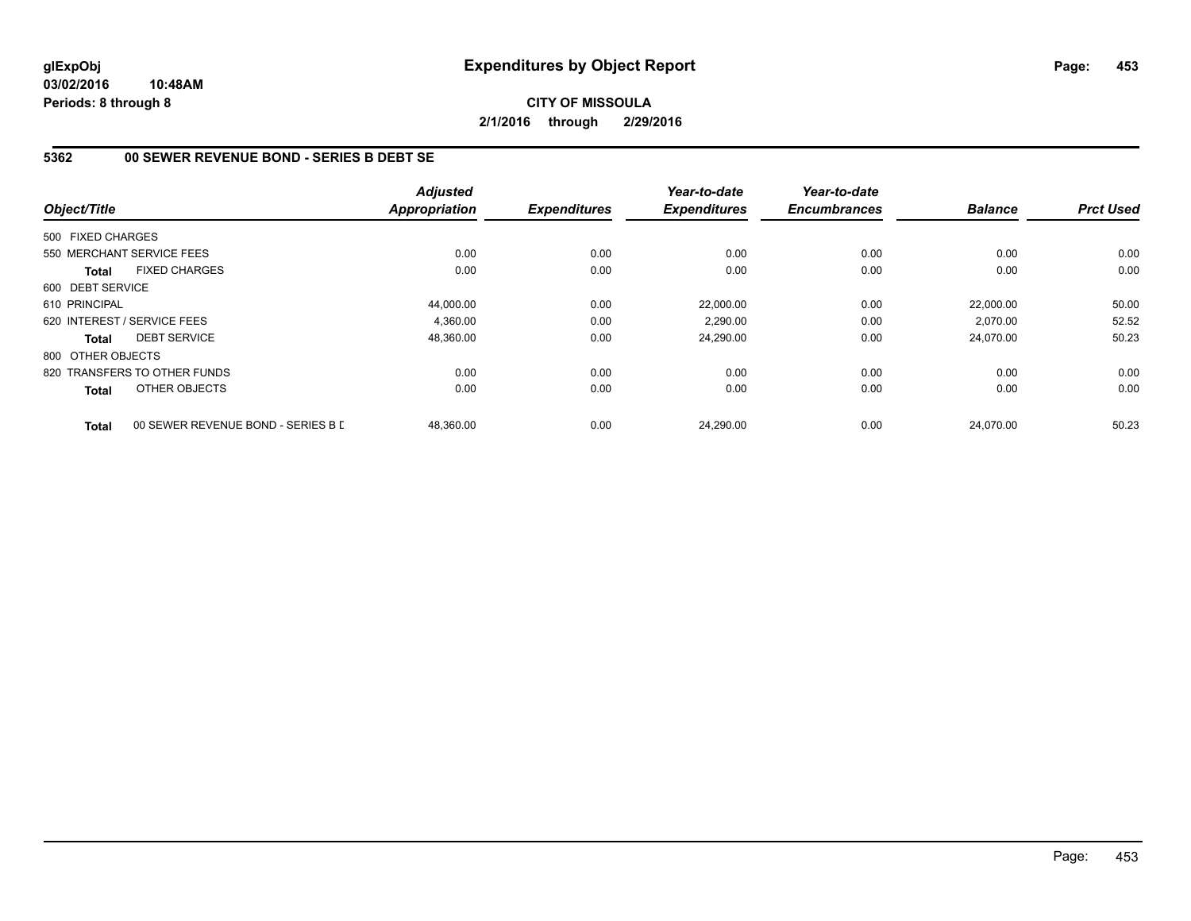**CITY OF MISSOULA 2/1/2016 through 2/29/2016**

### **5362 00 SEWER REVENUE BOND - SERIES B DEBT SE**

|                   |                                    | <b>Adjusted</b> |                     | Year-to-date        | Year-to-date        |                |                  |
|-------------------|------------------------------------|-----------------|---------------------|---------------------|---------------------|----------------|------------------|
| Object/Title      |                                    | Appropriation   | <b>Expenditures</b> | <b>Expenditures</b> | <b>Encumbrances</b> | <b>Balance</b> | <b>Prct Used</b> |
| 500 FIXED CHARGES |                                    |                 |                     |                     |                     |                |                  |
|                   | 550 MERCHANT SERVICE FEES          | 0.00            | 0.00                | 0.00                | 0.00                | 0.00           | 0.00             |
| <b>Total</b>      | <b>FIXED CHARGES</b>               | 0.00            | 0.00                | 0.00                | 0.00                | 0.00           | 0.00             |
| 600 DEBT SERVICE  |                                    |                 |                     |                     |                     |                |                  |
| 610 PRINCIPAL     |                                    | 44,000.00       | 0.00                | 22,000.00           | 0.00                | 22.000.00      | 50.00            |
|                   | 620 INTEREST / SERVICE FEES        | 4.360.00        | 0.00                | 2,290.00            | 0.00                | 2.070.00       | 52.52            |
| <b>Total</b>      | <b>DEBT SERVICE</b>                | 48,360.00       | 0.00                | 24,290.00           | 0.00                | 24,070.00      | 50.23            |
| 800 OTHER OBJECTS |                                    |                 |                     |                     |                     |                |                  |
|                   | 820 TRANSFERS TO OTHER FUNDS       | 0.00            | 0.00                | 0.00                | 0.00                | 0.00           | 0.00             |
| Total             | OTHER OBJECTS                      | 0.00            | 0.00                | 0.00                | 0.00                | 0.00           | 0.00             |
| <b>Total</b>      | 00 SEWER REVENUE BOND - SERIES B L | 48.360.00       | 0.00                | 24,290.00           | 0.00                | 24.070.00      | 50.23            |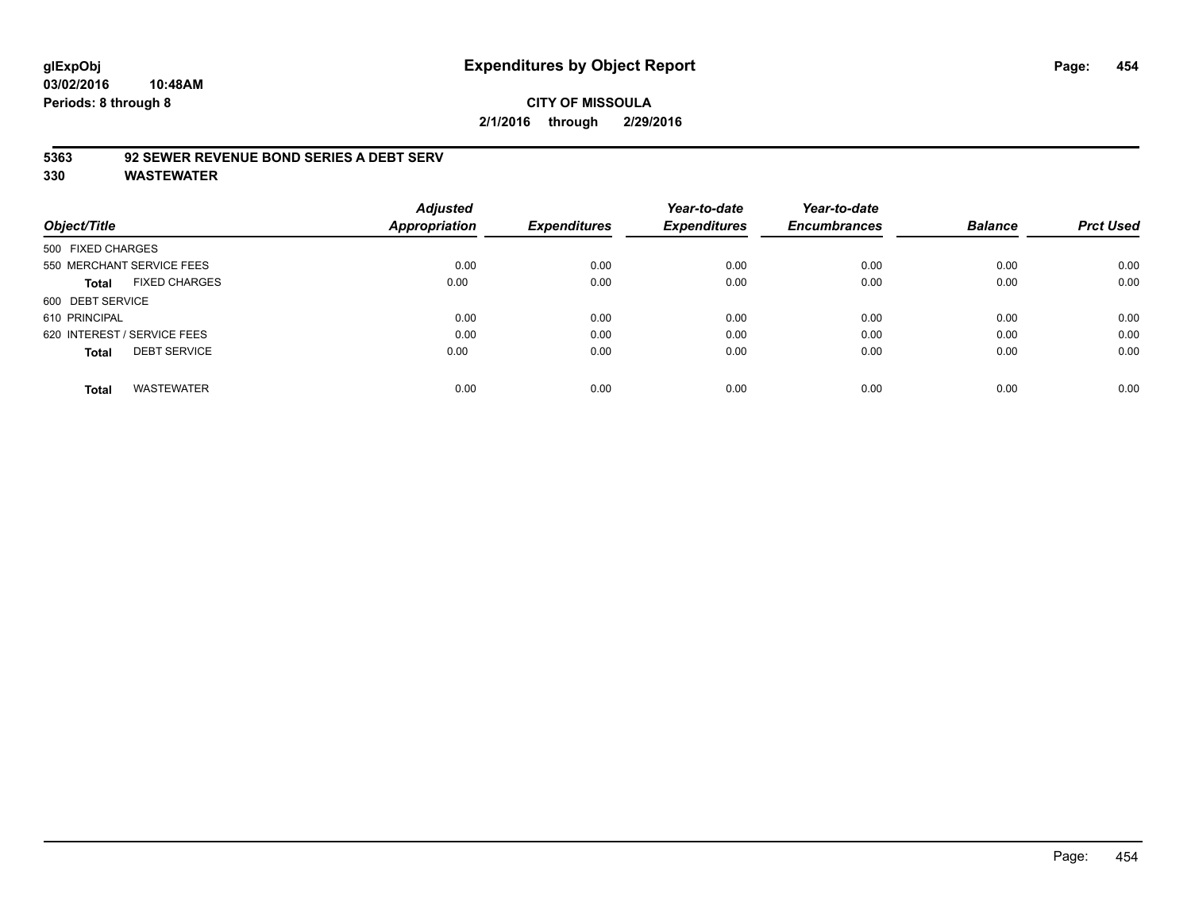# **glExpObj Expenditures by Object Report Page: 454**

#### **03/02/2016 10:48AM Periods: 8 through 8**

## **CITY OF MISSOULA 2/1/2016 through 2/29/2016**

### **5363 92 SEWER REVENUE BOND SERIES A DEBT SERV**

|                                      | <b>Adjusted</b>      |                     | Year-to-date        | Year-to-date        |                |                  |
|--------------------------------------|----------------------|---------------------|---------------------|---------------------|----------------|------------------|
| Object/Title                         | <b>Appropriation</b> | <b>Expenditures</b> | <b>Expenditures</b> | <b>Encumbrances</b> | <b>Balance</b> | <b>Prct Used</b> |
| 500 FIXED CHARGES                    |                      |                     |                     |                     |                |                  |
| 550 MERCHANT SERVICE FEES            | 0.00                 | 0.00                | 0.00                | 0.00                | 0.00           | 0.00             |
| <b>FIXED CHARGES</b><br><b>Total</b> | 0.00                 | 0.00                | 0.00                | 0.00                | 0.00           | 0.00             |
| 600 DEBT SERVICE                     |                      |                     |                     |                     |                |                  |
| 610 PRINCIPAL                        | 0.00                 | 0.00                | 0.00                | 0.00                | 0.00           | 0.00             |
| 620 INTEREST / SERVICE FEES          | 0.00                 | 0.00                | 0.00                | 0.00                | 0.00           | 0.00             |
| <b>DEBT SERVICE</b><br><b>Total</b>  | 0.00                 | 0.00                | 0.00                | 0.00                | 0.00           | 0.00             |
| <b>WASTEWATER</b><br><b>Total</b>    | 0.00                 | 0.00                | 0.00                | 0.00                | 0.00           | 0.00             |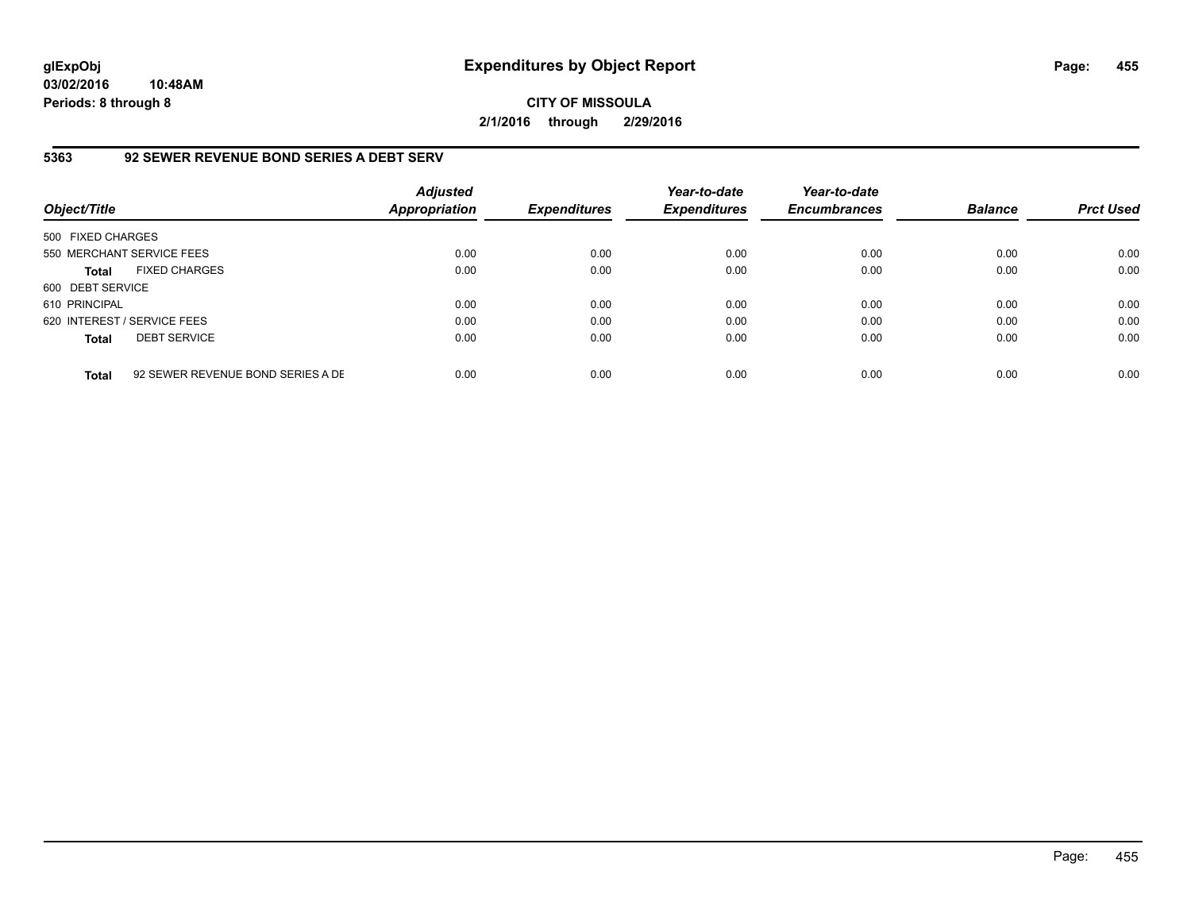**CITY OF MISSOULA 2/1/2016 through 2/29/2016**

### **5363 92 SEWER REVENUE BOND SERIES A DEBT SERV**

| Object/Title                |                                   | <b>Adjusted</b><br><b>Appropriation</b> | <b>Expenditures</b> | Year-to-date<br><b>Expenditures</b> | Year-to-date<br><b>Encumbrances</b> | <b>Balance</b> | <b>Prct Used</b> |
|-----------------------------|-----------------------------------|-----------------------------------------|---------------------|-------------------------------------|-------------------------------------|----------------|------------------|
| 500 FIXED CHARGES           |                                   |                                         |                     |                                     |                                     |                |                  |
|                             | 550 MERCHANT SERVICE FEES         | 0.00                                    | 0.00                | 0.00                                | 0.00                                | 0.00           | 0.00             |
| <b>Total</b>                | <b>FIXED CHARGES</b>              | 0.00                                    | 0.00                | 0.00                                | 0.00                                | 0.00           | 0.00             |
| 600 DEBT SERVICE            |                                   |                                         |                     |                                     |                                     |                |                  |
| 610 PRINCIPAL               |                                   | 0.00                                    | 0.00                | 0.00                                | 0.00                                | 0.00           | 0.00             |
| 620 INTEREST / SERVICE FEES |                                   | 0.00                                    | 0.00                | 0.00                                | 0.00                                | 0.00           | 0.00             |
| <b>Total</b>                | <b>DEBT SERVICE</b>               | 0.00                                    | 0.00                | 0.00                                | 0.00                                | 0.00           | 0.00             |
| <b>Total</b>                | 92 SEWER REVENUE BOND SERIES A DE | 0.00                                    | 0.00                | 0.00                                | 0.00                                | 0.00           | 0.00             |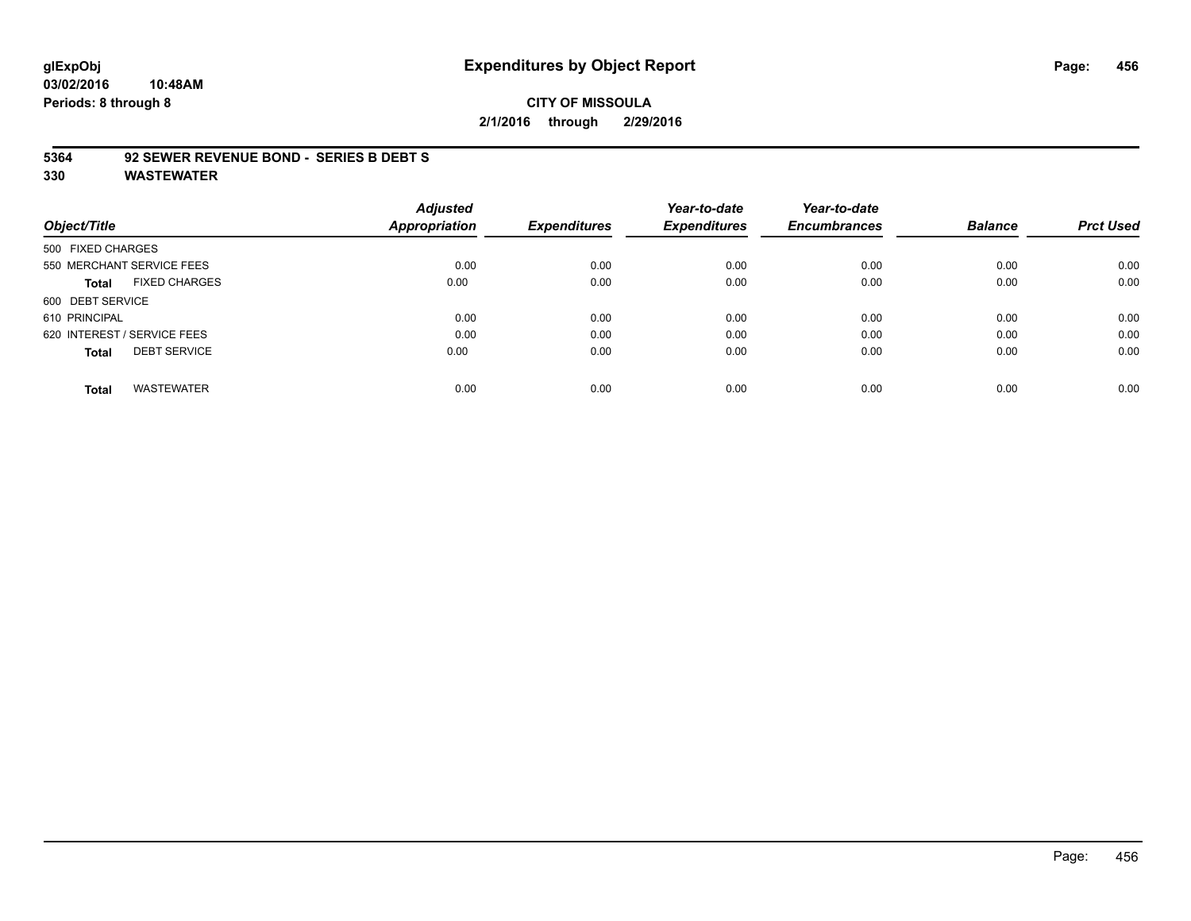## **glExpObj Expenditures by Object Report Page: 456**

**03/02/2016 10:48AM Periods: 8 through 8**

#### **5364 92 SEWER REVENUE BOND - SERIES B DEBT S**

|                                     |                      | <b>Adjusted</b> |                     | Year-to-date        | Year-to-date        |                |                  |
|-------------------------------------|----------------------|-----------------|---------------------|---------------------|---------------------|----------------|------------------|
| Object/Title                        |                      | Appropriation   | <b>Expenditures</b> | <b>Expenditures</b> | <b>Encumbrances</b> | <b>Balance</b> | <b>Prct Used</b> |
| 500 FIXED CHARGES                   |                      |                 |                     |                     |                     |                |                  |
| 550 MERCHANT SERVICE FEES           |                      | 0.00            | 0.00                | 0.00                | 0.00                | 0.00           | 0.00             |
| Total                               | <b>FIXED CHARGES</b> | 0.00            | 0.00                | 0.00                | 0.00                | 0.00           | 0.00             |
| 600 DEBT SERVICE                    |                      |                 |                     |                     |                     |                |                  |
| 610 PRINCIPAL                       |                      | 0.00            | 0.00                | 0.00                | 0.00                | 0.00           | 0.00             |
| 620 INTEREST / SERVICE FEES         |                      | 0.00            | 0.00                | 0.00                | 0.00                | 0.00           | 0.00             |
| <b>DEBT SERVICE</b><br><b>Total</b> |                      | 0.00            | 0.00                | 0.00                | 0.00                | 0.00           | 0.00             |
| <b>WASTEWATER</b><br><b>Total</b>   |                      | 0.00            | 0.00                | 0.00                | 0.00                | 0.00           | 0.00             |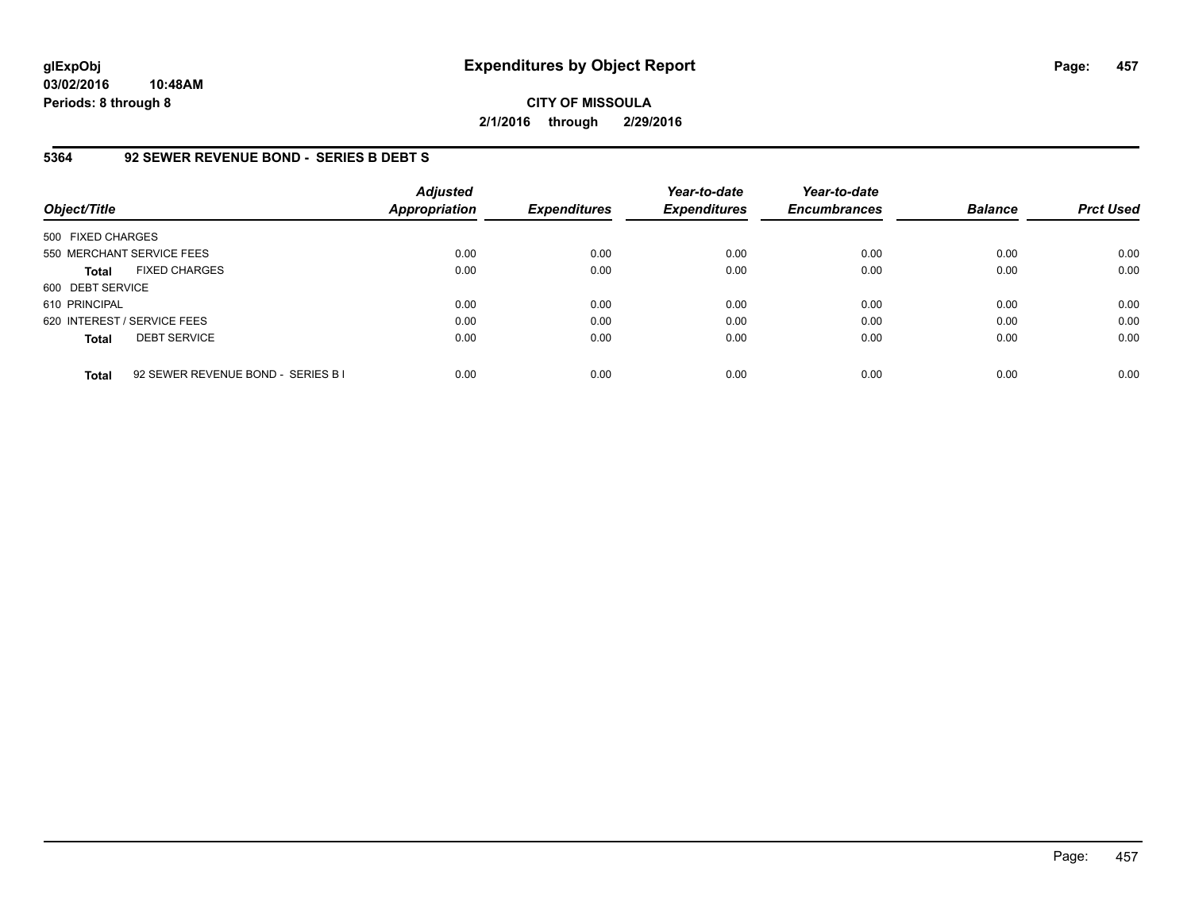**CITY OF MISSOULA 2/1/2016 through 2/29/2016**

### **5364 92 SEWER REVENUE BOND - SERIES B DEBT S**

| Object/Title                |                                    | <b>Adjusted</b><br><b>Appropriation</b> | <b>Expenditures</b> | Year-to-date<br><b>Expenditures</b> | Year-to-date<br><b>Encumbrances</b> | <b>Balance</b> | <b>Prct Used</b> |
|-----------------------------|------------------------------------|-----------------------------------------|---------------------|-------------------------------------|-------------------------------------|----------------|------------------|
| 500 FIXED CHARGES           |                                    |                                         |                     |                                     |                                     |                |                  |
| 550 MERCHANT SERVICE FEES   |                                    | 0.00                                    | 0.00                | 0.00                                | 0.00                                | 0.00           | 0.00             |
| <b>Total</b>                | <b>FIXED CHARGES</b>               | 0.00                                    | 0.00                | 0.00                                | 0.00                                | 0.00           | 0.00             |
| 600 DEBT SERVICE            |                                    |                                         |                     |                                     |                                     |                |                  |
| 610 PRINCIPAL               |                                    | 0.00                                    | 0.00                | 0.00                                | 0.00                                | 0.00           | 0.00             |
| 620 INTEREST / SERVICE FEES |                                    | 0.00                                    | 0.00                | 0.00                                | 0.00                                | 0.00           | 0.00             |
| <b>Total</b>                | <b>DEBT SERVICE</b>                | 0.00                                    | 0.00                | 0.00                                | 0.00                                | 0.00           | 0.00             |
| <b>Total</b>                | 92 SEWER REVENUE BOND - SERIES B I | 0.00                                    | 0.00                | 0.00                                | 0.00                                | 0.00           | 0.00             |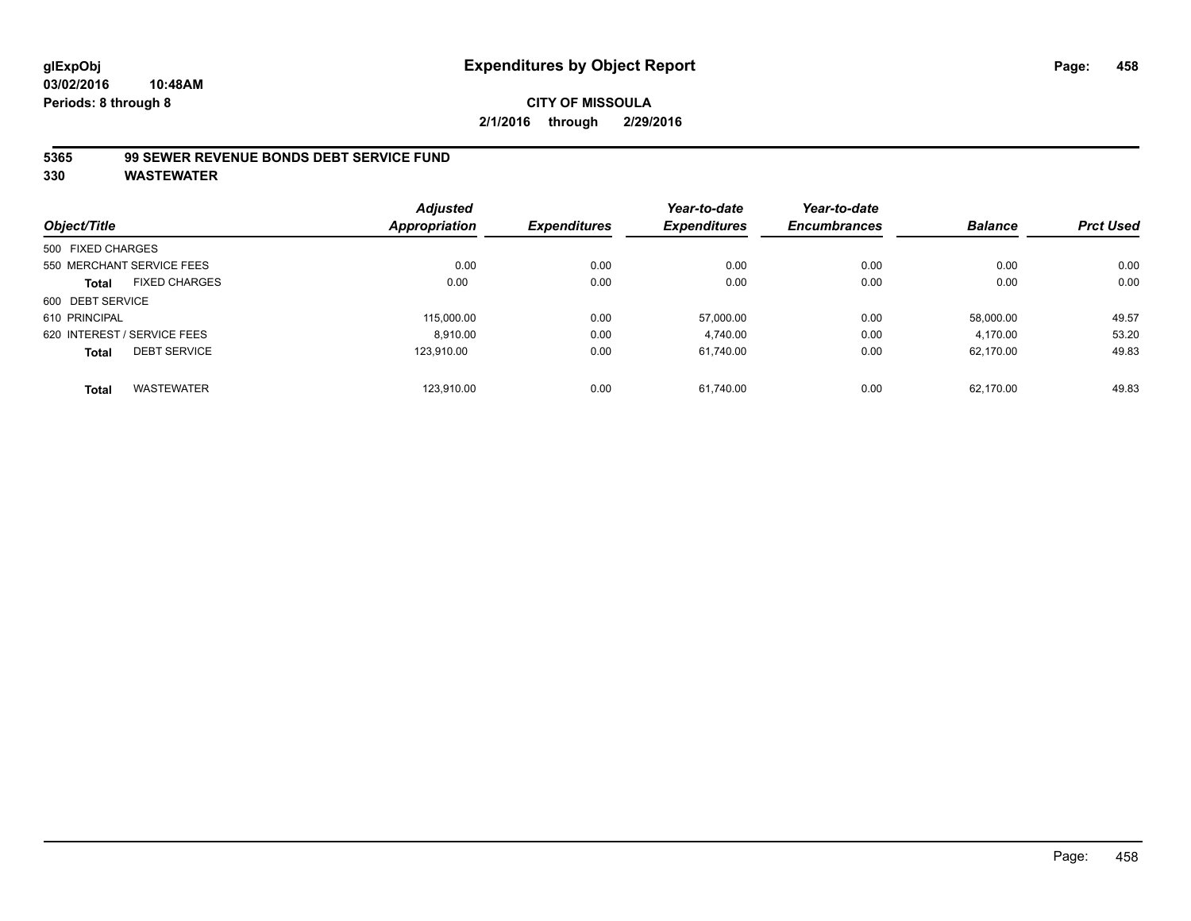### **5365 99 SEWER REVENUE BONDS DEBT SERVICE FUND**

|                   |                             | <b>Adjusted</b> |                     | Year-to-date        | Year-to-date        |                |                  |
|-------------------|-----------------------------|-----------------|---------------------|---------------------|---------------------|----------------|------------------|
| Object/Title      |                             | Appropriation   | <b>Expenditures</b> | <b>Expenditures</b> | <b>Encumbrances</b> | <b>Balance</b> | <b>Prct Used</b> |
| 500 FIXED CHARGES |                             |                 |                     |                     |                     |                |                  |
|                   | 550 MERCHANT SERVICE FEES   | 0.00            | 0.00                | 0.00                | 0.00                | 0.00           | 0.00             |
| <b>Total</b>      | <b>FIXED CHARGES</b>        | 0.00            | 0.00                | 0.00                | 0.00                | 0.00           | 0.00             |
| 600 DEBT SERVICE  |                             |                 |                     |                     |                     |                |                  |
| 610 PRINCIPAL     |                             | 115,000.00      | 0.00                | 57.000.00           | 0.00                | 58.000.00      | 49.57            |
|                   | 620 INTEREST / SERVICE FEES | 8.910.00        | 0.00                | 4.740.00            | 0.00                | 4,170.00       | 53.20            |
| <b>Total</b>      | <b>DEBT SERVICE</b>         | 123.910.00      | 0.00                | 61.740.00           | 0.00                | 62,170.00      | 49.83            |
| <b>Total</b>      | <b>WASTEWATER</b>           | 123.910.00      | 0.00                | 61.740.00           | 0.00                | 62,170.00      | 49.83            |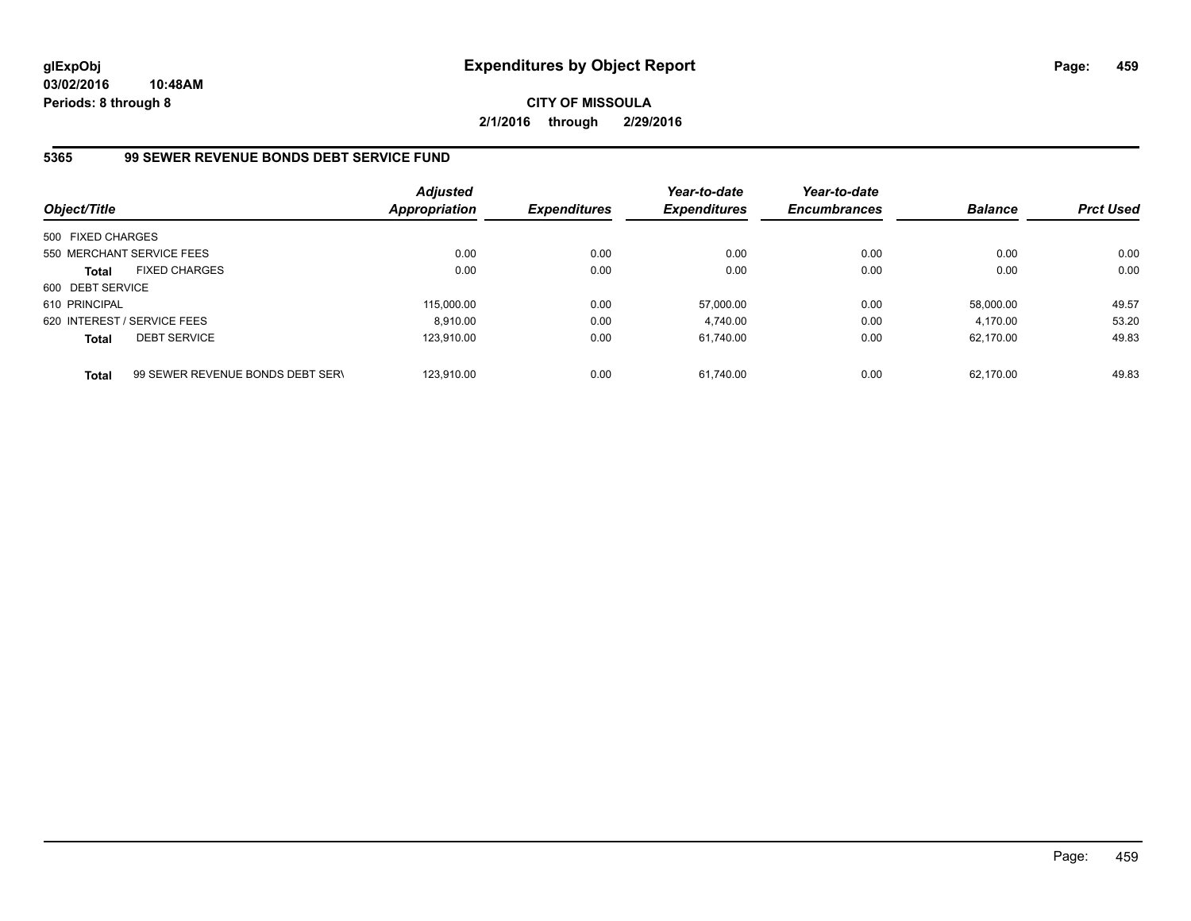**CITY OF MISSOULA 2/1/2016 through 2/29/2016**

## **5365 99 SEWER REVENUE BONDS DEBT SERVICE FUND**

| Object/Title                |                                  | Adjusted<br><b>Appropriation</b> | <b>Expenditures</b> | Year-to-date<br><b>Expenditures</b> | Year-to-date<br><b>Encumbrances</b> | <b>Balance</b> | <b>Prct Used</b> |
|-----------------------------|----------------------------------|----------------------------------|---------------------|-------------------------------------|-------------------------------------|----------------|------------------|
| 500 FIXED CHARGES           |                                  |                                  |                     |                                     |                                     |                |                  |
|                             | 550 MERCHANT SERVICE FEES        | 0.00                             | 0.00                | 0.00                                | 0.00                                | 0.00           | 0.00             |
| <b>Total</b>                | <b>FIXED CHARGES</b>             | 0.00                             | 0.00                | 0.00                                | 0.00                                | 0.00           | 0.00             |
| 600 DEBT SERVICE            |                                  |                                  |                     |                                     |                                     |                |                  |
| 610 PRINCIPAL               |                                  | 115,000.00                       | 0.00                | 57.000.00                           | 0.00                                | 58.000.00      | 49.57            |
| 620 INTEREST / SERVICE FEES |                                  | 8.910.00                         | 0.00                | 4.740.00                            | 0.00                                | 4.170.00       | 53.20            |
| <b>Total</b>                | <b>DEBT SERVICE</b>              | 123.910.00                       | 0.00                | 61.740.00                           | 0.00                                | 62.170.00      | 49.83            |
| <b>Total</b>                | 99 SEWER REVENUE BONDS DEBT SERN | 123.910.00                       | 0.00                | 61.740.00                           | 0.00                                | 62.170.00      | 49.83            |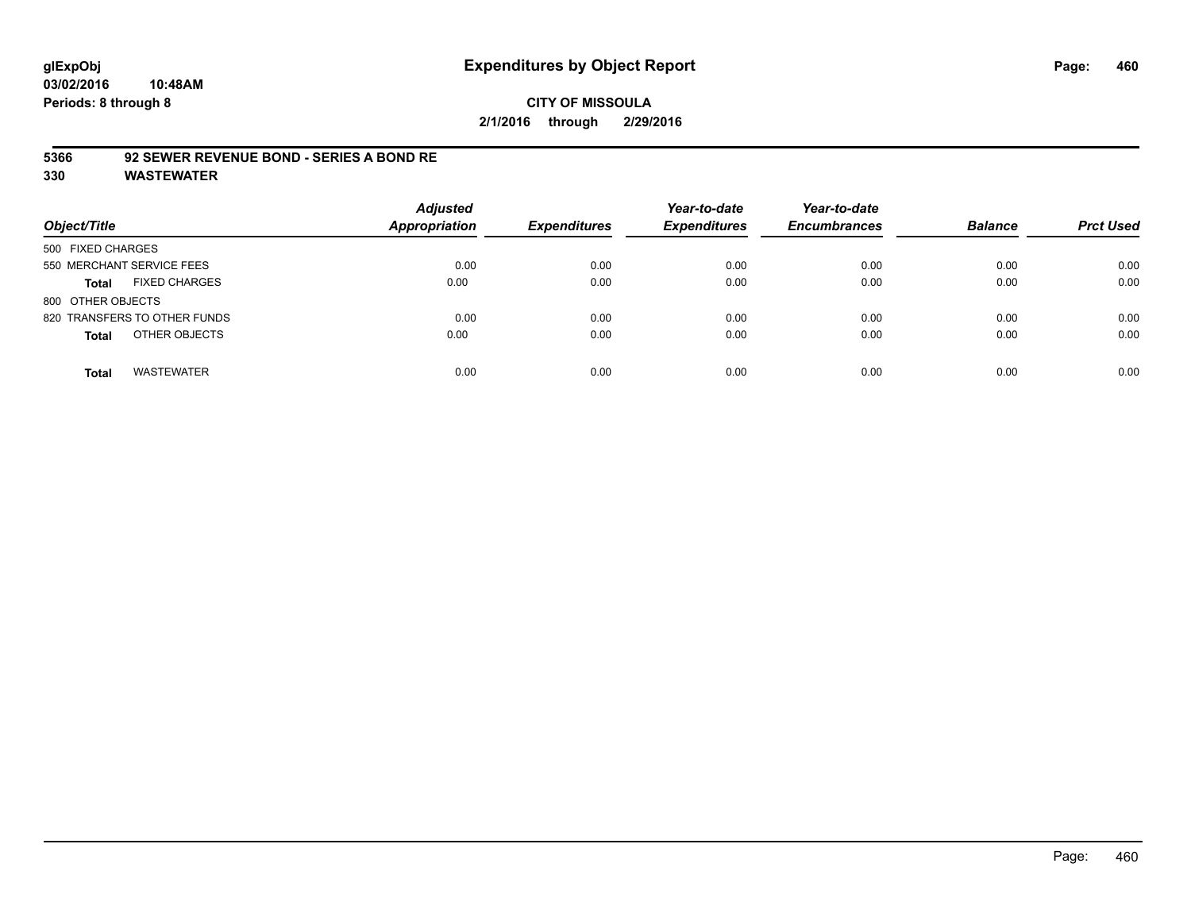### **CITY OF MISSOULA 2/1/2016 through 2/29/2016**

### **5366 92 SEWER REVENUE BOND - SERIES A BOND RE**

| Object/Title                         | <b>Adjusted</b><br><b>Appropriation</b> | <b>Expenditures</b> | Year-to-date<br><b>Expenditures</b> | Year-to-date<br><b>Encumbrances</b> | <b>Balance</b> | <b>Prct Used</b> |
|--------------------------------------|-----------------------------------------|---------------------|-------------------------------------|-------------------------------------|----------------|------------------|
| 500 FIXED CHARGES                    |                                         |                     |                                     |                                     |                |                  |
| 550 MERCHANT SERVICE FEES            | 0.00                                    | 0.00                | 0.00                                | 0.00                                | 0.00           | 0.00             |
| <b>FIXED CHARGES</b><br><b>Total</b> | 0.00                                    | 0.00                | 0.00                                | 0.00                                | 0.00           | 0.00             |
| 800 OTHER OBJECTS                    |                                         |                     |                                     |                                     |                |                  |
| 820 TRANSFERS TO OTHER FUNDS         | 0.00                                    | 0.00                | 0.00                                | 0.00                                | 0.00           | 0.00             |
| OTHER OBJECTS<br><b>Total</b>        | 0.00                                    | 0.00                | 0.00                                | 0.00                                | 0.00           | 0.00             |
| <b>WASTEWATER</b><br><b>Total</b>    | 0.00                                    | 0.00                | 0.00                                | 0.00                                | 0.00           | 0.00             |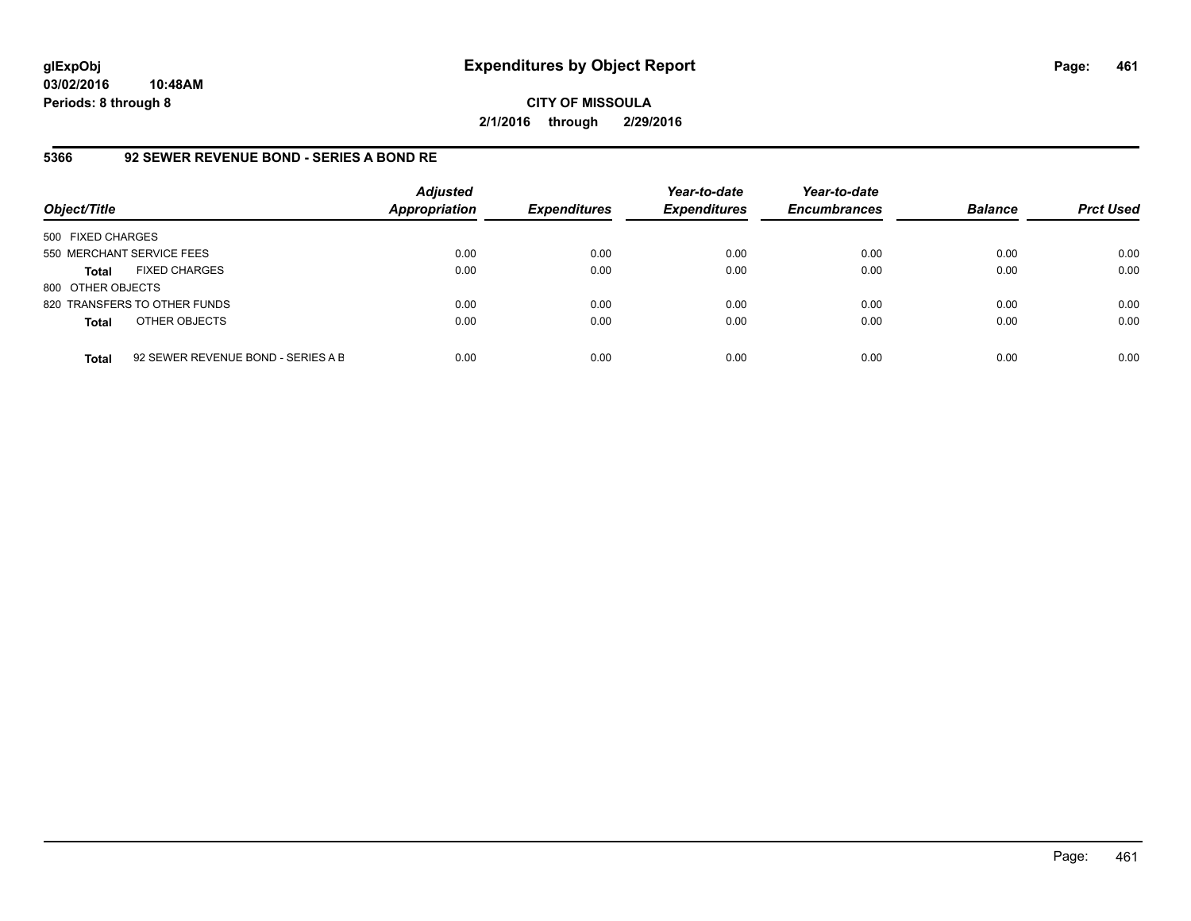**CITY OF MISSOULA 2/1/2016 through 2/29/2016**

### **5366 92 SEWER REVENUE BOND - SERIES A BOND RE**

| Object/Title              |                                    | <b>Adjusted</b><br><b>Appropriation</b> | <b>Expenditures</b> | Year-to-date<br><b>Expenditures</b> | Year-to-date<br><b>Encumbrances</b> | <b>Balance</b> | <b>Prct Used</b> |
|---------------------------|------------------------------------|-----------------------------------------|---------------------|-------------------------------------|-------------------------------------|----------------|------------------|
| 500 FIXED CHARGES         |                                    |                                         |                     |                                     |                                     |                |                  |
| 550 MERCHANT SERVICE FEES |                                    | 0.00                                    | 0.00                | 0.00                                | 0.00                                | 0.00           | 0.00             |
| <b>Total</b>              | <b>FIXED CHARGES</b>               | 0.00                                    | 0.00                | 0.00                                | 0.00                                | 0.00           | 0.00             |
| 800 OTHER OBJECTS         |                                    |                                         |                     |                                     |                                     |                |                  |
|                           | 820 TRANSFERS TO OTHER FUNDS       | 0.00                                    | 0.00                | 0.00                                | 0.00                                | 0.00           | 0.00             |
| <b>Total</b>              | OTHER OBJECTS                      | 0.00                                    | 0.00                | 0.00                                | 0.00                                | 0.00           | 0.00             |
| <b>Total</b>              | 92 SEWER REVENUE BOND - SERIES A B | 0.00                                    | 0.00                | 0.00                                | 0.00                                | 0.00           | 0.00             |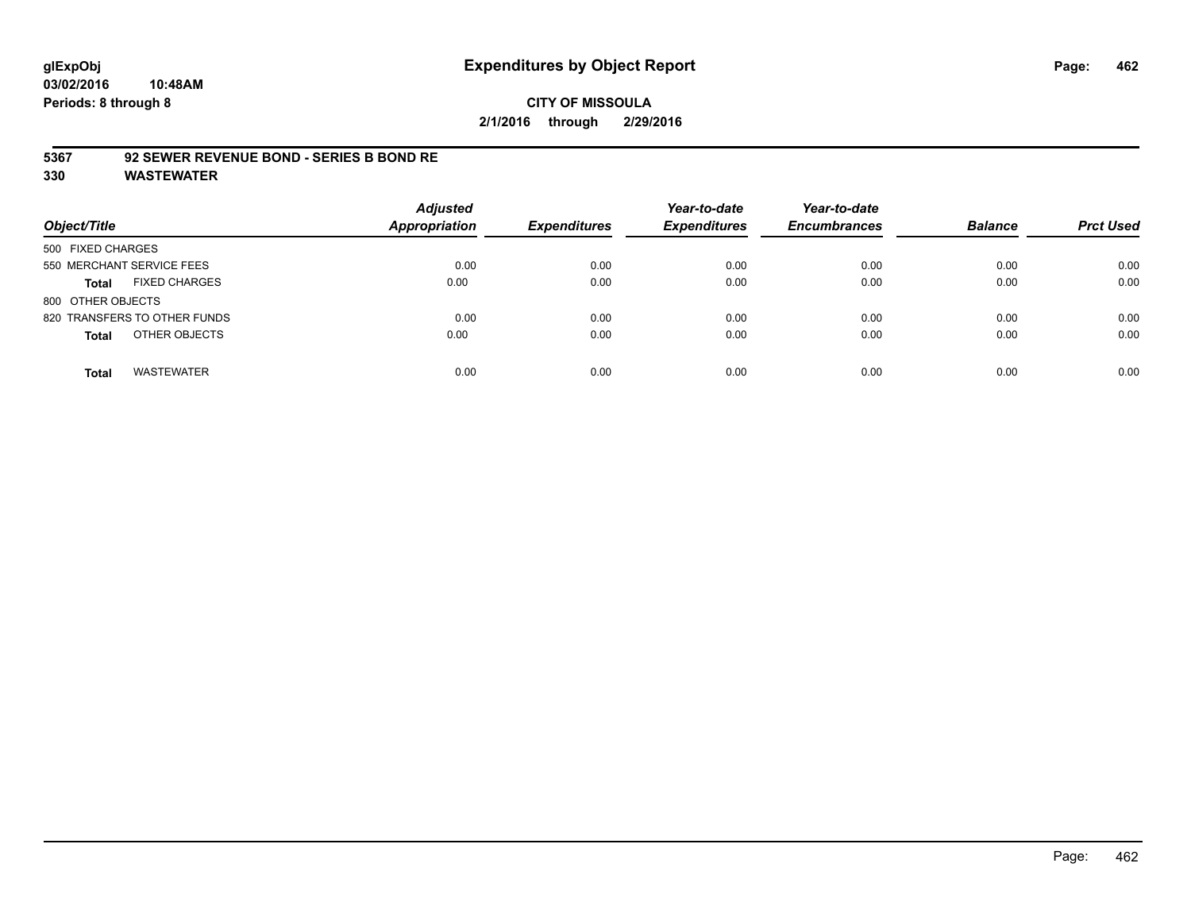## **CITY OF MISSOULA 2/1/2016 through 2/29/2016**

### **5367 92 SEWER REVENUE BOND - SERIES B BOND RE**

| Object/Title                         | <b>Adjusted</b><br><b>Appropriation</b> | <b>Expenditures</b> | Year-to-date<br><b>Expenditures</b> | Year-to-date<br><b>Encumbrances</b> | <b>Balance</b> | <b>Prct Used</b> |
|--------------------------------------|-----------------------------------------|---------------------|-------------------------------------|-------------------------------------|----------------|------------------|
| 500 FIXED CHARGES                    |                                         |                     |                                     |                                     |                |                  |
| 550 MERCHANT SERVICE FEES            | 0.00                                    | 0.00                | 0.00                                | 0.00                                | 0.00           | 0.00             |
| <b>FIXED CHARGES</b><br><b>Total</b> | 0.00                                    | 0.00                | 0.00                                | 0.00                                | 0.00           | 0.00             |
| 800 OTHER OBJECTS                    |                                         |                     |                                     |                                     |                |                  |
| 820 TRANSFERS TO OTHER FUNDS         | 0.00                                    | 0.00                | 0.00                                | 0.00                                | 0.00           | 0.00             |
| OTHER OBJECTS<br><b>Total</b>        | 0.00                                    | 0.00                | 0.00                                | 0.00                                | 0.00           | 0.00             |
| <b>WASTEWATER</b><br>Total           | 0.00                                    | 0.00                | 0.00                                | 0.00                                | 0.00           | 0.00             |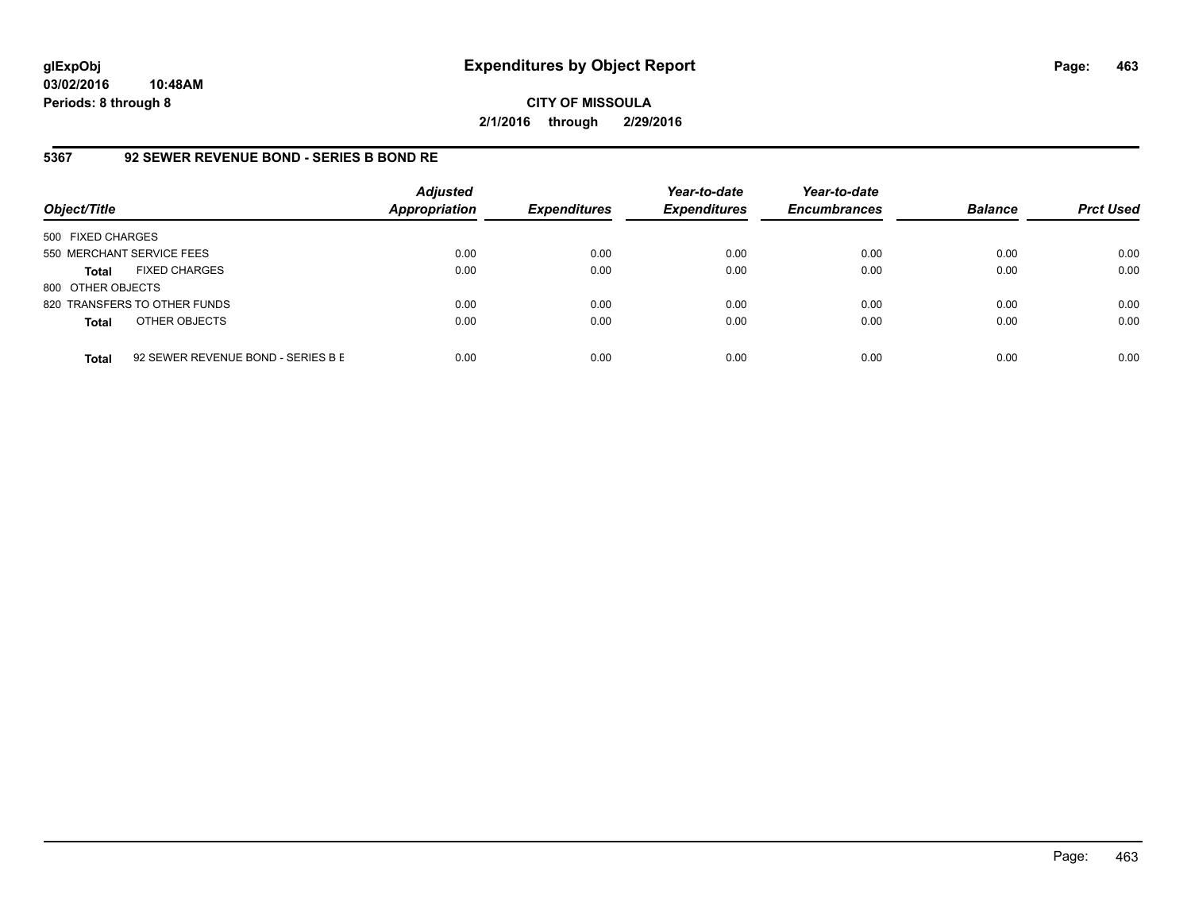**CITY OF MISSOULA 2/1/2016 through 2/29/2016**

### **5367 92 SEWER REVENUE BOND - SERIES B BOND RE**

| Object/Title              |                                    | <b>Adjusted</b><br>Appropriation | <b>Expenditures</b> | Year-to-date<br><b>Expenditures</b> | Year-to-date<br><b>Encumbrances</b> | <b>Balance</b> | <b>Prct Used</b> |
|---------------------------|------------------------------------|----------------------------------|---------------------|-------------------------------------|-------------------------------------|----------------|------------------|
| 500 FIXED CHARGES         |                                    |                                  |                     |                                     |                                     |                |                  |
| 550 MERCHANT SERVICE FEES |                                    | 0.00                             | 0.00                | 0.00                                | 0.00                                | 0.00           | 0.00             |
| Total                     | <b>FIXED CHARGES</b>               | 0.00                             | 0.00                | 0.00                                | 0.00                                | 0.00           | 0.00             |
| 800 OTHER OBJECTS         |                                    |                                  |                     |                                     |                                     |                |                  |
|                           | 820 TRANSFERS TO OTHER FUNDS       | 0.00                             | 0.00                | 0.00                                | 0.00                                | 0.00           | 0.00             |
| <b>Total</b>              | OTHER OBJECTS                      | 0.00                             | 0.00                | 0.00                                | 0.00                                | 0.00           | 0.00             |
| <b>Total</b>              | 92 SEWER REVENUE BOND - SERIES B E | 0.00                             | 0.00                | 0.00                                | 0.00                                | 0.00           | 0.00             |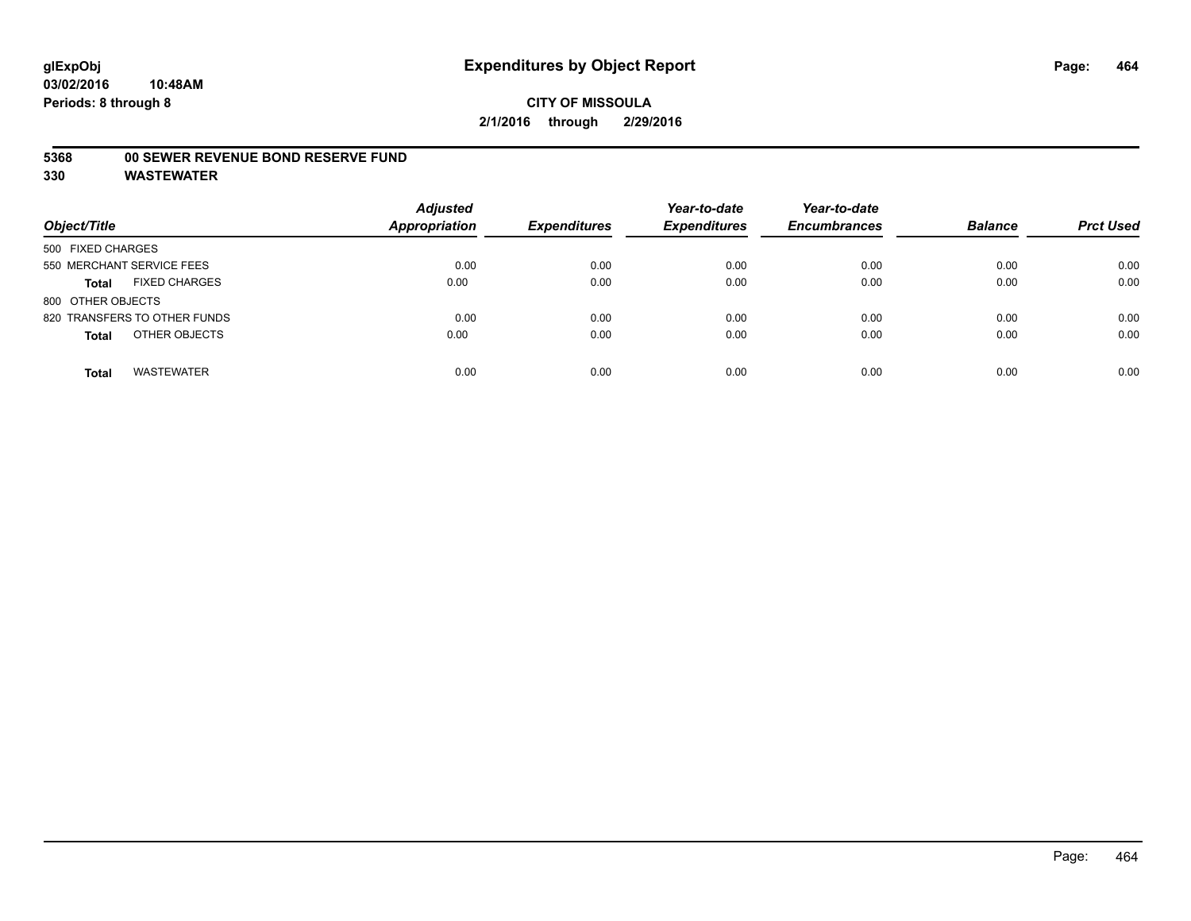#### **5368 00 SEWER REVENUE BOND RESERVE FUND**

| Object/Title                         | <b>Adjusted</b><br><b>Appropriation</b> | <b>Expenditures</b> | Year-to-date<br><b>Expenditures</b> | Year-to-date<br><b>Encumbrances</b> | <b>Balance</b> | <b>Prct Used</b> |
|--------------------------------------|-----------------------------------------|---------------------|-------------------------------------|-------------------------------------|----------------|------------------|
| 500 FIXED CHARGES                    |                                         |                     |                                     |                                     |                |                  |
| 550 MERCHANT SERVICE FEES            | 0.00                                    | 0.00                | 0.00                                | 0.00                                | 0.00           | 0.00             |
| <b>FIXED CHARGES</b><br><b>Total</b> | 0.00                                    | 0.00                | 0.00                                | 0.00                                | 0.00           | 0.00             |
| 800 OTHER OBJECTS                    |                                         |                     |                                     |                                     |                |                  |
| 820 TRANSFERS TO OTHER FUNDS         | 0.00                                    | 0.00                | 0.00                                | 0.00                                | 0.00           | 0.00             |
| OTHER OBJECTS<br><b>Total</b>        | 0.00                                    | 0.00                | 0.00                                | 0.00                                | 0.00           | 0.00             |
| <b>WASTEWATER</b><br><b>Total</b>    | 0.00                                    | 0.00                | 0.00                                | 0.00                                | 0.00           | 0.00             |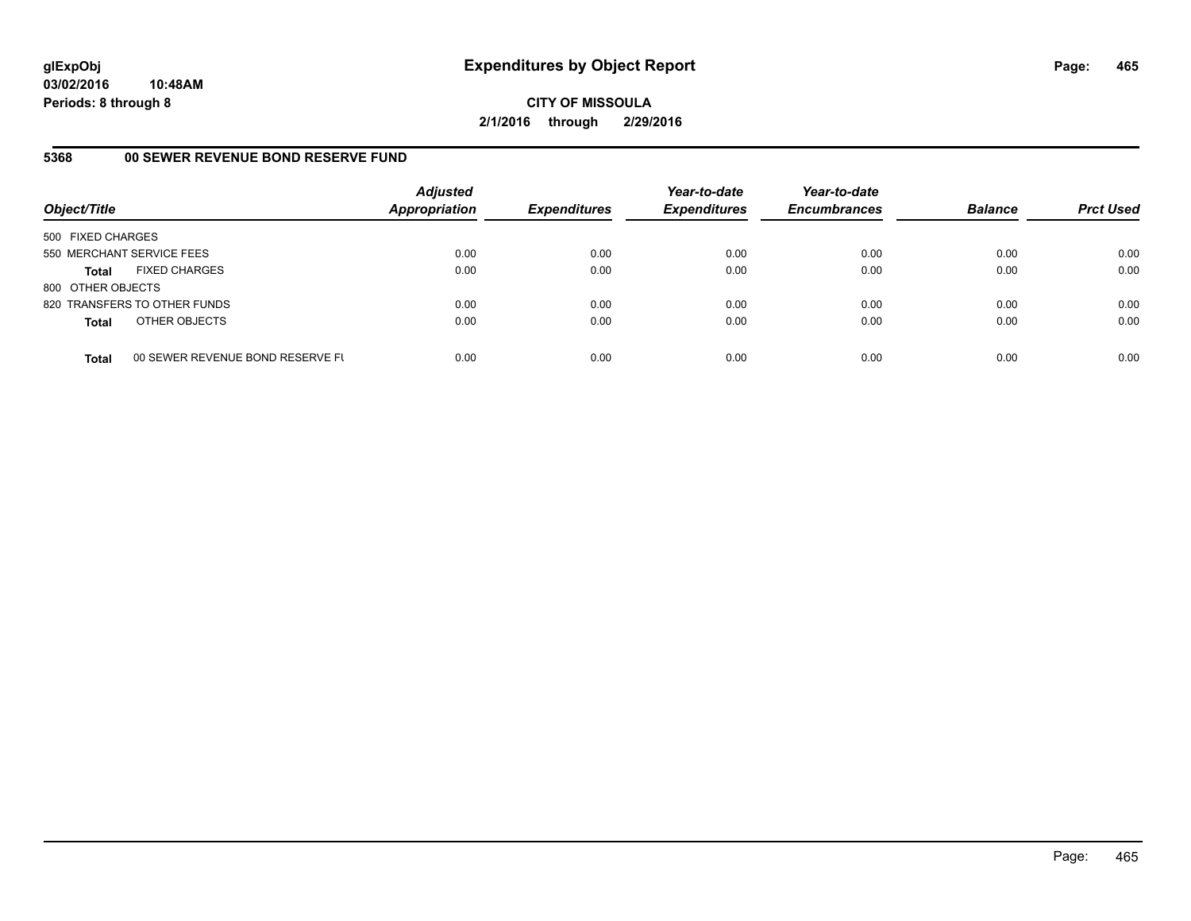**CITY OF MISSOULA 2/1/2016 through 2/29/2016**

## **5368 00 SEWER REVENUE BOND RESERVE FUND**

| Object/Title              |                                  | <b>Adjusted</b><br><b>Appropriation</b> | <b>Expenditures</b> | Year-to-date<br><b>Expenditures</b> | Year-to-date<br><b>Encumbrances</b> | <b>Balance</b> | <b>Prct Used</b> |
|---------------------------|----------------------------------|-----------------------------------------|---------------------|-------------------------------------|-------------------------------------|----------------|------------------|
| 500 FIXED CHARGES         |                                  |                                         |                     |                                     |                                     |                |                  |
| 550 MERCHANT SERVICE FEES |                                  | 0.00                                    | 0.00                | 0.00                                | 0.00                                | 0.00           | 0.00             |
| Total                     | <b>FIXED CHARGES</b>             | 0.00                                    | 0.00                | 0.00                                | 0.00                                | 0.00           | 0.00             |
| 800 OTHER OBJECTS         |                                  |                                         |                     |                                     |                                     |                |                  |
|                           | 820 TRANSFERS TO OTHER FUNDS     | 0.00                                    | 0.00                | 0.00                                | 0.00                                | 0.00           | 0.00             |
| <b>Total</b>              | OTHER OBJECTS                    | 0.00                                    | 0.00                | 0.00                                | 0.00                                | 0.00           | 0.00             |
| <b>Total</b>              | 00 SEWER REVENUE BOND RESERVE FL | 0.00                                    | 0.00                | 0.00                                | 0.00                                | 0.00           | 0.00             |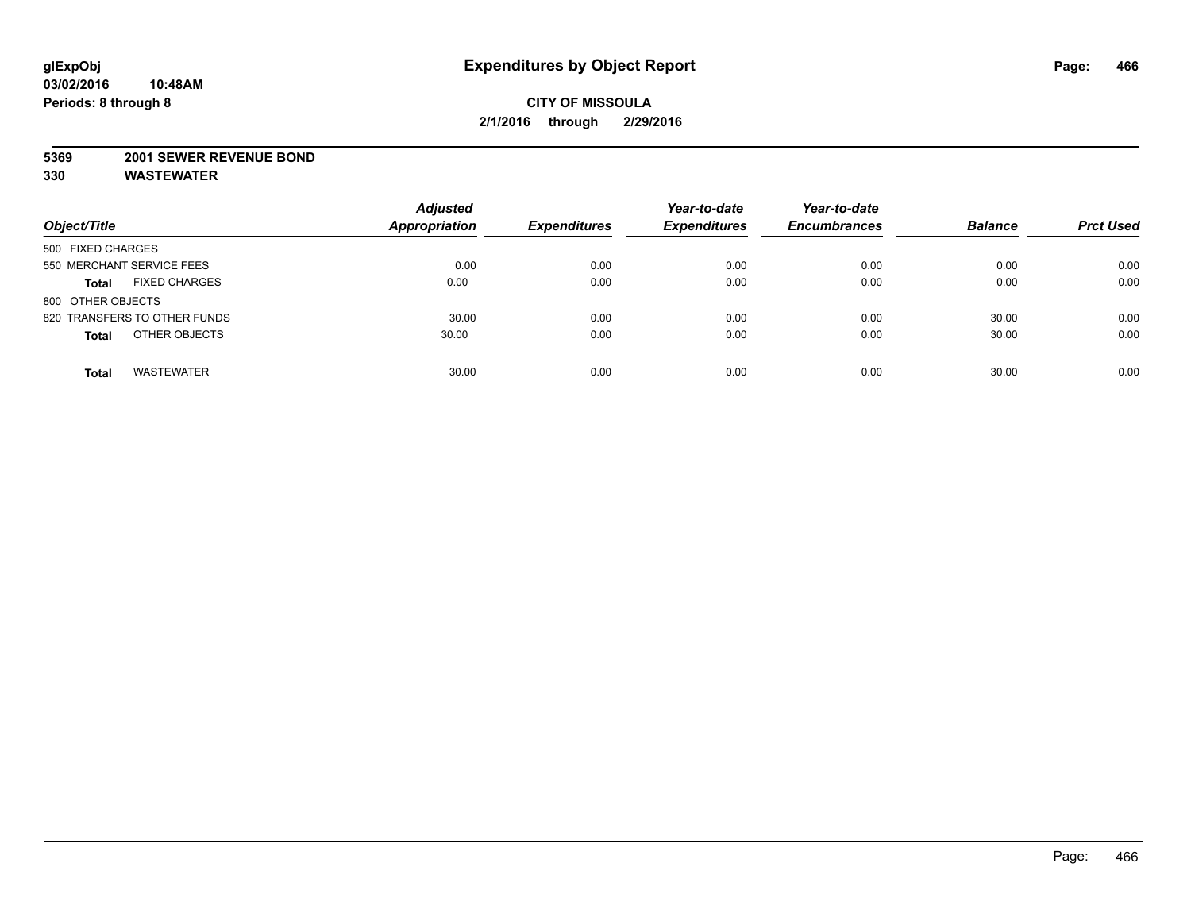#### **5369 2001 SEWER REVENUE BOND**

| Object/Title                         | <b>Adjusted</b><br><b>Appropriation</b> | <b>Expenditures</b> | Year-to-date<br><b>Expenditures</b> | Year-to-date<br><b>Encumbrances</b> | <b>Balance</b> | <b>Prct Used</b> |
|--------------------------------------|-----------------------------------------|---------------------|-------------------------------------|-------------------------------------|----------------|------------------|
| 500 FIXED CHARGES                    |                                         |                     |                                     |                                     |                |                  |
| 550 MERCHANT SERVICE FEES            | 0.00                                    | 0.00                | 0.00                                | 0.00                                | 0.00           | 0.00             |
| <b>FIXED CHARGES</b><br><b>Total</b> | 0.00                                    | 0.00                | 0.00                                | 0.00                                | 0.00           | 0.00             |
| 800 OTHER OBJECTS                    |                                         |                     |                                     |                                     |                |                  |
| 820 TRANSFERS TO OTHER FUNDS         | 30.00                                   | 0.00                | 0.00                                | 0.00                                | 30.00          | 0.00             |
| OTHER OBJECTS<br><b>Total</b>        | 30.00                                   | 0.00                | 0.00                                | 0.00                                | 30.00          | 0.00             |
| <b>WASTEWATER</b><br><b>Total</b>    | 30.00                                   | 0.00                | 0.00                                | 0.00                                | 30.00          | 0.00             |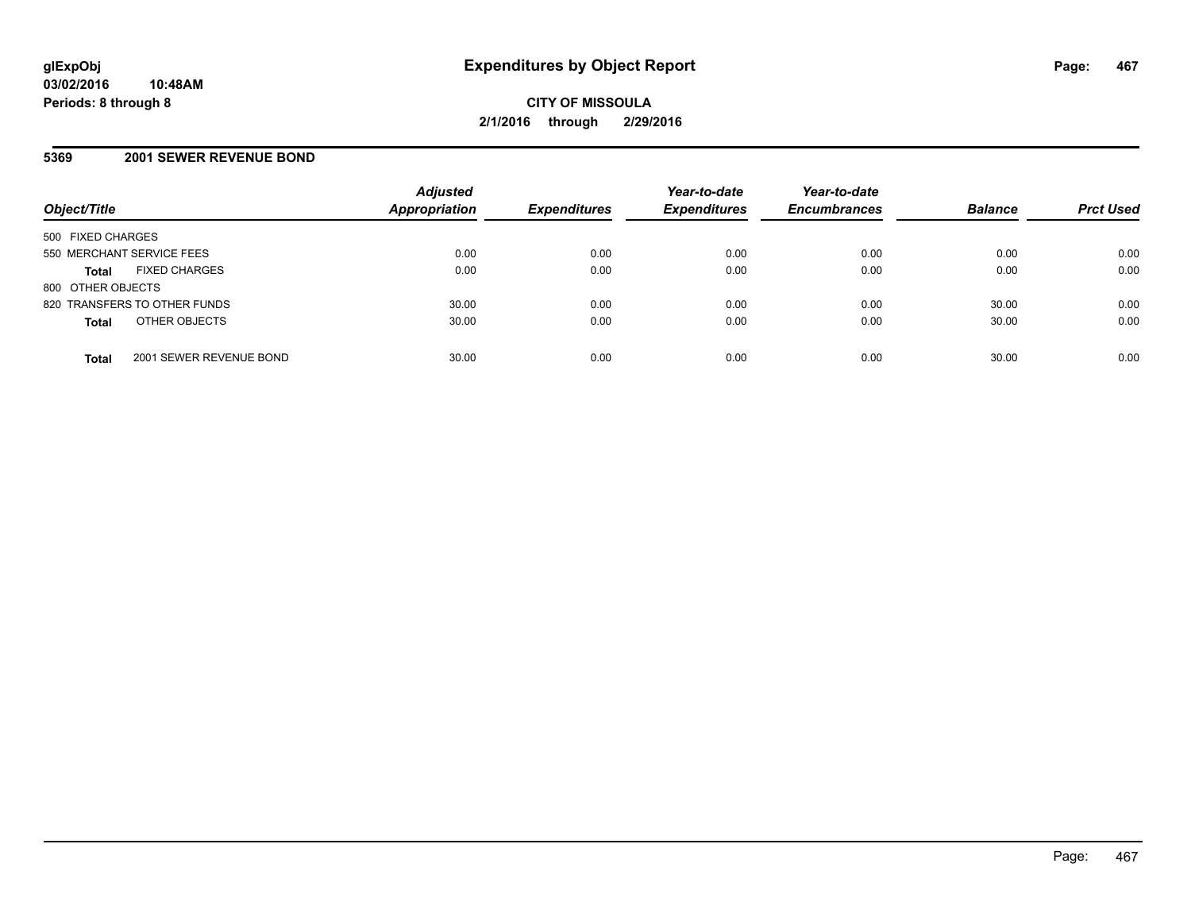### **5369 2001 SEWER REVENUE BOND**

| Object/Title                            | <b>Adjusted</b><br><b>Appropriation</b> | <b>Expenditures</b> | Year-to-date<br><b>Expenditures</b> | Year-to-date<br><b>Encumbrances</b> | <b>Balance</b> | <b>Prct Used</b> |
|-----------------------------------------|-----------------------------------------|---------------------|-------------------------------------|-------------------------------------|----------------|------------------|
| 500 FIXED CHARGES                       |                                         |                     |                                     |                                     |                |                  |
| 550 MERCHANT SERVICE FEES               | 0.00                                    | 0.00                | 0.00                                | 0.00                                | 0.00           | 0.00             |
| <b>FIXED CHARGES</b><br><b>Total</b>    | 0.00                                    | 0.00                | 0.00                                | 0.00                                | 0.00           | 0.00             |
| 800 OTHER OBJECTS                       |                                         |                     |                                     |                                     |                |                  |
| 820 TRANSFERS TO OTHER FUNDS            | 30.00                                   | 0.00                | 0.00                                | 0.00                                | 30.00          | 0.00             |
| OTHER OBJECTS<br><b>Total</b>           | 30.00                                   | 0.00                | 0.00                                | 0.00                                | 30.00          | 0.00             |
| 2001 SEWER REVENUE BOND<br><b>Total</b> | 30.00                                   | 0.00                | 0.00                                | 0.00                                | 30.00          | 0.00             |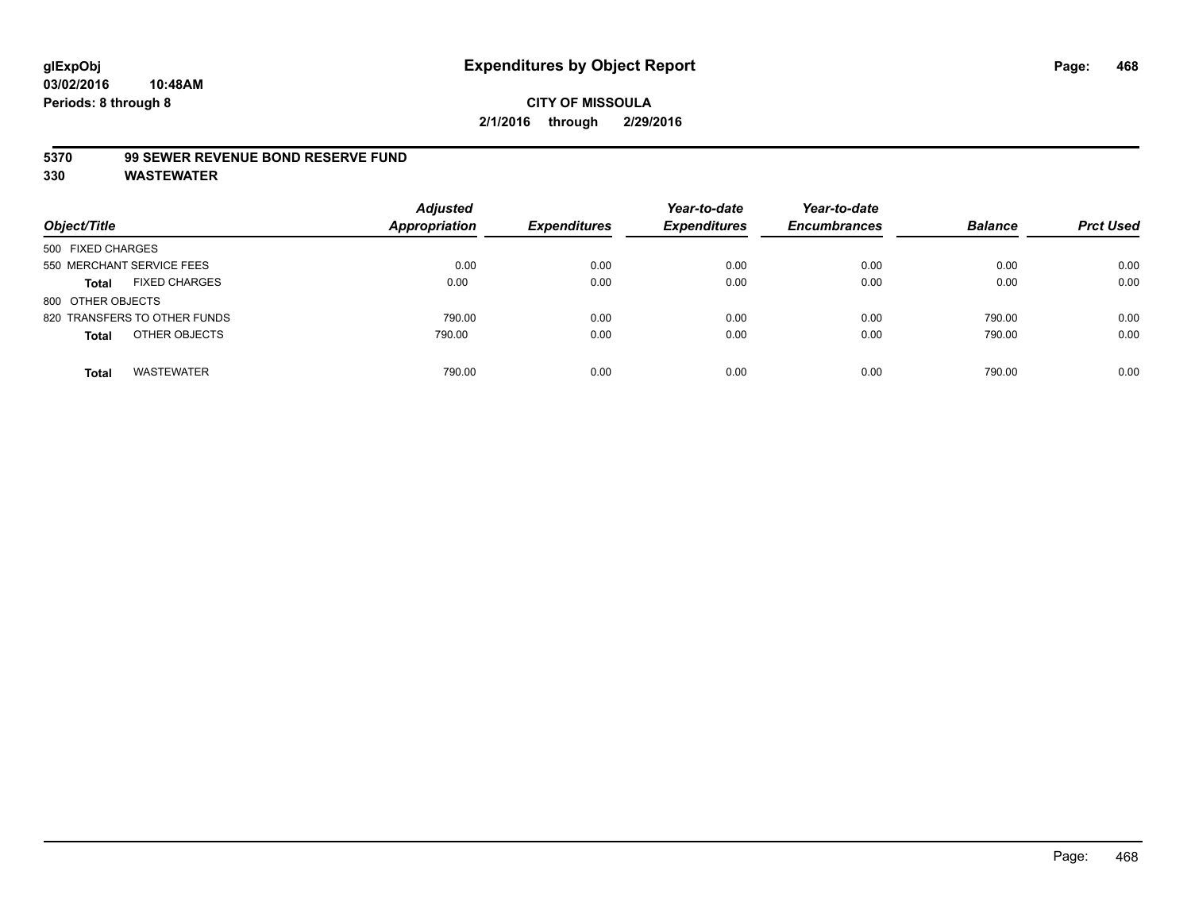#### **5370 99 SEWER REVENUE BOND RESERVE FUND**

| Object/Title                         | <b>Adjusted</b><br><b>Appropriation</b> | <b>Expenditures</b> | Year-to-date<br><b>Expenditures</b> | Year-to-date<br><b>Encumbrances</b> | <b>Balance</b> | <b>Prct Used</b> |
|--------------------------------------|-----------------------------------------|---------------------|-------------------------------------|-------------------------------------|----------------|------------------|
| 500 FIXED CHARGES                    |                                         |                     |                                     |                                     |                |                  |
| 550 MERCHANT SERVICE FEES            | 0.00                                    | 0.00                | 0.00                                | 0.00                                | 0.00           | 0.00             |
| <b>FIXED CHARGES</b><br><b>Total</b> | 0.00                                    | 0.00                | 0.00                                | 0.00                                | 0.00           | 0.00             |
| 800 OTHER OBJECTS                    |                                         |                     |                                     |                                     |                |                  |
| 820 TRANSFERS TO OTHER FUNDS         | 790.00                                  | 0.00                | 0.00                                | 0.00                                | 790.00         | 0.00             |
| OTHER OBJECTS<br><b>Total</b>        | 790.00                                  | 0.00                | 0.00                                | 0.00                                | 790.00         | 0.00             |
| <b>WASTEWATER</b><br><b>Total</b>    | 790.00                                  | 0.00                | 0.00                                | 0.00                                | 790.00         | 0.00             |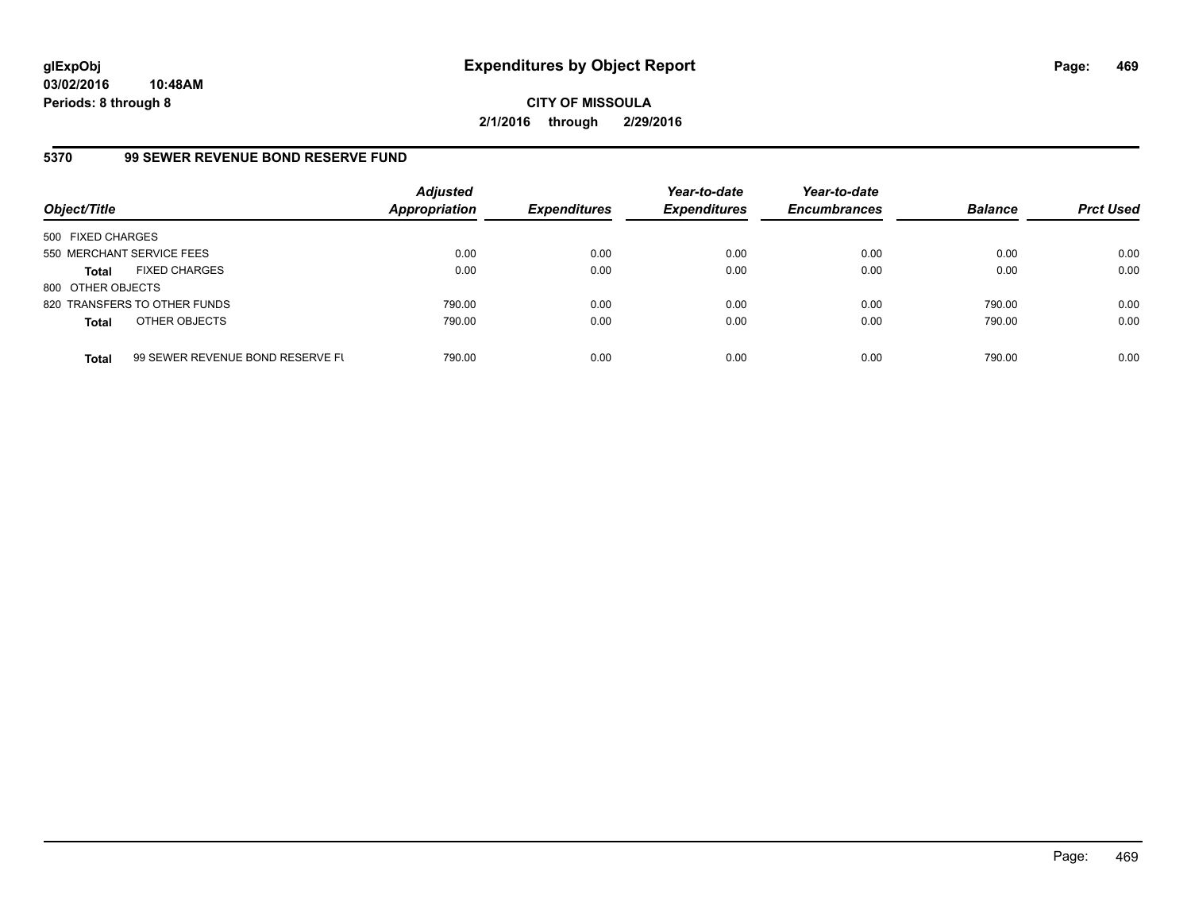**03/02/2016 10:48AM Periods: 8 through 8**

**CITY OF MISSOULA 2/1/2016 through 2/29/2016**

### **5370 99 SEWER REVENUE BOND RESERVE FUND**

| Object/Title              |                                  | <b>Adjusted</b><br><b>Appropriation</b> | <b>Expenditures</b> | Year-to-date<br><b>Expenditures</b> | Year-to-date<br><b>Encumbrances</b> | <b>Balance</b> | <b>Prct Used</b> |
|---------------------------|----------------------------------|-----------------------------------------|---------------------|-------------------------------------|-------------------------------------|----------------|------------------|
| 500 FIXED CHARGES         |                                  |                                         |                     |                                     |                                     |                |                  |
| 550 MERCHANT SERVICE FEES |                                  | 0.00                                    | 0.00                | 0.00                                | 0.00                                | 0.00           | 0.00             |
| <b>Total</b>              | <b>FIXED CHARGES</b>             | 0.00                                    | 0.00                | 0.00                                | 0.00                                | 0.00           | 0.00             |
| 800 OTHER OBJECTS         |                                  |                                         |                     |                                     |                                     |                |                  |
|                           | 820 TRANSFERS TO OTHER FUNDS     | 790.00                                  | 0.00                | 0.00                                | 0.00                                | 790.00         | 0.00             |
| <b>Total</b>              | OTHER OBJECTS                    | 790.00                                  | 0.00                | 0.00                                | 0.00                                | 790.00         | 0.00             |
| <b>Total</b>              | 99 SEWER REVENUE BOND RESERVE FL | 790.00                                  | 0.00                | 0.00                                | 0.00                                | 790.00         | 0.00             |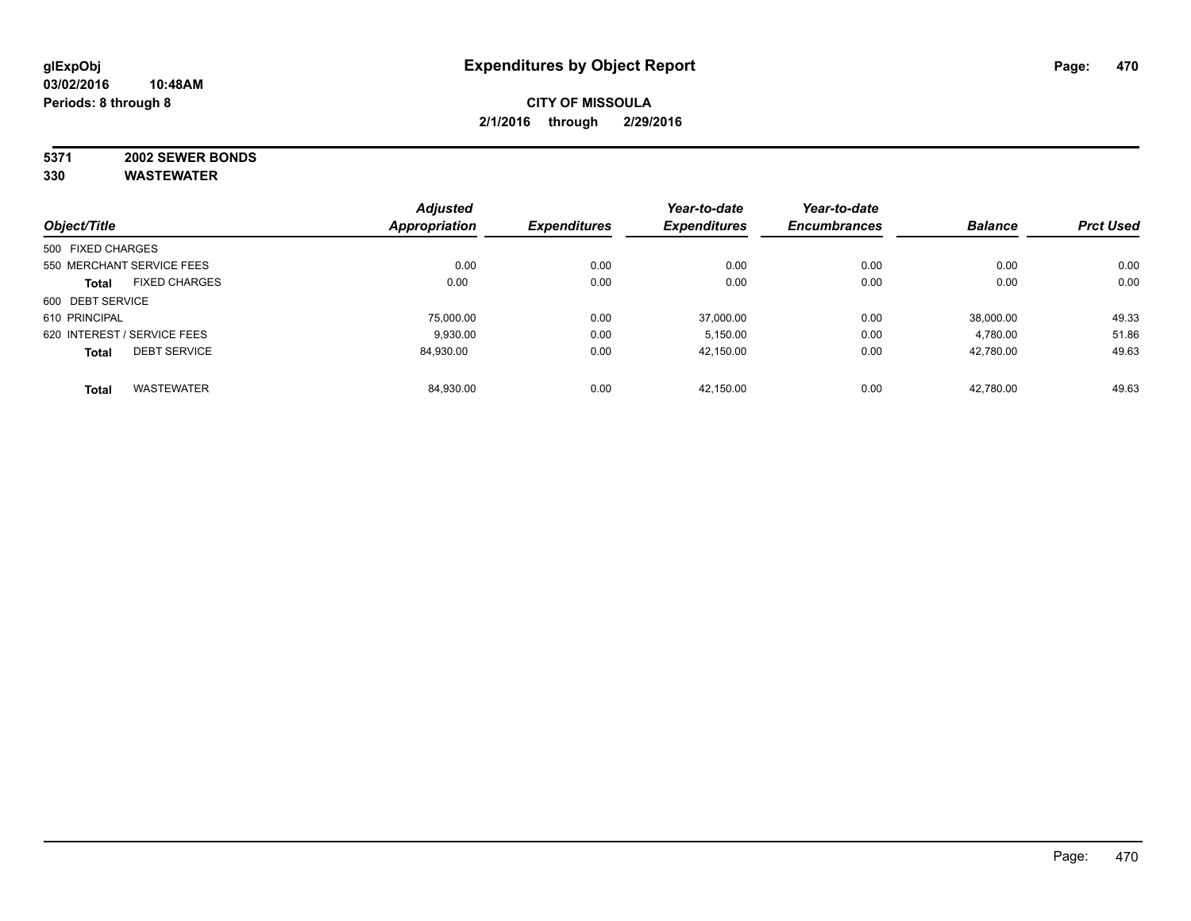# **5371 2002 SEWER BONDS**

|                                      | <b>Adjusted</b>      |                     | Year-to-date        | Year-to-date        |                |                  |
|--------------------------------------|----------------------|---------------------|---------------------|---------------------|----------------|------------------|
| Object/Title                         | <b>Appropriation</b> | <b>Expenditures</b> | <b>Expenditures</b> | <b>Encumbrances</b> | <b>Balance</b> | <b>Prct Used</b> |
| 500 FIXED CHARGES                    |                      |                     |                     |                     |                |                  |
| 550 MERCHANT SERVICE FEES            | 0.00                 | 0.00                | 0.00                | 0.00                | 0.00           | 0.00             |
| <b>FIXED CHARGES</b><br><b>Total</b> | 0.00                 | 0.00                | 0.00                | 0.00                | 0.00           | 0.00             |
| 600 DEBT SERVICE                     |                      |                     |                     |                     |                |                  |
| 610 PRINCIPAL                        | 75.000.00            | 0.00                | 37.000.00           | 0.00                | 38.000.00      | 49.33            |
| 620 INTEREST / SERVICE FEES          | 9.930.00             | 0.00                | 5,150.00            | 0.00                | 4,780.00       | 51.86            |
| <b>DEBT SERVICE</b><br><b>Total</b>  | 84.930.00            | 0.00                | 42,150.00           | 0.00                | 42,780.00      | 49.63            |
| <b>WASTEWATER</b><br><b>Total</b>    | 84,930.00            | 0.00                | 42.150.00           | 0.00                | 42,780.00      | 49.63            |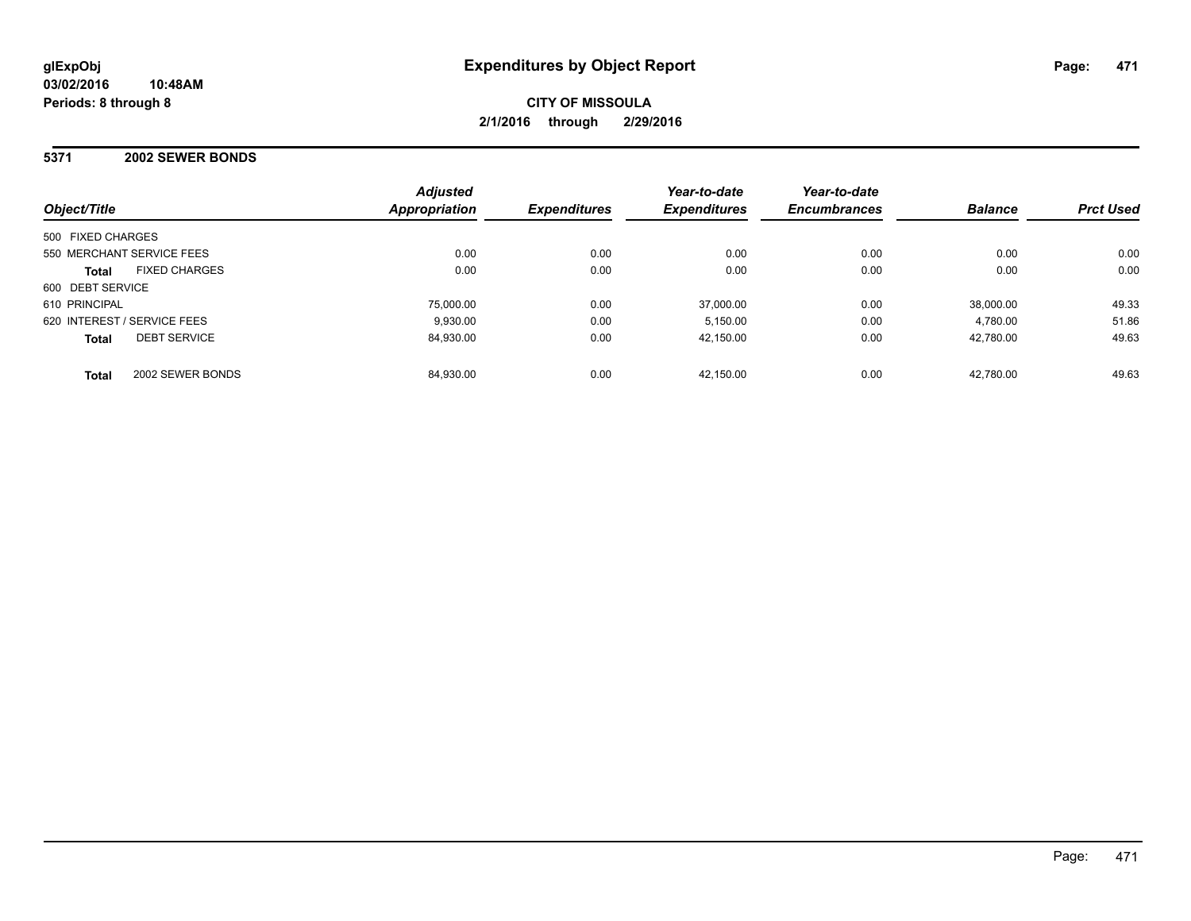#### **5371 2002 SEWER BONDS**

| Object/Title                         | <b>Adjusted</b><br>Appropriation | <b>Expenditures</b> | Year-to-date<br><b>Expenditures</b> | Year-to-date<br><b>Encumbrances</b> | <b>Balance</b> | <b>Prct Used</b> |
|--------------------------------------|----------------------------------|---------------------|-------------------------------------|-------------------------------------|----------------|------------------|
| 500 FIXED CHARGES                    |                                  |                     |                                     |                                     |                |                  |
| 550 MERCHANT SERVICE FEES            | 0.00                             | 0.00                | 0.00                                | 0.00                                | 0.00           | 0.00             |
| <b>FIXED CHARGES</b><br><b>Total</b> | 0.00                             | 0.00                | 0.00                                | 0.00                                | 0.00           | 0.00             |
| 600 DEBT SERVICE                     |                                  |                     |                                     |                                     |                |                  |
| 610 PRINCIPAL                        | 75,000.00                        | 0.00                | 37,000.00                           | 0.00                                | 38.000.00      | 49.33            |
| 620 INTEREST / SERVICE FEES          | 9.930.00                         | 0.00                | 5.150.00                            | 0.00                                | 4.780.00       | 51.86            |
| <b>DEBT SERVICE</b><br><b>Total</b>  | 84.930.00                        | 0.00                | 42.150.00                           | 0.00                                | 42.780.00      | 49.63            |
| 2002 SEWER BONDS<br><b>Total</b>     | 84.930.00                        | 0.00                | 42.150.00                           | 0.00                                | 42.780.00      | 49.63            |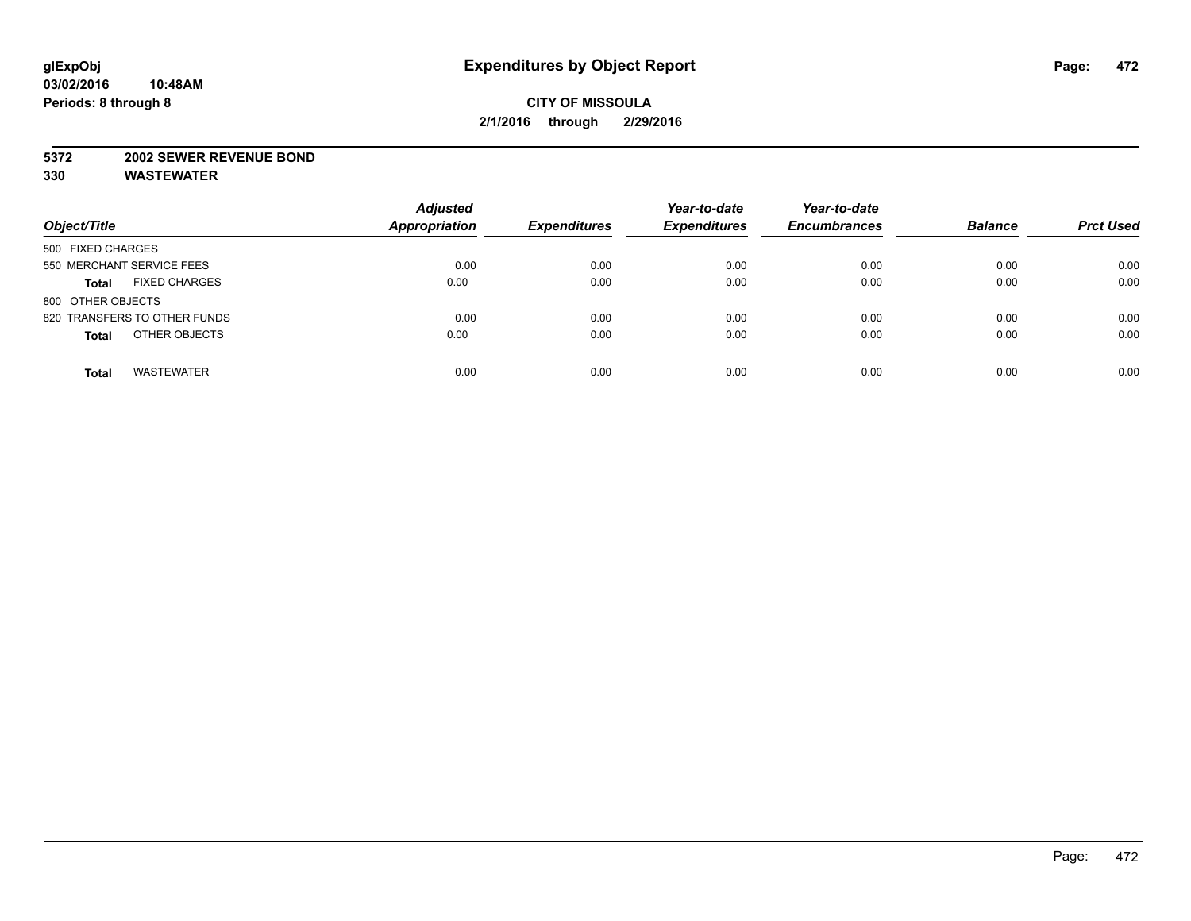#### **5372 2002 SEWER REVENUE BOND**

| Object/Title                         | <b>Adjusted</b><br><b>Appropriation</b> | <b>Expenditures</b> | Year-to-date<br><b>Expenditures</b> | Year-to-date<br><b>Encumbrances</b> | <b>Balance</b> | <b>Prct Used</b> |
|--------------------------------------|-----------------------------------------|---------------------|-------------------------------------|-------------------------------------|----------------|------------------|
| 500 FIXED CHARGES                    |                                         |                     |                                     |                                     |                |                  |
| 550 MERCHANT SERVICE FEES            | 0.00                                    | 0.00                | 0.00                                | 0.00                                | 0.00           | 0.00             |
| <b>FIXED CHARGES</b><br><b>Total</b> | 0.00                                    | 0.00                | 0.00                                | 0.00                                | 0.00           | 0.00             |
| 800 OTHER OBJECTS                    |                                         |                     |                                     |                                     |                |                  |
| 820 TRANSFERS TO OTHER FUNDS         | 0.00                                    | 0.00                | 0.00                                | 0.00                                | 0.00           | 0.00             |
| OTHER OBJECTS<br><b>Total</b>        | 0.00                                    | 0.00                | 0.00                                | 0.00                                | 0.00           | 0.00             |
| <b>WASTEWATER</b><br><b>Total</b>    | 0.00                                    | 0.00                | 0.00                                | 0.00                                | 0.00           | 0.00             |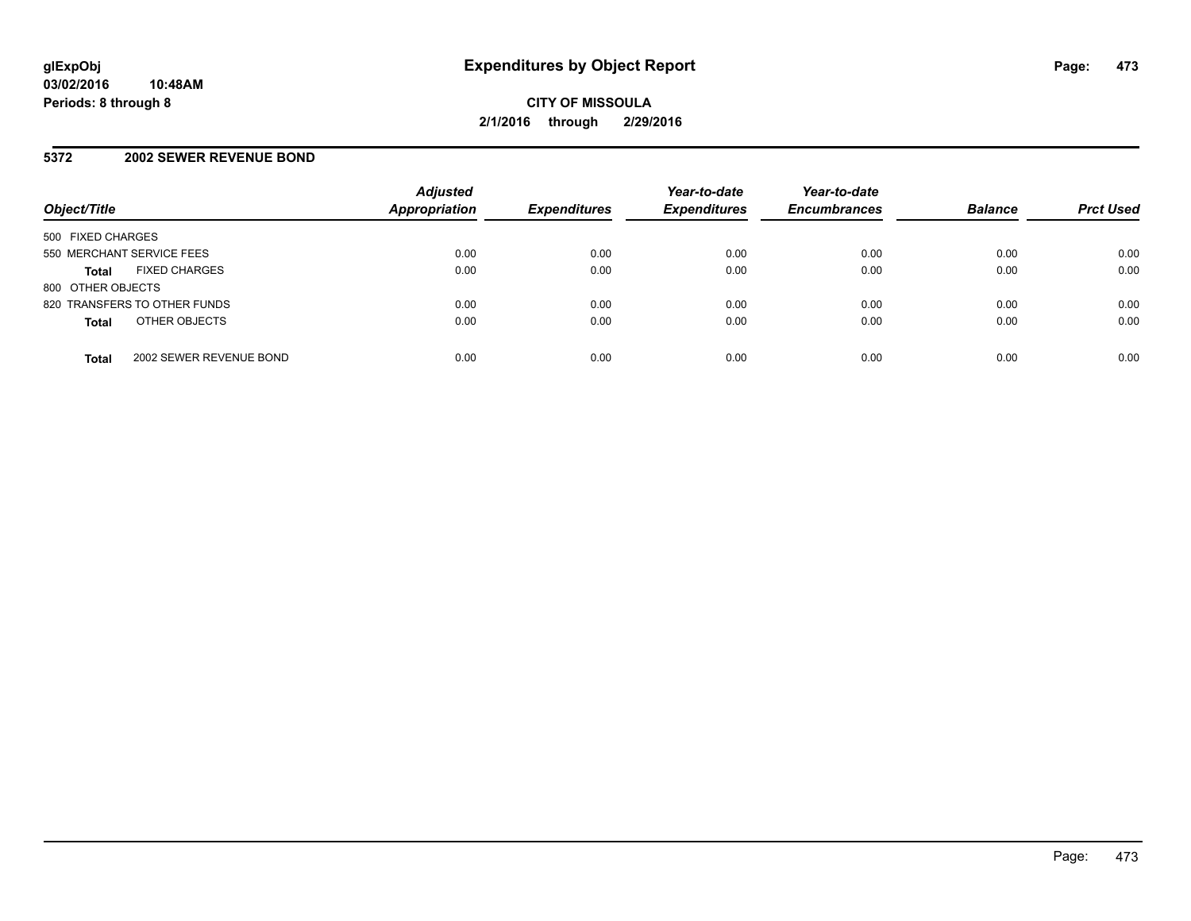#### **5372 2002 SEWER REVENUE BOND**

| Object/Title                            | <b>Adjusted</b><br><b>Appropriation</b> | <b>Expenditures</b> | Year-to-date<br><b>Expenditures</b> | Year-to-date<br><b>Encumbrances</b> | <b>Balance</b> | <b>Prct Used</b> |
|-----------------------------------------|-----------------------------------------|---------------------|-------------------------------------|-------------------------------------|----------------|------------------|
| 500 FIXED CHARGES                       |                                         |                     |                                     |                                     |                |                  |
| 550 MERCHANT SERVICE FEES               | 0.00                                    | 0.00                | 0.00                                | 0.00                                | 0.00           | 0.00             |
| <b>FIXED CHARGES</b><br><b>Total</b>    | 0.00                                    | 0.00                | 0.00                                | 0.00                                | 0.00           | 0.00             |
| 800 OTHER OBJECTS                       |                                         |                     |                                     |                                     |                |                  |
| 820 TRANSFERS TO OTHER FUNDS            | 0.00                                    | 0.00                | 0.00                                | 0.00                                | 0.00           | 0.00             |
| OTHER OBJECTS<br><b>Total</b>           | 0.00                                    | 0.00                | 0.00                                | 0.00                                | 0.00           | 0.00             |
| 2002 SEWER REVENUE BOND<br><b>Total</b> | 0.00                                    | 0.00                | 0.00                                | 0.00                                | 0.00           | 0.00             |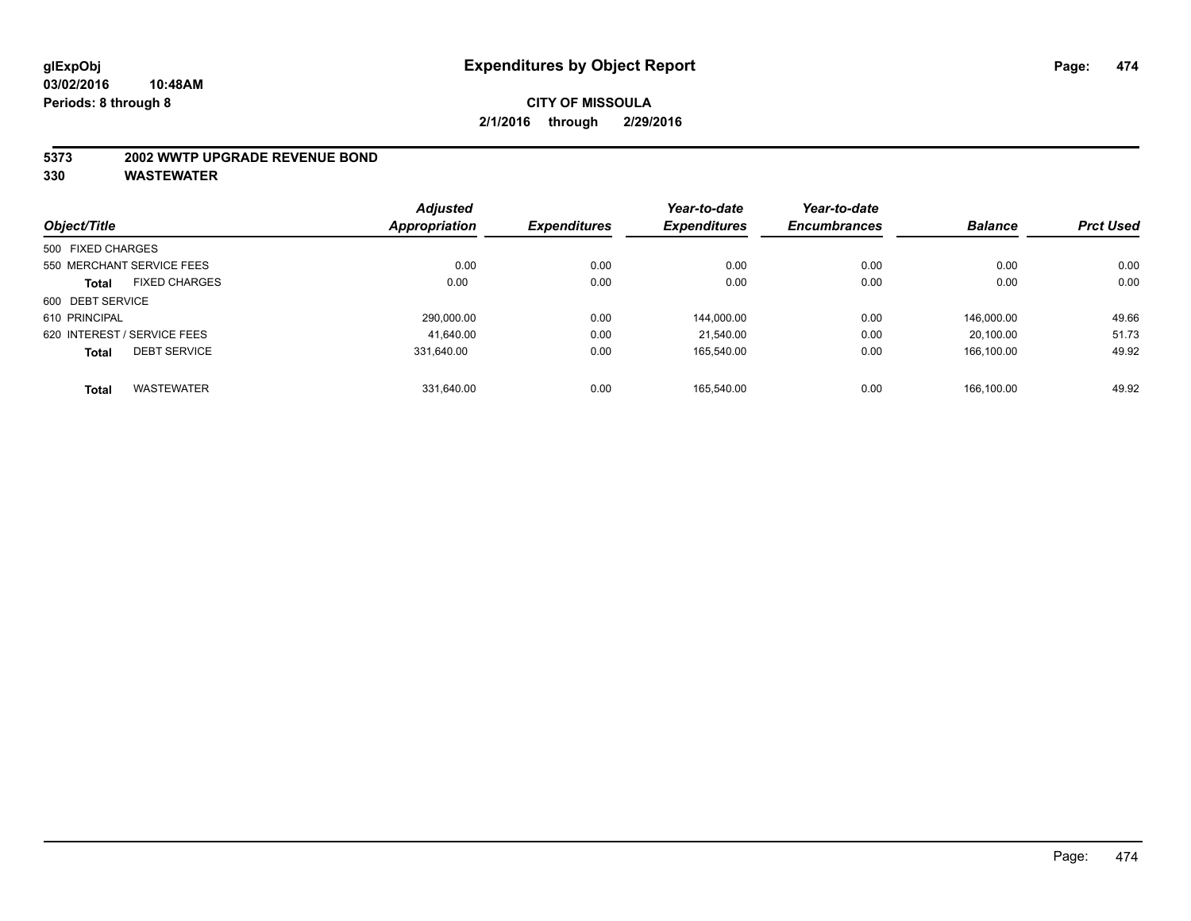#### **5373 2002 WWTP UPGRADE REVENUE BOND**

|                   |                             | <b>Adjusted</b> |                     | Year-to-date        | Year-to-date        |                |                  |
|-------------------|-----------------------------|-----------------|---------------------|---------------------|---------------------|----------------|------------------|
| Object/Title      |                             | Appropriation   | <b>Expenditures</b> | <b>Expenditures</b> | <b>Encumbrances</b> | <b>Balance</b> | <b>Prct Used</b> |
| 500 FIXED CHARGES |                             |                 |                     |                     |                     |                |                  |
|                   | 550 MERCHANT SERVICE FEES   | 0.00            | 0.00                | 0.00                | 0.00                | 0.00           | 0.00             |
| <b>Total</b>      | <b>FIXED CHARGES</b>        | 0.00            | 0.00                | 0.00                | 0.00                | 0.00           | 0.00             |
| 600 DEBT SERVICE  |                             |                 |                     |                     |                     |                |                  |
| 610 PRINCIPAL     |                             | 290.000.00      | 0.00                | 144.000.00          | 0.00                | 146.000.00     | 49.66            |
|                   | 620 INTEREST / SERVICE FEES | 41.640.00       | 0.00                | 21.540.00           | 0.00                | 20,100.00      | 51.73            |
| <b>Total</b>      | <b>DEBT SERVICE</b>         | 331.640.00      | 0.00                | 165.540.00          | 0.00                | 166.100.00     | 49.92            |
| <b>Total</b>      | <b>WASTEWATER</b>           | 331.640.00      | 0.00                | 165.540.00          | 0.00                | 166.100.00     | 49.92            |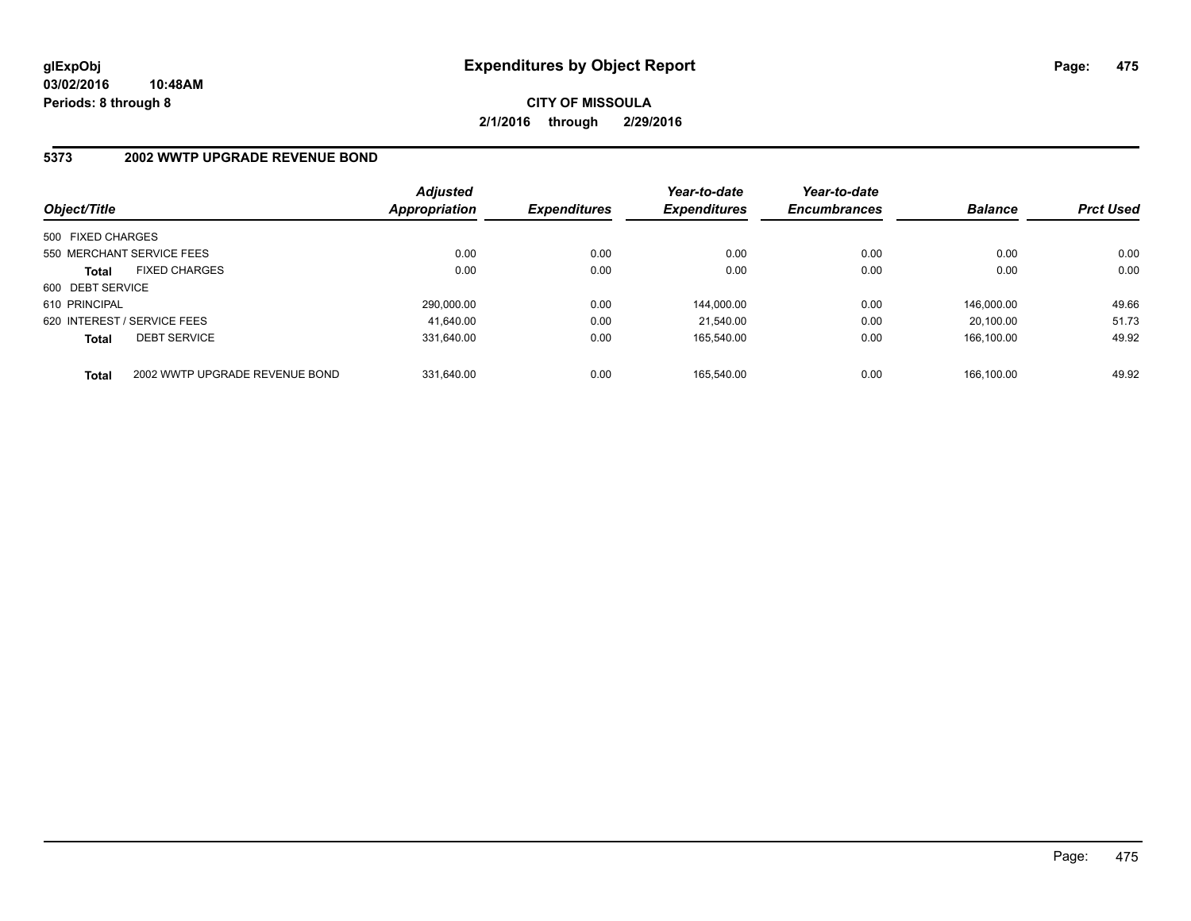# **5373 2002 WWTP UPGRADE REVENUE BOND**

| Object/Title      |                                | <b>Adjusted</b><br>Appropriation | <b>Expenditures</b> | Year-to-date<br><b>Expenditures</b> | Year-to-date<br><b>Encumbrances</b> | <b>Balance</b> | <b>Prct Used</b> |
|-------------------|--------------------------------|----------------------------------|---------------------|-------------------------------------|-------------------------------------|----------------|------------------|
| 500 FIXED CHARGES |                                |                                  |                     |                                     |                                     |                |                  |
|                   | 550 MERCHANT SERVICE FEES      | 0.00                             | 0.00                | 0.00                                | 0.00                                | 0.00           | 0.00             |
| <b>Total</b>      | <b>FIXED CHARGES</b>           | 0.00                             | 0.00                | 0.00                                | 0.00                                | 0.00           | 0.00             |
| 600 DEBT SERVICE  |                                |                                  |                     |                                     |                                     |                |                  |
| 610 PRINCIPAL     |                                | 290.000.00                       | 0.00                | 144.000.00                          | 0.00                                | 146.000.00     | 49.66            |
|                   | 620 INTEREST / SERVICE FEES    | 41.640.00                        | 0.00                | 21.540.00                           | 0.00                                | 20.100.00      | 51.73            |
| <b>Total</b>      | <b>DEBT SERVICE</b>            | 331.640.00                       | 0.00                | 165.540.00                          | 0.00                                | 166.100.00     | 49.92            |
| <b>Total</b>      | 2002 WWTP UPGRADE REVENUE BOND | 331.640.00                       | 0.00                | 165.540.00                          | 0.00                                | 166.100.00     | 49.92            |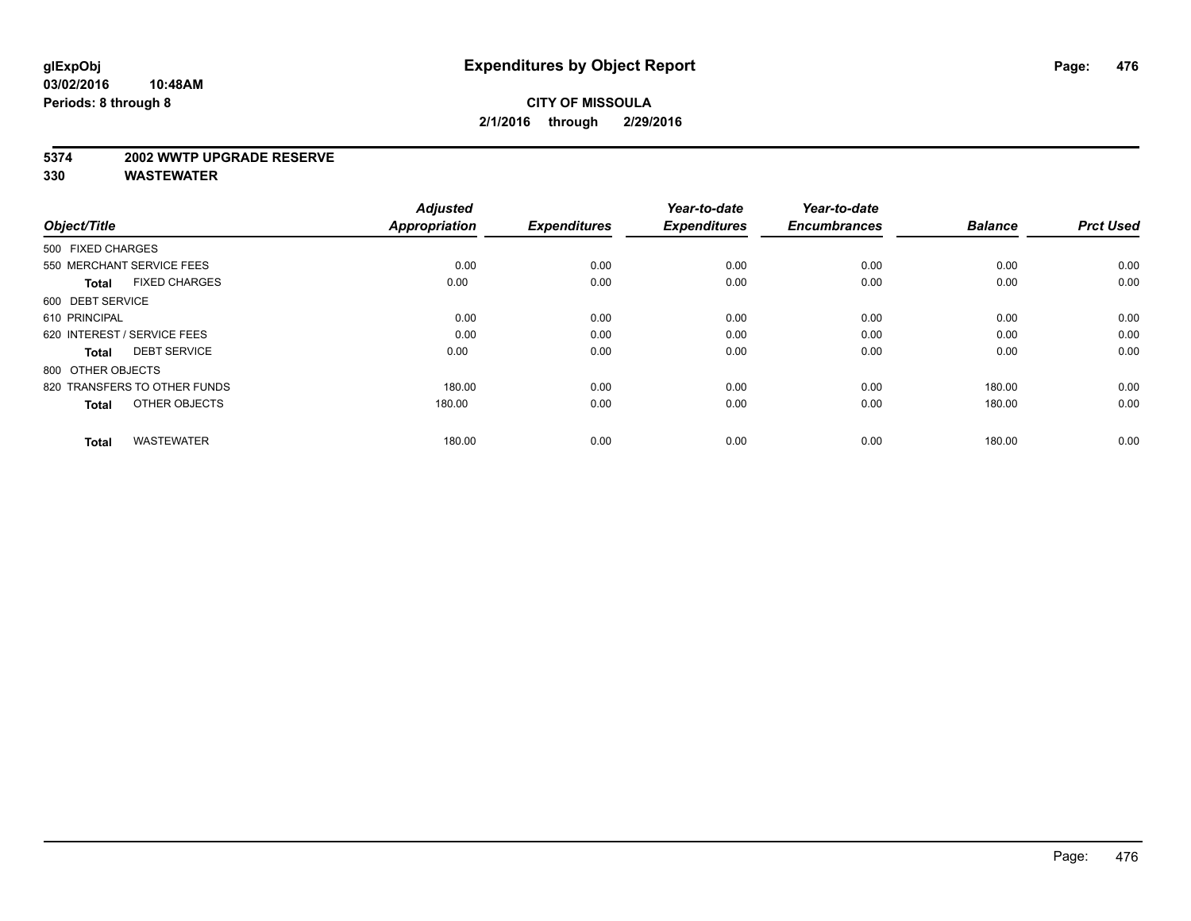#### **5374 2002 WWTP UPGRADE RESERVE**

| Object/Title                         | <b>Adjusted</b><br><b>Appropriation</b> | <b>Expenditures</b> | Year-to-date<br><b>Expenditures</b> | Year-to-date<br><b>Encumbrances</b> | <b>Balance</b> | <b>Prct Used</b> |
|--------------------------------------|-----------------------------------------|---------------------|-------------------------------------|-------------------------------------|----------------|------------------|
| 500 FIXED CHARGES                    |                                         |                     |                                     |                                     |                |                  |
| 550 MERCHANT SERVICE FEES            | 0.00                                    | 0.00                | 0.00                                | 0.00                                | 0.00           | 0.00             |
| <b>FIXED CHARGES</b><br><b>Total</b> | 0.00                                    | 0.00                | 0.00                                | 0.00                                | 0.00           | 0.00             |
| 600 DEBT SERVICE                     |                                         |                     |                                     |                                     |                |                  |
| 610 PRINCIPAL                        | 0.00                                    | 0.00                | 0.00                                | 0.00                                | 0.00           | 0.00             |
| 620 INTEREST / SERVICE FEES          | 0.00                                    | 0.00                | 0.00                                | 0.00                                | 0.00           | 0.00             |
| <b>DEBT SERVICE</b><br><b>Total</b>  | 0.00                                    | 0.00                | 0.00                                | 0.00                                | 0.00           | 0.00             |
| 800 OTHER OBJECTS                    |                                         |                     |                                     |                                     |                |                  |
| 820 TRANSFERS TO OTHER FUNDS         | 180.00                                  | 0.00                | 0.00                                | 0.00                                | 180.00         | 0.00             |
| OTHER OBJECTS<br><b>Total</b>        | 180.00                                  | 0.00                | 0.00                                | 0.00                                | 180.00         | 0.00             |
|                                      |                                         |                     |                                     |                                     |                |                  |
| <b>WASTEWATER</b><br><b>Total</b>    | 180.00                                  | 0.00                | 0.00                                | 0.00                                | 180.00         | 0.00             |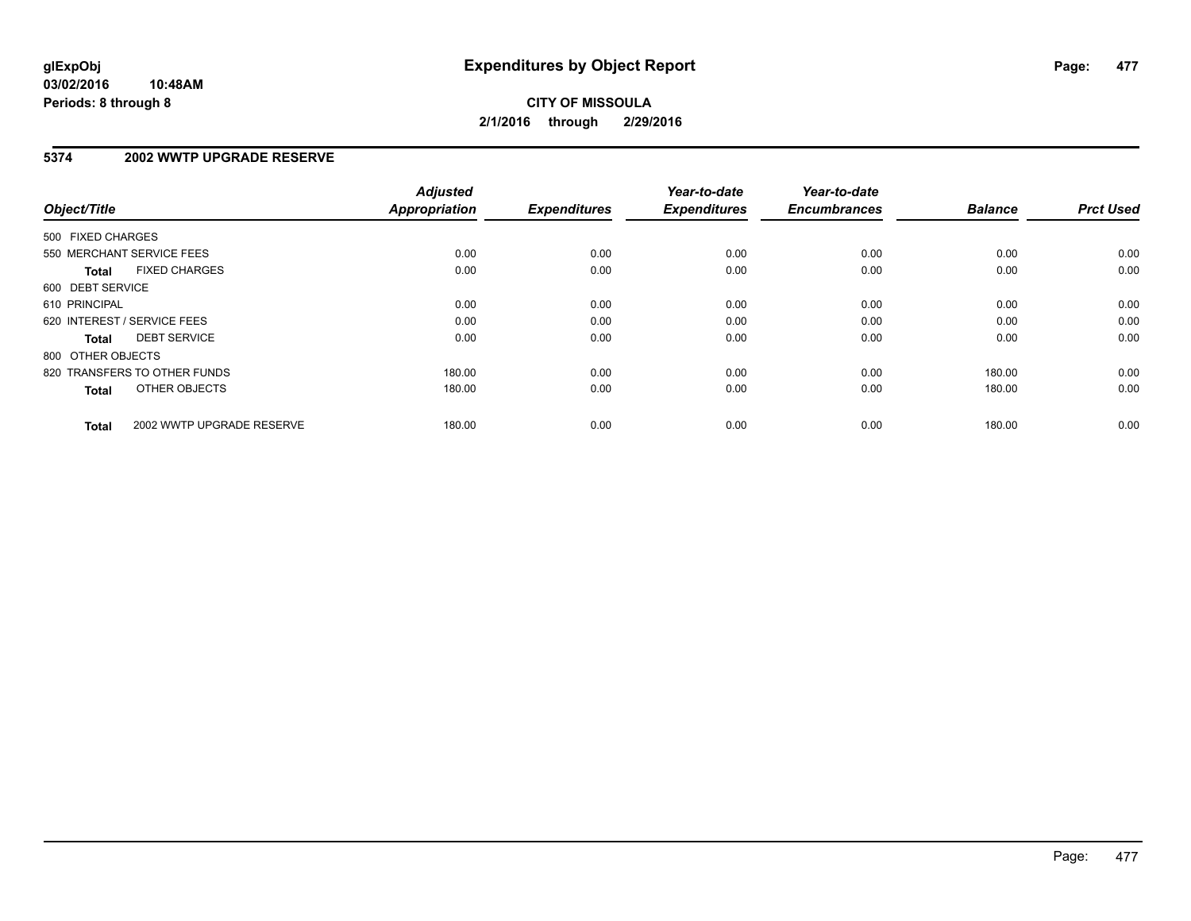#### **5374 2002 WWTP UPGRADE RESERVE**

| Object/Title                              | <b>Adjusted</b><br><b>Appropriation</b> | <b>Expenditures</b> | Year-to-date<br><b>Expenditures</b> | Year-to-date<br><b>Encumbrances</b> | <b>Balance</b> | <b>Prct Used</b> |
|-------------------------------------------|-----------------------------------------|---------------------|-------------------------------------|-------------------------------------|----------------|------------------|
|                                           |                                         |                     |                                     |                                     |                |                  |
| 500 FIXED CHARGES                         |                                         |                     |                                     |                                     |                |                  |
| 550 MERCHANT SERVICE FEES                 | 0.00                                    | 0.00                | 0.00                                | 0.00                                | 0.00           | 0.00             |
| <b>FIXED CHARGES</b><br>Total             | 0.00                                    | 0.00                | 0.00                                | 0.00                                | 0.00           | 0.00             |
| 600 DEBT SERVICE                          |                                         |                     |                                     |                                     |                |                  |
| 610 PRINCIPAL                             | 0.00                                    | 0.00                | 0.00                                | 0.00                                | 0.00           | 0.00             |
| 620 INTEREST / SERVICE FEES               | 0.00                                    | 0.00                | 0.00                                | 0.00                                | 0.00           | 0.00             |
| <b>DEBT SERVICE</b><br><b>Total</b>       | 0.00                                    | 0.00                | 0.00                                | 0.00                                | 0.00           | 0.00             |
| 800 OTHER OBJECTS                         |                                         |                     |                                     |                                     |                |                  |
| 820 TRANSFERS TO OTHER FUNDS              | 180.00                                  | 0.00                | 0.00                                | 0.00                                | 180.00         | 0.00             |
| OTHER OBJECTS<br><b>Total</b>             | 180.00                                  | 0.00                | 0.00                                | 0.00                                | 180.00         | 0.00             |
| 2002 WWTP UPGRADE RESERVE<br><b>Total</b> | 180.00                                  | 0.00                | 0.00                                | 0.00                                | 180.00         | 0.00             |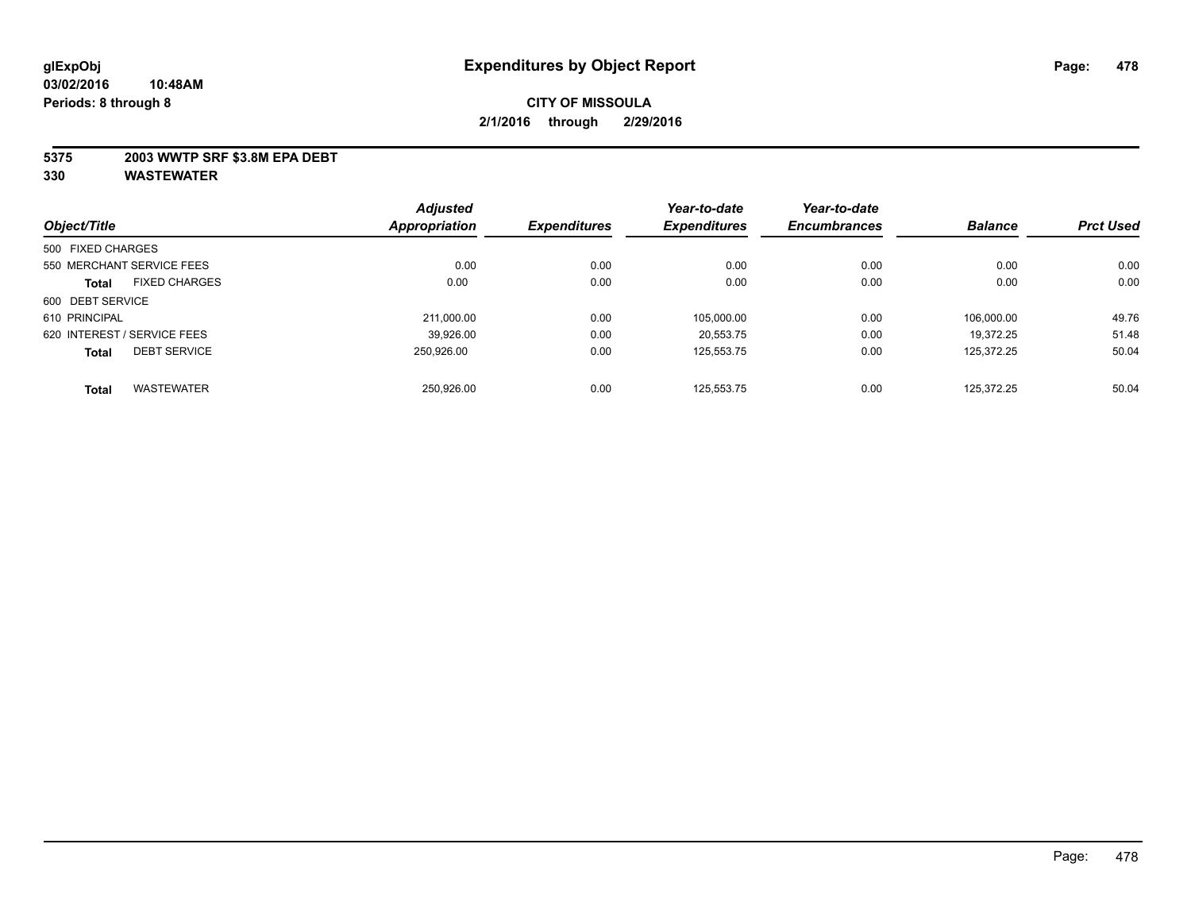#### **5375 2003 WWTP SRF \$3.8M EPA DEBT**

|                   |                             | <b>Adjusted</b> |                     | Year-to-date        | Year-to-date        |                |                  |
|-------------------|-----------------------------|-----------------|---------------------|---------------------|---------------------|----------------|------------------|
| Object/Title      |                             | Appropriation   | <b>Expenditures</b> | <b>Expenditures</b> | <b>Encumbrances</b> | <b>Balance</b> | <b>Prct Used</b> |
| 500 FIXED CHARGES |                             |                 |                     |                     |                     |                |                  |
|                   | 550 MERCHANT SERVICE FEES   | 0.00            | 0.00                | 0.00                | 0.00                | 0.00           | 0.00             |
| <b>Total</b>      | <b>FIXED CHARGES</b>        | 0.00            | 0.00                | 0.00                | 0.00                | 0.00           | 0.00             |
| 600 DEBT SERVICE  |                             |                 |                     |                     |                     |                |                  |
| 610 PRINCIPAL     |                             | 211,000.00      | 0.00                | 105,000.00          | 0.00                | 106.000.00     | 49.76            |
|                   | 620 INTEREST / SERVICE FEES | 39.926.00       | 0.00                | 20.553.75           | 0.00                | 19.372.25      | 51.48            |
| <b>Total</b>      | <b>DEBT SERVICE</b>         | 250.926.00      | 0.00                | 125.553.75          | 0.00                | 125.372.25     | 50.04            |
| <b>Total</b>      | <b>WASTEWATER</b>           | 250.926.00      | 0.00                | 125.553.75          | 0.00                | 125.372.25     | 50.04            |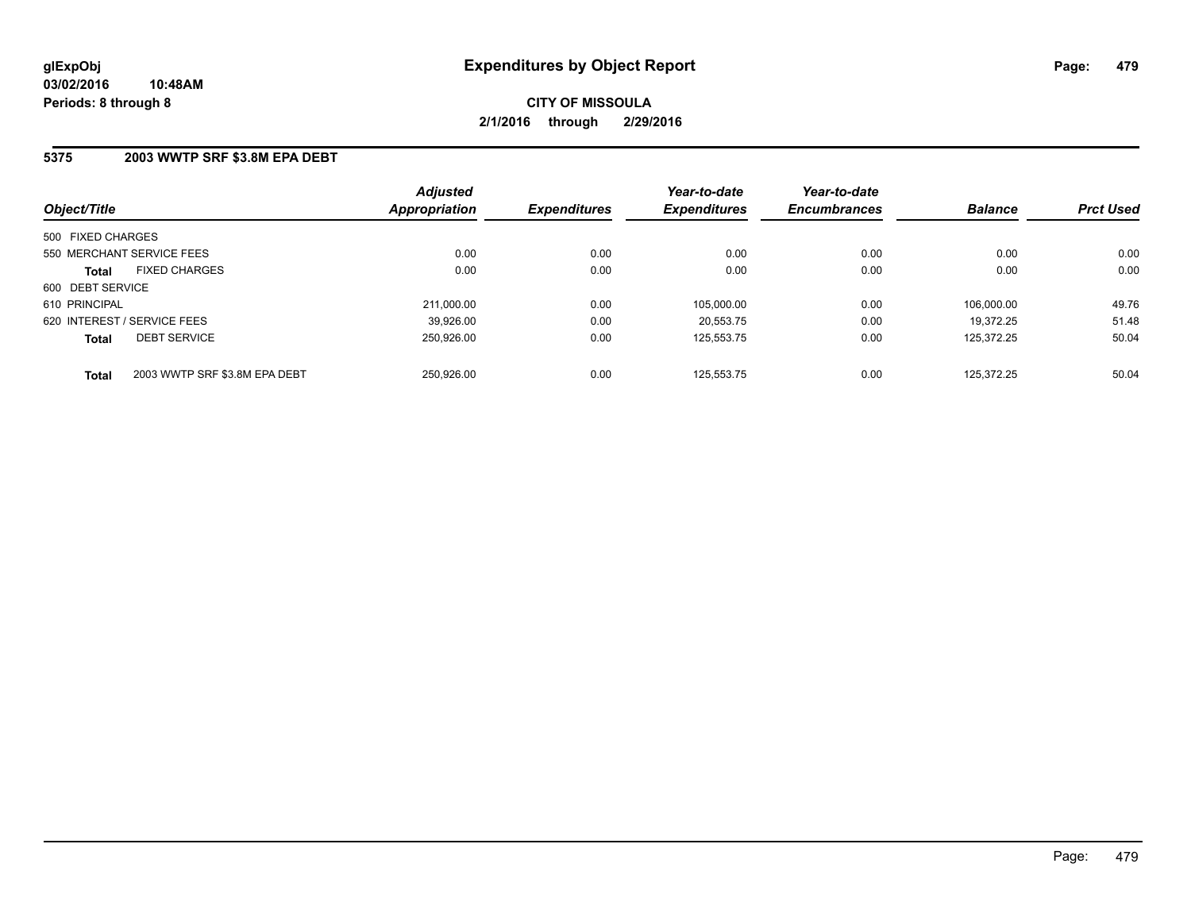#### **5375 2003 WWTP SRF \$3.8M EPA DEBT**

| Object/Title                                  | <b>Adjusted</b><br><b>Appropriation</b> | <b>Expenditures</b> | Year-to-date<br><b>Expenditures</b> | Year-to-date<br><b>Encumbrances</b> | <b>Balance</b> | <b>Prct Used</b> |
|-----------------------------------------------|-----------------------------------------|---------------------|-------------------------------------|-------------------------------------|----------------|------------------|
| 500 FIXED CHARGES                             |                                         |                     |                                     |                                     |                |                  |
| 550 MERCHANT SERVICE FEES                     | 0.00                                    | 0.00                | 0.00                                | 0.00                                | 0.00           | 0.00             |
| <b>FIXED CHARGES</b><br><b>Total</b>          | 0.00                                    | 0.00                | 0.00                                | 0.00                                | 0.00           | 0.00             |
| 600 DEBT SERVICE                              |                                         |                     |                                     |                                     |                |                  |
| 610 PRINCIPAL                                 | 211.000.00                              | 0.00                | 105.000.00                          | 0.00                                | 106.000.00     | 49.76            |
| 620 INTEREST / SERVICE FEES                   | 39.926.00                               | 0.00                | 20.553.75                           | 0.00                                | 19.372.25      | 51.48            |
| <b>DEBT SERVICE</b><br><b>Total</b>           | 250.926.00                              | 0.00                | 125.553.75                          | 0.00                                | 125.372.25     | 50.04            |
| 2003 WWTP SRF \$3.8M EPA DEBT<br><b>Total</b> | 250.926.00                              | 0.00                | 125.553.75                          | 0.00                                | 125.372.25     | 50.04            |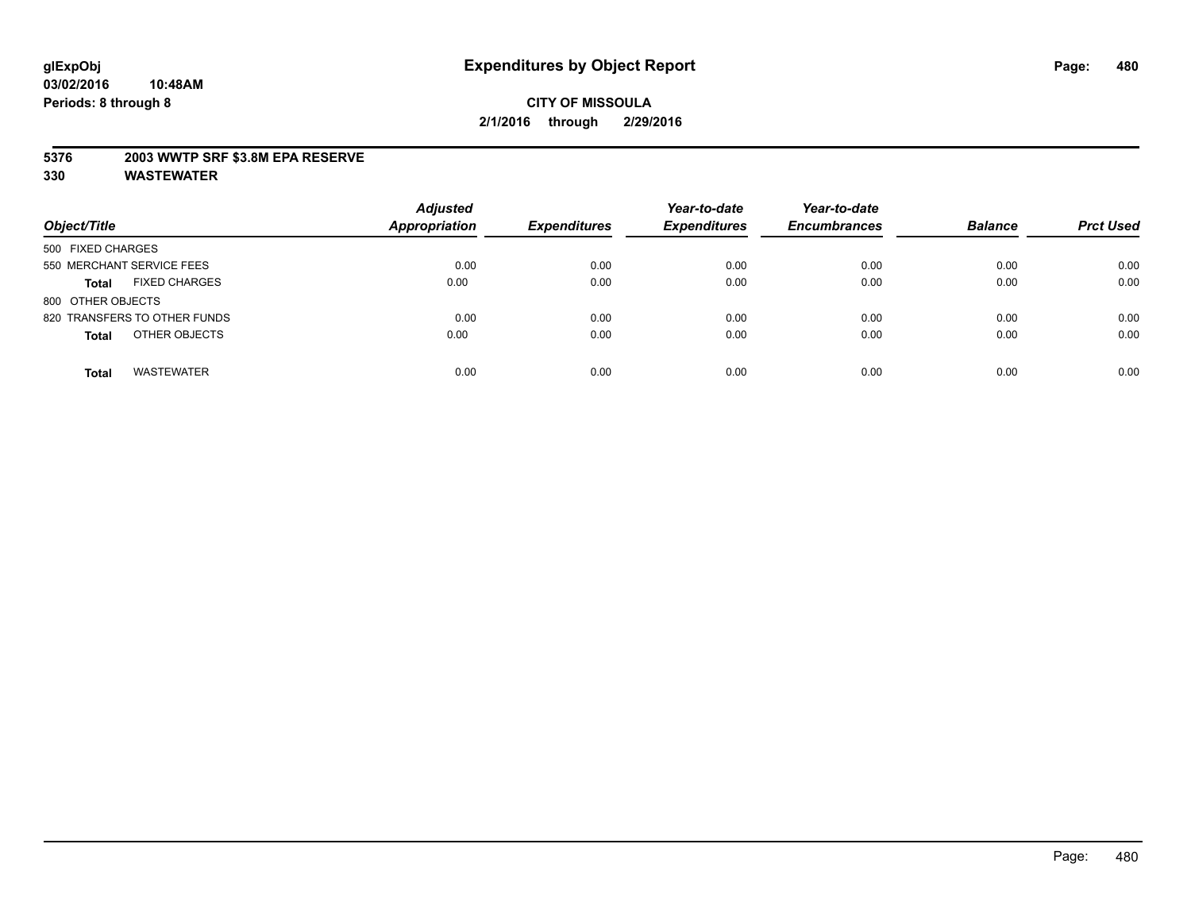#### **5376 2003 WWTP SRF \$3.8M EPA RESERVE**

| Object/Title                         | <b>Adjusted</b><br><b>Appropriation</b> | <b>Expenditures</b> | Year-to-date<br><b>Expenditures</b> | Year-to-date<br><b>Encumbrances</b> | <b>Balance</b> | <b>Prct Used</b> |
|--------------------------------------|-----------------------------------------|---------------------|-------------------------------------|-------------------------------------|----------------|------------------|
| 500 FIXED CHARGES                    |                                         |                     |                                     |                                     |                |                  |
| 550 MERCHANT SERVICE FEES            | 0.00                                    | 0.00                | 0.00                                | 0.00                                | 0.00           | 0.00             |
| <b>FIXED CHARGES</b><br><b>Total</b> | 0.00                                    | 0.00                | 0.00                                | 0.00                                | 0.00           | 0.00             |
| 800 OTHER OBJECTS                    |                                         |                     |                                     |                                     |                |                  |
| 820 TRANSFERS TO OTHER FUNDS         | 0.00                                    | 0.00                | 0.00                                | 0.00                                | 0.00           | 0.00             |
| OTHER OBJECTS<br><b>Total</b>        | 0.00                                    | 0.00                | 0.00                                | 0.00                                | 0.00           | 0.00             |
| <b>WASTEWATER</b><br><b>Total</b>    | 0.00                                    | 0.00                | 0.00                                | 0.00                                | 0.00           | 0.00             |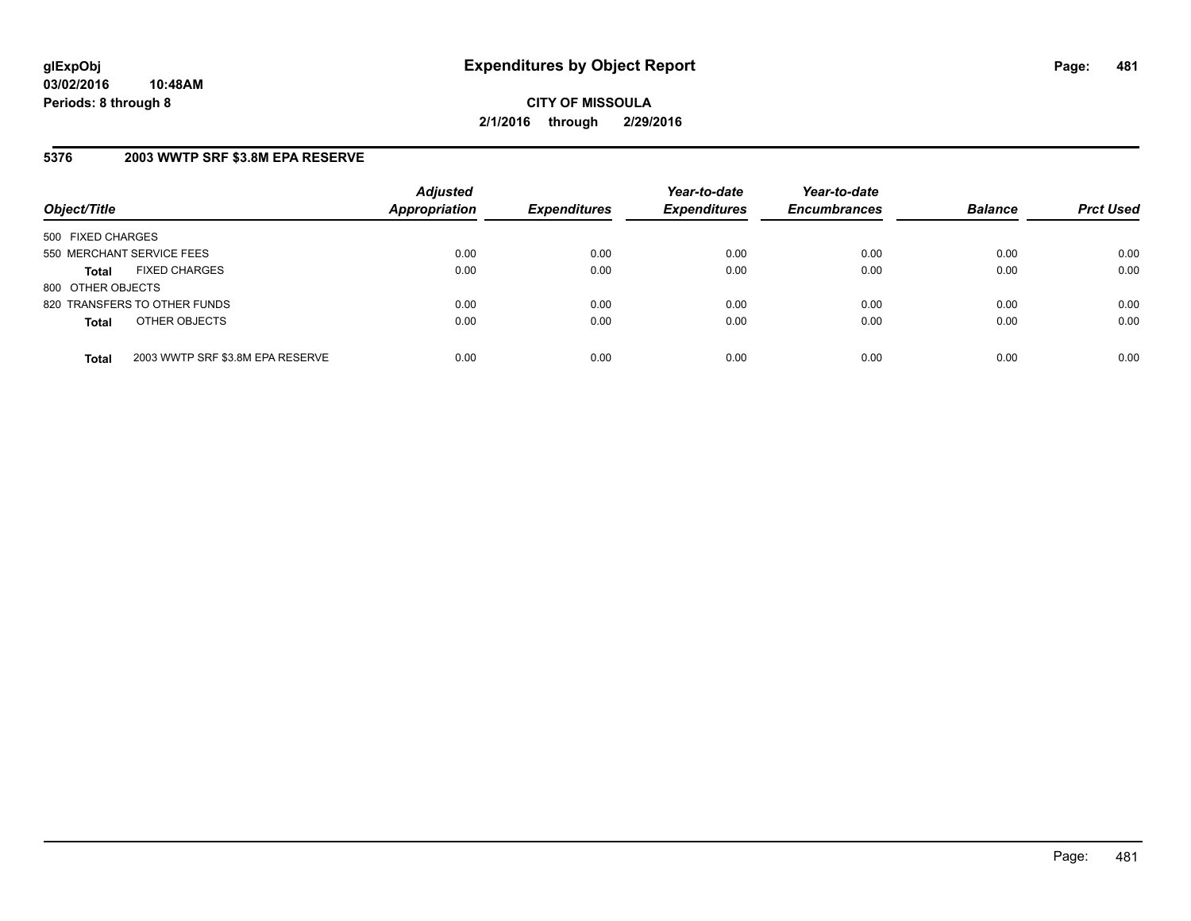#### **5376 2003 WWTP SRF \$3.8M EPA RESERVE**

| Object/Title              |                                  | <b>Adjusted</b><br><b>Appropriation</b> | <b>Expenditures</b> | Year-to-date<br><b>Expenditures</b> | Year-to-date<br><b>Encumbrances</b> | <b>Balance</b> | <b>Prct Used</b> |
|---------------------------|----------------------------------|-----------------------------------------|---------------------|-------------------------------------|-------------------------------------|----------------|------------------|
| 500 FIXED CHARGES         |                                  |                                         |                     |                                     |                                     |                |                  |
| 550 MERCHANT SERVICE FEES |                                  | 0.00                                    | 0.00                | 0.00                                | 0.00                                | 0.00           | 0.00             |
| Total                     | <b>FIXED CHARGES</b>             | 0.00                                    | 0.00                | 0.00                                | 0.00                                | 0.00           | 0.00             |
| 800 OTHER OBJECTS         |                                  |                                         |                     |                                     |                                     |                |                  |
|                           | 820 TRANSFERS TO OTHER FUNDS     | 0.00                                    | 0.00                | 0.00                                | 0.00                                | 0.00           | 0.00             |
| <b>Total</b>              | OTHER OBJECTS                    | 0.00                                    | 0.00                | 0.00                                | 0.00                                | 0.00           | 0.00             |
| <b>Total</b>              | 2003 WWTP SRF \$3.8M EPA RESERVE | 0.00                                    | 0.00                | 0.00                                | 0.00                                | 0.00           | 0.00             |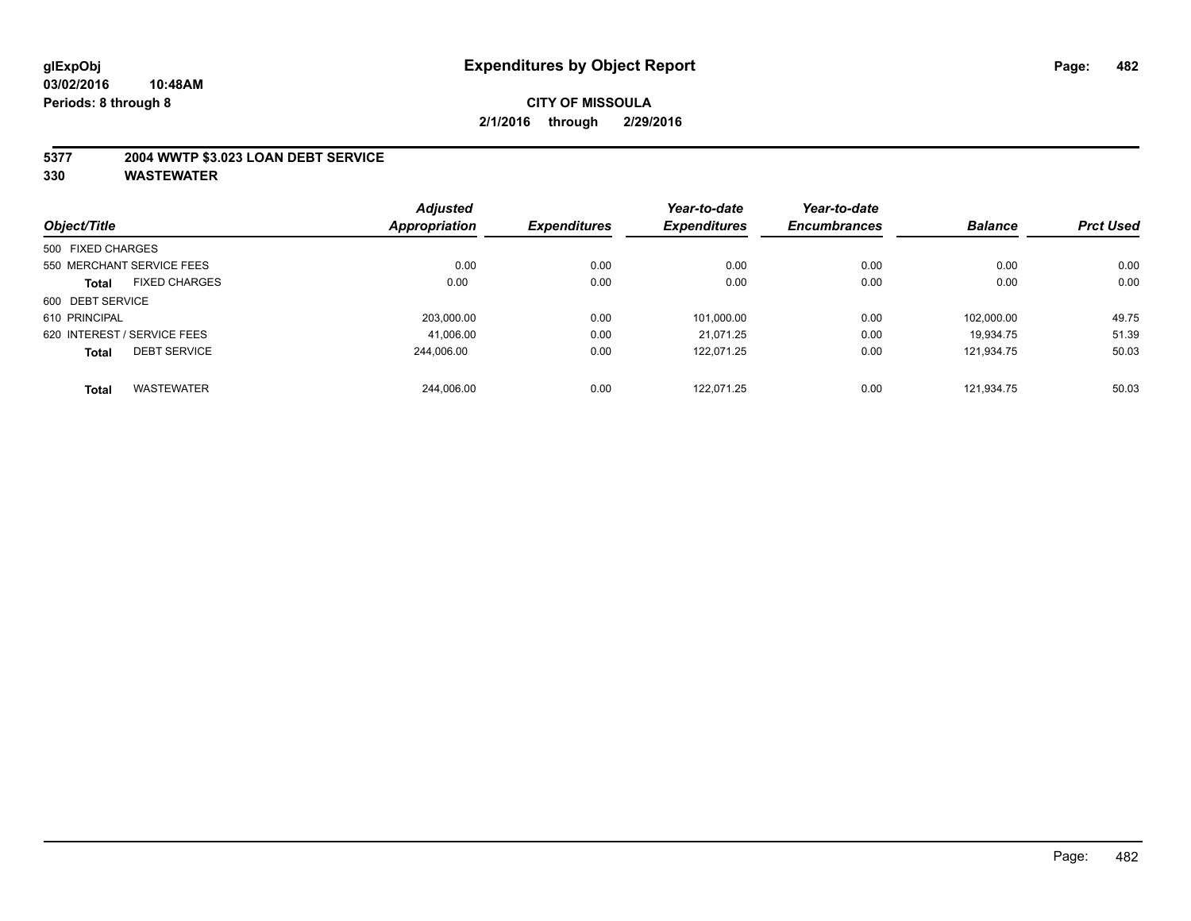#### **5377 2004 WWTP \$3.023 LOAN DEBT SERVICE**

|                   |                             | <b>Adjusted</b> |                     | Year-to-date        | Year-to-date        |                |                  |
|-------------------|-----------------------------|-----------------|---------------------|---------------------|---------------------|----------------|------------------|
| Object/Title      |                             | Appropriation   | <b>Expenditures</b> | <b>Expenditures</b> | <b>Encumbrances</b> | <b>Balance</b> | <b>Prct Used</b> |
| 500 FIXED CHARGES |                             |                 |                     |                     |                     |                |                  |
|                   | 550 MERCHANT SERVICE FEES   | 0.00            | 0.00                | 0.00                | 0.00                | 0.00           | 0.00             |
| <b>Total</b>      | <b>FIXED CHARGES</b>        | 0.00            | 0.00                | 0.00                | 0.00                | 0.00           | 0.00             |
| 600 DEBT SERVICE  |                             |                 |                     |                     |                     |                |                  |
| 610 PRINCIPAL     |                             | 203.000.00      | 0.00                | 101,000.00          | 0.00                | 102.000.00     | 49.75            |
|                   | 620 INTEREST / SERVICE FEES | 41,006.00       | 0.00                | 21.071.25           | 0.00                | 19.934.75      | 51.39            |
| <b>Total</b>      | <b>DEBT SERVICE</b>         | 244.006.00      | 0.00                | 122.071.25          | 0.00                | 121.934.75     | 50.03            |
| <b>Total</b>      | <b>WASTEWATER</b>           | 244.006.00      | 0.00                | 122.071.25          | 0.00                | 121.934.75     | 50.03            |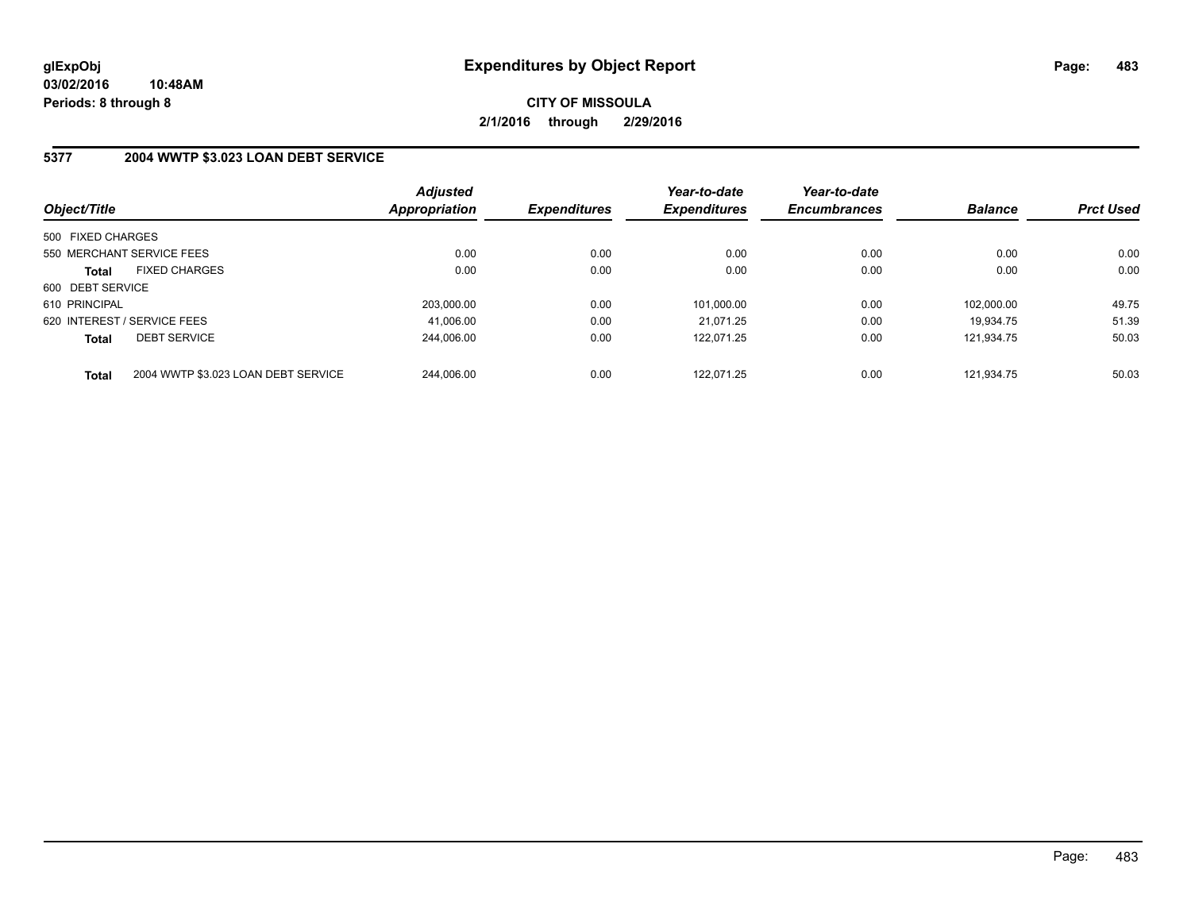### **5377 2004 WWTP \$3.023 LOAN DEBT SERVICE**

| Object/Title                |                                     | <b>Adjusted</b><br><b>Appropriation</b> | <b>Expenditures</b> | Year-to-date<br><b>Expenditures</b> | Year-to-date<br><b>Encumbrances</b> | <b>Balance</b> | <b>Prct Used</b> |
|-----------------------------|-------------------------------------|-----------------------------------------|---------------------|-------------------------------------|-------------------------------------|----------------|------------------|
| 500 FIXED CHARGES           |                                     |                                         |                     |                                     |                                     |                |                  |
| 550 MERCHANT SERVICE FEES   |                                     | 0.00                                    | 0.00                | 0.00                                | 0.00                                | 0.00           | 0.00             |
| <b>Total</b>                | <b>FIXED CHARGES</b>                | 0.00                                    | 0.00                | 0.00                                | 0.00                                | 0.00           | 0.00             |
| 600 DEBT SERVICE            |                                     |                                         |                     |                                     |                                     |                |                  |
| 610 PRINCIPAL               |                                     | 203.000.00                              | 0.00                | 101.000.00                          | 0.00                                | 102.000.00     | 49.75            |
| 620 INTEREST / SERVICE FEES |                                     | 41.006.00                               | 0.00                | 21.071.25                           | 0.00                                | 19.934.75      | 51.39            |
| <b>Total</b>                | <b>DEBT SERVICE</b>                 | 244.006.00                              | 0.00                | 122.071.25                          | 0.00                                | 121.934.75     | 50.03            |
| <b>Total</b>                | 2004 WWTP \$3.023 LOAN DEBT SERVICE | 244.006.00                              | 0.00                | 122.071.25                          | 0.00                                | 121.934.75     | 50.03            |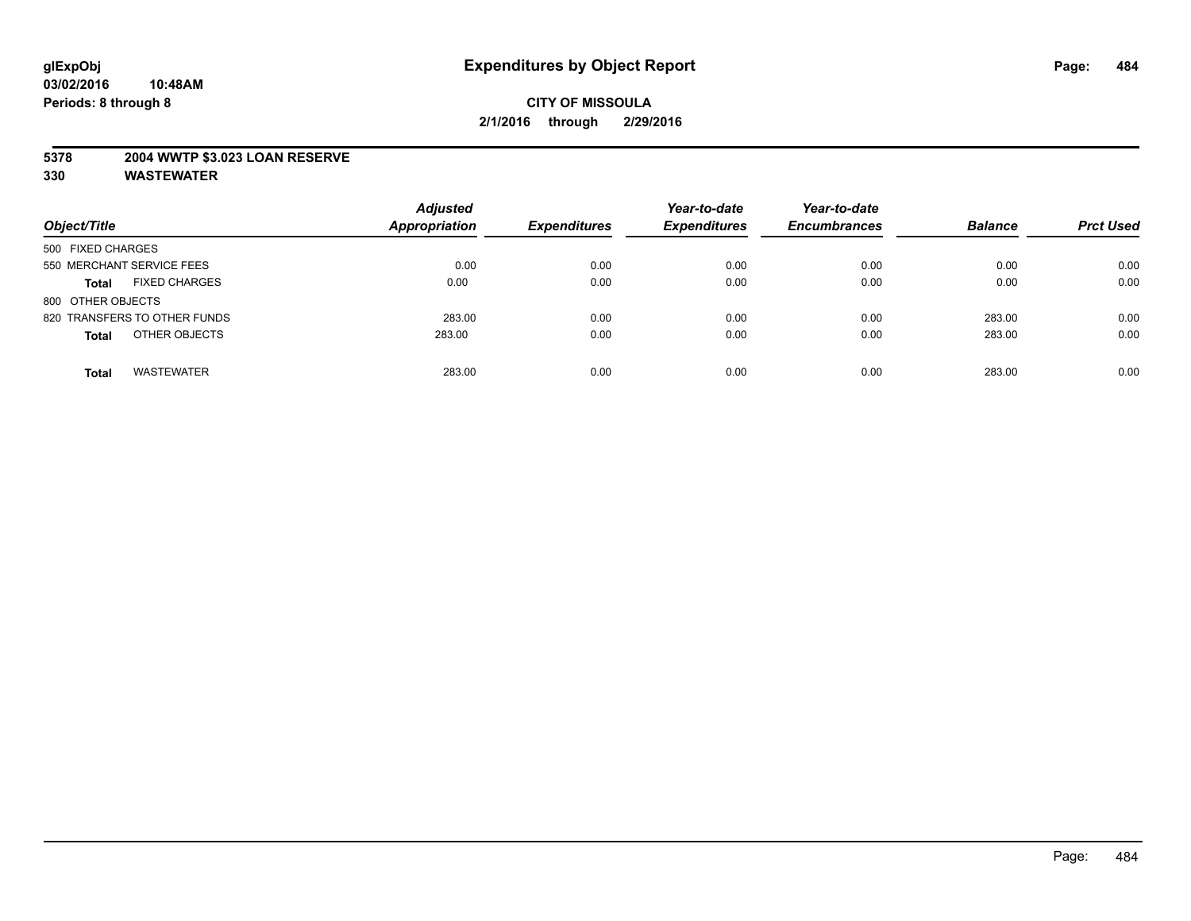#### **5378 2004 WWTP \$3.023 LOAN RESERVE**

| Object/Title                         | <b>Adjusted</b><br><b>Appropriation</b> | <b>Expenditures</b> | Year-to-date<br><b>Expenditures</b> | Year-to-date<br><b>Encumbrances</b> | <b>Balance</b> | <b>Prct Used</b> |
|--------------------------------------|-----------------------------------------|---------------------|-------------------------------------|-------------------------------------|----------------|------------------|
| 500 FIXED CHARGES                    |                                         |                     |                                     |                                     |                |                  |
| 550 MERCHANT SERVICE FEES            | 0.00                                    | 0.00                | 0.00                                | 0.00                                | 0.00           | 0.00             |
| <b>FIXED CHARGES</b><br><b>Total</b> | 0.00                                    | 0.00                | 0.00                                | 0.00                                | 0.00           | 0.00             |
| 800 OTHER OBJECTS                    |                                         |                     |                                     |                                     |                |                  |
| 820 TRANSFERS TO OTHER FUNDS         | 283.00                                  | 0.00                | 0.00                                | 0.00                                | 283.00         | 0.00             |
| OTHER OBJECTS<br><b>Total</b>        | 283.00                                  | 0.00                | 0.00                                | 0.00                                | 283.00         | 0.00             |
| <b>WASTEWATER</b><br><b>Total</b>    | 283.00                                  | 0.00                | 0.00                                | 0.00                                | 283.00         | 0.00             |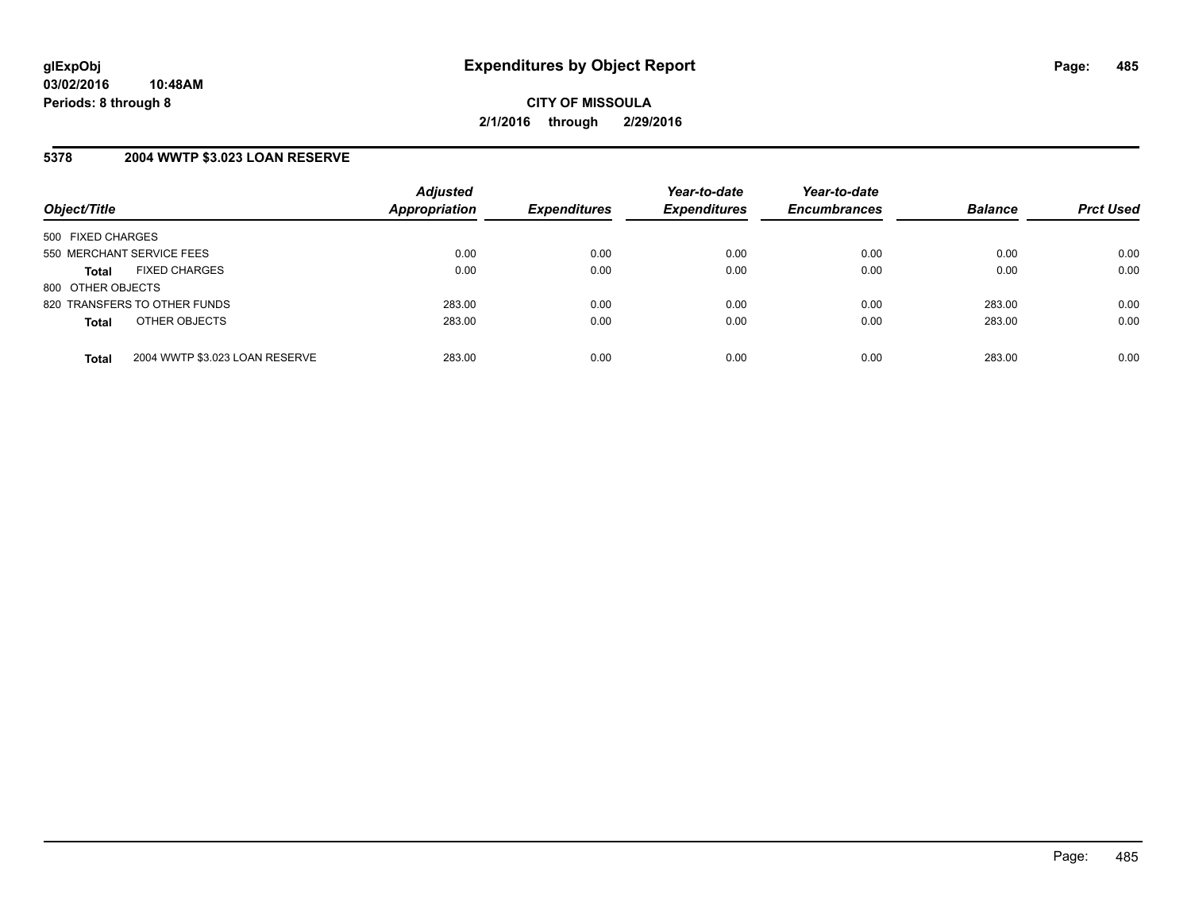#### **5378 2004 WWTP \$3.023 LOAN RESERVE**

| Object/Title                 |                                | <b>Adjusted</b><br>Appropriation | <b>Expenditures</b> | Year-to-date<br><b>Expenditures</b> | Year-to-date<br><b>Encumbrances</b> | <b>Balance</b> | <b>Prct Used</b> |
|------------------------------|--------------------------------|----------------------------------|---------------------|-------------------------------------|-------------------------------------|----------------|------------------|
| 500 FIXED CHARGES            |                                |                                  |                     |                                     |                                     |                |                  |
| 550 MERCHANT SERVICE FEES    |                                | 0.00                             | 0.00                | 0.00                                | 0.00                                | 0.00           | 0.00             |
| <b>Total</b>                 | <b>FIXED CHARGES</b>           | 0.00                             | 0.00                | 0.00                                | 0.00                                | 0.00           | 0.00             |
| 800 OTHER OBJECTS            |                                |                                  |                     |                                     |                                     |                |                  |
| 820 TRANSFERS TO OTHER FUNDS |                                | 283.00                           | 0.00                | 0.00                                | 0.00                                | 283.00         | 0.00             |
| <b>Total</b>                 | OTHER OBJECTS                  | 283.00                           | 0.00                | 0.00                                | 0.00                                | 283.00         | 0.00             |
|                              |                                |                                  |                     |                                     |                                     |                |                  |
| <b>Total</b>                 | 2004 WWTP \$3.023 LOAN RESERVE | 283.00                           | 0.00                | 0.00                                | 0.00                                | 283.00         | 0.00             |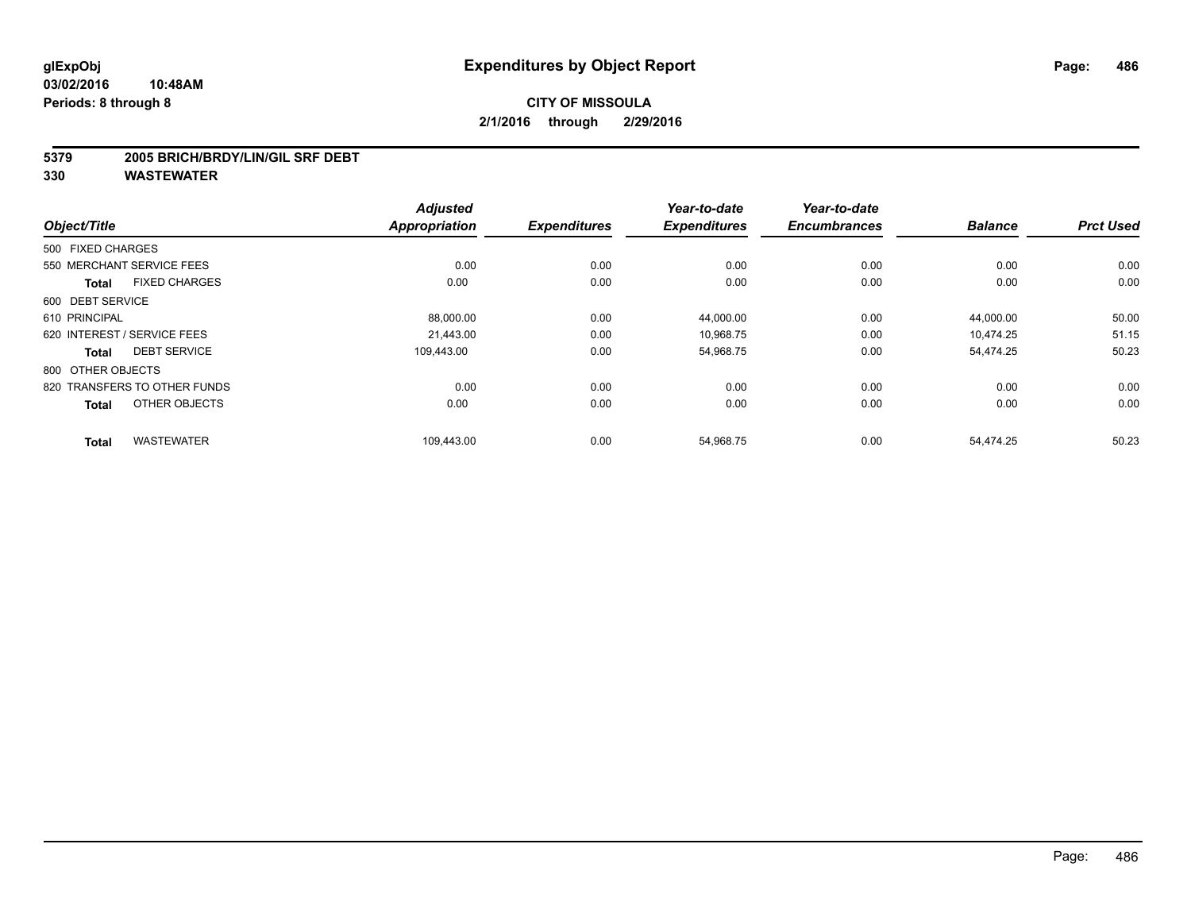#### **5379 2005 BRICH/BRDY/LIN/GIL SRF DEBT**

| Object/Title                |                              | <b>Adjusted</b><br><b>Appropriation</b> | <b>Expenditures</b> | Year-to-date<br><b>Expenditures</b> | Year-to-date<br><b>Encumbrances</b> | <b>Balance</b> | <b>Prct Used</b> |
|-----------------------------|------------------------------|-----------------------------------------|---------------------|-------------------------------------|-------------------------------------|----------------|------------------|
| 500 FIXED CHARGES           |                              |                                         |                     |                                     |                                     |                |                  |
| 550 MERCHANT SERVICE FEES   |                              | 0.00                                    | 0.00                | 0.00                                | 0.00                                | 0.00           | 0.00             |
| <b>Total</b>                | <b>FIXED CHARGES</b>         | 0.00                                    | 0.00                | 0.00                                | 0.00                                | 0.00           | 0.00             |
| 600 DEBT SERVICE            |                              |                                         |                     |                                     |                                     |                |                  |
| 610 PRINCIPAL               |                              | 88,000.00                               | 0.00                | 44,000.00                           | 0.00                                | 44,000.00      | 50.00            |
| 620 INTEREST / SERVICE FEES |                              | 21.443.00                               | 0.00                | 10,968.75                           | 0.00                                | 10.474.25      | 51.15            |
| <b>Total</b>                | <b>DEBT SERVICE</b>          | 109.443.00                              | 0.00                | 54,968.75                           | 0.00                                | 54,474.25      | 50.23            |
| 800 OTHER OBJECTS           |                              |                                         |                     |                                     |                                     |                |                  |
|                             | 820 TRANSFERS TO OTHER FUNDS | 0.00                                    | 0.00                | 0.00                                | 0.00                                | 0.00           | 0.00             |
| <b>Total</b>                | OTHER OBJECTS                | 0.00                                    | 0.00                | 0.00                                | 0.00                                | 0.00           | 0.00             |
| <b>Total</b>                | <b>WASTEWATER</b>            | 109,443.00                              | 0.00                | 54,968.75                           | 0.00                                | 54,474.25      | 50.23            |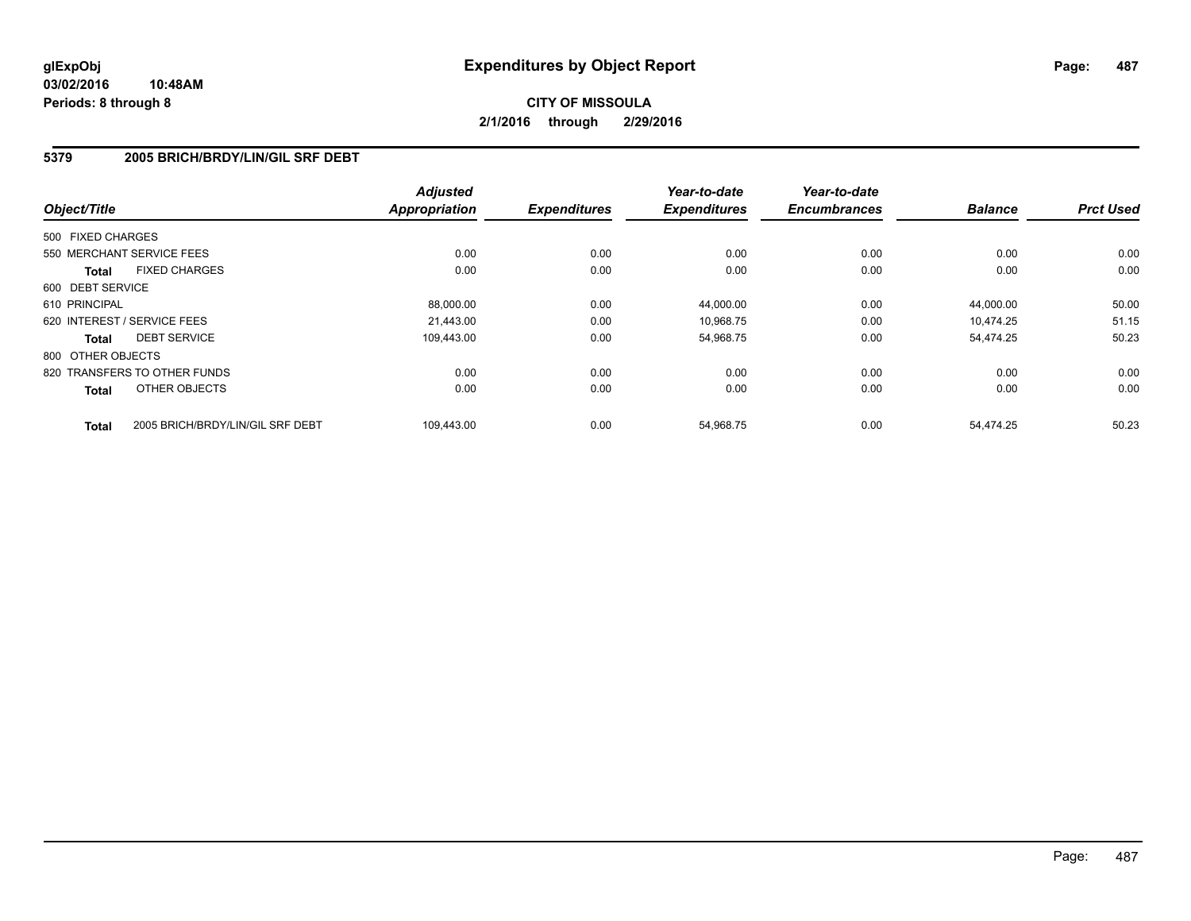#### **5379 2005 BRICH/BRDY/LIN/GIL SRF DEBT**

| Object/Title                         |                                  | <b>Adjusted</b><br><b>Appropriation</b> | <b>Expenditures</b> | Year-to-date<br><b>Expenditures</b> | Year-to-date<br><b>Encumbrances</b> | <b>Balance</b> | <b>Prct Used</b> |
|--------------------------------------|----------------------------------|-----------------------------------------|---------------------|-------------------------------------|-------------------------------------|----------------|------------------|
|                                      |                                  |                                         |                     |                                     |                                     |                |                  |
| 500 FIXED CHARGES                    |                                  |                                         |                     |                                     |                                     |                |                  |
| 550 MERCHANT SERVICE FEES            |                                  | 0.00                                    | 0.00                | 0.00                                | 0.00                                | 0.00           | 0.00             |
| <b>FIXED CHARGES</b><br><b>Total</b> |                                  | 0.00                                    | 0.00                | 0.00                                | 0.00                                | 0.00           | 0.00             |
| 600 DEBT SERVICE                     |                                  |                                         |                     |                                     |                                     |                |                  |
| 610 PRINCIPAL                        |                                  | 88,000.00                               | 0.00                | 44,000.00                           | 0.00                                | 44.000.00      | 50.00            |
| 620 INTEREST / SERVICE FEES          |                                  | 21,443.00                               | 0.00                | 10,968.75                           | 0.00                                | 10,474.25      | 51.15            |
| <b>DEBT SERVICE</b><br><b>Total</b>  |                                  | 109,443.00                              | 0.00                | 54,968.75                           | 0.00                                | 54,474.25      | 50.23            |
| 800 OTHER OBJECTS                    |                                  |                                         |                     |                                     |                                     |                |                  |
| 820 TRANSFERS TO OTHER FUNDS         |                                  | 0.00                                    | 0.00                | 0.00                                | 0.00                                | 0.00           | 0.00             |
| OTHER OBJECTS<br><b>Total</b>        |                                  | 0.00                                    | 0.00                | 0.00                                | 0.00                                | 0.00           | 0.00             |
| <b>Total</b>                         | 2005 BRICH/BRDY/LIN/GIL SRF DEBT | 109.443.00                              | 0.00                | 54,968.75                           | 0.00                                | 54.474.25      | 50.23            |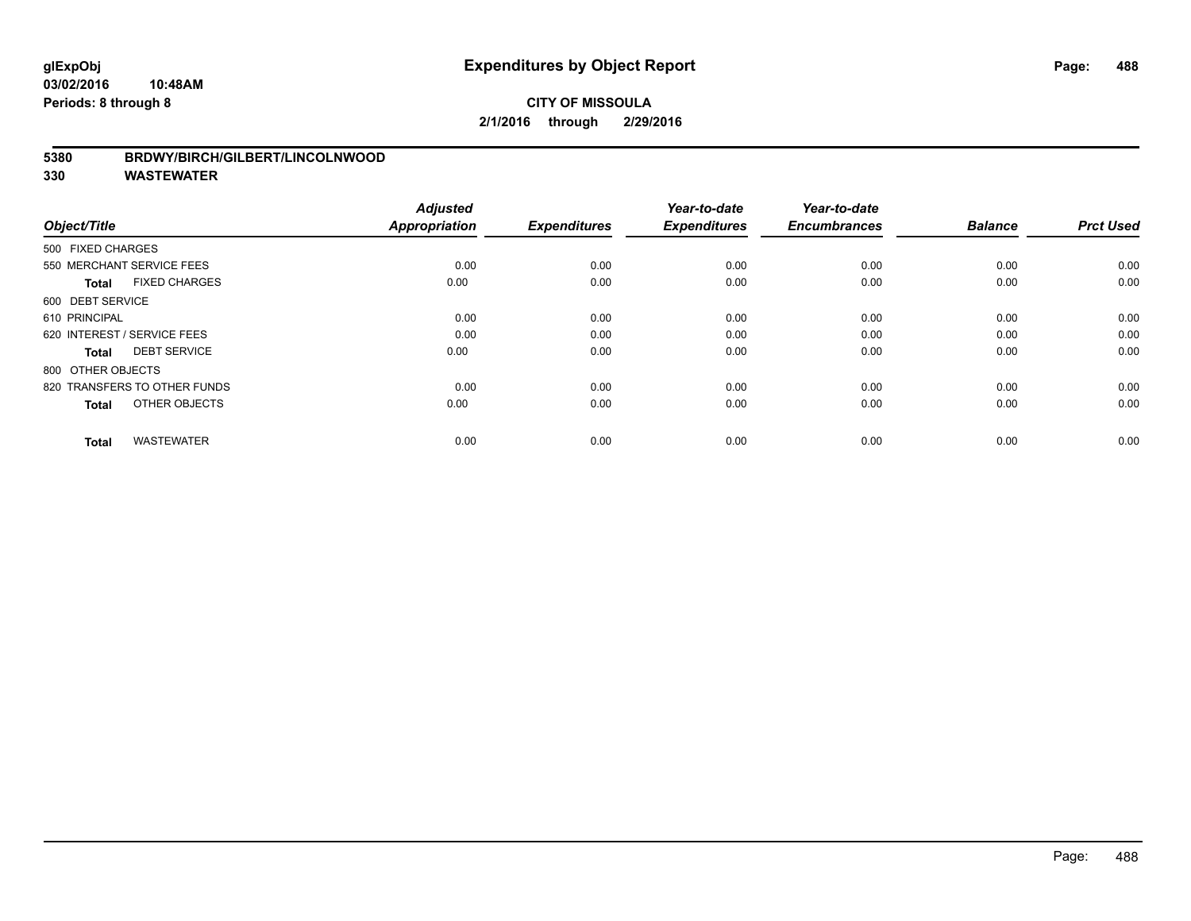#### **03/02/2016 10:48AM Periods: 8 through 8**

# **CITY OF MISSOULA 2/1/2016 through 2/29/2016**

#### **5380 BRDWY/BIRCH/GILBERT/LINCOLNWOOD**

| Object/Title                         | <b>Adjusted</b><br>Appropriation | <b>Expenditures</b> | Year-to-date<br><b>Expenditures</b> | Year-to-date<br><b>Encumbrances</b> | <b>Balance</b> | <b>Prct Used</b> |
|--------------------------------------|----------------------------------|---------------------|-------------------------------------|-------------------------------------|----------------|------------------|
| 500 FIXED CHARGES                    |                                  |                     |                                     |                                     |                |                  |
| 550 MERCHANT SERVICE FEES            | 0.00                             | 0.00                | 0.00                                | 0.00                                | 0.00           | 0.00             |
| <b>FIXED CHARGES</b><br><b>Total</b> | 0.00                             | 0.00                | 0.00                                | 0.00                                | 0.00           | 0.00             |
| 600 DEBT SERVICE                     |                                  |                     |                                     |                                     |                |                  |
| 610 PRINCIPAL                        | 0.00                             | 0.00                | 0.00                                | 0.00                                | 0.00           | 0.00             |
| 620 INTEREST / SERVICE FEES          | 0.00                             | 0.00                | 0.00                                | 0.00                                | 0.00           | 0.00             |
| <b>DEBT SERVICE</b><br><b>Total</b>  | 0.00                             | 0.00                | 0.00                                | 0.00                                | 0.00           | 0.00             |
| 800 OTHER OBJECTS                    |                                  |                     |                                     |                                     |                |                  |
| 820 TRANSFERS TO OTHER FUNDS         | 0.00                             | 0.00                | 0.00                                | 0.00                                | 0.00           | 0.00             |
| OTHER OBJECTS<br><b>Total</b>        | 0.00                             | 0.00                | 0.00                                | 0.00                                | 0.00           | 0.00             |
|                                      |                                  |                     |                                     |                                     |                |                  |
| <b>WASTEWATER</b><br><b>Total</b>    | 0.00                             | 0.00                | 0.00                                | 0.00                                | 0.00           | 0.00             |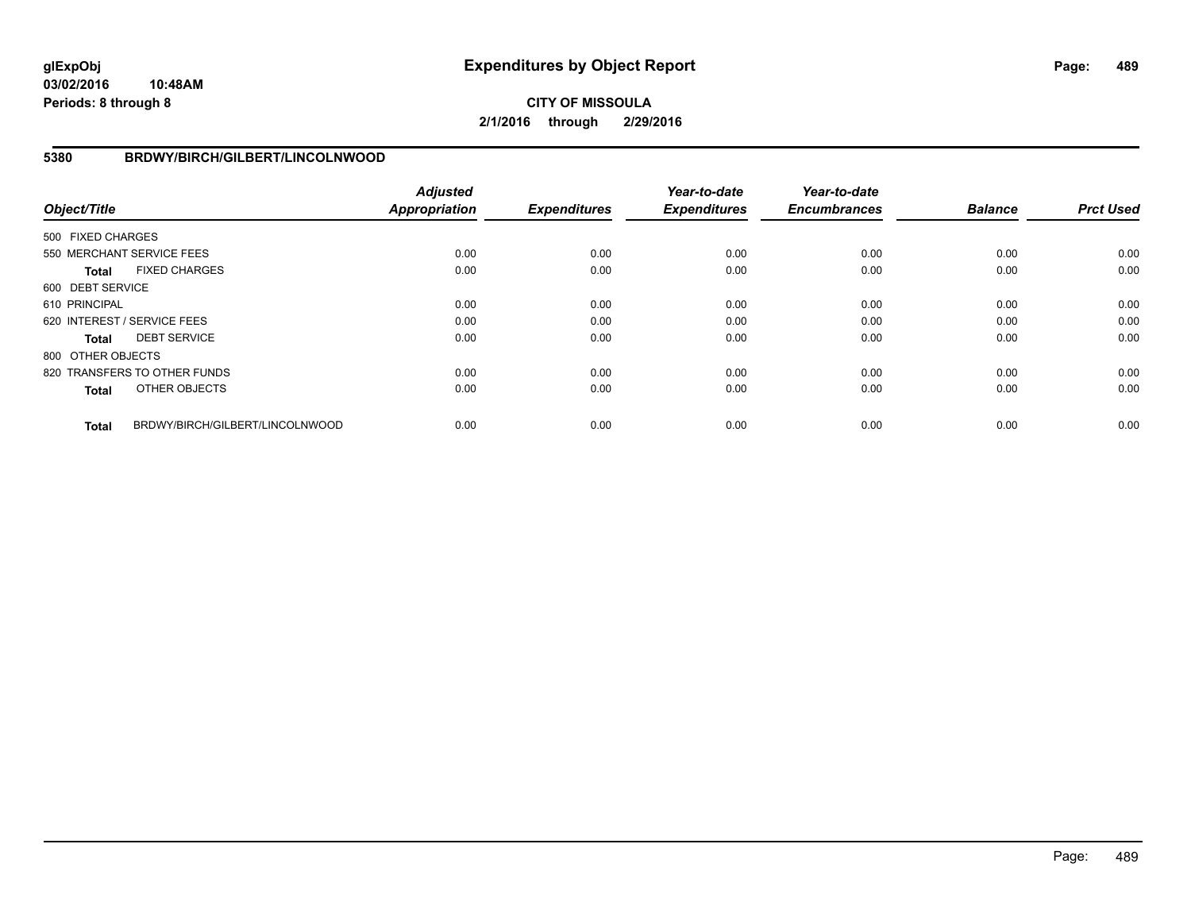#### **5380 BRDWY/BIRCH/GILBERT/LINCOLNWOOD**

| Object/Title      |                                 | <b>Adjusted</b><br><b>Appropriation</b> | <b>Expenditures</b> | Year-to-date<br><b>Expenditures</b> | Year-to-date<br><b>Encumbrances</b> | <b>Balance</b> | <b>Prct Used</b> |
|-------------------|---------------------------------|-----------------------------------------|---------------------|-------------------------------------|-------------------------------------|----------------|------------------|
| 500 FIXED CHARGES |                                 |                                         |                     |                                     |                                     |                |                  |
|                   | 550 MERCHANT SERVICE FEES       | 0.00                                    | 0.00                | 0.00                                | 0.00                                | 0.00           | 0.00             |
| <b>Total</b>      | <b>FIXED CHARGES</b>            | 0.00                                    | 0.00                | 0.00                                | 0.00                                | 0.00           | 0.00             |
| 600 DEBT SERVICE  |                                 |                                         |                     |                                     |                                     |                |                  |
| 610 PRINCIPAL     |                                 | 0.00                                    | 0.00                | 0.00                                | 0.00                                | 0.00           | 0.00             |
|                   | 620 INTEREST / SERVICE FEES     | 0.00                                    | 0.00                | 0.00                                | 0.00                                | 0.00           | 0.00             |
| <b>Total</b>      | <b>DEBT SERVICE</b>             | 0.00                                    | 0.00                | 0.00                                | 0.00                                | 0.00           | 0.00             |
| 800 OTHER OBJECTS |                                 |                                         |                     |                                     |                                     |                |                  |
|                   | 820 TRANSFERS TO OTHER FUNDS    | 0.00                                    | 0.00                | 0.00                                | 0.00                                | 0.00           | 0.00             |
| <b>Total</b>      | OTHER OBJECTS                   | 0.00                                    | 0.00                | 0.00                                | 0.00                                | 0.00           | 0.00             |
| <b>Total</b>      | BRDWY/BIRCH/GILBERT/LINCOLNWOOD | 0.00                                    | 0.00                | 0.00                                | 0.00                                | 0.00           | 0.00             |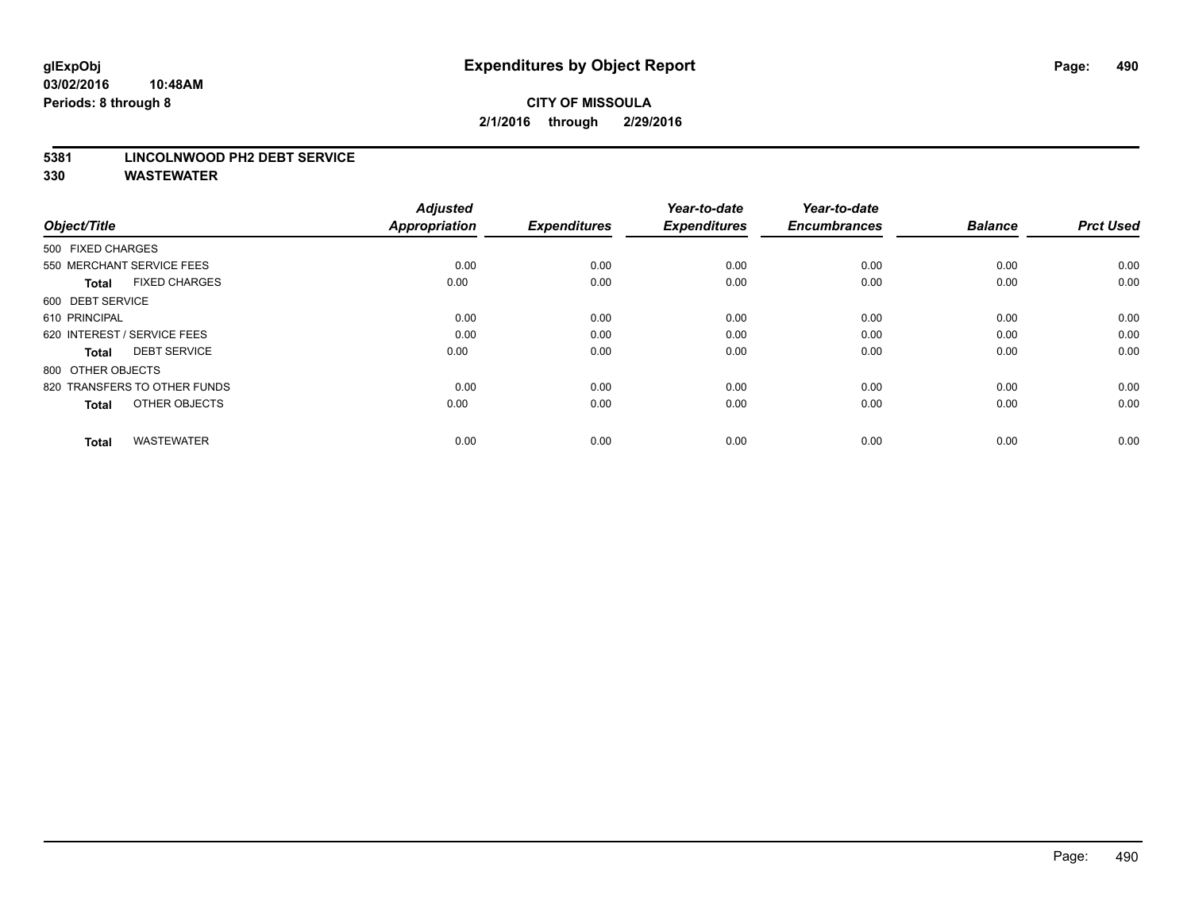#### **5381 LINCOLNWOOD PH2 DEBT SERVICE**

| Object/Title                         | <b>Adjusted</b><br><b>Appropriation</b> | <b>Expenditures</b> | Year-to-date<br><b>Expenditures</b> | Year-to-date<br><b>Encumbrances</b> | <b>Balance</b> | <b>Prct Used</b> |
|--------------------------------------|-----------------------------------------|---------------------|-------------------------------------|-------------------------------------|----------------|------------------|
| 500 FIXED CHARGES                    |                                         |                     |                                     |                                     |                |                  |
| 550 MERCHANT SERVICE FEES            | 0.00                                    | 0.00                | 0.00                                | 0.00                                | 0.00           | 0.00             |
| <b>FIXED CHARGES</b><br><b>Total</b> | 0.00                                    | 0.00                | 0.00                                | 0.00                                | 0.00           | 0.00             |
| 600 DEBT SERVICE                     |                                         |                     |                                     |                                     |                |                  |
| 610 PRINCIPAL                        | 0.00                                    | 0.00                | 0.00                                | 0.00                                | 0.00           | 0.00             |
| 620 INTEREST / SERVICE FEES          | 0.00                                    | 0.00                | 0.00                                | 0.00                                | 0.00           | 0.00             |
| <b>DEBT SERVICE</b><br><b>Total</b>  | 0.00                                    | 0.00                | 0.00                                | 0.00                                | 0.00           | 0.00             |
| 800 OTHER OBJECTS                    |                                         |                     |                                     |                                     |                |                  |
| 820 TRANSFERS TO OTHER FUNDS         | 0.00                                    | 0.00                | 0.00                                | 0.00                                | 0.00           | 0.00             |
| OTHER OBJECTS<br><b>Total</b>        | 0.00                                    | 0.00                | 0.00                                | 0.00                                | 0.00           | 0.00             |
|                                      |                                         |                     |                                     |                                     |                |                  |
| <b>WASTEWATER</b><br><b>Total</b>    | 0.00                                    | 0.00                | 0.00                                | 0.00                                | 0.00           | 0.00             |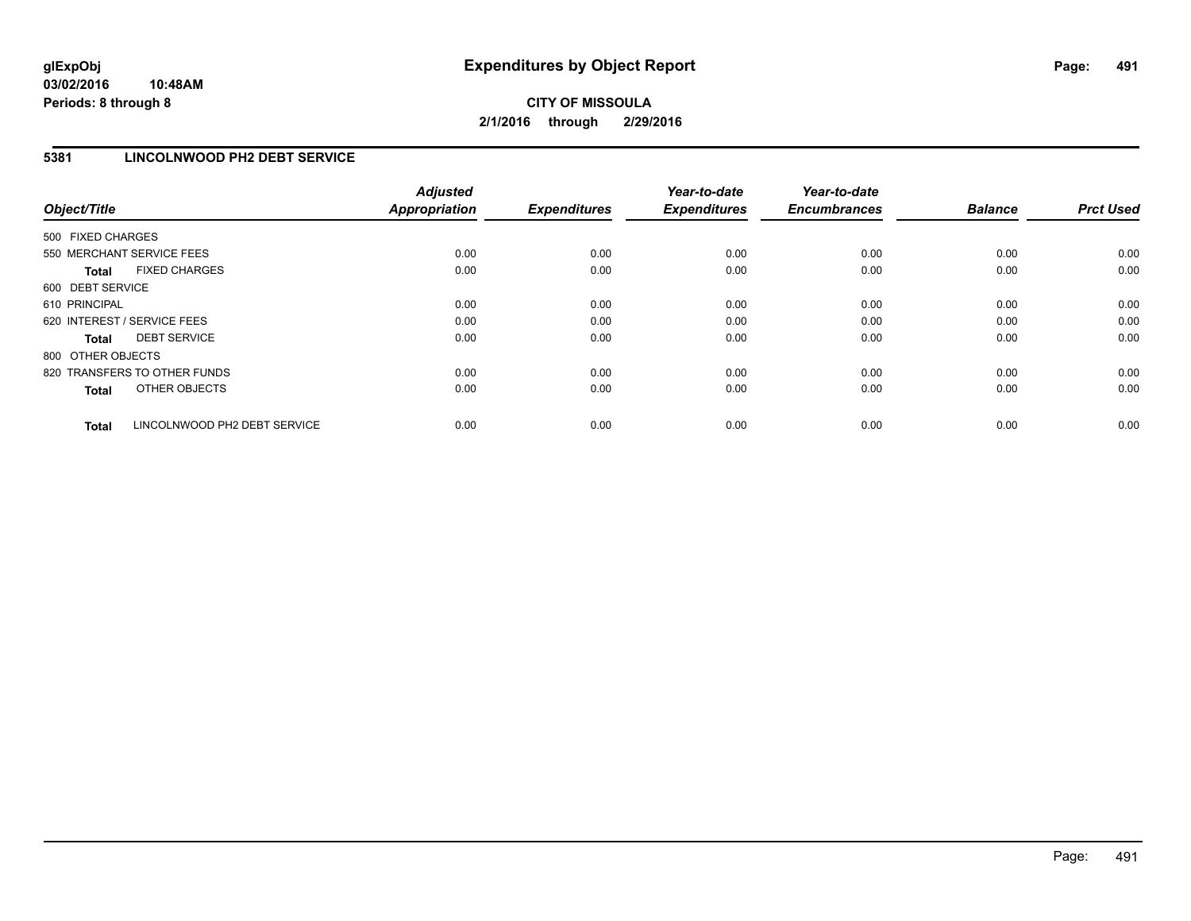#### **5381 LINCOLNWOOD PH2 DEBT SERVICE**

| Object/Title                 |                              | <b>Adjusted</b><br><b>Appropriation</b> | <b>Expenditures</b> | Year-to-date<br><b>Expenditures</b> | Year-to-date<br><b>Encumbrances</b> | <b>Balance</b> | <b>Prct Used</b> |
|------------------------------|------------------------------|-----------------------------------------|---------------------|-------------------------------------|-------------------------------------|----------------|------------------|
| 500 FIXED CHARGES            |                              |                                         |                     |                                     |                                     |                |                  |
| 550 MERCHANT SERVICE FEES    |                              | 0.00                                    | 0.00                | 0.00                                | 0.00                                | 0.00           | 0.00             |
| <b>Total</b>                 | <b>FIXED CHARGES</b>         | 0.00                                    | 0.00                | 0.00                                | 0.00                                | 0.00           | 0.00             |
| 600 DEBT SERVICE             |                              |                                         |                     |                                     |                                     |                |                  |
| 610 PRINCIPAL                |                              | 0.00                                    | 0.00                | 0.00                                | 0.00                                | 0.00           | 0.00             |
| 620 INTEREST / SERVICE FEES  |                              | 0.00                                    | 0.00                | 0.00                                | 0.00                                | 0.00           | 0.00             |
| Total                        | <b>DEBT SERVICE</b>          | 0.00                                    | 0.00                | 0.00                                | 0.00                                | 0.00           | 0.00             |
| 800 OTHER OBJECTS            |                              |                                         |                     |                                     |                                     |                |                  |
| 820 TRANSFERS TO OTHER FUNDS |                              | 0.00                                    | 0.00                | 0.00                                | 0.00                                | 0.00           | 0.00             |
| <b>Total</b>                 | OTHER OBJECTS                | 0.00                                    | 0.00                | 0.00                                | 0.00                                | 0.00           | 0.00             |
| <b>Total</b>                 | LINCOLNWOOD PH2 DEBT SERVICE | 0.00                                    | 0.00                | 0.00                                | 0.00                                | 0.00           | 0.00             |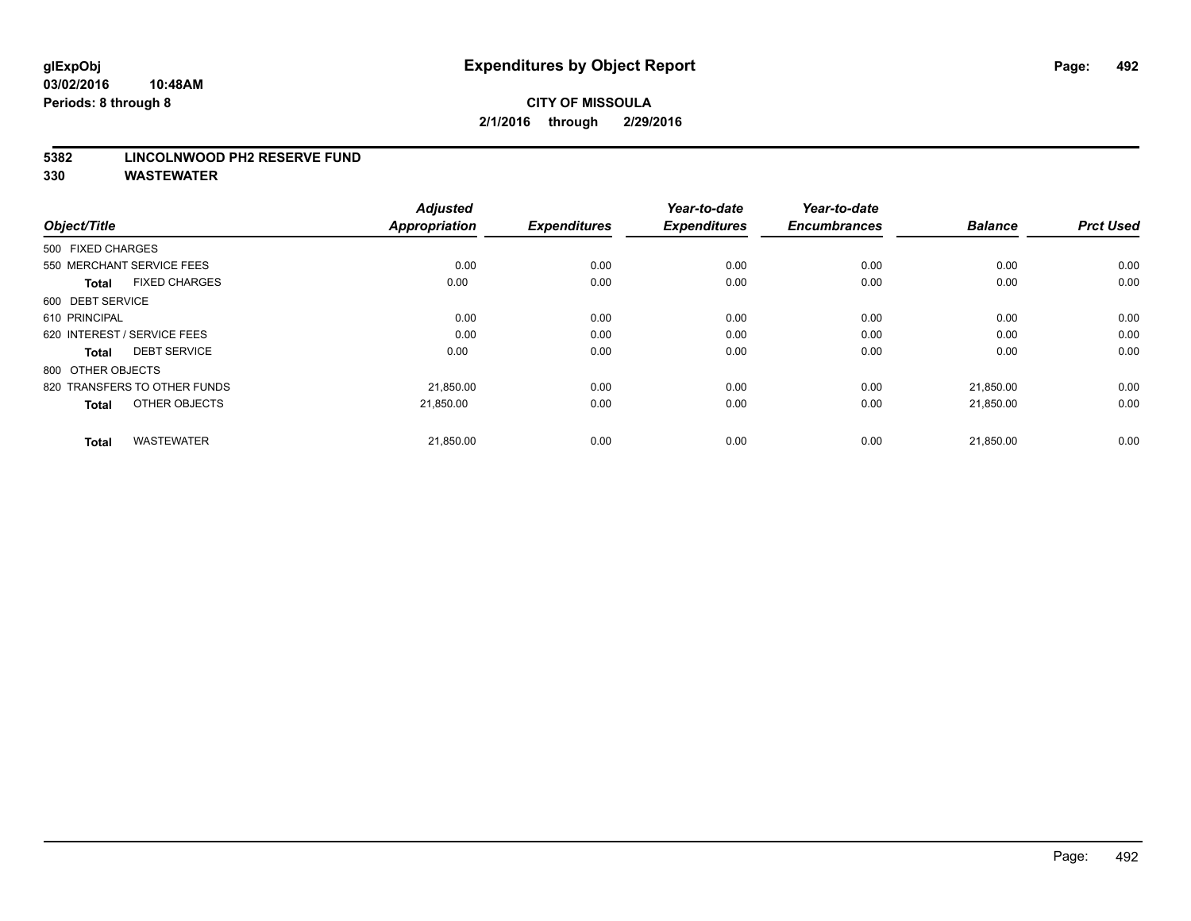#### **5382 LINCOLNWOOD PH2 RESERVE FUND**

| Object/Title                         | <b>Adjusted</b><br><b>Appropriation</b> | <b>Expenditures</b> | Year-to-date<br><b>Expenditures</b> | Year-to-date<br><b>Encumbrances</b> | <b>Balance</b> | <b>Prct Used</b> |
|--------------------------------------|-----------------------------------------|---------------------|-------------------------------------|-------------------------------------|----------------|------------------|
| 500 FIXED CHARGES                    |                                         |                     |                                     |                                     |                |                  |
| 550 MERCHANT SERVICE FEES            | 0.00                                    | 0.00                | 0.00                                | 0.00                                | 0.00           | 0.00             |
| <b>FIXED CHARGES</b><br><b>Total</b> | 0.00                                    | 0.00                | 0.00                                | 0.00                                | 0.00           | 0.00             |
| 600 DEBT SERVICE                     |                                         |                     |                                     |                                     |                |                  |
| 610 PRINCIPAL                        | 0.00                                    | 0.00                | 0.00                                | 0.00                                | 0.00           | 0.00             |
| 620 INTEREST / SERVICE FEES          | 0.00                                    | 0.00                | 0.00                                | 0.00                                | 0.00           | 0.00             |
| <b>DEBT SERVICE</b><br><b>Total</b>  | 0.00                                    | 0.00                | 0.00                                | 0.00                                | 0.00           | 0.00             |
| 800 OTHER OBJECTS                    |                                         |                     |                                     |                                     |                |                  |
| 820 TRANSFERS TO OTHER FUNDS         | 21,850.00                               | 0.00                | 0.00                                | 0.00                                | 21,850.00      | 0.00             |
| OTHER OBJECTS<br><b>Total</b>        | 21,850.00                               | 0.00                | 0.00                                | 0.00                                | 21,850.00      | 0.00             |
|                                      |                                         |                     |                                     |                                     |                |                  |
| <b>WASTEWATER</b><br><b>Total</b>    | 21,850.00                               | 0.00                | 0.00                                | 0.00                                | 21,850.00      | 0.00             |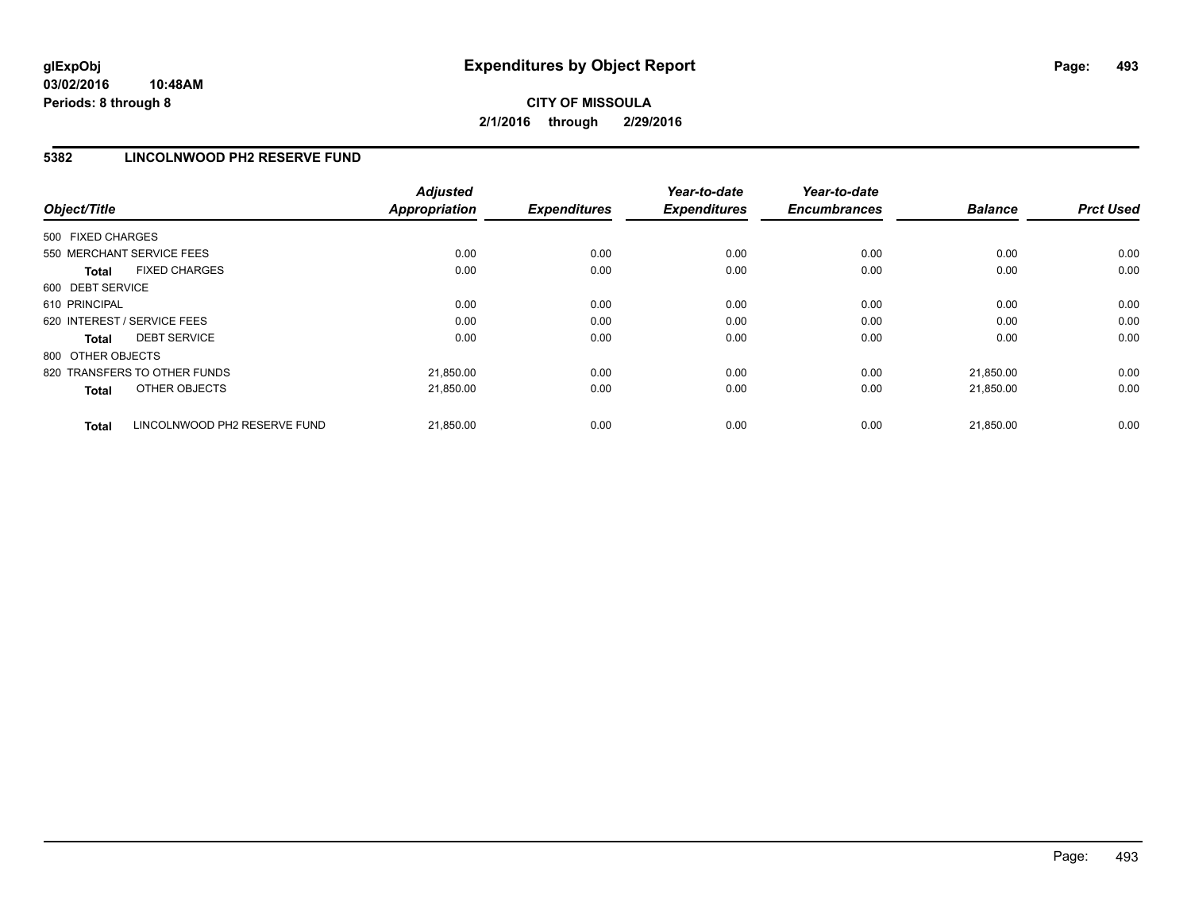#### **5382 LINCOLNWOOD PH2 RESERVE FUND**

| Object/Title                                 | <b>Adjusted</b><br><b>Appropriation</b> | <b>Expenditures</b> | Year-to-date<br><b>Expenditures</b> | Year-to-date<br><b>Encumbrances</b> | <b>Balance</b> | <b>Prct Used</b> |
|----------------------------------------------|-----------------------------------------|---------------------|-------------------------------------|-------------------------------------|----------------|------------------|
| 500 FIXED CHARGES                            |                                         |                     |                                     |                                     |                |                  |
| 550 MERCHANT SERVICE FEES                    | 0.00                                    | 0.00                | 0.00                                | 0.00                                | 0.00           | 0.00             |
| <b>FIXED CHARGES</b><br><b>Total</b>         | 0.00                                    | 0.00                | 0.00                                | 0.00                                | 0.00           | 0.00             |
| 600 DEBT SERVICE                             |                                         |                     |                                     |                                     |                |                  |
| 610 PRINCIPAL                                | 0.00                                    | 0.00                | 0.00                                | 0.00                                | 0.00           | 0.00             |
| 620 INTEREST / SERVICE FEES                  | 0.00                                    | 0.00                | 0.00                                | 0.00                                | 0.00           | 0.00             |
| <b>DEBT SERVICE</b><br><b>Total</b>          | 0.00                                    | 0.00                | 0.00                                | 0.00                                | 0.00           | 0.00             |
| 800 OTHER OBJECTS                            |                                         |                     |                                     |                                     |                |                  |
| 820 TRANSFERS TO OTHER FUNDS                 | 21,850.00                               | 0.00                | 0.00                                | 0.00                                | 21.850.00      | 0.00             |
| OTHER OBJECTS<br><b>Total</b>                | 21,850.00                               | 0.00                | 0.00                                | 0.00                                | 21,850.00      | 0.00             |
| LINCOLNWOOD PH2 RESERVE FUND<br><b>Total</b> | 21,850.00                               | 0.00                | 0.00                                | 0.00                                | 21.850.00      | 0.00             |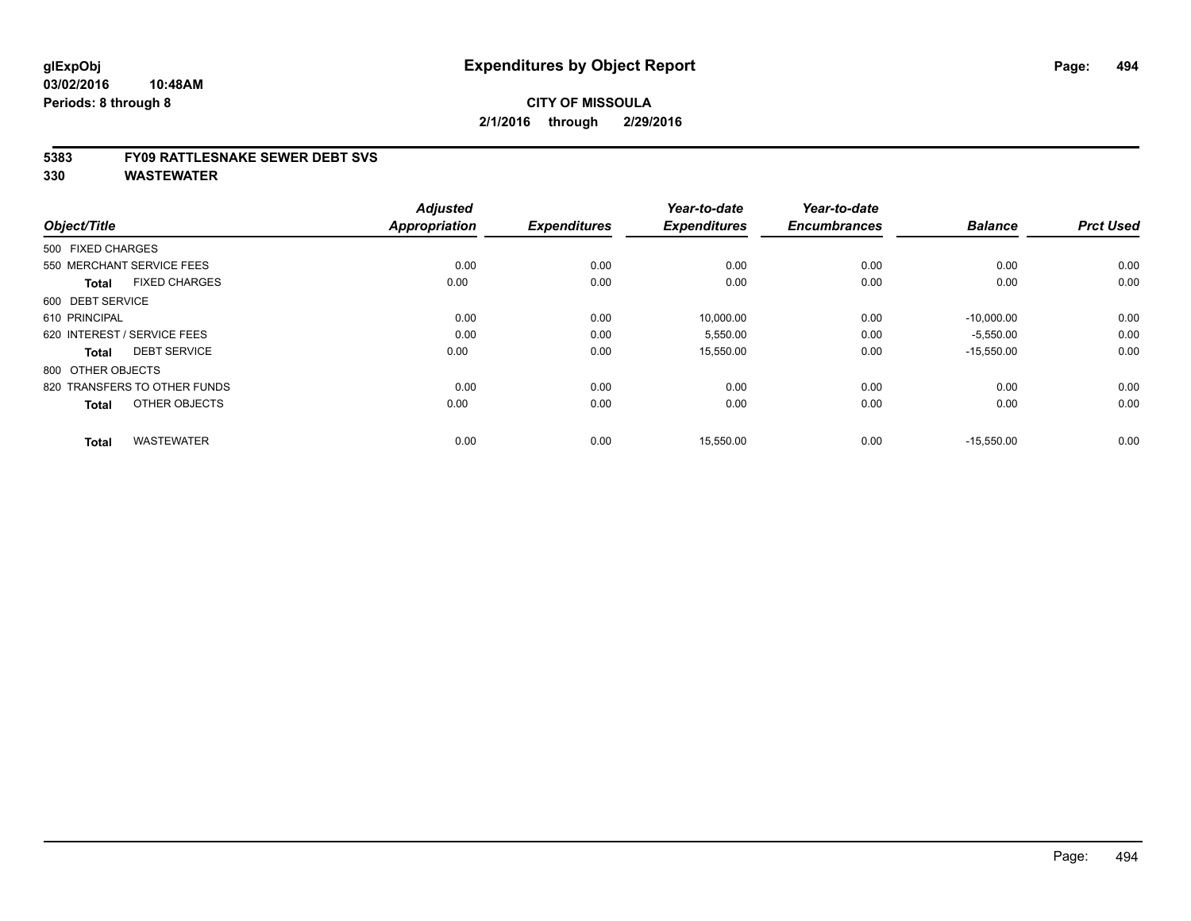#### **5383 FY09 RATTLESNAKE SEWER DEBT SVS**

| Object/Title                         | <b>Adjusted</b><br><b>Appropriation</b> | <b>Expenditures</b> | Year-to-date<br><b>Expenditures</b> | Year-to-date<br><b>Encumbrances</b> | <b>Balance</b> | <b>Prct Used</b> |
|--------------------------------------|-----------------------------------------|---------------------|-------------------------------------|-------------------------------------|----------------|------------------|
| 500 FIXED CHARGES                    |                                         |                     |                                     |                                     |                |                  |
| 550 MERCHANT SERVICE FEES            | 0.00                                    | 0.00                | 0.00                                | 0.00                                | 0.00           | 0.00             |
| <b>FIXED CHARGES</b><br><b>Total</b> | 0.00                                    | 0.00                | 0.00                                | 0.00                                | 0.00           | 0.00             |
| 600 DEBT SERVICE                     |                                         |                     |                                     |                                     |                |                  |
| 610 PRINCIPAL                        | 0.00                                    | 0.00                | 10,000.00                           | 0.00                                | $-10,000.00$   | 0.00             |
| 620 INTEREST / SERVICE FEES          | 0.00                                    | 0.00                | 5,550.00                            | 0.00                                | $-5,550.00$    | 0.00             |
| <b>DEBT SERVICE</b><br><b>Total</b>  | 0.00                                    | 0.00                | 15,550.00                           | 0.00                                | $-15,550.00$   | 0.00             |
| 800 OTHER OBJECTS                    |                                         |                     |                                     |                                     |                |                  |
| 820 TRANSFERS TO OTHER FUNDS         | 0.00                                    | 0.00                | 0.00                                | 0.00                                | 0.00           | 0.00             |
| OTHER OBJECTS<br><b>Total</b>        | 0.00                                    | 0.00                | 0.00                                | 0.00                                | 0.00           | 0.00             |
|                                      |                                         |                     |                                     |                                     |                |                  |
| <b>WASTEWATER</b><br><b>Total</b>    | 0.00                                    | 0.00                | 15,550.00                           | 0.00                                | $-15,550.00$   | 0.00             |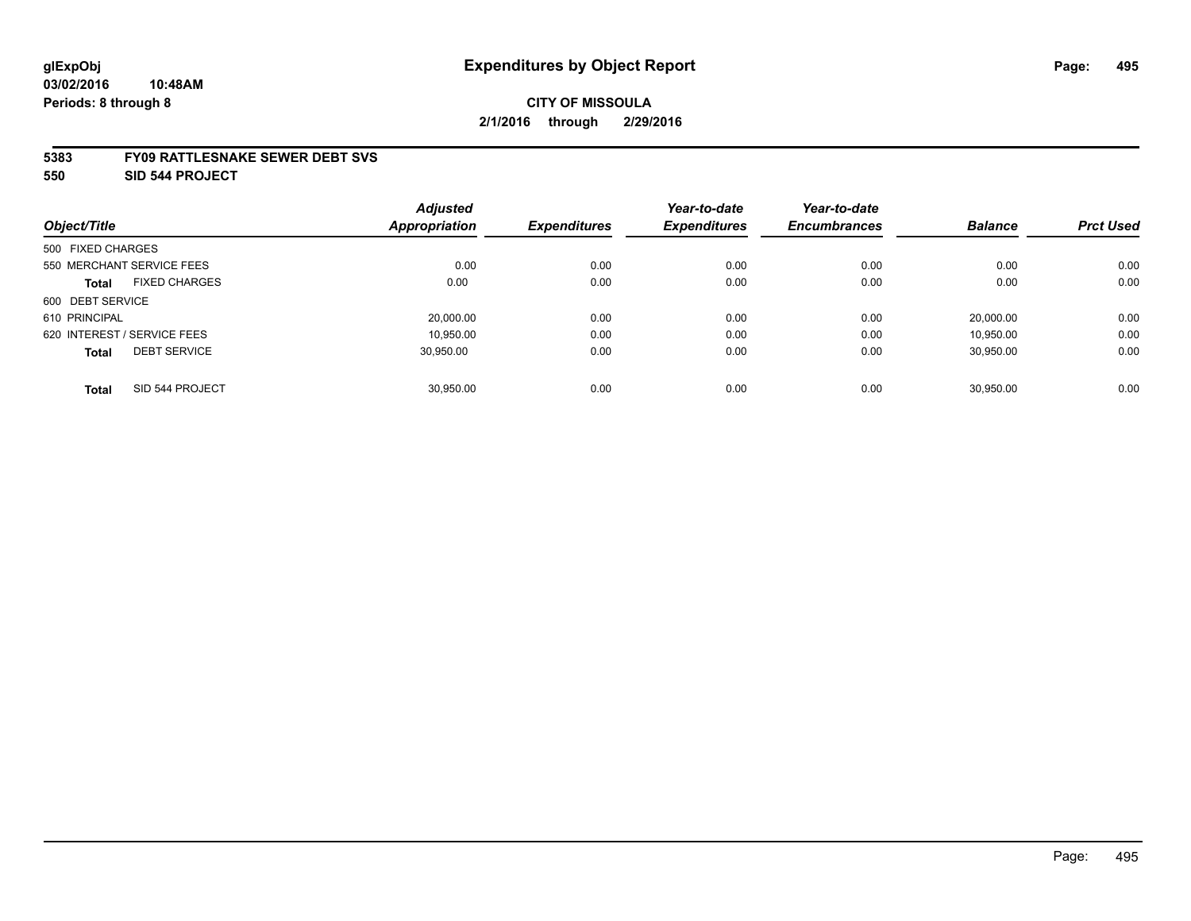#### **5383 FY09 RATTLESNAKE SEWER DEBT SVS**

**550 SID 544 PROJECT**

|                                      | <b>Adjusted</b> |                     | Year-to-date        | Year-to-date        |                |                  |
|--------------------------------------|-----------------|---------------------|---------------------|---------------------|----------------|------------------|
| Object/Title                         | Appropriation   | <b>Expenditures</b> | <b>Expenditures</b> | <b>Encumbrances</b> | <b>Balance</b> | <b>Prct Used</b> |
| 500 FIXED CHARGES                    |                 |                     |                     |                     |                |                  |
| 550 MERCHANT SERVICE FEES            | 0.00            | 0.00                | 0.00                | 0.00                | 0.00           | 0.00             |
| <b>FIXED CHARGES</b><br><b>Total</b> | 0.00            | 0.00                | 0.00                | 0.00                | 0.00           | 0.00             |
| 600 DEBT SERVICE                     |                 |                     |                     |                     |                |                  |
| 610 PRINCIPAL                        | 20,000.00       | 0.00                | 0.00                | 0.00                | 20.000.00      | 0.00             |
| 620 INTEREST / SERVICE FEES          | 10.950.00       | 0.00                | 0.00                | 0.00                | 10.950.00      | 0.00             |
| <b>DEBT SERVICE</b><br><b>Total</b>  | 30.950.00       | 0.00                | 0.00                | 0.00                | 30,950.00      | 0.00             |
| SID 544 PROJECT<br><b>Total</b>      | 30.950.00       | 0.00                | 0.00                | 0.00                | 30.950.00      | 0.00             |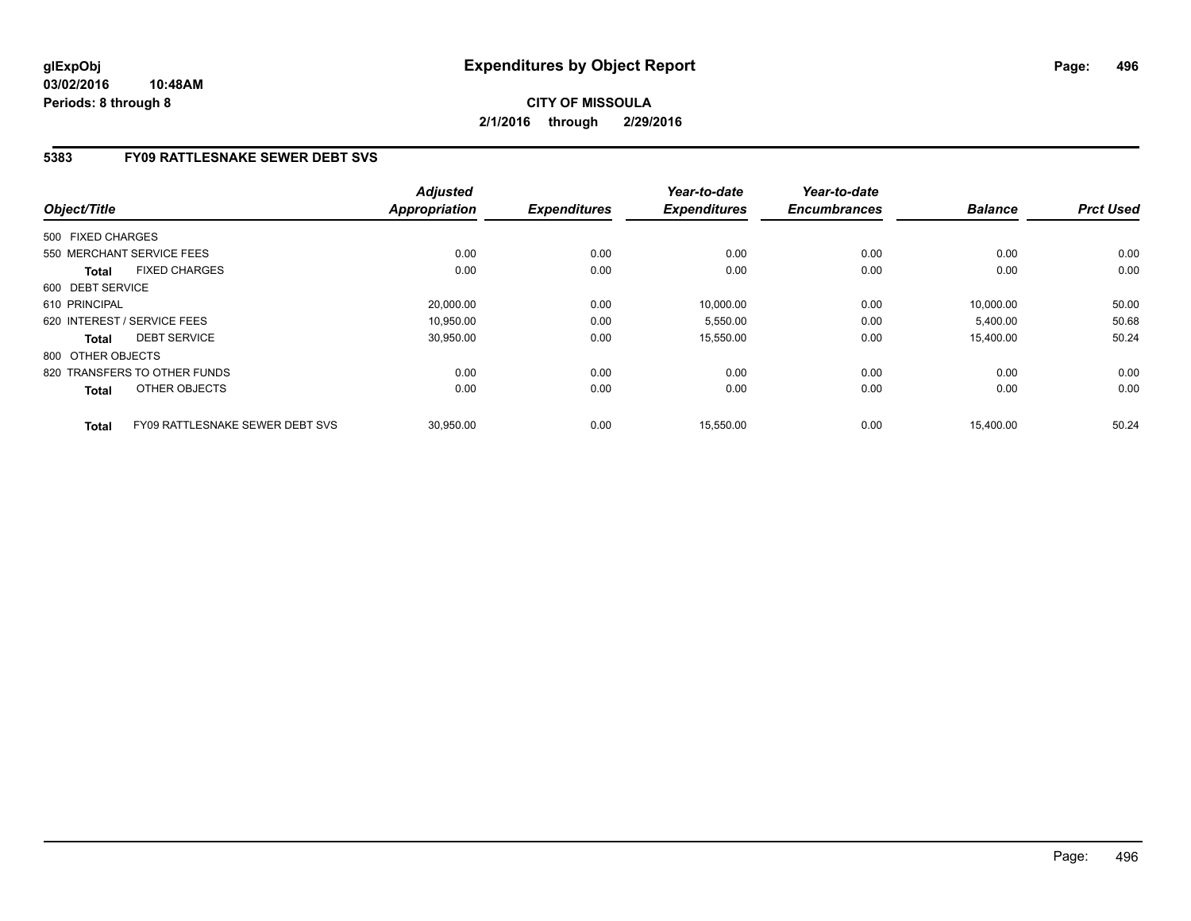# **5383 FY09 RATTLESNAKE SEWER DEBT SVS**

| Object/Title                                    | <b>Adjusted</b><br><b>Appropriation</b> | <b>Expenditures</b> | Year-to-date<br><b>Expenditures</b> | Year-to-date<br><b>Encumbrances</b> | <b>Balance</b> | <b>Prct Used</b> |
|-------------------------------------------------|-----------------------------------------|---------------------|-------------------------------------|-------------------------------------|----------------|------------------|
|                                                 |                                         |                     |                                     |                                     |                |                  |
| 500 FIXED CHARGES                               |                                         |                     |                                     |                                     |                |                  |
| 550 MERCHANT SERVICE FEES                       | 0.00                                    | 0.00                | 0.00                                | 0.00                                | 0.00           | 0.00             |
| <b>FIXED CHARGES</b><br><b>Total</b>            | 0.00                                    | 0.00                | 0.00                                | 0.00                                | 0.00           | 0.00             |
| 600 DEBT SERVICE                                |                                         |                     |                                     |                                     |                |                  |
| 610 PRINCIPAL                                   | 20,000.00                               | 0.00                | 10,000.00                           | 0.00                                | 10.000.00      | 50.00            |
| 620 INTEREST / SERVICE FEES                     | 10.950.00                               | 0.00                | 5,550.00                            | 0.00                                | 5,400.00       | 50.68            |
| <b>DEBT SERVICE</b><br><b>Total</b>             | 30,950.00                               | 0.00                | 15,550.00                           | 0.00                                | 15,400.00      | 50.24            |
| 800 OTHER OBJECTS                               |                                         |                     |                                     |                                     |                |                  |
| 820 TRANSFERS TO OTHER FUNDS                    | 0.00                                    | 0.00                | 0.00                                | 0.00                                | 0.00           | 0.00             |
| <b>OTHER OBJECTS</b><br><b>Total</b>            | 0.00                                    | 0.00                | 0.00                                | 0.00                                | 0.00           | 0.00             |
| FY09 RATTLESNAKE SEWER DEBT SVS<br><b>Total</b> | 30.950.00                               | 0.00                | 15,550.00                           | 0.00                                | 15.400.00      | 50.24            |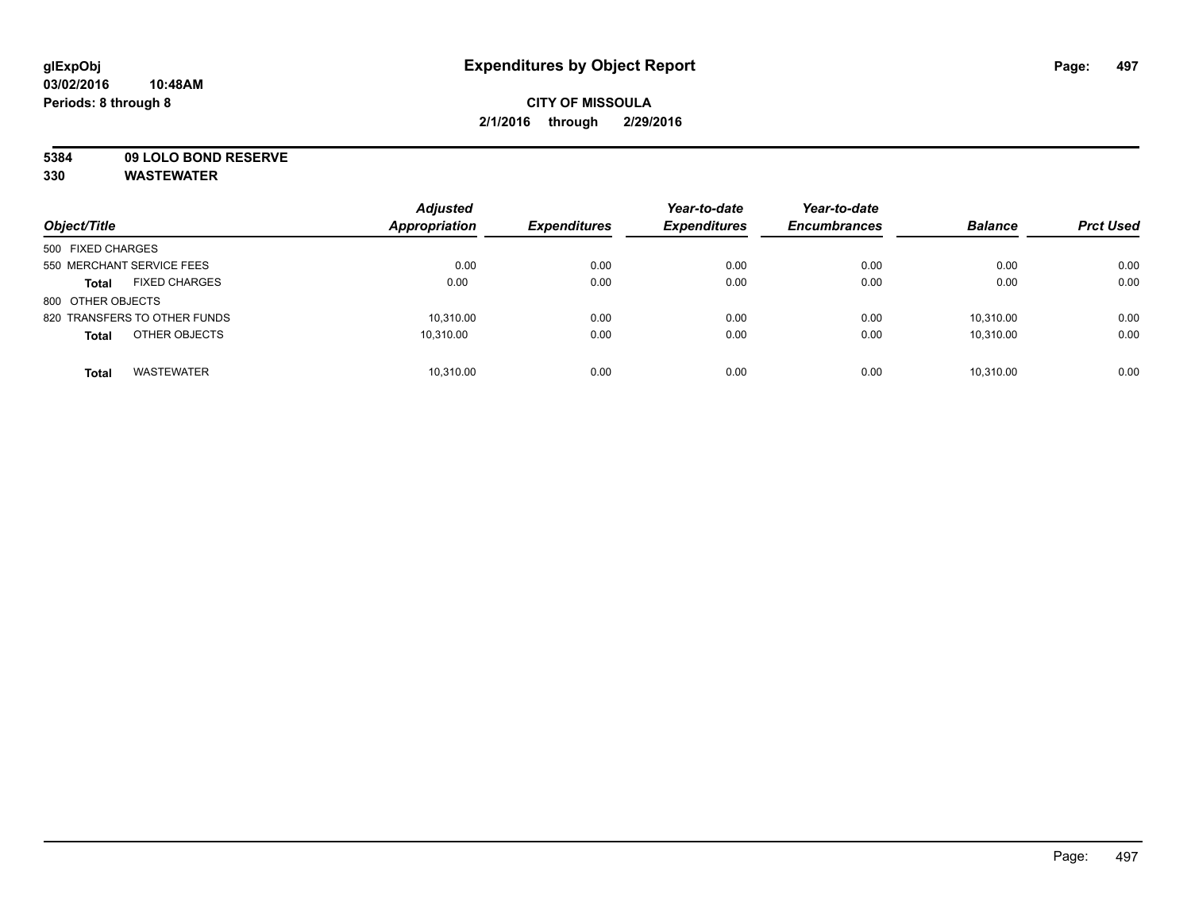**5384 09 LOLO BOND RESERVE**

|                                      | <b>Adjusted</b>      |                     | Year-to-date        | Year-to-date        |                |                  |
|--------------------------------------|----------------------|---------------------|---------------------|---------------------|----------------|------------------|
| Object/Title                         | <b>Appropriation</b> | <b>Expenditures</b> | <b>Expenditures</b> | <b>Encumbrances</b> | <b>Balance</b> | <b>Prct Used</b> |
| 500 FIXED CHARGES                    |                      |                     |                     |                     |                |                  |
| 550 MERCHANT SERVICE FEES            | 0.00                 | 0.00                | 0.00                | 0.00                | 0.00           | 0.00             |
| <b>FIXED CHARGES</b><br><b>Total</b> | 0.00                 | 0.00                | 0.00                | 0.00                | 0.00           | 0.00             |
| 800 OTHER OBJECTS                    |                      |                     |                     |                     |                |                  |
| 820 TRANSFERS TO OTHER FUNDS         | 10,310.00            | 0.00                | 0.00                | 0.00                | 10,310.00      | 0.00             |
| OTHER OBJECTS<br><b>Total</b>        | 10,310.00            | 0.00                | 0.00                | 0.00                | 10,310.00      | 0.00             |
| <b>WASTEWATER</b><br><b>Total</b>    | 10.310.00            | 0.00                | 0.00                | 0.00                | 10.310.00      | 0.00             |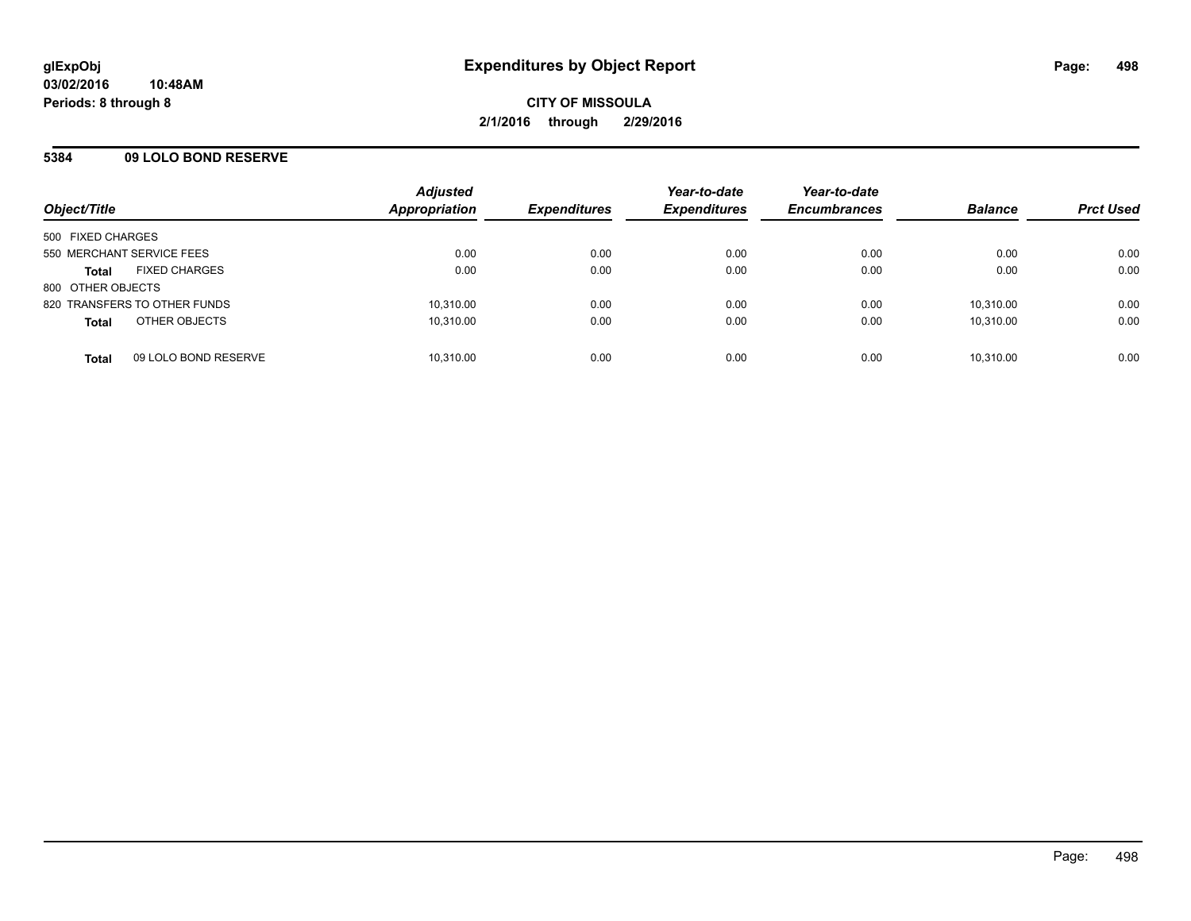#### **5384 09 LOLO BOND RESERVE**

| Object/Title                         | <b>Adjusted</b><br><b>Appropriation</b> | <b>Expenditures</b> | Year-to-date<br><b>Expenditures</b> | Year-to-date<br><b>Encumbrances</b> | <b>Balance</b> | <b>Prct Used</b> |
|--------------------------------------|-----------------------------------------|---------------------|-------------------------------------|-------------------------------------|----------------|------------------|
| 500 FIXED CHARGES                    |                                         |                     |                                     |                                     |                |                  |
| 550 MERCHANT SERVICE FEES            | 0.00                                    | 0.00                | 0.00                                | 0.00                                | 0.00           | 0.00             |
| <b>FIXED CHARGES</b><br><b>Total</b> | 0.00                                    | 0.00                | 0.00                                | 0.00                                | 0.00           | 0.00             |
| 800 OTHER OBJECTS                    |                                         |                     |                                     |                                     |                |                  |
| 820 TRANSFERS TO OTHER FUNDS         | 10,310.00                               | 0.00                | 0.00                                | 0.00                                | 10,310.00      | 0.00             |
| OTHER OBJECTS<br><b>Total</b>        | 10,310.00                               | 0.00                | 0.00                                | 0.00                                | 10,310.00      | 0.00             |
|                                      |                                         |                     |                                     |                                     |                |                  |
| 09 LOLO BOND RESERVE<br><b>Total</b> | 10,310.00                               | 0.00                | 0.00                                | 0.00                                | 10,310.00      | 0.00             |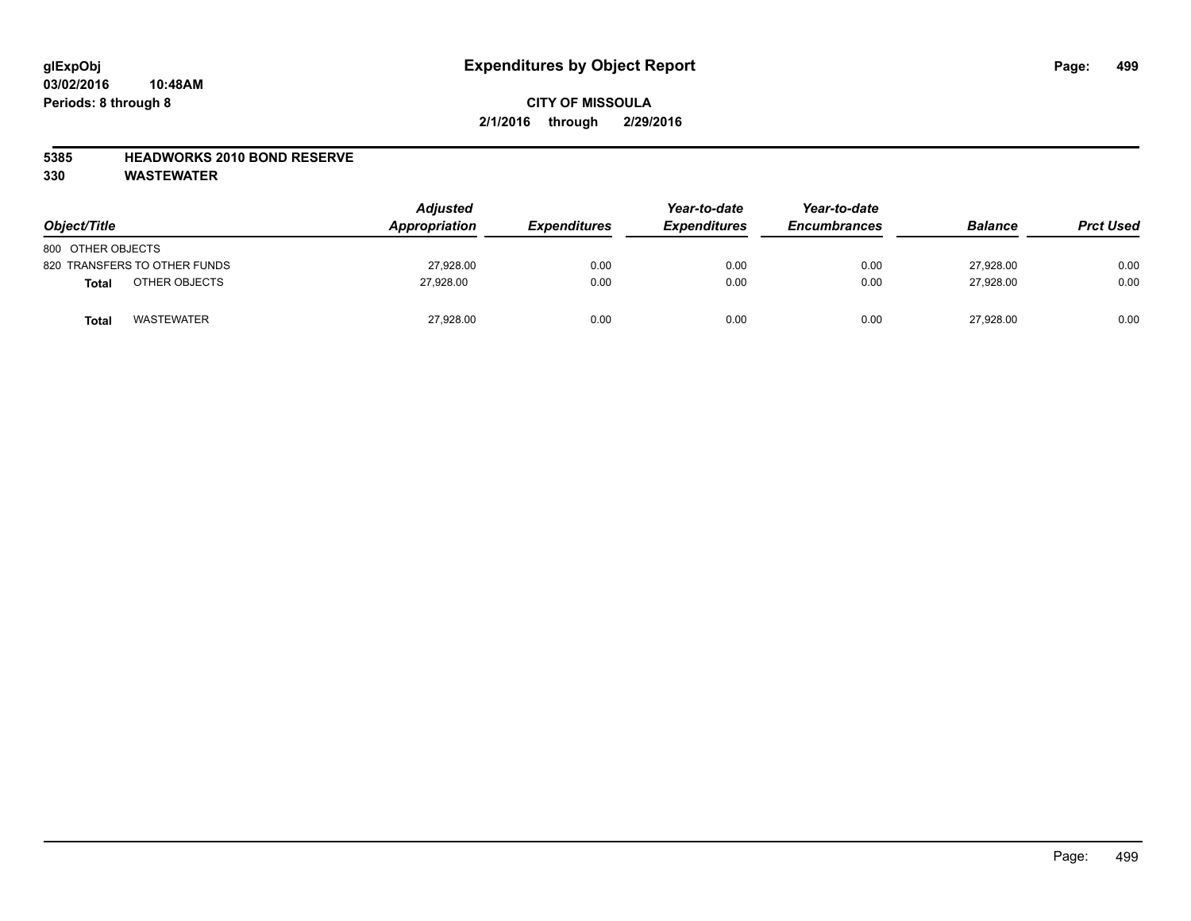#### **5385 HEADWORKS 2010 BOND RESERVE**

| Object/Title                 | <b>Adjusted</b><br>Appropriation | <b>Expenditures</b> | Year-to-date<br><b>Expenditures</b> | Year-to-date<br><b>Encumbrances</b> | <b>Balance</b> | <b>Prct Used</b> |
|------------------------------|----------------------------------|---------------------|-------------------------------------|-------------------------------------|----------------|------------------|
| 800 OTHER OBJECTS            |                                  |                     |                                     |                                     |                |                  |
| 820 TRANSFERS TO OTHER FUNDS | 27,928.00                        | 0.00                | 0.00                                | 0.00                                | 27,928.00      | 0.00             |
| OTHER OBJECTS<br>Total       | 27.928.00                        | 0.00                | 0.00                                | 0.00                                | 27.928.00      | 0.00             |
| <b>WASTEWATER</b><br>Total   | 27,928.00                        | 0.00                | 0.00                                | 0.00                                | 27,928.00      | 0.00             |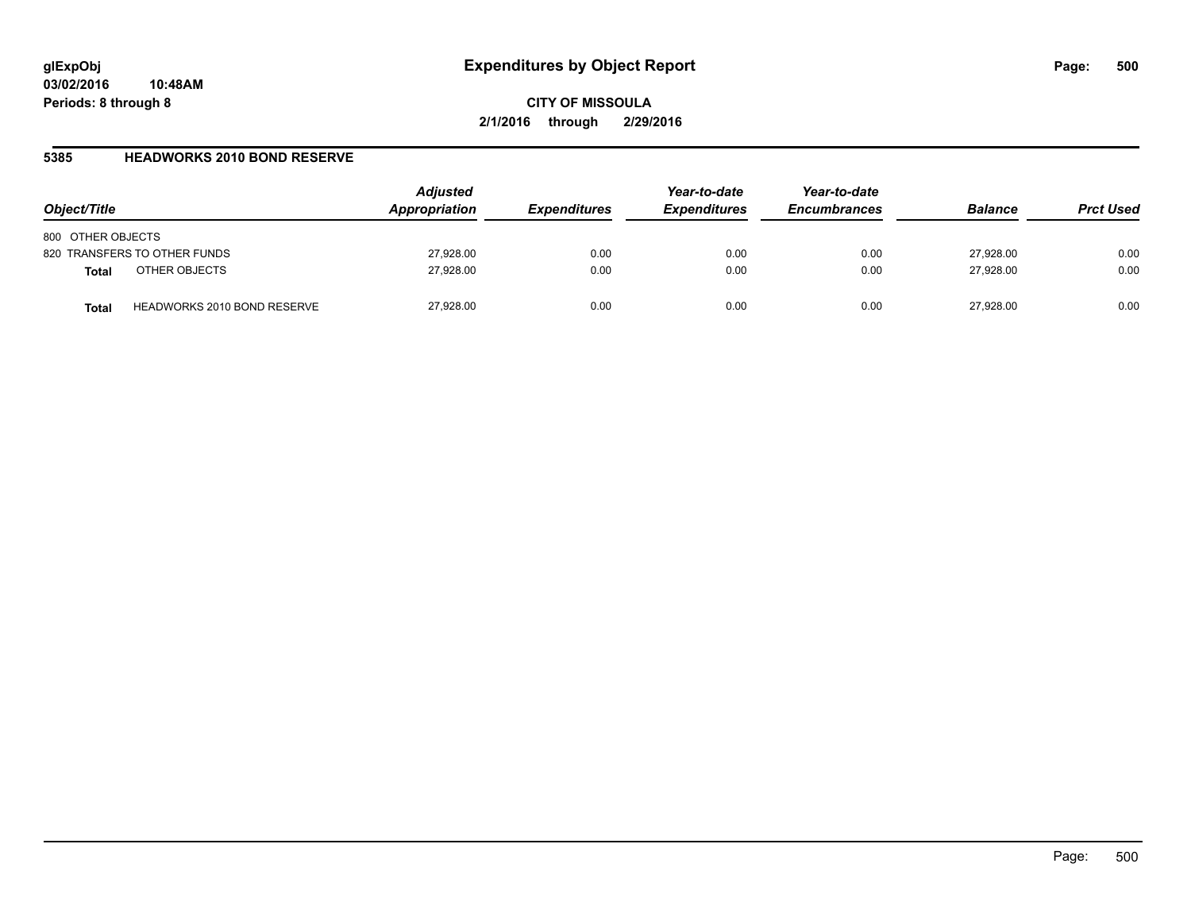#### **5385 HEADWORKS 2010 BOND RESERVE**

| Object/Title                                | <b>Adjusted</b><br>Appropriation | <i><b>Expenditures</b></i> | Year-to-date<br><b>Expenditures</b> | Year-to-date<br><b>Encumbrances</b> | <b>Balance</b> | <b>Prct Used</b> |
|---------------------------------------------|----------------------------------|----------------------------|-------------------------------------|-------------------------------------|----------------|------------------|
| 800 OTHER OBJECTS                           |                                  |                            |                                     |                                     |                |                  |
| 820 TRANSFERS TO OTHER FUNDS                | 27,928.00                        | 0.00                       | 0.00                                | 0.00                                | 27.928.00      | 0.00             |
| OTHER OBJECTS<br><b>Total</b>               | 27,928.00                        | 0.00                       | 0.00                                | 0.00                                | 27.928.00      | 0.00             |
| <b>HEADWORKS 2010 BOND RESERVE</b><br>Total | 27,928.00                        | 0.00                       | 0.00                                | 0.00                                | 27.928.00      | 0.00             |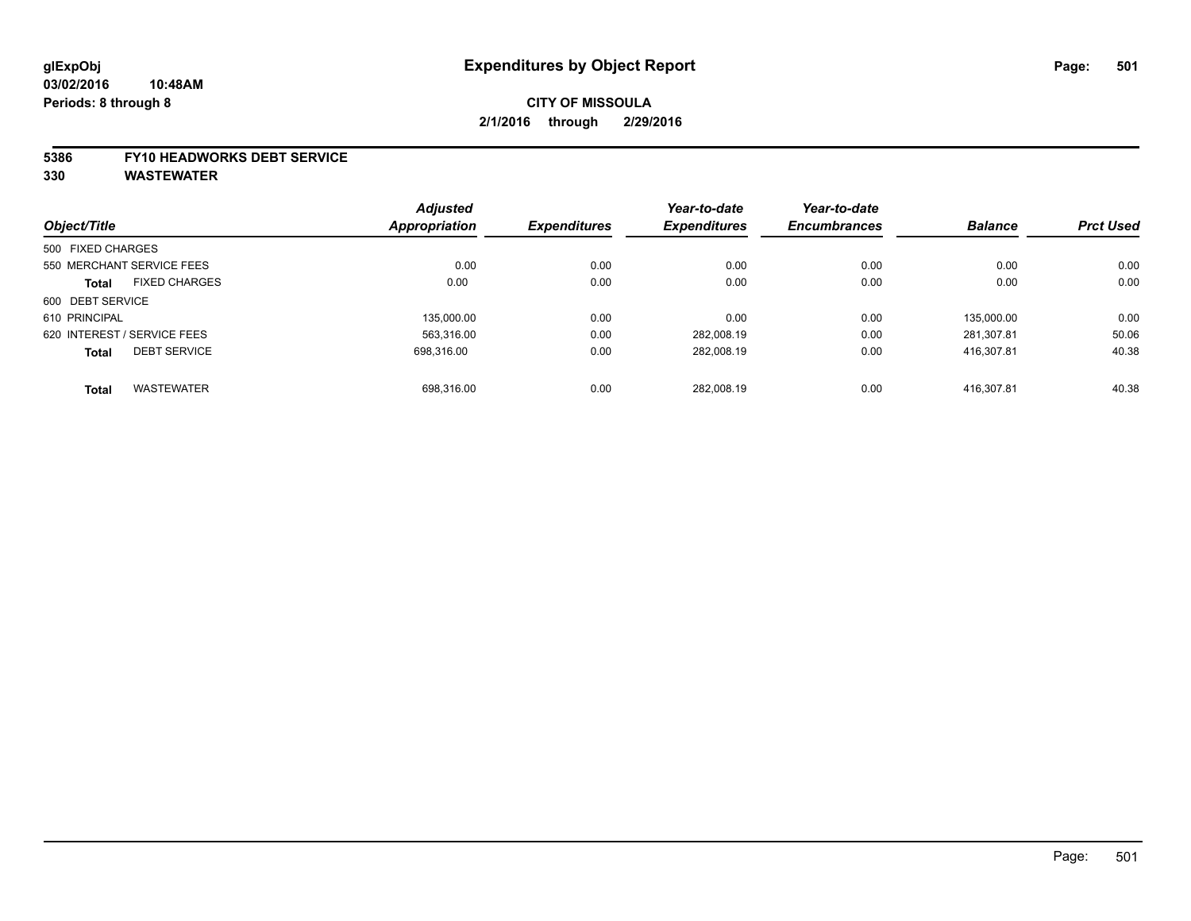#### **5386 FY10 HEADWORKS DEBT SERVICE**

|                                      | <b>Adjusted</b>      |                     | Year-to-date        | Year-to-date        |                |                  |
|--------------------------------------|----------------------|---------------------|---------------------|---------------------|----------------|------------------|
| Object/Title                         | <b>Appropriation</b> | <b>Expenditures</b> | <b>Expenditures</b> | <b>Encumbrances</b> | <b>Balance</b> | <b>Prct Used</b> |
| 500 FIXED CHARGES                    |                      |                     |                     |                     |                |                  |
| 550 MERCHANT SERVICE FEES            | 0.00                 | 0.00                | 0.00                | 0.00                | 0.00           | 0.00             |
| <b>FIXED CHARGES</b><br><b>Total</b> | 0.00                 | 0.00                | 0.00                | 0.00                | 0.00           | 0.00             |
| 600 DEBT SERVICE                     |                      |                     |                     |                     |                |                  |
| 610 PRINCIPAL                        | 135.000.00           | 0.00                | 0.00                | 0.00                | 135.000.00     | 0.00             |
| 620 INTEREST / SERVICE FEES          | 563.316.00           | 0.00                | 282.008.19          | 0.00                | 281.307.81     | 50.06            |
| <b>DEBT SERVICE</b><br><b>Total</b>  | 698.316.00           | 0.00                | 282.008.19          | 0.00                | 416.307.81     | 40.38            |
| <b>WASTEWATER</b><br><b>Total</b>    | 698.316.00           | 0.00                | 282.008.19          | 0.00                | 416.307.81     | 40.38            |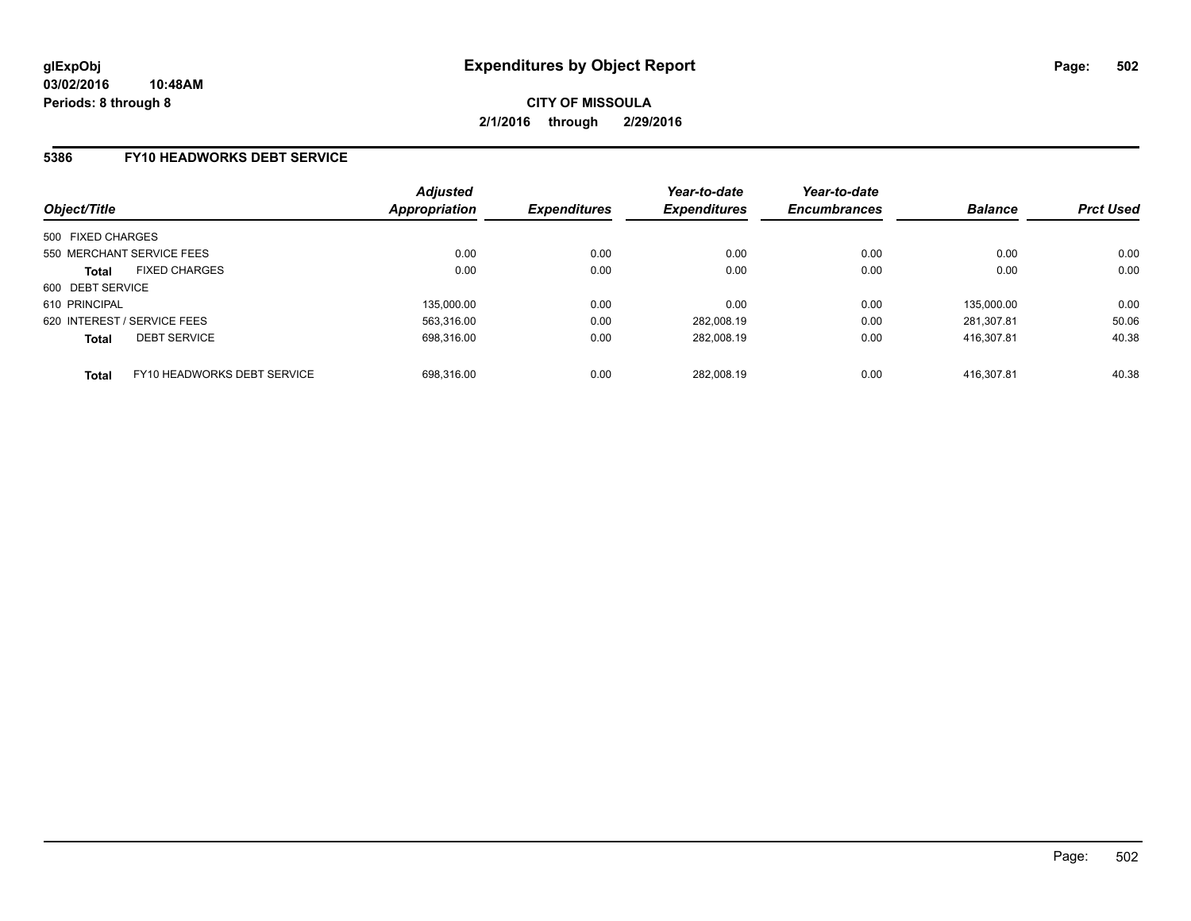### **5386 FY10 HEADWORKS DEBT SERVICE**

| Object/Title                |                             | <b>Adjusted</b><br><b>Appropriation</b> | <b>Expenditures</b> | Year-to-date<br><b>Expenditures</b> | Year-to-date<br><b>Encumbrances</b> | <b>Balance</b> | <b>Prct Used</b> |
|-----------------------------|-----------------------------|-----------------------------------------|---------------------|-------------------------------------|-------------------------------------|----------------|------------------|
| 500 FIXED CHARGES           |                             |                                         |                     |                                     |                                     |                |                  |
| 550 MERCHANT SERVICE FEES   |                             | 0.00                                    | 0.00                | 0.00                                | 0.00                                | 0.00           | 0.00             |
| <b>Total</b>                | <b>FIXED CHARGES</b>        | 0.00                                    | 0.00                | 0.00                                | 0.00                                | 0.00           | 0.00             |
| 600 DEBT SERVICE            |                             |                                         |                     |                                     |                                     |                |                  |
| 610 PRINCIPAL               |                             | 135.000.00                              | 0.00                | 0.00                                | 0.00                                | 135.000.00     | 0.00             |
| 620 INTEREST / SERVICE FEES |                             | 563.316.00                              | 0.00                | 282.008.19                          | 0.00                                | 281.307.81     | 50.06            |
| <b>Total</b>                | <b>DEBT SERVICE</b>         | 698.316.00                              | 0.00                | 282.008.19                          | 0.00                                | 416.307.81     | 40.38            |
| <b>Total</b>                | FY10 HEADWORKS DEBT SERVICE | 698.316.00                              | 0.00                | 282.008.19                          | 0.00                                | 416.307.81     | 40.38            |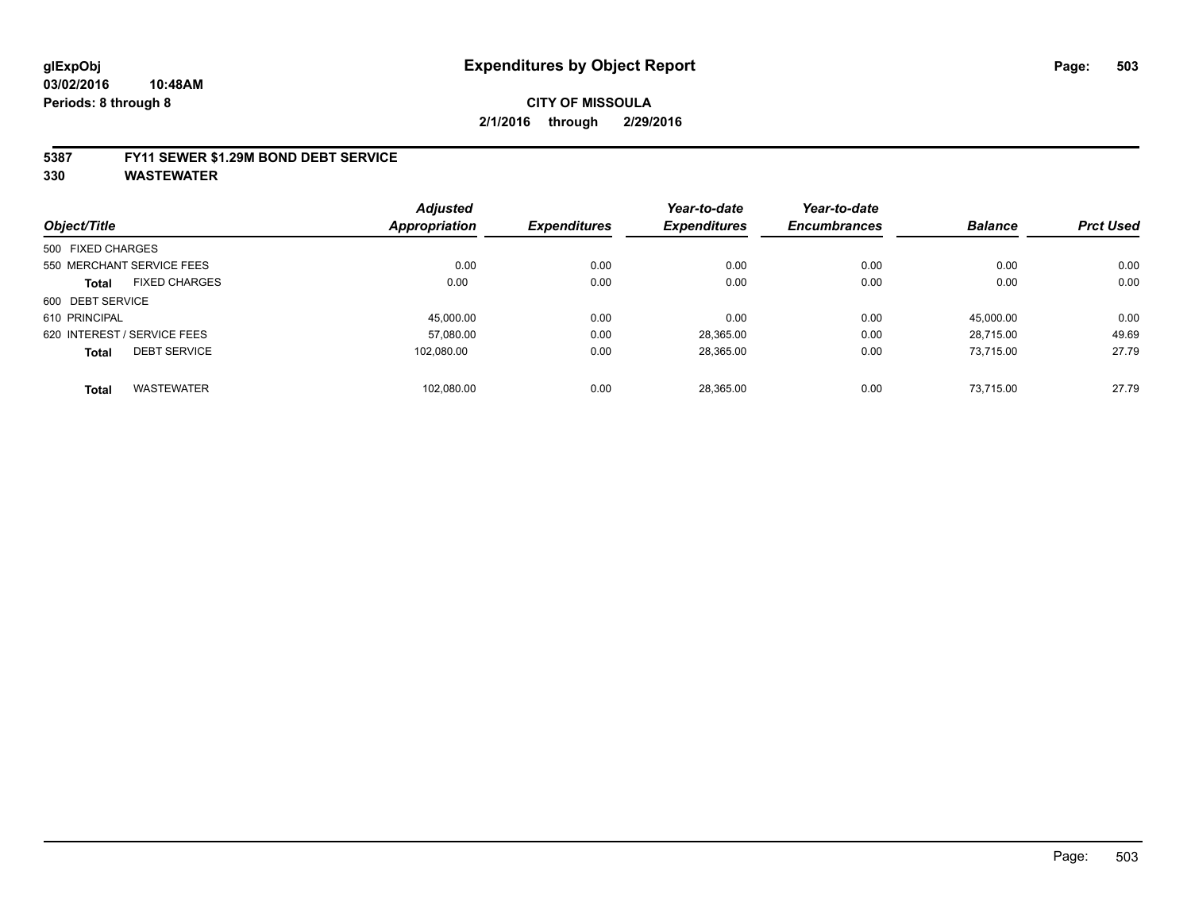#### **5387 FY11 SEWER \$1.29M BOND DEBT SERVICE**

|                   |                             | <b>Adjusted</b> |                     | Year-to-date        | Year-to-date        |                |                  |
|-------------------|-----------------------------|-----------------|---------------------|---------------------|---------------------|----------------|------------------|
| Object/Title      |                             | Appropriation   | <b>Expenditures</b> | <b>Expenditures</b> | <b>Encumbrances</b> | <b>Balance</b> | <b>Prct Used</b> |
| 500 FIXED CHARGES |                             |                 |                     |                     |                     |                |                  |
|                   | 550 MERCHANT SERVICE FEES   | 0.00            | 0.00                | 0.00                | 0.00                | 0.00           | 0.00             |
| <b>Total</b>      | <b>FIXED CHARGES</b>        | 0.00            | 0.00                | 0.00                | 0.00                | 0.00           | 0.00             |
| 600 DEBT SERVICE  |                             |                 |                     |                     |                     |                |                  |
| 610 PRINCIPAL     |                             | 45.000.00       | 0.00                | 0.00                | 0.00                | 45.000.00      | 0.00             |
|                   | 620 INTEREST / SERVICE FEES | 57.080.00       | 0.00                | 28.365.00           | 0.00                | 28.715.00      | 49.69            |
| <b>Total</b>      | <b>DEBT SERVICE</b>         | 102.080.00      | 0.00                | 28,365.00           | 0.00                | 73.715.00      | 27.79            |
| <b>Total</b>      | <b>WASTEWATER</b>           | 102.080.00      | 0.00                | 28.365.00           | 0.00                | 73.715.00      | 27.79            |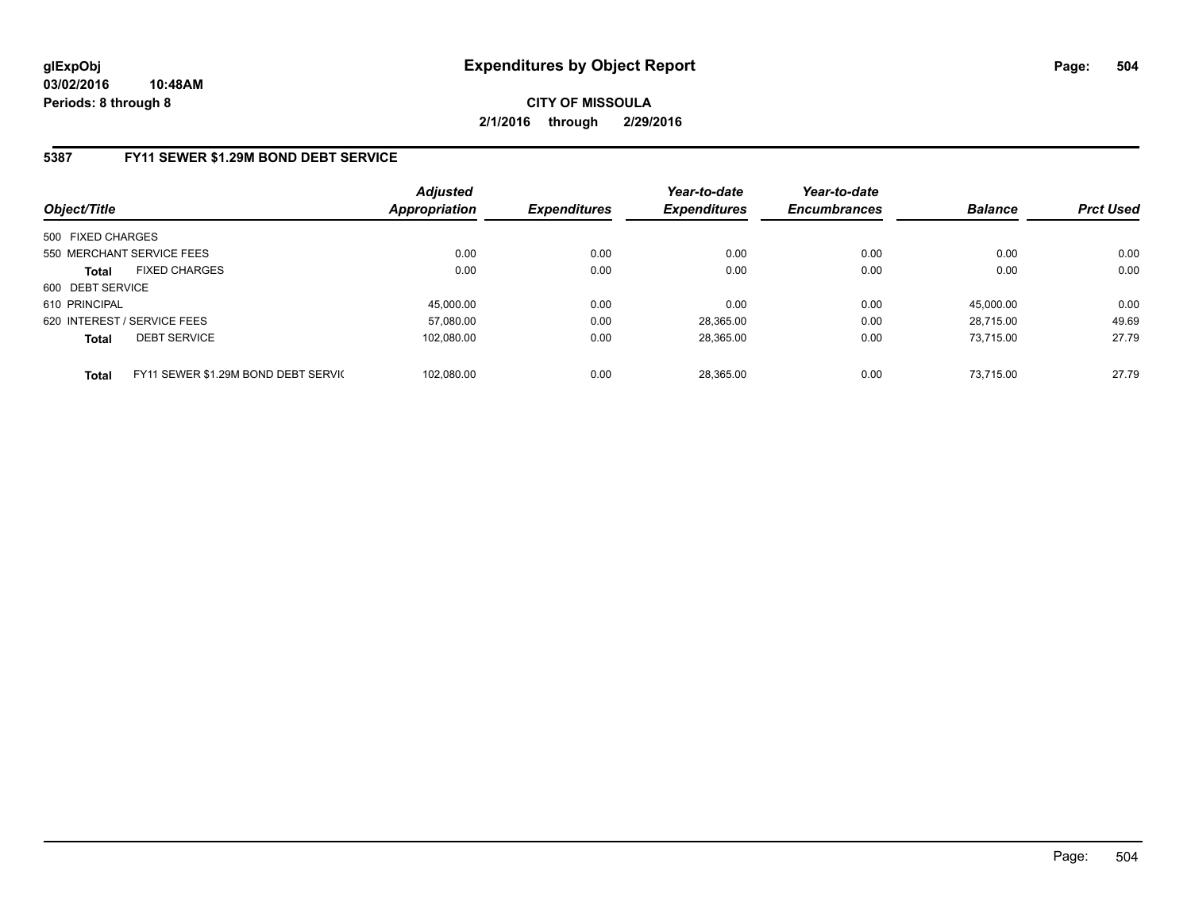#### **5387 FY11 SEWER \$1.29M BOND DEBT SERVICE**

| Object/Title      |                                     | Adjusted<br>Appropriation | <b>Expenditures</b> | Year-to-date<br><b>Expenditures</b> | Year-to-date<br><b>Encumbrances</b> | <b>Balance</b> | <b>Prct Used</b> |
|-------------------|-------------------------------------|---------------------------|---------------------|-------------------------------------|-------------------------------------|----------------|------------------|
| 500 FIXED CHARGES |                                     |                           |                     |                                     |                                     |                |                  |
|                   | 550 MERCHANT SERVICE FEES           | 0.00                      | 0.00                | 0.00                                | 0.00                                | 0.00           | 0.00             |
| <b>Total</b>      | <b>FIXED CHARGES</b>                | 0.00                      | 0.00                | 0.00                                | 0.00                                | 0.00           | 0.00             |
| 600 DEBT SERVICE  |                                     |                           |                     |                                     |                                     |                |                  |
| 610 PRINCIPAL     |                                     | 45.000.00                 | 0.00                | 0.00                                | 0.00                                | 45.000.00      | 0.00             |
|                   | 620 INTEREST / SERVICE FEES         | 57.080.00                 | 0.00                | 28.365.00                           | 0.00                                | 28.715.00      | 49.69            |
| <b>Total</b>      | <b>DEBT SERVICE</b>                 | 102.080.00                | 0.00                | 28.365.00                           | 0.00                                | 73.715.00      | 27.79            |
| <b>Total</b>      | FY11 SEWER \$1.29M BOND DEBT SERVIC | 102.080.00                | 0.00                | 28.365.00                           | 0.00                                | 73.715.00      | 27.79            |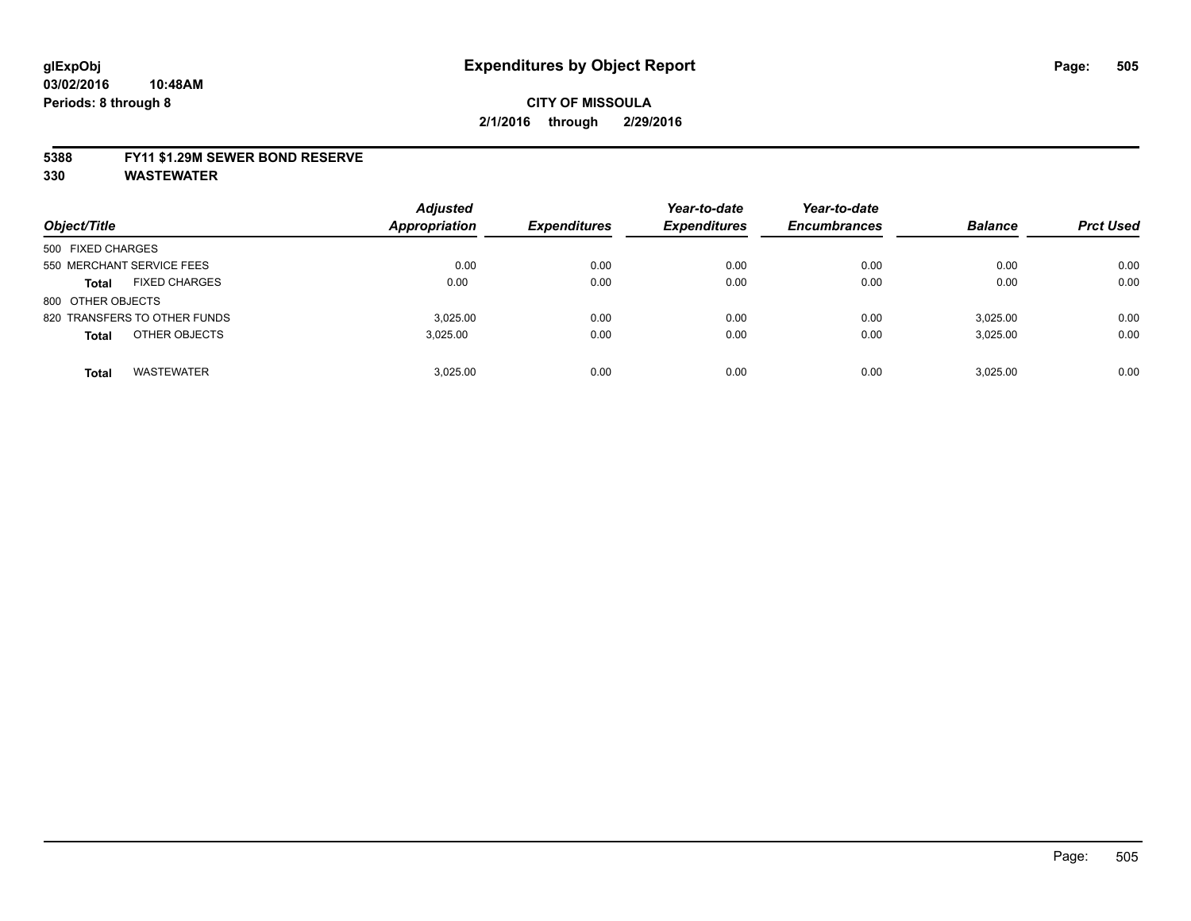### **5388 FY11 \$1.29M SEWER BOND RESERVE**

**330 WASTEWATER**

| Object/Title                         | <b>Adjusted</b><br><b>Appropriation</b> | <b>Expenditures</b> | Year-to-date<br><b>Expenditures</b> | Year-to-date<br><b>Encumbrances</b> | <b>Balance</b> | <b>Prct Used</b> |
|--------------------------------------|-----------------------------------------|---------------------|-------------------------------------|-------------------------------------|----------------|------------------|
| 500 FIXED CHARGES                    |                                         |                     |                                     |                                     |                |                  |
| 550 MERCHANT SERVICE FEES            | 0.00                                    | 0.00                | 0.00                                | 0.00                                | 0.00           | 0.00             |
| <b>FIXED CHARGES</b><br><b>Total</b> | 0.00                                    | 0.00                | 0.00                                | 0.00                                | 0.00           | 0.00             |
| 800 OTHER OBJECTS                    |                                         |                     |                                     |                                     |                |                  |
| 820 TRANSFERS TO OTHER FUNDS         | 3.025.00                                | 0.00                | 0.00                                | 0.00                                | 3,025.00       | 0.00             |
| OTHER OBJECTS<br><b>Total</b>        | 3,025.00                                | 0.00                | 0.00                                | 0.00                                | 3,025.00       | 0.00             |
| <b>WASTEWATER</b><br><b>Total</b>    | 3.025.00                                | 0.00                | 0.00                                | 0.00                                | 3.025.00       | 0.00             |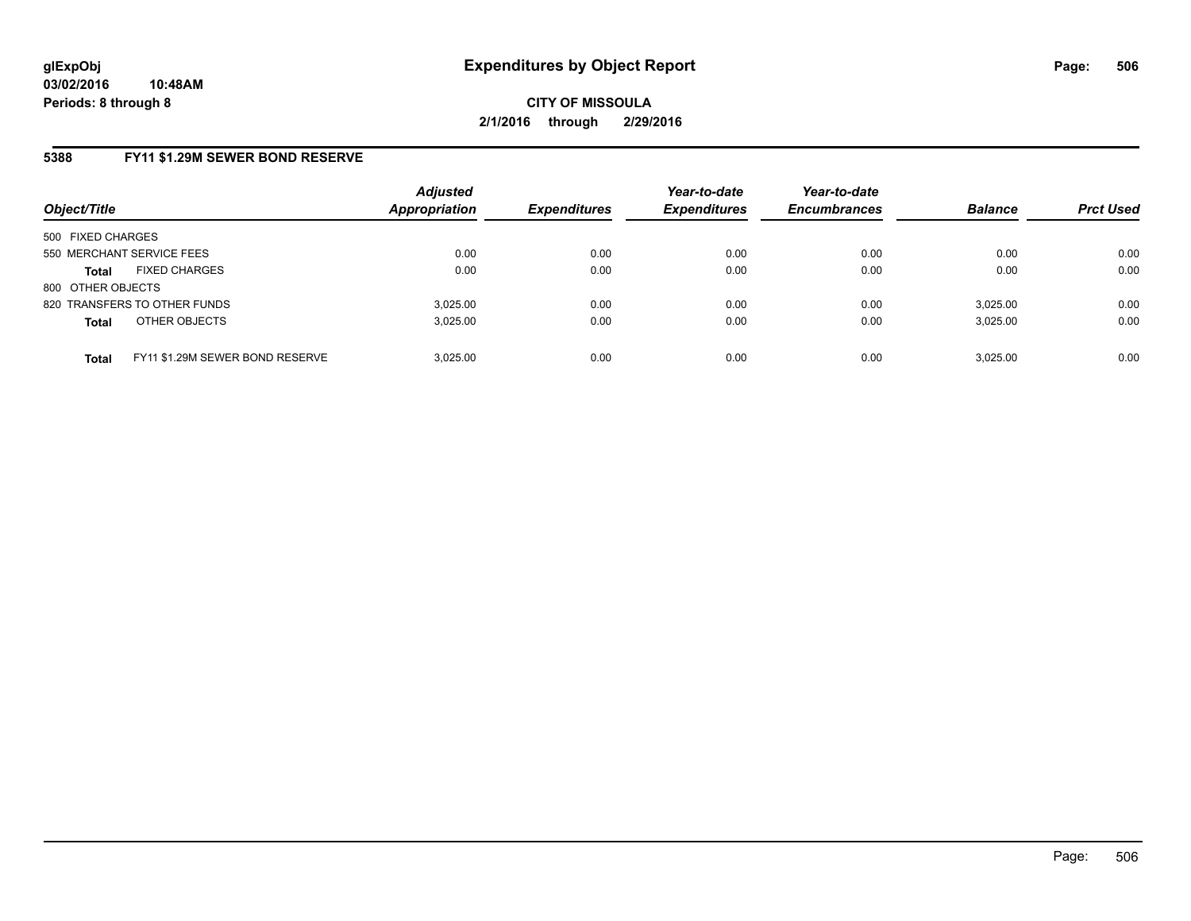# **5388 FY11 \$1.29M SEWER BOND RESERVE**

| Object/Title                                    | <b>Adjusted</b><br><b>Appropriation</b> | <b>Expenditures</b> | Year-to-date<br><b>Expenditures</b> | Year-to-date<br><b>Encumbrances</b> | <b>Balance</b> | <b>Prct Used</b> |
|-------------------------------------------------|-----------------------------------------|---------------------|-------------------------------------|-------------------------------------|----------------|------------------|
| 500 FIXED CHARGES                               |                                         |                     |                                     |                                     |                |                  |
| 550 MERCHANT SERVICE FEES                       | 0.00                                    | 0.00                | 0.00                                | 0.00                                | 0.00           | 0.00             |
| <b>FIXED CHARGES</b><br><b>Total</b>            | 0.00                                    | 0.00                | 0.00                                | 0.00                                | 0.00           | 0.00             |
| 800 OTHER OBJECTS                               |                                         |                     |                                     |                                     |                |                  |
| 820 TRANSFERS TO OTHER FUNDS                    | 3.025.00                                | 0.00                | 0.00                                | 0.00                                | 3,025.00       | 0.00             |
| OTHER OBJECTS<br><b>Total</b>                   | 3,025.00                                | 0.00                | 0.00                                | 0.00                                | 3,025.00       | 0.00             |
| FY11 \$1.29M SEWER BOND RESERVE<br><b>Total</b> | 3.025.00                                | 0.00                | 0.00                                | 0.00                                | 3,025.00       | 0.00             |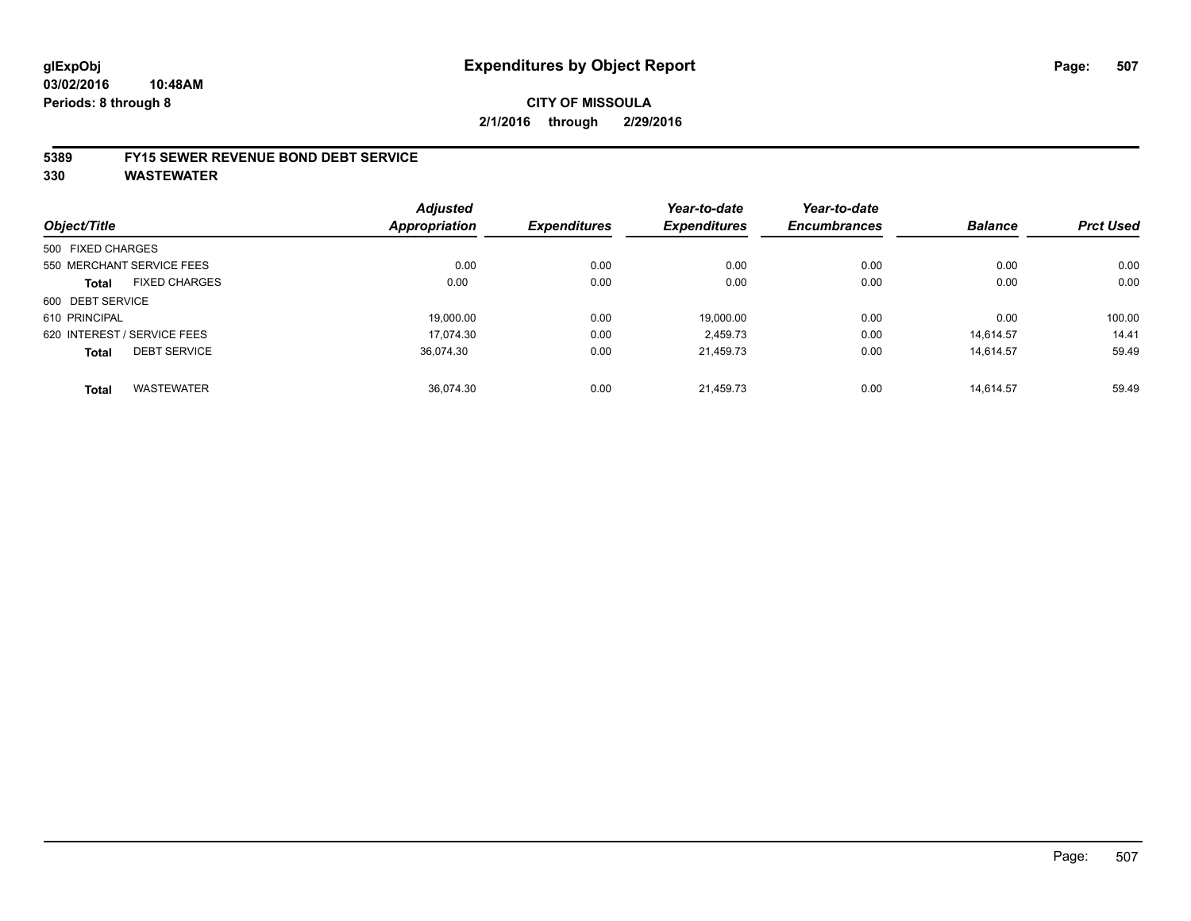# **CITY OF MISSOULA 2/1/2016 through 2/29/2016**

### **5389 FY15 SEWER REVENUE BOND DEBT SERVICE**

**330 WASTEWATER**

|                             |                      | <b>Adjusted</b>      |                     | Year-to-date        | Year-to-date        | <b>Balance</b> | <b>Prct Used</b> |
|-----------------------------|----------------------|----------------------|---------------------|---------------------|---------------------|----------------|------------------|
| Object/Title                |                      | <b>Appropriation</b> | <b>Expenditures</b> | <b>Expenditures</b> | <b>Encumbrances</b> |                |                  |
| 500 FIXED CHARGES           |                      |                      |                     |                     |                     |                |                  |
| 550 MERCHANT SERVICE FEES   |                      | 0.00                 | 0.00                | 0.00                | 0.00                | 0.00           | 0.00             |
| <b>Total</b>                | <b>FIXED CHARGES</b> | 0.00                 | 0.00                | 0.00                | 0.00                | 0.00           | 0.00             |
| 600 DEBT SERVICE            |                      |                      |                     |                     |                     |                |                  |
| 610 PRINCIPAL               |                      | 19.000.00            | 0.00                | 19.000.00           | 0.00                | 0.00           | 100.00           |
| 620 INTEREST / SERVICE FEES |                      | 17.074.30            | 0.00                | 2,459.73            | 0.00                | 14.614.57      | 14.41            |
| <b>Total</b>                | <b>DEBT SERVICE</b>  | 36,074.30            | 0.00                | 21,459.73           | 0.00                | 14.614.57      | 59.49            |
| <b>Total</b>                | <b>WASTEWATER</b>    | 36.074.30            | 0.00                | 21.459.73           | 0.00                | 14.614.57      | 59.49            |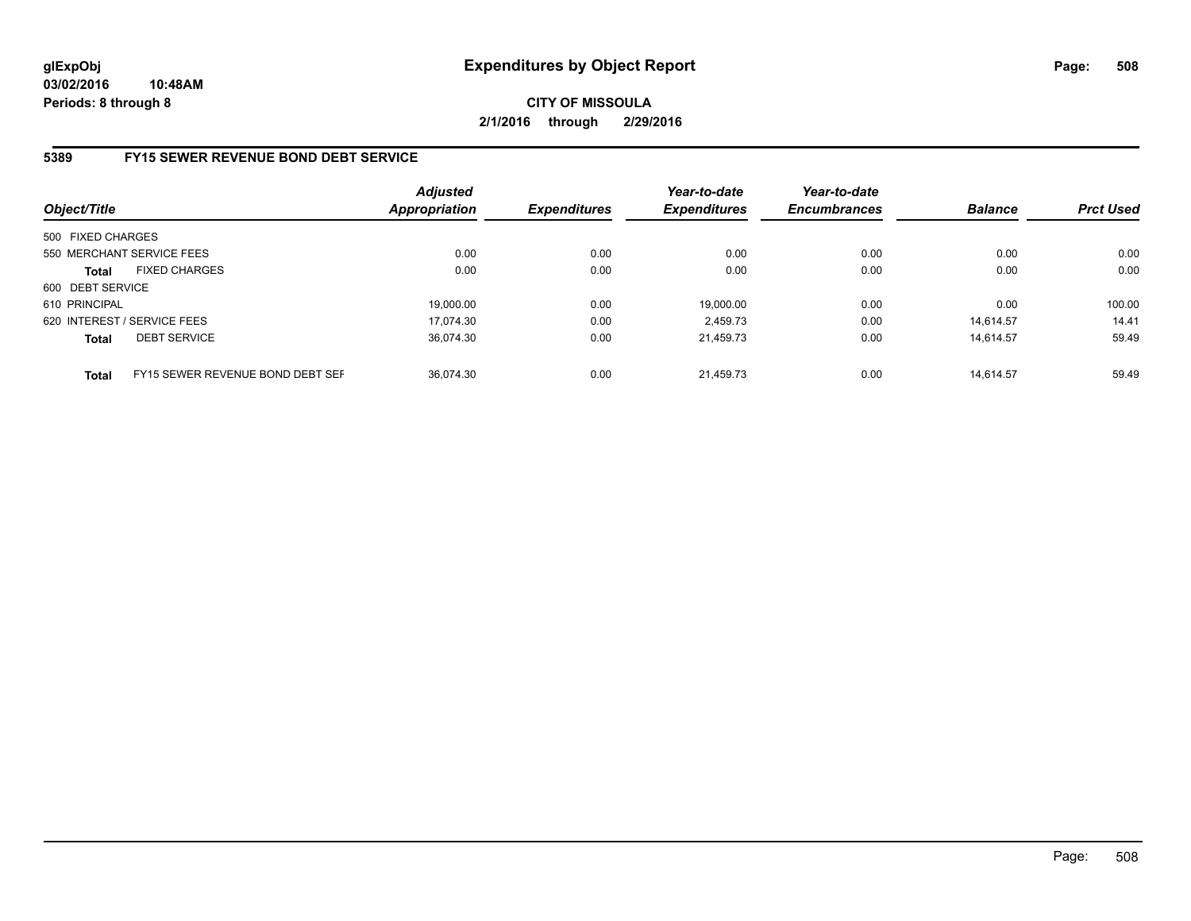# **CITY OF MISSOULA 2/1/2016 through 2/29/2016**

# **5389 FY15 SEWER REVENUE BOND DEBT SERVICE**

| Object/Title      |                                  | <b>Adjusted</b><br><b>Appropriation</b> | <b>Expenditures</b> | Year-to-date<br><b>Expenditures</b> | Year-to-date<br><b>Encumbrances</b> | <b>Balance</b> | <b>Prct Used</b> |
|-------------------|----------------------------------|-----------------------------------------|---------------------|-------------------------------------|-------------------------------------|----------------|------------------|
| 500 FIXED CHARGES |                                  |                                         |                     |                                     |                                     |                |                  |
|                   | 550 MERCHANT SERVICE FEES        | 0.00                                    | 0.00                | 0.00                                | 0.00                                | 0.00           | 0.00             |
| <b>Total</b>      | <b>FIXED CHARGES</b>             | 0.00                                    | 0.00                | 0.00                                | 0.00                                | 0.00           | 0.00             |
| 600 DEBT SERVICE  |                                  |                                         |                     |                                     |                                     |                |                  |
| 610 PRINCIPAL     |                                  | 19,000.00                               | 0.00                | 19.000.00                           | 0.00                                | 0.00           | 100.00           |
|                   | 620 INTEREST / SERVICE FEES      | 17.074.30                               | 0.00                | 2.459.73                            | 0.00                                | 14.614.57      | 14.41            |
| <b>Total</b>      | <b>DEBT SERVICE</b>              | 36.074.30                               | 0.00                | 21.459.73                           | 0.00                                | 14.614.57      | 59.49            |
| <b>Total</b>      | FY15 SEWER REVENUE BOND DEBT SEF | 36.074.30                               | 0.00                | 21.459.73                           | 0.00                                | 14.614.57      | 59.49            |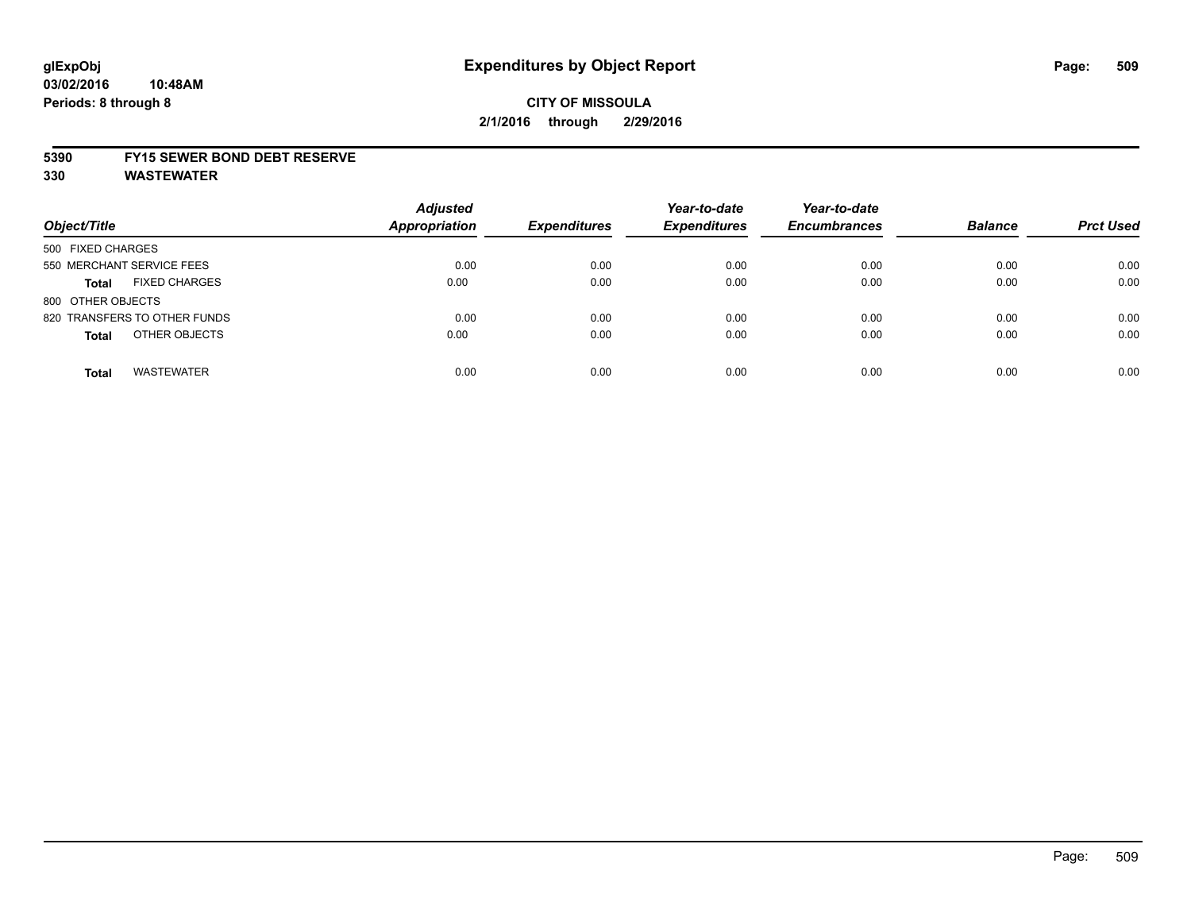### **5390 FY15 SEWER BOND DEBT RESERVE**

**330 WASTEWATER**

| Object/Title                         | <b>Adjusted</b><br><b>Appropriation</b> | <b>Expenditures</b> | Year-to-date<br><b>Expenditures</b> | Year-to-date<br><b>Encumbrances</b> | <b>Balance</b> | <b>Prct Used</b> |
|--------------------------------------|-----------------------------------------|---------------------|-------------------------------------|-------------------------------------|----------------|------------------|
| 500 FIXED CHARGES                    |                                         |                     |                                     |                                     |                |                  |
| 550 MERCHANT SERVICE FEES            | 0.00                                    | 0.00                | 0.00                                | 0.00                                | 0.00           | 0.00             |
| <b>FIXED CHARGES</b><br><b>Total</b> | 0.00                                    | 0.00                | 0.00                                | 0.00                                | 0.00           | 0.00             |
| 800 OTHER OBJECTS                    |                                         |                     |                                     |                                     |                |                  |
| 820 TRANSFERS TO OTHER FUNDS         | 0.00                                    | 0.00                | 0.00                                | 0.00                                | 0.00           | 0.00             |
| OTHER OBJECTS<br><b>Total</b>        | 0.00                                    | 0.00                | 0.00                                | 0.00                                | 0.00           | 0.00             |
| <b>WASTEWATER</b><br><b>Total</b>    | 0.00                                    | 0.00                | 0.00                                | 0.00                                | 0.00           | 0.00             |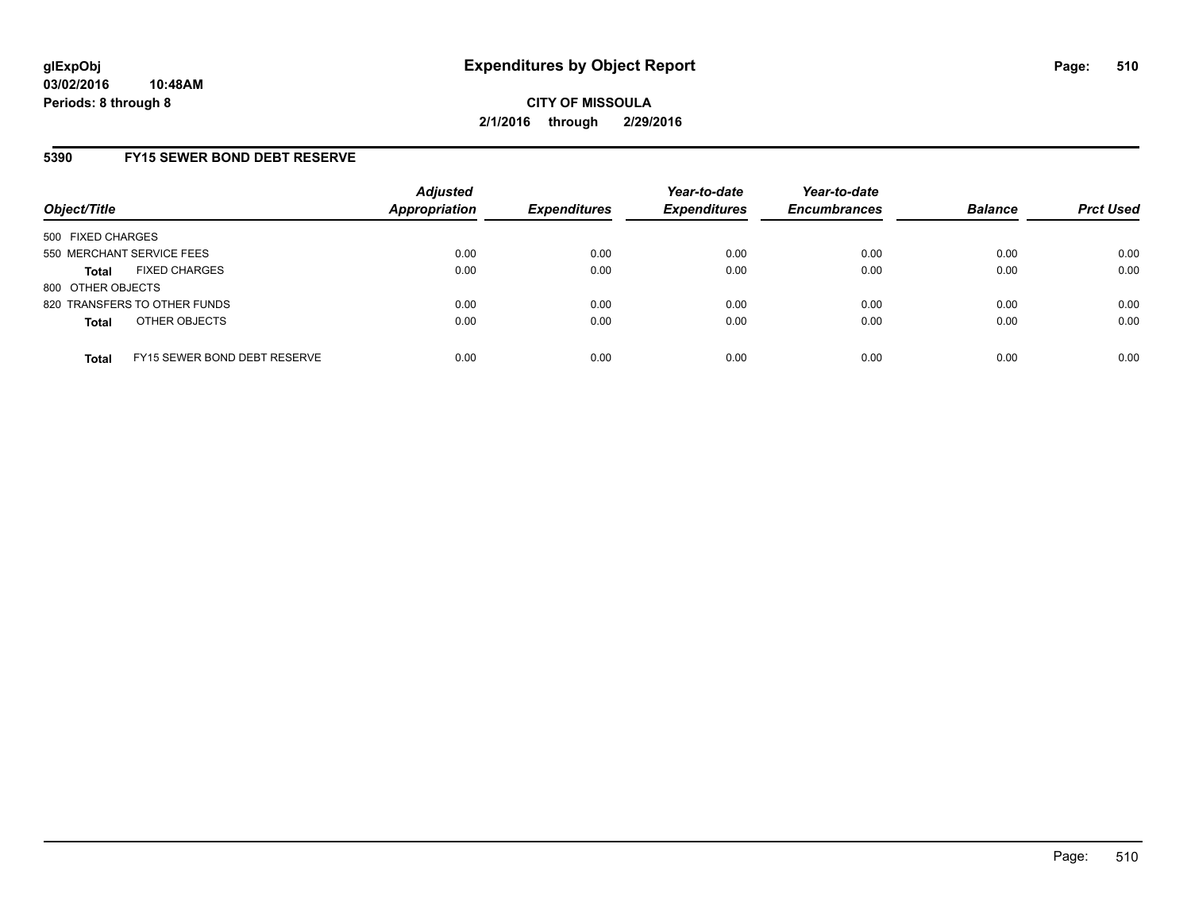## **5390 FY15 SEWER BOND DEBT RESERVE**

| Object/Title              |                              | <b>Adjusted</b><br><b>Appropriation</b> | <b>Expenditures</b> | Year-to-date<br><b>Expenditures</b> | Year-to-date<br><b>Encumbrances</b> | <b>Balance</b> | <b>Prct Used</b> |
|---------------------------|------------------------------|-----------------------------------------|---------------------|-------------------------------------|-------------------------------------|----------------|------------------|
| 500 FIXED CHARGES         |                              |                                         |                     |                                     |                                     |                |                  |
| 550 MERCHANT SERVICE FEES |                              | 0.00                                    | 0.00                | 0.00                                | 0.00                                | 0.00           | 0.00             |
| <b>Total</b>              | <b>FIXED CHARGES</b>         | 0.00                                    | 0.00                | 0.00                                | 0.00                                | 0.00           | 0.00             |
| 800 OTHER OBJECTS         |                              |                                         |                     |                                     |                                     |                |                  |
|                           | 820 TRANSFERS TO OTHER FUNDS | 0.00                                    | 0.00                | 0.00                                | 0.00                                | 0.00           | 0.00             |
| <b>Total</b>              | OTHER OBJECTS                | 0.00                                    | 0.00                | 0.00                                | 0.00                                | 0.00           | 0.00             |
| <b>Total</b>              | FY15 SEWER BOND DEBT RESERVE | 0.00                                    | 0.00                | 0.00                                | 0.00                                | 0.00           | 0.00             |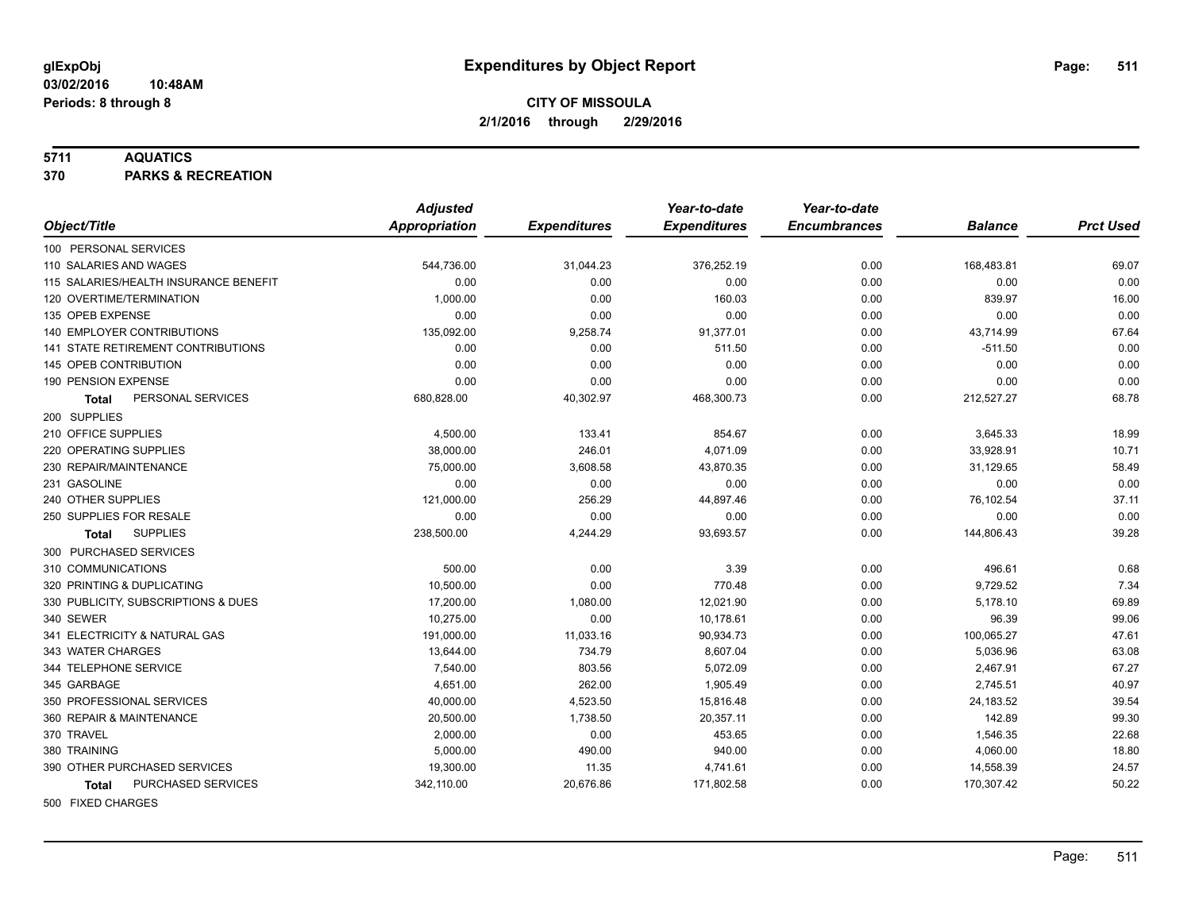### **5711 AQUATICS**

**370 PARKS & RECREATION**

|                                           | <b>Adjusted</b>      |                     | Year-to-date        | Year-to-date        |                |                  |
|-------------------------------------------|----------------------|---------------------|---------------------|---------------------|----------------|------------------|
| Object/Title                              | <b>Appropriation</b> | <b>Expenditures</b> | <b>Expenditures</b> | <b>Encumbrances</b> | <b>Balance</b> | <b>Prct Used</b> |
| 100 PERSONAL SERVICES                     |                      |                     |                     |                     |                |                  |
| 110 SALARIES AND WAGES                    | 544,736.00           | 31,044.23           | 376,252.19          | 0.00                | 168,483.81     | 69.07            |
| 115 SALARIES/HEALTH INSURANCE BENEFIT     | 0.00                 | 0.00                | 0.00                | 0.00                | 0.00           | 0.00             |
| 120 OVERTIME/TERMINATION                  | 1,000.00             | 0.00                | 160.03              | 0.00                | 839.97         | 16.00            |
| 135 OPEB EXPENSE                          | 0.00                 | 0.00                | 0.00                | 0.00                | 0.00           | 0.00             |
| 140 EMPLOYER CONTRIBUTIONS                | 135,092.00           | 9,258.74            | 91,377.01           | 0.00                | 43,714.99      | 67.64            |
| <b>141 STATE RETIREMENT CONTRIBUTIONS</b> | 0.00                 | 0.00                | 511.50              | 0.00                | $-511.50$      | 0.00             |
| 145 OPEB CONTRIBUTION                     | 0.00                 | 0.00                | 0.00                | 0.00                | 0.00           | 0.00             |
| 190 PENSION EXPENSE                       | 0.00                 | 0.00                | 0.00                | 0.00                | 0.00           | 0.00             |
| PERSONAL SERVICES<br>Total                | 680,828.00           | 40,302.97           | 468,300.73          | 0.00                | 212,527.27     | 68.78            |
| 200 SUPPLIES                              |                      |                     |                     |                     |                |                  |
| 210 OFFICE SUPPLIES                       | 4,500.00             | 133.41              | 854.67              | 0.00                | 3,645.33       | 18.99            |
| 220 OPERATING SUPPLIES                    | 38,000.00            | 246.01              | 4,071.09            | 0.00                | 33,928.91      | 10.71            |
| 230 REPAIR/MAINTENANCE                    | 75,000.00            | 3,608.58            | 43,870.35           | 0.00                | 31,129.65      | 58.49            |
| 231 GASOLINE                              | 0.00                 | 0.00                | 0.00                | 0.00                | 0.00           | 0.00             |
| 240 OTHER SUPPLIES                        | 121,000.00           | 256.29              | 44,897.46           | 0.00                | 76,102.54      | 37.11            |
| 250 SUPPLIES FOR RESALE                   | 0.00                 | 0.00                | 0.00                | 0.00                | 0.00           | 0.00             |
| <b>SUPPLIES</b><br>Total                  | 238,500.00           | 4,244.29            | 93,693.57           | 0.00                | 144,806.43     | 39.28            |
| 300 PURCHASED SERVICES                    |                      |                     |                     |                     |                |                  |
| 310 COMMUNICATIONS                        | 500.00               | 0.00                | 3.39                | 0.00                | 496.61         | 0.68             |
| 320 PRINTING & DUPLICATING                | 10,500.00            | 0.00                | 770.48              | 0.00                | 9,729.52       | 7.34             |
| 330 PUBLICITY, SUBSCRIPTIONS & DUES       | 17,200.00            | 1,080.00            | 12,021.90           | 0.00                | 5,178.10       | 69.89            |
| 340 SEWER                                 | 10,275.00            | 0.00                | 10,178.61           | 0.00                | 96.39          | 99.06            |
| 341 ELECTRICITY & NATURAL GAS             | 191,000.00           | 11,033.16           | 90,934.73           | 0.00                | 100,065.27     | 47.61            |
| 343 WATER CHARGES                         | 13,644.00            | 734.79              | 8,607.04            | 0.00                | 5,036.96       | 63.08            |
| 344 TELEPHONE SERVICE                     | 7,540.00             | 803.56              | 5,072.09            | 0.00                | 2,467.91       | 67.27            |
| 345 GARBAGE                               | 4,651.00             | 262.00              | 1,905.49            | 0.00                | 2,745.51       | 40.97            |
| 350 PROFESSIONAL SERVICES                 | 40,000.00            | 4,523.50            | 15,816.48           | 0.00                | 24,183.52      | 39.54            |
| 360 REPAIR & MAINTENANCE                  | 20,500.00            | 1,738.50            | 20,357.11           | 0.00                | 142.89         | 99.30            |
| 370 TRAVEL                                | 2,000.00             | 0.00                | 453.65              | 0.00                | 1,546.35       | 22.68            |
| 380 TRAINING                              | 5,000.00             | 490.00              | 940.00              | 0.00                | 4,060.00       | 18.80            |
| 390 OTHER PURCHASED SERVICES              | 19,300.00            | 11.35               | 4,741.61            | 0.00                | 14,558.39      | 24.57            |
| PURCHASED SERVICES<br><b>Total</b>        | 342,110.00           | 20,676.86           | 171,802.58          | 0.00                | 170,307.42     | 50.22            |
| 500 FIXED CHARGES                         |                      |                     |                     |                     |                |                  |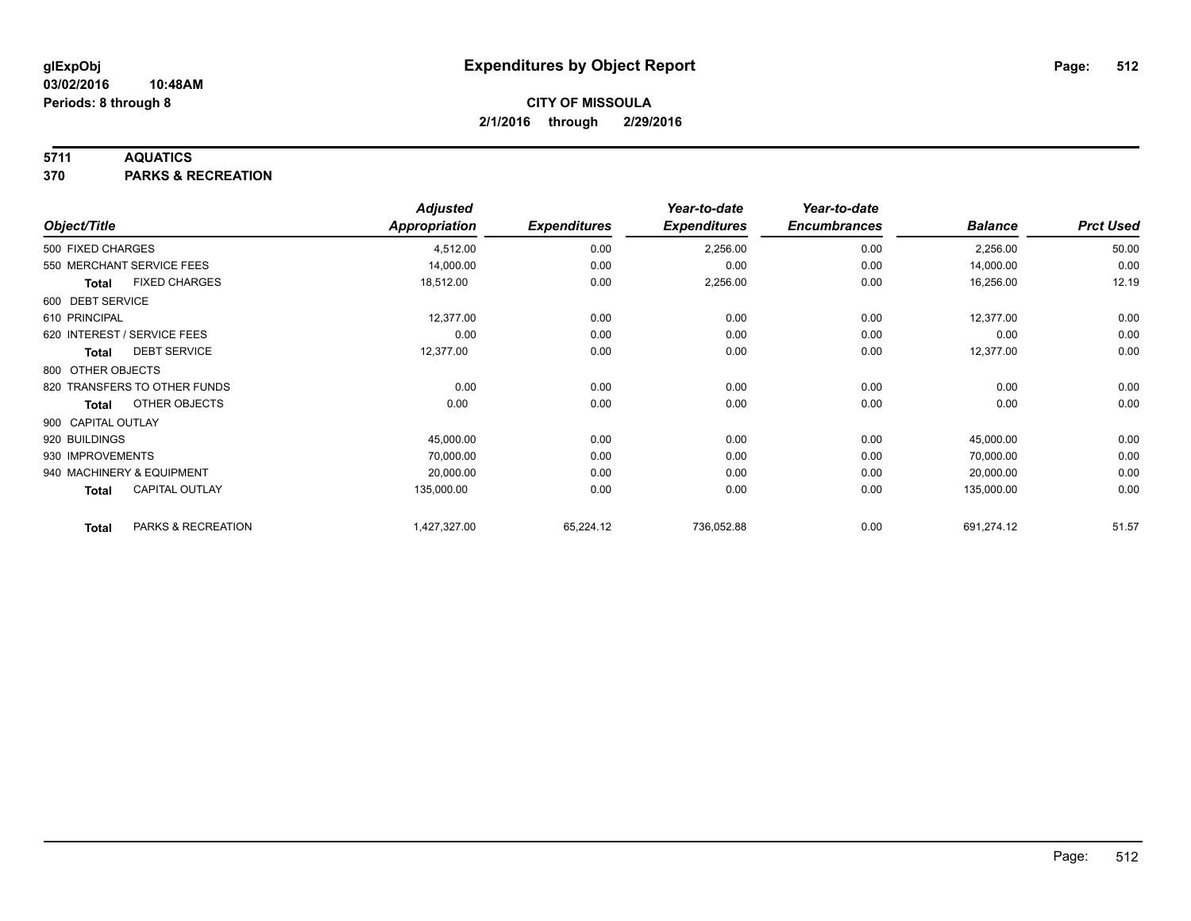### **5711 AQUATICS**

**370 PARKS & RECREATION**

|                    |                              | <b>Adjusted</b>     |                     | Year-to-date        | Year-to-date   |                  |       |
|--------------------|------------------------------|---------------------|---------------------|---------------------|----------------|------------------|-------|
| Object/Title       | Appropriation                | <b>Expenditures</b> | <b>Expenditures</b> | <b>Encumbrances</b> | <b>Balance</b> | <b>Prct Used</b> |       |
| 500 FIXED CHARGES  |                              | 4,512.00            | 0.00                | 2,256.00            | 0.00           | 2,256.00         | 50.00 |
|                    | 550 MERCHANT SERVICE FEES    | 14,000.00           | 0.00                | 0.00                | 0.00           | 14,000.00        | 0.00  |
| <b>Total</b>       | <b>FIXED CHARGES</b>         | 18,512.00           | 0.00                | 2,256.00            | 0.00           | 16,256.00        | 12.19 |
| 600 DEBT SERVICE   |                              |                     |                     |                     |                |                  |       |
| 610 PRINCIPAL      |                              | 12,377.00           | 0.00                | 0.00                | 0.00           | 12,377.00        | 0.00  |
|                    | 620 INTEREST / SERVICE FEES  | 0.00                | 0.00                | 0.00                | 0.00           | 0.00             | 0.00  |
| Total              | <b>DEBT SERVICE</b>          | 12,377.00           | 0.00                | 0.00                | 0.00           | 12,377.00        | 0.00  |
| 800 OTHER OBJECTS  |                              |                     |                     |                     |                |                  |       |
|                    | 820 TRANSFERS TO OTHER FUNDS | 0.00                | 0.00                | 0.00                | 0.00           | 0.00             | 0.00  |
| Total              | OTHER OBJECTS                | 0.00                | 0.00                | 0.00                | 0.00           | 0.00             | 0.00  |
| 900 CAPITAL OUTLAY |                              |                     |                     |                     |                |                  |       |
| 920 BUILDINGS      |                              | 45,000.00           | 0.00                | 0.00                | 0.00           | 45,000.00        | 0.00  |
| 930 IMPROVEMENTS   |                              | 70,000.00           | 0.00                | 0.00                | 0.00           | 70,000.00        | 0.00  |
|                    | 940 MACHINERY & EQUIPMENT    | 20,000.00           | 0.00                | 0.00                | 0.00           | 20,000.00        | 0.00  |
| <b>Total</b>       | <b>CAPITAL OUTLAY</b>        | 135,000.00          | 0.00                | 0.00                | 0.00           | 135,000.00       | 0.00  |
| <b>Total</b>       | PARKS & RECREATION           | 1,427,327.00        | 65,224.12           | 736,052.88          | 0.00           | 691,274.12       | 51.57 |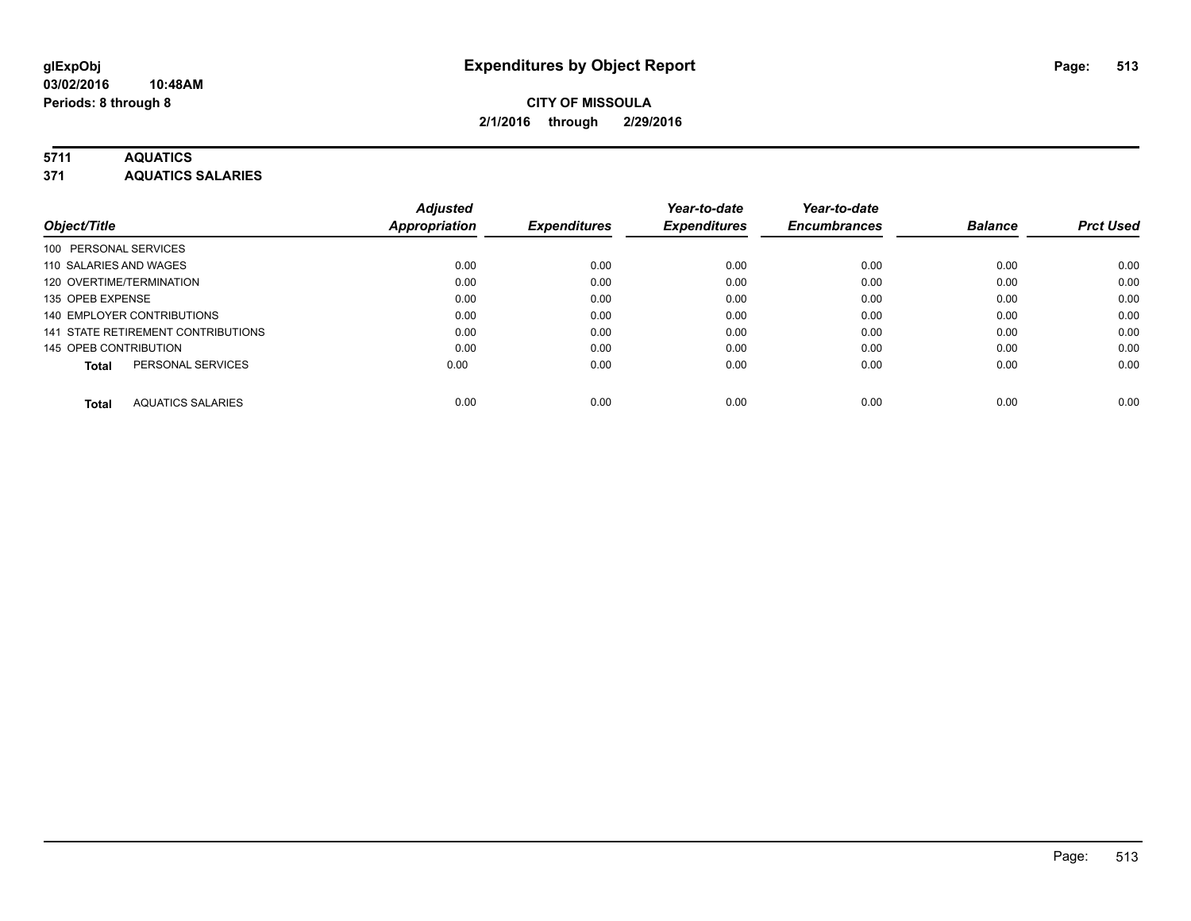### **5711 AQUATICS**

**371 AQUATICS SALARIES**

|                                          | <b>Adjusted</b>      |                     | Year-to-date        | Year-to-date        |                |                  |
|------------------------------------------|----------------------|---------------------|---------------------|---------------------|----------------|------------------|
| Object/Title                             | <b>Appropriation</b> | <b>Expenditures</b> | <b>Expenditures</b> | <b>Encumbrances</b> | <b>Balance</b> | <b>Prct Used</b> |
| 100 PERSONAL SERVICES                    |                      |                     |                     |                     |                |                  |
| 110 SALARIES AND WAGES                   | 0.00                 | 0.00                | 0.00                | 0.00                | 0.00           | 0.00             |
| 120 OVERTIME/TERMINATION                 | 0.00                 | 0.00                | 0.00                | 0.00                | 0.00           | 0.00             |
| 135 OPEB EXPENSE                         | 0.00                 | 0.00                | 0.00                | 0.00                | 0.00           | 0.00             |
| 140 EMPLOYER CONTRIBUTIONS               | 0.00                 | 0.00                | 0.00                | 0.00                | 0.00           | 0.00             |
| 141 STATE RETIREMENT CONTRIBUTIONS       | 0.00                 | 0.00                | 0.00                | 0.00                | 0.00           | 0.00             |
| 145 OPEB CONTRIBUTION                    | 0.00                 | 0.00                | 0.00                | 0.00                | 0.00           | 0.00             |
| PERSONAL SERVICES<br><b>Total</b>        | 0.00                 | 0.00                | 0.00                | 0.00                | 0.00           | 0.00             |
| <b>AQUATICS SALARIES</b><br><b>Total</b> | 0.00                 | 0.00                | 0.00                | 0.00                | 0.00           | 0.00             |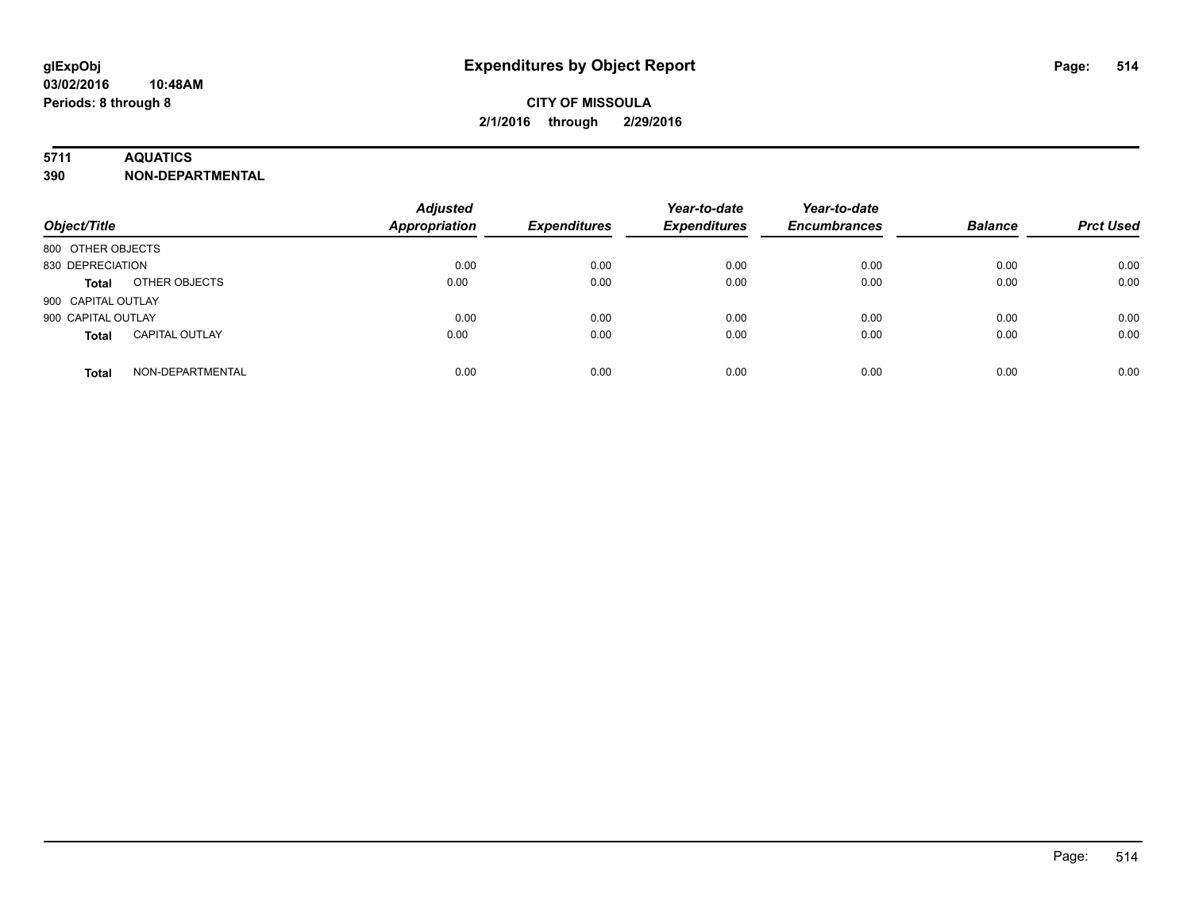### **5711 AQUATICS**

**390 NON-DEPARTMENTAL**

| Object/Title                          | <b>Adjusted</b><br><b>Appropriation</b> | <b>Expenditures</b> | Year-to-date<br><b>Expenditures</b> | Year-to-date<br><b>Encumbrances</b> | <b>Balance</b> | <b>Prct Used</b> |
|---------------------------------------|-----------------------------------------|---------------------|-------------------------------------|-------------------------------------|----------------|------------------|
| 800 OTHER OBJECTS                     |                                         |                     |                                     |                                     |                |                  |
| 830 DEPRECIATION                      | 0.00                                    | 0.00                | 0.00                                | 0.00                                | 0.00           | 0.00             |
| OTHER OBJECTS<br><b>Total</b>         | 0.00                                    | 0.00                | 0.00                                | 0.00                                | 0.00           | 0.00             |
| 900 CAPITAL OUTLAY                    |                                         |                     |                                     |                                     |                |                  |
| 900 CAPITAL OUTLAY                    | 0.00                                    | 0.00                | 0.00                                | 0.00                                | 0.00           | 0.00             |
| <b>CAPITAL OUTLAY</b><br><b>Total</b> | 0.00                                    | 0.00                | 0.00                                | 0.00                                | 0.00           | 0.00             |
| NON-DEPARTMENTAL<br><b>Total</b>      | 0.00                                    | 0.00                | 0.00                                | 0.00                                | 0.00           | 0.00             |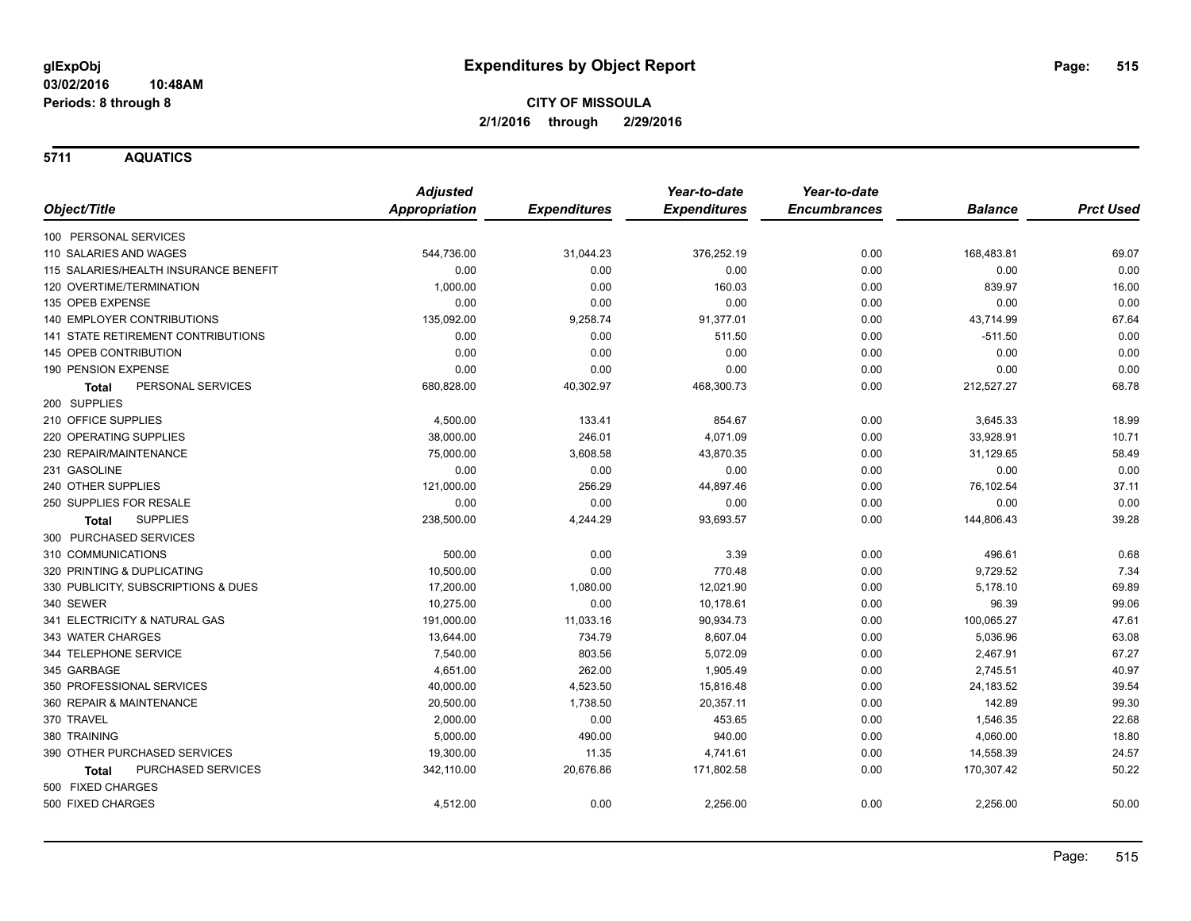**5711 AQUATICS**

| Object/Title<br><b>Appropriation</b><br><b>Expenditures</b><br><b>Expenditures</b><br><b>Encumbrances</b><br><b>Balance</b><br>100 PERSONAL SERVICES<br>110 SALARIES AND WAGES<br>544,736.00<br>31,044.23<br>376,252.19<br>0.00<br>168,483.81<br>115 SALARIES/HEALTH INSURANCE BENEFIT<br>0.00<br>0.00<br>0.00<br>0.00<br>0.00<br>120 OVERTIME/TERMINATION<br>0.00<br>839.97<br>1,000.00<br>160.03<br>0.00<br>0.00<br>0.00<br>135 OPEB EXPENSE<br>0.00<br>0.00<br>0.00 | <b>Prct Used</b><br>69.07<br>0.00<br>16.00<br>0.00<br>67.64<br>0.00<br>0.00<br>0.00<br>68.78 |
|------------------------------------------------------------------------------------------------------------------------------------------------------------------------------------------------------------------------------------------------------------------------------------------------------------------------------------------------------------------------------------------------------------------------------------------------------------------------|----------------------------------------------------------------------------------------------|
|                                                                                                                                                                                                                                                                                                                                                                                                                                                                        |                                                                                              |
|                                                                                                                                                                                                                                                                                                                                                                                                                                                                        |                                                                                              |
|                                                                                                                                                                                                                                                                                                                                                                                                                                                                        |                                                                                              |
|                                                                                                                                                                                                                                                                                                                                                                                                                                                                        |                                                                                              |
|                                                                                                                                                                                                                                                                                                                                                                                                                                                                        |                                                                                              |
|                                                                                                                                                                                                                                                                                                                                                                                                                                                                        |                                                                                              |
| 140 EMPLOYER CONTRIBUTIONS<br>135,092.00<br>9,258.74<br>91,377.01<br>0.00<br>43,714.99                                                                                                                                                                                                                                                                                                                                                                                 |                                                                                              |
| <b>141 STATE RETIREMENT CONTRIBUTIONS</b><br>0.00<br>0.00<br>511.50<br>0.00<br>$-511.50$                                                                                                                                                                                                                                                                                                                                                                               |                                                                                              |
| 145 OPEB CONTRIBUTION<br>0.00<br>0.00<br>0.00<br>0.00<br>0.00                                                                                                                                                                                                                                                                                                                                                                                                          |                                                                                              |
| 190 PENSION EXPENSE<br>0.00<br>0.00<br>0.00<br>0.00<br>0.00                                                                                                                                                                                                                                                                                                                                                                                                            |                                                                                              |
| PERSONAL SERVICES<br>680,828.00<br>40,302.97<br>0.00<br>212,527.27<br>468,300.73<br><b>Total</b>                                                                                                                                                                                                                                                                                                                                                                       |                                                                                              |
| 200 SUPPLIES                                                                                                                                                                                                                                                                                                                                                                                                                                                           |                                                                                              |
| 210 OFFICE SUPPLIES<br>4,500.00<br>133.41<br>854.67<br>0.00<br>3,645.33                                                                                                                                                                                                                                                                                                                                                                                                | 18.99                                                                                        |
| 38,000.00<br>246.01<br>33,928.91<br>220 OPERATING SUPPLIES<br>4,071.09<br>0.00                                                                                                                                                                                                                                                                                                                                                                                         | 10.71                                                                                        |
| 230 REPAIR/MAINTENANCE<br>75,000.00<br>3,608.58<br>43,870.35<br>0.00<br>31,129.65                                                                                                                                                                                                                                                                                                                                                                                      | 58.49                                                                                        |
| 231 GASOLINE<br>0.00<br>0.00<br>0.00<br>0.00<br>0.00                                                                                                                                                                                                                                                                                                                                                                                                                   | 0.00                                                                                         |
| 240 OTHER SUPPLIES<br>121,000.00<br>256.29<br>76,102.54<br>44,897.46<br>0.00                                                                                                                                                                                                                                                                                                                                                                                           | 37.11                                                                                        |
| 250 SUPPLIES FOR RESALE<br>0.00<br>0.00<br>0.00<br>0.00<br>0.00                                                                                                                                                                                                                                                                                                                                                                                                        | 0.00                                                                                         |
| <b>SUPPLIES</b><br>238,500.00<br>4,244.29<br>93,693.57<br>0.00<br>144,806.43<br><b>Total</b>                                                                                                                                                                                                                                                                                                                                                                           | 39.28                                                                                        |
| 300 PURCHASED SERVICES                                                                                                                                                                                                                                                                                                                                                                                                                                                 |                                                                                              |
| 310 COMMUNICATIONS<br>500.00<br>0.00<br>3.39<br>0.00<br>496.61                                                                                                                                                                                                                                                                                                                                                                                                         | 0.68                                                                                         |
| 320 PRINTING & DUPLICATING<br>10,500.00<br>0.00<br>770.48<br>0.00<br>9,729.52                                                                                                                                                                                                                                                                                                                                                                                          | 7.34                                                                                         |
| 330 PUBLICITY, SUBSCRIPTIONS & DUES<br>17,200.00<br>1,080.00<br>12,021.90<br>0.00<br>5,178.10                                                                                                                                                                                                                                                                                                                                                                          | 69.89                                                                                        |
| 340 SEWER<br>10,275.00<br>0.00<br>10,178.61<br>96.39<br>0.00                                                                                                                                                                                                                                                                                                                                                                                                           | 99.06                                                                                        |
| 191,000.00<br>341 ELECTRICITY & NATURAL GAS<br>11,033.16<br>90,934.73<br>0.00<br>100,065.27                                                                                                                                                                                                                                                                                                                                                                            | 47.61                                                                                        |
| 734.79<br>343 WATER CHARGES<br>13,644.00<br>8,607.04<br>0.00<br>5,036.96                                                                                                                                                                                                                                                                                                                                                                                               | 63.08                                                                                        |
| 344 TELEPHONE SERVICE<br>7,540.00<br>803.56<br>2,467.91<br>5,072.09<br>0.00                                                                                                                                                                                                                                                                                                                                                                                            | 67.27                                                                                        |
| 262.00<br>345 GARBAGE<br>4,651.00<br>1,905.49<br>2,745.51<br>0.00                                                                                                                                                                                                                                                                                                                                                                                                      | 40.97                                                                                        |
| 350 PROFESSIONAL SERVICES<br>40,000.00<br>4,523.50<br>15,816.48<br>0.00<br>24,183.52                                                                                                                                                                                                                                                                                                                                                                                   | 39.54                                                                                        |
| 360 REPAIR & MAINTENANCE<br>20,500.00<br>1,738.50<br>20,357.11<br>0.00<br>142.89                                                                                                                                                                                                                                                                                                                                                                                       | 99.30                                                                                        |
| 370 TRAVEL<br>2,000.00<br>0.00<br>453.65<br>0.00<br>1,546.35                                                                                                                                                                                                                                                                                                                                                                                                           | 22.68                                                                                        |
| 5,000.00<br>490.00<br>380 TRAINING<br>940.00<br>0.00<br>4,060.00                                                                                                                                                                                                                                                                                                                                                                                                       | 18.80                                                                                        |
| 390 OTHER PURCHASED SERVICES<br>19,300.00<br>11.35<br>4,741.61<br>0.00<br>14,558.39                                                                                                                                                                                                                                                                                                                                                                                    | 24.57                                                                                        |
| <b>PURCHASED SERVICES</b><br>20,676.86<br>0.00<br>170,307.42<br>342,110.00<br>171,802.58<br><b>Total</b>                                                                                                                                                                                                                                                                                                                                                               | 50.22                                                                                        |
| 500 FIXED CHARGES                                                                                                                                                                                                                                                                                                                                                                                                                                                      |                                                                                              |
| 500 FIXED CHARGES<br>4,512.00<br>0.00<br>0.00<br>2,256.00<br>2,256.00                                                                                                                                                                                                                                                                                                                                                                                                  | 50.00                                                                                        |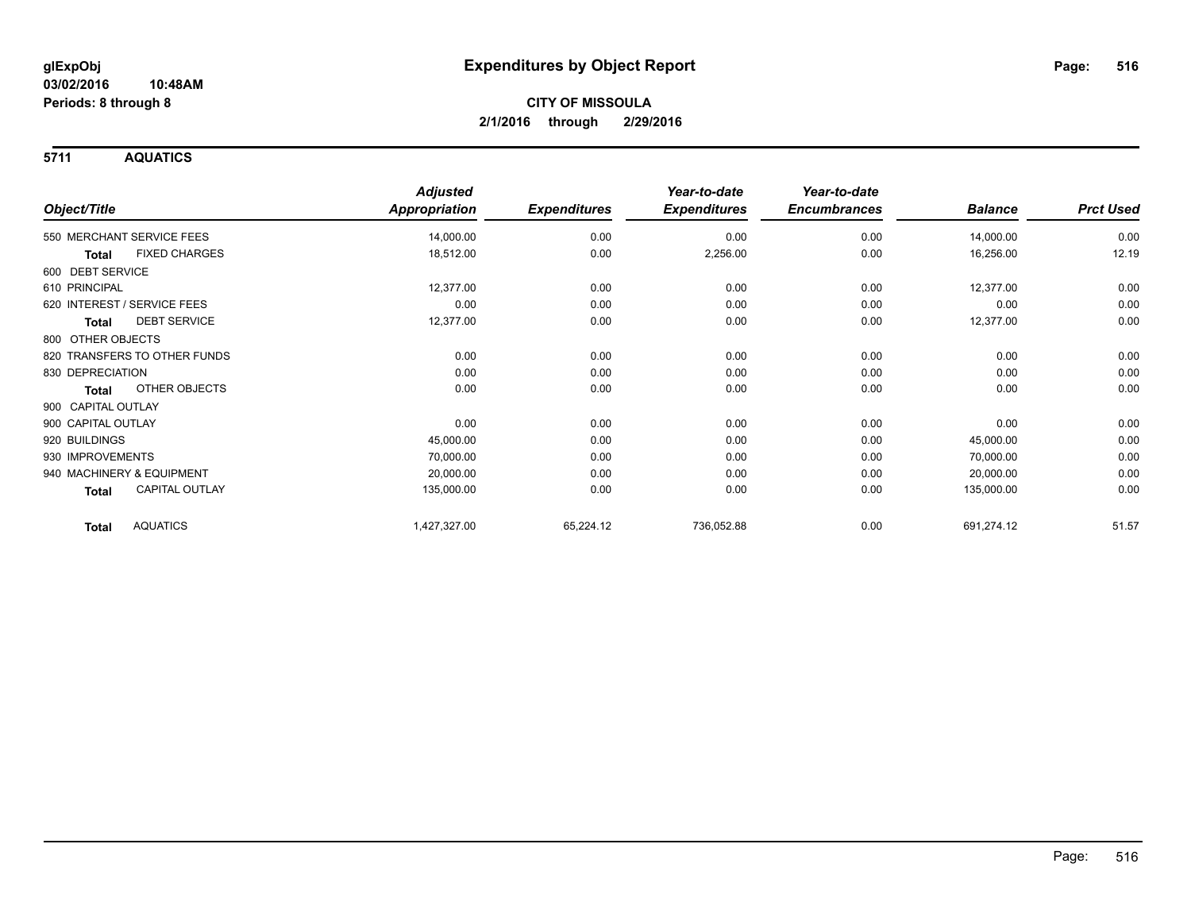**5711 AQUATICS**

|                                 | <b>Adjusted</b><br><b>Appropriation</b><br><b>Expenditures</b> | Year-to-date | Year-to-date        |                     |                |                  |
|---------------------------------|----------------------------------------------------------------|--------------|---------------------|---------------------|----------------|------------------|
| Object/Title                    |                                                                |              | <b>Expenditures</b> | <b>Encumbrances</b> | <b>Balance</b> | <b>Prct Used</b> |
| 550 MERCHANT SERVICE FEES       | 14,000.00                                                      | 0.00         | 0.00                | 0.00                | 14,000.00      | 0.00             |
| <b>FIXED CHARGES</b><br>Total   | 18,512.00                                                      | 0.00         | 2,256.00            | 0.00                | 16,256.00      | 12.19            |
| 600 DEBT SERVICE                |                                                                |              |                     |                     |                |                  |
| 610 PRINCIPAL                   | 12,377.00                                                      | 0.00         | 0.00                | 0.00                | 12,377.00      | 0.00             |
| 620 INTEREST / SERVICE FEES     | 0.00                                                           | 0.00         | 0.00                | 0.00                | 0.00           | 0.00             |
| <b>DEBT SERVICE</b><br>Total    | 12,377.00                                                      | 0.00         | 0.00                | 0.00                | 12,377.00      | 0.00             |
| 800 OTHER OBJECTS               |                                                                |              |                     |                     |                |                  |
| 820 TRANSFERS TO OTHER FUNDS    | 0.00                                                           | 0.00         | 0.00                | 0.00                | 0.00           | 0.00             |
| 830 DEPRECIATION                | 0.00                                                           | 0.00         | 0.00                | 0.00                | 0.00           | 0.00             |
| OTHER OBJECTS<br>Total          | 0.00                                                           | 0.00         | 0.00                | 0.00                | 0.00           | 0.00             |
| 900 CAPITAL OUTLAY              |                                                                |              |                     |                     |                |                  |
| 900 CAPITAL OUTLAY              | 0.00                                                           | 0.00         | 0.00                | 0.00                | 0.00           | 0.00             |
| 920 BUILDINGS                   | 45,000.00                                                      | 0.00         | 0.00                | 0.00                | 45,000.00      | 0.00             |
| 930 IMPROVEMENTS                | 70,000.00                                                      | 0.00         | 0.00                | 0.00                | 70,000.00      | 0.00             |
| 940 MACHINERY & EQUIPMENT       | 20,000.00                                                      | 0.00         | 0.00                | 0.00                | 20,000.00      | 0.00             |
| <b>CAPITAL OUTLAY</b><br>Total  | 135,000.00                                                     | 0.00         | 0.00                | 0.00                | 135,000.00     | 0.00             |
| <b>AQUATICS</b><br><b>Total</b> | 1,427,327.00                                                   | 65,224.12    | 736,052.88          | 0.00                | 691,274.12     | 51.57            |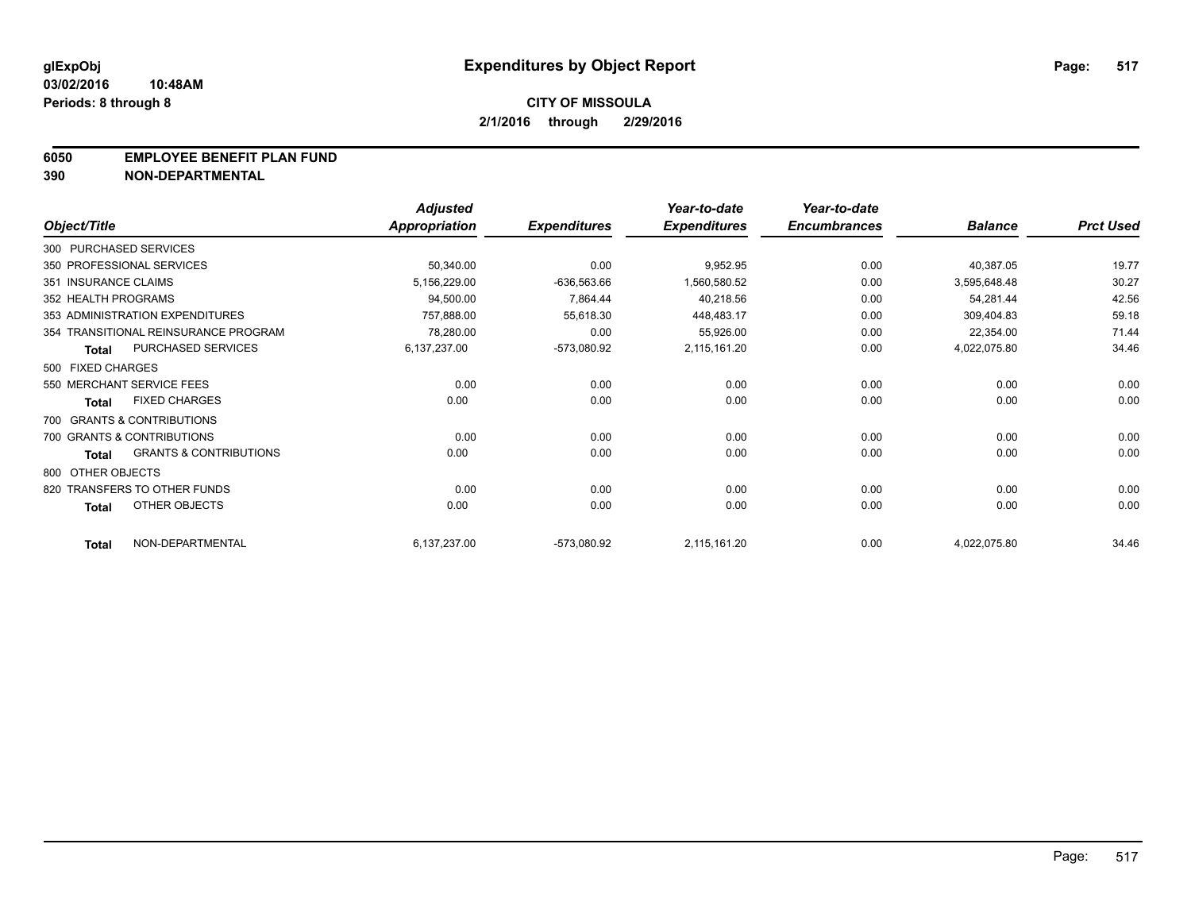### **6050 EMPLOYEE BENEFIT PLAN FUND**

**390 NON-DEPARTMENTAL**

|                      |                                      | <b>Adjusted</b> |                     | Year-to-date        | Year-to-date        |                |                  |
|----------------------|--------------------------------------|-----------------|---------------------|---------------------|---------------------|----------------|------------------|
| Object/Title         |                                      | Appropriation   | <b>Expenditures</b> | <b>Expenditures</b> | <b>Encumbrances</b> | <b>Balance</b> | <b>Prct Used</b> |
|                      | 300 PURCHASED SERVICES               |                 |                     |                     |                     |                |                  |
|                      | 350 PROFESSIONAL SERVICES            | 50,340.00       | 0.00                | 9,952.95            | 0.00                | 40,387.05      | 19.77            |
| 351 INSURANCE CLAIMS |                                      | 5,156,229.00    | $-636,563.66$       | 1,560,580.52        | 0.00                | 3,595,648.48   | 30.27            |
| 352 HEALTH PROGRAMS  |                                      | 94,500.00       | 7,864.44            | 40,218.56           | 0.00                | 54,281.44      | 42.56            |
|                      | 353 ADMINISTRATION EXPENDITURES      | 757,888.00      | 55,618.30           | 448,483.17          | 0.00                | 309,404.83     | 59.18            |
|                      | 354 TRANSITIONAL REINSURANCE PROGRAM | 78,280.00       | 0.00                | 55,926.00           | 0.00                | 22,354.00      | 71.44            |
| <b>Total</b>         | <b>PURCHASED SERVICES</b>            | 6,137,237.00    | -573,080.92         | 2,115,161.20        | 0.00                | 4,022,075.80   | 34.46            |
| 500 FIXED CHARGES    |                                      |                 |                     |                     |                     |                |                  |
|                      | 550 MERCHANT SERVICE FEES            | 0.00            | 0.00                | 0.00                | 0.00                | 0.00           | 0.00             |
| <b>Total</b>         | <b>FIXED CHARGES</b>                 | 0.00            | 0.00                | 0.00                | 0.00                | 0.00           | 0.00             |
|                      | 700 GRANTS & CONTRIBUTIONS           |                 |                     |                     |                     |                |                  |
|                      | 700 GRANTS & CONTRIBUTIONS           | 0.00            | 0.00                | 0.00                | 0.00                | 0.00           | 0.00             |
| <b>Total</b>         | <b>GRANTS &amp; CONTRIBUTIONS</b>    | 0.00            | 0.00                | 0.00                | 0.00                | 0.00           | 0.00             |
| 800 OTHER OBJECTS    |                                      |                 |                     |                     |                     |                |                  |
|                      | 820 TRANSFERS TO OTHER FUNDS         | 0.00            | 0.00                | 0.00                | 0.00                | 0.00           | 0.00             |
| <b>Total</b>         | OTHER OBJECTS                        | 0.00            | 0.00                | 0.00                | 0.00                | 0.00           | 0.00             |
| <b>Total</b>         | NON-DEPARTMENTAL                     | 6,137,237.00    | -573,080.92         | 2,115,161.20        | 0.00                | 4,022,075.80   | 34.46            |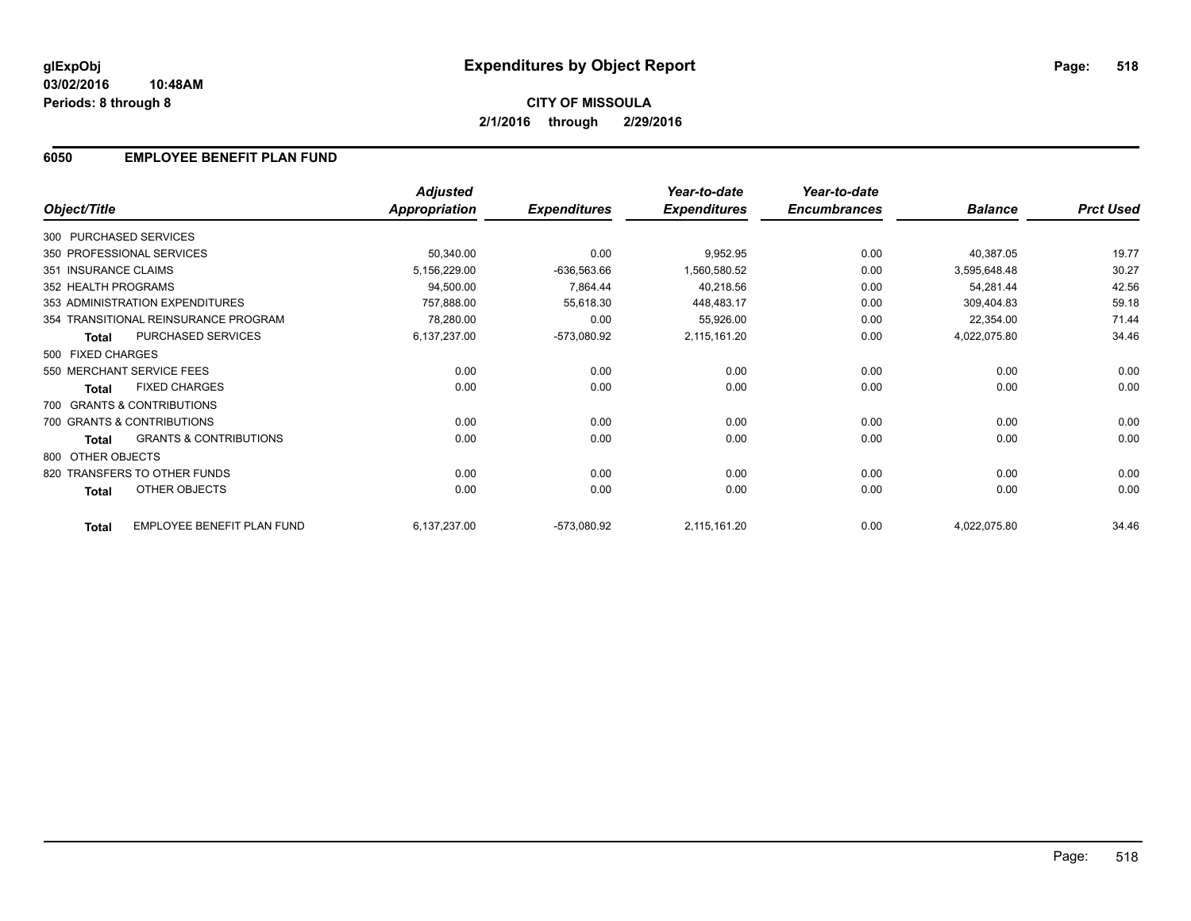**CITY OF MISSOULA 2/1/2016 through 2/29/2016**

## **6050 EMPLOYEE BENEFIT PLAN FUND**

|                        |                                      | <b>Adjusted</b>      |                     | Year-to-date        | Year-to-date        |                |                  |
|------------------------|--------------------------------------|----------------------|---------------------|---------------------|---------------------|----------------|------------------|
| Object/Title           |                                      | <b>Appropriation</b> | <b>Expenditures</b> | <b>Expenditures</b> | <b>Encumbrances</b> | <b>Balance</b> | <b>Prct Used</b> |
| 300 PURCHASED SERVICES |                                      |                      |                     |                     |                     |                |                  |
|                        | 350 PROFESSIONAL SERVICES            | 50,340.00            | 0.00                | 9,952.95            | 0.00                | 40,387.05      | 19.77            |
| 351 INSURANCE CLAIMS   |                                      | 5,156,229.00         | $-636,563.66$       | 1,560,580.52        | 0.00                | 3,595,648.48   | 30.27            |
| 352 HEALTH PROGRAMS    |                                      | 94,500.00            | 7,864.44            | 40,218.56           | 0.00                | 54,281.44      | 42.56            |
|                        | 353 ADMINISTRATION EXPENDITURES      | 757,888.00           | 55,618.30           | 448,483.17          | 0.00                | 309,404.83     | 59.18            |
|                        | 354 TRANSITIONAL REINSURANCE PROGRAM | 78,280.00            | 0.00                | 55,926.00           | 0.00                | 22,354.00      | 71.44            |
| <b>Total</b>           | PURCHASED SERVICES                   | 6,137,237.00         | -573,080.92         | 2,115,161.20        | 0.00                | 4,022,075.80   | 34.46            |
| 500 FIXED CHARGES      |                                      |                      |                     |                     |                     |                |                  |
|                        | 550 MERCHANT SERVICE FEES            | 0.00                 | 0.00                | 0.00                | 0.00                | 0.00           | 0.00             |
| Total                  | <b>FIXED CHARGES</b>                 | 0.00                 | 0.00                | 0.00                | 0.00                | 0.00           | 0.00             |
|                        | 700 GRANTS & CONTRIBUTIONS           |                      |                     |                     |                     |                |                  |
|                        | 700 GRANTS & CONTRIBUTIONS           | 0.00                 | 0.00                | 0.00                | 0.00                | 0.00           | 0.00             |
| Total                  | <b>GRANTS &amp; CONTRIBUTIONS</b>    | 0.00                 | 0.00                | 0.00                | 0.00                | 0.00           | 0.00             |
| 800 OTHER OBJECTS      |                                      |                      |                     |                     |                     |                |                  |
|                        | 820 TRANSFERS TO OTHER FUNDS         | 0.00                 | 0.00                | 0.00                | 0.00                | 0.00           | 0.00             |
| Total                  | OTHER OBJECTS                        | 0.00                 | 0.00                | 0.00                | 0.00                | 0.00           | 0.00             |
| <b>Total</b>           | EMPLOYEE BENEFIT PLAN FUND           | 6,137,237.00         | -573,080.92         | 2,115,161.20        | 0.00                | 4,022,075.80   | 34.46            |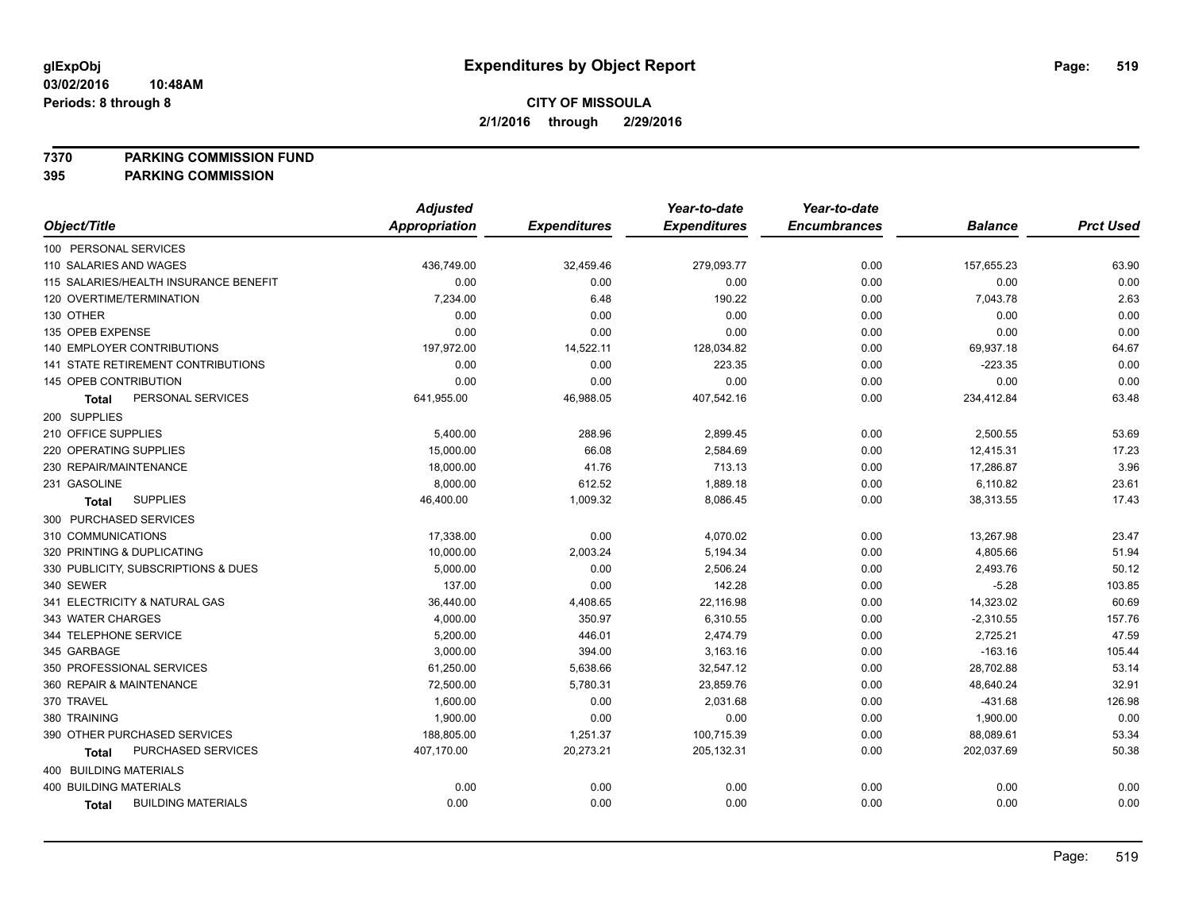**7370 PARKING COMMISSION FUND**

|                                           | <b>Adjusted</b>      |                     | Year-to-date        | Year-to-date        |                |                  |
|-------------------------------------------|----------------------|---------------------|---------------------|---------------------|----------------|------------------|
| Object/Title                              | <b>Appropriation</b> | <b>Expenditures</b> | <b>Expenditures</b> | <b>Encumbrances</b> | <b>Balance</b> | <b>Prct Used</b> |
| 100 PERSONAL SERVICES                     |                      |                     |                     |                     |                |                  |
| 110 SALARIES AND WAGES                    | 436,749.00           | 32,459.46           | 279,093.77          | 0.00                | 157,655.23     | 63.90            |
| 115 SALARIES/HEALTH INSURANCE BENEFIT     | 0.00                 | 0.00                | 0.00                | 0.00                | 0.00           | 0.00             |
| 120 OVERTIME/TERMINATION                  | 7,234.00             | 6.48                | 190.22              | 0.00                | 7,043.78       | 2.63             |
| 130 OTHER                                 | 0.00                 | 0.00                | 0.00                | 0.00                | 0.00           | 0.00             |
| 135 OPEB EXPENSE                          | 0.00                 | 0.00                | 0.00                | 0.00                | 0.00           | 0.00             |
| 140 EMPLOYER CONTRIBUTIONS                | 197,972.00           | 14,522.11           | 128,034.82          | 0.00                | 69,937.18      | 64.67            |
| <b>141 STATE RETIREMENT CONTRIBUTIONS</b> | 0.00                 | 0.00                | 223.35              | 0.00                | $-223.35$      | 0.00             |
| 145 OPEB CONTRIBUTION                     | 0.00                 | 0.00                | 0.00                | 0.00                | 0.00           | 0.00             |
| PERSONAL SERVICES<br><b>Total</b>         | 641,955.00           | 46,988.05           | 407,542.16          | 0.00                | 234,412.84     | 63.48            |
| 200 SUPPLIES                              |                      |                     |                     |                     |                |                  |
| 210 OFFICE SUPPLIES                       | 5,400.00             | 288.96              | 2,899.45            | 0.00                | 2,500.55       | 53.69            |
| 220 OPERATING SUPPLIES                    | 15,000.00            | 66.08               | 2,584.69            | 0.00                | 12,415.31      | 17.23            |
| 230 REPAIR/MAINTENANCE                    | 18,000.00            | 41.76               | 713.13              | 0.00                | 17,286.87      | 3.96             |
| 231 GASOLINE                              | 8,000.00             | 612.52              | 1,889.18            | 0.00                | 6,110.82       | 23.61            |
| <b>SUPPLIES</b><br><b>Total</b>           | 46,400.00            | 1,009.32            | 8,086.45            | 0.00                | 38,313.55      | 17.43            |
| 300 PURCHASED SERVICES                    |                      |                     |                     |                     |                |                  |
| 310 COMMUNICATIONS                        | 17,338.00            | 0.00                | 4,070.02            | 0.00                | 13,267.98      | 23.47            |
| 320 PRINTING & DUPLICATING                | 10,000.00            | 2,003.24            | 5,194.34            | 0.00                | 4,805.66       | 51.94            |
| 330 PUBLICITY, SUBSCRIPTIONS & DUES       | 5,000.00             | 0.00                | 2,506.24            | 0.00                | 2,493.76       | 50.12            |
| 340 SEWER                                 | 137.00               | 0.00                | 142.28              | 0.00                | $-5.28$        | 103.85           |
| 341 ELECTRICITY & NATURAL GAS             | 36,440.00            | 4,408.65            | 22,116.98           | 0.00                | 14,323.02      | 60.69            |
| 343 WATER CHARGES                         | 4,000.00             | 350.97              | 6,310.55            | 0.00                | $-2,310.55$    | 157.76           |
| 344 TELEPHONE SERVICE                     | 5,200.00             | 446.01              | 2,474.79            | 0.00                | 2,725.21       | 47.59            |
| 345 GARBAGE                               | 3,000.00             | 394.00              | 3,163.16            | 0.00                | $-163.16$      | 105.44           |
| 350 PROFESSIONAL SERVICES                 | 61,250.00            | 5,638.66            | 32,547.12           | 0.00                | 28,702.88      | 53.14            |
| 360 REPAIR & MAINTENANCE                  | 72,500.00            | 5,780.31            | 23,859.76           | 0.00                | 48,640.24      | 32.91            |
| 370 TRAVEL                                | 1,600.00             | 0.00                | 2,031.68            | 0.00                | $-431.68$      | 126.98           |
| 380 TRAINING                              | 1,900.00             | 0.00                | 0.00                | 0.00                | 1,900.00       | 0.00             |
| 390 OTHER PURCHASED SERVICES              | 188,805.00           | 1,251.37            | 100,715.39          | 0.00                | 88,089.61      | 53.34            |
| PURCHASED SERVICES<br>Total               | 407,170.00           | 20,273.21           | 205,132.31          | 0.00                | 202,037.69     | 50.38            |
| 400 BUILDING MATERIALS                    |                      |                     |                     |                     |                |                  |
| <b>400 BUILDING MATERIALS</b>             | 0.00                 | 0.00                | 0.00                | 0.00                | 0.00           | 0.00             |
| <b>BUILDING MATERIALS</b><br><b>Total</b> | 0.00                 | 0.00                | 0.00                | 0.00                | 0.00           | 0.00             |
|                                           |                      |                     |                     |                     |                |                  |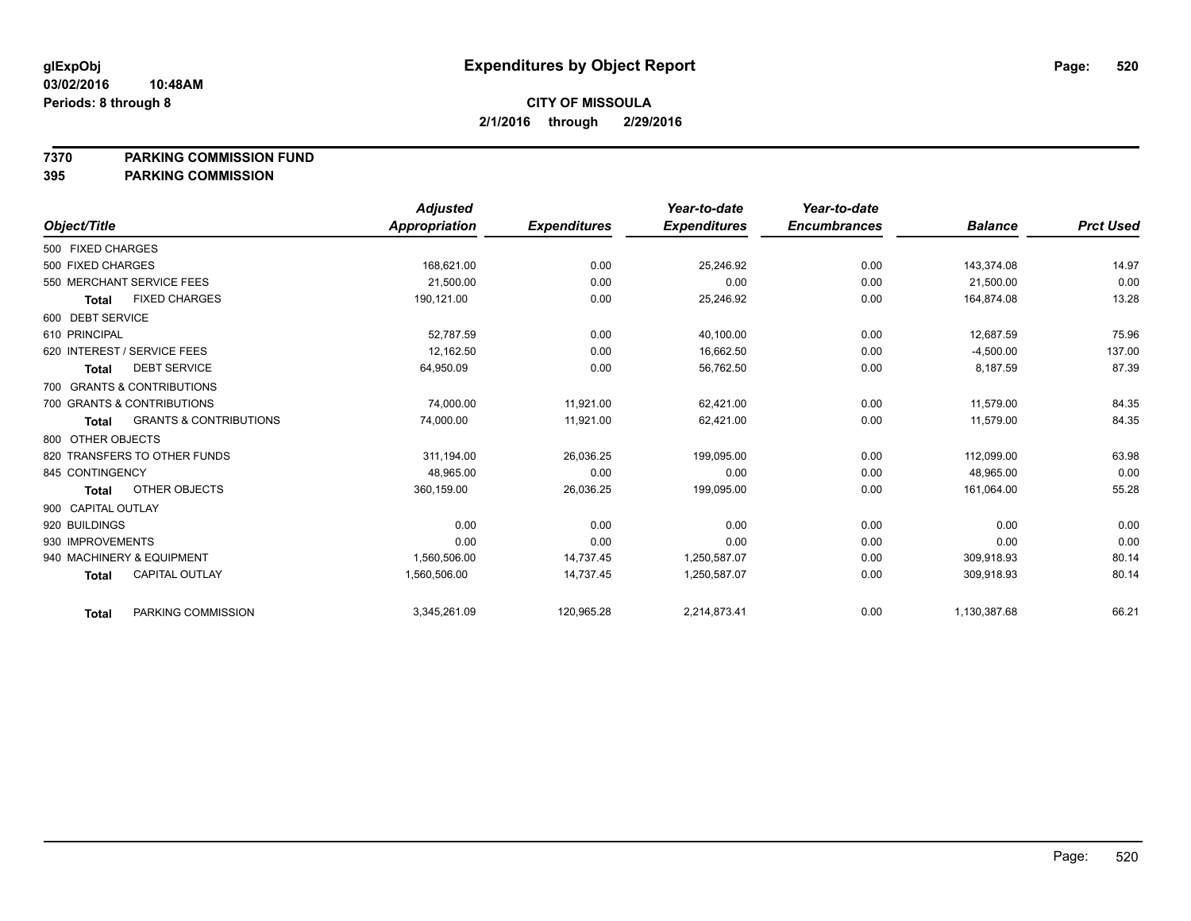**7370 PARKING COMMISSION FUND**

|                    |                                   | <b>Adjusted</b> |                     | Year-to-date        | Year-to-date        |                |                  |
|--------------------|-----------------------------------|-----------------|---------------------|---------------------|---------------------|----------------|------------------|
| Object/Title       |                                   | Appropriation   | <b>Expenditures</b> | <b>Expenditures</b> | <b>Encumbrances</b> | <b>Balance</b> | <b>Prct Used</b> |
| 500 FIXED CHARGES  |                                   |                 |                     |                     |                     |                |                  |
| 500 FIXED CHARGES  |                                   | 168,621.00      | 0.00                | 25,246.92           | 0.00                | 143,374.08     | 14.97            |
|                    | 550 MERCHANT SERVICE FEES         | 21.500.00       | 0.00                | 0.00                | 0.00                | 21,500.00      | 0.00             |
| <b>Total</b>       | <b>FIXED CHARGES</b>              | 190,121.00      | 0.00                | 25,246.92           | 0.00                | 164,874.08     | 13.28            |
| 600 DEBT SERVICE   |                                   |                 |                     |                     |                     |                |                  |
| 610 PRINCIPAL      |                                   | 52.787.59       | 0.00                | 40,100.00           | 0.00                | 12,687.59      | 75.96            |
|                    | 620 INTEREST / SERVICE FEES       | 12,162.50       | 0.00                | 16,662.50           | 0.00                | $-4,500.00$    | 137.00           |
| <b>Total</b>       | <b>DEBT SERVICE</b>               | 64,950.09       | 0.00                | 56,762.50           | 0.00                | 8,187.59       | 87.39            |
|                    | 700 GRANTS & CONTRIBUTIONS        |                 |                     |                     |                     |                |                  |
|                    | 700 GRANTS & CONTRIBUTIONS        | 74,000.00       | 11,921.00           | 62.421.00           | 0.00                | 11,579.00      | 84.35            |
| Total              | <b>GRANTS &amp; CONTRIBUTIONS</b> | 74,000.00       | 11,921.00           | 62,421.00           | 0.00                | 11,579.00      | 84.35            |
| 800 OTHER OBJECTS  |                                   |                 |                     |                     |                     |                |                  |
|                    | 820 TRANSFERS TO OTHER FUNDS      | 311,194.00      | 26,036.25           | 199,095.00          | 0.00                | 112,099.00     | 63.98            |
| 845 CONTINGENCY    |                                   | 48,965.00       | 0.00                | 0.00                | 0.00                | 48,965.00      | 0.00             |
| <b>Total</b>       | <b>OTHER OBJECTS</b>              | 360,159.00      | 26,036.25           | 199,095.00          | 0.00                | 161,064.00     | 55.28            |
| 900 CAPITAL OUTLAY |                                   |                 |                     |                     |                     |                |                  |
| 920 BUILDINGS      |                                   | 0.00            | 0.00                | 0.00                | 0.00                | 0.00           | 0.00             |
| 930 IMPROVEMENTS   |                                   | 0.00            | 0.00                | 0.00                | 0.00                | 0.00           | 0.00             |
|                    | 940 MACHINERY & EQUIPMENT         | 1,560,506.00    | 14,737.45           | 1,250,587.07        | 0.00                | 309,918.93     | 80.14            |
| <b>Total</b>       | <b>CAPITAL OUTLAY</b>             | 1,560,506.00    | 14,737.45           | 1,250,587.07        | 0.00                | 309,918.93     | 80.14            |
| Total              | PARKING COMMISSION                | 3,345,261.09    | 120,965.28          | 2,214,873.41        | 0.00                | 1,130,387.68   | 66.21            |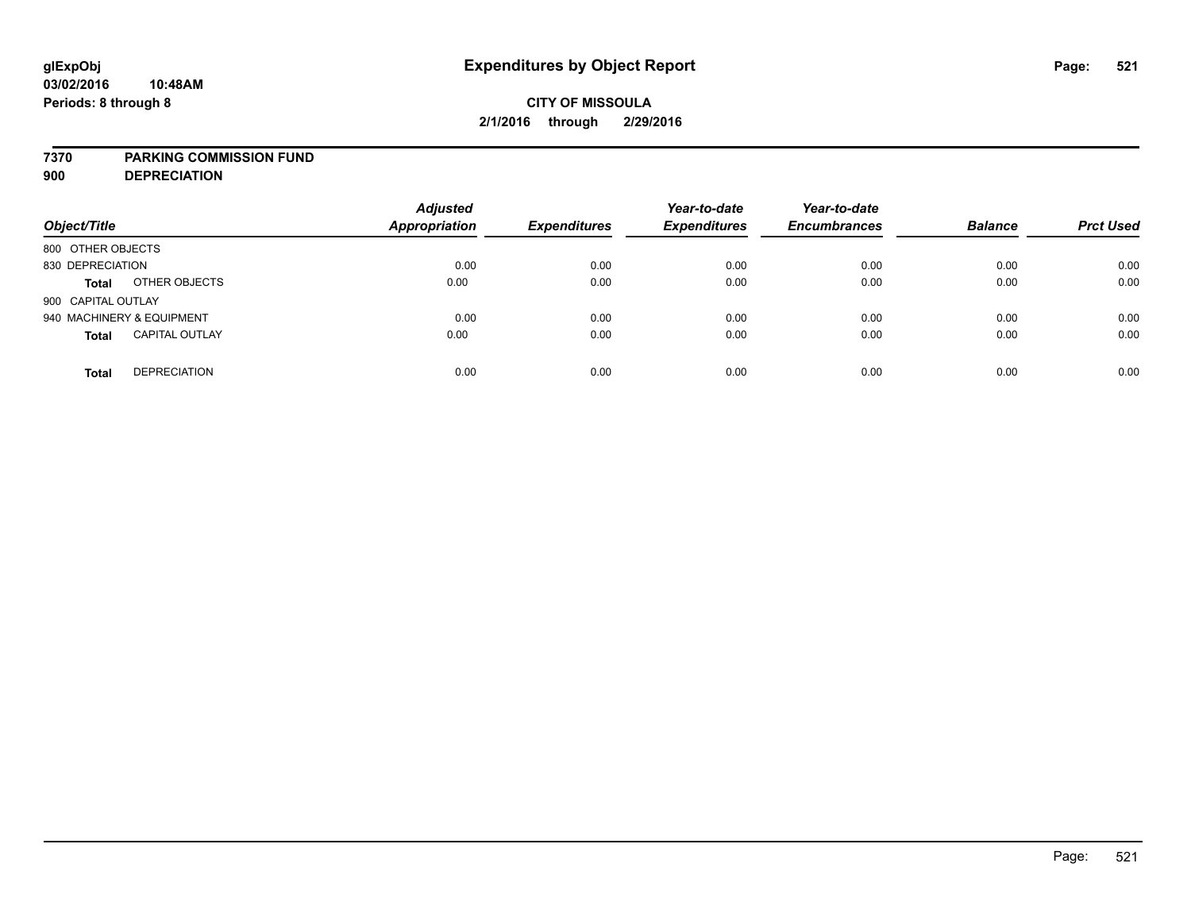### **7370 PARKING COMMISSION FUND**

**900 DEPRECIATION**

| Object/Title                          | <b>Adjusted</b><br><b>Appropriation</b> | <b>Expenditures</b> | Year-to-date<br><b>Expenditures</b> | Year-to-date<br><b>Encumbrances</b> | <b>Balance</b> | <b>Prct Used</b> |
|---------------------------------------|-----------------------------------------|---------------------|-------------------------------------|-------------------------------------|----------------|------------------|
| 800 OTHER OBJECTS                     |                                         |                     |                                     |                                     |                |                  |
| 830 DEPRECIATION                      | 0.00                                    | 0.00                | 0.00                                | 0.00                                | 0.00           | 0.00             |
| OTHER OBJECTS<br><b>Total</b>         | 0.00                                    | 0.00                | 0.00                                | 0.00                                | 0.00           | 0.00             |
| 900 CAPITAL OUTLAY                    |                                         |                     |                                     |                                     |                |                  |
| 940 MACHINERY & EQUIPMENT             | 0.00                                    | 0.00                | 0.00                                | 0.00                                | 0.00           | 0.00             |
| <b>CAPITAL OUTLAY</b><br><b>Total</b> | 0.00                                    | 0.00                | 0.00                                | 0.00                                | 0.00           | 0.00             |
| <b>DEPRECIATION</b><br><b>Total</b>   | 0.00                                    | 0.00                | 0.00                                | 0.00                                | 0.00           | 0.00             |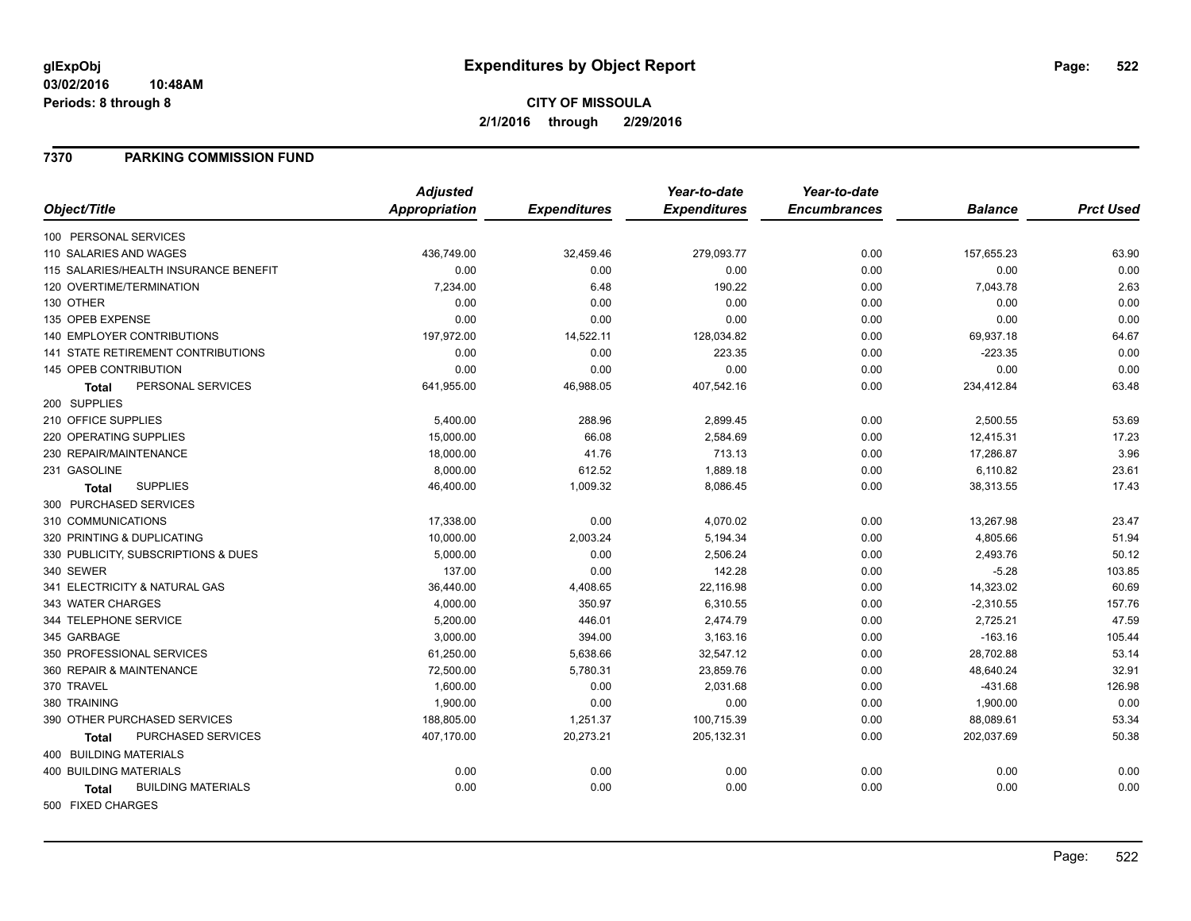# **CITY OF MISSOULA 2/1/2016 through 2/29/2016**

### **7370 PARKING COMMISSION FUND**

|                                           | <b>Adjusted</b> |                     | Year-to-date        | Year-to-date        |                |                  |
|-------------------------------------------|-----------------|---------------------|---------------------|---------------------|----------------|------------------|
| Object/Title                              | Appropriation   | <b>Expenditures</b> | <b>Expenditures</b> | <b>Encumbrances</b> | <b>Balance</b> | <b>Prct Used</b> |
| 100 PERSONAL SERVICES                     |                 |                     |                     |                     |                |                  |
| 110 SALARIES AND WAGES                    | 436,749.00      | 32,459.46           | 279,093.77          | 0.00                | 157,655.23     | 63.90            |
| 115 SALARIES/HEALTH INSURANCE BENEFIT     | 0.00            | 0.00                | 0.00                | 0.00                | 0.00           | 0.00             |
| 120 OVERTIME/TERMINATION                  | 7,234.00        | 6.48                | 190.22              | 0.00                | 7,043.78       | 2.63             |
| 130 OTHER                                 | 0.00            | 0.00                | 0.00                | 0.00                | 0.00           | 0.00             |
| 135 OPEB EXPENSE                          | 0.00            | 0.00                | 0.00                | 0.00                | 0.00           | 0.00             |
| 140 EMPLOYER CONTRIBUTIONS                | 197,972.00      | 14,522.11           | 128,034.82          | 0.00                | 69,937.18      | 64.67            |
| 141 STATE RETIREMENT CONTRIBUTIONS        | 0.00            | 0.00                | 223.35              | 0.00                | $-223.35$      | 0.00             |
| 145 OPEB CONTRIBUTION                     | 0.00            | 0.00                | 0.00                | 0.00                | 0.00           | 0.00             |
| PERSONAL SERVICES<br><b>Total</b>         | 641,955.00      | 46,988.05           | 407,542.16          | 0.00                | 234,412.84     | 63.48            |
| 200 SUPPLIES                              |                 |                     |                     |                     |                |                  |
| 210 OFFICE SUPPLIES                       | 5,400.00        | 288.96              | 2,899.45            | 0.00                | 2,500.55       | 53.69            |
| 220 OPERATING SUPPLIES                    | 15,000.00       | 66.08               | 2,584.69            | 0.00                | 12,415.31      | 17.23            |
| 230 REPAIR/MAINTENANCE                    | 18,000.00       | 41.76               | 713.13              | 0.00                | 17,286.87      | 3.96             |
| 231 GASOLINE                              | 8,000.00        | 612.52              | 1,889.18            | 0.00                | 6,110.82       | 23.61            |
| <b>SUPPLIES</b><br>Total                  | 46,400.00       | 1,009.32            | 8,086.45            | 0.00                | 38,313.55      | 17.43            |
| 300 PURCHASED SERVICES                    |                 |                     |                     |                     |                |                  |
| 310 COMMUNICATIONS                        | 17,338.00       | 0.00                | 4,070.02            | 0.00                | 13,267.98      | 23.47            |
| 320 PRINTING & DUPLICATING                | 10,000.00       | 2,003.24            | 5,194.34            | 0.00                | 4,805.66       | 51.94            |
| 330 PUBLICITY, SUBSCRIPTIONS & DUES       | 5,000.00        | 0.00                | 2,506.24            | 0.00                | 2,493.76       | 50.12            |
| 340 SEWER                                 | 137.00          | 0.00                | 142.28              | 0.00                | $-5.28$        | 103.85           |
| 341 ELECTRICITY & NATURAL GAS             | 36,440.00       | 4,408.65            | 22,116.98           | 0.00                | 14,323.02      | 60.69            |
| 343 WATER CHARGES                         | 4,000.00        | 350.97              | 6,310.55            | 0.00                | $-2,310.55$    | 157.76           |
| 344 TELEPHONE SERVICE                     | 5,200.00        | 446.01              | 2,474.79            | 0.00                | 2,725.21       | 47.59            |
| 345 GARBAGE                               | 3,000.00        | 394.00              | 3,163.16            | 0.00                | $-163.16$      | 105.44           |
| 350 PROFESSIONAL SERVICES                 | 61,250.00       | 5,638.66            | 32,547.12           | 0.00                | 28,702.88      | 53.14            |
| 360 REPAIR & MAINTENANCE                  | 72,500.00       | 5,780.31            | 23,859.76           | 0.00                | 48,640.24      | 32.91            |
| 370 TRAVEL                                | 1,600.00        | 0.00                | 2,031.68            | 0.00                | $-431.68$      | 126.98           |
| 380 TRAINING                              | 1,900.00        | 0.00                | 0.00                | 0.00                | 1,900.00       | 0.00             |
| 390 OTHER PURCHASED SERVICES              | 188,805.00      | 1,251.37            | 100,715.39          | 0.00                | 88,089.61      | 53.34            |
| PURCHASED SERVICES<br>Total               | 407,170.00      | 20,273.21           | 205, 132.31         | 0.00                | 202,037.69     | 50.38            |
| 400 BUILDING MATERIALS                    |                 |                     |                     |                     |                |                  |
| <b>400 BUILDING MATERIALS</b>             | 0.00            | 0.00                | 0.00                | 0.00                | 0.00           | 0.00             |
| <b>BUILDING MATERIALS</b><br><b>Total</b> | 0.00            | 0.00                | 0.00                | 0.00                | 0.00           | 0.00             |
| 500 FIXED CHARGES                         |                 |                     |                     |                     |                |                  |

Page: 522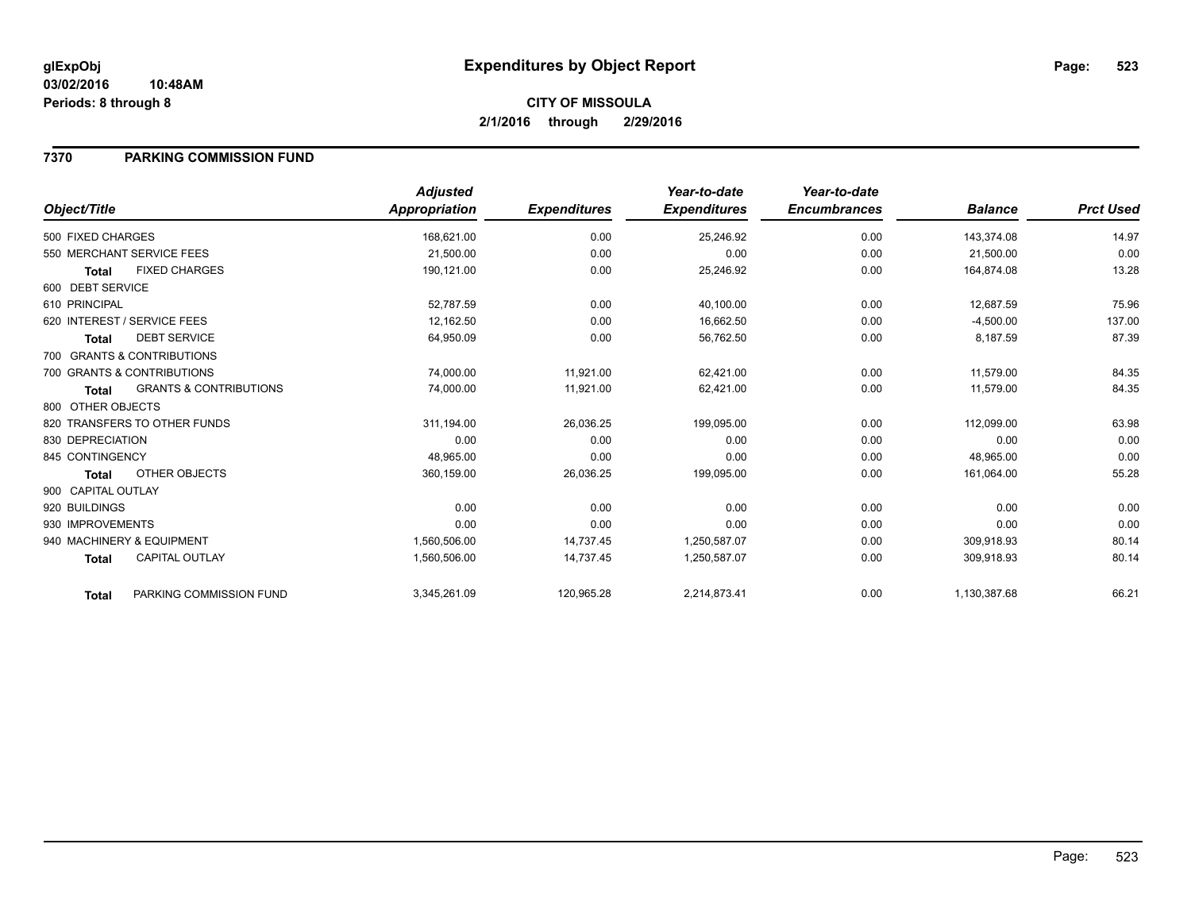# **CITY OF MISSOULA 2/1/2016 through 2/29/2016**

### **7370 PARKING COMMISSION FUND**

|                    |                                   | <b>Adjusted</b> |                     | Year-to-date        | Year-to-date        |                |                  |
|--------------------|-----------------------------------|-----------------|---------------------|---------------------|---------------------|----------------|------------------|
| Object/Title       |                                   | Appropriation   | <b>Expenditures</b> | <b>Expenditures</b> | <b>Encumbrances</b> | <b>Balance</b> | <b>Prct Used</b> |
| 500 FIXED CHARGES  |                                   | 168,621.00      | 0.00                | 25,246.92           | 0.00                | 143,374.08     | 14.97            |
|                    | 550 MERCHANT SERVICE FEES         | 21,500.00       | 0.00                | 0.00                | 0.00                | 21,500.00      | 0.00             |
| <b>Total</b>       | <b>FIXED CHARGES</b>              | 190,121.00      | 0.00                | 25,246.92           | 0.00                | 164,874.08     | 13.28            |
| 600 DEBT SERVICE   |                                   |                 |                     |                     |                     |                |                  |
| 610 PRINCIPAL      |                                   | 52,787.59       | 0.00                | 40,100.00           | 0.00                | 12,687.59      | 75.96            |
|                    | 620 INTEREST / SERVICE FEES       | 12,162.50       | 0.00                | 16,662.50           | 0.00                | $-4,500.00$    | 137.00           |
| Total              | <b>DEBT SERVICE</b>               | 64,950.09       | 0.00                | 56,762.50           | 0.00                | 8,187.59       | 87.39            |
|                    | 700 GRANTS & CONTRIBUTIONS        |                 |                     |                     |                     |                |                  |
|                    | 700 GRANTS & CONTRIBUTIONS        | 74,000.00       | 11,921.00           | 62,421.00           | 0.00                | 11,579.00      | 84.35            |
| <b>Total</b>       | <b>GRANTS &amp; CONTRIBUTIONS</b> | 74,000.00       | 11,921.00           | 62,421.00           | 0.00                | 11,579.00      | 84.35            |
| 800 OTHER OBJECTS  |                                   |                 |                     |                     |                     |                |                  |
|                    | 820 TRANSFERS TO OTHER FUNDS      | 311,194.00      | 26,036.25           | 199,095.00          | 0.00                | 112,099.00     | 63.98            |
| 830 DEPRECIATION   |                                   | 0.00            | 0.00                | 0.00                | 0.00                | 0.00           | 0.00             |
| 845 CONTINGENCY    |                                   | 48,965.00       | 0.00                | 0.00                | 0.00                | 48,965.00      | 0.00             |
| <b>Total</b>       | OTHER OBJECTS                     | 360,159.00      | 26,036.25           | 199,095.00          | 0.00                | 161,064.00     | 55.28            |
| 900 CAPITAL OUTLAY |                                   |                 |                     |                     |                     |                |                  |
| 920 BUILDINGS      |                                   | 0.00            | 0.00                | 0.00                | 0.00                | 0.00           | 0.00             |
| 930 IMPROVEMENTS   |                                   | 0.00            | 0.00                | 0.00                | 0.00                | 0.00           | 0.00             |
|                    | 940 MACHINERY & EQUIPMENT         | 1,560,506.00    | 14,737.45           | 1,250,587.07        | 0.00                | 309,918.93     | 80.14            |
| <b>Total</b>       | <b>CAPITAL OUTLAY</b>             | 1,560,506.00    | 14,737.45           | 1,250,587.07        | 0.00                | 309,918.93     | 80.14            |
| <b>Total</b>       | PARKING COMMISSION FUND           | 3,345,261.09    | 120,965.28          | 2,214,873.41        | 0.00                | 1,130,387.68   | 66.21            |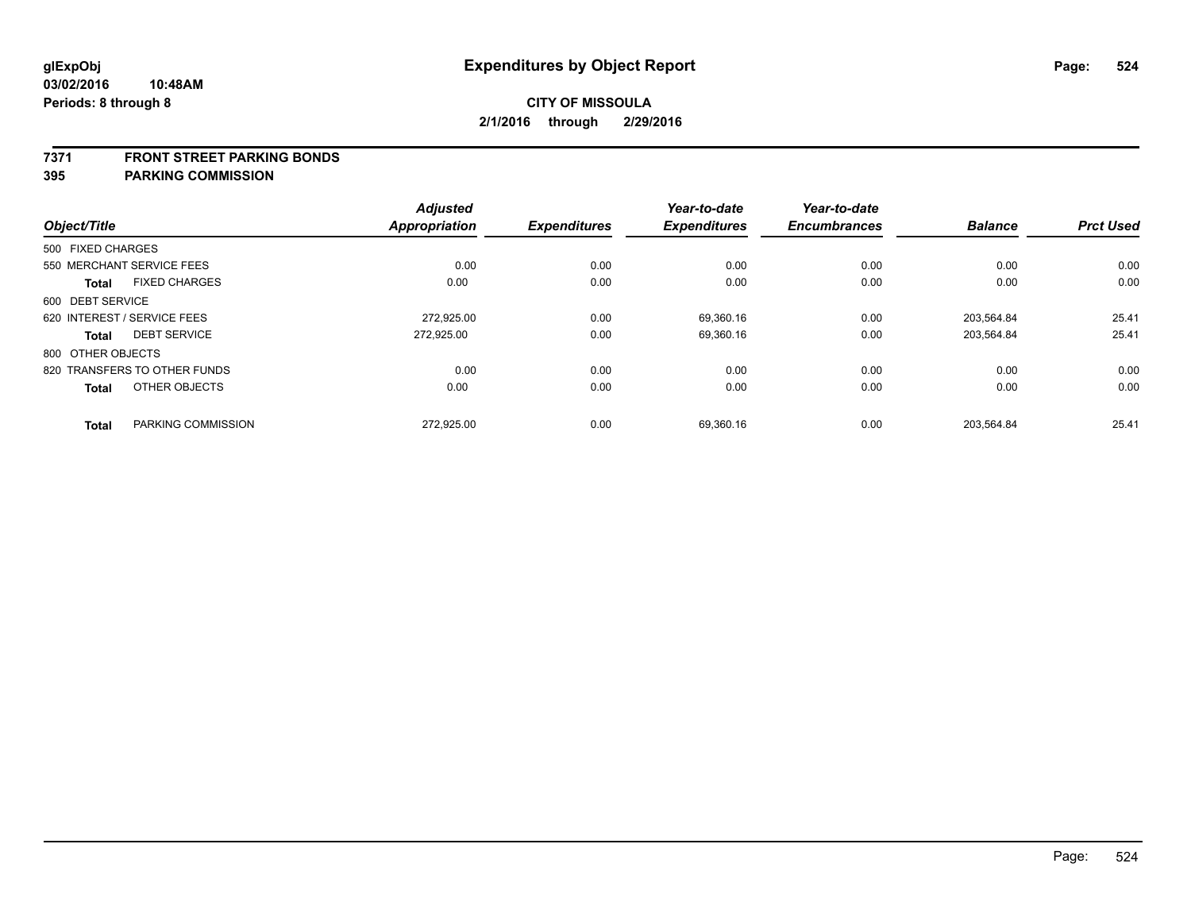### **7371 FRONT STREET PARKING BONDS**

| Object/Title      |                              | <b>Adjusted</b><br><b>Appropriation</b> | <b>Expenditures</b> | Year-to-date<br><b>Expenditures</b> | Year-to-date<br><b>Encumbrances</b> | <b>Balance</b> | <b>Prct Used</b> |
|-------------------|------------------------------|-----------------------------------------|---------------------|-------------------------------------|-------------------------------------|----------------|------------------|
| 500 FIXED CHARGES |                              |                                         |                     |                                     |                                     |                |                  |
|                   | 550 MERCHANT SERVICE FEES    | 0.00                                    | 0.00                | 0.00                                | 0.00                                | 0.00           | 0.00             |
| <b>Total</b>      | <b>FIXED CHARGES</b>         | 0.00                                    | 0.00                | 0.00                                | 0.00                                | 0.00           | 0.00             |
| 600 DEBT SERVICE  |                              |                                         |                     |                                     |                                     |                |                  |
|                   | 620 INTEREST / SERVICE FEES  | 272.925.00                              | 0.00                | 69.360.16                           | 0.00                                | 203.564.84     | 25.41            |
| <b>Total</b>      | <b>DEBT SERVICE</b>          | 272.925.00                              | 0.00                | 69,360.16                           | 0.00                                | 203,564.84     | 25.41            |
| 800 OTHER OBJECTS |                              |                                         |                     |                                     |                                     |                |                  |
|                   | 820 TRANSFERS TO OTHER FUNDS | 0.00                                    | 0.00                | 0.00                                | 0.00                                | 0.00           | 0.00             |
| <b>Total</b>      | OTHER OBJECTS                | 0.00                                    | 0.00                | 0.00                                | 0.00                                | 0.00           | 0.00             |
| <b>Total</b>      | PARKING COMMISSION           | 272.925.00                              | 0.00                | 69.360.16                           | 0.00                                | 203.564.84     | 25.41            |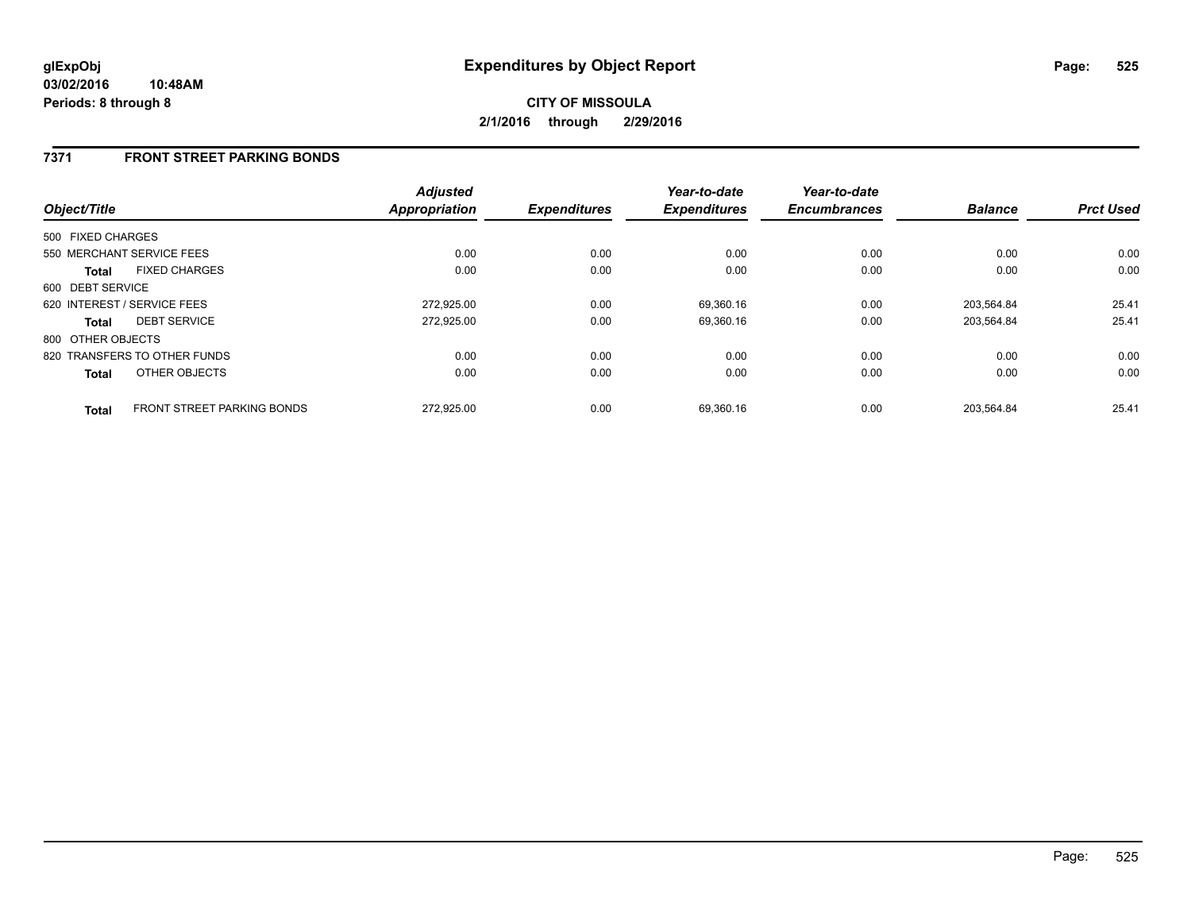## **7371 FRONT STREET PARKING BONDS**

| Object/Title      |                                   | <b>Adjusted</b><br><b>Appropriation</b> | <b>Expenditures</b> | Year-to-date<br><b>Expenditures</b> | Year-to-date<br><b>Encumbrances</b> | <b>Balance</b> | <b>Prct Used</b> |
|-------------------|-----------------------------------|-----------------------------------------|---------------------|-------------------------------------|-------------------------------------|----------------|------------------|
| 500 FIXED CHARGES |                                   |                                         |                     |                                     |                                     |                |                  |
|                   | 550 MERCHANT SERVICE FEES         | 0.00                                    | 0.00                | 0.00                                | 0.00                                | 0.00           | 0.00             |
| <b>Total</b>      | <b>FIXED CHARGES</b>              | 0.00                                    | 0.00                | 0.00                                | 0.00                                | 0.00           | 0.00             |
| 600 DEBT SERVICE  |                                   |                                         |                     |                                     |                                     |                |                  |
|                   | 620 INTEREST / SERVICE FEES       | 272,925.00                              | 0.00                | 69,360.16                           | 0.00                                | 203.564.84     | 25.41            |
| <b>Total</b>      | <b>DEBT SERVICE</b>               | 272,925.00                              | 0.00                | 69.360.16                           | 0.00                                | 203.564.84     | 25.41            |
| 800 OTHER OBJECTS |                                   |                                         |                     |                                     |                                     |                |                  |
|                   | 820 TRANSFERS TO OTHER FUNDS      | 0.00                                    | 0.00                | 0.00                                | 0.00                                | 0.00           | 0.00             |
| <b>Total</b>      | OTHER OBJECTS                     | 0.00                                    | 0.00                | 0.00                                | 0.00                                | 0.00           | 0.00             |
| <b>Total</b>      | <b>FRONT STREET PARKING BONDS</b> | 272.925.00                              | 0.00                | 69.360.16                           | 0.00                                | 203.564.84     | 25.41            |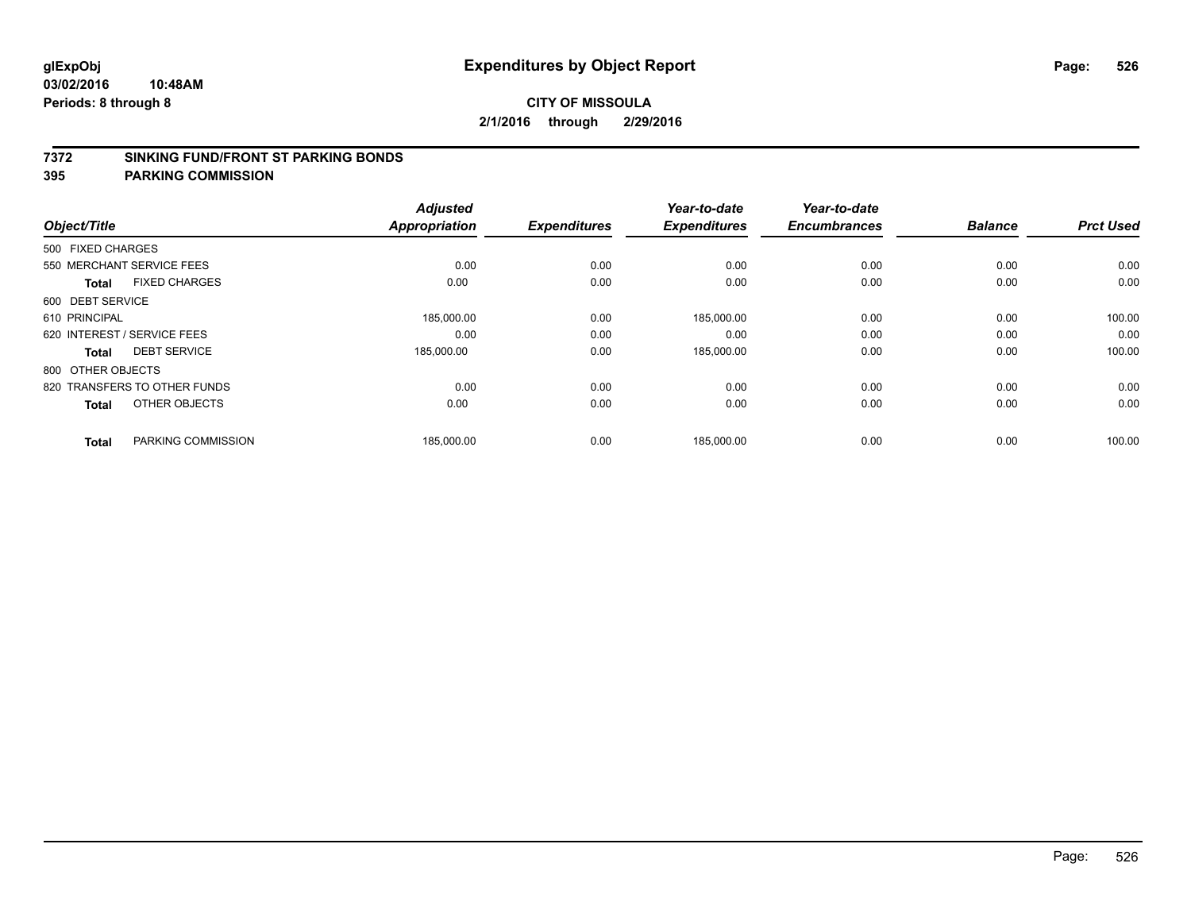### **7372 SINKING FUND/FRONT ST PARKING BONDS**

| Object/Title                         | <b>Adjusted</b><br><b>Appropriation</b> | <b>Expenditures</b> | Year-to-date<br><b>Expenditures</b> | Year-to-date<br><b>Encumbrances</b> | <b>Balance</b> | <b>Prct Used</b> |
|--------------------------------------|-----------------------------------------|---------------------|-------------------------------------|-------------------------------------|----------------|------------------|
|                                      |                                         |                     |                                     |                                     |                |                  |
| 500 FIXED CHARGES                    |                                         |                     |                                     |                                     |                |                  |
| 550 MERCHANT SERVICE FEES            | 0.00                                    | 0.00                | 0.00                                | 0.00                                | 0.00           | 0.00             |
| <b>FIXED CHARGES</b><br><b>Total</b> | 0.00                                    | 0.00                | 0.00                                | 0.00                                | 0.00           | 0.00             |
| 600 DEBT SERVICE                     |                                         |                     |                                     |                                     |                |                  |
| 610 PRINCIPAL                        | 185,000.00                              | 0.00                | 185,000.00                          | 0.00                                | 0.00           | 100.00           |
| 620 INTEREST / SERVICE FEES          | 0.00                                    | 0.00                | 0.00                                | 0.00                                | 0.00           | 0.00             |
| <b>DEBT SERVICE</b><br>Total         | 185,000.00                              | 0.00                | 185,000.00                          | 0.00                                | 0.00           | 100.00           |
| 800 OTHER OBJECTS                    |                                         |                     |                                     |                                     |                |                  |
| 820 TRANSFERS TO OTHER FUNDS         | 0.00                                    | 0.00                | 0.00                                | 0.00                                | 0.00           | 0.00             |
| OTHER OBJECTS<br><b>Total</b>        | 0.00                                    | 0.00                | 0.00                                | 0.00                                | 0.00           | 0.00             |
|                                      |                                         |                     |                                     |                                     |                |                  |
| PARKING COMMISSION<br><b>Total</b>   | 185,000.00                              | 0.00                | 185,000.00                          | 0.00                                | 0.00           | 100.00           |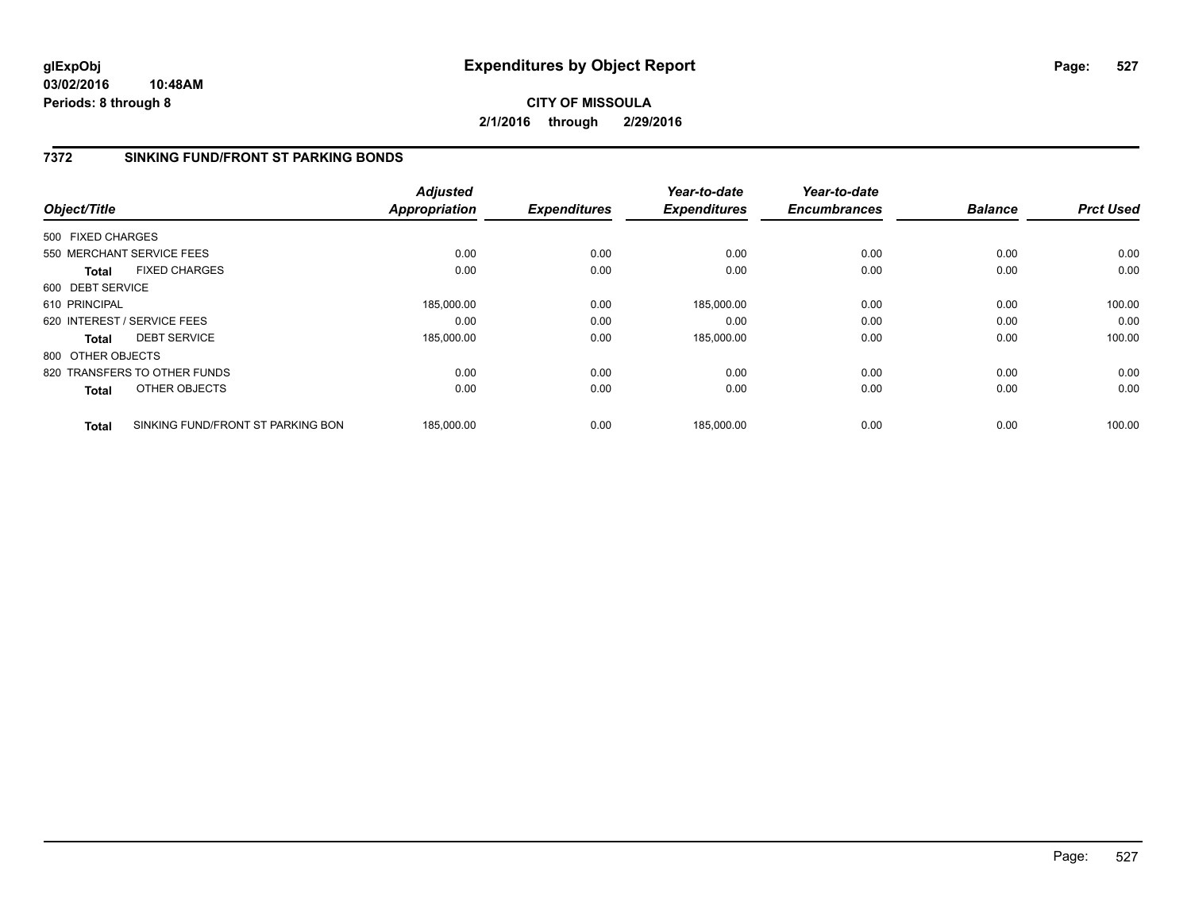## **CITY OF MISSOULA 2/1/2016 through 2/29/2016**

## **7372 SINKING FUND/FRONT ST PARKING BONDS**

| Object/Title      |                                   | <b>Adjusted</b><br>Appropriation | <b>Expenditures</b> | Year-to-date<br><b>Expenditures</b> | Year-to-date<br><b>Encumbrances</b> | <b>Balance</b> | <b>Prct Used</b> |
|-------------------|-----------------------------------|----------------------------------|---------------------|-------------------------------------|-------------------------------------|----------------|------------------|
|                   |                                   |                                  |                     |                                     |                                     |                |                  |
| 500 FIXED CHARGES |                                   |                                  |                     |                                     |                                     |                |                  |
|                   | 550 MERCHANT SERVICE FEES         | 0.00                             | 0.00                | 0.00                                | 0.00                                | 0.00           | 0.00             |
| Total             | <b>FIXED CHARGES</b>              | 0.00                             | 0.00                | 0.00                                | 0.00                                | 0.00           | 0.00             |
| 600 DEBT SERVICE  |                                   |                                  |                     |                                     |                                     |                |                  |
| 610 PRINCIPAL     |                                   | 185,000.00                       | 0.00                | 185.000.00                          | 0.00                                | 0.00           | 100.00           |
|                   | 620 INTEREST / SERVICE FEES       | 0.00                             | 0.00                | 0.00                                | 0.00                                | 0.00           | 0.00             |
| Total             | <b>DEBT SERVICE</b>               | 185,000.00                       | 0.00                | 185,000.00                          | 0.00                                | 0.00           | 100.00           |
| 800 OTHER OBJECTS |                                   |                                  |                     |                                     |                                     |                |                  |
|                   | 820 TRANSFERS TO OTHER FUNDS      | 0.00                             | 0.00                | 0.00                                | 0.00                                | 0.00           | 0.00             |
| <b>Total</b>      | OTHER OBJECTS                     | 0.00                             | 0.00                | 0.00                                | 0.00                                | 0.00           | 0.00             |
| <b>Total</b>      | SINKING FUND/FRONT ST PARKING BON | 185.000.00                       | 0.00                | 185,000.00                          | 0.00                                | 0.00           | 100.00           |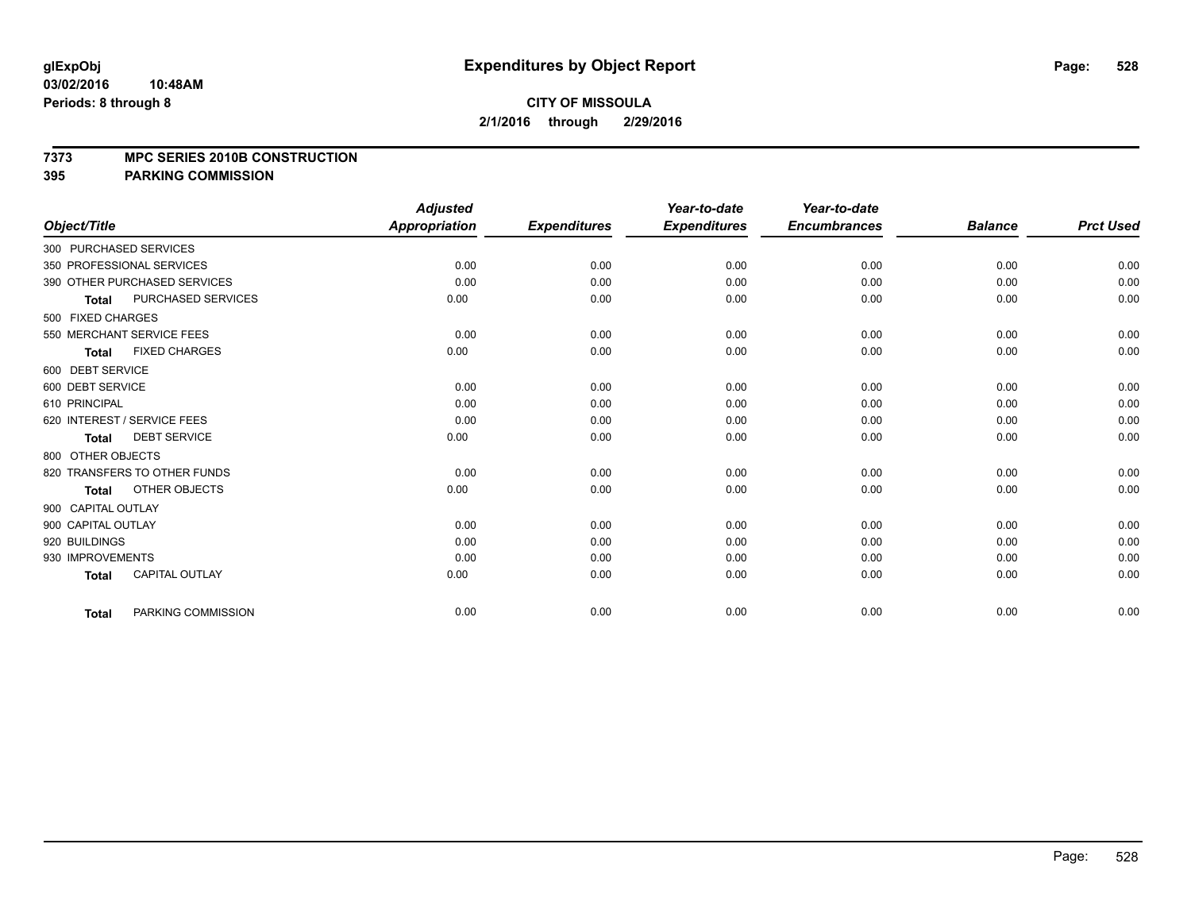## **CITY OF MISSOULA 2/1/2016 through 2/29/2016**

### **7373 MPC SERIES 2010B CONSTRUCTION**

|                                           | <b>Adjusted</b>      |                     | Year-to-date        | Year-to-date        |                |                  |
|-------------------------------------------|----------------------|---------------------|---------------------|---------------------|----------------|------------------|
| Object/Title                              | <b>Appropriation</b> | <b>Expenditures</b> | <b>Expenditures</b> | <b>Encumbrances</b> | <b>Balance</b> | <b>Prct Used</b> |
| 300 PURCHASED SERVICES                    |                      |                     |                     |                     |                |                  |
| 350 PROFESSIONAL SERVICES                 | 0.00                 | 0.00                | 0.00                | 0.00                | 0.00           | 0.00             |
| 390 OTHER PURCHASED SERVICES              | 0.00                 | 0.00                | 0.00                | 0.00                | 0.00           | 0.00             |
| <b>PURCHASED SERVICES</b><br><b>Total</b> | 0.00                 | 0.00                | 0.00                | 0.00                | 0.00           | 0.00             |
| 500 FIXED CHARGES                         |                      |                     |                     |                     |                |                  |
| 550 MERCHANT SERVICE FEES                 | 0.00                 | 0.00                | 0.00                | 0.00                | 0.00           | 0.00             |
| <b>FIXED CHARGES</b><br><b>Total</b>      | 0.00                 | 0.00                | 0.00                | 0.00                | 0.00           | 0.00             |
| 600 DEBT SERVICE                          |                      |                     |                     |                     |                |                  |
| 600 DEBT SERVICE                          | 0.00                 | 0.00                | 0.00                | 0.00                | 0.00           | 0.00             |
| 610 PRINCIPAL                             | 0.00                 | 0.00                | 0.00                | 0.00                | 0.00           | 0.00             |
| 620 INTEREST / SERVICE FEES               | 0.00                 | 0.00                | 0.00                | 0.00                | 0.00           | 0.00             |
| <b>DEBT SERVICE</b><br><b>Total</b>       | 0.00                 | 0.00                | 0.00                | 0.00                | 0.00           | 0.00             |
| 800 OTHER OBJECTS                         |                      |                     |                     |                     |                |                  |
| 820 TRANSFERS TO OTHER FUNDS              | 0.00                 | 0.00                | 0.00                | 0.00                | 0.00           | 0.00             |
| OTHER OBJECTS<br><b>Total</b>             | 0.00                 | 0.00                | 0.00                | 0.00                | 0.00           | 0.00             |
| 900 CAPITAL OUTLAY                        |                      |                     |                     |                     |                |                  |
| 900 CAPITAL OUTLAY                        | 0.00                 | 0.00                | 0.00                | 0.00                | 0.00           | 0.00             |
| 920 BUILDINGS                             | 0.00                 | 0.00                | 0.00                | 0.00                | 0.00           | 0.00             |
| 930 IMPROVEMENTS                          | 0.00                 | 0.00                | 0.00                | 0.00                | 0.00           | 0.00             |
| CAPITAL OUTLAY<br><b>Total</b>            | 0.00                 | 0.00                | 0.00                | 0.00                | 0.00           | 0.00             |
| PARKING COMMISSION<br><b>Total</b>        | 0.00                 | 0.00                | 0.00                | 0.00                | 0.00           | 0.00             |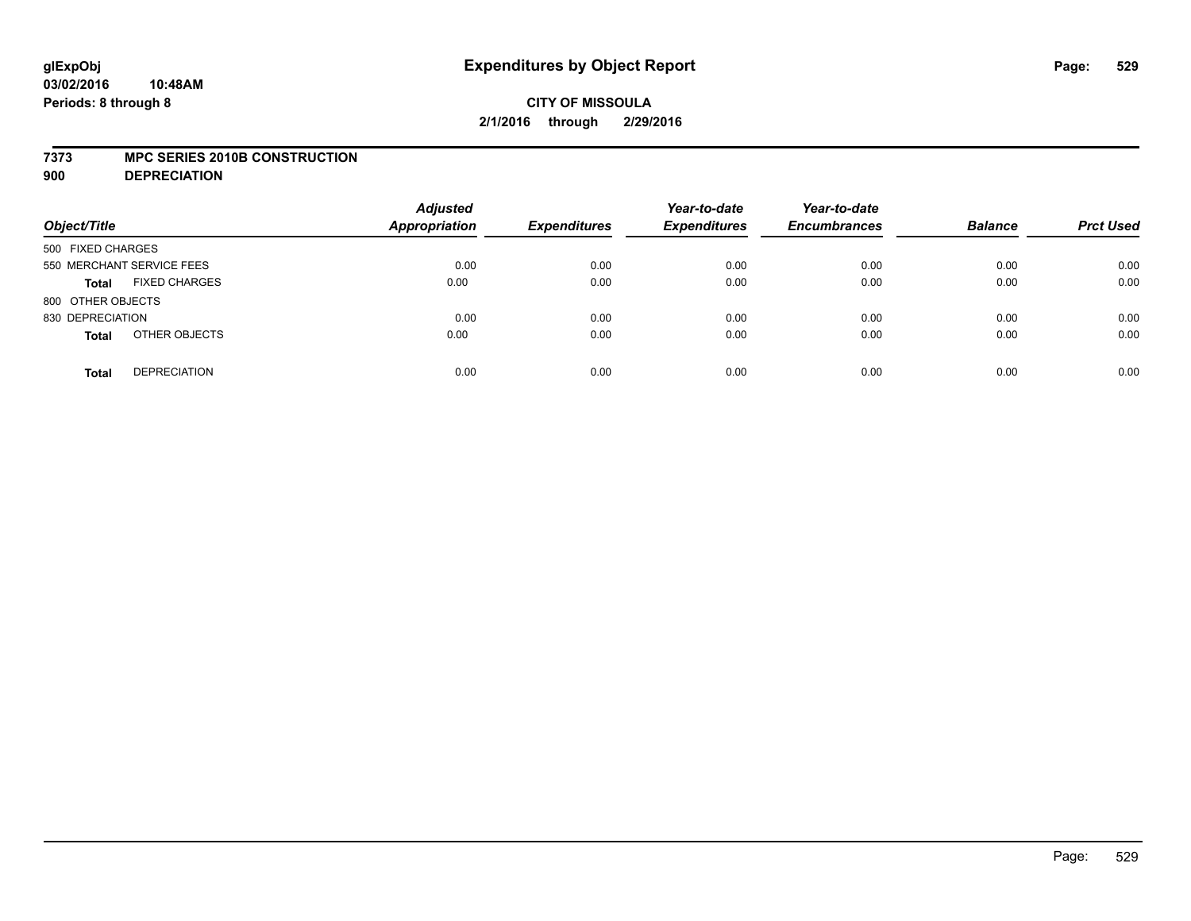### **7373 MPC SERIES 2010B CONSTRUCTION**

**900 DEPRECIATION**

| Object/Title                         | <b>Adjusted</b><br>Appropriation | <b>Expenditures</b> | Year-to-date<br><b>Expenditures</b> | Year-to-date<br><b>Encumbrances</b> | <b>Balance</b> | <b>Prct Used</b> |
|--------------------------------------|----------------------------------|---------------------|-------------------------------------|-------------------------------------|----------------|------------------|
| 500 FIXED CHARGES                    |                                  |                     |                                     |                                     |                |                  |
| 550 MERCHANT SERVICE FEES            | 0.00                             | 0.00                | 0.00                                | 0.00                                | 0.00           | 0.00             |
| <b>FIXED CHARGES</b><br><b>Total</b> | 0.00                             | 0.00                | 0.00                                | 0.00                                | 0.00           | 0.00             |
| 800 OTHER OBJECTS                    |                                  |                     |                                     |                                     |                |                  |
| 830 DEPRECIATION                     | 0.00                             | 0.00                | 0.00                                | 0.00                                | 0.00           | 0.00             |
| OTHER OBJECTS<br><b>Total</b>        | 0.00                             | 0.00                | 0.00                                | 0.00                                | 0.00           | 0.00             |
| <b>DEPRECIATION</b><br><b>Total</b>  | 0.00                             | 0.00                | 0.00                                | 0.00                                | 0.00           | 0.00             |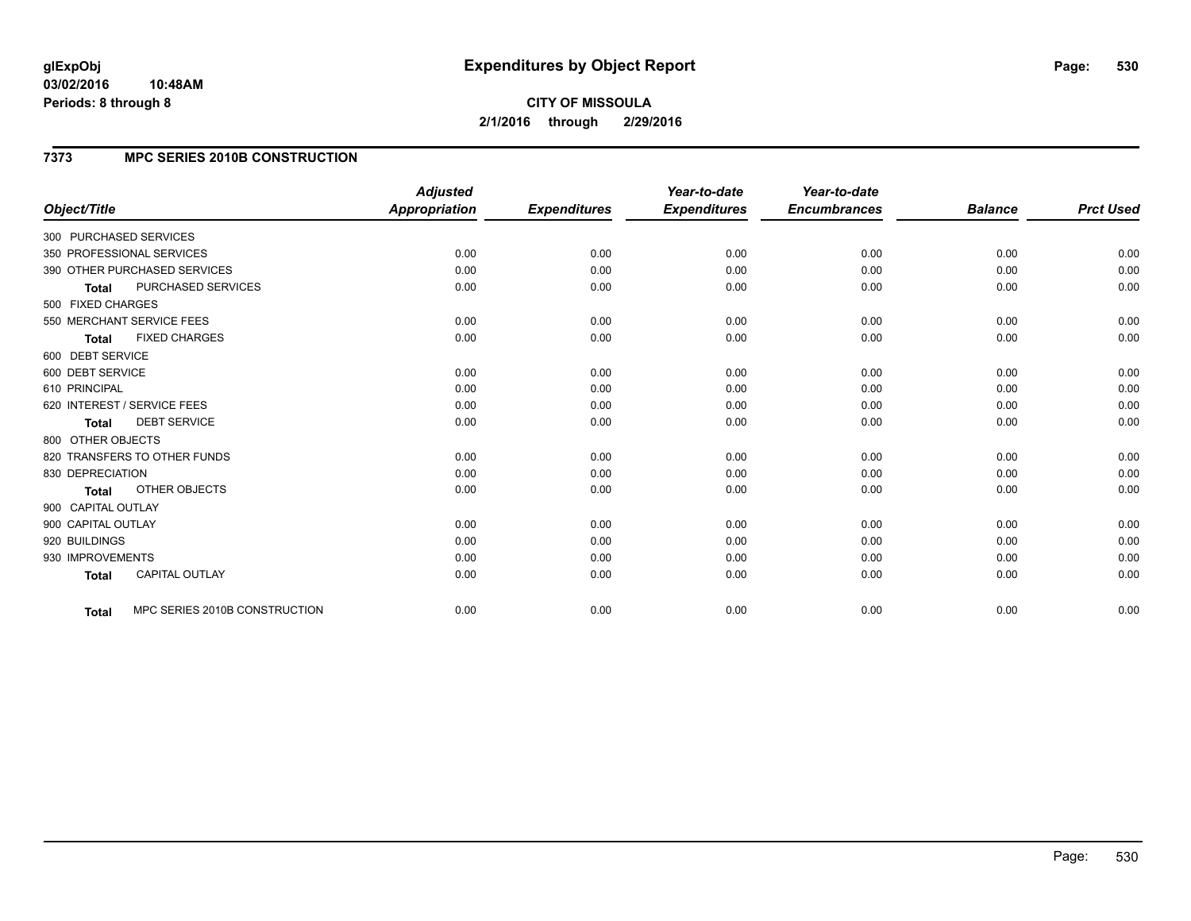**CITY OF MISSOULA 2/1/2016 through 2/29/2016**

## **7373 MPC SERIES 2010B CONSTRUCTION**

|                                               | <b>Adjusted</b> |                     | Year-to-date        | Year-to-date        |                |                  |
|-----------------------------------------------|-----------------|---------------------|---------------------|---------------------|----------------|------------------|
| Object/Title                                  | Appropriation   | <b>Expenditures</b> | <b>Expenditures</b> | <b>Encumbrances</b> | <b>Balance</b> | <b>Prct Used</b> |
| 300 PURCHASED SERVICES                        |                 |                     |                     |                     |                |                  |
| 350 PROFESSIONAL SERVICES                     | 0.00            | 0.00                | 0.00                | 0.00                | 0.00           | 0.00             |
| 390 OTHER PURCHASED SERVICES                  | 0.00            | 0.00                | 0.00                | 0.00                | 0.00           | 0.00             |
| PURCHASED SERVICES<br><b>Total</b>            | 0.00            | 0.00                | 0.00                | 0.00                | 0.00           | 0.00             |
| 500 FIXED CHARGES                             |                 |                     |                     |                     |                |                  |
| 550 MERCHANT SERVICE FEES                     | 0.00            | 0.00                | 0.00                | 0.00                | 0.00           | 0.00             |
| <b>FIXED CHARGES</b><br><b>Total</b>          | 0.00            | 0.00                | 0.00                | 0.00                | 0.00           | 0.00             |
| 600 DEBT SERVICE                              |                 |                     |                     |                     |                |                  |
| 600 DEBT SERVICE                              | 0.00            | 0.00                | 0.00                | 0.00                | 0.00           | 0.00             |
| 610 PRINCIPAL                                 | 0.00            | 0.00                | 0.00                | 0.00                | 0.00           | 0.00             |
| 620 INTEREST / SERVICE FEES                   | 0.00            | 0.00                | 0.00                | 0.00                | 0.00           | 0.00             |
| <b>DEBT SERVICE</b><br><b>Total</b>           | 0.00            | 0.00                | 0.00                | 0.00                | 0.00           | 0.00             |
| 800 OTHER OBJECTS                             |                 |                     |                     |                     |                |                  |
| 820 TRANSFERS TO OTHER FUNDS                  | 0.00            | 0.00                | 0.00                | 0.00                | 0.00           | 0.00             |
| 830 DEPRECIATION                              | 0.00            | 0.00                | 0.00                | 0.00                | 0.00           | 0.00             |
| <b>OTHER OBJECTS</b><br><b>Total</b>          | 0.00            | 0.00                | 0.00                | 0.00                | 0.00           | 0.00             |
| 900 CAPITAL OUTLAY                            |                 |                     |                     |                     |                |                  |
| 900 CAPITAL OUTLAY                            | 0.00            | 0.00                | 0.00                | 0.00                | 0.00           | 0.00             |
| 920 BUILDINGS                                 | 0.00            | 0.00                | 0.00                | 0.00                | 0.00           | 0.00             |
| 930 IMPROVEMENTS                              | 0.00            | 0.00                | 0.00                | 0.00                | 0.00           | 0.00             |
| <b>CAPITAL OUTLAY</b><br><b>Total</b>         | 0.00            | 0.00                | 0.00                | 0.00                | 0.00           | 0.00             |
| MPC SERIES 2010B CONSTRUCTION<br><b>Total</b> | 0.00            | 0.00                | 0.00                | 0.00                | 0.00           | 0.00             |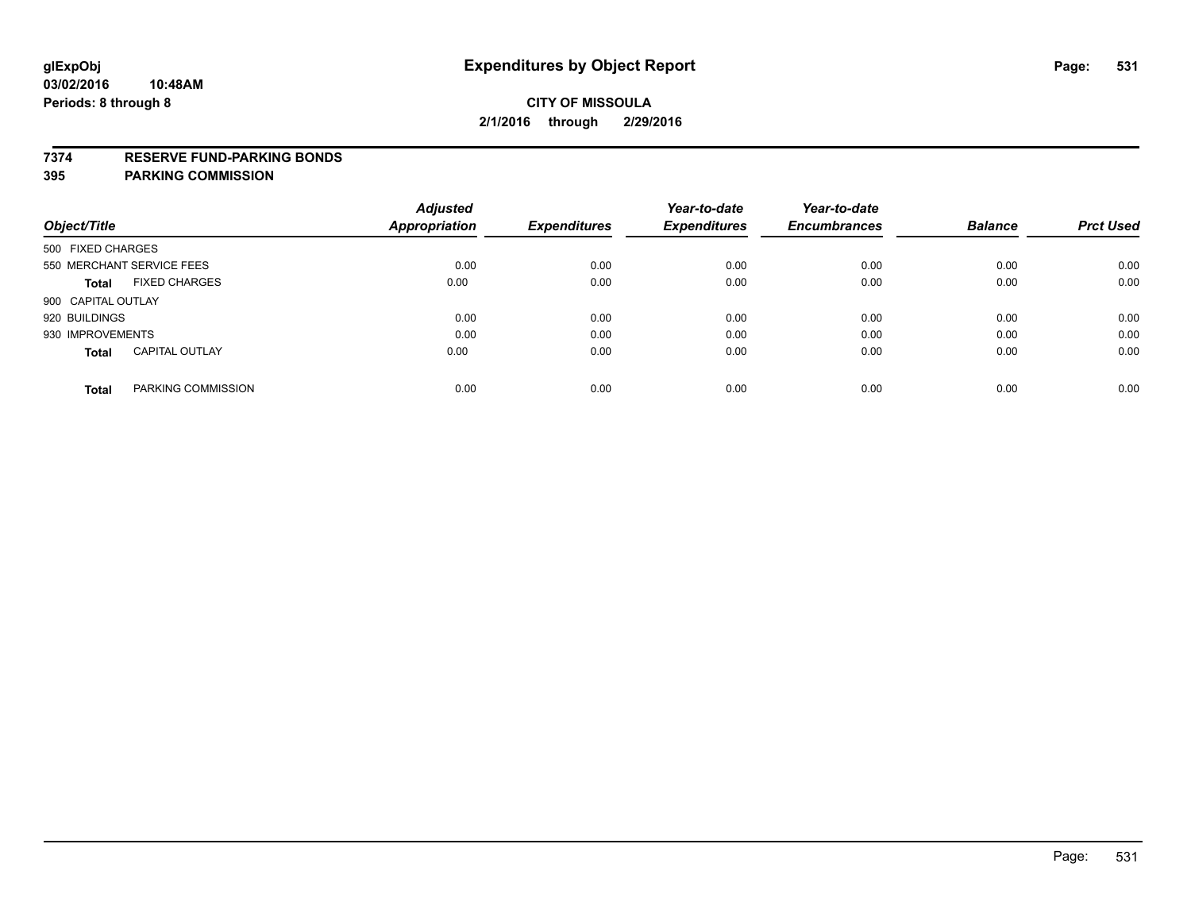### **7374 RESERVE FUND-PARKING BONDS**

|                    |                           | <b>Adjusted</b>      |                     | Year-to-date        | Year-to-date        |                |                  |
|--------------------|---------------------------|----------------------|---------------------|---------------------|---------------------|----------------|------------------|
| Object/Title       |                           | <b>Appropriation</b> | <b>Expenditures</b> | <b>Expenditures</b> | <b>Encumbrances</b> | <b>Balance</b> | <b>Prct Used</b> |
| 500 FIXED CHARGES  |                           |                      |                     |                     |                     |                |                  |
|                    | 550 MERCHANT SERVICE FEES | 0.00                 | 0.00                | 0.00                | 0.00                | 0.00           | 0.00             |
| <b>Total</b>       | <b>FIXED CHARGES</b>      | 0.00                 | 0.00                | 0.00                | 0.00                | 0.00           | 0.00             |
| 900 CAPITAL OUTLAY |                           |                      |                     |                     |                     |                |                  |
| 920 BUILDINGS      |                           | 0.00                 | 0.00                | 0.00                | 0.00                | 0.00           | 0.00             |
| 930 IMPROVEMENTS   |                           | 0.00                 | 0.00                | 0.00                | 0.00                | 0.00           | 0.00             |
| <b>Total</b>       | <b>CAPITAL OUTLAY</b>     | 0.00                 | 0.00                | 0.00                | 0.00                | 0.00           | 0.00             |
| <b>Total</b>       | PARKING COMMISSION        | 0.00                 | 0.00                | 0.00                | 0.00                | 0.00           | 0.00             |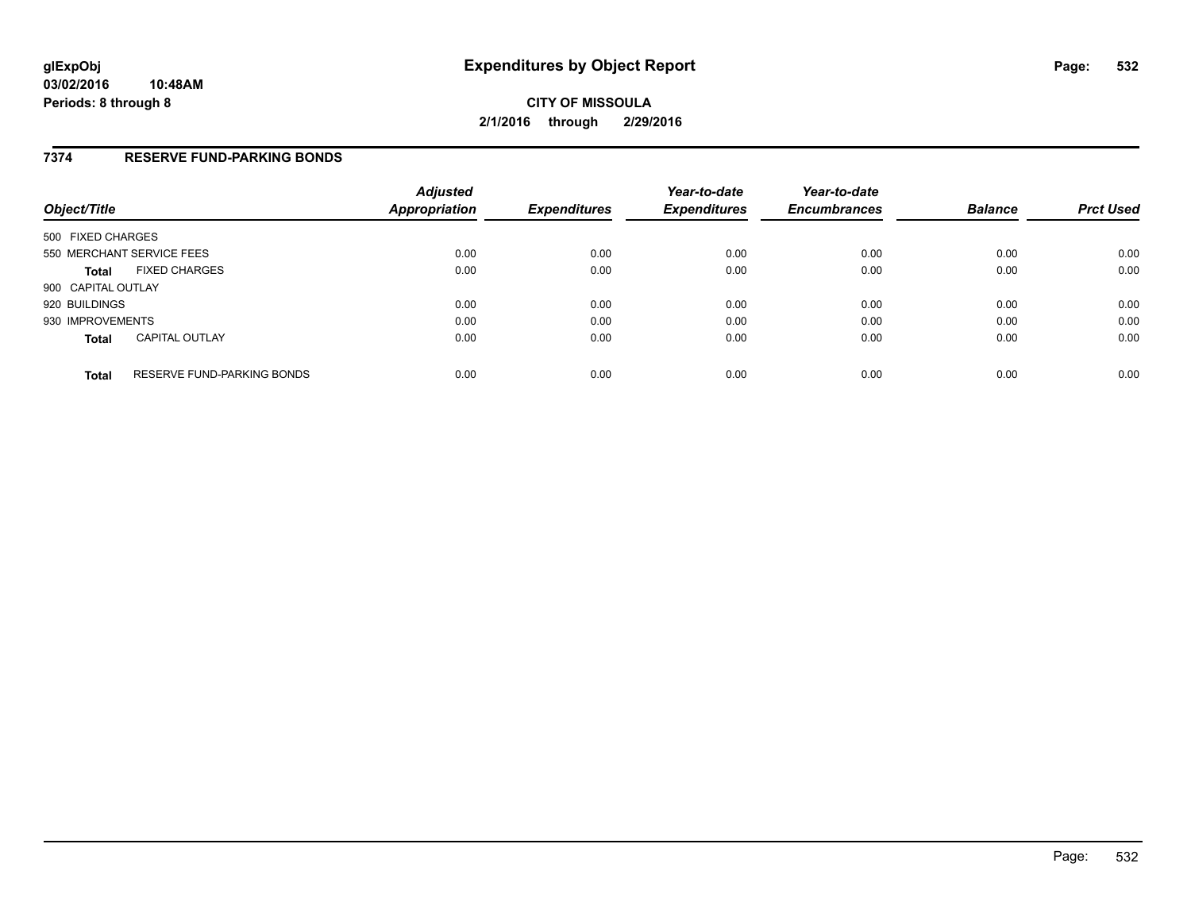### **7374 RESERVE FUND-PARKING BONDS**

| Object/Title              |                                   | <b>Adjusted</b><br><b>Appropriation</b> | <b>Expenditures</b> | Year-to-date<br><b>Expenditures</b> | Year-to-date<br><b>Encumbrances</b> | <b>Balance</b> | <b>Prct Used</b> |
|---------------------------|-----------------------------------|-----------------------------------------|---------------------|-------------------------------------|-------------------------------------|----------------|------------------|
| 500 FIXED CHARGES         |                                   |                                         |                     |                                     |                                     |                |                  |
| 550 MERCHANT SERVICE FEES |                                   | 0.00                                    | 0.00                | 0.00                                | 0.00                                | 0.00           | 0.00             |
| <b>Total</b>              | <b>FIXED CHARGES</b>              | 0.00                                    | 0.00                | 0.00                                | 0.00                                | 0.00           | 0.00             |
| 900 CAPITAL OUTLAY        |                                   |                                         |                     |                                     |                                     |                |                  |
| 920 BUILDINGS             |                                   | 0.00                                    | 0.00                | 0.00                                | 0.00                                | 0.00           | 0.00             |
| 930 IMPROVEMENTS          |                                   | 0.00                                    | 0.00                | 0.00                                | 0.00                                | 0.00           | 0.00             |
| <b>Total</b>              | <b>CAPITAL OUTLAY</b>             | 0.00                                    | 0.00                | 0.00                                | 0.00                                | 0.00           | 0.00             |
| <b>Total</b>              | <b>RESERVE FUND-PARKING BONDS</b> | 0.00                                    | 0.00                | 0.00                                | 0.00                                | 0.00           | 0.00             |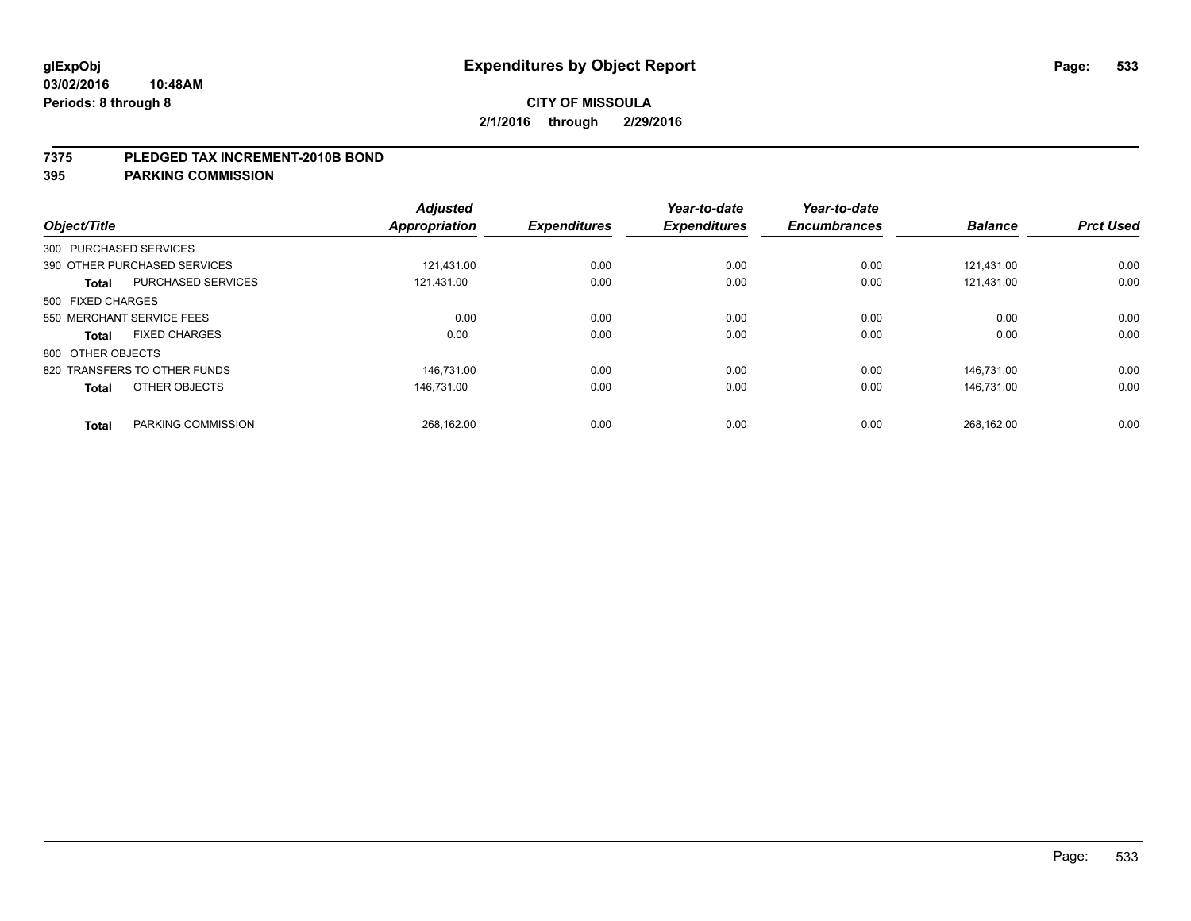## **CITY OF MISSOULA 2/1/2016 through 2/29/2016**

### **7375 PLEDGED TAX INCREMENT-2010B BOND**

| Object/Title      |                              | <b>Adjusted</b><br><b>Appropriation</b> | <b>Expenditures</b> | Year-to-date<br><b>Expenditures</b> | Year-to-date<br><b>Encumbrances</b> | <b>Balance</b> | <b>Prct Used</b> |
|-------------------|------------------------------|-----------------------------------------|---------------------|-------------------------------------|-------------------------------------|----------------|------------------|
|                   | 300 PURCHASED SERVICES       |                                         |                     |                                     |                                     |                |                  |
|                   | 390 OTHER PURCHASED SERVICES | 121.431.00                              | 0.00                | 0.00                                | 0.00                                | 121.431.00     | 0.00             |
| <b>Total</b>      | <b>PURCHASED SERVICES</b>    | 121,431.00                              | 0.00                | 0.00                                | 0.00                                | 121.431.00     | 0.00             |
| 500 FIXED CHARGES |                              |                                         |                     |                                     |                                     |                |                  |
|                   | 550 MERCHANT SERVICE FEES    | 0.00                                    | 0.00                | 0.00                                | 0.00                                | 0.00           | 0.00             |
| <b>Total</b>      | <b>FIXED CHARGES</b>         | 0.00                                    | 0.00                | 0.00                                | 0.00                                | 0.00           | 0.00             |
| 800 OTHER OBJECTS |                              |                                         |                     |                                     |                                     |                |                  |
|                   | 820 TRANSFERS TO OTHER FUNDS | 146.731.00                              | 0.00                | 0.00                                | 0.00                                | 146.731.00     | 0.00             |
| <b>Total</b>      | OTHER OBJECTS                | 146,731.00                              | 0.00                | 0.00                                | 0.00                                | 146,731.00     | 0.00             |
|                   |                              |                                         |                     |                                     |                                     |                |                  |
| <b>Total</b>      | PARKING COMMISSION           | 268,162.00                              | 0.00                | 0.00                                | 0.00                                | 268,162.00     | 0.00             |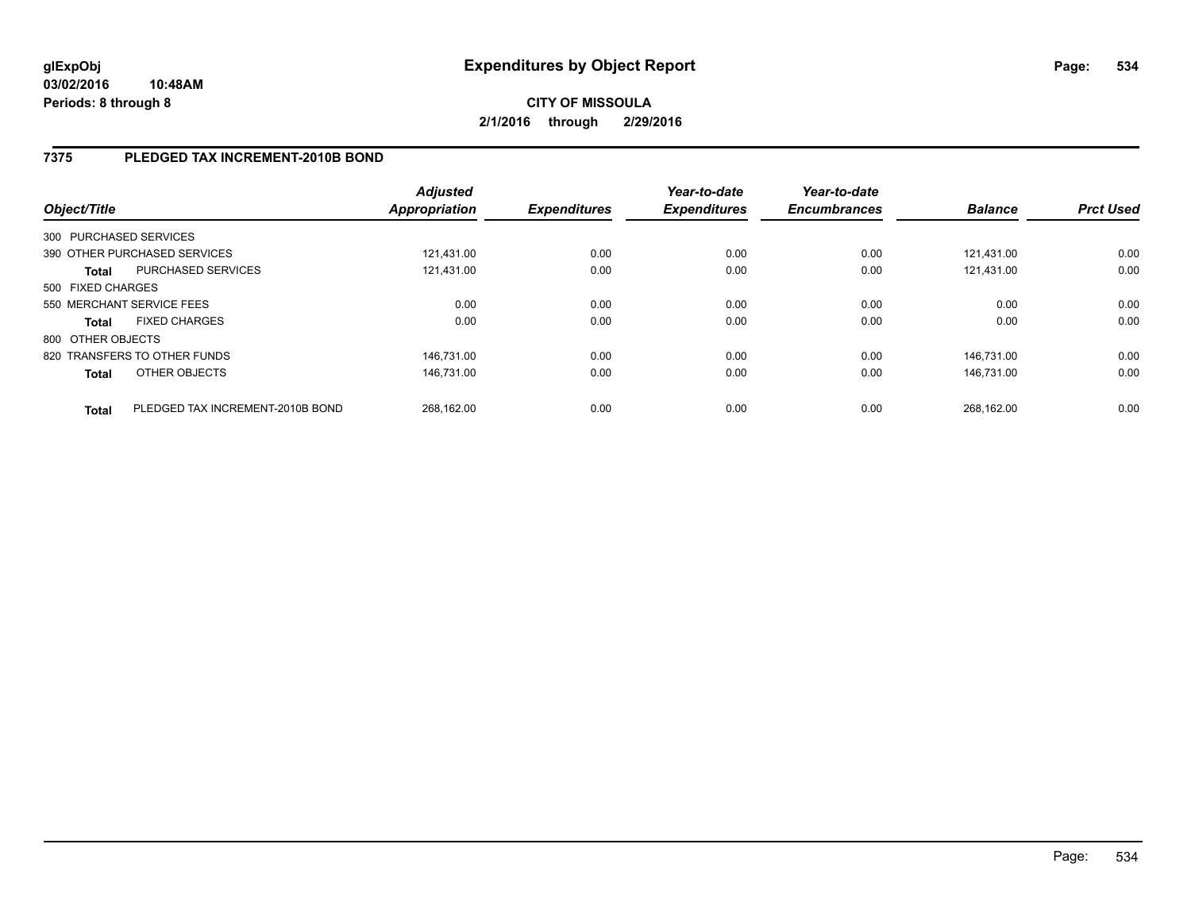# **7375 PLEDGED TAX INCREMENT-2010B BOND**

| Object/Title           |                                  | <b>Adjusted</b><br><b>Appropriation</b> | <b>Expenditures</b> | Year-to-date<br><b>Expenditures</b> | Year-to-date<br><b>Encumbrances</b> | <b>Balance</b> | <b>Prct Used</b> |
|------------------------|----------------------------------|-----------------------------------------|---------------------|-------------------------------------|-------------------------------------|----------------|------------------|
| 300 PURCHASED SERVICES |                                  |                                         |                     |                                     |                                     |                |                  |
|                        | 390 OTHER PURCHASED SERVICES     | 121.431.00                              | 0.00                | 0.00                                | 0.00                                | 121.431.00     | 0.00             |
| Total                  | PURCHASED SERVICES               | 121,431.00                              | 0.00                | 0.00                                | 0.00                                | 121.431.00     | 0.00             |
| 500 FIXED CHARGES      |                                  |                                         |                     |                                     |                                     |                |                  |
|                        | 550 MERCHANT SERVICE FEES        | 0.00                                    | 0.00                | 0.00                                | 0.00                                | 0.00           | 0.00             |
| Total                  | <b>FIXED CHARGES</b>             | 0.00                                    | 0.00                | 0.00                                | 0.00                                | 0.00           | 0.00             |
| 800 OTHER OBJECTS      |                                  |                                         |                     |                                     |                                     |                |                  |
|                        | 820 TRANSFERS TO OTHER FUNDS     | 146,731.00                              | 0.00                | 0.00                                | 0.00                                | 146.731.00     | 0.00             |
| <b>Total</b>           | OTHER OBJECTS                    | 146.731.00                              | 0.00                | 0.00                                | 0.00                                | 146.731.00     | 0.00             |
| <b>Total</b>           | PLEDGED TAX INCREMENT-2010B BOND | 268.162.00                              | 0.00                | 0.00                                | 0.00                                | 268.162.00     | 0.00             |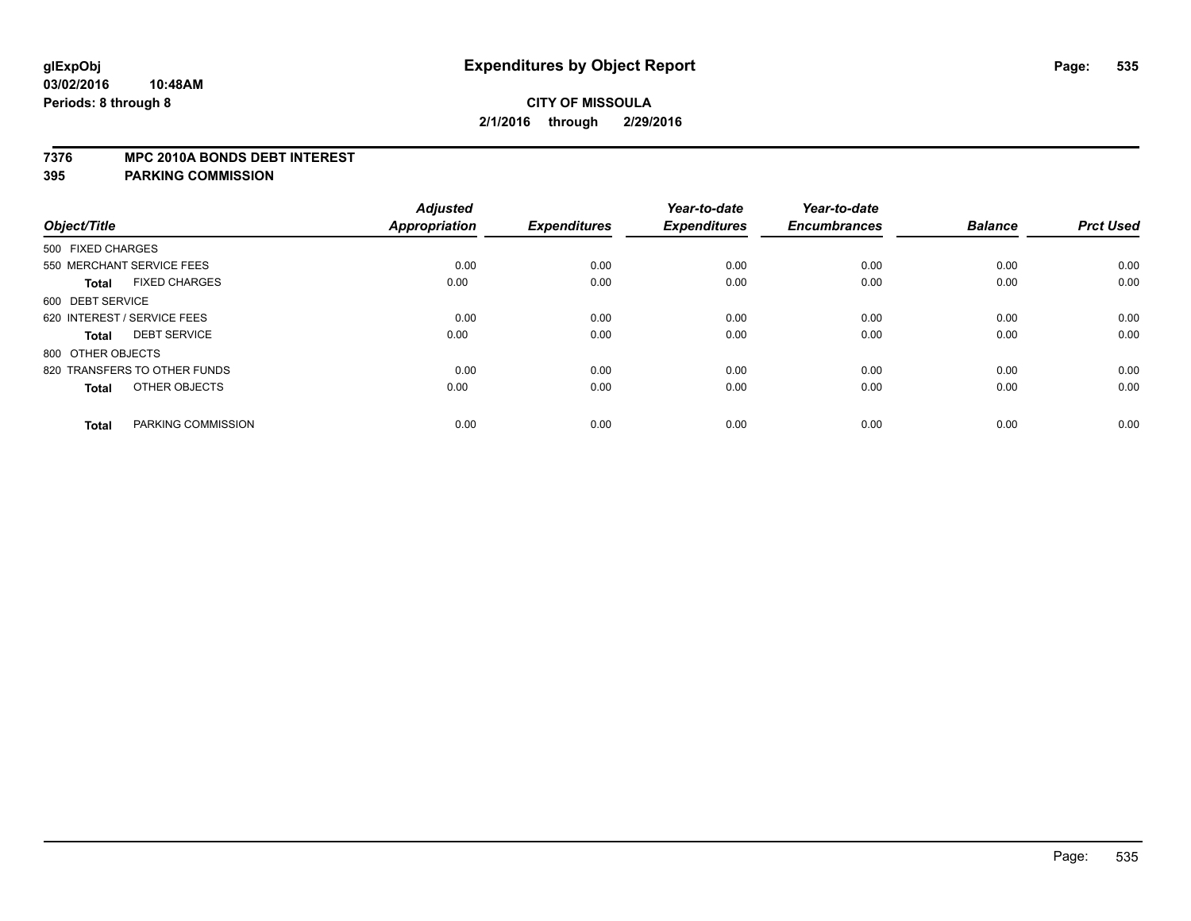### **7376 MPC 2010A BONDS DEBT INTEREST**

|                                      | <b>Adjusted</b> |                     | Year-to-date        | Year-to-date        |                |                  |
|--------------------------------------|-----------------|---------------------|---------------------|---------------------|----------------|------------------|
| Object/Title                         | Appropriation   | <b>Expenditures</b> | <b>Expenditures</b> | <b>Encumbrances</b> | <b>Balance</b> | <b>Prct Used</b> |
| 500 FIXED CHARGES                    |                 |                     |                     |                     |                |                  |
| 550 MERCHANT SERVICE FEES            | 0.00            | 0.00                | 0.00                | 0.00                | 0.00           | 0.00             |
| <b>FIXED CHARGES</b><br><b>Total</b> | 0.00            | 0.00                | 0.00                | 0.00                | 0.00           | 0.00             |
| 600 DEBT SERVICE                     |                 |                     |                     |                     |                |                  |
| 620 INTEREST / SERVICE FEES          | 0.00            | 0.00                | 0.00                | 0.00                | 0.00           | 0.00             |
| <b>DEBT SERVICE</b><br><b>Total</b>  | 0.00            | 0.00                | 0.00                | 0.00                | 0.00           | 0.00             |
| 800 OTHER OBJECTS                    |                 |                     |                     |                     |                |                  |
| 820 TRANSFERS TO OTHER FUNDS         | 0.00            | 0.00                | 0.00                | 0.00                | 0.00           | 0.00             |
| OTHER OBJECTS<br><b>Total</b>        | 0.00            | 0.00                | 0.00                | 0.00                | 0.00           | 0.00             |
|                                      |                 |                     |                     |                     |                |                  |
| PARKING COMMISSION<br><b>Total</b>   | 0.00            | 0.00                | 0.00                | 0.00                | 0.00           | 0.00             |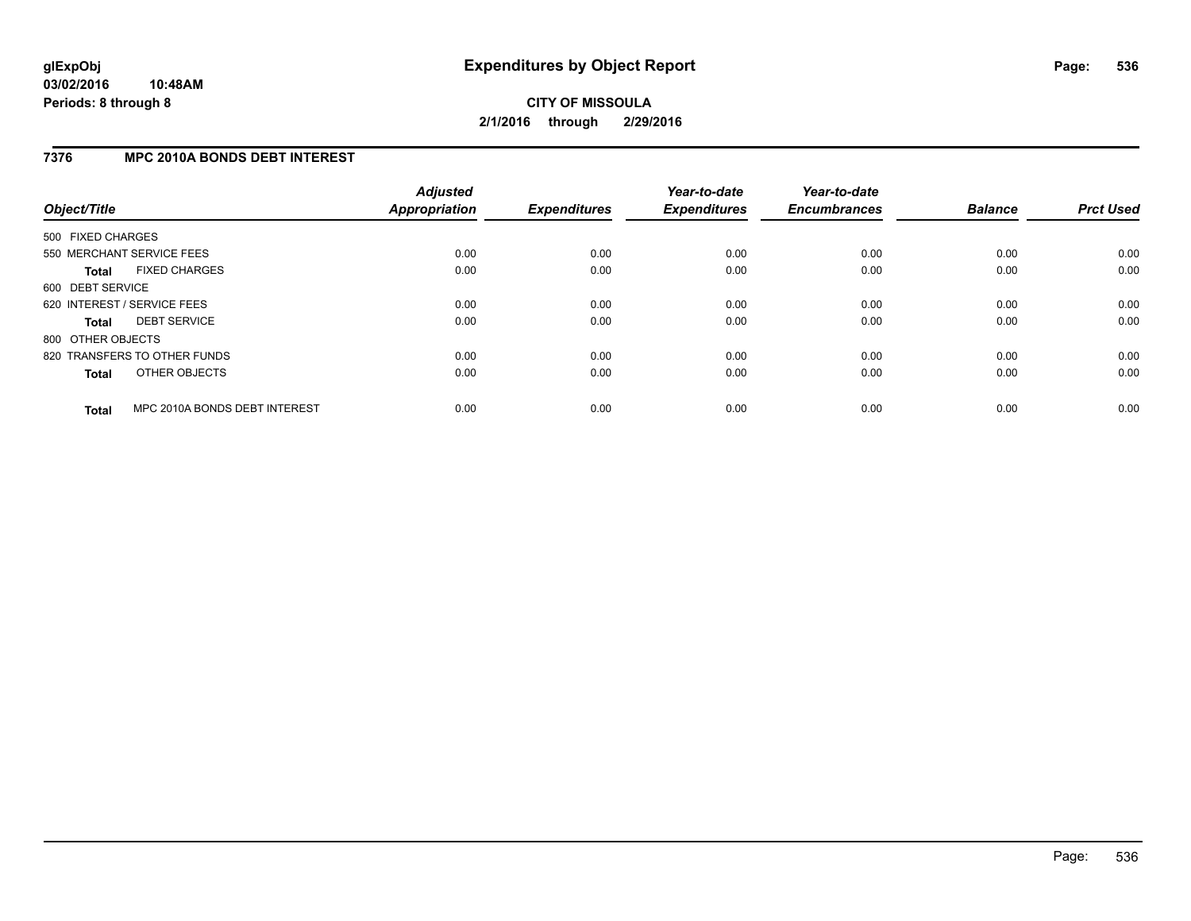# **7376 MPC 2010A BONDS DEBT INTEREST**

| Object/Title      |                               | <b>Adjusted</b><br><b>Appropriation</b> | <b>Expenditures</b> | Year-to-date<br><b>Expenditures</b> | Year-to-date<br><b>Encumbrances</b> | <b>Balance</b> | <b>Prct Used</b> |
|-------------------|-------------------------------|-----------------------------------------|---------------------|-------------------------------------|-------------------------------------|----------------|------------------|
| 500 FIXED CHARGES |                               |                                         |                     |                                     |                                     |                |                  |
|                   | 550 MERCHANT SERVICE FEES     | 0.00                                    | 0.00                | 0.00                                | 0.00                                | 0.00           | 0.00             |
| <b>Total</b>      | <b>FIXED CHARGES</b>          | 0.00                                    | 0.00                | 0.00                                | 0.00                                | 0.00           | 0.00             |
| 600 DEBT SERVICE  |                               |                                         |                     |                                     |                                     |                |                  |
|                   | 620 INTEREST / SERVICE FEES   | 0.00                                    | 0.00                | 0.00                                | 0.00                                | 0.00           | 0.00             |
| <b>Total</b>      | <b>DEBT SERVICE</b>           | 0.00                                    | 0.00                | 0.00                                | 0.00                                | 0.00           | 0.00             |
| 800 OTHER OBJECTS |                               |                                         |                     |                                     |                                     |                |                  |
|                   | 820 TRANSFERS TO OTHER FUNDS  | 0.00                                    | 0.00                | 0.00                                | 0.00                                | 0.00           | 0.00             |
| <b>Total</b>      | OTHER OBJECTS                 | 0.00                                    | 0.00                | 0.00                                | 0.00                                | 0.00           | 0.00             |
| <b>Total</b>      | MPC 2010A BONDS DEBT INTEREST | 0.00                                    | 0.00                | 0.00                                | 0.00                                | 0.00           | 0.00             |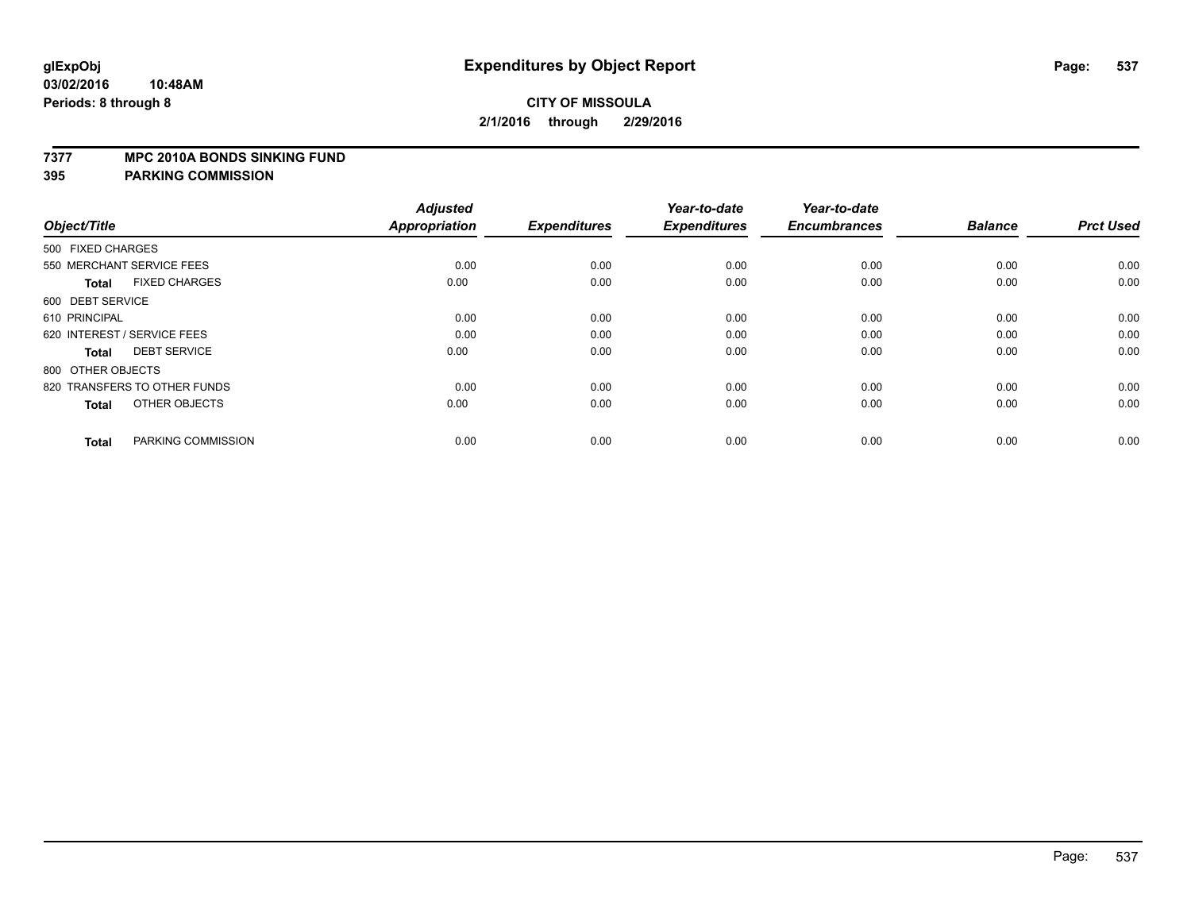### **7377 MPC 2010A BONDS SINKING FUND**

| Object/Title                         | <b>Adjusted</b><br><b>Appropriation</b> | <b>Expenditures</b> | Year-to-date<br><b>Expenditures</b> | Year-to-date<br><b>Encumbrances</b> | <b>Balance</b> | <b>Prct Used</b> |
|--------------------------------------|-----------------------------------------|---------------------|-------------------------------------|-------------------------------------|----------------|------------------|
| 500 FIXED CHARGES                    |                                         |                     |                                     |                                     |                |                  |
| 550 MERCHANT SERVICE FEES            | 0.00                                    | 0.00                | 0.00                                | 0.00                                | 0.00           | 0.00             |
| <b>FIXED CHARGES</b><br><b>Total</b> | 0.00                                    | 0.00                | 0.00                                | 0.00                                | 0.00           | 0.00             |
| 600 DEBT SERVICE                     |                                         |                     |                                     |                                     |                |                  |
| 610 PRINCIPAL                        | 0.00                                    | 0.00                | 0.00                                | 0.00                                | 0.00           | 0.00             |
| 620 INTEREST / SERVICE FEES          | 0.00                                    | 0.00                | 0.00                                | 0.00                                | 0.00           | 0.00             |
| <b>DEBT SERVICE</b><br><b>Total</b>  | 0.00                                    | 0.00                | 0.00                                | 0.00                                | 0.00           | 0.00             |
| 800 OTHER OBJECTS                    |                                         |                     |                                     |                                     |                |                  |
| 820 TRANSFERS TO OTHER FUNDS         | 0.00                                    | 0.00                | 0.00                                | 0.00                                | 0.00           | 0.00             |
| OTHER OBJECTS<br><b>Total</b>        | 0.00                                    | 0.00                | 0.00                                | 0.00                                | 0.00           | 0.00             |
|                                      |                                         |                     |                                     |                                     |                |                  |
| PARKING COMMISSION<br><b>Total</b>   | 0.00                                    | 0.00                | 0.00                                | 0.00                                | 0.00           | 0.00             |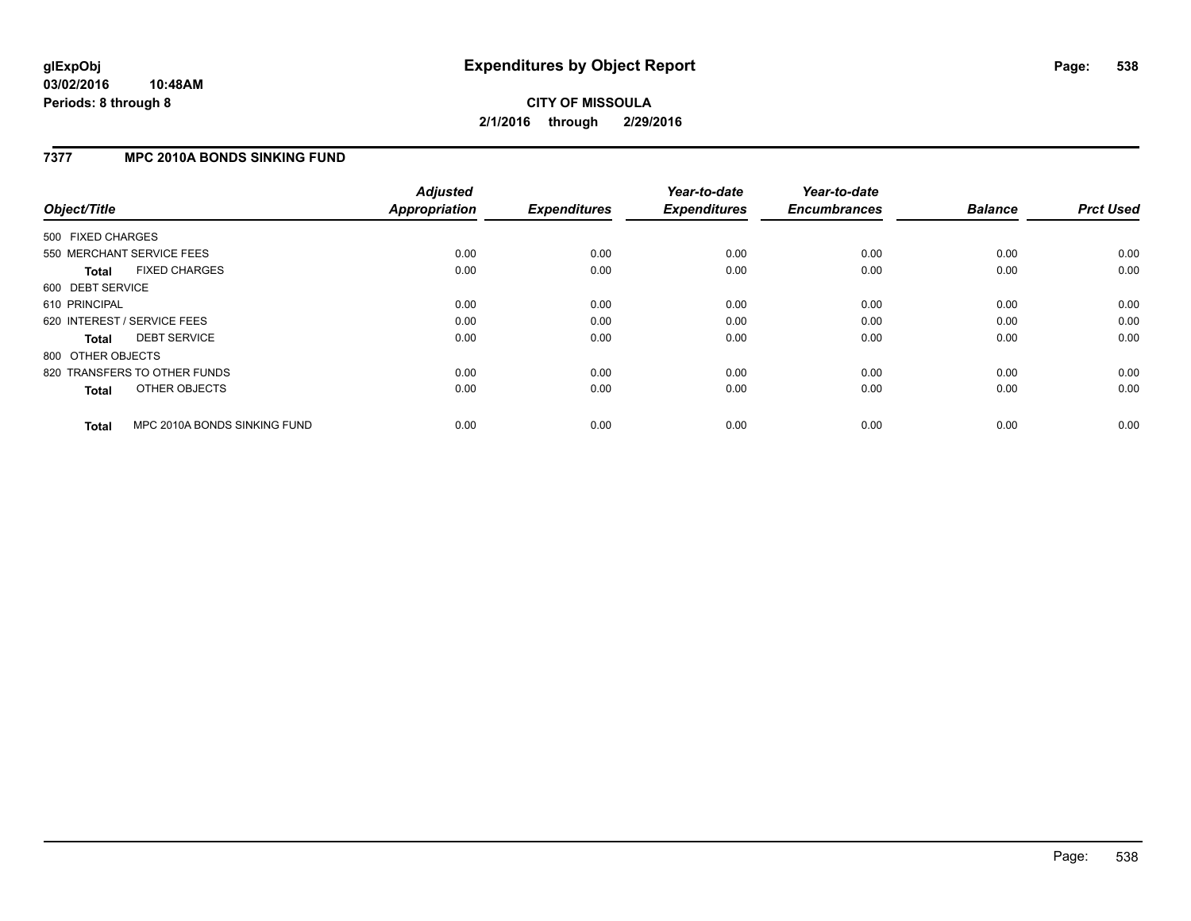# **CITY OF MISSOULA 2/1/2016 through 2/29/2016**

## **7377 MPC 2010A BONDS SINKING FUND**

| Object/Title      |                              | <b>Adjusted</b><br><b>Appropriation</b> | <b>Expenditures</b> | Year-to-date<br><b>Expenditures</b> | Year-to-date<br><b>Encumbrances</b> | <b>Balance</b> | <b>Prct Used</b> |
|-------------------|------------------------------|-----------------------------------------|---------------------|-------------------------------------|-------------------------------------|----------------|------------------|
| 500 FIXED CHARGES |                              |                                         |                     |                                     |                                     |                |                  |
|                   | 550 MERCHANT SERVICE FEES    | 0.00                                    | 0.00                | 0.00                                | 0.00                                | 0.00           | 0.00             |
| <b>Total</b>      | <b>FIXED CHARGES</b>         | 0.00                                    | 0.00                | 0.00                                | 0.00                                | 0.00           | 0.00             |
| 600 DEBT SERVICE  |                              |                                         |                     |                                     |                                     |                |                  |
| 610 PRINCIPAL     |                              | 0.00                                    | 0.00                | 0.00                                | 0.00                                | 0.00           | 0.00             |
|                   | 620 INTEREST / SERVICE FEES  | 0.00                                    | 0.00                | 0.00                                | 0.00                                | 0.00           | 0.00             |
| Total             | <b>DEBT SERVICE</b>          | 0.00                                    | 0.00                | 0.00                                | 0.00                                | 0.00           | 0.00             |
| 800 OTHER OBJECTS |                              |                                         |                     |                                     |                                     |                |                  |
|                   | 820 TRANSFERS TO OTHER FUNDS | 0.00                                    | 0.00                | 0.00                                | 0.00                                | 0.00           | 0.00             |
| <b>Total</b>      | OTHER OBJECTS                | 0.00                                    | 0.00                | 0.00                                | 0.00                                | 0.00           | 0.00             |
| <b>Total</b>      | MPC 2010A BONDS SINKING FUND | 0.00                                    | 0.00                | 0.00                                | 0.00                                | 0.00           | 0.00             |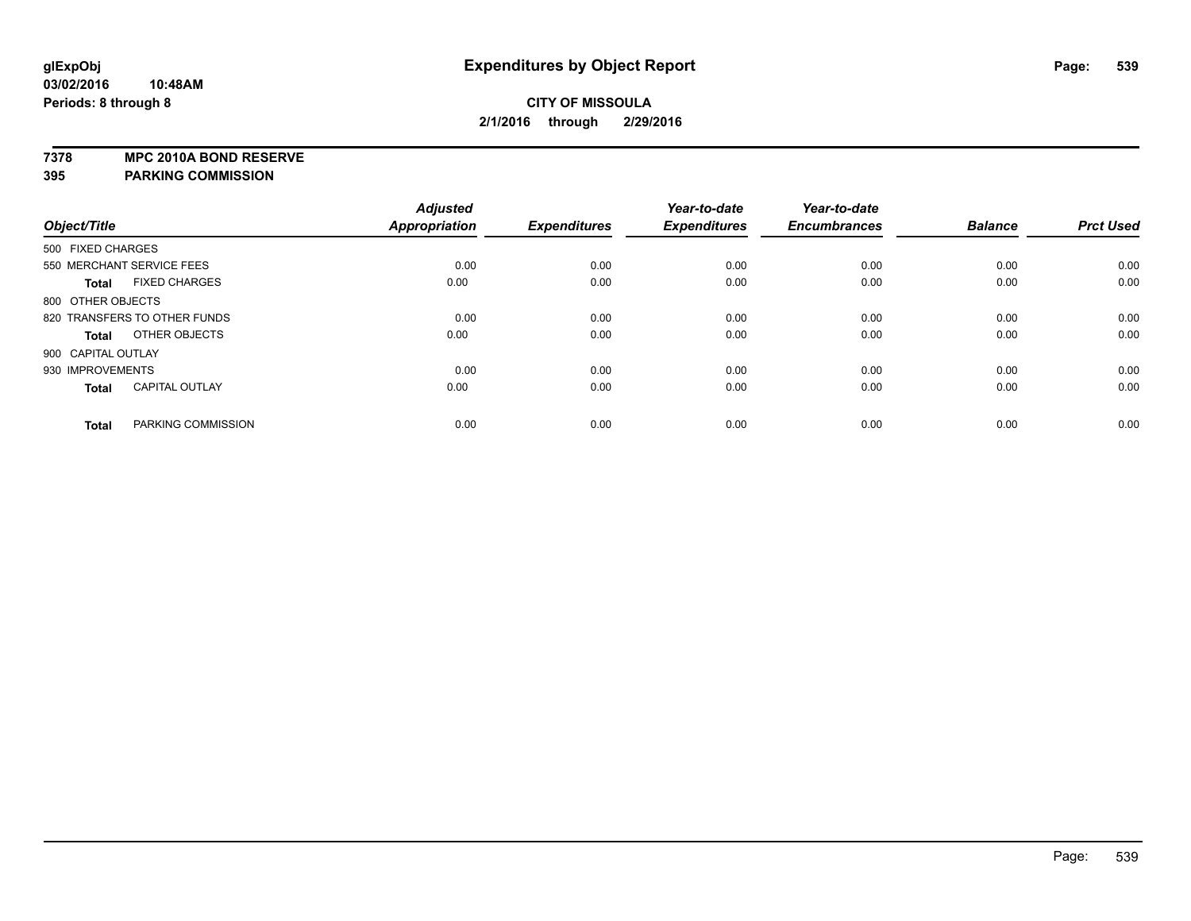**7378 MPC 2010A BOND RESERVE**

|                           |                              | <b>Adjusted</b>      |                     | Year-to-date        | Year-to-date        |                |                  |
|---------------------------|------------------------------|----------------------|---------------------|---------------------|---------------------|----------------|------------------|
| Object/Title              |                              | <b>Appropriation</b> | <b>Expenditures</b> | <b>Expenditures</b> | <b>Encumbrances</b> | <b>Balance</b> | <b>Prct Used</b> |
| 500 FIXED CHARGES         |                              |                      |                     |                     |                     |                |                  |
| 550 MERCHANT SERVICE FEES |                              | 0.00                 | 0.00                | 0.00                | 0.00                | 0.00           | 0.00             |
| <b>Total</b>              | <b>FIXED CHARGES</b>         | 0.00                 | 0.00                | 0.00                | 0.00                | 0.00           | 0.00             |
| 800 OTHER OBJECTS         |                              |                      |                     |                     |                     |                |                  |
|                           | 820 TRANSFERS TO OTHER FUNDS | 0.00                 | 0.00                | 0.00                | 0.00                | 0.00           | 0.00             |
| <b>Total</b>              | OTHER OBJECTS                | 0.00                 | 0.00                | 0.00                | 0.00                | 0.00           | 0.00             |
| 900 CAPITAL OUTLAY        |                              |                      |                     |                     |                     |                |                  |
| 930 IMPROVEMENTS          |                              | 0.00                 | 0.00                | 0.00                | 0.00                | 0.00           | 0.00             |
| <b>Total</b>              | <b>CAPITAL OUTLAY</b>        | 0.00                 | 0.00                | 0.00                | 0.00                | 0.00           | 0.00             |
| <b>Total</b>              | PARKING COMMISSION           | 0.00                 | 0.00                | 0.00                | 0.00                | 0.00           | 0.00             |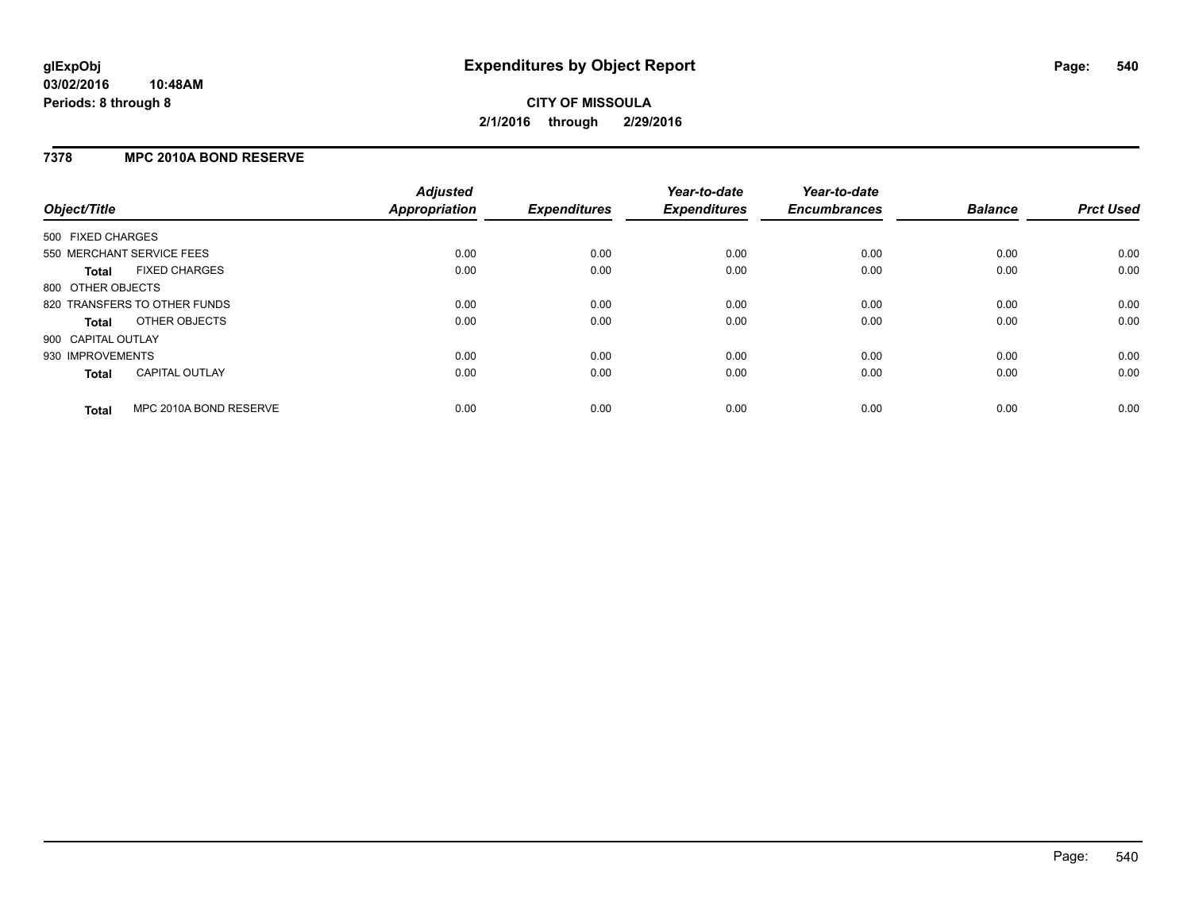## **7378 MPC 2010A BOND RESERVE**

| Object/Title              |                              | <b>Adjusted</b><br>Appropriation | <b>Expenditures</b> | Year-to-date<br><b>Expenditures</b> | Year-to-date<br><b>Encumbrances</b> | <b>Balance</b> | <b>Prct Used</b> |
|---------------------------|------------------------------|----------------------------------|---------------------|-------------------------------------|-------------------------------------|----------------|------------------|
| 500 FIXED CHARGES         |                              |                                  |                     |                                     |                                     |                |                  |
| 550 MERCHANT SERVICE FEES |                              | 0.00                             | 0.00                | 0.00                                | 0.00                                | 0.00           | 0.00             |
| Total                     | <b>FIXED CHARGES</b>         | 0.00                             | 0.00                | 0.00                                | 0.00                                | 0.00           | 0.00             |
| 800 OTHER OBJECTS         |                              |                                  |                     |                                     |                                     |                |                  |
|                           | 820 TRANSFERS TO OTHER FUNDS | 0.00                             | 0.00                | 0.00                                | 0.00                                | 0.00           | 0.00             |
| Total                     | OTHER OBJECTS                | 0.00                             | 0.00                | 0.00                                | 0.00                                | 0.00           | 0.00             |
| 900 CAPITAL OUTLAY        |                              |                                  |                     |                                     |                                     |                |                  |
| 930 IMPROVEMENTS          |                              | 0.00                             | 0.00                | 0.00                                | 0.00                                | 0.00           | 0.00             |
| Total                     | <b>CAPITAL OUTLAY</b>        | 0.00                             | 0.00                | 0.00                                | 0.00                                | 0.00           | 0.00             |
| <b>Total</b>              | MPC 2010A BOND RESERVE       | 0.00                             | 0.00                | 0.00                                | 0.00                                | 0.00           | 0.00             |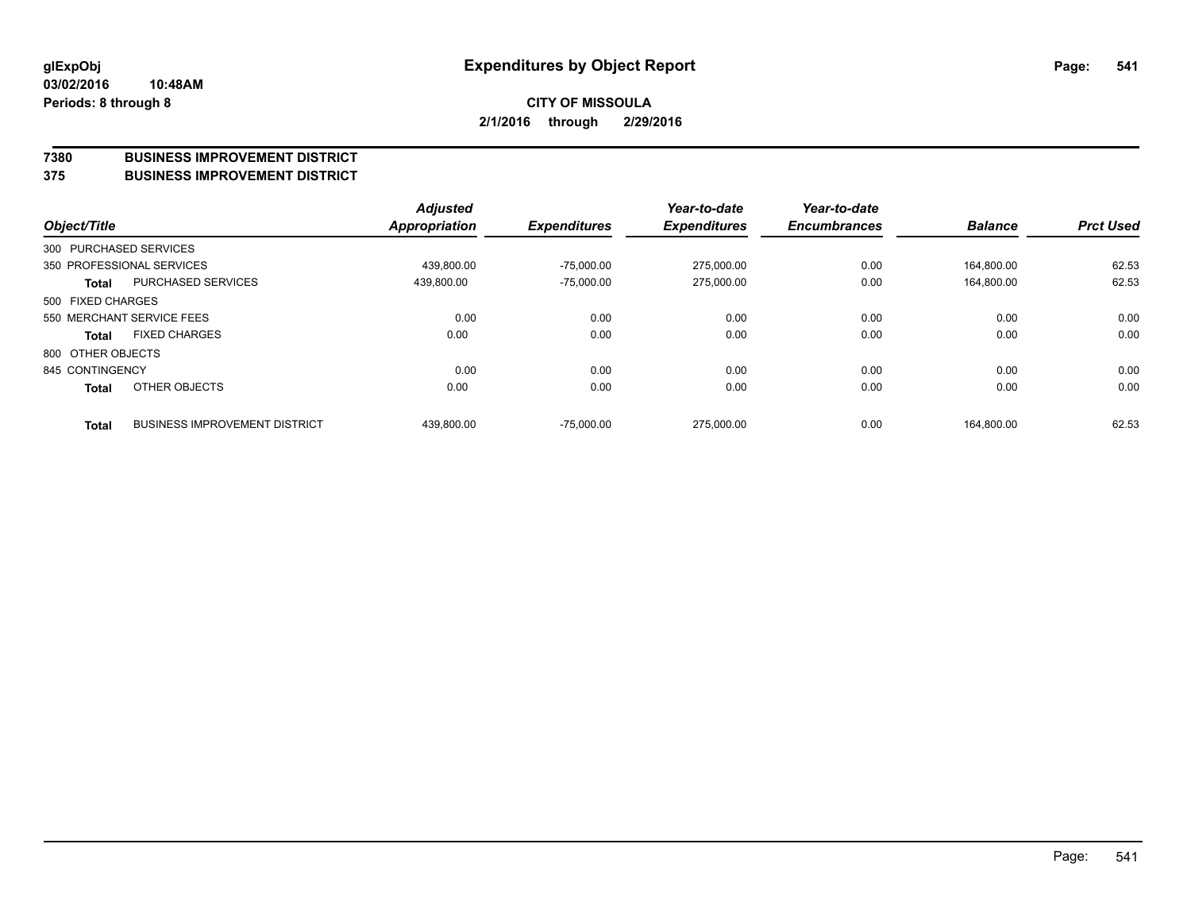#### **7380 BUSINESS IMPROVEMENT DISTRICT**

**375 BUSINESS IMPROVEMENT DISTRICT**

| Object/Title      |                                      | <b>Adjusted</b><br><b>Appropriation</b> | <b>Expenditures</b> | Year-to-date<br><b>Expenditures</b> | Year-to-date<br><b>Encumbrances</b> | <b>Balance</b> | <b>Prct Used</b> |
|-------------------|--------------------------------------|-----------------------------------------|---------------------|-------------------------------------|-------------------------------------|----------------|------------------|
|                   | 300 PURCHASED SERVICES               |                                         |                     |                                     |                                     |                |                  |
|                   | 350 PROFESSIONAL SERVICES            | 439.800.00                              | $-75.000.00$        | 275.000.00                          | 0.00                                | 164.800.00     | 62.53            |
| Total             | PURCHASED SERVICES                   | 439,800.00                              | $-75,000.00$        | 275,000.00                          | 0.00                                | 164,800.00     | 62.53            |
| 500 FIXED CHARGES |                                      |                                         |                     |                                     |                                     |                |                  |
|                   | 550 MERCHANT SERVICE FEES            | 0.00                                    | 0.00                | 0.00                                | 0.00                                | 0.00           | 0.00             |
| <b>Total</b>      | <b>FIXED CHARGES</b>                 | 0.00                                    | 0.00                | 0.00                                | 0.00                                | 0.00           | 0.00             |
| 800 OTHER OBJECTS |                                      |                                         |                     |                                     |                                     |                |                  |
| 845 CONTINGENCY   |                                      | 0.00                                    | 0.00                | 0.00                                | 0.00                                | 0.00           | 0.00             |
| <b>Total</b>      | OTHER OBJECTS                        | 0.00                                    | 0.00                | 0.00                                | 0.00                                | 0.00           | 0.00             |
| <b>Total</b>      | <b>BUSINESS IMPROVEMENT DISTRICT</b> | 439.800.00                              | $-75.000.00$        | 275.000.00                          | 0.00                                | 164.800.00     | 62.53            |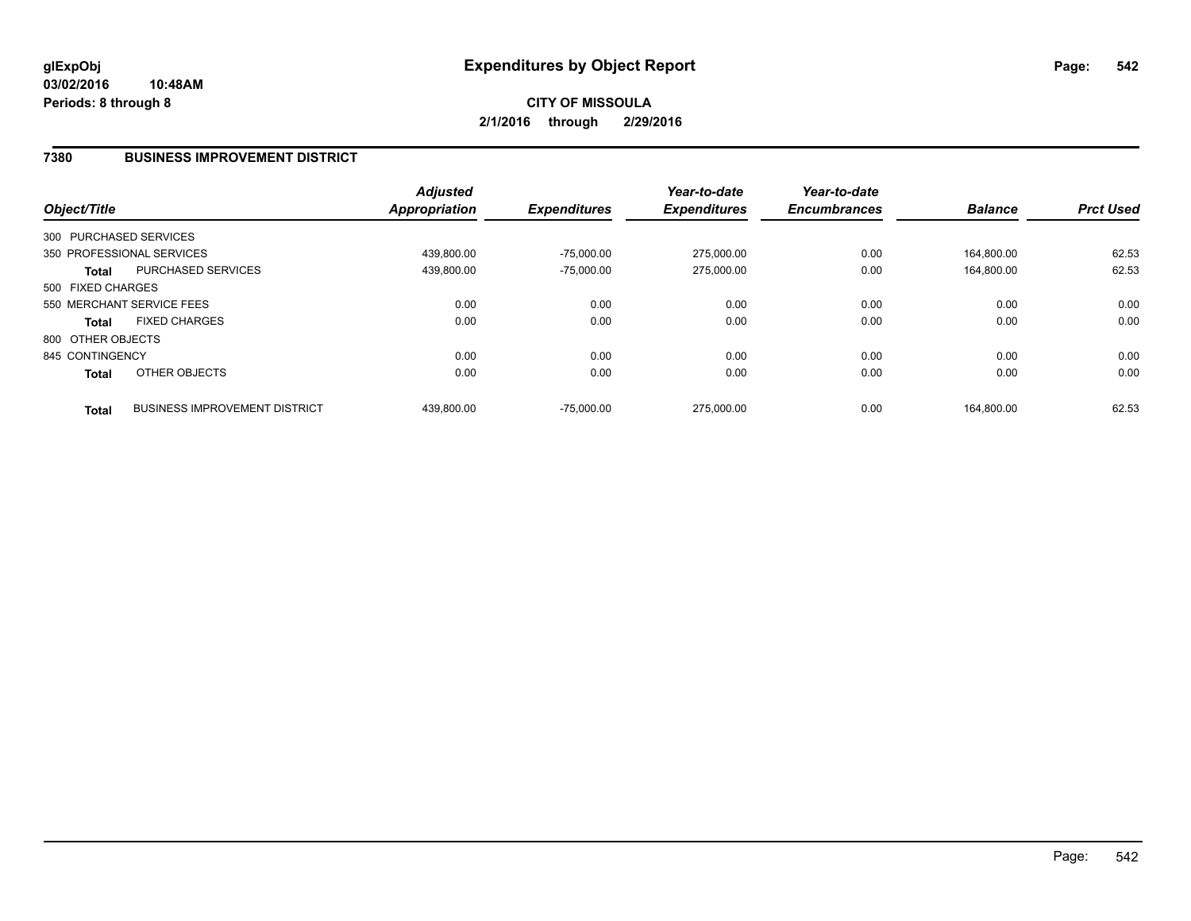## **7380 BUSINESS IMPROVEMENT DISTRICT**

| Object/Title      |                                      | <b>Adjusted</b><br><b>Appropriation</b> | <b>Expenditures</b> | Year-to-date<br><b>Expenditures</b> | Year-to-date<br><b>Encumbrances</b> | <b>Balance</b> | <b>Prct Used</b> |
|-------------------|--------------------------------------|-----------------------------------------|---------------------|-------------------------------------|-------------------------------------|----------------|------------------|
|                   | 300 PURCHASED SERVICES               |                                         |                     |                                     |                                     |                |                  |
|                   | 350 PROFESSIONAL SERVICES            | 439.800.00                              | $-75.000.00$        | 275.000.00                          | 0.00                                | 164.800.00     | 62.53            |
| Total             | <b>PURCHASED SERVICES</b>            | 439.800.00                              | $-75.000.00$        | 275.000.00                          | 0.00                                | 164.800.00     | 62.53            |
| 500 FIXED CHARGES |                                      |                                         |                     |                                     |                                     |                |                  |
|                   | 550 MERCHANT SERVICE FEES            | 0.00                                    | 0.00                | 0.00                                | 0.00                                | 0.00           | 0.00             |
| <b>Total</b>      | <b>FIXED CHARGES</b>                 | 0.00                                    | 0.00                | 0.00                                | 0.00                                | 0.00           | 0.00             |
| 800 OTHER OBJECTS |                                      |                                         |                     |                                     |                                     |                |                  |
| 845 CONTINGENCY   |                                      | 0.00                                    | 0.00                | 0.00                                | 0.00                                | 0.00           | 0.00             |
| <b>Total</b>      | OTHER OBJECTS                        | 0.00                                    | 0.00                | 0.00                                | 0.00                                | 0.00           | 0.00             |
| <b>Total</b>      | <b>BUSINESS IMPROVEMENT DISTRICT</b> | 439.800.00                              | $-75.000.00$        | 275.000.00                          | 0.00                                | 164.800.00     | 62.53            |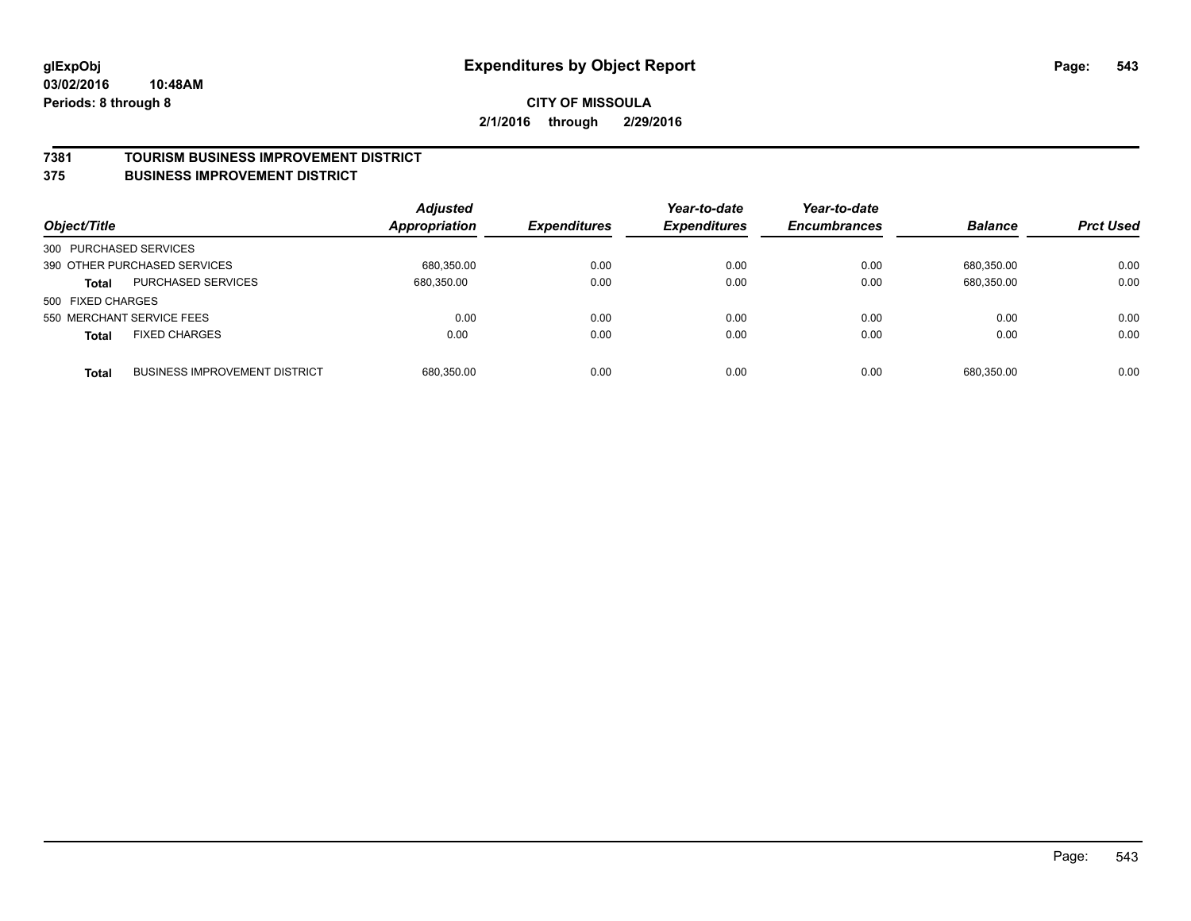#### **7381 TOURISM BUSINESS IMPROVEMENT DISTRICT**

**375 BUSINESS IMPROVEMENT DISTRICT**

| Object/Title           |                                      | <b>Adjusted</b><br><b>Appropriation</b> | <b>Expenditures</b> | Year-to-date<br><b>Expenditures</b> | Year-to-date<br><b>Encumbrances</b> | <b>Balance</b> | <b>Prct Used</b> |
|------------------------|--------------------------------------|-----------------------------------------|---------------------|-------------------------------------|-------------------------------------|----------------|------------------|
| 300 PURCHASED SERVICES |                                      |                                         |                     |                                     |                                     |                |                  |
|                        | 390 OTHER PURCHASED SERVICES         | 680.350.00                              | 0.00                | 0.00                                | 0.00                                | 680.350.00     | 0.00             |
| <b>Total</b>           | <b>PURCHASED SERVICES</b>            | 680,350.00                              | 0.00                | 0.00                                | 0.00                                | 680.350.00     | 0.00             |
| 500 FIXED CHARGES      |                                      |                                         |                     |                                     |                                     |                |                  |
|                        | 550 MERCHANT SERVICE FEES            | 0.00                                    | 0.00                | 0.00                                | 0.00                                | 0.00           | 0.00             |
| <b>Total</b>           | <b>FIXED CHARGES</b>                 | 0.00                                    | 0.00                | 0.00                                | 0.00                                | 0.00           | 0.00             |
| <b>Total</b>           | <b>BUSINESS IMPROVEMENT DISTRICT</b> | 680,350.00                              | 0.00                | 0.00                                | 0.00                                | 680.350.00     | 0.00             |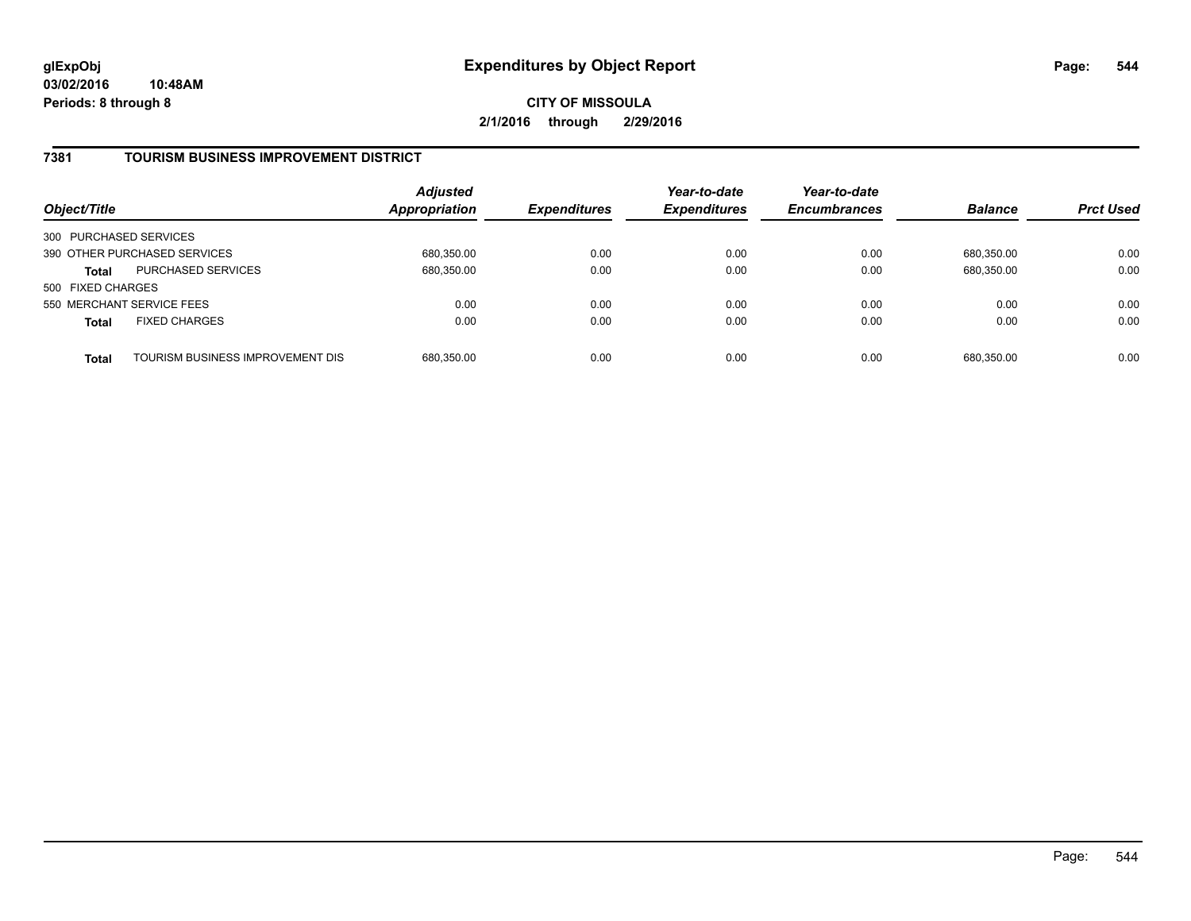## **7381 TOURISM BUSINESS IMPROVEMENT DISTRICT**

| Object/Title              |                                  | <b>Adjusted</b><br>Appropriation | <b>Expenditures</b> | Year-to-date<br><b>Expenditures</b> | Year-to-date<br><b>Encumbrances</b> | <b>Balance</b> | <b>Prct Used</b> |
|---------------------------|----------------------------------|----------------------------------|---------------------|-------------------------------------|-------------------------------------|----------------|------------------|
| 300 PURCHASED SERVICES    |                                  |                                  |                     |                                     |                                     |                |                  |
|                           | 390 OTHER PURCHASED SERVICES     | 680,350.00                       | 0.00                | 0.00                                | 0.00                                | 680.350.00     | 0.00             |
| <b>Total</b>              | <b>PURCHASED SERVICES</b>        | 680,350.00                       | 0.00                | 0.00                                | 0.00                                | 680.350.00     | 0.00             |
| 500 FIXED CHARGES         |                                  |                                  |                     |                                     |                                     |                |                  |
| 550 MERCHANT SERVICE FEES |                                  | 0.00                             | 0.00                | 0.00                                | 0.00                                | 0.00           | 0.00             |
| <b>Total</b>              | <b>FIXED CHARGES</b>             | 0.00                             | 0.00                | 0.00                                | 0.00                                | 0.00           | 0.00             |
| <b>Total</b>              | TOURISM BUSINESS IMPROVEMENT DIS | 680,350.00                       | 0.00                | 0.00                                | 0.00                                | 680,350.00     | 0.00             |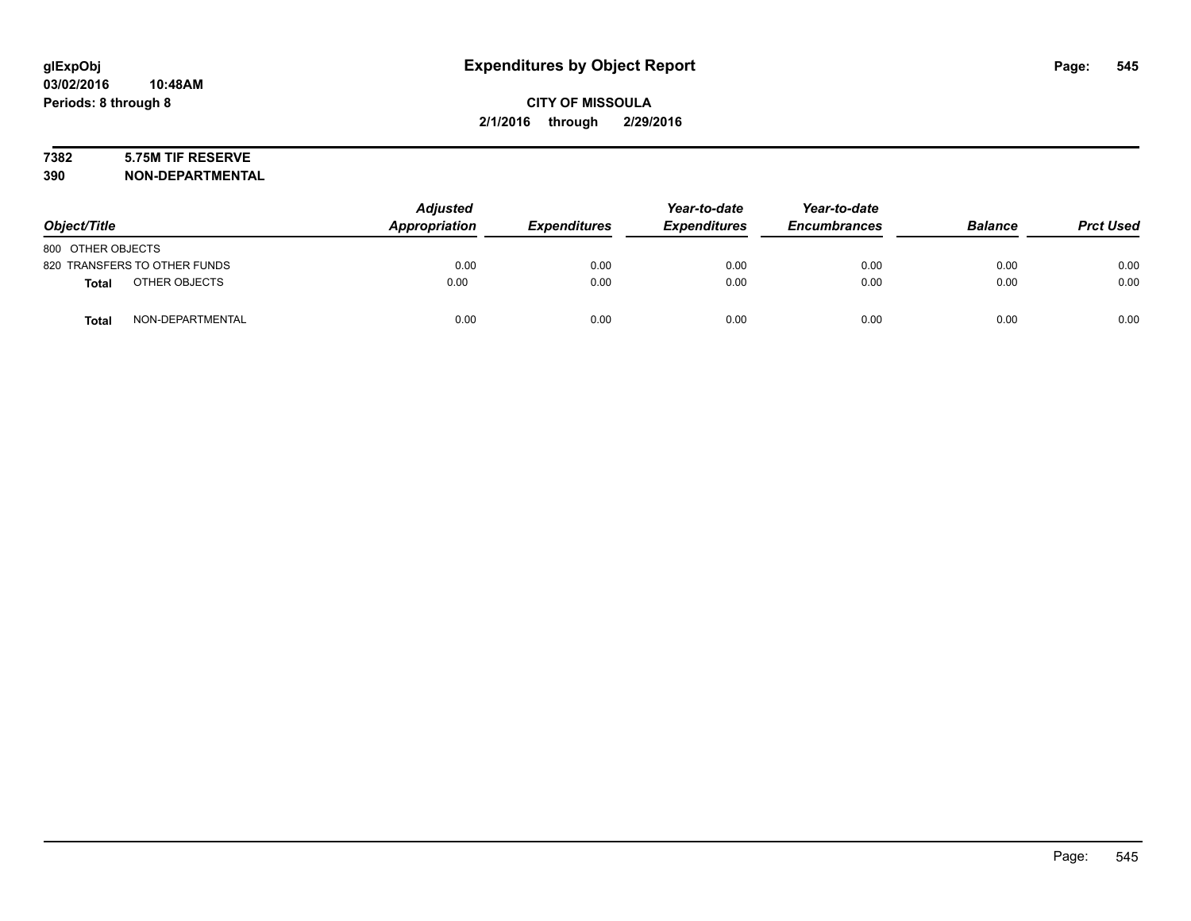# **7382 5.75M TIF RESERVE**

**390 NON-DEPARTMENTAL**

| Object/Title                     | <b>Adjusted</b><br>Appropriation | <b>Expenditures</b> | Year-to-date<br><b>Expenditures</b> | Year-to-date<br><b>Encumbrances</b> | <b>Balance</b> | <b>Prct Used</b> |
|----------------------------------|----------------------------------|---------------------|-------------------------------------|-------------------------------------|----------------|------------------|
| 800 OTHER OBJECTS                |                                  |                     |                                     |                                     |                |                  |
| 820 TRANSFERS TO OTHER FUNDS     | 0.00                             | 0.00                | 0.00                                | 0.00                                | 0.00           | 0.00             |
| OTHER OBJECTS<br><b>Total</b>    | 0.00                             | 0.00                | 0.00                                | 0.00                                | 0.00           | 0.00             |
| NON-DEPARTMENTAL<br><b>Total</b> | 0.00                             | 0.00                | 0.00                                | 0.00                                | 0.00           | 0.00             |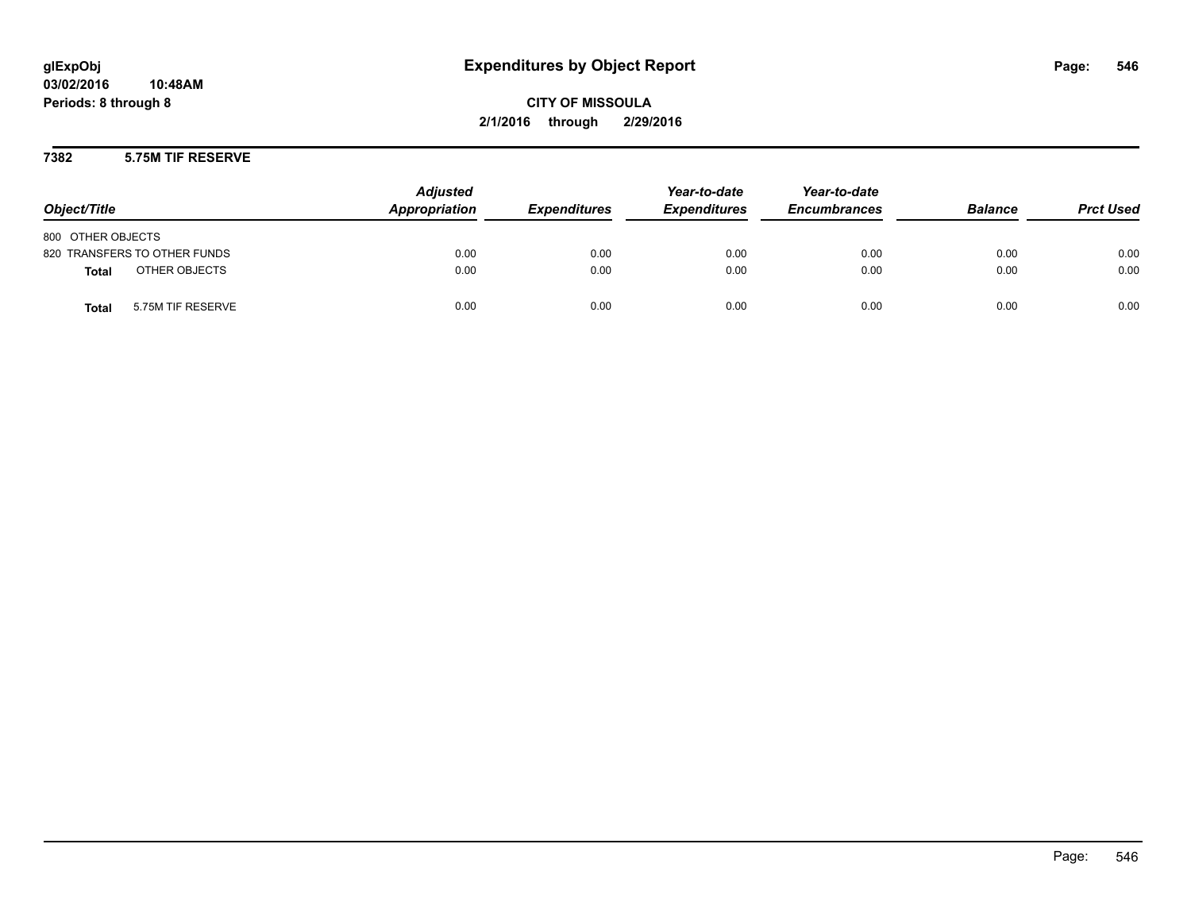**7382 5.75M TIF RESERVE**

| Object/Title                      | <b>Adjusted</b><br>Appropriation | <b>Expenditures</b> | Year-to-date<br><b>Expenditures</b> | Year-to-date<br><b>Encumbrances</b> | <b>Balance</b> | <b>Prct Used</b> |
|-----------------------------------|----------------------------------|---------------------|-------------------------------------|-------------------------------------|----------------|------------------|
| 800 OTHER OBJECTS                 |                                  |                     |                                     |                                     |                |                  |
| 820 TRANSFERS TO OTHER FUNDS      | 0.00                             | 0.00                | 0.00                                | 0.00                                | 0.00           | 0.00             |
| OTHER OBJECTS<br><b>Total</b>     | 0.00                             | 0.00                | 0.00                                | 0.00                                | 0.00           | 0.00             |
| 5.75M TIF RESERVE<br><b>Total</b> | 0.00                             | 0.00                | 0.00                                | 0.00                                | 0.00           | 0.00             |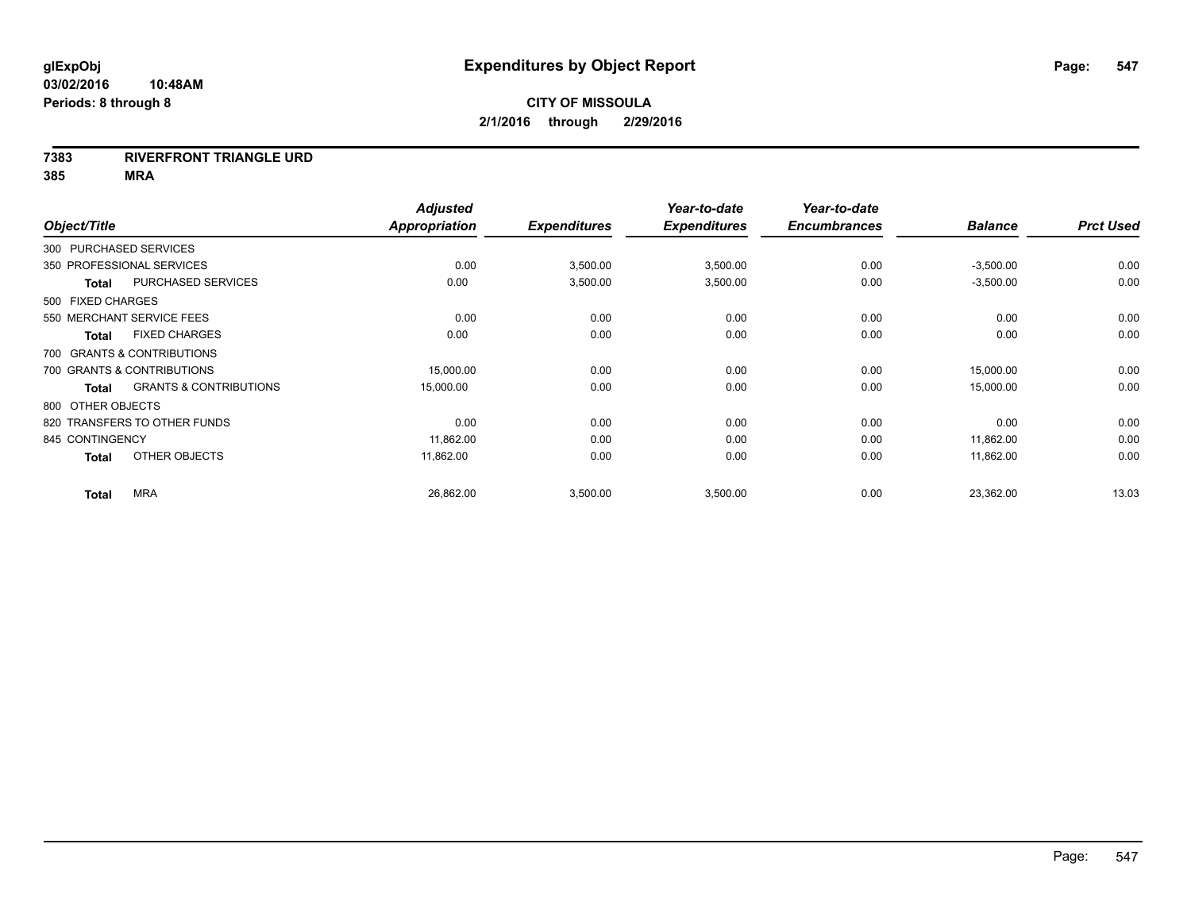#### **7383 RIVERFRONT TRIANGLE URD**

|                              |                                   | <b>Adjusted</b> |                     | Year-to-date        | Year-to-date        |                |                  |
|------------------------------|-----------------------------------|-----------------|---------------------|---------------------|---------------------|----------------|------------------|
| Object/Title                 |                                   | Appropriation   | <b>Expenditures</b> | <b>Expenditures</b> | <b>Encumbrances</b> | <b>Balance</b> | <b>Prct Used</b> |
| 300 PURCHASED SERVICES       |                                   |                 |                     |                     |                     |                |                  |
| 350 PROFESSIONAL SERVICES    |                                   | 0.00            | 3,500.00            | 3,500.00            | 0.00                | $-3,500.00$    | 0.00             |
| <b>Total</b>                 | <b>PURCHASED SERVICES</b>         | 0.00            | 3,500.00            | 3,500.00            | 0.00                | $-3,500.00$    | 0.00             |
| 500 FIXED CHARGES            |                                   |                 |                     |                     |                     |                |                  |
| 550 MERCHANT SERVICE FEES    |                                   | 0.00            | 0.00                | 0.00                | 0.00                | 0.00           | 0.00             |
| <b>Total</b>                 | <b>FIXED CHARGES</b>              | 0.00            | 0.00                | 0.00                | 0.00                | 0.00           | 0.00             |
| 700 GRANTS & CONTRIBUTIONS   |                                   |                 |                     |                     |                     |                |                  |
| 700 GRANTS & CONTRIBUTIONS   |                                   | 15,000.00       | 0.00                | 0.00                | 0.00                | 15,000.00      | 0.00             |
| <b>Total</b>                 | <b>GRANTS &amp; CONTRIBUTIONS</b> | 15,000.00       | 0.00                | 0.00                | 0.00                | 15,000.00      | 0.00             |
| 800 OTHER OBJECTS            |                                   |                 |                     |                     |                     |                |                  |
| 820 TRANSFERS TO OTHER FUNDS |                                   | 0.00            | 0.00                | 0.00                | 0.00                | 0.00           | 0.00             |
| 845 CONTINGENCY              |                                   | 11,862.00       | 0.00                | 0.00                | 0.00                | 11,862.00      | 0.00             |
| <b>Total</b>                 | OTHER OBJECTS                     | 11,862.00       | 0.00                | 0.00                | 0.00                | 11,862.00      | 0.00             |
| <b>MRA</b><br><b>Total</b>   |                                   | 26,862.00       | 3,500.00            | 3,500.00            | 0.00                | 23,362.00      | 13.03            |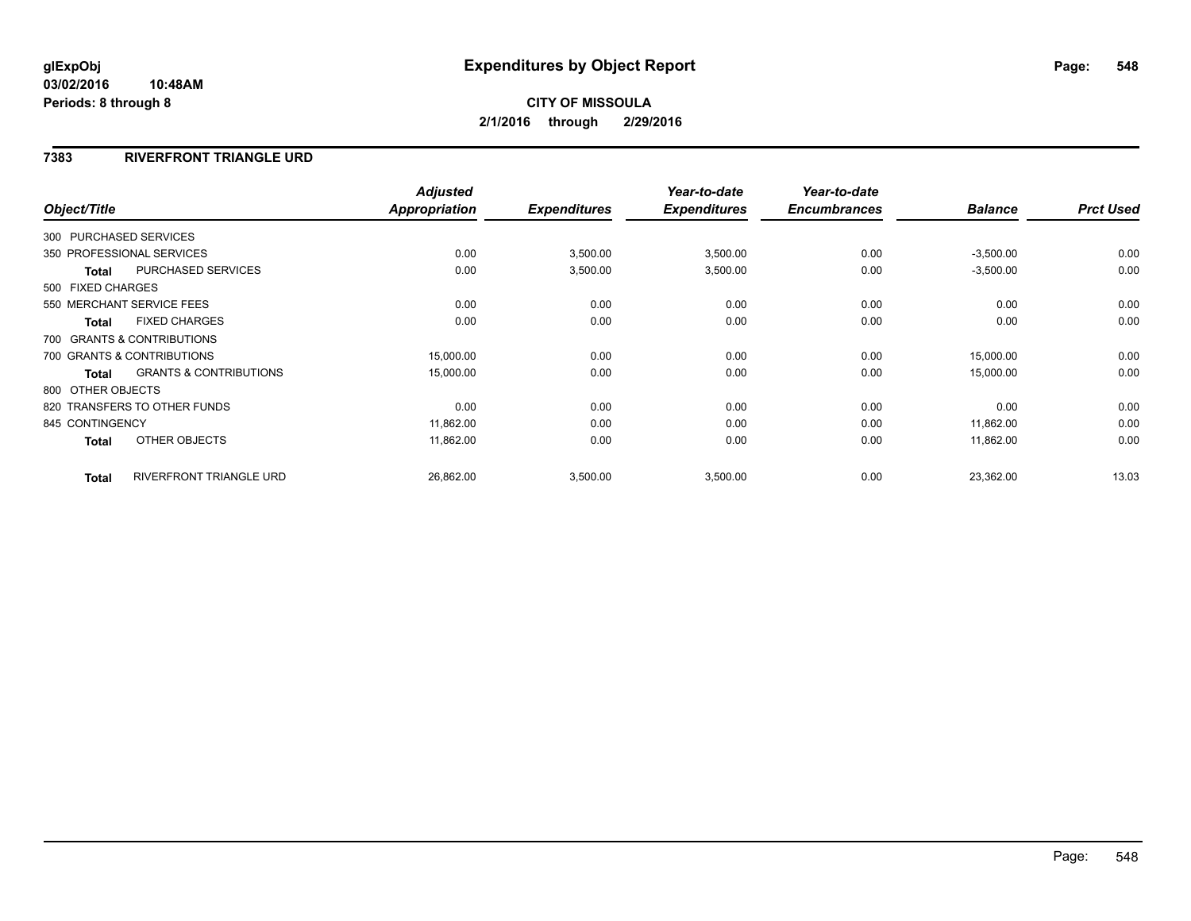#### **03/02/2016 10:48AM Periods: 8 through 8**

# **CITY OF MISSOULA 2/1/2016 through 2/29/2016**

## **7383 RIVERFRONT TRIANGLE URD**

|                        |                                   | <b>Adjusted</b>      |                     | Year-to-date        | Year-to-date        |                |                  |
|------------------------|-----------------------------------|----------------------|---------------------|---------------------|---------------------|----------------|------------------|
| Object/Title           |                                   | <b>Appropriation</b> | <b>Expenditures</b> | <b>Expenditures</b> | <b>Encumbrances</b> | <b>Balance</b> | <b>Prct Used</b> |
| 300 PURCHASED SERVICES |                                   |                      |                     |                     |                     |                |                  |
|                        | 350 PROFESSIONAL SERVICES         | 0.00                 | 3,500.00            | 3,500.00            | 0.00                | $-3,500.00$    | 0.00             |
| <b>Total</b>           | <b>PURCHASED SERVICES</b>         | 0.00                 | 3,500.00            | 3,500.00            | 0.00                | $-3,500.00$    | 0.00             |
| 500 FIXED CHARGES      |                                   |                      |                     |                     |                     |                |                  |
|                        | 550 MERCHANT SERVICE FEES         | 0.00                 | 0.00                | 0.00                | 0.00                | 0.00           | 0.00             |
| <b>Total</b>           | <b>FIXED CHARGES</b>              | 0.00                 | 0.00                | 0.00                | 0.00                | 0.00           | 0.00             |
|                        | 700 GRANTS & CONTRIBUTIONS        |                      |                     |                     |                     |                |                  |
|                        | 700 GRANTS & CONTRIBUTIONS        | 15,000.00            | 0.00                | 0.00                | 0.00                | 15,000.00      | 0.00             |
| <b>Total</b>           | <b>GRANTS &amp; CONTRIBUTIONS</b> | 15,000.00            | 0.00                | 0.00                | 0.00                | 15,000.00      | 0.00             |
| 800 OTHER OBJECTS      |                                   |                      |                     |                     |                     |                |                  |
|                        | 820 TRANSFERS TO OTHER FUNDS      | 0.00                 | 0.00                | 0.00                | 0.00                | 0.00           | 0.00             |
| 845 CONTINGENCY        |                                   | 11,862.00            | 0.00                | 0.00                | 0.00                | 11,862.00      | 0.00             |
| <b>Total</b>           | OTHER OBJECTS                     | 11,862.00            | 0.00                | 0.00                | 0.00                | 11,862.00      | 0.00             |
| <b>Total</b>           | RIVERFRONT TRIANGLE URD           | 26,862.00            | 3,500.00            | 3,500.00            | 0.00                | 23,362.00      | 13.03            |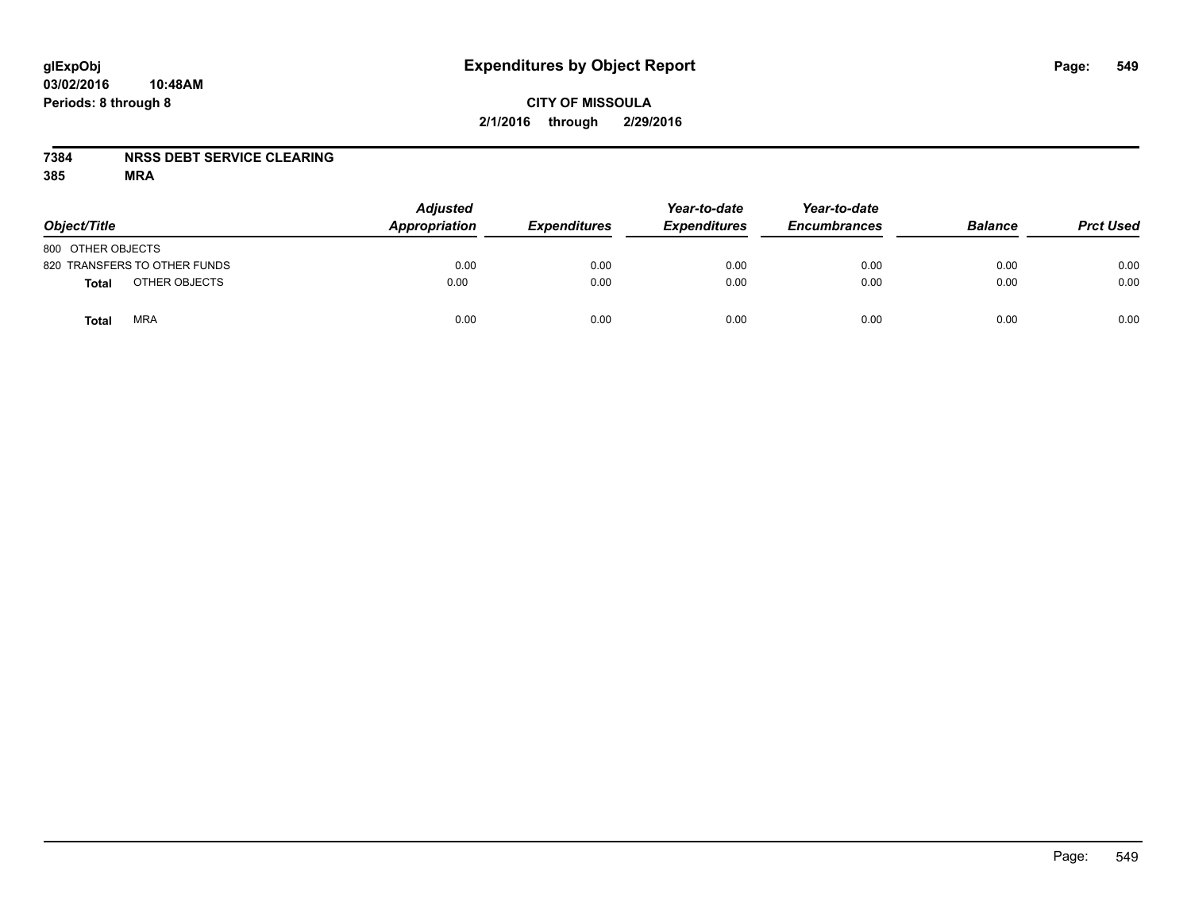#### **03/02/2016 10:48AM Periods: 8 through 8**

# **CITY OF MISSOULA 2/1/2016 through 2/29/2016**

## **7384 NRSS DEBT SERVICE CLEARING**

| Object/Title                 | <b>Adjusted</b><br>Appropriation<br><b>Expenditures</b> | Year-to-date<br><b>Expenditures</b> | Year-to-date<br><b>Encumbrances</b> | <b>Balance</b> | <b>Prct Used</b> |      |
|------------------------------|---------------------------------------------------------|-------------------------------------|-------------------------------------|----------------|------------------|------|
| 800 OTHER OBJECTS            |                                                         |                                     |                                     |                |                  |      |
| 820 TRANSFERS TO OTHER FUNDS | 0.00                                                    | 0.00                                | 0.00                                | 0.00           | 0.00             | 0.00 |
| OTHER OBJECTS<br>Total       | 0.00                                                    | 0.00                                | 0.00                                | 0.00           | 0.00             | 0.00 |
| <b>MRA</b><br>Total          | 0.00                                                    | 0.00                                | 0.00                                | 0.00           | 0.00             | 0.00 |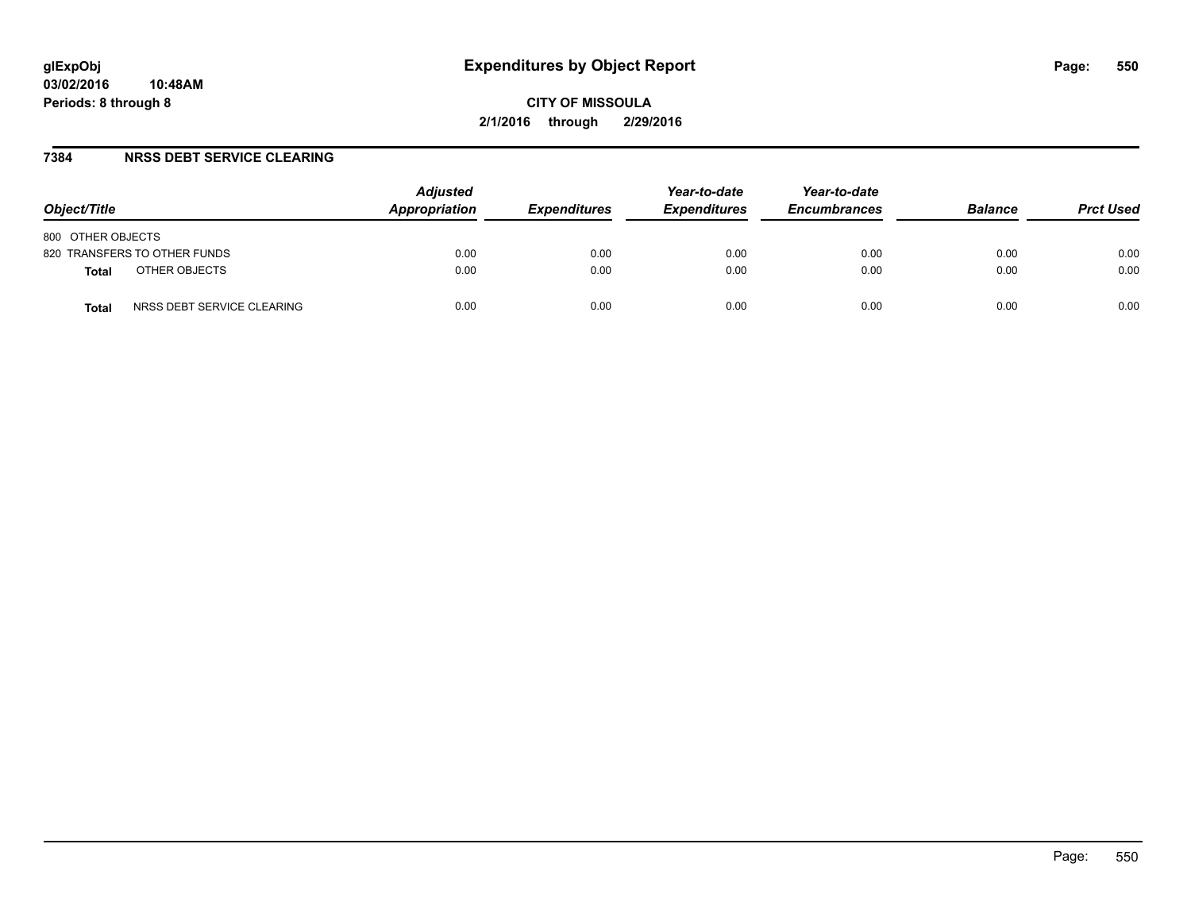## **7384 NRSS DEBT SERVICE CLEARING**

| Object/Title                        | <b>Adjusted</b><br>Appropriation | <i><b>Expenditures</b></i> | Year-to-date<br><b>Expenditures</b> | Year-to-date<br><b>Encumbrances</b> | <b>Balance</b> | <b>Prct Used</b> |
|-------------------------------------|----------------------------------|----------------------------|-------------------------------------|-------------------------------------|----------------|------------------|
| 800 OTHER OBJECTS                   |                                  |                            |                                     |                                     |                |                  |
| 820 TRANSFERS TO OTHER FUNDS        | 0.00                             | 0.00                       | 0.00                                | 0.00                                | 0.00           | 0.00             |
| OTHER OBJECTS<br><b>Total</b>       | 0.00                             | 0.00                       | 0.00                                | 0.00                                | 0.00           | 0.00             |
| NRSS DEBT SERVICE CLEARING<br>Total | 0.00                             | 0.00                       | 0.00                                | 0.00                                | 0.00           | 0.00             |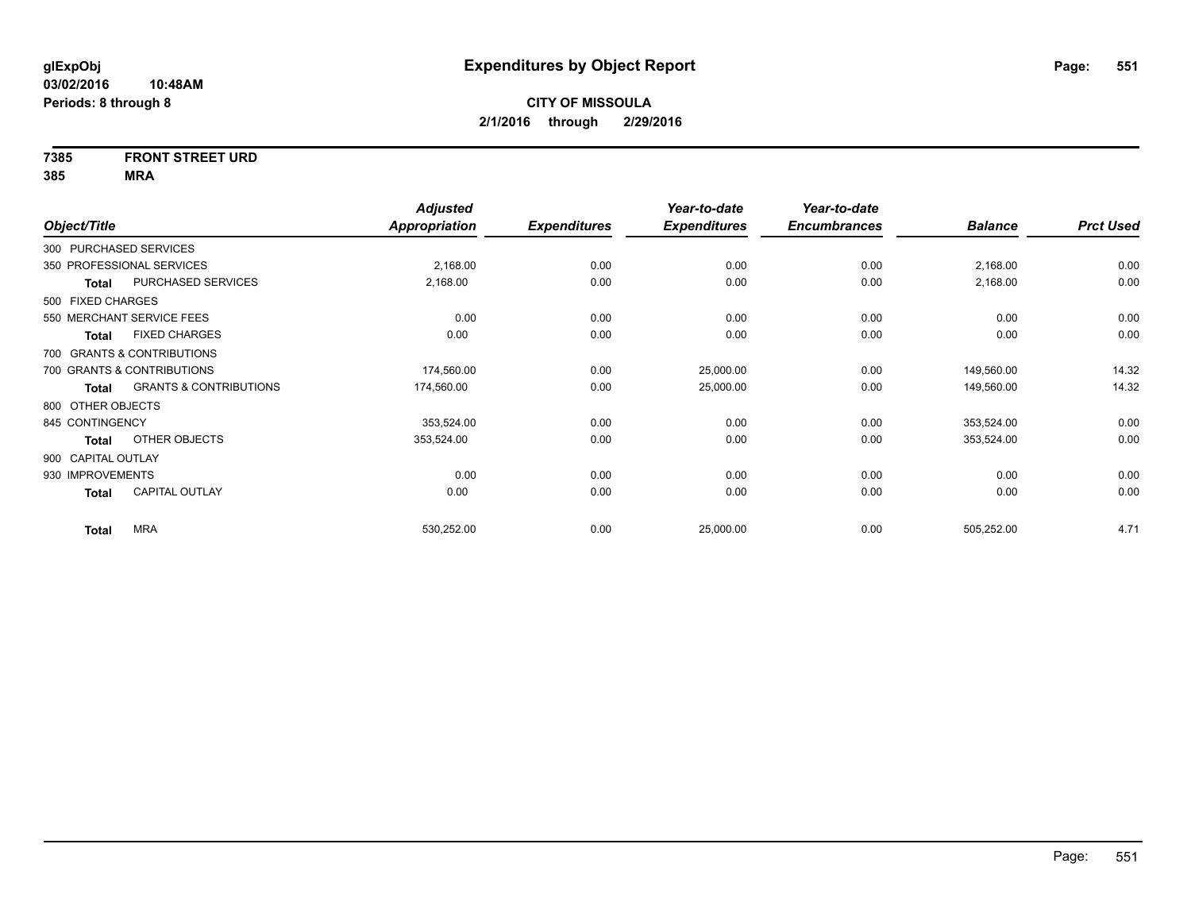# **7385 FRONT STREET URD**

|                    |                                   | <b>Adjusted</b>      |                     | Year-to-date        | Year-to-date        |                |                  |
|--------------------|-----------------------------------|----------------------|---------------------|---------------------|---------------------|----------------|------------------|
| Object/Title       |                                   | <b>Appropriation</b> | <b>Expenditures</b> | <b>Expenditures</b> | <b>Encumbrances</b> | <b>Balance</b> | <b>Prct Used</b> |
|                    | 300 PURCHASED SERVICES            |                      |                     |                     |                     |                |                  |
|                    | 350 PROFESSIONAL SERVICES         | 2,168.00             | 0.00                | 0.00                | 0.00                | 2,168.00       | 0.00             |
| <b>Total</b>       | PURCHASED SERVICES                | 2,168.00             | 0.00                | 0.00                | 0.00                | 2,168.00       | 0.00             |
| 500 FIXED CHARGES  |                                   |                      |                     |                     |                     |                |                  |
|                    | 550 MERCHANT SERVICE FEES         | 0.00                 | 0.00                | 0.00                | 0.00                | 0.00           | 0.00             |
| <b>Total</b>       | <b>FIXED CHARGES</b>              | 0.00                 | 0.00                | 0.00                | 0.00                | 0.00           | 0.00             |
|                    | 700 GRANTS & CONTRIBUTIONS        |                      |                     |                     |                     |                |                  |
|                    | 700 GRANTS & CONTRIBUTIONS        | 174,560.00           | 0.00                | 25,000.00           | 0.00                | 149,560.00     | 14.32            |
| Total              | <b>GRANTS &amp; CONTRIBUTIONS</b> | 174,560.00           | 0.00                | 25,000.00           | 0.00                | 149,560.00     | 14.32            |
| 800 OTHER OBJECTS  |                                   |                      |                     |                     |                     |                |                  |
| 845 CONTINGENCY    |                                   | 353,524.00           | 0.00                | 0.00                | 0.00                | 353,524.00     | 0.00             |
| Total              | OTHER OBJECTS                     | 353,524.00           | 0.00                | 0.00                | 0.00                | 353,524.00     | 0.00             |
| 900 CAPITAL OUTLAY |                                   |                      |                     |                     |                     |                |                  |
| 930 IMPROVEMENTS   |                                   | 0.00                 | 0.00                | 0.00                | 0.00                | 0.00           | 0.00             |
| <b>Total</b>       | <b>CAPITAL OUTLAY</b>             | 0.00                 | 0.00                | 0.00                | 0.00                | 0.00           | 0.00             |
| <b>Total</b>       | <b>MRA</b>                        | 530,252.00           | 0.00                | 25,000.00           | 0.00                | 505,252.00     | 4.71             |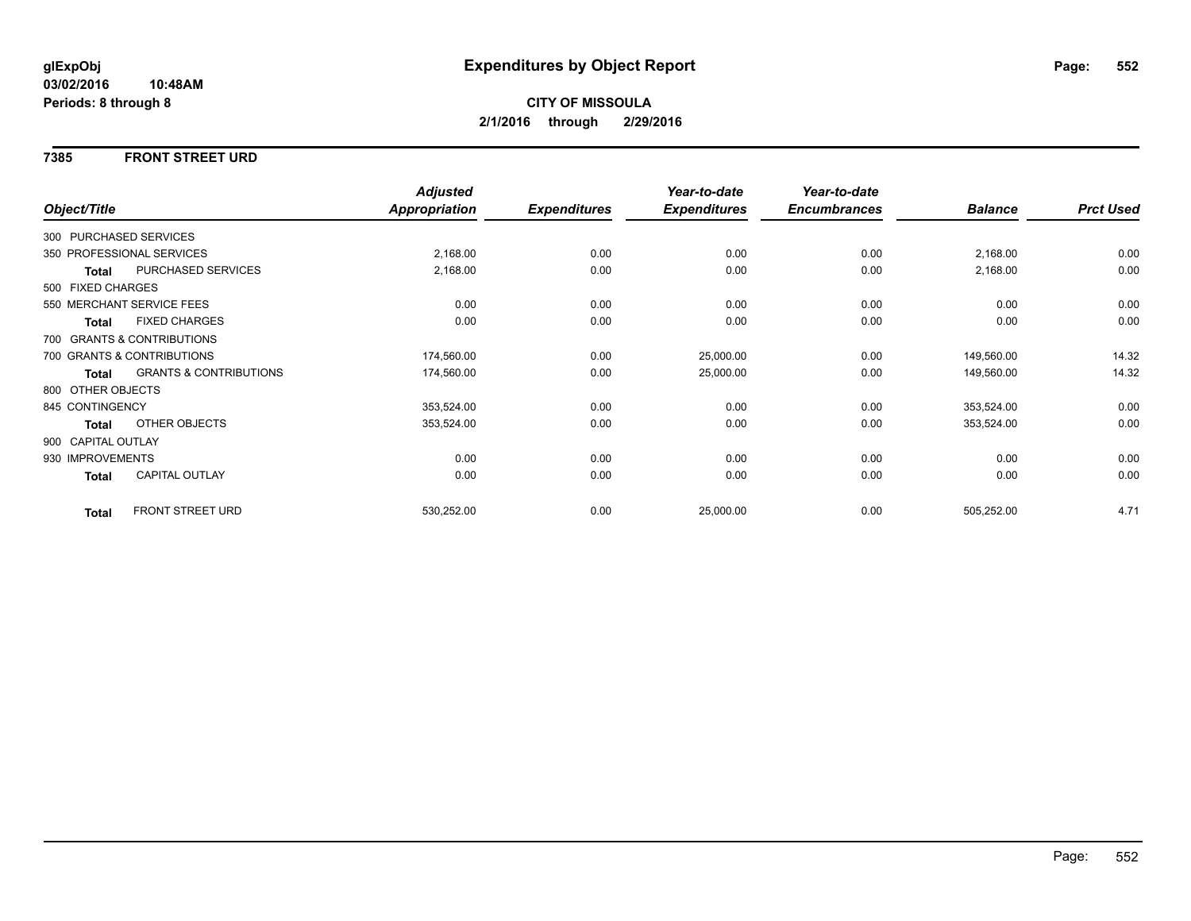## **7385 FRONT STREET URD**

|                        |                                   | <b>Adjusted</b> |                     | Year-to-date        | Year-to-date        |                |                  |
|------------------------|-----------------------------------|-----------------|---------------------|---------------------|---------------------|----------------|------------------|
| Object/Title           |                                   | Appropriation   | <b>Expenditures</b> | <b>Expenditures</b> | <b>Encumbrances</b> | <b>Balance</b> | <b>Prct Used</b> |
| 300 PURCHASED SERVICES |                                   |                 |                     |                     |                     |                |                  |
|                        | 350 PROFESSIONAL SERVICES         | 2,168.00        | 0.00                | 0.00                | 0.00                | 2,168.00       | 0.00             |
| Total                  | PURCHASED SERVICES                | 2,168.00        | 0.00                | 0.00                | 0.00                | 2,168.00       | 0.00             |
| 500 FIXED CHARGES      |                                   |                 |                     |                     |                     |                |                  |
|                        | 550 MERCHANT SERVICE FEES         | 0.00            | 0.00                | 0.00                | 0.00                | 0.00           | 0.00             |
| <b>Total</b>           | <b>FIXED CHARGES</b>              | 0.00            | 0.00                | 0.00                | 0.00                | 0.00           | 0.00             |
|                        | 700 GRANTS & CONTRIBUTIONS        |                 |                     |                     |                     |                |                  |
|                        | 700 GRANTS & CONTRIBUTIONS        | 174,560.00      | 0.00                | 25,000.00           | 0.00                | 149,560.00     | 14.32            |
| Total                  | <b>GRANTS &amp; CONTRIBUTIONS</b> | 174,560.00      | 0.00                | 25,000.00           | 0.00                | 149,560.00     | 14.32            |
| 800 OTHER OBJECTS      |                                   |                 |                     |                     |                     |                |                  |
| 845 CONTINGENCY        |                                   | 353,524.00      | 0.00                | 0.00                | 0.00                | 353,524.00     | 0.00             |
| <b>Total</b>           | OTHER OBJECTS                     | 353,524.00      | 0.00                | 0.00                | 0.00                | 353,524.00     | 0.00             |
| 900 CAPITAL OUTLAY     |                                   |                 |                     |                     |                     |                |                  |
| 930 IMPROVEMENTS       |                                   | 0.00            | 0.00                | 0.00                | 0.00                | 0.00           | 0.00             |
| Total                  | CAPITAL OUTLAY                    | 0.00            | 0.00                | 0.00                | 0.00                | 0.00           | 0.00             |
| <b>Total</b>           | FRONT STREET URD                  | 530,252.00      | 0.00                | 25,000.00           | 0.00                | 505,252.00     | 4.71             |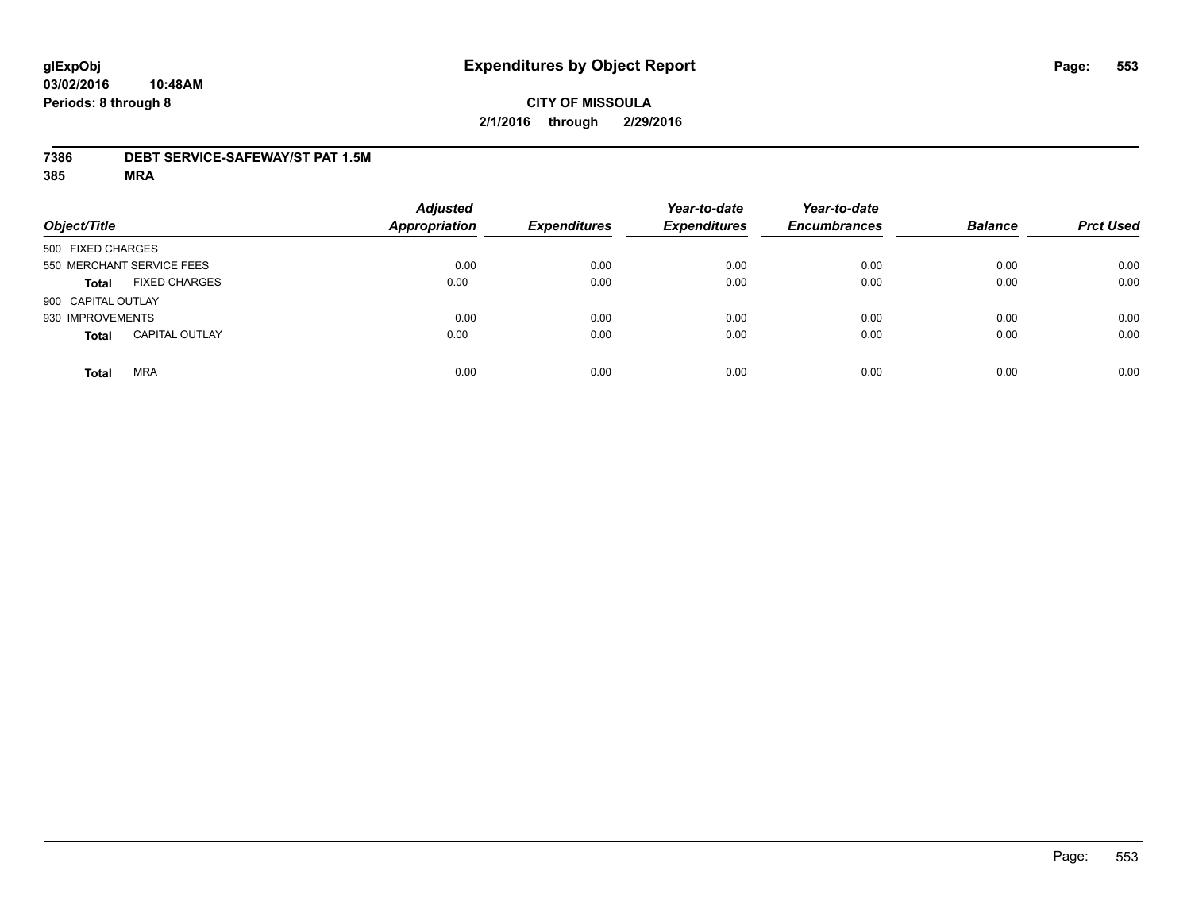### **7386 DEBT SERVICE-SAFEWAY/ST PAT 1.5M**

| Object/Title       |                           | <b>Adjusted</b><br><b>Appropriation</b> | <b>Expenditures</b> | Year-to-date<br><b>Expenditures</b> | Year-to-date<br><b>Encumbrances</b> | <b>Balance</b> | <b>Prct Used</b> |
|--------------------|---------------------------|-----------------------------------------|---------------------|-------------------------------------|-------------------------------------|----------------|------------------|
| 500 FIXED CHARGES  |                           |                                         |                     |                                     |                                     |                |                  |
|                    | 550 MERCHANT SERVICE FEES | 0.00                                    | 0.00                | 0.00                                | 0.00                                | 0.00           | 0.00             |
| <b>Total</b>       | <b>FIXED CHARGES</b>      | 0.00                                    | 0.00                | 0.00                                | 0.00                                | 0.00           | 0.00             |
| 900 CAPITAL OUTLAY |                           |                                         |                     |                                     |                                     |                |                  |
| 930 IMPROVEMENTS   |                           | 0.00                                    | 0.00                | 0.00                                | 0.00                                | 0.00           | 0.00             |
| <b>Total</b>       | <b>CAPITAL OUTLAY</b>     | 0.00                                    | 0.00                | 0.00                                | 0.00                                | 0.00           | 0.00             |
| <b>Total</b>       | <b>MRA</b>                | 0.00                                    | 0.00                | 0.00                                | 0.00                                | 0.00           | 0.00             |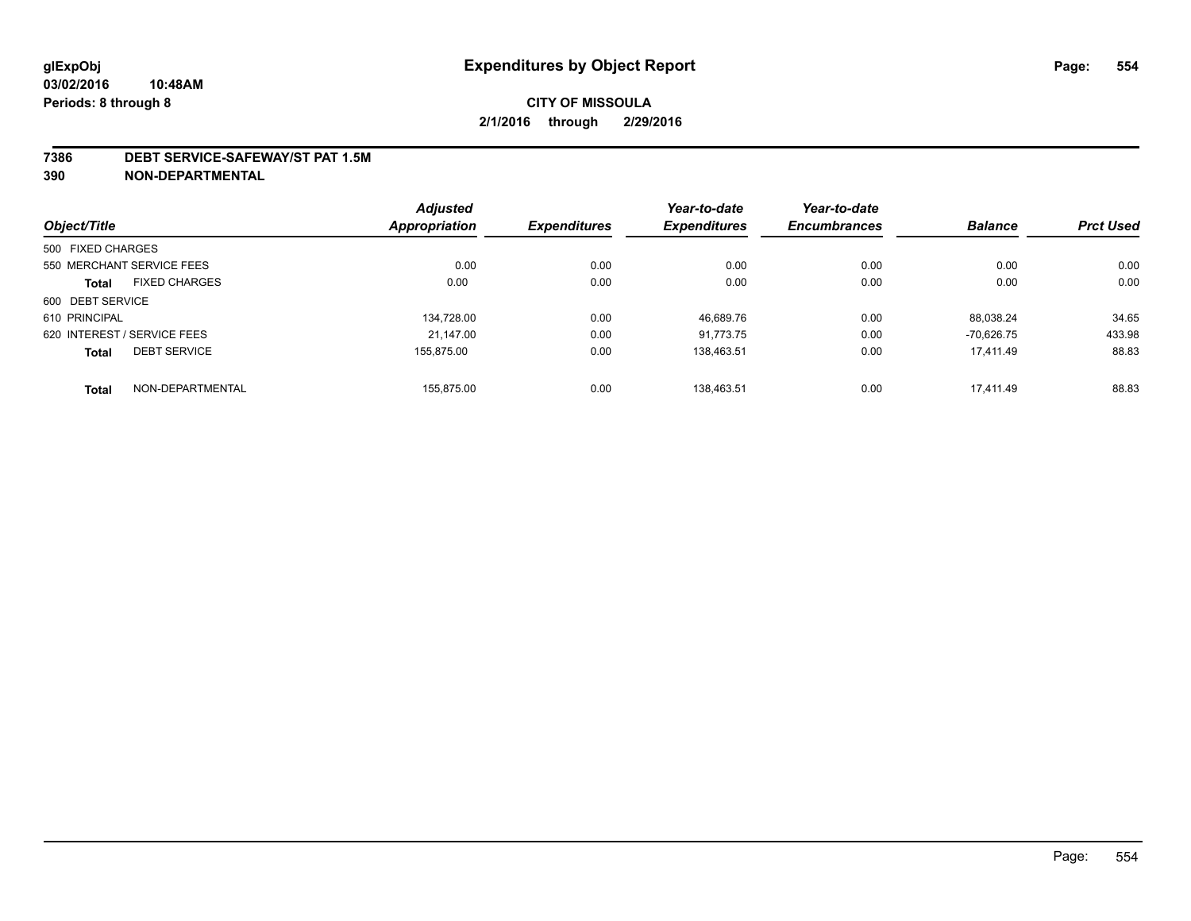#### **7386 DEBT SERVICE-SAFEWAY/ST PAT 1.5M**

**390 NON-DEPARTMENTAL**

|                             |                      | <b>Adjusted</b> |                     | Year-to-date        | Year-to-date        |                |                  |
|-----------------------------|----------------------|-----------------|---------------------|---------------------|---------------------|----------------|------------------|
| Object/Title                |                      | Appropriation   | <b>Expenditures</b> | <b>Expenditures</b> | <b>Encumbrances</b> | <b>Balance</b> | <b>Prct Used</b> |
| 500 FIXED CHARGES           |                      |                 |                     |                     |                     |                |                  |
| 550 MERCHANT SERVICE FEES   |                      | 0.00            | 0.00                | 0.00                | 0.00                | 0.00           | 0.00             |
| <b>Total</b>                | <b>FIXED CHARGES</b> | 0.00            | 0.00                | 0.00                | 0.00                | 0.00           | 0.00             |
| 600 DEBT SERVICE            |                      |                 |                     |                     |                     |                |                  |
| 610 PRINCIPAL               |                      | 134.728.00      | 0.00                | 46,689.76           | 0.00                | 88.038.24      | 34.65            |
| 620 INTEREST / SERVICE FEES |                      | 21.147.00       | 0.00                | 91.773.75           | 0.00                | $-70.626.75$   | 433.98           |
| <b>Total</b>                | <b>DEBT SERVICE</b>  | 155.875.00      | 0.00                | 138.463.51          | 0.00                | 17.411.49      | 88.83            |
| <b>Total</b>                | NON-DEPARTMENTAL     | 155.875.00      | 0.00                | 138.463.51          | 0.00                | 17.411.49      | 88.83            |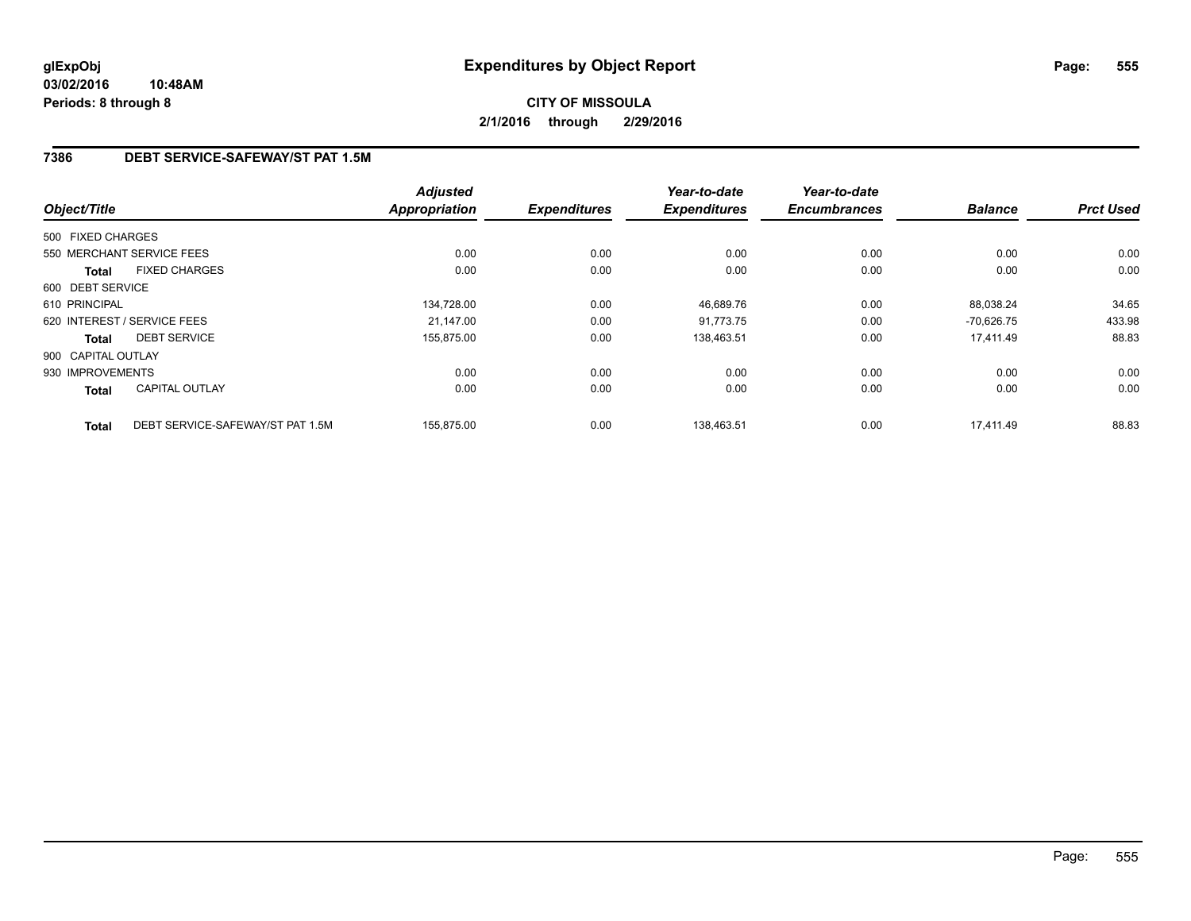# **7386 DEBT SERVICE-SAFEWAY/ST PAT 1.5M**

|                    |                                  | <b>Adjusted</b>      |                     | Year-to-date        | Year-to-date        |                |                  |
|--------------------|----------------------------------|----------------------|---------------------|---------------------|---------------------|----------------|------------------|
| Object/Title       |                                  | <b>Appropriation</b> | <b>Expenditures</b> | <b>Expenditures</b> | <b>Encumbrances</b> | <b>Balance</b> | <b>Prct Used</b> |
| 500 FIXED CHARGES  |                                  |                      |                     |                     |                     |                |                  |
|                    | 550 MERCHANT SERVICE FEES        | 0.00                 | 0.00                | 0.00                | 0.00                | 0.00           | 0.00             |
| <b>Total</b>       | <b>FIXED CHARGES</b>             | 0.00                 | 0.00                | 0.00                | 0.00                | 0.00           | 0.00             |
| 600 DEBT SERVICE   |                                  |                      |                     |                     |                     |                |                  |
| 610 PRINCIPAL      |                                  | 134,728.00           | 0.00                | 46,689.76           | 0.00                | 88,038.24      | 34.65            |
|                    | 620 INTEREST / SERVICE FEES      | 21.147.00            | 0.00                | 91.773.75           | 0.00                | $-70.626.75$   | 433.98           |
| <b>Total</b>       | <b>DEBT SERVICE</b>              | 155,875.00           | 0.00                | 138,463.51          | 0.00                | 17,411.49      | 88.83            |
| 900 CAPITAL OUTLAY |                                  |                      |                     |                     |                     |                |                  |
| 930 IMPROVEMENTS   |                                  | 0.00                 | 0.00                | 0.00                | 0.00                | 0.00           | 0.00             |
| Total              | <b>CAPITAL OUTLAY</b>            | 0.00                 | 0.00                | 0.00                | 0.00                | 0.00           | 0.00             |
| <b>Total</b>       | DEBT SERVICE-SAFEWAY/ST PAT 1.5M | 155.875.00           | 0.00                | 138.463.51          | 0.00                | 17.411.49      | 88.83            |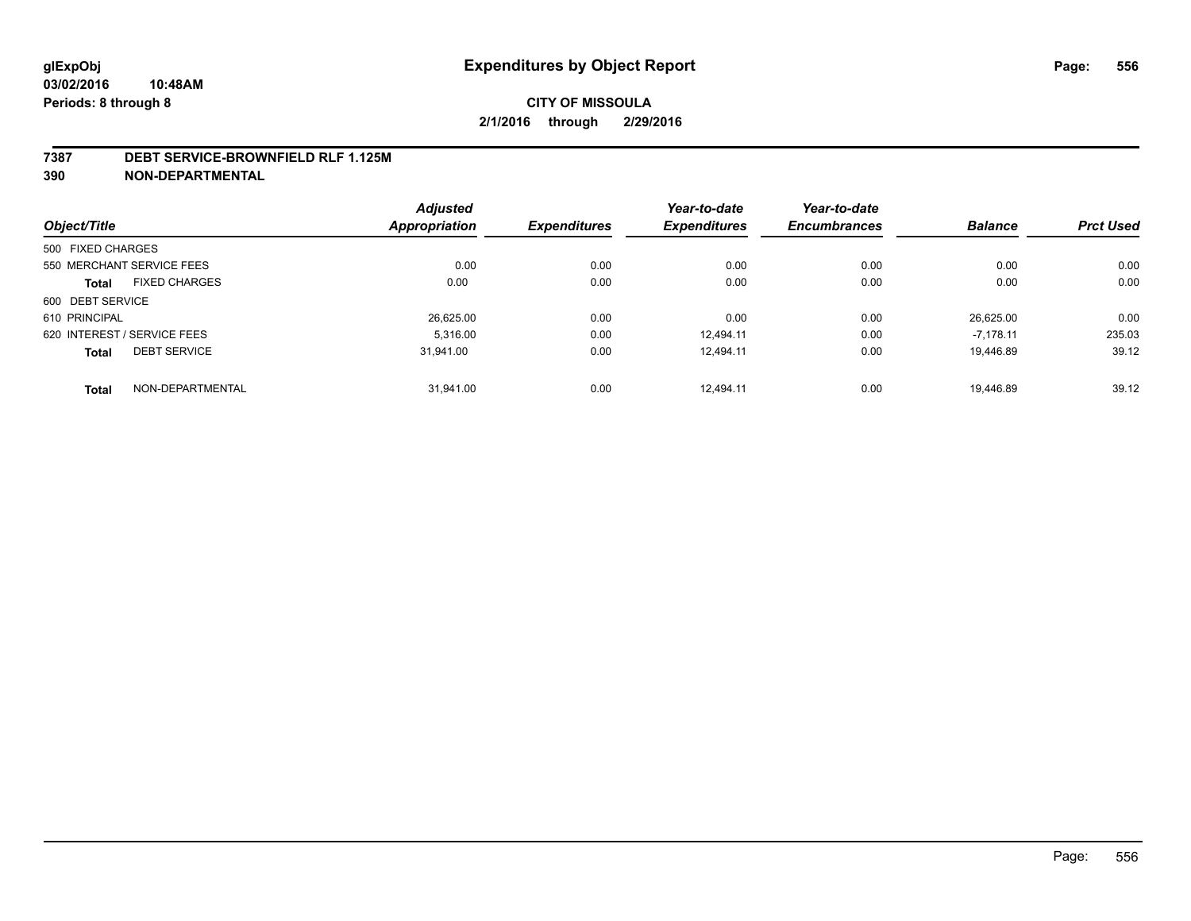#### **7387 DEBT SERVICE-BROWNFIELD RLF 1.125M**

**390 NON-DEPARTMENTAL**

|                                      | <b>Adjusted</b> |                     | Year-to-date        | Year-to-date        |                |                  |
|--------------------------------------|-----------------|---------------------|---------------------|---------------------|----------------|------------------|
| Object/Title                         | Appropriation   | <b>Expenditures</b> | <b>Expenditures</b> | <b>Encumbrances</b> | <b>Balance</b> | <b>Prct Used</b> |
| 500 FIXED CHARGES                    |                 |                     |                     |                     |                |                  |
| 550 MERCHANT SERVICE FEES            | 0.00            | 0.00                | 0.00                | 0.00                | 0.00           | 0.00             |
| <b>FIXED CHARGES</b><br><b>Total</b> | 0.00            | 0.00                | 0.00                | 0.00                | 0.00           | 0.00             |
| 600 DEBT SERVICE                     |                 |                     |                     |                     |                |                  |
| 610 PRINCIPAL                        | 26.625.00       | 0.00                | 0.00                | 0.00                | 26.625.00      | 0.00             |
| 620 INTEREST / SERVICE FEES          | 5.316.00        | 0.00                | 12.494.11           | 0.00                | $-7.178.11$    | 235.03           |
| <b>DEBT SERVICE</b><br><b>Total</b>  | 31,941.00       | 0.00                | 12.494.11           | 0.00                | 19.446.89      | 39.12            |
| NON-DEPARTMENTAL<br><b>Total</b>     | 31.941.00       | 0.00                | 12.494.11           | 0.00                | 19.446.89      | 39.12            |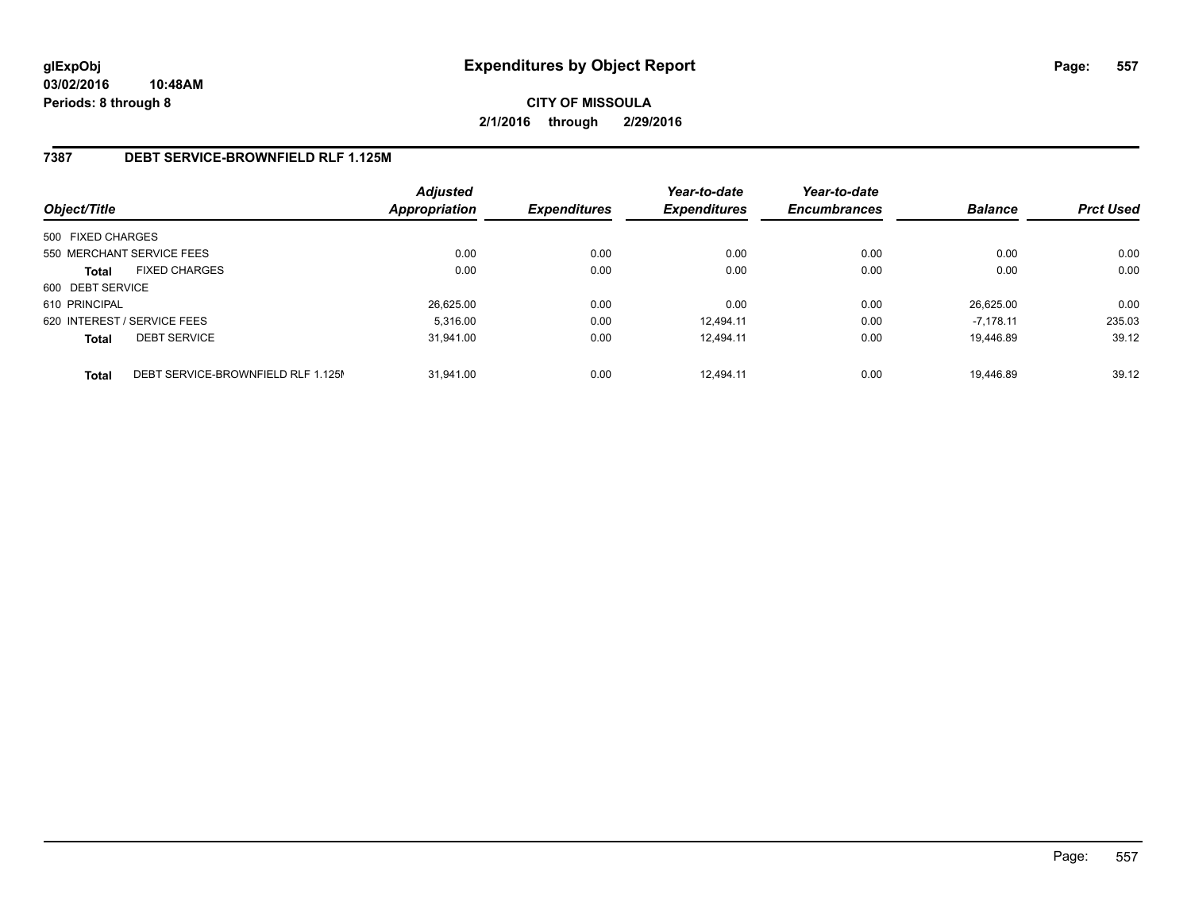## **7387 DEBT SERVICE-BROWNFIELD RLF 1.125M**

| Object/Title      |                                    | <b>Adjusted</b><br><b>Appropriation</b> | <b>Expenditures</b> | Year-to-date<br><b>Expenditures</b> | Year-to-date<br><b>Encumbrances</b> | <b>Balance</b> | <b>Prct Used</b> |
|-------------------|------------------------------------|-----------------------------------------|---------------------|-------------------------------------|-------------------------------------|----------------|------------------|
| 500 FIXED CHARGES |                                    |                                         |                     |                                     |                                     |                |                  |
|                   | 550 MERCHANT SERVICE FEES          | 0.00                                    | 0.00                | 0.00                                | 0.00                                | 0.00           | 0.00             |
| <b>Total</b>      | <b>FIXED CHARGES</b>               | 0.00                                    | 0.00                | 0.00                                | 0.00                                | 0.00           | 0.00             |
| 600 DEBT SERVICE  |                                    |                                         |                     |                                     |                                     |                |                  |
| 610 PRINCIPAL     |                                    | 26,625.00                               | 0.00                | 0.00                                | 0.00                                | 26.625.00      | 0.00             |
|                   | 620 INTEREST / SERVICE FEES        | 5.316.00                                | 0.00                | 12.494.11                           | 0.00                                | $-7.178.11$    | 235.03           |
| <b>Total</b>      | <b>DEBT SERVICE</b>                | 31.941.00                               | 0.00                | 12.494.11                           | 0.00                                | 19.446.89      | 39.12            |
| <b>Total</b>      | DEBT SERVICE-BROWNFIELD RLF 1.125M | 31.941.00                               | 0.00                | 12.494.11                           | 0.00                                | 19.446.89      | 39.12            |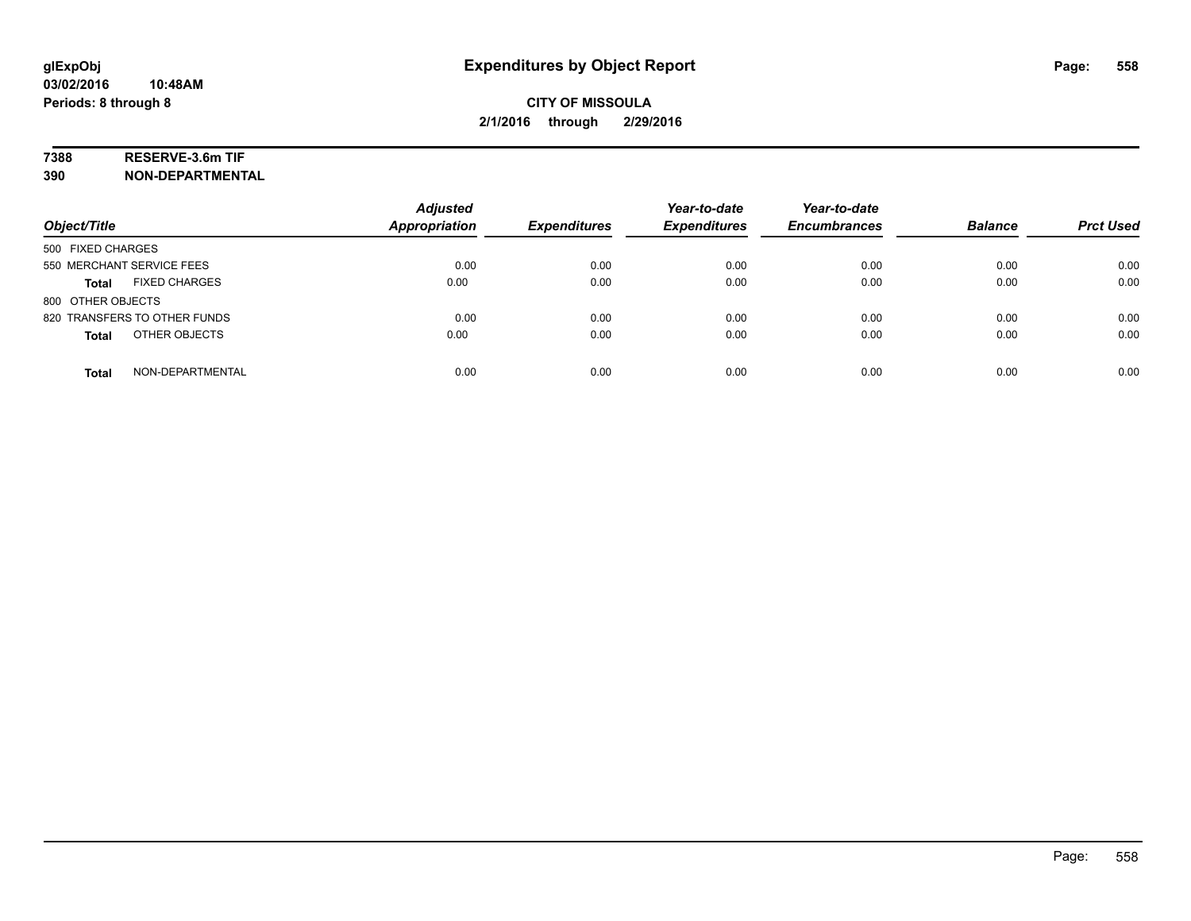# **7388 RESERVE-3.6m TIF**

**390 NON-DEPARTMENTAL**

| Object/Title                         | <b>Adjusted</b><br><b>Appropriation</b> | <b>Expenditures</b> | Year-to-date<br><b>Expenditures</b> | Year-to-date<br><b>Encumbrances</b> | <b>Balance</b> | <b>Prct Used</b> |
|--------------------------------------|-----------------------------------------|---------------------|-------------------------------------|-------------------------------------|----------------|------------------|
| 500 FIXED CHARGES                    |                                         |                     |                                     |                                     |                |                  |
| 550 MERCHANT SERVICE FEES            | 0.00                                    | 0.00                | 0.00                                | 0.00                                | 0.00           | 0.00             |
| <b>FIXED CHARGES</b><br><b>Total</b> | 0.00                                    | 0.00                | 0.00                                | 0.00                                | 0.00           | 0.00             |
| 800 OTHER OBJECTS                    |                                         |                     |                                     |                                     |                |                  |
| 820 TRANSFERS TO OTHER FUNDS         | 0.00                                    | 0.00                | 0.00                                | 0.00                                | 0.00           | 0.00             |
| OTHER OBJECTS<br><b>Total</b>        | 0.00                                    | 0.00                | 0.00                                | 0.00                                | 0.00           | 0.00             |
| NON-DEPARTMENTAL<br><b>Total</b>     | 0.00                                    | 0.00                | 0.00                                | 0.00                                | 0.00           | 0.00             |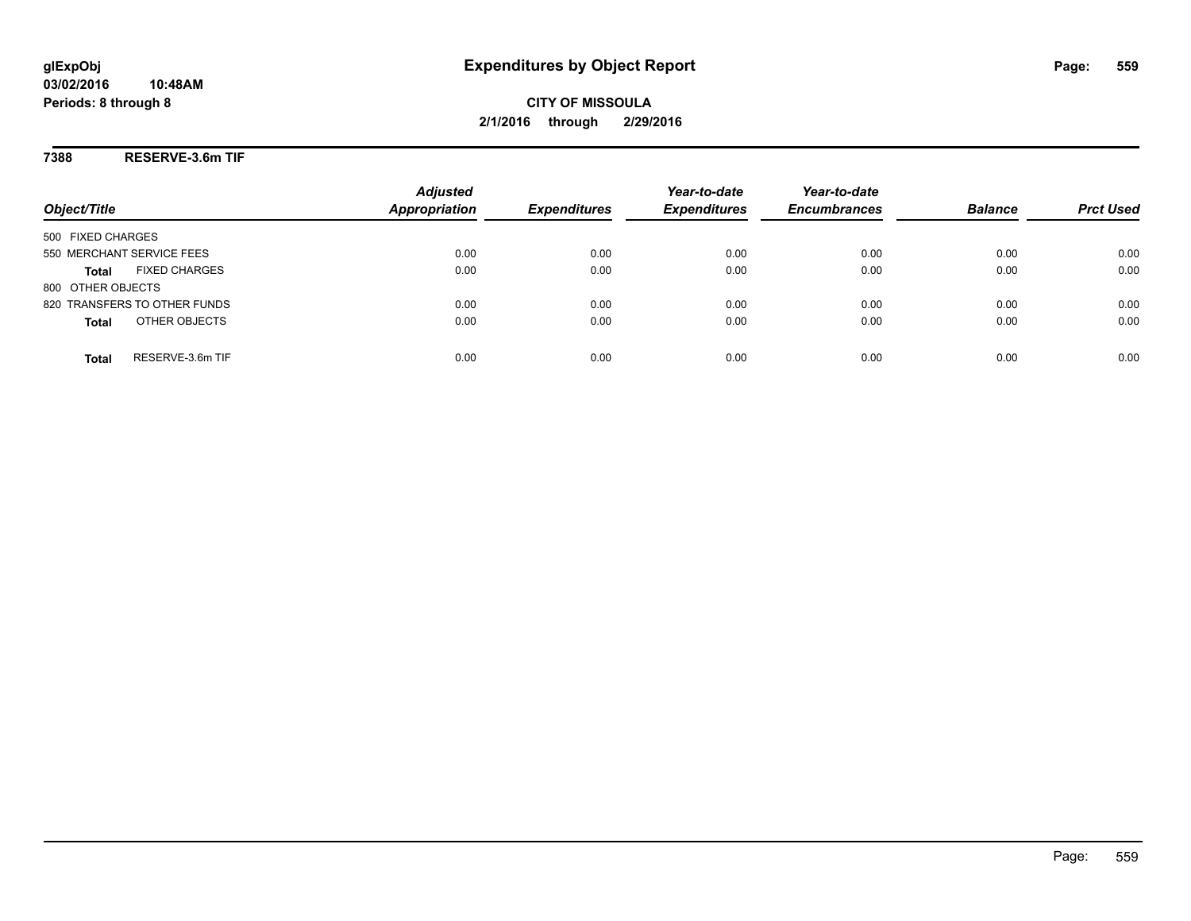**7388 RESERVE-3.6m TIF**

| Object/Title                         | <b>Adjusted</b><br><b>Appropriation</b> | <b>Expenditures</b> | Year-to-date<br><b>Expenditures</b> | Year-to-date<br><b>Encumbrances</b> | <b>Balance</b> | <b>Prct Used</b> |
|--------------------------------------|-----------------------------------------|---------------------|-------------------------------------|-------------------------------------|----------------|------------------|
| 500 FIXED CHARGES                    |                                         |                     |                                     |                                     |                |                  |
| 550 MERCHANT SERVICE FEES            | 0.00                                    | 0.00                | 0.00                                | 0.00                                | 0.00           | 0.00             |
| <b>FIXED CHARGES</b><br><b>Total</b> | 0.00                                    | 0.00                | 0.00                                | 0.00                                | 0.00           | 0.00             |
| 800 OTHER OBJECTS                    |                                         |                     |                                     |                                     |                |                  |
| 820 TRANSFERS TO OTHER FUNDS         | 0.00                                    | 0.00                | 0.00                                | 0.00                                | 0.00           | 0.00             |
| OTHER OBJECTS<br><b>Total</b>        | 0.00                                    | 0.00                | 0.00                                | 0.00                                | 0.00           | 0.00             |
| RESERVE-3.6m TIF<br>Total            | 0.00                                    | 0.00                | 0.00                                | 0.00                                | 0.00           | 0.00             |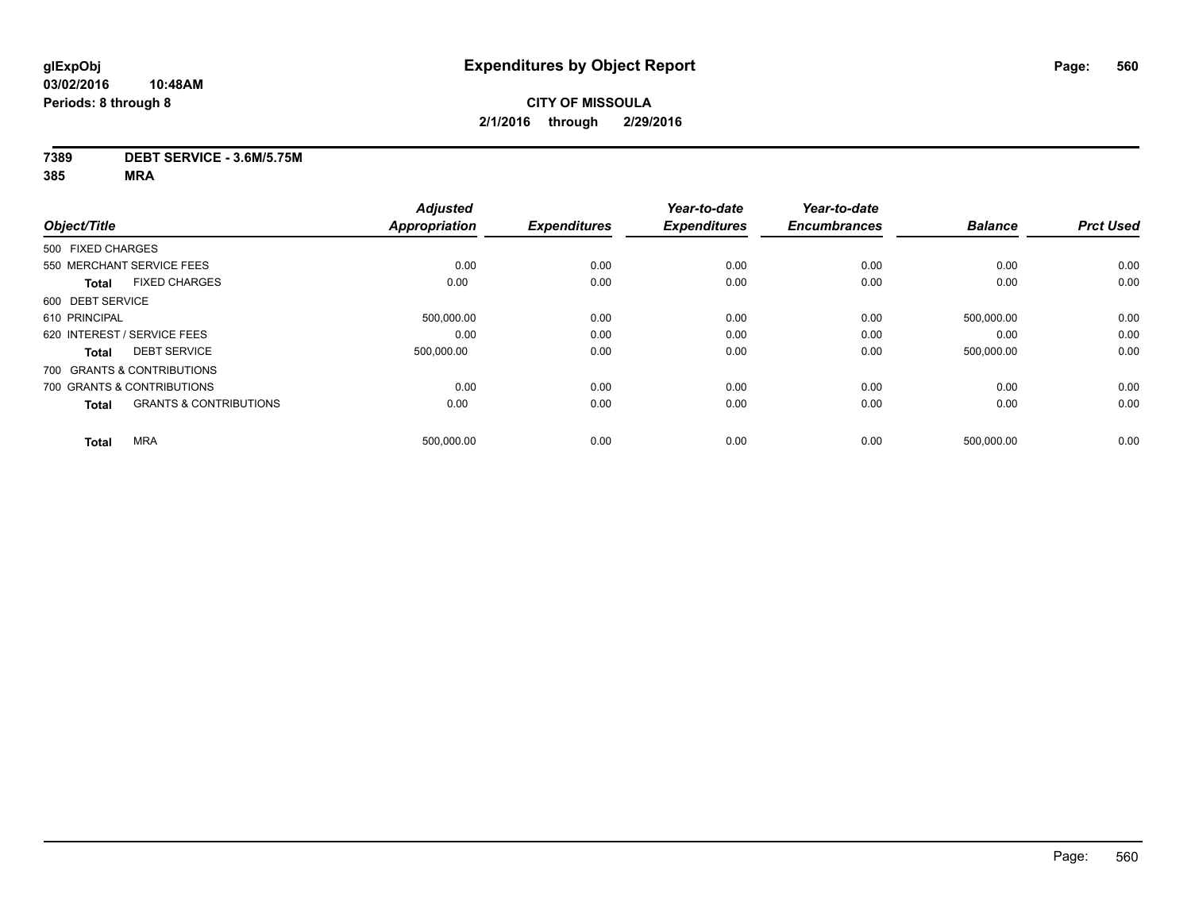#### **7389 DEBT SERVICE - 3.6M/5.75M**

|                                                   | <b>Adjusted</b>      |                     | Year-to-date        | Year-to-date        |                |                  |
|---------------------------------------------------|----------------------|---------------------|---------------------|---------------------|----------------|------------------|
| Object/Title                                      | <b>Appropriation</b> | <b>Expenditures</b> | <b>Expenditures</b> | <b>Encumbrances</b> | <b>Balance</b> | <b>Prct Used</b> |
| 500 FIXED CHARGES                                 |                      |                     |                     |                     |                |                  |
| 550 MERCHANT SERVICE FEES                         | 0.00                 | 0.00                | 0.00                | 0.00                | 0.00           | 0.00             |
| <b>FIXED CHARGES</b><br><b>Total</b>              | 0.00                 | 0.00                | 0.00                | 0.00                | 0.00           | 0.00             |
| 600 DEBT SERVICE                                  |                      |                     |                     |                     |                |                  |
| 610 PRINCIPAL                                     | 500,000.00           | 0.00                | 0.00                | 0.00                | 500,000.00     | 0.00             |
| 620 INTEREST / SERVICE FEES                       | 0.00                 | 0.00                | 0.00                | 0.00                | 0.00           | 0.00             |
| <b>DEBT SERVICE</b><br><b>Total</b>               | 500,000.00           | 0.00                | 0.00                | 0.00                | 500,000.00     | 0.00             |
| 700 GRANTS & CONTRIBUTIONS                        |                      |                     |                     |                     |                |                  |
| 700 GRANTS & CONTRIBUTIONS                        | 0.00                 | 0.00                | 0.00                | 0.00                | 0.00           | 0.00             |
| <b>GRANTS &amp; CONTRIBUTIONS</b><br><b>Total</b> | 0.00                 | 0.00                | 0.00                | 0.00                | 0.00           | 0.00             |
| <b>MRA</b><br><b>Total</b>                        | 500,000.00           | 0.00                | 0.00                | 0.00                | 500,000.00     | 0.00             |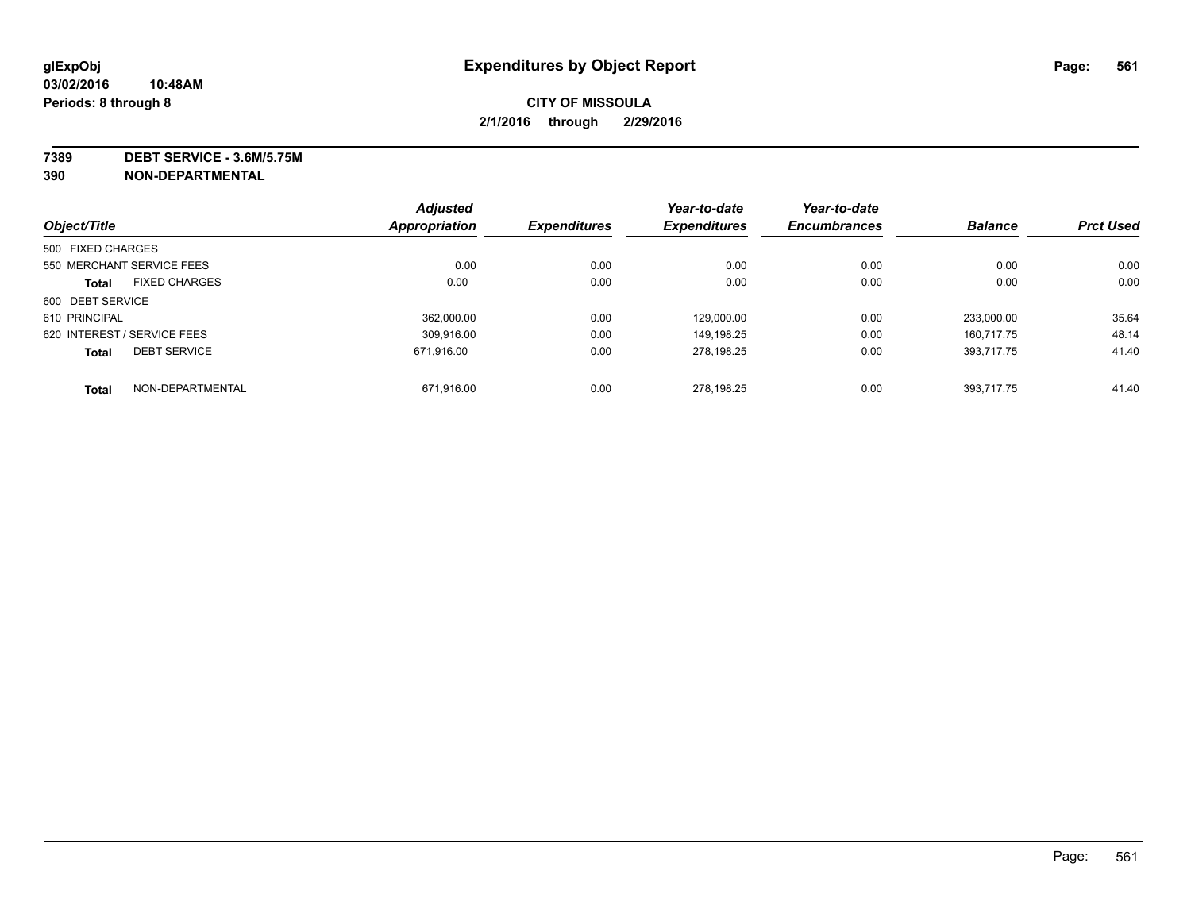**7389 DEBT SERVICE - 3.6M/5.75M**

**390 NON-DEPARTMENTAL**

|                   |                             | <b>Adjusted</b> |                     | Year-to-date        | Year-to-date        |                |                  |
|-------------------|-----------------------------|-----------------|---------------------|---------------------|---------------------|----------------|------------------|
| Object/Title      |                             | Appropriation   | <b>Expenditures</b> | <b>Expenditures</b> | <b>Encumbrances</b> | <b>Balance</b> | <b>Prct Used</b> |
| 500 FIXED CHARGES |                             |                 |                     |                     |                     |                |                  |
|                   | 550 MERCHANT SERVICE FEES   | 0.00            | 0.00                | 0.00                | 0.00                | 0.00           | 0.00             |
| <b>Total</b>      | <b>FIXED CHARGES</b>        | 0.00            | 0.00                | 0.00                | 0.00                | 0.00           | 0.00             |
| 600 DEBT SERVICE  |                             |                 |                     |                     |                     |                |                  |
| 610 PRINCIPAL     |                             | 362.000.00      | 0.00                | 129.000.00          | 0.00                | 233,000.00     | 35.64            |
|                   | 620 INTEREST / SERVICE FEES | 309.916.00      | 0.00                | 149.198.25          | 0.00                | 160.717.75     | 48.14            |
| <b>Total</b>      | <b>DEBT SERVICE</b>         | 671.916.00      | 0.00                | 278.198.25          | 0.00                | 393.717.75     | 41.40            |
| <b>Total</b>      | NON-DEPARTMENTAL            | 671.916.00      | 0.00                | 278.198.25          | 0.00                | 393.717.75     | 41.40            |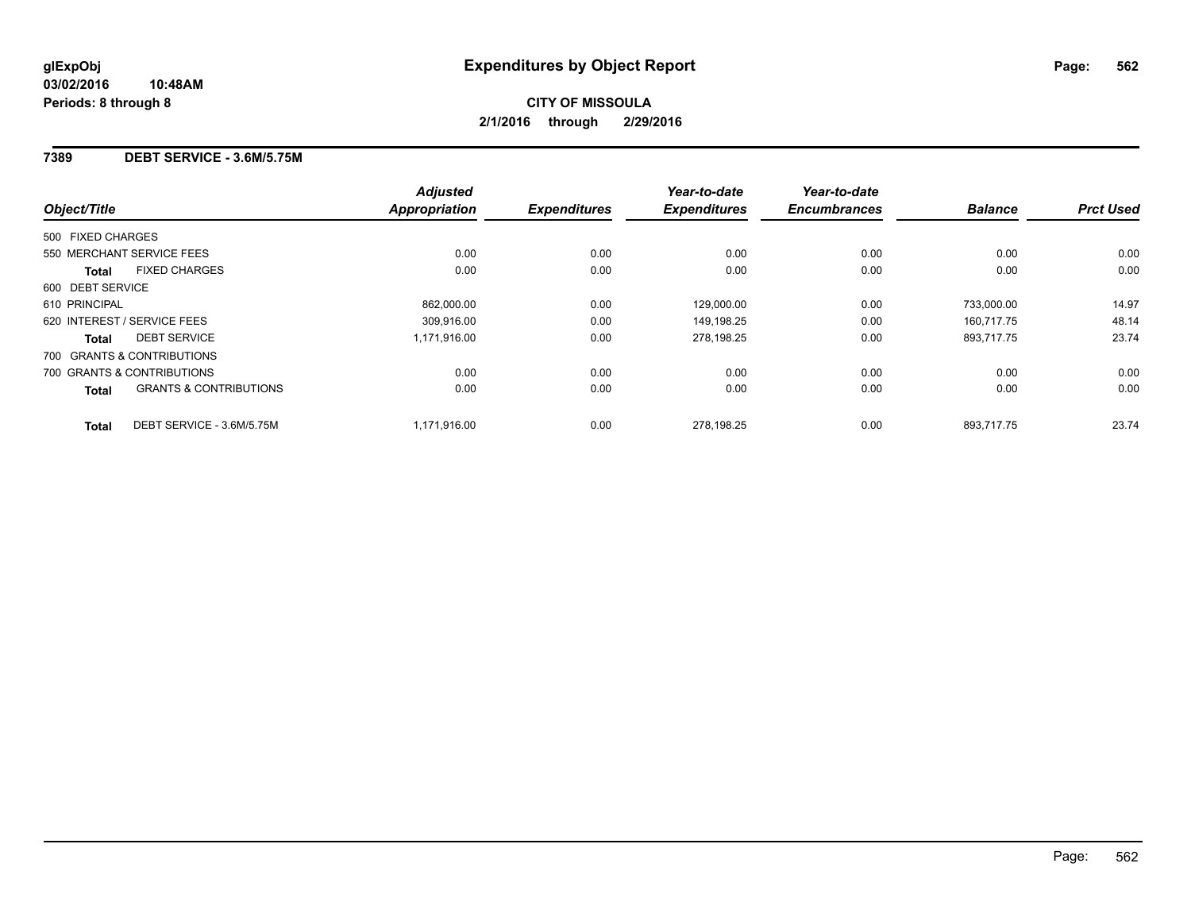## **7389 DEBT SERVICE - 3.6M/5.75M**

| Object/Title                                      | <b>Adjusted</b><br><b>Appropriation</b> | <b>Expenditures</b> | Year-to-date<br><b>Expenditures</b> | Year-to-date<br><b>Encumbrances</b> | <b>Balance</b> | <b>Prct Used</b> |
|---------------------------------------------------|-----------------------------------------|---------------------|-------------------------------------|-------------------------------------|----------------|------------------|
| 500 FIXED CHARGES                                 |                                         |                     |                                     |                                     |                |                  |
| 550 MERCHANT SERVICE FEES                         | 0.00                                    | 0.00                | 0.00                                | 0.00                                | 0.00           | 0.00             |
| <b>FIXED CHARGES</b><br><b>Total</b>              | 0.00                                    | 0.00                | 0.00                                | 0.00                                | 0.00           | 0.00             |
| 600 DEBT SERVICE                                  |                                         |                     |                                     |                                     |                |                  |
| 610 PRINCIPAL                                     | 862.000.00                              | 0.00                | 129.000.00                          | 0.00                                | 733.000.00     | 14.97            |
| 620 INTEREST / SERVICE FEES                       | 309,916.00                              | 0.00                | 149,198.25                          | 0.00                                | 160,717.75     | 48.14            |
| <b>DEBT SERVICE</b><br><b>Total</b>               | 1,171,916.00                            | 0.00                | 278,198.25                          | 0.00                                | 893,717.75     | 23.74            |
| 700 GRANTS & CONTRIBUTIONS                        |                                         |                     |                                     |                                     |                |                  |
| 700 GRANTS & CONTRIBUTIONS                        | 0.00                                    | 0.00                | 0.00                                | 0.00                                | 0.00           | 0.00             |
| <b>GRANTS &amp; CONTRIBUTIONS</b><br><b>Total</b> | 0.00                                    | 0.00                | 0.00                                | 0.00                                | 0.00           | 0.00             |
| DEBT SERVICE - 3.6M/5.75M<br><b>Total</b>         | 1,171,916.00                            | 0.00                | 278.198.25                          | 0.00                                | 893.717.75     | 23.74            |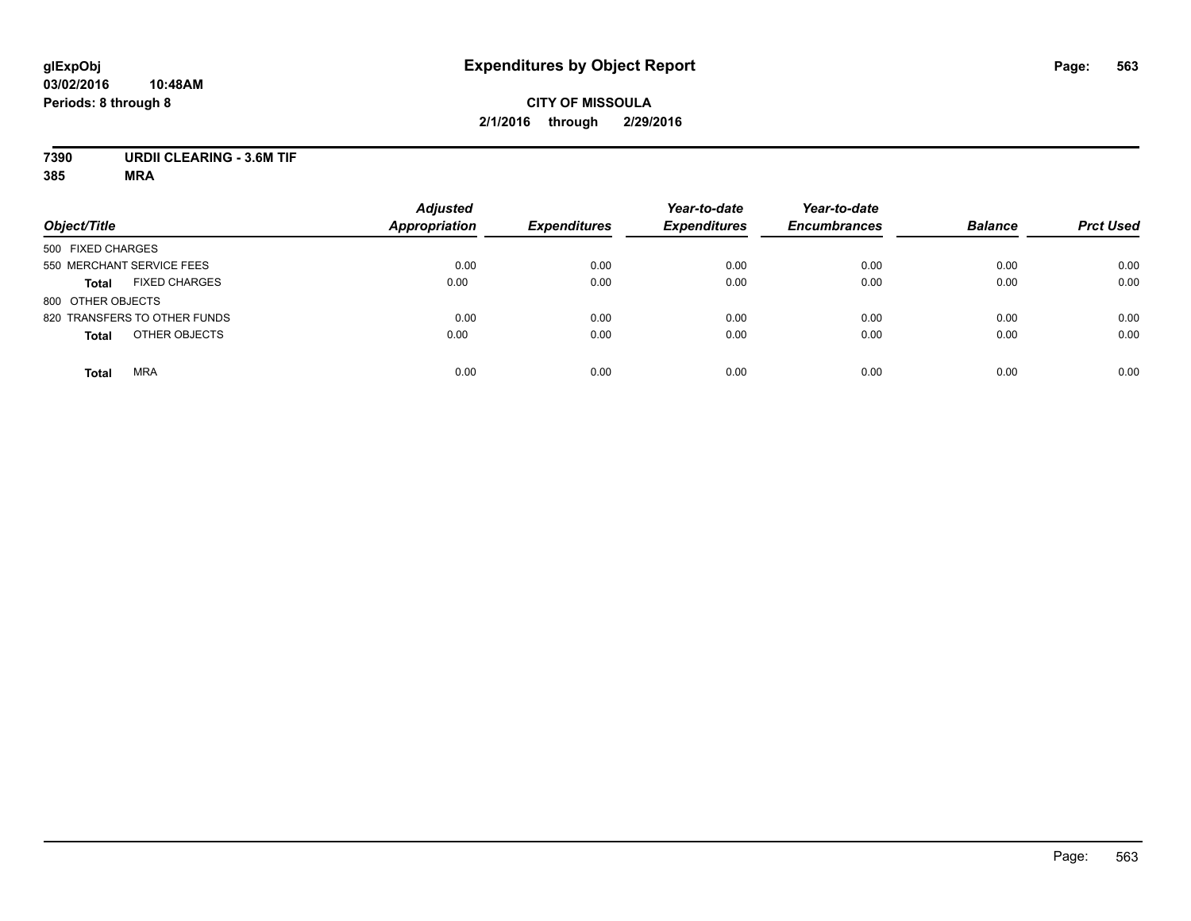#### **03/02/2016 10:48AM Periods: 8 through 8**

# **CITY OF MISSOULA 2/1/2016 through 2/29/2016**

# **7390 URDII CLEARING - 3.6M TIF**

|                                      | <b>Adjusted</b><br><b>Appropriation</b> | <b>Expenditures</b> | Year-to-date<br><b>Expenditures</b> | Year-to-date<br><b>Encumbrances</b> | <b>Balance</b> | <b>Prct Used</b> |
|--------------------------------------|-----------------------------------------|---------------------|-------------------------------------|-------------------------------------|----------------|------------------|
| Object/Title                         |                                         |                     |                                     |                                     |                |                  |
| 500 FIXED CHARGES                    |                                         |                     |                                     |                                     |                |                  |
| 550 MERCHANT SERVICE FEES            | 0.00                                    | 0.00                | 0.00                                | 0.00                                | 0.00           | 0.00             |
| <b>FIXED CHARGES</b><br><b>Total</b> | 0.00                                    | 0.00                | 0.00                                | 0.00                                | 0.00           | 0.00             |
| 800 OTHER OBJECTS                    |                                         |                     |                                     |                                     |                |                  |
| 820 TRANSFERS TO OTHER FUNDS         | 0.00                                    | 0.00                | 0.00                                | 0.00                                | 0.00           | 0.00             |
| OTHER OBJECTS<br><b>Total</b>        | 0.00                                    | 0.00                | 0.00                                | 0.00                                | 0.00           | 0.00             |
| <b>MRA</b><br><b>Total</b>           | 0.00                                    | 0.00                | 0.00                                | 0.00                                | 0.00           | 0.00             |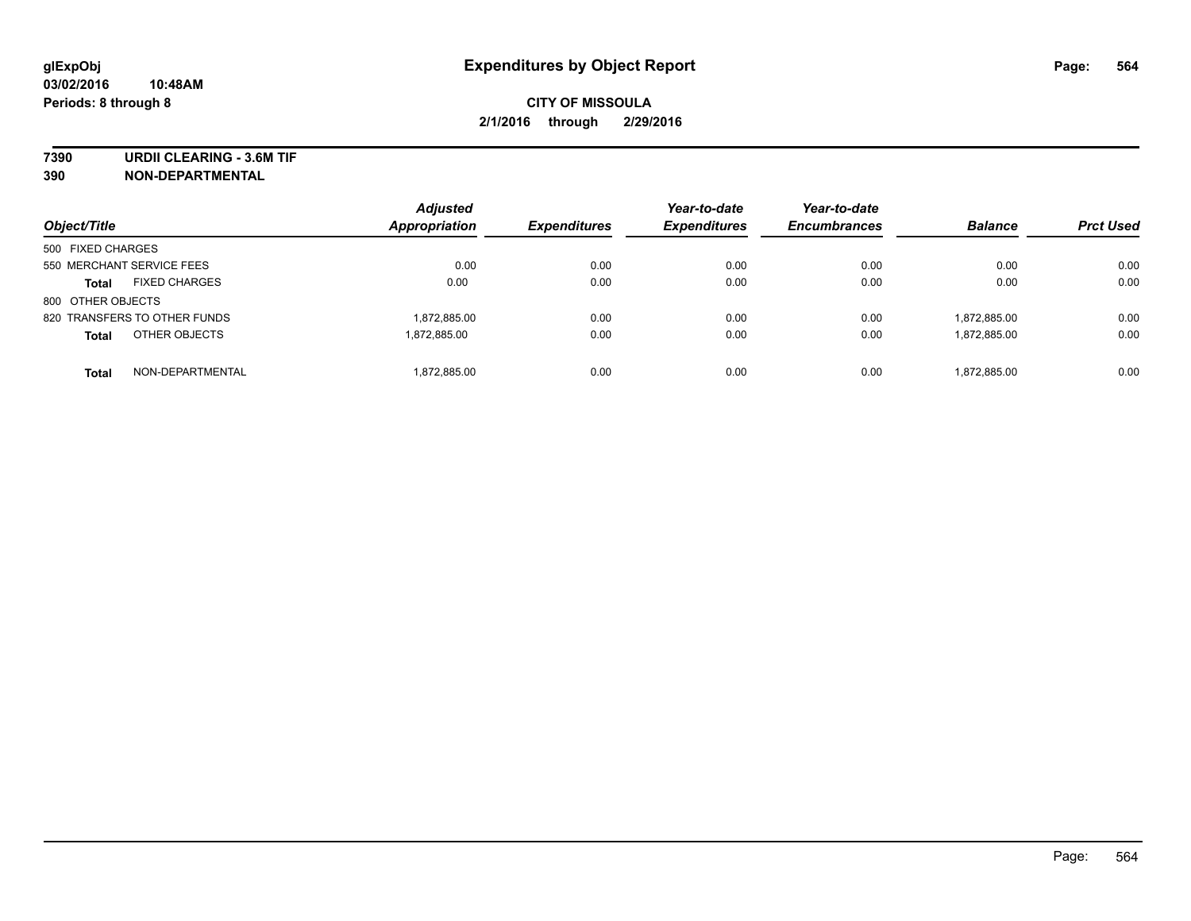**7390 URDII CLEARING - 3.6M TIF**

**390 NON-DEPARTMENTAL**

| Object/Title                         | <b>Adjusted</b><br><b>Appropriation</b> | <b>Expenditures</b> | Year-to-date<br><b>Expenditures</b> | Year-to-date<br><b>Encumbrances</b> | <b>Balance</b> | <b>Prct Used</b> |
|--------------------------------------|-----------------------------------------|---------------------|-------------------------------------|-------------------------------------|----------------|------------------|
| 500 FIXED CHARGES                    |                                         |                     |                                     |                                     |                |                  |
| 550 MERCHANT SERVICE FEES            | 0.00                                    | 0.00                | 0.00                                | 0.00                                | 0.00           | 0.00             |
| <b>FIXED CHARGES</b><br><b>Total</b> | 0.00                                    | 0.00                | 0.00                                | 0.00                                | 0.00           | 0.00             |
| 800 OTHER OBJECTS                    |                                         |                     |                                     |                                     |                |                  |
| 820 TRANSFERS TO OTHER FUNDS         | 1,872,885.00                            | 0.00                | 0.00                                | 0.00                                | 1.872.885.00   | 0.00             |
| OTHER OBJECTS<br><b>Total</b>        | 1.872.885.00                            | 0.00                | 0.00                                | 0.00                                | 1,872,885.00   | 0.00             |
| NON-DEPARTMENTAL<br><b>Total</b>     | 1.872.885.00                            | 0.00                | 0.00                                | 0.00                                | 1.872.885.00   | 0.00             |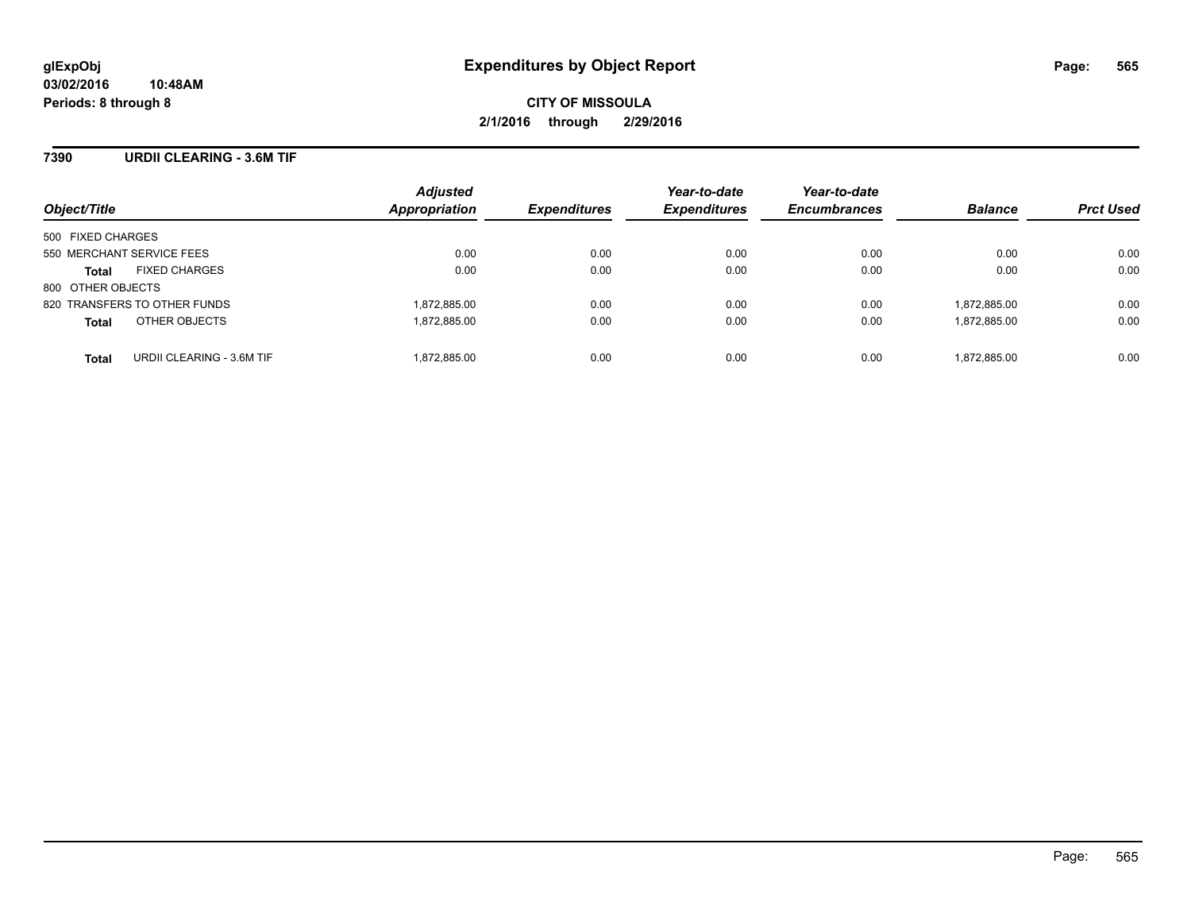## **7390 URDII CLEARING - 3.6M TIF**

| Object/Title                              | <b>Adjusted</b><br>Appropriation | <b>Expenditures</b> | Year-to-date<br><b>Expenditures</b> | Year-to-date<br><b>Encumbrances</b> | <b>Balance</b> | <b>Prct Used</b> |
|-------------------------------------------|----------------------------------|---------------------|-------------------------------------|-------------------------------------|----------------|------------------|
| 500 FIXED CHARGES                         |                                  |                     |                                     |                                     |                |                  |
| 550 MERCHANT SERVICE FEES                 | 0.00                             | 0.00                | 0.00                                | 0.00                                | 0.00           | 0.00             |
| <b>FIXED CHARGES</b><br><b>Total</b>      | 0.00                             | 0.00                | 0.00                                | 0.00                                | 0.00           | 0.00             |
| 800 OTHER OBJECTS                         |                                  |                     |                                     |                                     |                |                  |
| 820 TRANSFERS TO OTHER FUNDS              | 1,872,885.00                     | 0.00                | 0.00                                | 0.00                                | 1,872,885.00   | 0.00             |
| OTHER OBJECTS<br><b>Total</b>             | 1,872,885.00                     | 0.00                | 0.00                                | 0.00                                | 1,872,885.00   | 0.00             |
| URDII CLEARING - 3.6M TIF<br><b>Total</b> | 1,872,885.00                     | 0.00                | 0.00                                | 0.00                                | 1,872,885.00   | 0.00             |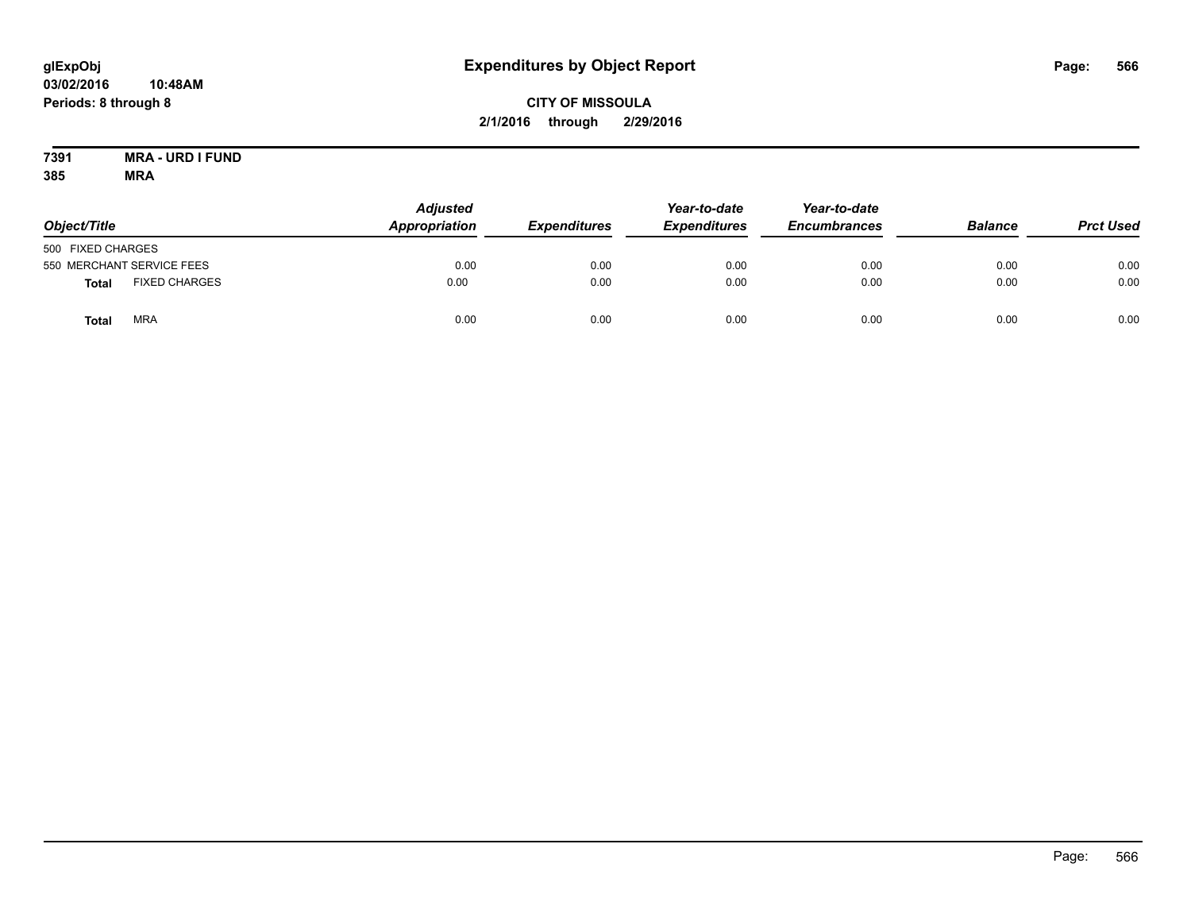#### **03/02/2016 10:48AM Periods: 8 through 8**

# **CITY OF MISSOULA 2/1/2016 through 2/29/2016**

#### **7391 MRA - URD I FUND 385 MRA**

| 385 | MR/ |
|-----|-----|
|     |     |

|                                      | <b>Adjusted</b> |                     | Year-to-date        | Year-to-date        |                |                  |
|--------------------------------------|-----------------|---------------------|---------------------|---------------------|----------------|------------------|
| Object/Title                         | Appropriation   | <b>Expenditures</b> | <b>Expenditures</b> | <b>Encumbrances</b> | <b>Balance</b> | <b>Prct Used</b> |
| 500 FIXED CHARGES                    |                 |                     |                     |                     |                |                  |
| 550 MERCHANT SERVICE FEES            | 0.00            | 0.00                | 0.00                | 0.00                | 0.00           | 0.00             |
| <b>FIXED CHARGES</b><br><b>Total</b> | 0.00            | 0.00                | 0.00                | 0.00                | 0.00           | 0.00             |
| <b>MRA</b><br>Total                  | 0.00            | 0.00                | 0.00                | 0.00                | 0.00           | 0.00             |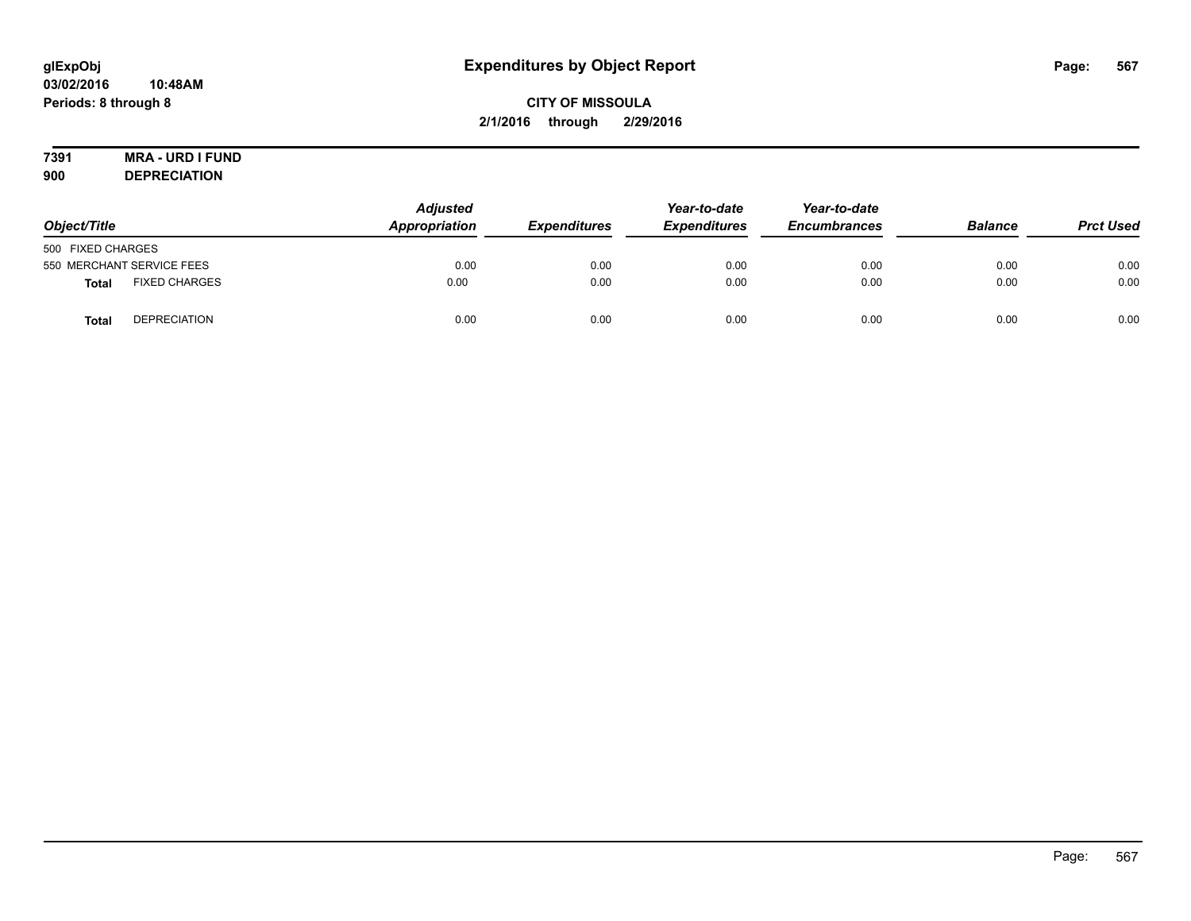# **7391 MRA - URD I FUND**

**900 DEPRECIATION**

| Object/Title              |                      | <b>Adjusted</b><br>Appropriation | <b>Expenditures</b> | Year-to-date<br><b>Expenditures</b> | Year-to-date<br><b>Encumbrances</b> | <b>Balance</b> | <b>Prct Used</b> |
|---------------------------|----------------------|----------------------------------|---------------------|-------------------------------------|-------------------------------------|----------------|------------------|
| 500 FIXED CHARGES         |                      |                                  |                     |                                     |                                     |                |                  |
| 550 MERCHANT SERVICE FEES |                      | 0.00                             | 0.00                | 0.00                                | 0.00                                | 0.00           | 0.00             |
| <b>Total</b>              | <b>FIXED CHARGES</b> | 0.00                             | 0.00                | 0.00                                | 0.00                                | 0.00           | 0.00             |
| <b>Total</b>              | <b>DEPRECIATION</b>  | 0.00                             | 0.00                | 0.00                                | 0.00                                | 0.00           | 0.00             |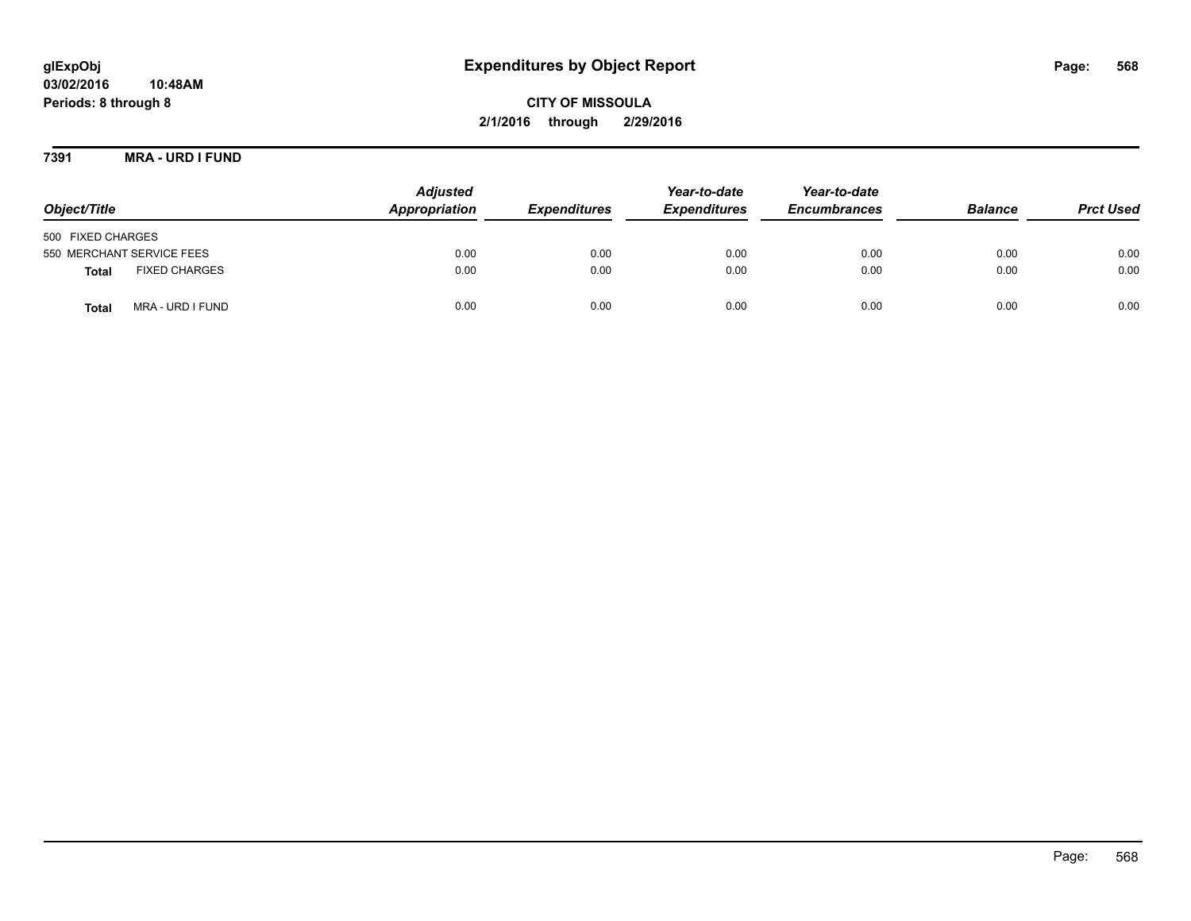**7391 MRA - URD I FUND**

| Object/Title                         | <b>Adjusted</b><br>Appropriation | <b>Expenditures</b> | Year-to-date<br><b>Expenditures</b> | Year-to-date<br><b>Encumbrances</b> | <b>Balance</b> | <b>Prct Used</b> |
|--------------------------------------|----------------------------------|---------------------|-------------------------------------|-------------------------------------|----------------|------------------|
| 500 FIXED CHARGES                    |                                  |                     |                                     |                                     |                |                  |
| 550 MERCHANT SERVICE FEES            | 0.00                             | 0.00                | 0.00                                | 0.00                                | 0.00           | 0.00             |
| <b>FIXED CHARGES</b><br><b>Total</b> | 0.00                             | 0.00                | 0.00                                | 0.00                                | 0.00           | 0.00             |
| MRA - URD I FUND<br><b>Total</b>     | 0.00                             | 0.00                | 0.00                                | 0.00                                | 0.00           | 0.00             |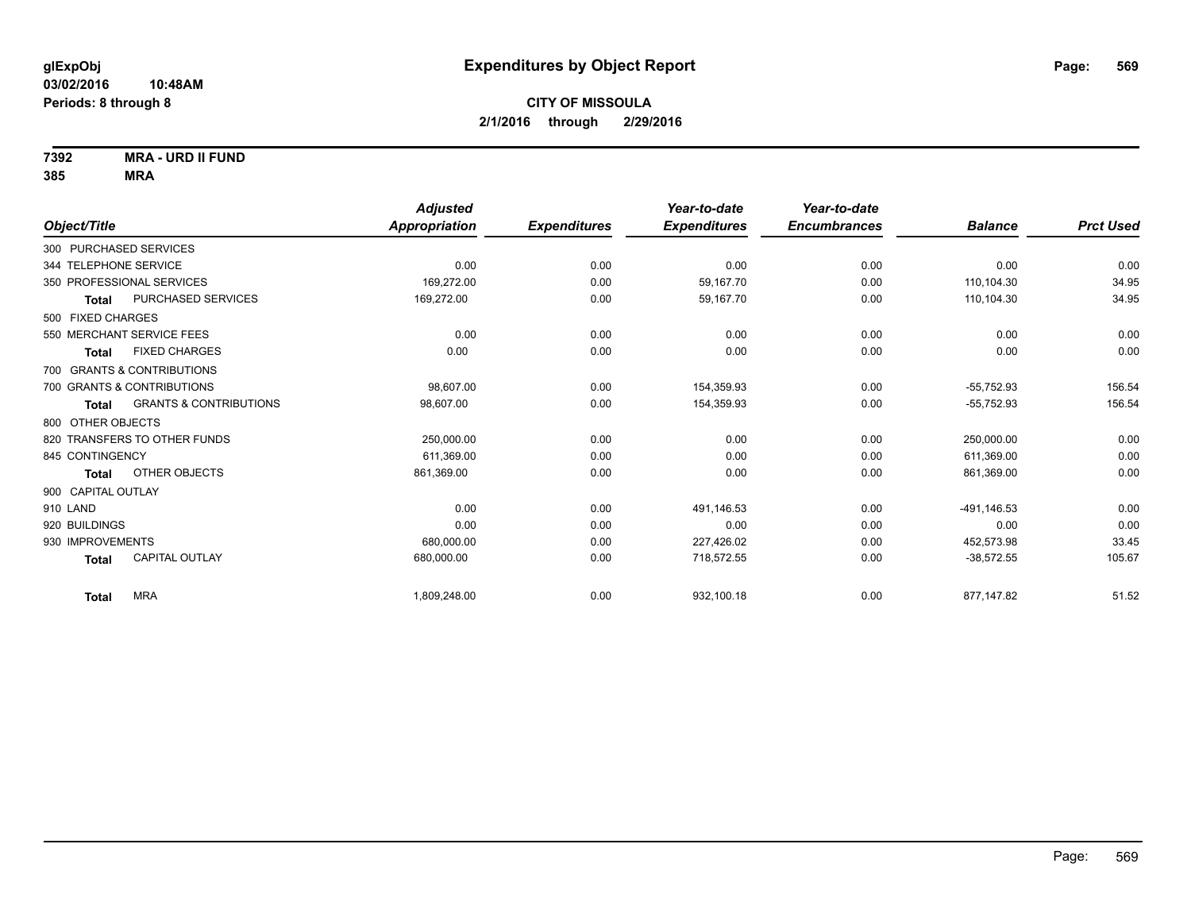**7392 MRA - URD II FUND**

|                                                   | <b>Adjusted</b>      |                     | Year-to-date        | Year-to-date        |                |                  |
|---------------------------------------------------|----------------------|---------------------|---------------------|---------------------|----------------|------------------|
| Object/Title                                      | <b>Appropriation</b> | <b>Expenditures</b> | <b>Expenditures</b> | <b>Encumbrances</b> | <b>Balance</b> | <b>Prct Used</b> |
| 300 PURCHASED SERVICES                            |                      |                     |                     |                     |                |                  |
| 344 TELEPHONE SERVICE                             | 0.00                 | 0.00                | 0.00                | 0.00                | 0.00           | 0.00             |
| 350 PROFESSIONAL SERVICES                         | 169,272.00           | 0.00                | 59,167.70           | 0.00                | 110,104.30     | 34.95            |
| PURCHASED SERVICES<br><b>Total</b>                | 169,272.00           | 0.00                | 59,167.70           | 0.00                | 110,104.30     | 34.95            |
| 500 FIXED CHARGES                                 |                      |                     |                     |                     |                |                  |
| 550 MERCHANT SERVICE FEES                         | 0.00                 | 0.00                | 0.00                | 0.00                | 0.00           | 0.00             |
| <b>FIXED CHARGES</b><br>Total                     | 0.00                 | 0.00                | 0.00                | 0.00                | 0.00           | 0.00             |
| 700 GRANTS & CONTRIBUTIONS                        |                      |                     |                     |                     |                |                  |
| 700 GRANTS & CONTRIBUTIONS                        | 98,607.00            | 0.00                | 154,359.93          | 0.00                | $-55,752.93$   | 156.54           |
| <b>GRANTS &amp; CONTRIBUTIONS</b><br><b>Total</b> | 98,607.00            | 0.00                | 154,359.93          | 0.00                | $-55,752.93$   | 156.54           |
| 800 OTHER OBJECTS                                 |                      |                     |                     |                     |                |                  |
| 820 TRANSFERS TO OTHER FUNDS                      | 250,000.00           | 0.00                | 0.00                | 0.00                | 250.000.00     | 0.00             |
| 845 CONTINGENCY                                   | 611,369.00           | 0.00                | 0.00                | 0.00                | 611,369.00     | 0.00             |
| OTHER OBJECTS<br><b>Total</b>                     | 861,369.00           | 0.00                | 0.00                | 0.00                | 861,369.00     | 0.00             |
| 900 CAPITAL OUTLAY                                |                      |                     |                     |                     |                |                  |
| 910 LAND                                          | 0.00                 | 0.00                | 491,146.53          | 0.00                | $-491, 146.53$ | 0.00             |
| 920 BUILDINGS                                     | 0.00                 | 0.00                | 0.00                | 0.00                | 0.00           | 0.00             |
| 930 IMPROVEMENTS                                  | 680,000.00           | 0.00                | 227,426.02          | 0.00                | 452,573.98     | 33.45            |
| <b>CAPITAL OUTLAY</b><br><b>Total</b>             | 680,000.00           | 0.00                | 718.572.55          | 0.00                | $-38,572.55$   | 105.67           |
| <b>MRA</b><br><b>Total</b>                        | 1,809,248.00         | 0.00                | 932,100.18          | 0.00                | 877,147.82     | 51.52            |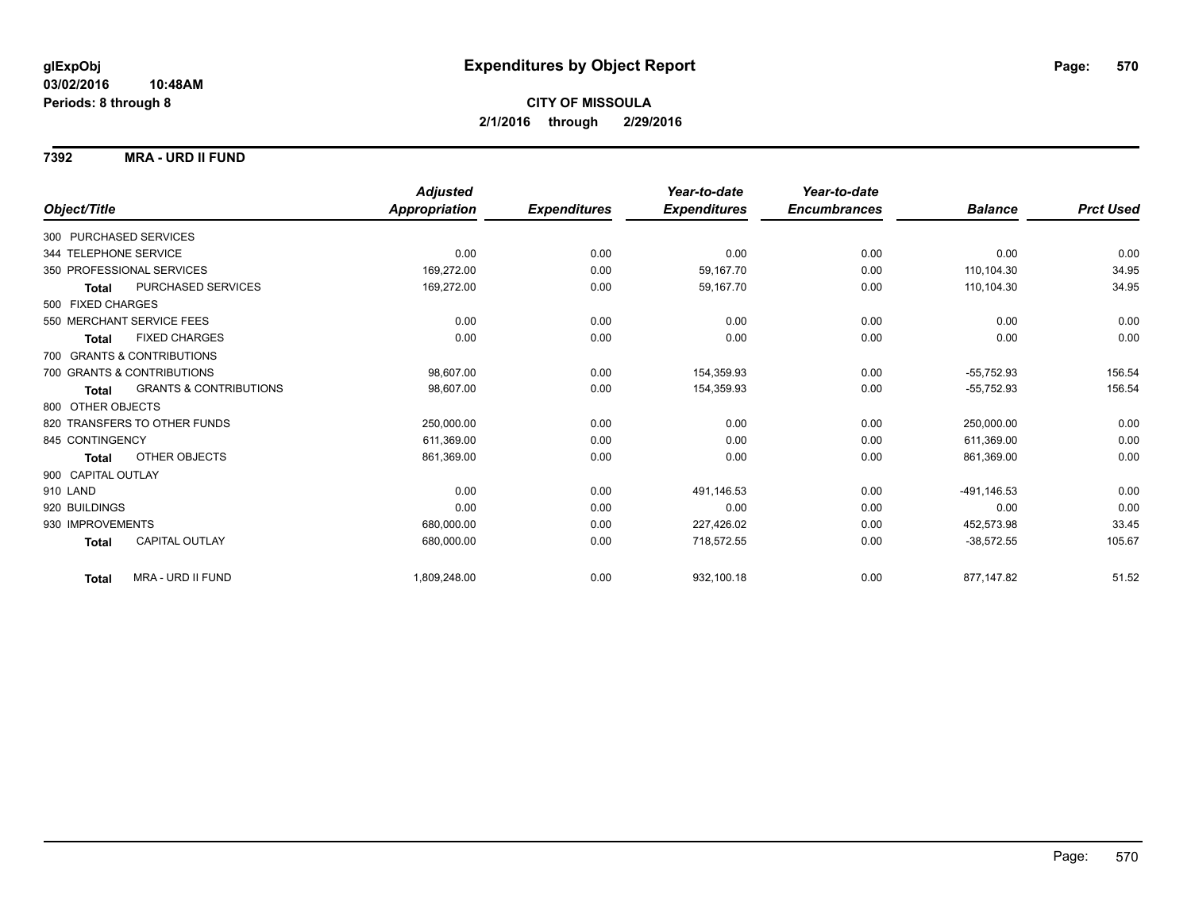## **7392 MRA - URD II FUND**

|                                            | <b>Adjusted</b> |                     | Year-to-date        | Year-to-date        |                |                  |
|--------------------------------------------|-----------------|---------------------|---------------------|---------------------|----------------|------------------|
| Object/Title                               | Appropriation   | <b>Expenditures</b> | <b>Expenditures</b> | <b>Encumbrances</b> | <b>Balance</b> | <b>Prct Used</b> |
| 300 PURCHASED SERVICES                     |                 |                     |                     |                     |                |                  |
| 344 TELEPHONE SERVICE                      | 0.00            | 0.00                | 0.00                | 0.00                | 0.00           | 0.00             |
| 350 PROFESSIONAL SERVICES                  | 169.272.00      | 0.00                | 59.167.70           | 0.00                | 110.104.30     | 34.95            |
| PURCHASED SERVICES<br>Total                | 169,272.00      | 0.00                | 59,167.70           | 0.00                | 110,104.30     | 34.95            |
| 500 FIXED CHARGES                          |                 |                     |                     |                     |                |                  |
| 550 MERCHANT SERVICE FEES                  | 0.00            | 0.00                | 0.00                | 0.00                | 0.00           | 0.00             |
| <b>FIXED CHARGES</b><br><b>Total</b>       | 0.00            | 0.00                | 0.00                | 0.00                | 0.00           | 0.00             |
| 700 GRANTS & CONTRIBUTIONS                 |                 |                     |                     |                     |                |                  |
| 700 GRANTS & CONTRIBUTIONS                 | 98,607.00       | 0.00                | 154,359.93          | 0.00                | $-55,752.93$   | 156.54           |
| <b>GRANTS &amp; CONTRIBUTIONS</b><br>Total | 98,607.00       | 0.00                | 154,359.93          | 0.00                | $-55,752.93$   | 156.54           |
| 800 OTHER OBJECTS                          |                 |                     |                     |                     |                |                  |
| 820 TRANSFERS TO OTHER FUNDS               | 250,000.00      | 0.00                | 0.00                | 0.00                | 250,000.00     | 0.00             |
| 845 CONTINGENCY                            | 611,369.00      | 0.00                | 0.00                | 0.00                | 611,369.00     | 0.00             |
| <b>OTHER OBJECTS</b><br>Total              | 861,369.00      | 0.00                | 0.00                | 0.00                | 861,369.00     | 0.00             |
| 900 CAPITAL OUTLAY                         |                 |                     |                     |                     |                |                  |
| 910 LAND                                   | 0.00            | 0.00                | 491,146.53          | 0.00                | $-491, 146.53$ | 0.00             |
| 920 BUILDINGS                              | 0.00            | 0.00                | 0.00                | 0.00                | 0.00           | 0.00             |
| 930 IMPROVEMENTS                           | 680,000.00      | 0.00                | 227,426.02          | 0.00                | 452,573.98     | 33.45            |
| <b>CAPITAL OUTLAY</b><br><b>Total</b>      | 680,000.00      | 0.00                | 718,572.55          | 0.00                | $-38,572.55$   | 105.67           |
| MRA - URD II FUND<br><b>Total</b>          | 1,809,248.00    | 0.00                | 932,100.18          | 0.00                | 877,147.82     | 51.52            |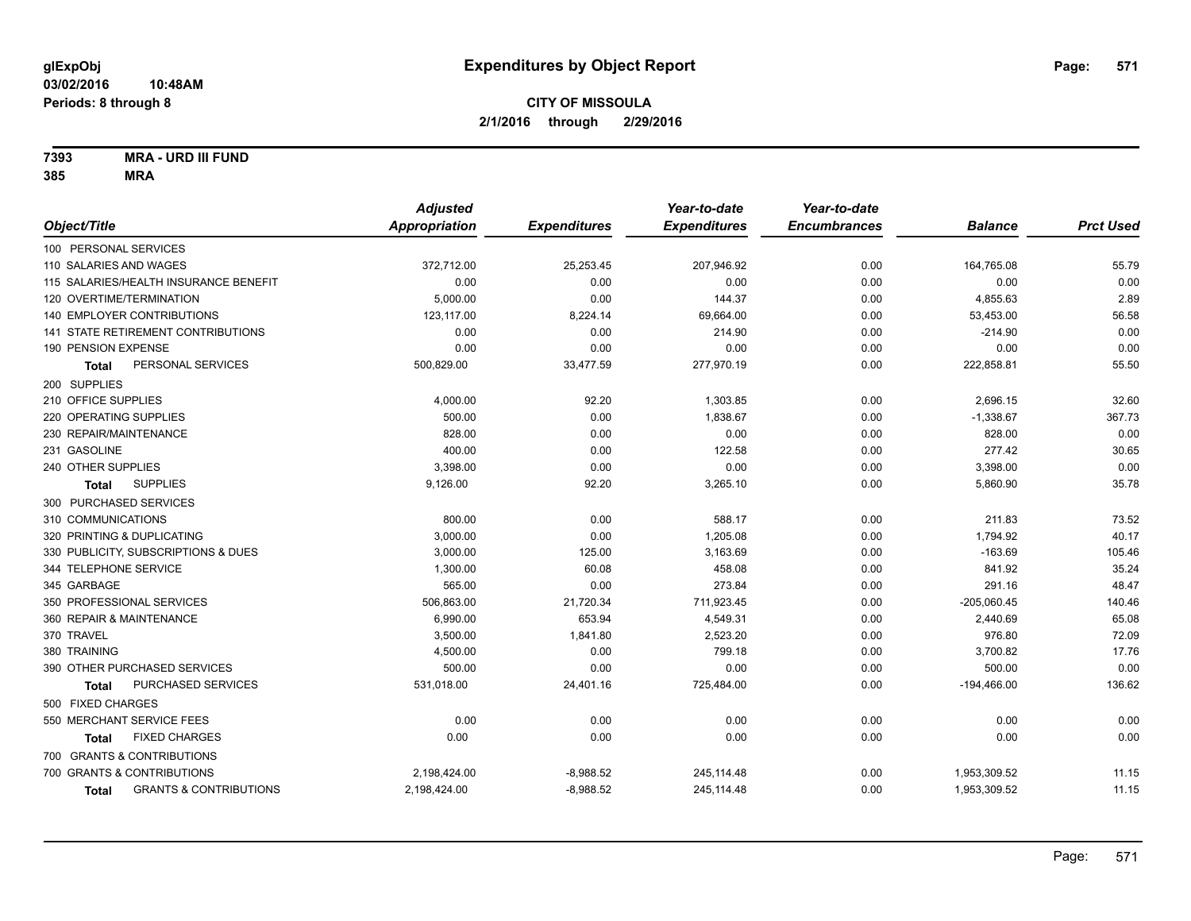**7393 MRA - URD III FUND**

|                                                   | <b>Adjusted</b>      |                     | Year-to-date        | Year-to-date        |                |                  |
|---------------------------------------------------|----------------------|---------------------|---------------------|---------------------|----------------|------------------|
| Object/Title                                      | <b>Appropriation</b> | <b>Expenditures</b> | <b>Expenditures</b> | <b>Encumbrances</b> | <b>Balance</b> | <b>Prct Used</b> |
| 100 PERSONAL SERVICES                             |                      |                     |                     |                     |                |                  |
| 110 SALARIES AND WAGES                            | 372,712.00           | 25,253.45           | 207,946.92          | 0.00                | 164,765.08     | 55.79            |
| 115 SALARIES/HEALTH INSURANCE BENEFIT             | 0.00                 | 0.00                | 0.00                | 0.00                | 0.00           | 0.00             |
| 120 OVERTIME/TERMINATION                          | 5,000.00             | 0.00                | 144.37              | 0.00                | 4,855.63       | 2.89             |
| 140 EMPLOYER CONTRIBUTIONS                        | 123,117.00           | 8,224.14            | 69,664.00           | 0.00                | 53,453.00      | 56.58            |
| <b>141 STATE RETIREMENT CONTRIBUTIONS</b>         | 0.00                 | 0.00                | 214.90              | 0.00                | $-214.90$      | 0.00             |
| 190 PENSION EXPENSE                               | 0.00                 | 0.00                | 0.00                | 0.00                | 0.00           | 0.00             |
| PERSONAL SERVICES<br>Total                        | 500,829.00           | 33,477.59           | 277,970.19          | 0.00                | 222,858.81     | 55.50            |
| 200 SUPPLIES                                      |                      |                     |                     |                     |                |                  |
| 210 OFFICE SUPPLIES                               | 4,000.00             | 92.20               | 1,303.85            | 0.00                | 2,696.15       | 32.60            |
| 220 OPERATING SUPPLIES                            | 500.00               | 0.00                | 1,838.67            | 0.00                | $-1,338.67$    | 367.73           |
| 230 REPAIR/MAINTENANCE                            | 828.00               | 0.00                | 0.00                | 0.00                | 828.00         | 0.00             |
| 231 GASOLINE                                      | 400.00               | 0.00                | 122.58              | 0.00                | 277.42         | 30.65            |
| 240 OTHER SUPPLIES                                | 3,398.00             | 0.00                | 0.00                | 0.00                | 3,398.00       | 0.00             |
| <b>SUPPLIES</b><br>Total                          | 9,126.00             | 92.20               | 3,265.10            | 0.00                | 5,860.90       | 35.78            |
| 300 PURCHASED SERVICES                            |                      |                     |                     |                     |                |                  |
| 310 COMMUNICATIONS                                | 800.00               | 0.00                | 588.17              | 0.00                | 211.83         | 73.52            |
| 320 PRINTING & DUPLICATING                        | 3,000.00             | 0.00                | 1,205.08            | 0.00                | 1,794.92       | 40.17            |
| 330 PUBLICITY, SUBSCRIPTIONS & DUES               | 3,000.00             | 125.00              | 3,163.69            | 0.00                | $-163.69$      | 105.46           |
| 344 TELEPHONE SERVICE                             | 1,300.00             | 60.08               | 458.08              | 0.00                | 841.92         | 35.24            |
| 345 GARBAGE                                       | 565.00               | 0.00                | 273.84              | 0.00                | 291.16         | 48.47            |
| 350 PROFESSIONAL SERVICES                         | 506,863.00           | 21,720.34           | 711,923.45          | 0.00                | $-205,060.45$  | 140.46           |
| 360 REPAIR & MAINTENANCE                          | 6,990.00             | 653.94              | 4,549.31            | 0.00                | 2,440.69       | 65.08            |
| 370 TRAVEL                                        | 3,500.00             | 1,841.80            | 2,523.20            | 0.00                | 976.80         | 72.09            |
| 380 TRAINING                                      | 4,500.00             | 0.00                | 799.18              | 0.00                | 3,700.82       | 17.76            |
| 390 OTHER PURCHASED SERVICES                      | 500.00               | 0.00                | 0.00                | 0.00                | 500.00         | 0.00             |
| PURCHASED SERVICES<br><b>Total</b>                | 531,018.00           | 24,401.16           | 725,484.00          | 0.00                | $-194,466.00$  | 136.62           |
| 500 FIXED CHARGES                                 |                      |                     |                     |                     |                |                  |
| 550 MERCHANT SERVICE FEES                         | 0.00                 | 0.00                | 0.00                | 0.00                | 0.00           | 0.00             |
| <b>FIXED CHARGES</b><br>Total                     | 0.00                 | 0.00                | 0.00                | 0.00                | 0.00           | 0.00             |
| 700 GRANTS & CONTRIBUTIONS                        |                      |                     |                     |                     |                |                  |
| 700 GRANTS & CONTRIBUTIONS                        | 2,198,424.00         | $-8,988.52$         | 245,114.48          | 0.00                | 1,953,309.52   | 11.15            |
| <b>GRANTS &amp; CONTRIBUTIONS</b><br><b>Total</b> | 2,198,424.00         | $-8,988.52$         | 245,114.48          | 0.00                | 1,953,309.52   | 11.15            |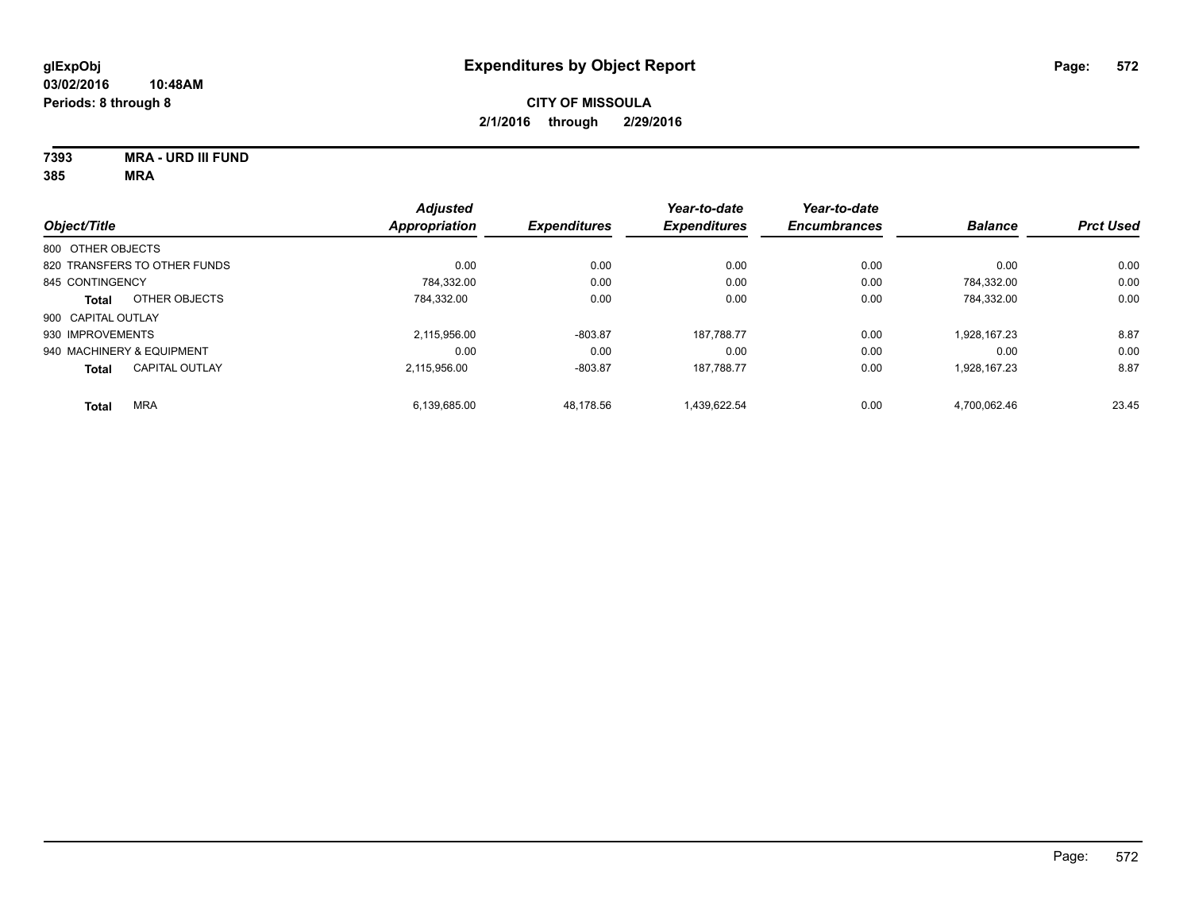**7393 MRA - URD III FUND**

|                           |                              | <b>Adjusted</b>      |                     | Year-to-date        | Year-to-date        |                |                  |
|---------------------------|------------------------------|----------------------|---------------------|---------------------|---------------------|----------------|------------------|
| Object/Title              |                              | <b>Appropriation</b> | <b>Expenditures</b> | <b>Expenditures</b> | <b>Encumbrances</b> | <b>Balance</b> | <b>Prct Used</b> |
| 800 OTHER OBJECTS         |                              |                      |                     |                     |                     |                |                  |
|                           | 820 TRANSFERS TO OTHER FUNDS | 0.00                 | 0.00                | 0.00                | 0.00                | 0.00           | 0.00             |
| 845 CONTINGENCY           |                              | 784,332.00           | 0.00                | 0.00                | 0.00                | 784.332.00     | 0.00             |
| <b>Total</b>              | OTHER OBJECTS                | 784.332.00           | 0.00                | 0.00                | 0.00                | 784.332.00     | 0.00             |
| 900 CAPITAL OUTLAY        |                              |                      |                     |                     |                     |                |                  |
| 930 IMPROVEMENTS          |                              | 2.115.956.00         | $-803.87$           | 187.788.77          | 0.00                | 1.928.167.23   | 8.87             |
| 940 MACHINERY & EQUIPMENT |                              | 0.00                 | 0.00                | 0.00                | 0.00                | 0.00           | 0.00             |
| <b>Total</b>              | <b>CAPITAL OUTLAY</b>        | 2.115.956.00         | $-803.87$           | 187.788.77          | 0.00                | 1.928.167.23   | 8.87             |
| <b>Total</b>              | <b>MRA</b>                   | 6,139,685.00         | 48.178.56           | 1,439,622.54        | 0.00                | 4.700.062.46   | 23.45            |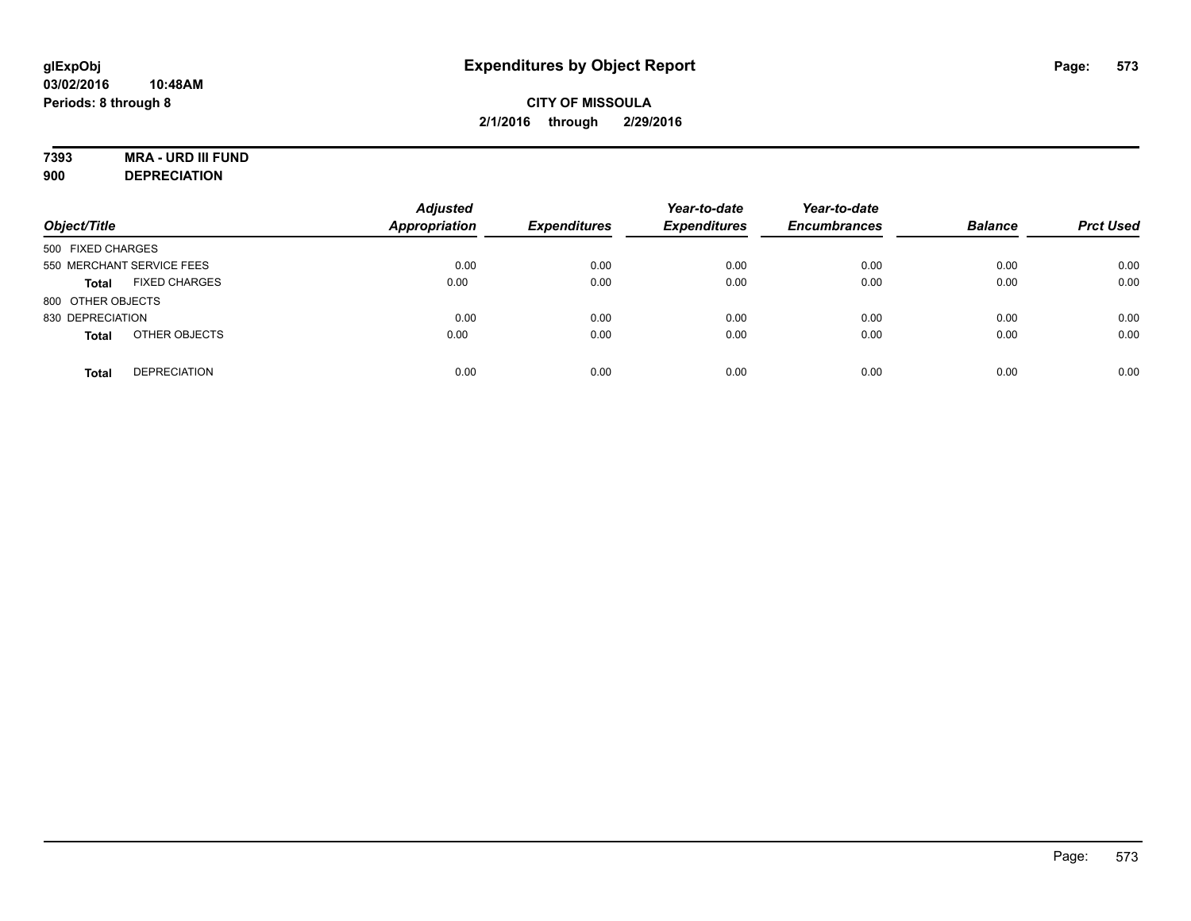# **7393 MRA - URD III FUND**

**900 DEPRECIATION**

| Object/Title                         | <b>Adjusted</b><br><b>Appropriation</b> | <b>Expenditures</b> | Year-to-date<br><b>Expenditures</b> | Year-to-date<br><b>Encumbrances</b> | <b>Balance</b> | <b>Prct Used</b> |
|--------------------------------------|-----------------------------------------|---------------------|-------------------------------------|-------------------------------------|----------------|------------------|
| 500 FIXED CHARGES                    |                                         |                     |                                     |                                     |                |                  |
| 550 MERCHANT SERVICE FEES            | 0.00                                    | 0.00                | 0.00                                | 0.00                                | 0.00           | 0.00             |
| <b>FIXED CHARGES</b><br><b>Total</b> | 0.00                                    | 0.00                | 0.00                                | 0.00                                | 0.00           | 0.00             |
| 800 OTHER OBJECTS                    |                                         |                     |                                     |                                     |                |                  |
| 830 DEPRECIATION                     | 0.00                                    | 0.00                | 0.00                                | 0.00                                | 0.00           | 0.00             |
| OTHER OBJECTS<br><b>Total</b>        | 0.00                                    | 0.00                | 0.00                                | 0.00                                | 0.00           | 0.00             |
| <b>DEPRECIATION</b><br><b>Total</b>  | 0.00                                    | 0.00                | 0.00                                | 0.00                                | 0.00           | 0.00             |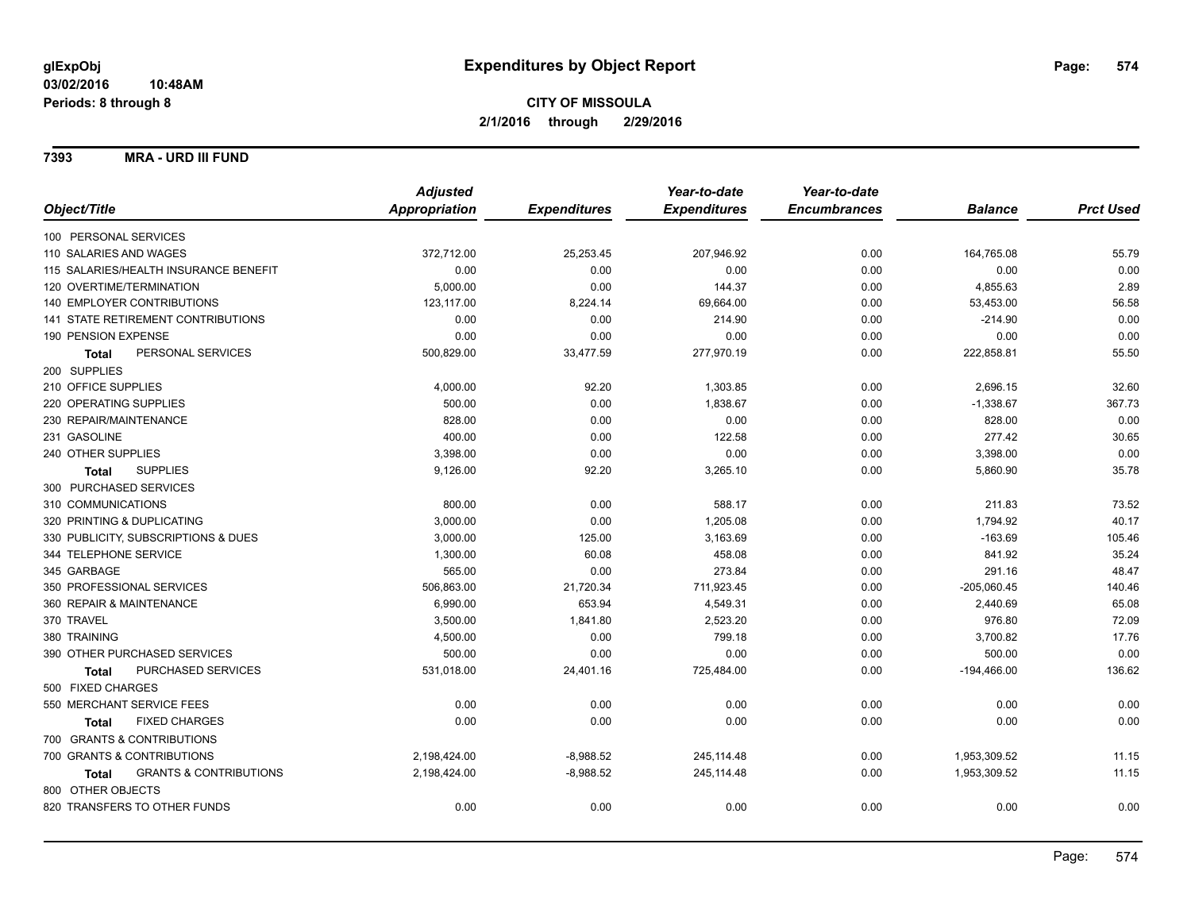**7393 MRA - URD III FUND**

|                                                   | <b>Adjusted</b> |                     | Year-to-date        | Year-to-date        |                |                  |
|---------------------------------------------------|-----------------|---------------------|---------------------|---------------------|----------------|------------------|
| Object/Title                                      | Appropriation   | <b>Expenditures</b> | <b>Expenditures</b> | <b>Encumbrances</b> | <b>Balance</b> | <b>Prct Used</b> |
| 100 PERSONAL SERVICES                             |                 |                     |                     |                     |                |                  |
| 110 SALARIES AND WAGES                            | 372,712.00      | 25,253.45           | 207,946.92          | 0.00                | 164,765.08     | 55.79            |
| 115 SALARIES/HEALTH INSURANCE BENEFIT             | 0.00            | 0.00                | 0.00                | 0.00                | 0.00           | 0.00             |
| 120 OVERTIME/TERMINATION                          | 5,000.00        | 0.00                | 144.37              | 0.00                | 4,855.63       | 2.89             |
| 140 EMPLOYER CONTRIBUTIONS                        | 123,117.00      | 8,224.14            | 69,664.00           | 0.00                | 53,453.00      | 56.58            |
| 141 STATE RETIREMENT CONTRIBUTIONS                | 0.00            | 0.00                | 214.90              | 0.00                | $-214.90$      | 0.00             |
| 190 PENSION EXPENSE                               | 0.00            | 0.00                | 0.00                | 0.00                | 0.00           | 0.00             |
| PERSONAL SERVICES<br>Total                        | 500,829.00      | 33,477.59           | 277,970.19          | 0.00                | 222,858.81     | 55.50            |
| 200 SUPPLIES                                      |                 |                     |                     |                     |                |                  |
| 210 OFFICE SUPPLIES                               | 4,000.00        | 92.20               | 1,303.85            | 0.00                | 2,696.15       | 32.60            |
| 220 OPERATING SUPPLIES                            | 500.00          | 0.00                | 1,838.67            | 0.00                | $-1,338.67$    | 367.73           |
| 230 REPAIR/MAINTENANCE                            | 828.00          | 0.00                | 0.00                | 0.00                | 828.00         | 0.00             |
| 231 GASOLINE                                      | 400.00          | 0.00                | 122.58              | 0.00                | 277.42         | 30.65            |
| 240 OTHER SUPPLIES                                | 3,398.00        | 0.00                | 0.00                | 0.00                | 3,398.00       | 0.00             |
| <b>SUPPLIES</b><br>Total                          | 9,126.00        | 92.20               | 3,265.10            | 0.00                | 5,860.90       | 35.78            |
| 300 PURCHASED SERVICES                            |                 |                     |                     |                     |                |                  |
| 310 COMMUNICATIONS                                | 800.00          | 0.00                | 588.17              | 0.00                | 211.83         | 73.52            |
| 320 PRINTING & DUPLICATING                        | 3,000.00        | 0.00                | 1,205.08            | 0.00                | 1,794.92       | 40.17            |
| 330 PUBLICITY, SUBSCRIPTIONS & DUES               | 3,000.00        | 125.00              | 3,163.69            | 0.00                | $-163.69$      | 105.46           |
| 344 TELEPHONE SERVICE                             | 1,300.00        | 60.08               | 458.08              | 0.00                | 841.92         | 35.24            |
| 345 GARBAGE                                       | 565.00          | 0.00                | 273.84              | 0.00                | 291.16         | 48.47            |
| 350 PROFESSIONAL SERVICES                         | 506,863.00      | 21,720.34           | 711,923.45          | 0.00                | $-205,060.45$  | 140.46           |
| 360 REPAIR & MAINTENANCE                          | 6,990.00        | 653.94              | 4,549.31            | 0.00                | 2,440.69       | 65.08            |
| 370 TRAVEL                                        | 3,500.00        | 1,841.80            | 2,523.20            | 0.00                | 976.80         | 72.09            |
| 380 TRAINING                                      | 4,500.00        | 0.00                | 799.18              | 0.00                | 3,700.82       | 17.76            |
| 390 OTHER PURCHASED SERVICES                      | 500.00          | 0.00                | 0.00                | 0.00                | 500.00         | 0.00             |
| PURCHASED SERVICES<br><b>Total</b>                | 531,018.00      | 24,401.16           | 725,484.00          | 0.00                | $-194,466.00$  | 136.62           |
| 500 FIXED CHARGES                                 |                 |                     |                     |                     |                |                  |
| 550 MERCHANT SERVICE FEES                         | 0.00            | 0.00                | 0.00                | 0.00                | 0.00           | 0.00             |
| <b>FIXED CHARGES</b><br><b>Total</b>              | 0.00            | 0.00                | 0.00                | 0.00                | 0.00           | 0.00             |
| 700 GRANTS & CONTRIBUTIONS                        |                 |                     |                     |                     |                |                  |
| 700 GRANTS & CONTRIBUTIONS                        | 2,198,424.00    | $-8,988.52$         | 245,114.48          | 0.00                | 1,953,309.52   | 11.15            |
| <b>GRANTS &amp; CONTRIBUTIONS</b><br><b>Total</b> | 2,198,424.00    | $-8,988.52$         | 245,114.48          | 0.00                | 1,953,309.52   | 11.15            |
| 800 OTHER OBJECTS                                 |                 |                     |                     |                     |                |                  |
| 820 TRANSFERS TO OTHER FUNDS                      | 0.00            | 0.00                | 0.00                | 0.00                | 0.00           | 0.00             |
|                                                   |                 |                     |                     |                     |                |                  |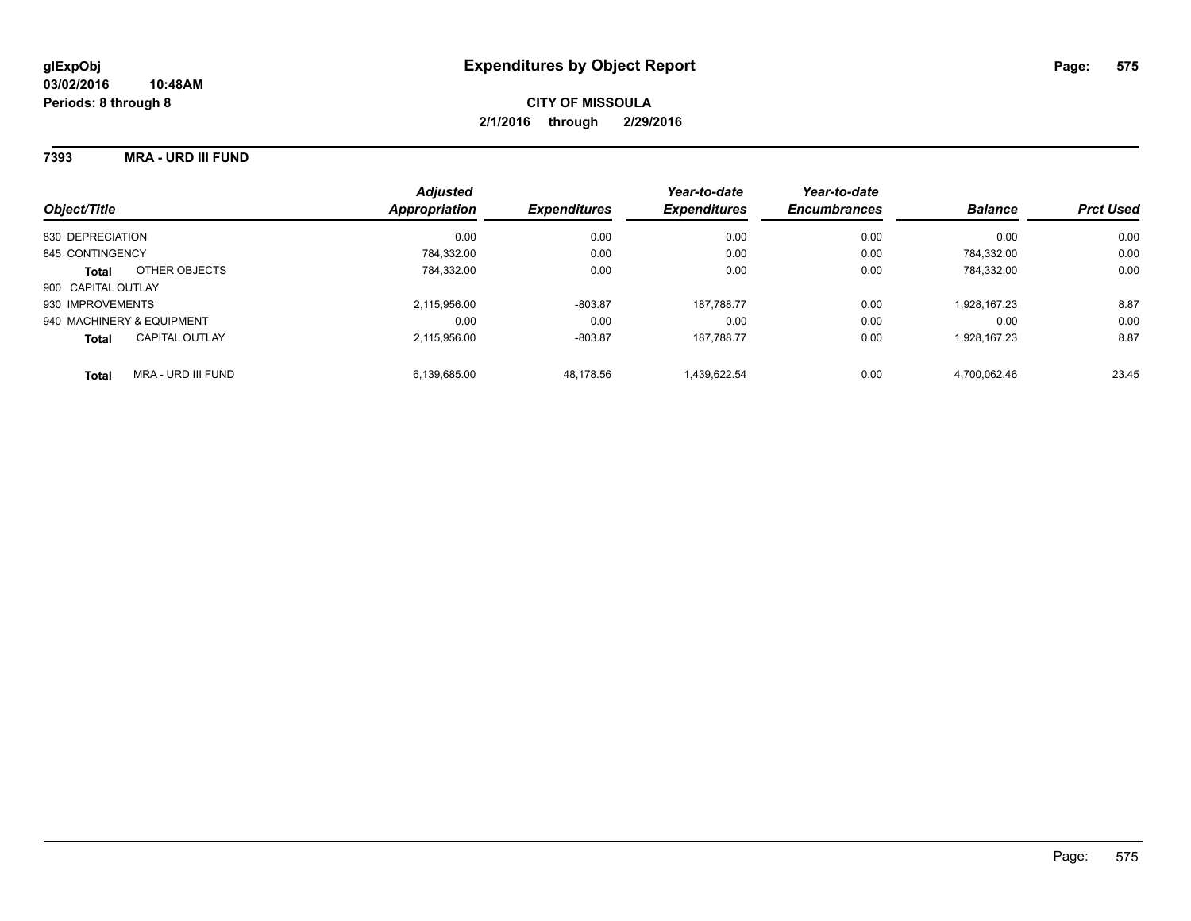## **7393 MRA - URD III FUND**

| Object/Title                          | <b>Adjusted</b><br>Appropriation | <b>Expenditures</b> | Year-to-date<br><b>Expenditures</b> | Year-to-date<br><b>Encumbrances</b> | <b>Balance</b> | <b>Prct Used</b> |
|---------------------------------------|----------------------------------|---------------------|-------------------------------------|-------------------------------------|----------------|------------------|
| 830 DEPRECIATION                      | 0.00                             | 0.00                | 0.00                                | 0.00                                | 0.00           | 0.00             |
| 845 CONTINGENCY                       | 784.332.00                       | 0.00                | 0.00                                | 0.00                                | 784.332.00     | 0.00             |
| OTHER OBJECTS<br><b>Total</b>         | 784.332.00                       | 0.00                | 0.00                                | 0.00                                | 784.332.00     | 0.00             |
| 900 CAPITAL OUTLAY                    |                                  |                     |                                     |                                     |                |                  |
| 930 IMPROVEMENTS                      | 2,115,956.00                     | $-803.87$           | 187.788.77                          | 0.00                                | 1.928.167.23   | 8.87             |
| 940 MACHINERY & EQUIPMENT             | 0.00                             | 0.00                | 0.00                                | 0.00                                | 0.00           | 0.00             |
| <b>CAPITAL OUTLAY</b><br><b>Total</b> | 2.115.956.00                     | $-803.87$           | 187.788.77                          | 0.00                                | 1.928.167.23   | 8.87             |
| MRA - URD III FUND<br><b>Total</b>    | 6.139.685.00                     | 48.178.56           | 1.439.622.54                        | 0.00                                | 4.700.062.46   | 23.45            |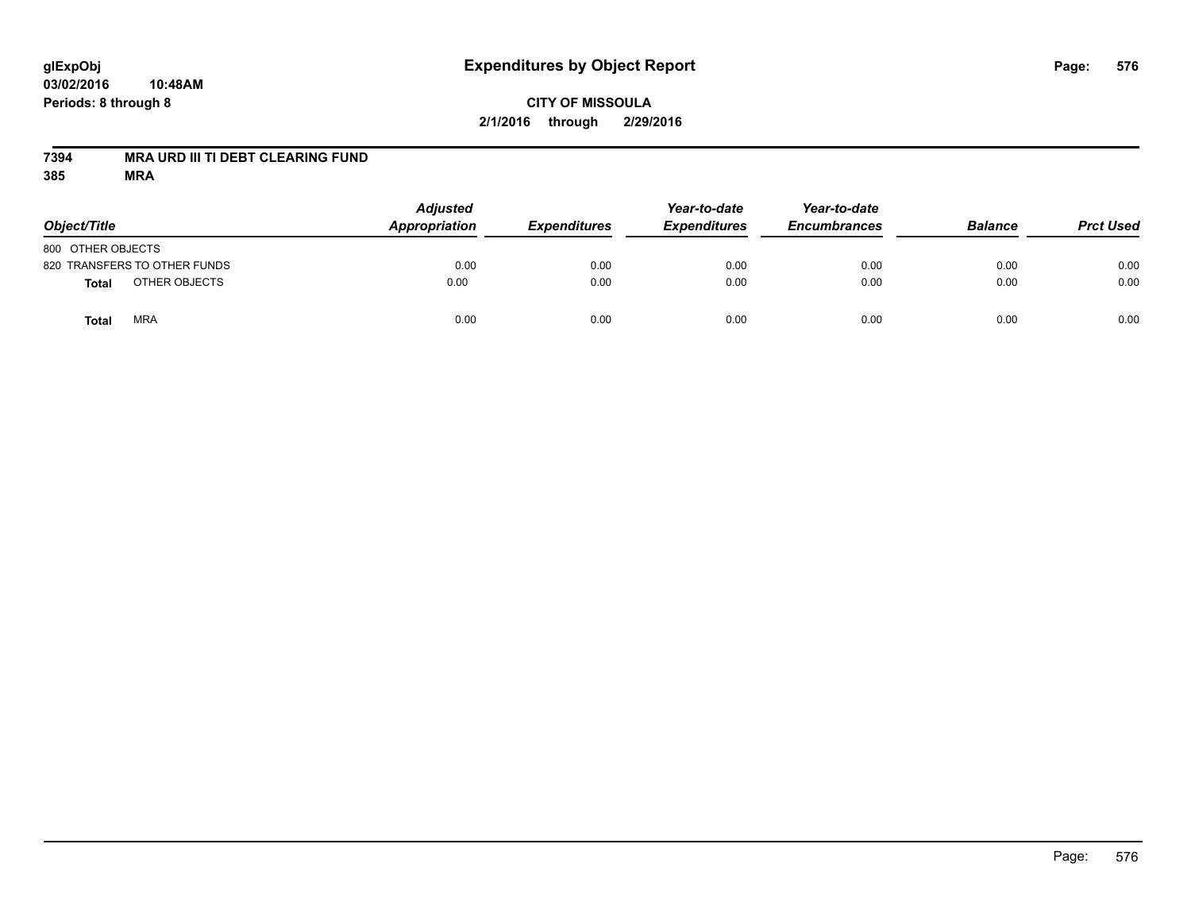# **glExpObj Expenditures by Object Report Page: 576**

**03/02/2016 10:48AM Periods: 8 through 8**

## **7394 MRA URD III TI DEBT CLEARING FUND**

| Object/Title                 | <b>Adjusted</b><br>Appropriation | <b>Expenditures</b> | Year-to-date<br><b>Expenditures</b> | Year-to-date<br><b>Encumbrances</b> | <b>Balance</b> | <b>Prct Used</b> |
|------------------------------|----------------------------------|---------------------|-------------------------------------|-------------------------------------|----------------|------------------|
| 800 OTHER OBJECTS            |                                  |                     |                                     |                                     |                |                  |
| 820 TRANSFERS TO OTHER FUNDS | 0.00                             | 0.00                | 0.00                                | 0.00                                | 0.00           | 0.00             |
| OTHER OBJECTS<br>Total       | 0.00                             | 0.00                | 0.00                                | 0.00                                | 0.00           | 0.00             |
| <b>MRA</b><br>Total          | 0.00                             | 0.00                | 0.00                                | 0.00                                | 0.00           | 0.00             |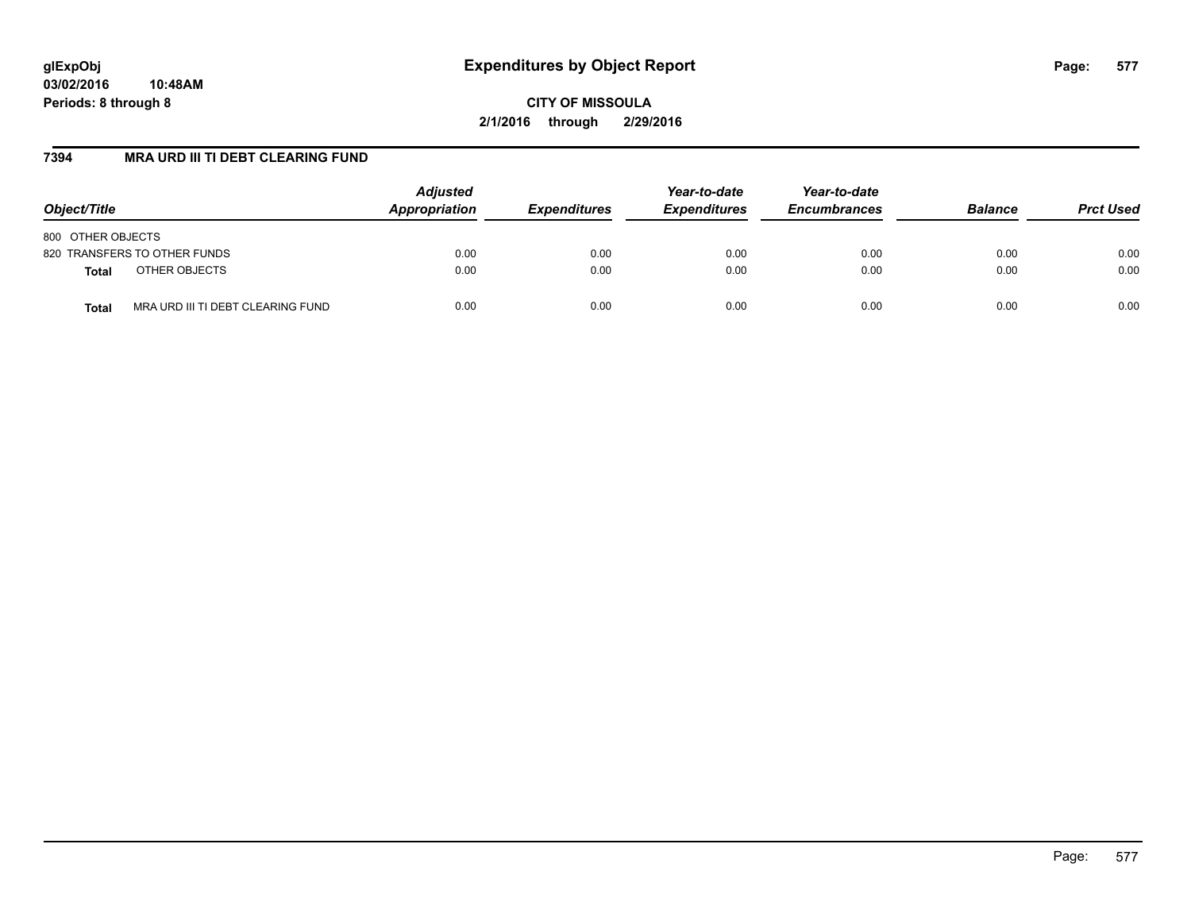**CITY OF MISSOULA 2/1/2016 through 2/29/2016**

### **7394 MRA URD III TI DEBT CLEARING FUND**

| Object/Title                                      | <b>Adjusted</b><br>Appropriation | <i><b>Expenditures</b></i> | Year-to-date<br><b>Expenditures</b> | Year-to-date<br><b>Encumbrances</b> | <b>Balance</b> | <b>Prct Used</b> |
|---------------------------------------------------|----------------------------------|----------------------------|-------------------------------------|-------------------------------------|----------------|------------------|
| 800 OTHER OBJECTS                                 |                                  |                            |                                     |                                     |                |                  |
| 820 TRANSFERS TO OTHER FUNDS                      | 0.00                             | 0.00                       | 0.00                                | 0.00                                | 0.00           | 0.00             |
| OTHER OBJECTS<br><b>Total</b>                     | 0.00                             | 0.00                       | 0.00                                | 0.00                                | 0.00           | 0.00             |
| MRA URD III TI DEBT CLEARING FUND<br><b>Total</b> | 0.00                             | 0.00                       | 0.00                                | 0.00                                | 0.00           | 0.00             |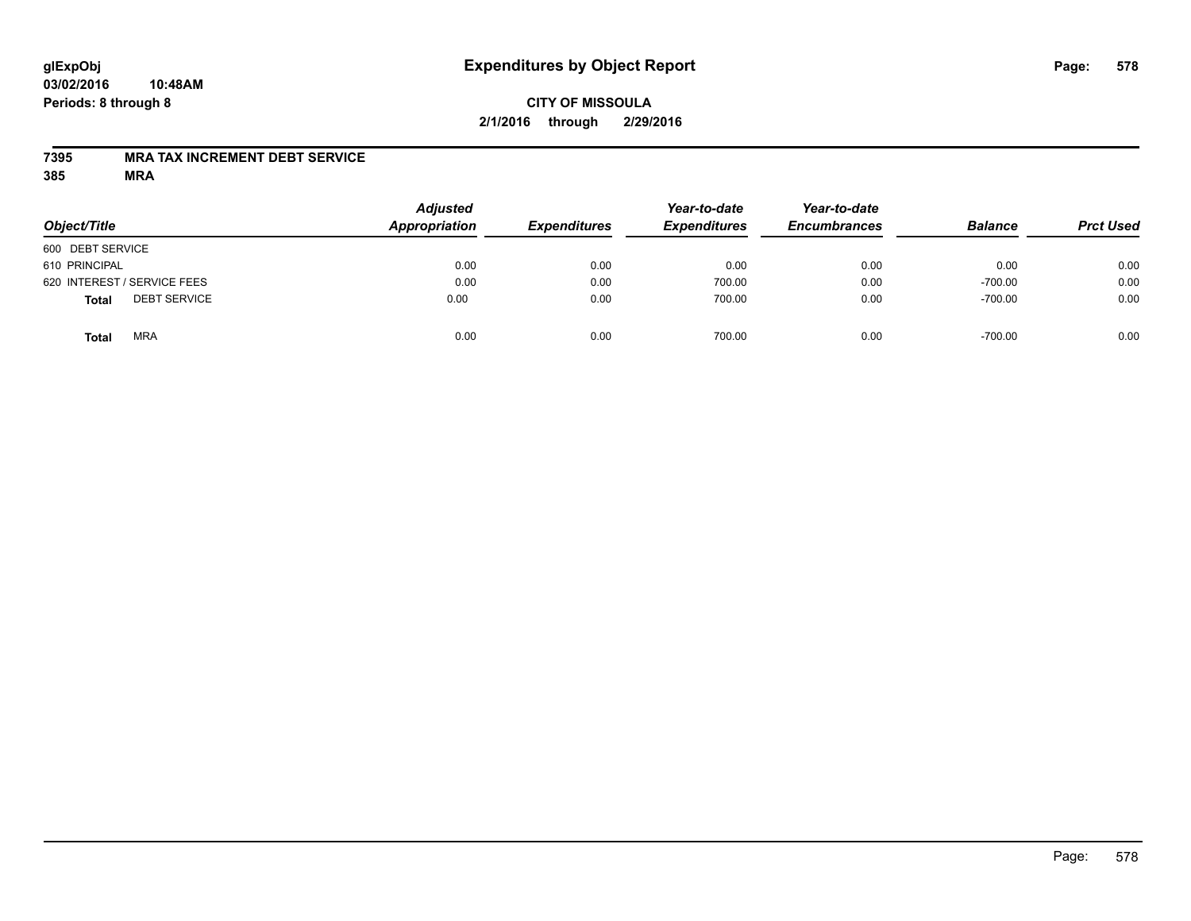## **CITY OF MISSOULA 2/1/2016 through 2/29/2016**

### **7395 MRA TAX INCREMENT DEBT SERVICE**

| Object/Title                        | <b>Adjusted</b><br>Appropriation | <b>Expenditures</b> | Year-to-date<br><b>Expenditures</b> | Year-to-date<br><b>Encumbrances</b> | <b>Balance</b> | <b>Prct Used</b> |
|-------------------------------------|----------------------------------|---------------------|-------------------------------------|-------------------------------------|----------------|------------------|
| 600 DEBT SERVICE                    |                                  |                     |                                     |                                     |                |                  |
| 610 PRINCIPAL                       | 0.00                             | 0.00                | 0.00                                | 0.00                                | 0.00           | 0.00             |
| 620 INTEREST / SERVICE FEES         | 0.00                             | 0.00                | 700.00                              | 0.00                                | $-700.00$      | 0.00             |
| <b>DEBT SERVICE</b><br><b>Total</b> | 0.00                             | 0.00                | 700.00                              | 0.00                                | $-700.00$      | 0.00             |
| <b>MRA</b><br>Total                 | 0.00                             | 0.00                | 700.00                              | 0.00                                | $-700.00$      | 0.00             |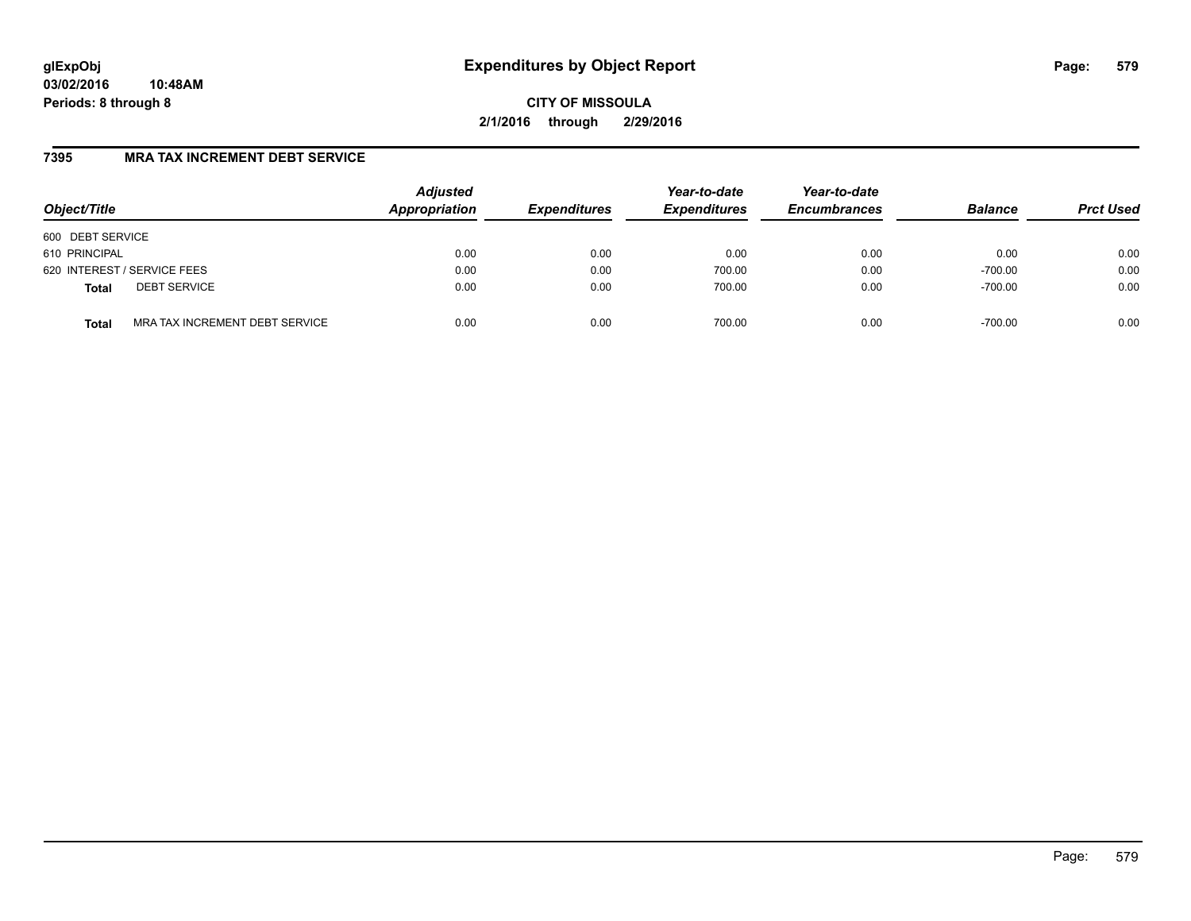**CITY OF MISSOULA 2/1/2016 through 2/29/2016**

### **7395 MRA TAX INCREMENT DEBT SERVICE**

| Object/Title                                   | <b>Adjusted</b><br>Appropriation | <b>Expenditures</b> | Year-to-date<br><b>Expenditures</b> | Year-to-date<br><b>Encumbrances</b> | <b>Balance</b> | <b>Prct Used</b> |
|------------------------------------------------|----------------------------------|---------------------|-------------------------------------|-------------------------------------|----------------|------------------|
| 600 DEBT SERVICE                               |                                  |                     |                                     |                                     |                |                  |
| 610 PRINCIPAL                                  | 0.00                             | 0.00                | 0.00                                | 0.00                                | 0.00           | 0.00             |
| 620 INTEREST / SERVICE FEES                    | 0.00                             | 0.00                | 700.00                              | 0.00                                | $-700.00$      | 0.00             |
| <b>DEBT SERVICE</b><br><b>Total</b>            | 0.00                             | 0.00                | 700.00                              | 0.00                                | $-700.00$      | 0.00             |
| MRA TAX INCREMENT DEBT SERVICE<br><b>Total</b> | 0.00                             | 0.00                | 700.00                              | 0.00                                | $-700.00$      | 0.00             |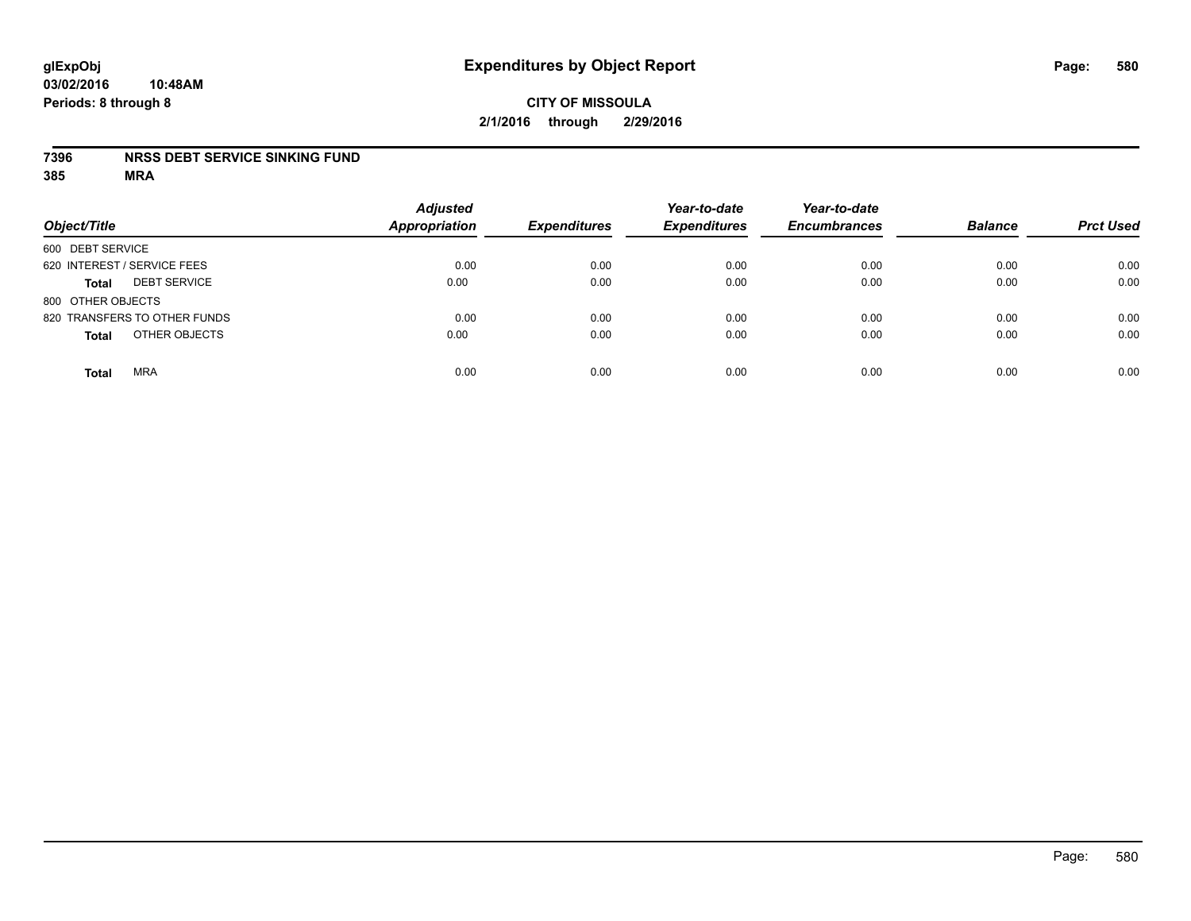#### **7396 NRSS DEBT SERVICE SINKING FUND**

| Object/Title                        | <b>Adjusted</b><br><b>Appropriation</b> | <b>Expenditures</b> | Year-to-date<br><b>Expenditures</b> | Year-to-date<br><b>Encumbrances</b> | <b>Balance</b> | <b>Prct Used</b> |
|-------------------------------------|-----------------------------------------|---------------------|-------------------------------------|-------------------------------------|----------------|------------------|
| 600 DEBT SERVICE                    |                                         |                     |                                     |                                     |                |                  |
| 620 INTEREST / SERVICE FEES         | 0.00                                    | 0.00                | 0.00                                | 0.00                                | 0.00           | 0.00             |
| <b>DEBT SERVICE</b><br><b>Total</b> | 0.00                                    | 0.00                | 0.00                                | 0.00                                | 0.00           | 0.00             |
| 800 OTHER OBJECTS                   |                                         |                     |                                     |                                     |                |                  |
| 820 TRANSFERS TO OTHER FUNDS        | 0.00                                    | 0.00                | 0.00                                | 0.00                                | 0.00           | 0.00             |
| OTHER OBJECTS<br><b>Total</b>       | 0.00                                    | 0.00                | 0.00                                | 0.00                                | 0.00           | 0.00             |
| <b>MRA</b><br><b>Total</b>          | 0.00                                    | 0.00                | 0.00                                | 0.00                                | 0.00           | 0.00             |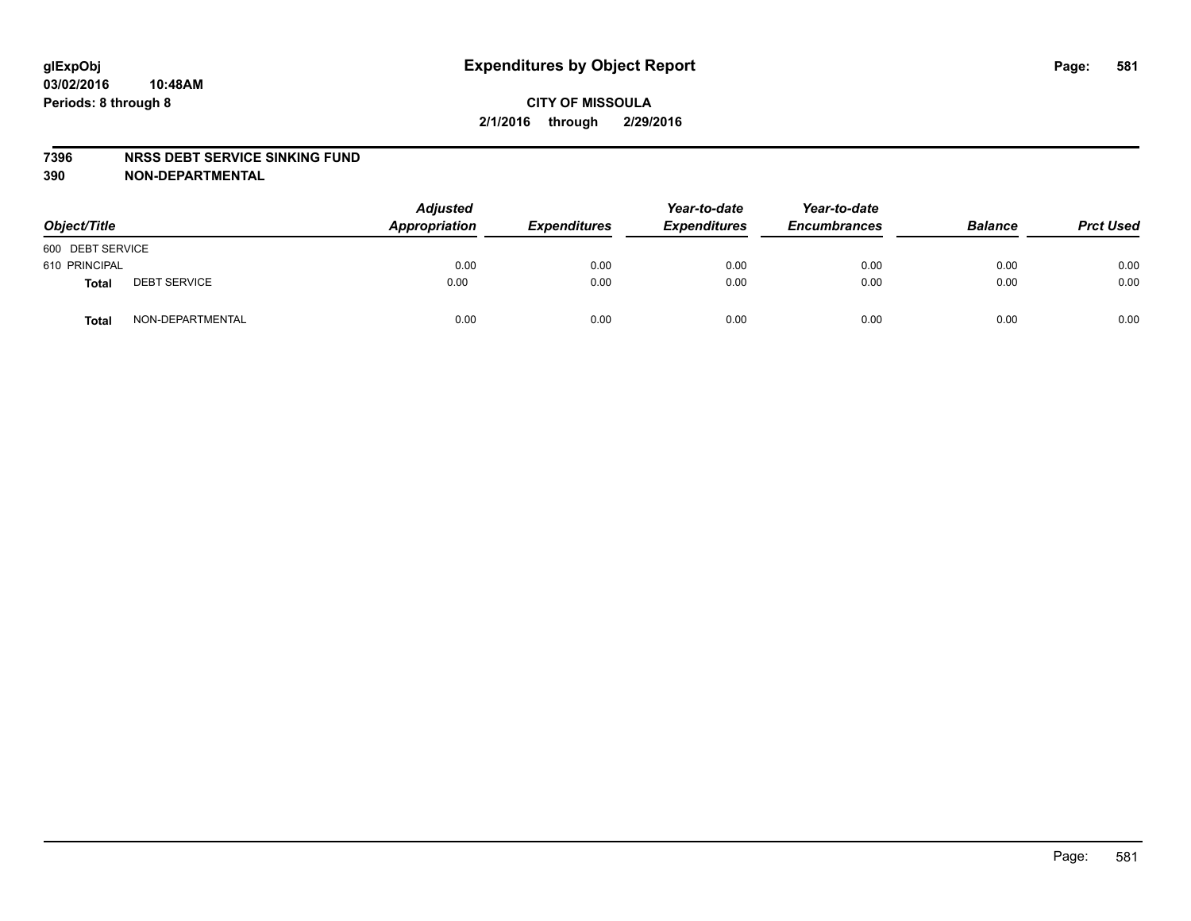#### **7396 NRSS DEBT SERVICE SINKING FUND**

**390 NON-DEPARTMENTAL**

| Object/Title     |                     | <b>Adjusted</b><br>Appropriation | <b>Expenditures</b> | Year-to-date<br><b>Expenditures</b> | Year-to-date<br><b>Encumbrances</b> | <b>Balance</b> | <b>Prct Used</b> |
|------------------|---------------------|----------------------------------|---------------------|-------------------------------------|-------------------------------------|----------------|------------------|
| 600 DEBT SERVICE |                     |                                  |                     |                                     |                                     |                |                  |
| 610 PRINCIPAL    |                     | 0.00                             | 0.00                | 0.00                                | 0.00                                | 0.00           | 0.00             |
| <b>Total</b>     | <b>DEBT SERVICE</b> | 0.00                             | 0.00                | 0.00                                | 0.00                                | 0.00           | 0.00             |
| <b>Total</b>     | NON-DEPARTMENTAL    | 0.00                             | 0.00                | 0.00                                | 0.00                                | 0.00           | 0.00             |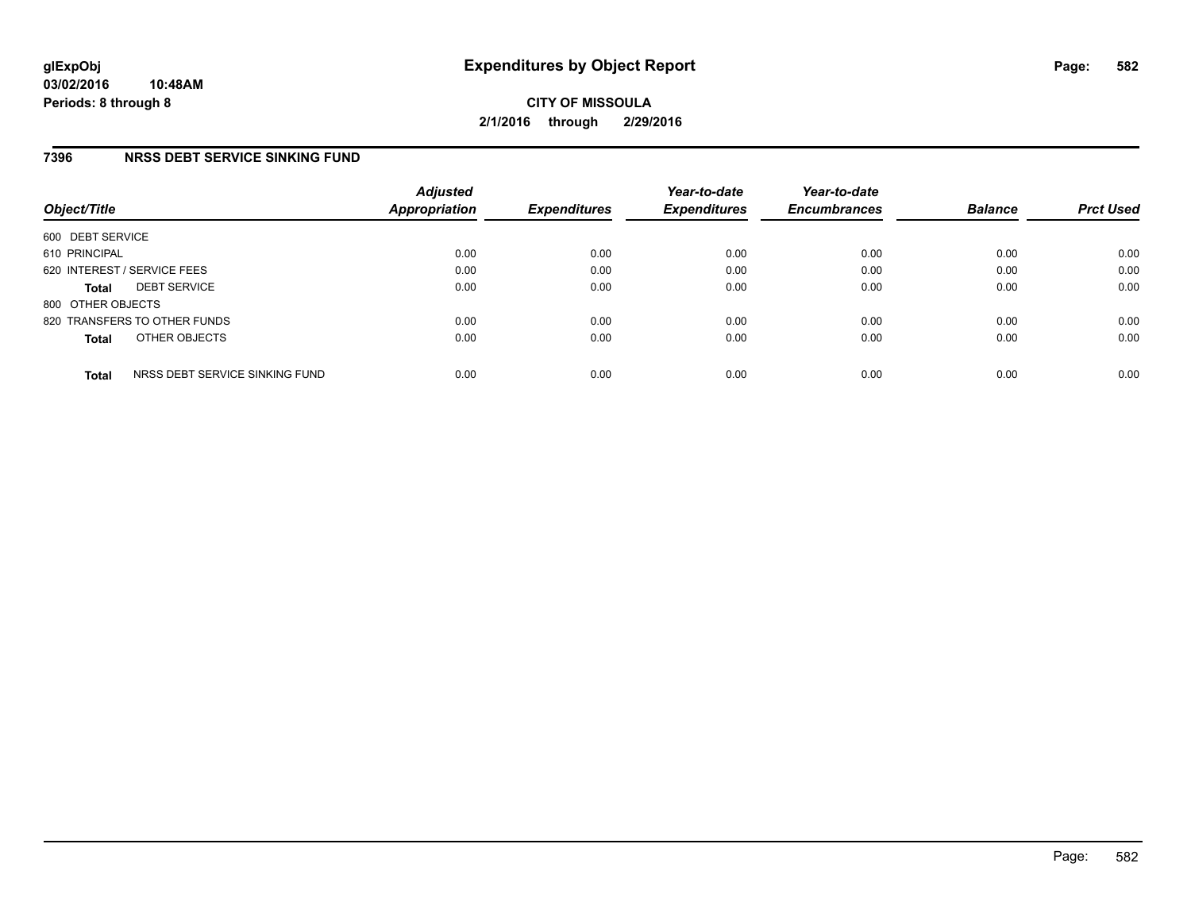### **7396 NRSS DEBT SERVICE SINKING FUND**

| Object/Title                |                                | <b>Adjusted</b><br><b>Appropriation</b> | <b>Expenditures</b> | Year-to-date<br><b>Expenditures</b> | Year-to-date<br><b>Encumbrances</b> | <b>Balance</b> | <b>Prct Used</b> |
|-----------------------------|--------------------------------|-----------------------------------------|---------------------|-------------------------------------|-------------------------------------|----------------|------------------|
| 600 DEBT SERVICE            |                                |                                         |                     |                                     |                                     |                |                  |
| 610 PRINCIPAL               |                                | 0.00                                    | 0.00                | 0.00                                | 0.00                                | 0.00           | 0.00             |
| 620 INTEREST / SERVICE FEES |                                | 0.00                                    | 0.00                | 0.00                                | 0.00                                | 0.00           | 0.00             |
| <b>Total</b>                | <b>DEBT SERVICE</b>            | 0.00                                    | 0.00                | 0.00                                | 0.00                                | 0.00           | 0.00             |
| 800 OTHER OBJECTS           |                                |                                         |                     |                                     |                                     |                |                  |
|                             | 820 TRANSFERS TO OTHER FUNDS   | 0.00                                    | 0.00                | 0.00                                | 0.00                                | 0.00           | 0.00             |
| <b>Total</b>                | OTHER OBJECTS                  | 0.00                                    | 0.00                | 0.00                                | 0.00                                | 0.00           | 0.00             |
| <b>Total</b>                | NRSS DEBT SERVICE SINKING FUND | 0.00                                    | 0.00                | 0.00                                | 0.00                                | 0.00           | 0.00             |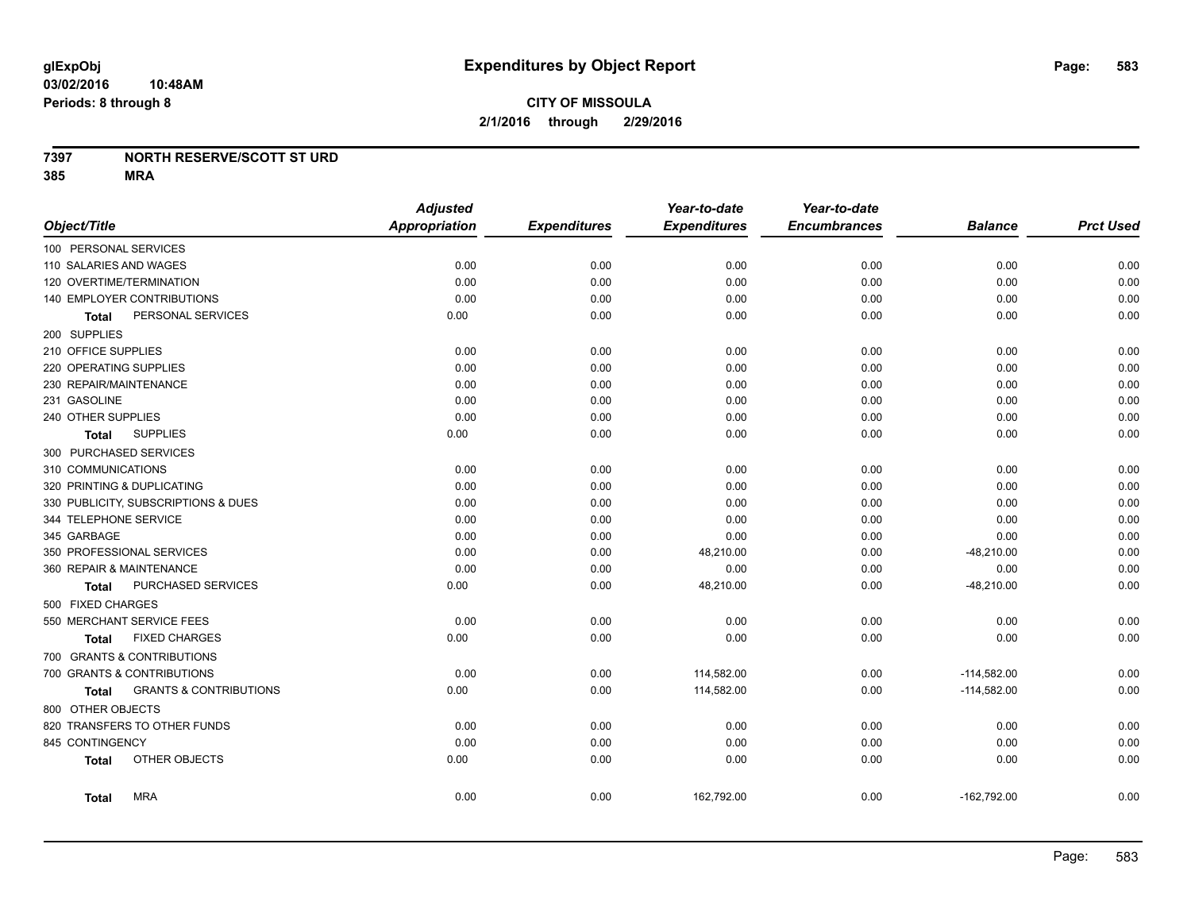### **7397 NORTH RESERVE/SCOTT ST URD**

|                                      |                                   | <b>Adjusted</b>      |                     | Year-to-date        | Year-to-date        |                |                  |
|--------------------------------------|-----------------------------------|----------------------|---------------------|---------------------|---------------------|----------------|------------------|
| Object/Title                         |                                   | <b>Appropriation</b> | <b>Expenditures</b> | <b>Expenditures</b> | <b>Encumbrances</b> | <b>Balance</b> | <b>Prct Used</b> |
| 100 PERSONAL SERVICES                |                                   |                      |                     |                     |                     |                |                  |
| 110 SALARIES AND WAGES               |                                   | 0.00                 | 0.00                | 0.00                | 0.00                | 0.00           | 0.00             |
| 120 OVERTIME/TERMINATION             |                                   | 0.00                 | 0.00                | 0.00                | 0.00                | 0.00           | 0.00             |
| 140 EMPLOYER CONTRIBUTIONS           |                                   | 0.00                 | 0.00                | 0.00                | 0.00                | 0.00           | 0.00             |
| Total                                | PERSONAL SERVICES                 | 0.00                 | 0.00                | 0.00                | 0.00                | 0.00           | 0.00             |
| 200 SUPPLIES                         |                                   |                      |                     |                     |                     |                |                  |
| 210 OFFICE SUPPLIES                  |                                   | 0.00                 | 0.00                | 0.00                | 0.00                | 0.00           | 0.00             |
| 220 OPERATING SUPPLIES               |                                   | 0.00                 | 0.00                | 0.00                | 0.00                | 0.00           | 0.00             |
| 230 REPAIR/MAINTENANCE               |                                   | 0.00                 | 0.00                | 0.00                | 0.00                | 0.00           | 0.00             |
| 231 GASOLINE                         |                                   | 0.00                 | 0.00                | 0.00                | 0.00                | 0.00           | 0.00             |
| 240 OTHER SUPPLIES                   |                                   | 0.00                 | 0.00                | 0.00                | 0.00                | 0.00           | 0.00             |
| <b>SUPPLIES</b><br>Total             |                                   | 0.00                 | 0.00                | 0.00                | 0.00                | 0.00           | 0.00             |
| 300 PURCHASED SERVICES               |                                   |                      |                     |                     |                     |                |                  |
| 310 COMMUNICATIONS                   |                                   | 0.00                 | 0.00                | 0.00                | 0.00                | 0.00           | 0.00             |
| 320 PRINTING & DUPLICATING           |                                   | 0.00                 | 0.00                | 0.00                | 0.00                | 0.00           | 0.00             |
| 330 PUBLICITY, SUBSCRIPTIONS & DUES  |                                   | 0.00                 | 0.00                | 0.00                | 0.00                | 0.00           | 0.00             |
| 344 TELEPHONE SERVICE                |                                   | 0.00                 | 0.00                | 0.00                | 0.00                | 0.00           | 0.00             |
| 345 GARBAGE                          |                                   | 0.00                 | 0.00                | 0.00                | 0.00                | 0.00           | 0.00             |
| 350 PROFESSIONAL SERVICES            |                                   | 0.00                 | 0.00                | 48,210.00           | 0.00                | $-48,210.00$   | 0.00             |
| 360 REPAIR & MAINTENANCE             |                                   | 0.00                 | 0.00                | 0.00                | 0.00                | 0.00           | 0.00             |
| <b>Total</b>                         | PURCHASED SERVICES                | 0.00                 | 0.00                | 48,210.00           | 0.00                | $-48,210.00$   | 0.00             |
| 500 FIXED CHARGES                    |                                   |                      |                     |                     |                     |                |                  |
| 550 MERCHANT SERVICE FEES            |                                   | 0.00                 | 0.00                | 0.00                | 0.00                | 0.00           | 0.00             |
| <b>FIXED CHARGES</b><br><b>Total</b> |                                   | 0.00                 | 0.00                | 0.00                | 0.00                | 0.00           | 0.00             |
| 700 GRANTS & CONTRIBUTIONS           |                                   |                      |                     |                     |                     |                |                  |
| 700 GRANTS & CONTRIBUTIONS           |                                   | 0.00                 | 0.00                | 114,582.00          | 0.00                | $-114,582.00$  | 0.00             |
| <b>Total</b>                         | <b>GRANTS &amp; CONTRIBUTIONS</b> | 0.00                 | 0.00                | 114,582.00          | 0.00                | $-114,582.00$  | 0.00             |
| 800 OTHER OBJECTS                    |                                   |                      |                     |                     |                     |                |                  |
| 820 TRANSFERS TO OTHER FUNDS         |                                   | 0.00                 | 0.00                | 0.00                | 0.00                | 0.00           | 0.00             |
| 845 CONTINGENCY                      |                                   | 0.00                 | 0.00                | 0.00                | 0.00                | 0.00           | 0.00             |
| OTHER OBJECTS<br><b>Total</b>        |                                   | 0.00                 | 0.00                | 0.00                | 0.00                | 0.00           | 0.00             |
| <b>MRA</b><br><b>Total</b>           |                                   | 0.00                 | 0.00                | 162,792.00          | 0.00                | $-162,792.00$  | 0.00             |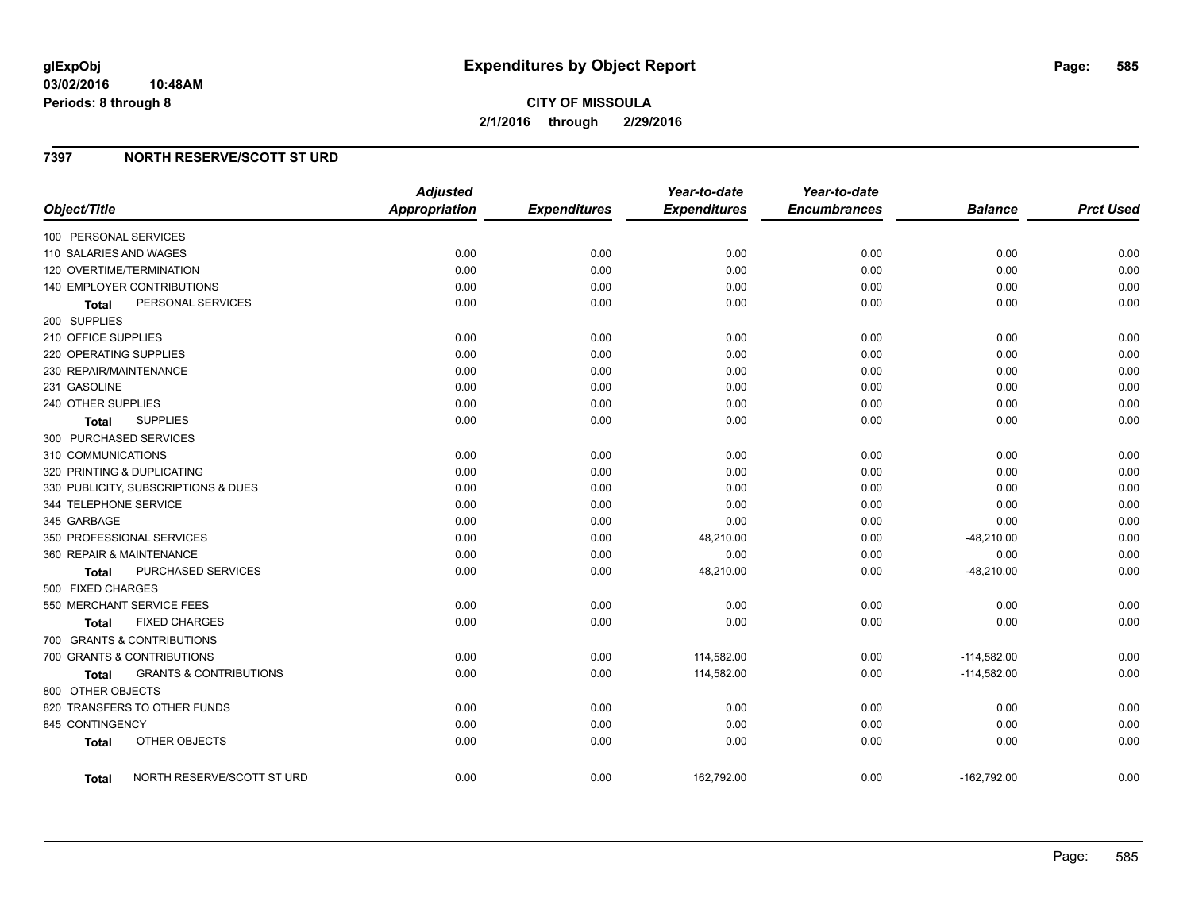**CITY OF MISSOULA 2/1/2016 through 2/29/2016**

### **7397 NORTH RESERVE/SCOTT ST URD**

|                                            | <b>Adjusted</b>      |                     | Year-to-date        | Year-to-date        |                |                  |
|--------------------------------------------|----------------------|---------------------|---------------------|---------------------|----------------|------------------|
| Object/Title                               | <b>Appropriation</b> | <b>Expenditures</b> | <b>Expenditures</b> | <b>Encumbrances</b> | <b>Balance</b> | <b>Prct Used</b> |
| 100 PERSONAL SERVICES                      |                      |                     |                     |                     |                |                  |
| 110 SALARIES AND WAGES                     | 0.00                 | 0.00                | 0.00                | 0.00                | 0.00           | 0.00             |
| 120 OVERTIME/TERMINATION                   | 0.00                 | 0.00                | 0.00                | 0.00                | 0.00           | 0.00             |
| 140 EMPLOYER CONTRIBUTIONS                 | 0.00                 | 0.00                | 0.00                | 0.00                | 0.00           | 0.00             |
| PERSONAL SERVICES<br>Total                 | 0.00                 | 0.00                | 0.00                | 0.00                | 0.00           | 0.00             |
| 200 SUPPLIES                               |                      |                     |                     |                     |                |                  |
| 210 OFFICE SUPPLIES                        | 0.00                 | 0.00                | 0.00                | 0.00                | 0.00           | 0.00             |
| 220 OPERATING SUPPLIES                     | 0.00                 | 0.00                | 0.00                | 0.00                | 0.00           | 0.00             |
| 230 REPAIR/MAINTENANCE                     | 0.00                 | 0.00                | 0.00                | 0.00                | 0.00           | 0.00             |
| 231 GASOLINE                               | 0.00                 | 0.00                | 0.00                | 0.00                | 0.00           | 0.00             |
| 240 OTHER SUPPLIES                         | 0.00                 | 0.00                | 0.00                | 0.00                | 0.00           | 0.00             |
| <b>SUPPLIES</b><br>Total                   | 0.00                 | 0.00                | 0.00                | 0.00                | 0.00           | 0.00             |
| 300 PURCHASED SERVICES                     |                      |                     |                     |                     |                |                  |
| 310 COMMUNICATIONS                         | 0.00                 | 0.00                | 0.00                | 0.00                | 0.00           | 0.00             |
| 320 PRINTING & DUPLICATING                 | 0.00                 | 0.00                | 0.00                | 0.00                | 0.00           | 0.00             |
| 330 PUBLICITY, SUBSCRIPTIONS & DUES        | 0.00                 | 0.00                | 0.00                | 0.00                | 0.00           | 0.00             |
| 344 TELEPHONE SERVICE                      | 0.00                 | 0.00                | 0.00                | 0.00                | 0.00           | 0.00             |
| 345 GARBAGE                                | 0.00                 | 0.00                | 0.00                | 0.00                | 0.00           | 0.00             |
| 350 PROFESSIONAL SERVICES                  | 0.00                 | 0.00                | 48,210.00           | 0.00                | $-48,210.00$   | 0.00             |
| 360 REPAIR & MAINTENANCE                   | 0.00                 | 0.00                | 0.00                | 0.00                | 0.00           | 0.00             |
| PURCHASED SERVICES<br><b>Total</b>         | 0.00                 | 0.00                | 48,210.00           | 0.00                | $-48,210.00$   | 0.00             |
| 500 FIXED CHARGES                          |                      |                     |                     |                     |                |                  |
| 550 MERCHANT SERVICE FEES                  | 0.00                 | 0.00                | 0.00                | 0.00                | 0.00           | 0.00             |
| <b>FIXED CHARGES</b><br>Total              | 0.00                 | 0.00                | 0.00                | 0.00                | 0.00           | 0.00             |
| 700 GRANTS & CONTRIBUTIONS                 |                      |                     |                     |                     |                |                  |
| 700 GRANTS & CONTRIBUTIONS                 | 0.00                 | 0.00                | 114,582.00          | 0.00                | $-114,582.00$  | 0.00             |
| <b>GRANTS &amp; CONTRIBUTIONS</b><br>Total | 0.00                 | 0.00                | 114,582.00          | 0.00                | $-114,582.00$  | 0.00             |
| 800 OTHER OBJECTS                          |                      |                     |                     |                     |                |                  |
| 820 TRANSFERS TO OTHER FUNDS               | 0.00                 | 0.00                | 0.00                | 0.00                | 0.00           | 0.00             |
| 845 CONTINGENCY                            | 0.00                 | 0.00                | 0.00                | 0.00                | 0.00           | 0.00             |
| OTHER OBJECTS<br><b>Total</b>              | 0.00                 | 0.00                | 0.00                | 0.00                | 0.00           | 0.00             |
| NORTH RESERVE/SCOTT ST URD<br><b>Total</b> | 0.00                 | 0.00                | 162,792.00          | 0.00                | $-162,792.00$  | 0.00             |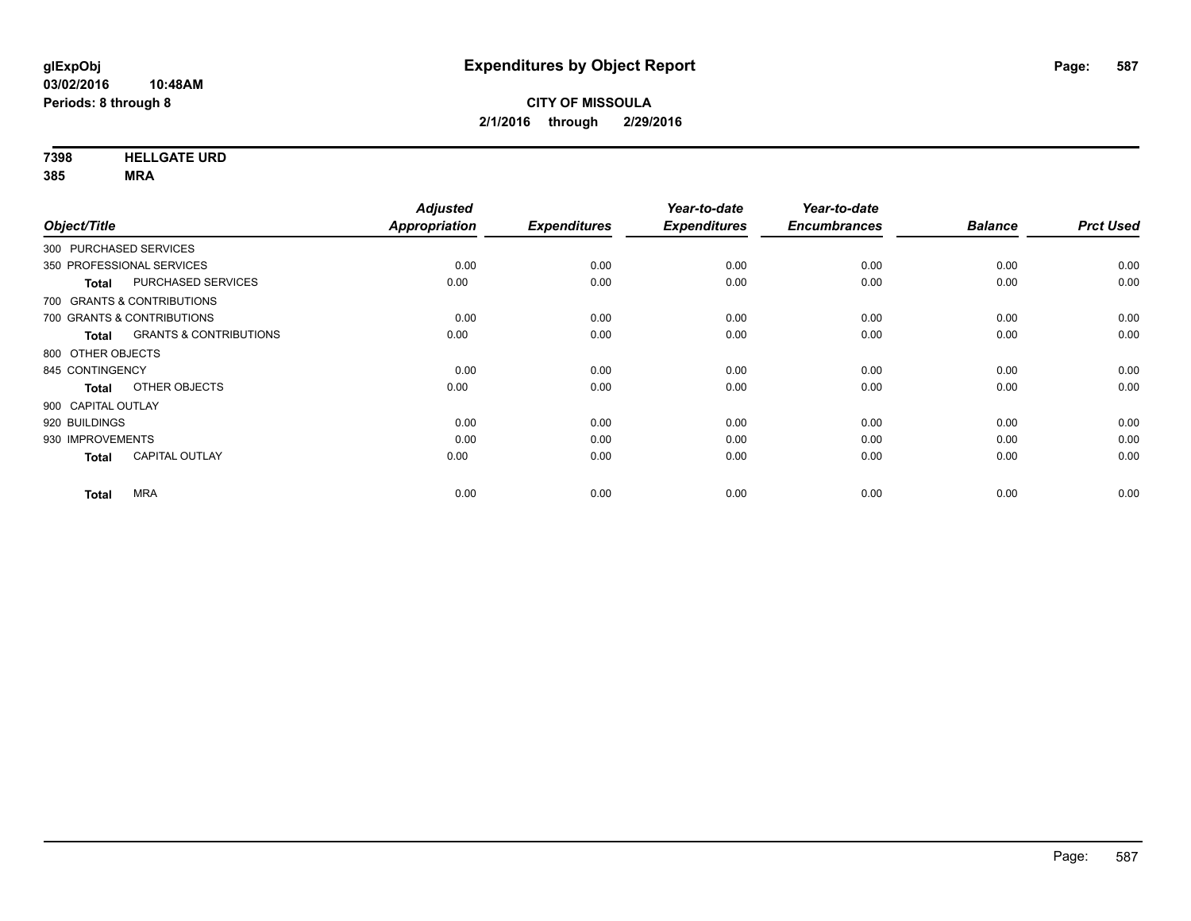**7398 HELLGATE URD**

|                            | <b>Adjusted</b>                                                                                   |                     | Year-to-date        | Year-to-date        |                |                  |
|----------------------------|---------------------------------------------------------------------------------------------------|---------------------|---------------------|---------------------|----------------|------------------|
|                            | Appropriation                                                                                     | <b>Expenditures</b> | <b>Expenditures</b> | <b>Encumbrances</b> | <b>Balance</b> | <b>Prct Used</b> |
|                            |                                                                                                   |                     |                     |                     |                |                  |
|                            | 0.00                                                                                              | 0.00                | 0.00                | 0.00                | 0.00           | 0.00             |
|                            | 0.00                                                                                              | 0.00                | 0.00                | 0.00                | 0.00           | 0.00             |
|                            |                                                                                                   |                     |                     |                     |                |                  |
|                            | 0.00                                                                                              | 0.00                | 0.00                | 0.00                | 0.00           | 0.00             |
|                            | 0.00                                                                                              | 0.00                | 0.00                | 0.00                | 0.00           | 0.00             |
|                            |                                                                                                   |                     |                     |                     |                |                  |
|                            | 0.00                                                                                              | 0.00                | 0.00                | 0.00                | 0.00           | 0.00             |
|                            | 0.00                                                                                              | 0.00                | 0.00                | 0.00                | 0.00           | 0.00             |
|                            |                                                                                                   |                     |                     |                     |                |                  |
|                            | 0.00                                                                                              | 0.00                | 0.00                | 0.00                | 0.00           | 0.00             |
|                            | 0.00                                                                                              | 0.00                | 0.00                | 0.00                | 0.00           | 0.00             |
|                            | 0.00                                                                                              | 0.00                | 0.00                | 0.00                | 0.00           | 0.00             |
|                            | 0.00                                                                                              | 0.00                | 0.00                | 0.00                | 0.00           | 0.00             |
| 700 GRANTS & CONTRIBUTIONS | PURCHASED SERVICES<br><b>GRANTS &amp; CONTRIBUTIONS</b><br>OTHER OBJECTS<br><b>CAPITAL OUTLAY</b> |                     |                     |                     |                |                  |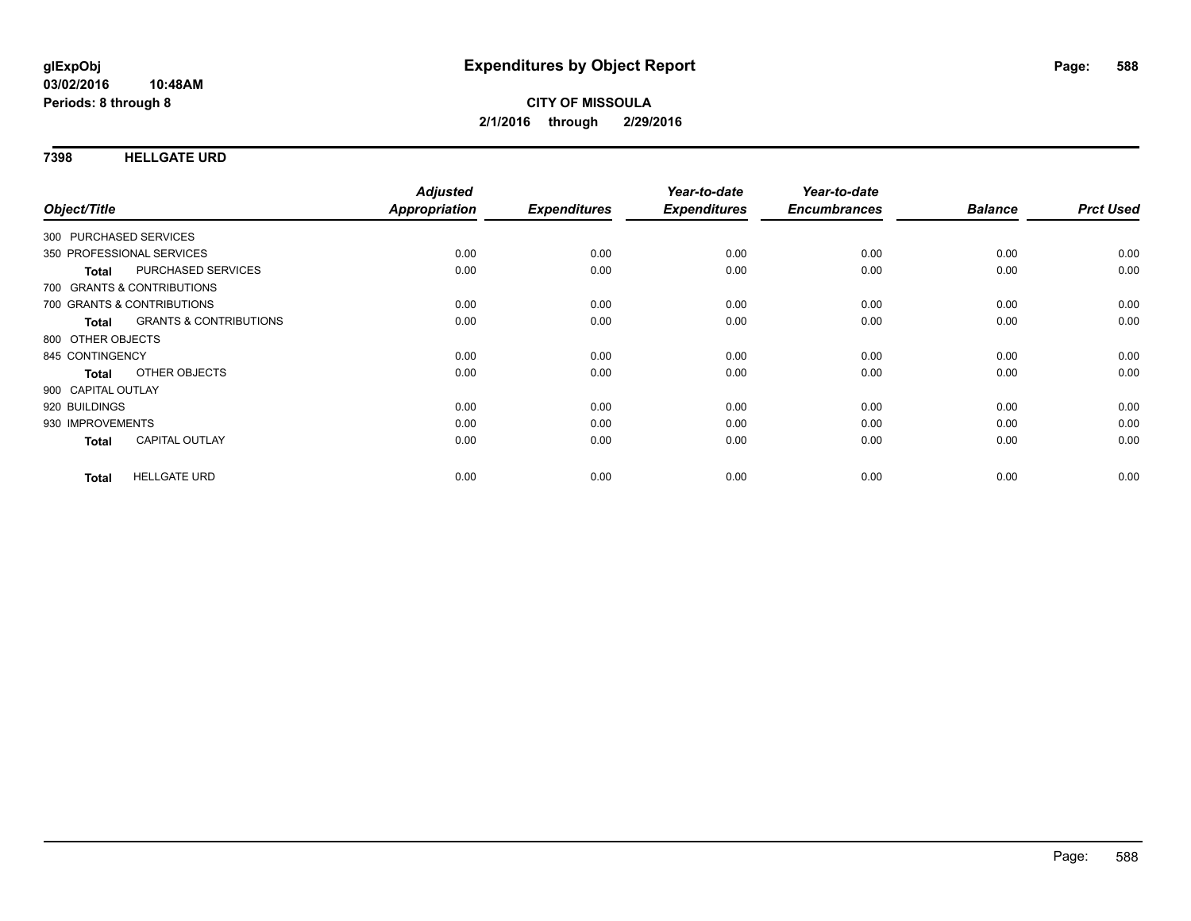### **7398 HELLGATE URD**

| Object/Title           |                                   | <b>Adjusted</b><br>Appropriation | <b>Expenditures</b> | Year-to-date<br><b>Expenditures</b> | Year-to-date<br><b>Encumbrances</b> | <b>Balance</b> | <b>Prct Used</b> |
|------------------------|-----------------------------------|----------------------------------|---------------------|-------------------------------------|-------------------------------------|----------------|------------------|
|                        |                                   |                                  |                     |                                     |                                     |                |                  |
| 300 PURCHASED SERVICES |                                   |                                  |                     |                                     |                                     |                |                  |
|                        | 350 PROFESSIONAL SERVICES         | 0.00                             | 0.00                | 0.00                                | 0.00                                | 0.00           | 0.00             |
| <b>Total</b>           | PURCHASED SERVICES                | 0.00                             | 0.00                | 0.00                                | 0.00                                | 0.00           | 0.00             |
|                        | 700 GRANTS & CONTRIBUTIONS        |                                  |                     |                                     |                                     |                |                  |
|                        | 700 GRANTS & CONTRIBUTIONS        | 0.00                             | 0.00                | 0.00                                | 0.00                                | 0.00           | 0.00             |
| Total                  | <b>GRANTS &amp; CONTRIBUTIONS</b> | 0.00                             | 0.00                | 0.00                                | 0.00                                | 0.00           | 0.00             |
| 800 OTHER OBJECTS      |                                   |                                  |                     |                                     |                                     |                |                  |
| 845 CONTINGENCY        |                                   | 0.00                             | 0.00                | 0.00                                | 0.00                                | 0.00           | 0.00             |
| <b>Total</b>           | OTHER OBJECTS                     | 0.00                             | 0.00                | 0.00                                | 0.00                                | 0.00           | 0.00             |
| 900 CAPITAL OUTLAY     |                                   |                                  |                     |                                     |                                     |                |                  |
| 920 BUILDINGS          |                                   | 0.00                             | 0.00                | 0.00                                | 0.00                                | 0.00           | 0.00             |
| 930 IMPROVEMENTS       |                                   | 0.00                             | 0.00                | 0.00                                | 0.00                                | 0.00           | 0.00             |
| <b>Total</b>           | <b>CAPITAL OUTLAY</b>             | 0.00                             | 0.00                | 0.00                                | 0.00                                | 0.00           | 0.00             |
|                        |                                   |                                  |                     |                                     |                                     |                |                  |
| <b>Total</b>           | <b>HELLGATE URD</b>               | 0.00                             | 0.00                | 0.00                                | 0.00                                | 0.00           | 0.00             |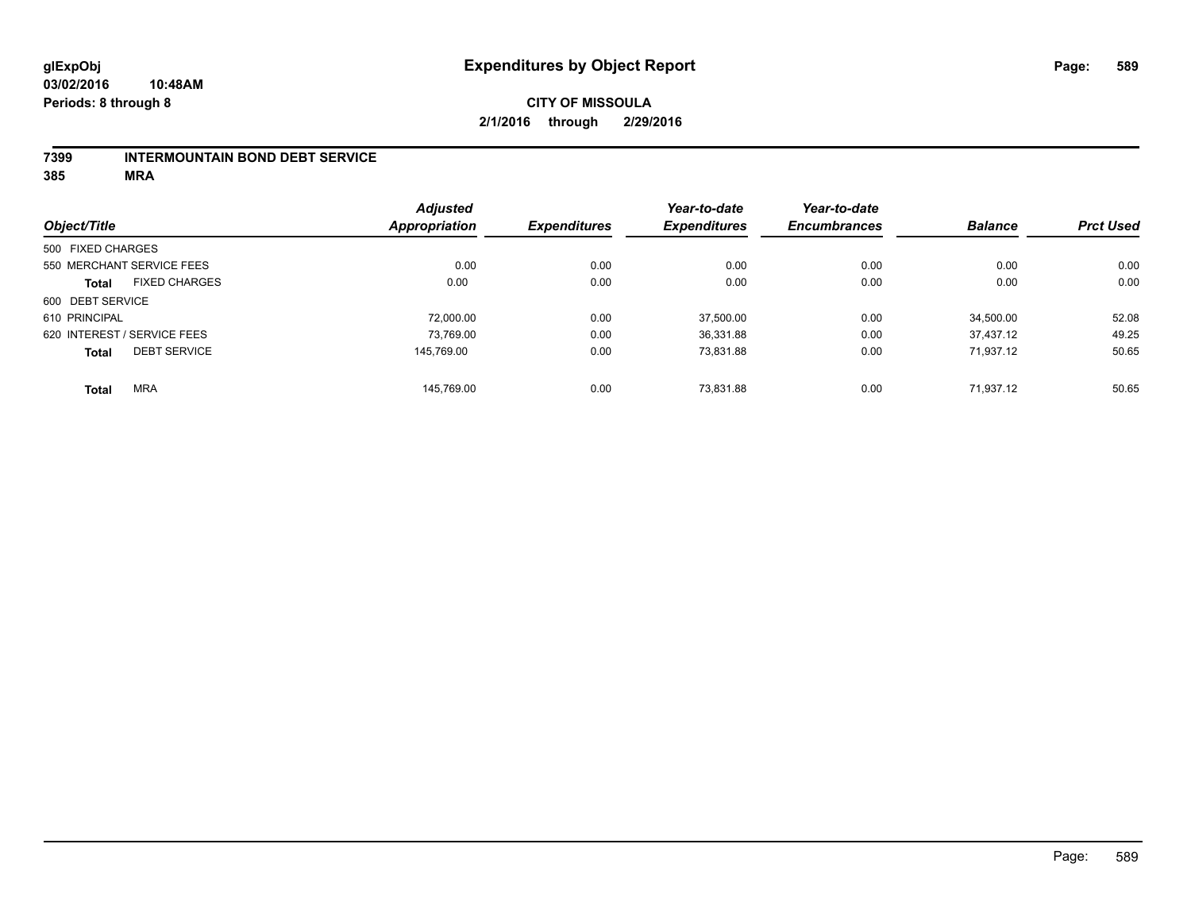#### **7399 INTERMOUNTAIN BOND DEBT SERVICE**

|                   |                             | <b>Adjusted</b>      |                     | Year-to-date        | Year-to-date        |                |                  |
|-------------------|-----------------------------|----------------------|---------------------|---------------------|---------------------|----------------|------------------|
| Object/Title      |                             | <b>Appropriation</b> | <b>Expenditures</b> | <b>Expenditures</b> | <b>Encumbrances</b> | <b>Balance</b> | <b>Prct Used</b> |
| 500 FIXED CHARGES |                             |                      |                     |                     |                     |                |                  |
|                   | 550 MERCHANT SERVICE FEES   | 0.00                 | 0.00                | 0.00                | 0.00                | 0.00           | 0.00             |
| <b>Total</b>      | <b>FIXED CHARGES</b>        | 0.00                 | 0.00                | 0.00                | 0.00                | 0.00           | 0.00             |
| 600 DEBT SERVICE  |                             |                      |                     |                     |                     |                |                  |
| 610 PRINCIPAL     |                             | 72.000.00            | 0.00                | 37,500.00           | 0.00                | 34.500.00      | 52.08            |
|                   | 620 INTEREST / SERVICE FEES | 73,769.00            | 0.00                | 36,331.88           | 0.00                | 37.437.12      | 49.25            |
| <b>Total</b>      | <b>DEBT SERVICE</b>         | 145.769.00           | 0.00                | 73.831.88           | 0.00                | 71.937.12      | 50.65            |
| <b>Total</b>      | <b>MRA</b>                  | 145.769.00           | 0.00                | 73.831.88           | 0.00                | 71.937.12      | 50.65            |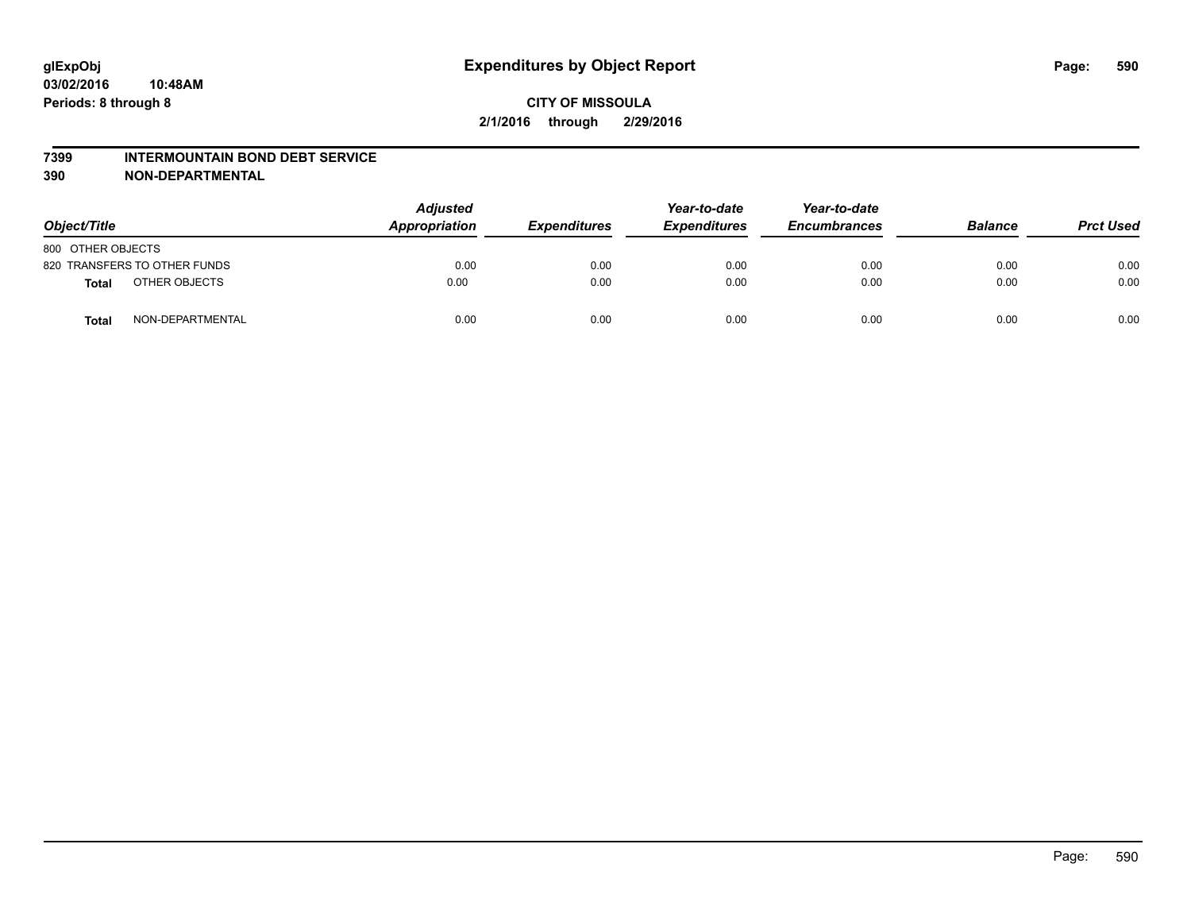#### **7399 INTERMOUNTAIN BOND DEBT SERVICE**

**390 NON-DEPARTMENTAL**

| Object/Title      |                              | <b>Adjusted</b><br>Appropriation | <b>Expenditures</b> | Year-to-date<br><b>Expenditures</b> | Year-to-date<br><b>Encumbrances</b> | <b>Balance</b> | <b>Prct Used</b> |
|-------------------|------------------------------|----------------------------------|---------------------|-------------------------------------|-------------------------------------|----------------|------------------|
| 800 OTHER OBJECTS |                              |                                  |                     |                                     |                                     |                |                  |
|                   | 820 TRANSFERS TO OTHER FUNDS | 0.00                             | 0.00                | 0.00                                | 0.00                                | 0.00           | 0.00             |
| <b>Total</b>      | OTHER OBJECTS                | 0.00                             | 0.00                | 0.00                                | 0.00                                | 0.00           | 0.00             |
| <b>Total</b>      | NON-DEPARTMENTAL             | 0.00                             | 0.00                | 0.00                                | 0.00                                | 0.00           | 0.00             |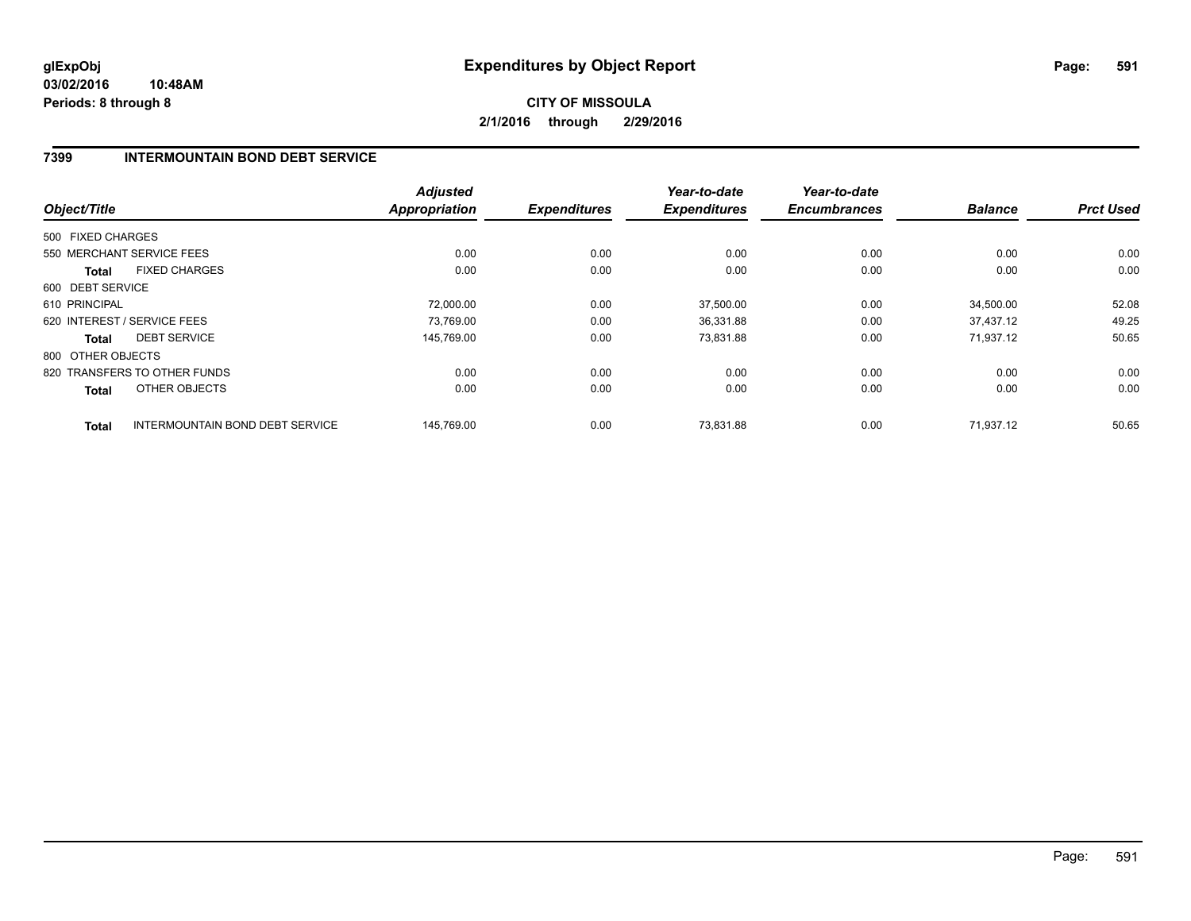## **7399 INTERMOUNTAIN BOND DEBT SERVICE**

| Object/Title      |                                        | <b>Adjusted</b><br><b>Appropriation</b> | <b>Expenditures</b> | Year-to-date<br><b>Expenditures</b> | Year-to-date<br><b>Encumbrances</b> | <b>Balance</b> | <b>Prct Used</b> |
|-------------------|----------------------------------------|-----------------------------------------|---------------------|-------------------------------------|-------------------------------------|----------------|------------------|
|                   |                                        |                                         |                     |                                     |                                     |                |                  |
| 500 FIXED CHARGES |                                        |                                         |                     |                                     |                                     |                |                  |
|                   | 550 MERCHANT SERVICE FEES              | 0.00                                    | 0.00                | 0.00                                | 0.00                                | 0.00           | 0.00             |
| Total             | <b>FIXED CHARGES</b>                   | 0.00                                    | 0.00                | 0.00                                | 0.00                                | 0.00           | 0.00             |
| 600 DEBT SERVICE  |                                        |                                         |                     |                                     |                                     |                |                  |
| 610 PRINCIPAL     |                                        | 72,000.00                               | 0.00                | 37,500.00                           | 0.00                                | 34,500.00      | 52.08            |
|                   | 620 INTEREST / SERVICE FEES            | 73,769.00                               | 0.00                | 36,331.88                           | 0.00                                | 37.437.12      | 49.25            |
| Total             | <b>DEBT SERVICE</b>                    | 145.769.00                              | 0.00                | 73,831.88                           | 0.00                                | 71.937.12      | 50.65            |
| 800 OTHER OBJECTS |                                        |                                         |                     |                                     |                                     |                |                  |
|                   | 820 TRANSFERS TO OTHER FUNDS           | 0.00                                    | 0.00                | 0.00                                | 0.00                                | 0.00           | 0.00             |
| Total             | OTHER OBJECTS                          | 0.00                                    | 0.00                | 0.00                                | 0.00                                | 0.00           | 0.00             |
| <b>Total</b>      | <b>INTERMOUNTAIN BOND DEBT SERVICE</b> | 145,769.00                              | 0.00                | 73,831.88                           | 0.00                                | 71.937.12      | 50.65            |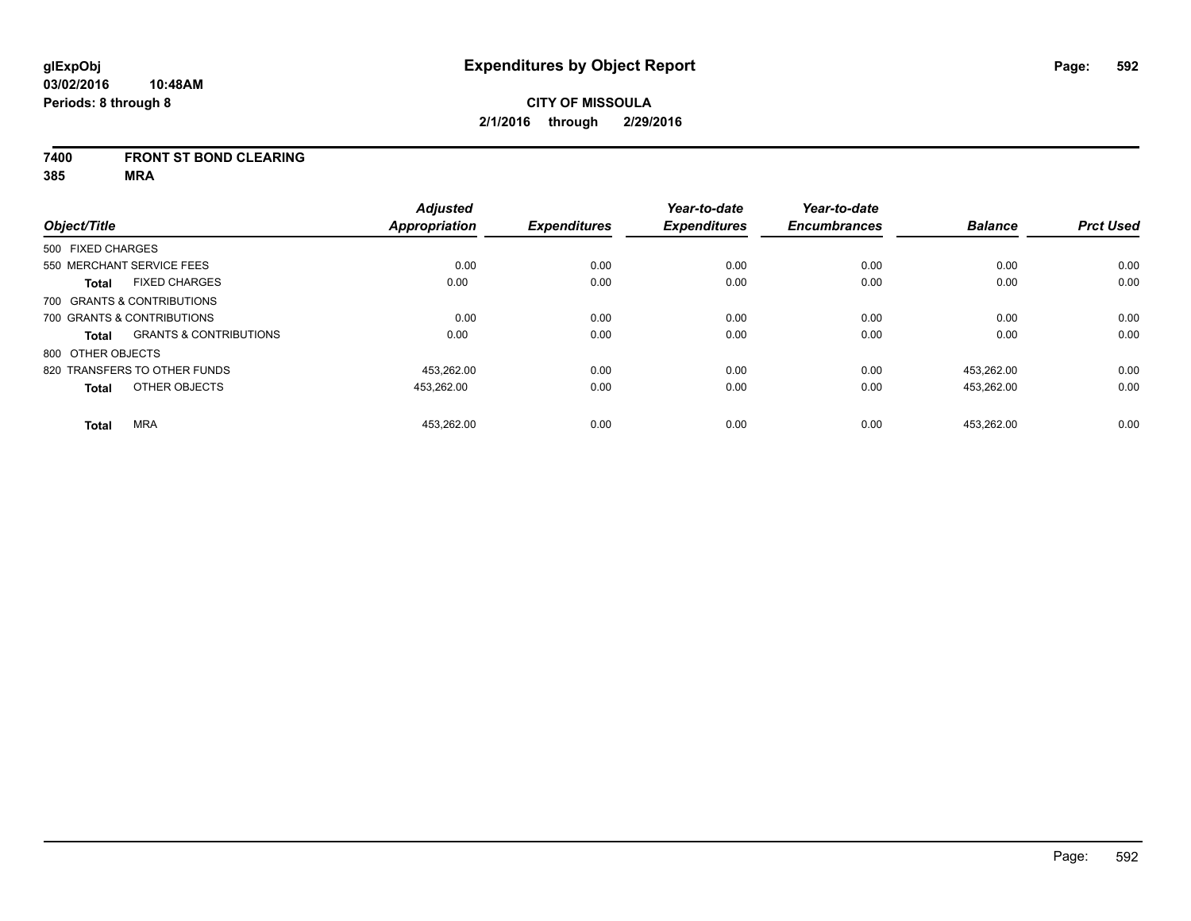#### **7400 FRONT ST BOND CLEARING**

|                   |                                   | <b>Adjusted</b>      |                     | Year-to-date        | Year-to-date        |                |                  |
|-------------------|-----------------------------------|----------------------|---------------------|---------------------|---------------------|----------------|------------------|
| Object/Title      |                                   | <b>Appropriation</b> | <b>Expenditures</b> | <b>Expenditures</b> | <b>Encumbrances</b> | <b>Balance</b> | <b>Prct Used</b> |
| 500 FIXED CHARGES |                                   |                      |                     |                     |                     |                |                  |
|                   | 550 MERCHANT SERVICE FEES         | 0.00                 | 0.00                | 0.00                | 0.00                | 0.00           | 0.00             |
| <b>Total</b>      | <b>FIXED CHARGES</b>              | 0.00                 | 0.00                | 0.00                | 0.00                | 0.00           | 0.00             |
|                   | 700 GRANTS & CONTRIBUTIONS        |                      |                     |                     |                     |                |                  |
|                   | 700 GRANTS & CONTRIBUTIONS        | 0.00                 | 0.00                | 0.00                | 0.00                | 0.00           | 0.00             |
| Total             | <b>GRANTS &amp; CONTRIBUTIONS</b> | 0.00                 | 0.00                | 0.00                | 0.00                | 0.00           | 0.00             |
| 800 OTHER OBJECTS |                                   |                      |                     |                     |                     |                |                  |
|                   | 820 TRANSFERS TO OTHER FUNDS      | 453.262.00           | 0.00                | 0.00                | 0.00                | 453.262.00     | 0.00             |
| <b>Total</b>      | OTHER OBJECTS                     | 453,262.00           | 0.00                | 0.00                | 0.00                | 453,262.00     | 0.00             |
| <b>Total</b>      | <b>MRA</b>                        | 453.262.00           | 0.00                | 0.00                | 0.00                | 453.262.00     | 0.00             |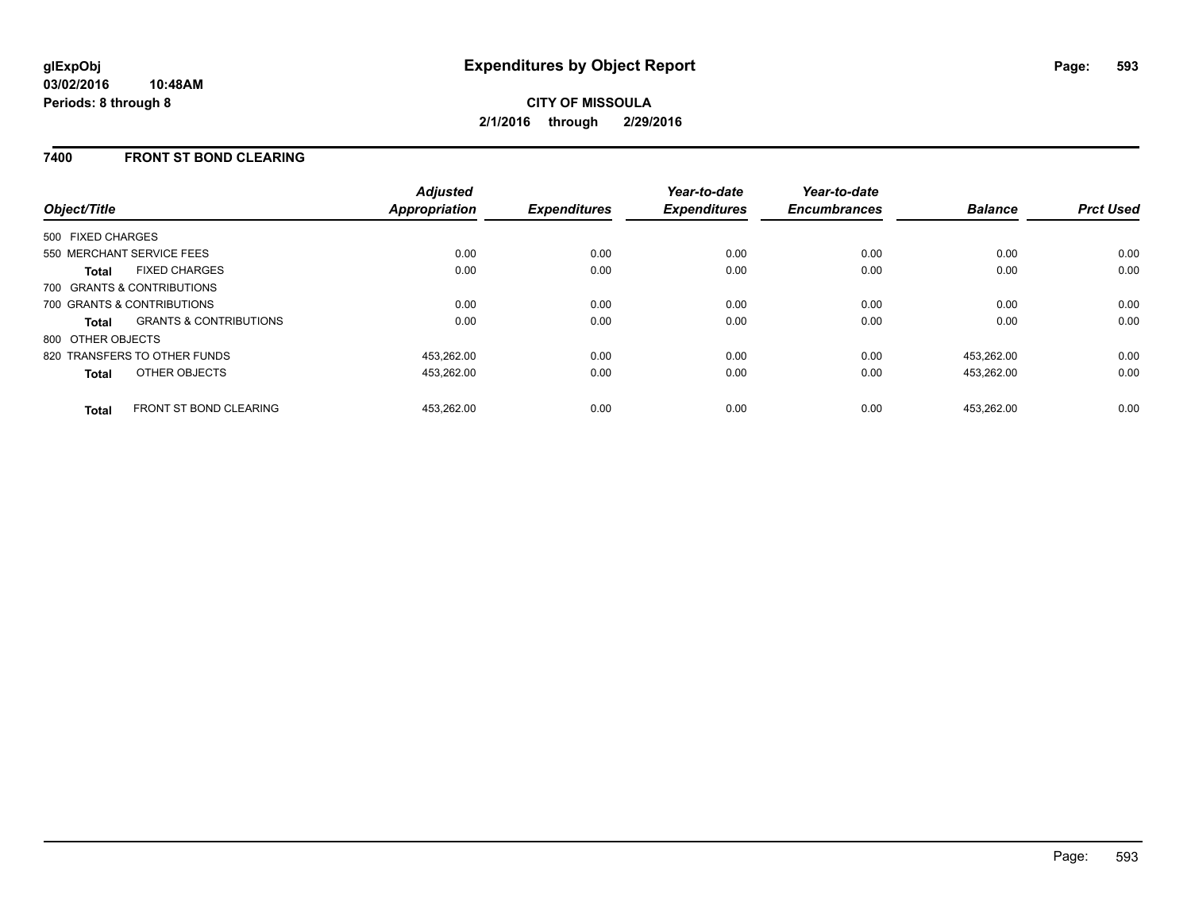### **7400 FRONT ST BOND CLEARING**

| Object/Title                                  | <b>Adjusted</b><br>Appropriation | <b>Expenditures</b> | Year-to-date<br><b>Expenditures</b> | Year-to-date<br><b>Encumbrances</b> | <b>Balance</b> | <b>Prct Used</b> |
|-----------------------------------------------|----------------------------------|---------------------|-------------------------------------|-------------------------------------|----------------|------------------|
| 500 FIXED CHARGES                             |                                  |                     |                                     |                                     |                |                  |
| 550 MERCHANT SERVICE FEES                     | 0.00                             | 0.00                | 0.00                                | 0.00                                | 0.00           | 0.00             |
| <b>FIXED CHARGES</b><br>Total                 | 0.00                             | 0.00                | 0.00                                | 0.00                                | 0.00           | 0.00             |
| 700 GRANTS & CONTRIBUTIONS                    |                                  |                     |                                     |                                     |                |                  |
| 700 GRANTS & CONTRIBUTIONS                    | 0.00                             | 0.00                | 0.00                                | 0.00                                | 0.00           | 0.00             |
| <b>GRANTS &amp; CONTRIBUTIONS</b><br>Total    | 0.00                             | 0.00                | 0.00                                | 0.00                                | 0.00           | 0.00             |
| 800 OTHER OBJECTS                             |                                  |                     |                                     |                                     |                |                  |
| 820 TRANSFERS TO OTHER FUNDS                  | 453.262.00                       | 0.00                | 0.00                                | 0.00                                | 453.262.00     | 0.00             |
| OTHER OBJECTS<br><b>Total</b>                 | 453.262.00                       | 0.00                | 0.00                                | 0.00                                | 453.262.00     | 0.00             |
| <b>FRONT ST BOND CLEARING</b><br><b>Total</b> | 453.262.00                       | 0.00                | 0.00                                | 0.00                                | 453.262.00     | 0.00             |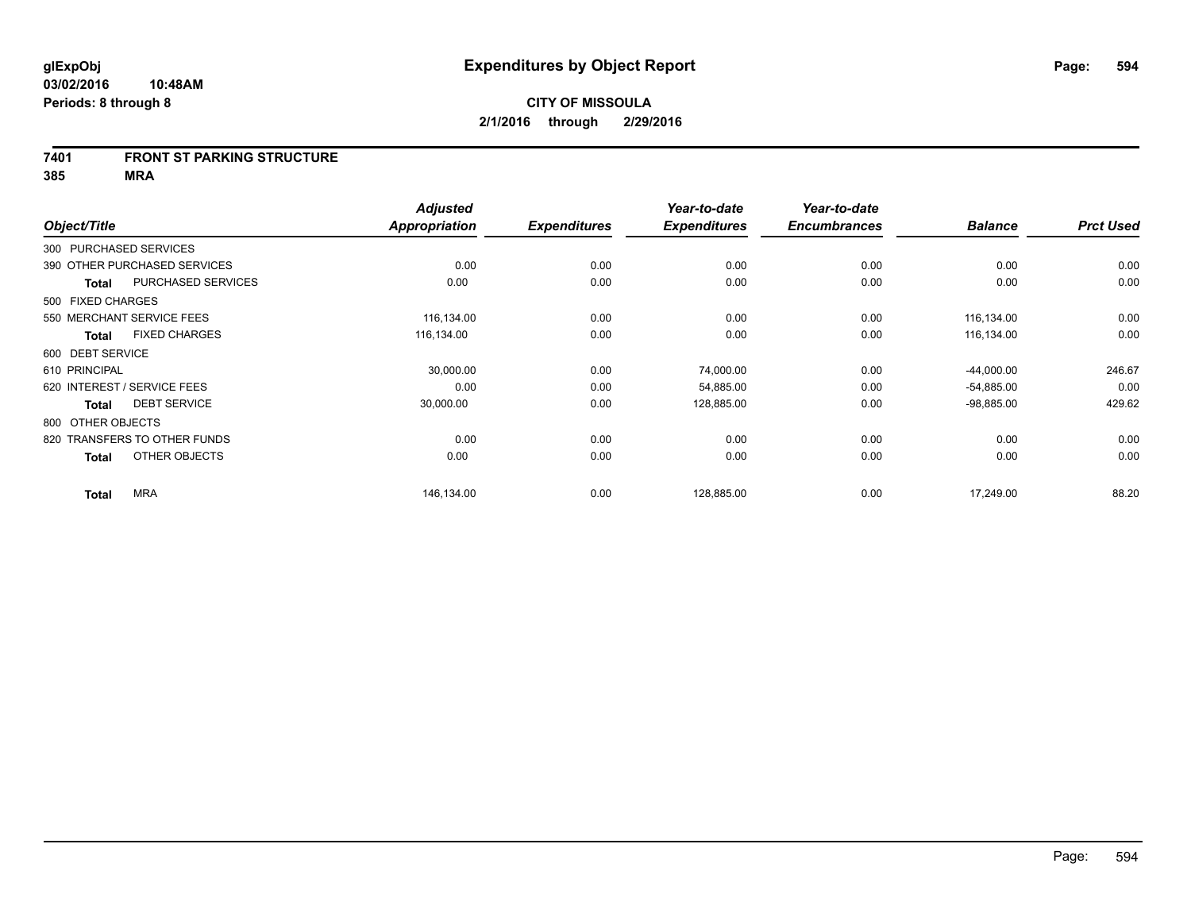#### **7401 FRONT ST PARKING STRUCTURE**

|                                           | <b>Adjusted</b> |                     | Year-to-date        | Year-to-date        |                |                  |
|-------------------------------------------|-----------------|---------------------|---------------------|---------------------|----------------|------------------|
| Object/Title                              | Appropriation   | <b>Expenditures</b> | <b>Expenditures</b> | <b>Encumbrances</b> | <b>Balance</b> | <b>Prct Used</b> |
| 300 PURCHASED SERVICES                    |                 |                     |                     |                     |                |                  |
| 390 OTHER PURCHASED SERVICES              | 0.00            | 0.00                | 0.00                | 0.00                | 0.00           | 0.00             |
| <b>PURCHASED SERVICES</b><br><b>Total</b> | 0.00            | 0.00                | 0.00                | 0.00                | 0.00           | 0.00             |
| 500 FIXED CHARGES                         |                 |                     |                     |                     |                |                  |
| 550 MERCHANT SERVICE FEES                 | 116,134.00      | 0.00                | 0.00                | 0.00                | 116,134.00     | 0.00             |
| <b>FIXED CHARGES</b><br>Total             | 116,134.00      | 0.00                | 0.00                | 0.00                | 116,134.00     | 0.00             |
| 600 DEBT SERVICE                          |                 |                     |                     |                     |                |                  |
| 610 PRINCIPAL                             | 30,000.00       | 0.00                | 74,000.00           | 0.00                | $-44,000.00$   | 246.67           |
| 620 INTEREST / SERVICE FEES               | 0.00            | 0.00                | 54,885.00           | 0.00                | $-54,885.00$   | 0.00             |
| <b>DEBT SERVICE</b><br><b>Total</b>       | 30,000.00       | 0.00                | 128,885.00          | 0.00                | $-98,885.00$   | 429.62           |
| 800 OTHER OBJECTS                         |                 |                     |                     |                     |                |                  |
| 820 TRANSFERS TO OTHER FUNDS              | 0.00            | 0.00                | 0.00                | 0.00                | 0.00           | 0.00             |
| OTHER OBJECTS<br>Total                    | 0.00            | 0.00                | 0.00                | 0.00                | 0.00           | 0.00             |
| <b>MRA</b><br><b>Total</b>                | 146,134.00      | 0.00                | 128,885.00          | 0.00                | 17,249.00      | 88.20            |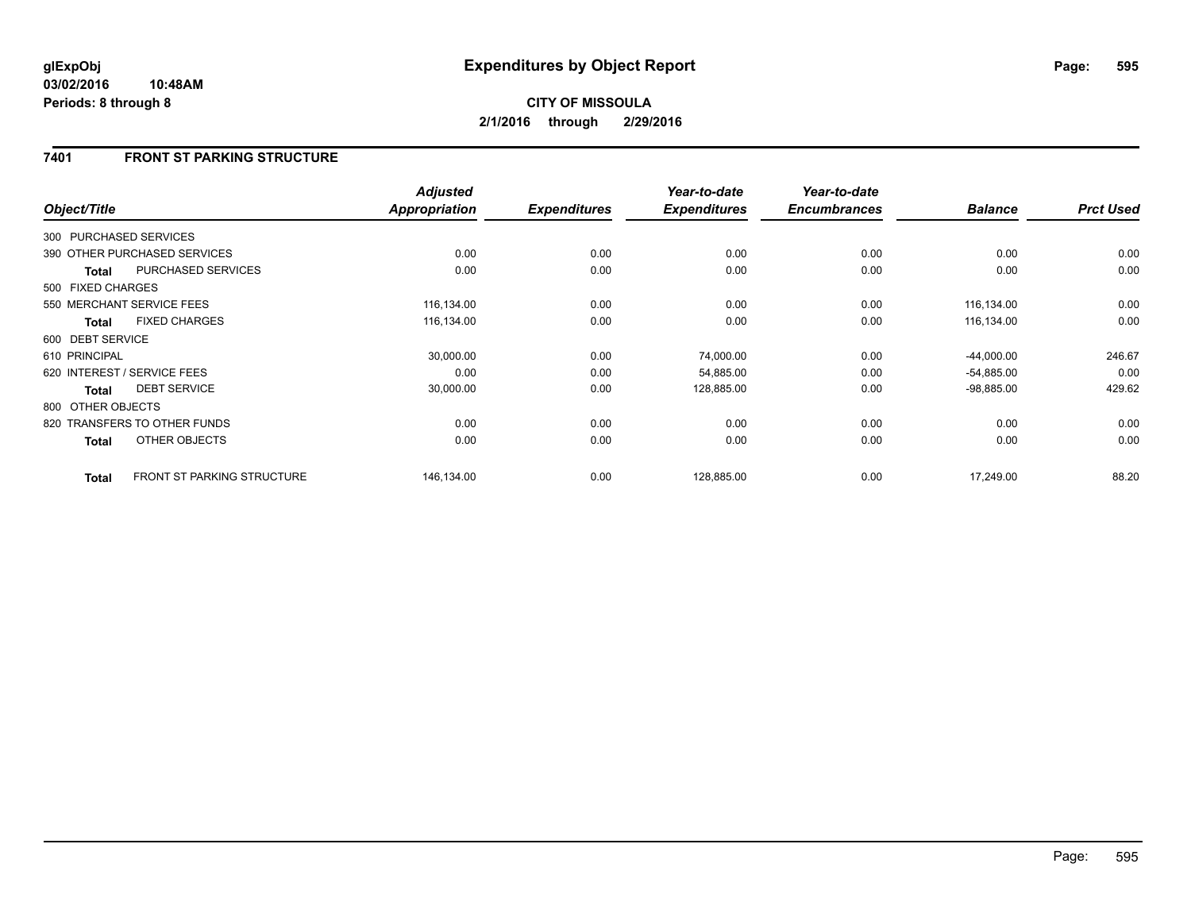## **CITY OF MISSOULA 2/1/2016 through 2/29/2016**

### **7401 FRONT ST PARKING STRUCTURE**

|                   |                                   | <b>Adjusted</b> |                     | Year-to-date        | Year-to-date        |                |                  |
|-------------------|-----------------------------------|-----------------|---------------------|---------------------|---------------------|----------------|------------------|
| Object/Title      |                                   | Appropriation   | <b>Expenditures</b> | <b>Expenditures</b> | <b>Encumbrances</b> | <b>Balance</b> | <b>Prct Used</b> |
|                   | 300 PURCHASED SERVICES            |                 |                     |                     |                     |                |                  |
|                   | 390 OTHER PURCHASED SERVICES      | 0.00            | 0.00                | 0.00                | 0.00                | 0.00           | 0.00             |
| <b>Total</b>      | PURCHASED SERVICES                | 0.00            | 0.00                | 0.00                | 0.00                | 0.00           | 0.00             |
| 500 FIXED CHARGES |                                   |                 |                     |                     |                     |                |                  |
|                   | 550 MERCHANT SERVICE FEES         | 116,134.00      | 0.00                | 0.00                | 0.00                | 116,134.00     | 0.00             |
| <b>Total</b>      | <b>FIXED CHARGES</b>              | 116,134.00      | 0.00                | 0.00                | 0.00                | 116,134.00     | 0.00             |
| 600 DEBT SERVICE  |                                   |                 |                     |                     |                     |                |                  |
| 610 PRINCIPAL     |                                   | 30,000.00       | 0.00                | 74,000.00           | 0.00                | $-44,000.00$   | 246.67           |
|                   | 620 INTEREST / SERVICE FEES       | 0.00            | 0.00                | 54,885.00           | 0.00                | $-54,885.00$   | 0.00             |
| <b>Total</b>      | <b>DEBT SERVICE</b>               | 30,000.00       | 0.00                | 128,885.00          | 0.00                | $-98,885.00$   | 429.62           |
| 800 OTHER OBJECTS |                                   |                 |                     |                     |                     |                |                  |
|                   | 820 TRANSFERS TO OTHER FUNDS      | 0.00            | 0.00                | 0.00                | 0.00                | 0.00           | 0.00             |
| Total             | OTHER OBJECTS                     | 0.00            | 0.00                | 0.00                | 0.00                | 0.00           | 0.00             |
| <b>Total</b>      | <b>FRONT ST PARKING STRUCTURE</b> | 146,134.00      | 0.00                | 128,885.00          | 0.00                | 17,249.00      | 88.20            |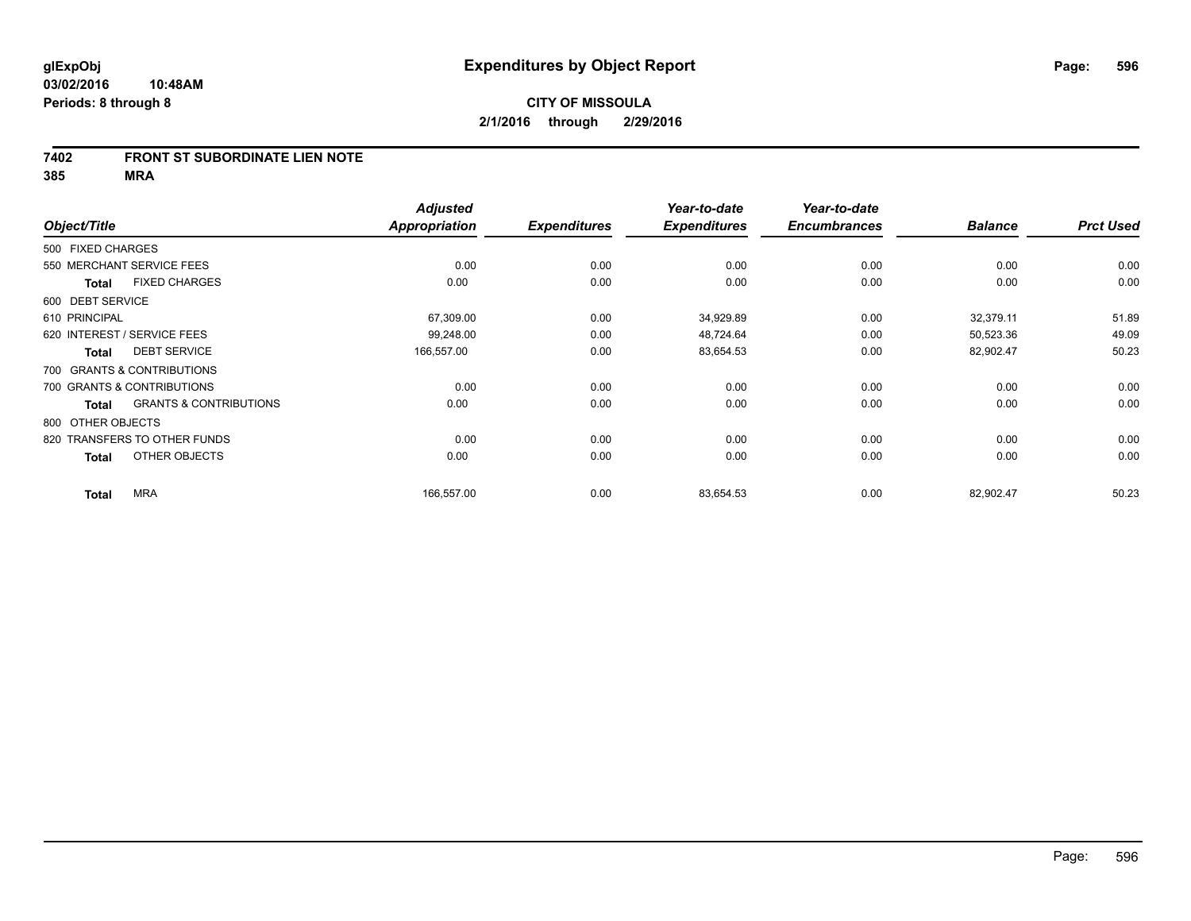#### **7402 FRONT ST SUBORDINATE LIEN NOTE**

|                  |                                                   | <b>Adjusted</b> |                     | Year-to-date        | Year-to-date        |                |                  |
|------------------|---------------------------------------------------|-----------------|---------------------|---------------------|---------------------|----------------|------------------|
| Object/Title     |                                                   | Appropriation   | <b>Expenditures</b> | <b>Expenditures</b> | <b>Encumbrances</b> | <b>Balance</b> | <b>Prct Used</b> |
|                  | 500 FIXED CHARGES                                 |                 |                     |                     |                     |                |                  |
|                  | 550 MERCHANT SERVICE FEES                         | 0.00            | 0.00                | 0.00                | 0.00                | 0.00           | 0.00             |
|                  | <b>FIXED CHARGES</b><br><b>Total</b>              | 0.00            | 0.00                | 0.00                | 0.00                | 0.00           | 0.00             |
| 600 DEBT SERVICE |                                                   |                 |                     |                     |                     |                |                  |
| 610 PRINCIPAL    |                                                   | 67,309.00       | 0.00                | 34,929.89           | 0.00                | 32,379.11      | 51.89            |
|                  | 620 INTEREST / SERVICE FEES                       | 99,248.00       | 0.00                | 48,724.64           | 0.00                | 50,523.36      | 49.09            |
|                  | <b>DEBT SERVICE</b><br><b>Total</b>               | 166,557.00      | 0.00                | 83,654.53           | 0.00                | 82,902.47      | 50.23            |
|                  | 700 GRANTS & CONTRIBUTIONS                        |                 |                     |                     |                     |                |                  |
|                  | 700 GRANTS & CONTRIBUTIONS                        | 0.00            | 0.00                | 0.00                | 0.00                | 0.00           | 0.00             |
|                  | <b>GRANTS &amp; CONTRIBUTIONS</b><br><b>Total</b> | 0.00            | 0.00                | 0.00                | 0.00                | 0.00           | 0.00             |
|                  | 800 OTHER OBJECTS                                 |                 |                     |                     |                     |                |                  |
|                  | 820 TRANSFERS TO OTHER FUNDS                      | 0.00            | 0.00                | 0.00                | 0.00                | 0.00           | 0.00             |
|                  | OTHER OBJECTS<br><b>Total</b>                     | 0.00            | 0.00                | 0.00                | 0.00                | 0.00           | 0.00             |
|                  | <b>MRA</b><br><b>Total</b>                        | 166,557.00      | 0.00                | 83,654.53           | 0.00                | 82,902.47      | 50.23            |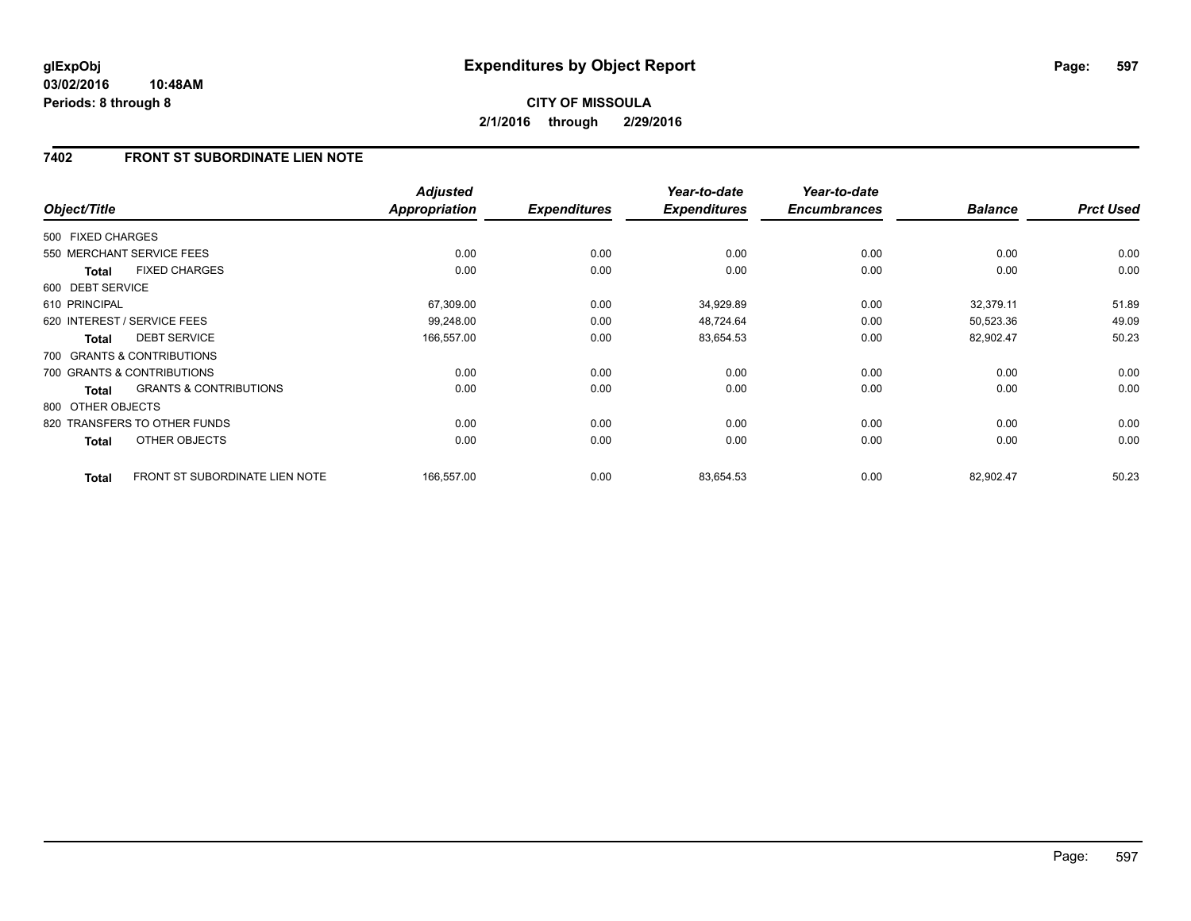## **CITY OF MISSOULA 2/1/2016 through 2/29/2016**

## **7402 FRONT ST SUBORDINATE LIEN NOTE**

| Object/Title      |                                   | <b>Adjusted</b><br><b>Appropriation</b> | <b>Expenditures</b> | Year-to-date<br><b>Expenditures</b> | Year-to-date<br><b>Encumbrances</b> | <b>Balance</b> | <b>Prct Used</b> |
|-------------------|-----------------------------------|-----------------------------------------|---------------------|-------------------------------------|-------------------------------------|----------------|------------------|
| 500 FIXED CHARGES |                                   |                                         |                     |                                     |                                     |                |                  |
|                   | 550 MERCHANT SERVICE FEES         | 0.00                                    | 0.00                | 0.00                                | 0.00                                | 0.00           | 0.00             |
| <b>Total</b>      | <b>FIXED CHARGES</b>              | 0.00                                    | 0.00                | 0.00                                | 0.00                                | 0.00           | 0.00             |
| 600 DEBT SERVICE  |                                   |                                         |                     |                                     |                                     |                |                  |
| 610 PRINCIPAL     |                                   | 67,309.00                               | 0.00                | 34,929.89                           | 0.00                                | 32,379.11      | 51.89            |
|                   | 620 INTEREST / SERVICE FEES       | 99,248.00                               | 0.00                | 48,724.64                           | 0.00                                | 50,523.36      | 49.09            |
| <b>Total</b>      | <b>DEBT SERVICE</b>               | 166,557.00                              | 0.00                | 83,654.53                           | 0.00                                | 82,902.47      | 50.23            |
|                   | 700 GRANTS & CONTRIBUTIONS        |                                         |                     |                                     |                                     |                |                  |
|                   | 700 GRANTS & CONTRIBUTIONS        | 0.00                                    | 0.00                | 0.00                                | 0.00                                | 0.00           | 0.00             |
| <b>Total</b>      | <b>GRANTS &amp; CONTRIBUTIONS</b> | 0.00                                    | 0.00                | 0.00                                | 0.00                                | 0.00           | 0.00             |
| 800 OTHER OBJECTS |                                   |                                         |                     |                                     |                                     |                |                  |
|                   | 820 TRANSFERS TO OTHER FUNDS      | 0.00                                    | 0.00                | 0.00                                | 0.00                                | 0.00           | 0.00             |
| <b>Total</b>      | OTHER OBJECTS                     | 0.00                                    | 0.00                | 0.00                                | 0.00                                | 0.00           | 0.00             |
| <b>Total</b>      | FRONT ST SUBORDINATE LIEN NOTE    | 166,557.00                              | 0.00                | 83,654.53                           | 0.00                                | 82,902.47      | 50.23            |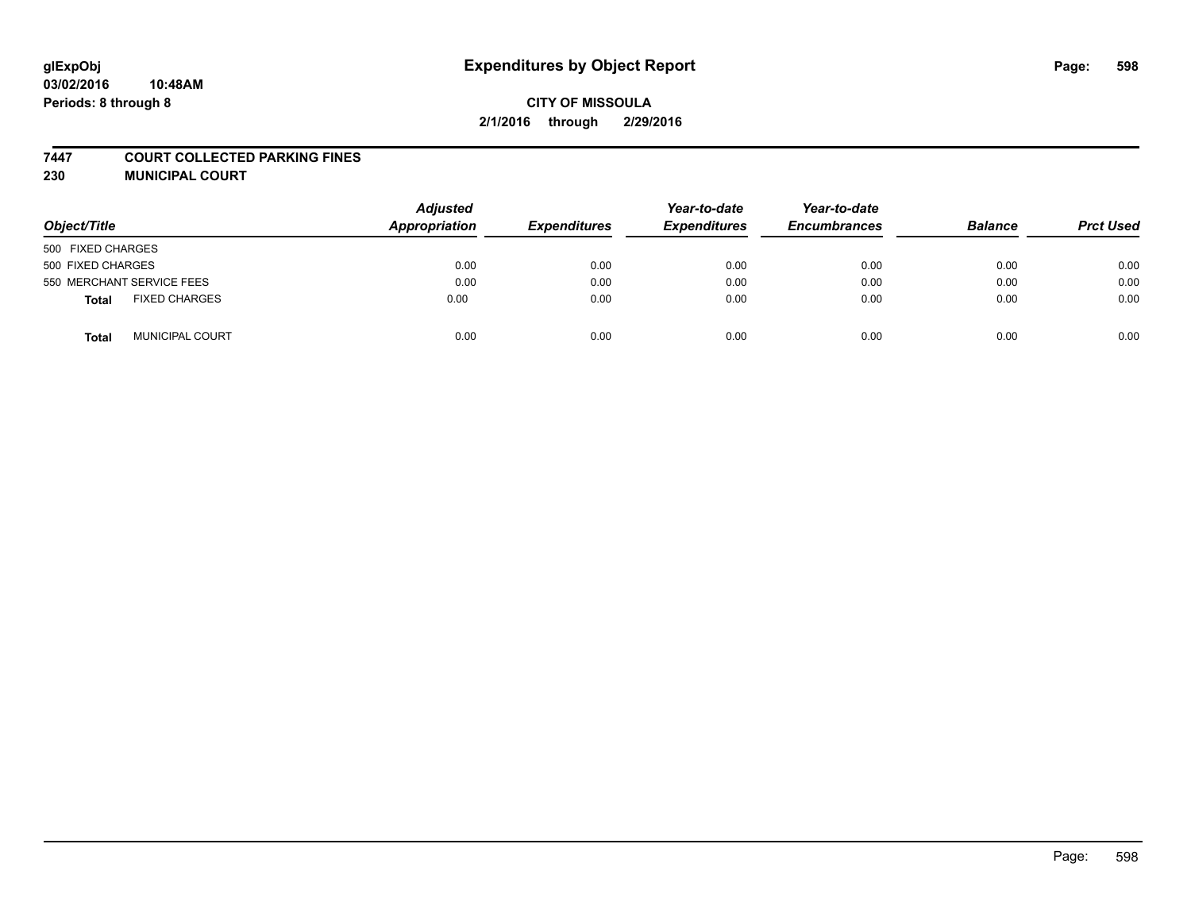#### **7447 COURT COLLECTED PARKING FINES**

**230 MUNICIPAL COURT**

| Object/Title                    | <b>Adjusted</b><br>Appropriation | <b>Expenditures</b> | Year-to-date<br><b>Expenditures</b> | Year-to-date<br><b>Encumbrances</b> | <b>Balance</b> | <b>Prct Used</b> |
|---------------------------------|----------------------------------|---------------------|-------------------------------------|-------------------------------------|----------------|------------------|
| 500 FIXED CHARGES               |                                  |                     |                                     |                                     |                |                  |
| 500 FIXED CHARGES               | 0.00                             | 0.00                | 0.00                                | 0.00                                | 0.00           | 0.00             |
| 550 MERCHANT SERVICE FEES       | 0.00                             | 0.00                | 0.00                                | 0.00                                | 0.00           | 0.00             |
| <b>FIXED CHARGES</b><br>Total   | 0.00                             | 0.00                | 0.00                                | 0.00                                | 0.00           | 0.00             |
| <b>MUNICIPAL COURT</b><br>Total | 0.00                             | 0.00                | 0.00                                | 0.00                                | 0.00           | 0.00             |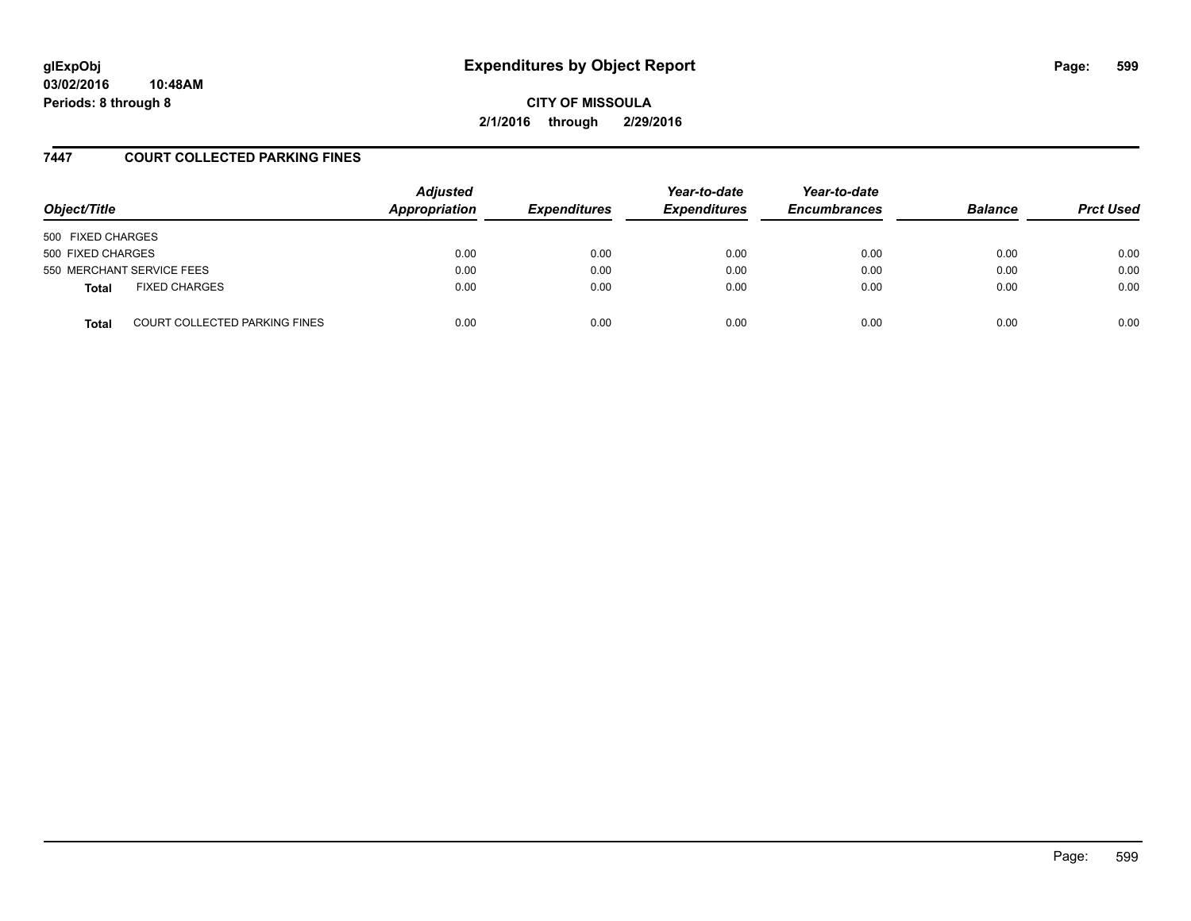# **glExpObj Expenditures by Object Report Page: 599**

**03/02/2016 10:48AM Periods: 8 through 8**

**CITY OF MISSOULA 2/1/2016 through 2/29/2016**

### **7447 COURT COLLECTED PARKING FINES**

| Object/Title                                  | <b>Adjusted</b><br>Appropriation | <b>Expenditures</b> | Year-to-date<br><b>Expenditures</b> | Year-to-date<br><b>Encumbrances</b> | <b>Balance</b> | <b>Prct Used</b> |
|-----------------------------------------------|----------------------------------|---------------------|-------------------------------------|-------------------------------------|----------------|------------------|
| 500 FIXED CHARGES                             |                                  |                     |                                     |                                     |                |                  |
| 500 FIXED CHARGES                             | 0.00                             | 0.00                | 0.00                                | 0.00                                | 0.00           | 0.00             |
| 550 MERCHANT SERVICE FEES                     | 0.00                             | 0.00                | 0.00                                | 0.00                                | 0.00           | 0.00             |
| <b>FIXED CHARGES</b><br><b>Total</b>          | 0.00                             | 0.00                | 0.00                                | 0.00                                | 0.00           | 0.00             |
| <b>COURT COLLECTED PARKING FINES</b><br>Total | 0.00                             | 0.00                | 0.00                                | 0.00                                | 0.00           | 0.00             |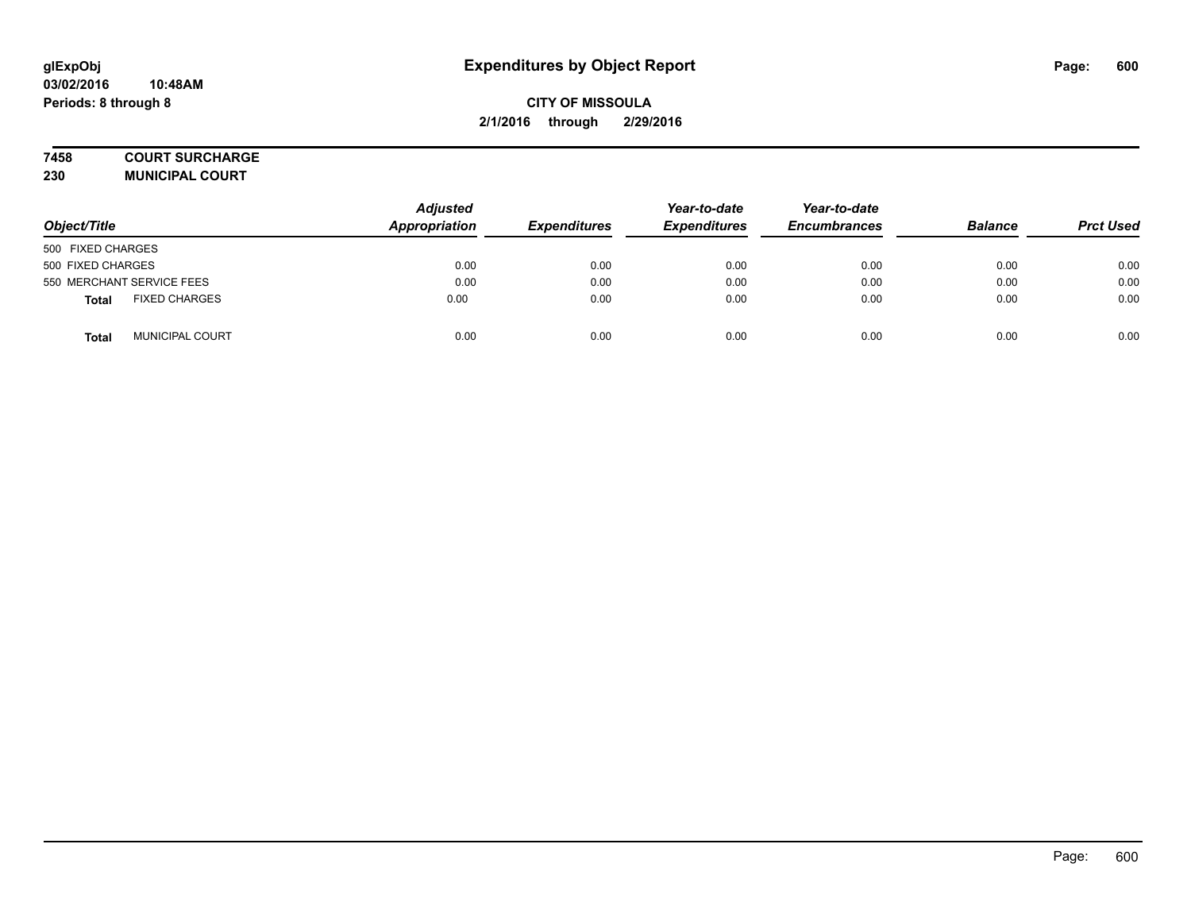### **7458 COURT SURCHARGE**

**230 MUNICIPAL COURT**

| Object/Title                         | <b>Adjusted</b><br>Appropriation | <b>Expenditures</b> | Year-to-date<br><b>Expenditures</b> | Year-to-date<br><b>Encumbrances</b> | <b>Balance</b> | <b>Prct Used</b> |
|--------------------------------------|----------------------------------|---------------------|-------------------------------------|-------------------------------------|----------------|------------------|
| 500 FIXED CHARGES                    |                                  |                     |                                     |                                     |                |                  |
| 500 FIXED CHARGES                    | 0.00                             | 0.00                | 0.00                                | 0.00                                | 0.00           | 0.00             |
| 550 MERCHANT SERVICE FEES            | 0.00                             | 0.00                | 0.00                                | 0.00                                | 0.00           | 0.00             |
| <b>FIXED CHARGES</b><br><b>Total</b> | 0.00                             | 0.00                | 0.00                                | 0.00                                | 0.00           | 0.00             |
| <b>MUNICIPAL COURT</b><br>Total      | 0.00                             | 0.00                | 0.00                                | 0.00                                | 0.00           | 0.00             |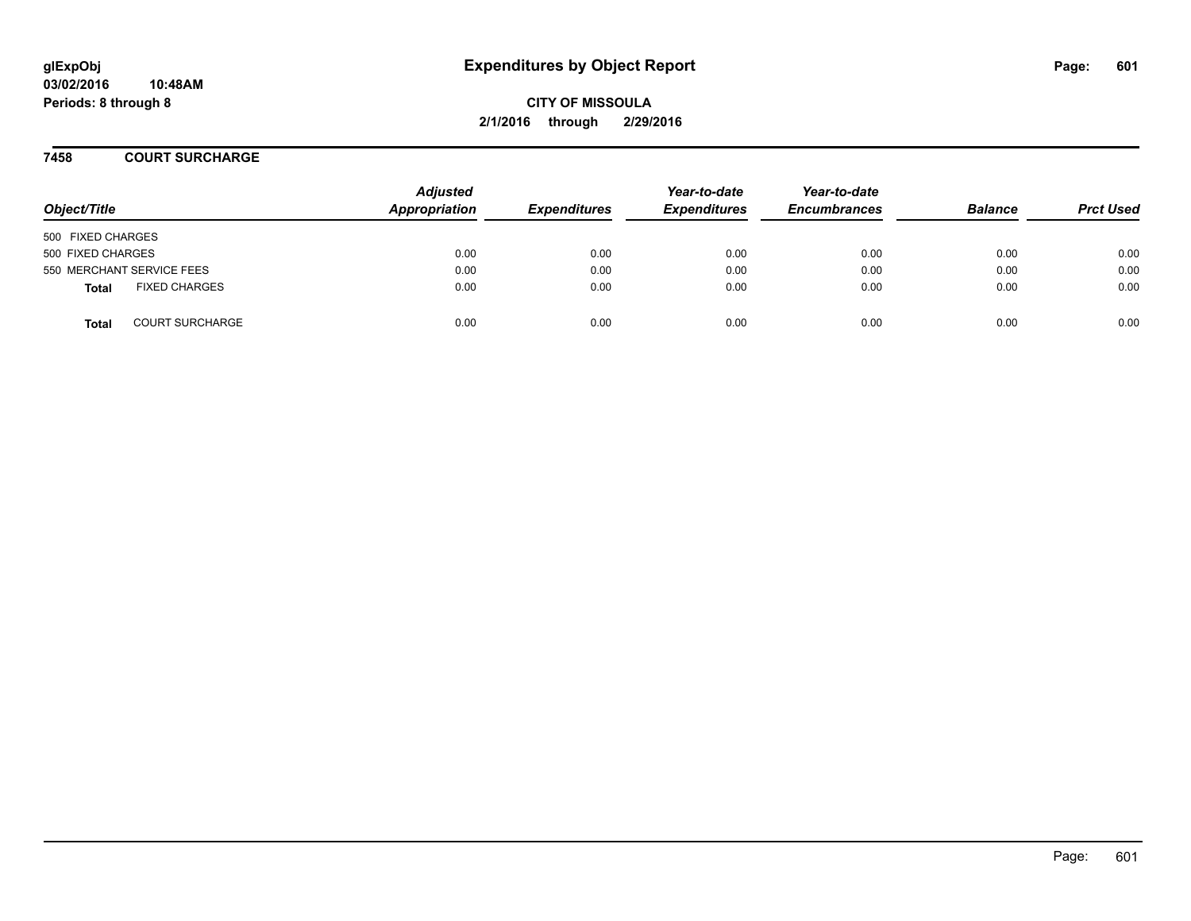### **7458 COURT SURCHARGE**

| Object/Title                           | <b>Adjusted</b><br>Appropriation | <b>Expenditures</b> | Year-to-date<br><b>Expenditures</b> | Year-to-date<br><b>Encumbrances</b> | <b>Balance</b> | <b>Prct Used</b> |
|----------------------------------------|----------------------------------|---------------------|-------------------------------------|-------------------------------------|----------------|------------------|
| 500 FIXED CHARGES                      |                                  |                     |                                     |                                     |                |                  |
| 500 FIXED CHARGES                      | 0.00                             | 0.00                | 0.00                                | 0.00                                | 0.00           | 0.00             |
| 550 MERCHANT SERVICE FEES              | 0.00                             | 0.00                | 0.00                                | 0.00                                | 0.00           | 0.00             |
| <b>FIXED CHARGES</b><br><b>Total</b>   | 0.00                             | 0.00                | 0.00                                | 0.00                                | 0.00           | 0.00             |
| <b>COURT SURCHARGE</b><br><b>Total</b> | 0.00                             | 0.00                | 0.00                                | 0.00                                | 0.00           | 0.00             |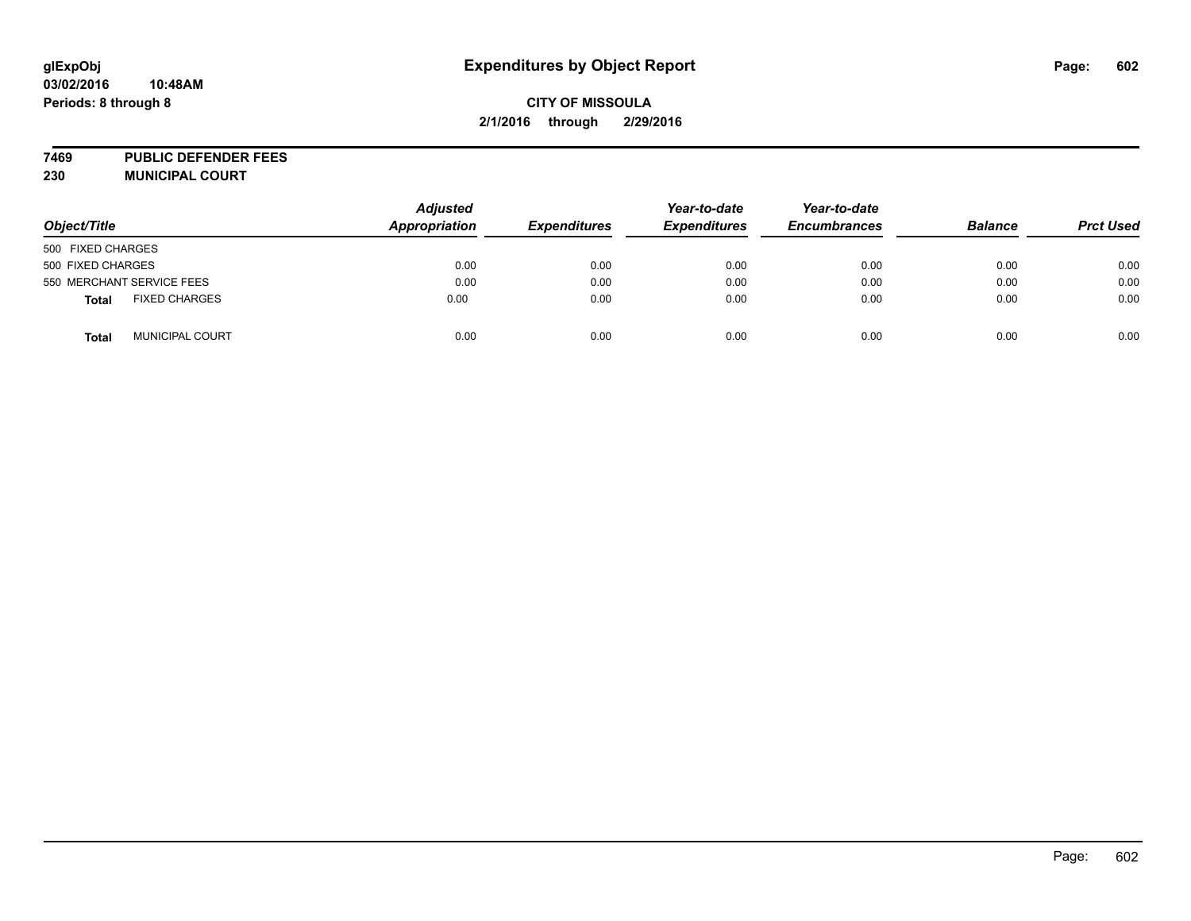# **glExpObj Expenditures by Object Report Page: 602**

#### **03/02/2016 10:48AM Periods: 8 through 8**

## **CITY OF MISSOULA 2/1/2016 through 2/29/2016**

**7469 PUBLIC DEFENDER FEES 230 MUNICIPAL COURT**

|                                        | <b>Adjusted</b> |                     | Year-to-date        | Year-to-date<br><b>Encumbrances</b> | <b>Balance</b> | <b>Prct Used</b> |
|----------------------------------------|-----------------|---------------------|---------------------|-------------------------------------|----------------|------------------|
| Object/Title                           | Appropriation   | <b>Expenditures</b> | <b>Expenditures</b> |                                     |                |                  |
| 500 FIXED CHARGES                      |                 |                     |                     |                                     |                |                  |
| 500 FIXED CHARGES                      | 0.00            | 0.00                | 0.00                | 0.00                                | 0.00           | 0.00             |
| 550 MERCHANT SERVICE FEES              | 0.00            | 0.00                | 0.00                | 0.00                                | 0.00           | 0.00             |
| <b>FIXED CHARGES</b><br><b>Total</b>   | 0.00            | 0.00                | 0.00                | 0.00                                | 0.00           | 0.00             |
| <b>MUNICIPAL COURT</b><br><b>Total</b> | 0.00            | 0.00                | 0.00                | 0.00                                | 0.00           | 0.00             |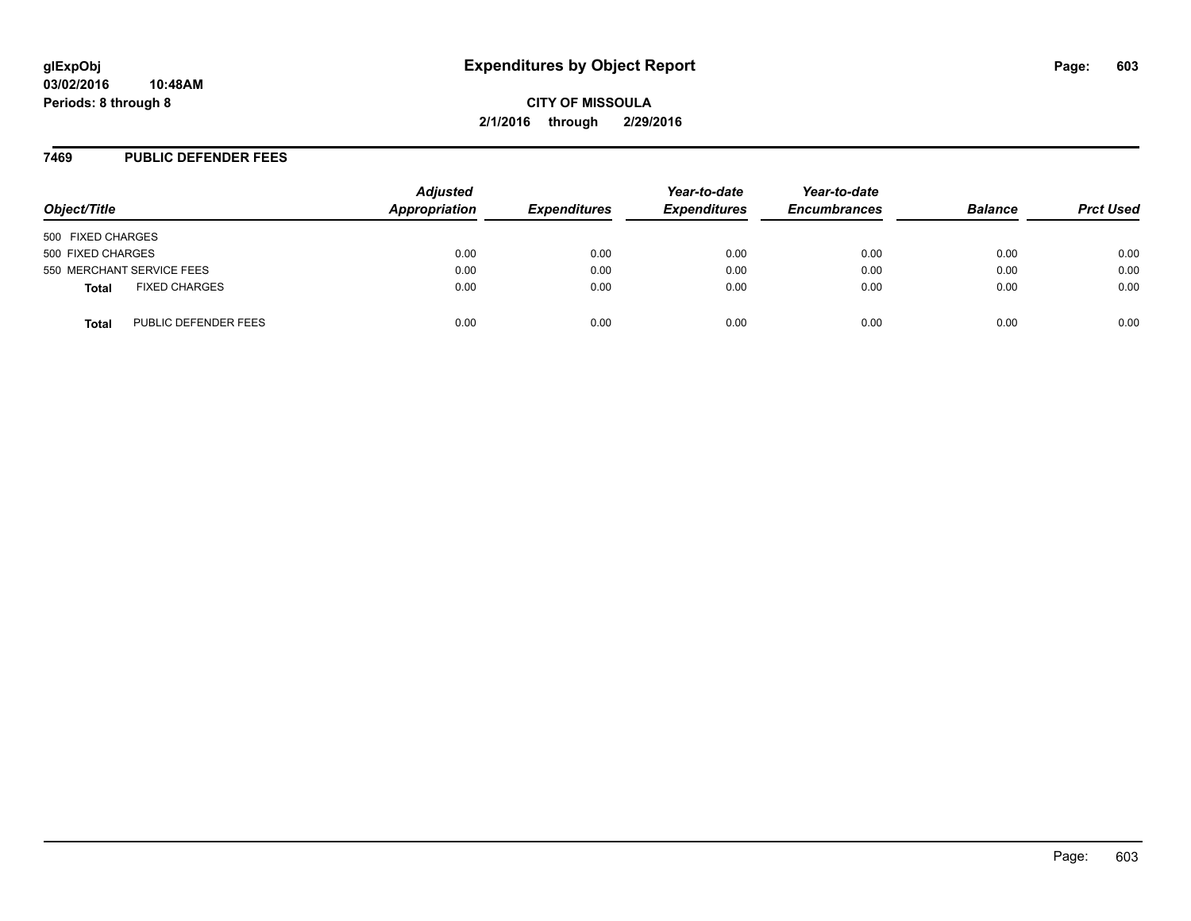#### **7469 PUBLIC DEFENDER FEES**

| Object/Title                         | <b>Adjusted</b><br>Appropriation | <b>Expenditures</b> | Year-to-date<br><b>Expenditures</b> | Year-to-date<br><b>Encumbrances</b> | <b>Balance</b> | <b>Prct Used</b> |
|--------------------------------------|----------------------------------|---------------------|-------------------------------------|-------------------------------------|----------------|------------------|
| 500 FIXED CHARGES                    |                                  |                     |                                     |                                     |                |                  |
| 500 FIXED CHARGES                    | 0.00                             | 0.00                | 0.00                                | 0.00                                | 0.00           | 0.00             |
| 550 MERCHANT SERVICE FEES            | 0.00                             | 0.00                | 0.00                                | 0.00                                | 0.00           | 0.00             |
| <b>FIXED CHARGES</b><br><b>Total</b> | 0.00                             | 0.00                | 0.00                                | 0.00                                | 0.00           | 0.00             |
| PUBLIC DEFENDER FEES<br>Total        | 0.00                             | 0.00                | 0.00                                | 0.00                                | 0.00           | 0.00             |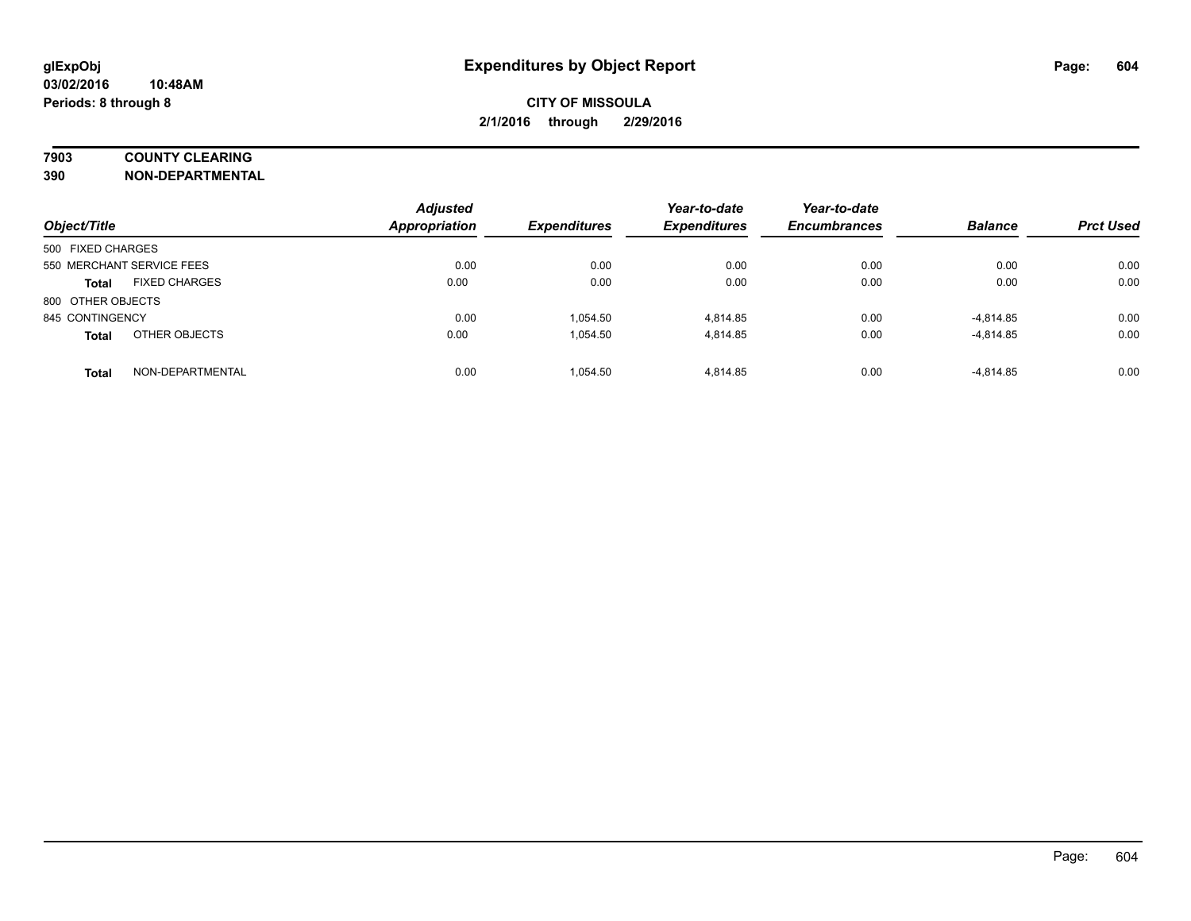### **7903 COUNTY CLEARING**

**390 NON-DEPARTMENTAL**

| Object/Title      |                           | <b>Adjusted</b><br><b>Appropriation</b> | <b>Expenditures</b> | Year-to-date<br><b>Expenditures</b> | Year-to-date<br><b>Encumbrances</b> | <b>Balance</b> | <b>Prct Used</b> |
|-------------------|---------------------------|-----------------------------------------|---------------------|-------------------------------------|-------------------------------------|----------------|------------------|
| 500 FIXED CHARGES |                           |                                         |                     |                                     |                                     |                |                  |
|                   | 550 MERCHANT SERVICE FEES | 0.00                                    | 0.00                | 0.00                                | 0.00                                | 0.00           | 0.00             |
| <b>Total</b>      | <b>FIXED CHARGES</b>      | 0.00                                    | 0.00                | 0.00                                | 0.00                                | 0.00           | 0.00             |
| 800 OTHER OBJECTS |                           |                                         |                     |                                     |                                     |                |                  |
| 845 CONTINGENCY   |                           | 0.00                                    | 1.054.50            | 4.814.85                            | 0.00                                | $-4.814.85$    | 0.00             |
| <b>Total</b>      | OTHER OBJECTS             | 0.00                                    | 1,054.50            | 4.814.85                            | 0.00                                | $-4,814.85$    | 0.00             |
| <b>Total</b>      | NON-DEPARTMENTAL          | 0.00                                    | 1.054.50            | 4.814.85                            | 0.00                                | $-4.814.85$    | 0.00             |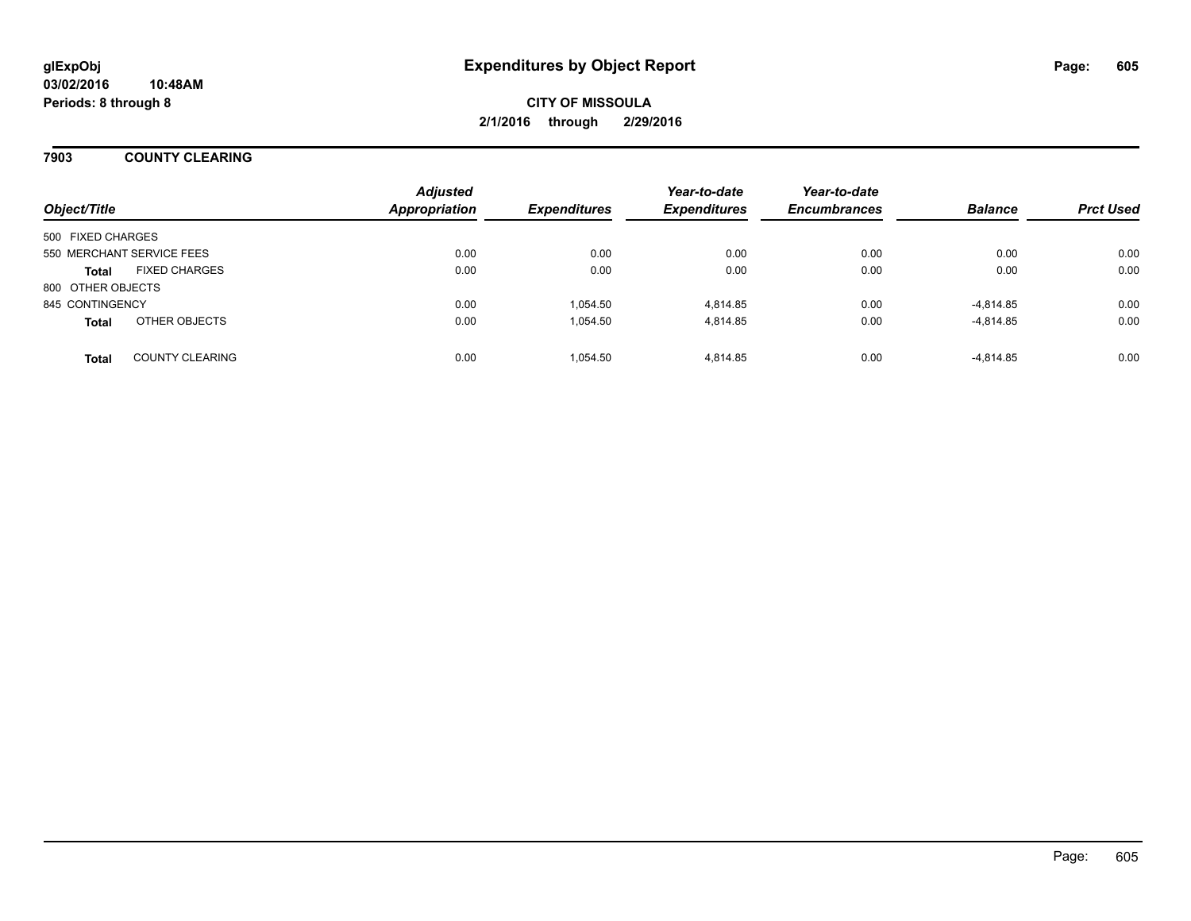### **7903 COUNTY CLEARING**

| Object/Title                           | <b>Adjusted</b><br><b>Appropriation</b> | <b>Expenditures</b> | Year-to-date<br><b>Expenditures</b> | Year-to-date<br><b>Encumbrances</b> | <b>Balance</b> | <b>Prct Used</b> |
|----------------------------------------|-----------------------------------------|---------------------|-------------------------------------|-------------------------------------|----------------|------------------|
| 500 FIXED CHARGES                      |                                         |                     |                                     |                                     |                |                  |
| 550 MERCHANT SERVICE FEES              | 0.00                                    | 0.00                | 0.00                                | 0.00                                | 0.00           | 0.00             |
| <b>FIXED CHARGES</b><br><b>Total</b>   | 0.00                                    | 0.00                | 0.00                                | 0.00                                | 0.00           | 0.00             |
| 800 OTHER OBJECTS                      |                                         |                     |                                     |                                     |                |                  |
| 845 CONTINGENCY                        | 0.00                                    | 1.054.50            | 4.814.85                            | 0.00                                | $-4.814.85$    | 0.00             |
| OTHER OBJECTS<br><b>Total</b>          | 0.00                                    | 1.054.50            | 4.814.85                            | 0.00                                | $-4,814.85$    | 0.00             |
| <b>COUNTY CLEARING</b><br><b>Total</b> | 0.00                                    | 1.054.50            | 4.814.85                            | 0.00                                | $-4,814.85$    | 0.00             |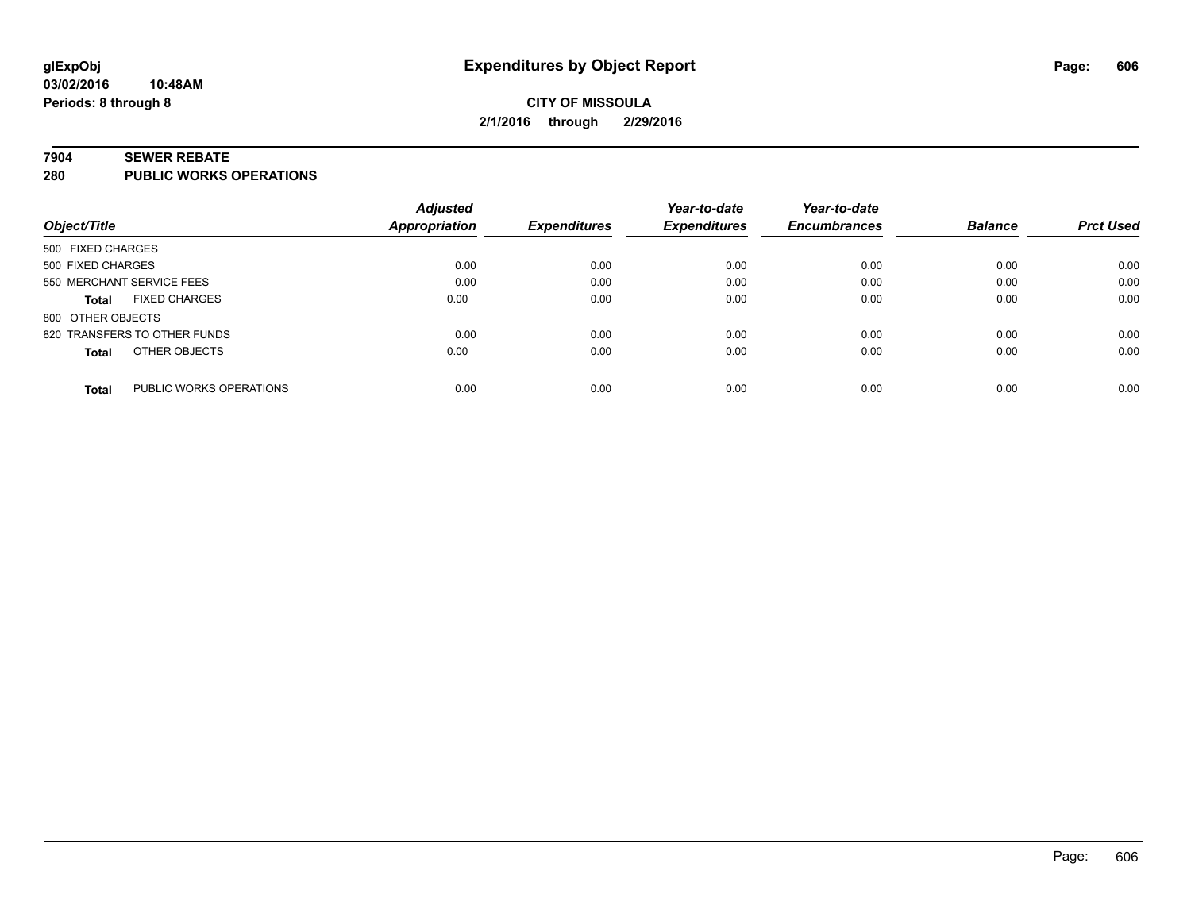### **CITY OF MISSOULA 2/1/2016 through 2/29/2016**

#### **7904 SEWER REBATE**

**280 PUBLIC WORKS OPERATIONS**

|                                         | <b>Adjusted</b>      |                     | Year-to-date        | Year-to-date        |                |                  |
|-----------------------------------------|----------------------|---------------------|---------------------|---------------------|----------------|------------------|
| Object/Title                            | <b>Appropriation</b> | <b>Expenditures</b> | <b>Expenditures</b> | <b>Encumbrances</b> | <b>Balance</b> | <b>Prct Used</b> |
| 500 FIXED CHARGES                       |                      |                     |                     |                     |                |                  |
| 500 FIXED CHARGES                       |                      | 0.00<br>0.00        | 0.00                | 0.00                | 0.00           | 0.00             |
| 550 MERCHANT SERVICE FEES               |                      | 0.00<br>0.00        | 0.00                | 0.00                | 0.00           | 0.00             |
| <b>FIXED CHARGES</b><br><b>Total</b>    | 0.00                 | 0.00                | 0.00                | 0.00                | 0.00           | 0.00             |
| 800 OTHER OBJECTS                       |                      |                     |                     |                     |                |                  |
| 820 TRANSFERS TO OTHER FUNDS            |                      | 0.00<br>0.00        | 0.00                | 0.00                | 0.00           | 0.00             |
| OTHER OBJECTS<br><b>Total</b>           | 0.00                 | 0.00                | 0.00                | 0.00                | 0.00           | 0.00             |
| PUBLIC WORKS OPERATIONS<br><b>Total</b> |                      | 0.00<br>0.00        | 0.00                | 0.00                | 0.00           | 0.00             |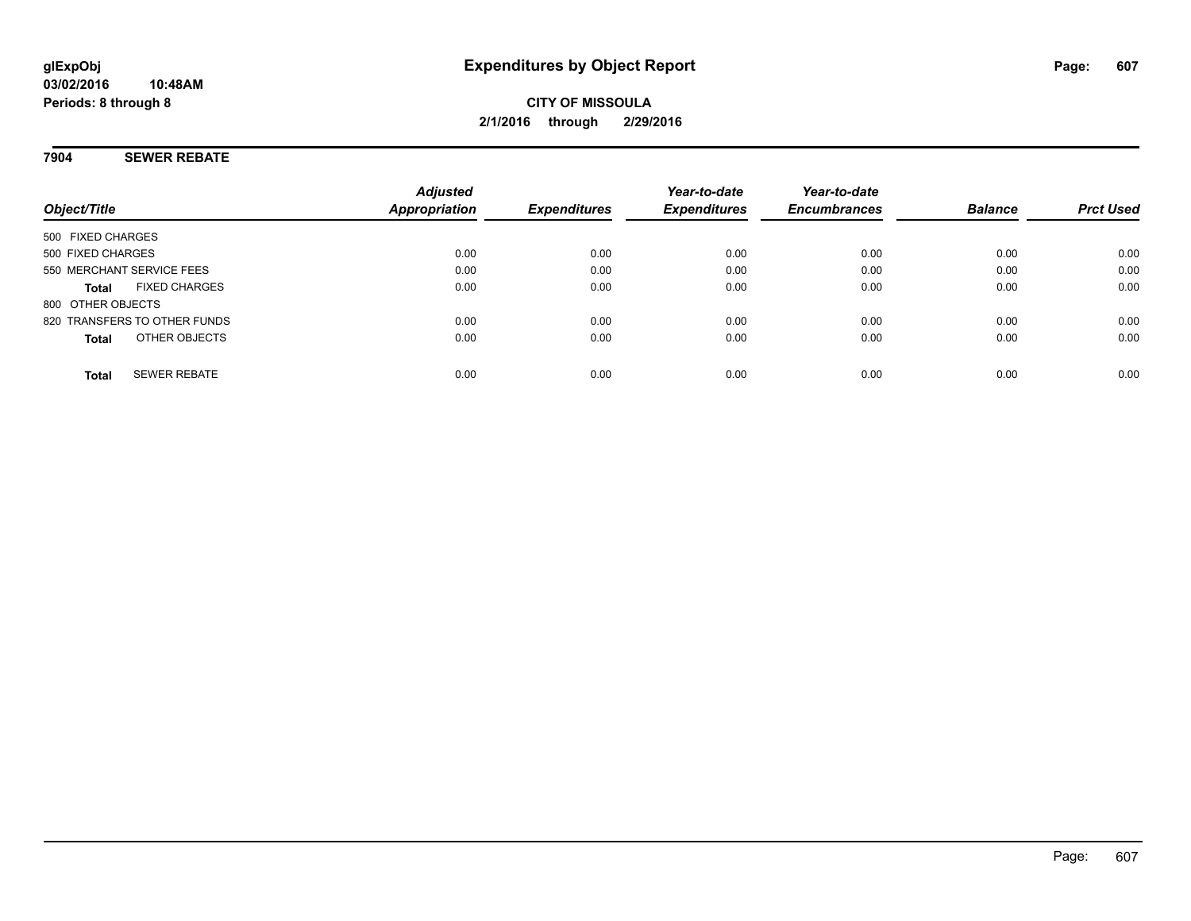### **7904 SEWER REBATE**

| Object/Title                         | <b>Adjusted</b><br>Appropriation | <b>Expenditures</b> | Year-to-date<br><b>Expenditures</b> | Year-to-date<br><b>Encumbrances</b> | <b>Balance</b> | <b>Prct Used</b> |
|--------------------------------------|----------------------------------|---------------------|-------------------------------------|-------------------------------------|----------------|------------------|
| 500 FIXED CHARGES                    |                                  |                     |                                     |                                     |                |                  |
| 500 FIXED CHARGES                    | 0.00                             | 0.00                | 0.00                                | 0.00                                | 0.00           | 0.00             |
| 550 MERCHANT SERVICE FEES            | 0.00                             | 0.00                | 0.00                                | 0.00                                | 0.00           | 0.00             |
| <b>FIXED CHARGES</b><br><b>Total</b> | 0.00                             | 0.00                | 0.00                                | 0.00                                | 0.00           | 0.00             |
| 800 OTHER OBJECTS                    |                                  |                     |                                     |                                     |                |                  |
| 820 TRANSFERS TO OTHER FUNDS         | 0.00                             | 0.00                | 0.00                                | 0.00                                | 0.00           | 0.00             |
| OTHER OBJECTS<br><b>Total</b>        | 0.00                             | 0.00                | 0.00                                | 0.00                                | 0.00           | 0.00             |
| <b>SEWER REBATE</b><br><b>Total</b>  | 0.00                             | 0.00                | 0.00                                | 0.00                                | 0.00           | 0.00             |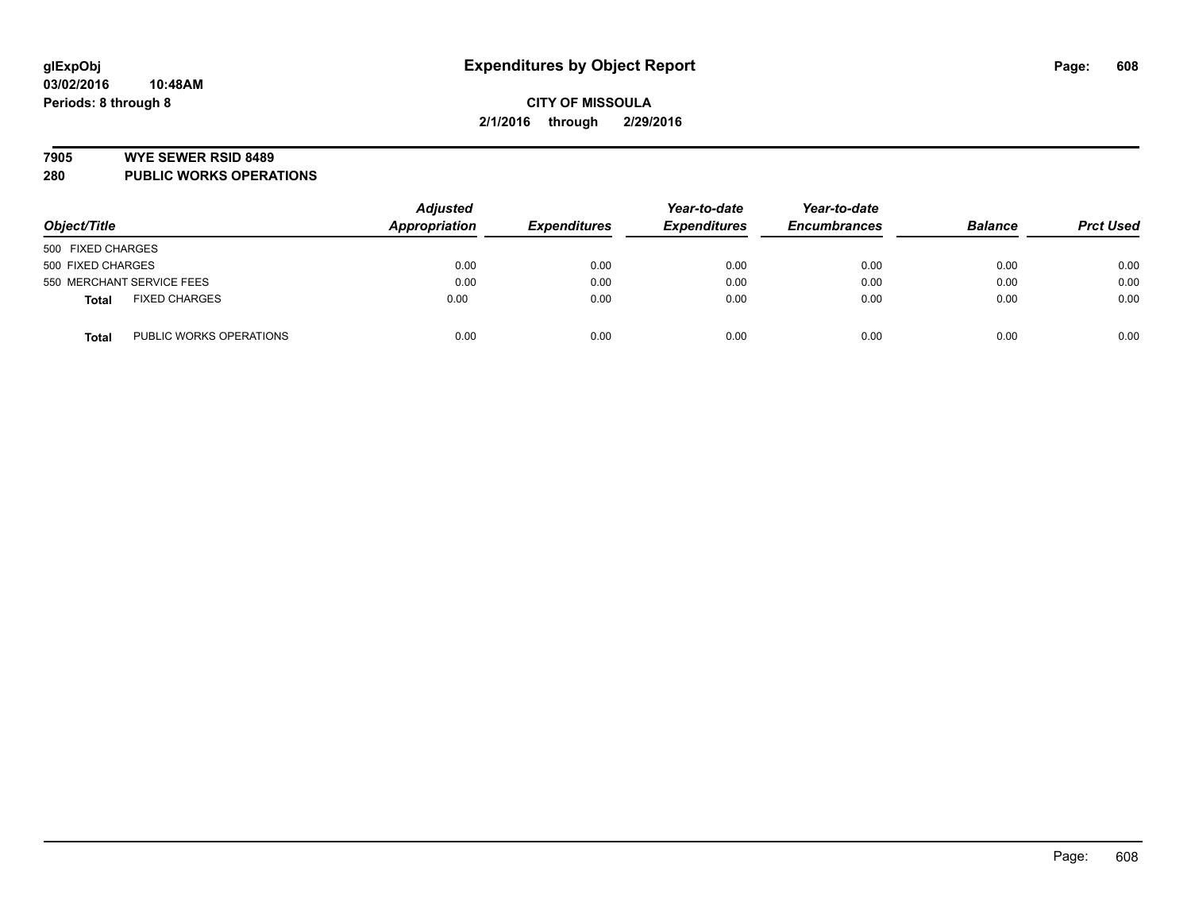#### **7905 WYE SEWER RSID 8489**

**280 PUBLIC WORKS OPERATIONS**

|                                         | <b>Adjusted</b> |                     | Year-to-date        | Year-to-date        |                |                  |
|-----------------------------------------|-----------------|---------------------|---------------------|---------------------|----------------|------------------|
| Object/Title                            | Appropriation   | <b>Expenditures</b> | <b>Expenditures</b> | <b>Encumbrances</b> | <b>Balance</b> | <b>Prct Used</b> |
| 500 FIXED CHARGES                       |                 |                     |                     |                     |                |                  |
| 500 FIXED CHARGES                       | 0.00            | 0.00                | 0.00                | 0.00                | 0.00           | 0.00             |
| 550 MERCHANT SERVICE FEES               | 0.00            | 0.00                | 0.00                | 0.00                | 0.00           | 0.00             |
| <b>FIXED CHARGES</b><br><b>Total</b>    | 0.00            | 0.00                | 0.00                | 0.00                | 0.00           | 0.00             |
| PUBLIC WORKS OPERATIONS<br><b>Total</b> | 0.00            | 0.00                | 0.00                | 0.00                | 0.00           | 0.00             |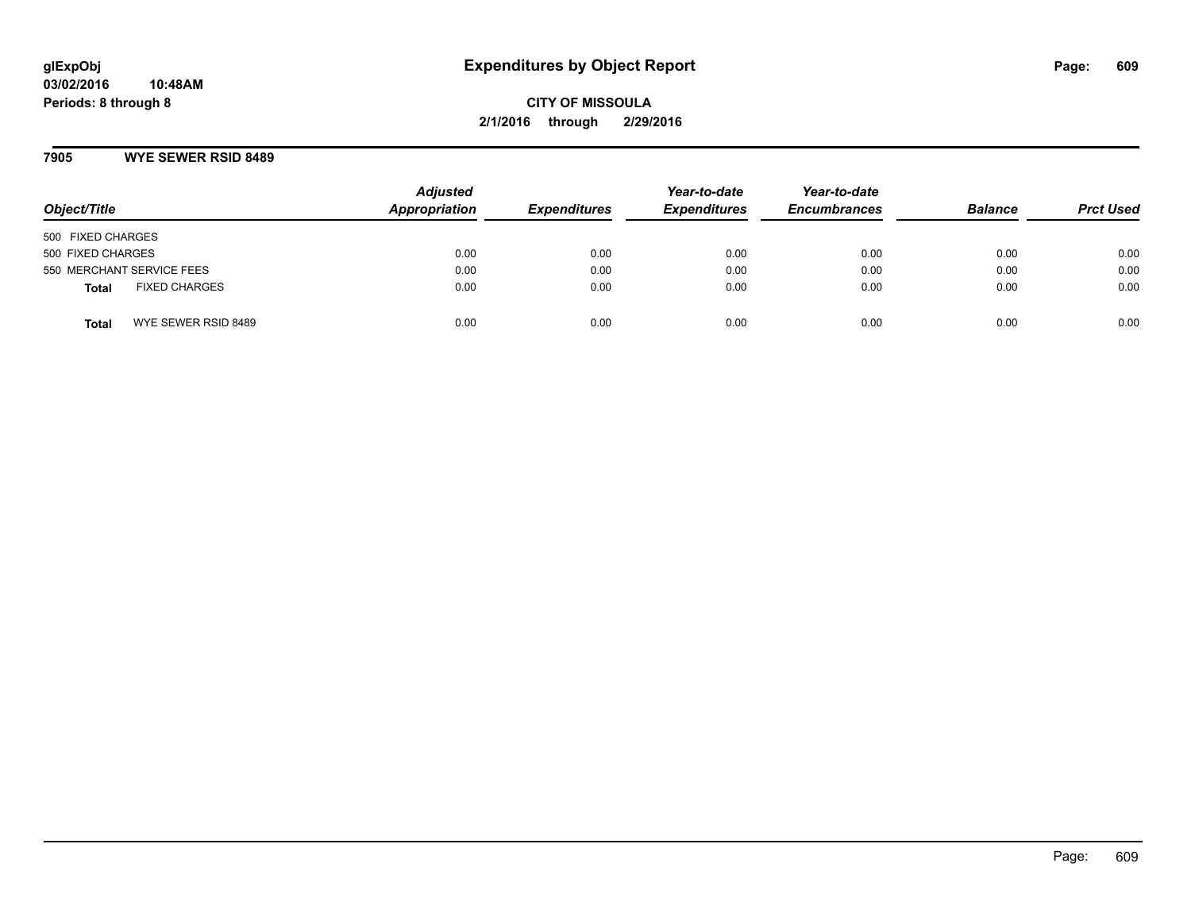### **7905 WYE SEWER RSID 8489**

| Object/Title                         | <b>Adjusted</b><br>Appropriation | <b>Expenditures</b> | Year-to-date<br><b>Expenditures</b> | Year-to-date<br><b>Encumbrances</b> | <b>Balance</b> | <b>Prct Used</b> |
|--------------------------------------|----------------------------------|---------------------|-------------------------------------|-------------------------------------|----------------|------------------|
| 500 FIXED CHARGES                    |                                  |                     |                                     |                                     |                |                  |
| 500 FIXED CHARGES                    | 0.00                             | 0.00                | 0.00                                | 0.00                                | 0.00           | 0.00             |
| 550 MERCHANT SERVICE FEES            | 0.00                             | 0.00                | 0.00                                | 0.00                                | 0.00           | 0.00             |
| <b>FIXED CHARGES</b><br><b>Total</b> | 0.00                             | 0.00                | 0.00                                | 0.00                                | 0.00           | 0.00             |
| WYE SEWER RSID 8489<br><b>Total</b>  | 0.00                             | 0.00                | 0.00                                | 0.00                                | 0.00           | 0.00             |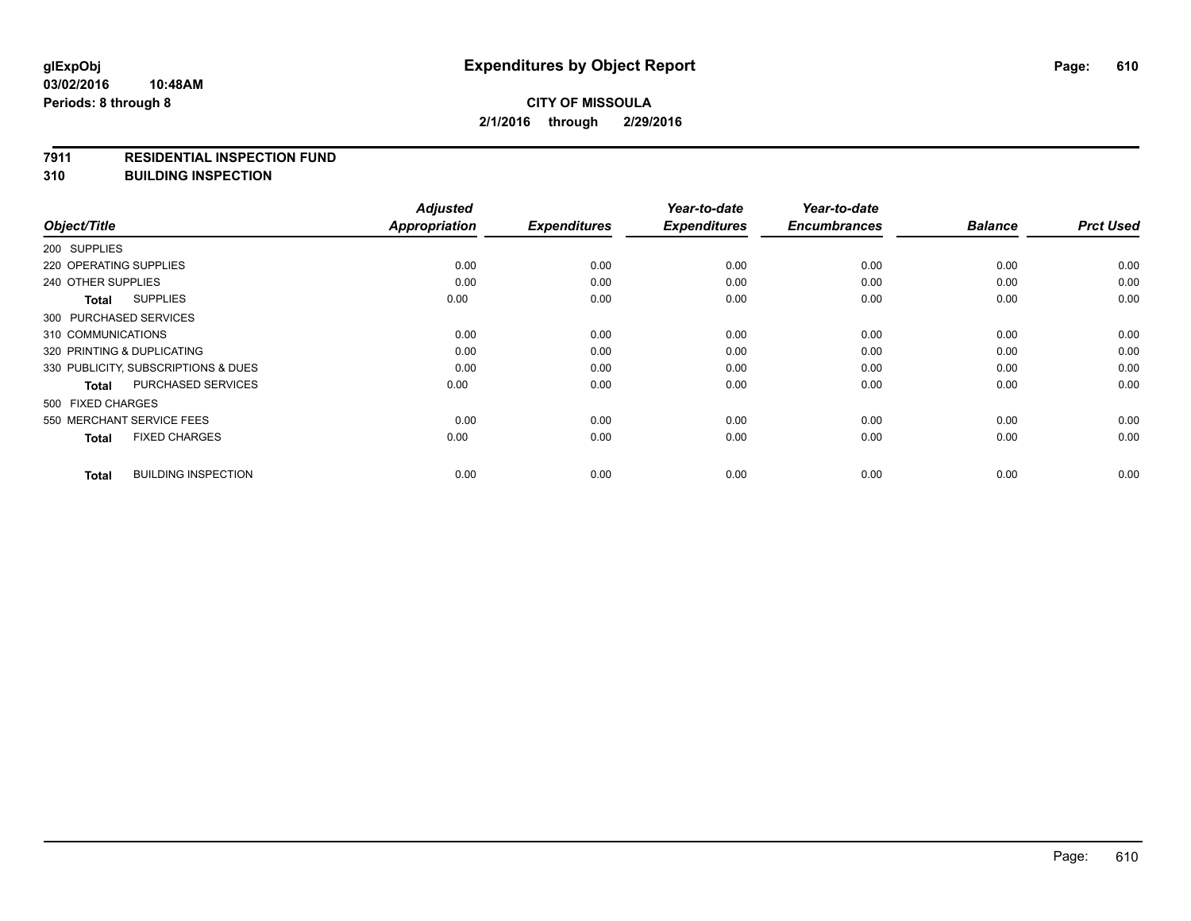#### **7911 RESIDENTIAL INSPECTION FUND**

**310 BUILDING INSPECTION**

| Object/Title                               | <b>Adjusted</b><br>Appropriation | <b>Expenditures</b> | Year-to-date<br><b>Expenditures</b> | Year-to-date<br><b>Encumbrances</b> | <b>Balance</b> | <b>Prct Used</b> |
|--------------------------------------------|----------------------------------|---------------------|-------------------------------------|-------------------------------------|----------------|------------------|
| 200 SUPPLIES                               |                                  |                     |                                     |                                     |                |                  |
| 220 OPERATING SUPPLIES                     | 0.00                             | 0.00                | 0.00                                | 0.00                                | 0.00           | 0.00             |
| 240 OTHER SUPPLIES                         | 0.00                             | 0.00                | 0.00                                | 0.00                                | 0.00           | 0.00             |
| <b>SUPPLIES</b><br>Total                   | 0.00                             | 0.00                | 0.00                                | 0.00                                | 0.00           | 0.00             |
| 300 PURCHASED SERVICES                     |                                  |                     |                                     |                                     |                |                  |
| 310 COMMUNICATIONS                         | 0.00                             | 0.00                | 0.00                                | 0.00                                | 0.00           | 0.00             |
| 320 PRINTING & DUPLICATING                 | 0.00                             | 0.00                | 0.00                                | 0.00                                | 0.00           | 0.00             |
| 330 PUBLICITY, SUBSCRIPTIONS & DUES        | 0.00                             | 0.00                | 0.00                                | 0.00                                | 0.00           | 0.00             |
| PURCHASED SERVICES<br><b>Total</b>         | 0.00                             | 0.00                | 0.00                                | 0.00                                | 0.00           | 0.00             |
| 500 FIXED CHARGES                          |                                  |                     |                                     |                                     |                |                  |
| 550 MERCHANT SERVICE FEES                  | 0.00                             | 0.00                | 0.00                                | 0.00                                | 0.00           | 0.00             |
| <b>FIXED CHARGES</b><br><b>Total</b>       | 0.00                             | 0.00                | 0.00                                | 0.00                                | 0.00           | 0.00             |
| <b>BUILDING INSPECTION</b><br><b>Total</b> | 0.00                             | 0.00                | 0.00                                | 0.00                                | 0.00           | 0.00             |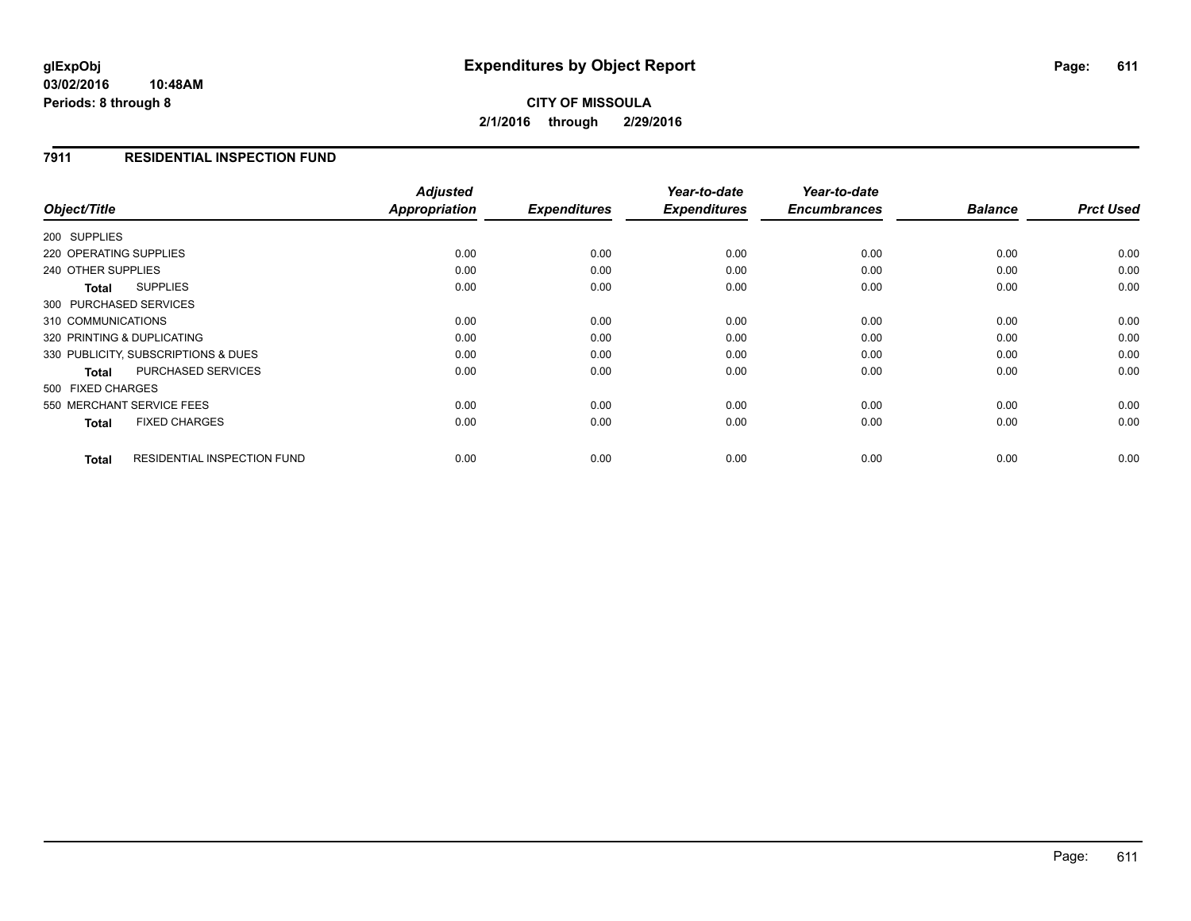## **CITY OF MISSOULA 2/1/2016 through 2/29/2016**

### **7911 RESIDENTIAL INSPECTION FUND**

| Object/Title                                       | <b>Adjusted</b><br>Appropriation | <b>Expenditures</b> | Year-to-date<br><b>Expenditures</b> | Year-to-date<br><b>Encumbrances</b> | <b>Balance</b> | <b>Prct Used</b> |
|----------------------------------------------------|----------------------------------|---------------------|-------------------------------------|-------------------------------------|----------------|------------------|
| 200 SUPPLIES                                       |                                  |                     |                                     |                                     |                |                  |
| 220 OPERATING SUPPLIES                             | 0.00                             | 0.00                | 0.00                                | 0.00                                | 0.00           | 0.00             |
| 240 OTHER SUPPLIES                                 | 0.00                             | 0.00                | 0.00                                | 0.00                                | 0.00           | 0.00             |
| <b>SUPPLIES</b><br>Total                           | 0.00                             | 0.00                | 0.00                                | 0.00                                | 0.00           | 0.00             |
| 300 PURCHASED SERVICES                             |                                  |                     |                                     |                                     |                |                  |
| 310 COMMUNICATIONS                                 | 0.00                             | 0.00                | 0.00                                | 0.00                                | 0.00           | 0.00             |
| 320 PRINTING & DUPLICATING                         | 0.00                             | 0.00                | 0.00                                | 0.00                                | 0.00           | 0.00             |
| 330 PUBLICITY, SUBSCRIPTIONS & DUES                | 0.00                             | 0.00                | 0.00                                | 0.00                                | 0.00           | 0.00             |
| PURCHASED SERVICES<br><b>Total</b>                 | 0.00                             | 0.00                | 0.00                                | 0.00                                | 0.00           | 0.00             |
| 500 FIXED CHARGES                                  |                                  |                     |                                     |                                     |                |                  |
| 550 MERCHANT SERVICE FEES                          | 0.00                             | 0.00                | 0.00                                | 0.00                                | 0.00           | 0.00             |
| <b>FIXED CHARGES</b><br><b>Total</b>               | 0.00                             | 0.00                | 0.00                                | 0.00                                | 0.00           | 0.00             |
| <b>RESIDENTIAL INSPECTION FUND</b><br><b>Total</b> | 0.00                             | 0.00                | 0.00                                | 0.00                                | 0.00           | 0.00             |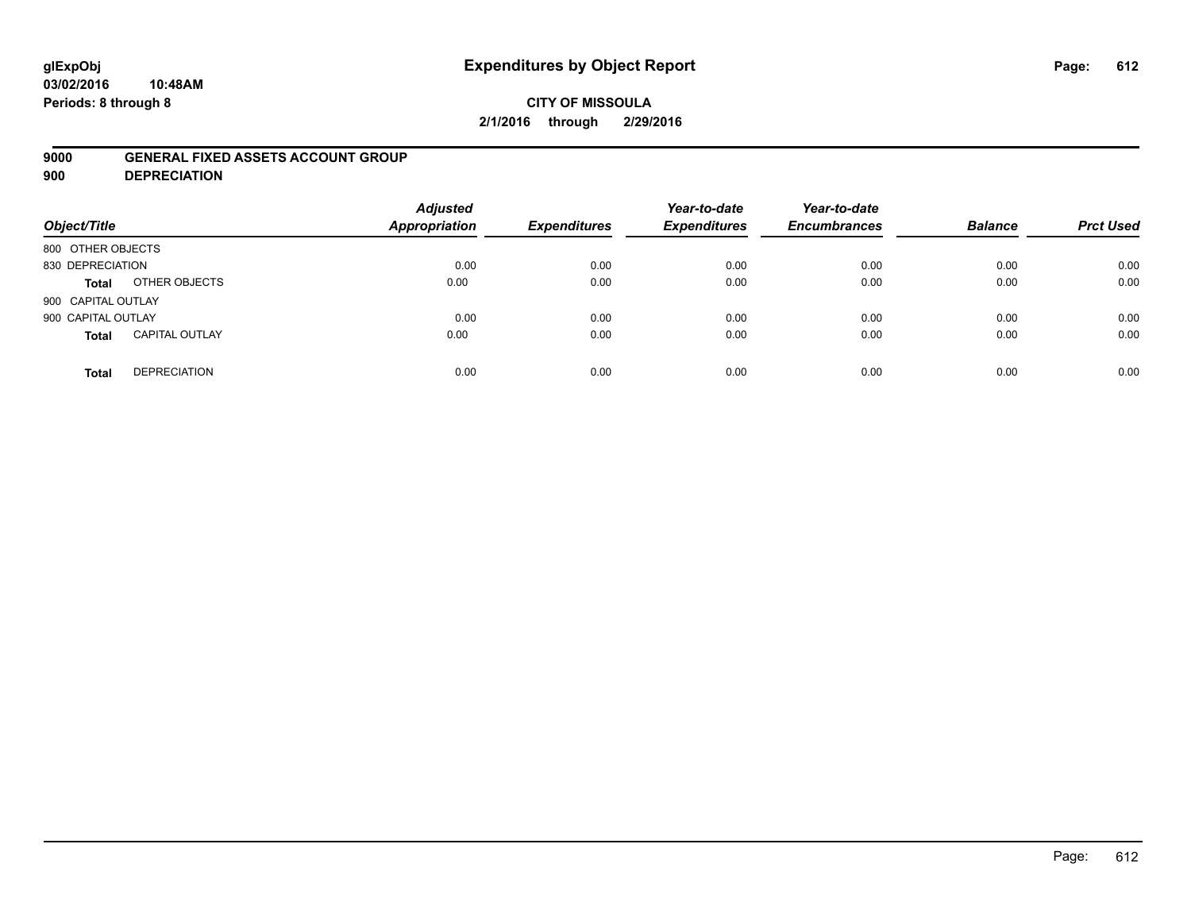# **glExpObj Expenditures by Object Report Page: 612**

#### **03/02/2016 10:48AM Periods: 8 through 8**

### **CITY OF MISSOULA 2/1/2016 through 2/29/2016**

### **9000 GENERAL FIXED ASSETS ACCOUNT GROUP**

**900 DEPRECIATION**

| Object/Title                          | <b>Adjusted</b><br><b>Appropriation</b> | <b>Expenditures</b> | Year-to-date<br><b>Expenditures</b> | Year-to-date<br><b>Encumbrances</b> | <b>Balance</b> | <b>Prct Used</b> |
|---------------------------------------|-----------------------------------------|---------------------|-------------------------------------|-------------------------------------|----------------|------------------|
| 800 OTHER OBJECTS                     |                                         |                     |                                     |                                     |                |                  |
| 830 DEPRECIATION                      | 0.00                                    | 0.00                | 0.00                                | 0.00                                | 0.00           | 0.00             |
| OTHER OBJECTS<br>Total                | 0.00                                    | 0.00                | 0.00                                | 0.00                                | 0.00           | 0.00             |
| 900 CAPITAL OUTLAY                    |                                         |                     |                                     |                                     |                |                  |
| 900 CAPITAL OUTLAY                    | 0.00                                    | 0.00                | 0.00                                | 0.00                                | 0.00           | 0.00             |
| <b>CAPITAL OUTLAY</b><br><b>Total</b> | 0.00                                    | 0.00                | 0.00                                | 0.00                                | 0.00           | 0.00             |
| <b>DEPRECIATION</b><br><b>Total</b>   | 0.00                                    | 0.00                | 0.00                                | 0.00                                | 0.00           | 0.00             |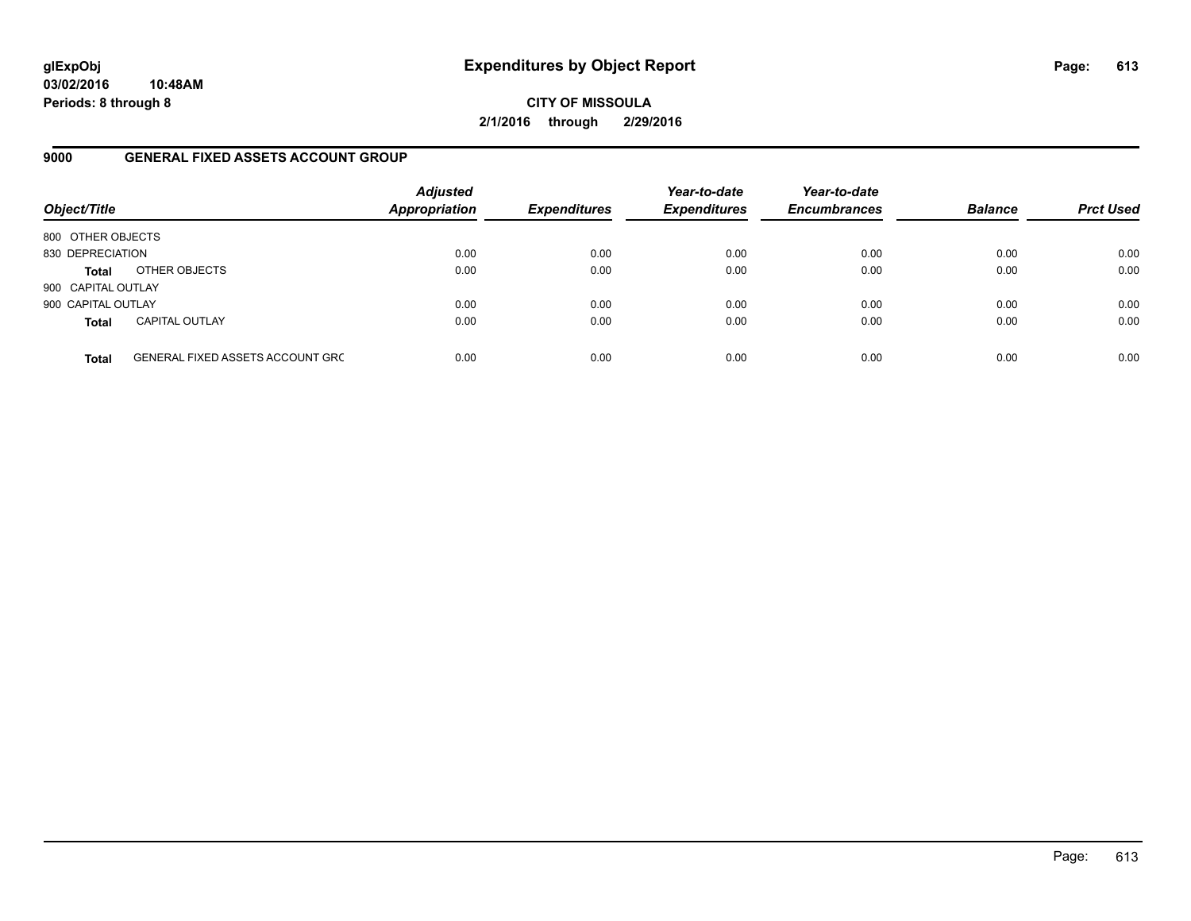**03/02/2016 10:48AM Periods: 8 through 8**

**CITY OF MISSOULA 2/1/2016 through 2/29/2016**

## **9000 GENERAL FIXED ASSETS ACCOUNT GROUP**

| Object/Title       |                                         | <b>Adjusted</b><br><b>Appropriation</b> | <b>Expenditures</b> | Year-to-date<br><b>Expenditures</b> | Year-to-date<br><b>Encumbrances</b> | <b>Balance</b> | <b>Prct Used</b> |
|--------------------|-----------------------------------------|-----------------------------------------|---------------------|-------------------------------------|-------------------------------------|----------------|------------------|
| 800 OTHER OBJECTS  |                                         |                                         |                     |                                     |                                     |                |                  |
| 830 DEPRECIATION   |                                         | 0.00                                    | 0.00                | 0.00                                | 0.00                                | 0.00           | 0.00             |
| <b>Total</b>       | OTHER OBJECTS                           | 0.00                                    | 0.00                | 0.00                                | 0.00                                | 0.00           | 0.00             |
| 900 CAPITAL OUTLAY |                                         |                                         |                     |                                     |                                     |                |                  |
| 900 CAPITAL OUTLAY |                                         | 0.00                                    | 0.00                | 0.00                                | 0.00                                | 0.00           | 0.00             |
| <b>Total</b>       | <b>CAPITAL OUTLAY</b>                   | 0.00                                    | 0.00                | 0.00                                | 0.00                                | 0.00           | 0.00             |
| <b>Total</b>       | <b>GENERAL FIXED ASSETS ACCOUNT GRC</b> | 0.00                                    | 0.00                | 0.00                                | 0.00                                | 0.00           | 0.00             |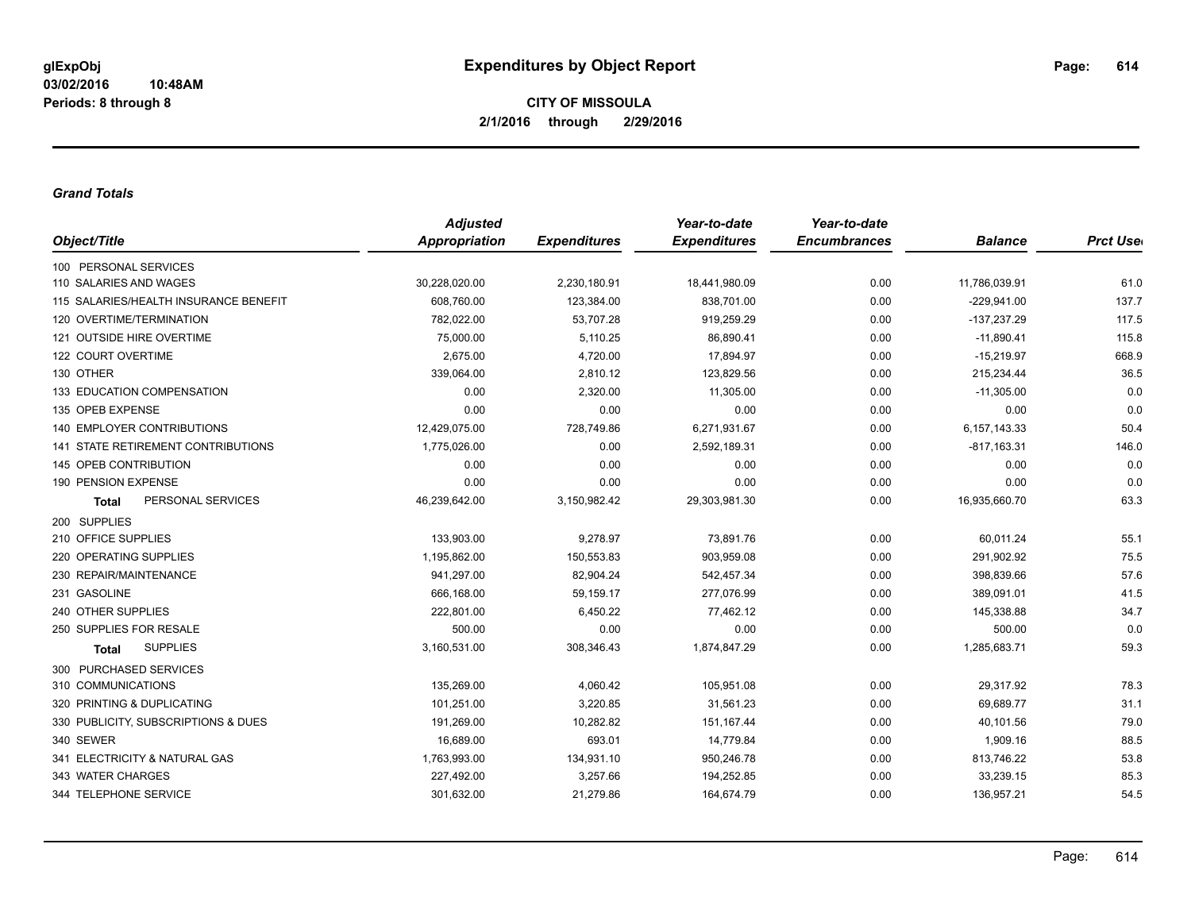**CITY OF MISSOULA 2/1/2016 through 2/29/2016**

## *Grand Totals*

|                                           | <b>Adjusted</b> |                     | Year-to-date        | Year-to-date        |                |                  |
|-------------------------------------------|-----------------|---------------------|---------------------|---------------------|----------------|------------------|
| Object/Title                              | Appropriation   | <b>Expenditures</b> | <b>Expenditures</b> | <b>Encumbrances</b> | <b>Balance</b> | <b>Prct User</b> |
| 100 PERSONAL SERVICES                     |                 |                     |                     |                     |                |                  |
| 110 SALARIES AND WAGES                    | 30,228,020.00   | 2,230,180.91        | 18,441,980.09       | 0.00                | 11,786,039.91  | 61.0             |
| 115 SALARIES/HEALTH INSURANCE BENEFIT     | 608,760.00      | 123,384.00          | 838,701.00          | 0.00                | $-229,941.00$  | 137.7            |
| 120 OVERTIME/TERMINATION                  | 782,022.00      | 53,707.28           | 919,259.29          | 0.00                | $-137,237.29$  | 117.5            |
| 121 OUTSIDE HIRE OVERTIME                 | 75,000.00       | 5,110.25            | 86,890.41           | 0.00                | $-11,890.41$   | 115.8            |
| 122 COURT OVERTIME                        | 2,675.00        | 4,720.00            | 17,894.97           | 0.00                | $-15,219.97$   | 668.9            |
| 130 OTHER                                 | 339,064.00      | 2,810.12            | 123,829.56          | 0.00                | 215,234.44     | 36.5             |
| 133 EDUCATION COMPENSATION                | 0.00            | 2,320.00            | 11,305.00           | 0.00                | $-11,305.00$   | 0.0              |
| 135 OPEB EXPENSE                          | 0.00            | 0.00                | 0.00                | 0.00                | 0.00           | 0.0              |
| <b>140 EMPLOYER CONTRIBUTIONS</b>         | 12,429,075.00   | 728,749.86          | 6,271,931.67        | 0.00                | 6,157,143.33   | 50.4             |
| <b>141 STATE RETIREMENT CONTRIBUTIONS</b> | 1,775,026.00    | 0.00                | 2,592,189.31        | 0.00                | $-817,163.31$  | 146.0            |
| <b>145 OPEB CONTRIBUTION</b>              | 0.00            | 0.00                | 0.00                | 0.00                | 0.00           | 0.0              |
| 190 PENSION EXPENSE                       | 0.00            | 0.00                | 0.00                | 0.00                | 0.00           | 0.0              |
| PERSONAL SERVICES<br><b>Total</b>         | 46,239,642.00   | 3,150,982.42        | 29,303,981.30       | 0.00                | 16,935,660.70  | 63.3             |
| 200 SUPPLIES                              |                 |                     |                     |                     |                |                  |
| 210 OFFICE SUPPLIES                       | 133,903.00      | 9,278.97            | 73,891.76           | 0.00                | 60,011.24      | 55.1             |
| 220 OPERATING SUPPLIES                    | 1,195,862.00    | 150,553.83          | 903,959.08          | 0.00                | 291,902.92     | 75.5             |
| 230 REPAIR/MAINTENANCE                    | 941,297.00      | 82,904.24           | 542,457.34          | 0.00                | 398,839.66     | 57.6             |
| 231 GASOLINE                              | 666,168.00      | 59,159.17           | 277,076.99          | 0.00                | 389,091.01     | 41.5             |
| 240 OTHER SUPPLIES                        | 222,801.00      | 6,450.22            | 77,462.12           | 0.00                | 145,338.88     | 34.7             |
| 250 SUPPLIES FOR RESALE                   | 500.00          | 0.00                | 0.00                | 0.00                | 500.00         | 0.0              |
| <b>SUPPLIES</b><br>Total                  | 3,160,531.00    | 308,346.43          | 1,874,847.29        | 0.00                | 1,285,683.71   | 59.3             |
| 300 PURCHASED SERVICES                    |                 |                     |                     |                     |                |                  |
| 310 COMMUNICATIONS                        | 135,269.00      | 4,060.42            | 105,951.08          | 0.00                | 29,317.92      | 78.3             |
| 320 PRINTING & DUPLICATING                | 101,251.00      | 3,220.85            | 31,561.23           | 0.00                | 69,689.77      | 31.1             |
| 330 PUBLICITY, SUBSCRIPTIONS & DUES       | 191,269.00      | 10,282.82           | 151, 167. 44        | 0.00                | 40,101.56      | 79.0             |
| 340 SEWER                                 | 16,689.00       | 693.01              | 14,779.84           | 0.00                | 1,909.16       | 88.5             |
| 341 ELECTRICITY & NATURAL GAS             | 1,763,993.00    | 134,931.10          | 950,246.78          | 0.00                | 813,746.22     | 53.8             |
| 343 WATER CHARGES                         | 227,492.00      | 3,257.66            | 194,252.85          | 0.00                | 33,239.15      | 85.3             |
| 344 TELEPHONE SERVICE                     | 301,632.00      | 21,279.86           | 164,674.79          | 0.00                | 136,957.21     | 54.5             |
|                                           |                 |                     |                     |                     |                |                  |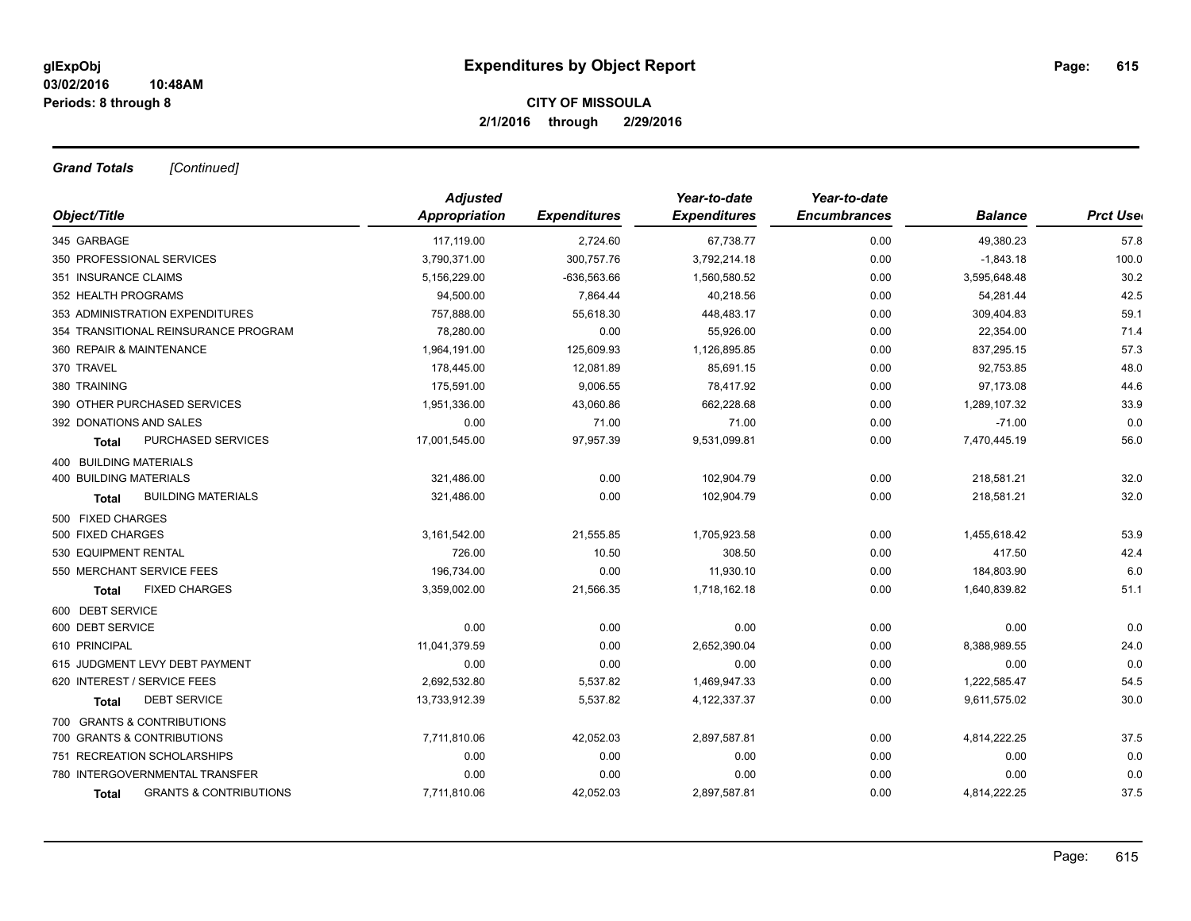## **CITY OF MISSOULA 2/1/2016 through 2/29/2016**

*Grand Totals [Continued]*

|                                            | <b>Adjusted</b>      |                     | Year-to-date        | Year-to-date        |                |                  |
|--------------------------------------------|----------------------|---------------------|---------------------|---------------------|----------------|------------------|
| Object/Title                               | <b>Appropriation</b> | <b>Expenditures</b> | <b>Expenditures</b> | <b>Encumbrances</b> | <b>Balance</b> | <b>Prct Uset</b> |
| 345 GARBAGE                                | 117,119.00           | 2,724.60            | 67,738.77           | 0.00                | 49,380.23      | 57.8             |
| 350 PROFESSIONAL SERVICES                  | 3,790,371.00         | 300,757.76          | 3,792,214.18        | 0.00                | $-1,843.18$    | 100.0            |
| 351 INSURANCE CLAIMS                       | 5,156,229.00         | $-636,563.66$       | 1,560,580.52        | 0.00                | 3,595,648.48   | 30.2             |
| 352 HEALTH PROGRAMS                        | 94,500.00            | 7,864.44            | 40,218.56           | 0.00                | 54,281.44      | 42.5             |
| 353 ADMINISTRATION EXPENDITURES            | 757,888.00           | 55,618.30           | 448,483.17          | 0.00                | 309,404.83     | 59.1             |
| 354 TRANSITIONAL REINSURANCE PROGRAM       | 78,280.00            | 0.00                | 55,926.00           | 0.00                | 22,354.00      | 71.4             |
| 360 REPAIR & MAINTENANCE                   | 1,964,191.00         | 125,609.93          | 1,126,895.85        | 0.00                | 837,295.15     | 57.3             |
| 370 TRAVEL                                 | 178,445.00           | 12,081.89           | 85,691.15           | 0.00                | 92,753.85      | 48.0             |
| 380 TRAINING                               | 175,591.00           | 9,006.55            | 78,417.92           | 0.00                | 97,173.08      | 44.6             |
| 390 OTHER PURCHASED SERVICES               | 1,951,336.00         | 43,060.86           | 662,228.68          | 0.00                | 1,289,107.32   | 33.9             |
| 392 DONATIONS AND SALES                    | 0.00                 | 71.00               | 71.00               | 0.00                | $-71.00$       | 0.0              |
| PURCHASED SERVICES<br><b>Total</b>         | 17,001,545.00        | 97,957.39           | 9,531,099.81        | 0.00                | 7,470,445.19   | 56.0             |
| 400 BUILDING MATERIALS                     |                      |                     |                     |                     |                |                  |
| <b>400 BUILDING MATERIALS</b>              | 321,486.00           | 0.00                | 102,904.79          | 0.00                | 218,581.21     | 32.0             |
| <b>BUILDING MATERIALS</b><br><b>Total</b>  | 321,486.00           | 0.00                | 102,904.79          | 0.00                | 218,581.21     | 32.0             |
| 500 FIXED CHARGES                          |                      |                     |                     |                     |                |                  |
| 500 FIXED CHARGES                          | 3,161,542.00         | 21,555.85           | 1,705,923.58        | 0.00                | 1,455,618.42   | 53.9             |
| 530 EQUIPMENT RENTAL                       | 726.00               | 10.50               | 308.50              | 0.00                | 417.50         | 42.4             |
| 550 MERCHANT SERVICE FEES                  | 196,734.00           | 0.00                | 11,930.10           | 0.00                | 184,803.90     | 6.0              |
| <b>FIXED CHARGES</b><br>Total              | 3,359,002.00         | 21,566.35           | 1,718,162.18        | 0.00                | 1,640,839.82   | 51.1             |
| 600 DEBT SERVICE                           |                      |                     |                     |                     |                |                  |
| 600 DEBT SERVICE                           | 0.00                 | 0.00                | 0.00                | 0.00                | 0.00           | 0.0              |
| 610 PRINCIPAL                              | 11,041,379.59        | 0.00                | 2,652,390.04        | 0.00                | 8,388,989.55   | 24.0             |
| 615 JUDGMENT LEVY DEBT PAYMENT             | 0.00                 | 0.00                | 0.00                | 0.00                | 0.00           | 0.0              |
| 620 INTEREST / SERVICE FEES                | 2,692,532.80         | 5,537.82            | 1,469,947.33        | 0.00                | 1,222,585.47   | 54.5             |
| <b>DEBT SERVICE</b><br>Total               | 13,733,912.39        | 5,537.82            | 4,122,337.37        | 0.00                | 9,611,575.02   | 30.0             |
| 700 GRANTS & CONTRIBUTIONS                 |                      |                     |                     |                     |                |                  |
| 700 GRANTS & CONTRIBUTIONS                 | 7,711,810.06         | 42,052.03           | 2,897,587.81        | 0.00                | 4,814,222.25   | 37.5             |
| 751 RECREATION SCHOLARSHIPS                | 0.00                 | 0.00                | 0.00                | 0.00                | 0.00           | 0.0              |
| 780 INTERGOVERNMENTAL TRANSFER             | 0.00                 | 0.00                | 0.00                | 0.00                | 0.00           | 0.0              |
| <b>GRANTS &amp; CONTRIBUTIONS</b><br>Total | 7,711,810.06         | 42,052.03           | 2,897,587.81        | 0.00                | 4,814,222.25   | 37.5             |